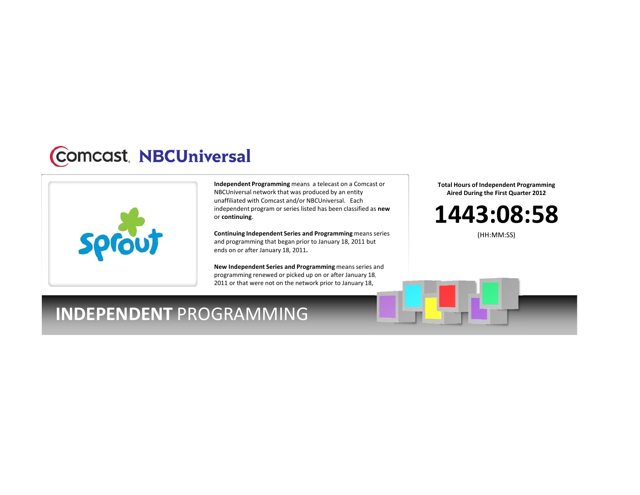## **Comcast**, NBCUniversal



**Independent Programming** means <sup>a</sup> telecast on <sup>a</sup> Comcast or NBCUniversal network that was produced by an entity unaffiliated with Comcast and/or NBCUniversal. Each independent program or series listed has been classified as **new** or **continuing**.

**Continuing Independent Series and Programming** means series and programming that began prior to January 18, 2011 but ends on or after January 18, 2011**.**

**New Independent Series and Programming** meansseries and programming renewed or picked up on or after January 18, 2011 or that were not on the network prior to January 18,

**Total Hours of Independent Programming Aired During the First Quarter 2012**

**1443:08:58**

(HH:MM:SS)

## **INDEPENDENT** PROGRAMMING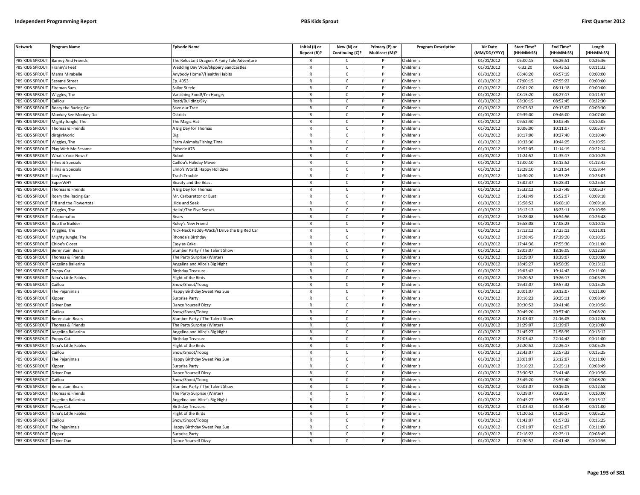| <b>Network</b>         | Program Name              | <b>Episode Name</b>                          | Initial (I) or<br>Repeat (R)? | New (N) or<br>Continuing (C)? | Primary (P) or<br>Multicast (M)? | <b>Program Description</b> | Air Date<br>(MM/DD/YYYY) | Start Time*<br>(HH:MM:SS) | End Time*<br>(HH:MM:SS) | Length<br>(HH:MM:SS) |
|------------------------|---------------------------|----------------------------------------------|-------------------------------|-------------------------------|----------------------------------|----------------------------|--------------------------|---------------------------|-------------------------|----------------------|
| PBS KIDS SPROUT        | <b>Barney And Friends</b> | he Reluctant Dragon: A Fairy Tale Adventure  |                               | C.                            |                                  | Children's                 | 01/01/2012               | 06:00:15                  | 06:26:51                | 00:26:36             |
| PBS KIDS SPROUT        | Franny's Feet             | <b>Wedding Day Woe/Slippery Sandcastles</b>  | $\mathsf{R}$                  | $\mathsf{C}$                  |                                  | Children's                 | 01/01/2012               | 6:32:20                   | 06:43:52                | 00:11:32             |
| <b>BS KIDS SPROUT</b>  | Mama Mirabelle            | Anybody Home?/Healthy Habits                 | R                             | c                             | P                                | Children's                 | 01/01/2012               | 06:46:20                  | 06:57:19                | 00:00:00             |
| PBS KIDS SPROUT        | Sesame Street             | Ep. 4053                                     | $\mathsf{R}$                  | $\mathsf{C}$                  | D                                | Children's                 | 01/01/2012               | 07:00:15                  | 07:55:22                | 00:00:00             |
| PBS KIDS SPROUT        | Fireman Sam               | Sailor Steele                                | $\mathsf{R}$                  | $\mathsf{C}$                  | P                                | Children's                 | 01/01/2012               | 08:01:20                  | 08:11:18                | 00:00:00             |
| PBS KIDS SPROUT        | Wiggles, The              | Vanishing Food!/I'm Hungry                   | $\mathsf{R}$                  | $\mathsf{C}$                  | P                                | Children's                 | 01/01/2012               | 08:15:20                  | 08:27:17                | 00:11:57             |
| PBS KIDS SPROUT        | Caillou                   | Road/Building/Sky                            | $\mathsf{R}$                  | $\mathsf{C}$                  | P                                | Children's                 | 01/01/2012               | 08:30:15                  | 08:52:45                | 00:22:30             |
| PBS KIDS SPROUT        | Roary the Racing Car      | Save our Tree                                | $\mathsf{R}$                  | $\mathsf{C}$                  | P                                | Children's                 | 01/01/2012               | 09:03:32                  | 09:13:02                | 00:09:30             |
| PBS KIDS SPROUT        | Monkey See Monkey Do      | Ostrich                                      | R                             | C                             | P                                | Children's                 | 01/01/2012               | 09:39:00                  | 09:46:00                | 00:07:00             |
| PBS KIDS SPROUT        | Mighty Jungle, The        | he Magic Hat                                 | $\mathsf{R}$                  | c                             |                                  | Children's                 | 01/01/2012               | 09:52:40                  | 10:02:45                | 00:10:05             |
| PBS KIDS SPROUT        | homas & Friends           | A Big Day for Thomas                         | R                             | $\mathsf{C}$                  | P                                | Children's                 | 01/01/2012               | 10:06:00                  | 10:11:07                | 00:05:07             |
| PBS KIDS SPROUT        | dirtgirlworld             |                                              | R                             | $\mathsf{C}$                  | P                                | Children's                 | 01/01/2012               | 10:17:00                  | 10:27:40                | 00:10:40             |
| PBS KIDS SPROUT        | Wiggles, The              | Farm Animals/Fishing Time                    | $\mathsf{R}$                  | $\mathsf{C}$                  | P                                | Children's                 | 01/01/2012               | 10:33:30                  | 10:44:25                | 00:10:55             |
| PBS KIDS SPROUT        | Play With Me Sesame       | Episode #73                                  | R                             | $\mathsf{C}$                  |                                  | Children's                 | 01/01/2012               | 10:52:05                  | 11:14:19                | 00:22:14             |
| PBS KIDS SPROUT        | What's Your News?         | Robot                                        | $\mathsf{R}$                  | c                             | P                                | Children's                 | 01/01/2012               | 11:24:52                  | 11:35:17                | 00:10:25             |
| <b>BS KIDS SPROUT</b>  | ilms & Specials           | Caillou's Holiday Movie                      | R                             | C                             |                                  | Children's                 | 01/01/2012               | 12:00:10                  | 13:12:52                | 01:12:42             |
| PBS KIDS SPROUT        | ilms & Specials           | Imo's World: Happy Holidays                  | $\mathsf{R}$                  | $\mathsf{C}$                  |                                  | Children's                 | 01/01/2012               | 13:28:10                  | 14:21:54                | 00:53:44             |
| <b>BS KIDS SPROUT</b>  | azyTown                   | rash Trouble                                 | $\mathsf{R}$                  | $\mathsf{C}$                  | P                                | Children's                 | 01/01/2012               | 14:30:20                  | 14:53:23                | 00:23:03             |
| PBS KIDS SPROUT        | SuperWHY                  | Beauty and the Beast                         | R                             | $\mathcal{C}$                 | <b>D</b>                         | Children's                 | 01/01/2012               | 15:02:37                  | 15:28:31                | 00:25:54             |
| <b>BS KIDS SPROUT</b>  | Thomas & Friends          | A Big Day for Thomas                         | R                             | $\mathsf{C}$                  | P                                | Children's                 | 01/01/2012               | 15:32:12                  | 15:37:49                | 00:05:37             |
| PBS KIDS SPROUT        | Roary the Racing Car      | Mr. Carburettor or Bust                      | $\mathsf{R}$                  | $\mathsf{C}$                  | P                                | Children's                 | 01/01/2012               | 15:42:49                  | 15:52:07                | 00:09:18             |
| PBS KIDS SPROUT        | ifi and the Flowertots    | Hide and Seek                                | R                             | $\mathsf{C}$                  | P                                | Children's                 | 01/01/2012               | 15:58:52                  | 16:08:10                | 00:09:18             |
| PBS KIDS SPROUT        | Niggles, The              | Hello!/The Five Senses                       | $\mathsf{R}$                  | $\mathsf{C}$                  | P                                | Children's                 | 01/01/2012               | 16:12:12                  | 16:23:11                | 00:10:59             |
| PBS KIDS SPROUT        | Zoboomafoo                | Bears                                        | $\mathsf{R}$                  | $\mathsf{C}$                  | P                                | Children's                 | 01/01/2012               | 16:28:08                  | 16:54:56                | 00:26:48             |
| PBS KIDS SPROUT        | <b>Bob the Builde</b>     | Roley's New Friend                           | $\mathsf{R}$                  | $\mathsf{C}$                  |                                  | Children's                 | 01/01/2012               | 16:58:08                  | 17:08:23                | 00:10:15             |
| PBS KIDS SPROUT        | Wiggles, The              | Nick-Nack Paddy-Wack/I Drive the Big Red Car | $\mathsf{R}$                  | $\mathsf{C}$                  | P                                | Children's                 | 01/01/2012               | 17:12:12                  | 17:23:13                | 00:11:01             |
| PBS KIDS SPROUT        | Mighty Jungle, The        | Rhonda's Birthday                            | R                             | C                             |                                  | Children's                 | 01/01/2012               | 17:28:45                  | 17:39:20                | 00:10:35             |
| PBS KIDS SPROUT        | Chloe's Closet            | asy as Cake                                  | R                             | $\mathsf{C}$                  | P                                | Children's                 | 01/01/2012               | 17:44:36                  | 17:55:36                | 00:11:00             |
| PBS KIDS SPROUT        | Berenstain Bears          | Slumber Party / The Talent Show              | $\mathsf{R}$                  | $\mathsf{C}$                  | P                                | Children's                 | 01/01/2012               | 18:03:07                  | 18:16:05                | 00:12:58             |
| PBS KIDS SPROUT        | homas & Friends           | The Party Surprise (Winter                   | $\mathsf{R}$                  | $\mathsf{C}$                  | P                                | Children's                 | 01/01/2012               | 18:29:07                  | 18:39:07                | 00:10:00             |
| PBS KIDS SPROUT        | Angelina Ballerina        | Angelina and Alice's Big Night               | R                             | $\mathsf{C}$                  | P                                | Children's                 | 01/01/2012               | 18:45:27                  | 18:58:39                | 00:13:12             |
| <b>PBS KIDS SPROUT</b> | Poppy Cat                 | Birthday Treasure                            | $\mathsf{R}$                  | $\mathsf{C}$                  | P                                | Children's                 | 01/01/2012               | 19:03:42                  | 19:14:42                | 00:11:00             |
| <b>BS KIDS SPROUT</b>  | Nina's Little Fables      | light of the Birds                           | $\mathsf{R}$                  | $\mathsf{C}$                  | P                                | Children's                 | 01/01/2012               | 19:20:52                  | 19:26:17                | 00:05:25             |
| PBS KIDS SPROUT        | aillou                    | Snow/Shoot/Tobog                             | $\mathsf{R}$                  | $\mathsf{C}$                  | P                                | Children's                 | 01/01/2012               | 19:42:07                  | 19:57:32                | 00:15:25             |
| <b>BS KIDS SPROUT</b>  | The Pajanimals            | Happy Birthday Sweet Pea Sue                 | R                             | $\mathsf{C}$                  | P                                | Children's                 | 01/01/2012               | 20:01:07                  | 20:12:07                | 00:11:00             |
| PBS KIDS SPROUT        | ipper)                    | iurprise Party                               | $\mathsf{R}$                  | $\mathsf{C}$                  | P                                | Children's                 | 01/01/2012               | 20:16:22                  | 20:25:11                | 00:08:49             |
| <b>BS KIDS SPROUT</b>  | Driver Dan                | Dance Yourself Dizzy                         | R                             | $\mathsf{C}$                  | P                                | Children's                 | 01/01/2012               | 20:30:52                  | 20:41:48                | 00:10:56             |
| PBS KIDS SPROUT        | aillou                    | inow/Shoot/Tobog                             | $\mathsf{R}$                  | $\mathsf{C}$                  | <b>D</b>                         | Children's                 | 01/01/2012               | 20:49:20                  | 20:57:40                | 00:08:20             |
| PBS KIDS SPROUT        | Berenstain Bears          | Slumber Party / The Talent Show              | $\mathsf{R}$                  | $\mathsf{C}$                  | P                                | Children's                 | 01/01/2012               | 21:03:07                  | 21:16:05                | 00:12:58             |
| PBS KIDS SPROUT        | homas & Friends           | 'he Party Surprise (Winter                   | $\mathsf{R}$                  | $\mathsf{C}$                  | P                                | Children's                 | 01/01/2012               | 21:29:07                  | 21:39:07                | 00:10:00             |
| PBS KIDS SPROUT        | Angelina Ballerina        | Angelina and Alice's Big Night               | $\mathsf{R}$                  | $\mathsf{C}$                  | P                                | Children's                 | 01/01/2012               | 21:45:27                  | 21:58:39                | 00:13:12             |
| PBS KIDS SPROUT        | oppy Cat                  | <b>Birthday Treasure</b>                     | $\mathsf{R}$                  | $\mathsf{C}$                  | P                                | Children's                 | 01/01/2012               | 22:03:42                  | 22:14:42                | 00:11:00             |
| PBS KIDS SPROUT        | Nina's Little Fables      | light of the Birds                           | $\mathsf{R}$                  | $\mathsf{C}$                  | P                                | Children's                 | 01/01/2012               | 22:20:52                  | 22:26:17                | 00:05:25             |
| PBS KIDS SPROUT        | aillou                    | now/Shoot/Tobog                              | $\mathsf R$                   | c                             |                                  | Children's                 | 01/01/2012               | 22:42:07                  | 22:57:32                | 00:15:25             |
| PBS KIDS SPROUT        | The Pajanimals            | Happy Birthday Sweet Pea Sue                 | R                             | c                             | P                                | Children's                 | 01/01/2012               | 23:01:07                  | 23:12:07                | 00:11:00             |
| PBS KIDS SPROUT        | Kipper                    | Surprise Party                               | R                             | $\mathsf{C}$                  | P                                | Children's                 | 01/01/2012               | 23:16:22                  | 23:25:11                | 00:08:49             |
| PBS KIDS SPROUT        | Driver Dan                | Dance Yourself Dizzy                         | $\mathsf{R}$                  | $\mathsf{C}$                  | P                                | Children's                 | 01/01/2012               | 23:30:52                  | 23:41:48                | 00:10:56             |
| PBS KIDS SPROUT        | Caillou                   | Snow/Shoot/Tobog                             | $\mathsf{R}$                  | $\mathsf{C}$                  | P                                | Children's                 | 01/01/2012               | 23:49:20                  | 23:57:40                | 00:08:20             |
| PBS KIDS SPROUT        | Berenstain Bears          | Slumber Party / The Talent Show              | $\mathsf{R}$                  | $\mathsf{C}$                  | P                                | Children's                 | 01/01/2012               | 00:03:07                  | 00:16:05                | 00:12:58             |
| PBS KIDS SPROUT        | Thomas & Friends          | The Party Surprise (Winter)                  | R                             | C                             | P                                | Children's                 | 01/01/2012               | 00:29:07                  | 00:39:07                | 00:10:00             |
| PBS KIDS SPROUT        | Angelina Ballerina        | Angelina and Alice's Big Night               | $\mathsf{R}$                  | $\mathsf{C}$                  | P                                | Children's                 | 01/01/2012               | 00:45:27                  | 00:58:39                | 00:13:12             |
| <b>BS KIDS SPROUT</b>  | Poppy Cat                 | Birthday Treasure                            | R                             | $\mathsf{C}$                  |                                  | Children's                 | 01/01/2012               | 01:03:42                  | 01:14:42                | 00:11:00             |
| PBS KIDS SPROUT        | Nina's Little Fables      | light of the Birds                           | R                             | $\mathsf{C}$                  | <b>D</b>                         | Children's                 | 01/01/2012               | 01:20:52                  | 01:26:17                | 00:05:25             |
| PBS KIDS SPROUT        | aillou                    | Snow/Shoot/Tobog                             | R                             | $\mathsf{C}$                  | P                                | Children's                 | 01/01/2012               | 01:42:07                  | 01:57:32                | 00:15:25             |
| PBS KIDS SPROUT        | he Pajanimals             | lappy Birthday Sweet Pea Sue                 | $\overline{R}$                | $\mathsf{C}$                  |                                  | Children's                 | 01/01/2012               | 02:01:07                  | 02:12:07                | 00:11:00             |
| PBS KIDS SPROUT        | Kipper                    | Surprise Party                               | R                             | $\mathsf{C}$                  | P                                | Children's                 | 01/01/2012               | 02:16:22                  | 02:25:11                | 00:08:49             |
| PBS KIDS SPROUT        | Driver Dan                | Dance Yourself Dizzy                         |                               | $\mathsf{C}$                  | D                                | Children's                 | 01/01/2012               | 02:30:52                  | 02:41:48                | 00:10:56             |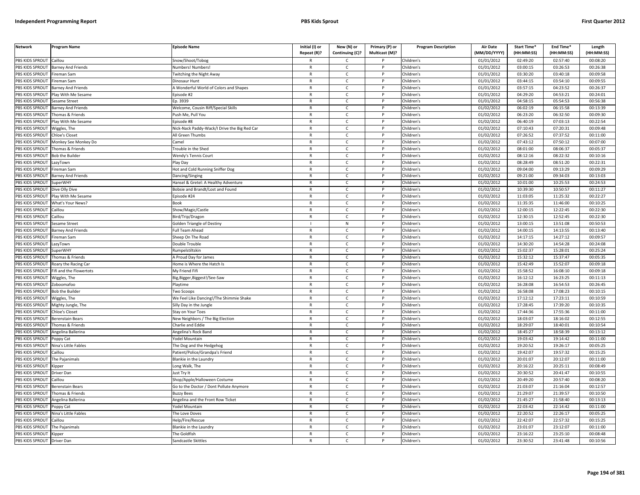| PBS KIDS SPROUT<br>Caillou<br>Children's<br>01/01/2012<br>02:49:20<br>02:57:40<br>00:08:20<br>Snow/Shoot/Tobog<br>C<br>PBS KIDS SPROUT<br><b>Barney And Friends</b><br>Numbers! Numbers!<br>$\mathsf{C}$<br>Children's<br>01/01/2012<br>03:00:15<br>03:26:53<br>00:26:38<br>$\mathsf{R}$<br>P<br>PBS KIDS SPROUT<br>Children's<br>01/01/2012<br>03:30:20<br>03:40:18<br>00:09:58<br>Fireman Sam<br><b>Twitching the Night Away</b><br>$\mathsf{R}$<br>$\mathsf{C}$<br>P<br>01/01/2012<br>03:44:15<br>03:54:10<br>00:09:55<br>PBS KIDS SPROUT<br>ireman Sam<br>Dinosaur Hunt<br>$\mathsf{R}$<br>$\mathsf{C}$<br>D<br>Children's<br>PBS KIDS SPROUT<br>A Wonderful World of Colors and Shapes<br>Children's<br>01/01/2012<br>03:57:15<br>04:23:52<br>00:26:37<br><b>Barney And Friends</b><br>R<br>$\mathsf{C}$<br>PBS KIDS SPROUT<br>lay With Me Sesame<br>$\mathsf{R}$<br>$\mathsf{C}$<br>Children's<br>01/01/2012<br>04:29:20<br>04:53:21<br>00:24:01<br>pisode #2<br>01/01/2012<br>04:58:15<br>00:56:38<br><b>BS KIDS SPROUT</b><br>Sesame Street<br>D. 3939<br>R<br>Children's<br>05:54:53<br>C<br>$\mathsf{C}$<br>Children's<br>01/02/2012<br>06:02:19<br>06:15:58<br>00:13:39<br>PBS KIDS SPROUT<br>Welcome, Cousin Riff/Special Skills<br>$\mathsf{R}$<br>D<br>Barney And Friends<br>01/02/2012<br>06:23:20<br>06:32:50<br>00:09:30<br>PBS KIDS SPROUT<br>Thomas & Friends<br>Push Me, Pull You<br>$\mathsf{C}$<br>Children's<br>$\mathsf{R}$<br>P<br>PBS KIDS SPROUT<br>$\mathsf{R}$<br>$\mathsf{C}$<br>Children's<br>01/02/2012<br>06:40:19<br>07:03:13<br>00:22:54<br>lay With Me Sesame<br>pisode #8<br>D<br>PBS KIDS SPROUT<br>Children's<br>01/02/2012<br>07:10:43<br>07:20:31<br>00:09:48<br>Nick-Nack Paddy-Wack/I Drive the Big Red Car<br>$\mathsf{R}$<br>$\mathsf{C}$<br>Wiggles, The<br>P<br>01/02/2012<br>07:26:52<br>07:37:52<br>PBS KIDS SPROUT<br>$\mathsf{R}$<br>$\mathsf{C}$<br>Children's<br>00:11:00<br>Chloe's Closet<br>All Green Thumbs<br>P<br>$\mathsf{C}$<br>01/02/2012<br>07:50:12<br>PBS KIDS SPROUT<br>$\mathsf{R}$<br>$\mathsf{P}$<br>Children's<br>07:43:12<br>00:07:00<br>Monkey See Monkey Do<br>amel:<br>PBS KIDS SPROUT<br>01/02/2012<br>08:01:00<br>08:06:37<br>00:05:37<br>rouble in the Shed<br>$\mathsf{R}$<br>$\mathsf{C}$<br>Children's<br>homas & Friends<br>P<br>01/02/2012<br>08:22:32<br>00:10:16<br>PBS KIDS SPROUT<br><b>Bob the Builder</b><br>$\mathsf{C}$<br>Children's<br>08:12:16<br><b>Wendy's Tennis Court</b><br>$\mathsf{R}$<br>P<br>01/02/2012<br>PBS KIDS SPROUT<br>LazyTown<br>Play Day<br>$\mathsf{R}$<br>$\mathsf{C}$<br>Children's<br>08:28:49<br>08:51:20<br>00:22:31<br>D<br>09:13:29<br>00:09:29<br>PBS KIDS SPROUT<br>ireman Sam<br>Hot and Cold Running Sniffer Dog<br>$\mathsf{R}$<br>$\mathsf{C}$<br>P<br>Children's<br>01/02/2012<br>09:04:00<br>PBS KIDS SPROUT<br>$\mathsf{C}$<br>Children's<br>01/02/2012<br>09:21:00<br>09:34:03<br>00:13:03<br><b>Barney And Friends</b><br>Dancing/Singing<br>$\mathsf{R}$<br>P<br>Children's<br>01/02/2012<br>10:01:00<br>10:25:53<br>00:24:53<br>PBS KIDS SPROUT<br>SuperWHY<br>Hansel & Gretel: A Healthy Adventure<br>$\mathsf{R}$<br>C<br>P<br>PBS KIDS SPROUT<br>Dive Olly Dive<br>Bobsie and Brandt/Lost and Found<br>$\mathsf{C}$<br>Children's<br>01/02/2012<br>10:39:30<br>10:50:57<br>00:11:27<br>R<br>P<br>01/02/2012<br>PBS KIDS SPROUT<br>Play With Me Sesame<br>pisode #24<br>$\mathsf{R}$<br>$\mathsf{C}$<br>P<br>Children's<br>11:03:05<br>11:25:32<br>00:22:27<br>01/02/2012<br>11:35:35<br>11:46:00<br>00:10:25<br>PBS KIDS SPROUT<br>What's Your News?<br>Book<br>R<br>$\mathsf{C}$<br>Children's<br>PBS KIDS SPROUT<br>$\mathsf{R}$<br>$\mathsf{C}$<br>Children's<br>01/02/2012<br>12:00:15<br>12:22:45<br>00:22:30<br>aillou<br>Show/Magic/Castle<br>Þ<br>PBS KIDS SPROUT<br>Children's<br>01/02/2012<br>12:30:15<br>12:52:45<br>00:22:30<br>Caillou<br>Bird/Trip/Dragon<br>$\mathsf{R}$<br>c<br>PBS KIDS SPROUT<br>${\sf N}$<br>Children's<br>01/02/2012<br>13:00:15<br>13:51:08<br>00:50:53<br>esame Street<br>Golden Triangle of Destiny<br>01/02/2012<br>14:00:15<br>14:13:55<br>00:13:40<br>PBS KIDS SPROUT<br><b>Barney And Friends</b><br>$\mathsf{C}$<br>Children's<br>ull Team Ahead<br>$\mathsf{R}$<br>P<br>$\mathsf{C}$<br>01/02/2012<br>14:17:15<br>14:27:12<br>00:09:57<br>PBS KIDS SPROUT<br>Sheep On The Road<br>$\mathsf{R}$<br>P<br>Children's<br>ireman Sam<br>Children's<br>01/02/2012<br>14:54:28<br>PBS KIDS SPROUT<br>Double Trouble<br>$\mathsf{R}$<br>$\mathsf{C}$<br>P<br>14:30:20<br>00:24:08<br>LazyTown<br>01/02/2012<br>PBS KIDS SPROUT<br>$\mathsf{R}$<br>$\mathsf{C}$<br>Children's<br>15:02:37<br>15:28:01<br>00:25:24<br>SuperWHY<br><b>lumpelstiltskin</b><br>P<br>15:32:12<br>PBS KIDS SPROUT<br>$\mathsf{C}$<br>Children's<br>01/02/2012<br>15:37:47<br>00:05:35<br>Thomas & Friends<br>A Proud Day for James<br>$\mathsf{R}$<br>$\mathsf{P}$<br>01/02/2012<br>PBS KIDS SPROUT<br>$\mathsf{C}$<br>Children's<br>15:42:49<br>15:52:07<br>00:09:18<br>Roary the Racing Car<br>Home is Where the Hatch Is<br>$\mathsf{R}$<br>P<br>Children's<br>01/02/2012<br>15:58:52<br>16:08:10<br>00:09:18<br>PBS KIDS SPROUT<br>ifi and the Flowertots<br>My Friend Fifi<br>R<br>$\mathsf{C}$<br>P<br>01/02/2012<br>PBS KIDS SPROUT<br>lig, Bigger, Biggest!/See-Saw<br>$\mathsf{R}$<br>$\mathsf{C}$<br>P<br>Children's<br>16:12:12<br>16:23:25<br>00:11:13<br>Wiggles, The<br>16:28:08<br>PBS KIDS SPROUT<br>$\mathsf{R}$<br>$\mathsf{C}$<br>Children's<br>01/02/2012<br>16:54:53<br>00:26:45<br>Zoboomafoo<br>Playtime<br>P<br>01/02/2012<br>16:58:08<br>17:08:23<br>PBS KIDS SPROUT<br><b>Bob the Builder</b><br>R<br>$\mathsf{C}$<br>Children's<br>00:10:15<br>Two Scoops<br>D<br>Children's<br>01/02/2012<br>17:12:12<br>17:23:11<br>00:10:59<br>PBS KIDS SPROUT<br>Wiggles, The<br>We Feel Like Dancing!/The Shimmie Shake<br>$\mathsf{R}$<br>$\mathsf{C}$<br>P<br>PBS KIDS SPROUT<br>Children's<br>01/02/2012<br>17:28:45<br>17:39:20<br>00:10:35<br>Mighty Jungle, The<br>Silly Day in the Jungle<br>R<br>C<br>PBS KIDS SPROUT<br><b>Chloe's Closet</b><br>$\mathsf{R}$<br>$\mathsf{C}$<br>P<br>Children's<br>01/02/2012<br>17:44:36<br>17:55:36<br>00:11:00<br>Stay on Your Toes<br>$\sqrt{01/02/2012}$<br>18:03:07<br>PBS KIDS SPROUT<br><b>Berenstain Bears</b><br><b>New Neighbors / The Big Election</b><br>R<br>Ċ<br>Children's<br>18:16:02<br>00:12:55<br>01/02/2012<br>18:29:07<br>18:40:01<br>00:10:54<br>PBS KIDS SPROUT<br>Thomas & Friends<br>harlie and Eddie<br>$\mathsf{R}$<br>$\mathsf{C}$<br>P<br>Children's<br><b>BS KIDS SPROUT</b><br>01/02/2012<br>18:45:27<br>18:58:39<br>00:13:12<br>Angelina Ballerina<br><b>Angelina's Rock Band</b><br>$\mathsf{C}$<br>Children's<br>$\mathsf{R}$<br>P<br>PBS KIDS SPROUT<br>$\mathsf{R}$<br>$\mathsf{C}$<br>Children's<br>01/02/2012<br>19:03:42<br>19:14:42<br>00:11:00<br>'odel Mountain<br>Þ<br>oppy Cat<br>PBS KIDS SPROUT<br>Children's<br>01/02/2012<br>19:20:52<br>19:26:17<br>00:05:25<br>Nina's Little Fables<br>he Dog and the Hedgehog<br>C<br>R<br>P<br>01/02/2012<br>19:42:07<br>19:57:32<br>00:15:25<br>PBS KIDS SPROUT<br>$\mathsf{R}$<br>$\mathsf{C}$<br>P<br>Children's<br>aillou<br>atient/Police/Grandpa's Friend<br>PBS KIDS SPROUT<br>01/02/2012<br>20:01:07<br>20:12:07<br>00:11:00<br>The Pajanimals<br>$\mathsf{C}$<br>Children's<br>Blankie in the Laundry<br>$\mathsf{R}$<br>P<br>PBS KIDS SPROUT<br>$\mathsf{C}$<br>Children's<br>01/02/2012<br>20:16:22<br>20:25:11<br>00:08:49<br>Long Walk, The<br>$\mathsf{R}$<br><b>Kipper</b><br>P<br>$\mathsf{C}$<br>01/02/2012<br>20:30:52<br>20:41:47<br>00:10:55<br>PBS KIDS SPROUT<br>$\mathsf{R}$<br>P<br>Children's<br>Driver Dan<br>lust Try It<br>01/02/2012<br>PBS KIDS SPROUT<br>$\mathsf{C}$<br>20:49:20<br>20:57:40<br>00:08:20<br>aillou<br>hop/Apple/Halloween Costume<br>$\mathsf{R}$<br>P<br>Children's<br>21:03:07<br>21:16:04<br>PBS KIDS SPROUT<br>Berenstain Bears<br>Go to the Doctor / Dont Pollute Anymore<br>R<br>$\mathsf{C}$<br>P<br>Children's<br>01/02/2012<br>00:12:57<br>$\mathsf{C}$<br>01/02/2012<br>21:29:07<br>21:39:57<br>PBS KIDS SPROUT<br>homas & Friends<br><b>Buzzy Bees</b><br>$\mathsf{R}$<br>Children's<br>00:10:50<br>PBS KIDS SPROUT<br>$\mathsf{C}$<br>Children's<br>01/02/2012<br>21:45:27<br>21:58:40<br>00:13:13<br>Angelina Ballerina<br>Angelina and the Front Row Ticket<br>R<br>P<br>PBS KIDS SPROUT<br>'odel Mountain<br>$\mathsf{C}$<br>Children's<br>01/02/2012<br>22:03:42<br>22:14:42<br>00:11:00<br>Poppy Cat<br>$\mathsf{R}$<br>P<br>01/02/2012<br>22:20:52<br>22:26:17<br>00:05:25<br>PBS KIDS SPROUT<br>Nina's Little Fables<br>The Love Doves<br>$\mathsf{R}$<br>$\mathsf{C}$<br>P<br>Children's<br>PBS KIDS SPROUT<br>01/02/2012<br>22:42:07<br>22:57:32<br>00:15:25<br>Caillou<br>lelp/Fire/Rescue<br>R<br>Ċ<br>Children's<br>PBS KIDS SPROUT<br>Children's<br>01/02/2012<br>23:01:07<br>23:12:07<br>00:11:00<br>The Pajanimals<br><b>Blankie in the Laundry</b><br>$\mathsf{R}$<br>$\mathsf{C}$<br>P<br>PBS KIDS SPROUT<br>The Goldfish<br>Children's<br>01/02/2012<br>23:16:22<br>23:25:10<br>00:08:48<br>R<br>C<br>Kipper<br>23:41:48<br>Driver Dan<br>R<br>$\mathsf{C}$ | <b>Network</b>  | Program Name | <b>Episode Name</b> | Initial (I) or<br>Repeat (R)? | New (N) or<br>Continuing (C)? | Primary (P) or<br>Multicast (M)? | <b>Program Description</b> | Air Date<br>(MM/DD/YYYY) | <b>Start Time*</b><br>(HH:MM:SS) | End Time*<br>(HH:MM:SS) | Length<br>(HH:MM:SS) |
|-------------------------------------------------------------------------------------------------------------------------------------------------------------------------------------------------------------------------------------------------------------------------------------------------------------------------------------------------------------------------------------------------------------------------------------------------------------------------------------------------------------------------------------------------------------------------------------------------------------------------------------------------------------------------------------------------------------------------------------------------------------------------------------------------------------------------------------------------------------------------------------------------------------------------------------------------------------------------------------------------------------------------------------------------------------------------------------------------------------------------------------------------------------------------------------------------------------------------------------------------------------------------------------------------------------------------------------------------------------------------------------------------------------------------------------------------------------------------------------------------------------------------------------------------------------------------------------------------------------------------------------------------------------------------------------------------------------------------------------------------------------------------------------------------------------------------------------------------------------------------------------------------------------------------------------------------------------------------------------------------------------------------------------------------------------------------------------------------------------------------------------------------------------------------------------------------------------------------------------------------------------------------------------------------------------------------------------------------------------------------------------------------------------------------------------------------------------------------------------------------------------------------------------------------------------------------------------------------------------------------------------------------------------------------------------------------------------------------------------------------------------------------------------------------------------------------------------------------------------------------------------------------------------------------------------------------------------------------------------------------------------------------------------------------------------------------------------------------------------------------------------------------------------------------------------------------------------------------------------------------------------------------------------------------------------------------------------------------------------------------------------------------------------------------------------------------------------------------------------------------------------------------------------------------------------------------------------------------------------------------------------------------------------------------------------------------------------------------------------------------------------------------------------------------------------------------------------------------------------------------------------------------------------------------------------------------------------------------------------------------------------------------------------------------------------------------------------------------------------------------------------------------------------------------------------------------------------------------------------------------------------------------------------------------------------------------------------------------------------------------------------------------------------------------------------------------------------------------------------------------------------------------------------------------------------------------------------------------------------------------------------------------------------------------------------------------------------------------------------------------------------------------------------------------------------------------------------------------------------------------------------------------------------------------------------------------------------------------------------------------------------------------------------------------------------------------------------------------------------------------------------------------------------------------------------------------------------------------------------------------------------------------------------------------------------------------------------------------------------------------------------------------------------------------------------------------------------------------------------------------------------------------------------------------------------------------------------------------------------------------------------------------------------------------------------------------------------------------------------------------------------------------------------------------------------------------------------------------------------------------------------------------------------------------------------------------------------------------------------------------------------------------------------------------------------------------------------------------------------------------------------------------------------------------------------------------------------------------------------------------------------------------------------------------------------------------------------------------------------------------------------------------------------------------------------------------------------------------------------------------------------------------------------------------------------------------------------------------------------------------------------------------------------------------------------------------------------------------------------------------------------------------------------------------------------------------------------------------------------------------------------------------------------------------------------------------------------------------------------------------------------------------------------------------------------------------------------------------------------------------------------------------------------------------------------------------------------------------------------------------------------------------------------------------------------------------------------------------------------------------------------------------------------------------------------------------------------------------------------------------------------------------------------------------------------------------------------------------------------------------------------------------------------------------------------------------------------------------------------------------------------------------------------------------------------------------------------------------------------------------------------------------------------------------------------------------------------------------------------------------------------------------------------------------------------------------------------------------------------------------------------------------------------------------------------------------------------------------------------------------------------------------------------------------------------------------------------------------------------------------------------------------------------------------------------------------------------------------------------------------------------------------------------------------------------------------------------------------------------------------------------------------------------------------------------------------------------------------------------------------------------------------------------------------------------------------------------------------------------------------------------------------------------------------------------------------------------------------------------------------------------------------------------------------------------------------------------------------------------------------------------------------------------------------------------------------------------------------------------------------|-----------------|--------------|---------------------|-------------------------------|-------------------------------|----------------------------------|----------------------------|--------------------------|----------------------------------|-------------------------|----------------------|
|                                                                                                                                                                                                                                                                                                                                                                                                                                                                                                                                                                                                                                                                                                                                                                                                                                                                                                                                                                                                                                                                                                                                                                                                                                                                                                                                                                                                                                                                                                                                                                                                                                                                                                                                                                                                                                                                                                                                                                                                                                                                                                                                                                                                                                                                                                                                                                                                                                                                                                                                                                                                                                                                                                                                                                                                                                                                                                                                                                                                                                                                                                                                                                                                                                                                                                                                                                                                                                                                                                                                                                                                                                                                                                                                                                                                                                                                                                                                                                                                                                                                                                                                                                                                                                                                                                                                                                                                                                                                                                                                                                                                                                                                                                                                                                                                                                                                                                                                                                                                                                                                                                                                                                                                                                                                                                                                                                                                                                                                                                                                                                                                                                                                                                                                                                                                                                                                                                                                                                                                                                                                                                                                                                                                                                                                                                                                                                                                                                                                                                                                                                                                                                                                                                                                                                                                                                                                                                                                                                                                                                                                                                                                                                                                                                                                                                                                                                                                                                                                                                                                                                                                                                                                                                                                                                                                                                                                                                                                                                                                                                                                                                                                                                                                                                                                                                                                                                                                                                                                                                                                                                                                                                                                                                                                                                                                                                                                                                                                                                                                                                                                                                                                                                                                                                                 |                 |              |                     |                               |                               |                                  |                            |                          |                                  |                         |                      |
|                                                                                                                                                                                                                                                                                                                                                                                                                                                                                                                                                                                                                                                                                                                                                                                                                                                                                                                                                                                                                                                                                                                                                                                                                                                                                                                                                                                                                                                                                                                                                                                                                                                                                                                                                                                                                                                                                                                                                                                                                                                                                                                                                                                                                                                                                                                                                                                                                                                                                                                                                                                                                                                                                                                                                                                                                                                                                                                                                                                                                                                                                                                                                                                                                                                                                                                                                                                                                                                                                                                                                                                                                                                                                                                                                                                                                                                                                                                                                                                                                                                                                                                                                                                                                                                                                                                                                                                                                                                                                                                                                                                                                                                                                                                                                                                                                                                                                                                                                                                                                                                                                                                                                                                                                                                                                                                                                                                                                                                                                                                                                                                                                                                                                                                                                                                                                                                                                                                                                                                                                                                                                                                                                                                                                                                                                                                                                                                                                                                                                                                                                                                                                                                                                                                                                                                                                                                                                                                                                                                                                                                                                                                                                                                                                                                                                                                                                                                                                                                                                                                                                                                                                                                                                                                                                                                                                                                                                                                                                                                                                                                                                                                                                                                                                                                                                                                                                                                                                                                                                                                                                                                                                                                                                                                                                                                                                                                                                                                                                                                                                                                                                                                                                                                                                                                 |                 |              |                     |                               |                               |                                  |                            |                          |                                  |                         |                      |
|                                                                                                                                                                                                                                                                                                                                                                                                                                                                                                                                                                                                                                                                                                                                                                                                                                                                                                                                                                                                                                                                                                                                                                                                                                                                                                                                                                                                                                                                                                                                                                                                                                                                                                                                                                                                                                                                                                                                                                                                                                                                                                                                                                                                                                                                                                                                                                                                                                                                                                                                                                                                                                                                                                                                                                                                                                                                                                                                                                                                                                                                                                                                                                                                                                                                                                                                                                                                                                                                                                                                                                                                                                                                                                                                                                                                                                                                                                                                                                                                                                                                                                                                                                                                                                                                                                                                                                                                                                                                                                                                                                                                                                                                                                                                                                                                                                                                                                                                                                                                                                                                                                                                                                                                                                                                                                                                                                                                                                                                                                                                                                                                                                                                                                                                                                                                                                                                                                                                                                                                                                                                                                                                                                                                                                                                                                                                                                                                                                                                                                                                                                                                                                                                                                                                                                                                                                                                                                                                                                                                                                                                                                                                                                                                                                                                                                                                                                                                                                                                                                                                                                                                                                                                                                                                                                                                                                                                                                                                                                                                                                                                                                                                                                                                                                                                                                                                                                                                                                                                                                                                                                                                                                                                                                                                                                                                                                                                                                                                                                                                                                                                                                                                                                                                                                                 |                 |              |                     |                               |                               |                                  |                            |                          |                                  |                         |                      |
|                                                                                                                                                                                                                                                                                                                                                                                                                                                                                                                                                                                                                                                                                                                                                                                                                                                                                                                                                                                                                                                                                                                                                                                                                                                                                                                                                                                                                                                                                                                                                                                                                                                                                                                                                                                                                                                                                                                                                                                                                                                                                                                                                                                                                                                                                                                                                                                                                                                                                                                                                                                                                                                                                                                                                                                                                                                                                                                                                                                                                                                                                                                                                                                                                                                                                                                                                                                                                                                                                                                                                                                                                                                                                                                                                                                                                                                                                                                                                                                                                                                                                                                                                                                                                                                                                                                                                                                                                                                                                                                                                                                                                                                                                                                                                                                                                                                                                                                                                                                                                                                                                                                                                                                                                                                                                                                                                                                                                                                                                                                                                                                                                                                                                                                                                                                                                                                                                                                                                                                                                                                                                                                                                                                                                                                                                                                                                                                                                                                                                                                                                                                                                                                                                                                                                                                                                                                                                                                                                                                                                                                                                                                                                                                                                                                                                                                                                                                                                                                                                                                                                                                                                                                                                                                                                                                                                                                                                                                                                                                                                                                                                                                                                                                                                                                                                                                                                                                                                                                                                                                                                                                                                                                                                                                                                                                                                                                                                                                                                                                                                                                                                                                                                                                                                                                 |                 |              |                     |                               |                               |                                  |                            |                          |                                  |                         |                      |
|                                                                                                                                                                                                                                                                                                                                                                                                                                                                                                                                                                                                                                                                                                                                                                                                                                                                                                                                                                                                                                                                                                                                                                                                                                                                                                                                                                                                                                                                                                                                                                                                                                                                                                                                                                                                                                                                                                                                                                                                                                                                                                                                                                                                                                                                                                                                                                                                                                                                                                                                                                                                                                                                                                                                                                                                                                                                                                                                                                                                                                                                                                                                                                                                                                                                                                                                                                                                                                                                                                                                                                                                                                                                                                                                                                                                                                                                                                                                                                                                                                                                                                                                                                                                                                                                                                                                                                                                                                                                                                                                                                                                                                                                                                                                                                                                                                                                                                                                                                                                                                                                                                                                                                                                                                                                                                                                                                                                                                                                                                                                                                                                                                                                                                                                                                                                                                                                                                                                                                                                                                                                                                                                                                                                                                                                                                                                                                                                                                                                                                                                                                                                                                                                                                                                                                                                                                                                                                                                                                                                                                                                                                                                                                                                                                                                                                                                                                                                                                                                                                                                                                                                                                                                                                                                                                                                                                                                                                                                                                                                                                                                                                                                                                                                                                                                                                                                                                                                                                                                                                                                                                                                                                                                                                                                                                                                                                                                                                                                                                                                                                                                                                                                                                                                                                                 |                 |              |                     |                               |                               |                                  |                            |                          |                                  |                         |                      |
|                                                                                                                                                                                                                                                                                                                                                                                                                                                                                                                                                                                                                                                                                                                                                                                                                                                                                                                                                                                                                                                                                                                                                                                                                                                                                                                                                                                                                                                                                                                                                                                                                                                                                                                                                                                                                                                                                                                                                                                                                                                                                                                                                                                                                                                                                                                                                                                                                                                                                                                                                                                                                                                                                                                                                                                                                                                                                                                                                                                                                                                                                                                                                                                                                                                                                                                                                                                                                                                                                                                                                                                                                                                                                                                                                                                                                                                                                                                                                                                                                                                                                                                                                                                                                                                                                                                                                                                                                                                                                                                                                                                                                                                                                                                                                                                                                                                                                                                                                                                                                                                                                                                                                                                                                                                                                                                                                                                                                                                                                                                                                                                                                                                                                                                                                                                                                                                                                                                                                                                                                                                                                                                                                                                                                                                                                                                                                                                                                                                                                                                                                                                                                                                                                                                                                                                                                                                                                                                                                                                                                                                                                                                                                                                                                                                                                                                                                                                                                                                                                                                                                                                                                                                                                                                                                                                                                                                                                                                                                                                                                                                                                                                                                                                                                                                                                                                                                                                                                                                                                                                                                                                                                                                                                                                                                                                                                                                                                                                                                                                                                                                                                                                                                                                                                                                 |                 |              |                     |                               |                               |                                  |                            |                          |                                  |                         |                      |
|                                                                                                                                                                                                                                                                                                                                                                                                                                                                                                                                                                                                                                                                                                                                                                                                                                                                                                                                                                                                                                                                                                                                                                                                                                                                                                                                                                                                                                                                                                                                                                                                                                                                                                                                                                                                                                                                                                                                                                                                                                                                                                                                                                                                                                                                                                                                                                                                                                                                                                                                                                                                                                                                                                                                                                                                                                                                                                                                                                                                                                                                                                                                                                                                                                                                                                                                                                                                                                                                                                                                                                                                                                                                                                                                                                                                                                                                                                                                                                                                                                                                                                                                                                                                                                                                                                                                                                                                                                                                                                                                                                                                                                                                                                                                                                                                                                                                                                                                                                                                                                                                                                                                                                                                                                                                                                                                                                                                                                                                                                                                                                                                                                                                                                                                                                                                                                                                                                                                                                                                                                                                                                                                                                                                                                                                                                                                                                                                                                                                                                                                                                                                                                                                                                                                                                                                                                                                                                                                                                                                                                                                                                                                                                                                                                                                                                                                                                                                                                                                                                                                                                                                                                                                                                                                                                                                                                                                                                                                                                                                                                                                                                                                                                                                                                                                                                                                                                                                                                                                                                                                                                                                                                                                                                                                                                                                                                                                                                                                                                                                                                                                                                                                                                                                                                                 |                 |              |                     |                               |                               |                                  |                            |                          |                                  |                         |                      |
|                                                                                                                                                                                                                                                                                                                                                                                                                                                                                                                                                                                                                                                                                                                                                                                                                                                                                                                                                                                                                                                                                                                                                                                                                                                                                                                                                                                                                                                                                                                                                                                                                                                                                                                                                                                                                                                                                                                                                                                                                                                                                                                                                                                                                                                                                                                                                                                                                                                                                                                                                                                                                                                                                                                                                                                                                                                                                                                                                                                                                                                                                                                                                                                                                                                                                                                                                                                                                                                                                                                                                                                                                                                                                                                                                                                                                                                                                                                                                                                                                                                                                                                                                                                                                                                                                                                                                                                                                                                                                                                                                                                                                                                                                                                                                                                                                                                                                                                                                                                                                                                                                                                                                                                                                                                                                                                                                                                                                                                                                                                                                                                                                                                                                                                                                                                                                                                                                                                                                                                                                                                                                                                                                                                                                                                                                                                                                                                                                                                                                                                                                                                                                                                                                                                                                                                                                                                                                                                                                                                                                                                                                                                                                                                                                                                                                                                                                                                                                                                                                                                                                                                                                                                                                                                                                                                                                                                                                                                                                                                                                                                                                                                                                                                                                                                                                                                                                                                                                                                                                                                                                                                                                                                                                                                                                                                                                                                                                                                                                                                                                                                                                                                                                                                                                                                 |                 |              |                     |                               |                               |                                  |                            |                          |                                  |                         |                      |
|                                                                                                                                                                                                                                                                                                                                                                                                                                                                                                                                                                                                                                                                                                                                                                                                                                                                                                                                                                                                                                                                                                                                                                                                                                                                                                                                                                                                                                                                                                                                                                                                                                                                                                                                                                                                                                                                                                                                                                                                                                                                                                                                                                                                                                                                                                                                                                                                                                                                                                                                                                                                                                                                                                                                                                                                                                                                                                                                                                                                                                                                                                                                                                                                                                                                                                                                                                                                                                                                                                                                                                                                                                                                                                                                                                                                                                                                                                                                                                                                                                                                                                                                                                                                                                                                                                                                                                                                                                                                                                                                                                                                                                                                                                                                                                                                                                                                                                                                                                                                                                                                                                                                                                                                                                                                                                                                                                                                                                                                                                                                                                                                                                                                                                                                                                                                                                                                                                                                                                                                                                                                                                                                                                                                                                                                                                                                                                                                                                                                                                                                                                                                                                                                                                                                                                                                                                                                                                                                                                                                                                                                                                                                                                                                                                                                                                                                                                                                                                                                                                                                                                                                                                                                                                                                                                                                                                                                                                                                                                                                                                                                                                                                                                                                                                                                                                                                                                                                                                                                                                                                                                                                                                                                                                                                                                                                                                                                                                                                                                                                                                                                                                                                                                                                                                                 |                 |              |                     |                               |                               |                                  |                            |                          |                                  |                         |                      |
|                                                                                                                                                                                                                                                                                                                                                                                                                                                                                                                                                                                                                                                                                                                                                                                                                                                                                                                                                                                                                                                                                                                                                                                                                                                                                                                                                                                                                                                                                                                                                                                                                                                                                                                                                                                                                                                                                                                                                                                                                                                                                                                                                                                                                                                                                                                                                                                                                                                                                                                                                                                                                                                                                                                                                                                                                                                                                                                                                                                                                                                                                                                                                                                                                                                                                                                                                                                                                                                                                                                                                                                                                                                                                                                                                                                                                                                                                                                                                                                                                                                                                                                                                                                                                                                                                                                                                                                                                                                                                                                                                                                                                                                                                                                                                                                                                                                                                                                                                                                                                                                                                                                                                                                                                                                                                                                                                                                                                                                                                                                                                                                                                                                                                                                                                                                                                                                                                                                                                                                                                                                                                                                                                                                                                                                                                                                                                                                                                                                                                                                                                                                                                                                                                                                                                                                                                                                                                                                                                                                                                                                                                                                                                                                                                                                                                                                                                                                                                                                                                                                                                                                                                                                                                                                                                                                                                                                                                                                                                                                                                                                                                                                                                                                                                                                                                                                                                                                                                                                                                                                                                                                                                                                                                                                                                                                                                                                                                                                                                                                                                                                                                                                                                                                                                                                 |                 |              |                     |                               |                               |                                  |                            |                          |                                  |                         |                      |
|                                                                                                                                                                                                                                                                                                                                                                                                                                                                                                                                                                                                                                                                                                                                                                                                                                                                                                                                                                                                                                                                                                                                                                                                                                                                                                                                                                                                                                                                                                                                                                                                                                                                                                                                                                                                                                                                                                                                                                                                                                                                                                                                                                                                                                                                                                                                                                                                                                                                                                                                                                                                                                                                                                                                                                                                                                                                                                                                                                                                                                                                                                                                                                                                                                                                                                                                                                                                                                                                                                                                                                                                                                                                                                                                                                                                                                                                                                                                                                                                                                                                                                                                                                                                                                                                                                                                                                                                                                                                                                                                                                                                                                                                                                                                                                                                                                                                                                                                                                                                                                                                                                                                                                                                                                                                                                                                                                                                                                                                                                                                                                                                                                                                                                                                                                                                                                                                                                                                                                                                                                                                                                                                                                                                                                                                                                                                                                                                                                                                                                                                                                                                                                                                                                                                                                                                                                                                                                                                                                                                                                                                                                                                                                                                                                                                                                                                                                                                                                                                                                                                                                                                                                                                                                                                                                                                                                                                                                                                                                                                                                                                                                                                                                                                                                                                                                                                                                                                                                                                                                                                                                                                                                                                                                                                                                                                                                                                                                                                                                                                                                                                                                                                                                                                                                                 |                 |              |                     |                               |                               |                                  |                            |                          |                                  |                         |                      |
|                                                                                                                                                                                                                                                                                                                                                                                                                                                                                                                                                                                                                                                                                                                                                                                                                                                                                                                                                                                                                                                                                                                                                                                                                                                                                                                                                                                                                                                                                                                                                                                                                                                                                                                                                                                                                                                                                                                                                                                                                                                                                                                                                                                                                                                                                                                                                                                                                                                                                                                                                                                                                                                                                                                                                                                                                                                                                                                                                                                                                                                                                                                                                                                                                                                                                                                                                                                                                                                                                                                                                                                                                                                                                                                                                                                                                                                                                                                                                                                                                                                                                                                                                                                                                                                                                                                                                                                                                                                                                                                                                                                                                                                                                                                                                                                                                                                                                                                                                                                                                                                                                                                                                                                                                                                                                                                                                                                                                                                                                                                                                                                                                                                                                                                                                                                                                                                                                                                                                                                                                                                                                                                                                                                                                                                                                                                                                                                                                                                                                                                                                                                                                                                                                                                                                                                                                                                                                                                                                                                                                                                                                                                                                                                                                                                                                                                                                                                                                                                                                                                                                                                                                                                                                                                                                                                                                                                                                                                                                                                                                                                                                                                                                                                                                                                                                                                                                                                                                                                                                                                                                                                                                                                                                                                                                                                                                                                                                                                                                                                                                                                                                                                                                                                                                                                 |                 |              |                     |                               |                               |                                  |                            |                          |                                  |                         |                      |
|                                                                                                                                                                                                                                                                                                                                                                                                                                                                                                                                                                                                                                                                                                                                                                                                                                                                                                                                                                                                                                                                                                                                                                                                                                                                                                                                                                                                                                                                                                                                                                                                                                                                                                                                                                                                                                                                                                                                                                                                                                                                                                                                                                                                                                                                                                                                                                                                                                                                                                                                                                                                                                                                                                                                                                                                                                                                                                                                                                                                                                                                                                                                                                                                                                                                                                                                                                                                                                                                                                                                                                                                                                                                                                                                                                                                                                                                                                                                                                                                                                                                                                                                                                                                                                                                                                                                                                                                                                                                                                                                                                                                                                                                                                                                                                                                                                                                                                                                                                                                                                                                                                                                                                                                                                                                                                                                                                                                                                                                                                                                                                                                                                                                                                                                                                                                                                                                                                                                                                                                                                                                                                                                                                                                                                                                                                                                                                                                                                                                                                                                                                                                                                                                                                                                                                                                                                                                                                                                                                                                                                                                                                                                                                                                                                                                                                                                                                                                                                                                                                                                                                                                                                                                                                                                                                                                                                                                                                                                                                                                                                                                                                                                                                                                                                                                                                                                                                                                                                                                                                                                                                                                                                                                                                                                                                                                                                                                                                                                                                                                                                                                                                                                                                                                                                                 |                 |              |                     |                               |                               |                                  |                            |                          |                                  |                         |                      |
|                                                                                                                                                                                                                                                                                                                                                                                                                                                                                                                                                                                                                                                                                                                                                                                                                                                                                                                                                                                                                                                                                                                                                                                                                                                                                                                                                                                                                                                                                                                                                                                                                                                                                                                                                                                                                                                                                                                                                                                                                                                                                                                                                                                                                                                                                                                                                                                                                                                                                                                                                                                                                                                                                                                                                                                                                                                                                                                                                                                                                                                                                                                                                                                                                                                                                                                                                                                                                                                                                                                                                                                                                                                                                                                                                                                                                                                                                                                                                                                                                                                                                                                                                                                                                                                                                                                                                                                                                                                                                                                                                                                                                                                                                                                                                                                                                                                                                                                                                                                                                                                                                                                                                                                                                                                                                                                                                                                                                                                                                                                                                                                                                                                                                                                                                                                                                                                                                                                                                                                                                                                                                                                                                                                                                                                                                                                                                                                                                                                                                                                                                                                                                                                                                                                                                                                                                                                                                                                                                                                                                                                                                                                                                                                                                                                                                                                                                                                                                                                                                                                                                                                                                                                                                                                                                                                                                                                                                                                                                                                                                                                                                                                                                                                                                                                                                                                                                                                                                                                                                                                                                                                                                                                                                                                                                                                                                                                                                                                                                                                                                                                                                                                                                                                                                                                 |                 |              |                     |                               |                               |                                  |                            |                          |                                  |                         |                      |
|                                                                                                                                                                                                                                                                                                                                                                                                                                                                                                                                                                                                                                                                                                                                                                                                                                                                                                                                                                                                                                                                                                                                                                                                                                                                                                                                                                                                                                                                                                                                                                                                                                                                                                                                                                                                                                                                                                                                                                                                                                                                                                                                                                                                                                                                                                                                                                                                                                                                                                                                                                                                                                                                                                                                                                                                                                                                                                                                                                                                                                                                                                                                                                                                                                                                                                                                                                                                                                                                                                                                                                                                                                                                                                                                                                                                                                                                                                                                                                                                                                                                                                                                                                                                                                                                                                                                                                                                                                                                                                                                                                                                                                                                                                                                                                                                                                                                                                                                                                                                                                                                                                                                                                                                                                                                                                                                                                                                                                                                                                                                                                                                                                                                                                                                                                                                                                                                                                                                                                                                                                                                                                                                                                                                                                                                                                                                                                                                                                                                                                                                                                                                                                                                                                                                                                                                                                                                                                                                                                                                                                                                                                                                                                                                                                                                                                                                                                                                                                                                                                                                                                                                                                                                                                                                                                                                                                                                                                                                                                                                                                                                                                                                                                                                                                                                                                                                                                                                                                                                                                                                                                                                                                                                                                                                                                                                                                                                                                                                                                                                                                                                                                                                                                                                                                                 |                 |              |                     |                               |                               |                                  |                            |                          |                                  |                         |                      |
|                                                                                                                                                                                                                                                                                                                                                                                                                                                                                                                                                                                                                                                                                                                                                                                                                                                                                                                                                                                                                                                                                                                                                                                                                                                                                                                                                                                                                                                                                                                                                                                                                                                                                                                                                                                                                                                                                                                                                                                                                                                                                                                                                                                                                                                                                                                                                                                                                                                                                                                                                                                                                                                                                                                                                                                                                                                                                                                                                                                                                                                                                                                                                                                                                                                                                                                                                                                                                                                                                                                                                                                                                                                                                                                                                                                                                                                                                                                                                                                                                                                                                                                                                                                                                                                                                                                                                                                                                                                                                                                                                                                                                                                                                                                                                                                                                                                                                                                                                                                                                                                                                                                                                                                                                                                                                                                                                                                                                                                                                                                                                                                                                                                                                                                                                                                                                                                                                                                                                                                                                                                                                                                                                                                                                                                                                                                                                                                                                                                                                                                                                                                                                                                                                                                                                                                                                                                                                                                                                                                                                                                                                                                                                                                                                                                                                                                                                                                                                                                                                                                                                                                                                                                                                                                                                                                                                                                                                                                                                                                                                                                                                                                                                                                                                                                                                                                                                                                                                                                                                                                                                                                                                                                                                                                                                                                                                                                                                                                                                                                                                                                                                                                                                                                                                                                 |                 |              |                     |                               |                               |                                  |                            |                          |                                  |                         |                      |
|                                                                                                                                                                                                                                                                                                                                                                                                                                                                                                                                                                                                                                                                                                                                                                                                                                                                                                                                                                                                                                                                                                                                                                                                                                                                                                                                                                                                                                                                                                                                                                                                                                                                                                                                                                                                                                                                                                                                                                                                                                                                                                                                                                                                                                                                                                                                                                                                                                                                                                                                                                                                                                                                                                                                                                                                                                                                                                                                                                                                                                                                                                                                                                                                                                                                                                                                                                                                                                                                                                                                                                                                                                                                                                                                                                                                                                                                                                                                                                                                                                                                                                                                                                                                                                                                                                                                                                                                                                                                                                                                                                                                                                                                                                                                                                                                                                                                                                                                                                                                                                                                                                                                                                                                                                                                                                                                                                                                                                                                                                                                                                                                                                                                                                                                                                                                                                                                                                                                                                                                                                                                                                                                                                                                                                                                                                                                                                                                                                                                                                                                                                                                                                                                                                                                                                                                                                                                                                                                                                                                                                                                                                                                                                                                                                                                                                                                                                                                                                                                                                                                                                                                                                                                                                                                                                                                                                                                                                                                                                                                                                                                                                                                                                                                                                                                                                                                                                                                                                                                                                                                                                                                                                                                                                                                                                                                                                                                                                                                                                                                                                                                                                                                                                                                                                                 |                 |              |                     |                               |                               |                                  |                            |                          |                                  |                         |                      |
|                                                                                                                                                                                                                                                                                                                                                                                                                                                                                                                                                                                                                                                                                                                                                                                                                                                                                                                                                                                                                                                                                                                                                                                                                                                                                                                                                                                                                                                                                                                                                                                                                                                                                                                                                                                                                                                                                                                                                                                                                                                                                                                                                                                                                                                                                                                                                                                                                                                                                                                                                                                                                                                                                                                                                                                                                                                                                                                                                                                                                                                                                                                                                                                                                                                                                                                                                                                                                                                                                                                                                                                                                                                                                                                                                                                                                                                                                                                                                                                                                                                                                                                                                                                                                                                                                                                                                                                                                                                                                                                                                                                                                                                                                                                                                                                                                                                                                                                                                                                                                                                                                                                                                                                                                                                                                                                                                                                                                                                                                                                                                                                                                                                                                                                                                                                                                                                                                                                                                                                                                                                                                                                                                                                                                                                                                                                                                                                                                                                                                                                                                                                                                                                                                                                                                                                                                                                                                                                                                                                                                                                                                                                                                                                                                                                                                                                                                                                                                                                                                                                                                                                                                                                                                                                                                                                                                                                                                                                                                                                                                                                                                                                                                                                                                                                                                                                                                                                                                                                                                                                                                                                                                                                                                                                                                                                                                                                                                                                                                                                                                                                                                                                                                                                                                                                 |                 |              |                     |                               |                               |                                  |                            |                          |                                  |                         |                      |
|                                                                                                                                                                                                                                                                                                                                                                                                                                                                                                                                                                                                                                                                                                                                                                                                                                                                                                                                                                                                                                                                                                                                                                                                                                                                                                                                                                                                                                                                                                                                                                                                                                                                                                                                                                                                                                                                                                                                                                                                                                                                                                                                                                                                                                                                                                                                                                                                                                                                                                                                                                                                                                                                                                                                                                                                                                                                                                                                                                                                                                                                                                                                                                                                                                                                                                                                                                                                                                                                                                                                                                                                                                                                                                                                                                                                                                                                                                                                                                                                                                                                                                                                                                                                                                                                                                                                                                                                                                                                                                                                                                                                                                                                                                                                                                                                                                                                                                                                                                                                                                                                                                                                                                                                                                                                                                                                                                                                                                                                                                                                                                                                                                                                                                                                                                                                                                                                                                                                                                                                                                                                                                                                                                                                                                                                                                                                                                                                                                                                                                                                                                                                                                                                                                                                                                                                                                                                                                                                                                                                                                                                                                                                                                                                                                                                                                                                                                                                                                                                                                                                                                                                                                                                                                                                                                                                                                                                                                                                                                                                                                                                                                                                                                                                                                                                                                                                                                                                                                                                                                                                                                                                                                                                                                                                                                                                                                                                                                                                                                                                                                                                                                                                                                                                                                                 |                 |              |                     |                               |                               |                                  |                            |                          |                                  |                         |                      |
|                                                                                                                                                                                                                                                                                                                                                                                                                                                                                                                                                                                                                                                                                                                                                                                                                                                                                                                                                                                                                                                                                                                                                                                                                                                                                                                                                                                                                                                                                                                                                                                                                                                                                                                                                                                                                                                                                                                                                                                                                                                                                                                                                                                                                                                                                                                                                                                                                                                                                                                                                                                                                                                                                                                                                                                                                                                                                                                                                                                                                                                                                                                                                                                                                                                                                                                                                                                                                                                                                                                                                                                                                                                                                                                                                                                                                                                                                                                                                                                                                                                                                                                                                                                                                                                                                                                                                                                                                                                                                                                                                                                                                                                                                                                                                                                                                                                                                                                                                                                                                                                                                                                                                                                                                                                                                                                                                                                                                                                                                                                                                                                                                                                                                                                                                                                                                                                                                                                                                                                                                                                                                                                                                                                                                                                                                                                                                                                                                                                                                                                                                                                                                                                                                                                                                                                                                                                                                                                                                                                                                                                                                                                                                                                                                                                                                                                                                                                                                                                                                                                                                                                                                                                                                                                                                                                                                                                                                                                                                                                                                                                                                                                                                                                                                                                                                                                                                                                                                                                                                                                                                                                                                                                                                                                                                                                                                                                                                                                                                                                                                                                                                                                                                                                                                                                 |                 |              |                     |                               |                               |                                  |                            |                          |                                  |                         |                      |
|                                                                                                                                                                                                                                                                                                                                                                                                                                                                                                                                                                                                                                                                                                                                                                                                                                                                                                                                                                                                                                                                                                                                                                                                                                                                                                                                                                                                                                                                                                                                                                                                                                                                                                                                                                                                                                                                                                                                                                                                                                                                                                                                                                                                                                                                                                                                                                                                                                                                                                                                                                                                                                                                                                                                                                                                                                                                                                                                                                                                                                                                                                                                                                                                                                                                                                                                                                                                                                                                                                                                                                                                                                                                                                                                                                                                                                                                                                                                                                                                                                                                                                                                                                                                                                                                                                                                                                                                                                                                                                                                                                                                                                                                                                                                                                                                                                                                                                                                                                                                                                                                                                                                                                                                                                                                                                                                                                                                                                                                                                                                                                                                                                                                                                                                                                                                                                                                                                                                                                                                                                                                                                                                                                                                                                                                                                                                                                                                                                                                                                                                                                                                                                                                                                                                                                                                                                                                                                                                                                                                                                                                                                                                                                                                                                                                                                                                                                                                                                                                                                                                                                                                                                                                                                                                                                                                                                                                                                                                                                                                                                                                                                                                                                                                                                                                                                                                                                                                                                                                                                                                                                                                                                                                                                                                                                                                                                                                                                                                                                                                                                                                                                                                                                                                                                                 |                 |              |                     |                               |                               |                                  |                            |                          |                                  |                         |                      |
|                                                                                                                                                                                                                                                                                                                                                                                                                                                                                                                                                                                                                                                                                                                                                                                                                                                                                                                                                                                                                                                                                                                                                                                                                                                                                                                                                                                                                                                                                                                                                                                                                                                                                                                                                                                                                                                                                                                                                                                                                                                                                                                                                                                                                                                                                                                                                                                                                                                                                                                                                                                                                                                                                                                                                                                                                                                                                                                                                                                                                                                                                                                                                                                                                                                                                                                                                                                                                                                                                                                                                                                                                                                                                                                                                                                                                                                                                                                                                                                                                                                                                                                                                                                                                                                                                                                                                                                                                                                                                                                                                                                                                                                                                                                                                                                                                                                                                                                                                                                                                                                                                                                                                                                                                                                                                                                                                                                                                                                                                                                                                                                                                                                                                                                                                                                                                                                                                                                                                                                                                                                                                                                                                                                                                                                                                                                                                                                                                                                                                                                                                                                                                                                                                                                                                                                                                                                                                                                                                                                                                                                                                                                                                                                                                                                                                                                                                                                                                                                                                                                                                                                                                                                                                                                                                                                                                                                                                                                                                                                                                                                                                                                                                                                                                                                                                                                                                                                                                                                                                                                                                                                                                                                                                                                                                                                                                                                                                                                                                                                                                                                                                                                                                                                                                                                 |                 |              |                     |                               |                               |                                  |                            |                          |                                  |                         |                      |
|                                                                                                                                                                                                                                                                                                                                                                                                                                                                                                                                                                                                                                                                                                                                                                                                                                                                                                                                                                                                                                                                                                                                                                                                                                                                                                                                                                                                                                                                                                                                                                                                                                                                                                                                                                                                                                                                                                                                                                                                                                                                                                                                                                                                                                                                                                                                                                                                                                                                                                                                                                                                                                                                                                                                                                                                                                                                                                                                                                                                                                                                                                                                                                                                                                                                                                                                                                                                                                                                                                                                                                                                                                                                                                                                                                                                                                                                                                                                                                                                                                                                                                                                                                                                                                                                                                                                                                                                                                                                                                                                                                                                                                                                                                                                                                                                                                                                                                                                                                                                                                                                                                                                                                                                                                                                                                                                                                                                                                                                                                                                                                                                                                                                                                                                                                                                                                                                                                                                                                                                                                                                                                                                                                                                                                                                                                                                                                                                                                                                                                                                                                                                                                                                                                                                                                                                                                                                                                                                                                                                                                                                                                                                                                                                                                                                                                                                                                                                                                                                                                                                                                                                                                                                                                                                                                                                                                                                                                                                                                                                                                                                                                                                                                                                                                                                                                                                                                                                                                                                                                                                                                                                                                                                                                                                                                                                                                                                                                                                                                                                                                                                                                                                                                                                                                                 |                 |              |                     |                               |                               |                                  |                            |                          |                                  |                         |                      |
|                                                                                                                                                                                                                                                                                                                                                                                                                                                                                                                                                                                                                                                                                                                                                                                                                                                                                                                                                                                                                                                                                                                                                                                                                                                                                                                                                                                                                                                                                                                                                                                                                                                                                                                                                                                                                                                                                                                                                                                                                                                                                                                                                                                                                                                                                                                                                                                                                                                                                                                                                                                                                                                                                                                                                                                                                                                                                                                                                                                                                                                                                                                                                                                                                                                                                                                                                                                                                                                                                                                                                                                                                                                                                                                                                                                                                                                                                                                                                                                                                                                                                                                                                                                                                                                                                                                                                                                                                                                                                                                                                                                                                                                                                                                                                                                                                                                                                                                                                                                                                                                                                                                                                                                                                                                                                                                                                                                                                                                                                                                                                                                                                                                                                                                                                                                                                                                                                                                                                                                                                                                                                                                                                                                                                                                                                                                                                                                                                                                                                                                                                                                                                                                                                                                                                                                                                                                                                                                                                                                                                                                                                                                                                                                                                                                                                                                                                                                                                                                                                                                                                                                                                                                                                                                                                                                                                                                                                                                                                                                                                                                                                                                                                                                                                                                                                                                                                                                                                                                                                                                                                                                                                                                                                                                                                                                                                                                                                                                                                                                                                                                                                                                                                                                                                                                 |                 |              |                     |                               |                               |                                  |                            |                          |                                  |                         |                      |
|                                                                                                                                                                                                                                                                                                                                                                                                                                                                                                                                                                                                                                                                                                                                                                                                                                                                                                                                                                                                                                                                                                                                                                                                                                                                                                                                                                                                                                                                                                                                                                                                                                                                                                                                                                                                                                                                                                                                                                                                                                                                                                                                                                                                                                                                                                                                                                                                                                                                                                                                                                                                                                                                                                                                                                                                                                                                                                                                                                                                                                                                                                                                                                                                                                                                                                                                                                                                                                                                                                                                                                                                                                                                                                                                                                                                                                                                                                                                                                                                                                                                                                                                                                                                                                                                                                                                                                                                                                                                                                                                                                                                                                                                                                                                                                                                                                                                                                                                                                                                                                                                                                                                                                                                                                                                                                                                                                                                                                                                                                                                                                                                                                                                                                                                                                                                                                                                                                                                                                                                                                                                                                                                                                                                                                                                                                                                                                                                                                                                                                                                                                                                                                                                                                                                                                                                                                                                                                                                                                                                                                                                                                                                                                                                                                                                                                                                                                                                                                                                                                                                                                                                                                                                                                                                                                                                                                                                                                                                                                                                                                                                                                                                                                                                                                                                                                                                                                                                                                                                                                                                                                                                                                                                                                                                                                                                                                                                                                                                                                                                                                                                                                                                                                                                                                                 |                 |              |                     |                               |                               |                                  |                            |                          |                                  |                         |                      |
|                                                                                                                                                                                                                                                                                                                                                                                                                                                                                                                                                                                                                                                                                                                                                                                                                                                                                                                                                                                                                                                                                                                                                                                                                                                                                                                                                                                                                                                                                                                                                                                                                                                                                                                                                                                                                                                                                                                                                                                                                                                                                                                                                                                                                                                                                                                                                                                                                                                                                                                                                                                                                                                                                                                                                                                                                                                                                                                                                                                                                                                                                                                                                                                                                                                                                                                                                                                                                                                                                                                                                                                                                                                                                                                                                                                                                                                                                                                                                                                                                                                                                                                                                                                                                                                                                                                                                                                                                                                                                                                                                                                                                                                                                                                                                                                                                                                                                                                                                                                                                                                                                                                                                                                                                                                                                                                                                                                                                                                                                                                                                                                                                                                                                                                                                                                                                                                                                                                                                                                                                                                                                                                                                                                                                                                                                                                                                                                                                                                                                                                                                                                                                                                                                                                                                                                                                                                                                                                                                                                                                                                                                                                                                                                                                                                                                                                                                                                                                                                                                                                                                                                                                                                                                                                                                                                                                                                                                                                                                                                                                                                                                                                                                                                                                                                                                                                                                                                                                                                                                                                                                                                                                                                                                                                                                                                                                                                                                                                                                                                                                                                                                                                                                                                                                                                 |                 |              |                     |                               |                               |                                  |                            |                          |                                  |                         |                      |
|                                                                                                                                                                                                                                                                                                                                                                                                                                                                                                                                                                                                                                                                                                                                                                                                                                                                                                                                                                                                                                                                                                                                                                                                                                                                                                                                                                                                                                                                                                                                                                                                                                                                                                                                                                                                                                                                                                                                                                                                                                                                                                                                                                                                                                                                                                                                                                                                                                                                                                                                                                                                                                                                                                                                                                                                                                                                                                                                                                                                                                                                                                                                                                                                                                                                                                                                                                                                                                                                                                                                                                                                                                                                                                                                                                                                                                                                                                                                                                                                                                                                                                                                                                                                                                                                                                                                                                                                                                                                                                                                                                                                                                                                                                                                                                                                                                                                                                                                                                                                                                                                                                                                                                                                                                                                                                                                                                                                                                                                                                                                                                                                                                                                                                                                                                                                                                                                                                                                                                                                                                                                                                                                                                                                                                                                                                                                                                                                                                                                                                                                                                                                                                                                                                                                                                                                                                                                                                                                                                                                                                                                                                                                                                                                                                                                                                                                                                                                                                                                                                                                                                                                                                                                                                                                                                                                                                                                                                                                                                                                                                                                                                                                                                                                                                                                                                                                                                                                                                                                                                                                                                                                                                                                                                                                                                                                                                                                                                                                                                                                                                                                                                                                                                                                                                                 |                 |              |                     |                               |                               |                                  |                            |                          |                                  |                         |                      |
|                                                                                                                                                                                                                                                                                                                                                                                                                                                                                                                                                                                                                                                                                                                                                                                                                                                                                                                                                                                                                                                                                                                                                                                                                                                                                                                                                                                                                                                                                                                                                                                                                                                                                                                                                                                                                                                                                                                                                                                                                                                                                                                                                                                                                                                                                                                                                                                                                                                                                                                                                                                                                                                                                                                                                                                                                                                                                                                                                                                                                                                                                                                                                                                                                                                                                                                                                                                                                                                                                                                                                                                                                                                                                                                                                                                                                                                                                                                                                                                                                                                                                                                                                                                                                                                                                                                                                                                                                                                                                                                                                                                                                                                                                                                                                                                                                                                                                                                                                                                                                                                                                                                                                                                                                                                                                                                                                                                                                                                                                                                                                                                                                                                                                                                                                                                                                                                                                                                                                                                                                                                                                                                                                                                                                                                                                                                                                                                                                                                                                                                                                                                                                                                                                                                                                                                                                                                                                                                                                                                                                                                                                                                                                                                                                                                                                                                                                                                                                                                                                                                                                                                                                                                                                                                                                                                                                                                                                                                                                                                                                                                                                                                                                                                                                                                                                                                                                                                                                                                                                                                                                                                                                                                                                                                                                                                                                                                                                                                                                                                                                                                                                                                                                                                                                                                 |                 |              |                     |                               |                               |                                  |                            |                          |                                  |                         |                      |
|                                                                                                                                                                                                                                                                                                                                                                                                                                                                                                                                                                                                                                                                                                                                                                                                                                                                                                                                                                                                                                                                                                                                                                                                                                                                                                                                                                                                                                                                                                                                                                                                                                                                                                                                                                                                                                                                                                                                                                                                                                                                                                                                                                                                                                                                                                                                                                                                                                                                                                                                                                                                                                                                                                                                                                                                                                                                                                                                                                                                                                                                                                                                                                                                                                                                                                                                                                                                                                                                                                                                                                                                                                                                                                                                                                                                                                                                                                                                                                                                                                                                                                                                                                                                                                                                                                                                                                                                                                                                                                                                                                                                                                                                                                                                                                                                                                                                                                                                                                                                                                                                                                                                                                                                                                                                                                                                                                                                                                                                                                                                                                                                                                                                                                                                                                                                                                                                                                                                                                                                                                                                                                                                                                                                                                                                                                                                                                                                                                                                                                                                                                                                                                                                                                                                                                                                                                                                                                                                                                                                                                                                                                                                                                                                                                                                                                                                                                                                                                                                                                                                                                                                                                                                                                                                                                                                                                                                                                                                                                                                                                                                                                                                                                                                                                                                                                                                                                                                                                                                                                                                                                                                                                                                                                                                                                                                                                                                                                                                                                                                                                                                                                                                                                                                                                                 |                 |              |                     |                               |                               |                                  |                            |                          |                                  |                         |                      |
|                                                                                                                                                                                                                                                                                                                                                                                                                                                                                                                                                                                                                                                                                                                                                                                                                                                                                                                                                                                                                                                                                                                                                                                                                                                                                                                                                                                                                                                                                                                                                                                                                                                                                                                                                                                                                                                                                                                                                                                                                                                                                                                                                                                                                                                                                                                                                                                                                                                                                                                                                                                                                                                                                                                                                                                                                                                                                                                                                                                                                                                                                                                                                                                                                                                                                                                                                                                                                                                                                                                                                                                                                                                                                                                                                                                                                                                                                                                                                                                                                                                                                                                                                                                                                                                                                                                                                                                                                                                                                                                                                                                                                                                                                                                                                                                                                                                                                                                                                                                                                                                                                                                                                                                                                                                                                                                                                                                                                                                                                                                                                                                                                                                                                                                                                                                                                                                                                                                                                                                                                                                                                                                                                                                                                                                                                                                                                                                                                                                                                                                                                                                                                                                                                                                                                                                                                                                                                                                                                                                                                                                                                                                                                                                                                                                                                                                                                                                                                                                                                                                                                                                                                                                                                                                                                                                                                                                                                                                                                                                                                                                                                                                                                                                                                                                                                                                                                                                                                                                                                                                                                                                                                                                                                                                                                                                                                                                                                                                                                                                                                                                                                                                                                                                                                                                 |                 |              |                     |                               |                               |                                  |                            |                          |                                  |                         |                      |
|                                                                                                                                                                                                                                                                                                                                                                                                                                                                                                                                                                                                                                                                                                                                                                                                                                                                                                                                                                                                                                                                                                                                                                                                                                                                                                                                                                                                                                                                                                                                                                                                                                                                                                                                                                                                                                                                                                                                                                                                                                                                                                                                                                                                                                                                                                                                                                                                                                                                                                                                                                                                                                                                                                                                                                                                                                                                                                                                                                                                                                                                                                                                                                                                                                                                                                                                                                                                                                                                                                                                                                                                                                                                                                                                                                                                                                                                                                                                                                                                                                                                                                                                                                                                                                                                                                                                                                                                                                                                                                                                                                                                                                                                                                                                                                                                                                                                                                                                                                                                                                                                                                                                                                                                                                                                                                                                                                                                                                                                                                                                                                                                                                                                                                                                                                                                                                                                                                                                                                                                                                                                                                                                                                                                                                                                                                                                                                                                                                                                                                                                                                                                                                                                                                                                                                                                                                                                                                                                                                                                                                                                                                                                                                                                                                                                                                                                                                                                                                                                                                                                                                                                                                                                                                                                                                                                                                                                                                                                                                                                                                                                                                                                                                                                                                                                                                                                                                                                                                                                                                                                                                                                                                                                                                                                                                                                                                                                                                                                                                                                                                                                                                                                                                                                                                                 |                 |              |                     |                               |                               |                                  |                            |                          |                                  |                         |                      |
|                                                                                                                                                                                                                                                                                                                                                                                                                                                                                                                                                                                                                                                                                                                                                                                                                                                                                                                                                                                                                                                                                                                                                                                                                                                                                                                                                                                                                                                                                                                                                                                                                                                                                                                                                                                                                                                                                                                                                                                                                                                                                                                                                                                                                                                                                                                                                                                                                                                                                                                                                                                                                                                                                                                                                                                                                                                                                                                                                                                                                                                                                                                                                                                                                                                                                                                                                                                                                                                                                                                                                                                                                                                                                                                                                                                                                                                                                                                                                                                                                                                                                                                                                                                                                                                                                                                                                                                                                                                                                                                                                                                                                                                                                                                                                                                                                                                                                                                                                                                                                                                                                                                                                                                                                                                                                                                                                                                                                                                                                                                                                                                                                                                                                                                                                                                                                                                                                                                                                                                                                                                                                                                                                                                                                                                                                                                                                                                                                                                                                                                                                                                                                                                                                                                                                                                                                                                                                                                                                                                                                                                                                                                                                                                                                                                                                                                                                                                                                                                                                                                                                                                                                                                                                                                                                                                                                                                                                                                                                                                                                                                                                                                                                                                                                                                                                                                                                                                                                                                                                                                                                                                                                                                                                                                                                                                                                                                                                                                                                                                                                                                                                                                                                                                                                                                 |                 |              |                     |                               |                               |                                  |                            |                          |                                  |                         |                      |
|                                                                                                                                                                                                                                                                                                                                                                                                                                                                                                                                                                                                                                                                                                                                                                                                                                                                                                                                                                                                                                                                                                                                                                                                                                                                                                                                                                                                                                                                                                                                                                                                                                                                                                                                                                                                                                                                                                                                                                                                                                                                                                                                                                                                                                                                                                                                                                                                                                                                                                                                                                                                                                                                                                                                                                                                                                                                                                                                                                                                                                                                                                                                                                                                                                                                                                                                                                                                                                                                                                                                                                                                                                                                                                                                                                                                                                                                                                                                                                                                                                                                                                                                                                                                                                                                                                                                                                                                                                                                                                                                                                                                                                                                                                                                                                                                                                                                                                                                                                                                                                                                                                                                                                                                                                                                                                                                                                                                                                                                                                                                                                                                                                                                                                                                                                                                                                                                                                                                                                                                                                                                                                                                                                                                                                                                                                                                                                                                                                                                                                                                                                                                                                                                                                                                                                                                                                                                                                                                                                                                                                                                                                                                                                                                                                                                                                                                                                                                                                                                                                                                                                                                                                                                                                                                                                                                                                                                                                                                                                                                                                                                                                                                                                                                                                                                                                                                                                                                                                                                                                                                                                                                                                                                                                                                                                                                                                                                                                                                                                                                                                                                                                                                                                                                                                                 |                 |              |                     |                               |                               |                                  |                            |                          |                                  |                         |                      |
|                                                                                                                                                                                                                                                                                                                                                                                                                                                                                                                                                                                                                                                                                                                                                                                                                                                                                                                                                                                                                                                                                                                                                                                                                                                                                                                                                                                                                                                                                                                                                                                                                                                                                                                                                                                                                                                                                                                                                                                                                                                                                                                                                                                                                                                                                                                                                                                                                                                                                                                                                                                                                                                                                                                                                                                                                                                                                                                                                                                                                                                                                                                                                                                                                                                                                                                                                                                                                                                                                                                                                                                                                                                                                                                                                                                                                                                                                                                                                                                                                                                                                                                                                                                                                                                                                                                                                                                                                                                                                                                                                                                                                                                                                                                                                                                                                                                                                                                                                                                                                                                                                                                                                                                                                                                                                                                                                                                                                                                                                                                                                                                                                                                                                                                                                                                                                                                                                                                                                                                                                                                                                                                                                                                                                                                                                                                                                                                                                                                                                                                                                                                                                                                                                                                                                                                                                                                                                                                                                                                                                                                                                                                                                                                                                                                                                                                                                                                                                                                                                                                                                                                                                                                                                                                                                                                                                                                                                                                                                                                                                                                                                                                                                                                                                                                                                                                                                                                                                                                                                                                                                                                                                                                                                                                                                                                                                                                                                                                                                                                                                                                                                                                                                                                                                                                 |                 |              |                     |                               |                               |                                  |                            |                          |                                  |                         |                      |
|                                                                                                                                                                                                                                                                                                                                                                                                                                                                                                                                                                                                                                                                                                                                                                                                                                                                                                                                                                                                                                                                                                                                                                                                                                                                                                                                                                                                                                                                                                                                                                                                                                                                                                                                                                                                                                                                                                                                                                                                                                                                                                                                                                                                                                                                                                                                                                                                                                                                                                                                                                                                                                                                                                                                                                                                                                                                                                                                                                                                                                                                                                                                                                                                                                                                                                                                                                                                                                                                                                                                                                                                                                                                                                                                                                                                                                                                                                                                                                                                                                                                                                                                                                                                                                                                                                                                                                                                                                                                                                                                                                                                                                                                                                                                                                                                                                                                                                                                                                                                                                                                                                                                                                                                                                                                                                                                                                                                                                                                                                                                                                                                                                                                                                                                                                                                                                                                                                                                                                                                                                                                                                                                                                                                                                                                                                                                                                                                                                                                                                                                                                                                                                                                                                                                                                                                                                                                                                                                                                                                                                                                                                                                                                                                                                                                                                                                                                                                                                                                                                                                                                                                                                                                                                                                                                                                                                                                                                                                                                                                                                                                                                                                                                                                                                                                                                                                                                                                                                                                                                                                                                                                                                                                                                                                                                                                                                                                                                                                                                                                                                                                                                                                                                                                                                                 |                 |              |                     |                               |                               |                                  |                            |                          |                                  |                         |                      |
|                                                                                                                                                                                                                                                                                                                                                                                                                                                                                                                                                                                                                                                                                                                                                                                                                                                                                                                                                                                                                                                                                                                                                                                                                                                                                                                                                                                                                                                                                                                                                                                                                                                                                                                                                                                                                                                                                                                                                                                                                                                                                                                                                                                                                                                                                                                                                                                                                                                                                                                                                                                                                                                                                                                                                                                                                                                                                                                                                                                                                                                                                                                                                                                                                                                                                                                                                                                                                                                                                                                                                                                                                                                                                                                                                                                                                                                                                                                                                                                                                                                                                                                                                                                                                                                                                                                                                                                                                                                                                                                                                                                                                                                                                                                                                                                                                                                                                                                                                                                                                                                                                                                                                                                                                                                                                                                                                                                                                                                                                                                                                                                                                                                                                                                                                                                                                                                                                                                                                                                                                                                                                                                                                                                                                                                                                                                                                                                                                                                                                                                                                                                                                                                                                                                                                                                                                                                                                                                                                                                                                                                                                                                                                                                                                                                                                                                                                                                                                                                                                                                                                                                                                                                                                                                                                                                                                                                                                                                                                                                                                                                                                                                                                                                                                                                                                                                                                                                                                                                                                                                                                                                                                                                                                                                                                                                                                                                                                                                                                                                                                                                                                                                                                                                                                                                 |                 |              |                     |                               |                               |                                  |                            |                          |                                  |                         |                      |
|                                                                                                                                                                                                                                                                                                                                                                                                                                                                                                                                                                                                                                                                                                                                                                                                                                                                                                                                                                                                                                                                                                                                                                                                                                                                                                                                                                                                                                                                                                                                                                                                                                                                                                                                                                                                                                                                                                                                                                                                                                                                                                                                                                                                                                                                                                                                                                                                                                                                                                                                                                                                                                                                                                                                                                                                                                                                                                                                                                                                                                                                                                                                                                                                                                                                                                                                                                                                                                                                                                                                                                                                                                                                                                                                                                                                                                                                                                                                                                                                                                                                                                                                                                                                                                                                                                                                                                                                                                                                                                                                                                                                                                                                                                                                                                                                                                                                                                                                                                                                                                                                                                                                                                                                                                                                                                                                                                                                                                                                                                                                                                                                                                                                                                                                                                                                                                                                                                                                                                                                                                                                                                                                                                                                                                                                                                                                                                                                                                                                                                                                                                                                                                                                                                                                                                                                                                                                                                                                                                                                                                                                                                                                                                                                                                                                                                                                                                                                                                                                                                                                                                                                                                                                                                                                                                                                                                                                                                                                                                                                                                                                                                                                                                                                                                                                                                                                                                                                                                                                                                                                                                                                                                                                                                                                                                                                                                                                                                                                                                                                                                                                                                                                                                                                                                                 |                 |              |                     |                               |                               |                                  |                            |                          |                                  |                         |                      |
|                                                                                                                                                                                                                                                                                                                                                                                                                                                                                                                                                                                                                                                                                                                                                                                                                                                                                                                                                                                                                                                                                                                                                                                                                                                                                                                                                                                                                                                                                                                                                                                                                                                                                                                                                                                                                                                                                                                                                                                                                                                                                                                                                                                                                                                                                                                                                                                                                                                                                                                                                                                                                                                                                                                                                                                                                                                                                                                                                                                                                                                                                                                                                                                                                                                                                                                                                                                                                                                                                                                                                                                                                                                                                                                                                                                                                                                                                                                                                                                                                                                                                                                                                                                                                                                                                                                                                                                                                                                                                                                                                                                                                                                                                                                                                                                                                                                                                                                                                                                                                                                                                                                                                                                                                                                                                                                                                                                                                                                                                                                                                                                                                                                                                                                                                                                                                                                                                                                                                                                                                                                                                                                                                                                                                                                                                                                                                                                                                                                                                                                                                                                                                                                                                                                                                                                                                                                                                                                                                                                                                                                                                                                                                                                                                                                                                                                                                                                                                                                                                                                                                                                                                                                                                                                                                                                                                                                                                                                                                                                                                                                                                                                                                                                                                                                                                                                                                                                                                                                                                                                                                                                                                                                                                                                                                                                                                                                                                                                                                                                                                                                                                                                                                                                                                                                 |                 |              |                     |                               |                               |                                  |                            |                          |                                  |                         |                      |
|                                                                                                                                                                                                                                                                                                                                                                                                                                                                                                                                                                                                                                                                                                                                                                                                                                                                                                                                                                                                                                                                                                                                                                                                                                                                                                                                                                                                                                                                                                                                                                                                                                                                                                                                                                                                                                                                                                                                                                                                                                                                                                                                                                                                                                                                                                                                                                                                                                                                                                                                                                                                                                                                                                                                                                                                                                                                                                                                                                                                                                                                                                                                                                                                                                                                                                                                                                                                                                                                                                                                                                                                                                                                                                                                                                                                                                                                                                                                                                                                                                                                                                                                                                                                                                                                                                                                                                                                                                                                                                                                                                                                                                                                                                                                                                                                                                                                                                                                                                                                                                                                                                                                                                                                                                                                                                                                                                                                                                                                                                                                                                                                                                                                                                                                                                                                                                                                                                                                                                                                                                                                                                                                                                                                                                                                                                                                                                                                                                                                                                                                                                                                                                                                                                                                                                                                                                                                                                                                                                                                                                                                                                                                                                                                                                                                                                                                                                                                                                                                                                                                                                                                                                                                                                                                                                                                                                                                                                                                                                                                                                                                                                                                                                                                                                                                                                                                                                                                                                                                                                                                                                                                                                                                                                                                                                                                                                                                                                                                                                                                                                                                                                                                                                                                                                                 |                 |              |                     |                               |                               |                                  |                            |                          |                                  |                         |                      |
|                                                                                                                                                                                                                                                                                                                                                                                                                                                                                                                                                                                                                                                                                                                                                                                                                                                                                                                                                                                                                                                                                                                                                                                                                                                                                                                                                                                                                                                                                                                                                                                                                                                                                                                                                                                                                                                                                                                                                                                                                                                                                                                                                                                                                                                                                                                                                                                                                                                                                                                                                                                                                                                                                                                                                                                                                                                                                                                                                                                                                                                                                                                                                                                                                                                                                                                                                                                                                                                                                                                                                                                                                                                                                                                                                                                                                                                                                                                                                                                                                                                                                                                                                                                                                                                                                                                                                                                                                                                                                                                                                                                                                                                                                                                                                                                                                                                                                                                                                                                                                                                                                                                                                                                                                                                                                                                                                                                                                                                                                                                                                                                                                                                                                                                                                                                                                                                                                                                                                                                                                                                                                                                                                                                                                                                                                                                                                                                                                                                                                                                                                                                                                                                                                                                                                                                                                                                                                                                                                                                                                                                                                                                                                                                                                                                                                                                                                                                                                                                                                                                                                                                                                                                                                                                                                                                                                                                                                                                                                                                                                                                                                                                                                                                                                                                                                                                                                                                                                                                                                                                                                                                                                                                                                                                                                                                                                                                                                                                                                                                                                                                                                                                                                                                                                                                 |                 |              |                     |                               |                               |                                  |                            |                          |                                  |                         |                      |
|                                                                                                                                                                                                                                                                                                                                                                                                                                                                                                                                                                                                                                                                                                                                                                                                                                                                                                                                                                                                                                                                                                                                                                                                                                                                                                                                                                                                                                                                                                                                                                                                                                                                                                                                                                                                                                                                                                                                                                                                                                                                                                                                                                                                                                                                                                                                                                                                                                                                                                                                                                                                                                                                                                                                                                                                                                                                                                                                                                                                                                                                                                                                                                                                                                                                                                                                                                                                                                                                                                                                                                                                                                                                                                                                                                                                                                                                                                                                                                                                                                                                                                                                                                                                                                                                                                                                                                                                                                                                                                                                                                                                                                                                                                                                                                                                                                                                                                                                                                                                                                                                                                                                                                                                                                                                                                                                                                                                                                                                                                                                                                                                                                                                                                                                                                                                                                                                                                                                                                                                                                                                                                                                                                                                                                                                                                                                                                                                                                                                                                                                                                                                                                                                                                                                                                                                                                                                                                                                                                                                                                                                                                                                                                                                                                                                                                                                                                                                                                                                                                                                                                                                                                                                                                                                                                                                                                                                                                                                                                                                                                                                                                                                                                                                                                                                                                                                                                                                                                                                                                                                                                                                                                                                                                                                                                                                                                                                                                                                                                                                                                                                                                                                                                                                                                                 |                 |              |                     |                               |                               |                                  |                            |                          |                                  |                         |                      |
|                                                                                                                                                                                                                                                                                                                                                                                                                                                                                                                                                                                                                                                                                                                                                                                                                                                                                                                                                                                                                                                                                                                                                                                                                                                                                                                                                                                                                                                                                                                                                                                                                                                                                                                                                                                                                                                                                                                                                                                                                                                                                                                                                                                                                                                                                                                                                                                                                                                                                                                                                                                                                                                                                                                                                                                                                                                                                                                                                                                                                                                                                                                                                                                                                                                                                                                                                                                                                                                                                                                                                                                                                                                                                                                                                                                                                                                                                                                                                                                                                                                                                                                                                                                                                                                                                                                                                                                                                                                                                                                                                                                                                                                                                                                                                                                                                                                                                                                                                                                                                                                                                                                                                                                                                                                                                                                                                                                                                                                                                                                                                                                                                                                                                                                                                                                                                                                                                                                                                                                                                                                                                                                                                                                                                                                                                                                                                                                                                                                                                                                                                                                                                                                                                                                                                                                                                                                                                                                                                                                                                                                                                                                                                                                                                                                                                                                                                                                                                                                                                                                                                                                                                                                                                                                                                                                                                                                                                                                                                                                                                                                                                                                                                                                                                                                                                                                                                                                                                                                                                                                                                                                                                                                                                                                                                                                                                                                                                                                                                                                                                                                                                                                                                                                                                                                 |                 |              |                     |                               |                               |                                  |                            |                          |                                  |                         |                      |
|                                                                                                                                                                                                                                                                                                                                                                                                                                                                                                                                                                                                                                                                                                                                                                                                                                                                                                                                                                                                                                                                                                                                                                                                                                                                                                                                                                                                                                                                                                                                                                                                                                                                                                                                                                                                                                                                                                                                                                                                                                                                                                                                                                                                                                                                                                                                                                                                                                                                                                                                                                                                                                                                                                                                                                                                                                                                                                                                                                                                                                                                                                                                                                                                                                                                                                                                                                                                                                                                                                                                                                                                                                                                                                                                                                                                                                                                                                                                                                                                                                                                                                                                                                                                                                                                                                                                                                                                                                                                                                                                                                                                                                                                                                                                                                                                                                                                                                                                                                                                                                                                                                                                                                                                                                                                                                                                                                                                                                                                                                                                                                                                                                                                                                                                                                                                                                                                                                                                                                                                                                                                                                                                                                                                                                                                                                                                                                                                                                                                                                                                                                                                                                                                                                                                                                                                                                                                                                                                                                                                                                                                                                                                                                                                                                                                                                                                                                                                                                                                                                                                                                                                                                                                                                                                                                                                                                                                                                                                                                                                                                                                                                                                                                                                                                                                                                                                                                                                                                                                                                                                                                                                                                                                                                                                                                                                                                                                                                                                                                                                                                                                                                                                                                                                                                                 |                 |              |                     |                               |                               |                                  |                            |                          |                                  |                         |                      |
|                                                                                                                                                                                                                                                                                                                                                                                                                                                                                                                                                                                                                                                                                                                                                                                                                                                                                                                                                                                                                                                                                                                                                                                                                                                                                                                                                                                                                                                                                                                                                                                                                                                                                                                                                                                                                                                                                                                                                                                                                                                                                                                                                                                                                                                                                                                                                                                                                                                                                                                                                                                                                                                                                                                                                                                                                                                                                                                                                                                                                                                                                                                                                                                                                                                                                                                                                                                                                                                                                                                                                                                                                                                                                                                                                                                                                                                                                                                                                                                                                                                                                                                                                                                                                                                                                                                                                                                                                                                                                                                                                                                                                                                                                                                                                                                                                                                                                                                                                                                                                                                                                                                                                                                                                                                                                                                                                                                                                                                                                                                                                                                                                                                                                                                                                                                                                                                                                                                                                                                                                                                                                                                                                                                                                                                                                                                                                                                                                                                                                                                                                                                                                                                                                                                                                                                                                                                                                                                                                                                                                                                                                                                                                                                                                                                                                                                                                                                                                                                                                                                                                                                                                                                                                                                                                                                                                                                                                                                                                                                                                                                                                                                                                                                                                                                                                                                                                                                                                                                                                                                                                                                                                                                                                                                                                                                                                                                                                                                                                                                                                                                                                                                                                                                                                                                 |                 |              |                     |                               |                               |                                  |                            |                          |                                  |                         |                      |
|                                                                                                                                                                                                                                                                                                                                                                                                                                                                                                                                                                                                                                                                                                                                                                                                                                                                                                                                                                                                                                                                                                                                                                                                                                                                                                                                                                                                                                                                                                                                                                                                                                                                                                                                                                                                                                                                                                                                                                                                                                                                                                                                                                                                                                                                                                                                                                                                                                                                                                                                                                                                                                                                                                                                                                                                                                                                                                                                                                                                                                                                                                                                                                                                                                                                                                                                                                                                                                                                                                                                                                                                                                                                                                                                                                                                                                                                                                                                                                                                                                                                                                                                                                                                                                                                                                                                                                                                                                                                                                                                                                                                                                                                                                                                                                                                                                                                                                                                                                                                                                                                                                                                                                                                                                                                                                                                                                                                                                                                                                                                                                                                                                                                                                                                                                                                                                                                                                                                                                                                                                                                                                                                                                                                                                                                                                                                                                                                                                                                                                                                                                                                                                                                                                                                                                                                                                                                                                                                                                                                                                                                                                                                                                                                                                                                                                                                                                                                                                                                                                                                                                                                                                                                                                                                                                                                                                                                                                                                                                                                                                                                                                                                                                                                                                                                                                                                                                                                                                                                                                                                                                                                                                                                                                                                                                                                                                                                                                                                                                                                                                                                                                                                                                                                                                                 |                 |              |                     |                               |                               |                                  |                            |                          |                                  |                         |                      |
|                                                                                                                                                                                                                                                                                                                                                                                                                                                                                                                                                                                                                                                                                                                                                                                                                                                                                                                                                                                                                                                                                                                                                                                                                                                                                                                                                                                                                                                                                                                                                                                                                                                                                                                                                                                                                                                                                                                                                                                                                                                                                                                                                                                                                                                                                                                                                                                                                                                                                                                                                                                                                                                                                                                                                                                                                                                                                                                                                                                                                                                                                                                                                                                                                                                                                                                                                                                                                                                                                                                                                                                                                                                                                                                                                                                                                                                                                                                                                                                                                                                                                                                                                                                                                                                                                                                                                                                                                                                                                                                                                                                                                                                                                                                                                                                                                                                                                                                                                                                                                                                                                                                                                                                                                                                                                                                                                                                                                                                                                                                                                                                                                                                                                                                                                                                                                                                                                                                                                                                                                                                                                                                                                                                                                                                                                                                                                                                                                                                                                                                                                                                                                                                                                                                                                                                                                                                                                                                                                                                                                                                                                                                                                                                                                                                                                                                                                                                                                                                                                                                                                                                                                                                                                                                                                                                                                                                                                                                                                                                                                                                                                                                                                                                                                                                                                                                                                                                                                                                                                                                                                                                                                                                                                                                                                                                                                                                                                                                                                                                                                                                                                                                                                                                                                                                 |                 |              |                     |                               |                               |                                  |                            |                          |                                  |                         |                      |
|                                                                                                                                                                                                                                                                                                                                                                                                                                                                                                                                                                                                                                                                                                                                                                                                                                                                                                                                                                                                                                                                                                                                                                                                                                                                                                                                                                                                                                                                                                                                                                                                                                                                                                                                                                                                                                                                                                                                                                                                                                                                                                                                                                                                                                                                                                                                                                                                                                                                                                                                                                                                                                                                                                                                                                                                                                                                                                                                                                                                                                                                                                                                                                                                                                                                                                                                                                                                                                                                                                                                                                                                                                                                                                                                                                                                                                                                                                                                                                                                                                                                                                                                                                                                                                                                                                                                                                                                                                                                                                                                                                                                                                                                                                                                                                                                                                                                                                                                                                                                                                                                                                                                                                                                                                                                                                                                                                                                                                                                                                                                                                                                                                                                                                                                                                                                                                                                                                                                                                                                                                                                                                                                                                                                                                                                                                                                                                                                                                                                                                                                                                                                                                                                                                                                                                                                                                                                                                                                                                                                                                                                                                                                                                                                                                                                                                                                                                                                                                                                                                                                                                                                                                                                                                                                                                                                                                                                                                                                                                                                                                                                                                                                                                                                                                                                                                                                                                                                                                                                                                                                                                                                                                                                                                                                                                                                                                                                                                                                                                                                                                                                                                                                                                                                                                                 |                 |              |                     |                               |                               |                                  |                            |                          |                                  |                         |                      |
|                                                                                                                                                                                                                                                                                                                                                                                                                                                                                                                                                                                                                                                                                                                                                                                                                                                                                                                                                                                                                                                                                                                                                                                                                                                                                                                                                                                                                                                                                                                                                                                                                                                                                                                                                                                                                                                                                                                                                                                                                                                                                                                                                                                                                                                                                                                                                                                                                                                                                                                                                                                                                                                                                                                                                                                                                                                                                                                                                                                                                                                                                                                                                                                                                                                                                                                                                                                                                                                                                                                                                                                                                                                                                                                                                                                                                                                                                                                                                                                                                                                                                                                                                                                                                                                                                                                                                                                                                                                                                                                                                                                                                                                                                                                                                                                                                                                                                                                                                                                                                                                                                                                                                                                                                                                                                                                                                                                                                                                                                                                                                                                                                                                                                                                                                                                                                                                                                                                                                                                                                                                                                                                                                                                                                                                                                                                                                                                                                                                                                                                                                                                                                                                                                                                                                                                                                                                                                                                                                                                                                                                                                                                                                                                                                                                                                                                                                                                                                                                                                                                                                                                                                                                                                                                                                                                                                                                                                                                                                                                                                                                                                                                                                                                                                                                                                                                                                                                                                                                                                                                                                                                                                                                                                                                                                                                                                                                                                                                                                                                                                                                                                                                                                                                                                                                 |                 |              |                     |                               |                               |                                  |                            |                          |                                  |                         |                      |
|                                                                                                                                                                                                                                                                                                                                                                                                                                                                                                                                                                                                                                                                                                                                                                                                                                                                                                                                                                                                                                                                                                                                                                                                                                                                                                                                                                                                                                                                                                                                                                                                                                                                                                                                                                                                                                                                                                                                                                                                                                                                                                                                                                                                                                                                                                                                                                                                                                                                                                                                                                                                                                                                                                                                                                                                                                                                                                                                                                                                                                                                                                                                                                                                                                                                                                                                                                                                                                                                                                                                                                                                                                                                                                                                                                                                                                                                                                                                                                                                                                                                                                                                                                                                                                                                                                                                                                                                                                                                                                                                                                                                                                                                                                                                                                                                                                                                                                                                                                                                                                                                                                                                                                                                                                                                                                                                                                                                                                                                                                                                                                                                                                                                                                                                                                                                                                                                                                                                                                                                                                                                                                                                                                                                                                                                                                                                                                                                                                                                                                                                                                                                                                                                                                                                                                                                                                                                                                                                                                                                                                                                                                                                                                                                                                                                                                                                                                                                                                                                                                                                                                                                                                                                                                                                                                                                                                                                                                                                                                                                                                                                                                                                                                                                                                                                                                                                                                                                                                                                                                                                                                                                                                                                                                                                                                                                                                                                                                                                                                                                                                                                                                                                                                                                                                                 |                 |              |                     |                               |                               |                                  |                            |                          |                                  |                         |                      |
|                                                                                                                                                                                                                                                                                                                                                                                                                                                                                                                                                                                                                                                                                                                                                                                                                                                                                                                                                                                                                                                                                                                                                                                                                                                                                                                                                                                                                                                                                                                                                                                                                                                                                                                                                                                                                                                                                                                                                                                                                                                                                                                                                                                                                                                                                                                                                                                                                                                                                                                                                                                                                                                                                                                                                                                                                                                                                                                                                                                                                                                                                                                                                                                                                                                                                                                                                                                                                                                                                                                                                                                                                                                                                                                                                                                                                                                                                                                                                                                                                                                                                                                                                                                                                                                                                                                                                                                                                                                                                                                                                                                                                                                                                                                                                                                                                                                                                                                                                                                                                                                                                                                                                                                                                                                                                                                                                                                                                                                                                                                                                                                                                                                                                                                                                                                                                                                                                                                                                                                                                                                                                                                                                                                                                                                                                                                                                                                                                                                                                                                                                                                                                                                                                                                                                                                                                                                                                                                                                                                                                                                                                                                                                                                                                                                                                                                                                                                                                                                                                                                                                                                                                                                                                                                                                                                                                                                                                                                                                                                                                                                                                                                                                                                                                                                                                                                                                                                                                                                                                                                                                                                                                                                                                                                                                                                                                                                                                                                                                                                                                                                                                                                                                                                                                                                 |                 |              |                     |                               |                               |                                  |                            |                          |                                  |                         |                      |
|                                                                                                                                                                                                                                                                                                                                                                                                                                                                                                                                                                                                                                                                                                                                                                                                                                                                                                                                                                                                                                                                                                                                                                                                                                                                                                                                                                                                                                                                                                                                                                                                                                                                                                                                                                                                                                                                                                                                                                                                                                                                                                                                                                                                                                                                                                                                                                                                                                                                                                                                                                                                                                                                                                                                                                                                                                                                                                                                                                                                                                                                                                                                                                                                                                                                                                                                                                                                                                                                                                                                                                                                                                                                                                                                                                                                                                                                                                                                                                                                                                                                                                                                                                                                                                                                                                                                                                                                                                                                                                                                                                                                                                                                                                                                                                                                                                                                                                                                                                                                                                                                                                                                                                                                                                                                                                                                                                                                                                                                                                                                                                                                                                                                                                                                                                                                                                                                                                                                                                                                                                                                                                                                                                                                                                                                                                                                                                                                                                                                                                                                                                                                                                                                                                                                                                                                                                                                                                                                                                                                                                                                                                                                                                                                                                                                                                                                                                                                                                                                                                                                                                                                                                                                                                                                                                                                                                                                                                                                                                                                                                                                                                                                                                                                                                                                                                                                                                                                                                                                                                                                                                                                                                                                                                                                                                                                                                                                                                                                                                                                                                                                                                                                                                                                                                                 |                 |              |                     |                               |                               |                                  |                            |                          |                                  |                         |                      |
|                                                                                                                                                                                                                                                                                                                                                                                                                                                                                                                                                                                                                                                                                                                                                                                                                                                                                                                                                                                                                                                                                                                                                                                                                                                                                                                                                                                                                                                                                                                                                                                                                                                                                                                                                                                                                                                                                                                                                                                                                                                                                                                                                                                                                                                                                                                                                                                                                                                                                                                                                                                                                                                                                                                                                                                                                                                                                                                                                                                                                                                                                                                                                                                                                                                                                                                                                                                                                                                                                                                                                                                                                                                                                                                                                                                                                                                                                                                                                                                                                                                                                                                                                                                                                                                                                                                                                                                                                                                                                                                                                                                                                                                                                                                                                                                                                                                                                                                                                                                                                                                                                                                                                                                                                                                                                                                                                                                                                                                                                                                                                                                                                                                                                                                                                                                                                                                                                                                                                                                                                                                                                                                                                                                                                                                                                                                                                                                                                                                                                                                                                                                                                                                                                                                                                                                                                                                                                                                                                                                                                                                                                                                                                                                                                                                                                                                                                                                                                                                                                                                                                                                                                                                                                                                                                                                                                                                                                                                                                                                                                                                                                                                                                                                                                                                                                                                                                                                                                                                                                                                                                                                                                                                                                                                                                                                                                                                                                                                                                                                                                                                                                                                                                                                                                                                 |                 |              |                     |                               |                               |                                  |                            |                          |                                  |                         |                      |
|                                                                                                                                                                                                                                                                                                                                                                                                                                                                                                                                                                                                                                                                                                                                                                                                                                                                                                                                                                                                                                                                                                                                                                                                                                                                                                                                                                                                                                                                                                                                                                                                                                                                                                                                                                                                                                                                                                                                                                                                                                                                                                                                                                                                                                                                                                                                                                                                                                                                                                                                                                                                                                                                                                                                                                                                                                                                                                                                                                                                                                                                                                                                                                                                                                                                                                                                                                                                                                                                                                                                                                                                                                                                                                                                                                                                                                                                                                                                                                                                                                                                                                                                                                                                                                                                                                                                                                                                                                                                                                                                                                                                                                                                                                                                                                                                                                                                                                                                                                                                                                                                                                                                                                                                                                                                                                                                                                                                                                                                                                                                                                                                                                                                                                                                                                                                                                                                                                                                                                                                                                                                                                                                                                                                                                                                                                                                                                                                                                                                                                                                                                                                                                                                                                                                                                                                                                                                                                                                                                                                                                                                                                                                                                                                                                                                                                                                                                                                                                                                                                                                                                                                                                                                                                                                                                                                                                                                                                                                                                                                                                                                                                                                                                                                                                                                                                                                                                                                                                                                                                                                                                                                                                                                                                                                                                                                                                                                                                                                                                                                                                                                                                                                                                                                                                                 |                 |              |                     |                               |                               |                                  |                            |                          |                                  |                         |                      |
|                                                                                                                                                                                                                                                                                                                                                                                                                                                                                                                                                                                                                                                                                                                                                                                                                                                                                                                                                                                                                                                                                                                                                                                                                                                                                                                                                                                                                                                                                                                                                                                                                                                                                                                                                                                                                                                                                                                                                                                                                                                                                                                                                                                                                                                                                                                                                                                                                                                                                                                                                                                                                                                                                                                                                                                                                                                                                                                                                                                                                                                                                                                                                                                                                                                                                                                                                                                                                                                                                                                                                                                                                                                                                                                                                                                                                                                                                                                                                                                                                                                                                                                                                                                                                                                                                                                                                                                                                                                                                                                                                                                                                                                                                                                                                                                                                                                                                                                                                                                                                                                                                                                                                                                                                                                                                                                                                                                                                                                                                                                                                                                                                                                                                                                                                                                                                                                                                                                                                                                                                                                                                                                                                                                                                                                                                                                                                                                                                                                                                                                                                                                                                                                                                                                                                                                                                                                                                                                                                                                                                                                                                                                                                                                                                                                                                                                                                                                                                                                                                                                                                                                                                                                                                                                                                                                                                                                                                                                                                                                                                                                                                                                                                                                                                                                                                                                                                                                                                                                                                                                                                                                                                                                                                                                                                                                                                                                                                                                                                                                                                                                                                                                                                                                                                                                 |                 |              |                     |                               |                               |                                  |                            |                          |                                  |                         |                      |
|                                                                                                                                                                                                                                                                                                                                                                                                                                                                                                                                                                                                                                                                                                                                                                                                                                                                                                                                                                                                                                                                                                                                                                                                                                                                                                                                                                                                                                                                                                                                                                                                                                                                                                                                                                                                                                                                                                                                                                                                                                                                                                                                                                                                                                                                                                                                                                                                                                                                                                                                                                                                                                                                                                                                                                                                                                                                                                                                                                                                                                                                                                                                                                                                                                                                                                                                                                                                                                                                                                                                                                                                                                                                                                                                                                                                                                                                                                                                                                                                                                                                                                                                                                                                                                                                                                                                                                                                                                                                                                                                                                                                                                                                                                                                                                                                                                                                                                                                                                                                                                                                                                                                                                                                                                                                                                                                                                                                                                                                                                                                                                                                                                                                                                                                                                                                                                                                                                                                                                                                                                                                                                                                                                                                                                                                                                                                                                                                                                                                                                                                                                                                                                                                                                                                                                                                                                                                                                                                                                                                                                                                                                                                                                                                                                                                                                                                                                                                                                                                                                                                                                                                                                                                                                                                                                                                                                                                                                                                                                                                                                                                                                                                                                                                                                                                                                                                                                                                                                                                                                                                                                                                                                                                                                                                                                                                                                                                                                                                                                                                                                                                                                                                                                                                                                                 |                 |              |                     |                               |                               |                                  |                            |                          |                                  |                         |                      |
|                                                                                                                                                                                                                                                                                                                                                                                                                                                                                                                                                                                                                                                                                                                                                                                                                                                                                                                                                                                                                                                                                                                                                                                                                                                                                                                                                                                                                                                                                                                                                                                                                                                                                                                                                                                                                                                                                                                                                                                                                                                                                                                                                                                                                                                                                                                                                                                                                                                                                                                                                                                                                                                                                                                                                                                                                                                                                                                                                                                                                                                                                                                                                                                                                                                                                                                                                                                                                                                                                                                                                                                                                                                                                                                                                                                                                                                                                                                                                                                                                                                                                                                                                                                                                                                                                                                                                                                                                                                                                                                                                                                                                                                                                                                                                                                                                                                                                                                                                                                                                                                                                                                                                                                                                                                                                                                                                                                                                                                                                                                                                                                                                                                                                                                                                                                                                                                                                                                                                                                                                                                                                                                                                                                                                                                                                                                                                                                                                                                                                                                                                                                                                                                                                                                                                                                                                                                                                                                                                                                                                                                                                                                                                                                                                                                                                                                                                                                                                                                                                                                                                                                                                                                                                                                                                                                                                                                                                                                                                                                                                                                                                                                                                                                                                                                                                                                                                                                                                                                                                                                                                                                                                                                                                                                                                                                                                                                                                                                                                                                                                                                                                                                                                                                                                                                 |                 |              |                     |                               |                               |                                  |                            |                          |                                  |                         |                      |
|                                                                                                                                                                                                                                                                                                                                                                                                                                                                                                                                                                                                                                                                                                                                                                                                                                                                                                                                                                                                                                                                                                                                                                                                                                                                                                                                                                                                                                                                                                                                                                                                                                                                                                                                                                                                                                                                                                                                                                                                                                                                                                                                                                                                                                                                                                                                                                                                                                                                                                                                                                                                                                                                                                                                                                                                                                                                                                                                                                                                                                                                                                                                                                                                                                                                                                                                                                                                                                                                                                                                                                                                                                                                                                                                                                                                                                                                                                                                                                                                                                                                                                                                                                                                                                                                                                                                                                                                                                                                                                                                                                                                                                                                                                                                                                                                                                                                                                                                                                                                                                                                                                                                                                                                                                                                                                                                                                                                                                                                                                                                                                                                                                                                                                                                                                                                                                                                                                                                                                                                                                                                                                                                                                                                                                                                                                                                                                                                                                                                                                                                                                                                                                                                                                                                                                                                                                                                                                                                                                                                                                                                                                                                                                                                                                                                                                                                                                                                                                                                                                                                                                                                                                                                                                                                                                                                                                                                                                                                                                                                                                                                                                                                                                                                                                                                                                                                                                                                                                                                                                                                                                                                                                                                                                                                                                                                                                                                                                                                                                                                                                                                                                                                                                                                                                                 | PBS KIDS SPROUT |              | Sandcastle Skittles |                               |                               |                                  | Children's                 | 01/02/2012               | 23:30:52                         |                         | 00:10:56             |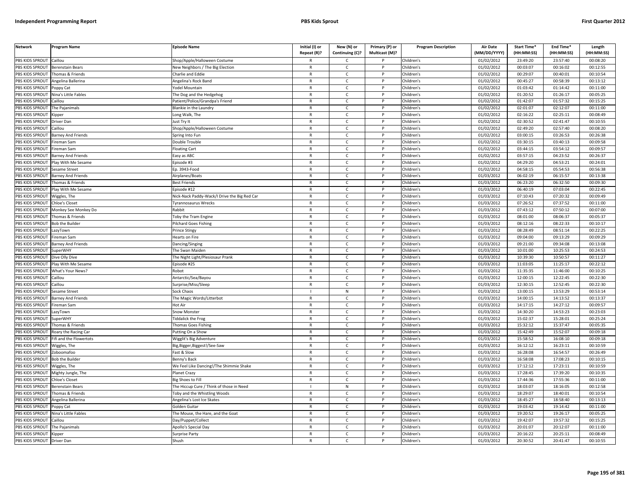| PBS KIDS SPROUT<br>Caillou<br>Children's<br>01/02/2012<br>23:49:20<br>23:57:40<br>00:08:20<br>Shop/Apple/Halloween Costume<br>C<br>R<br>PBS KIDS SPROUT<br><b>Berenstain Bears</b><br><b>New Neighbors / The Big Election</b><br>$\mathsf{C}$<br>Children's<br>01/02/2012<br>00:03:07<br>00:16:02<br>00:12:55<br>$\mathsf{R}$<br>P<br>PBS KIDS SPROUT<br>Children's<br>01/02/2012<br>00:29:07<br>00:40:01<br>00:10:54<br>Thomas & Friends<br>Charlie and Eddie<br>$\mathsf{R}$<br>$\mathsf{C}$<br>P<br>01/02/2012<br>00:45:27<br>00:58:39<br>00:13:12<br>PBS KIDS SPROUT<br>Angelina Ballerina<br>Angelina's Rock Band<br>$\mathsf{R}$<br>$\mathsf{C}$<br>D<br>Children's<br>PBS KIDS SPROUT<br>Children's<br>01/02/2012<br>01:03:42<br>01:14:42<br>00:11:00<br>Poppy Cat<br>'odel Mountain<br>R<br>$\mathsf{C}$<br>PBS KIDS SPROUT<br><b>Nina's Little Fables</b><br>$\mathsf{R}$<br>$\mathsf{C}$<br>Children's<br>01/02/2012<br>01:20:52<br>01:26:17<br>00:05:25<br>he Dog and the Hedgehog<br>01/02/2012<br>01:42:07<br><b>BS KIDS SPROUT</b><br>Patient/Police/Grandpa's Friend<br>R<br>Children's<br>01:57:32<br>00:15:25<br>`aillou<br>C<br>$\mathsf{C}$<br>Children's<br>01/02/2012<br>02:01:07<br>02:12:07<br>00:11:00<br>PBS KIDS SPROUT<br><b>Blankie in the Laundry</b><br>$\mathsf{R}$<br>D<br>he Pajanimals<br>01/02/2012<br>02:16:22<br>02:25:11<br>00:08:49<br>PBS KIDS SPROUT<br>$\mathsf{C}$<br>Children's<br>Long Walk, The<br>$\mathsf{R}$<br>Kipper<br>P<br>PBS KIDS SPROUT<br>$\mathsf{C}$<br>Children's<br>01/02/2012<br>02:30:52<br>02:41:47<br>00:10:55<br>lust Try It<br>$\mathsf{R}$<br>D<br>Driver Dan<br>PBS KIDS SPROUT<br>Children's<br>01/02/2012<br>02:49:20<br>02:57:40<br>00:08:20<br>Caillou<br>Shop/Apple/Halloween Costume<br>$\mathsf{R}$<br>$\mathsf{C}$<br>P<br>01/02/2012<br>03:00:15<br>03:26:53<br>00:26:38<br>PBS KIDS SPROUT<br>$\mathsf{R}$<br>$\mathsf{C}$<br>Children's<br>Barney And Friends<br>Spring Into Fun<br>P<br>$\mathsf{R}$<br>$\mathsf{C}$<br>03:40:13<br>PBS KIDS SPROUT<br>ireman Sam<br>$\mathsf{P}$<br>Children's<br>01/02/2012<br>03:30:15<br>00:09:58<br>Double Trouble<br>PBS KIDS SPROUT<br>01/02/2012<br>03:44:15<br>03:54:12<br>00:09:57<br>$\mathsf{R}$<br>$\mathsf{C}$<br>Children's<br>ireman Sam<br>loating Cart<br>P<br>03:57:15<br>04:23:52<br>PBS KIDS SPROUT<br>$\mathsf{C}$<br>Children's<br>01/02/2012<br>00:26:37<br><b>Barney And Friends</b><br>Easy as ABC<br>$\mathsf{R}$<br>P<br>01/02/2012<br>PBS KIDS SPROUT<br>Play With Me Sesame<br>pisode #3<br>$\mathsf{R}$<br>$\mathsf{C}$<br>Children's<br>04:29:20<br>04:53:21<br>00:24:01<br>D<br>04:58:15<br>05:54:53<br>PBS KIDS SPROUT<br>esame Street<br>Ep. 3943-Food<br>$\mathsf{R}$<br>$\mathsf{C}$<br>Children's<br>01/02/2012<br>00:56:38<br>P<br>PBS KIDS SPROUT<br>$\mathsf{C}$<br>Children's<br>01/03/2012<br>06:02:19<br>06:15:57<br>00:13:38<br><b>Barney And Friends</b><br>Airplanes/Boats<br>$\mathsf{R}$<br>P<br>Children's<br>01/03/2012<br>06:23:20<br>06:32:50<br>00:09:30<br>PBS KIDS SPROUT<br>Thomas & Friends<br><b>Best Friends</b><br>$\mathsf{R}$<br>C<br>P<br>PBS KIDS SPROUT<br>Play With Me Sesame<br>pisode #12<br>$\mathsf{C}$<br>Children's<br>01/03/2012<br>06:40:19<br>07:03:04<br>00:22:45<br>R<br>P<br>PBS KIDS SPROUT<br>Viggles, The<br>Nick-Nack Paddy-Wack/I Drive the Big Red Car<br>$\mathsf{R}$<br>$\mathsf{C}$<br>P<br>Children's<br>01/03/2012<br>07:10:43<br>07:20:32<br>00:09:49<br>01/03/2012<br>07:26:52<br>07:37:52<br>00:11:00<br>PBS KIDS SPROUT<br>Chloe's Closet<br>vrannosaurus Wrecks<br>R<br>$\mathsf{C}$<br>Children's<br>PBS KIDS SPROUT<br>Rabbit<br>$\mathsf{R}$<br>$\mathsf{C}$<br>Children's<br>01/03/2012<br>07:43:12<br>07:50:12<br>00:07:00<br>Monkey See Monkey Do<br>Þ<br><b>BS KIDS SPROUT</b><br>Children's<br>01/03/2012<br>08:01:00<br>08:06:37<br>00:05:37<br>Thomas & Friends<br>oby the Tram Engine<br>R<br>c<br>PBS KIDS SPROUT<br><b>Bob the Builder</b><br>ilchard Goes Fishing<br>$\mathsf{R}$<br>$\mathsf{C}$<br>Children's<br>01/03/2012<br>08:12:16<br>08:22:33<br>00:10:17<br>01/03/2012<br>08:28:49<br>00:22:25<br>PBS KIDS SPROUT<br>$\mathsf{C}$<br>Children's<br>08:51:14<br>azyTown<br>Prince Stingy<br>$\mathsf{R}$<br>P<br>$\mathsf{C}$<br>01/03/2012<br>09:04:00<br>09:13:29<br>00:09:29<br>PBS KIDS SPROUT<br>$\mathsf{R}$<br>P<br>Children's<br>ireman Sam<br>learts on Fire<br>Children's<br>01/03/2012<br>09:21:00<br>09:34:08<br>00:13:08<br>PBS KIDS SPROUT<br><b>Barney And Friends</b><br>$\mathsf{R}$<br>$\mathsf{C}$<br>P<br>Dancing/Singing<br>01/03/2012<br>PBS KIDS SPROUT<br>$\mathsf{R}$<br>$\mathsf{C}$<br>Children's<br>10:01:00<br>10:25:53<br>00:24:53<br>uperWHY<br>P<br>The Swan Maiden<br>10:39:30<br>10:50:57<br>PBS KIDS SPROUT<br>$\mathsf{C}$<br>Children's<br>01/03/2012<br>00:11:27<br>Dive Olly Dive<br>The Night Light/Plesiosaur Prank<br>$\mathsf{R}$<br>$\mathsf{P}$<br>01/03/2012<br>PBS KIDS SPROUT<br>$\mathsf{C}$<br>Children's<br>11:03:05<br>11:25:17<br>00:22:12<br>Play With Me Sesame<br>pisode #25<br>$\mathsf{R}$<br>P<br>Children's<br>01/03/2012<br>11:35:35<br>11:46:00<br>00:10:25<br>PBS KIDS SPROUT<br>What's Your News?<br>Robot<br>R<br>$\mathsf{C}$<br>P<br>PBS KIDS SPROUT<br>Antarctic/Sea/Bayou<br>$\mathsf{R}$<br>$\mathsf{C}$<br>P<br>Children's<br>01/03/2012<br>12:00:15<br>12:22:45<br>00:22:30<br>aillou<br>PBS KIDS SPROUT<br>Caillou<br>Surprise/Miss/Sleep<br>$\mathsf{R}$<br>$\mathsf{C}$<br>Children's<br>01/03/2012<br>12:30:15<br>12:52:45<br>00:22:30<br>P<br>PBS KIDS SPROUT<br>Sock Chaos<br>${\sf N}$<br>Children's<br>01/03/2012<br>13:00:15<br>13:53:29<br>00:53:14<br>Sesame Street<br>D<br>PBS KIDS SPROUT<br>Children's<br>01/03/2012<br>14:00:15<br>14:13:52<br>00:13:37<br><b>Barney And Friends</b><br>The Magic Words/Litterbot<br>$\mathsf{R}$<br>$\mathsf{C}$<br>P<br>PBS KIDS SPROUT<br>Children's<br>01/03/2012<br>14:17:15<br>14:27:12<br>00:09:57<br>Fireman Sam<br><b>Hot Air</b><br>R<br>C<br>14:30:20<br>PBS KIDS SPROUT<br>Snow Monster<br>$\mathsf{R}$<br>$\mathsf{C}$<br>P<br>Children's<br>01/03/2012<br>14:53:23<br>00:23:03<br>azyTown<br>15:02:37<br>15:28:01<br>PBS KIDS SPROUT<br>SuperWHY<br>iddalick the Frog<br>R<br>Ċ<br>Children's<br>01/03/2012<br>00:25:24<br>01/03/2012<br>15:32:12<br>15:37:47<br>00:05:35<br>PBS KIDS SPROUT<br>Thomas & Friends<br>homas Goes Fishing<br>$\mathsf{R}$<br>$\mathsf{C}$<br>P<br>Children's<br><b>BS KIDS SPROUT</b><br>01/03/2012<br>15:42:49<br>15:52:07<br>00:09:18<br>Roary the Racing Car<br>Putting On a Show<br>$\mathsf{C}$<br>Children's<br>$\mathsf{R}$<br>P<br>PBS KIDS SPROUT<br>$\mathsf{R}$<br>$\mathsf{C}$<br>Children's<br>01/03/2012<br>15:58:52<br>16:08:10<br>00:09:18<br>ifi and the Flowertots<br>Nigglit's Big Adventure<br>Þ<br>PBS KIDS SPROUT<br>Children's<br>01/03/2012<br>16:12:12<br>16:23:11<br>00:10:59<br>Wiggles, The<br>lig, Bigger, Biggest!/See-Saw<br>c<br>R<br>P<br>01/03/2012<br>16:28:08<br>16:54:57<br>PBS KIDS SPROUT<br>ast & Slow<br>$\mathsf{R}$<br>$\mathsf{C}$<br>P<br>Children's<br>00:26:49<br>Zoboomafoo<br>PBS KIDS SPROUT<br>01/03/2012<br>16:58:08<br>17:08:23<br>00:10:15<br>Benny's Back<br>$\mathsf{C}$<br>Children's<br><b>Bob the Builder</b><br>$\mathsf{R}$<br>P<br>17:12:12<br>PBS KIDS SPROUT<br>$\mathsf{C}$<br>Children's<br>01/03/2012<br>17:23:11<br>00:10:59<br>We Feel Like Dancing!/The Shimmie Shake<br>$\mathsf{R}$<br>Wiggles, The<br>P<br>$\mathsf{C}$<br>$\sqrt{01/03/2012}$<br>17:28:45<br>17:39:20<br>00:10:35<br>PBS KIDS SPROUT<br>$\mathsf{R}$<br>P<br>Children's<br>Mighty Jungle, The<br>Planet Crazy<br>PBS KIDS SPROUT<br>01/03/2012<br>17:44:36<br>17:55:36<br>hloe's Closet<br>ig Shoes to Fill<br>$\mathsf{R}$<br>$\mathsf{C}$<br>P<br>Children's<br>00:11:00<br>18:03:07<br>18:16:05<br>PBS KIDS SPROUT<br>Berenstain Bears<br>The Hiccup Cure / Think of those in Need<br>N<br>P<br>Children's<br>01/03/2012<br>00:12:58<br>$\mathbf{I}$<br>$\mathsf{R}$<br>C<br>01/03/2012<br>18:29:07<br>18:40:01<br>PBS KIDS SPROUT<br>homas & Friends<br><b>Toby and the Whistling Woods</b><br>Children's<br>00:10:54<br>PBS KIDS SPROUT<br>$\mathsf{C}$<br>Children's<br>01/03/2012<br>18:45:27<br>18:58:40<br>00:13:13<br>Angelina Ballerina<br>Angelina's Lost Ice Skates<br>R<br>P<br>PBS KIDS SPROUT<br>Golden Guitar<br>$\mathsf{C}$<br>Children's<br>01/03/2012<br>19:03:42<br>19:14:42<br>00:11:00<br>Poppy Cat<br>$\mathsf{R}$<br>P<br>01/03/2012<br>19:20:52<br>19:26:17<br>00:05:25<br>PBS KIDS SPROUT<br>Nina's Little Fables<br>The Mouse, the Hare, and the Goat<br>$\mathsf{R}$<br>$\mathsf{C}$<br>P<br>Children's<br>PBS KIDS SPROUT<br>01/03/2012<br>19:42:07<br>19:57:32<br>00:15:25<br>Caillou<br>Day/Puppet/Collect<br>R<br>Ċ<br>Children's<br>PBS KIDS SPROUT<br>Children's<br>01/03/2012<br>20:01:07<br>20:12:07<br>00:11:00<br>The Pajanimals<br>Apollo's Special Day<br>$\mathsf{R}$<br>$\mathsf{C}$<br>P<br>PBS KIDS SPROUT<br>Children's<br>01/03/2012<br>20:16:22<br>20:25:11<br>00:08:49<br>Surprise Party<br>R<br>C<br>Kipper<br>PBS KIDS SPROUT<br>20:30:52<br>20:41:47<br><b>Driver Dan</b><br>Shush<br>R<br>$\mathsf{C}$<br>Children's<br>00:10:55 | <b>Network</b> | Program Name | <b>Episode Name</b> | Initial (I) or<br>Repeat (R)? | New (N) or<br>Continuing (C)? | Primary (P) or<br>Multicast (M)? | <b>Program Description</b> | Air Date<br>(MM/DD/YYYY) | Start Time*<br>(HH:MM:SS) | End Time*<br>(HH:MM:SS) | Length<br>(HH:MM:SS) |
|------------------------------------------------------------------------------------------------------------------------------------------------------------------------------------------------------------------------------------------------------------------------------------------------------------------------------------------------------------------------------------------------------------------------------------------------------------------------------------------------------------------------------------------------------------------------------------------------------------------------------------------------------------------------------------------------------------------------------------------------------------------------------------------------------------------------------------------------------------------------------------------------------------------------------------------------------------------------------------------------------------------------------------------------------------------------------------------------------------------------------------------------------------------------------------------------------------------------------------------------------------------------------------------------------------------------------------------------------------------------------------------------------------------------------------------------------------------------------------------------------------------------------------------------------------------------------------------------------------------------------------------------------------------------------------------------------------------------------------------------------------------------------------------------------------------------------------------------------------------------------------------------------------------------------------------------------------------------------------------------------------------------------------------------------------------------------------------------------------------------------------------------------------------------------------------------------------------------------------------------------------------------------------------------------------------------------------------------------------------------------------------------------------------------------------------------------------------------------------------------------------------------------------------------------------------------------------------------------------------------------------------------------------------------------------------------------------------------------------------------------------------------------------------------------------------------------------------------------------------------------------------------------------------------------------------------------------------------------------------------------------------------------------------------------------------------------------------------------------------------------------------------------------------------------------------------------------------------------------------------------------------------------------------------------------------------------------------------------------------------------------------------------------------------------------------------------------------------------------------------------------------------------------------------------------------------------------------------------------------------------------------------------------------------------------------------------------------------------------------------------------------------------------------------------------------------------------------------------------------------------------------------------------------------------------------------------------------------------------------------------------------------------------------------------------------------------------------------------------------------------------------------------------------------------------------------------------------------------------------------------------------------------------------------------------------------------------------------------------------------------------------------------------------------------------------------------------------------------------------------------------------------------------------------------------------------------------------------------------------------------------------------------------------------------------------------------------------------------------------------------------------------------------------------------------------------------------------------------------------------------------------------------------------------------------------------------------------------------------------------------------------------------------------------------------------------------------------------------------------------------------------------------------------------------------------------------------------------------------------------------------------------------------------------------------------------------------------------------------------------------------------------------------------------------------------------------------------------------------------------------------------------------------------------------------------------------------------------------------------------------------------------------------------------------------------------------------------------------------------------------------------------------------------------------------------------------------------------------------------------------------------------------------------------------------------------------------------------------------------------------------------------------------------------------------------------------------------------------------------------------------------------------------------------------------------------------------------------------------------------------------------------------------------------------------------------------------------------------------------------------------------------------------------------------------------------------------------------------------------------------------------------------------------------------------------------------------------------------------------------------------------------------------------------------------------------------------------------------------------------------------------------------------------------------------------------------------------------------------------------------------------------------------------------------------------------------------------------------------------------------------------------------------------------------------------------------------------------------------------------------------------------------------------------------------------------------------------------------------------------------------------------------------------------------------------------------------------------------------------------------------------------------------------------------------------------------------------------------------------------------------------------------------------------------------------------------------------------------------------------------------------------------------------------------------------------------------------------------------------------------------------------------------------------------------------------------------------------------------------------------------------------------------------------------------------------------------------------------------------------------------------------------------------------------------------------------------------------------------------------------------------------------------------------------------------------------------------------------------------------------------------------------------------------------------------------------------------------------------------------------------------------------------------------------------------------------------------------------------------------------------------------------------------------------------------------------------------------------------------------------------------------------------------------------------------------------------------------------------------------------------------------------------------------------------------------------------------------------------------------------------------------------------------------------------------------------------------------------------------------------------------------------------------------------------------------------------------------------------------------------------------------------------------------------------------------------------------------------------------|----------------|--------------|---------------------|-------------------------------|-------------------------------|----------------------------------|----------------------------|--------------------------|---------------------------|-------------------------|----------------------|
|                                                                                                                                                                                                                                                                                                                                                                                                                                                                                                                                                                                                                                                                                                                                                                                                                                                                                                                                                                                                                                                                                                                                                                                                                                                                                                                                                                                                                                                                                                                                                                                                                                                                                                                                                                                                                                                                                                                                                                                                                                                                                                                                                                                                                                                                                                                                                                                                                                                                                                                                                                                                                                                                                                                                                                                                                                                                                                                                                                                                                                                                                                                                                                                                                                                                                                                                                                                                                                                                                                                                                                                                                                                                                                                                                                                                                                                                                                                                                                                                                                                                                                                                                                                                                                                                                                                                                                                                                                                                                                                                                                                                                                                                                                                                                                                                                                                                                                                                                                                                                                                                                                                                                                                                                                                                                                                                                                                                                                                                                                                                                                                                                                                                                                                                                                                                                                                                                                                                                                                                                                                                                                                                                                                                                                                                                                                                                                                                                                                                                                                                                                                                                                                                                                                                                                                                                                                                                                                                                                                                                                                                                                                                                                                                                                                                                                                                                                                                                                                                                                                                                                                                                                                                                                                                                                                                                                                                                                                                                                                                                                                                                                                                                                                                                                                                                                                                                                                                                                                                                                                                                                                                                                                                                                                                                                                                                                                                                                                                                                                                                                                                                                                                                                                                                                          |                |              |                     |                               |                               |                                  |                            |                          |                           |                         |                      |
|                                                                                                                                                                                                                                                                                                                                                                                                                                                                                                                                                                                                                                                                                                                                                                                                                                                                                                                                                                                                                                                                                                                                                                                                                                                                                                                                                                                                                                                                                                                                                                                                                                                                                                                                                                                                                                                                                                                                                                                                                                                                                                                                                                                                                                                                                                                                                                                                                                                                                                                                                                                                                                                                                                                                                                                                                                                                                                                                                                                                                                                                                                                                                                                                                                                                                                                                                                                                                                                                                                                                                                                                                                                                                                                                                                                                                                                                                                                                                                                                                                                                                                                                                                                                                                                                                                                                                                                                                                                                                                                                                                                                                                                                                                                                                                                                                                                                                                                                                                                                                                                                                                                                                                                                                                                                                                                                                                                                                                                                                                                                                                                                                                                                                                                                                                                                                                                                                                                                                                                                                                                                                                                                                                                                                                                                                                                                                                                                                                                                                                                                                                                                                                                                                                                                                                                                                                                                                                                                                                                                                                                                                                                                                                                                                                                                                                                                                                                                                                                                                                                                                                                                                                                                                                                                                                                                                                                                                                                                                                                                                                                                                                                                                                                                                                                                                                                                                                                                                                                                                                                                                                                                                                                                                                                                                                                                                                                                                                                                                                                                                                                                                                                                                                                                                                          |                |              |                     |                               |                               |                                  |                            |                          |                           |                         |                      |
|                                                                                                                                                                                                                                                                                                                                                                                                                                                                                                                                                                                                                                                                                                                                                                                                                                                                                                                                                                                                                                                                                                                                                                                                                                                                                                                                                                                                                                                                                                                                                                                                                                                                                                                                                                                                                                                                                                                                                                                                                                                                                                                                                                                                                                                                                                                                                                                                                                                                                                                                                                                                                                                                                                                                                                                                                                                                                                                                                                                                                                                                                                                                                                                                                                                                                                                                                                                                                                                                                                                                                                                                                                                                                                                                                                                                                                                                                                                                                                                                                                                                                                                                                                                                                                                                                                                                                                                                                                                                                                                                                                                                                                                                                                                                                                                                                                                                                                                                                                                                                                                                                                                                                                                                                                                                                                                                                                                                                                                                                                                                                                                                                                                                                                                                                                                                                                                                                                                                                                                                                                                                                                                                                                                                                                                                                                                                                                                                                                                                                                                                                                                                                                                                                                                                                                                                                                                                                                                                                                                                                                                                                                                                                                                                                                                                                                                                                                                                                                                                                                                                                                                                                                                                                                                                                                                                                                                                                                                                                                                                                                                                                                                                                                                                                                                                                                                                                                                                                                                                                                                                                                                                                                                                                                                                                                                                                                                                                                                                                                                                                                                                                                                                                                                                                                          |                |              |                     |                               |                               |                                  |                            |                          |                           |                         |                      |
|                                                                                                                                                                                                                                                                                                                                                                                                                                                                                                                                                                                                                                                                                                                                                                                                                                                                                                                                                                                                                                                                                                                                                                                                                                                                                                                                                                                                                                                                                                                                                                                                                                                                                                                                                                                                                                                                                                                                                                                                                                                                                                                                                                                                                                                                                                                                                                                                                                                                                                                                                                                                                                                                                                                                                                                                                                                                                                                                                                                                                                                                                                                                                                                                                                                                                                                                                                                                                                                                                                                                                                                                                                                                                                                                                                                                                                                                                                                                                                                                                                                                                                                                                                                                                                                                                                                                                                                                                                                                                                                                                                                                                                                                                                                                                                                                                                                                                                                                                                                                                                                                                                                                                                                                                                                                                                                                                                                                                                                                                                                                                                                                                                                                                                                                                                                                                                                                                                                                                                                                                                                                                                                                                                                                                                                                                                                                                                                                                                                                                                                                                                                                                                                                                                                                                                                                                                                                                                                                                                                                                                                                                                                                                                                                                                                                                                                                                                                                                                                                                                                                                                                                                                                                                                                                                                                                                                                                                                                                                                                                                                                                                                                                                                                                                                                                                                                                                                                                                                                                                                                                                                                                                                                                                                                                                                                                                                                                                                                                                                                                                                                                                                                                                                                                                                          |                |              |                     |                               |                               |                                  |                            |                          |                           |                         |                      |
|                                                                                                                                                                                                                                                                                                                                                                                                                                                                                                                                                                                                                                                                                                                                                                                                                                                                                                                                                                                                                                                                                                                                                                                                                                                                                                                                                                                                                                                                                                                                                                                                                                                                                                                                                                                                                                                                                                                                                                                                                                                                                                                                                                                                                                                                                                                                                                                                                                                                                                                                                                                                                                                                                                                                                                                                                                                                                                                                                                                                                                                                                                                                                                                                                                                                                                                                                                                                                                                                                                                                                                                                                                                                                                                                                                                                                                                                                                                                                                                                                                                                                                                                                                                                                                                                                                                                                                                                                                                                                                                                                                                                                                                                                                                                                                                                                                                                                                                                                                                                                                                                                                                                                                                                                                                                                                                                                                                                                                                                                                                                                                                                                                                                                                                                                                                                                                                                                                                                                                                                                                                                                                                                                                                                                                                                                                                                                                                                                                                                                                                                                                                                                                                                                                                                                                                                                                                                                                                                                                                                                                                                                                                                                                                                                                                                                                                                                                                                                                                                                                                                                                                                                                                                                                                                                                                                                                                                                                                                                                                                                                                                                                                                                                                                                                                                                                                                                                                                                                                                                                                                                                                                                                                                                                                                                                                                                                                                                                                                                                                                                                                                                                                                                                                                                                          |                |              |                     |                               |                               |                                  |                            |                          |                           |                         |                      |
|                                                                                                                                                                                                                                                                                                                                                                                                                                                                                                                                                                                                                                                                                                                                                                                                                                                                                                                                                                                                                                                                                                                                                                                                                                                                                                                                                                                                                                                                                                                                                                                                                                                                                                                                                                                                                                                                                                                                                                                                                                                                                                                                                                                                                                                                                                                                                                                                                                                                                                                                                                                                                                                                                                                                                                                                                                                                                                                                                                                                                                                                                                                                                                                                                                                                                                                                                                                                                                                                                                                                                                                                                                                                                                                                                                                                                                                                                                                                                                                                                                                                                                                                                                                                                                                                                                                                                                                                                                                                                                                                                                                                                                                                                                                                                                                                                                                                                                                                                                                                                                                                                                                                                                                                                                                                                                                                                                                                                                                                                                                                                                                                                                                                                                                                                                                                                                                                                                                                                                                                                                                                                                                                                                                                                                                                                                                                                                                                                                                                                                                                                                                                                                                                                                                                                                                                                                                                                                                                                                                                                                                                                                                                                                                                                                                                                                                                                                                                                                                                                                                                                                                                                                                                                                                                                                                                                                                                                                                                                                                                                                                                                                                                                                                                                                                                                                                                                                                                                                                                                                                                                                                                                                                                                                                                                                                                                                                                                                                                                                                                                                                                                                                                                                                                                                          |                |              |                     |                               |                               |                                  |                            |                          |                           |                         |                      |
|                                                                                                                                                                                                                                                                                                                                                                                                                                                                                                                                                                                                                                                                                                                                                                                                                                                                                                                                                                                                                                                                                                                                                                                                                                                                                                                                                                                                                                                                                                                                                                                                                                                                                                                                                                                                                                                                                                                                                                                                                                                                                                                                                                                                                                                                                                                                                                                                                                                                                                                                                                                                                                                                                                                                                                                                                                                                                                                                                                                                                                                                                                                                                                                                                                                                                                                                                                                                                                                                                                                                                                                                                                                                                                                                                                                                                                                                                                                                                                                                                                                                                                                                                                                                                                                                                                                                                                                                                                                                                                                                                                                                                                                                                                                                                                                                                                                                                                                                                                                                                                                                                                                                                                                                                                                                                                                                                                                                                                                                                                                                                                                                                                                                                                                                                                                                                                                                                                                                                                                                                                                                                                                                                                                                                                                                                                                                                                                                                                                                                                                                                                                                                                                                                                                                                                                                                                                                                                                                                                                                                                                                                                                                                                                                                                                                                                                                                                                                                                                                                                                                                                                                                                                                                                                                                                                                                                                                                                                                                                                                                                                                                                                                                                                                                                                                                                                                                                                                                                                                                                                                                                                                                                                                                                                                                                                                                                                                                                                                                                                                                                                                                                                                                                                                                                          |                |              |                     |                               |                               |                                  |                            |                          |                           |                         |                      |
|                                                                                                                                                                                                                                                                                                                                                                                                                                                                                                                                                                                                                                                                                                                                                                                                                                                                                                                                                                                                                                                                                                                                                                                                                                                                                                                                                                                                                                                                                                                                                                                                                                                                                                                                                                                                                                                                                                                                                                                                                                                                                                                                                                                                                                                                                                                                                                                                                                                                                                                                                                                                                                                                                                                                                                                                                                                                                                                                                                                                                                                                                                                                                                                                                                                                                                                                                                                                                                                                                                                                                                                                                                                                                                                                                                                                                                                                                                                                                                                                                                                                                                                                                                                                                                                                                                                                                                                                                                                                                                                                                                                                                                                                                                                                                                                                                                                                                                                                                                                                                                                                                                                                                                                                                                                                                                                                                                                                                                                                                                                                                                                                                                                                                                                                                                                                                                                                                                                                                                                                                                                                                                                                                                                                                                                                                                                                                                                                                                                                                                                                                                                                                                                                                                                                                                                                                                                                                                                                                                                                                                                                                                                                                                                                                                                                                                                                                                                                                                                                                                                                                                                                                                                                                                                                                                                                                                                                                                                                                                                                                                                                                                                                                                                                                                                                                                                                                                                                                                                                                                                                                                                                                                                                                                                                                                                                                                                                                                                                                                                                                                                                                                                                                                                                                                          |                |              |                     |                               |                               |                                  |                            |                          |                           |                         |                      |
|                                                                                                                                                                                                                                                                                                                                                                                                                                                                                                                                                                                                                                                                                                                                                                                                                                                                                                                                                                                                                                                                                                                                                                                                                                                                                                                                                                                                                                                                                                                                                                                                                                                                                                                                                                                                                                                                                                                                                                                                                                                                                                                                                                                                                                                                                                                                                                                                                                                                                                                                                                                                                                                                                                                                                                                                                                                                                                                                                                                                                                                                                                                                                                                                                                                                                                                                                                                                                                                                                                                                                                                                                                                                                                                                                                                                                                                                                                                                                                                                                                                                                                                                                                                                                                                                                                                                                                                                                                                                                                                                                                                                                                                                                                                                                                                                                                                                                                                                                                                                                                                                                                                                                                                                                                                                                                                                                                                                                                                                                                                                                                                                                                                                                                                                                                                                                                                                                                                                                                                                                                                                                                                                                                                                                                                                                                                                                                                                                                                                                                                                                                                                                                                                                                                                                                                                                                                                                                                                                                                                                                                                                                                                                                                                                                                                                                                                                                                                                                                                                                                                                                                                                                                                                                                                                                                                                                                                                                                                                                                                                                                                                                                                                                                                                                                                                                                                                                                                                                                                                                                                                                                                                                                                                                                                                                                                                                                                                                                                                                                                                                                                                                                                                                                                                                          |                |              |                     |                               |                               |                                  |                            |                          |                           |                         |                      |
|                                                                                                                                                                                                                                                                                                                                                                                                                                                                                                                                                                                                                                                                                                                                                                                                                                                                                                                                                                                                                                                                                                                                                                                                                                                                                                                                                                                                                                                                                                                                                                                                                                                                                                                                                                                                                                                                                                                                                                                                                                                                                                                                                                                                                                                                                                                                                                                                                                                                                                                                                                                                                                                                                                                                                                                                                                                                                                                                                                                                                                                                                                                                                                                                                                                                                                                                                                                                                                                                                                                                                                                                                                                                                                                                                                                                                                                                                                                                                                                                                                                                                                                                                                                                                                                                                                                                                                                                                                                                                                                                                                                                                                                                                                                                                                                                                                                                                                                                                                                                                                                                                                                                                                                                                                                                                                                                                                                                                                                                                                                                                                                                                                                                                                                                                                                                                                                                                                                                                                                                                                                                                                                                                                                                                                                                                                                                                                                                                                                                                                                                                                                                                                                                                                                                                                                                                                                                                                                                                                                                                                                                                                                                                                                                                                                                                                                                                                                                                                                                                                                                                                                                                                                                                                                                                                                                                                                                                                                                                                                                                                                                                                                                                                                                                                                                                                                                                                                                                                                                                                                                                                                                                                                                                                                                                                                                                                                                                                                                                                                                                                                                                                                                                                                                                                          |                |              |                     |                               |                               |                                  |                            |                          |                           |                         |                      |
|                                                                                                                                                                                                                                                                                                                                                                                                                                                                                                                                                                                                                                                                                                                                                                                                                                                                                                                                                                                                                                                                                                                                                                                                                                                                                                                                                                                                                                                                                                                                                                                                                                                                                                                                                                                                                                                                                                                                                                                                                                                                                                                                                                                                                                                                                                                                                                                                                                                                                                                                                                                                                                                                                                                                                                                                                                                                                                                                                                                                                                                                                                                                                                                                                                                                                                                                                                                                                                                                                                                                                                                                                                                                                                                                                                                                                                                                                                                                                                                                                                                                                                                                                                                                                                                                                                                                                                                                                                                                                                                                                                                                                                                                                                                                                                                                                                                                                                                                                                                                                                                                                                                                                                                                                                                                                                                                                                                                                                                                                                                                                                                                                                                                                                                                                                                                                                                                                                                                                                                                                                                                                                                                                                                                                                                                                                                                                                                                                                                                                                                                                                                                                                                                                                                                                                                                                                                                                                                                                                                                                                                                                                                                                                                                                                                                                                                                                                                                                                                                                                                                                                                                                                                                                                                                                                                                                                                                                                                                                                                                                                                                                                                                                                                                                                                                                                                                                                                                                                                                                                                                                                                                                                                                                                                                                                                                                                                                                                                                                                                                                                                                                                                                                                                                                                          |                |              |                     |                               |                               |                                  |                            |                          |                           |                         |                      |
|                                                                                                                                                                                                                                                                                                                                                                                                                                                                                                                                                                                                                                                                                                                                                                                                                                                                                                                                                                                                                                                                                                                                                                                                                                                                                                                                                                                                                                                                                                                                                                                                                                                                                                                                                                                                                                                                                                                                                                                                                                                                                                                                                                                                                                                                                                                                                                                                                                                                                                                                                                                                                                                                                                                                                                                                                                                                                                                                                                                                                                                                                                                                                                                                                                                                                                                                                                                                                                                                                                                                                                                                                                                                                                                                                                                                                                                                                                                                                                                                                                                                                                                                                                                                                                                                                                                                                                                                                                                                                                                                                                                                                                                                                                                                                                                                                                                                                                                                                                                                                                                                                                                                                                                                                                                                                                                                                                                                                                                                                                                                                                                                                                                                                                                                                                                                                                                                                                                                                                                                                                                                                                                                                                                                                                                                                                                                                                                                                                                                                                                                                                                                                                                                                                                                                                                                                                                                                                                                                                                                                                                                                                                                                                                                                                                                                                                                                                                                                                                                                                                                                                                                                                                                                                                                                                                                                                                                                                                                                                                                                                                                                                                                                                                                                                                                                                                                                                                                                                                                                                                                                                                                                                                                                                                                                                                                                                                                                                                                                                                                                                                                                                                                                                                                                                          |                |              |                     |                               |                               |                                  |                            |                          |                           |                         |                      |
|                                                                                                                                                                                                                                                                                                                                                                                                                                                                                                                                                                                                                                                                                                                                                                                                                                                                                                                                                                                                                                                                                                                                                                                                                                                                                                                                                                                                                                                                                                                                                                                                                                                                                                                                                                                                                                                                                                                                                                                                                                                                                                                                                                                                                                                                                                                                                                                                                                                                                                                                                                                                                                                                                                                                                                                                                                                                                                                                                                                                                                                                                                                                                                                                                                                                                                                                                                                                                                                                                                                                                                                                                                                                                                                                                                                                                                                                                                                                                                                                                                                                                                                                                                                                                                                                                                                                                                                                                                                                                                                                                                                                                                                                                                                                                                                                                                                                                                                                                                                                                                                                                                                                                                                                                                                                                                                                                                                                                                                                                                                                                                                                                                                                                                                                                                                                                                                                                                                                                                                                                                                                                                                                                                                                                                                                                                                                                                                                                                                                                                                                                                                                                                                                                                                                                                                                                                                                                                                                                                                                                                                                                                                                                                                                                                                                                                                                                                                                                                                                                                                                                                                                                                                                                                                                                                                                                                                                                                                                                                                                                                                                                                                                                                                                                                                                                                                                                                                                                                                                                                                                                                                                                                                                                                                                                                                                                                                                                                                                                                                                                                                                                                                                                                                                                                          |                |              |                     |                               |                               |                                  |                            |                          |                           |                         |                      |
|                                                                                                                                                                                                                                                                                                                                                                                                                                                                                                                                                                                                                                                                                                                                                                                                                                                                                                                                                                                                                                                                                                                                                                                                                                                                                                                                                                                                                                                                                                                                                                                                                                                                                                                                                                                                                                                                                                                                                                                                                                                                                                                                                                                                                                                                                                                                                                                                                                                                                                                                                                                                                                                                                                                                                                                                                                                                                                                                                                                                                                                                                                                                                                                                                                                                                                                                                                                                                                                                                                                                                                                                                                                                                                                                                                                                                                                                                                                                                                                                                                                                                                                                                                                                                                                                                                                                                                                                                                                                                                                                                                                                                                                                                                                                                                                                                                                                                                                                                                                                                                                                                                                                                                                                                                                                                                                                                                                                                                                                                                                                                                                                                                                                                                                                                                                                                                                                                                                                                                                                                                                                                                                                                                                                                                                                                                                                                                                                                                                                                                                                                                                                                                                                                                                                                                                                                                                                                                                                                                                                                                                                                                                                                                                                                                                                                                                                                                                                                                                                                                                                                                                                                                                                                                                                                                                                                                                                                                                                                                                                                                                                                                                                                                                                                                                                                                                                                                                                                                                                                                                                                                                                                                                                                                                                                                                                                                                                                                                                                                                                                                                                                                                                                                                                                                          |                |              |                     |                               |                               |                                  |                            |                          |                           |                         |                      |
|                                                                                                                                                                                                                                                                                                                                                                                                                                                                                                                                                                                                                                                                                                                                                                                                                                                                                                                                                                                                                                                                                                                                                                                                                                                                                                                                                                                                                                                                                                                                                                                                                                                                                                                                                                                                                                                                                                                                                                                                                                                                                                                                                                                                                                                                                                                                                                                                                                                                                                                                                                                                                                                                                                                                                                                                                                                                                                                                                                                                                                                                                                                                                                                                                                                                                                                                                                                                                                                                                                                                                                                                                                                                                                                                                                                                                                                                                                                                                                                                                                                                                                                                                                                                                                                                                                                                                                                                                                                                                                                                                                                                                                                                                                                                                                                                                                                                                                                                                                                                                                                                                                                                                                                                                                                                                                                                                                                                                                                                                                                                                                                                                                                                                                                                                                                                                                                                                                                                                                                                                                                                                                                                                                                                                                                                                                                                                                                                                                                                                                                                                                                                                                                                                                                                                                                                                                                                                                                                                                                                                                                                                                                                                                                                                                                                                                                                                                                                                                                                                                                                                                                                                                                                                                                                                                                                                                                                                                                                                                                                                                                                                                                                                                                                                                                                                                                                                                                                                                                                                                                                                                                                                                                                                                                                                                                                                                                                                                                                                                                                                                                                                                                                                                                                                                          |                |              |                     |                               |                               |                                  |                            |                          |                           |                         |                      |
|                                                                                                                                                                                                                                                                                                                                                                                                                                                                                                                                                                                                                                                                                                                                                                                                                                                                                                                                                                                                                                                                                                                                                                                                                                                                                                                                                                                                                                                                                                                                                                                                                                                                                                                                                                                                                                                                                                                                                                                                                                                                                                                                                                                                                                                                                                                                                                                                                                                                                                                                                                                                                                                                                                                                                                                                                                                                                                                                                                                                                                                                                                                                                                                                                                                                                                                                                                                                                                                                                                                                                                                                                                                                                                                                                                                                                                                                                                                                                                                                                                                                                                                                                                                                                                                                                                                                                                                                                                                                                                                                                                                                                                                                                                                                                                                                                                                                                                                                                                                                                                                                                                                                                                                                                                                                                                                                                                                                                                                                                                                                                                                                                                                                                                                                                                                                                                                                                                                                                                                                                                                                                                                                                                                                                                                                                                                                                                                                                                                                                                                                                                                                                                                                                                                                                                                                                                                                                                                                                                                                                                                                                                                                                                                                                                                                                                                                                                                                                                                                                                                                                                                                                                                                                                                                                                                                                                                                                                                                                                                                                                                                                                                                                                                                                                                                                                                                                                                                                                                                                                                                                                                                                                                                                                                                                                                                                                                                                                                                                                                                                                                                                                                                                                                                                                          |                |              |                     |                               |                               |                                  |                            |                          |                           |                         |                      |
|                                                                                                                                                                                                                                                                                                                                                                                                                                                                                                                                                                                                                                                                                                                                                                                                                                                                                                                                                                                                                                                                                                                                                                                                                                                                                                                                                                                                                                                                                                                                                                                                                                                                                                                                                                                                                                                                                                                                                                                                                                                                                                                                                                                                                                                                                                                                                                                                                                                                                                                                                                                                                                                                                                                                                                                                                                                                                                                                                                                                                                                                                                                                                                                                                                                                                                                                                                                                                                                                                                                                                                                                                                                                                                                                                                                                                                                                                                                                                                                                                                                                                                                                                                                                                                                                                                                                                                                                                                                                                                                                                                                                                                                                                                                                                                                                                                                                                                                                                                                                                                                                                                                                                                                                                                                                                                                                                                                                                                                                                                                                                                                                                                                                                                                                                                                                                                                                                                                                                                                                                                                                                                                                                                                                                                                                                                                                                                                                                                                                                                                                                                                                                                                                                                                                                                                                                                                                                                                                                                                                                                                                                                                                                                                                                                                                                                                                                                                                                                                                                                                                                                                                                                                                                                                                                                                                                                                                                                                                                                                                                                                                                                                                                                                                                                                                                                                                                                                                                                                                                                                                                                                                                                                                                                                                                                                                                                                                                                                                                                                                                                                                                                                                                                                                                                          |                |              |                     |                               |                               |                                  |                            |                          |                           |                         |                      |
|                                                                                                                                                                                                                                                                                                                                                                                                                                                                                                                                                                                                                                                                                                                                                                                                                                                                                                                                                                                                                                                                                                                                                                                                                                                                                                                                                                                                                                                                                                                                                                                                                                                                                                                                                                                                                                                                                                                                                                                                                                                                                                                                                                                                                                                                                                                                                                                                                                                                                                                                                                                                                                                                                                                                                                                                                                                                                                                                                                                                                                                                                                                                                                                                                                                                                                                                                                                                                                                                                                                                                                                                                                                                                                                                                                                                                                                                                                                                                                                                                                                                                                                                                                                                                                                                                                                                                                                                                                                                                                                                                                                                                                                                                                                                                                                                                                                                                                                                                                                                                                                                                                                                                                                                                                                                                                                                                                                                                                                                                                                                                                                                                                                                                                                                                                                                                                                                                                                                                                                                                                                                                                                                                                                                                                                                                                                                                                                                                                                                                                                                                                                                                                                                                                                                                                                                                                                                                                                                                                                                                                                                                                                                                                                                                                                                                                                                                                                                                                                                                                                                                                                                                                                                                                                                                                                                                                                                                                                                                                                                                                                                                                                                                                                                                                                                                                                                                                                                                                                                                                                                                                                                                                                                                                                                                                                                                                                                                                                                                                                                                                                                                                                                                                                                                                          |                |              |                     |                               |                               |                                  |                            |                          |                           |                         |                      |
|                                                                                                                                                                                                                                                                                                                                                                                                                                                                                                                                                                                                                                                                                                                                                                                                                                                                                                                                                                                                                                                                                                                                                                                                                                                                                                                                                                                                                                                                                                                                                                                                                                                                                                                                                                                                                                                                                                                                                                                                                                                                                                                                                                                                                                                                                                                                                                                                                                                                                                                                                                                                                                                                                                                                                                                                                                                                                                                                                                                                                                                                                                                                                                                                                                                                                                                                                                                                                                                                                                                                                                                                                                                                                                                                                                                                                                                                                                                                                                                                                                                                                                                                                                                                                                                                                                                                                                                                                                                                                                                                                                                                                                                                                                                                                                                                                                                                                                                                                                                                                                                                                                                                                                                                                                                                                                                                                                                                                                                                                                                                                                                                                                                                                                                                                                                                                                                                                                                                                                                                                                                                                                                                                                                                                                                                                                                                                                                                                                                                                                                                                                                                                                                                                                                                                                                                                                                                                                                                                                                                                                                                                                                                                                                                                                                                                                                                                                                                                                                                                                                                                                                                                                                                                                                                                                                                                                                                                                                                                                                                                                                                                                                                                                                                                                                                                                                                                                                                                                                                                                                                                                                                                                                                                                                                                                                                                                                                                                                                                                                                                                                                                                                                                                                                                                          |                |              |                     |                               |                               |                                  |                            |                          |                           |                         |                      |
|                                                                                                                                                                                                                                                                                                                                                                                                                                                                                                                                                                                                                                                                                                                                                                                                                                                                                                                                                                                                                                                                                                                                                                                                                                                                                                                                                                                                                                                                                                                                                                                                                                                                                                                                                                                                                                                                                                                                                                                                                                                                                                                                                                                                                                                                                                                                                                                                                                                                                                                                                                                                                                                                                                                                                                                                                                                                                                                                                                                                                                                                                                                                                                                                                                                                                                                                                                                                                                                                                                                                                                                                                                                                                                                                                                                                                                                                                                                                                                                                                                                                                                                                                                                                                                                                                                                                                                                                                                                                                                                                                                                                                                                                                                                                                                                                                                                                                                                                                                                                                                                                                                                                                                                                                                                                                                                                                                                                                                                                                                                                                                                                                                                                                                                                                                                                                                                                                                                                                                                                                                                                                                                                                                                                                                                                                                                                                                                                                                                                                                                                                                                                                                                                                                                                                                                                                                                                                                                                                                                                                                                                                                                                                                                                                                                                                                                                                                                                                                                                                                                                                                                                                                                                                                                                                                                                                                                                                                                                                                                                                                                                                                                                                                                                                                                                                                                                                                                                                                                                                                                                                                                                                                                                                                                                                                                                                                                                                                                                                                                                                                                                                                                                                                                                                                          |                |              |                     |                               |                               |                                  |                            |                          |                           |                         |                      |
|                                                                                                                                                                                                                                                                                                                                                                                                                                                                                                                                                                                                                                                                                                                                                                                                                                                                                                                                                                                                                                                                                                                                                                                                                                                                                                                                                                                                                                                                                                                                                                                                                                                                                                                                                                                                                                                                                                                                                                                                                                                                                                                                                                                                                                                                                                                                                                                                                                                                                                                                                                                                                                                                                                                                                                                                                                                                                                                                                                                                                                                                                                                                                                                                                                                                                                                                                                                                                                                                                                                                                                                                                                                                                                                                                                                                                                                                                                                                                                                                                                                                                                                                                                                                                                                                                                                                                                                                                                                                                                                                                                                                                                                                                                                                                                                                                                                                                                                                                                                                                                                                                                                                                                                                                                                                                                                                                                                                                                                                                                                                                                                                                                                                                                                                                                                                                                                                                                                                                                                                                                                                                                                                                                                                                                                                                                                                                                                                                                                                                                                                                                                                                                                                                                                                                                                                                                                                                                                                                                                                                                                                                                                                                                                                                                                                                                                                                                                                                                                                                                                                                                                                                                                                                                                                                                                                                                                                                                                                                                                                                                                                                                                                                                                                                                                                                                                                                                                                                                                                                                                                                                                                                                                                                                                                                                                                                                                                                                                                                                                                                                                                                                                                                                                                                                          |                |              |                     |                               |                               |                                  |                            |                          |                           |                         |                      |
|                                                                                                                                                                                                                                                                                                                                                                                                                                                                                                                                                                                                                                                                                                                                                                                                                                                                                                                                                                                                                                                                                                                                                                                                                                                                                                                                                                                                                                                                                                                                                                                                                                                                                                                                                                                                                                                                                                                                                                                                                                                                                                                                                                                                                                                                                                                                                                                                                                                                                                                                                                                                                                                                                                                                                                                                                                                                                                                                                                                                                                                                                                                                                                                                                                                                                                                                                                                                                                                                                                                                                                                                                                                                                                                                                                                                                                                                                                                                                                                                                                                                                                                                                                                                                                                                                                                                                                                                                                                                                                                                                                                                                                                                                                                                                                                                                                                                                                                                                                                                                                                                                                                                                                                                                                                                                                                                                                                                                                                                                                                                                                                                                                                                                                                                                                                                                                                                                                                                                                                                                                                                                                                                                                                                                                                                                                                                                                                                                                                                                                                                                                                                                                                                                                                                                                                                                                                                                                                                                                                                                                                                                                                                                                                                                                                                                                                                                                                                                                                                                                                                                                                                                                                                                                                                                                                                                                                                                                                                                                                                                                                                                                                                                                                                                                                                                                                                                                                                                                                                                                                                                                                                                                                                                                                                                                                                                                                                                                                                                                                                                                                                                                                                                                                                                                          |                |              |                     |                               |                               |                                  |                            |                          |                           |                         |                      |
|                                                                                                                                                                                                                                                                                                                                                                                                                                                                                                                                                                                                                                                                                                                                                                                                                                                                                                                                                                                                                                                                                                                                                                                                                                                                                                                                                                                                                                                                                                                                                                                                                                                                                                                                                                                                                                                                                                                                                                                                                                                                                                                                                                                                                                                                                                                                                                                                                                                                                                                                                                                                                                                                                                                                                                                                                                                                                                                                                                                                                                                                                                                                                                                                                                                                                                                                                                                                                                                                                                                                                                                                                                                                                                                                                                                                                                                                                                                                                                                                                                                                                                                                                                                                                                                                                                                                                                                                                                                                                                                                                                                                                                                                                                                                                                                                                                                                                                                                                                                                                                                                                                                                                                                                                                                                                                                                                                                                                                                                                                                                                                                                                                                                                                                                                                                                                                                                                                                                                                                                                                                                                                                                                                                                                                                                                                                                                                                                                                                                                                                                                                                                                                                                                                                                                                                                                                                                                                                                                                                                                                                                                                                                                                                                                                                                                                                                                                                                                                                                                                                                                                                                                                                                                                                                                                                                                                                                                                                                                                                                                                                                                                                                                                                                                                                                                                                                                                                                                                                                                                                                                                                                                                                                                                                                                                                                                                                                                                                                                                                                                                                                                                                                                                                                                                          |                |              |                     |                               |                               |                                  |                            |                          |                           |                         |                      |
|                                                                                                                                                                                                                                                                                                                                                                                                                                                                                                                                                                                                                                                                                                                                                                                                                                                                                                                                                                                                                                                                                                                                                                                                                                                                                                                                                                                                                                                                                                                                                                                                                                                                                                                                                                                                                                                                                                                                                                                                                                                                                                                                                                                                                                                                                                                                                                                                                                                                                                                                                                                                                                                                                                                                                                                                                                                                                                                                                                                                                                                                                                                                                                                                                                                                                                                                                                                                                                                                                                                                                                                                                                                                                                                                                                                                                                                                                                                                                                                                                                                                                                                                                                                                                                                                                                                                                                                                                                                                                                                                                                                                                                                                                                                                                                                                                                                                                                                                                                                                                                                                                                                                                                                                                                                                                                                                                                                                                                                                                                                                                                                                                                                                                                                                                                                                                                                                                                                                                                                                                                                                                                                                                                                                                                                                                                                                                                                                                                                                                                                                                                                                                                                                                                                                                                                                                                                                                                                                                                                                                                                                                                                                                                                                                                                                                                                                                                                                                                                                                                                                                                                                                                                                                                                                                                                                                                                                                                                                                                                                                                                                                                                                                                                                                                                                                                                                                                                                                                                                                                                                                                                                                                                                                                                                                                                                                                                                                                                                                                                                                                                                                                                                                                                                                                          |                |              |                     |                               |                               |                                  |                            |                          |                           |                         |                      |
|                                                                                                                                                                                                                                                                                                                                                                                                                                                                                                                                                                                                                                                                                                                                                                                                                                                                                                                                                                                                                                                                                                                                                                                                                                                                                                                                                                                                                                                                                                                                                                                                                                                                                                                                                                                                                                                                                                                                                                                                                                                                                                                                                                                                                                                                                                                                                                                                                                                                                                                                                                                                                                                                                                                                                                                                                                                                                                                                                                                                                                                                                                                                                                                                                                                                                                                                                                                                                                                                                                                                                                                                                                                                                                                                                                                                                                                                                                                                                                                                                                                                                                                                                                                                                                                                                                                                                                                                                                                                                                                                                                                                                                                                                                                                                                                                                                                                                                                                                                                                                                                                                                                                                                                                                                                                                                                                                                                                                                                                                                                                                                                                                                                                                                                                                                                                                                                                                                                                                                                                                                                                                                                                                                                                                                                                                                                                                                                                                                                                                                                                                                                                                                                                                                                                                                                                                                                                                                                                                                                                                                                                                                                                                                                                                                                                                                                                                                                                                                                                                                                                                                                                                                                                                                                                                                                                                                                                                                                                                                                                                                                                                                                                                                                                                                                                                                                                                                                                                                                                                                                                                                                                                                                                                                                                                                                                                                                                                                                                                                                                                                                                                                                                                                                                                                          |                |              |                     |                               |                               |                                  |                            |                          |                           |                         |                      |
|                                                                                                                                                                                                                                                                                                                                                                                                                                                                                                                                                                                                                                                                                                                                                                                                                                                                                                                                                                                                                                                                                                                                                                                                                                                                                                                                                                                                                                                                                                                                                                                                                                                                                                                                                                                                                                                                                                                                                                                                                                                                                                                                                                                                                                                                                                                                                                                                                                                                                                                                                                                                                                                                                                                                                                                                                                                                                                                                                                                                                                                                                                                                                                                                                                                                                                                                                                                                                                                                                                                                                                                                                                                                                                                                                                                                                                                                                                                                                                                                                                                                                                                                                                                                                                                                                                                                                                                                                                                                                                                                                                                                                                                                                                                                                                                                                                                                                                                                                                                                                                                                                                                                                                                                                                                                                                                                                                                                                                                                                                                                                                                                                                                                                                                                                                                                                                                                                                                                                                                                                                                                                                                                                                                                                                                                                                                                                                                                                                                                                                                                                                                                                                                                                                                                                                                                                                                                                                                                                                                                                                                                                                                                                                                                                                                                                                                                                                                                                                                                                                                                                                                                                                                                                                                                                                                                                                                                                                                                                                                                                                                                                                                                                                                                                                                                                                                                                                                                                                                                                                                                                                                                                                                                                                                                                                                                                                                                                                                                                                                                                                                                                                                                                                                                                                          |                |              |                     |                               |                               |                                  |                            |                          |                           |                         |                      |
|                                                                                                                                                                                                                                                                                                                                                                                                                                                                                                                                                                                                                                                                                                                                                                                                                                                                                                                                                                                                                                                                                                                                                                                                                                                                                                                                                                                                                                                                                                                                                                                                                                                                                                                                                                                                                                                                                                                                                                                                                                                                                                                                                                                                                                                                                                                                                                                                                                                                                                                                                                                                                                                                                                                                                                                                                                                                                                                                                                                                                                                                                                                                                                                                                                                                                                                                                                                                                                                                                                                                                                                                                                                                                                                                                                                                                                                                                                                                                                                                                                                                                                                                                                                                                                                                                                                                                                                                                                                                                                                                                                                                                                                                                                                                                                                                                                                                                                                                                                                                                                                                                                                                                                                                                                                                                                                                                                                                                                                                                                                                                                                                                                                                                                                                                                                                                                                                                                                                                                                                                                                                                                                                                                                                                                                                                                                                                                                                                                                                                                                                                                                                                                                                                                                                                                                                                                                                                                                                                                                                                                                                                                                                                                                                                                                                                                                                                                                                                                                                                                                                                                                                                                                                                                                                                                                                                                                                                                                                                                                                                                                                                                                                                                                                                                                                                                                                                                                                                                                                                                                                                                                                                                                                                                                                                                                                                                                                                                                                                                                                                                                                                                                                                                                                                                          |                |              |                     |                               |                               |                                  |                            |                          |                           |                         |                      |
|                                                                                                                                                                                                                                                                                                                                                                                                                                                                                                                                                                                                                                                                                                                                                                                                                                                                                                                                                                                                                                                                                                                                                                                                                                                                                                                                                                                                                                                                                                                                                                                                                                                                                                                                                                                                                                                                                                                                                                                                                                                                                                                                                                                                                                                                                                                                                                                                                                                                                                                                                                                                                                                                                                                                                                                                                                                                                                                                                                                                                                                                                                                                                                                                                                                                                                                                                                                                                                                                                                                                                                                                                                                                                                                                                                                                                                                                                                                                                                                                                                                                                                                                                                                                                                                                                                                                                                                                                                                                                                                                                                                                                                                                                                                                                                                                                                                                                                                                                                                                                                                                                                                                                                                                                                                                                                                                                                                                                                                                                                                                                                                                                                                                                                                                                                                                                                                                                                                                                                                                                                                                                                                                                                                                                                                                                                                                                                                                                                                                                                                                                                                                                                                                                                                                                                                                                                                                                                                                                                                                                                                                                                                                                                                                                                                                                                                                                                                                                                                                                                                                                                                                                                                                                                                                                                                                                                                                                                                                                                                                                                                                                                                                                                                                                                                                                                                                                                                                                                                                                                                                                                                                                                                                                                                                                                                                                                                                                                                                                                                                                                                                                                                                                                                                                                          |                |              |                     |                               |                               |                                  |                            |                          |                           |                         |                      |
|                                                                                                                                                                                                                                                                                                                                                                                                                                                                                                                                                                                                                                                                                                                                                                                                                                                                                                                                                                                                                                                                                                                                                                                                                                                                                                                                                                                                                                                                                                                                                                                                                                                                                                                                                                                                                                                                                                                                                                                                                                                                                                                                                                                                                                                                                                                                                                                                                                                                                                                                                                                                                                                                                                                                                                                                                                                                                                                                                                                                                                                                                                                                                                                                                                                                                                                                                                                                                                                                                                                                                                                                                                                                                                                                                                                                                                                                                                                                                                                                                                                                                                                                                                                                                                                                                                                                                                                                                                                                                                                                                                                                                                                                                                                                                                                                                                                                                                                                                                                                                                                                                                                                                                                                                                                                                                                                                                                                                                                                                                                                                                                                                                                                                                                                                                                                                                                                                                                                                                                                                                                                                                                                                                                                                                                                                                                                                                                                                                                                                                                                                                                                                                                                                                                                                                                                                                                                                                                                                                                                                                                                                                                                                                                                                                                                                                                                                                                                                                                                                                                                                                                                                                                                                                                                                                                                                                                                                                                                                                                                                                                                                                                                                                                                                                                                                                                                                                                                                                                                                                                                                                                                                                                                                                                                                                                                                                                                                                                                                                                                                                                                                                                                                                                                                                          |                |              |                     |                               |                               |                                  |                            |                          |                           |                         |                      |
|                                                                                                                                                                                                                                                                                                                                                                                                                                                                                                                                                                                                                                                                                                                                                                                                                                                                                                                                                                                                                                                                                                                                                                                                                                                                                                                                                                                                                                                                                                                                                                                                                                                                                                                                                                                                                                                                                                                                                                                                                                                                                                                                                                                                                                                                                                                                                                                                                                                                                                                                                                                                                                                                                                                                                                                                                                                                                                                                                                                                                                                                                                                                                                                                                                                                                                                                                                                                                                                                                                                                                                                                                                                                                                                                                                                                                                                                                                                                                                                                                                                                                                                                                                                                                                                                                                                                                                                                                                                                                                                                                                                                                                                                                                                                                                                                                                                                                                                                                                                                                                                                                                                                                                                                                                                                                                                                                                                                                                                                                                                                                                                                                                                                                                                                                                                                                                                                                                                                                                                                                                                                                                                                                                                                                                                                                                                                                                                                                                                                                                                                                                                                                                                                                                                                                                                                                                                                                                                                                                                                                                                                                                                                                                                                                                                                                                                                                                                                                                                                                                                                                                                                                                                                                                                                                                                                                                                                                                                                                                                                                                                                                                                                                                                                                                                                                                                                                                                                                                                                                                                                                                                                                                                                                                                                                                                                                                                                                                                                                                                                                                                                                                                                                                                                                                          |                |              |                     |                               |                               |                                  |                            |                          |                           |                         |                      |
|                                                                                                                                                                                                                                                                                                                                                                                                                                                                                                                                                                                                                                                                                                                                                                                                                                                                                                                                                                                                                                                                                                                                                                                                                                                                                                                                                                                                                                                                                                                                                                                                                                                                                                                                                                                                                                                                                                                                                                                                                                                                                                                                                                                                                                                                                                                                                                                                                                                                                                                                                                                                                                                                                                                                                                                                                                                                                                                                                                                                                                                                                                                                                                                                                                                                                                                                                                                                                                                                                                                                                                                                                                                                                                                                                                                                                                                                                                                                                                                                                                                                                                                                                                                                                                                                                                                                                                                                                                                                                                                                                                                                                                                                                                                                                                                                                                                                                                                                                                                                                                                                                                                                                                                                                                                                                                                                                                                                                                                                                                                                                                                                                                                                                                                                                                                                                                                                                                                                                                                                                                                                                                                                                                                                                                                                                                                                                                                                                                                                                                                                                                                                                                                                                                                                                                                                                                                                                                                                                                                                                                                                                                                                                                                                                                                                                                                                                                                                                                                                                                                                                                                                                                                                                                                                                                                                                                                                                                                                                                                                                                                                                                                                                                                                                                                                                                                                                                                                                                                                                                                                                                                                                                                                                                                                                                                                                                                                                                                                                                                                                                                                                                                                                                                                                                          |                |              |                     |                               |                               |                                  |                            |                          |                           |                         |                      |
|                                                                                                                                                                                                                                                                                                                                                                                                                                                                                                                                                                                                                                                                                                                                                                                                                                                                                                                                                                                                                                                                                                                                                                                                                                                                                                                                                                                                                                                                                                                                                                                                                                                                                                                                                                                                                                                                                                                                                                                                                                                                                                                                                                                                                                                                                                                                                                                                                                                                                                                                                                                                                                                                                                                                                                                                                                                                                                                                                                                                                                                                                                                                                                                                                                                                                                                                                                                                                                                                                                                                                                                                                                                                                                                                                                                                                                                                                                                                                                                                                                                                                                                                                                                                                                                                                                                                                                                                                                                                                                                                                                                                                                                                                                                                                                                                                                                                                                                                                                                                                                                                                                                                                                                                                                                                                                                                                                                                                                                                                                                                                                                                                                                                                                                                                                                                                                                                                                                                                                                                                                                                                                                                                                                                                                                                                                                                                                                                                                                                                                                                                                                                                                                                                                                                                                                                                                                                                                                                                                                                                                                                                                                                                                                                                                                                                                                                                                                                                                                                                                                                                                                                                                                                                                                                                                                                                                                                                                                                                                                                                                                                                                                                                                                                                                                                                                                                                                                                                                                                                                                                                                                                                                                                                                                                                                                                                                                                                                                                                                                                                                                                                                                                                                                                                                          |                |              |                     |                               |                               |                                  |                            |                          |                           |                         |                      |
|                                                                                                                                                                                                                                                                                                                                                                                                                                                                                                                                                                                                                                                                                                                                                                                                                                                                                                                                                                                                                                                                                                                                                                                                                                                                                                                                                                                                                                                                                                                                                                                                                                                                                                                                                                                                                                                                                                                                                                                                                                                                                                                                                                                                                                                                                                                                                                                                                                                                                                                                                                                                                                                                                                                                                                                                                                                                                                                                                                                                                                                                                                                                                                                                                                                                                                                                                                                                                                                                                                                                                                                                                                                                                                                                                                                                                                                                                                                                                                                                                                                                                                                                                                                                                                                                                                                                                                                                                                                                                                                                                                                                                                                                                                                                                                                                                                                                                                                                                                                                                                                                                                                                                                                                                                                                                                                                                                                                                                                                                                                                                                                                                                                                                                                                                                                                                                                                                                                                                                                                                                                                                                                                                                                                                                                                                                                                                                                                                                                                                                                                                                                                                                                                                                                                                                                                                                                                                                                                                                                                                                                                                                                                                                                                                                                                                                                                                                                                                                                                                                                                                                                                                                                                                                                                                                                                                                                                                                                                                                                                                                                                                                                                                                                                                                                                                                                                                                                                                                                                                                                                                                                                                                                                                                                                                                                                                                                                                                                                                                                                                                                                                                                                                                                                                                          |                |              |                     |                               |                               |                                  |                            |                          |                           |                         |                      |
|                                                                                                                                                                                                                                                                                                                                                                                                                                                                                                                                                                                                                                                                                                                                                                                                                                                                                                                                                                                                                                                                                                                                                                                                                                                                                                                                                                                                                                                                                                                                                                                                                                                                                                                                                                                                                                                                                                                                                                                                                                                                                                                                                                                                                                                                                                                                                                                                                                                                                                                                                                                                                                                                                                                                                                                                                                                                                                                                                                                                                                                                                                                                                                                                                                                                                                                                                                                                                                                                                                                                                                                                                                                                                                                                                                                                                                                                                                                                                                                                                                                                                                                                                                                                                                                                                                                                                                                                                                                                                                                                                                                                                                                                                                                                                                                                                                                                                                                                                                                                                                                                                                                                                                                                                                                                                                                                                                                                                                                                                                                                                                                                                                                                                                                                                                                                                                                                                                                                                                                                                                                                                                                                                                                                                                                                                                                                                                                                                                                                                                                                                                                                                                                                                                                                                                                                                                                                                                                                                                                                                                                                                                                                                                                                                                                                                                                                                                                                                                                                                                                                                                                                                                                                                                                                                                                                                                                                                                                                                                                                                                                                                                                                                                                                                                                                                                                                                                                                                                                                                                                                                                                                                                                                                                                                                                                                                                                                                                                                                                                                                                                                                                                                                                                                                                          |                |              |                     |                               |                               |                                  |                            |                          |                           |                         |                      |
|                                                                                                                                                                                                                                                                                                                                                                                                                                                                                                                                                                                                                                                                                                                                                                                                                                                                                                                                                                                                                                                                                                                                                                                                                                                                                                                                                                                                                                                                                                                                                                                                                                                                                                                                                                                                                                                                                                                                                                                                                                                                                                                                                                                                                                                                                                                                                                                                                                                                                                                                                                                                                                                                                                                                                                                                                                                                                                                                                                                                                                                                                                                                                                                                                                                                                                                                                                                                                                                                                                                                                                                                                                                                                                                                                                                                                                                                                                                                                                                                                                                                                                                                                                                                                                                                                                                                                                                                                                                                                                                                                                                                                                                                                                                                                                                                                                                                                                                                                                                                                                                                                                                                                                                                                                                                                                                                                                                                                                                                                                                                                                                                                                                                                                                                                                                                                                                                                                                                                                                                                                                                                                                                                                                                                                                                                                                                                                                                                                                                                                                                                                                                                                                                                                                                                                                                                                                                                                                                                                                                                                                                                                                                                                                                                                                                                                                                                                                                                                                                                                                                                                                                                                                                                                                                                                                                                                                                                                                                                                                                                                                                                                                                                                                                                                                                                                                                                                                                                                                                                                                                                                                                                                                                                                                                                                                                                                                                                                                                                                                                                                                                                                                                                                                                                                          |                |              |                     |                               |                               |                                  |                            |                          |                           |                         |                      |
|                                                                                                                                                                                                                                                                                                                                                                                                                                                                                                                                                                                                                                                                                                                                                                                                                                                                                                                                                                                                                                                                                                                                                                                                                                                                                                                                                                                                                                                                                                                                                                                                                                                                                                                                                                                                                                                                                                                                                                                                                                                                                                                                                                                                                                                                                                                                                                                                                                                                                                                                                                                                                                                                                                                                                                                                                                                                                                                                                                                                                                                                                                                                                                                                                                                                                                                                                                                                                                                                                                                                                                                                                                                                                                                                                                                                                                                                                                                                                                                                                                                                                                                                                                                                                                                                                                                                                                                                                                                                                                                                                                                                                                                                                                                                                                                                                                                                                                                                                                                                                                                                                                                                                                                                                                                                                                                                                                                                                                                                                                                                                                                                                                                                                                                                                                                                                                                                                                                                                                                                                                                                                                                                                                                                                                                                                                                                                                                                                                                                                                                                                                                                                                                                                                                                                                                                                                                                                                                                                                                                                                                                                                                                                                                                                                                                                                                                                                                                                                                                                                                                                                                                                                                                                                                                                                                                                                                                                                                                                                                                                                                                                                                                                                                                                                                                                                                                                                                                                                                                                                                                                                                                                                                                                                                                                                                                                                                                                                                                                                                                                                                                                                                                                                                                                                          |                |              |                     |                               |                               |                                  |                            |                          |                           |                         |                      |
|                                                                                                                                                                                                                                                                                                                                                                                                                                                                                                                                                                                                                                                                                                                                                                                                                                                                                                                                                                                                                                                                                                                                                                                                                                                                                                                                                                                                                                                                                                                                                                                                                                                                                                                                                                                                                                                                                                                                                                                                                                                                                                                                                                                                                                                                                                                                                                                                                                                                                                                                                                                                                                                                                                                                                                                                                                                                                                                                                                                                                                                                                                                                                                                                                                                                                                                                                                                                                                                                                                                                                                                                                                                                                                                                                                                                                                                                                                                                                                                                                                                                                                                                                                                                                                                                                                                                                                                                                                                                                                                                                                                                                                                                                                                                                                                                                                                                                                                                                                                                                                                                                                                                                                                                                                                                                                                                                                                                                                                                                                                                                                                                                                                                                                                                                                                                                                                                                                                                                                                                                                                                                                                                                                                                                                                                                                                                                                                                                                                                                                                                                                                                                                                                                                                                                                                                                                                                                                                                                                                                                                                                                                                                                                                                                                                                                                                                                                                                                                                                                                                                                                                                                                                                                                                                                                                                                                                                                                                                                                                                                                                                                                                                                                                                                                                                                                                                                                                                                                                                                                                                                                                                                                                                                                                                                                                                                                                                                                                                                                                                                                                                                                                                                                                                                                          |                |              |                     |                               |                               |                                  |                            |                          |                           |                         |                      |
|                                                                                                                                                                                                                                                                                                                                                                                                                                                                                                                                                                                                                                                                                                                                                                                                                                                                                                                                                                                                                                                                                                                                                                                                                                                                                                                                                                                                                                                                                                                                                                                                                                                                                                                                                                                                                                                                                                                                                                                                                                                                                                                                                                                                                                                                                                                                                                                                                                                                                                                                                                                                                                                                                                                                                                                                                                                                                                                                                                                                                                                                                                                                                                                                                                                                                                                                                                                                                                                                                                                                                                                                                                                                                                                                                                                                                                                                                                                                                                                                                                                                                                                                                                                                                                                                                                                                                                                                                                                                                                                                                                                                                                                                                                                                                                                                                                                                                                                                                                                                                                                                                                                                                                                                                                                                                                                                                                                                                                                                                                                                                                                                                                                                                                                                                                                                                                                                                                                                                                                                                                                                                                                                                                                                                                                                                                                                                                                                                                                                                                                                                                                                                                                                                                                                                                                                                                                                                                                                                                                                                                                                                                                                                                                                                                                                                                                                                                                                                                                                                                                                                                                                                                                                                                                                                                                                                                                                                                                                                                                                                                                                                                                                                                                                                                                                                                                                                                                                                                                                                                                                                                                                                                                                                                                                                                                                                                                                                                                                                                                                                                                                                                                                                                                                                                          |                |              |                     |                               |                               |                                  |                            |                          |                           |                         |                      |
|                                                                                                                                                                                                                                                                                                                                                                                                                                                                                                                                                                                                                                                                                                                                                                                                                                                                                                                                                                                                                                                                                                                                                                                                                                                                                                                                                                                                                                                                                                                                                                                                                                                                                                                                                                                                                                                                                                                                                                                                                                                                                                                                                                                                                                                                                                                                                                                                                                                                                                                                                                                                                                                                                                                                                                                                                                                                                                                                                                                                                                                                                                                                                                                                                                                                                                                                                                                                                                                                                                                                                                                                                                                                                                                                                                                                                                                                                                                                                                                                                                                                                                                                                                                                                                                                                                                                                                                                                                                                                                                                                                                                                                                                                                                                                                                                                                                                                                                                                                                                                                                                                                                                                                                                                                                                                                                                                                                                                                                                                                                                                                                                                                                                                                                                                                                                                                                                                                                                                                                                                                                                                                                                                                                                                                                                                                                                                                                                                                                                                                                                                                                                                                                                                                                                                                                                                                                                                                                                                                                                                                                                                                                                                                                                                                                                                                                                                                                                                                                                                                                                                                                                                                                                                                                                                                                                                                                                                                                                                                                                                                                                                                                                                                                                                                                                                                                                                                                                                                                                                                                                                                                                                                                                                                                                                                                                                                                                                                                                                                                                                                                                                                                                                                                                                                          |                |              |                     |                               |                               |                                  |                            |                          |                           |                         |                      |
|                                                                                                                                                                                                                                                                                                                                                                                                                                                                                                                                                                                                                                                                                                                                                                                                                                                                                                                                                                                                                                                                                                                                                                                                                                                                                                                                                                                                                                                                                                                                                                                                                                                                                                                                                                                                                                                                                                                                                                                                                                                                                                                                                                                                                                                                                                                                                                                                                                                                                                                                                                                                                                                                                                                                                                                                                                                                                                                                                                                                                                                                                                                                                                                                                                                                                                                                                                                                                                                                                                                                                                                                                                                                                                                                                                                                                                                                                                                                                                                                                                                                                                                                                                                                                                                                                                                                                                                                                                                                                                                                                                                                                                                                                                                                                                                                                                                                                                                                                                                                                                                                                                                                                                                                                                                                                                                                                                                                                                                                                                                                                                                                                                                                                                                                                                                                                                                                                                                                                                                                                                                                                                                                                                                                                                                                                                                                                                                                                                                                                                                                                                                                                                                                                                                                                                                                                                                                                                                                                                                                                                                                                                                                                                                                                                                                                                                                                                                                                                                                                                                                                                                                                                                                                                                                                                                                                                                                                                                                                                                                                                                                                                                                                                                                                                                                                                                                                                                                                                                                                                                                                                                                                                                                                                                                                                                                                                                                                                                                                                                                                                                                                                                                                                                                                                          |                |              |                     |                               |                               |                                  |                            |                          |                           |                         |                      |
|                                                                                                                                                                                                                                                                                                                                                                                                                                                                                                                                                                                                                                                                                                                                                                                                                                                                                                                                                                                                                                                                                                                                                                                                                                                                                                                                                                                                                                                                                                                                                                                                                                                                                                                                                                                                                                                                                                                                                                                                                                                                                                                                                                                                                                                                                                                                                                                                                                                                                                                                                                                                                                                                                                                                                                                                                                                                                                                                                                                                                                                                                                                                                                                                                                                                                                                                                                                                                                                                                                                                                                                                                                                                                                                                                                                                                                                                                                                                                                                                                                                                                                                                                                                                                                                                                                                                                                                                                                                                                                                                                                                                                                                                                                                                                                                                                                                                                                                                                                                                                                                                                                                                                                                                                                                                                                                                                                                                                                                                                                                                                                                                                                                                                                                                                                                                                                                                                                                                                                                                                                                                                                                                                                                                                                                                                                                                                                                                                                                                                                                                                                                                                                                                                                                                                                                                                                                                                                                                                                                                                                                                                                                                                                                                                                                                                                                                                                                                                                                                                                                                                                                                                                                                                                                                                                                                                                                                                                                                                                                                                                                                                                                                                                                                                                                                                                                                                                                                                                                                                                                                                                                                                                                                                                                                                                                                                                                                                                                                                                                                                                                                                                                                                                                                                                          |                |              |                     |                               |                               |                                  |                            |                          |                           |                         |                      |
|                                                                                                                                                                                                                                                                                                                                                                                                                                                                                                                                                                                                                                                                                                                                                                                                                                                                                                                                                                                                                                                                                                                                                                                                                                                                                                                                                                                                                                                                                                                                                                                                                                                                                                                                                                                                                                                                                                                                                                                                                                                                                                                                                                                                                                                                                                                                                                                                                                                                                                                                                                                                                                                                                                                                                                                                                                                                                                                                                                                                                                                                                                                                                                                                                                                                                                                                                                                                                                                                                                                                                                                                                                                                                                                                                                                                                                                                                                                                                                                                                                                                                                                                                                                                                                                                                                                                                                                                                                                                                                                                                                                                                                                                                                                                                                                                                                                                                                                                                                                                                                                                                                                                                                                                                                                                                                                                                                                                                                                                                                                                                                                                                                                                                                                                                                                                                                                                                                                                                                                                                                                                                                                                                                                                                                                                                                                                                                                                                                                                                                                                                                                                                                                                                                                                                                                                                                                                                                                                                                                                                                                                                                                                                                                                                                                                                                                                                                                                                                                                                                                                                                                                                                                                                                                                                                                                                                                                                                                                                                                                                                                                                                                                                                                                                                                                                                                                                                                                                                                                                                                                                                                                                                                                                                                                                                                                                                                                                                                                                                                                                                                                                                                                                                                                                                          |                |              |                     |                               |                               |                                  |                            |                          |                           |                         |                      |
|                                                                                                                                                                                                                                                                                                                                                                                                                                                                                                                                                                                                                                                                                                                                                                                                                                                                                                                                                                                                                                                                                                                                                                                                                                                                                                                                                                                                                                                                                                                                                                                                                                                                                                                                                                                                                                                                                                                                                                                                                                                                                                                                                                                                                                                                                                                                                                                                                                                                                                                                                                                                                                                                                                                                                                                                                                                                                                                                                                                                                                                                                                                                                                                                                                                                                                                                                                                                                                                                                                                                                                                                                                                                                                                                                                                                                                                                                                                                                                                                                                                                                                                                                                                                                                                                                                                                                                                                                                                                                                                                                                                                                                                                                                                                                                                                                                                                                                                                                                                                                                                                                                                                                                                                                                                                                                                                                                                                                                                                                                                                                                                                                                                                                                                                                                                                                                                                                                                                                                                                                                                                                                                                                                                                                                                                                                                                                                                                                                                                                                                                                                                                                                                                                                                                                                                                                                                                                                                                                                                                                                                                                                                                                                                                                                                                                                                                                                                                                                                                                                                                                                                                                                                                                                                                                                                                                                                                                                                                                                                                                                                                                                                                                                                                                                                                                                                                                                                                                                                                                                                                                                                                                                                                                                                                                                                                                                                                                                                                                                                                                                                                                                                                                                                                                                          |                |              |                     |                               |                               |                                  |                            |                          |                           |                         |                      |
|                                                                                                                                                                                                                                                                                                                                                                                                                                                                                                                                                                                                                                                                                                                                                                                                                                                                                                                                                                                                                                                                                                                                                                                                                                                                                                                                                                                                                                                                                                                                                                                                                                                                                                                                                                                                                                                                                                                                                                                                                                                                                                                                                                                                                                                                                                                                                                                                                                                                                                                                                                                                                                                                                                                                                                                                                                                                                                                                                                                                                                                                                                                                                                                                                                                                                                                                                                                                                                                                                                                                                                                                                                                                                                                                                                                                                                                                                                                                                                                                                                                                                                                                                                                                                                                                                                                                                                                                                                                                                                                                                                                                                                                                                                                                                                                                                                                                                                                                                                                                                                                                                                                                                                                                                                                                                                                                                                                                                                                                                                                                                                                                                                                                                                                                                                                                                                                                                                                                                                                                                                                                                                                                                                                                                                                                                                                                                                                                                                                                                                                                                                                                                                                                                                                                                                                                                                                                                                                                                                                                                                                                                                                                                                                                                                                                                                                                                                                                                                                                                                                                                                                                                                                                                                                                                                                                                                                                                                                                                                                                                                                                                                                                                                                                                                                                                                                                                                                                                                                                                                                                                                                                                                                                                                                                                                                                                                                                                                                                                                                                                                                                                                                                                                                                                                          |                |              |                     |                               |                               |                                  |                            |                          |                           |                         |                      |
|                                                                                                                                                                                                                                                                                                                                                                                                                                                                                                                                                                                                                                                                                                                                                                                                                                                                                                                                                                                                                                                                                                                                                                                                                                                                                                                                                                                                                                                                                                                                                                                                                                                                                                                                                                                                                                                                                                                                                                                                                                                                                                                                                                                                                                                                                                                                                                                                                                                                                                                                                                                                                                                                                                                                                                                                                                                                                                                                                                                                                                                                                                                                                                                                                                                                                                                                                                                                                                                                                                                                                                                                                                                                                                                                                                                                                                                                                                                                                                                                                                                                                                                                                                                                                                                                                                                                                                                                                                                                                                                                                                                                                                                                                                                                                                                                                                                                                                                                                                                                                                                                                                                                                                                                                                                                                                                                                                                                                                                                                                                                                                                                                                                                                                                                                                                                                                                                                                                                                                                                                                                                                                                                                                                                                                                                                                                                                                                                                                                                                                                                                                                                                                                                                                                                                                                                                                                                                                                                                                                                                                                                                                                                                                                                                                                                                                                                                                                                                                                                                                                                                                                                                                                                                                                                                                                                                                                                                                                                                                                                                                                                                                                                                                                                                                                                                                                                                                                                                                                                                                                                                                                                                                                                                                                                                                                                                                                                                                                                                                                                                                                                                                                                                                                                                                          |                |              |                     |                               |                               |                                  |                            |                          |                           |                         |                      |
|                                                                                                                                                                                                                                                                                                                                                                                                                                                                                                                                                                                                                                                                                                                                                                                                                                                                                                                                                                                                                                                                                                                                                                                                                                                                                                                                                                                                                                                                                                                                                                                                                                                                                                                                                                                                                                                                                                                                                                                                                                                                                                                                                                                                                                                                                                                                                                                                                                                                                                                                                                                                                                                                                                                                                                                                                                                                                                                                                                                                                                                                                                                                                                                                                                                                                                                                                                                                                                                                                                                                                                                                                                                                                                                                                                                                                                                                                                                                                                                                                                                                                                                                                                                                                                                                                                                                                                                                                                                                                                                                                                                                                                                                                                                                                                                                                                                                                                                                                                                                                                                                                                                                                                                                                                                                                                                                                                                                                                                                                                                                                                                                                                                                                                                                                                                                                                                                                                                                                                                                                                                                                                                                                                                                                                                                                                                                                                                                                                                                                                                                                                                                                                                                                                                                                                                                                                                                                                                                                                                                                                                                                                                                                                                                                                                                                                                                                                                                                                                                                                                                                                                                                                                                                                                                                                                                                                                                                                                                                                                                                                                                                                                                                                                                                                                                                                                                                                                                                                                                                                                                                                                                                                                                                                                                                                                                                                                                                                                                                                                                                                                                                                                                                                                                                                          |                |              |                     |                               |                               |                                  |                            |                          |                           |                         |                      |
|                                                                                                                                                                                                                                                                                                                                                                                                                                                                                                                                                                                                                                                                                                                                                                                                                                                                                                                                                                                                                                                                                                                                                                                                                                                                                                                                                                                                                                                                                                                                                                                                                                                                                                                                                                                                                                                                                                                                                                                                                                                                                                                                                                                                                                                                                                                                                                                                                                                                                                                                                                                                                                                                                                                                                                                                                                                                                                                                                                                                                                                                                                                                                                                                                                                                                                                                                                                                                                                                                                                                                                                                                                                                                                                                                                                                                                                                                                                                                                                                                                                                                                                                                                                                                                                                                                                                                                                                                                                                                                                                                                                                                                                                                                                                                                                                                                                                                                                                                                                                                                                                                                                                                                                                                                                                                                                                                                                                                                                                                                                                                                                                                                                                                                                                                                                                                                                                                                                                                                                                                                                                                                                                                                                                                                                                                                                                                                                                                                                                                                                                                                                                                                                                                                                                                                                                                                                                                                                                                                                                                                                                                                                                                                                                                                                                                                                                                                                                                                                                                                                                                                                                                                                                                                                                                                                                                                                                                                                                                                                                                                                                                                                                                                                                                                                                                                                                                                                                                                                                                                                                                                                                                                                                                                                                                                                                                                                                                                                                                                                                                                                                                                                                                                                                                                          |                |              |                     |                               |                               |                                  |                            |                          |                           |                         |                      |
|                                                                                                                                                                                                                                                                                                                                                                                                                                                                                                                                                                                                                                                                                                                                                                                                                                                                                                                                                                                                                                                                                                                                                                                                                                                                                                                                                                                                                                                                                                                                                                                                                                                                                                                                                                                                                                                                                                                                                                                                                                                                                                                                                                                                                                                                                                                                                                                                                                                                                                                                                                                                                                                                                                                                                                                                                                                                                                                                                                                                                                                                                                                                                                                                                                                                                                                                                                                                                                                                                                                                                                                                                                                                                                                                                                                                                                                                                                                                                                                                                                                                                                                                                                                                                                                                                                                                                                                                                                                                                                                                                                                                                                                                                                                                                                                                                                                                                                                                                                                                                                                                                                                                                                                                                                                                                                                                                                                                                                                                                                                                                                                                                                                                                                                                                                                                                                                                                                                                                                                                                                                                                                                                                                                                                                                                                                                                                                                                                                                                                                                                                                                                                                                                                                                                                                                                                                                                                                                                                                                                                                                                                                                                                                                                                                                                                                                                                                                                                                                                                                                                                                                                                                                                                                                                                                                                                                                                                                                                                                                                                                                                                                                                                                                                                                                                                                                                                                                                                                                                                                                                                                                                                                                                                                                                                                                                                                                                                                                                                                                                                                                                                                                                                                                                                                          |                |              |                     |                               |                               |                                  |                            |                          |                           |                         |                      |
|                                                                                                                                                                                                                                                                                                                                                                                                                                                                                                                                                                                                                                                                                                                                                                                                                                                                                                                                                                                                                                                                                                                                                                                                                                                                                                                                                                                                                                                                                                                                                                                                                                                                                                                                                                                                                                                                                                                                                                                                                                                                                                                                                                                                                                                                                                                                                                                                                                                                                                                                                                                                                                                                                                                                                                                                                                                                                                                                                                                                                                                                                                                                                                                                                                                                                                                                                                                                                                                                                                                                                                                                                                                                                                                                                                                                                                                                                                                                                                                                                                                                                                                                                                                                                                                                                                                                                                                                                                                                                                                                                                                                                                                                                                                                                                                                                                                                                                                                                                                                                                                                                                                                                                                                                                                                                                                                                                                                                                                                                                                                                                                                                                                                                                                                                                                                                                                                                                                                                                                                                                                                                                                                                                                                                                                                                                                                                                                                                                                                                                                                                                                                                                                                                                                                                                                                                                                                                                                                                                                                                                                                                                                                                                                                                                                                                                                                                                                                                                                                                                                                                                                                                                                                                                                                                                                                                                                                                                                                                                                                                                                                                                                                                                                                                                                                                                                                                                                                                                                                                                                                                                                                                                                                                                                                                                                                                                                                                                                                                                                                                                                                                                                                                                                                                                          |                |              |                     |                               |                               |                                  |                            |                          |                           |                         |                      |
|                                                                                                                                                                                                                                                                                                                                                                                                                                                                                                                                                                                                                                                                                                                                                                                                                                                                                                                                                                                                                                                                                                                                                                                                                                                                                                                                                                                                                                                                                                                                                                                                                                                                                                                                                                                                                                                                                                                                                                                                                                                                                                                                                                                                                                                                                                                                                                                                                                                                                                                                                                                                                                                                                                                                                                                                                                                                                                                                                                                                                                                                                                                                                                                                                                                                                                                                                                                                                                                                                                                                                                                                                                                                                                                                                                                                                                                                                                                                                                                                                                                                                                                                                                                                                                                                                                                                                                                                                                                                                                                                                                                                                                                                                                                                                                                                                                                                                                                                                                                                                                                                                                                                                                                                                                                                                                                                                                                                                                                                                                                                                                                                                                                                                                                                                                                                                                                                                                                                                                                                                                                                                                                                                                                                                                                                                                                                                                                                                                                                                                                                                                                                                                                                                                                                                                                                                                                                                                                                                                                                                                                                                                                                                                                                                                                                                                                                                                                                                                                                                                                                                                                                                                                                                                                                                                                                                                                                                                                                                                                                                                                                                                                                                                                                                                                                                                                                                                                                                                                                                                                                                                                                                                                                                                                                                                                                                                                                                                                                                                                                                                                                                                                                                                                                                                          |                |              |                     |                               |                               |                                  |                            |                          |                           |                         |                      |
|                                                                                                                                                                                                                                                                                                                                                                                                                                                                                                                                                                                                                                                                                                                                                                                                                                                                                                                                                                                                                                                                                                                                                                                                                                                                                                                                                                                                                                                                                                                                                                                                                                                                                                                                                                                                                                                                                                                                                                                                                                                                                                                                                                                                                                                                                                                                                                                                                                                                                                                                                                                                                                                                                                                                                                                                                                                                                                                                                                                                                                                                                                                                                                                                                                                                                                                                                                                                                                                                                                                                                                                                                                                                                                                                                                                                                                                                                                                                                                                                                                                                                                                                                                                                                                                                                                                                                                                                                                                                                                                                                                                                                                                                                                                                                                                                                                                                                                                                                                                                                                                                                                                                                                                                                                                                                                                                                                                                                                                                                                                                                                                                                                                                                                                                                                                                                                                                                                                                                                                                                                                                                                                                                                                                                                                                                                                                                                                                                                                                                                                                                                                                                                                                                                                                                                                                                                                                                                                                                                                                                                                                                                                                                                                                                                                                                                                                                                                                                                                                                                                                                                                                                                                                                                                                                                                                                                                                                                                                                                                                                                                                                                                                                                                                                                                                                                                                                                                                                                                                                                                                                                                                                                                                                                                                                                                                                                                                                                                                                                                                                                                                                                                                                                                                                                          |                |              |                     |                               |                               |                                  |                            |                          |                           |                         |                      |
|                                                                                                                                                                                                                                                                                                                                                                                                                                                                                                                                                                                                                                                                                                                                                                                                                                                                                                                                                                                                                                                                                                                                                                                                                                                                                                                                                                                                                                                                                                                                                                                                                                                                                                                                                                                                                                                                                                                                                                                                                                                                                                                                                                                                                                                                                                                                                                                                                                                                                                                                                                                                                                                                                                                                                                                                                                                                                                                                                                                                                                                                                                                                                                                                                                                                                                                                                                                                                                                                                                                                                                                                                                                                                                                                                                                                                                                                                                                                                                                                                                                                                                                                                                                                                                                                                                                                                                                                                                                                                                                                                                                                                                                                                                                                                                                                                                                                                                                                                                                                                                                                                                                                                                                                                                                                                                                                                                                                                                                                                                                                                                                                                                                                                                                                                                                                                                                                                                                                                                                                                                                                                                                                                                                                                                                                                                                                                                                                                                                                                                                                                                                                                                                                                                                                                                                                                                                                                                                                                                                                                                                                                                                                                                                                                                                                                                                                                                                                                                                                                                                                                                                                                                                                                                                                                                                                                                                                                                                                                                                                                                                                                                                                                                                                                                                                                                                                                                                                                                                                                                                                                                                                                                                                                                                                                                                                                                                                                                                                                                                                                                                                                                                                                                                                                                          |                |              |                     |                               |                               |                                  |                            |                          |                           |                         |                      |
|                                                                                                                                                                                                                                                                                                                                                                                                                                                                                                                                                                                                                                                                                                                                                                                                                                                                                                                                                                                                                                                                                                                                                                                                                                                                                                                                                                                                                                                                                                                                                                                                                                                                                                                                                                                                                                                                                                                                                                                                                                                                                                                                                                                                                                                                                                                                                                                                                                                                                                                                                                                                                                                                                                                                                                                                                                                                                                                                                                                                                                                                                                                                                                                                                                                                                                                                                                                                                                                                                                                                                                                                                                                                                                                                                                                                                                                                                                                                                                                                                                                                                                                                                                                                                                                                                                                                                                                                                                                                                                                                                                                                                                                                                                                                                                                                                                                                                                                                                                                                                                                                                                                                                                                                                                                                                                                                                                                                                                                                                                                                                                                                                                                                                                                                                                                                                                                                                                                                                                                                                                                                                                                                                                                                                                                                                                                                                                                                                                                                                                                                                                                                                                                                                                                                                                                                                                                                                                                                                                                                                                                                                                                                                                                                                                                                                                                                                                                                                                                                                                                                                                                                                                                                                                                                                                                                                                                                                                                                                                                                                                                                                                                                                                                                                                                                                                                                                                                                                                                                                                                                                                                                                                                                                                                                                                                                                                                                                                                                                                                                                                                                                                                                                                                                                                          |                |              |                     |                               |                               |                                  |                            |                          |                           |                         |                      |
|                                                                                                                                                                                                                                                                                                                                                                                                                                                                                                                                                                                                                                                                                                                                                                                                                                                                                                                                                                                                                                                                                                                                                                                                                                                                                                                                                                                                                                                                                                                                                                                                                                                                                                                                                                                                                                                                                                                                                                                                                                                                                                                                                                                                                                                                                                                                                                                                                                                                                                                                                                                                                                                                                                                                                                                                                                                                                                                                                                                                                                                                                                                                                                                                                                                                                                                                                                                                                                                                                                                                                                                                                                                                                                                                                                                                                                                                                                                                                                                                                                                                                                                                                                                                                                                                                                                                                                                                                                                                                                                                                                                                                                                                                                                                                                                                                                                                                                                                                                                                                                                                                                                                                                                                                                                                                                                                                                                                                                                                                                                                                                                                                                                                                                                                                                                                                                                                                                                                                                                                                                                                                                                                                                                                                                                                                                                                                                                                                                                                                                                                                                                                                                                                                                                                                                                                                                                                                                                                                                                                                                                                                                                                                                                                                                                                                                                                                                                                                                                                                                                                                                                                                                                                                                                                                                                                                                                                                                                                                                                                                                                                                                                                                                                                                                                                                                                                                                                                                                                                                                                                                                                                                                                                                                                                                                                                                                                                                                                                                                                                                                                                                                                                                                                                                                          |                |              |                     |                               |                               |                                  |                            |                          |                           |                         |                      |
|                                                                                                                                                                                                                                                                                                                                                                                                                                                                                                                                                                                                                                                                                                                                                                                                                                                                                                                                                                                                                                                                                                                                                                                                                                                                                                                                                                                                                                                                                                                                                                                                                                                                                                                                                                                                                                                                                                                                                                                                                                                                                                                                                                                                                                                                                                                                                                                                                                                                                                                                                                                                                                                                                                                                                                                                                                                                                                                                                                                                                                                                                                                                                                                                                                                                                                                                                                                                                                                                                                                                                                                                                                                                                                                                                                                                                                                                                                                                                                                                                                                                                                                                                                                                                                                                                                                                                                                                                                                                                                                                                                                                                                                                                                                                                                                                                                                                                                                                                                                                                                                                                                                                                                                                                                                                                                                                                                                                                                                                                                                                                                                                                                                                                                                                                                                                                                                                                                                                                                                                                                                                                                                                                                                                                                                                                                                                                                                                                                                                                                                                                                                                                                                                                                                                                                                                                                                                                                                                                                                                                                                                                                                                                                                                                                                                                                                                                                                                                                                                                                                                                                                                                                                                                                                                                                                                                                                                                                                                                                                                                                                                                                                                                                                                                                                                                                                                                                                                                                                                                                                                                                                                                                                                                                                                                                                                                                                                                                                                                                                                                                                                                                                                                                                                                                          |                |              |                     |                               |                               |                                  |                            |                          |                           |                         |                      |
|                                                                                                                                                                                                                                                                                                                                                                                                                                                                                                                                                                                                                                                                                                                                                                                                                                                                                                                                                                                                                                                                                                                                                                                                                                                                                                                                                                                                                                                                                                                                                                                                                                                                                                                                                                                                                                                                                                                                                                                                                                                                                                                                                                                                                                                                                                                                                                                                                                                                                                                                                                                                                                                                                                                                                                                                                                                                                                                                                                                                                                                                                                                                                                                                                                                                                                                                                                                                                                                                                                                                                                                                                                                                                                                                                                                                                                                                                                                                                                                                                                                                                                                                                                                                                                                                                                                                                                                                                                                                                                                                                                                                                                                                                                                                                                                                                                                                                                                                                                                                                                                                                                                                                                                                                                                                                                                                                                                                                                                                                                                                                                                                                                                                                                                                                                                                                                                                                                                                                                                                                                                                                                                                                                                                                                                                                                                                                                                                                                                                                                                                                                                                                                                                                                                                                                                                                                                                                                                                                                                                                                                                                                                                                                                                                                                                                                                                                                                                                                                                                                                                                                                                                                                                                                                                                                                                                                                                                                                                                                                                                                                                                                                                                                                                                                                                                                                                                                                                                                                                                                                                                                                                                                                                                                                                                                                                                                                                                                                                                                                                                                                                                                                                                                                                                                          |                |              |                     |                               |                               |                                  |                            |                          |                           |                         |                      |
|                                                                                                                                                                                                                                                                                                                                                                                                                                                                                                                                                                                                                                                                                                                                                                                                                                                                                                                                                                                                                                                                                                                                                                                                                                                                                                                                                                                                                                                                                                                                                                                                                                                                                                                                                                                                                                                                                                                                                                                                                                                                                                                                                                                                                                                                                                                                                                                                                                                                                                                                                                                                                                                                                                                                                                                                                                                                                                                                                                                                                                                                                                                                                                                                                                                                                                                                                                                                                                                                                                                                                                                                                                                                                                                                                                                                                                                                                                                                                                                                                                                                                                                                                                                                                                                                                                                                                                                                                                                                                                                                                                                                                                                                                                                                                                                                                                                                                                                                                                                                                                                                                                                                                                                                                                                                                                                                                                                                                                                                                                                                                                                                                                                                                                                                                                                                                                                                                                                                                                                                                                                                                                                                                                                                                                                                                                                                                                                                                                                                                                                                                                                                                                                                                                                                                                                                                                                                                                                                                                                                                                                                                                                                                                                                                                                                                                                                                                                                                                                                                                                                                                                                                                                                                                                                                                                                                                                                                                                                                                                                                                                                                                                                                                                                                                                                                                                                                                                                                                                                                                                                                                                                                                                                                                                                                                                                                                                                                                                                                                                                                                                                                                                                                                                                                                          |                |              |                     |                               |                               |                                  |                            | 01/03/2012               |                           |                         |                      |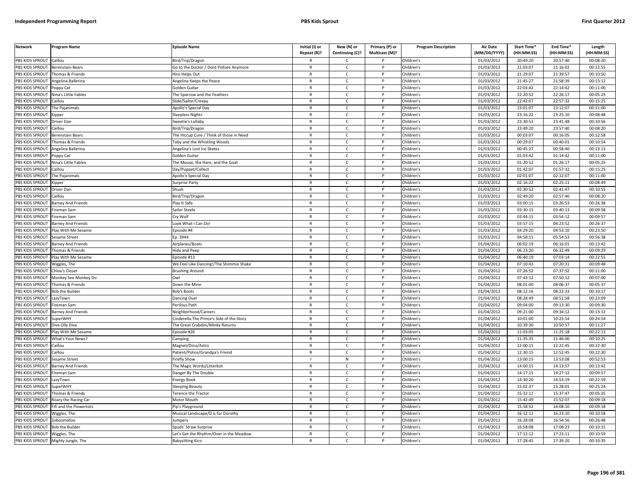| <b>Network</b>                     | Program Name                | <b>Episode Name</b>                        | Initial (I) or<br>Repeat (R)? | New (N) or<br>Continuing (C)? | Primary (P) or<br>Multicast (M)? | <b>Program Description</b> | Air Date<br>(MM/DD/YYYY) | Start Time*<br>(HH:MM:SS) | End Time*<br>(HH:MM:SS) | Length<br>(HH:MM:SS) |
|------------------------------------|-----------------------------|--------------------------------------------|-------------------------------|-------------------------------|----------------------------------|----------------------------|--------------------------|---------------------------|-------------------------|----------------------|
| PBS KIDS SPROUT                    | Caillou                     | Bird/Trip/Dragon                           | R                             | C                             |                                  | Children's                 | 01/03/2012               | 20:49:20                  | 20:57:40                | 00:08:20             |
| PBS KIDS SPROUT                    | <b>Berenstain Bears</b>     | Go to the Doctor / Dont Pollute Anymore    | $\mathsf{R}$                  | $\mathsf{C}$                  | P                                | Children's                 | 01/03/2012               | 21:03:07                  | 21:16:02                | 00:12:55             |
| PBS KIDS SPROUT                    | Thomas & Friends            | Hiro Helps Out                             | $\mathsf{R}$                  | $\mathsf{C}$                  | P                                | Children's                 | 01/03/2012               | 21:29:07                  | 21:39:57                | 00:10:50             |
| PBS KIDS SPROUT                    | Angelina Ballerina          | Angelina Keeps the Peace                   | $\mathsf{R}$                  | $\mathsf{C}$                  | P                                | Children's                 | 01/03/2012               | 21:45:27                  | 21:58:39                | 00:13:12             |
| PBS KIDS SPROUT                    | Poppy Cat                   | Golden Guitar                              | R                             | $\mathsf{C}$                  |                                  | Children's                 | 01/03/2012               | 22:03:42                  | 22:14:42                | 00:11:00             |
| PBS KIDS SPROUT                    | <b>Nina's Little Fables</b> | he Sparrow and the Feathers                | $\mathsf{R}$                  | $\mathsf{C}$                  |                                  | Children's                 | 01/03/2012               | 22:20:52                  | 22:26:17                | 00:05:25             |
| <b>BS KIDS SPROUT</b>              | `aillou                     | ilide/Sailor/Creepy                        | R                             | C                             |                                  | Children's                 | 01/03/2012               | 22:42:07                  | 22:57:32                | 00:15:25             |
| PBS KIDS SPROUT                    | he Pajanimals               | Apollo's Special Day                       | $\mathsf{R}$                  | $\mathsf{C}$                  | D                                | Children's                 | 01/03/2012               | 23:01:07                  | 23:12:07                | 00:11:00             |
| PBS KIDS SPROUT                    | Kipper                      | leepless Nights                            | $\mathsf{R}$                  | $\mathsf{C}$                  | P                                | Children's                 | 01/03/2012               | 23:16:22                  | 23:25:10                | 00:08:48             |
| PBS KIDS SPROUT                    | Driver Dan                  | weetie's Lullaby                           | $\mathsf{R}$                  | $\mathsf{C}$                  | D                                | Children's                 | 01/03/2012               | 23:30:52                  | 23:41:48                | 00:10:56             |
| PBS KIDS SPROUT                    | Caillou                     | Bird/Trip/Dragon                           | $\mathsf{R}$                  | $\mathsf{C}$                  | P                                | Children's                 | 01/03/2012               | 23:49:20                  | 23:57:40                | 00:08:20             |
| PBS KIDS SPROUT                    | Berenstain Bears            | The Hiccup Cure / Think of those in Need   | $\mathsf{R}$                  | $\mathsf{C}$                  | P                                | Children's                 | 01/03/2012               | 00:03:07                  | 00:16:05                | 00:12:58             |
| PBS KIDS SPROUT                    | homas & Friends             | <b>Toby and the Whistling Woods</b>        | $\mathsf{R}$                  | $\mathsf{C}$                  | $\mathsf{P}$                     | Children's                 | 01/03/2012               | 00:29:07                  | 00:40:01                | 00:10:54             |
| PBS KIDS SPROUT                    | ngelina Ballerina           | <b>Ingelina's Lost Ice Skates</b>          | $\mathsf{R}$                  | $\mathsf{C}$                  | P                                | Children's                 | 01/03/2012               | 00:45:27                  | 00:58:40                | 00:13:13             |
| PBS KIDS SPROUT                    | oppy Cat                    | Golden Guitar                              | $\mathsf{R}$                  | $\mathsf{C}$                  | P                                | Children's                 | 01/03/2012               | 01:03:42                  | 01:14:42                | 00:11:00             |
| PBS KIDS SPROUT                    | Nina's Little Fables        | The Mouse, the Hare, and the Goat          | $\mathsf{R}$                  | $\mathsf{C}$                  | P                                | Children's                 | 01/03/2012               | 01:20:52                  | 01:26:17                | 00:05:25             |
| PBS KIDS SPROUT                    | Caillou                     | Day/Puppet/Collect                         | $\mathsf{R}$                  | $\mathsf{C}$                  | P                                | Children's                 | 01/03/2012               | 01:42:07                  | 01:57:32                | 00:15:25             |
| PBS KIDS SPROUT                    | The Pajanimals              | Apollo's Special Day                       | $\mathsf{R}$                  | $\mathsf{C}$                  | P                                | Children's                 | 01/03/2012               | 02:01:07                  | 02:12:07                | 00:11:00             |
| PBS KIDS SPROUT                    | Kipper                      | Surprise Party                             | $\mathsf{R}$                  | C                             | P                                | Children's                 | 01/03/2012               | 02:16:22                  | 02:25:11                | 00:08:49             |
| PBS KIDS SPROUT                    | <b>Driver Dan</b>           | Shush                                      | R                             | $\mathsf{C}$                  | P                                | Children's                 | 01/03/2012               | 02:30:52                  | 02:41:47                | 00:10:55             |
| PBS KIDS SPROUT                    | aillou                      | Bird/Trip/Dragon                           | $\mathsf{R}$                  | $\mathsf{C}$                  | P                                | Children's                 | 01/03/2012               | 02:49:20                  | 02:57:40                | 00:08:20             |
| PBS KIDS SPROUT                    | <b>Barney And Friends</b>   | Play It Safe                               | R                             | $\mathsf{C}$                  |                                  | Children's                 | 01/03/2012               | 03:00:15                  | 03:26:53                | 00:26:38             |
| PBS KIDS SPROUT                    | ireman Sam                  | Sailor Steele                              | $\mathsf{R}$                  | $\mathsf{C}$                  | D                                | Children's                 | 01/03/2012               | 03:30:15                  | 03:40:13                | 00:09:58             |
| PBS KIDS SPROUT                    | ireman Sam                  | Cry Wolf                                   | $\mathsf{R}$                  | c                             |                                  | Children's                 | 01/03/2012               | 03:44:15                  | 03:54:12                | 00:09:57             |
| PBS KIDS SPROUT                    | <b>Barney And Friends</b>   | ook What I Can Do!                         | $\mathsf{R}$                  | $\mathsf{C}$                  |                                  | Children's                 | 01/03/2012               | 03:57:15                  | 04:23:52                | 00:26:37             |
| PBS KIDS SPROUT                    | Play With Me Sesame         | Episode #4                                 | $\mathsf{R}$                  | $\mathsf{C}$                  | P                                | Children's                 | 01/03/2012               | 04:29:20                  | 04:53:10                | 00:23:50             |
| PBS KIDS SPROUT                    | Sesame Street               | p. 3944                                    | $\mathsf{R}$                  | $\mathsf{C}$                  | P                                | Children's                 | 01/03/2012               | 04:58:15                  | 05:54:53                | 00:56:38             |
| PBS KIDS SPROUT                    | <b>Barney And Friends</b>   | Airplanes/Boats                            | $\mathsf{R}$                  | $\mathsf{C}$                  | P                                | Children's                 | 01/04/2012               | 06:02:19                  | 06:16:01                | 00:13:42             |
| PBS KIDS SPROUT                    | homas & Friends             | lide and Peep                              | $\mathsf{R}$                  | $\mathsf{C}$                  | P                                | Children's                 | 01/04/2012               | 06:23:20                  | 06:32:49                | 00:09:29             |
| PBS KIDS SPROUT                    | Play With Me Sesame         | Episode #13                                | $\mathsf{R}$                  | $\mathsf{C}$                  | $\mathsf{P}$                     | Children's                 | 01/04/2012               | 06:40:19                  | 07:03:14                | 00:22:55             |
| PBS KIDS SPROUT                    | Wiggles, The                | We Feel Like Dancing!/The Shimmie Shake    | $\mathsf{R}$                  | $\mathsf{C}$                  | P                                | Children's                 | $\sqrt{01}/04/2012$      | 07:10:43                  | 07:20:31                | 00:09:48             |
| PBS KIDS SPROUT                    | Chloe's Closet              | <b>Brushing Around</b>                     | R                             | $\mathsf{C}$                  | P                                | Children's                 | 01/04/2012               | 07:26:52                  | 07:37:52                | 00:11:00             |
| PBS KIDS SPROUT                    | Monkey See Monkey Do        | Owl                                        | $\mathsf{R}$                  | $\mathsf{C}$                  | P                                | Children's                 | 01/04/2012               | 07:43:12                  | 07:50:12                | 00:07:00             |
| PBS KIDS SPROUT                    | Thomas & Friends            | Down the Mine                              | $\mathsf{R}$                  | $\mathsf{C}$                  | P                                | Children's                 | 01/04/2012               | 08:01:00                  | 08:06:37                | 00:05:37             |
| PBS KIDS SPROUT                    | <b>Bob the Builder</b>      | <b>Bob's Boots</b>                         | $\mathsf{R}$                  | $\mathsf{C}$                  | D                                | Children's                 | 01/04/2012               | 08:12:16                  | 08:22:33                | 00:10:17             |
| PBS KIDS SPROUT                    | LazyTown                    | Dancing Duel                               | $\mathsf{R}$                  | $\mathsf{C}$                  | P                                | Children's                 | 01/04/2012               | 08:28:49                  | 08:51:58                | 00:23:09             |
| PBS KIDS SPROUT                    | Fireman Sam                 | Perilous Path                              | R                             | C                             |                                  | Children's                 | 01/04/2012               | 09:04:00                  | 09:13:30                | 00:09:30             |
| PBS KIDS SPROUT                    | <b>Barney And Friends</b>   | <b>Neighborhood/Careers</b>                | $\mathsf{R}$                  | $\mathsf{C}$                  | P                                | Children's                 | 01/04/2012               | 09:21:00                  | 09:34:12                | 00:13:12             |
| PBS KIDS SPROUT                    | <b>SuperWHY</b>             | Cinderella: The Prince's Side of the Story | R                             | C                             |                                  | Children's                 | 01/04/2012               | 10:01:00                  | 10:25:54                | 00:24:54             |
| PBS KIDS SPROUT                    | Dive Olly Dive              | The Great Crabdini/Minky Returns           | $\mathsf{R}$                  | $\mathsf{C}$                  | P                                | Children's                 | 01/04/2012               | 10:39:30                  | 10:50:57                | 00:11:27             |
| <b>BS KIDS SPROUT</b>              | Play With Me Sesame         | pisode #26                                 | $\mathsf{R}$                  | $\mathsf{C}$                  | P                                | Children's                 | 01/04/2012               | 11:03:05                  | 11:25:18                | 00:22:13             |
| PBS KIDS SPROUT                    | What's Your News?           | amping                                     | $\mathsf{R}$                  | $\mathsf{C}$                  | Þ                                | Children's                 | 01/04/2012               | 11:35:35                  | 11:46:00                | 00:10:25             |
| PBS KIDS SPROUT                    | aillou                      | Magnet/Dino/Astro                          | R                             | C                             | P                                | Children's                 | 01/04/2012               | 12:00:15                  | 12:22:45                | 00:22:30             |
| PBS KIDS SPROUT                    | aillou                      | atient/Police/Grandpa's Friend             | $\mathsf{R}$                  | $\mathsf{C}$                  | P                                | Children's                 | 01/04/2012               | 12:30:15                  | 12:52:45                | 00:22:30             |
| PBS KIDS SPROUT                    | Sesame Street               | irefly Show                                | $\mathbf{I}$                  | ${\sf N}$                     | P                                | Children's                 | 01/04/2012               | 13:00:15                  | 13:53:08                | 00:52:53             |
| PBS KIDS SPROUT                    | <b>Barney And Friends</b>   | The Magic Words/Litterbot                  | $\mathsf{R}$                  | $\mathsf{C}$                  | P                                | Children's                 | 01/04/2012               | 14:00:15                  | 14:13:57                | 00:13:42             |
| PBS KIDS SPROUT                    | ireman Sam                  | Danger By The Double                       | R                             | $\mathsf{C}$                  | P                                | Children's                 | 01/04/2012               | 14:17:15                  | 14:27:12                | 00:09:57             |
| PBS KIDS SPROUT                    | azyTown                     | nergy Book                                 | $\mathsf{R}$                  | $\mathsf{C}$                  | P                                | Children's                 | 01/04/2012               | 14:30:20                  | 14:53:19                | 00:22:59             |
| PBS KIDS SPROUT                    | SuperWHY                    | Sleeping Beauty                            | R                             | $\mathsf{C}$                  | P                                | Children's                 | 01/04/2012               | 15:02:37                  | 15:28:01                | 00:25:24             |
| PBS KIDS SPROUT                    | Thomas & Friends            | erence the Tractor                         | $\mathsf{R}$                  | $\mathsf{C}$                  |                                  | Children's                 | 01/04/2012               | 15:32:12                  | 15:37:47                | 00:05:35             |
| PBS KIDS SPROUT                    | Roary the Racing Car        | Motor Mouth                                | R                             | $\mathsf{C}$                  | P                                | Children's                 | 01/04/2012               | 15:42:49                  | 15:52:07                | 00:09:18             |
| PBS KIDS SPROUT                    | ifi and the Flowertots      | ip's Playground                            | $\mathsf{R}$                  | $\mathsf{C}$                  | P                                | Children's                 | 01/04/2012               | 15:58:52                  | 16:08:10                | 00:09:18             |
| PBS KIDS SPROUT                    | Wiggles, The                | Musical Landscape/D is for Dorothy         | $\mathsf{R}$                  | $\mathsf{C}$                  | P                                | Children's                 | 01/04/2012               | 16:12:12                  | 16:23:10                | 00:10:58             |
| PBS KIDS SPROUT                    | Zoboomafoo                  | lumpers                                    | R                             | Ċ                             |                                  | Children's                 | 01/04/2012               | 16:28:08                  | 16:54:56                | 00:26:48             |
| PBS KIDS SPROUT                    | <b>Bob the Builder</b>      | Spuds' Straw Surprise                      | $\mathsf{R}$                  | $\mathsf{C}$                  | P                                | Children's                 | 01/04/2012               | 16:58:08                  | 17:08:23                | 00:10:15             |
| PBS KIDS SPROUT Wiggles, The       |                             | Let's Get the Rhythm/Over in the Meadow    | R                             | C                             |                                  | Children's                 | 01/04/2012               | 17:12:12                  | 17:23:11                | 00:10:59             |
| PBS KIDS SPROUT Mighty Jungle, The |                             | <b>Babysitting Kico</b>                    | R                             | $\mathsf{C}$                  |                                  | Children's                 | 01/04/2012               | 17:28:45                  | 17:39:20                | 00:10:35             |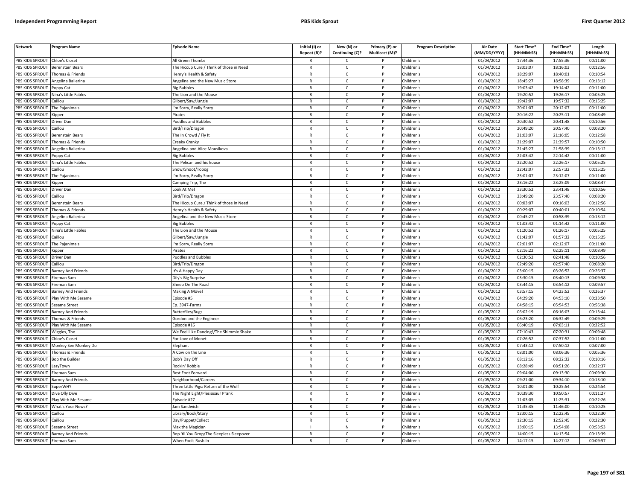| <b>Network</b>  | Program Name              | <b>Episode Name</b>                       | Initial (I) or<br>Repeat (R)? | New (N) or<br>Continuing (C)? | Primary (P) or<br>Multicast (M)? | <b>Program Description</b> | <b>Air Date</b><br>(MM/DD/YYYY) | Start Time*<br>(HH:MM:SS) | End Time*<br>(HH:MM:SS) | Length<br>(HH:MM:SS) |
|-----------------|---------------------------|-------------------------------------------|-------------------------------|-------------------------------|----------------------------------|----------------------------|---------------------------------|---------------------------|-------------------------|----------------------|
| PBS KIDS SPROUT | Chloe's Closet            | All Green Thumbs                          |                               | $\mathsf{C}$                  |                                  | Children's                 | 01/04/2012                      | 17:44:36                  | 17:55:36                | 00:11:00             |
| PBS KIDS SPROUT | <b>Berenstain Bears</b>   | The Hiccup Cure / Think of those in Need  | $\mathsf{R}$                  | $\mathsf{C}$                  | P                                | Children's                 | 01/04/2012                      | 18:03:07                  | 18:16:03                | 00:12:56             |
| PBS KIDS SPROUT | Thomas & Friends          | Henry's Health & Safety                   | $\mathsf{R}$                  | $\mathsf{C}$                  |                                  | Children's                 | 01/04/2012                      | 18:29:07                  | 18:40:01                | 00:10:54             |
| PBS KIDS SPROUT | Angelina Ballerina        | Angelina and the New Music Store          | $\mathsf{R}$                  | $\mathsf{C}$                  | D                                | Children's                 | 01/04/2012                      | 18:45:27                  | 18:58:39                | 00:13:12             |
| PBS KIDS SPROUT | Poppy Cat                 | <b>Big Bubbles</b>                        | $\mathsf{R}$                  | c                             |                                  | Children's                 | 01/04/2012                      | 19:03:42                  | 19:14:42                | 00:11:00             |
| PBS KIDS SPROUT | Nina's Little Fables      | The Lion and the Mouse                    | $\mathsf{R}$                  | $\mathsf{C}$                  | P                                | Children's                 | 01/04/2012                      | 19:20:52                  | 19:26:17                | 00:05:25             |
| PBS KIDS SPROUT | Caillou                   | Gilbert/Saw/Jungle                        | $\mathsf{R}$                  | C                             | P                                | Children's                 | 01/04/2012                      | 19:42:07                  | 19:57:32                | 00:15:25             |
| PBS KIDS SPROUT | The Pajanimals            | 'm Sorry, Really Sorry                    | ${\sf R}$                     | $\mathsf{C}$                  | <b>D</b>                         | Children's                 | 01/04/2012                      | 20:01:07                  | 20:12:07                | 00:11:00             |
| PBS KIDS SPROUT | <b>Kipper</b>             | Pirates                                   | ${\sf R}$                     | $\mathsf{C}$                  | P                                | Children's                 | 01/04/2012                      | 20:16:22                  | 20:25:11                | 00:08:49             |
| PBS KIDS SPROUT | Driver Dan                | Puddles and Bubbles                       | $\mathsf{R}$                  | $\mathsf{C}$                  |                                  | Children's                 | 01/04/2012                      | 20:30:52                  | 20:41:48                | 00:10:56             |
| PBS KIDS SPROUT | Caillou                   | Bird/Trip/Dragon                          | $\mathsf{R}$                  | C                             | P                                | Children's                 | 01/04/2012                      | 20:49:20                  | 20:57:40                | 00:08:20             |
| PBS KIDS SPROUT | Berenstain Bears          | The In Crowd / Fly It                     | $\mathsf{R}$                  | $\mathsf{C}$                  | P                                | Children's                 | 01/04/2012                      | 21:03:07                  | 21:16:05                | 00:12:58             |
| PBS KIDS SPROUT | Thomas & Friends          | Creaky Cranky                             | $\mathsf{R}$                  | $\mathsf{C}$                  | $\mathsf{P}$                     | Children's                 | 01/04/2012                      | 21:29:07                  | 21:39:57                | 00:10:50             |
| PBS KIDS SPROUT | Angelina Ballerina        | Angelina and Alice Mousikova              | $\mathsf{R}$                  | $\mathsf{C}$                  |                                  | Children's                 | 01/04/2012                      | 21:45:27                  | 21:58:39                | 00:13:12             |
| PBS KIDS SPROUT | Poppy Cat                 | <b>Big Bubbles</b>                        | $\mathsf{R}$                  | $\mathsf{C}$                  | P                                | Children's                 | 01/04/2012                      | 22:03:42                  | 22:14:42                | 00:11:00             |
| PBS KIDS SPROUT | Nina's Little Fables      | The Pelican and his house                 | $\mathsf{R}$                  | $\mathsf{C}$                  |                                  | Children's                 | 01/04/2012                      | 22:20:52                  | 22:26:17                | 00:05:25             |
| PBS KIDS SPROUT | Caillou                   | Snow/Shoot/Tobog                          | $\mathsf{R}$                  | $\mathsf{C}$                  | P                                | Children's                 | 01/04/2012                      | 22:42:07                  | 22:57:32                | 00:15:25             |
| PBS KIDS SPROUT | The Pajanimals            | 'm Sorry, Really Sorry                    | $\mathsf{R}$                  | $\mathsf{C}$                  |                                  | Children's                 | 01/04/2012                      | 23:01:07                  | 23:12:07                | 00:11:00             |
| PBS KIDS SPROUT | <b>Kipper</b>             | Camping Trip, The                         | $\mathsf{R}$                  | $\mathsf{C}$                  | P                                | Children's                 | 01/04/2012                      | 23:16:22                  | 23:25:09                | 00:08:47             |
| PBS KIDS SPROUT | Driver Dan                | ook At Me!                                | $\mathsf{R}$                  | $\mathsf{C}$                  | P                                | Children's                 | 01/04/2012                      | 23:30:52                  | 23:41:48                | 00:10:56             |
| PBS KIDS SPROUT | Caillou                   | Bird/Trip/Dragon                          | $\mathsf{R}$                  | $\mathsf{C}$                  | P                                | Children's                 | 01/04/2012                      | 23:49:20                  | 23:57:40                | 00:08:20             |
| PBS KIDS SPROUT | Berenstain Bears          | The Hiccup Cure / Think of those in Need  | $\mathsf{R}$                  | $\mathsf{C}$                  |                                  | Children's                 | 01/04/2012                      | 00:03:07                  | 00:16:03                | 00:12:56             |
| PBS KIDS SPROUT | Thomas & Friends          | Henry's Health & Safety                   | $\mathsf{R}$                  | $\mathsf{C}$                  | D                                | Children's                 | 01/04/2012                      | 00:29:07                  | 00:40:01                | 00:10:54             |
| PBS KIDS SPROUT | Angelina Ballerina        | Angelina and the New Music Store          | $\mathsf{R}$                  | $\mathsf{C}$                  | P                                | Children's                 | 01/04/2012                      | 00:45:27                  | 00:58:39                | 00:13:12             |
| PBS KIDS SPROUT | oppy Cat                  | <b>Big Bubbles</b>                        | $\mathsf{R}$                  | $\mathsf{C}$                  |                                  | Children's                 | 01/04/2012                      | 01:03:42                  | 01:14:42                | 00:11:00             |
| PBS KIDS SPROUT | Nina's Little Fables      | The Lion and the Mouse                    | $\mathsf{R}$                  | $\mathsf{C}$                  | P                                | Children's                 | 01/04/2012                      | 01:20:52                  | 01:26:17                | 00:05:25             |
| PBS KIDS SPROUT | Caillou                   | Gilbert/Saw/Jungle                        | $\mathsf{R}$                  | $\mathsf{C}$                  |                                  | Children's                 | 01/04/2012                      | 01:42:07                  | 01:57:32                | 00:15:25             |
| PBS KIDS SPROUT | The Pajanimals            | 'm Sorry, Really Sorry                    | ${\sf R}$                     | $\mathsf{C}$                  | P                                | Children's                 | 01/04/2012                      | 02:01:07                  | 02:12:07                | 00:11:00             |
| PBS KIDS SPROUT | <b>Kipper</b>             | <sup>2</sup> irates                       | R                             | $\mathsf{C}$                  |                                  | Children's                 | 01/04/2012                      | 02:16:22                  | 02:25:11                | 00:08:49             |
| PBS KIDS SPROUT | Driver Dar                | <b>Puddles and Bubbles</b>                | $\mathsf{R}$                  | C                             | P                                | Children's                 | 01/04/2012                      | 02:30:52                  | 02:41:48                | 00:10:56             |
| PBS KIDS SPROUT | Caillou                   | Bird/Trip/Dragon                          | $\mathsf{R}$                  | $\mathsf{C}$                  | P                                | Children's                 | 01/04/2012                      | 02:49:20                  | 02:57:40                | 00:08:20             |
| PBS KIDS SPROUT | Barney And Friends        | It's A Happy Day                          | $\mathsf{R}$                  | $\mathsf{C}$                  | $\mathsf{P}$                     | Children's                 | 01/04/2012                      | 03:00:15                  | 03:26:52                | 00:26:37             |
| PBS KIDS SPROUT | Fireman Sam               | Dily's Big Surprise                       | $\mathsf{R}$                  | $\mathsf{C}$                  | P                                | Children's                 | 01/04/2012                      | 03:30:15                  | 03:40:13                | 00:09:58             |
| PBS KIDS SPROUT | Fireman Sam               | Sheep On The Road                         | $\mathsf{R}$                  | $\mathsf{C}$                  | P                                | Children's                 | 01/04/2012                      | 03:44:15                  | 03:54:12                | 00:09:57             |
| PBS KIDS SPROUT | <b>Barney And Friends</b> | Making A Move!                            | $\mathsf{R}$                  | $\mathsf{C}$                  | P                                | Children's                 | 01/04/2012                      | 03:57:15                  | 04:23:52                | 00:26:37             |
| PBS KIDS SPROUT | Play With Me Sesame       | Episode #5                                | $\mathsf{R}$                  | $\mathsf{C}$                  | P                                | Children's                 | 01/04/2012                      | 04:29:20                  | 04:53:10                | 00:23:50             |
| PBS KIDS SPROUT | Sesame Street             | Ep. 3947-Farms                            | $\mathsf{R}$                  | C                             |                                  | Children's                 | 01/04/2012                      | 04:58:15                  | 05:54:53                | 00:56:38             |
| PBS KIDS SPROUT | Barney And Friends        | <b>Butterflies/Bugs</b>                   | $\mathsf{R}$                  | $\mathsf{C}$                  | P                                | Children's                 | 01/05/2012                      | 06:02:19                  | 06:16:03                | 00:13:44             |
| PBS KIDS SPROUT | Thomas & Friends          | Gordon and the Engineer                   | $\mathsf{R}$                  | $\mathsf{C}$                  | P                                | Children's                 | 01/05/2012                      | 06:23:20                  | 06:32:49                | 00:09:29             |
| PBS KIDS SPROUT | lay With Me Sesame        | pisode #16                                | $\mathsf{R}$                  | $\mathsf{C}$                  | P                                | Children's                 | 01/05/2012                      | 06:40:19                  | 07:03:11                | 00:22:52             |
| PBS KIDS SPROUT | Wiggles, The              | We Feel Like Dancing!/The Shimmie Shake   | $\mathsf{R}$                  | $\mathsf{C}$                  | P                                | Children's                 | 01/05/2012                      | 07:10:43                  | 07:20:31                | 00:09:48             |
| PBS KIDS SPROUT | Chloe's Closet            | For Love of Monet                         | $\mathsf{R}$                  | $\mathsf{C}$                  |                                  | Children's                 | 01/05/2012                      | 07:26:52                  | 07:37:52                | 00:11:00             |
| PBS KIDS SPROUT | Monkey See Monkey Do      | Elephant                                  | $\mathsf{R}$                  | $\mathsf{C}$                  | P                                | Children's                 | 01/05/2012                      | 07:43:12                  | 07:50:12                | 00:07:00             |
| PBS KIDS SPROUT | Thomas & Friends          | A Cow on the Line                         | $\mathsf{R}$                  | $\mathsf{C}$                  |                                  | Children's                 | 01/05/2012                      | 08:01:00                  | 08:06:36                | 00:05:36             |
| PBS KIDS SPROUT | <b>Bob the Builder</b>    | Bob's Day Off                             | $\mathsf{R}$                  | C                             | P                                | Children's                 | 01/05/2012                      | 08:12:16                  | 08:22:32                | 00:10:16             |
| PBS KIDS SPROUT | LazyTown                  | Rockin' Robbie                            | $\mathsf{R}$                  | $\mathsf{C}$                  | P                                | Children's                 | 01/05/2012                      | 08:28:49                  | 08:51:26                | 00:22:37             |
| PBS KIDS SPROUT | ireman Sam                | Best Foot Forward                         | $\mathsf{R}$                  | $\mathsf{C}$                  | $\mathsf{P}$                     | Children's                 | 01/05/2012                      | 09:04:00                  | 09:13:30                | 00:09:30             |
| PBS KIDS SPROUT | <b>Barney And Friends</b> | Neighborhood/Careers                      | $\mathsf{R}$                  | $\mathsf{C}$                  | P                                | Children's                 | 01/05/2012                      | 09:21:00                  | 09:34:10                | 00:13:10             |
| PBS KIDS SPROUT | <b>SuperWHY</b>           | Three Little Pigs: Return of the Wolf     | $\mathsf{R}$                  | C                             | P                                | Children's                 | 01/05/2012                      | 10:01:00                  | 10:25:54                | 00:24:54             |
| PBS KIDS SPROUT | Dive Olly Dive            | The Night Light/Plesiosaur Prank          | $\mathsf{R}$                  | $\mathsf{C}$                  | P                                | Children's                 | 01/05/2012                      | 10:39:30                  | 10:50:57                | 00:11:27             |
| PBS KIDS SPROUT | Play With Me Sesame       | Episode #27                               | $\mathsf{R}$                  | $\mathsf{C}$                  | P                                | Children's                 | 01/05/2012                      | 11:03:05                  | 11:25:31                | 00:22:26             |
| PBS KIDS SPROUT | What's Your News?         | Jam Sandwich                              | $\mathsf{R}$                  | $\mathsf{C}$                  |                                  | Children's                 | 01/05/2012                      | 11:35:35                  | 11:46:00                | 00:10:25             |
| PBS KIDS SPROUT | Caillou                   | Library/Book/Story                        | $\mathsf{R}$                  | $\mathsf{C}$                  | <sub>D</sub>                     | Children's                 | 01/05/2012                      | 12:00:15                  | 12:22:45                | 00:22:30             |
| PBS KIDS SPROUT | Caillou                   | Day/Puppet/Collect                        | R                             | $\mathsf{C}$                  | P                                | Children's                 | 01/05/2012                      | 12:30:15                  | 12:52:45                | 00:22:30             |
| PBS KIDS SPROUT | Sesame Street             | Max the Magician                          |                               | ${\sf N}$                     |                                  | Children's                 | 01/05/2012                      | 13:00:15                  | 13:54:08                | 00:53:53             |
| PBS KIDS SPROUT | <b>Barney And Friends</b> | Bop 'til You Drop/The Sleepless Sleepover | $\mathsf{R}$                  | $\mathsf{C}$                  | P                                | Children's                 | 01/05/2012                      | 14:00:15                  | 14:13:54                | 00:13:39             |
| PBS KIDS SPROUT | Fireman Sam               | When Fools Rush In                        | $\mathsf{R}$                  | $\mathsf{C}$                  | D                                | Children's                 | 01/05/2012                      | 14:17:15                  | 14:27:12                | 00:09:57             |
|                 |                           |                                           |                               |                               |                                  |                            |                                 |                           |                         |                      |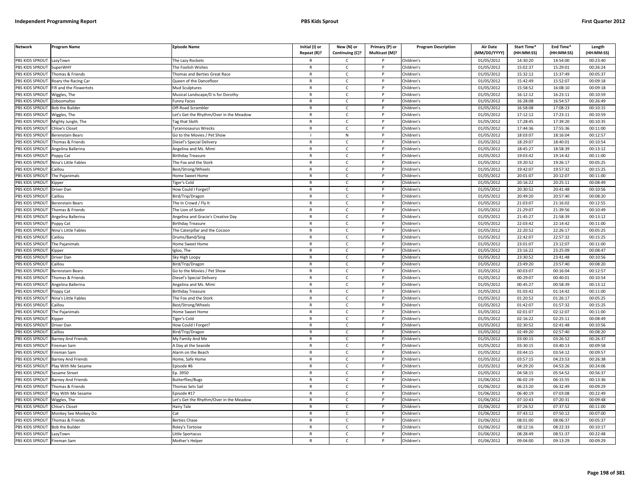| <b>Network</b>                     | Program Name                      | <b>Episode Name</b>                        | Initial (I) or<br>Repeat (R)? | New (N) or<br>Continuing (C)? | Primary (P) or<br>Multicast (M)? | <b>Program Description</b> | <b>Air Date</b><br>(MM/DD/YYYY) | Start Time*<br>(HH:MM:SS) | End Time*<br>(HH:MM:SS) | Length<br>(HH:MM:SS) |
|------------------------------------|-----------------------------------|--------------------------------------------|-------------------------------|-------------------------------|----------------------------------|----------------------------|---------------------------------|---------------------------|-------------------------|----------------------|
| PBS KIDS SPROUT                    | LazyTown                          | The Lazy Rockets                           |                               | $\mathsf{C}$                  |                                  | Children's                 | 01/05/2012                      | 14:30:20                  | 14:54:00                | 00:23:40             |
| PBS KIDS SPROUT                    | SuperWHY                          | The Foolish Wishes                         | $\mathsf{R}$                  | $\mathsf{C}$                  | P                                | Children's                 | 01/05/2012                      | 15:02:37                  | 15:29:01                | 00:26:24             |
| PBS KIDS SPROUT                    | Thomas & Friends                  | Thomas and Berties Great Race              | $\mathsf{R}$                  | $\mathsf{C}$                  |                                  | Children's                 | 01/05/2012                      | 15:32:12                  | 15:37:49                | 00:05:37             |
| PBS KIDS SPROUT                    | Roary the Racing Car              | Queen of the Dancefloor                    | $\mathsf{R}$                  | $\mathsf{C}$                  | <sub>D</sub>                     | Children's                 | 01/05/2012                      | 15:42:49                  | 15:52:07                | 00:09:18             |
| PBS KIDS SPROUT                    | Fifi and the Flowertots           | Mud Sculptures                             | $\mathsf{R}$                  | $\mathsf{C}$                  |                                  | Children's                 | 01/05/2012                      | 15:58:52                  | 16:08:10                | 00:09:18             |
| PBS KIDS SPROUT                    | Niggles, The                      | Musical Landscape/D is for Dorothy         | $\mathsf{R}$                  | $\mathsf{C}$                  | P                                | Children's                 | 01/05/2012                      | 16:12:12                  | 16:23:11                | 00:10:59             |
| PBS KIDS SPROUT                    | Zoboomafoo                        | unny Faces                                 | $\mathsf{R}$                  | $\mathsf{C}$                  | P                                | Children's                 | 01/05/2012                      | 16:28:08                  | 16:54:57                | 00:26:49             |
| PBS KIDS SPROUT                    | Bob the Builder                   | Off-Road Scrambler                         | $\mathsf{R}$                  | $\mathsf{C}$                  | P                                | Children's                 | 01/05/2012                      | 16:58:08                  | 17:08:23                | 00:10:15             |
| <b>PBS KIDS SPROUT</b>             | Wiggles, The                      | Let's Get the Rhythm/Over in the Meadow    | ${\sf R}$                     | $\mathsf{C}$                  | P                                | Children's                 | 01/05/2012                      | 17:12:12                  | 17:23:11                | 00:10:59             |
| PBS KIDS SPROUT                    | Mighty Jungle, The                | <b>Tag that Sloth</b>                      | $\mathsf{R}$                  | $\mathsf{C}$                  |                                  | Children's                 | 01/05/2012                      | 17:28:45                  | 17:39:20                | 00:10:35             |
| PBS KIDS SPROUT                    | <b>Chloe's Closet</b>             | Tyrannosaurus Wrecks                       | $\mathsf{R}$                  | C                             | P                                | Children's                 | 01/05/2012                      | 17:44:36                  | 17:55:36                | 00:11:00             |
| PBS KIDS SPROUT                    | Berenstain Bears                  | Go to the Movies / Pet Show                |                               | ${\sf N}$                     |                                  | Children's                 | 01/05/2012                      | 18:03:07                  | 18:16:04                | 00:12:57             |
| PBS KIDS SPROUT                    | Thomas & Friends                  | Diesel's Special Delivery                  | $\mathsf{R}$                  | $\mathsf{C}$                  | P                                | Children's                 | 01/05/2012                      | 18:29:07                  | 18:40:01                | 00:10:54             |
| PBS KIDS SPROUT                    | Angelina Ballerina                | Angelina and Ms. Mimi                      | $\mathsf{R}$                  | $\mathsf{C}$                  |                                  | Children's                 | 01/05/2012                      | 18:45:27                  | 18:58:39                | 00:13:12             |
| PBS KIDS SPROUT                    | Poppy Cat                         | <b>Birthday Treasure</b>                   | $\mathsf{R}$                  | $\mathsf{C}$                  | $\mathsf{P}$                     | Children's                 | 01/05/2012                      | 19:03:42                  | 19:14:42                | 00:11:00             |
| PBS KIDS SPROUT                    | Nina's Little Fables              | The Fox and the Stork                      | $\mathsf{R}$                  | $\mathsf{C}$                  | P                                | Children's                 | 01/05/2012                      | 19:20:52                  | 19:26:17                | 00:05:25             |
| PBS KIDS SPROUT                    | Caillou                           | Best/Strong/Wheels                         | $\mathsf{R}$                  | $\mathsf{C}$                  | P                                | Children's                 | 01/05/2012                      | 19:42:07                  | 19:57:32                | 00:15:25             |
| PBS KIDS SPROUT                    | The Pajanimals                    | Home Sweet Home                            | $\mathsf{R}$                  | $\mathsf{C}$                  | P                                | Children's                 | 01/05/2012                      | 20:01:07                  | 20:12:07                | 00:11:00             |
| PBS KIDS SPROUT                    | <b>Kipper</b>                     | <b>Figer's Cold</b>                        | $\mathsf{R}$                  | $\mathsf{C}$                  | P                                | Children's                 | 01/05/2012                      | 20:16:22                  | 20:25:11                | 00:08:49             |
| PBS KIDS SPROUT                    | Driver Dan                        | How Could I Forget?                        | $\mathsf{R}$                  | $\mathsf{C}$                  | P                                | Children's                 | 01/05/2012                      | 20:30:52                  | 20:41:48                | 00:10:56             |
| PBS KIDS SPROUT                    | Caillou                           | Bird/Trip/Dragon                           | $\mathsf{R}$                  | $\mathsf{C}$                  | <sub>D</sub>                     | Children's                 | 01/05/2012                      | 20:49:20                  | 20:57:40                | 00:08:20             |
| PBS KIDS SPROUT                    | Berenstain Bears                  | The In Crowd / Fly It                      | R                             | C                             |                                  | Children's                 | 01/05/2012                      | 21:03:07                  | 21:16:02                | 00:12:55             |
| PBS KIDS SPROUT                    | Thomas & Friends                  | The Lion of Sodor                          | $\mathsf{R}$                  | $\mathsf{C}$                  | P                                | Children's                 | 01/05/2012                      | 21:29:07                  | 21:39:56                | 00:10:49             |
| PBS KIDS SPROUT                    | Angelina Ballerina                | Angelina and Gracie's Creative Day         | $\mathsf{R}$                  | $\mathsf{C}$                  | P                                | Children's                 | 01/05/2012                      | 21:45:27                  | 21:58:39                | 00:13:12             |
| PBS KIDS SPROUT                    | Poppy Cat                         | Birthday Treasure                          | $\mathsf{R}$                  | $\mathsf{C}$                  | P                                | Children's                 | 01/05/2012                      | 22:03:42                  | 22:14:42                | 00:11:00             |
| PBS KIDS SPROUT                    | Nina's Little Fables              | The Caterpillar and the Cocoon             | $\mathsf{R}$                  | $\mathsf{C}$                  | P                                | Children's                 | 01/05/2012                      | 22:20:52                  | 22:26:17                | 00:05:25             |
| PBS KIDS SPROUT                    | Caillou                           | Drums/Band/Sing                            | $\mathsf{R}$                  | $\mathsf{C}$                  |                                  | Children's                 | 01/05/2012                      | 22:42:07                  | 22:57:32                | 00:15:25             |
| PBS KIDS SPROUT                    | The Pajanimals                    | <b>Home Sweet Home</b>                     | $\mathsf{R}$                  | $\mathsf{C}$                  | P                                | Children's                 | 01/05/2012                      | 23:01:07                  | 23:12:07                | 00:11:00             |
| PBS KIDS SPROUT                    | <i><b>Sipper</b></i>              | gloo, The                                  | $\mathsf{R}$                  | $\mathsf{C}$                  |                                  | Children's                 | 01/05/2012                      | 23:16:22                  | 23:25:09                | 00:08:47             |
| PBS KIDS SPROUT                    | Driver Dan                        | Sky High Loopy                             | $\mathsf{R}$                  | C                             | P                                | Children's                 | 01/05/2012                      | 23:30:52                  | 23:41:48                | 00:10:56             |
| PBS KIDS SPROUT                    | Caillou                           | Bird/Trip/Dragon                           | $\mathsf{R}$                  | $\mathsf{C}$                  | P                                | Children's                 | 01/05/2012                      | 23:49:20                  | 23:57:40                | 00:08:20             |
| PBS KIDS SPROUT                    | Berenstain Bears                  | Go to the Movies / Pet Show                | $\mathsf{R}$                  | $\mathsf{C}$                  | P                                | Children's                 | 01/05/2012                      | 00:03:07                  | 00:16:04                | 00:12:57             |
| PBS KIDS SPROUT                    | Thomas & Friends                  | Diesel's Special Delivery                  | $\mathsf{R}$                  | $\mathsf{C}$                  | P                                | Children's                 | 01/05/2012                      | 00:29:07                  | 00:40:01                | 00:10:54             |
| PBS KIDS SPROUT                    | Angelina Ballerina                | Angelina and Ms. Mim                       | $\mathsf{R}$                  | $\mathsf{C}$                  | P                                | Children's                 | 01/05/2012                      | 00:45:27                  | 00:58:39                | 00:13:12             |
| PBS KIDS SPROUT                    | Poppy Cat                         | <b>Birthday Treasure</b>                   | $\mathsf{R}$                  | $\mathsf{C}$                  | P                                | Children's                 | 01/05/2012                      | 01:03:42                  | 01:14:42                | 00:11:00             |
| PBS KIDS SPROUT                    | Nina's Little Fables              | The Fox and the Stork                      | $\mathsf{R}$                  | $\mathsf{C}$                  | P                                | Children's                 | 01/05/2012                      | 01:20:52                  | 01:26:17                | 00:05:25             |
| PBS KIDS SPROUT                    | Caillou                           | Best/Strong/Wheels                         | $\mathsf{R}$                  | $\mathsf{C}$                  | <sub>D</sub>                     | Children's                 | 01/05/2012                      | 01:42:07                  | 01:57:32                | 00:15:25             |
| PBS KIDS SPROUT                    | The Pajanimals                    | <b>Home Sweet Home</b>                     | $\mathsf{R}$                  | $\mathsf{C}$                  |                                  | Children's                 | 01/05/2012                      | 02:01:07                  | 02:12:07                | 00:11:00             |
| PBS KIDS SPROUT<br>PBS KIDS SPROUT | <b>Kipper</b>                     | Tiger's Cold                               | R<br>$\mathsf{R}$             | $\mathsf{C}$<br>$\mathsf{C}$  |                                  | Children's<br>Children's   | 01/05/2012                      | 02:16:22<br>02:30:52      | 02:25:11<br>02:41:48    | 00:08:49<br>00:10:56 |
| PBS KIDS SPROUT                    | Driver Dan                        | How Could I Forget?                        | $\mathsf{R}$                  | $\mathsf{C}$                  | P                                | Children's                 | 01/05/2012<br>01/05/2012        | 02:49:20                  | 02:57:40                | 00:08:20             |
| PBS KIDS SPROUT                    | Caillou                           | Bird/Trip/Dragon                           | $\mathsf{R}$                  | $\mathsf{C}$                  | P                                | Children's                 | 01/05/2012                      | 03:00:15                  | 03:26:52                | 00:26:37             |
| PBS KIDS SPROUT                    | Barney And Friends<br>Fireman Sam | My Family And Me                           |                               | $\mathsf{C}$                  | P                                | Children's                 | 01/05/2012                      | 03:30:15                  | 03:40:13                | 00:09:58             |
| PBS KIDS SPROUT                    | Fireman Sam                       | A Day at the Seaside<br>Alarm on the Beach | $\mathsf{R}$<br>$\mathsf{R}$  | $\mathsf{C}$                  |                                  | Children's                 | 01/05/2012                      | 03:44:15                  | 03:54:12                | 00:09:57             |
| PBS KIDS SPROUT                    | <b>Barney And Friends</b>         | Home, Safe Home                            | $\mathsf{R}$                  | $\mathsf{C}$                  | P                                | Children's                 | 01/05/2012                      | 03:57:15                  | 04:23:53                | 00:26:38             |
| PBS KIDS SPROUT                    | Play With Me Sesame               | Episode #6                                 | $\mathsf{R}$                  | $\mathsf{C}$                  | P                                | Children's                 | 01/05/2012                      | 04:29:20                  | 04:53:26                | 00:24:06             |
| PBS KIDS SPROUT                    | Sesame Street                     | Ep. 3950                                   | $\mathsf{R}$                  | $\mathsf{C}$                  | P                                | Children's                 | 01/05/2012                      | 04:58:15                  | 05:54:52                | 00:56:37             |
| PBS KIDS SPROUT                    | Barney And Friends                | <b>Butterflies/Bugs</b>                    | $\mathsf{R}$                  | $\mathsf{C}$                  | P                                | Children's                 | 01/06/2012                      | 06:02:19                  | 06:15:55                | 00:13:36             |
| PBS KIDS SPROUT                    | Thomas & Friends                  | Thomas Sets Sail                           | $\mathsf{R}$                  | $\mathsf{C}$                  | P                                | Children's                 | 01/06/2012                      | 06:23:20                  | 06:32:49                | 00:09:29             |
| PBS KIDS SPROUT                    | Play With Me Sesame               | pisode #17                                 | $\mathsf{R}$                  | C                             |                                  | Children's                 | 01/06/2012                      | 06:40:19                  | 07:03:08                | 00:22:49             |
| PBS KIDS SPROUT                    | Wiggles, The                      | Let's Get the Rhythm/Over in the Meadow    | $\mathsf{R}$                  | $\mathsf{C}$                  | P                                | Children's                 | 01/06/2012                      | 07:10:43                  | 07:20:31                | 00:09:48             |
| PBS KIDS SPROUT                    | <b>Chloe's Closet</b>             | Hairy Tale                                 | $\mathsf{R}$                  | $\mathsf{C}$                  | P                                | Children's                 | 01/06/2012                      | 07:26:52                  | 07:37:52                | 00:11:00             |
| PBS KIDS SPROUT                    | Monkey See Monkey Do              | Cat                                        | $\mathsf{R}$                  | $\mathsf{C}$                  | P                                | Children's                 | 01/06/2012                      | 07:43:12                  | 07:50:12                | 00:07:00             |
| PBS KIDS SPROUT                    | Thomas & Friends                  | Berties Chase                              | $\mathsf{R}$                  | $\mathsf{C}$                  | P                                | Children's                 | 01/06/2012                      | 08:01:00                  | 08:06:37                | 00:05:37             |
| PBS KIDS SPROUT                    | <b>Bob the Builder</b>            | oley's Tortoise                            | $\mathsf{R}$                  | $\mathsf{C}$                  | P                                | Children's                 | 01/06/2012                      | 08:12:16                  | 08:22:33                | 00:10:17             |
| PBS KIDS SPROUT                    | LazyTown                          | Little Sportacus                           |                               | C                             |                                  | Children's                 | 01/06/2012                      | 08:28:49                  | 08:51:37                | 00:22:48             |
| PBS KIDS SPROUT                    | <b>Fireman Sam</b>                | Mother's Helper                            | $\mathsf{R}$                  | $\mathsf{C}$                  |                                  | Children's                 | 01/06/2012                      | 09:04:00                  | 09:13:29                | 00:09:29             |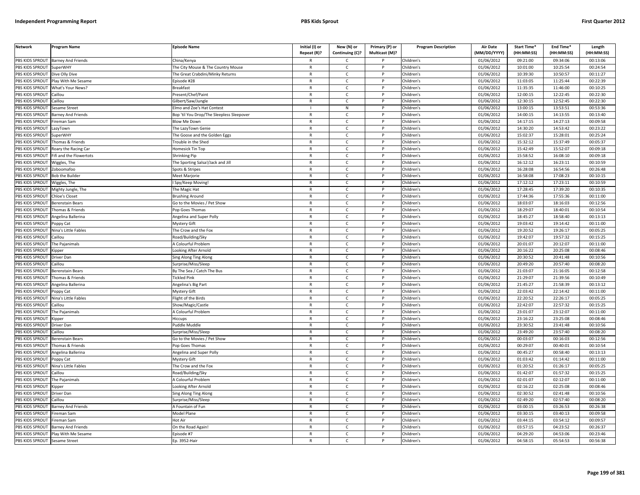| <b>Network</b>                     | <b>Program Name</b>            | <b>Episode Name</b>                               | Initial (I) or<br>Repeat (R)? | New (N) or<br>Continuing (C)? | Primary (P) or<br>Multicast (M)? | <b>Program Description</b> | <b>Air Date</b><br>(MM/DD/YYYY) | Start Time*<br>(HH:MM:SS) | End Time*<br>(HH:MM:SS) | Length<br>(HH:MM:SS) |
|------------------------------------|--------------------------------|---------------------------------------------------|-------------------------------|-------------------------------|----------------------------------|----------------------------|---------------------------------|---------------------------|-------------------------|----------------------|
| PBS KIDS SPROUT                    | <b>Barney And Friends</b>      | China/Kenya                                       |                               | C.                            |                                  | Children's                 | 01/06/2012                      | 09:21:00                  | 09:34:06                | 00:13:06             |
| PBS KIDS SPROUT                    | SuperWHY                       | The City Mouse & The Country Mouse                | $\mathsf{R}$                  | $\mathsf{C}$                  | P                                | Children's                 | 01/06/2012                      | 10:01:00                  | 10:25:54                | 00:24:54             |
| <b>BS KIDS SPROUT</b>              | Dive Olly Dive                 | The Great Crabdini/Minky Returns                  | R                             | $\mathsf{C}$                  |                                  | Children's                 | 01/06/2012                      | 10:39:30                  | 10:50:57                | 00:11:27             |
| PBS KIDS SPROUT                    | lay With Me Sesame             | Episode #28                                       | $\mathsf{R}$                  | $\mathsf{C}$                  | <sub>D</sub>                     | Children's                 | 01/06/2012                      | 11:03:05                  | 11:25:44                | 00:22:39             |
| PBS KIDS SPROUT                    | What's Your News?              | Breakfast                                         | R                             | c                             |                                  | Children's                 | 01/06/2012                      | 11:35:35                  | 11:46:00                | 00:10:25             |
| PBS KIDS SPROUT                    | aillou                         | resent/Chef/Paint                                 | $\mathsf{R}$                  | $\mathsf{C}$                  | P                                | Children's                 | 01/06/2012                      | 12:00:15                  | 12:22:45                | 00:22:30             |
| PBS KIDS SPROUT                    | Caillou                        | Gilbert/Saw/Jungle                                | R                             | $\mathsf{C}$                  | P                                | Children's                 | 01/06/2012                      | 12:30:15                  | 12:52:45                | 00:22:30             |
| PBS KIDS SPROUT                    | esame Street                   | Imo and Zoe's Hat Contest                         |                               | ${\sf N}$                     | P                                | Children's                 | 01/06/2012                      | 13:00:15                  | 13:53:51                | 00:53:36             |
| PBS KIDS SPROUT                    | <b>Barney And Friends</b>      | Bop 'til You Drop/The Sleepless Sleepover         | $\mathsf{R}$                  | $\mathsf{C}$                  | P                                | Children's                 | 01/06/2012                      | 14:00:15                  | 14:13:55                | 00:13:40             |
| PBS KIDS SPROUT                    | ireman Sam                     | <b>Slow Me Down</b>                               | $\mathsf{R}$                  | $\mathsf{C}$                  |                                  | Children's                 | 01/06/2012                      | 14:17:15                  | 14:27:13                | 00:09:58             |
| PBS KIDS SPROUT                    | azyTown                        | The LazyTown Genie                                | $\mathsf{R}$                  | c                             | P                                | Children's                 | 01/06/2012                      | 14:30:20                  | 14:53:42                | 00:23:22             |
| PBS KIDS SPROUT                    | SuperWHY                       | The Goose and the Golden Eggs                     | $\mathsf{R}$                  | $\mathsf{C}$                  |                                  | Children's                 | 01/06/2012                      | 15:02:37                  | 15:28:01                | 00:25:24             |
| PBS KIDS SPROUT                    | Thomas & Friends               | Frouble in the Shed                               | R                             | $\mathsf{C}$                  | P                                | Children's                 | 01/06/2012                      | 15:32:12                  | 15:37:49                | 00:05:37             |
| PBS KIDS SPROUT                    | Roary the Racing Car           | <b>Iomesick Tin Top</b>                           | R                             | $\mathsf{C}$                  |                                  | Children's                 | 01/06/2012                      | 15:42:49                  | 15:52:07                | 00:09:18             |
| PBS KIDS SPROUT                    | ifi and the Flowertots         | Shrinking Pip                                     | $\mathsf{R}$                  | $\mathsf{C}$                  | P                                | Children's                 | 01/06/2012                      | 15:58:52                  | 16:08:10                | 00:09:18             |
| PBS KIDS SPROUT                    | Wiggles, The                   | The Sporting Salsa!/Jack and Jill                 | R                             | $\mathsf{C}$                  |                                  | Children's                 | 01/06/2012                      | 16:12:12                  | 16:23:11                | 00:10:59             |
| PBS KIDS SPROUT                    | Zoboomafoo                     | Spots & Stripes                                   | R                             | $\mathsf{C}$                  | P                                | Children's                 | 01/06/2012                      | 16:28:08                  | 16:54:56                | 00:26:48             |
| <b>BS KIDS SPROUT</b>              | <b>Bob the Builder</b>         | Meet Marjorie                                     | R                             | $\mathsf{C}$                  |                                  | Children's                 | 01/06/2012                      | 16:58:08                  | 17:08:23                | 00:10:15             |
| PBS KIDS SPROUT                    | Viggles, The                   | Spy/Keep Moving                                   | $\mathsf{R}$                  | $\mathsf{C}$                  | P                                | Children's                 | 01/06/2012                      | 17:12:12                  | 17:23:11                | 00:10:59             |
| PBS KIDS SPROUT                    | Mighty Jungle, The             | he Magic Hat                                      | R                             | $\mathsf{C}$                  |                                  | Children's                 | 01/06/2012                      | 17:28:45                  | 17:39:20                | 00:10:35             |
| PBS KIDS SPROUT                    | hloe's Closet                  | <b>Brushing Around</b>                            | $\mathsf{R}$                  | $\mathsf{C}$                  | P                                | Children's                 | 01/06/2012                      | 17:44:36                  | 17:55:36                | 00:11:00             |
| <b>BS KIDS SPROUT</b>              | Berenstain Bears               | Go to the Movies / Pet Show                       | R                             | $\mathsf{C}$                  |                                  | Children's                 | 01/06/2012                      | 18:03:07                  | 18:16:03                | 00:12:56             |
| PBS KIDS SPROUT                    |                                |                                                   | $\overline{R}$                | $\mathsf{C}$                  | <sub>D</sub>                     | Children's                 | 01/06/2012                      | 18:29:07                  | 18:40:01                | 00:10:54             |
| PBS KIDS SPROUT                    | homas & Friends                | op Goes Thomas                                    | $\mathsf{R}$                  | $\mathsf{C}$                  | P                                | Children's                 | 01/06/2012                      | 18:45:27                  | 18:58:40                | 00:13:13             |
| PBS KIDS SPROUT                    | Angelina Ballerina             | Angelina and Super Polly                          | R                             | $\mathsf{C}$                  |                                  | Children's                 | 01/06/2012                      | 19:03:42                  | 19:14:42                | 00:11:00             |
| PBS KIDS SPROUT                    | oppy Cat                       | Mystery Gift                                      | $\mathsf{R}$                  | $\mathsf{C}$                  | P                                | Children's                 |                                 | 19:20:52                  | 19:26:17                | 00:05:25             |
| PBS KIDS SPROUT                    | Nina's Little Fables<br>aillou | The Crow and the Fox<br>Road/Building/Sky         | $\mathsf{R}$                  | $\mathsf{C}$                  |                                  | Children's                 | 01/06/2012<br>01/06/2012        | 19:42:07                  | 19:57:32                | 00:15:25             |
|                                    |                                |                                                   |                               |                               | P                                |                            | 01/06/2012                      | 20:01:07                  | 20:12:07                |                      |
| PBS KIDS SPROUT<br>PBS KIDS SPROUT | The Pajanimals                 | <b>A Colourful Problem</b><br>ooking After Arnold | $\mathsf{R}$<br>R             | $\mathsf{C}$<br>$\mathsf{C}$  |                                  | Children's<br>Children's   | 01/06/2012                      | 20:16:22                  | 20:25:08                | 00:11:00<br>00:08:46 |
| PBS KIDS SPROUT                    | (ipper<br>Driver Dan           | Sing Along Ting Along                             | R                             | c                             | P                                | Children's                 | 01/06/2012                      | 20:30:52                  | 20:41:48                | 00:10:56             |
| PBS KIDS SPROUT                    | Caillou                        | Surprise/Miss/Sleep                               | R                             | $\mathsf{C}$                  | P                                | Children's                 | 01/06/2012                      | 20:49:20                  | 20:57:40                | 00:08:20             |
| PBS KIDS SPROUT                    | <b>Berenstain Bears</b>        | By The Sea / Catch The Bus                        | $\mathsf{R}$                  | $\mathsf{C}$                  | P                                | Children's                 | 01/06/2012                      | 21:03:07                  | 21:16:05                | 00:12:58             |
| PBS KIDS SPROUT                    | Thomas & Friends               | ickled Pink                                       | $\mathsf{R}$                  | $\mathsf{C}$                  | P                                | Children's                 | 01/06/2012                      | 21:29:07                  | 21:39:56                | 00:10:49             |
| <b>PBS KIDS SPROUT</b>             | Angelina Ballerina             | Angelina's Big Part                               | $\mathsf{R}$                  | $\mathsf{C}$                  | P                                | Children's                 | 01/06/2012                      | 21:45:27                  | 21:58:39                | 00:13:12             |
| PBS KIDS SPROUT                    | Poppy Cat                      | Mystery Gift                                      | R                             | $\mathsf{C}$                  | P                                | Children's                 | 01/06/2012                      | 22:03:42                  | 22:14:42                | 00:11:00             |
| PBS KIDS SPROUT                    | Vina's Little Fables           | light of the Birds                                | $\mathsf{R}$                  | $\mathsf{C}$                  | <sub>D</sub>                     | Children's                 | 01/06/2012                      | 22:20:52                  | 22:26:17                | 00:05:25             |
| <b>BS KIDS SPROUT</b>              | aillou                         | Show/Magic/Castle                                 | R                             | C                             |                                  | Children's                 | 01/06/2012                      | 22:42:07                  | 22:57:32                | 00:15:25             |
| PBS KIDS SPROUT                    | The Pajanimals                 | A Colourful Problem                               | R                             | $\mathsf{C}$                  | <b>D</b>                         | Children's                 | 01/06/2012                      | 23:01:07                  | 23:12:07                | 00:11:00             |
| PBS KIDS SPROUT                    | Kipper                         | liccups                                           | R                             | $\mathsf{C}$                  | P                                | Children's                 | 01/06/2012                      | 23:16:22                  | 23:25:08                | 00:08:46             |
| PBS KIDS SPROUT                    | Driver Dan                     | uddle Muddle                                      | $\overline{R}$                | $\mathsf{C}$                  |                                  | Children's                 | 01/06/2012                      | 23:30:52                  | 23:41:48                | 00:10:56             |
| PBS KIDS SPROUT                    | Caillou                        | Surprise/Miss/Sleep                               | $\mathsf{R}$                  | $\mathsf{C}$                  | P                                | Children's                 | 01/06/2012                      | 23:49:20                  | 23:57:40                | 00:08:20             |
| PBS KIDS SPROUT                    | Berenstain Bears               | Go to the Movies / Pet Show                       | $\mathsf{R}$                  | $\mathsf{C}$                  |                                  | Children's                 | 01/06/2012                      | 00:03:07                  | 00:16:03                | 00:12:56             |
| PBS KIDS SPROUT                    | homas & Friends                |                                                   | $\mathsf{R}$                  | $\mathsf{C}$                  | P                                | Children's                 | 01/06/2012                      | 00:29:07                  | 00:40:01                | 00:10:54             |
| PBS KIDS SPROUT                    | Angelina Ballerina             | Pop Goes Thomas                                   | $\mathsf{R}$                  | $\mathsf{C}$                  |                                  | Children's                 | 01/06/2012                      | 00:45:27                  | 00:58:40                | 00:13:13             |
| PBS KIDS SPROUT                    |                                | Angelina and Super Polly                          | $\mathsf{R}$                  | c                             | P                                | Children's                 | 01/06/2012                      | 01:03:42                  | 01:14:42                | 00:11:00             |
|                                    | oppy Cat                       | Mystery Gift                                      | $\mathsf{R}$                  |                               | P                                |                            |                                 |                           |                         |                      |
| PBS KIDS SPROUT                    | Nina's Little Fables<br>aillou | The Crow and the Fox                              | $\mathsf{R}$                  | $\mathsf{C}$                  | P                                | Children's                 | 01/06/2012                      | 01:20:52                  | 01:26:17                | 00:05:25             |
| PBS KIDS SPROUT                    |                                | Road/Building/Sky                                 |                               | $\mathsf{C}$                  | P                                | Children's                 | 01/06/2012                      | 01:42:07                  | 01:57:32                | 00:15:25             |
| PBS KIDS SPROUT                    | The Pajanimals                 | <b>A Colourful Problem</b>                        | $\mathsf{R}$                  | $\mathsf{C}$                  |                                  | Children's                 | 01/06/2012                      | 02:01:07                  | 02:12:07                | 00:11:00             |
| PBS KIDS SPROUT                    | Kipper                         | Looking After Arnold                              | $\mathsf{R}$                  | c                             | P                                | Children's                 | 01/06/2012                      | 02:16:22                  | 02:25:08                | 00:08:46             |
| PBS KIDS SPROUT                    | Driver Dan                     | Sing Along Ting Along                             | R                             | $\mathsf{C}$                  | P                                | Children's                 | 01/06/2012                      | 02:30:52                  | 02:41:48                | 00:10:56             |
| <b>PBS KIDS SPROUT</b>             | aillou                         | urprise/Miss/Sleep                                | $\mathsf{R}$                  | $\mathsf{C}$                  | P                                | Children's                 | 01/06/2012                      | 02:49:20                  | 02:57:40                | 00:08:20             |
| <b>BS KIDS SPROUT</b>              | <b>Barney And Friends</b>      | A Fountain of Fun                                 | R                             | $\mathsf{C}$                  |                                  | Children's                 | 01/06/2012                      | 03:00:15                  | 03:26:53                | 00:26:38             |
| PBS KIDS SPROUT                    | ireman Sam                     | Model Plane                                       | $\overline{R}$                | $\mathsf{C}$                  | <b>D</b>                         | Children's                 | 01/06/2012                      | 03:30:15                  | 03:40:13                | 00:09:58             |
| PBS KIDS SPROUT                    | ireman Sam                     | Hot Air                                           | R                             | $\mathsf{C}$                  | P                                | Children's                 | 01/06/2012                      | 03:44:15                  | 03:54:12                | 00:09:57             |
| PBS KIDS SPROUT                    | arney And Friends              | On the Road Again!                                | $\overline{R}$                | $\mathsf{C}$                  |                                  | Children's                 | 01/06/2012                      | 03:57:15                  | 04:23:52                | 00:26:37             |
| PBS KIDS SPROUT                    | Play With Me Sesame            | Episode #7                                        | R                             | $\mathsf{C}$                  | P                                | Children's                 | 01/06/2012                      | 04:29:20                  | 04:53:06                | 00:23:46             |
| PBS KIDS SPROUT Sesame Street      |                                | Ep. 3952-Hair                                     |                               | $\mathsf{C}$                  | P                                | Children's                 | 01/06/2012                      | 04:58:15                  | 05:54:53                | 00:56:38             |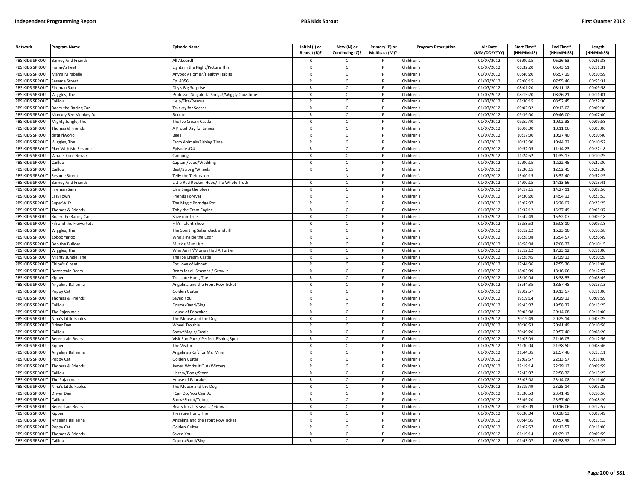| <b>Network</b>                     | Program Name                        | <b>Episode Name</b>                          | Initial (I) or<br>Repeat (R)? | New (N) or<br>Continuing (C)? | Primary (P) or<br>Multicast (M)? | <b>Program Description</b> | <b>Air Date</b><br>(MM/DD/YYYY) | Start Time*<br>(HH:MM:SS) | End Time*<br>(HH:MM:SS) | Length<br>(HH:MM:SS) |
|------------------------------------|-------------------------------------|----------------------------------------------|-------------------------------|-------------------------------|----------------------------------|----------------------------|---------------------------------|---------------------------|-------------------------|----------------------|
| PBS KIDS SPROUT                    | <b>Barney And Friends</b>           | All Aboard!                                  |                               | $\mathsf{C}$                  |                                  | Children's                 | 01/07/2012                      | 06:00:15                  | 06:26:53                | 00:26:38             |
| PBS KIDS SPROUT                    | Franny's Feet                       | ights in the Night/Picture This              | $\mathsf{R}$                  | $\mathsf{C}$                  | P                                | Children's                 | 01/07/2012                      | 06:32:20                  | 06:43:51                | 00:11:31             |
| PBS KIDS SPROUT                    | Mama Mirabelle                      | Anybody Home?/Healthy Habits                 | $\mathsf{R}$                  | $\mathsf{C}$                  |                                  | Children's                 | 01/07/2012                      | 06:46:20                  | 06:57:19                | 00:10:59             |
| PBS KIDS SPROUT                    | Sesame Street                       | Ep. 4056                                     | $\mathsf{R}$                  | $\mathsf{C}$                  | D                                | Children's                 | 01/07/2012                      | 07:00:15                  | 07:55:46                | 00:55:31             |
| PBS KIDS SPROUT                    | Fireman Sam                         | Dily's Big Surprise                          | $\mathsf{R}$                  | c                             |                                  | Children's                 | 01/07/2012                      | 08:01:20                  | 08:11:18                | 00:09:58             |
| PBS KIDS SPROUT                    | Niggles, The                        | Professor Singalotta Songa!/Wiggly Quiz Time | $\mathsf{R}$                  | $\mathsf{C}$                  | P                                | Children's                 | 01/07/2012                      | 08:15:20                  | 08:26:21                | 00:11:01             |
| PBS KIDS SPROUT                    | Caillou                             | Help/Fire/Rescue                             | $\mathsf{R}$                  | C                             | P                                | Children's                 | 01/07/2012                      | 08:30:15                  | 08:52:45                | 00:22:30             |
| PBS KIDS SPROUT                    | Roary the Racing Car                | <b>Trucksy for Soccer</b>                    | $\mathsf{R}$                  | $\mathsf{C}$                  | <b>D</b>                         | Children's                 | 01/07/2012                      | 09:03:32                  | 09:13:02                | 00:09:30             |
| PBS KIDS SPROUT                    | Monkey See Monkey Do                | Rooster                                      | ${\sf R}$                     | $\mathsf{C}$                  | P                                | Children's                 | 01/07/2012                      | 09:39:00                  | 09:46:00                | 00:07:00             |
| PBS KIDS SPROUT                    | Mighty Jungle, The                  | The Ice Cream Castle                         | $\mathsf{R}$                  | $\mathsf{C}$                  |                                  | Children's                 | 01/07/2012                      | 09:52:40                  | 10:02:38                | 00:09:58             |
| PBS KIDS SPROUT                    | Thomas & Friends                    | A Proud Day for James                        | $\mathsf{R}$                  | C                             | P                                | Children's                 | 01/07/2012                      | 10:06:00                  | 10:11:06                | 00:05:06             |
| PBS KIDS SPROUT                    | dirtgirlworld                       | Bees                                         | $\mathsf{R}$                  | $\mathsf{C}$                  |                                  | Children's                 | 01/07/2012                      | 10:17:00                  | 10:27:40                | 00:10:40             |
| PBS KIDS SPROUT                    | Wiggles, The                        | Farm Animals/Fishing Time                    | $\mathsf{R}$                  | $\mathsf{C}$                  | $\mathsf{P}$                     | Children's                 | 01/07/2012                      | 10:33:30                  | 10:44:22                | 00:10:52             |
| PBS KIDS SPROUT                    | Play With Me Sesame                 | pisode #74                                   | $\mathsf{R}$                  | C                             |                                  | Children's                 | 01/07/2012                      | 10:52:05                  | 11:14:23                | 00:22:18             |
| PBS KIDS SPROUT                    | What's Your News?                   | Camping                                      | $\mathsf{R}$                  | $\mathsf{C}$                  | P                                | Children's                 | 01/07/2012                      | 11:24:52                  | 11:35:17                | 00:10:25             |
| PBS KIDS SPROUT                    | Caillou                             | Captain/Loud/Wedding                         | $\mathsf{R}$                  | $\mathsf{C}$                  |                                  | Children's                 | 01/07/2012                      | 12:00:15                  | 12:22:45                | 00:22:30             |
| PBS KIDS SPROUT                    | Caillou                             | Best/Strong/Wheels                           | $\mathsf{R}$                  | $\mathsf{C}$                  | P                                | Children's                 | 01/07/2012                      | 12:30:15                  | 12:52:45                | 00:22:30             |
| PBS KIDS SPROUT                    | Sesame Street                       | Telly the Tiebreaker                         |                               | ${\sf N}$                     |                                  | Children's                 | 01/07/2012                      | 13:00:15                  | 13:52:40                | 00:52:25             |
| PBS KIDS SPROUT                    | Barney And Friends                  | Little Red Rockin' Hood/The Whole Truth      | $\mathsf{R}$                  | $\mathsf{C}$                  | P                                | Children's                 | 01/07/2012                      | 14:00:15                  | 14:13:56                | 00:13:41             |
| PBS KIDS SPROUT                    | Fireman Sam                         | Elvis Sings the Blues                        | $\mathsf{R}$                  | $\mathsf{C}$                  |                                  | Children's                 | 01/07/2012                      | 14:17:15                  | 14:27:11                | 00:09:56             |
| PBS KIDS SPROUT                    | LazyTown                            | Friends Forever                              | $\mathsf{R}$                  | $\mathsf{C}$                  | P                                | Children's                 | 01/07/2012                      | 14:30:20                  | 14:54:13                | 00:23:53             |
| PBS KIDS SPROUT                    | <b>SuperWHY</b>                     | The Magic Porridge Pot                       | $\mathsf{R}$                  | $\mathsf{C}$                  |                                  | Children's                 | 01/07/2012                      | 15:02:37                  | 15:28:02                | 00:25:25             |
| PBS KIDS SPROUT                    | Thomas & Friends                    | Toby the Tram Engine                         | $\mathsf{R}$                  | $\mathsf{C}$                  | <sub>D</sub>                     | Children's                 | 01/07/2012                      | 15:32:12                  | 15:37:49                | 00:05:37             |
| PBS KIDS SPROUT                    | Roary the Racing Car                | Save our Tree                                | $\mathsf{R}$                  | $\mathsf{C}$                  | P                                | Children's                 | 01/07/2012                      | 15:42:49                  | 15:52:07                | 00:09:18             |
| PBS KIDS SPROUT                    | ifi and the Flowertots              | ifi's Talent Show                            | $\mathsf{R}$                  | $\mathsf{C}$                  |                                  | Children's                 | 01/07/2012                      | 15:58:52                  | 16:08:10                | 00:09:18             |
| PBS KIDS SPROUT                    | Wiggles, The                        | The Sporting Salsa!/Jack and Jill            | $\mathsf{R}$                  | C                             | P                                | Children's                 | 01/07/2012                      | 16:12:12                  | 16:23:10                | 00:10:58             |
| PBS KIDS SPROUT                    | Zoboomafoo                          | Who's Inside the Egg?                        | $\mathsf{R}$                  | $\mathsf{C}$                  |                                  | Children's                 | 01/07/2012                      | 16:28:08                  | 16:54:57                | 00:26:49             |
| PBS KIDS SPROUT                    | <b>Bob the Builder</b>              | Muck's Mud Hut                               | $\mathsf{R}$                  | $\mathsf{C}$                  | P                                | Children's                 | 01/07/2012                      | 16:58:08                  | 17:08:23                | 00:10:15             |
| PBS KIDS SPROUT                    | Wiggles, The                        | Who Am I?/Murray Had A Turtle                | R                             | $\mathsf{C}$                  |                                  | Children's                 | 01/07/2012                      | 17:12:12                  | 17:23:12                | 00:11:00             |
| PBS KIDS SPROUT                    | Mighty Jungle, The                  | The Ice Cream Castle                         | $\mathsf{R}$                  | C                             | P                                | Children's                 | 01/07/2012                      | 17:28:45                  | 17:39:13                | 00:10:28             |
| PBS KIDS SPROUT                    | <b>Chloe's Closet</b>               | For Love of Monet                            | $\mathsf{R}$                  | C                             | P                                | Children's                 | 01/07/2012                      | 17:44:36                  | 17:55:36                | 00:11:00             |
| PBS KIDS SPROUT                    | Berenstain Bears                    | Bears for all Seasons / Grow It              | $\mathsf{R}$                  | C                             | $\mathsf{P}$                     | Children's                 | 01/07/2012                      | 18:03:09                  | 18:16:06                | 00:12:57             |
| PBS KIDS SPROUT                    | <b>Cinner</b>                       | Freasure Hunt. The                           | $\mathsf{R}$                  | $\mathsf{C}$                  | P                                | Children's                 | 01/07/2012                      | 18:30:04                  | 18:38:53                | 00:08:49             |
| PBS KIDS SPROUT                    | Angelina Ballerina                  | Angelina and the Front Row Ticket            | $\mathsf{R}$                  | $\mathsf{C}$                  | P                                | Children's                 | 01/07/2012                      | 18:44:35                  | 18:57:48                | 00:13:13             |
| PBS KIDS SPROUT                    | Poppy Cat                           | Golden Guitar                                | $\mathsf{R}$                  | $\mathsf{C}$                  | P                                | Children's                 | 01/07/2012                      | 19:02:57                  | 19:13:57                | 00:11:00             |
| PBS KIDS SPROUT                    | Thomas & Friends                    | Saved You                                    | $\mathsf{R}$                  | $\mathsf{C}$                  | P                                | Children's                 | 01/07/2012                      | 19:19:14                  | 19:29:13                | 00:09:59             |
| PBS KIDS SPROUT                    | Caillou                             | Drums/Band/Sing                              | $\mathsf{R}$                  | C                             |                                  | Children's                 | 01/07/2012                      | 19:43:07                  | 19:58:32                | 00:15:25             |
| PBS KIDS SPROUT                    | The Pajanimals                      | <b>House of Pancakes</b>                     | $\mathsf{R}$                  | $\mathsf{C}$                  | <b>D</b>                         | Children's                 | 01/07/2012                      | 20:03:08                  | 20:14:08                | 00:11:00             |
| PBS KIDS SPROUT                    | Nina's Little Fables                | The Mouse and the Dog                        | $\mathsf{R}$<br>$\mathsf{R}$  | $\mathsf{C}$                  | P<br><b>D</b>                    | Children's                 | 01/07/2012                      | 20:19:49<br>20:30:53      | 20:25:14<br>20:41:49    | 00:05:25             |
| PBS KIDS SPROUT                    | Driver Dan                          | <b>Wheel Trouble</b>                         |                               | $\mathsf{C}$                  | P                                | Children's                 | 01/07/2012                      |                           |                         | 00:10:56             |
| PBS KIDS SPROUT<br>PBS KIDS SPROUT | Caillou                             | Show/Magic/Castle                            | $\mathsf{R}$<br>$\mathsf{R}$  | $\mathsf{C}$<br>$\mathsf{C}$  |                                  | Children's<br>Children's   | 01/07/2012                      | 20:49:20<br>21:03:09      | 20:57:40<br>21:16:05    | 00:08:20<br>00:12:56 |
|                                    | Berenstain Bears                    | Visit Fun Park / Perfect Fishing Spot        |                               | $\mathsf{C}$                  | P                                |                            | 01/07/2012                      | 21:30:04                  | 21:38:50                |                      |
| PBS KIDS SPROUT<br>PBS KIDS SPROUT | <b>Kipper</b><br>Angelina Ballerina | The Visitor<br>Angelina's Gift for Ms. Mimi  | $\mathsf{R}$<br>$\mathsf{R}$  | C                             |                                  | Children's<br>Children's   | 01/07/2012<br>01/07/2012        | 21:44:35                  | 21:57:46                | 00:08:46<br>00:13:11 |
| PBS KIDS SPROUT                    | Poppy Cat                           | Golden Guitar                                | $\mathsf{R}$                  | C                             | P                                | Children's                 | 01/07/2012                      | 22:02:57                  | 22:13:57                | 00:11:00             |
| PBS KIDS SPROUT                    | Thomas & Friends                    | James Works It Out (Winter)                  | $\mathsf{R}$                  | $\mathsf{C}$                  | P                                | Children's                 | 01/07/2012                      | 22:19:14                  | 22:29:13                | 00:09:59             |
| PBS KIDS SPROUT                    | Caillou                             | Library/Book/Story                           | $\mathsf{R}$                  | $\mathsf{C}$                  | $\mathsf{P}$                     | Children's                 | 01/07/2012                      | 22:43:07                  | 22:58:32                | 00:15:25             |
| PBS KIDS SPROUT                    | The Pajanimals                      | House of Pancakes                            | $\mathsf{R}$                  | $\mathsf{C}$                  | P                                | Children's                 | 01/07/2012                      | 23:03:08                  | 23:14:08                | 00:11:00             |
| PBS KIDS SPROUT                    | Nina's Little Fables                | The Mouse and the Dog                        | $\mathsf{R}$                  | C                             | P                                | Children's                 | 01/07/2012                      | 23:19:49                  | 23:25:14                | 00:05:25             |
| PBS KIDS SPROUT                    | Driver Dan                          | Can Do, You Can Do                           | $\mathsf{R}$                  | C                             | P                                | Children's                 | 01/07/2012                      | 23:30:53                  | 23:41:49                | 00:10:56             |
| PBS KIDS SPROUT                    | Caillou                             | inow/Shoot/Tobog                             | $\mathsf{R}$                  | $\mathsf{C}$                  | P                                | Children's                 | 01/07/2012                      | 23:49:20                  | 23:57:40                | 00:08:20             |
| PBS KIDS SPROUT                    | Berenstain Bears                    | Bears for all Seasons / Grow It              | $\mathsf{R}$                  | $\mathsf{C}$                  |                                  | Children's                 | 01/07/2012                      | 00:03:09                  | 00:16:06                | 00:12:57             |
| PBS KIDS SPROUT                    | .ipper                              | Treasure Hunt, The                           | $\mathsf{R}$                  | $\mathsf{C}$                  | D                                | Children's                 | 01/07/2012                      | 00:30:04                  | 00:38:53                | 00:08:49             |
| PBS KIDS SPROUT                    | Angelina Ballerina                  | Angelina and the Front Row Ticket            | R                             | $\mathsf{C}$                  | P                                | Children's                 | 01/07/2012                      | 00:44:35                  | 00:57:48                | 00:13:13             |
| PBS KIDS SPROUT                    | 'oppy Cat                           | Golden Guitar                                | $\mathsf{R}$                  | $\mathsf{C}$                  |                                  | Children's                 | 01/07/2012                      | 01:02:57                  | 01:13:57                | 00:11:00             |
| PBS KIDS SPROUT                    | Thomas & Friends                    | Saved You                                    | $\mathsf{R}$                  | C                             | P                                | Children's                 | 01/07/2012                      | 01:19:14                  | 01:29:13                | 00:09:59             |
| PBS KIDS SPROUT                    | Caillou                             | Drums/Band/Sing                              | $\mathsf{R}$                  | $\mathsf{C}$                  | D                                | Children's                 | 01/07/2012                      | 01:43:07                  | 01:58:32                | 00:15:25             |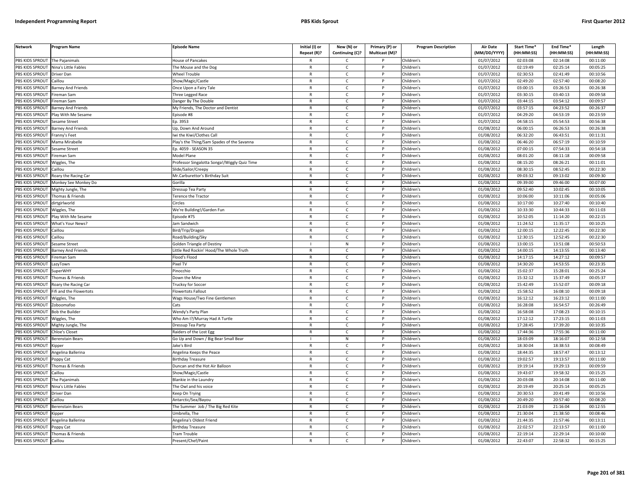| <b>Network</b>  | <b>Program Name</b>       | <b>Episode Name</b>                          | Initial (I) or<br>Repeat (R)? | New (N) or<br>Continuing (C)? | Primary (P) or<br>Multicast (M)? | <b>Program Description</b> | <b>Air Date</b><br>(MM/DD/YYYY) | Start Time*<br>(HH:MM:SS) | End Time*<br>(HH:MM:SS) | Length<br>(HH:MM:SS) |
|-----------------|---------------------------|----------------------------------------------|-------------------------------|-------------------------------|----------------------------------|----------------------------|---------------------------------|---------------------------|-------------------------|----------------------|
| PBS KIDS SPROUT | The Pajanimals            | House of Pancakes                            |                               | C.                            |                                  | Children's                 | 01/07/2012                      | 02:03:08                  | 02:14:08                | 00:11:00             |
| PBS KIDS SPROUT | Nina's Little Fables      | The Mouse and the Dog                        | $\mathsf{R}$                  | $\mathsf{C}$                  | P                                | Children's                 | 01/07/2012                      | 02:19:49                  | 02:25:14                | 00:05:25             |
| PBS KIDS SPROUT | Driver Dan                | Wheel Trouble                                | R                             | $\mathsf{C}$                  |                                  | Children's                 | 01/07/2012                      | 02:30:53                  | 02:41:49                | 00:10:56             |
| PBS KIDS SPROUT | Caillou                   | Show/Magic/Castle                            | $\mathsf{R}$                  | $\mathsf{C}$                  | Þ                                | Children's                 | 01/07/2012                      | 02:49:20                  | 02:57:40                | 00:08:20             |
| PBS KIDS SPROUT | <b>Barney And Friends</b> | Once Upon a Fairy Tale                       | R                             | C                             |                                  | Children's                 | 01/07/2012                      | 03:00:15                  | 03:26:53                | 00:26:38             |
| PBS KIDS SPROUT | ireman Sam                | Three Legged Race                            | $\mathsf{R}$                  | $\mathsf{C}$                  | P                                | Children's                 | 01/07/2012                      | 03:30:15                  | 03:40:13                | 00:09:58             |
| PBS KIDS SPROUT | Fireman Sam               | Danger By The Double                         | $\mathsf{R}$                  | $\mathsf{C}$                  | P                                | Children's                 | 01/07/2012                      | 03:44:15                  | 03:54:12                | 00:09:57             |
| PBS KIDS SPROUT | <b>Barney And Friends</b> | My Friends, The Doctor and Dentist           | $\mathsf{R}$                  | $\mathsf{C}$                  | P                                | Children's                 | 01/07/2012                      | 03:57:15                  | 04:23:52                | 00:26:37             |
| PBS KIDS SPROUT | Play With Me Sesame       | Episode #8                                   | $\mathsf{R}$                  | $\mathsf{C}$                  | P                                | Children's                 | 01/07/2012                      | 04:29:20                  | 04:53:19                | 00:23:59             |
| PBS KIDS SPROUT | Sesame Street             | Ep. 3953                                     | $\mathsf{R}$                  | $\mathsf{C}$                  | P                                | Children's                 | 01/07/2012                      | 04:58:15                  | 05:54:53                | 00:56:38             |
| PBS KIDS SPROUT | <b>Barney And Friends</b> | Up, Down And Around                          | $\mathsf{R}$                  | $\mathsf{C}$                  | P                                | Children's                 | 01/08/2012                      | 06:00:15                  | 06:26:53                | 00:26:38             |
| PBS KIDS SPROUT | Franny's Feet             | wi the Kiwi/Clothes Call                     | $\mathsf{R}$                  | $\mathsf{C}$                  | P                                | Children's                 | 01/08/2012                      | 06:32:20                  | 06:43:51                | 00:11:31             |
| PBS KIDS SPROUT | Mama Mirabelle            | Play's the Thing/Sam Spades of the Savanna   | $\mathsf{R}$                  | $\mathsf{C}$                  | P                                | Children's                 | 01/08/2012                      | 06:46:20                  | 06:57:19                | 00:10:59             |
| PBS KIDS SPROUT | Sesame Street             | Ep. 4059 - SEASON 35                         | $\mathsf{R}$                  | $\mathsf{C}$                  | P                                | Children's                 | 01/08/2012                      | 07:00:15                  | 07:54:33                | 00:54:18             |
| PBS KIDS SPROUT | Fireman Sam               | Model Plane                                  | $\mathsf{R}$                  | $\mathsf{C}$                  | $\mathsf{P}$                     | Children's                 | 01/08/2012                      | 08:01:20                  | 08:11:18                | 00:09:58             |
| PBS KIDS SPROUT | Wiggles, The              | Professor Singalotta Songa!/Wiggly Quiz Time | R                             | C                             | P                                | Children's                 | 01/08/2012                      | 08:15:20                  | 08:26:21                | 00:11:01             |
| PBS KIDS SPROUT | Caillou                   | Slide/Sailor/Creepy                          | R                             | $\mathsf{C}$                  | P                                | Children's                 | 01/08/2012                      | 08:30:15                  | 08:52:45                | 00:22:30             |
| PBS KIDS SPROUT | Roary the Racing Car      | Mr.Carburettor's Birthday Suit               | $\mathsf{R}$                  | $\mathsf{C}$                  | P                                | Children's                 | 01/08/2012                      | 09:03:32                  | 09:13:02                | 00:09:30             |
| PBS KIDS SPROUT | Monkey See Monkey Do      | Gorilla                                      | $\mathsf{R}$                  | $\mathsf{C}$                  | P                                | Children's                 | 01/08/2012                      | 09:39:00                  | 09:46:00                | 00:07:00             |
| PBS KIDS SPROUT | Mighty Jungle, The        | Dressup Tea Party                            | R                             | $\mathsf{C}$                  | p                                | Children's                 | 01/08/2012                      | 09:52:40                  | 10:02:45                | 00:10:05             |
| PBS KIDS SPROUT | Thomas & Friends          | Ference the Tractor                          | $\mathsf{R}$                  | $\mathsf{C}$                  |                                  | Children's                 | 01/08/2012                      | 10:06:00                  | 10:11:06                | 00:05:06             |
| PBS KIDS SPROUT | dirtgirlworld             | Circles                                      | R                             | C                             |                                  | Children's                 | 01/08/2012                      | 10:17:00                  | 10:27:40                | 00:10:40             |
| PBS KIDS SPROUT | Wiggles, The              | We're Building!/Garden Fun                   | $\mathsf{R}$                  | $\mathsf{C}$                  | P                                | Children's                 | 01/08/2012                      | 10:33:30                  | 10:44:33                | 00:11:03             |
| PBS KIDS SPROUT | Play With Me Sesame       | Episode #75                                  | R                             | C                             | P                                | Children's                 | 01/08/2012                      | 10:52:05                  | 11:14:20                | 00:22:15             |
| PBS KIDS SPROUT | What's Your News?         | lam Sandwich                                 | $\mathsf{R}$                  | $\mathsf{C}$                  | P                                | Children's                 | 01/08/2012                      | 11:24:52                  | 11:35:17                | 00:10:25             |
| PBS KIDS SPROUT | Caillou                   | Bird/Trip/Dragon                             | $\mathsf{R}$                  | $\mathsf{C}$                  | P                                | Children's                 | 01/08/2012                      | 12:00:15                  | 12:22:45                | 00:22:30             |
| PBS KIDS SPROUT | Caillou                   | Road/Building/Sky                            | $\mathsf{R}$                  | $\mathsf{C}$                  | D                                | Children's                 | 01/08/2012                      | 12:30:15                  | 12:52:45                | 00:22:30             |
| PBS KIDS SPROUT | Sesame Street             | <b>Golden Triangle of Destiny</b>            | $\mathbf{I}$                  | N                             | P                                | Children's                 | 01/08/2012                      | 13:00:15                  | 13:51:08                | 00:50:53             |
| PBS KIDS SPROUT | <b>Barney And Friends</b> | Little Red Rockin' Hood/The Whole Truth      | $\mathsf{R}$                  | $\mathsf{C}$                  | P                                | Children's                 | 01/08/2012                      | 14:00:15                  | 14:13:55                | 00:13:40             |
| PBS KIDS SPROUT | Fireman Sam               | Flood's Flood                                | $\mathsf{R}$                  | $\mathsf{C}$                  | P                                | Children's                 | 01/08/2012                      | 14:17:15                  | 14:27:12                | 00:09:57             |
| PBS KIDS SPROUT | LazyTown                  | Pixel TV                                     | $\mathsf{R}$                  | $\mathsf{C}$                  | P                                | Children's                 | 01/08/2012                      | 14:30:20                  | 14:53:55                | 00:23:35             |
| PBS KIDS SPROUT | <b>SuperWHY</b>           | <sup>2</sup> inocchic                        | $\mathsf{R}$                  | $\mathsf{C}$                  | $\mathsf{P}$                     | Children's                 | 01/08/2012                      | 15:02:37                  | 15:28:01                | 00:25:24             |
| PBS KIDS SPROUT | Thomas & Friends          | Down the Mine                                | $\mathsf{R}$                  | $\mathsf{C}$                  | P                                | Children's                 | 01/08/2012                      | 15:32:12                  | 15:37:49                | 00:05:37             |
| PBS KIDS SPROUT | Roary the Racing Car      | <b>Trucksy for Soccer</b>                    | $\mathsf{R}$                  | C                             | P                                | Children's                 | 01/08/2012                      | 15:42:49                  | 15:52:07                | 00:09:18             |
| PBS KIDS SPROUT | Fifi and the Flowertots   | lowertots Fallout                            | R                             | $\mathsf{C}$                  | P                                | Children's                 | 01/08/2012                      | 15:58:52                  | 16:08:10                | 00:09:18             |
| PBS KIDS SPROUT | Wiggles, The              | Wags House/Two Fine Gentlemen                | $\mathsf{R}$                  | $\mathsf{C}$                  | P                                | Children's                 | 01/08/2012                      | 16:12:12                  | 16:23:12                | 00:11:00             |
| PBS KIDS SPROUT | Zoboomafoo                | Cats                                         | R                             | $\mathsf{C}$                  | p                                | Children's                 | 01/08/2012                      | 16:28:08                  | 16:54:57                | 00:26:49             |
| PBS KIDS SPROUT | <b>Bob the Builder</b>    | Wendy's Party Plan                           | $\mathsf{R}$                  | $\mathsf{C}$                  | D                                | Children's                 | 01/08/2012                      | 16:58:08                  | 17:08:23                | 00:10:15             |
| PBS KIDS SPROUT | Wiggles, The              | Who Am I?/Murray Had A Turtle                | R                             | $\mathsf{C}$                  | P                                | Children's                 | 01/08/2012                      | 17:12:12                  | 17:23:15                | 00:11:03             |
| PBS KIDS SPROUT | Mighty Jungle, The        | Dressup Tea Party                            | $\mathsf{R}$                  | $\mathsf{C}$                  |                                  | Children's                 | 01/08/2012                      | 17:28:45                  | 17:39:20                | 00:10:35             |
| PBS KIDS SPROUT | Chloe's Closet            | Raiders of the Lost Egg                      | $\mathsf{R}$                  | C                             | P                                | Children's                 | 01/08/2012                      | 17:44:36                  | 17:55:36                | 00:11:00             |
| PBS KIDS SPROUT | Berenstain Bears          | Go Up and Down / Big Bear Small Bear         |                               | ${\sf N}$                     | Þ                                | Children's                 | 01/08/2012                      | 18:03:09                  | 18:16:07                | 00:12:58             |
| PBS KIDS SPROUT | (ipper                    | Jake's Bird                                  | $\mathsf{R}$                  | $\mathsf{C}$                  | P                                | Children's                 | 01/08/2012                      | 18:30:04                  | 18:38:53                | 00:08:49             |
| PBS KIDS SPROUT | Angelina Ballerina        | Angelina Keeps the Peace                     | $\mathsf{R}$                  | $\mathsf{C}$                  | D                                | Children's                 | 01/08/2012                      | 18:44:35                  | 18:57:47                | 00:13:12             |
| PBS KIDS SPROUT | Poppy Cat                 | Birthday Treasure                            | $\mathsf{R}$                  | $\mathsf{C}$                  | P                                | Children's                 | 01/08/2012                      | 19:02:57                  | 19:13:57                | 00:11:00             |
| PBS KIDS SPROUT | Thomas & Friends          | Duncan and the Hot Air Balloon               | $\mathsf{R}$                  | $\mathsf{C}$                  | D                                | Children's                 | 01/08/2012                      | 19:19:14                  | 19:29:13                | 00:09:59             |
| PBS KIDS SPROUT | Caillou                   | Show/Magic/Castle                            | R                             | $\mathsf{C}$                  | P                                | Children's                 | 01/08/2012                      | 19:43:07                  | 19:58:32                | 00:15:25             |
| PBS KIDS SPROUT | The Pajanimals            | <b>Blankie in the Laundry</b>                | $\mathsf{R}$                  | $\mathsf{C}$                  | P                                | Children's                 | 01/08/2012                      | 20:03:08                  | 20:14:08                | 00:11:00             |
| PBS KIDS SPROUT | Nina's Little Fables      | The Owl and his voice                        | $\mathsf{R}$                  | $\mathsf{C}$                  | $\mathsf{P}$                     | Children's                 | 01/08/2012                      | 20:19:49                  | 20:25:14                | 00:05:25             |
| PBS KIDS SPROUT | Driver Dan                | Keep On Trying                               | $\mathsf{R}$                  | C                             | P                                | Children's                 | 01/08/2012                      | 20:30:53                  | 20:41:49                | 00:10:56             |
| PBS KIDS SPROUT | Caillou                   | Antarctic/Sea/Bayou                          | R                             | $\mathsf{C}$                  | P                                | Children's                 | 01/08/2012                      | 20:49:20                  | 20:57:40                | 00:08:20             |
| PBS KIDS SPROUT | Berenstain Bears          | The Summer Job / The Big Red Kite            | $\mathsf{R}$                  | C                             | P                                | Children's                 | 01/08/2012                      | 21:03:09                  | 21:16:04                | 00:12:55             |
| PBS KIDS SPROUT | <i><b>Sipper</b></i>      | Umbrella, The                                | $\mathsf{R}$                  | $\mathsf{C}$                  | P                                | Children's                 | 01/08/2012                      | 21:30:04                  | 21:38:50                | 00:08:46             |
| PBS KIDS SPROUT | Angelina Ballerina        | Angelina's Oldest Friend                     | R                             | Ċ                             |                                  | Children's                 | 01/08/2012                      | 21:44:35                  | 21:57:46                | 00:13:11             |
| PBS KIDS SPROUT | Poppy Cat                 | <b>Birthday Treasure</b>                     | $\mathsf{R}$                  | $\mathsf{C}$                  | P                                | Children's                 | 01/08/2012                      | 22:02:57                  | 22:13:57                | 00:11:00             |
| PBS KIDS SPROUT | Thomas & Friends          | <b>Tram Trouble</b>                          | R                             | C                             |                                  | Children's                 | 01/08/2012                      | 22:19:14                  | 22:29:14                | 00:10:00             |
| PBS KIDS SPROUT | Caillou                   | Present/Chef/Paint                           | R                             | $\mathsf{C}$                  |                                  | Children's                 | 01/08/2012                      | 22:43:07                  | 22:58:32                | 00:15:25             |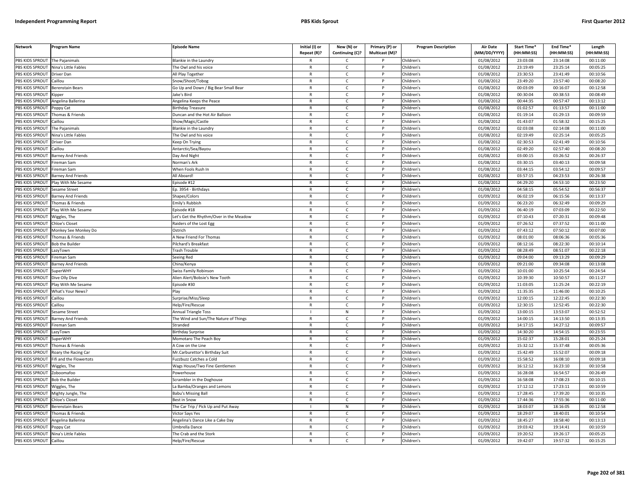| PBS KIDS SPROUT<br>The Pajanimals<br><b>Blankie in the Laundry</b><br>Children's<br>01/08/2012<br>23:03:08<br>23:14:08<br>00:11:00<br>R<br>C<br>PBS KIDS SPROUT<br>Nina's Little Fables<br>The Owl and his voice<br>$\mathsf{C}$<br>P<br>Children's<br>01/08/2012<br>23:19:49<br>23:25:14<br>00:05:25<br>$\mathsf{R}$<br>PBS KIDS SPROUT<br>Children's<br>01/08/2012<br>23:30:53<br>23:41:49<br>00:10:56<br>Driver Dan<br>All Play Together<br>$\mathsf{R}$<br>$\mathsf{C}$<br>P<br>PBS KIDS SPROUT<br>Children's<br>01/08/2012<br>23:49:20<br>23:57:40<br>00:08:20<br>Caillou<br>Snow/Shoot/Tobog<br>$\mathsf{R}$<br>$\mathsf{C}$<br>P<br>PBS KIDS SPROUT<br>Go Up and Down / Big Bear Small Bear<br>Children's<br>01/08/2012<br>00:03:09<br>00:16:07<br>00:12:58<br><b>Berenstain Bears</b><br>$\mathsf{R}$<br>$\mathsf{C}$<br>P<br>PBS KIDS SPROUT<br>lake's Bird<br>$\mathsf{R}$<br>$\mathsf{C}$<br>P<br>Children's<br>01/08/2012<br>00:30:04<br>00:38:53<br>00:08:49<br>(ipper<br>01/08/2012<br>00:44:35<br>00:57:47<br>00:13:12<br><b>BS KIDS SPROUT</b><br>Angelina Ballerina<br>Angelina Keeps the Peace<br>$\mathsf{R}$<br>P<br>Children's<br>C<br>$\mathsf{C}$<br>P<br>Children's<br>01/08/2012<br>01:02:57<br>00:11:00<br>PBS KIDS SPROUT<br><b>Birthday Treasure</b><br>$\mathsf{R}$<br>01:13:57<br>'oppy Cat<br>PBS KIDS SPROUT<br>01:19:14<br>01:29:13<br>00:09:59<br>Thomas & Friends<br><b>Duncan and the Hot Air Balloon</b><br>$\mathsf{C}$<br>Children's<br>01/08/2012<br>$\mathsf{R}$<br>P<br>PBS KIDS SPROUT<br>$\mathsf{R}$<br>$\mathsf{C}$<br>D<br>Children's<br>01/08/2012<br>01:43:07<br>01:58:32<br>00:15:25<br>aillou<br>Show/Magic/Castle<br>PBS KIDS SPROUT<br>Children's<br>01/08/2012<br>02:03:08<br>02:14:08<br>00:11:00<br>The Pajanimals<br><b>Blankie in the Laundry</b><br>$\mathsf{R}$<br>$\mathsf{C}$<br>P<br>02:19:49<br>02:25:14<br>00:05:25<br>PBS KIDS SPROUT<br>Nina's Little Fables<br>The Owl and his voice<br>$\mathsf{R}$<br>$\mathsf{C}$<br><b>D</b><br>Children's<br>01/08/2012<br>$\mathsf{C}$<br>02:41:49<br>PBS KIDS SPROUT<br>$\mathsf{R}$<br>P<br>Children's<br>01/08/2012<br>02:30:53<br>00:10:56<br><b>Driver Dan</b><br>Keep On Trying<br>PBS KIDS SPROUT<br>$\mathsf{R}$<br>$\mathsf{C}$<br>Children's<br>01/08/2012<br>02:49:20<br>02:57:40<br>00:08:20<br>aillou<br>Antarctic/Sea/Bayou<br>P<br>03:00:15<br>03:26:52<br>00:26:37<br>PBS KIDS SPROUT<br>$\mathsf{C}$<br>Children's<br>01/08/2012<br><b>Barney And Friends</b><br>Day And Night<br>$\mathsf{R}$<br>P<br>PBS KIDS SPROUT<br>ireman Sam<br>Norman's Ark<br>$\mathsf{R}$<br>$\mathsf{C}$<br>P<br>Children's<br>01/08/2012<br>03:30:15<br>03:40:13<br>00:09:58<br>03:44:15<br>03:54:12<br>PBS KIDS SPROUT<br>ireman Sam<br>When Fools Rush In<br>$\mathsf{R}$<br>$\mathsf{C}$<br>$\mathsf{P}$<br>Children's<br>01/08/2012<br>00:09:57<br>PBS KIDS SPROUT<br>All Aboard!<br>$\mathsf{C}$<br>P<br>Children's<br>01/08/2012<br>03:57:15<br>04:23:53<br>00:26:38<br><b>Barney And Friends</b><br>$\mathsf{R}$<br>PBS KIDS SPROUT<br>Play With Me Sesame<br>Episode #12<br>$\mathsf{C}$<br>P<br>Children's<br>01/08/2012<br>04:29:20<br>04:53:10<br>00:23:50<br>$\mathsf{R}$<br>PBS KIDS SPROUT<br><b>Sesame Street</b><br>Ep. 3954 - Birthdays<br>$\mathsf{C}$<br>P<br>Children's<br>01/08/2012<br>04:58:15<br>05:54:52<br>00:56:37<br>R<br>Children's<br>01/09/2012<br>06:02:19<br>06:15:56<br>00:13:37<br>PBS KIDS SPROUT<br><b>Barney And Friends</b><br>Shapes/Colors<br>$\mathsf{R}$<br>$\mathsf{C}$<br>P<br>PBS KIDS SPROUT<br>Emily's Rubbish<br>01/09/2012<br>06:23:20<br>06:32:49<br>00:09:29<br>Thomas & Friends<br>$\mathsf{R}$<br>$\mathsf{C}$<br>P<br>Children's<br>PBS KIDS SPROUT<br>Play With Me Sesame<br>$\mathsf{R}$<br>$\mathsf{C}$<br>P<br>Children's<br>01/09/2012<br>06:40:19<br>07:03:09<br>00:22:50<br>Episode #18<br>PBS KIDS SPROUT<br>et's Get the Rhythm/Over in the Meadow<br>Children's<br>01/09/2012<br>07:10:43<br>07:20:31<br>00:09:48<br>Wiggles, The<br>R<br>C<br>P<br>PBS KIDS SPROUT<br>Chloe's Closet<br>$\mathsf{R}$<br>$\mathsf{C}$<br>P<br>Children's<br>01/09/2012<br>07:26:52<br>07:37:52<br>00:11:00<br>Raiders of the Lost Egg<br>PBS KIDS SPROUT<br>07:43:12<br>00:07:00<br>$\mathsf{R}$<br>$\mathsf{C}$<br>Children's<br>01/09/2012<br>07:50:12<br>Monkey See Monkey Do<br>Ostrich<br>P<br>PBS KIDS SPROUT<br>$\mathsf{R}$<br>$\mathsf{C}$<br>P<br>08:01:00<br>08:06:36<br>00:05:36<br>Thomas & Friends<br>A New Friend For Thomas<br>Children's<br>01/09/2012<br>08:22:30<br>PBS KIDS SPROUT<br>ilchard's Breakfast<br>$\mathsf{R}$<br>$\mathsf{C}$<br>$\mathsf{P}$<br>Children's<br>01/09/2012<br>08:12:16<br>00:10:14<br><b>Bob the Builder</b><br>08:28:49<br>PBS KIDS SPROUT<br>Children's<br>01/09/2012<br>08:51:07<br>00:22:18<br>rash Trouble<br>$\mathsf{R}$<br>$\mathsf{C}$<br>Þ<br>azyTown<br>09:04:00<br>PBS KIDS SPROUT<br>Children's<br>01/09/2012<br>09:13:29<br>00:09:29<br>ireman Sam<br>Seeing Red<br>$\mathsf{R}$<br>$\mathsf{C}$<br>P<br>PBS KIDS SPROUT<br>$\mathsf{R}$<br>$\mathsf{C}$<br>Children's<br>01/09/2012<br>09:21:00<br>09:34:08<br>00:13:08<br><b>Barney And Friends</b><br>China/Kenya<br>P<br>10:01:00<br>10:25:54<br>PBS KIDS SPROUT<br>Children's<br>01/09/2012<br>00:24:54<br><b>SuperWHY</b><br>Swiss Family Robinson<br>$\mathsf{R}$<br>$\mathsf{C}$<br>P<br>PBS KIDS SPROUT<br>Dive Olly Dive<br>Alien Alert/Bobsie's New Tooth<br>$\mathsf{R}$<br>$\mathsf{C}$<br>P<br>Children's<br>01/09/2012<br>10:39:30<br>10:50:57<br>00:11:27<br>11:03:05<br>PBS KIDS SPROUT<br>Play With Me Sesame<br>Episode #30<br>$\mathsf{C}$<br>P<br>Children's<br>01/09/2012<br>11:25:24<br>00:22:19<br>$\mathsf{R}$<br>PBS KIDS SPROUT<br>What's Your News?<br>$\mathsf{R}$<br>$\mathsf{C}$<br>P<br>Children's<br>01/09/2012<br>11:35:35<br>11:46:00<br>00:10:25<br>Play<br>PBS KIDS SPROUT<br>$\mathsf{C}$<br>P<br>Children's<br>01/09/2012<br>12:00:15<br>12:22:45<br>00:22:30<br>Caillou<br>Surprise/Miss/Sleep<br>$\mathsf{R}$<br>PBS KIDS SPROUT<br>Children's<br>01/09/2012<br>12:30:15<br>12:52:45<br>00:22:30<br>Caillou<br>lelp/Fire/Rescue<br>R<br>C<br>P<br>01/09/2012<br>13:00:15<br>13:53:07<br>00:52:52<br>PBS KIDS SPROUT<br>Sesame Street<br>Annual Triangle Toss<br>${\sf N}$<br>P<br>Children's<br>PBS KIDS SPROUT<br><b>Barney And Friends</b><br>The Wind and Sun/The Nature of Things<br>$\mathsf{R}$<br>$\mathsf{C}$<br>P<br>Children's<br>01/09/2012<br>14:00:15<br>14:13:50<br>00:13:35<br>14:27:12<br>PBS KIDS SPROUT<br>ireman Sam<br>Stranded<br>$\mathsf{R}$<br>$\mathsf{C}$<br>P<br>Children's<br>01/09/2012<br>14:17:15<br>00:09:57<br><b>BS KIDS SPROUT</b><br>Children's<br>01/09/2012<br>14:30:20<br>14:54:15<br>00:23:55<br>azyTown<br>Birthday Surprise<br>$\mathsf{R}$<br>$\mathsf{C}$<br>P<br>PBS KIDS SPROUT<br>$\mathsf{R}$<br>$\mathcal{C}$<br>Þ<br>Children's<br>01/09/2012<br>15:02:37<br>15:28:01<br>00:25:24<br>SuperWHY<br>Momotaro The Peach Boy<br>PBS KIDS SPROUT<br>15:32:12<br>15:37:48<br>00:05:36<br>Thomas & Friends<br>C<br>Children's<br>01/09/2012<br>A Cow on the Line<br>R<br>$\mathsf{P}$<br>Children's<br>01/09/2012<br>15:42:49<br>15:52:07<br>00:09:18<br>PBS KIDS SPROUT<br>Mr.Carburettor's Birthday Suit<br>$\mathsf{R}$<br>$\mathsf{C}$<br>P<br>Roary the Racing Car<br>PBS KIDS SPROUT<br>01/09/2012<br>15:58:52<br>16:08:10<br>ifi and the Flowertots<br>uzzbuzz Catches a Cold<br>$\mathsf{C}$<br>Children's<br>00:09:18<br>$\mathsf{R}$<br>P<br>16:12:12<br>PBS KIDS SPROUT<br>$\mathsf{C}$<br>Children's<br>01/09/2012<br>16:23:10<br>00:10:58<br>Wiggles, The<br>Wags House/Two Fine Gentlemen<br>$\mathsf{R}$<br>D<br>PBS KIDS SPROUT<br>Children's<br>16:28:08<br>16:54:57<br>00:26:49<br>Powerhouse<br>$\mathsf{R}$<br>$\mathsf{C}$<br>P<br>01/09/2012<br>Zoboomafoo<br>PBS KIDS SPROUT<br>Children's<br>01/09/2012<br>16:58:08<br>Bob the Builder<br>crambler in the Doghouse<br>$\mathsf{R}$<br>$\mathsf{C}$<br>P<br>17:08:23<br>00:10:15<br>17:12:12<br>17:23:11<br>PBS KIDS SPROUT<br>Wiggles, The<br>La Bamba/Oranges and Lemons<br>$\mathsf{R}$<br>$\mathsf{C}$<br>P<br>Children's<br>01/09/2012<br>00:10:59<br>PBS KIDS SPROUT<br>17:28:45<br>17:39:20<br>Mighty Jungle, The<br><b>Babu's Missing Ball</b><br>R<br>C<br>P<br>Children's<br>01/09/2012<br>00:10:35<br>PBS KIDS SPROUT<br><b>Chloe's Closet</b><br>$\mathsf{C}$<br>P<br>Children's<br>01/09/2012<br>17:44:36<br>17:55:36<br>00:11:00<br>Best in Snow<br>R<br>PBS KIDS SPROUT<br><b>Berenstain Bears</b><br>he Car Trip / Pick Up and Put Away<br>N<br>P<br>Children's<br>01/09/2012<br>18:03:07<br>18:16:05<br>00:12:58<br>01/09/2012<br>18:29:07<br>18:40:01<br>00:10:54<br>PBS KIDS SPROUT<br>Thomas & Friends<br>Victor Says Yes<br>$\mathsf{R}$<br>$\mathsf{C}$<br>P<br>Children's<br>PBS KIDS SPROUT<br>01/09/2012<br>18:45:27<br>18:58:40<br>00:13:13<br>Angelina Ballerina<br>Angelina's Dance Like a Cake Day<br>$\mathsf{R}$<br>$\mathsf{C}$<br>P<br>Children's<br>PBS KIDS SPROUT<br>Children's<br>01/09/2012<br>19:03:42<br>19:14:41<br>00:10:59<br>Poppy Cat<br>Jmbrella Dance<br>$\mathsf{R}$<br>$\mathsf{C}$<br>P<br>PBS KIDS SPROUT<br>Nina's Little Fables<br>The Crab and the Stork<br>Children's<br>01/09/2012<br>19:20:52<br>19:26:17<br>00:05:25<br>$\mathsf{R}$<br>C<br>P<br>19:42:07<br>R<br>$\epsilon$<br>P | <b>Network</b>  | Program Name | <b>Episode Name</b> | Initial (I) or<br>Repeat (R)? | New (N) or<br>Continuing (C)? | Primary (P) or<br>Multicast (M)? | <b>Program Description</b> | <b>Air Date</b><br>(MM/DD/YYYY) | Start Time*<br>(HH:MM:SS) | End Time <sup>®</sup><br>(HH:MM:SS) | Length<br>(HH:MM:SS) |
|------------------------------------------------------------------------------------------------------------------------------------------------------------------------------------------------------------------------------------------------------------------------------------------------------------------------------------------------------------------------------------------------------------------------------------------------------------------------------------------------------------------------------------------------------------------------------------------------------------------------------------------------------------------------------------------------------------------------------------------------------------------------------------------------------------------------------------------------------------------------------------------------------------------------------------------------------------------------------------------------------------------------------------------------------------------------------------------------------------------------------------------------------------------------------------------------------------------------------------------------------------------------------------------------------------------------------------------------------------------------------------------------------------------------------------------------------------------------------------------------------------------------------------------------------------------------------------------------------------------------------------------------------------------------------------------------------------------------------------------------------------------------------------------------------------------------------------------------------------------------------------------------------------------------------------------------------------------------------------------------------------------------------------------------------------------------------------------------------------------------------------------------------------------------------------------------------------------------------------------------------------------------------------------------------------------------------------------------------------------------------------------------------------------------------------------------------------------------------------------------------------------------------------------------------------------------------------------------------------------------------------------------------------------------------------------------------------------------------------------------------------------------------------------------------------------------------------------------------------------------------------------------------------------------------------------------------------------------------------------------------------------------------------------------------------------------------------------------------------------------------------------------------------------------------------------------------------------------------------------------------------------------------------------------------------------------------------------------------------------------------------------------------------------------------------------------------------------------------------------------------------------------------------------------------------------------------------------------------------------------------------------------------------------------------------------------------------------------------------------------------------------------------------------------------------------------------------------------------------------------------------------------------------------------------------------------------------------------------------------------------------------------------------------------------------------------------------------------------------------------------------------------------------------------------------------------------------------------------------------------------------------------------------------------------------------------------------------------------------------------------------------------------------------------------------------------------------------------------------------------------------------------------------------------------------------------------------------------------------------------------------------------------------------------------------------------------------------------------------------------------------------------------------------------------------------------------------------------------------------------------------------------------------------------------------------------------------------------------------------------------------------------------------------------------------------------------------------------------------------------------------------------------------------------------------------------------------------------------------------------------------------------------------------------------------------------------------------------------------------------------------------------------------------------------------------------------------------------------------------------------------------------------------------------------------------------------------------------------------------------------------------------------------------------------------------------------------------------------------------------------------------------------------------------------------------------------------------------------------------------------------------------------------------------------------------------------------------------------------------------------------------------------------------------------------------------------------------------------------------------------------------------------------------------------------------------------------------------------------------------------------------------------------------------------------------------------------------------------------------------------------------------------------------------------------------------------------------------------------------------------------------------------------------------------------------------------------------------------------------------------------------------------------------------------------------------------------------------------------------------------------------------------------------------------------------------------------------------------------------------------------------------------------------------------------------------------------------------------------------------------------------------------------------------------------------------------------------------------------------------------------------------------------------------------------------------------------------------------------------------------------------------------------------------------------------------------------------------------------------------------------------------------------------------------------------------------------------------------------------------------------------------------------------------------------------------------------------------------------------------------------------------------------------------------------------------------------------------------------------------------------------------------------------------------------------------------------------------------------------------------------------------------------------------------------------------------------------------------------------------------------------------------------------------------------------------------------------------------------------------------------------------------------------------------------------------------------------------------------------------------------------------------------------------------------------------------------------------------------------------------------------------------------------------------------------------------------------------------------------------------------------------------------------------------------------------------------------------------------------------------------------------------------------------------------------------------------------------------------------------------------------------------------------------------------------------------------------------------------------------------------------------------------------------------------------------------------------------------------------------------------------------------------------------------------------------------------------------------------------------------------------------------------------------------------------------------------------------------------------------------------------------------------------------------------------------------------------------------------------------------|-----------------|--------------|---------------------|-------------------------------|-------------------------------|----------------------------------|----------------------------|---------------------------------|---------------------------|-------------------------------------|----------------------|
|                                                                                                                                                                                                                                                                                                                                                                                                                                                                                                                                                                                                                                                                                                                                                                                                                                                                                                                                                                                                                                                                                                                                                                                                                                                                                                                                                                                                                                                                                                                                                                                                                                                                                                                                                                                                                                                                                                                                                                                                                                                                                                                                                                                                                                                                                                                                                                                                                                                                                                                                                                                                                                                                                                                                                                                                                                                                                                                                                                                                                                                                                                                                                                                                                                                                                                                                                                                                                                                                                                                                                                                                                                                                                                                                                                                                                                                                                                                                                                                                                                                                                                                                                                                                                                                                                                                                                                                                                                                                                                                                                                                                                                                                                                                                                                                                                                                                                                                                                                                                                                                                                                                                                                                                                                                                                                                                                                                                                                                                                                                                                                                                                                                                                                                                                                                                                                                                                                                                                                                                                                                                                                                                                                                                                                                                                                                                                                                                                                                                                                                                                                                                                                                                                                                                                                                                                                                                                                                                                                                                                                                                                                                                                                                                                                                                                                                                                                                                                                                                                                                                                                                                                                                                                                                                                                                                                                                                                                                                                                                                                                                                                                                                                                                                                                                                                                                                                                                                                                                                                                                                                                                                                                                                                                                                                                                                                                                                                                                                                                                                                                                                                                                                                                                                                                                                                                                                                                              |                 |              |                     |                               |                               |                                  |                            |                                 |                           |                                     |                      |
|                                                                                                                                                                                                                                                                                                                                                                                                                                                                                                                                                                                                                                                                                                                                                                                                                                                                                                                                                                                                                                                                                                                                                                                                                                                                                                                                                                                                                                                                                                                                                                                                                                                                                                                                                                                                                                                                                                                                                                                                                                                                                                                                                                                                                                                                                                                                                                                                                                                                                                                                                                                                                                                                                                                                                                                                                                                                                                                                                                                                                                                                                                                                                                                                                                                                                                                                                                                                                                                                                                                                                                                                                                                                                                                                                                                                                                                                                                                                                                                                                                                                                                                                                                                                                                                                                                                                                                                                                                                                                                                                                                                                                                                                                                                                                                                                                                                                                                                                                                                                                                                                                                                                                                                                                                                                                                                                                                                                                                                                                                                                                                                                                                                                                                                                                                                                                                                                                                                                                                                                                                                                                                                                                                                                                                                                                                                                                                                                                                                                                                                                                                                                                                                                                                                                                                                                                                                                                                                                                                                                                                                                                                                                                                                                                                                                                                                                                                                                                                                                                                                                                                                                                                                                                                                                                                                                                                                                                                                                                                                                                                                                                                                                                                                                                                                                                                                                                                                                                                                                                                                                                                                                                                                                                                                                                                                                                                                                                                                                                                                                                                                                                                                                                                                                                                                                                                                                                                              |                 |              |                     |                               |                               |                                  |                            |                                 |                           |                                     |                      |
|                                                                                                                                                                                                                                                                                                                                                                                                                                                                                                                                                                                                                                                                                                                                                                                                                                                                                                                                                                                                                                                                                                                                                                                                                                                                                                                                                                                                                                                                                                                                                                                                                                                                                                                                                                                                                                                                                                                                                                                                                                                                                                                                                                                                                                                                                                                                                                                                                                                                                                                                                                                                                                                                                                                                                                                                                                                                                                                                                                                                                                                                                                                                                                                                                                                                                                                                                                                                                                                                                                                                                                                                                                                                                                                                                                                                                                                                                                                                                                                                                                                                                                                                                                                                                                                                                                                                                                                                                                                                                                                                                                                                                                                                                                                                                                                                                                                                                                                                                                                                                                                                                                                                                                                                                                                                                                                                                                                                                                                                                                                                                                                                                                                                                                                                                                                                                                                                                                                                                                                                                                                                                                                                                                                                                                                                                                                                                                                                                                                                                                                                                                                                                                                                                                                                                                                                                                                                                                                                                                                                                                                                                                                                                                                                                                                                                                                                                                                                                                                                                                                                                                                                                                                                                                                                                                                                                                                                                                                                                                                                                                                                                                                                                                                                                                                                                                                                                                                                                                                                                                                                                                                                                                                                                                                                                                                                                                                                                                                                                                                                                                                                                                                                                                                                                                                                                                                                                                              |                 |              |                     |                               |                               |                                  |                            |                                 |                           |                                     |                      |
|                                                                                                                                                                                                                                                                                                                                                                                                                                                                                                                                                                                                                                                                                                                                                                                                                                                                                                                                                                                                                                                                                                                                                                                                                                                                                                                                                                                                                                                                                                                                                                                                                                                                                                                                                                                                                                                                                                                                                                                                                                                                                                                                                                                                                                                                                                                                                                                                                                                                                                                                                                                                                                                                                                                                                                                                                                                                                                                                                                                                                                                                                                                                                                                                                                                                                                                                                                                                                                                                                                                                                                                                                                                                                                                                                                                                                                                                                                                                                                                                                                                                                                                                                                                                                                                                                                                                                                                                                                                                                                                                                                                                                                                                                                                                                                                                                                                                                                                                                                                                                                                                                                                                                                                                                                                                                                                                                                                                                                                                                                                                                                                                                                                                                                                                                                                                                                                                                                                                                                                                                                                                                                                                                                                                                                                                                                                                                                                                                                                                                                                                                                                                                                                                                                                                                                                                                                                                                                                                                                                                                                                                                                                                                                                                                                                                                                                                                                                                                                                                                                                                                                                                                                                                                                                                                                                                                                                                                                                                                                                                                                                                                                                                                                                                                                                                                                                                                                                                                                                                                                                                                                                                                                                                                                                                                                                                                                                                                                                                                                                                                                                                                                                                                                                                                                                                                                                                                                              |                 |              |                     |                               |                               |                                  |                            |                                 |                           |                                     |                      |
|                                                                                                                                                                                                                                                                                                                                                                                                                                                                                                                                                                                                                                                                                                                                                                                                                                                                                                                                                                                                                                                                                                                                                                                                                                                                                                                                                                                                                                                                                                                                                                                                                                                                                                                                                                                                                                                                                                                                                                                                                                                                                                                                                                                                                                                                                                                                                                                                                                                                                                                                                                                                                                                                                                                                                                                                                                                                                                                                                                                                                                                                                                                                                                                                                                                                                                                                                                                                                                                                                                                                                                                                                                                                                                                                                                                                                                                                                                                                                                                                                                                                                                                                                                                                                                                                                                                                                                                                                                                                                                                                                                                                                                                                                                                                                                                                                                                                                                                                                                                                                                                                                                                                                                                                                                                                                                                                                                                                                                                                                                                                                                                                                                                                                                                                                                                                                                                                                                                                                                                                                                                                                                                                                                                                                                                                                                                                                                                                                                                                                                                                                                                                                                                                                                                                                                                                                                                                                                                                                                                                                                                                                                                                                                                                                                                                                                                                                                                                                                                                                                                                                                                                                                                                                                                                                                                                                                                                                                                                                                                                                                                                                                                                                                                                                                                                                                                                                                                                                                                                                                                                                                                                                                                                                                                                                                                                                                                                                                                                                                                                                                                                                                                                                                                                                                                                                                                                                                              |                 |              |                     |                               |                               |                                  |                            |                                 |                           |                                     |                      |
|                                                                                                                                                                                                                                                                                                                                                                                                                                                                                                                                                                                                                                                                                                                                                                                                                                                                                                                                                                                                                                                                                                                                                                                                                                                                                                                                                                                                                                                                                                                                                                                                                                                                                                                                                                                                                                                                                                                                                                                                                                                                                                                                                                                                                                                                                                                                                                                                                                                                                                                                                                                                                                                                                                                                                                                                                                                                                                                                                                                                                                                                                                                                                                                                                                                                                                                                                                                                                                                                                                                                                                                                                                                                                                                                                                                                                                                                                                                                                                                                                                                                                                                                                                                                                                                                                                                                                                                                                                                                                                                                                                                                                                                                                                                                                                                                                                                                                                                                                                                                                                                                                                                                                                                                                                                                                                                                                                                                                                                                                                                                                                                                                                                                                                                                                                                                                                                                                                                                                                                                                                                                                                                                                                                                                                                                                                                                                                                                                                                                                                                                                                                                                                                                                                                                                                                                                                                                                                                                                                                                                                                                                                                                                                                                                                                                                                                                                                                                                                                                                                                                                                                                                                                                                                                                                                                                                                                                                                                                                                                                                                                                                                                                                                                                                                                                                                                                                                                                                                                                                                                                                                                                                                                                                                                                                                                                                                                                                                                                                                                                                                                                                                                                                                                                                                                                                                                                                                              |                 |              |                     |                               |                               |                                  |                            |                                 |                           |                                     |                      |
|                                                                                                                                                                                                                                                                                                                                                                                                                                                                                                                                                                                                                                                                                                                                                                                                                                                                                                                                                                                                                                                                                                                                                                                                                                                                                                                                                                                                                                                                                                                                                                                                                                                                                                                                                                                                                                                                                                                                                                                                                                                                                                                                                                                                                                                                                                                                                                                                                                                                                                                                                                                                                                                                                                                                                                                                                                                                                                                                                                                                                                                                                                                                                                                                                                                                                                                                                                                                                                                                                                                                                                                                                                                                                                                                                                                                                                                                                                                                                                                                                                                                                                                                                                                                                                                                                                                                                                                                                                                                                                                                                                                                                                                                                                                                                                                                                                                                                                                                                                                                                                                                                                                                                                                                                                                                                                                                                                                                                                                                                                                                                                                                                                                                                                                                                                                                                                                                                                                                                                                                                                                                                                                                                                                                                                                                                                                                                                                                                                                                                                                                                                                                                                                                                                                                                                                                                                                                                                                                                                                                                                                                                                                                                                                                                                                                                                                                                                                                                                                                                                                                                                                                                                                                                                                                                                                                                                                                                                                                                                                                                                                                                                                                                                                                                                                                                                                                                                                                                                                                                                                                                                                                                                                                                                                                                                                                                                                                                                                                                                                                                                                                                                                                                                                                                                                                                                                                                                              |                 |              |                     |                               |                               |                                  |                            |                                 |                           |                                     |                      |
|                                                                                                                                                                                                                                                                                                                                                                                                                                                                                                                                                                                                                                                                                                                                                                                                                                                                                                                                                                                                                                                                                                                                                                                                                                                                                                                                                                                                                                                                                                                                                                                                                                                                                                                                                                                                                                                                                                                                                                                                                                                                                                                                                                                                                                                                                                                                                                                                                                                                                                                                                                                                                                                                                                                                                                                                                                                                                                                                                                                                                                                                                                                                                                                                                                                                                                                                                                                                                                                                                                                                                                                                                                                                                                                                                                                                                                                                                                                                                                                                                                                                                                                                                                                                                                                                                                                                                                                                                                                                                                                                                                                                                                                                                                                                                                                                                                                                                                                                                                                                                                                                                                                                                                                                                                                                                                                                                                                                                                                                                                                                                                                                                                                                                                                                                                                                                                                                                                                                                                                                                                                                                                                                                                                                                                                                                                                                                                                                                                                                                                                                                                                                                                                                                                                                                                                                                                                                                                                                                                                                                                                                                                                                                                                                                                                                                                                                                                                                                                                                                                                                                                                                                                                                                                                                                                                                                                                                                                                                                                                                                                                                                                                                                                                                                                                                                                                                                                                                                                                                                                                                                                                                                                                                                                                                                                                                                                                                                                                                                                                                                                                                                                                                                                                                                                                                                                                                                                              |                 |              |                     |                               |                               |                                  |                            |                                 |                           |                                     |                      |
|                                                                                                                                                                                                                                                                                                                                                                                                                                                                                                                                                                                                                                                                                                                                                                                                                                                                                                                                                                                                                                                                                                                                                                                                                                                                                                                                                                                                                                                                                                                                                                                                                                                                                                                                                                                                                                                                                                                                                                                                                                                                                                                                                                                                                                                                                                                                                                                                                                                                                                                                                                                                                                                                                                                                                                                                                                                                                                                                                                                                                                                                                                                                                                                                                                                                                                                                                                                                                                                                                                                                                                                                                                                                                                                                                                                                                                                                                                                                                                                                                                                                                                                                                                                                                                                                                                                                                                                                                                                                                                                                                                                                                                                                                                                                                                                                                                                                                                                                                                                                                                                                                                                                                                                                                                                                                                                                                                                                                                                                                                                                                                                                                                                                                                                                                                                                                                                                                                                                                                                                                                                                                                                                                                                                                                                                                                                                                                                                                                                                                                                                                                                                                                                                                                                                                                                                                                                                                                                                                                                                                                                                                                                                                                                                                                                                                                                                                                                                                                                                                                                                                                                                                                                                                                                                                                                                                                                                                                                                                                                                                                                                                                                                                                                                                                                                                                                                                                                                                                                                                                                                                                                                                                                                                                                                                                                                                                                                                                                                                                                                                                                                                                                                                                                                                                                                                                                                                                              |                 |              |                     |                               |                               |                                  |                            |                                 |                           |                                     |                      |
|                                                                                                                                                                                                                                                                                                                                                                                                                                                                                                                                                                                                                                                                                                                                                                                                                                                                                                                                                                                                                                                                                                                                                                                                                                                                                                                                                                                                                                                                                                                                                                                                                                                                                                                                                                                                                                                                                                                                                                                                                                                                                                                                                                                                                                                                                                                                                                                                                                                                                                                                                                                                                                                                                                                                                                                                                                                                                                                                                                                                                                                                                                                                                                                                                                                                                                                                                                                                                                                                                                                                                                                                                                                                                                                                                                                                                                                                                                                                                                                                                                                                                                                                                                                                                                                                                                                                                                                                                                                                                                                                                                                                                                                                                                                                                                                                                                                                                                                                                                                                                                                                                                                                                                                                                                                                                                                                                                                                                                                                                                                                                                                                                                                                                                                                                                                                                                                                                                                                                                                                                                                                                                                                                                                                                                                                                                                                                                                                                                                                                                                                                                                                                                                                                                                                                                                                                                                                                                                                                                                                                                                                                                                                                                                                                                                                                                                                                                                                                                                                                                                                                                                                                                                                                                                                                                                                                                                                                                                                                                                                                                                                                                                                                                                                                                                                                                                                                                                                                                                                                                                                                                                                                                                                                                                                                                                                                                                                                                                                                                                                                                                                                                                                                                                                                                                                                                                                                                              |                 |              |                     |                               |                               |                                  |                            |                                 |                           |                                     |                      |
|                                                                                                                                                                                                                                                                                                                                                                                                                                                                                                                                                                                                                                                                                                                                                                                                                                                                                                                                                                                                                                                                                                                                                                                                                                                                                                                                                                                                                                                                                                                                                                                                                                                                                                                                                                                                                                                                                                                                                                                                                                                                                                                                                                                                                                                                                                                                                                                                                                                                                                                                                                                                                                                                                                                                                                                                                                                                                                                                                                                                                                                                                                                                                                                                                                                                                                                                                                                                                                                                                                                                                                                                                                                                                                                                                                                                                                                                                                                                                                                                                                                                                                                                                                                                                                                                                                                                                                                                                                                                                                                                                                                                                                                                                                                                                                                                                                                                                                                                                                                                                                                                                                                                                                                                                                                                                                                                                                                                                                                                                                                                                                                                                                                                                                                                                                                                                                                                                                                                                                                                                                                                                                                                                                                                                                                                                                                                                                                                                                                                                                                                                                                                                                                                                                                                                                                                                                                                                                                                                                                                                                                                                                                                                                                                                                                                                                                                                                                                                                                                                                                                                                                                                                                                                                                                                                                                                                                                                                                                                                                                                                                                                                                                                                                                                                                                                                                                                                                                                                                                                                                                                                                                                                                                                                                                                                                                                                                                                                                                                                                                                                                                                                                                                                                                                                                                                                                                                                              |                 |              |                     |                               |                               |                                  |                            |                                 |                           |                                     |                      |
|                                                                                                                                                                                                                                                                                                                                                                                                                                                                                                                                                                                                                                                                                                                                                                                                                                                                                                                                                                                                                                                                                                                                                                                                                                                                                                                                                                                                                                                                                                                                                                                                                                                                                                                                                                                                                                                                                                                                                                                                                                                                                                                                                                                                                                                                                                                                                                                                                                                                                                                                                                                                                                                                                                                                                                                                                                                                                                                                                                                                                                                                                                                                                                                                                                                                                                                                                                                                                                                                                                                                                                                                                                                                                                                                                                                                                                                                                                                                                                                                                                                                                                                                                                                                                                                                                                                                                                                                                                                                                                                                                                                                                                                                                                                                                                                                                                                                                                                                                                                                                                                                                                                                                                                                                                                                                                                                                                                                                                                                                                                                                                                                                                                                                                                                                                                                                                                                                                                                                                                                                                                                                                                                                                                                                                                                                                                                                                                                                                                                                                                                                                                                                                                                                                                                                                                                                                                                                                                                                                                                                                                                                                                                                                                                                                                                                                                                                                                                                                                                                                                                                                                                                                                                                                                                                                                                                                                                                                                                                                                                                                                                                                                                                                                                                                                                                                                                                                                                                                                                                                                                                                                                                                                                                                                                                                                                                                                                                                                                                                                                                                                                                                                                                                                                                                                                                                                                                                              |                 |              |                     |                               |                               |                                  |                            |                                 |                           |                                     |                      |
|                                                                                                                                                                                                                                                                                                                                                                                                                                                                                                                                                                                                                                                                                                                                                                                                                                                                                                                                                                                                                                                                                                                                                                                                                                                                                                                                                                                                                                                                                                                                                                                                                                                                                                                                                                                                                                                                                                                                                                                                                                                                                                                                                                                                                                                                                                                                                                                                                                                                                                                                                                                                                                                                                                                                                                                                                                                                                                                                                                                                                                                                                                                                                                                                                                                                                                                                                                                                                                                                                                                                                                                                                                                                                                                                                                                                                                                                                                                                                                                                                                                                                                                                                                                                                                                                                                                                                                                                                                                                                                                                                                                                                                                                                                                                                                                                                                                                                                                                                                                                                                                                                                                                                                                                                                                                                                                                                                                                                                                                                                                                                                                                                                                                                                                                                                                                                                                                                                                                                                                                                                                                                                                                                                                                                                                                                                                                                                                                                                                                                                                                                                                                                                                                                                                                                                                                                                                                                                                                                                                                                                                                                                                                                                                                                                                                                                                                                                                                                                                                                                                                                                                                                                                                                                                                                                                                                                                                                                                                                                                                                                                                                                                                                                                                                                                                                                                                                                                                                                                                                                                                                                                                                                                                                                                                                                                                                                                                                                                                                                                                                                                                                                                                                                                                                                                                                                                                                                              |                 |              |                     |                               |                               |                                  |                            |                                 |                           |                                     |                      |
|                                                                                                                                                                                                                                                                                                                                                                                                                                                                                                                                                                                                                                                                                                                                                                                                                                                                                                                                                                                                                                                                                                                                                                                                                                                                                                                                                                                                                                                                                                                                                                                                                                                                                                                                                                                                                                                                                                                                                                                                                                                                                                                                                                                                                                                                                                                                                                                                                                                                                                                                                                                                                                                                                                                                                                                                                                                                                                                                                                                                                                                                                                                                                                                                                                                                                                                                                                                                                                                                                                                                                                                                                                                                                                                                                                                                                                                                                                                                                                                                                                                                                                                                                                                                                                                                                                                                                                                                                                                                                                                                                                                                                                                                                                                                                                                                                                                                                                                                                                                                                                                                                                                                                                                                                                                                                                                                                                                                                                                                                                                                                                                                                                                                                                                                                                                                                                                                                                                                                                                                                                                                                                                                                                                                                                                                                                                                                                                                                                                                                                                                                                                                                                                                                                                                                                                                                                                                                                                                                                                                                                                                                                                                                                                                                                                                                                                                                                                                                                                                                                                                                                                                                                                                                                                                                                                                                                                                                                                                                                                                                                                                                                                                                                                                                                                                                                                                                                                                                                                                                                                                                                                                                                                                                                                                                                                                                                                                                                                                                                                                                                                                                                                                                                                                                                                                                                                                                                              |                 |              |                     |                               |                               |                                  |                            |                                 |                           |                                     |                      |
|                                                                                                                                                                                                                                                                                                                                                                                                                                                                                                                                                                                                                                                                                                                                                                                                                                                                                                                                                                                                                                                                                                                                                                                                                                                                                                                                                                                                                                                                                                                                                                                                                                                                                                                                                                                                                                                                                                                                                                                                                                                                                                                                                                                                                                                                                                                                                                                                                                                                                                                                                                                                                                                                                                                                                                                                                                                                                                                                                                                                                                                                                                                                                                                                                                                                                                                                                                                                                                                                                                                                                                                                                                                                                                                                                                                                                                                                                                                                                                                                                                                                                                                                                                                                                                                                                                                                                                                                                                                                                                                                                                                                                                                                                                                                                                                                                                                                                                                                                                                                                                                                                                                                                                                                                                                                                                                                                                                                                                                                                                                                                                                                                                                                                                                                                                                                                                                                                                                                                                                                                                                                                                                                                                                                                                                                                                                                                                                                                                                                                                                                                                                                                                                                                                                                                                                                                                                                                                                                                                                                                                                                                                                                                                                                                                                                                                                                                                                                                                                                                                                                                                                                                                                                                                                                                                                                                                                                                                                                                                                                                                                                                                                                                                                                                                                                                                                                                                                                                                                                                                                                                                                                                                                                                                                                                                                                                                                                                                                                                                                                                                                                                                                                                                                                                                                                                                                                                                              |                 |              |                     |                               |                               |                                  |                            |                                 |                           |                                     |                      |
|                                                                                                                                                                                                                                                                                                                                                                                                                                                                                                                                                                                                                                                                                                                                                                                                                                                                                                                                                                                                                                                                                                                                                                                                                                                                                                                                                                                                                                                                                                                                                                                                                                                                                                                                                                                                                                                                                                                                                                                                                                                                                                                                                                                                                                                                                                                                                                                                                                                                                                                                                                                                                                                                                                                                                                                                                                                                                                                                                                                                                                                                                                                                                                                                                                                                                                                                                                                                                                                                                                                                                                                                                                                                                                                                                                                                                                                                                                                                                                                                                                                                                                                                                                                                                                                                                                                                                                                                                                                                                                                                                                                                                                                                                                                                                                                                                                                                                                                                                                                                                                                                                                                                                                                                                                                                                                                                                                                                                                                                                                                                                                                                                                                                                                                                                                                                                                                                                                                                                                                                                                                                                                                                                                                                                                                                                                                                                                                                                                                                                                                                                                                                                                                                                                                                                                                                                                                                                                                                                                                                                                                                                                                                                                                                                                                                                                                                                                                                                                                                                                                                                                                                                                                                                                                                                                                                                                                                                                                                                                                                                                                                                                                                                                                                                                                                                                                                                                                                                                                                                                                                                                                                                                                                                                                                                                                                                                                                                                                                                                                                                                                                                                                                                                                                                                                                                                                                                                              |                 |              |                     |                               |                               |                                  |                            |                                 |                           |                                     |                      |
|                                                                                                                                                                                                                                                                                                                                                                                                                                                                                                                                                                                                                                                                                                                                                                                                                                                                                                                                                                                                                                                                                                                                                                                                                                                                                                                                                                                                                                                                                                                                                                                                                                                                                                                                                                                                                                                                                                                                                                                                                                                                                                                                                                                                                                                                                                                                                                                                                                                                                                                                                                                                                                                                                                                                                                                                                                                                                                                                                                                                                                                                                                                                                                                                                                                                                                                                                                                                                                                                                                                                                                                                                                                                                                                                                                                                                                                                                                                                                                                                                                                                                                                                                                                                                                                                                                                                                                                                                                                                                                                                                                                                                                                                                                                                                                                                                                                                                                                                                                                                                                                                                                                                                                                                                                                                                                                                                                                                                                                                                                                                                                                                                                                                                                                                                                                                                                                                                                                                                                                                                                                                                                                                                                                                                                                                                                                                                                                                                                                                                                                                                                                                                                                                                                                                                                                                                                                                                                                                                                                                                                                                                                                                                                                                                                                                                                                                                                                                                                                                                                                                                                                                                                                                                                                                                                                                                                                                                                                                                                                                                                                                                                                                                                                                                                                                                                                                                                                                                                                                                                                                                                                                                                                                                                                                                                                                                                                                                                                                                                                                                                                                                                                                                                                                                                                                                                                                                                              |                 |              |                     |                               |                               |                                  |                            |                                 |                           |                                     |                      |
|                                                                                                                                                                                                                                                                                                                                                                                                                                                                                                                                                                                                                                                                                                                                                                                                                                                                                                                                                                                                                                                                                                                                                                                                                                                                                                                                                                                                                                                                                                                                                                                                                                                                                                                                                                                                                                                                                                                                                                                                                                                                                                                                                                                                                                                                                                                                                                                                                                                                                                                                                                                                                                                                                                                                                                                                                                                                                                                                                                                                                                                                                                                                                                                                                                                                                                                                                                                                                                                                                                                                                                                                                                                                                                                                                                                                                                                                                                                                                                                                                                                                                                                                                                                                                                                                                                                                                                                                                                                                                                                                                                                                                                                                                                                                                                                                                                                                                                                                                                                                                                                                                                                                                                                                                                                                                                                                                                                                                                                                                                                                                                                                                                                                                                                                                                                                                                                                                                                                                                                                                                                                                                                                                                                                                                                                                                                                                                                                                                                                                                                                                                                                                                                                                                                                                                                                                                                                                                                                                                                                                                                                                                                                                                                                                                                                                                                                                                                                                                                                                                                                                                                                                                                                                                                                                                                                                                                                                                                                                                                                                                                                                                                                                                                                                                                                                                                                                                                                                                                                                                                                                                                                                                                                                                                                                                                                                                                                                                                                                                                                                                                                                                                                                                                                                                                                                                                                                                              |                 |              |                     |                               |                               |                                  |                            |                                 |                           |                                     |                      |
|                                                                                                                                                                                                                                                                                                                                                                                                                                                                                                                                                                                                                                                                                                                                                                                                                                                                                                                                                                                                                                                                                                                                                                                                                                                                                                                                                                                                                                                                                                                                                                                                                                                                                                                                                                                                                                                                                                                                                                                                                                                                                                                                                                                                                                                                                                                                                                                                                                                                                                                                                                                                                                                                                                                                                                                                                                                                                                                                                                                                                                                                                                                                                                                                                                                                                                                                                                                                                                                                                                                                                                                                                                                                                                                                                                                                                                                                                                                                                                                                                                                                                                                                                                                                                                                                                                                                                                                                                                                                                                                                                                                                                                                                                                                                                                                                                                                                                                                                                                                                                                                                                                                                                                                                                                                                                                                                                                                                                                                                                                                                                                                                                                                                                                                                                                                                                                                                                                                                                                                                                                                                                                                                                                                                                                                                                                                                                                                                                                                                                                                                                                                                                                                                                                                                                                                                                                                                                                                                                                                                                                                                                                                                                                                                                                                                                                                                                                                                                                                                                                                                                                                                                                                                                                                                                                                                                                                                                                                                                                                                                                                                                                                                                                                                                                                                                                                                                                                                                                                                                                                                                                                                                                                                                                                                                                                                                                                                                                                                                                                                                                                                                                                                                                                                                                                                                                                                                                              |                 |              |                     |                               |                               |                                  |                            |                                 |                           |                                     |                      |
|                                                                                                                                                                                                                                                                                                                                                                                                                                                                                                                                                                                                                                                                                                                                                                                                                                                                                                                                                                                                                                                                                                                                                                                                                                                                                                                                                                                                                                                                                                                                                                                                                                                                                                                                                                                                                                                                                                                                                                                                                                                                                                                                                                                                                                                                                                                                                                                                                                                                                                                                                                                                                                                                                                                                                                                                                                                                                                                                                                                                                                                                                                                                                                                                                                                                                                                                                                                                                                                                                                                                                                                                                                                                                                                                                                                                                                                                                                                                                                                                                                                                                                                                                                                                                                                                                                                                                                                                                                                                                                                                                                                                                                                                                                                                                                                                                                                                                                                                                                                                                                                                                                                                                                                                                                                                                                                                                                                                                                                                                                                                                                                                                                                                                                                                                                                                                                                                                                                                                                                                                                                                                                                                                                                                                                                                                                                                                                                                                                                                                                                                                                                                                                                                                                                                                                                                                                                                                                                                                                                                                                                                                                                                                                                                                                                                                                                                                                                                                                                                                                                                                                                                                                                                                                                                                                                                                                                                                                                                                                                                                                                                                                                                                                                                                                                                                                                                                                                                                                                                                                                                                                                                                                                                                                                                                                                                                                                                                                                                                                                                                                                                                                                                                                                                                                                                                                                                                                              |                 |              |                     |                               |                               |                                  |                            |                                 |                           |                                     |                      |
|                                                                                                                                                                                                                                                                                                                                                                                                                                                                                                                                                                                                                                                                                                                                                                                                                                                                                                                                                                                                                                                                                                                                                                                                                                                                                                                                                                                                                                                                                                                                                                                                                                                                                                                                                                                                                                                                                                                                                                                                                                                                                                                                                                                                                                                                                                                                                                                                                                                                                                                                                                                                                                                                                                                                                                                                                                                                                                                                                                                                                                                                                                                                                                                                                                                                                                                                                                                                                                                                                                                                                                                                                                                                                                                                                                                                                                                                                                                                                                                                                                                                                                                                                                                                                                                                                                                                                                                                                                                                                                                                                                                                                                                                                                                                                                                                                                                                                                                                                                                                                                                                                                                                                                                                                                                                                                                                                                                                                                                                                                                                                                                                                                                                                                                                                                                                                                                                                                                                                                                                                                                                                                                                                                                                                                                                                                                                                                                                                                                                                                                                                                                                                                                                                                                                                                                                                                                                                                                                                                                                                                                                                                                                                                                                                                                                                                                                                                                                                                                                                                                                                                                                                                                                                                                                                                                                                                                                                                                                                                                                                                                                                                                                                                                                                                                                                                                                                                                                                                                                                                                                                                                                                                                                                                                                                                                                                                                                                                                                                                                                                                                                                                                                                                                                                                                                                                                                                                              |                 |              |                     |                               |                               |                                  |                            |                                 |                           |                                     |                      |
|                                                                                                                                                                                                                                                                                                                                                                                                                                                                                                                                                                                                                                                                                                                                                                                                                                                                                                                                                                                                                                                                                                                                                                                                                                                                                                                                                                                                                                                                                                                                                                                                                                                                                                                                                                                                                                                                                                                                                                                                                                                                                                                                                                                                                                                                                                                                                                                                                                                                                                                                                                                                                                                                                                                                                                                                                                                                                                                                                                                                                                                                                                                                                                                                                                                                                                                                                                                                                                                                                                                                                                                                                                                                                                                                                                                                                                                                                                                                                                                                                                                                                                                                                                                                                                                                                                                                                                                                                                                                                                                                                                                                                                                                                                                                                                                                                                                                                                                                                                                                                                                                                                                                                                                                                                                                                                                                                                                                                                                                                                                                                                                                                                                                                                                                                                                                                                                                                                                                                                                                                                                                                                                                                                                                                                                                                                                                                                                                                                                                                                                                                                                                                                                                                                                                                                                                                                                                                                                                                                                                                                                                                                                                                                                                                                                                                                                                                                                                                                                                                                                                                                                                                                                                                                                                                                                                                                                                                                                                                                                                                                                                                                                                                                                                                                                                                                                                                                                                                                                                                                                                                                                                                                                                                                                                                                                                                                                                                                                                                                                                                                                                                                                                                                                                                                                                                                                                                                              |                 |              |                     |                               |                               |                                  |                            |                                 |                           |                                     |                      |
|                                                                                                                                                                                                                                                                                                                                                                                                                                                                                                                                                                                                                                                                                                                                                                                                                                                                                                                                                                                                                                                                                                                                                                                                                                                                                                                                                                                                                                                                                                                                                                                                                                                                                                                                                                                                                                                                                                                                                                                                                                                                                                                                                                                                                                                                                                                                                                                                                                                                                                                                                                                                                                                                                                                                                                                                                                                                                                                                                                                                                                                                                                                                                                                                                                                                                                                                                                                                                                                                                                                                                                                                                                                                                                                                                                                                                                                                                                                                                                                                                                                                                                                                                                                                                                                                                                                                                                                                                                                                                                                                                                                                                                                                                                                                                                                                                                                                                                                                                                                                                                                                                                                                                                                                                                                                                                                                                                                                                                                                                                                                                                                                                                                                                                                                                                                                                                                                                                                                                                                                                                                                                                                                                                                                                                                                                                                                                                                                                                                                                                                                                                                                                                                                                                                                                                                                                                                                                                                                                                                                                                                                                                                                                                                                                                                                                                                                                                                                                                                                                                                                                                                                                                                                                                                                                                                                                                                                                                                                                                                                                                                                                                                                                                                                                                                                                                                                                                                                                                                                                                                                                                                                                                                                                                                                                                                                                                                                                                                                                                                                                                                                                                                                                                                                                                                                                                                                                                              |                 |              |                     |                               |                               |                                  |                            |                                 |                           |                                     |                      |
|                                                                                                                                                                                                                                                                                                                                                                                                                                                                                                                                                                                                                                                                                                                                                                                                                                                                                                                                                                                                                                                                                                                                                                                                                                                                                                                                                                                                                                                                                                                                                                                                                                                                                                                                                                                                                                                                                                                                                                                                                                                                                                                                                                                                                                                                                                                                                                                                                                                                                                                                                                                                                                                                                                                                                                                                                                                                                                                                                                                                                                                                                                                                                                                                                                                                                                                                                                                                                                                                                                                                                                                                                                                                                                                                                                                                                                                                                                                                                                                                                                                                                                                                                                                                                                                                                                                                                                                                                                                                                                                                                                                                                                                                                                                                                                                                                                                                                                                                                                                                                                                                                                                                                                                                                                                                                                                                                                                                                                                                                                                                                                                                                                                                                                                                                                                                                                                                                                                                                                                                                                                                                                                                                                                                                                                                                                                                                                                                                                                                                                                                                                                                                                                                                                                                                                                                                                                                                                                                                                                                                                                                                                                                                                                                                                                                                                                                                                                                                                                                                                                                                                                                                                                                                                                                                                                                                                                                                                                                                                                                                                                                                                                                                                                                                                                                                                                                                                                                                                                                                                                                                                                                                                                                                                                                                                                                                                                                                                                                                                                                                                                                                                                                                                                                                                                                                                                                                                              |                 |              |                     |                               |                               |                                  |                            |                                 |                           |                                     |                      |
|                                                                                                                                                                                                                                                                                                                                                                                                                                                                                                                                                                                                                                                                                                                                                                                                                                                                                                                                                                                                                                                                                                                                                                                                                                                                                                                                                                                                                                                                                                                                                                                                                                                                                                                                                                                                                                                                                                                                                                                                                                                                                                                                                                                                                                                                                                                                                                                                                                                                                                                                                                                                                                                                                                                                                                                                                                                                                                                                                                                                                                                                                                                                                                                                                                                                                                                                                                                                                                                                                                                                                                                                                                                                                                                                                                                                                                                                                                                                                                                                                                                                                                                                                                                                                                                                                                                                                                                                                                                                                                                                                                                                                                                                                                                                                                                                                                                                                                                                                                                                                                                                                                                                                                                                                                                                                                                                                                                                                                                                                                                                                                                                                                                                                                                                                                                                                                                                                                                                                                                                                                                                                                                                                                                                                                                                                                                                                                                                                                                                                                                                                                                                                                                                                                                                                                                                                                                                                                                                                                                                                                                                                                                                                                                                                                                                                                                                                                                                                                                                                                                                                                                                                                                                                                                                                                                                                                                                                                                                                                                                                                                                                                                                                                                                                                                                                                                                                                                                                                                                                                                                                                                                                                                                                                                                                                                                                                                                                                                                                                                                                                                                                                                                                                                                                                                                                                                                                                              |                 |              |                     |                               |                               |                                  |                            |                                 |                           |                                     |                      |
|                                                                                                                                                                                                                                                                                                                                                                                                                                                                                                                                                                                                                                                                                                                                                                                                                                                                                                                                                                                                                                                                                                                                                                                                                                                                                                                                                                                                                                                                                                                                                                                                                                                                                                                                                                                                                                                                                                                                                                                                                                                                                                                                                                                                                                                                                                                                                                                                                                                                                                                                                                                                                                                                                                                                                                                                                                                                                                                                                                                                                                                                                                                                                                                                                                                                                                                                                                                                                                                                                                                                                                                                                                                                                                                                                                                                                                                                                                                                                                                                                                                                                                                                                                                                                                                                                                                                                                                                                                                                                                                                                                                                                                                                                                                                                                                                                                                                                                                                                                                                                                                                                                                                                                                                                                                                                                                                                                                                                                                                                                                                                                                                                                                                                                                                                                                                                                                                                                                                                                                                                                                                                                                                                                                                                                                                                                                                                                                                                                                                                                                                                                                                                                                                                                                                                                                                                                                                                                                                                                                                                                                                                                                                                                                                                                                                                                                                                                                                                                                                                                                                                                                                                                                                                                                                                                                                                                                                                                                                                                                                                                                                                                                                                                                                                                                                                                                                                                                                                                                                                                                                                                                                                                                                                                                                                                                                                                                                                                                                                                                                                                                                                                                                                                                                                                                                                                                                                                              |                 |              |                     |                               |                               |                                  |                            |                                 |                           |                                     |                      |
|                                                                                                                                                                                                                                                                                                                                                                                                                                                                                                                                                                                                                                                                                                                                                                                                                                                                                                                                                                                                                                                                                                                                                                                                                                                                                                                                                                                                                                                                                                                                                                                                                                                                                                                                                                                                                                                                                                                                                                                                                                                                                                                                                                                                                                                                                                                                                                                                                                                                                                                                                                                                                                                                                                                                                                                                                                                                                                                                                                                                                                                                                                                                                                                                                                                                                                                                                                                                                                                                                                                                                                                                                                                                                                                                                                                                                                                                                                                                                                                                                                                                                                                                                                                                                                                                                                                                                                                                                                                                                                                                                                                                                                                                                                                                                                                                                                                                                                                                                                                                                                                                                                                                                                                                                                                                                                                                                                                                                                                                                                                                                                                                                                                                                                                                                                                                                                                                                                                                                                                                                                                                                                                                                                                                                                                                                                                                                                                                                                                                                                                                                                                                                                                                                                                                                                                                                                                                                                                                                                                                                                                                                                                                                                                                                                                                                                                                                                                                                                                                                                                                                                                                                                                                                                                                                                                                                                                                                                                                                                                                                                                                                                                                                                                                                                                                                                                                                                                                                                                                                                                                                                                                                                                                                                                                                                                                                                                                                                                                                                                                                                                                                                                                                                                                                                                                                                                                                                              |                 |              |                     |                               |                               |                                  |                            |                                 |                           |                                     |                      |
|                                                                                                                                                                                                                                                                                                                                                                                                                                                                                                                                                                                                                                                                                                                                                                                                                                                                                                                                                                                                                                                                                                                                                                                                                                                                                                                                                                                                                                                                                                                                                                                                                                                                                                                                                                                                                                                                                                                                                                                                                                                                                                                                                                                                                                                                                                                                                                                                                                                                                                                                                                                                                                                                                                                                                                                                                                                                                                                                                                                                                                                                                                                                                                                                                                                                                                                                                                                                                                                                                                                                                                                                                                                                                                                                                                                                                                                                                                                                                                                                                                                                                                                                                                                                                                                                                                                                                                                                                                                                                                                                                                                                                                                                                                                                                                                                                                                                                                                                                                                                                                                                                                                                                                                                                                                                                                                                                                                                                                                                                                                                                                                                                                                                                                                                                                                                                                                                                                                                                                                                                                                                                                                                                                                                                                                                                                                                                                                                                                                                                                                                                                                                                                                                                                                                                                                                                                                                                                                                                                                                                                                                                                                                                                                                                                                                                                                                                                                                                                                                                                                                                                                                                                                                                                                                                                                                                                                                                                                                                                                                                                                                                                                                                                                                                                                                                                                                                                                                                                                                                                                                                                                                                                                                                                                                                                                                                                                                                                                                                                                                                                                                                                                                                                                                                                                                                                                                                                              |                 |              |                     |                               |                               |                                  |                            |                                 |                           |                                     |                      |
|                                                                                                                                                                                                                                                                                                                                                                                                                                                                                                                                                                                                                                                                                                                                                                                                                                                                                                                                                                                                                                                                                                                                                                                                                                                                                                                                                                                                                                                                                                                                                                                                                                                                                                                                                                                                                                                                                                                                                                                                                                                                                                                                                                                                                                                                                                                                                                                                                                                                                                                                                                                                                                                                                                                                                                                                                                                                                                                                                                                                                                                                                                                                                                                                                                                                                                                                                                                                                                                                                                                                                                                                                                                                                                                                                                                                                                                                                                                                                                                                                                                                                                                                                                                                                                                                                                                                                                                                                                                                                                                                                                                                                                                                                                                                                                                                                                                                                                                                                                                                                                                                                                                                                                                                                                                                                                                                                                                                                                                                                                                                                                                                                                                                                                                                                                                                                                                                                                                                                                                                                                                                                                                                                                                                                                                                                                                                                                                                                                                                                                                                                                                                                                                                                                                                                                                                                                                                                                                                                                                                                                                                                                                                                                                                                                                                                                                                                                                                                                                                                                                                                                                                                                                                                                                                                                                                                                                                                                                                                                                                                                                                                                                                                                                                                                                                                                                                                                                                                                                                                                                                                                                                                                                                                                                                                                                                                                                                                                                                                                                                                                                                                                                                                                                                                                                                                                                                                                              |                 |              |                     |                               |                               |                                  |                            |                                 |                           |                                     |                      |
|                                                                                                                                                                                                                                                                                                                                                                                                                                                                                                                                                                                                                                                                                                                                                                                                                                                                                                                                                                                                                                                                                                                                                                                                                                                                                                                                                                                                                                                                                                                                                                                                                                                                                                                                                                                                                                                                                                                                                                                                                                                                                                                                                                                                                                                                                                                                                                                                                                                                                                                                                                                                                                                                                                                                                                                                                                                                                                                                                                                                                                                                                                                                                                                                                                                                                                                                                                                                                                                                                                                                                                                                                                                                                                                                                                                                                                                                                                                                                                                                                                                                                                                                                                                                                                                                                                                                                                                                                                                                                                                                                                                                                                                                                                                                                                                                                                                                                                                                                                                                                                                                                                                                                                                                                                                                                                                                                                                                                                                                                                                                                                                                                                                                                                                                                                                                                                                                                                                                                                                                                                                                                                                                                                                                                                                                                                                                                                                                                                                                                                                                                                                                                                                                                                                                                                                                                                                                                                                                                                                                                                                                                                                                                                                                                                                                                                                                                                                                                                                                                                                                                                                                                                                                                                                                                                                                                                                                                                                                                                                                                                                                                                                                                                                                                                                                                                                                                                                                                                                                                                                                                                                                                                                                                                                                                                                                                                                                                                                                                                                                                                                                                                                                                                                                                                                                                                                                                                              |                 |              |                     |                               |                               |                                  |                            |                                 |                           |                                     |                      |
|                                                                                                                                                                                                                                                                                                                                                                                                                                                                                                                                                                                                                                                                                                                                                                                                                                                                                                                                                                                                                                                                                                                                                                                                                                                                                                                                                                                                                                                                                                                                                                                                                                                                                                                                                                                                                                                                                                                                                                                                                                                                                                                                                                                                                                                                                                                                                                                                                                                                                                                                                                                                                                                                                                                                                                                                                                                                                                                                                                                                                                                                                                                                                                                                                                                                                                                                                                                                                                                                                                                                                                                                                                                                                                                                                                                                                                                                                                                                                                                                                                                                                                                                                                                                                                                                                                                                                                                                                                                                                                                                                                                                                                                                                                                                                                                                                                                                                                                                                                                                                                                                                                                                                                                                                                                                                                                                                                                                                                                                                                                                                                                                                                                                                                                                                                                                                                                                                                                                                                                                                                                                                                                                                                                                                                                                                                                                                                                                                                                                                                                                                                                                                                                                                                                                                                                                                                                                                                                                                                                                                                                                                                                                                                                                                                                                                                                                                                                                                                                                                                                                                                                                                                                                                                                                                                                                                                                                                                                                                                                                                                                                                                                                                                                                                                                                                                                                                                                                                                                                                                                                                                                                                                                                                                                                                                                                                                                                                                                                                                                                                                                                                                                                                                                                                                                                                                                                                                              |                 |              |                     |                               |                               |                                  |                            |                                 |                           |                                     |                      |
|                                                                                                                                                                                                                                                                                                                                                                                                                                                                                                                                                                                                                                                                                                                                                                                                                                                                                                                                                                                                                                                                                                                                                                                                                                                                                                                                                                                                                                                                                                                                                                                                                                                                                                                                                                                                                                                                                                                                                                                                                                                                                                                                                                                                                                                                                                                                                                                                                                                                                                                                                                                                                                                                                                                                                                                                                                                                                                                                                                                                                                                                                                                                                                                                                                                                                                                                                                                                                                                                                                                                                                                                                                                                                                                                                                                                                                                                                                                                                                                                                                                                                                                                                                                                                                                                                                                                                                                                                                                                                                                                                                                                                                                                                                                                                                                                                                                                                                                                                                                                                                                                                                                                                                                                                                                                                                                                                                                                                                                                                                                                                                                                                                                                                                                                                                                                                                                                                                                                                                                                                                                                                                                                                                                                                                                                                                                                                                                                                                                                                                                                                                                                                                                                                                                                                                                                                                                                                                                                                                                                                                                                                                                                                                                                                                                                                                                                                                                                                                                                                                                                                                                                                                                                                                                                                                                                                                                                                                                                                                                                                                                                                                                                                                                                                                                                                                                                                                                                                                                                                                                                                                                                                                                                                                                                                                                                                                                                                                                                                                                                                                                                                                                                                                                                                                                                                                                                                                              |                 |              |                     |                               |                               |                                  |                            |                                 |                           |                                     |                      |
|                                                                                                                                                                                                                                                                                                                                                                                                                                                                                                                                                                                                                                                                                                                                                                                                                                                                                                                                                                                                                                                                                                                                                                                                                                                                                                                                                                                                                                                                                                                                                                                                                                                                                                                                                                                                                                                                                                                                                                                                                                                                                                                                                                                                                                                                                                                                                                                                                                                                                                                                                                                                                                                                                                                                                                                                                                                                                                                                                                                                                                                                                                                                                                                                                                                                                                                                                                                                                                                                                                                                                                                                                                                                                                                                                                                                                                                                                                                                                                                                                                                                                                                                                                                                                                                                                                                                                                                                                                                                                                                                                                                                                                                                                                                                                                                                                                                                                                                                                                                                                                                                                                                                                                                                                                                                                                                                                                                                                                                                                                                                                                                                                                                                                                                                                                                                                                                                                                                                                                                                                                                                                                                                                                                                                                                                                                                                                                                                                                                                                                                                                                                                                                                                                                                                                                                                                                                                                                                                                                                                                                                                                                                                                                                                                                                                                                                                                                                                                                                                                                                                                                                                                                                                                                                                                                                                                                                                                                                                                                                                                                                                                                                                                                                                                                                                                                                                                                                                                                                                                                                                                                                                                                                                                                                                                                                                                                                                                                                                                                                                                                                                                                                                                                                                                                                                                                                                                                              |                 |              |                     |                               |                               |                                  |                            |                                 |                           |                                     |                      |
|                                                                                                                                                                                                                                                                                                                                                                                                                                                                                                                                                                                                                                                                                                                                                                                                                                                                                                                                                                                                                                                                                                                                                                                                                                                                                                                                                                                                                                                                                                                                                                                                                                                                                                                                                                                                                                                                                                                                                                                                                                                                                                                                                                                                                                                                                                                                                                                                                                                                                                                                                                                                                                                                                                                                                                                                                                                                                                                                                                                                                                                                                                                                                                                                                                                                                                                                                                                                                                                                                                                                                                                                                                                                                                                                                                                                                                                                                                                                                                                                                                                                                                                                                                                                                                                                                                                                                                                                                                                                                                                                                                                                                                                                                                                                                                                                                                                                                                                                                                                                                                                                                                                                                                                                                                                                                                                                                                                                                                                                                                                                                                                                                                                                                                                                                                                                                                                                                                                                                                                                                                                                                                                                                                                                                                                                                                                                                                                                                                                                                                                                                                                                                                                                                                                                                                                                                                                                                                                                                                                                                                                                                                                                                                                                                                                                                                                                                                                                                                                                                                                                                                                                                                                                                                                                                                                                                                                                                                                                                                                                                                                                                                                                                                                                                                                                                                                                                                                                                                                                                                                                                                                                                                                                                                                                                                                                                                                                                                                                                                                                                                                                                                                                                                                                                                                                                                                                                                              |                 |              |                     |                               |                               |                                  |                            |                                 |                           |                                     |                      |
|                                                                                                                                                                                                                                                                                                                                                                                                                                                                                                                                                                                                                                                                                                                                                                                                                                                                                                                                                                                                                                                                                                                                                                                                                                                                                                                                                                                                                                                                                                                                                                                                                                                                                                                                                                                                                                                                                                                                                                                                                                                                                                                                                                                                                                                                                                                                                                                                                                                                                                                                                                                                                                                                                                                                                                                                                                                                                                                                                                                                                                                                                                                                                                                                                                                                                                                                                                                                                                                                                                                                                                                                                                                                                                                                                                                                                                                                                                                                                                                                                                                                                                                                                                                                                                                                                                                                                                                                                                                                                                                                                                                                                                                                                                                                                                                                                                                                                                                                                                                                                                                                                                                                                                                                                                                                                                                                                                                                                                                                                                                                                                                                                                                                                                                                                                                                                                                                                                                                                                                                                                                                                                                                                                                                                                                                                                                                                                                                                                                                                                                                                                                                                                                                                                                                                                                                                                                                                                                                                                                                                                                                                                                                                                                                                                                                                                                                                                                                                                                                                                                                                                                                                                                                                                                                                                                                                                                                                                                                                                                                                                                                                                                                                                                                                                                                                                                                                                                                                                                                                                                                                                                                                                                                                                                                                                                                                                                                                                                                                                                                                                                                                                                                                                                                                                                                                                                                                                              |                 |              |                     |                               |                               |                                  |                            |                                 |                           |                                     |                      |
|                                                                                                                                                                                                                                                                                                                                                                                                                                                                                                                                                                                                                                                                                                                                                                                                                                                                                                                                                                                                                                                                                                                                                                                                                                                                                                                                                                                                                                                                                                                                                                                                                                                                                                                                                                                                                                                                                                                                                                                                                                                                                                                                                                                                                                                                                                                                                                                                                                                                                                                                                                                                                                                                                                                                                                                                                                                                                                                                                                                                                                                                                                                                                                                                                                                                                                                                                                                                                                                                                                                                                                                                                                                                                                                                                                                                                                                                                                                                                                                                                                                                                                                                                                                                                                                                                                                                                                                                                                                                                                                                                                                                                                                                                                                                                                                                                                                                                                                                                                                                                                                                                                                                                                                                                                                                                                                                                                                                                                                                                                                                                                                                                                                                                                                                                                                                                                                                                                                                                                                                                                                                                                                                                                                                                                                                                                                                                                                                                                                                                                                                                                                                                                                                                                                                                                                                                                                                                                                                                                                                                                                                                                                                                                                                                                                                                                                                                                                                                                                                                                                                                                                                                                                                                                                                                                                                                                                                                                                                                                                                                                                                                                                                                                                                                                                                                                                                                                                                                                                                                                                                                                                                                                                                                                                                                                                                                                                                                                                                                                                                                                                                                                                                                                                                                                                                                                                                                                              |                 |              |                     |                               |                               |                                  |                            |                                 |                           |                                     |                      |
|                                                                                                                                                                                                                                                                                                                                                                                                                                                                                                                                                                                                                                                                                                                                                                                                                                                                                                                                                                                                                                                                                                                                                                                                                                                                                                                                                                                                                                                                                                                                                                                                                                                                                                                                                                                                                                                                                                                                                                                                                                                                                                                                                                                                                                                                                                                                                                                                                                                                                                                                                                                                                                                                                                                                                                                                                                                                                                                                                                                                                                                                                                                                                                                                                                                                                                                                                                                                                                                                                                                                                                                                                                                                                                                                                                                                                                                                                                                                                                                                                                                                                                                                                                                                                                                                                                                                                                                                                                                                                                                                                                                                                                                                                                                                                                                                                                                                                                                                                                                                                                                                                                                                                                                                                                                                                                                                                                                                                                                                                                                                                                                                                                                                                                                                                                                                                                                                                                                                                                                                                                                                                                                                                                                                                                                                                                                                                                                                                                                                                                                                                                                                                                                                                                                                                                                                                                                                                                                                                                                                                                                                                                                                                                                                                                                                                                                                                                                                                                                                                                                                                                                                                                                                                                                                                                                                                                                                                                                                                                                                                                                                                                                                                                                                                                                                                                                                                                                                                                                                                                                                                                                                                                                                                                                                                                                                                                                                                                                                                                                                                                                                                                                                                                                                                                                                                                                                                                              |                 |              |                     |                               |                               |                                  |                            |                                 |                           |                                     |                      |
|                                                                                                                                                                                                                                                                                                                                                                                                                                                                                                                                                                                                                                                                                                                                                                                                                                                                                                                                                                                                                                                                                                                                                                                                                                                                                                                                                                                                                                                                                                                                                                                                                                                                                                                                                                                                                                                                                                                                                                                                                                                                                                                                                                                                                                                                                                                                                                                                                                                                                                                                                                                                                                                                                                                                                                                                                                                                                                                                                                                                                                                                                                                                                                                                                                                                                                                                                                                                                                                                                                                                                                                                                                                                                                                                                                                                                                                                                                                                                                                                                                                                                                                                                                                                                                                                                                                                                                                                                                                                                                                                                                                                                                                                                                                                                                                                                                                                                                                                                                                                                                                                                                                                                                                                                                                                                                                                                                                                                                                                                                                                                                                                                                                                                                                                                                                                                                                                                                                                                                                                                                                                                                                                                                                                                                                                                                                                                                                                                                                                                                                                                                                                                                                                                                                                                                                                                                                                                                                                                                                                                                                                                                                                                                                                                                                                                                                                                                                                                                                                                                                                                                                                                                                                                                                                                                                                                                                                                                                                                                                                                                                                                                                                                                                                                                                                                                                                                                                                                                                                                                                                                                                                                                                                                                                                                                                                                                                                                                                                                                                                                                                                                                                                                                                                                                                                                                                                                                              |                 |              |                     |                               |                               |                                  |                            |                                 |                           |                                     |                      |
|                                                                                                                                                                                                                                                                                                                                                                                                                                                                                                                                                                                                                                                                                                                                                                                                                                                                                                                                                                                                                                                                                                                                                                                                                                                                                                                                                                                                                                                                                                                                                                                                                                                                                                                                                                                                                                                                                                                                                                                                                                                                                                                                                                                                                                                                                                                                                                                                                                                                                                                                                                                                                                                                                                                                                                                                                                                                                                                                                                                                                                                                                                                                                                                                                                                                                                                                                                                                                                                                                                                                                                                                                                                                                                                                                                                                                                                                                                                                                                                                                                                                                                                                                                                                                                                                                                                                                                                                                                                                                                                                                                                                                                                                                                                                                                                                                                                                                                                                                                                                                                                                                                                                                                                                                                                                                                                                                                                                                                                                                                                                                                                                                                                                                                                                                                                                                                                                                                                                                                                                                                                                                                                                                                                                                                                                                                                                                                                                                                                                                                                                                                                                                                                                                                                                                                                                                                                                                                                                                                                                                                                                                                                                                                                                                                                                                                                                                                                                                                                                                                                                                                                                                                                                                                                                                                                                                                                                                                                                                                                                                                                                                                                                                                                                                                                                                                                                                                                                                                                                                                                                                                                                                                                                                                                                                                                                                                                                                                                                                                                                                                                                                                                                                                                                                                                                                                                                                                              |                 |              |                     |                               |                               |                                  |                            |                                 |                           |                                     |                      |
|                                                                                                                                                                                                                                                                                                                                                                                                                                                                                                                                                                                                                                                                                                                                                                                                                                                                                                                                                                                                                                                                                                                                                                                                                                                                                                                                                                                                                                                                                                                                                                                                                                                                                                                                                                                                                                                                                                                                                                                                                                                                                                                                                                                                                                                                                                                                                                                                                                                                                                                                                                                                                                                                                                                                                                                                                                                                                                                                                                                                                                                                                                                                                                                                                                                                                                                                                                                                                                                                                                                                                                                                                                                                                                                                                                                                                                                                                                                                                                                                                                                                                                                                                                                                                                                                                                                                                                                                                                                                                                                                                                                                                                                                                                                                                                                                                                                                                                                                                                                                                                                                                                                                                                                                                                                                                                                                                                                                                                                                                                                                                                                                                                                                                                                                                                                                                                                                                                                                                                                                                                                                                                                                                                                                                                                                                                                                                                                                                                                                                                                                                                                                                                                                                                                                                                                                                                                                                                                                                                                                                                                                                                                                                                                                                                                                                                                                                                                                                                                                                                                                                                                                                                                                                                                                                                                                                                                                                                                                                                                                                                                                                                                                                                                                                                                                                                                                                                                                                                                                                                                                                                                                                                                                                                                                                                                                                                                                                                                                                                                                                                                                                                                                                                                                                                                                                                                                                                              |                 |              |                     |                               |                               |                                  |                            |                                 |                           |                                     |                      |
|                                                                                                                                                                                                                                                                                                                                                                                                                                                                                                                                                                                                                                                                                                                                                                                                                                                                                                                                                                                                                                                                                                                                                                                                                                                                                                                                                                                                                                                                                                                                                                                                                                                                                                                                                                                                                                                                                                                                                                                                                                                                                                                                                                                                                                                                                                                                                                                                                                                                                                                                                                                                                                                                                                                                                                                                                                                                                                                                                                                                                                                                                                                                                                                                                                                                                                                                                                                                                                                                                                                                                                                                                                                                                                                                                                                                                                                                                                                                                                                                                                                                                                                                                                                                                                                                                                                                                                                                                                                                                                                                                                                                                                                                                                                                                                                                                                                                                                                                                                                                                                                                                                                                                                                                                                                                                                                                                                                                                                                                                                                                                                                                                                                                                                                                                                                                                                                                                                                                                                                                                                                                                                                                                                                                                                                                                                                                                                                                                                                                                                                                                                                                                                                                                                                                                                                                                                                                                                                                                                                                                                                                                                                                                                                                                                                                                                                                                                                                                                                                                                                                                                                                                                                                                                                                                                                                                                                                                                                                                                                                                                                                                                                                                                                                                                                                                                                                                                                                                                                                                                                                                                                                                                                                                                                                                                                                                                                                                                                                                                                                                                                                                                                                                                                                                                                                                                                                                                              |                 |              |                     |                               |                               |                                  |                            |                                 |                           |                                     |                      |
|                                                                                                                                                                                                                                                                                                                                                                                                                                                                                                                                                                                                                                                                                                                                                                                                                                                                                                                                                                                                                                                                                                                                                                                                                                                                                                                                                                                                                                                                                                                                                                                                                                                                                                                                                                                                                                                                                                                                                                                                                                                                                                                                                                                                                                                                                                                                                                                                                                                                                                                                                                                                                                                                                                                                                                                                                                                                                                                                                                                                                                                                                                                                                                                                                                                                                                                                                                                                                                                                                                                                                                                                                                                                                                                                                                                                                                                                                                                                                                                                                                                                                                                                                                                                                                                                                                                                                                                                                                                                                                                                                                                                                                                                                                                                                                                                                                                                                                                                                                                                                                                                                                                                                                                                                                                                                                                                                                                                                                                                                                                                                                                                                                                                                                                                                                                                                                                                                                                                                                                                                                                                                                                                                                                                                                                                                                                                                                                                                                                                                                                                                                                                                                                                                                                                                                                                                                                                                                                                                                                                                                                                                                                                                                                                                                                                                                                                                                                                                                                                                                                                                                                                                                                                                                                                                                                                                                                                                                                                                                                                                                                                                                                                                                                                                                                                                                                                                                                                                                                                                                                                                                                                                                                                                                                                                                                                                                                                                                                                                                                                                                                                                                                                                                                                                                                                                                                                                                              |                 |              |                     |                               |                               |                                  |                            |                                 |                           |                                     |                      |
|                                                                                                                                                                                                                                                                                                                                                                                                                                                                                                                                                                                                                                                                                                                                                                                                                                                                                                                                                                                                                                                                                                                                                                                                                                                                                                                                                                                                                                                                                                                                                                                                                                                                                                                                                                                                                                                                                                                                                                                                                                                                                                                                                                                                                                                                                                                                                                                                                                                                                                                                                                                                                                                                                                                                                                                                                                                                                                                                                                                                                                                                                                                                                                                                                                                                                                                                                                                                                                                                                                                                                                                                                                                                                                                                                                                                                                                                                                                                                                                                                                                                                                                                                                                                                                                                                                                                                                                                                                                                                                                                                                                                                                                                                                                                                                                                                                                                                                                                                                                                                                                                                                                                                                                                                                                                                                                                                                                                                                                                                                                                                                                                                                                                                                                                                                                                                                                                                                                                                                                                                                                                                                                                                                                                                                                                                                                                                                                                                                                                                                                                                                                                                                                                                                                                                                                                                                                                                                                                                                                                                                                                                                                                                                                                                                                                                                                                                                                                                                                                                                                                                                                                                                                                                                                                                                                                                                                                                                                                                                                                                                                                                                                                                                                                                                                                                                                                                                                                                                                                                                                                                                                                                                                                                                                                                                                                                                                                                                                                                                                                                                                                                                                                                                                                                                                                                                                                                                              |                 |              |                     |                               |                               |                                  |                            |                                 |                           |                                     |                      |
|                                                                                                                                                                                                                                                                                                                                                                                                                                                                                                                                                                                                                                                                                                                                                                                                                                                                                                                                                                                                                                                                                                                                                                                                                                                                                                                                                                                                                                                                                                                                                                                                                                                                                                                                                                                                                                                                                                                                                                                                                                                                                                                                                                                                                                                                                                                                                                                                                                                                                                                                                                                                                                                                                                                                                                                                                                                                                                                                                                                                                                                                                                                                                                                                                                                                                                                                                                                                                                                                                                                                                                                                                                                                                                                                                                                                                                                                                                                                                                                                                                                                                                                                                                                                                                                                                                                                                                                                                                                                                                                                                                                                                                                                                                                                                                                                                                                                                                                                                                                                                                                                                                                                                                                                                                                                                                                                                                                                                                                                                                                                                                                                                                                                                                                                                                                                                                                                                                                                                                                                                                                                                                                                                                                                                                                                                                                                                                                                                                                                                                                                                                                                                                                                                                                                                                                                                                                                                                                                                                                                                                                                                                                                                                                                                                                                                                                                                                                                                                                                                                                                                                                                                                                                                                                                                                                                                                                                                                                                                                                                                                                                                                                                                                                                                                                                                                                                                                                                                                                                                                                                                                                                                                                                                                                                                                                                                                                                                                                                                                                                                                                                                                                                                                                                                                                                                                                                                                              |                 |              |                     |                               |                               |                                  |                            |                                 |                           |                                     |                      |
|                                                                                                                                                                                                                                                                                                                                                                                                                                                                                                                                                                                                                                                                                                                                                                                                                                                                                                                                                                                                                                                                                                                                                                                                                                                                                                                                                                                                                                                                                                                                                                                                                                                                                                                                                                                                                                                                                                                                                                                                                                                                                                                                                                                                                                                                                                                                                                                                                                                                                                                                                                                                                                                                                                                                                                                                                                                                                                                                                                                                                                                                                                                                                                                                                                                                                                                                                                                                                                                                                                                                                                                                                                                                                                                                                                                                                                                                                                                                                                                                                                                                                                                                                                                                                                                                                                                                                                                                                                                                                                                                                                                                                                                                                                                                                                                                                                                                                                                                                                                                                                                                                                                                                                                                                                                                                                                                                                                                                                                                                                                                                                                                                                                                                                                                                                                                                                                                                                                                                                                                                                                                                                                                                                                                                                                                                                                                                                                                                                                                                                                                                                                                                                                                                                                                                                                                                                                                                                                                                                                                                                                                                                                                                                                                                                                                                                                                                                                                                                                                                                                                                                                                                                                                                                                                                                                                                                                                                                                                                                                                                                                                                                                                                                                                                                                                                                                                                                                                                                                                                                                                                                                                                                                                                                                                                                                                                                                                                                                                                                                                                                                                                                                                                                                                                                                                                                                                                                              |                 |              |                     |                               |                               |                                  |                            |                                 |                           |                                     |                      |
|                                                                                                                                                                                                                                                                                                                                                                                                                                                                                                                                                                                                                                                                                                                                                                                                                                                                                                                                                                                                                                                                                                                                                                                                                                                                                                                                                                                                                                                                                                                                                                                                                                                                                                                                                                                                                                                                                                                                                                                                                                                                                                                                                                                                                                                                                                                                                                                                                                                                                                                                                                                                                                                                                                                                                                                                                                                                                                                                                                                                                                                                                                                                                                                                                                                                                                                                                                                                                                                                                                                                                                                                                                                                                                                                                                                                                                                                                                                                                                                                                                                                                                                                                                                                                                                                                                                                                                                                                                                                                                                                                                                                                                                                                                                                                                                                                                                                                                                                                                                                                                                                                                                                                                                                                                                                                                                                                                                                                                                                                                                                                                                                                                                                                                                                                                                                                                                                                                                                                                                                                                                                                                                                                                                                                                                                                                                                                                                                                                                                                                                                                                                                                                                                                                                                                                                                                                                                                                                                                                                                                                                                                                                                                                                                                                                                                                                                                                                                                                                                                                                                                                                                                                                                                                                                                                                                                                                                                                                                                                                                                                                                                                                                                                                                                                                                                                                                                                                                                                                                                                                                                                                                                                                                                                                                                                                                                                                                                                                                                                                                                                                                                                                                                                                                                                                                                                                                                                              |                 |              |                     |                               |                               |                                  |                            |                                 |                           |                                     |                      |
|                                                                                                                                                                                                                                                                                                                                                                                                                                                                                                                                                                                                                                                                                                                                                                                                                                                                                                                                                                                                                                                                                                                                                                                                                                                                                                                                                                                                                                                                                                                                                                                                                                                                                                                                                                                                                                                                                                                                                                                                                                                                                                                                                                                                                                                                                                                                                                                                                                                                                                                                                                                                                                                                                                                                                                                                                                                                                                                                                                                                                                                                                                                                                                                                                                                                                                                                                                                                                                                                                                                                                                                                                                                                                                                                                                                                                                                                                                                                                                                                                                                                                                                                                                                                                                                                                                                                                                                                                                                                                                                                                                                                                                                                                                                                                                                                                                                                                                                                                                                                                                                                                                                                                                                                                                                                                                                                                                                                                                                                                                                                                                                                                                                                                                                                                                                                                                                                                                                                                                                                                                                                                                                                                                                                                                                                                                                                                                                                                                                                                                                                                                                                                                                                                                                                                                                                                                                                                                                                                                                                                                                                                                                                                                                                                                                                                                                                                                                                                                                                                                                                                                                                                                                                                                                                                                                                                                                                                                                                                                                                                                                                                                                                                                                                                                                                                                                                                                                                                                                                                                                                                                                                                                                                                                                                                                                                                                                                                                                                                                                                                                                                                                                                                                                                                                                                                                                                                                              |                 |              |                     |                               |                               |                                  |                            |                                 |                           |                                     |                      |
|                                                                                                                                                                                                                                                                                                                                                                                                                                                                                                                                                                                                                                                                                                                                                                                                                                                                                                                                                                                                                                                                                                                                                                                                                                                                                                                                                                                                                                                                                                                                                                                                                                                                                                                                                                                                                                                                                                                                                                                                                                                                                                                                                                                                                                                                                                                                                                                                                                                                                                                                                                                                                                                                                                                                                                                                                                                                                                                                                                                                                                                                                                                                                                                                                                                                                                                                                                                                                                                                                                                                                                                                                                                                                                                                                                                                                                                                                                                                                                                                                                                                                                                                                                                                                                                                                                                                                                                                                                                                                                                                                                                                                                                                                                                                                                                                                                                                                                                                                                                                                                                                                                                                                                                                                                                                                                                                                                                                                                                                                                                                                                                                                                                                                                                                                                                                                                                                                                                                                                                                                                                                                                                                                                                                                                                                                                                                                                                                                                                                                                                                                                                                                                                                                                                                                                                                                                                                                                                                                                                                                                                                                                                                                                                                                                                                                                                                                                                                                                                                                                                                                                                                                                                                                                                                                                                                                                                                                                                                                                                                                                                                                                                                                                                                                                                                                                                                                                                                                                                                                                                                                                                                                                                                                                                                                                                                                                                                                                                                                                                                                                                                                                                                                                                                                                                                                                                                                                              |                 |              |                     |                               |                               |                                  |                            |                                 |                           |                                     |                      |
|                                                                                                                                                                                                                                                                                                                                                                                                                                                                                                                                                                                                                                                                                                                                                                                                                                                                                                                                                                                                                                                                                                                                                                                                                                                                                                                                                                                                                                                                                                                                                                                                                                                                                                                                                                                                                                                                                                                                                                                                                                                                                                                                                                                                                                                                                                                                                                                                                                                                                                                                                                                                                                                                                                                                                                                                                                                                                                                                                                                                                                                                                                                                                                                                                                                                                                                                                                                                                                                                                                                                                                                                                                                                                                                                                                                                                                                                                                                                                                                                                                                                                                                                                                                                                                                                                                                                                                                                                                                                                                                                                                                                                                                                                                                                                                                                                                                                                                                                                                                                                                                                                                                                                                                                                                                                                                                                                                                                                                                                                                                                                                                                                                                                                                                                                                                                                                                                                                                                                                                                                                                                                                                                                                                                                                                                                                                                                                                                                                                                                                                                                                                                                                                                                                                                                                                                                                                                                                                                                                                                                                                                                                                                                                                                                                                                                                                                                                                                                                                                                                                                                                                                                                                                                                                                                                                                                                                                                                                                                                                                                                                                                                                                                                                                                                                                                                                                                                                                                                                                                                                                                                                                                                                                                                                                                                                                                                                                                                                                                                                                                                                                                                                                                                                                                                                                                                                                                                              |                 |              |                     |                               |                               |                                  |                            |                                 |                           |                                     |                      |
|                                                                                                                                                                                                                                                                                                                                                                                                                                                                                                                                                                                                                                                                                                                                                                                                                                                                                                                                                                                                                                                                                                                                                                                                                                                                                                                                                                                                                                                                                                                                                                                                                                                                                                                                                                                                                                                                                                                                                                                                                                                                                                                                                                                                                                                                                                                                                                                                                                                                                                                                                                                                                                                                                                                                                                                                                                                                                                                                                                                                                                                                                                                                                                                                                                                                                                                                                                                                                                                                                                                                                                                                                                                                                                                                                                                                                                                                                                                                                                                                                                                                                                                                                                                                                                                                                                                                                                                                                                                                                                                                                                                                                                                                                                                                                                                                                                                                                                                                                                                                                                                                                                                                                                                                                                                                                                                                                                                                                                                                                                                                                                                                                                                                                                                                                                                                                                                                                                                                                                                                                                                                                                                                                                                                                                                                                                                                                                                                                                                                                                                                                                                                                                                                                                                                                                                                                                                                                                                                                                                                                                                                                                                                                                                                                                                                                                                                                                                                                                                                                                                                                                                                                                                                                                                                                                                                                                                                                                                                                                                                                                                                                                                                                                                                                                                                                                                                                                                                                                                                                                                                                                                                                                                                                                                                                                                                                                                                                                                                                                                                                                                                                                                                                                                                                                                                                                                                                                              |                 |              |                     |                               |                               |                                  |                            |                                 |                           |                                     |                      |
|                                                                                                                                                                                                                                                                                                                                                                                                                                                                                                                                                                                                                                                                                                                                                                                                                                                                                                                                                                                                                                                                                                                                                                                                                                                                                                                                                                                                                                                                                                                                                                                                                                                                                                                                                                                                                                                                                                                                                                                                                                                                                                                                                                                                                                                                                                                                                                                                                                                                                                                                                                                                                                                                                                                                                                                                                                                                                                                                                                                                                                                                                                                                                                                                                                                                                                                                                                                                                                                                                                                                                                                                                                                                                                                                                                                                                                                                                                                                                                                                                                                                                                                                                                                                                                                                                                                                                                                                                                                                                                                                                                                                                                                                                                                                                                                                                                                                                                                                                                                                                                                                                                                                                                                                                                                                                                                                                                                                                                                                                                                                                                                                                                                                                                                                                                                                                                                                                                                                                                                                                                                                                                                                                                                                                                                                                                                                                                                                                                                                                                                                                                                                                                                                                                                                                                                                                                                                                                                                                                                                                                                                                                                                                                                                                                                                                                                                                                                                                                                                                                                                                                                                                                                                                                                                                                                                                                                                                                                                                                                                                                                                                                                                                                                                                                                                                                                                                                                                                                                                                                                                                                                                                                                                                                                                                                                                                                                                                                                                                                                                                                                                                                                                                                                                                                                                                                                                                                              |                 |              |                     |                               |                               |                                  |                            |                                 |                           |                                     |                      |
|                                                                                                                                                                                                                                                                                                                                                                                                                                                                                                                                                                                                                                                                                                                                                                                                                                                                                                                                                                                                                                                                                                                                                                                                                                                                                                                                                                                                                                                                                                                                                                                                                                                                                                                                                                                                                                                                                                                                                                                                                                                                                                                                                                                                                                                                                                                                                                                                                                                                                                                                                                                                                                                                                                                                                                                                                                                                                                                                                                                                                                                                                                                                                                                                                                                                                                                                                                                                                                                                                                                                                                                                                                                                                                                                                                                                                                                                                                                                                                                                                                                                                                                                                                                                                                                                                                                                                                                                                                                                                                                                                                                                                                                                                                                                                                                                                                                                                                                                                                                                                                                                                                                                                                                                                                                                                                                                                                                                                                                                                                                                                                                                                                                                                                                                                                                                                                                                                                                                                                                                                                                                                                                                                                                                                                                                                                                                                                                                                                                                                                                                                                                                                                                                                                                                                                                                                                                                                                                                                                                                                                                                                                                                                                                                                                                                                                                                                                                                                                                                                                                                                                                                                                                                                                                                                                                                                                                                                                                                                                                                                                                                                                                                                                                                                                                                                                                                                                                                                                                                                                                                                                                                                                                                                                                                                                                                                                                                                                                                                                                                                                                                                                                                                                                                                                                                                                                                                                              |                 |              |                     |                               |                               |                                  |                            |                                 |                           |                                     |                      |
|                                                                                                                                                                                                                                                                                                                                                                                                                                                                                                                                                                                                                                                                                                                                                                                                                                                                                                                                                                                                                                                                                                                                                                                                                                                                                                                                                                                                                                                                                                                                                                                                                                                                                                                                                                                                                                                                                                                                                                                                                                                                                                                                                                                                                                                                                                                                                                                                                                                                                                                                                                                                                                                                                                                                                                                                                                                                                                                                                                                                                                                                                                                                                                                                                                                                                                                                                                                                                                                                                                                                                                                                                                                                                                                                                                                                                                                                                                                                                                                                                                                                                                                                                                                                                                                                                                                                                                                                                                                                                                                                                                                                                                                                                                                                                                                                                                                                                                                                                                                                                                                                                                                                                                                                                                                                                                                                                                                                                                                                                                                                                                                                                                                                                                                                                                                                                                                                                                                                                                                                                                                                                                                                                                                                                                                                                                                                                                                                                                                                                                                                                                                                                                                                                                                                                                                                                                                                                                                                                                                                                                                                                                                                                                                                                                                                                                                                                                                                                                                                                                                                                                                                                                                                                                                                                                                                                                                                                                                                                                                                                                                                                                                                                                                                                                                                                                                                                                                                                                                                                                                                                                                                                                                                                                                                                                                                                                                                                                                                                                                                                                                                                                                                                                                                                                                                                                                                                                              |                 |              |                     |                               |                               |                                  |                            |                                 |                           |                                     |                      |
|                                                                                                                                                                                                                                                                                                                                                                                                                                                                                                                                                                                                                                                                                                                                                                                                                                                                                                                                                                                                                                                                                                                                                                                                                                                                                                                                                                                                                                                                                                                                                                                                                                                                                                                                                                                                                                                                                                                                                                                                                                                                                                                                                                                                                                                                                                                                                                                                                                                                                                                                                                                                                                                                                                                                                                                                                                                                                                                                                                                                                                                                                                                                                                                                                                                                                                                                                                                                                                                                                                                                                                                                                                                                                                                                                                                                                                                                                                                                                                                                                                                                                                                                                                                                                                                                                                                                                                                                                                                                                                                                                                                                                                                                                                                                                                                                                                                                                                                                                                                                                                                                                                                                                                                                                                                                                                                                                                                                                                                                                                                                                                                                                                                                                                                                                                                                                                                                                                                                                                                                                                                                                                                                                                                                                                                                                                                                                                                                                                                                                                                                                                                                                                                                                                                                                                                                                                                                                                                                                                                                                                                                                                                                                                                                                                                                                                                                                                                                                                                                                                                                                                                                                                                                                                                                                                                                                                                                                                                                                                                                                                                                                                                                                                                                                                                                                                                                                                                                                                                                                                                                                                                                                                                                                                                                                                                                                                                                                                                                                                                                                                                                                                                                                                                                                                                                                                                                                                              |                 |              |                     |                               |                               |                                  |                            |                                 |                           |                                     |                      |
|                                                                                                                                                                                                                                                                                                                                                                                                                                                                                                                                                                                                                                                                                                                                                                                                                                                                                                                                                                                                                                                                                                                                                                                                                                                                                                                                                                                                                                                                                                                                                                                                                                                                                                                                                                                                                                                                                                                                                                                                                                                                                                                                                                                                                                                                                                                                                                                                                                                                                                                                                                                                                                                                                                                                                                                                                                                                                                                                                                                                                                                                                                                                                                                                                                                                                                                                                                                                                                                                                                                                                                                                                                                                                                                                                                                                                                                                                                                                                                                                                                                                                                                                                                                                                                                                                                                                                                                                                                                                                                                                                                                                                                                                                                                                                                                                                                                                                                                                                                                                                                                                                                                                                                                                                                                                                                                                                                                                                                                                                                                                                                                                                                                                                                                                                                                                                                                                                                                                                                                                                                                                                                                                                                                                                                                                                                                                                                                                                                                                                                                                                                                                                                                                                                                                                                                                                                                                                                                                                                                                                                                                                                                                                                                                                                                                                                                                                                                                                                                                                                                                                                                                                                                                                                                                                                                                                                                                                                                                                                                                                                                                                                                                                                                                                                                                                                                                                                                                                                                                                                                                                                                                                                                                                                                                                                                                                                                                                                                                                                                                                                                                                                                                                                                                                                                                                                                                                                              |                 |              |                     |                               |                               |                                  |                            |                                 |                           |                                     |                      |
|                                                                                                                                                                                                                                                                                                                                                                                                                                                                                                                                                                                                                                                                                                                                                                                                                                                                                                                                                                                                                                                                                                                                                                                                                                                                                                                                                                                                                                                                                                                                                                                                                                                                                                                                                                                                                                                                                                                                                                                                                                                                                                                                                                                                                                                                                                                                                                                                                                                                                                                                                                                                                                                                                                                                                                                                                                                                                                                                                                                                                                                                                                                                                                                                                                                                                                                                                                                                                                                                                                                                                                                                                                                                                                                                                                                                                                                                                                                                                                                                                                                                                                                                                                                                                                                                                                                                                                                                                                                                                                                                                                                                                                                                                                                                                                                                                                                                                                                                                                                                                                                                                                                                                                                                                                                                                                                                                                                                                                                                                                                                                                                                                                                                                                                                                                                                                                                                                                                                                                                                                                                                                                                                                                                                                                                                                                                                                                                                                                                                                                                                                                                                                                                                                                                                                                                                                                                                                                                                                                                                                                                                                                                                                                                                                                                                                                                                                                                                                                                                                                                                                                                                                                                                                                                                                                                                                                                                                                                                                                                                                                                                                                                                                                                                                                                                                                                                                                                                                                                                                                                                                                                                                                                                                                                                                                                                                                                                                                                                                                                                                                                                                                                                                                                                                                                                                                                                                                              |                 |              |                     |                               |                               |                                  |                            |                                 |                           |                                     |                      |
|                                                                                                                                                                                                                                                                                                                                                                                                                                                                                                                                                                                                                                                                                                                                                                                                                                                                                                                                                                                                                                                                                                                                                                                                                                                                                                                                                                                                                                                                                                                                                                                                                                                                                                                                                                                                                                                                                                                                                                                                                                                                                                                                                                                                                                                                                                                                                                                                                                                                                                                                                                                                                                                                                                                                                                                                                                                                                                                                                                                                                                                                                                                                                                                                                                                                                                                                                                                                                                                                                                                                                                                                                                                                                                                                                                                                                                                                                                                                                                                                                                                                                                                                                                                                                                                                                                                                                                                                                                                                                                                                                                                                                                                                                                                                                                                                                                                                                                                                                                                                                                                                                                                                                                                                                                                                                                                                                                                                                                                                                                                                                                                                                                                                                                                                                                                                                                                                                                                                                                                                                                                                                                                                                                                                                                                                                                                                                                                                                                                                                                                                                                                                                                                                                                                                                                                                                                                                                                                                                                                                                                                                                                                                                                                                                                                                                                                                                                                                                                                                                                                                                                                                                                                                                                                                                                                                                                                                                                                                                                                                                                                                                                                                                                                                                                                                                                                                                                                                                                                                                                                                                                                                                                                                                                                                                                                                                                                                                                                                                                                                                                                                                                                                                                                                                                                                                                                                                                              | PBS KIDS SPROUT | Caillou      | Help/Fire/Rescue    |                               |                               |                                  | Children's                 | 01/09/2012                      |                           | 19:57:32                            | 00:15:25             |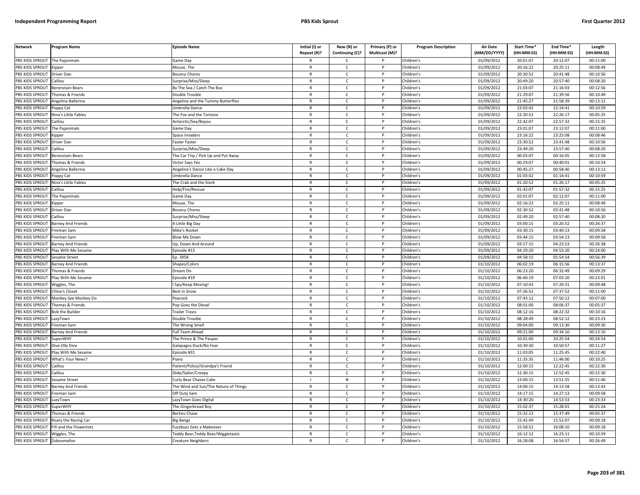| <b>Network</b>        | Program Name              | <b>Episode Name</b>                   | Initial (I) or<br>Repeat (R)? | New (N) or<br>Continuing (C)? | Primary (P) or<br>Multicast (M)? | <b>Program Description</b> | Air Date<br>(MM/DD/YYYY) | <b>Start Time*</b><br>(HH:MM:SS) | End Time <sup>®</sup><br>(HH:MM:SS) | Length<br>(HH:MM:SS) |
|-----------------------|---------------------------|---------------------------------------|-------------------------------|-------------------------------|----------------------------------|----------------------------|--------------------------|----------------------------------|-------------------------------------|----------------------|
| PBS KIDS SPROUT       | The Pajanimals            | Game Day                              |                               | C                             |                                  | Children's                 | 01/09/2012               | 20:01:07                         | 20:12:07                            | 00:11:00             |
| PBS KIDS SPROUT       | Kipper                    | Mouse, The                            | R                             | $\mathsf{C}$                  | P                                | Children's                 | 01/09/2012               | 20:16:22                         | 20:25:11                            | 00:08:49             |
| PBS KIDS SPROUT       | Driver Dan                | <b>Bouncy Chores</b>                  | $\mathsf{R}$                  | $\mathsf{C}$                  | P                                | Children's                 | 01/09/2012               | 20:30:52                         | 20:41:48                            | 00:10:56             |
| PBS KIDS SPROUT       | Caillou                   | Surprise/Miss/Sleep                   | $\mathsf{R}$                  | $\mathsf{C}$                  | P                                | Children's                 | 01/09/2012               | 20:49:20                         | 20:57:40                            | 00:08:20             |
| PBS KIDS SPROUT       | <b>Berenstain Bears</b>   | By The Sea / Catch The Bus            | R                             | $\mathsf{C}$                  | P                                | Children's                 | 01/09/2012               | 21:03:07                         | 21:16:03                            | 00:12:56             |
| PBS KIDS SPROUT       | homas & Friends           | Oouble Trouble                        | $\overline{R}$                | $\mathsf{C}$                  |                                  | Children's                 | 01/09/2012               | 21:29:07                         | 21:39:56                            | 00:10:49             |
| <b>BS KIDS SPROUT</b> | Angelina Ballerina        | Angelina and the Tummy Butterflies    | R                             | C                             |                                  | Children's                 | 01/09/2012               | 21:45:27                         | 21:58:39                            | 00:13:12             |
| PBS KIDS SPROUT       | oppy Cat                  | Jmbrella Dance                        | $\mathsf{R}$                  | $\mathsf{C}$                  | <b>D</b>                         | Children's                 | 01/09/2012               | 22:03:42                         | 22:14:41                            | 00:10:59             |
| PBS KIDS SPROUT       | Nina's Little Fables      | The Fox and the Tortoise              | R                             | $\mathsf{C}$                  | P                                | Children's                 | 01/09/2012               | 22:20:52                         | 22:26:17                            | 00:05:25             |
| PBS KIDS SPROUT       | aillou                    | Antarctic/Sea/Bayou                   | $\mathsf{R}$                  | $\mathsf{C}$                  | P                                | Children's                 | 01/09/2012               | 22:42:07                         | 22:57:32                            | 00:15:25             |
| PBS KIDS SPROUT       | The Pajanimals            | Game Day                              | $\mathsf{R}$                  | $\mathsf{C}$                  | P                                | Children's                 | 01/09/2012               | 23:01:07                         | 23:12:07                            | 00:11:00             |
| PBS KIDS SPROUT       | Kipper                    | Space Invaders                        | $\mathsf{R}$                  | $\mathsf{C}$                  | <b>D</b>                         | Children's                 | 01/09/2012               | 23:16:22                         | 23:25:08                            | 00:08:46             |
| PBS KIDS SPROUT       | Driver Dan                | Faster Faster                         | $\mathsf{R}$                  | $\mathsf{C}$                  | P                                | Children's                 | 01/09/2012               | 23:30:52                         | 23:41:48                            | 00:10:56             |
| PBS KIDS SPROUT       | aillou                    | Surprise/Miss/Sleep                   | $\mathsf{R}$                  | $\mathsf{C}$                  | P                                | Children's                 | 01/09/2012               | 23:49:20                         | 23:57:40                            | 00:08:20             |
| PBS KIDS SPROUT       | Berenstain Bears          | The Car Trip / Pick Up and Put Away   | R                             | c                             | P                                | Children's                 | 01/09/2012               | 00:03:07                         | 00:16:05                            | 00:12:58             |
| PBS KIDS SPROUT       | Thomas & Friends          | Victor Says Yes                       | R                             | $\mathsf{C}$                  | P                                | Children's                 | 01/09/2012               | 00:29:07                         | 00:40:01                            | 00:10:54             |
| PBS KIDS SPROUT       | Angelina Ballerina        | Angelina's Dance Like a Cake Day      | $\mathsf{R}$                  | $\mathsf{C}$                  | P                                | Children's                 | 01/09/2012               | 00:45:27                         | 00:58:40                            | 00:13:13             |
| PBS KIDS SPROUT       | Poppy Cat                 | Umbrella Dance                        | $\mathsf{R}$                  | $\mathsf{C}$                  | P                                | Children's                 | 01/09/2012               | 01:03:42                         | 01:14:41                            | 00:10:59             |
| PBS KIDS SPROUT       | Nina's Little Fables      | The Crab and the Stork                | $\mathsf{R}$                  | $\mathsf{C}$                  | P                                | Children's                 | 01/09/2012               | 01:20:52                         | 01:26:17                            | 00:05:25             |
| PBS KIDS SPROUT       | Caillou                   | Help/Fire/Rescue                      | R                             | C                             | P                                | Children's                 | 01/09/2012               | 01:42:07                         | 01:57:32                            | 00:15:25             |
| PBS KIDS SPROUT       | The Pajanimals            | Game Day                              | $\mathsf{R}$                  | $\mathsf{C}$                  |                                  | Children's                 | 01/09/2012               | 02:01:07                         | 02:12:07                            | 00:11:00             |
| <b>BS KIDS SPROUT</b> | Kipper                    | Mouse, The                            | R                             | $\mathsf{C}$                  |                                  | Children's                 | 01/09/2012               | 02:16:22                         | 02:25:11                            | 00:08:49             |
| PBS KIDS SPROUT       | Driver Dan                | <b>Bouncy Chores</b>                  | $\mathsf{R}$                  | $\mathsf{C}$                  | P                                | Children's                 | 01/09/2012               | 02:30:52                         | 02:41:48                            | 00:10:56             |
| PBS KIDS SPROUT       | Caillou                   | Surprise/Miss/Sleep                   | R                             | $\mathsf{C}$                  | P                                | Children's                 | 01/09/2012               | 02:49:20                         | 02:57:40                            | 00:08:20             |
| PBS KIDS SPROUT       | Barney And Friends        | A Little Big Day                      | $\mathsf{R}$                  | $\mathsf{C}$                  | P                                | Children's                 | 01/09/2012               | 03:00:15                         | 03:26:52                            | 00:26:37             |
| PBS KIDS SPROUT       | ireman Sam                | Mike's Rocket                         | $\mathsf{R}$                  | $\mathsf{C}$                  | P                                | Children's                 | 01/09/2012               | 03:30:15                         | 03:40:13                            | 00:09:58             |
| PBS KIDS SPROUT       | ireman Sam                | Blow Me Down                          | $\overline{R}$                | $\overline{c}$                |                                  | Children's                 | 01/09/2012               | 03:44:15                         | 03:54:13                            | 00:09:58             |
| PBS KIDS SPROUT       | <b>Barney And Friends</b> | Up, Down And Around                   | $\mathsf{R}$                  | $\mathsf{C}$                  | P                                | Children's                 | 01/09/2012               | 03:57:15                         | 04:23:53                            | 00:26:38             |
| PBS KIDS SPROUT       | lay With Me Sesame        | pisode #13                            | $\mathsf{R}$                  | $\mathsf{C}$                  |                                  | Children's                 | 01/09/2012               | 04:29:20                         | 04:53:20                            | 00:24:00             |
| PBS KIDS SPROUT       | Sesame Street             | Ep. 3958                              | $\mathsf{R}$                  | $\mathsf{C}$                  | P                                | Children's                 | 01/09/2012               | 04:58:15                         | 05:54:54                            | 00:56:39             |
| PBS KIDS SPROUT       | <b>Barney And Friends</b> | Shapes/Colors                         | R                             | $\mathsf{C}$                  | P                                | Children's                 | 01/10/2012               | 06:02:19                         | 06:15:56                            | 00:13:37             |
| PBS KIDS SPROUT       | homas & Friends           | Dream On                              | $\mathsf{R}$                  | $\mathsf{C}$                  | P                                | Children's                 | 01/10/2012               | 06:23:20                         | 06:32:49                            | 00:09:29             |
| PBS KIDS SPROUT       | Play With Me Sesame       | Episode #19                           | $\mathsf{R}$                  | $\mathsf{C}$                  | P                                | Children's                 | 01/10/2012               | 06:40:19                         | 07:03:20                            | 00:23:01             |
| PBS KIDS SPROUT       | Wiggles, The              | Spy/Keep Moving!                      | R                             | $\mathsf{C}$                  | P                                | Children's                 | 01/10/2012               | 07:10:43                         | 07:20:31                            | 00:09:48             |
| PBS KIDS SPROUT       | <b>Chloe's Closet</b>     | Best in Snow                          | R                             | $\mathsf{C}$                  | P                                | Children's                 | 01/10/2012               | 07:26:52                         | 07:37:52                            | 00:11:00             |
| PBS KIDS SPROUT       | Monkey See Monkey Do      | eacock                                | $\mathsf{R}$                  | $\mathsf{C}$                  | P                                | Children's                 | 01/10/2012               | 07:43:12                         | 07:50:12                            | 00:07:00             |
| <b>BS KIDS SPROUT</b> | Thomas & Friends          | Pop Goes the Diesel                   | R                             | $\mathsf{C}$                  |                                  | Children's                 | 01/10/2012               | 08:01:00                         | 08:06:37                            | 00:05:37             |
| PBS KIDS SPROUT       | <b>Bob the Builder</b>    | <b>Trailer Travis</b>                 | $\overline{R}$                | $\mathsf{C}$                  | D                                | Children's                 | 01/10/2012               | 08:12:16                         | 08:22:32                            | 00:10:16             |
| PBS KIDS SPROUT       | azyTown                   | Double Trouble                        | R                             | $\mathsf{C}$                  | P                                | Children's                 | 01/10/2012               | 08:28:49                         | 08:52:12                            | 00:23:23             |
| PBS KIDS SPROUT       | ireman Sam                | he Wrong Smel                         | $\mathsf{R}$                  | $\mathsf{C}$                  |                                  | Children's                 | 01/10/2012               | 09:04:00                         | 09:13:30                            | 00:09:30             |
| PBS KIDS SPROUT       | <b>Barney And Friends</b> | Full Team Ahead                       | $\mathsf{R}$                  | $\mathsf{C}$                  | P                                | Children's                 | 01/10/2012               | 09:21:00                         | 09:34:10                            | 00:13:10             |
| PBS KIDS SPROUT       | SuperWHY                  | The Prince & The Pauper               | R                             | $\mathsf{C}$                  |                                  | Children's                 | 01/10/2012               | 10:01:00                         | 10:25:54                            | 00:24:54             |
| PBS KIDS SPROUT       | Dive Olly Dive            | Galapagos Duck/No Fear                | $\mathsf{R}$                  | $\mathsf{C}$                  | P                                | Children's                 | 01/10/2012               | 10:39:30                         | 10:50:57                            | 00:11:27             |
| PBS KIDS SPROUT       | Play With Me Sesame       | pisode #31                            | $\mathsf{R}$                  | $\mathsf{C}$                  |                                  | Children's                 | 01/10/2012               | 11:03:05                         | 11:25:45                            | 00:22:40             |
| PBS KIDS SPROUT       | What's Your News?         | Piano                                 | $\mathsf{R}$                  | $\mathsf{C}$                  | P                                | Children's                 | 01/10/2012               | 11:35:35                         | 11:46:00                            | 00:10:25             |
| PBS KIDS SPROUT       | aillou                    | atient/Police/Grandpa's Friend        | R                             | $\mathsf{C}$                  |                                  | Children's                 | 01/10/2012               | 12:00:15                         | 12:22:45                            | 00:22:30             |
| PBS KIDS SPROUT       | aillou                    | Slide/Sailor/Creepy                   | $\mathsf{R}$                  | $\mathsf{C}$                  | P                                | Children's                 | 01/10/2012               | 12:30:15                         | 12:52:45                            | 00:22:30             |
| PBS KIDS SPROUT       | Sesame Street             | Curly Bear Chases Cake                |                               | ${\sf N}$                     | P                                | Children's                 | 01/10/2012               | 13:00:15                         | 13:51:55                            | 00:51:40             |
| PBS KIDS SPROUT       | <b>Barney And Friends</b> | The Wind and Sun/The Nature of Things | R                             | $\mathsf{C}$                  | P                                | Children's                 | 01/10/2012               | 14:00:15                         | 14:13:58                            | 00:13:43             |
| PBS KIDS SPROUT       | ireman Sam                | Off Duty Sam                          | R                             | $\mathsf{C}$                  | P                                | Children's                 | 01/10/2012               | 14:17:15                         | 14:27:13                            | 00:09:58             |
| PBS KIDS SPROUT       | LazyTown                  | LazyTown Goes Digital                 | $\mathsf{R}$                  | $\mathsf{C}$                  | P                                | Children's                 | 01/10/2012               | 14:30:20                         | 14:53:53                            | 00:23:33             |
| <b>BS KIDS SPROUT</b> | SuperWHY                  | The Gingerbread Boy                   | R                             | $\mathsf{C}$                  |                                  | Children's                 | 01/10/2012               | 15:02:37                         | 15:28:01                            | 00:25:24             |
| PBS KIDS SPROUT       | Thomas & Friends          | <b>Berties Chase</b>                  | $\mathsf{R}$                  | $\mathsf{C}$                  | D                                | Children's                 | 01/10/2012               | 15:32:12                         | 15:37:49                            | 00:05:37             |
| PBS KIDS SPROUT       | Roary the Racing Car      | Big Bangs                             | R                             | $\mathsf{C}$                  | P                                | Children's                 | 01/10/2012               | 15:42:49                         | 15:52:07                            | 00:09:18             |
| PBS KIDS SPROUT       | ifi and the Flowertots    | uzzbuzz Gets a Makeover               | $\overline{R}$                | $\mathsf{C}$                  |                                  | Children's                 | 01/10/2012               | 15:58:52                         | 16:08:10                            | 00:09:18             |
| PBS KIDS SPROUT       | Wiggles, The              | Teddy Bear, Teddy Bear/Wiggletastic   | R                             | $\mathsf{C}$                  | P                                | Children's                 | 01/10/2012               | 16:12:12                         | 16:23:11                            | 00:10:59             |
| PBS KIDS SPROUT       | Zoboomafoo                | Creature Neighbors                    |                               | $\mathsf{C}$                  | P                                | Children's                 | 01/10/2012               | 16:28:08                         | 16:54:57                            | 00:26:49             |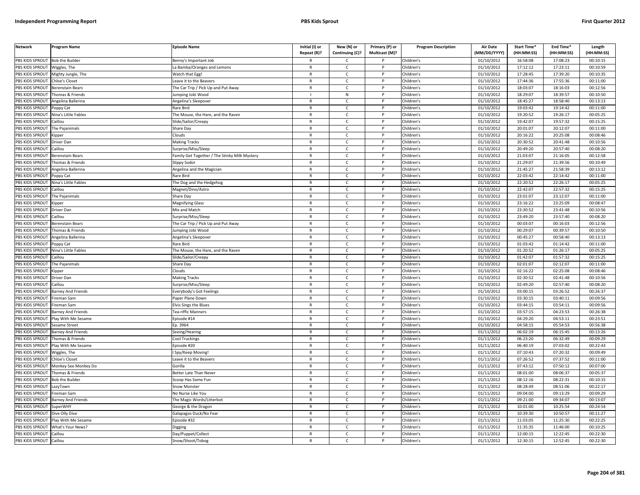| PBS KIDS SPROUT<br>01/10/2012<br>16:58:08<br>17:08:23<br>00:10:15<br><b>Bob the Builder</b><br>Benny's Important Job<br>Children's<br>$\mathsf{C}$<br>PBS KIDS SPROUT<br>01/10/2012<br>17:12:12<br>17:23:11<br>00:10:59<br>Wiggles, The<br>a Bamba/Oranges and Lemons<br>$\mathsf{R}$<br>$\mathsf{C}$<br>P<br>Children's<br>PBS KIDS SPROUT<br>01/10/2012<br>17:28:45<br>17:39:20<br>00:10:35<br>Mighty Jungle, The<br>Watch that Egg!<br>$\mathsf{R}$<br>$\mathsf{C}$<br>Children's<br>PBS KIDS SPROUT<br>$\mathsf{R}$<br>$\mathsf{C}$<br>D<br>Children's<br>01/10/2012<br>17:44:36<br>17:55:36<br>00:11:00<br>Chloe's Closet<br>Leave it to the Beavers<br>PBS KIDS SPROUT<br>01/10/2012<br>18:03:07<br>18:16:03<br>00:12:56<br>Berenstain Bears<br>The Car Trip / Pick Up and Put Away<br>$\mathsf{R}$<br>c<br>Children's<br>PBS KIDS SPROUT<br>01/10/2012<br>18:29:07<br>18:39:57<br>${\sf N}$<br>P<br>Children's<br>00:10:50<br>Thomas & Friends<br>umping Jobi Wood<br>PBS KIDS SPROUT<br>01/10/2012<br>18:45:27<br>18:58:40<br>00:13:13<br>Angelina Ballerina<br>Angelina's Sleepover<br>$\mathsf{C}$<br>Children's<br>$\mathsf{R}$<br>P<br>PBS KIDS SPROUT<br>$\mathsf{R}$<br>$\mathsf{C}$<br>01/10/2012<br>19:03:42<br>19:14:42<br>00:11:00<br><b>D</b><br>Children's<br>Poppy Cat<br>Rare Bird<br><b>PBS KIDS SPROUT</b><br>19:26:17<br>$\mathsf{C}$<br>01/10/2012<br>19:20:52<br>00:05:25<br>Nina's Little Fables<br>${\sf R}$<br>Children's<br>The Mouse, the Hare, and the Raven<br>P<br>01/10/2012<br>19:42:07<br>19:57:32<br>00:15:25<br>PBS KIDS SPROUT<br>$\mathsf{C}$<br>Children's<br>Caillou<br>Slide/Sailor/Creepy<br>$\mathsf{R}$<br>PBS KIDS SPROUT<br>01/10/2012<br>20:01:07<br>20:12:07<br>00:11:00<br>The Pajanimals<br>Share Day<br>$\mathsf{R}$<br>C<br>P<br>Children's<br>PBS KIDS SPROUT<br>01/10/2012<br>20:16:22<br>20:25:08<br>00:08:46<br>Clouds<br>$\mathsf{C}$<br>Children's<br><b>Kipper</b><br>$\mathsf{R}$<br>20:41:48<br>PBS KIDS SPROUT<br><b>Making Tracks</b><br>$\mathsf{R}$<br>$\mathsf{C}$<br>P<br>Children's<br>01/10/2012<br>20:30:52<br>00:10:56<br>Driver Dan<br>20:57:40<br>PBS KIDS SPROUT<br>Caillou<br>Surprise/Miss/Sleep<br>$\mathsf{C}$<br>Children's<br>01/10/2012<br>20:49:20<br>00:08:20<br>$\mathsf{R}$<br>21:03:07<br>21:16:05<br>PBS KIDS SPROUT<br>Berenstain Bears<br>Family Get Together / The Stinky Milk Mystery<br>$\mathsf{R}$<br>$\mathsf{C}$<br>$\mathsf{P}$<br>Children's<br>01/10/2012<br>00:12:58<br>PBS KIDS SPROUT<br>Thomas & Friends<br>Children's<br>01/10/2012<br>21:29:07<br>21:39:56<br>00:10:49<br>Slippy Sodor<br>$\mathsf{R}$<br>C<br>P<br>PBS KIDS SPROUT<br>Angelina Ballerina<br>$\mathsf{C}$<br>Children's<br>01/10/2012<br>21:45:27<br>21:58:39<br>00:13:12<br>Angelina and the Magician<br>$\mathsf{R}$<br>P<br>PBS KIDS SPROUT<br>01/10/2012<br>22:03:42<br>22:14:42<br>00:11:00<br>Poppy Cat<br>Rare Bird<br>$\mathsf{R}$<br>$\mathsf{C}$<br>P<br>Children's<br>22:20:52<br>22:26:17<br>00:05:25<br>PBS KIDS SPROUT<br>Nina's Little Fables<br>The Dog and the Hedgehog<br>$\mathsf{R}$<br>$\mathsf{C}$<br>P<br>Children's<br>01/10/2012<br>PBS KIDS SPROUT<br>22:42:07<br>22:57:32<br>00:15:25<br>Caillou<br>Magnet/Dino/Astro<br>$\mathsf{R}$<br>$\mathsf{C}$<br>P<br>Children's<br>01/10/2012<br>PBS KIDS SPROUT<br>$\mathsf{R}$<br>$\mathsf{C}$<br>D<br>Children's<br>01/10/2012<br>23:01:07<br>23:12:07<br>00:11:00<br>The Pajanimals<br>Share Day<br>PBS KIDS SPROUT<br>01/10/2012<br>23:16:22<br>23:25:09<br>00:08:47<br>Magnifying Glass<br>$\mathsf{R}$<br>C<br>Children's<br>Kipper<br>PBS KIDS SPROUT<br>$\mathsf{C}$<br>01/10/2012<br>23:30:52<br>$\mathsf{R}$<br><b>D</b><br>Children's<br>23:41:48<br>00:10:56<br>Mix and Match<br>Driver Dan<br>PBS KIDS SPROUT<br>23:49:20<br>23:57:40<br>Caillou<br>$\mathsf{C}$<br>Children's<br>01/10/2012<br>00:08:20<br>Surprise/Miss/Sleep<br>$\mathsf{R}$<br>P<br>PBS KIDS SPROUT<br>01/10/2012<br>00:03:07<br>00:16:03<br>00:12:56<br>The Car Trip / Pick Up and Put Away<br>$\mathsf{C}$<br>P<br>Children's<br>Berenstain Bears<br>$\mathsf{R}$<br>PBS KIDS SPROUT<br>$\mathsf{C}$<br>01/10/2012<br>00:29:07<br>00:39:57<br>00:10:50<br>Thomas & Friends<br>$\mathsf{R}$<br>Children's<br>Jumping Jobi Wood<br>P<br>PBS KIDS SPROUT<br>00:45:27<br>00:58:40<br>00:13:13<br>$\mathsf{C}$<br>Children's<br>01/10/2012<br>Angelina Ballerina<br>Angelina's Sleepover<br>$\mathsf{R}$<br>PBS KIDS SPROUT<br>$\mathsf{R}$<br>$\mathsf{C}$<br>01/10/2012<br>01:03:42<br>01:14:42<br>00:11:00<br>Poppy Cat<br>Rare Bird<br>P<br>Children's<br>PBS KIDS SPROUT<br>01/10/2012<br>01:20:52<br>01:26:17<br>00:05:25<br>$\mathsf{C}$<br>Children's<br>Vina's Little Fables<br>The Mouse, the Hare, and the Raven<br>$\mathsf{R}$<br>01:42:07<br>00:15:25<br>PBS KIDS SPROUT<br>01/10/2012<br>01:57:32<br>Caillou<br>Slide/Sailor/Creepy<br>$\mathsf{R}$<br>C<br>P<br>Children's<br>PBS KIDS SPROUT<br>The Pajanimals<br>Share Day<br>$\mathsf{C}$<br>Children's<br>01/10/2012<br>02:01:07<br>02:12:07<br>00:11:00<br>$\mathsf{R}$<br>P<br>02:25:08<br>PBS KIDS SPROUT<br>Clouds<br>$\mathsf{R}$<br>$\mathsf{C}$<br>Children's<br>01/10/2012<br>02:16:22<br>00:08:46<br><b>Kipper</b><br>$\mathsf{P}$<br>PBS KIDS SPROUT<br>$\mathsf{C}$<br>Children's<br>01/10/2012<br>02:30:52<br>02:41:48<br>00:10:56<br>Driver Dan<br><b>Making Tracks</b><br>$\mathsf{R}$<br>P<br>PBS KIDS SPROUT<br>01/10/2012<br>02:49:20<br>02:57:40<br>00:08:20<br>Caillou<br>Surprise/Miss/Sleep<br>$\mathsf{R}$<br>C<br>$\mathsf{P}$<br>Children's<br>PBS KIDS SPROUT<br>$\mathsf{C}$<br>Children's<br>01/10/2012<br>03:00:15<br>03:26:52<br>00:26:37<br><b>Barney And Friends</b><br>Everybody's Got Feelings<br>$\mathsf{R}$<br>P<br>PBS KIDS SPROUT<br>03:30:15<br>03:40:11<br>Fireman Sam<br>Paper Plane Down<br>$\mathsf{R}$<br>$\mathsf{C}$<br>P<br>Children's<br>01/10/2012<br>00:09:56<br>PBS KIDS SPROUT<br>01/10/2012<br>03:44:15<br>03:54:11<br>00:09:56<br>Fireman Sam<br><b>Elvis Sings the Blues</b><br>$\mathsf{R}$<br>$\mathsf{C}$<br>Children's<br>PBS KIDS SPROUT<br>Tea-riffic Manners<br>$\mathsf{R}$<br>$\mathsf{C}$<br>D<br>Children's<br>01/10/2012<br>03:57:15<br>04:23:53<br>00:26:38<br>Barney And Friends<br>PBS KIDS SPROUT<br>Play With Me Sesame<br>$\mathsf{C}$<br>Children's<br>01/10/2012<br>04:29:20<br>04:53:11<br>00:23:51<br>Episode #14<br>R<br>04:58:15<br>PBS KIDS SPROUT<br>Ep. 3964<br>$\mathsf{R}$<br>$\mathsf{C}$<br>Children's<br>01/10/2012<br>05:54:53<br>00:56:38<br>Sesame Street<br>PBS KIDS SPROUT<br>01/11/2012<br>06:02:19<br>06:15:45<br>00:13:26<br>$\mathsf{C}$<br>Children's<br><b>Barney And Friends</b><br>Seeing/Hearing<br>$\mathsf{R}$<br>P<br>PBS KIDS SPROUT<br>$\mathsf{C}$<br>01/11/2012<br>06:23:20<br>06:32:49<br>00:09:29<br>$\mathsf{R}$<br><b>D</b><br>Children's<br>Thomas & Friends<br>Cool Truckings<br>PBS KIDS SPROUT<br>06:40:19<br>07:03:02<br>$\mathsf{C}$<br>01/11/2012<br>00:22:43<br>Play With Me Sesame<br>Episode #20<br>$\mathsf{R}$<br>P<br>Children's<br>PBS KIDS SPROUT<br>01/11/2012<br>07:10:43<br>07:20:32<br>$\mathsf{C}$<br>Children's<br>00:09:49<br>$\mathsf{R}$<br>Niggles, The<br>Spy/Keep Moving!<br>07:26:52<br>07:37:52<br>PBS KIDS SPROUT<br>$\mathsf{C}$<br>Children's<br>01/11/2012<br>00:11:00<br>Chloe's Closet<br>Leave it to the Beavers<br>$\mathsf{R}$<br>P<br>PBS KIDS SPROUT<br>01/11/2012<br>07:43:12<br>07:50:12<br>00:07:00<br>Gorilla<br>$\mathsf{C}$<br>Children's<br>Monkey See Monkey Do<br>$\mathsf{R}$<br>P<br>PBS KIDS SPROUT<br>08:01:00<br>08:06:37<br>$\mathsf{C}$<br>Children's<br>01/11/2012<br>00:05:37<br>Thomas & Friends<br>Better Late Than Never<br>$\mathsf{R}$<br>P<br>PBS KIDS SPROUT<br>01/11/2012<br><b>Bob the Builder</b><br>Scoop Has Some Fun<br>$\mathsf{R}$<br>$\mathsf{C}$<br>P<br>Children's<br>08:12:16<br>08:22:31<br>00:10:15<br>08:28:49<br>08:51:06<br>PBS KIDS SPROUT<br>Snow Monster<br>$\mathsf{R}$<br>$\mathsf{C}$<br>P<br>Children's<br>01/11/2012<br>00:22:17<br>LazyTown<br>PBS KIDS SPROUT<br>09:04:00<br>09:13:29<br>ireman Sam<br>No Nurse Like You<br>$\mathsf{R}$<br>C<br>Children's<br>01/11/2012<br>00:09:29<br>PBS KIDS SPROUT<br>$\mathsf{C}$<br>Children's<br>01/11/2012<br>09:21:00<br>09:34:07<br>00:13:07<br>Barney And Friends<br>The Magic Words/Litterbot<br>$\mathsf{R}$<br>P<br>PBS KIDS SPROUT<br><b>SuperWHY</b><br>$\mathsf{C}$<br>Children's<br>01/11/2012<br>10:01:00<br>10:25:54<br>00:24:54<br>George & the Dragon<br>$\mathsf{R}$<br>P<br>10:39:30<br>10:50:57<br>00:11:27<br>PBS KIDS SPROUT<br>Dive Olly Dive<br>Galapagos Duck/No Fear<br>$\mathsf{R}$<br>$\mathsf{C}$<br>P<br>Children's<br>01/11/2012<br>PBS KIDS SPROUT<br>11:03:05<br>00:22:25<br>Play With Me Sesame<br>pisode #32<br>$\mathsf{R}$<br>$\mathsf{C}$<br>P<br>Children's<br>01/11/2012<br>11:25:30<br>PBS KIDS SPROUT<br>01/11/2012<br>11:35:35<br>11:46:00<br>00:10:25<br>What's Your News?<br>$\mathsf{R}$<br>$\mathsf{C}$<br>P<br>Children's<br>Digging<br>PBS KIDS SPROUT<br>01/11/2012<br>12:00:15<br>12:22:45<br>00:22:30<br>Caillou<br>Day/Puppet/Collect<br>C<br>Children's<br>R<br>PBS KIDS SPROUT<br>12:30:15<br>00:22:30<br>Caillou<br>Snow/Shoot/Tobog<br>$\mathsf{C}$<br>Children's<br>01/11/2012<br>12:52:45<br>$\mathsf{R}$ | <b>Network</b> | Program Name | <b>Episode Name</b> | Initial (I) or<br>Repeat (R)? | New (N) or<br>Continuing (C)? | Primary (P) or<br>Multicast (M)? | <b>Program Description</b> | <b>Air Date</b><br>(MM/DD/YYYY) | Start Time*<br>(HH:MM:SS) | End Time*<br>(HH:MM:SS) | Length<br>(HH:MM:SS) |
|-----------------------------------------------------------------------------------------------------------------------------------------------------------------------------------------------------------------------------------------------------------------------------------------------------------------------------------------------------------------------------------------------------------------------------------------------------------------------------------------------------------------------------------------------------------------------------------------------------------------------------------------------------------------------------------------------------------------------------------------------------------------------------------------------------------------------------------------------------------------------------------------------------------------------------------------------------------------------------------------------------------------------------------------------------------------------------------------------------------------------------------------------------------------------------------------------------------------------------------------------------------------------------------------------------------------------------------------------------------------------------------------------------------------------------------------------------------------------------------------------------------------------------------------------------------------------------------------------------------------------------------------------------------------------------------------------------------------------------------------------------------------------------------------------------------------------------------------------------------------------------------------------------------------------------------------------------------------------------------------------------------------------------------------------------------------------------------------------------------------------------------------------------------------------------------------------------------------------------------------------------------------------------------------------------------------------------------------------------------------------------------------------------------------------------------------------------------------------------------------------------------------------------------------------------------------------------------------------------------------------------------------------------------------------------------------------------------------------------------------------------------------------------------------------------------------------------------------------------------------------------------------------------------------------------------------------------------------------------------------------------------------------------------------------------------------------------------------------------------------------------------------------------------------------------------------------------------------------------------------------------------------------------------------------------------------------------------------------------------------------------------------------------------------------------------------------------------------------------------------------------------------------------------------------------------------------------------------------------------------------------------------------------------------------------------------------------------------------------------------------------------------------------------------------------------------------------------------------------------------------------------------------------------------------------------------------------------------------------------------------------------------------------------------------------------------------------------------------------------------------------------------------------------------------------------------------------------------------------------------------------------------------------------------------------------------------------------------------------------------------------------------------------------------------------------------------------------------------------------------------------------------------------------------------------------------------------------------------------------------------------------------------------------------------------------------------------------------------------------------------------------------------------------------------------------------------------------------------------------------------------------------------------------------------------------------------------------------------------------------------------------------------------------------------------------------------------------------------------------------------------------------------------------------------------------------------------------------------------------------------------------------------------------------------------------------------------------------------------------------------------------------------------------------------------------------------------------------------------------------------------------------------------------------------------------------------------------------------------------------------------------------------------------------------------------------------------------------------------------------------------------------------------------------------------------------------------------------------------------------------------------------------------------------------------------------------------------------------------------------------------------------------------------------------------------------------------------------------------------------------------------------------------------------------------------------------------------------------------------------------------------------------------------------------------------------------------------------------------------------------------------------------------------------------------------------------------------------------------------------------------------------------------------------------------------------------------------------------------------------------------------------------------------------------------------------------------------------------------------------------------------------------------------------------------------------------------------------------------------------------------------------------------------------------------------------------------------------------------------------------------------------------------------------------------------------------------------------------------------------------------------------------------------------------------------------------------------------------------------------------------------------------------------------------------------------------------------------------------------------------------------------------------------------------------------------------------------------------------------------------------------------------------------------------------------------------------------------------------------------------------------------------------------------------------------------------------------------------------------------------------------------------------------------------------------------------------------------------------------------------------------------------------------------------------------------------------------------------------------------------------------------------------------------------------------------------------------------------------------------------------------------------------------------------------------------------------------------------------------------------------------------------------------------------------------------------------------------------------------------------------------------------------------------------------------------------------------------------------------------------------------------------------------------------------------------------------------------------------------------------------------------------------------------------------------------------------------------------------------------------------------------------------------------------------------------------------------------------------------------------------------------------------------------------------------------------------------------------------------------------------------------------------------------------------------------------------------------------------------------------------------------------------------------------------------------------------------------------------------------------------------------------------------------------------------------------------|----------------|--------------|---------------------|-------------------------------|-------------------------------|----------------------------------|----------------------------|---------------------------------|---------------------------|-------------------------|----------------------|
|                                                                                                                                                                                                                                                                                                                                                                                                                                                                                                                                                                                                                                                                                                                                                                                                                                                                                                                                                                                                                                                                                                                                                                                                                                                                                                                                                                                                                                                                                                                                                                                                                                                                                                                                                                                                                                                                                                                                                                                                                                                                                                                                                                                                                                                                                                                                                                                                                                                                                                                                                                                                                                                                                                                                                                                                                                                                                                                                                                                                                                                                                                                                                                                                                                                                                                                                                                                                                                                                                                                                                                                                                                                                                                                                                                                                                                                                                                                                                                                                                                                                                                                                                                                                                                                                                                                                                                                                                                                                                                                                                                                                                                                                                                                                                                                                                                                                                                                                                                                                                                                                                                                                                                                                                                                                                                                                                                                                                                                                                                                                                                                                                                                                                                                                                                                                                                                                                                                                                                                                                                                                                                                                                                                                                                                                                                                                                                                                                                                                                                                                                                                                                                                                                                                                                                                                                                                                                                                                                                                                                                                                                                                                                                                                                                                                                                                                                                                                                                                                                                                                                                                                                                                                                                                                                                                                                                                                                                                                                                                                                                                                                                                                                                                                                                                                                                                                                                                                                                                                                                                                                                                                                                                                                                                                                                                                                                                                                                                                                                                                                                                                                                                                                                                                                                                                                                                             |                |              |                     |                               |                               |                                  |                            |                                 |                           |                         |                      |
|                                                                                                                                                                                                                                                                                                                                                                                                                                                                                                                                                                                                                                                                                                                                                                                                                                                                                                                                                                                                                                                                                                                                                                                                                                                                                                                                                                                                                                                                                                                                                                                                                                                                                                                                                                                                                                                                                                                                                                                                                                                                                                                                                                                                                                                                                                                                                                                                                                                                                                                                                                                                                                                                                                                                                                                                                                                                                                                                                                                                                                                                                                                                                                                                                                                                                                                                                                                                                                                                                                                                                                                                                                                                                                                                                                                                                                                                                                                                                                                                                                                                                                                                                                                                                                                                                                                                                                                                                                                                                                                                                                                                                                                                                                                                                                                                                                                                                                                                                                                                                                                                                                                                                                                                                                                                                                                                                                                                                                                                                                                                                                                                                                                                                                                                                                                                                                                                                                                                                                                                                                                                                                                                                                                                                                                                                                                                                                                                                                                                                                                                                                                                                                                                                                                                                                                                                                                                                                                                                                                                                                                                                                                                                                                                                                                                                                                                                                                                                                                                                                                                                                                                                                                                                                                                                                                                                                                                                                                                                                                                                                                                                                                                                                                                                                                                                                                                                                                                                                                                                                                                                                                                                                                                                                                                                                                                                                                                                                                                                                                                                                                                                                                                                                                                                                                                                                                             |                |              |                     |                               |                               |                                  |                            |                                 |                           |                         |                      |
|                                                                                                                                                                                                                                                                                                                                                                                                                                                                                                                                                                                                                                                                                                                                                                                                                                                                                                                                                                                                                                                                                                                                                                                                                                                                                                                                                                                                                                                                                                                                                                                                                                                                                                                                                                                                                                                                                                                                                                                                                                                                                                                                                                                                                                                                                                                                                                                                                                                                                                                                                                                                                                                                                                                                                                                                                                                                                                                                                                                                                                                                                                                                                                                                                                                                                                                                                                                                                                                                                                                                                                                                                                                                                                                                                                                                                                                                                                                                                                                                                                                                                                                                                                                                                                                                                                                                                                                                                                                                                                                                                                                                                                                                                                                                                                                                                                                                                                                                                                                                                                                                                                                                                                                                                                                                                                                                                                                                                                                                                                                                                                                                                                                                                                                                                                                                                                                                                                                                                                                                                                                                                                                                                                                                                                                                                                                                                                                                                                                                                                                                                                                                                                                                                                                                                                                                                                                                                                                                                                                                                                                                                                                                                                                                                                                                                                                                                                                                                                                                                                                                                                                                                                                                                                                                                                                                                                                                                                                                                                                                                                                                                                                                                                                                                                                                                                                                                                                                                                                                                                                                                                                                                                                                                                                                                                                                                                                                                                                                                                                                                                                                                                                                                                                                                                                                                                                             |                |              |                     |                               |                               |                                  |                            |                                 |                           |                         |                      |
|                                                                                                                                                                                                                                                                                                                                                                                                                                                                                                                                                                                                                                                                                                                                                                                                                                                                                                                                                                                                                                                                                                                                                                                                                                                                                                                                                                                                                                                                                                                                                                                                                                                                                                                                                                                                                                                                                                                                                                                                                                                                                                                                                                                                                                                                                                                                                                                                                                                                                                                                                                                                                                                                                                                                                                                                                                                                                                                                                                                                                                                                                                                                                                                                                                                                                                                                                                                                                                                                                                                                                                                                                                                                                                                                                                                                                                                                                                                                                                                                                                                                                                                                                                                                                                                                                                                                                                                                                                                                                                                                                                                                                                                                                                                                                                                                                                                                                                                                                                                                                                                                                                                                                                                                                                                                                                                                                                                                                                                                                                                                                                                                                                                                                                                                                                                                                                                                                                                                                                                                                                                                                                                                                                                                                                                                                                                                                                                                                                                                                                                                                                                                                                                                                                                                                                                                                                                                                                                                                                                                                                                                                                                                                                                                                                                                                                                                                                                                                                                                                                                                                                                                                                                                                                                                                                                                                                                                                                                                                                                                                                                                                                                                                                                                                                                                                                                                                                                                                                                                                                                                                                                                                                                                                                                                                                                                                                                                                                                                                                                                                                                                                                                                                                                                                                                                                                                             |                |              |                     |                               |                               |                                  |                            |                                 |                           |                         |                      |
|                                                                                                                                                                                                                                                                                                                                                                                                                                                                                                                                                                                                                                                                                                                                                                                                                                                                                                                                                                                                                                                                                                                                                                                                                                                                                                                                                                                                                                                                                                                                                                                                                                                                                                                                                                                                                                                                                                                                                                                                                                                                                                                                                                                                                                                                                                                                                                                                                                                                                                                                                                                                                                                                                                                                                                                                                                                                                                                                                                                                                                                                                                                                                                                                                                                                                                                                                                                                                                                                                                                                                                                                                                                                                                                                                                                                                                                                                                                                                                                                                                                                                                                                                                                                                                                                                                                                                                                                                                                                                                                                                                                                                                                                                                                                                                                                                                                                                                                                                                                                                                                                                                                                                                                                                                                                                                                                                                                                                                                                                                                                                                                                                                                                                                                                                                                                                                                                                                                                                                                                                                                                                                                                                                                                                                                                                                                                                                                                                                                                                                                                                                                                                                                                                                                                                                                                                                                                                                                                                                                                                                                                                                                                                                                                                                                                                                                                                                                                                                                                                                                                                                                                                                                                                                                                                                                                                                                                                                                                                                                                                                                                                                                                                                                                                                                                                                                                                                                                                                                                                                                                                                                                                                                                                                                                                                                                                                                                                                                                                                                                                                                                                                                                                                                                                                                                                                                             |                |              |                     |                               |                               |                                  |                            |                                 |                           |                         |                      |
|                                                                                                                                                                                                                                                                                                                                                                                                                                                                                                                                                                                                                                                                                                                                                                                                                                                                                                                                                                                                                                                                                                                                                                                                                                                                                                                                                                                                                                                                                                                                                                                                                                                                                                                                                                                                                                                                                                                                                                                                                                                                                                                                                                                                                                                                                                                                                                                                                                                                                                                                                                                                                                                                                                                                                                                                                                                                                                                                                                                                                                                                                                                                                                                                                                                                                                                                                                                                                                                                                                                                                                                                                                                                                                                                                                                                                                                                                                                                                                                                                                                                                                                                                                                                                                                                                                                                                                                                                                                                                                                                                                                                                                                                                                                                                                                                                                                                                                                                                                                                                                                                                                                                                                                                                                                                                                                                                                                                                                                                                                                                                                                                                                                                                                                                                                                                                                                                                                                                                                                                                                                                                                                                                                                                                                                                                                                                                                                                                                                                                                                                                                                                                                                                                                                                                                                                                                                                                                                                                                                                                                                                                                                                                                                                                                                                                                                                                                                                                                                                                                                                                                                                                                                                                                                                                                                                                                                                                                                                                                                                                                                                                                                                                                                                                                                                                                                                                                                                                                                                                                                                                                                                                                                                                                                                                                                                                                                                                                                                                                                                                                                                                                                                                                                                                                                                                                                             |                |              |                     |                               |                               |                                  |                            |                                 |                           |                         |                      |
|                                                                                                                                                                                                                                                                                                                                                                                                                                                                                                                                                                                                                                                                                                                                                                                                                                                                                                                                                                                                                                                                                                                                                                                                                                                                                                                                                                                                                                                                                                                                                                                                                                                                                                                                                                                                                                                                                                                                                                                                                                                                                                                                                                                                                                                                                                                                                                                                                                                                                                                                                                                                                                                                                                                                                                                                                                                                                                                                                                                                                                                                                                                                                                                                                                                                                                                                                                                                                                                                                                                                                                                                                                                                                                                                                                                                                                                                                                                                                                                                                                                                                                                                                                                                                                                                                                                                                                                                                                                                                                                                                                                                                                                                                                                                                                                                                                                                                                                                                                                                                                                                                                                                                                                                                                                                                                                                                                                                                                                                                                                                                                                                                                                                                                                                                                                                                                                                                                                                                                                                                                                                                                                                                                                                                                                                                                                                                                                                                                                                                                                                                                                                                                                                                                                                                                                                                                                                                                                                                                                                                                                                                                                                                                                                                                                                                                                                                                                                                                                                                                                                                                                                                                                                                                                                                                                                                                                                                                                                                                                                                                                                                                                                                                                                                                                                                                                                                                                                                                                                                                                                                                                                                                                                                                                                                                                                                                                                                                                                                                                                                                                                                                                                                                                                                                                                                                                             |                |              |                     |                               |                               |                                  |                            |                                 |                           |                         |                      |
|                                                                                                                                                                                                                                                                                                                                                                                                                                                                                                                                                                                                                                                                                                                                                                                                                                                                                                                                                                                                                                                                                                                                                                                                                                                                                                                                                                                                                                                                                                                                                                                                                                                                                                                                                                                                                                                                                                                                                                                                                                                                                                                                                                                                                                                                                                                                                                                                                                                                                                                                                                                                                                                                                                                                                                                                                                                                                                                                                                                                                                                                                                                                                                                                                                                                                                                                                                                                                                                                                                                                                                                                                                                                                                                                                                                                                                                                                                                                                                                                                                                                                                                                                                                                                                                                                                                                                                                                                                                                                                                                                                                                                                                                                                                                                                                                                                                                                                                                                                                                                                                                                                                                                                                                                                                                                                                                                                                                                                                                                                                                                                                                                                                                                                                                                                                                                                                                                                                                                                                                                                                                                                                                                                                                                                                                                                                                                                                                                                                                                                                                                                                                                                                                                                                                                                                                                                                                                                                                                                                                                                                                                                                                                                                                                                                                                                                                                                                                                                                                                                                                                                                                                                                                                                                                                                                                                                                                                                                                                                                                                                                                                                                                                                                                                                                                                                                                                                                                                                                                                                                                                                                                                                                                                                                                                                                                                                                                                                                                                                                                                                                                                                                                                                                                                                                                                                                             |                |              |                     |                               |                               |                                  |                            |                                 |                           |                         |                      |
|                                                                                                                                                                                                                                                                                                                                                                                                                                                                                                                                                                                                                                                                                                                                                                                                                                                                                                                                                                                                                                                                                                                                                                                                                                                                                                                                                                                                                                                                                                                                                                                                                                                                                                                                                                                                                                                                                                                                                                                                                                                                                                                                                                                                                                                                                                                                                                                                                                                                                                                                                                                                                                                                                                                                                                                                                                                                                                                                                                                                                                                                                                                                                                                                                                                                                                                                                                                                                                                                                                                                                                                                                                                                                                                                                                                                                                                                                                                                                                                                                                                                                                                                                                                                                                                                                                                                                                                                                                                                                                                                                                                                                                                                                                                                                                                                                                                                                                                                                                                                                                                                                                                                                                                                                                                                                                                                                                                                                                                                                                                                                                                                                                                                                                                                                                                                                                                                                                                                                                                                                                                                                                                                                                                                                                                                                                                                                                                                                                                                                                                                                                                                                                                                                                                                                                                                                                                                                                                                                                                                                                                                                                                                                                                                                                                                                                                                                                                                                                                                                                                                                                                                                                                                                                                                                                                                                                                                                                                                                                                                                                                                                                                                                                                                                                                                                                                                                                                                                                                                                                                                                                                                                                                                                                                                                                                                                                                                                                                                                                                                                                                                                                                                                                                                                                                                                                                             |                |              |                     |                               |                               |                                  |                            |                                 |                           |                         |                      |
|                                                                                                                                                                                                                                                                                                                                                                                                                                                                                                                                                                                                                                                                                                                                                                                                                                                                                                                                                                                                                                                                                                                                                                                                                                                                                                                                                                                                                                                                                                                                                                                                                                                                                                                                                                                                                                                                                                                                                                                                                                                                                                                                                                                                                                                                                                                                                                                                                                                                                                                                                                                                                                                                                                                                                                                                                                                                                                                                                                                                                                                                                                                                                                                                                                                                                                                                                                                                                                                                                                                                                                                                                                                                                                                                                                                                                                                                                                                                                                                                                                                                                                                                                                                                                                                                                                                                                                                                                                                                                                                                                                                                                                                                                                                                                                                                                                                                                                                                                                                                                                                                                                                                                                                                                                                                                                                                                                                                                                                                                                                                                                                                                                                                                                                                                                                                                                                                                                                                                                                                                                                                                                                                                                                                                                                                                                                                                                                                                                                                                                                                                                                                                                                                                                                                                                                                                                                                                                                                                                                                                                                                                                                                                                                                                                                                                                                                                                                                                                                                                                                                                                                                                                                                                                                                                                                                                                                                                                                                                                                                                                                                                                                                                                                                                                                                                                                                                                                                                                                                                                                                                                                                                                                                                                                                                                                                                                                                                                                                                                                                                                                                                                                                                                                                                                                                                                                             |                |              |                     |                               |                               |                                  |                            |                                 |                           |                         |                      |
|                                                                                                                                                                                                                                                                                                                                                                                                                                                                                                                                                                                                                                                                                                                                                                                                                                                                                                                                                                                                                                                                                                                                                                                                                                                                                                                                                                                                                                                                                                                                                                                                                                                                                                                                                                                                                                                                                                                                                                                                                                                                                                                                                                                                                                                                                                                                                                                                                                                                                                                                                                                                                                                                                                                                                                                                                                                                                                                                                                                                                                                                                                                                                                                                                                                                                                                                                                                                                                                                                                                                                                                                                                                                                                                                                                                                                                                                                                                                                                                                                                                                                                                                                                                                                                                                                                                                                                                                                                                                                                                                                                                                                                                                                                                                                                                                                                                                                                                                                                                                                                                                                                                                                                                                                                                                                                                                                                                                                                                                                                                                                                                                                                                                                                                                                                                                                                                                                                                                                                                                                                                                                                                                                                                                                                                                                                                                                                                                                                                                                                                                                                                                                                                                                                                                                                                                                                                                                                                                                                                                                                                                                                                                                                                                                                                                                                                                                                                                                                                                                                                                                                                                                                                                                                                                                                                                                                                                                                                                                                                                                                                                                                                                                                                                                                                                                                                                                                                                                                                                                                                                                                                                                                                                                                                                                                                                                                                                                                                                                                                                                                                                                                                                                                                                                                                                                                                             |                |              |                     |                               |                               |                                  |                            |                                 |                           |                         |                      |
|                                                                                                                                                                                                                                                                                                                                                                                                                                                                                                                                                                                                                                                                                                                                                                                                                                                                                                                                                                                                                                                                                                                                                                                                                                                                                                                                                                                                                                                                                                                                                                                                                                                                                                                                                                                                                                                                                                                                                                                                                                                                                                                                                                                                                                                                                                                                                                                                                                                                                                                                                                                                                                                                                                                                                                                                                                                                                                                                                                                                                                                                                                                                                                                                                                                                                                                                                                                                                                                                                                                                                                                                                                                                                                                                                                                                                                                                                                                                                                                                                                                                                                                                                                                                                                                                                                                                                                                                                                                                                                                                                                                                                                                                                                                                                                                                                                                                                                                                                                                                                                                                                                                                                                                                                                                                                                                                                                                                                                                                                                                                                                                                                                                                                                                                                                                                                                                                                                                                                                                                                                                                                                                                                                                                                                                                                                                                                                                                                                                                                                                                                                                                                                                                                                                                                                                                                                                                                                                                                                                                                                                                                                                                                                                                                                                                                                                                                                                                                                                                                                                                                                                                                                                                                                                                                                                                                                                                                                                                                                                                                                                                                                                                                                                                                                                                                                                                                                                                                                                                                                                                                                                                                                                                                                                                                                                                                                                                                                                                                                                                                                                                                                                                                                                                                                                                                                                             |                |              |                     |                               |                               |                                  |                            |                                 |                           |                         |                      |
|                                                                                                                                                                                                                                                                                                                                                                                                                                                                                                                                                                                                                                                                                                                                                                                                                                                                                                                                                                                                                                                                                                                                                                                                                                                                                                                                                                                                                                                                                                                                                                                                                                                                                                                                                                                                                                                                                                                                                                                                                                                                                                                                                                                                                                                                                                                                                                                                                                                                                                                                                                                                                                                                                                                                                                                                                                                                                                                                                                                                                                                                                                                                                                                                                                                                                                                                                                                                                                                                                                                                                                                                                                                                                                                                                                                                                                                                                                                                                                                                                                                                                                                                                                                                                                                                                                                                                                                                                                                                                                                                                                                                                                                                                                                                                                                                                                                                                                                                                                                                                                                                                                                                                                                                                                                                                                                                                                                                                                                                                                                                                                                                                                                                                                                                                                                                                                                                                                                                                                                                                                                                                                                                                                                                                                                                                                                                                                                                                                                                                                                                                                                                                                                                                                                                                                                                                                                                                                                                                                                                                                                                                                                                                                                                                                                                                                                                                                                                                                                                                                                                                                                                                                                                                                                                                                                                                                                                                                                                                                                                                                                                                                                                                                                                                                                                                                                                                                                                                                                                                                                                                                                                                                                                                                                                                                                                                                                                                                                                                                                                                                                                                                                                                                                                                                                                                                                             |                |              |                     |                               |                               |                                  |                            |                                 |                           |                         |                      |
|                                                                                                                                                                                                                                                                                                                                                                                                                                                                                                                                                                                                                                                                                                                                                                                                                                                                                                                                                                                                                                                                                                                                                                                                                                                                                                                                                                                                                                                                                                                                                                                                                                                                                                                                                                                                                                                                                                                                                                                                                                                                                                                                                                                                                                                                                                                                                                                                                                                                                                                                                                                                                                                                                                                                                                                                                                                                                                                                                                                                                                                                                                                                                                                                                                                                                                                                                                                                                                                                                                                                                                                                                                                                                                                                                                                                                                                                                                                                                                                                                                                                                                                                                                                                                                                                                                                                                                                                                                                                                                                                                                                                                                                                                                                                                                                                                                                                                                                                                                                                                                                                                                                                                                                                                                                                                                                                                                                                                                                                                                                                                                                                                                                                                                                                                                                                                                                                                                                                                                                                                                                                                                                                                                                                                                                                                                                                                                                                                                                                                                                                                                                                                                                                                                                                                                                                                                                                                                                                                                                                                                                                                                                                                                                                                                                                                                                                                                                                                                                                                                                                                                                                                                                                                                                                                                                                                                                                                                                                                                                                                                                                                                                                                                                                                                                                                                                                                                                                                                                                                                                                                                                                                                                                                                                                                                                                                                                                                                                                                                                                                                                                                                                                                                                                                                                                                                                             |                |              |                     |                               |                               |                                  |                            |                                 |                           |                         |                      |
|                                                                                                                                                                                                                                                                                                                                                                                                                                                                                                                                                                                                                                                                                                                                                                                                                                                                                                                                                                                                                                                                                                                                                                                                                                                                                                                                                                                                                                                                                                                                                                                                                                                                                                                                                                                                                                                                                                                                                                                                                                                                                                                                                                                                                                                                                                                                                                                                                                                                                                                                                                                                                                                                                                                                                                                                                                                                                                                                                                                                                                                                                                                                                                                                                                                                                                                                                                                                                                                                                                                                                                                                                                                                                                                                                                                                                                                                                                                                                                                                                                                                                                                                                                                                                                                                                                                                                                                                                                                                                                                                                                                                                                                                                                                                                                                                                                                                                                                                                                                                                                                                                                                                                                                                                                                                                                                                                                                                                                                                                                                                                                                                                                                                                                                                                                                                                                                                                                                                                                                                                                                                                                                                                                                                                                                                                                                                                                                                                                                                                                                                                                                                                                                                                                                                                                                                                                                                                                                                                                                                                                                                                                                                                                                                                                                                                                                                                                                                                                                                                                                                                                                                                                                                                                                                                                                                                                                                                                                                                                                                                                                                                                                                                                                                                                                                                                                                                                                                                                                                                                                                                                                                                                                                                                                                                                                                                                                                                                                                                                                                                                                                                                                                                                                                                                                                                                                             |                |              |                     |                               |                               |                                  |                            |                                 |                           |                         |                      |
|                                                                                                                                                                                                                                                                                                                                                                                                                                                                                                                                                                                                                                                                                                                                                                                                                                                                                                                                                                                                                                                                                                                                                                                                                                                                                                                                                                                                                                                                                                                                                                                                                                                                                                                                                                                                                                                                                                                                                                                                                                                                                                                                                                                                                                                                                                                                                                                                                                                                                                                                                                                                                                                                                                                                                                                                                                                                                                                                                                                                                                                                                                                                                                                                                                                                                                                                                                                                                                                                                                                                                                                                                                                                                                                                                                                                                                                                                                                                                                                                                                                                                                                                                                                                                                                                                                                                                                                                                                                                                                                                                                                                                                                                                                                                                                                                                                                                                                                                                                                                                                                                                                                                                                                                                                                                                                                                                                                                                                                                                                                                                                                                                                                                                                                                                                                                                                                                                                                                                                                                                                                                                                                                                                                                                                                                                                                                                                                                                                                                                                                                                                                                                                                                                                                                                                                                                                                                                                                                                                                                                                                                                                                                                                                                                                                                                                                                                                                                                                                                                                                                                                                                                                                                                                                                                                                                                                                                                                                                                                                                                                                                                                                                                                                                                                                                                                                                                                                                                                                                                                                                                                                                                                                                                                                                                                                                                                                                                                                                                                                                                                                                                                                                                                                                                                                                                                                             |                |              |                     |                               |                               |                                  |                            |                                 |                           |                         |                      |
|                                                                                                                                                                                                                                                                                                                                                                                                                                                                                                                                                                                                                                                                                                                                                                                                                                                                                                                                                                                                                                                                                                                                                                                                                                                                                                                                                                                                                                                                                                                                                                                                                                                                                                                                                                                                                                                                                                                                                                                                                                                                                                                                                                                                                                                                                                                                                                                                                                                                                                                                                                                                                                                                                                                                                                                                                                                                                                                                                                                                                                                                                                                                                                                                                                                                                                                                                                                                                                                                                                                                                                                                                                                                                                                                                                                                                                                                                                                                                                                                                                                                                                                                                                                                                                                                                                                                                                                                                                                                                                                                                                                                                                                                                                                                                                                                                                                                                                                                                                                                                                                                                                                                                                                                                                                                                                                                                                                                                                                                                                                                                                                                                                                                                                                                                                                                                                                                                                                                                                                                                                                                                                                                                                                                                                                                                                                                                                                                                                                                                                                                                                                                                                                                                                                                                                                                                                                                                                                                                                                                                                                                                                                                                                                                                                                                                                                                                                                                                                                                                                                                                                                                                                                                                                                                                                                                                                                                                                                                                                                                                                                                                                                                                                                                                                                                                                                                                                                                                                                                                                                                                                                                                                                                                                                                                                                                                                                                                                                                                                                                                                                                                                                                                                                                                                                                                                                             |                |              |                     |                               |                               |                                  |                            |                                 |                           |                         |                      |
|                                                                                                                                                                                                                                                                                                                                                                                                                                                                                                                                                                                                                                                                                                                                                                                                                                                                                                                                                                                                                                                                                                                                                                                                                                                                                                                                                                                                                                                                                                                                                                                                                                                                                                                                                                                                                                                                                                                                                                                                                                                                                                                                                                                                                                                                                                                                                                                                                                                                                                                                                                                                                                                                                                                                                                                                                                                                                                                                                                                                                                                                                                                                                                                                                                                                                                                                                                                                                                                                                                                                                                                                                                                                                                                                                                                                                                                                                                                                                                                                                                                                                                                                                                                                                                                                                                                                                                                                                                                                                                                                                                                                                                                                                                                                                                                                                                                                                                                                                                                                                                                                                                                                                                                                                                                                                                                                                                                                                                                                                                                                                                                                                                                                                                                                                                                                                                                                                                                                                                                                                                                                                                                                                                                                                                                                                                                                                                                                                                                                                                                                                                                                                                                                                                                                                                                                                                                                                                                                                                                                                                                                                                                                                                                                                                                                                                                                                                                                                                                                                                                                                                                                                                                                                                                                                                                                                                                                                                                                                                                                                                                                                                                                                                                                                                                                                                                                                                                                                                                                                                                                                                                                                                                                                                                                                                                                                                                                                                                                                                                                                                                                                                                                                                                                                                                                                                                             |                |              |                     |                               |                               |                                  |                            |                                 |                           |                         |                      |
|                                                                                                                                                                                                                                                                                                                                                                                                                                                                                                                                                                                                                                                                                                                                                                                                                                                                                                                                                                                                                                                                                                                                                                                                                                                                                                                                                                                                                                                                                                                                                                                                                                                                                                                                                                                                                                                                                                                                                                                                                                                                                                                                                                                                                                                                                                                                                                                                                                                                                                                                                                                                                                                                                                                                                                                                                                                                                                                                                                                                                                                                                                                                                                                                                                                                                                                                                                                                                                                                                                                                                                                                                                                                                                                                                                                                                                                                                                                                                                                                                                                                                                                                                                                                                                                                                                                                                                                                                                                                                                                                                                                                                                                                                                                                                                                                                                                                                                                                                                                                                                                                                                                                                                                                                                                                                                                                                                                                                                                                                                                                                                                                                                                                                                                                                                                                                                                                                                                                                                                                                                                                                                                                                                                                                                                                                                                                                                                                                                                                                                                                                                                                                                                                                                                                                                                                                                                                                                                                                                                                                                                                                                                                                                                                                                                                                                                                                                                                                                                                                                                                                                                                                                                                                                                                                                                                                                                                                                                                                                                                                                                                                                                                                                                                                                                                                                                                                                                                                                                                                                                                                                                                                                                                                                                                                                                                                                                                                                                                                                                                                                                                                                                                                                                                                                                                                                                             |                |              |                     |                               |                               |                                  |                            |                                 |                           |                         |                      |
|                                                                                                                                                                                                                                                                                                                                                                                                                                                                                                                                                                                                                                                                                                                                                                                                                                                                                                                                                                                                                                                                                                                                                                                                                                                                                                                                                                                                                                                                                                                                                                                                                                                                                                                                                                                                                                                                                                                                                                                                                                                                                                                                                                                                                                                                                                                                                                                                                                                                                                                                                                                                                                                                                                                                                                                                                                                                                                                                                                                                                                                                                                                                                                                                                                                                                                                                                                                                                                                                                                                                                                                                                                                                                                                                                                                                                                                                                                                                                                                                                                                                                                                                                                                                                                                                                                                                                                                                                                                                                                                                                                                                                                                                                                                                                                                                                                                                                                                                                                                                                                                                                                                                                                                                                                                                                                                                                                                                                                                                                                                                                                                                                                                                                                                                                                                                                                                                                                                                                                                                                                                                                                                                                                                                                                                                                                                                                                                                                                                                                                                                                                                                                                                                                                                                                                                                                                                                                                                                                                                                                                                                                                                                                                                                                                                                                                                                                                                                                                                                                                                                                                                                                                                                                                                                                                                                                                                                                                                                                                                                                                                                                                                                                                                                                                                                                                                                                                                                                                                                                                                                                                                                                                                                                                                                                                                                                                                                                                                                                                                                                                                                                                                                                                                                                                                                                                                             |                |              |                     |                               |                               |                                  |                            |                                 |                           |                         |                      |
|                                                                                                                                                                                                                                                                                                                                                                                                                                                                                                                                                                                                                                                                                                                                                                                                                                                                                                                                                                                                                                                                                                                                                                                                                                                                                                                                                                                                                                                                                                                                                                                                                                                                                                                                                                                                                                                                                                                                                                                                                                                                                                                                                                                                                                                                                                                                                                                                                                                                                                                                                                                                                                                                                                                                                                                                                                                                                                                                                                                                                                                                                                                                                                                                                                                                                                                                                                                                                                                                                                                                                                                                                                                                                                                                                                                                                                                                                                                                                                                                                                                                                                                                                                                                                                                                                                                                                                                                                                                                                                                                                                                                                                                                                                                                                                                                                                                                                                                                                                                                                                                                                                                                                                                                                                                                                                                                                                                                                                                                                                                                                                                                                                                                                                                                                                                                                                                                                                                                                                                                                                                                                                                                                                                                                                                                                                                                                                                                                                                                                                                                                                                                                                                                                                                                                                                                                                                                                                                                                                                                                                                                                                                                                                                                                                                                                                                                                                                                                                                                                                                                                                                                                                                                                                                                                                                                                                                                                                                                                                                                                                                                                                                                                                                                                                                                                                                                                                                                                                                                                                                                                                                                                                                                                                                                                                                                                                                                                                                                                                                                                                                                                                                                                                                                                                                                                                                             |                |              |                     |                               |                               |                                  |                            |                                 |                           |                         |                      |
|                                                                                                                                                                                                                                                                                                                                                                                                                                                                                                                                                                                                                                                                                                                                                                                                                                                                                                                                                                                                                                                                                                                                                                                                                                                                                                                                                                                                                                                                                                                                                                                                                                                                                                                                                                                                                                                                                                                                                                                                                                                                                                                                                                                                                                                                                                                                                                                                                                                                                                                                                                                                                                                                                                                                                                                                                                                                                                                                                                                                                                                                                                                                                                                                                                                                                                                                                                                                                                                                                                                                                                                                                                                                                                                                                                                                                                                                                                                                                                                                                                                                                                                                                                                                                                                                                                                                                                                                                                                                                                                                                                                                                                                                                                                                                                                                                                                                                                                                                                                                                                                                                                                                                                                                                                                                                                                                                                                                                                                                                                                                                                                                                                                                                                                                                                                                                                                                                                                                                                                                                                                                                                                                                                                                                                                                                                                                                                                                                                                                                                                                                                                                                                                                                                                                                                                                                                                                                                                                                                                                                                                                                                                                                                                                                                                                                                                                                                                                                                                                                                                                                                                                                                                                                                                                                                                                                                                                                                                                                                                                                                                                                                                                                                                                                                                                                                                                                                                                                                                                                                                                                                                                                                                                                                                                                                                                                                                                                                                                                                                                                                                                                                                                                                                                                                                                                                                             |                |              |                     |                               |                               |                                  |                            |                                 |                           |                         |                      |
|                                                                                                                                                                                                                                                                                                                                                                                                                                                                                                                                                                                                                                                                                                                                                                                                                                                                                                                                                                                                                                                                                                                                                                                                                                                                                                                                                                                                                                                                                                                                                                                                                                                                                                                                                                                                                                                                                                                                                                                                                                                                                                                                                                                                                                                                                                                                                                                                                                                                                                                                                                                                                                                                                                                                                                                                                                                                                                                                                                                                                                                                                                                                                                                                                                                                                                                                                                                                                                                                                                                                                                                                                                                                                                                                                                                                                                                                                                                                                                                                                                                                                                                                                                                                                                                                                                                                                                                                                                                                                                                                                                                                                                                                                                                                                                                                                                                                                                                                                                                                                                                                                                                                                                                                                                                                                                                                                                                                                                                                                                                                                                                                                                                                                                                                                                                                                                                                                                                                                                                                                                                                                                                                                                                                                                                                                                                                                                                                                                                                                                                                                                                                                                                                                                                                                                                                                                                                                                                                                                                                                                                                                                                                                                                                                                                                                                                                                                                                                                                                                                                                                                                                                                                                                                                                                                                                                                                                                                                                                                                                                                                                                                                                                                                                                                                                                                                                                                                                                                                                                                                                                                                                                                                                                                                                                                                                                                                                                                                                                                                                                                                                                                                                                                                                                                                                                                                             |                |              |                     |                               |                               |                                  |                            |                                 |                           |                         |                      |
|                                                                                                                                                                                                                                                                                                                                                                                                                                                                                                                                                                                                                                                                                                                                                                                                                                                                                                                                                                                                                                                                                                                                                                                                                                                                                                                                                                                                                                                                                                                                                                                                                                                                                                                                                                                                                                                                                                                                                                                                                                                                                                                                                                                                                                                                                                                                                                                                                                                                                                                                                                                                                                                                                                                                                                                                                                                                                                                                                                                                                                                                                                                                                                                                                                                                                                                                                                                                                                                                                                                                                                                                                                                                                                                                                                                                                                                                                                                                                                                                                                                                                                                                                                                                                                                                                                                                                                                                                                                                                                                                                                                                                                                                                                                                                                                                                                                                                                                                                                                                                                                                                                                                                                                                                                                                                                                                                                                                                                                                                                                                                                                                                                                                                                                                                                                                                                                                                                                                                                                                                                                                                                                                                                                                                                                                                                                                                                                                                                                                                                                                                                                                                                                                                                                                                                                                                                                                                                                                                                                                                                                                                                                                                                                                                                                                                                                                                                                                                                                                                                                                                                                                                                                                                                                                                                                                                                                                                                                                                                                                                                                                                                                                                                                                                                                                                                                                                                                                                                                                                                                                                                                                                                                                                                                                                                                                                                                                                                                                                                                                                                                                                                                                                                                                                                                                                                                             |                |              |                     |                               |                               |                                  |                            |                                 |                           |                         |                      |
|                                                                                                                                                                                                                                                                                                                                                                                                                                                                                                                                                                                                                                                                                                                                                                                                                                                                                                                                                                                                                                                                                                                                                                                                                                                                                                                                                                                                                                                                                                                                                                                                                                                                                                                                                                                                                                                                                                                                                                                                                                                                                                                                                                                                                                                                                                                                                                                                                                                                                                                                                                                                                                                                                                                                                                                                                                                                                                                                                                                                                                                                                                                                                                                                                                                                                                                                                                                                                                                                                                                                                                                                                                                                                                                                                                                                                                                                                                                                                                                                                                                                                                                                                                                                                                                                                                                                                                                                                                                                                                                                                                                                                                                                                                                                                                                                                                                                                                                                                                                                                                                                                                                                                                                                                                                                                                                                                                                                                                                                                                                                                                                                                                                                                                                                                                                                                                                                                                                                                                                                                                                                                                                                                                                                                                                                                                                                                                                                                                                                                                                                                                                                                                                                                                                                                                                                                                                                                                                                                                                                                                                                                                                                                                                                                                                                                                                                                                                                                                                                                                                                                                                                                                                                                                                                                                                                                                                                                                                                                                                                                                                                                                                                                                                                                                                                                                                                                                                                                                                                                                                                                                                                                                                                                                                                                                                                                                                                                                                                                                                                                                                                                                                                                                                                                                                                                                                             |                |              |                     |                               |                               |                                  |                            |                                 |                           |                         |                      |
|                                                                                                                                                                                                                                                                                                                                                                                                                                                                                                                                                                                                                                                                                                                                                                                                                                                                                                                                                                                                                                                                                                                                                                                                                                                                                                                                                                                                                                                                                                                                                                                                                                                                                                                                                                                                                                                                                                                                                                                                                                                                                                                                                                                                                                                                                                                                                                                                                                                                                                                                                                                                                                                                                                                                                                                                                                                                                                                                                                                                                                                                                                                                                                                                                                                                                                                                                                                                                                                                                                                                                                                                                                                                                                                                                                                                                                                                                                                                                                                                                                                                                                                                                                                                                                                                                                                                                                                                                                                                                                                                                                                                                                                                                                                                                                                                                                                                                                                                                                                                                                                                                                                                                                                                                                                                                                                                                                                                                                                                                                                                                                                                                                                                                                                                                                                                                                                                                                                                                                                                                                                                                                                                                                                                                                                                                                                                                                                                                                                                                                                                                                                                                                                                                                                                                                                                                                                                                                                                                                                                                                                                                                                                                                                                                                                                                                                                                                                                                                                                                                                                                                                                                                                                                                                                                                                                                                                                                                                                                                                                                                                                                                                                                                                                                                                                                                                                                                                                                                                                                                                                                                                                                                                                                                                                                                                                                                                                                                                                                                                                                                                                                                                                                                                                                                                                                                                             |                |              |                     |                               |                               |                                  |                            |                                 |                           |                         |                      |
|                                                                                                                                                                                                                                                                                                                                                                                                                                                                                                                                                                                                                                                                                                                                                                                                                                                                                                                                                                                                                                                                                                                                                                                                                                                                                                                                                                                                                                                                                                                                                                                                                                                                                                                                                                                                                                                                                                                                                                                                                                                                                                                                                                                                                                                                                                                                                                                                                                                                                                                                                                                                                                                                                                                                                                                                                                                                                                                                                                                                                                                                                                                                                                                                                                                                                                                                                                                                                                                                                                                                                                                                                                                                                                                                                                                                                                                                                                                                                                                                                                                                                                                                                                                                                                                                                                                                                                                                                                                                                                                                                                                                                                                                                                                                                                                                                                                                                                                                                                                                                                                                                                                                                                                                                                                                                                                                                                                                                                                                                                                                                                                                                                                                                                                                                                                                                                                                                                                                                                                                                                                                                                                                                                                                                                                                                                                                                                                                                                                                                                                                                                                                                                                                                                                                                                                                                                                                                                                                                                                                                                                                                                                                                                                                                                                                                                                                                                                                                                                                                                                                                                                                                                                                                                                                                                                                                                                                                                                                                                                                                                                                                                                                                                                                                                                                                                                                                                                                                                                                                                                                                                                                                                                                                                                                                                                                                                                                                                                                                                                                                                                                                                                                                                                                                                                                                                                             |                |              |                     |                               |                               |                                  |                            |                                 |                           |                         |                      |
|                                                                                                                                                                                                                                                                                                                                                                                                                                                                                                                                                                                                                                                                                                                                                                                                                                                                                                                                                                                                                                                                                                                                                                                                                                                                                                                                                                                                                                                                                                                                                                                                                                                                                                                                                                                                                                                                                                                                                                                                                                                                                                                                                                                                                                                                                                                                                                                                                                                                                                                                                                                                                                                                                                                                                                                                                                                                                                                                                                                                                                                                                                                                                                                                                                                                                                                                                                                                                                                                                                                                                                                                                                                                                                                                                                                                                                                                                                                                                                                                                                                                                                                                                                                                                                                                                                                                                                                                                                                                                                                                                                                                                                                                                                                                                                                                                                                                                                                                                                                                                                                                                                                                                                                                                                                                                                                                                                                                                                                                                                                                                                                                                                                                                                                                                                                                                                                                                                                                                                                                                                                                                                                                                                                                                                                                                                                                                                                                                                                                                                                                                                                                                                                                                                                                                                                                                                                                                                                                                                                                                                                                                                                                                                                                                                                                                                                                                                                                                                                                                                                                                                                                                                                                                                                                                                                                                                                                                                                                                                                                                                                                                                                                                                                                                                                                                                                                                                                                                                                                                                                                                                                                                                                                                                                                                                                                                                                                                                                                                                                                                                                                                                                                                                                                                                                                                                                             |                |              |                     |                               |                               |                                  |                            |                                 |                           |                         |                      |
|                                                                                                                                                                                                                                                                                                                                                                                                                                                                                                                                                                                                                                                                                                                                                                                                                                                                                                                                                                                                                                                                                                                                                                                                                                                                                                                                                                                                                                                                                                                                                                                                                                                                                                                                                                                                                                                                                                                                                                                                                                                                                                                                                                                                                                                                                                                                                                                                                                                                                                                                                                                                                                                                                                                                                                                                                                                                                                                                                                                                                                                                                                                                                                                                                                                                                                                                                                                                                                                                                                                                                                                                                                                                                                                                                                                                                                                                                                                                                                                                                                                                                                                                                                                                                                                                                                                                                                                                                                                                                                                                                                                                                                                                                                                                                                                                                                                                                                                                                                                                                                                                                                                                                                                                                                                                                                                                                                                                                                                                                                                                                                                                                                                                                                                                                                                                                                                                                                                                                                                                                                                                                                                                                                                                                                                                                                                                                                                                                                                                                                                                                                                                                                                                                                                                                                                                                                                                                                                                                                                                                                                                                                                                                                                                                                                                                                                                                                                                                                                                                                                                                                                                                                                                                                                                                                                                                                                                                                                                                                                                                                                                                                                                                                                                                                                                                                                                                                                                                                                                                                                                                                                                                                                                                                                                                                                                                                                                                                                                                                                                                                                                                                                                                                                                                                                                                                                             |                |              |                     |                               |                               |                                  |                            |                                 |                           |                         |                      |
|                                                                                                                                                                                                                                                                                                                                                                                                                                                                                                                                                                                                                                                                                                                                                                                                                                                                                                                                                                                                                                                                                                                                                                                                                                                                                                                                                                                                                                                                                                                                                                                                                                                                                                                                                                                                                                                                                                                                                                                                                                                                                                                                                                                                                                                                                                                                                                                                                                                                                                                                                                                                                                                                                                                                                                                                                                                                                                                                                                                                                                                                                                                                                                                                                                                                                                                                                                                                                                                                                                                                                                                                                                                                                                                                                                                                                                                                                                                                                                                                                                                                                                                                                                                                                                                                                                                                                                                                                                                                                                                                                                                                                                                                                                                                                                                                                                                                                                                                                                                                                                                                                                                                                                                                                                                                                                                                                                                                                                                                                                                                                                                                                                                                                                                                                                                                                                                                                                                                                                                                                                                                                                                                                                                                                                                                                                                                                                                                                                                                                                                                                                                                                                                                                                                                                                                                                                                                                                                                                                                                                                                                                                                                                                                                                                                                                                                                                                                                                                                                                                                                                                                                                                                                                                                                                                                                                                                                                                                                                                                                                                                                                                                                                                                                                                                                                                                                                                                                                                                                                                                                                                                                                                                                                                                                                                                                                                                                                                                                                                                                                                                                                                                                                                                                                                                                                                                             |                |              |                     |                               |                               |                                  |                            |                                 |                           |                         |                      |
|                                                                                                                                                                                                                                                                                                                                                                                                                                                                                                                                                                                                                                                                                                                                                                                                                                                                                                                                                                                                                                                                                                                                                                                                                                                                                                                                                                                                                                                                                                                                                                                                                                                                                                                                                                                                                                                                                                                                                                                                                                                                                                                                                                                                                                                                                                                                                                                                                                                                                                                                                                                                                                                                                                                                                                                                                                                                                                                                                                                                                                                                                                                                                                                                                                                                                                                                                                                                                                                                                                                                                                                                                                                                                                                                                                                                                                                                                                                                                                                                                                                                                                                                                                                                                                                                                                                                                                                                                                                                                                                                                                                                                                                                                                                                                                                                                                                                                                                                                                                                                                                                                                                                                                                                                                                                                                                                                                                                                                                                                                                                                                                                                                                                                                                                                                                                                                                                                                                                                                                                                                                                                                                                                                                                                                                                                                                                                                                                                                                                                                                                                                                                                                                                                                                                                                                                                                                                                                                                                                                                                                                                                                                                                                                                                                                                                                                                                                                                                                                                                                                                                                                                                                                                                                                                                                                                                                                                                                                                                                                                                                                                                                                                                                                                                                                                                                                                                                                                                                                                                                                                                                                                                                                                                                                                                                                                                                                                                                                                                                                                                                                                                                                                                                                                                                                                                                                             |                |              |                     |                               |                               |                                  |                            |                                 |                           |                         |                      |
|                                                                                                                                                                                                                                                                                                                                                                                                                                                                                                                                                                                                                                                                                                                                                                                                                                                                                                                                                                                                                                                                                                                                                                                                                                                                                                                                                                                                                                                                                                                                                                                                                                                                                                                                                                                                                                                                                                                                                                                                                                                                                                                                                                                                                                                                                                                                                                                                                                                                                                                                                                                                                                                                                                                                                                                                                                                                                                                                                                                                                                                                                                                                                                                                                                                                                                                                                                                                                                                                                                                                                                                                                                                                                                                                                                                                                                                                                                                                                                                                                                                                                                                                                                                                                                                                                                                                                                                                                                                                                                                                                                                                                                                                                                                                                                                                                                                                                                                                                                                                                                                                                                                                                                                                                                                                                                                                                                                                                                                                                                                                                                                                                                                                                                                                                                                                                                                                                                                                                                                                                                                                                                                                                                                                                                                                                                                                                                                                                                                                                                                                                                                                                                                                                                                                                                                                                                                                                                                                                                                                                                                                                                                                                                                                                                                                                                                                                                                                                                                                                                                                                                                                                                                                                                                                                                                                                                                                                                                                                                                                                                                                                                                                                                                                                                                                                                                                                                                                                                                                                                                                                                                                                                                                                                                                                                                                                                                                                                                                                                                                                                                                                                                                                                                                                                                                                                                             |                |              |                     |                               |                               |                                  |                            |                                 |                           |                         |                      |
|                                                                                                                                                                                                                                                                                                                                                                                                                                                                                                                                                                                                                                                                                                                                                                                                                                                                                                                                                                                                                                                                                                                                                                                                                                                                                                                                                                                                                                                                                                                                                                                                                                                                                                                                                                                                                                                                                                                                                                                                                                                                                                                                                                                                                                                                                                                                                                                                                                                                                                                                                                                                                                                                                                                                                                                                                                                                                                                                                                                                                                                                                                                                                                                                                                                                                                                                                                                                                                                                                                                                                                                                                                                                                                                                                                                                                                                                                                                                                                                                                                                                                                                                                                                                                                                                                                                                                                                                                                                                                                                                                                                                                                                                                                                                                                                                                                                                                                                                                                                                                                                                                                                                                                                                                                                                                                                                                                                                                                                                                                                                                                                                                                                                                                                                                                                                                                                                                                                                                                                                                                                                                                                                                                                                                                                                                                                                                                                                                                                                                                                                                                                                                                                                                                                                                                                                                                                                                                                                                                                                                                                                                                                                                                                                                                                                                                                                                                                                                                                                                                                                                                                                                                                                                                                                                                                                                                                                                                                                                                                                                                                                                                                                                                                                                                                                                                                                                                                                                                                                                                                                                                                                                                                                                                                                                                                                                                                                                                                                                                                                                                                                                                                                                                                                                                                                                                                             |                |              |                     |                               |                               |                                  |                            |                                 |                           |                         |                      |
|                                                                                                                                                                                                                                                                                                                                                                                                                                                                                                                                                                                                                                                                                                                                                                                                                                                                                                                                                                                                                                                                                                                                                                                                                                                                                                                                                                                                                                                                                                                                                                                                                                                                                                                                                                                                                                                                                                                                                                                                                                                                                                                                                                                                                                                                                                                                                                                                                                                                                                                                                                                                                                                                                                                                                                                                                                                                                                                                                                                                                                                                                                                                                                                                                                                                                                                                                                                                                                                                                                                                                                                                                                                                                                                                                                                                                                                                                                                                                                                                                                                                                                                                                                                                                                                                                                                                                                                                                                                                                                                                                                                                                                                                                                                                                                                                                                                                                                                                                                                                                                                                                                                                                                                                                                                                                                                                                                                                                                                                                                                                                                                                                                                                                                                                                                                                                                                                                                                                                                                                                                                                                                                                                                                                                                                                                                                                                                                                                                                                                                                                                                                                                                                                                                                                                                                                                                                                                                                                                                                                                                                                                                                                                                                                                                                                                                                                                                                                                                                                                                                                                                                                                                                                                                                                                                                                                                                                                                                                                                                                                                                                                                                                                                                                                                                                                                                                                                                                                                                                                                                                                                                                                                                                                                                                                                                                                                                                                                                                                                                                                                                                                                                                                                                                                                                                                                                             |                |              |                     |                               |                               |                                  |                            |                                 |                           |                         |                      |
|                                                                                                                                                                                                                                                                                                                                                                                                                                                                                                                                                                                                                                                                                                                                                                                                                                                                                                                                                                                                                                                                                                                                                                                                                                                                                                                                                                                                                                                                                                                                                                                                                                                                                                                                                                                                                                                                                                                                                                                                                                                                                                                                                                                                                                                                                                                                                                                                                                                                                                                                                                                                                                                                                                                                                                                                                                                                                                                                                                                                                                                                                                                                                                                                                                                                                                                                                                                                                                                                                                                                                                                                                                                                                                                                                                                                                                                                                                                                                                                                                                                                                                                                                                                                                                                                                                                                                                                                                                                                                                                                                                                                                                                                                                                                                                                                                                                                                                                                                                                                                                                                                                                                                                                                                                                                                                                                                                                                                                                                                                                                                                                                                                                                                                                                                                                                                                                                                                                                                                                                                                                                                                                                                                                                                                                                                                                                                                                                                                                                                                                                                                                                                                                                                                                                                                                                                                                                                                                                                                                                                                                                                                                                                                                                                                                                                                                                                                                                                                                                                                                                                                                                                                                                                                                                                                                                                                                                                                                                                                                                                                                                                                                                                                                                                                                                                                                                                                                                                                                                                                                                                                                                                                                                                                                                                                                                                                                                                                                                                                                                                                                                                                                                                                                                                                                                                                                             |                |              |                     |                               |                               |                                  |                            |                                 |                           |                         |                      |
|                                                                                                                                                                                                                                                                                                                                                                                                                                                                                                                                                                                                                                                                                                                                                                                                                                                                                                                                                                                                                                                                                                                                                                                                                                                                                                                                                                                                                                                                                                                                                                                                                                                                                                                                                                                                                                                                                                                                                                                                                                                                                                                                                                                                                                                                                                                                                                                                                                                                                                                                                                                                                                                                                                                                                                                                                                                                                                                                                                                                                                                                                                                                                                                                                                                                                                                                                                                                                                                                                                                                                                                                                                                                                                                                                                                                                                                                                                                                                                                                                                                                                                                                                                                                                                                                                                                                                                                                                                                                                                                                                                                                                                                                                                                                                                                                                                                                                                                                                                                                                                                                                                                                                                                                                                                                                                                                                                                                                                                                                                                                                                                                                                                                                                                                                                                                                                                                                                                                                                                                                                                                                                                                                                                                                                                                                                                                                                                                                                                                                                                                                                                                                                                                                                                                                                                                                                                                                                                                                                                                                                                                                                                                                                                                                                                                                                                                                                                                                                                                                                                                                                                                                                                                                                                                                                                                                                                                                                                                                                                                                                                                                                                                                                                                                                                                                                                                                                                                                                                                                                                                                                                                                                                                                                                                                                                                                                                                                                                                                                                                                                                                                                                                                                                                                                                                                                                             |                |              |                     |                               |                               |                                  |                            |                                 |                           |                         |                      |
|                                                                                                                                                                                                                                                                                                                                                                                                                                                                                                                                                                                                                                                                                                                                                                                                                                                                                                                                                                                                                                                                                                                                                                                                                                                                                                                                                                                                                                                                                                                                                                                                                                                                                                                                                                                                                                                                                                                                                                                                                                                                                                                                                                                                                                                                                                                                                                                                                                                                                                                                                                                                                                                                                                                                                                                                                                                                                                                                                                                                                                                                                                                                                                                                                                                                                                                                                                                                                                                                                                                                                                                                                                                                                                                                                                                                                                                                                                                                                                                                                                                                                                                                                                                                                                                                                                                                                                                                                                                                                                                                                                                                                                                                                                                                                                                                                                                                                                                                                                                                                                                                                                                                                                                                                                                                                                                                                                                                                                                                                                                                                                                                                                                                                                                                                                                                                                                                                                                                                                                                                                                                                                                                                                                                                                                                                                                                                                                                                                                                                                                                                                                                                                                                                                                                                                                                                                                                                                                                                                                                                                                                                                                                                                                                                                                                                                                                                                                                                                                                                                                                                                                                                                                                                                                                                                                                                                                                                                                                                                                                                                                                                                                                                                                                                                                                                                                                                                                                                                                                                                                                                                                                                                                                                                                                                                                                                                                                                                                                                                                                                                                                                                                                                                                                                                                                                                                             |                |              |                     |                               |                               |                                  |                            |                                 |                           |                         |                      |
|                                                                                                                                                                                                                                                                                                                                                                                                                                                                                                                                                                                                                                                                                                                                                                                                                                                                                                                                                                                                                                                                                                                                                                                                                                                                                                                                                                                                                                                                                                                                                                                                                                                                                                                                                                                                                                                                                                                                                                                                                                                                                                                                                                                                                                                                                                                                                                                                                                                                                                                                                                                                                                                                                                                                                                                                                                                                                                                                                                                                                                                                                                                                                                                                                                                                                                                                                                                                                                                                                                                                                                                                                                                                                                                                                                                                                                                                                                                                                                                                                                                                                                                                                                                                                                                                                                                                                                                                                                                                                                                                                                                                                                                                                                                                                                                                                                                                                                                                                                                                                                                                                                                                                                                                                                                                                                                                                                                                                                                                                                                                                                                                                                                                                                                                                                                                                                                                                                                                                                                                                                                                                                                                                                                                                                                                                                                                                                                                                                                                                                                                                                                                                                                                                                                                                                                                                                                                                                                                                                                                                                                                                                                                                                                                                                                                                                                                                                                                                                                                                                                                                                                                                                                                                                                                                                                                                                                                                                                                                                                                                                                                                                                                                                                                                                                                                                                                                                                                                                                                                                                                                                                                                                                                                                                                                                                                                                                                                                                                                                                                                                                                                                                                                                                                                                                                                                                             |                |              |                     |                               |                               |                                  |                            |                                 |                           |                         |                      |
|                                                                                                                                                                                                                                                                                                                                                                                                                                                                                                                                                                                                                                                                                                                                                                                                                                                                                                                                                                                                                                                                                                                                                                                                                                                                                                                                                                                                                                                                                                                                                                                                                                                                                                                                                                                                                                                                                                                                                                                                                                                                                                                                                                                                                                                                                                                                                                                                                                                                                                                                                                                                                                                                                                                                                                                                                                                                                                                                                                                                                                                                                                                                                                                                                                                                                                                                                                                                                                                                                                                                                                                                                                                                                                                                                                                                                                                                                                                                                                                                                                                                                                                                                                                                                                                                                                                                                                                                                                                                                                                                                                                                                                                                                                                                                                                                                                                                                                                                                                                                                                                                                                                                                                                                                                                                                                                                                                                                                                                                                                                                                                                                                                                                                                                                                                                                                                                                                                                                                                                                                                                                                                                                                                                                                                                                                                                                                                                                                                                                                                                                                                                                                                                                                                                                                                                                                                                                                                                                                                                                                                                                                                                                                                                                                                                                                                                                                                                                                                                                                                                                                                                                                                                                                                                                                                                                                                                                                                                                                                                                                                                                                                                                                                                                                                                                                                                                                                                                                                                                                                                                                                                                                                                                                                                                                                                                                                                                                                                                                                                                                                                                                                                                                                                                                                                                                                                             |                |              |                     |                               |                               |                                  |                            |                                 |                           |                         |                      |
|                                                                                                                                                                                                                                                                                                                                                                                                                                                                                                                                                                                                                                                                                                                                                                                                                                                                                                                                                                                                                                                                                                                                                                                                                                                                                                                                                                                                                                                                                                                                                                                                                                                                                                                                                                                                                                                                                                                                                                                                                                                                                                                                                                                                                                                                                                                                                                                                                                                                                                                                                                                                                                                                                                                                                                                                                                                                                                                                                                                                                                                                                                                                                                                                                                                                                                                                                                                                                                                                                                                                                                                                                                                                                                                                                                                                                                                                                                                                                                                                                                                                                                                                                                                                                                                                                                                                                                                                                                                                                                                                                                                                                                                                                                                                                                                                                                                                                                                                                                                                                                                                                                                                                                                                                                                                                                                                                                                                                                                                                                                                                                                                                                                                                                                                                                                                                                                                                                                                                                                                                                                                                                                                                                                                                                                                                                                                                                                                                                                                                                                                                                                                                                                                                                                                                                                                                                                                                                                                                                                                                                                                                                                                                                                                                                                                                                                                                                                                                                                                                                                                                                                                                                                                                                                                                                                                                                                                                                                                                                                                                                                                                                                                                                                                                                                                                                                                                                                                                                                                                                                                                                                                                                                                                                                                                                                                                                                                                                                                                                                                                                                                                                                                                                                                                                                                                                                             |                |              |                     |                               |                               |                                  |                            |                                 |                           |                         |                      |
|                                                                                                                                                                                                                                                                                                                                                                                                                                                                                                                                                                                                                                                                                                                                                                                                                                                                                                                                                                                                                                                                                                                                                                                                                                                                                                                                                                                                                                                                                                                                                                                                                                                                                                                                                                                                                                                                                                                                                                                                                                                                                                                                                                                                                                                                                                                                                                                                                                                                                                                                                                                                                                                                                                                                                                                                                                                                                                                                                                                                                                                                                                                                                                                                                                                                                                                                                                                                                                                                                                                                                                                                                                                                                                                                                                                                                                                                                                                                                                                                                                                                                                                                                                                                                                                                                                                                                                                                                                                                                                                                                                                                                                                                                                                                                                                                                                                                                                                                                                                                                                                                                                                                                                                                                                                                                                                                                                                                                                                                                                                                                                                                                                                                                                                                                                                                                                                                                                                                                                                                                                                                                                                                                                                                                                                                                                                                                                                                                                                                                                                                                                                                                                                                                                                                                                                                                                                                                                                                                                                                                                                                                                                                                                                                                                                                                                                                                                                                                                                                                                                                                                                                                                                                                                                                                                                                                                                                                                                                                                                                                                                                                                                                                                                                                                                                                                                                                                                                                                                                                                                                                                                                                                                                                                                                                                                                                                                                                                                                                                                                                                                                                                                                                                                                                                                                                                                             |                |              |                     |                               |                               |                                  |                            |                                 |                           |                         |                      |
|                                                                                                                                                                                                                                                                                                                                                                                                                                                                                                                                                                                                                                                                                                                                                                                                                                                                                                                                                                                                                                                                                                                                                                                                                                                                                                                                                                                                                                                                                                                                                                                                                                                                                                                                                                                                                                                                                                                                                                                                                                                                                                                                                                                                                                                                                                                                                                                                                                                                                                                                                                                                                                                                                                                                                                                                                                                                                                                                                                                                                                                                                                                                                                                                                                                                                                                                                                                                                                                                                                                                                                                                                                                                                                                                                                                                                                                                                                                                                                                                                                                                                                                                                                                                                                                                                                                                                                                                                                                                                                                                                                                                                                                                                                                                                                                                                                                                                                                                                                                                                                                                                                                                                                                                                                                                                                                                                                                                                                                                                                                                                                                                                                                                                                                                                                                                                                                                                                                                                                                                                                                                                                                                                                                                                                                                                                                                                                                                                                                                                                                                                                                                                                                                                                                                                                                                                                                                                                                                                                                                                                                                                                                                                                                                                                                                                                                                                                                                                                                                                                                                                                                                                                                                                                                                                                                                                                                                                                                                                                                                                                                                                                                                                                                                                                                                                                                                                                                                                                                                                                                                                                                                                                                                                                                                                                                                                                                                                                                                                                                                                                                                                                                                                                                                                                                                                                                             |                |              |                     |                               |                               |                                  |                            |                                 |                           |                         |                      |
|                                                                                                                                                                                                                                                                                                                                                                                                                                                                                                                                                                                                                                                                                                                                                                                                                                                                                                                                                                                                                                                                                                                                                                                                                                                                                                                                                                                                                                                                                                                                                                                                                                                                                                                                                                                                                                                                                                                                                                                                                                                                                                                                                                                                                                                                                                                                                                                                                                                                                                                                                                                                                                                                                                                                                                                                                                                                                                                                                                                                                                                                                                                                                                                                                                                                                                                                                                                                                                                                                                                                                                                                                                                                                                                                                                                                                                                                                                                                                                                                                                                                                                                                                                                                                                                                                                                                                                                                                                                                                                                                                                                                                                                                                                                                                                                                                                                                                                                                                                                                                                                                                                                                                                                                                                                                                                                                                                                                                                                                                                                                                                                                                                                                                                                                                                                                                                                                                                                                                                                                                                                                                                                                                                                                                                                                                                                                                                                                                                                                                                                                                                                                                                                                                                                                                                                                                                                                                                                                                                                                                                                                                                                                                                                                                                                                                                                                                                                                                                                                                                                                                                                                                                                                                                                                                                                                                                                                                                                                                                                                                                                                                                                                                                                                                                                                                                                                                                                                                                                                                                                                                                                                                                                                                                                                                                                                                                                                                                                                                                                                                                                                                                                                                                                                                                                                                                                             |                |              |                     |                               |                               |                                  |                            |                                 |                           |                         |                      |
|                                                                                                                                                                                                                                                                                                                                                                                                                                                                                                                                                                                                                                                                                                                                                                                                                                                                                                                                                                                                                                                                                                                                                                                                                                                                                                                                                                                                                                                                                                                                                                                                                                                                                                                                                                                                                                                                                                                                                                                                                                                                                                                                                                                                                                                                                                                                                                                                                                                                                                                                                                                                                                                                                                                                                                                                                                                                                                                                                                                                                                                                                                                                                                                                                                                                                                                                                                                                                                                                                                                                                                                                                                                                                                                                                                                                                                                                                                                                                                                                                                                                                                                                                                                                                                                                                                                                                                                                                                                                                                                                                                                                                                                                                                                                                                                                                                                                                                                                                                                                                                                                                                                                                                                                                                                                                                                                                                                                                                                                                                                                                                                                                                                                                                                                                                                                                                                                                                                                                                                                                                                                                                                                                                                                                                                                                                                                                                                                                                                                                                                                                                                                                                                                                                                                                                                                                                                                                                                                                                                                                                                                                                                                                                                                                                                                                                                                                                                                                                                                                                                                                                                                                                                                                                                                                                                                                                                                                                                                                                                                                                                                                                                                                                                                                                                                                                                                                                                                                                                                                                                                                                                                                                                                                                                                                                                                                                                                                                                                                                                                                                                                                                                                                                                                                                                                                                                             |                |              |                     |                               |                               |                                  |                            |                                 |                           |                         |                      |
|                                                                                                                                                                                                                                                                                                                                                                                                                                                                                                                                                                                                                                                                                                                                                                                                                                                                                                                                                                                                                                                                                                                                                                                                                                                                                                                                                                                                                                                                                                                                                                                                                                                                                                                                                                                                                                                                                                                                                                                                                                                                                                                                                                                                                                                                                                                                                                                                                                                                                                                                                                                                                                                                                                                                                                                                                                                                                                                                                                                                                                                                                                                                                                                                                                                                                                                                                                                                                                                                                                                                                                                                                                                                                                                                                                                                                                                                                                                                                                                                                                                                                                                                                                                                                                                                                                                                                                                                                                                                                                                                                                                                                                                                                                                                                                                                                                                                                                                                                                                                                                                                                                                                                                                                                                                                                                                                                                                                                                                                                                                                                                                                                                                                                                                                                                                                                                                                                                                                                                                                                                                                                                                                                                                                                                                                                                                                                                                                                                                                                                                                                                                                                                                                                                                                                                                                                                                                                                                                                                                                                                                                                                                                                                                                                                                                                                                                                                                                                                                                                                                                                                                                                                                                                                                                                                                                                                                                                                                                                                                                                                                                                                                                                                                                                                                                                                                                                                                                                                                                                                                                                                                                                                                                                                                                                                                                                                                                                                                                                                                                                                                                                                                                                                                                                                                                                                                             |                |              |                     |                               |                               |                                  |                            |                                 |                           |                         |                      |
|                                                                                                                                                                                                                                                                                                                                                                                                                                                                                                                                                                                                                                                                                                                                                                                                                                                                                                                                                                                                                                                                                                                                                                                                                                                                                                                                                                                                                                                                                                                                                                                                                                                                                                                                                                                                                                                                                                                                                                                                                                                                                                                                                                                                                                                                                                                                                                                                                                                                                                                                                                                                                                                                                                                                                                                                                                                                                                                                                                                                                                                                                                                                                                                                                                                                                                                                                                                                                                                                                                                                                                                                                                                                                                                                                                                                                                                                                                                                                                                                                                                                                                                                                                                                                                                                                                                                                                                                                                                                                                                                                                                                                                                                                                                                                                                                                                                                                                                                                                                                                                                                                                                                                                                                                                                                                                                                                                                                                                                                                                                                                                                                                                                                                                                                                                                                                                                                                                                                                                                                                                                                                                                                                                                                                                                                                                                                                                                                                                                                                                                                                                                                                                                                                                                                                                                                                                                                                                                                                                                                                                                                                                                                                                                                                                                                                                                                                                                                                                                                                                                                                                                                                                                                                                                                                                                                                                                                                                                                                                                                                                                                                                                                                                                                                                                                                                                                                                                                                                                                                                                                                                                                                                                                                                                                                                                                                                                                                                                                                                                                                                                                                                                                                                                                                                                                                                                             |                |              |                     |                               |                               |                                  |                            |                                 |                           |                         |                      |
|                                                                                                                                                                                                                                                                                                                                                                                                                                                                                                                                                                                                                                                                                                                                                                                                                                                                                                                                                                                                                                                                                                                                                                                                                                                                                                                                                                                                                                                                                                                                                                                                                                                                                                                                                                                                                                                                                                                                                                                                                                                                                                                                                                                                                                                                                                                                                                                                                                                                                                                                                                                                                                                                                                                                                                                                                                                                                                                                                                                                                                                                                                                                                                                                                                                                                                                                                                                                                                                                                                                                                                                                                                                                                                                                                                                                                                                                                                                                                                                                                                                                                                                                                                                                                                                                                                                                                                                                                                                                                                                                                                                                                                                                                                                                                                                                                                                                                                                                                                                                                                                                                                                                                                                                                                                                                                                                                                                                                                                                                                                                                                                                                                                                                                                                                                                                                                                                                                                                                                                                                                                                                                                                                                                                                                                                                                                                                                                                                                                                                                                                                                                                                                                                                                                                                                                                                                                                                                                                                                                                                                                                                                                                                                                                                                                                                                                                                                                                                                                                                                                                                                                                                                                                                                                                                                                                                                                                                                                                                                                                                                                                                                                                                                                                                                                                                                                                                                                                                                                                                                                                                                                                                                                                                                                                                                                                                                                                                                                                                                                                                                                                                                                                                                                                                                                                                                                             |                |              |                     |                               |                               |                                  |                            |                                 |                           |                         |                      |
|                                                                                                                                                                                                                                                                                                                                                                                                                                                                                                                                                                                                                                                                                                                                                                                                                                                                                                                                                                                                                                                                                                                                                                                                                                                                                                                                                                                                                                                                                                                                                                                                                                                                                                                                                                                                                                                                                                                                                                                                                                                                                                                                                                                                                                                                                                                                                                                                                                                                                                                                                                                                                                                                                                                                                                                                                                                                                                                                                                                                                                                                                                                                                                                                                                                                                                                                                                                                                                                                                                                                                                                                                                                                                                                                                                                                                                                                                                                                                                                                                                                                                                                                                                                                                                                                                                                                                                                                                                                                                                                                                                                                                                                                                                                                                                                                                                                                                                                                                                                                                                                                                                                                                                                                                                                                                                                                                                                                                                                                                                                                                                                                                                                                                                                                                                                                                                                                                                                                                                                                                                                                                                                                                                                                                                                                                                                                                                                                                                                                                                                                                                                                                                                                                                                                                                                                                                                                                                                                                                                                                                                                                                                                                                                                                                                                                                                                                                                                                                                                                                                                                                                                                                                                                                                                                                                                                                                                                                                                                                                                                                                                                                                                                                                                                                                                                                                                                                                                                                                                                                                                                                                                                                                                                                                                                                                                                                                                                                                                                                                                                                                                                                                                                                                                                                                                                                                             |                |              |                     |                               |                               |                                  |                            |                                 |                           |                         |                      |
|                                                                                                                                                                                                                                                                                                                                                                                                                                                                                                                                                                                                                                                                                                                                                                                                                                                                                                                                                                                                                                                                                                                                                                                                                                                                                                                                                                                                                                                                                                                                                                                                                                                                                                                                                                                                                                                                                                                                                                                                                                                                                                                                                                                                                                                                                                                                                                                                                                                                                                                                                                                                                                                                                                                                                                                                                                                                                                                                                                                                                                                                                                                                                                                                                                                                                                                                                                                                                                                                                                                                                                                                                                                                                                                                                                                                                                                                                                                                                                                                                                                                                                                                                                                                                                                                                                                                                                                                                                                                                                                                                                                                                                                                                                                                                                                                                                                                                                                                                                                                                                                                                                                                                                                                                                                                                                                                                                                                                                                                                                                                                                                                                                                                                                                                                                                                                                                                                                                                                                                                                                                                                                                                                                                                                                                                                                                                                                                                                                                                                                                                                                                                                                                                                                                                                                                                                                                                                                                                                                                                                                                                                                                                                                                                                                                                                                                                                                                                                                                                                                                                                                                                                                                                                                                                                                                                                                                                                                                                                                                                                                                                                                                                                                                                                                                                                                                                                                                                                                                                                                                                                                                                                                                                                                                                                                                                                                                                                                                                                                                                                                                                                                                                                                                                                                                                                                                             |                |              |                     |                               |                               |                                  |                            |                                 |                           |                         |                      |
|                                                                                                                                                                                                                                                                                                                                                                                                                                                                                                                                                                                                                                                                                                                                                                                                                                                                                                                                                                                                                                                                                                                                                                                                                                                                                                                                                                                                                                                                                                                                                                                                                                                                                                                                                                                                                                                                                                                                                                                                                                                                                                                                                                                                                                                                                                                                                                                                                                                                                                                                                                                                                                                                                                                                                                                                                                                                                                                                                                                                                                                                                                                                                                                                                                                                                                                                                                                                                                                                                                                                                                                                                                                                                                                                                                                                                                                                                                                                                                                                                                                                                                                                                                                                                                                                                                                                                                                                                                                                                                                                                                                                                                                                                                                                                                                                                                                                                                                                                                                                                                                                                                                                                                                                                                                                                                                                                                                                                                                                                                                                                                                                                                                                                                                                                                                                                                                                                                                                                                                                                                                                                                                                                                                                                                                                                                                                                                                                                                                                                                                                                                                                                                                                                                                                                                                                                                                                                                                                                                                                                                                                                                                                                                                                                                                                                                                                                                                                                                                                                                                                                                                                                                                                                                                                                                                                                                                                                                                                                                                                                                                                                                                                                                                                                                                                                                                                                                                                                                                                                                                                                                                                                                                                                                                                                                                                                                                                                                                                                                                                                                                                                                                                                                                                                                                                                                                             |                |              |                     |                               |                               |                                  |                            |                                 |                           |                         |                      |
|                                                                                                                                                                                                                                                                                                                                                                                                                                                                                                                                                                                                                                                                                                                                                                                                                                                                                                                                                                                                                                                                                                                                                                                                                                                                                                                                                                                                                                                                                                                                                                                                                                                                                                                                                                                                                                                                                                                                                                                                                                                                                                                                                                                                                                                                                                                                                                                                                                                                                                                                                                                                                                                                                                                                                                                                                                                                                                                                                                                                                                                                                                                                                                                                                                                                                                                                                                                                                                                                                                                                                                                                                                                                                                                                                                                                                                                                                                                                                                                                                                                                                                                                                                                                                                                                                                                                                                                                                                                                                                                                                                                                                                                                                                                                                                                                                                                                                                                                                                                                                                                                                                                                                                                                                                                                                                                                                                                                                                                                                                                                                                                                                                                                                                                                                                                                                                                                                                                                                                                                                                                                                                                                                                                                                                                                                                                                                                                                                                                                                                                                                                                                                                                                                                                                                                                                                                                                                                                                                                                                                                                                                                                                                                                                                                                                                                                                                                                                                                                                                                                                                                                                                                                                                                                                                                                                                                                                                                                                                                                                                                                                                                                                                                                                                                                                                                                                                                                                                                                                                                                                                                                                                                                                                                                                                                                                                                                                                                                                                                                                                                                                                                                                                                                                                                                                                                                             |                |              |                     |                               |                               |                                  |                            |                                 |                           |                         |                      |
|                                                                                                                                                                                                                                                                                                                                                                                                                                                                                                                                                                                                                                                                                                                                                                                                                                                                                                                                                                                                                                                                                                                                                                                                                                                                                                                                                                                                                                                                                                                                                                                                                                                                                                                                                                                                                                                                                                                                                                                                                                                                                                                                                                                                                                                                                                                                                                                                                                                                                                                                                                                                                                                                                                                                                                                                                                                                                                                                                                                                                                                                                                                                                                                                                                                                                                                                                                                                                                                                                                                                                                                                                                                                                                                                                                                                                                                                                                                                                                                                                                                                                                                                                                                                                                                                                                                                                                                                                                                                                                                                                                                                                                                                                                                                                                                                                                                                                                                                                                                                                                                                                                                                                                                                                                                                                                                                                                                                                                                                                                                                                                                                                                                                                                                                                                                                                                                                                                                                                                                                                                                                                                                                                                                                                                                                                                                                                                                                                                                                                                                                                                                                                                                                                                                                                                                                                                                                                                                                                                                                                                                                                                                                                                                                                                                                                                                                                                                                                                                                                                                                                                                                                                                                                                                                                                                                                                                                                                                                                                                                                                                                                                                                                                                                                                                                                                                                                                                                                                                                                                                                                                                                                                                                                                                                                                                                                                                                                                                                                                                                                                                                                                                                                                                                                                                                                                                             |                |              |                     |                               |                               |                                  |                            |                                 |                           |                         |                      |
|                                                                                                                                                                                                                                                                                                                                                                                                                                                                                                                                                                                                                                                                                                                                                                                                                                                                                                                                                                                                                                                                                                                                                                                                                                                                                                                                                                                                                                                                                                                                                                                                                                                                                                                                                                                                                                                                                                                                                                                                                                                                                                                                                                                                                                                                                                                                                                                                                                                                                                                                                                                                                                                                                                                                                                                                                                                                                                                                                                                                                                                                                                                                                                                                                                                                                                                                                                                                                                                                                                                                                                                                                                                                                                                                                                                                                                                                                                                                                                                                                                                                                                                                                                                                                                                                                                                                                                                                                                                                                                                                                                                                                                                                                                                                                                                                                                                                                                                                                                                                                                                                                                                                                                                                                                                                                                                                                                                                                                                                                                                                                                                                                                                                                                                                                                                                                                                                                                                                                                                                                                                                                                                                                                                                                                                                                                                                                                                                                                                                                                                                                                                                                                                                                                                                                                                                                                                                                                                                                                                                                                                                                                                                                                                                                                                                                                                                                                                                                                                                                                                                                                                                                                                                                                                                                                                                                                                                                                                                                                                                                                                                                                                                                                                                                                                                                                                                                                                                                                                                                                                                                                                                                                                                                                                                                                                                                                                                                                                                                                                                                                                                                                                                                                                                                                                                                                                             |                |              |                     |                               |                               |                                  |                            |                                 |                           |                         |                      |
|                                                                                                                                                                                                                                                                                                                                                                                                                                                                                                                                                                                                                                                                                                                                                                                                                                                                                                                                                                                                                                                                                                                                                                                                                                                                                                                                                                                                                                                                                                                                                                                                                                                                                                                                                                                                                                                                                                                                                                                                                                                                                                                                                                                                                                                                                                                                                                                                                                                                                                                                                                                                                                                                                                                                                                                                                                                                                                                                                                                                                                                                                                                                                                                                                                                                                                                                                                                                                                                                                                                                                                                                                                                                                                                                                                                                                                                                                                                                                                                                                                                                                                                                                                                                                                                                                                                                                                                                                                                                                                                                                                                                                                                                                                                                                                                                                                                                                                                                                                                                                                                                                                                                                                                                                                                                                                                                                                                                                                                                                                                                                                                                                                                                                                                                                                                                                                                                                                                                                                                                                                                                                                                                                                                                                                                                                                                                                                                                                                                                                                                                                                                                                                                                                                                                                                                                                                                                                                                                                                                                                                                                                                                                                                                                                                                                                                                                                                                                                                                                                                                                                                                                                                                                                                                                                                                                                                                                                                                                                                                                                                                                                                                                                                                                                                                                                                                                                                                                                                                                                                                                                                                                                                                                                                                                                                                                                                                                                                                                                                                                                                                                                                                                                                                                                                                                                                                             |                |              |                     |                               |                               |                                  |                            |                                 |                           |                         |                      |
|                                                                                                                                                                                                                                                                                                                                                                                                                                                                                                                                                                                                                                                                                                                                                                                                                                                                                                                                                                                                                                                                                                                                                                                                                                                                                                                                                                                                                                                                                                                                                                                                                                                                                                                                                                                                                                                                                                                                                                                                                                                                                                                                                                                                                                                                                                                                                                                                                                                                                                                                                                                                                                                                                                                                                                                                                                                                                                                                                                                                                                                                                                                                                                                                                                                                                                                                                                                                                                                                                                                                                                                                                                                                                                                                                                                                                                                                                                                                                                                                                                                                                                                                                                                                                                                                                                                                                                                                                                                                                                                                                                                                                                                                                                                                                                                                                                                                                                                                                                                                                                                                                                                                                                                                                                                                                                                                                                                                                                                                                                                                                                                                                                                                                                                                                                                                                                                                                                                                                                                                                                                                                                                                                                                                                                                                                                                                                                                                                                                                                                                                                                                                                                                                                                                                                                                                                                                                                                                                                                                                                                                                                                                                                                                                                                                                                                                                                                                                                                                                                                                                                                                                                                                                                                                                                                                                                                                                                                                                                                                                                                                                                                                                                                                                                                                                                                                                                                                                                                                                                                                                                                                                                                                                                                                                                                                                                                                                                                                                                                                                                                                                                                                                                                                                                                                                                                                             |                |              |                     |                               |                               |                                  |                            |                                 |                           |                         |                      |
|                                                                                                                                                                                                                                                                                                                                                                                                                                                                                                                                                                                                                                                                                                                                                                                                                                                                                                                                                                                                                                                                                                                                                                                                                                                                                                                                                                                                                                                                                                                                                                                                                                                                                                                                                                                                                                                                                                                                                                                                                                                                                                                                                                                                                                                                                                                                                                                                                                                                                                                                                                                                                                                                                                                                                                                                                                                                                                                                                                                                                                                                                                                                                                                                                                                                                                                                                                                                                                                                                                                                                                                                                                                                                                                                                                                                                                                                                                                                                                                                                                                                                                                                                                                                                                                                                                                                                                                                                                                                                                                                                                                                                                                                                                                                                                                                                                                                                                                                                                                                                                                                                                                                                                                                                                                                                                                                                                                                                                                                                                                                                                                                                                                                                                                                                                                                                                                                                                                                                                                                                                                                                                                                                                                                                                                                                                                                                                                                                                                                                                                                                                                                                                                                                                                                                                                                                                                                                                                                                                                                                                                                                                                                                                                                                                                                                                                                                                                                                                                                                                                                                                                                                                                                                                                                                                                                                                                                                                                                                                                                                                                                                                                                                                                                                                                                                                                                                                                                                                                                                                                                                                                                                                                                                                                                                                                                                                                                                                                                                                                                                                                                                                                                                                                                                                                                                                                             |                |              |                     |                               |                               |                                  |                            |                                 |                           |                         |                      |
|                                                                                                                                                                                                                                                                                                                                                                                                                                                                                                                                                                                                                                                                                                                                                                                                                                                                                                                                                                                                                                                                                                                                                                                                                                                                                                                                                                                                                                                                                                                                                                                                                                                                                                                                                                                                                                                                                                                                                                                                                                                                                                                                                                                                                                                                                                                                                                                                                                                                                                                                                                                                                                                                                                                                                                                                                                                                                                                                                                                                                                                                                                                                                                                                                                                                                                                                                                                                                                                                                                                                                                                                                                                                                                                                                                                                                                                                                                                                                                                                                                                                                                                                                                                                                                                                                                                                                                                                                                                                                                                                                                                                                                                                                                                                                                                                                                                                                                                                                                                                                                                                                                                                                                                                                                                                                                                                                                                                                                                                                                                                                                                                                                                                                                                                                                                                                                                                                                                                                                                                                                                                                                                                                                                                                                                                                                                                                                                                                                                                                                                                                                                                                                                                                                                                                                                                                                                                                                                                                                                                                                                                                                                                                                                                                                                                                                                                                                                                                                                                                                                                                                                                                                                                                                                                                                                                                                                                                                                                                                                                                                                                                                                                                                                                                                                                                                                                                                                                                                                                                                                                                                                                                                                                                                                                                                                                                                                                                                                                                                                                                                                                                                                                                                                                                                                                                                                             |                |              |                     |                               |                               |                                  |                            |                                 |                           |                         |                      |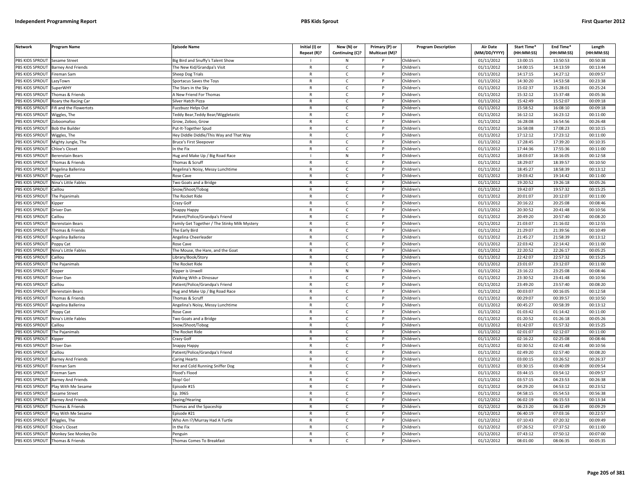| <b>Network</b>                     | Program Name                      | <b>Episode Name</b>                           | Initial (I) or<br>Repeat (R)? | New (N) or<br>Continuing (C)? | Primary (P) or<br>Multicast (M)? | <b>Program Description</b> | Air Date<br>(MM/DD/YYYY) | Start Time*<br>(HH:MM:SS) | End Time*<br>(HH:MM:SS) | Length<br>(HH:MM:SS) |
|------------------------------------|-----------------------------------|-----------------------------------------------|-------------------------------|-------------------------------|----------------------------------|----------------------------|--------------------------|---------------------------|-------------------------|----------------------|
| PBS KIDS SPROUT                    | <b>Sesame Street</b>              | Big Bird and Snuffy's Talent Show             |                               | N                             |                                  | Children's                 | 01/11/2012               | 13:00:15                  | 13:50:53                | 00:50:38             |
| PBS KIDS SPROUT                    | <b>Barney And Friends</b>         | The New Kid/Grandpa's Visit                   | $\mathsf{R}$                  | $\epsilon$                    |                                  | Children's                 | 01/11/2012               | 14:00:15                  | 14:13:59                | 00:13:44             |
| PBS KIDS SPROUT                    | Fireman Sam                       | Sheep Dog Trials                              | R                             | C                             | P                                | Children's                 | 01/11/2012               | 14:17:15                  | 14:27:12                | 00:09:57             |
| PBS KIDS SPROUT                    | LazyTown                          | Sportacus Saves the Toys                      | $\mathsf{R}$                  | $\mathsf{C}$                  |                                  | Children's                 | 01/11/2012               | 14:30:20                  | 14:53:58                | 00:23:38             |
| PBS KIDS SPROUT                    | <b>SuperWHY</b>                   | The Stars in the Sky                          | $\mathsf{R}$                  | $\mathsf{C}$                  | P                                | Children's                 | 01/11/2012               | 15:02:37                  | 15:28:01                | 00:25:24             |
| PBS KIDS SPROUT                    | Thomas & Friends                  | <b>New Friend For Thomas</b>                  | $\mathsf{R}$                  | $\mathsf{C}$                  |                                  | Children's                 | 01/11/2012               | 15:32:12                  | 15:37:48                | 00:05:36             |
| PBS KIDS SPROUT                    | Roary the Racing Car              | Silver Hatch Pizza                            | $\mathsf{R}$                  | C                             | P                                | Children's                 | 01/11/2012               | 15:42:49                  | 15:52:07                | 00:09:18             |
| PBS KIDS SPROUT                    | ifi and the Flowertots            | uzzbuzz Helps Out                             | $\mathsf{R}$                  | $\mathsf{C}$                  | <b>D</b>                         | Children's                 | 01/11/2012               | 15:58:52                  | 16:08:10                | 00:09:18             |
| PBS KIDS SPROUT                    | Wiggles, The                      | Feddy Bear, Teddy Bear/Wiggletastic           | $\mathsf{R}$                  | $\mathsf{C}$                  | P                                | Children's                 | 01/11/2012               | 16:12:12                  | 16:23:12                | 00:11:00             |
| PBS KIDS SPROUT                    | Zoboomafoo                        | Grow, Zoboo, Grow                             | $\mathsf{R}$                  | C                             |                                  | Children's                 | 01/11/2012               | 16:28:08                  | 16:54:56                | 00:26:48             |
| PBS KIDS SPROUT                    | <b>Bob the Builder</b>            | Put-It-Together Spud                          | $\mathsf{R}$                  | $\mathsf{C}$                  | $\mathsf{P}$                     | Children's                 | 01/11/2012               | 16:58:08                  | 17:08:23                | 00:10:15             |
| PBS KIDS SPROUT                    | Wiggles, The                      | Hey Diddle Diddle/This Way and That Way       | $\mathsf{R}$                  | $\mathsf{C}$                  | P                                | Children's                 | 01/11/2012               | 17:12:12                  | 17:23:12                | 00:11:00             |
| PBS KIDS SPROUT                    | Mighty Jungle, The                | <b>Bruce's First Sleepover</b>                | $\mathsf{R}$                  | $\mathsf{C}$                  | P                                | Children's                 | 01/11/2012               | 17:28:45                  | 17:39:20                | 00:10:35             |
| PBS KIDS SPROUT                    | <b>Chloe's Closet</b>             | n the Fix                                     | $\mathsf{R}$                  | $\mathsf{C}$                  |                                  | Children's                 | 01/11/2012               | 17:44:36                  | 17:55:36                | 00:11:00             |
| PBS KIDS SPROUT                    | <b>Berenstain Bears</b>           | lug and Make Up / Big Road Race               |                               | N                             | P                                | Children's                 | 01/11/2012               | 18:03:07                  | 18:16:05                | 00:12:58             |
| PBS KIDS SPROUT                    | Thomas & Friends                  | Thomas & Scruff                               | R                             | $\mathsf{C}$                  |                                  | Children's                 | 01/11/2012               | 18:29:07                  | 18:39:57                | 00:10:50             |
| PBS KIDS SPROUT                    | Angelina Ballerina                | Angelina's Noisy, Messy Lunchtime             | $\mathsf{R}$                  | $\mathsf{C}$                  | P                                | Children's                 | 01/11/2012               | 18:45:27                  | 18:58:39                | 00:13:12             |
| PBS KIDS SPROUT                    | Poppy Cat                         | Rose Cave                                     | R                             | $\mathsf{C}$                  | P                                | Children's                 | 01/11/2012               | 19:03:42                  | 19:14:42                | 00:11:00             |
| PBS KIDS SPROUT                    | Nina's Little Fables              | Two Goats and a Bridge                        | $\mathsf{R}$                  | $\mathsf{C}$                  | P                                | Children's                 | 01/11/2012               | 19:20:52                  | 19:26:18                | 00:05:26             |
| PBS KIDS SPROUT                    | Caillou                           | Snow/Shoot/Tobog                              | $\mathsf{R}$                  | $\mathsf{C}$                  | P                                | Children's                 | 01/11/2012               | 19:42:07                  | 19:57:32                | 00:15:25             |
| PBS KIDS SPROUT                    | The Pajanimals                    | The Rocket Ride                               | $\mathsf{R}$                  | $\mathsf{C}$                  |                                  | Children's                 | 01/11/2012               | 20:01:07                  | 20:12:07                | 00:11:00             |
| PBS KIDS SPROUT                    | <b>Kipper</b>                     | Crazy Golf                                    | $\mathsf{R}$                  | C                             | P                                | Children's                 | 01/11/2012               | 20:16:22                  | 20:25:08                | 00:08:46             |
| PBS KIDS SPROUT                    | Driver Dan                        | Snappy Happy                                  | $\mathsf{R}$                  | $\mathsf{C}$                  | P                                | Children's                 | 01/11/2012               | 20:30:52                  | 20:41:48                | 00:10:56             |
| PBS KIDS SPROUT                    | Caillou                           | Patient/Police/Grandpa's Friend               | $\mathsf{R}$                  | $\mathsf{C}$                  | P                                | Children's                 | 01/11/2012               | 20:49:20                  | 20:57:40                | 00:08:20             |
| PBS KIDS SPROUT                    | Berenstain Bears                  | Family Get Together / The Stinky Milk Mystery | $\mathsf{R}$                  | $\mathsf{C}$                  |                                  | Children's                 | 01/11/2012               | 21:03:07                  | 21:16:02                | 00:12:55             |
| PBS KIDS SPROUT                    | Thomas & Friends                  | The Early Bird                                | $\mathsf{R}$                  | $\mathsf{C}$                  | P                                | Children's                 | 01/11/2012               | 21:29:07                  | 21:39:56                | 00:10:49             |
| PBS KIDS SPROUT                    | Angelina Ballerina                | Angelina Cheerleader                          | R                             | C                             |                                  | Children's                 | 01/11/2012               | 21:45:27                  | 21:58:39                | 00:13:12             |
| PBS KIDS SPROUT                    | Poppy Cat                         | Rose Cave                                     | $\mathsf{R}$                  | $\mathsf{C}$                  | $\mathsf{P}$                     | Children's                 | 01/11/2012               | 22:03:42                  | 22:14:42                | 00:11:00             |
| PBS KIDS SPROUT                    | Nina's Little Fables              | The Mouse, the Hare, and the Goat             | $\mathsf{R}$                  | C                             | P                                | Children's                 | 01/11/2012               | 22:20:52                  | 22:26:17                | 00:05:25             |
| PBS KIDS SPROUT                    | Caillou                           | ibrary/Book/Story                             | $\mathsf{R}$                  | $\mathsf{C}$                  | P                                | Children's                 | 01/11/2012               | 22:42:07                  | 22:57:32                | 00:15:25             |
| PBS KIDS SPROUT                    | The Pajanimals                    | The Rocket Ride                               | $\mathsf{R}$                  | $\mathsf{C}$                  | P                                | Children's                 | 01/11/2012               | 23:01:07                  | 23:12:07                | 00:11:00             |
| PBS KIDS SPROUT                    | <b>Kipper</b>                     | <b>Kipper is Unwell</b>                       |                               | ${\sf N}$                     | P                                | Children's                 | 01/11/2012               | 23:16:22                  | 23:25:08                | 00:08:46             |
| PBS KIDS SPROUT                    | Driver Dan                        | Walking With a Dinosaur                       | $\mathsf{R}$                  | $\mathsf{C}$                  | P                                | Children's                 | 01/11/2012               | 23:30:52                  | 23:41:48                | 00:10:56             |
| PBS KIDS SPROUT                    | Caillou                           | Patient/Police/Grandpa's Friend               | $\mathsf{R}$                  | $\mathsf{C}$                  | P                                | Children's                 | 01/11/2012               | 23:49:20                  | 23:57:40                | 00:08:20             |
| PBS KIDS SPROUT                    | <b>Berenstain Bears</b>           | lug and Make Up / Big Road Race               | $\mathsf{R}$                  | $\mathsf{C}$                  | P                                | Children's                 | 01/11/2012               | 00:03:07                  | 00:16:05                | 00:12:58             |
| PBS KIDS SPROUT                    | Thomas & Friends                  | Thomas & Scruff                               | $\mathsf{R}$                  | $\mathsf{C}$                  | P                                | Children's                 | 01/11/2012               | 00:29:07                  | 00:39:57                | 00:10:50             |
| PBS KIDS SPROUT                    | Angelina Ballerina                | Angelina's Noisy, Messy Lunchtime             | $\mathsf{R}$                  | $\mathsf{C}$                  | D                                | Children's                 | 01/11/2012               | 00:45:27                  | 00:58:39                | 00:13:12             |
| PBS KIDS SPROUT                    |                                   |                                               | $\mathsf{R}$                  | $\mathsf{C}$                  | P                                | Children's                 | 01/11/2012               | 01:03:42                  | 01:14:42                | 00:11:00             |
| PBS KIDS SPROUT                    | Poppy Cat<br>Nina's Little Fables | Rose Cave                                     | $\mathsf{R}$                  | $\mathsf{C}$                  | P                                |                            | 01/11/2012               | 01:20:52                  | 01:26:18                | 00:05:26             |
| PBS KIDS SPROUT                    | Caillou                           | Two Goats and a Bridge<br>Snow/Shoot/Tobog    | $\mathsf{R}$                  | $\mathsf{C}$                  | <b>D</b>                         | Children's<br>Children's   | 01/11/2012               | 01:42:07                  | 01:57:32                | 00:15:25             |
|                                    |                                   | The Rocket Ride                               |                               | $\mathsf{C}$                  | P                                |                            | 01/11/2012               | 02:01:07                  | 02:12:07                | 00:11:00             |
| PBS KIDS SPROUT<br>PBS KIDS SPROUT | The Pajanimals                    |                                               | $\mathsf{R}$<br>$\mathsf{R}$  | $\mathsf{C}$                  | P                                | Children's                 |                          | 02:16:22                  | 02:25:08                | 00:08:46             |
|                                    | <i><b>Sipper</b></i>              | Crazy Golf                                    |                               |                               |                                  | Children's                 | 01/11/2012               |                           |                         |                      |
| PBS KIDS SPROUT                    | Driver Dan                        | <b>Snappy Happy</b>                           | $\mathsf{R}$                  | $\mathsf{C}$                  | P                                | Children's                 | 01/11/2012               | 02:30:52                  | 02:41:48                | 00:10:56             |
| PBS KIDS SPROUT                    | Caillou                           | Patient/Police/Grandpa's Friend               | R                             | C                             |                                  | Children's                 | 01/11/2012               | 02:49:20                  | 02:57:40                | 00:08:20             |
| PBS KIDS SPROUT                    | Barney And Friends                | Caring Hearts                                 | $\mathsf{R}$                  | C                             | P                                | Children's                 | 01/11/2012               | 03:00:15                  | 03:26:52                | 00:26:37             |
| PBS KIDS SPROUT                    | Fireman Sam                       | Hot and Cold Running Sniffer Dog              | $\mathsf{R}$                  | $\mathsf{C}$                  | P                                | Children's                 | 01/11/2012               | 03:30:15                  | 03:40:09                | 00:09:54             |
| PBS KIDS SPROUT                    | ireman Sam                        | Flood's Flood                                 | $\mathsf{R}$                  | $\mathsf{C}$                  | $\mathsf{P}$                     | Children's                 | 01/11/2012               | 03:44:15                  | 03:54:12                | 00:09:57             |
| PBS KIDS SPROUT                    | <b>Barney And Friends</b>         | Stop! Go!                                     | $\mathsf{R}$                  | $\mathsf{C}$                  | P                                | Children's                 | 01/11/2012               | 03:57:15                  | 04:23:53                | 00:26:38             |
| PBS KIDS SPROUT                    | Play With Me Sesame               | Episode #15                                   | $\mathbb{R}$                  | $\mathsf{C}$                  | P                                | Children's                 | 01/11/2012               | 04:29:20                  | 04:53:12                | 00:23:52             |
| PBS KIDS SPROUT                    | Sesame Street                     | Ep. 3965                                      | $\mathsf{R}$                  | C                             | P                                | Children's                 | 01/11/2012               | 04:58:15                  | 05:54:53                | 00:56:38             |
| PBS KIDS SPROUT                    | Barney And Friends                | Seeing/Hearing                                | $\mathsf{R}$                  | $\mathsf{C}$                  | P                                | Children's                 | 01/12/2012               | 06:02:19                  | 06:15:53                | 00:13:34             |
| PBS KIDS SPROUT                    | Thomas & Friends                  | Thomas and the Spaceship                      | $\mathsf{R}$                  | $\mathsf{C}$                  |                                  | Children's                 | 01/12/2012               | 06:23:20                  | 06:32:49                | 00:09:29             |
| PBS KIDS SPROUT                    | Play With Me Sesame               | Episode #21                                   | $\mathsf{R}$                  | $\mathsf{C}$                  | <b>D</b>                         | Children's                 | 01/12/2012               | 06:40:19                  | 07:03:16                | 00:22:57             |
| PBS KIDS SPROUT                    | Wiggles, The                      | Who Am I?/Murray Had A Turtle                 | $\mathsf{R}$                  | $\mathsf{C}$                  | P                                | Children's                 | 01/12/2012               | 07:10:43                  | 07:20:32                | 00:09:49             |
| PBS KIDS SPROUT                    | Chloe's Closet                    | n the Fix                                     | $\mathsf{R}$                  | $\mathsf{C}$                  |                                  | Children's                 | 01/12/2012               | 07:26:52                  | 07:37:52                | 00:11:00             |
| PBS KIDS SPROUT                    | Monkey See Monkey Do              | Penguin                                       | $\mathsf{R}$                  | C                             | P                                | Children's                 | 01/12/2012               | 07:43:12                  | 07:50:12                | 00:07:00             |
| PBS KIDS SPROUT                    | Thomas & Friends                  | <b>Thomas Comes To Breakfast</b>              | $\mathsf{R}$                  | $\mathsf{C}$                  |                                  | Children's                 | 01/12/2012               | 08:01:00                  | 08:06:35                | 00:05:35             |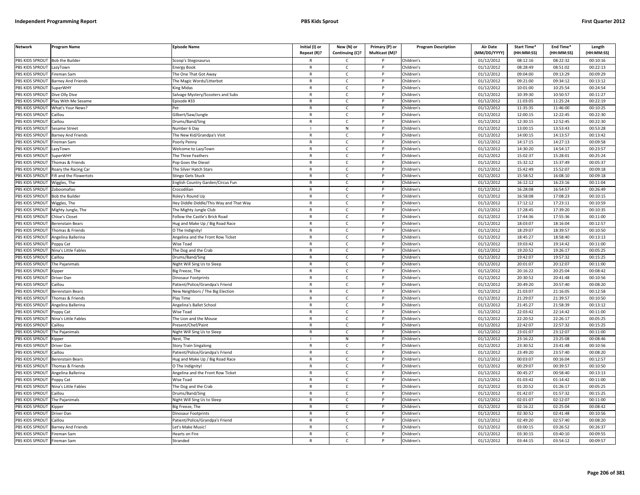| <b>Network</b>         | Program Name              | Episode Name                            | Initial (I) or<br>Repeat (R)? | New (N) or<br>Continuing (C)? | Primary (P) or<br>Multicast (M)? | <b>Program Description</b> | <b>Air Date</b><br>(MM/DD/YYYY) | <b>Start Time*</b><br>(HH:MM:SS) | End Time*<br>(HH:MM:SS) | Length<br>(HH:MM:SS) |
|------------------------|---------------------------|-----------------------------------------|-------------------------------|-------------------------------|----------------------------------|----------------------------|---------------------------------|----------------------------------|-------------------------|----------------------|
| PBS KIDS SPROUT        | <b>Bob the Builder</b>    | Scoop's Stegosaurus                     |                               | C                             |                                  | Children's                 | 01/12/2012                      | 08:12:16                         | 08:22:32                | 00:10:16             |
| PBS KIDS SPROUT        | LazyTown                  | <b>Energy Book</b>                      | $\mathsf{R}$                  | $\mathsf{C}$                  | $\mathsf{P}$                     | Children's                 | 01/12/2012                      | 08:28:49                         | 08:51:02                | 00:22:13             |
| PBS KIDS SPROUT        | Fireman Sam               | The One That Got Away                   | $\mathsf{R}$                  | $\mathsf{C}$                  | P                                | Children's                 | 01/12/2012                      | 09:04:00                         | 09:13:29                | 00:09:29             |
| <b>PBS KIDS SPROUT</b> | <b>Barney And Friends</b> | The Magic Words/Litterbot               | $\mathbb{R}$                  | $\mathsf{C}$                  | P                                | Children's                 | 01/12/2012                      | 09:21:00                         | 09:34:12                | 00:13:12             |
| PBS KIDS SPROUT        | <b>SuperWHY</b>           | King Midas                              | $\mathsf{R}$                  | $\mathsf{C}$                  | P                                | Children's                 | 01/12/2012                      | 10:01:00                         | 10:25:54                | 00:24:54             |
| PBS KIDS SPROUT        | Dive Olly Dive            | Salvage Mystery/Scooters and Subs       | $\mathsf{R}$                  | $\mathsf{C}$                  | D                                | Children's                 | 01/12/2012                      | 10:39:30                         | 10:50:57                | 00:11:27             |
| PBS KIDS SPROUT        | Play With Me Sesame       | Episode #33                             | R                             | C                             |                                  | Children's                 | 01/12/2012                      | 11:03:05                         | 11:25:24                | 00:22:19             |
| PBS KIDS SPROUT        | What's Your News?         |                                         | $\mathsf{R}$                  | $\mathsf{C}$                  | P                                | Children's                 | 01/12/2012                      | 11:35:35                         | 11:46:00                | 00:10:25             |
| PBS KIDS SPROUT        | Caillou                   | Gilbert/Saw/Jungle                      | R                             | C                             | P                                | Children's                 | 01/12/2012                      | 12:00:15                         | 12:22:45                | 00:22:30             |
| <b>PBS KIDS SPROUT</b> | Caillou                   | Drums/Band/Sing                         | $\mathsf{R}$                  | $\mathsf{C}$                  | P                                | Children's                 | 01/12/2012                      | 12:30:15                         | 12:52:45                | 00:22:30             |
| PBS KIDS SPROUT        | Sesame Street             | Number 6 Day                            |                               | N                             | P                                | Children's                 | 01/12/2012                      | 13:00:15                         | 13:53:43                | 00:53:28             |
| <b>PBS KIDS SPROUT</b> | <b>Barney And Friends</b> | The New Kid/Grandpa's Visit             | $\mathsf{R}$                  | $\mathsf{C}$                  | <b>D</b>                         | Children's                 | 01/12/2012                      | 14:00:15                         | 14:13:57                | 00:13:42             |
| PBS KIDS SPROUT        | Fireman Sam               | Poorly Penny                            | $\mathsf{R}$                  | C                             | P                                | Children's                 | 01/12/2012                      | 14:17:15                         | 14:27:13                | 00:09:58             |
| <b>PBS KIDS SPROUT</b> | .azyTown                  | Nelcome to LazyTown                     | R                             | C                             |                                  | Children's                 | 01/12/2012                      | 14:30:20                         | 14:54:17                | 00:23:57             |
| PBS KIDS SPROUT        | SuperWHY                  | The Three Feathers                      | $\mathsf{R}$                  | C                             | P                                | Children's                 | 01/12/2012                      | 15:02:37                         | 15:28:01                | 00:25:24             |
| PBS KIDS SPROUT        | Thomas & Friends          | Pop Goes the Diesel                     | $\mathsf{R}$                  | $\mathsf{C}$                  | P                                | Children's                 | 01/12/2012                      | 15:32:12                         | 15:37:49                | 00:05:37             |
| PBS KIDS SPROUT        | Roary the Racing Car      | The Silver Hatch Stars                  | $\mathsf{R}$                  | $\mathsf{C}$                  | P                                | Children's                 | 01/12/2012                      | 15:42:49                         | 15:52:07                | 00:09:18             |
| PBS KIDS SPROUT        | Fifi and the Flowertots   | Stingo Gets Stuck                       | $\mathsf{R}$                  | $\mathsf{C}$                  | P                                | Children's                 | 01/12/2012                      | 15:58:52                         | 16:08:10                | 00:09:18             |
| <b>PBS KIDS SPROUT</b> | Wiggles, The              | English Country Garden/Circus Fun       | $\mathbb{R}$                  | $\mathsf{C}$                  | P                                | Children's                 | 01/12/2012                      | 16:12:12                         | 16:23:16                | 00:11:04             |
| PBS KIDS SPROUT        | Zoboomafoo                | Crocodilian                             | $\mathsf{R}$                  | C                             | P                                | Children's                 | 01/12/2012                      | 16:28:08                         | 16:54:57                | 00:26:49             |
| PBS KIDS SPROUT        | <b>Bob the Builder</b>    | Roley's Round Up                        | $\mathsf{R}$                  | $\mathsf{C}$                  | P                                | Children's                 | 01/12/2012                      | 16:58:08                         | 17:08:23                | 00:10:15             |
| PBS KIDS SPROUT        | Wiggles, The              | Hey Diddle Diddle/This Way and That Way | $\mathsf{R}$                  | C                             |                                  | Children's                 | 01/12/2012                      | 17:12:12                         | 17:23:11                | 00:10:59             |
| PBS KIDS SPROUT        | Mighty Jungle, The        | The Mighty Jungle Club                  | $\mathsf{R}$                  | $\mathsf{C}$                  | P                                | Children's                 | 01/12/2012                      | 17:28:45                         | 17:39:20                | 00:10:35             |
| PBS KIDS SPROUT        | Chloe's Closet            | Follow the Castle's Brick Road          | R                             | C                             | P                                | Children's                 | 01/12/2012                      | 17:44:36                         | 17:55:36                | 00:11:00             |
| <b>PBS KIDS SPROUT</b> | Berenstain Bears          | Hug and Make Up / Big Road Race         | $\mathsf{R}$                  | $\mathsf{C}$                  | <b>D</b>                         | Children's                 | 01/12/2012                      | 18:03:07                         | 18:16:04                | 00:12:57             |
| PBS KIDS SPROUT        | Thomas & Friends          | O The Indignity!                        | R                             | $\mathsf{C}$                  | P                                | Children's                 | 01/12/2012                      | 18:29:07                         | 18:39:57                | 00:10:50             |
| PBS KIDS SPROUT        | Angelina Ballerina        | Angelina and the Front Row Ticket       | $\mathsf{R}$                  | C                             | P                                | Children's                 | 01/12/2012                      | 18:45:27                         | 18:58:40                | 00:13:13             |
| PBS KIDS SPROUT        | Poppy Cat                 | Wise Toad                               | $\mathsf{R}$                  | $\mathsf{C}$                  | P                                | Children's                 | 01/12/2012                      | 19:03:42                         | 19:14:42                | 00:11:00             |
| <b>PBS KIDS SPROUT</b> | Nina's Little Fables      | The Dog and the Crab                    | $\mathsf{R}$                  | C                             | P                                | Children's                 | 01/12/2012                      | 19:20:52                         | 19:26:17                | 00:05:25             |
| PBS KIDS SPROUT        | Caillou                   | Drums/Band/Sing                         | $\mathsf{R}$                  | C                             | P                                | Children's                 | 01/12/2012                      | 19:42:07                         | 19:57:32                | 00:15:25             |
| PBS KIDS SPROUT        | The Pajanimals            | Night Will Sing Us to Sleep             | $\mathsf{R}$                  | $\mathsf{C}$                  | P                                | Children's                 | 01/12/2012                      | 20:01:07                         | 20:12:07                | 00:11:00             |
| PBS KIDS SPROUT        | <b>Kipper</b>             | Big Freeze, The                         | $\mathsf{R}$                  | $\mathsf{C}$                  | P                                | Children's                 | 01/12/2012                      | 20:16:22                         | 20:25:04                | 00:08:42             |
| PBS KIDS SPROUT        | Driver Dan                | Dinosaur Footprints                     | $\mathsf{R}$                  | $\mathsf{C}$                  | P                                | Children's                 | 01/12/2012                      | 20:30:52                         | 20:41:48                | 00:10:56             |
| PBS KIDS SPROUT        | Caillou                   | Patient/Police/Grandpa's Friend         | $\mathsf{R}$                  | C                             | P                                | Children's                 | 01/12/2012                      | 20:49:20                         | 20:57:40                | 00:08:20             |
| PBS KIDS SPROUT        | Berenstain Bears          | New Neighbors / The Big Election        | $\mathsf{R}$                  | C                             | P                                | Children's                 | 01/12/2012                      | 21:03:07                         | 21:16:05                | 00:12:58             |
| PBS KIDS SPROUT        | Thomas & Friends          | Play Time                               | $\mathsf{R}$                  | $\mathsf{C}$                  | P                                | Children's                 | 01/12/2012                      | 21:29:07                         | 21:39:57                | 00:10:50             |
| PBS KIDS SPROUT        | Angelina Ballerina        | Angelina's Ballet School                | $\mathsf{R}$                  | $\mathsf{C}$                  |                                  | Children's                 | 01/12/2012                      | 21:45:27                         | 21:58:39                | 00:13:12             |
| PBS KIDS SPROUT        | Poppy Cat                 | Wise Toad                               | $\mathsf{R}$                  | $\mathsf{C}$                  | <b>D</b>                         | Children's                 | 01/12/2012                      | 22:03:42                         | 22:14:42                | 00:11:00             |
| PBS KIDS SPROUT        | Nina's Little Fables      | The Lion and the Mouse                  | R                             | C                             | P                                | Children's                 | 01/12/2012                      | 22:20:52                         | 22:26:17                | 00:05:25             |
| PBS KIDS SPROUT        | `ailloı.                  | Present/Chef/Paint                      | $\mathsf{R}$                  | $\epsilon$                    | <b>D</b>                         | Children's                 | 01/12/2012                      | 22:42:07                         | 22:57:32                | 00:15:25             |
| PBS KIDS SPROUT        | The Pajanimals            | Night Will Sing Us to Sleep             | $\mathsf{R}$                  | C                             | P                                | Children's                 | 01/12/2012                      | 23:01:07                         | 23:12:07                | 00:11:00             |
| <b>PBS KIDS SPROUT</b> | (ipper                    | Nest, The                               |                               | ${\sf N}$                     | D                                | Children's                 | 01/12/2012                      | 23:16:22                         | 23:25:08                | 00:08:46             |
| PBS KIDS SPROUT        | Driver Dan                | Story Train Singalong                   | $\mathsf{R}$                  | $\mathsf{C}$                  | P                                | Children's                 | 01/12/2012                      | 23:30:52                         | 23:41:48                | 00:10:56             |
| PBS KIDS SPROUT        | Caillou                   | Patient/Police/Grandpa's Friend         | $\mathsf{R}$                  | C                             | P                                | Children's                 | 01/12/2012                      | 23:49:20                         | 23:57:40                | 00:08:20             |
| PBS KIDS SPROUT        | Berenstain Bears          | Hug and Make Up / Big Road Race         | $\mathsf{R}$                  | C                             | P                                | Children's                 | 01/12/2012                      | 00:03:07                         | 00:16:04                | 00:12:57             |
| <b>PBS KIDS SPROUT</b> | Thomas & Friends          | O The Indignity                         |                               | $\mathsf{C}$                  |                                  | Children's                 | 01/12/2012                      | 00:29:07                         | 00:39:57                | 00:10:50             |
| PBS KIDS SPROUT        | Angelina Ballerina        | Angelina and the Front Row Ticket       | R                             | $\mathsf{C}$                  | $\mathsf{P}$                     | Children's                 | 01/12/2012                      | 00:45:27                         | 00:58:40                | 00:13:13             |
| PBS KIDS SPROUT        | Poppy Cat                 | Wise Toad                               | $\mathsf{R}$                  | $\mathsf{C}$                  | P                                | Children's                 | 01/12/2012                      | 01:03:42                         | 01:14:42                | 00:11:00             |
| PBS KIDS SPROUT        | Nina's Little Fables      | The Dog and the Crab                    | $\mathsf{R}$                  | C                             | P                                | Children's                 | 01/12/2012                      | 01:20:52                         | 01:26:17                | 00:05:25             |
| PBS KIDS SPROUT        | Caillou                   | Drums/Band/Sing                         | $\mathsf{R}$                  | C                             | P                                | Children's                 | 01/12/2012                      | 01:42:07                         | 01:57:32                | 00:15:25             |
| <b>PBS KIDS SPROUT</b> | The Pajanimals            | Night Will Sing Us to Sleep             | $\mathsf{R}$                  | $\mathsf{C}$                  | P                                | Children's                 | 01/12/2012                      | 02:01:07                         | 02:12:07                | 00:11:00             |
| PBS KIDS SPROUT        | Kipper                    | Big Freeze, The                         | $\mathsf{R}$                  | $\mathsf{C}$                  |                                  | Children's                 | 01/12/2012                      | 02:16:22                         | 02:25:04                | 00:08:42             |
| PBS KIDS SPROUT        | Driver Dar                | Dinosaur Footprints                     | $\mathsf{R}$                  | $\mathsf{C}$                  | <b>D</b>                         | Children's                 | 01/12/2012                      | 02:30:52                         | 02:41:48                | 00:10:56             |
| PBS KIDS SPROUT        | Caillou                   | Patient/Police/Grandpa's Friend         | R                             | C                             | P                                | Children's                 | 01/12/2012                      | 02:49:20                         | 02:57:40                | 00:08:20             |
| PBS KIDS SPROUT        | Barney And Friends        | Let's Make Music!                       | $\mathsf{R}$                  | $\mathsf{C}$                  | P                                | Children's                 | 01/12/2012                      | 03:00:15                         | 03:26:52                | 00:26:37             |
| PBS KIDS SPROUT        | Fireman Sam               | Hearts on Fire                          | R                             | C                             | P                                | Children's                 | 01/12/2012                      | 03:30:15                         | 03:40:10                | 00:09:55             |
| PBS KIDS SPROUT        | Fireman Sam               | Stranded                                |                               | $\mathsf{C}$                  | D                                | Children's                 | 01/12/2012                      | 03:44:15                         | 03:54:12                | 00:09:57             |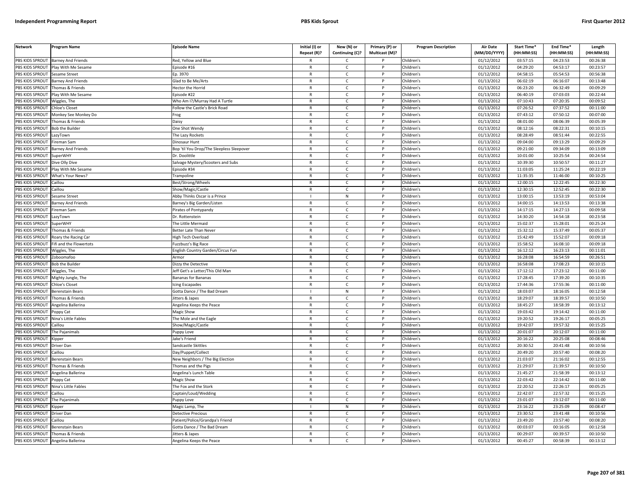| <b>Network</b>        | Program Name              | <b>Episode Name</b>                       | Initial (I) or | New (N) or      | Primary (P) or | <b>Program Description</b> | <b>Air Date</b> | Start Time* | End Time*  | Length     |
|-----------------------|---------------------------|-------------------------------------------|----------------|-----------------|----------------|----------------------------|-----------------|-------------|------------|------------|
|                       |                           |                                           | Repeat (R)?    | Continuing (C)? | Multicast (M)? |                            | (MM/DD/YYYY)    | (HH:MM:SS)  | (HH:MM:SS) | (HH:MM:SS) |
| PBS KIDS SPROUT       | <b>Barney And Friends</b> | Red, Yellow and Blue                      |                | C.              |                | Children's                 | 01/12/2012      | 03:57:15    | 04:23:53   | 00:26:38   |
| PBS KIDS SPROUT       | Play With Me Sesame       | ipisode #16                               | $\mathsf{R}$   | $\mathsf{C}$    | P              | Children's                 | 01/12/2012      | 04:29:20    | 04:53:17   | 00:23:57   |
| <b>BS KIDS SPROUT</b> | Sesame Street             | Ep. 3970                                  | R              | $\mathsf{C}$    |                | Children's                 | 01/12/2012      | 04:58:15    | 05:54:53   | 00:56:38   |
| PBS KIDS SPROUT       | Barney And Friends        | Glad to Be Me/Arts                        | $\mathsf{R}$   | $\mathsf{C}$    | <sub>D</sub>   | Children's                 | 01/13/2012      | 06:02:19    | 06:16:07   | 00:13:48   |
| PBS KIDS SPROUT       | Thomas & Friends          | lector the Horrid                         | R              | c               |                | Children's                 | 01/13/2012      | 06:23:20    | 06:32:49   | 00:09:29   |
| PBS KIDS SPROUT       | lay With Me Sesame        | pisode #22                                | $\mathsf{R}$   | $\mathsf{C}$    | P              | Children's                 | 01/13/2012      | 06:40:19    | 07:03:03   | 00:22:44   |
| PBS KIDS SPROUT       | Wiggles, The              | Who Am I?/Murray Had A Turtle             | R              | $\mathsf{C}$    | P              | Children's                 | 01/13/2012      | 07:10:43    | 07:20:35   | 00:09:52   |
| PBS KIDS SPROUT       | hloe's Closet             | Follow the Castle's Brick Road            | $\mathsf{R}$   | $\mathsf{C}$    | P              | Children's                 | 01/13/2012      | 07:26:52    | 07:37:52   | 00:11:00   |
| PBS KIDS SPROUT       | Monkey See Monkey Do      | rog                                       | $\mathsf{R}$   | $\mathsf{C}$    | P              | Children's                 | 01/13/2012      | 07:43:12    | 07:50:12   | 00:07:00   |
| PBS KIDS SPROUT       | homas & Friends           | Daisy                                     | $\mathsf{R}$   | $\mathsf{C}$    |                | Children's                 | 01/13/2012      | 08:01:00    | 08:06:39   | 00:05:39   |
| PBS KIDS SPROUT       | <b>Bob the Builder</b>    | One Shot Wendy                            | $\mathsf{R}$   | c               | P              | Children's                 | 01/13/2012      | 08:12:16    | 08:22:31   | 00:10:15   |
| PBS KIDS SPROUT       | LazyTown                  | The Lazy Rockets                          | $\mathsf{R}$   | $\mathsf{C}$    |                | Children's                 | 01/13/2012      | 08:28:49    | 08:51:44   | 00:22:55   |
| PBS KIDS SPROUT       | ireman Sam                | Dinosaur Hunt                             | R              | $\mathsf{C}$    | P              | Children's                 | 01/13/2012      | 09:04:00    | 09:13:29   | 00:09:29   |
| PBS KIDS SPROUT       | <b>Barney And Friends</b> | Bop 'til You Drop/The Sleepless Sleepover | R              | $\mathsf{C}$    |                | Children's                 | 01/13/2012      | 09:21:00    | 09:34:09   | 00:13:09   |
| PBS KIDS SPROUT       | SuperWHY                  | Dr. Doolittle                             | $\mathsf{R}$   | $\mathsf{C}$    | P              | Children's                 | 01/13/2012      | 10:01:00    | 10:25:54   | 00:24:54   |
| PBS KIDS SPROUT       | Dive Olly Dive            | Salvage Mystery/Scooters and Subs         | R              | $\mathsf{C}$    |                | Children's                 | 01/13/2012      | 10:39:30    | 10:50:57   | 00:11:27   |
| PBS KIDS SPROUT       | Play With Me Sesame       | Episode #34                               | R              | $\mathsf{C}$    | P              | Children's                 | 01/13/2012      | 11:03:05    | 11:25:24   | 00:22:19   |
| <b>BS KIDS SPROUT</b> | What's Your News?         | <b>Trampoline</b>                         | R              | $\mathsf{C}$    |                | Children's                 | 01/13/2012      | 11:35:35    | 11:46:00   | 00:10:25   |
| PBS KIDS SPROUT       | aillou                    | Best/Strong/Wheels                        | $\mathsf{R}$   | $\mathsf{C}$    | P              | Children's                 | 01/13/2012      | 12:00:15    | 12:22:45   | 00:22:30   |
| PBS KIDS SPROUT       | aillou                    | Show/Magic/Castle                         | R              | $\mathsf{C}$    | P              | Children's                 | 01/13/2012      | 12:30:15    | 12:52:45   | 00:22:30   |
| PBS KIDS SPROUT       | esame Street              | Abby Thinks Oscar is a Prince             | $\mathbf{I}$   | N               | P              | Children's                 | 01/13/2012      | 13:00:15    | 13:53:19   | 00:53:04   |
| <b>BS KIDS SPROUT</b> | Barney And Friends        | Barney's Big Garden/Listen                | R              | $\mathsf{C}$    |                | Children's                 | 01/13/2012      | 14:00:15    | 14:13:53   | 00:13:38   |
| PBS KIDS SPROUT       | ireman Sam                | Pirates of Pontypandy                     | $\overline{R}$ | $\mathsf{C}$    | <sub>D</sub>   | Children's                 | 01/13/2012      | 14:17:15    | 14:27:13   | 00:09:58   |
| PBS KIDS SPROUT       | LazyTown                  | Dr. Rottenstein                           | $\mathsf{R}$   | $\mathsf{C}$    | P              | Children's                 | 01/13/2012      | 14:30:20    | 14:54:18   | 00:23:58   |
| PBS KIDS SPROUT       | SuperWHY                  | he Little Mermaid                         | R              | $\mathsf{C}$    |                | Children's                 | 01/13/2012      | 15:02:37    | 15:28:01   | 00:25:24   |
| PBS KIDS SPROUT       | Thomas & Friends          | Better Late Than Never                    | $\mathsf{R}$   | $\mathsf{C}$    | P              | Children's                 | 01/13/2012      | 15:32:12    | 15:37:49   | 00:05:37   |
| PBS KIDS SPROUT       | Roary the Racing Car      | ligh Tech Overload                        | $\mathsf{R}$   | $\mathsf{C}$    |                | Children's                 | 01/13/2012      | 15:42:49    | 15:52:07   | 00:09:18   |
| PBS KIDS SPROUT       | ifi and the Flowertots    | Fuzzbuzz's Big Race                       | $\mathsf{R}$   | $\mathsf{C}$    | P              | Children's                 | 01/13/2012      | 15:58:52    | 16:08:10   | 00:09:18   |
| PBS KIDS SPROUT       | Niggles, The              | inglish Country Garden/Circus Fun         | $\mathsf{R}$   | $\mathsf{C}$    |                | Children's                 | 01/13/2012      | 16:12:12    | 16:23:13   | 00:11:01   |
| PBS KIDS SPROUT       | Zoboomafoo                | Armor                                     | R              | c               | P              | Children's                 | 01/13/2012      | 16:28:08    | 16:54:59   | 00:26:51   |
| PBS KIDS SPROUT       | <b>Bob the Builder</b>    | Dizzy the Detective                       | R              | $\mathsf{C}$    | P              | Children's                 | 01/13/2012      | 16:58:08    | 17:08:23   | 00:10:15   |
| PBS KIDS SPROUT       | Wiggles, The              | leff Get's a Letter/This Old Man          | $\mathsf{R}$   | $\mathsf{C}$    | P              | Children's                 | 01/13/2012      | 17:12:12    | 17:23:12   | 00:11:00   |
| PBS KIDS SPROUT       | Mighty Jungle, The        | Bananas for Bananas                       | $\mathsf{R}$   | $\mathsf{C}$    | P              | Children's                 | 01/13/2012      | 17:28:45    | 17:39:20   | 00:10:35   |
| PBS KIDS SPROUT       | Chloe's Closet            | cing Escapades                            | $\mathsf{R}$   | $\mathsf{C}$    | P              | Children's                 | 01/13/2012      | 17:44:36    | 17:55:36   | 00:11:00   |
| PBS KIDS SPROUT       | Berenstain Bears          | <b>Gotta Dance / The Bad Dream</b>        |                | ${\sf N}$       | P              | Children's                 | 01/13/2012      | 18:03:07    | 18:16:05   | 00:12:58   |
| PBS KIDS SPROUT       | homas & Friends           | itters & Japes                            | $\mathsf{R}$   | $\mathsf{C}$    | D              | Children's                 | 01/13/2012      | 18:29:07    | 18:39:57   | 00:10:50   |
| <b>BS KIDS SPROUT</b> | Angelina Ballerina        | Angelina Keeps the Peace                  | R              | C               |                | Children's                 | 01/13/2012      | 18:45:27    | 18:58:39   | 00:13:12   |
| PBS KIDS SPROUT       | oppy Cat                  | Magic Show                                | R              | $\mathsf{C}$    | <b>D</b>       | Children's                 | 01/13/2012      | 19:03:42    | 19:14:42   | 00:11:00   |
| PBS KIDS SPROUT       | Nina's Little Fables      | he Mole and the Eagle                     | R              | $\mathsf{C}$    | P              | Children's                 | 01/13/2012      | 19:20:52    | 19:26:17   | 00:05:25   |
| PBS KIDS SPROUT       | aillou                    | Show/Magic/Castle                         | R              | $\mathsf{C}$    |                | Children's                 | 01/13/2012      | 19:42:07    | 19:57:32   | 00:15:25   |
| PBS KIDS SPROUT       | The Pajanimals            | uppy Love                                 | $\mathsf{R}$   | $\mathsf{C}$    | P              | Children's                 | 01/13/2012      | 20:01:07    | 20:12:07   | 00:11:00   |
| PBS KIDS SPROUT       | <b>Kipper</b>             | ake's Friend                              | $\mathsf{R}$   | $\mathsf{C}$    |                | Children's                 | 01/13/2012      | 20:16:22    | 20:25:08   | 00:08:46   |
| PBS KIDS SPROUT       | Driver Dan                | Sandcastle Skittles                       | $\mathsf{R}$   | $\mathsf{C}$    | P              | Children's                 | 01/13/2012      | 20:30:52    | 20:41:48   | 00:10:56   |
| PBS KIDS SPROUT       | aillou                    | )ay/Puppet/Collect                        | $\mathsf{R}$   | $\mathsf{C}$    |                | Children's                 | 01/13/2012      | 20:49:20    | 20:57:40   | 00:08:20   |
| PBS KIDS SPROUT       | Berenstain Bears          | New Neighbors / The Big Election          | $\mathsf{R}$   | c               | P              | Children's                 | 01/13/2012      | 21:03:07    | 21:16:02   | 00:12:55   |
| PBS KIDS SPROUT       | homas & Friends           | homas and the Pigs                        | $\mathsf{R}$   | $\mathsf{C}$    | P              | Children's                 | 01/13/2012      | 21:29:07    | 21:39:57   | 00:10:50   |
| PBS KIDS SPROUT       | Angelina Ballerina        | Angelina's Lunch Table                    | $\mathsf{R}$   | $\mathsf{C}$    | P              | Children's                 | 01/13/2012      | 21:45:27    | 21:58:39   | 00:13:12   |
| PBS KIDS SPROUT       | Poppy Cat                 | Magic Show                                | $\mathsf{R}$   | $\mathsf{C}$    | P              | Children's                 | 01/13/2012      | 22:03:42    | 22:14:42   | 00:11:00   |
| PBS KIDS SPROUT       | Nina's Little Fables      | The Fox and the Stork                     | $\mathsf{R}$   | c               | P              | Children's                 | 01/13/2012      | 22:20:52    | 22:26:17   | 00:05:25   |
| PBS KIDS SPROUT       | Caillou                   | Captain/Loud/Wedding                      | R              | $\mathsf{C}$    | P              | Children's                 | 01/13/2012      | 22:42:07    | 22:57:32   | 00:15:25   |
| PBS KIDS SPROUT       | The Paianimals            | uppy Love                                 | $\mathsf{R}$   | $\mathsf{C}$    | P              | Children's                 | 01/13/2012      | 23:01:07    | 23:12:07   | 00:11:00   |
| <b>BS KIDS SPROUT</b> | Kipper                    | Magic Lamp, The                           |                | ${\sf N}$       |                | Children's                 | 01/13/2012      | 23:16:22    | 23:25:09   | 00:08:47   |
| PBS KIDS SPROUT       | Driver Dan                | Detective Precious                        | $\mathsf{R}$   | $\mathsf{C}$    | <b>D</b>       | Children's                 | 01/13/2012      | 23:30:52    | 23:41:48   | 00:10:56   |
| PBS KIDS SPROUT       | Caillou                   | Patient/Police/Grandpa's Friend           | R              | $\mathsf{C}$    | P              | Children's                 | 01/13/2012      | 23:49:20    | 23:57:40   | 00:08:20   |
| PBS KIDS SPROUT       | Berenstain Bears          | Gotta Dance / The Bad Dream               | $\overline{R}$ | $\mathsf{C}$    |                | Children's                 | 01/13/2012      | 00:03:07    | 00:16:05   | 00:12:58   |
| PBS KIDS SPROUT       | Thomas & Friends          | Jitters & Japes                           | R              | $\mathsf{C}$    | P              | Children's                 | 01/13/2012      | 00:29:07    | 00:39:57   | 00:10:50   |
| PBS KIDS SPROUT       | Angelina Ballerina        | Angelina Keeps the Peace                  |                | $\mathsf{C}$    | P              | Children's                 | 01/13/2012      | 00:45:27    | 00:58:39   | 00:13:12   |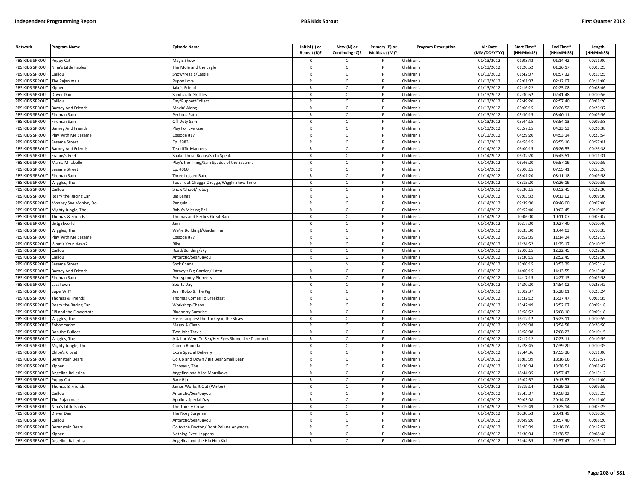| <b>Network</b>  | Program Name              | <b>Episode Name</b>                               | Initial (I) or<br>Repeat (R)? | New (N) or<br>Continuing (C)? | Primary (P) or<br>Multicast (M)? | <b>Program Description</b> | <b>Air Date</b><br>(MM/DD/YYYY) | Start Time*<br>(HH:MM:SS) | End Time <sup>®</sup><br>(HH:MM:SS) | Length<br>(HH:MM:SS) |
|-----------------|---------------------------|---------------------------------------------------|-------------------------------|-------------------------------|----------------------------------|----------------------------|---------------------------------|---------------------------|-------------------------------------|----------------------|
| PBS KIDS SPROUT | Poppy Cat                 | Magic Show                                        |                               | C                             |                                  | Children's                 | 01/13/2012                      | 01:03:42                  | 01:14:42                            | 00:11:00             |
| PBS KIDS SPROUT | Nina's Little Fables      | The Mole and the Eagle                            | $\mathsf{R}$                  | $\mathsf{C}$                  | $\mathsf{P}$                     | Children's                 | 01/13/2012                      | 01:20:52                  | 01:26:17                            | 00:05:25             |
| PBS KIDS SPROUT | Caillou                   | Show/Magic/Castle                                 | $\mathsf{R}$                  | $\mathsf{C}$                  | P                                | Children's                 | 01/13/2012                      | 01:42:07                  | 01:57:32                            | 00:15:25             |
| PBS KIDS SPROUT | The Pajanimals            | Puppy Love                                        | $\mathbb{R}$                  | $\mathsf{C}$                  | P                                | Children's                 | 01/13/2012                      | 02:01:07                  | 02:12:07                            | 00:11:00             |
| PBS KIDS SPROUT | Kipper                    | ake's Friend                                      | $\mathsf{R}$                  | $\mathsf{C}$                  | P                                | Children's                 | 01/13/2012                      | 02:16:22                  | 02:25:08                            | 00:08:46             |
| PBS KIDS SPROUT | Driver Dan                | Sandcastle Skittles                               | $\mathsf{R}$                  | $\mathsf{C}$                  |                                  | Children's                 | 01/13/2012                      | 02:30:52                  | 02:41:48                            | 00:10:56             |
| PBS KIDS SPROUT | Caillou                   | Day/Puppet/Collect                                | R                             | C                             |                                  | Children's                 | 01/13/2012                      | 02:49:20                  | 02:57:40                            | 00:08:20             |
| PBS KIDS SPROUT | Barney And Friends        | Movin' Along                                      | $\mathsf{R}$                  | $\mathsf{C}$                  | <b>D</b>                         | Children's                 | 01/13/2012                      | 03:00:15                  | 03:26:52                            | 00:26:37             |
| PBS KIDS SPROUT | Fireman Sam               | Perilous Path                                     | R                             | $\mathsf{C}$                  | P                                | Children's                 | 01/13/2012                      | 03:30:15                  | 03:40:11                            | 00:09:56             |
| PBS KIDS SPROUT | Fireman Sam               | Off Duty Sam                                      | $\mathsf{R}$                  | $\mathsf{C}$                  | P                                | Children's                 | 01/13/2012                      | 03:44:15                  | 03:54:13                            | 00:09:58             |
| PBS KIDS SPROUT | <b>Barney And Friends</b> | Play For Exercise                                 | $\mathsf{R}$                  | $\mathsf{C}$                  | P                                | Children's                 | 01/13/2012                      | 03:57:15                  | 04:23:53                            | 00:26:38             |
| PBS KIDS SPROUT | Play With Me Sesame       | Episode #17                                       | $\mathsf{R}$                  | $\mathsf{C}$                  | <b>D</b>                         | Children's                 | 01/13/2012                      | 04:29:20                  | 04:53:14                            | 00:23:54             |
| PBS KIDS SPROUT | Sesame Street             | Ep. 3983                                          | $\mathsf{R}$                  | $\mathsf{C}$                  | P                                | Children's                 | 01/13/2012                      | 04:58:15                  | 05:55:16                            | 00:57:01             |
| PBS KIDS SPROUT | Barney And Friends        | <b>Fea-riffic Manners</b>                         | $\mathsf{R}$                  | C                             |                                  | Children's                 | 01/14/2012                      | 06:00:15                  | 06:26:53                            | 00:26:38             |
| PBS KIDS SPROUT | Franny's Feet             | Shake Those Beans/So to Speak                     | $\mathsf{R}$                  | C                             | P                                | Children's                 | 01/14/2012                      | 06:32:20                  | 06:43:51                            | 00:11:31             |
| PBS KIDS SPROUT | Mama Mirabelle            | Play's the Thing/Sam Spades of the Savanna        | $\mathsf{R}$                  | $\mathsf{C}$                  | P                                | Children's                 | 01/14/2012                      | 06:46:20                  | 06:57:19                            | 00:10:59             |
| PBS KIDS SPROUT | Sesame Street             | Ep. 4060                                          | $\mathsf{R}$                  | $\mathsf{C}$                  | $\mathsf{P}$                     | Children's                 | 01/14/2012                      | 07:00:15                  | 07:55:41                            | 00:55:26             |
| PBS KIDS SPROUT | Fireman Sam               | Three Legged Race                                 | $\mathsf{R}$                  | $\mathsf{C}$                  | P                                | Children's                 | 01/14/2012                      | 08:01:20                  | 08:11:18                            | 00:09:58             |
| PBS KIDS SPROUT | Wiggles, The              | Toot Toot Chugga Chugga/Wiggly Show Time          | $\mathbb{R}$                  | $\mathsf{C}$                  | P                                | Children's                 | 01/14/2012                      | 08:15:20                  | 08:26:19                            | 00:10:59             |
| PBS KIDS SPROUT | Caillou                   | Snow/Shoot/Tobog                                  | R                             | C                             | P                                | Children's                 | 01/14/2012                      | 08:30:15                  | 08:52:45                            | 00:22:30             |
| PBS KIDS SPROUT | Roary the Racing Car      | Big Bangs                                         | $\mathsf{R}$                  | $\mathsf{C}$                  | P                                | Children's                 | 01/14/2012                      | 09:03:32                  | 09:13:02                            | 00:09:30             |
| PBS KIDS SPROUT | Monkey See Monkey Do      | Penguin                                           | $\mathsf{R}$                  | $\mathsf{C}$                  |                                  | Children's                 | 01/14/2012                      | 09:39:00                  | 09:46:00                            | 00:07:00             |
| PBS KIDS SPROUT | Mighty Jungle, The        | <b>Babu's Missing Ball</b>                        | $\mathsf{R}$                  | $\mathsf{C}$                  | <b>D</b>                         | Children's                 | 01/14/2012                      | 09:52:40                  | 10:02:45                            | 00:10:05             |
| PBS KIDS SPROUT | Thomas & Friends          | Thomas and Berties Great Race                     | R                             | C                             | P                                | Children's                 | 01/14/2012                      | 10:06:00                  | 10:11:07                            | 00:05:07             |
| PBS KIDS SPROUT | dirtgirlworld             |                                                   | $\mathbb{R}$                  | $\mathsf{C}$                  | <b>D</b>                         | Children's                 | 01/14/2012                      | 10:17:00                  | 10:27:40                            | 00:10:40             |
| PBS KIDS SPROUT | <i>N</i> iggles, The      | We're Building!/Garden Fun                        | $\mathsf{R}$                  | $\mathsf{C}$                  | P                                | Children's                 | 01/14/2012                      | 10:33:30                  | 10:44:03                            | 00:10:33             |
| PBS KIDS SPROUT | Play With Me Sesame       | Episode #77                                       | $\mathsf{R}$                  | $\mathsf{C}$                  | P                                | Children's                 | 01/14/2012                      | 10:52:05                  | 11:14:24                            | 00:22:19             |
| PBS KIDS SPROUT | What's Your News?         | Bike                                              | $\mathsf{R}$                  | $\mathsf{C}$                  | P                                | Children's                 | 01/14/2012                      | 11:24:52                  | 11:35:17                            | 00:10:25             |
| PBS KIDS SPROUT | Caillou                   | Road/Building/Sky                                 | $\mathsf{R}$                  | $\mathsf{C}$                  |                                  | Children's                 | 01/14/2012                      | 12:00:15                  | 12:22:45                            | 00:22:30             |
| PBS KIDS SPROUT | Caillou                   | Antarctic/Sea/Bayou                               | $\mathsf{R}$                  | C                             | P                                | Children's                 | 01/14/2012                      | 12:30:15                  | 12:52:45                            | 00:22:30             |
| PBS KIDS SPROUT | Sesame Street             | Sock Chaos                                        |                               | ${\sf N}$                     | P                                | Children's                 | 01/14/2012                      | 13:00:15                  | 13:53:29                            | 00:53:14             |
| PBS KIDS SPROUT | Barney And Friends        | Barney's Big Garden/Listen                        | $\mathsf{R}$                  | $\mathsf{C}$                  | P                                | Children's                 | 01/14/2012                      | 14:00:15                  | 14:13:55                            | 00:13:40             |
| PBS KIDS SPROUT | Fireman Sam               | Pontypandy Pioneers                               | $\mathsf{R}$                  | $\mathsf{C}$                  | P                                | Children's                 | 01/14/2012                      | 14:17:15                  | 14:27:13                            | 00:09:58             |
| PBS KIDS SPROUT | LazyTown                  | Sports Day                                        | $\mathsf{R}$                  | C                             | P                                | Children's                 | 01/14/2012                      | 14:30:20                  | 14:54:02                            | 00:23:42             |
| PBS KIDS SPROUT | <b>SuperWHY</b>           | uan Bobo & The Pig                                | $\mathsf{R}$                  | C                             | P                                | Children's                 | 01/14/2012                      | 15:02:37                  | 15:28:01                            | 00:25:24             |
| PBS KIDS SPROUT | Thomas & Friends          | Thomas Comes To Breakfast                         | $\mathsf{R}$                  | $\mathsf{C}$                  | P                                | Children's                 | 01/14/2012                      | 15:32:12                  | 15:37:47                            | 00:05:35             |
| PBS KIDS SPROUT | Roary the Racing Car      | <b>Workshop Chaos</b>                             | $\mathsf{R}$                  | $\mathsf{C}$                  |                                  | Children's                 | 01/14/2012                      | 15:42:49                  | 15:52:07                            | 00:09:18             |
| PBS KIDS SPROUT | ifi and the Flowertots    | <b>Blueberry Surprise</b>                         | $\mathsf{R}$                  | $\mathsf{C}$                  | <b>D</b>                         | Children's                 | 01/14/2012                      | 15:58:52                  | 16:08:10                            | 00:09:18             |
| PBS KIDS SPROUT | Wiggles, The              | Frere Jacques/The Turkey in the Straw             | $\mathsf{R}$                  | $\mathsf{C}$                  | P                                | Children's                 | 01/14/2012                      | 16:12:12                  | 16:23:11                            | 00:10:59             |
| PBS KIDS SPROUT | Zoboomafoo                | Messy & Clean                                     | $\mathsf{R}$                  | $\mathsf{C}$                  | <b>D</b>                         | Children's                 | 01/14/2012                      | 16:28:08                  | 16:54:58                            | 00:26:50             |
| PBS KIDS SPROUT | <b>Bob the Builder</b>    | Two Jobs Travis                                   | $\mathsf{R}$                  | $\mathsf{C}$                  | P                                | Children's                 | 01/14/2012                      | 16:58:08                  | 17:08:23                            | 00:10:15             |
| PBS KIDS SPROUT | Niggles, The              | A Sailor Went To Sea/Her Eyes Shone Like Diamonds | $\mathsf{R}$                  | $\mathsf{C}$                  | D                                | Children's                 | 01/14/2012                      | 17:12:12                  | 17:23:11                            | 00:10:59             |
| PBS KIDS SPROUT | Mighty Jungle, The        | Queen Rhonda                                      | $\mathsf{R}$                  | $\mathsf{C}$                  | P                                | Children's                 | 01/14/2012                      | 17:28:45                  | 17:39:20                            | 00:10:35             |
| PBS KIDS SPROUT | <b>Chloe's Closet</b>     | <b>Extra Special Delivery</b>                     | $\mathsf{R}$                  | $\mathsf{C}$                  | P                                | Children's                 | 01/14/2012                      | 17:44:36                  | 17:55:36                            | 00:11:00             |
| PBS KIDS SPROUT | Berenstain Bears          | Go Up and Down / Big Bear Small Bear              | $\mathsf{R}$                  | $\mathsf{C}$                  | P                                | Children's                 | 01/14/2012                      | 18:03:09                  | 18:16:06                            | 00:12:57             |
| PBS KIDS SPROUT | <i><b>Sipper</b></i>      | Dinosaur, Th                                      | $\mathsf{R}$                  | $\mathsf{C}$                  |                                  | Children's                 | 01/14/2012                      | 18:30:04                  | 18:38:51                            | 00:08:47             |
| PBS KIDS SPROUT | Angelina Ballerina        | Angelina and Alice Mousikova                      | $\mathsf{R}$                  | $\mathsf{C}$                  | P                                | Children's                 | 01/14/2012                      | 18:44:35                  | 18:57:47                            | 00:13:12             |
| PBS KIDS SPROUT | Poppy Cat                 | Rare Bird                                         | $\mathsf{R}$                  | $\mathsf{C}$                  | P                                | Children's                 | 01/14/2012                      | 19:02:57                  | 19:13:57                            | 00:11:00             |
| PBS KIDS SPROUT | Thomas & Friends          | James Works It Out (Winter)                       | $\mathsf{R}$                  | C                             | P                                | Children's                 | 01/14/2012                      | 19:19:14                  | 19:29:13                            | 00:09:59             |
| PBS KIDS SPROUT | Caillou                   | Antarctic/Sea/Bayou                               | $\mathsf{R}$                  | $\mathsf{C}$                  | P                                | Children's                 | 01/14/2012                      | 19:43:07                  | 19:58:32                            | 00:15:25             |
| PBS KIDS SPROUT | The Pajanimals            | Apollo's Special Day                              | $\mathsf{R}$                  | $\mathsf{C}$                  | P                                | Children's                 | 01/14/2012                      | 20:03:08                  | 20:14:08                            | 00:11:00             |
| PBS KIDS SPROUT | Nina's Little Fables      | The Thirsty Crow                                  | $\mathsf{R}$                  | $\mathsf{C}$                  |                                  | Children's                 | 01/14/2012                      | 20:19:49                  | 20:25:14                            | 00:05:25             |
| PBS KIDS SPROUT | Driver Dan                | The Nosy Surprise                                 | $\mathsf{R}$                  | $\mathsf{C}$                  | D                                | Children's                 | 01/14/2012                      | 20:30:53                  | 20:41:49                            | 00:10:56             |
| PBS KIDS SPROUT | Caillou                   | Antarctic/Sea/Bayou                               | R                             | $\mathsf{C}$                  | P                                | Children's                 | 01/14/2012                      | 20:49:20                  | 20:57:40                            | 00:08:20             |
| PBS KIDS SPROUT | erenstain Bears           | Go to the Doctor / Dont Pollute Anymore           | $\mathsf{R}$                  | $\mathsf{C}$                  |                                  | Children's                 | 01/14/2012                      | 21:03:09                  | 21:16:06                            | 00:12:57             |
| PBS KIDS SPROUT | Kipper                    | Nothing Ever Happens                              | $\mathsf{R}$                  | C                             | P                                | Children's                 | 01/14/2012                      | 21:30:04                  | 21:38:52                            | 00:08:48             |
| PBS KIDS SPROUT | Angelina Ballerina        | Angelina and the Hip Hop Kid                      | $\mathsf{R}$                  | $\mathsf{C}$                  | D                                | Children's                 | 01/14/2012                      | 21:44:35                  | 21:57:47                            | 00:13:12             |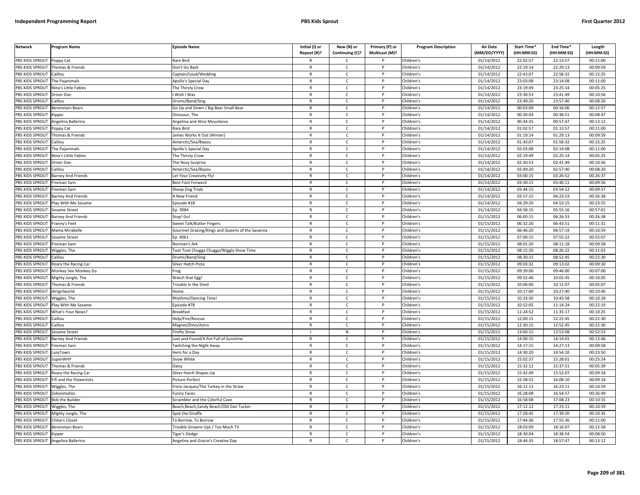| <b>Network</b>        | Program Name                               | <b>Episode Name</b>                             | Initial (I) or<br>Repeat (R)? | New (N) or<br>Continuing (C)? | Primary (P) or<br>Multicast (M)? | <b>Program Description</b> | <b>Air Date</b><br>(MM/DD/YYYY) | Start Time*<br>(HH:MM:SS) | End Time*<br>(HH:MM:SS) | Length<br>(HH:MM:SS) |
|-----------------------|--------------------------------------------|-------------------------------------------------|-------------------------------|-------------------------------|----------------------------------|----------------------------|---------------------------------|---------------------------|-------------------------|----------------------|
| PBS KIDS SPROUT       |                                            | Rare Bird                                       |                               | C.                            |                                  |                            | 01/14/2012                      | 22:02:57                  | 22:13:57                | 00:11:00             |
| PBS KIDS SPROUT       | Poppy Cat<br>Thomas & Friends              | Don't Go Back                                   | $\mathsf{R}$                  | $\mathsf{C}$                  | P                                | Children's<br>Children's   | 01/14/2012                      | 22:19:14                  | 22:29:13                | 00:09:59             |
| <b>BS KIDS SPROUT</b> | aillou                                     | Captain/Loud/Wedding                            | R                             | $\mathsf{C}$                  |                                  | Children's                 | 01/14/2012                      | 22:43:07                  | 22:58:32                | 00:15:25             |
| PBS KIDS SPROUT       | The Pajanimals                             | Apollo's Special Day                            | $\mathsf{R}$                  | $\mathsf{C}$                  | D                                | Children's                 | 01/14/2012                      | 23:03:08                  | 23:14:08                | 00:11:00             |
| PBS KIDS SPROUT       | Nina's Little Fables                       |                                                 | R                             | c                             |                                  | Children's                 | 01/14/2012                      | 23:19:49                  | 23:25:14                | 00:05:25             |
| PBS KIDS SPROUT       |                                            | The Thirsty Crow                                | $\mathsf{R}$                  | $\mathsf{C}$                  | P                                | Children's                 | 01/14/2012                      | 23:30:53                  | 23:41:49                | 00:10:56             |
| PBS KIDS SPROUT       | Driver Dan<br>Caillou                      | Wish I Was<br>Drums/Band/Sing                   | R                             | $\mathsf{C}$                  | P                                | Children's                 | 01/14/2012                      | 23:49:20                  | 23:57:40                | 00:08:20             |
| PBS KIDS SPROUT       |                                            | Go Up and Down / Big Bear Small Bear            | $\mathsf{R}$                  | $\mathsf{C}$                  | P                                | Children's                 | 01/14/2012                      | 00:03:09                  | 00:16:06                | 00:12:57             |
| PBS KIDS SPROUT       | Berenstain Bears                           | Dinosaur, The                                   | $\mathsf{R}$                  | $\mathsf{C}$                  | P                                | Children's                 | 01/14/2012                      | 00:30:04                  | 00:38:51                | 00:08:47             |
| PBS KIDS SPROUT       | <b>Kipper</b><br>ngelina Ballerina         | <b>Ingelina and Alice Mousikova</b>             | $\mathsf{R}$                  | $\mathsf{C}$                  |                                  | Children's                 | 01/14/2012                      | 00:44:35                  | 00:57:47                | 00:13:12             |
| PBS KIDS SPROUT       |                                            | Rare Bird                                       | R                             | c                             | P                                | Children's                 | 01/14/2012                      | 01:02:57                  | 01:13:57                | 00:11:00             |
| PBS KIDS SPROUT       | oppy Cat<br>Thomas & Friends               | ames Works It Out (Winter)                      | $\mathsf{R}$                  | $\mathsf{C}$                  |                                  | Children's                 | 01/14/2012                      | 01:19:14                  | 01:29:13                | 00:09:59             |
| PBS KIDS SPROUT       | Caillou                                    |                                                 | R                             | $\mathsf{C}$                  | P                                | Children's                 | 01/14/2012                      | 01:43:07                  | 01:58:32                | 00:15:25             |
| PBS KIDS SPROUT       | The Pajanimals                             | Antarctic/Sea/Bayou<br>Apollo's Special Day     | R                             | $\mathsf{C}$                  | P                                | Children's                 | 01/14/2012                      | 02:03:08                  | 02:14:08                | 00:11:00             |
| PBS KIDS SPROUT       | Nina's Little Fables                       | The Thirsty Crow                                | $\mathsf{R}$                  | $\mathsf{C}$                  | P                                | Children's                 | 01/14/2012                      | 02:19:49                  | 02:25:14                | 00:05:25             |
| PBS KIDS SPROUT       | <b>Driver Dan</b>                          | The Nosy Surprise                               | R                             | $\mathsf{C}$                  | P                                | Children's                 | 01/14/2012                      | 02:30:53                  | 02:41:49                | 00:10:56             |
| PBS KIDS SPROUT       | Caillou                                    | Antarctic/Sea/Bayou                             | R                             | $\mathsf{C}$                  | P                                | Children's                 | 01/14/2012                      | 02:49:20                  | 02:57:40                | 00:08:20             |
| <b>BS KIDS SPROUT</b> | <b>Barney And Friends</b>                  | Let Your Creativity Fly!                        | R                             | $\mathsf{C}$                  | P                                | Children's                 | 01/14/2012                      | 03:00:15                  | 03:26:52                | 00:26:37             |
| PBS KIDS SPROUT       | ireman Sam                                 | Best Foot Forward                               | $\mathsf{R}$                  | $\mathsf{C}$                  | P                                | Children's                 | 01/14/2012                      | 03:30:15                  | 03:40:11                | 00:09:56             |
| PBS KIDS SPROUT       | ireman Sam                                 | Sheep Dog Trials                                | R                             | $\mathsf{C}$                  | P                                | Children's                 | 01/14/2012                      | 03:44:15                  | 03:54:12                | 00:09:57             |
| PBS KIDS SPROUT       |                                            |                                                 | $\mathsf{R}$                  | $\mathsf{C}$                  | P                                | Children's                 | 01/14/2012                      | 03:57:15                  | 04:23:53                | 00:26:38             |
| <b>BS KIDS SPROUT</b> | arney And Friends<br>Play With Me Sesame   | A New Friend<br>pisode #18                      | R                             | $\mathsf{C}$                  | P                                | Children's                 | 01/14/2012                      | 04:29:20                  | 04:53:15                | 00:23:55             |
| PBS KIDS SPROUT       |                                            | Ep. 3984                                        | $\overline{R}$                | $\mathsf{C}$                  | <sub>D</sub>                     | Children's                 | 01/14/2012                      | 04:58:15                  | 05:55:16                | 00:57:01             |
| PBS KIDS SPROUT       | Sesame Stree†<br><b>Barney And Friends</b> | Stop! Go!                                       | $\mathsf{R}$                  | $\mathsf{C}$                  | P                                | Children's                 | 01/15/2012                      | 06:00:15                  | 06:26:53                | 00:26:38             |
| PBS KIDS SPROUT       | ranny's Feet                               | weet Talk/Butter Fingers                        | R                             | $\mathsf{C}$                  |                                  | Children's                 | 01/15/2012                      | 06:32:20                  | 06:43:51                | 00:11:31             |
| PBS KIDS SPROUT       | Mama Mirabelle                             | Gourmet Grazing/Kings and Queens of the Savanna | R                             | $\mathsf{C}$                  | P                                | Children's                 | 01/15/2012                      | 06:46:20                  | 06:57:19                | 00:10:59             |
| PBS KIDS SPROUT       | Sesame Street                              | Ep. 4061                                        | $\mathsf{R}$                  | $\mathsf{C}$                  |                                  | Children's                 | 01/15/2012                      | 07:00:15                  | 07:55:22                | 00:55:07             |
| PBS KIDS SPROUT       | Fireman Sam                                | Norman's Ark                                    | $\mathsf{R}$                  | $\mathsf{C}$                  | P                                | Children's                 | 01/15/2012                      | 08:01:20                  | 08:11:18                | 00:09:58             |
| PBS KIDS SPROUT       | Wiggles, The                               | oot Toot Chugga Chugga/Wiggly Show Time         | R                             | $\mathsf{C}$                  |                                  | Children's                 | 01/15/2012                      | 08:15:20                  | 08:26:22                | 00:11:02             |
| PBS KIDS SPROUT       | Caillou                                    | Drums/Band/Sing                                 | R                             | c                             | P                                | Children's                 | 01/15/2012                      | 08:30:15                  | 08:52:45                | 00:22:30             |
| PBS KIDS SPROUT       | Roary the Racing Car                       | Silver Hatch Pizza                              | R                             | $\mathsf{C}$                  | P                                | Children's                 | 01/15/2012                      | 09:03:32                  | 09:13:02                | 00:09:30             |
| PBS KIDS SPROUT       | Monkey See Monkey Do                       | rog                                             | $\mathsf{R}$                  | $\mathsf{C}$                  | P                                | Children's                 | 01/15/2012                      | 09:39:00                  | 09:46:00                | 00:07:00             |
| PBS KIDS SPROUT       | Mighty Jungle, The                         | Watch that Egg!                                 | $\mathsf{R}$                  | $\mathsf{C}$                  | P                                | Children's                 | 01/15/2012                      | 09:52:40                  | 10:02:45                | 00:10:05             |
| PBS KIDS SPROUT       | Thomas & Friends                           | Frouble in the Shed                             | $\mathsf{R}$                  | $\mathsf{C}$                  | P                                | Children's                 | 01/15/2012                      | 10:06:00                  | 10:11:07                | 00:05:07             |
| PBS KIDS SPROUT       | dirtgirlworld                              | lome                                            | R                             | $\mathsf{C}$                  | P                                | Children's                 | 01/15/2012                      | 10:17:00                  | 10:27:40                | 00:10:40             |
| PBS KIDS SPROUT       | Viggles, The                               | <b>Rhythms/Dancing Time!</b>                    | $\mathsf{R}$                  | $\mathsf{C}$                  | P                                | Children's                 | 01/15/2012                      | 10:33:30                  | 10:43:58                | 00:10:28             |
| <b>BS KIDS SPROUT</b> | Play With Me Sesame                        | pisode #78                                      | R                             | $\mathsf{C}$                  |                                  | Children's                 | 01/15/2012                      | 10:52:05                  | 11:14:24                | 00:22:19             |
| PBS KIDS SPROUT       | What's Your News?                          | <b>Breakfast</b>                                | R                             | $\mathsf{C}$                  | P                                | Children's                 | 01/15/2012                      | 11:24:52                  | 11:35:17                | 00:10:25             |
| PBS KIDS SPROUT       | Caillou                                    | Help/Fire/Rescue                                | R                             | $\mathsf{C}$                  | P                                | Children's                 | 01/15/2012                      | 12:00:15                  | 12:22:45                | 00:22:30             |
| PBS KIDS SPROUT       | aillou                                     | Magnet/Dino/Astro                               | $\overline{R}$                | $\mathsf{C}$                  | P                                | Children's                 | 01/15/2012                      | 12:30:15                  | 12:52:45                | 00:22:30             |
| PBS KIDS SPROUT       | Sesame Street                              | Firefly Show                                    |                               | ${\sf N}$                     | P                                | Children's                 | 01/15/2012                      | 13:00:15                  | 13:53:08                | 00:52:53             |
| PBS KIDS SPROUT       | <b>Barney And Friends</b>                  | ost and Found/A Pot Full of Sunshine            | $\overline{R}$                | $\mathsf{C}$                  |                                  | Children's                 | 01/15/2012                      | 14:00:15                  | 14:14:01                | 00:13:46             |
| PBS KIDS SPROUT       | ireman Sam                                 | <b>Witching the Night Away</b>                  | R                             | $\mathsf{C}$                  | P                                | Children's                 | 01/15/2012                      | 14:17:15                  | 14:27:13                | 00:09:58             |
| PBS KIDS SPROUT       | azyTown.                                   | lero for a Day                                  | $\mathsf{R}$                  | $\mathsf{C}$                  |                                  | Children's                 | 01/15/2012                      | 14:30:20                  | 14:54:10                | 00:23:50             |
| PBS KIDS SPROUT       | SuperWHY                                   | Snow White                                      | $\mathsf{R}$                  | c                             | P                                | Children's                 | 01/15/2012                      | 15:02:37                  | 15:28:01                | 00:25:24             |
| PBS KIDS SPROUT       | Thomas & Friends                           | Daisy                                           | R                             | $\mathsf{C}$                  | P                                | Children's                 | 01/15/2012                      | 15:32:12                  | 15:37:51                | 00:05:39             |
| PBS KIDS SPROUT       | Roary the Racing Car                       | Silver Hatch Shapes Up                          | $\mathsf{R}$                  | $\mathsf{C}$                  | P                                | Children's                 | 01/15/2012                      | 15:42:49                  | 15:52:07                | 00:09:18             |
| PBS KIDS SPROUT       | ifi and the Flowertots                     | Picture Perfect                                 | $\mathsf{R}$                  | $\mathsf{C}$                  | P                                | Children's                 | 01/15/2012                      | 15:58:52                  | 16:08:10                | 00:09:18             |
| PBS KIDS SPROUT       | Wiggles, The                               | Frere Jacques/The Turkey in the Straw           | $\mathsf{R}$                  | c                             | P                                | Children's                 | 01/15/2012                      | 16:12:12                  | 16:23:11                | 00:10:59             |
| PBS KIDS SPROUT       | Zoboomafoo                                 | unny Faces                                      | R                             | $\mathsf{C}$                  | P                                | Children's                 | 01/15/2012                      | 16:28:08                  | 16:54:57                | 00:26:49             |
| PBS KIDS SPROUT       | <b>Bob the Builder</b>                     | Scrambler and the Colorful Cave                 | $\mathsf{R}$                  | $\mathsf{C}$                  | P                                | Children's                 | 01/15/2012                      | 16:58:08                  | 17:08:23                | 00:10:15             |
| <b>BS KIDS SPROUT</b> | Wiggles, The                               | Beach, Beach, Sandy Beach/Old Dan Tucker        | R                             | $\mathsf{C}$                  |                                  | Children's                 | 01/15/2012                      | 17:12:12                  | 17:23:11                | 00:10:59             |
| PBS KIDS SPROUT       | Mighty Jungle, The                         | Spot the Giraffe                                | $\overline{R}$                | $\mathsf{C}$                  | <b>D</b>                         | Children's                 | 01/15/2012                      | 17:28:45                  | 17:39:20                | 00:10:35             |
| <b>BS KIDS SPROUT</b> | Chloe's Closet                             | o Borrow, To Borrow                             | R                             | $\mathsf{C}$                  | P                                | Children's                 | 01/15/2012                      | 17:44:36                  | 17:55:36                | 00:11:00             |
| PBS KIDS SPROUT       | Berenstain Bears                           | rouble Grownn Ups / Too Much TV                 | $\overline{R}$                | $\mathsf{C}$                  |                                  | Children's                 | 01/15/2012                      | 18:03:09                  | 18:16:07                | 00:12:58             |
| PBS KIDS SPROUT       | Kipper                                     | 'iger's Sledge                                  | R                             | $\mathsf{C}$                  | P                                | Children's                 | 01/15/2012                      | 18:30:04                  | 18:38:54                | 00:08:50             |
| PBS KIDS SPROUT       | Angelina Ballerina                         | Angelina and Gracie's Creative Day              |                               | $\mathsf{C}$                  | D                                | Children's                 | 01/15/2012                      | 18:44:35                  | 18:57:47                | 00:13:12             |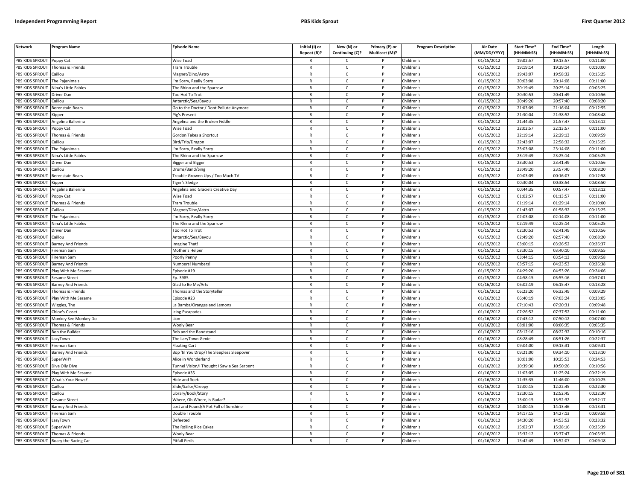| <b>Network</b>         | Program Name              | <b>Episode Name</b>                         | Initial (I) or<br>Repeat (R)? | New (N) or<br>Continuing (C)? | Primary (P) or<br>Multicast (M)? | <b>Program Description</b> | Air Date<br>(MM/DD/YYYY) | Start Time*<br>(HH:MM:SS) | End Time <sup>®</sup><br>(HH:MM:SS) | Length<br>(HH:MM:SS) |
|------------------------|---------------------------|---------------------------------------------|-------------------------------|-------------------------------|----------------------------------|----------------------------|--------------------------|---------------------------|-------------------------------------|----------------------|
| PBS KIDS SPROUT        | Poppy Cat                 | Wise Toad                                   |                               | C                             |                                  | Children's                 | 01/15/2012               | 19:02:57                  | 19:13:57                            | 00:11:00             |
| PBS KIDS SPROUT        | Thomas & Friends          | <b>Tram Trouble</b>                         | $\mathsf{R}$                  | $\mathsf{C}$                  | $\mathsf{P}$                     | Children's                 | 01/15/2012               | 19:19:14                  | 19:29:14                            | 00:10:00             |
| PBS KIDS SPROUT        | Caillou                   | Magnet/Dino/Astro                           | $\mathsf{R}$                  | $\mathsf{C}$                  | P                                | Children's                 | 01/15/2012               | 19:43:07                  | 19:58:32                            | 00:15:25             |
| <b>PBS KIDS SPROUT</b> | The Pajanimals            | 'm Sorry, Really Sorry                      | $\mathbb{R}$                  | $\mathsf{C}$                  | P                                | Children's                 | 01/15/2012               | 20:03:08                  | 20:14:08                            | 00:11:00             |
| PBS KIDS SPROUT        | Nina's Little Fables      | The Rhino and the Sparrow                   | $\mathsf{R}$                  | $\mathsf{C}$                  | P                                | Children's                 | 01/15/2012               | 20:19:49                  | 20:25:14                            | 00:05:25             |
| PBS KIDS SPROUT        | Driver Dan                | <b>Too Hot To Trot</b>                      | $\mathsf{R}$                  | $\mathsf{C}$                  |                                  | Children's                 | 01/15/2012               | 20:30:53                  | 20:41:49                            | 00:10:56             |
| PBS KIDS SPROUT        | Caillou                   | Antarctic/Sea/Bayou                         | R                             | C                             |                                  | Children's                 | 01/15/2012               | 20:49:20                  | 20:57:40                            | 00:08:20             |
| PBS KIDS SPROUT        | Berenstain Bears          | Go to the Doctor / Dont Pollute Anymore     | $\mathsf{R}$                  | $\mathsf{C}$                  | <b>D</b>                         | Children's                 | 01/15/2012               | 21:03:09                  | 21:16:04                            | 00:12:55             |
| PBS KIDS SPROUT        | <b>Kipper</b>             | <sup>p</sup> ig's Present                   | R                             | $\mathsf{C}$                  | P                                | Children's                 | 01/15/2012               | 21:30:04                  | 21:38:52                            | 00:08:48             |
| PBS KIDS SPROUT        | Angelina Ballerina        | Angelina and the Broken Fiddle              | $\mathsf{R}$                  | $\mathsf{C}$                  | <b>D</b>                         | Children's                 | 01/15/2012               | 21:44:35                  | 21:57:47                            | 00:13:12             |
| PBS KIDS SPROUT        | Poppy Cat                 | Wise Toad                                   | $\mathsf{R}$                  | $\mathsf{C}$                  | P                                | Children's                 | 01/15/2012               | 22:02:57                  | 22:13:57                            | 00:11:00             |
| PBS KIDS SPROUT        | Thomas & Friends          | Gordon Takes a Shortcut                     | $\mathsf{R}$                  | $\mathsf{C}$                  | <b>D</b>                         | Children's                 | 01/15/2012               | 22:19:14                  | 22:29:13                            | 00:09:59             |
| PBS KIDS SPROUT        | Caillou                   | Bird/Trip/Dragon                            | $\mathsf{R}$                  | $\mathsf{C}$                  | P                                | Children's                 | 01/15/2012               | 22:43:07                  | 22:58:32                            | 00:15:25             |
| PBS KIDS SPROUT        | The Pajanimals            | 'm Sorry, Really Sorry                      | $\mathsf{R}$                  | C                             |                                  | Children's                 | 01/15/2012               | 23:03:08                  | 23:14:08                            | 00:11:00             |
| PBS KIDS SPROUT        | Nina's Little Fables      | The Rhino and the Sparrow                   | $\mathsf{R}$                  | C                             | P                                | Children's                 | 01/15/2012               | 23:19:49                  | 23:25:14                            | 00:05:25             |
| PBS KIDS SPROUT        | Driver Dan                | Bigger and Bigger                           | $\mathsf{R}$                  | $\mathsf{C}$                  | P                                | Children's                 | 01/15/2012               | 23:30:53                  | 23:41:49                            | 00:10:56             |
| PBS KIDS SPROUT        | Caillou                   | Drums/Band/Sing                             | $\mathsf{R}$                  | $\mathsf{C}$                  | $\mathsf{P}$                     | Children's                 | 01/15/2012               | 23:49:20                  | 23:57:40                            | 00:08:20             |
| PBS KIDS SPROUT        | Berenstain Bears          | Frouble Grownn Ups / Too Much TV            | $\mathsf{R}$                  | $\mathsf{C}$                  | P                                | Children's                 | 01/15/2012               | 00:03:09                  | 00:16:07                            | 00:12:58             |
| PBS KIDS SPROUT        | <b>Sipper</b>             | <b>Figer's Sledge</b>                       | $\mathbb{R}$                  | $\mathsf{C}$                  | P                                | Children's                 | 01/15/2012               | 00:30:04                  | 00:38:54                            | 00:08:50             |
| PBS KIDS SPROUT        | Angelina Ballerina        | Angelina and Gracie's Creative Day          | $\mathsf{R}$                  | C                             | P                                | Children's                 | 01/15/2012               | 00:44:35                  | 00:57:47                            | 00:13:12             |
| PBS KIDS SPROUT        | Poppy Cat                 | Wise Toad                                   | $\mathsf{R}$                  | $\mathsf{C}$                  | P                                | Children's                 | 01/15/2012               | 01:02:57                  | 01:13:57                            | 00:11:00             |
| PBS KIDS SPROUT        | Thomas & Friends          | Tram Trouble                                | $\mathsf{R}$                  | $\mathsf{C}$                  |                                  | Children's                 | 01/15/2012               | 01:19:14                  | 01:29:14                            | 00:10:00             |
| PBS KIDS SPROUT        | Caillou                   | Magnet/Dino/Astro                           | $\mathsf{R}$                  | $\mathsf{C}$                  | <b>D</b>                         | Children's                 | 01/15/2012               | 01:43:07                  | 01:58:32                            | 00:15:25             |
| PBS KIDS SPROUT        | The Pajanimals            | 'm Sorry, Really Sorry                      | R                             | C                             | P                                | Children's                 | 01/15/2012               | 02:03:08                  | 02:14:08                            | 00:11:00             |
| PBS KIDS SPROUT        | Nina's Little Fables      | The Rhino and the Sparrow                   | $\mathbb{R}$                  | $\mathsf{C}$                  | <b>D</b>                         | Children's                 | 01/15/2012               | 02:19:49                  | 02:25:14                            | 00:05:25             |
| PBS KIDS SPROUT        | Driver Dan                | Too Hot To Trot                             | $\mathsf{R}$                  | $\mathsf{C}$                  | P                                | Children's                 | 01/15/2012               | 02:30:53                  | 02:41:49                            | 00:10:56             |
| PBS KIDS SPROUT        | Caillou                   | Antarctic/Sea/Bayou                         | $\mathsf{R}$                  | $\mathsf{C}$                  | P                                | Children's                 | 01/15/2012               | 02:49:20                  | 02:57:40                            | 00:08:20             |
| <b>PBS KIDS SPROUT</b> | <b>Barney And Friends</b> | magine That!                                | $\mathsf{R}$                  | $\mathsf{C}$                  | P                                | Children's                 | 01/15/2012               | 03:00:15                  | 03:26:52                            | 00:26:37             |
| PBS KIDS SPROUT        | Fireman Sam               | Mother's Helper                             | $\mathsf{R}$                  | $\mathsf{C}$                  |                                  | Children's                 | 01/15/2012               | 03:30:15                  | 03:40:10                            | 00:09:55             |
| PBS KIDS SPROUT        | Fireman Sam               | Poorly Penny                                | $\mathsf{R}$                  | C                             | P                                | Children's                 | 01/15/2012               | 03:44:15                  | 03:54:13                            | 00:09:58             |
| PBS KIDS SPROUT        | <b>Barney And Friends</b> | Numbers! Numbers!                           | $\mathsf{R}$                  | $\mathsf{C}$                  | P                                | Children's                 | 01/15/2012               | 03:57:15                  | 04:23:53                            | 00:26:38             |
| PBS KIDS SPROUT        | Play With Me Sesame       | Episode #19                                 | $\mathsf{R}$                  | $\mathsf{C}$                  | P                                | Children's                 | 01/15/2012               | 04:29:20                  | 04:53:26                            | 00:24:06             |
| PBS KIDS SPROUT        | Sesame Street             | Ep. 3985                                    | $\mathsf{R}$                  | $\mathsf{C}$                  | P                                | Children's                 | 01/15/2012               | 04:58:15                  | 05:55:16                            | 00:57:01             |
| PBS KIDS SPROUT        | <b>Barney And Friends</b> | Glad to Be Me/Arts                          | $\mathsf{R}$                  | C                             | P                                | Children's                 | 01/16/2012               | 06:02:19                  | 06:15:47                            | 00:13:28             |
| PBS KIDS SPROUT        | Thomas & Friends          | Thomas and the Storyteller                  | $\mathsf{R}$                  | C                             | P                                | Children's                 | 01/16/2012               | 06:23:20                  | 06:32:49                            | 00:09:29             |
| PBS KIDS SPROUT        | Play With Me Sesame       | Episode #23                                 | $\mathsf{R}$                  | $\mathsf{C}$                  | P                                | Children's                 | 01/16/2012               | 06:40:19                  | 07:03:24                            | 00:23:05             |
| PBS KIDS SPROUT        | Wiggles, The              | a Bamba/Oranges and Lemons                  | $\mathsf{R}$                  | $\mathsf{C}$                  |                                  | Children's                 | 01/16/2012               | 07:10:43                  | 07:20:31                            | 00:09:48             |
| PBS KIDS SPROUT        | Chloe's Closet            | cing Escapades                              | $\mathsf{R}$                  | $\mathsf{C}$                  | <b>D</b>                         | Children's                 | 01/16/2012               | 07:26:52                  | 07:37:52                            | 00:11:00             |
| PBS KIDS SPROUT        | Monkey See Monkey Do      | Lion                                        | $\mathsf{R}$                  | $\mathsf{C}$                  | P                                | Children's                 | 01/16/2012               | 07:43:12                  | 07:50:12                            | 00:07:00             |
| PBS KIDS SPROUT        | Thomas & Friends          | Wooly Bear                                  | $\mathsf{R}$                  | $\mathsf{C}$                  | <b>D</b>                         | Children's                 | 01/16/2012               | 08:01:00                  | 08:06:35                            | 00:05:35             |
| PBS KIDS SPROUT        | <b>Bob the Builder</b>    | Bob and the Bandstand                       | $\mathsf{R}$                  | $\mathsf{C}$                  | P                                | Children's                 | 01/16/2012               | 08:12:16                  | 08:22:32                            | 00:10:16             |
| PBS KIDS SPROUT        | LazyTown                  | The LazyTown Genie                          | $\mathsf{R}$                  | $\mathsf{C}$                  |                                  | Children's                 | 01/16/2012               | 08:28:49                  | 08:51:26                            | 00:22:37             |
| PBS KIDS SPROUT        | Fireman Sam               | <b>Floating Cart</b>                        | $\mathsf{R}$                  | $\mathsf{C}$                  | P                                | Children's                 | 01/16/2012               | 09:04:00                  | 09:13:31                            | 00:09:31             |
| PBS KIDS SPROUT        | Barney And Friends        | Bop 'til You Drop/The Sleepless Sleepover   | $\mathsf{R}$                  | $\mathsf{C}$                  | P<br>P                           | Children's                 | 01/16/2012               | 09:21:00                  | 09:34:10                            | 00:13:10             |
| PBS KIDS SPROUT        | SuperWHY                  | Alice in Wonderland                         | $\mathsf{R}$                  | $\mathsf{C}$                  |                                  | Children's                 | 01/16/2012               | 10:01:00                  | 10:25:53                            | 00:24:53             |
| PBS KIDS SPROUT        | Dive Olly Dive            | Funnel Vision/I Thought I Saw a Sea Serpent | $\mathsf{R}$                  | $\mathsf{C}$                  | P                                | Children's                 | 01/16/2012               | 10:39:30                  | 10:50:26                            | 00:10:56             |
| PBS KIDS SPROUT        | Play With Me Sesame       | Episode #35                                 | $\mathsf{R}$                  | $\mathsf{C}$                  |                                  | Children's                 | 01/16/2012               | 11:03:05                  | 11:25:24                            | 00:22:19             |
| PBS KIDS SPROUT        | What's Your News?         | <b>Hide and Seek</b>                        | $\mathsf{R}$                  | $\mathsf{C}$                  | P                                | Children's                 | 01/16/2012               | 11:35:35                  | 11:46:00                            | 00:10:25             |
| PBS KIDS SPROUT        | Caillou                   | Slide/Sailor/Creepy                         | $\mathsf{R}$                  | C                             | P                                | Children's                 | 01/16/2012               | 12:00:15                  | 12:22:45                            | 00:22:30             |
| PBS KIDS SPROUT        | Caillou                   | ibrary/Book/Story                           | $\mathsf{R}$                  | $\mathsf{C}$                  | P                                | Children's                 | 01/16/2012               | 12:30:15                  | 12:52:45                            | 00:22:30             |
| PBS KIDS SPROUT        | Sesame Street             | Where, Oh Where, is Radar?                  |                               | N                             | P                                | Children's                 | 01/16/2012               | 13:00:15                  | 13:52:32                            | 00:52:17             |
| PBS KIDS SPROUT        | <b>Barney And Friends</b> | Lost and Found/A Pot Full of Sunshine       | $\mathsf{R}$<br>$\mathsf{R}$  | $\mathsf{C}$                  | D                                | Children's                 | 01/16/2012               | 14:00:15                  | 14:13:46                            | 00:13:31             |
| PBS KIDS SPROUT        | Fireman Sam               | Double Trouble                              |                               | $\mathsf{C}$                  | P                                | Children's                 | 01/16/2012               | 14:17:15                  | 14:27:13                            | 00:09:58             |
| PBS KIDS SPROUT        | LazyTown                  | Defeeted                                    | R<br>$\mathsf{R}$             | $\mathsf{C}$                  |                                  | Children's                 | 01/16/2012               | 14:30:20                  | 14:53:52                            | 00:23:32             |
| PBS KIDS SPROUT        | <b>SuperWHY</b>           | The Rolling Rice Cakes                      |                               | $\mathsf{C}$                  |                                  | Children's                 | 01/16/2012               | 15:02:37                  | 15:28:16                            | 00:25:39             |
| PBS KIDS SPROUT        | Thomas & Friends          | Wooly Bear                                  | $\mathsf{R}$<br>$\mathsf{R}$  | C<br>$\mathsf{C}$             | P<br>D                           | Children's                 | 01/16/2012               | 15:32:12                  | 15:37:47                            | 00:05:35             |
| PBS KIDS SPROUT        | Roary the Racing Car      | Pitfall Perils                              |                               |                               |                                  | Children's                 | 01/16/2012               | 15:42:49                  | 15:52:07                            | 00:09:18             |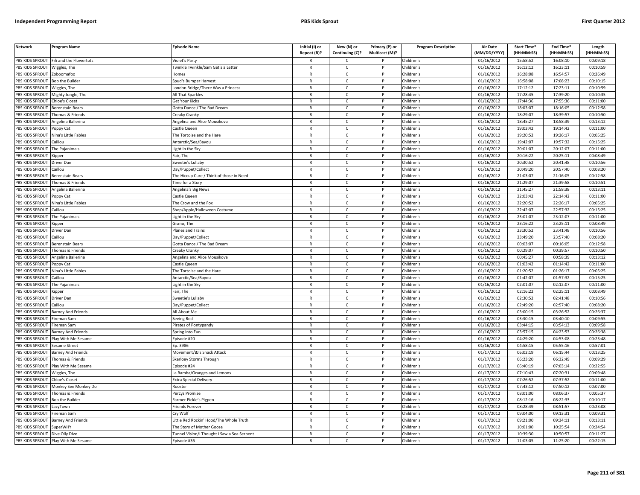| <b>Network</b>  | <b>Program Name</b>       | <b>Episode Name</b>                         | Initial (I) or<br>Repeat (R)? | New (N) or<br>Continuing (C)? | Primary (P) or<br>Multicast (M)? | <b>Program Description</b> | <b>Air Date</b><br>(MM/DD/YYYY) | Start Time*<br>(HH:MM:SS) | End Time*<br>(HH:MM:SS) | Length<br>(HH:MM:SS) |
|-----------------|---------------------------|---------------------------------------------|-------------------------------|-------------------------------|----------------------------------|----------------------------|---------------------------------|---------------------------|-------------------------|----------------------|
| PBS KIDS SPROUT | Fifi and the Flowertots   | Violet's Party                              |                               | $\mathsf{C}$                  |                                  | Children's                 | 01/16/2012                      | 15:58:52                  | 16:08:10                | 00:09:18             |
| PBS KIDS SPROUT | Wiggles, The              | Twinkle Twinkle/Sam Get's a Letter          | $\mathsf{R}$                  | $\mathsf{C}$                  | P                                | Children's                 | 01/16/2012                      | 16:12:12                  | 16:23:11                | 00:10:59             |
| PBS KIDS SPROUT | Zoboomafoo                | Homes                                       | $\mathsf{R}$                  | $\mathsf{C}$                  |                                  | Children's                 | 01/16/2012                      | 16:28:08                  | 16:54:57                | 00:26:49             |
| PBS KIDS SPROUT | <b>Bob the Builder</b>    | Spud's Bumper Harvest                       | $\mathsf{R}$                  | $\mathsf{C}$                  | D                                | Children's                 | 01/16/2012                      | 16:58:08                  | 17:08:23                | 00:10:15             |
| PBS KIDS SPROUT | Wiggles, The              | London Bridge/There Was a Princess          | $\mathsf{R}$                  | c                             |                                  | Children's                 | 01/16/2012                      | 17:12:12                  | 17:23:11                | 00:10:59             |
| PBS KIDS SPROUT | Mighty Jungle, The        | All That Sparkles                           | $\mathsf{R}$                  | $\mathsf{C}$                  | P                                | Children's                 | 01/16/2012                      | 17:28:45                  | 17:39:20                | 00:10:35             |
| PBS KIDS SPROUT | Chloe's Closet            | Get Your Kicks                              | $\mathsf{R}$                  | C                             | P                                | Children's                 | 01/16/2012                      | 17:44:36                  | 17:55:36                | 00:11:00             |
| PBS KIDS SPROUT | Berenstain Bears          | Gotta Dance / The Bad Dream                 | ${\sf R}$                     | $\mathsf{C}$                  | <b>D</b>                         | Children's                 | 01/16/2012                      | 18:03:07                  | 18:16:05                | 00:12:58             |
| PBS KIDS SPROUT | Thomas & Friends          | Creaky Cranky                               | ${\sf R}$                     | $\mathsf{C}$                  | P                                | Children's                 | 01/16/2012                      | 18:29:07                  | 18:39:57                | 00:10:50             |
| PBS KIDS SPROUT | Angelina Ballerina        | Angelina and Alice Mousikova                | $\mathsf{R}$                  | $\mathsf{C}$                  |                                  | Children's                 | 01/16/2012                      | 18:45:27                  | 18:58:39                | 00:13:12             |
| PBS KIDS SPROUT | Poppy Cat                 | Castle Queen                                | $\mathsf{R}$                  | C                             | P                                | Children's                 | 01/16/2012                      | 19:03:42                  | 19:14:42                | 00:11:00             |
| PBS KIDS SPROUT | Nina's Little Fables      | The Tortoise and the Hare                   | $\mathsf{R}$                  | $\mathsf{C}$                  | P                                | Children's                 | 01/16/2012                      | 19:20:52                  | 19:26:17                | 00:05:25             |
| PBS KIDS SPROUT | Caillou                   | Antarctic/Sea/Bayou                         | $\mathsf{R}$                  | $\mathsf{C}$                  | $\mathsf{P}$                     | Children's                 | 01/16/2012                      | 19:42:07                  | 19:57:32                | 00:15:25             |
| PBS KIDS SPROUT | The Pajanimals            | ight in the Sky                             | $\mathsf{R}$                  | C                             |                                  | Children's                 | 01/16/2012                      | 20:01:07                  | 20:12:07                | 00:11:00             |
| PBS KIDS SPROUT | <b>Kipper</b>             | Fair, The                                   | $\mathsf{R}$                  | $\mathsf{C}$                  | P                                | Children's                 | 01/16/2012                      | 20:16:22                  | 20:25:11                | 00:08:49             |
| PBS KIDS SPROUT | Driver Dan                | Sweetie's Lullaby                           | $\mathsf{R}$                  | $\mathsf{C}$                  | P                                | Children's                 | 01/16/2012                      | 20:30:52                  | 20:41:48                | 00:10:56             |
| PBS KIDS SPROUT | Caillou                   | Day/Puppet/Collect                          | $\mathsf{R}$                  | $\mathsf{C}$                  | P                                | Children's                 | 01/16/2012                      | 20:49:20                  | 20:57:40                | 00:08:20             |
| PBS KIDS SPROUT | Berenstain Bears          | The Hiccup Cure / Think of those in Need    | $\mathsf{R}$                  | $\mathsf{C}$                  |                                  | Children's                 | 01/16/2012                      | 21:03:07                  | 21:16:05                | 00:12:58             |
| PBS KIDS SPROUT | Thomas & Friends          | <b>Time for a Story</b>                     | $\mathsf{R}$                  | $\mathsf{C}$                  | P                                | Children's                 | 01/16/2012                      | 21:29:07                  | 21:39:58                | 00:10:51             |
| PBS KIDS SPROUT | Angelina Ballerina        | Angelina's Big News                         | $\mathsf{R}$                  | $\mathsf{C}$                  | P                                | Children's                 | 01/16/2012                      | 21:45:27                  | 21:58:38                | 00:13:11             |
| PBS KIDS SPROUT | oppy Cat                  | Castle Queen                                | $\mathsf{R}$                  | $\mathsf{C}$                  | P                                | Children's                 | 01/16/2012                      | 22:03:42                  | 22:14:42                | 00:11:00             |
| PBS KIDS SPROUT | Nina's Little Fables      | The Crow and the Fox                        | $\mathsf{R}$                  | $\mathsf{C}$                  |                                  | Children's                 | 01/16/2012                      | 22:20:52                  | 22:26:17                | 00:05:25             |
| PBS KIDS SPROUT | Caillou                   | Shop/Apple/Halloween Costume                | $\mathsf{R}$                  | $\mathsf{C}$                  | D                                | Children's                 | 01/16/2012                      | 22:42:07                  | 22:57:32                | 00:15:25             |
| PBS KIDS SPROUT | The Pajanimals            | Light in the Sky                            | $\mathsf{R}$                  | $\mathsf{C}$                  | P                                | Children's                 | 01/16/2012                      | 23:01:07                  | 23:12:07                | 00:11:00             |
| PBS KIDS SPROUT | .ipper                    | Gismo, The                                  | $\mathsf{R}$                  | $\mathsf{C}$                  |                                  | Children's                 | 01/16/2012                      | 23:16:22                  | 23:25:11                | 00:08:49             |
| PBS KIDS SPROUT | Driver Dan                | Planes and Trains                           | $\mathsf{R}$                  | $\mathsf{C}$                  | P                                | Children's                 | 01/16/2012                      | 23:30:52                  | 23:41:48                | 00:10:56             |
| PBS KIDS SPROUT | Caillou                   | Day/Puppet/Collect                          | $\mathsf{R}$                  | $\mathsf{C}$                  |                                  | Children's                 | 01/16/2012                      | 23:49:20                  | 23:57:40                | 00:08:20             |
| PBS KIDS SPROUT | Berenstain Bears          | Gotta Dance / The Bad Dream                 | $\mathsf{R}$                  | $\mathsf{C}$                  | P                                | Children's                 | 01/16/2012                      | 00:03:07                  | 00:16:05                | 00:12:58             |
| PBS KIDS SPROUT | Thomas & Friends          | Creaky Cranky                               | R                             | $\mathsf{C}$                  |                                  | Children's                 | 01/16/2012                      | 00:29:07                  | 00:39:57                | 00:10:50             |
| PBS KIDS SPROUT | Angelina Ballerina        | Angelina and Alice Mousikova                | $\mathsf{R}$                  | C                             | P                                | Children's                 | 01/16/2012                      | 00:45:27                  | 00:58:39                | 00:13:12             |
| PBS KIDS SPROUT | Poppy Cat                 | Castle Queen                                | $\mathsf{R}$                  | $\mathsf{C}$                  | P                                | Children's                 | 01/16/2012                      | 01:03:42                  | 01:14:42                | 00:11:00             |
| PBS KIDS SPROUT | Nina's Little Fables      | The Tortoise and the Hare                   | $\mathsf{R}$                  | $\mathsf{C}$                  | P                                | Children's                 | 01/16/2012                      | 01:20:52                  | 01:26:17                | 00:05:25             |
| PBS KIDS SPROUT | Caillou                   | Antarctic/Sea/Bayou                         | $\mathsf{R}$                  | $\mathsf{C}$                  | P                                | Children's                 | 01/16/2012                      | 01:42:07                  | 01:57:32                | 00:15:25             |
| PBS KIDS SPROUT | The Pajanimals            | Light in the Sky                            | $\mathsf{R}$                  | $\mathsf{C}$                  | P                                | Children's                 | 01/16/2012                      | 02:01:07                  | 02:12:07                | 00:11:00             |
| PBS KIDS SPROUT | <b>Kipper</b>             | Fair, The                                   | $\mathsf{R}$                  | $\mathsf{C}$                  | P                                | Children's                 | 01/16/2012                      | 02:16:22                  | 02:25:11                | 00:08:49             |
| PBS KIDS SPROUT | Driver Dan                | Sweetie's Lullaby                           | $\mathsf{R}$                  | $\mathsf{C}$                  | P                                | Children's                 | 01/16/2012                      | 02:30:52                  | 02:41:48                | 00:10:56             |
| PBS KIDS SPROUT | Caillou                   | Day/Puppet/Collect                          | $\mathsf{R}$                  | C                             |                                  | Children's                 | 01/16/2012                      | 02:49:20                  | 02:57:40                | 00:08:20             |
| PBS KIDS SPROUT | Barney And Friends        | All About Me                                | $\mathsf{R}$                  | $\mathsf{C}$                  | <b>D</b>                         | Children's                 | 01/16/2012                      | 03:00:15                  | 03:26:52                | 00:26:37             |
| PBS KIDS SPROUT | Fireman Sam               | Seeing Red                                  | $\mathsf{R}$                  | $\mathsf{C}$                  | P                                | Children's                 | 01/16/2012                      | 03:30:15                  | 03:40:10                | 00:09:55             |
| PBS KIDS SPROUT | Fireman Sam               | Pirates of Pontypandy                       | $\mathsf{R}$                  | $\mathsf{C}$                  | <b>D</b>                         | Children's                 | 01/16/2012                      | 03:44:15                  | 03:54:13                | 00:09:58             |
| PBS KIDS SPROUT | <b>Barney And Friends</b> | Spring Into Fun                             | $\mathsf{R}$                  | $\mathsf{C}$                  | P                                | Children's                 | 01/16/2012                      | 03:57:15                  | 04:23:53                | 00:26:38             |
| PBS KIDS SPROUT | Play With Me Sesame       | Episode #20                                 | $\mathsf{R}$                  | $\mathsf{C}$                  |                                  | Children's                 | 01/16/2012                      | 04:29:20                  | 04:53:08                | 00:23:48             |
| PBS KIDS SPROUT | Sesame Street             | Ep. 3986                                    | $\mathsf{R}$                  | $\mathsf{C}$                  | P                                | Children's                 | 01/16/2012                      | 04:58:15                  | 05:55:16                | 00:57:01             |
| PBS KIDS SPROUT | Barney And Friends        | Movement/BJ's Snack Attack                  | $\mathsf{R}$                  | $\mathsf{C}$                  |                                  | Children's                 | 01/17/2012                      | 06:02:19                  | 06:15:44                | 00:13:25             |
| PBS KIDS SPROUT | Thomas & Friends          | <b>Skarloey Storms Through</b>              | $\mathsf{R}$                  | C                             | P                                | Children's                 | 01/17/2012                      | 06:23:20                  | 06:32:49                | 00:09:29             |
| PBS KIDS SPROUT | Play With Me Sesame       | pisode #24                                  | $\mathsf{R}$                  | $\mathsf{C}$                  | P                                | Children's                 | 01/17/2012                      | 06:40:19                  | 07:03:14                | 00:22:55             |
| PBS KIDS SPROUT | Wiggles, The              | La Bamba/Oranges and Lemons                 | $\mathsf{R}$                  | $\mathsf{C}$                  | $\mathsf{P}$                     | Children's                 | 01/17/2012                      | 07:10:43                  | 07:20:31                | 00:09:48             |
| PBS KIDS SPROUT | <b>Chloe's Closet</b>     | <b>Extra Special Delivery</b>               | $\mathsf{R}$                  | $\mathsf{C}$                  | P                                | Children's                 | 01/17/2012                      | 07:26:52                  | 07:37:52                | 00:11:00             |
| PBS KIDS SPROUT | Monkey See Monkey Do      | Rooster                                     | $\mathsf{R}$                  | C                             | P                                | Children's                 | 01/17/2012                      | 07:43:12                  | 07:50:12                | 00:07:00             |
| PBS KIDS SPROUT | Thomas & Friends          | Percys Promise                              | $\mathsf{R}$                  | $\mathsf{C}$                  | P                                | Children's                 | 01/17/2012                      | 08:01:00                  | 08:06:37                | 00:05:37             |
| PBS KIDS SPROUT | <b>Bob the Builder</b>    | Farmer Pickle's Pigpen                      | $\mathsf{R}$                  | $\mathsf{C}$                  | P                                | Children's                 | 01/17/2012                      | 08:12:16                  | 08:22:33                | 00:10:17             |
| PBS KIDS SPROUT | LazyTown                  | Friends Forever                             | $\mathsf{R}$                  | $\mathsf{C}$                  |                                  | Children's                 | 01/17/2012                      | 08:28:49                  | 08:51:57                | 00:23:08             |
| PBS KIDS SPROUT | Fireman Sam               | Cry Wolf                                    | $\mathsf{R}$                  | $\mathsf{C}$                  | D                                | Children's                 | 01/17/2012                      | 09:04:00                  | 09:13:31                | 00:09:31             |
| PBS KIDS SPROUT | <b>Barney And Friends</b> | Little Red Rockin' Hood/The Whole Truth     | R                             | $\mathsf{C}$                  | P                                | Children's                 | 01/17/2012                      | 09:21:00                  | 09:34:11                | 00:13:11             |
| PBS KIDS SPROUT | <b>SuperWHY</b>           | The Story of Mother Goose                   | $\mathsf{R}$                  | $\mathsf{C}$                  |                                  | Children's                 | 01/17/2012                      | 10:01:00                  | 10:25:54                | 00:24:54             |
| PBS KIDS SPROUT | Dive Olly Dive            | Tunnel Vision/I Thought I Saw a Sea Serpent | $\mathsf{R}$                  | C                             | P                                | Children's                 | 01/17/2012                      | 10:39:30                  | 10:50:57                | 00:11:27             |
| PBS KIDS SPROUT | Play With Me Sesame       | Episode #36                                 | $\mathsf{R}$                  | $\mathsf{C}$                  | D                                | Children's                 | 01/17/2012                      | 11:03:05                  | 11:25:20                | 00:22:15             |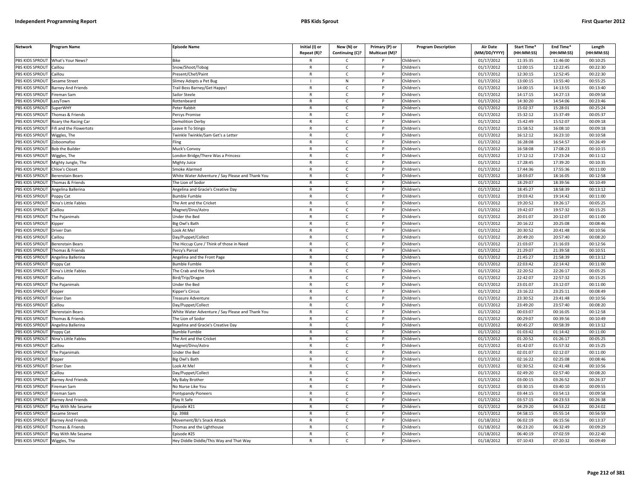| <b>Network</b>         | Program Name              | Episode Name                                     | Initial (I) or<br>Repeat (R)? | New (N) or<br>Continuing (C)? | Primary (P) or<br>Multicast (M)? | <b>Program Description</b> | <b>Air Date</b><br>(MM/DD/YYYY) | <b>Start Time*</b><br>(HH:MM:SS) | End Time*<br>(HH:MM:SS) | Length<br>(HH:MM:SS) |
|------------------------|---------------------------|--------------------------------------------------|-------------------------------|-------------------------------|----------------------------------|----------------------------|---------------------------------|----------------------------------|-------------------------|----------------------|
| PBS KIDS SPROUT        | What's Your News?         | <b>Bike</b>                                      |                               | C                             |                                  | Children's                 | 01/17/2012                      | 11:35:35                         | 11:46:00                | 00:10:25             |
| PBS KIDS SPROUT        | Caillou                   | Snow/Shoot/Tobog                                 | $\mathsf{R}$                  | $\mathsf{C}$                  | $\mathsf{P}$                     | Children's                 | 01/17/2012                      | 12:00:15                         | 12:22:45                | 00:22:30             |
| PBS KIDS SPROUT        | Caillou                   | Present/Chef/Paint                               | $\mathsf{R}$                  | $\mathsf{C}$                  | P                                | Children's                 | 01/17/2012                      | 12:30:15                         | 12:52:45                | 00:22:30             |
| <b>PBS KIDS SPROUT</b> | Sesame Street             | Slimey Adopts a Pet Bug                          |                               | N                             | P                                | Children's                 | 01/17/2012                      | 13:00:15                         | 13:55:40                | 00:55:25             |
| PBS KIDS SPROUT        | <b>Barney And Friends</b> | Trail Boss Barney/Get Happy                      | $\mathsf{R}$                  | $\mathsf{C}$                  | P                                | Children's                 | 01/17/2012                      | 14:00:15                         | 14:13:55                | 00:13:40             |
| PBS KIDS SPROUT        | Fireman Sam               | Sailor Steele                                    | $\mathsf{R}$                  | $\mathsf{C}$                  | P                                | Children's                 | 01/17/2012                      | 14:17:15                         | 14:27:13                | 00:09:58             |
| PBS KIDS SPROUT        | LazyTown                  | Rottenbeard                                      | R                             | C                             |                                  | Children's                 | 01/17/2012                      | 14:30:20                         | 14:54:06                | 00:23:46             |
| PBS KIDS SPROUT        | SuperWHY                  | Peter Rabbit                                     | $\mathsf{R}$                  | $\mathsf{C}$                  | <b>D</b>                         | Children's                 | 01/17/2012                      | 15:02:37                         | 15:28:01                | 00:25:24             |
| PBS KIDS SPROUT        | Thomas & Friends          | Percys Promise                                   | R                             | C                             | P                                | Children's                 | 01/17/2012                      | 15:32:12                         | 15:37:49                | 00:05:37             |
| PBS KIDS SPROUT        | Roary the Racing Car      | Demolition Derby                                 | $\mathsf{R}$                  | $\mathsf{C}$                  | P                                | Children's                 | 01/17/2012                      | 15:42:49                         | 15:52:07                | 00:09:18             |
| PBS KIDS SPROUT        | Fifi and the Flowertots   | Leave It To Stingo                               | $\mathsf{R}$                  | $\mathsf{C}$                  | P                                | Children's                 | 01/17/2012                      | 15:58:52                         | 16:08:10                | 00:09:18             |
| PBS KIDS SPROUT        | Wiggles, The              | Twinkle Twinkle/Sam Get's a Letter               | $\mathsf{R}$                  | $\mathsf{C}$                  | <b>D</b>                         | Children's                 | 01/17/2012                      | 16:12:12                         | 16:23:10                | 00:10:58             |
| PBS KIDS SPROUT        | Zoboomafoo                | Fling                                            | $\mathsf{R}$                  | $\mathsf{C}$                  | P                                | Children's                 | 01/17/2012                      | 16:28:08                         | 16:54:57                | 00:26:49             |
| PBS KIDS SPROUT        | Bob the Builder           | Muck's Convoy                                    | $\mathsf{R}$                  | C                             |                                  | Children's                 | 01/17/2012                      | 16:58:08                         | 17:08:23                | 00:10:15             |
| PBS KIDS SPROUT        | Niggles, The              | London Bridge/There Was a Princess               | $\mathsf{R}$                  | C                             | P                                | Children's                 | 01/17/2012                      | 17:12:12                         | 17:23:24                | 00:11:12             |
| PBS KIDS SPROUT        | Mighty Jungle, The        | Mighty Juice                                     | $\mathsf{R}$                  | $\mathsf{C}$                  | P                                | Children's                 | 01/17/2012                      | 17:28:45                         | 17:39:20                | 00:10:35             |
| PBS KIDS SPROUT        | <b>Chloe's Closet</b>     | Smoke Alarmed                                    | $\mathsf{R}$                  | $\mathsf{C}$                  | P                                | Children's                 | 01/17/2012                      | 17:44:36                         | 17:55:36                | 00:11:00             |
| PBS KIDS SPROUT        | <b>Berenstain Bears</b>   | White Water Adventure / Say Please and Thank You | $\mathsf{R}$                  | $\mathsf{C}$                  | P                                | Children's                 | 01/17/2012                      | 18:03:07                         | 18:16:05                | 00:12:58             |
| PBS KIDS SPROUT        | Thomas & Friends          | The Lion of Sodor                                | $\mathbb{R}$                  | $\mathsf{C}$                  | P                                | Children's                 | 01/17/2012                      | 18:29:07                         | 18:39:56                | 00:10:49             |
| PBS KIDS SPROUT        | Angelina Ballerina        | Angelina and Gracie's Creative Day               | $\mathsf{R}$                  | C                             | P                                | Children's                 | 01/17/2012                      | 18:45:27                         | 18:58:39                | 00:13:12             |
| PBS KIDS SPROUT        | Poppy Cat                 | Bumble Fumble                                    | $\mathsf{R}$                  | $\mathsf{C}$                  | P                                | Children's                 | 01/17/2012                      | 19:03:42                         | 19:14:42                | 00:11:00             |
| PBS KIDS SPROUT        | Nina's Little Fables      | The Ant and the Cricket                          | $\mathsf{R}$                  | C                             |                                  | Children's                 | 01/17/2012                      | 19:20:52                         | 19:26:17                | 00:05:25             |
| PBS KIDS SPROUT        | Caillou                   | Magnet/Dino/Astro                                | $\mathsf{R}$                  | $\mathsf{C}$                  | P                                | Children's                 | 01/17/2012                      | 19:42:07                         | 19:57:32                | 00:15:25             |
| PBS KIDS SPROUT        | The Pajanimals            | Under the Bed                                    | R                             | C                             | P                                | Children's                 | 01/17/2012                      | 20:01:07                         | 20:12:07                | 00:11:00             |
| PBS KIDS SPROUT        | .ippeı                    | Big Owl's Bath                                   | $\mathsf{R}$                  | $\mathsf{C}$                  | P                                | Children's                 | 01/17/2012                      | 20:16:22                         | 20:25:08                | 00:08:46             |
| PBS KIDS SPROUT        | Driver Dan                | Look At Me!                                      | $\mathsf{R}$                  | $\mathsf{C}$                  | P                                | Children's                 | 01/17/2012                      | 20:30:52                         | 20:41:48                | 00:10:56             |
| PBS KIDS SPROUT        | Caillou                   | Day/Puppet/Collect                               | $\mathsf{R}$                  | $\mathsf{C}$                  |                                  | Children's                 | 01/17/2012                      | 20:49:20                         | 20:57:40                | 00:08:20             |
| PBS KIDS SPROUT        | Berenstain Bears          | The Hiccup Cure / Think of those in Need         | $\mathsf{R}$                  | $\mathsf{C}$                  | P                                | Children's                 | 01/17/2012                      | 21:03:07                         | 21:16:03                | 00:12:56             |
| PBS KIDS SPROUT        | Thomas & Friends          | Percy's Parcel                                   | $\mathsf{R}$                  | C                             | P                                | Children's                 | 01/17/2012                      | 21:29:07                         | 21:39:58                | 00:10:51             |
| PBS KIDS SPROUT        | Angelina Ballerina        | Angelina and the Front Page                      | $\mathsf{R}$                  | C                             | P                                | Children's                 | 01/17/2012                      | 21:45:27                         | 21:58:39                | 00:13:12             |
| PBS KIDS SPROUT        | Poppy Cat                 | <b>Bumble Fumble</b>                             | $\mathsf{R}$                  | $\mathsf{C}$                  | P                                | Children's                 | 01/17/2012                      | 22:03:42                         | 22:14:42                | 00:11:00             |
| PBS KIDS SPROUT        | Vina's Little Fables      | The Crab and the Stork                           | $\mathsf{R}$                  | $\mathsf{C}$                  | P                                | Children's                 | 01/17/2012                      | 22:20:52                         | 22:26:17                | 00:05:25             |
| PBS KIDS SPROUT        | Caillou                   | Bird/Trip/Dragon                                 | $\mathsf{R}$                  | $\mathsf{C}$                  | P                                | Children's                 | 01/17/2012                      | 22:42:07                         | 22:57:32                | 00:15:25             |
| PBS KIDS SPROUT        | The Pajanimals            | Under the Bed                                    | $\mathsf{R}$                  | C                             | P                                | Children's                 | 01/17/2012                      | 23:01:07                         | 23:12:07                | 00:11:00             |
| PBS KIDS SPROUT        | <b>Kipper</b>             | <b>Kipper's Circus</b>                           | $\mathsf{R}$                  | C                             | P                                | Children's                 | 01/17/2012                      | 23:16:22                         | 23:25:11                | 00:08:49             |
| PBS KIDS SPROUT        | Driver Dan                | Treasure Adventure                               | $\mathsf{R}$                  | $\mathsf{C}$                  | P                                | Children's                 | 01/17/2012                      | 23:30:52                         | 23:41:48                | 00:10:56             |
| PBS KIDS SPROUT        | Caillou                   | Day/Puppet/Collect                               | $\mathsf{R}$                  | $\mathsf{C}$                  |                                  | Children's                 | 01/17/2012                      | 23:49:20                         | 23:57:40                | 00:08:20             |
| PBS KIDS SPROUT        | Berenstain Bears          | White Water Adventure / Say Please and Thank You | $\mathsf{R}$                  | $\mathsf{C}$                  | P                                | Children's                 | 01/17/2012                      | 00:03:07                         | 00:16:05                | 00:12:58             |
| PBS KIDS SPROUT        | Thomas & Friends          | The Lion of Sodor                                | R                             | c                             | P                                | Children's                 | 01/17/2012                      | 00:29:07                         | 00:39:56                | 00:10:49             |
| PBS KIDS SPROUT        | Angelina Ballerina        | Angelina and Gracie's Creative Day               | $\mathsf{R}$                  | $\epsilon$                    | P                                | Children's                 | 01/17/2012                      | 00:45:27                         | 00:58:39                | 00:13:12             |
| PBS KIDS SPROUT        | Poppy Cat                 | Bumble Fumble                                    | $\mathsf{R}$                  | C                             | P                                | Children's                 | 01/17/2012                      | 01:03:42                         | 01:14:42                | 00:11:00             |
| <b>PBS KIDS SPROUT</b> | Nina's Little Fables      | The Ant and the Cricket                          | $\mathsf{R}$                  | $\mathsf{C}$                  |                                  | Children's                 | 01/17/2012                      | 01:20:52                         | 01:26:17                | 00:05:25             |
| PBS KIDS SPROUT        | Caillou                   | Magnet/Dino/Astro                                | $\mathsf{R}$                  | $\mathsf{C}$                  | P                                | Children's                 | 01/17/2012                      | 01:42:07                         | 01:57:32                | 00:15:25             |
| PBS KIDS SPROUT        | The Pajanimals            | Under the Bed                                    | $\mathsf{R}$                  | C                             | P                                | Children's                 | 01/17/2012                      | 02:01:07                         | 02:12:07                | 00:11:00             |
| PBS KIDS SPROUT        | <b>Kipper</b>             | Big Owl's Bath                                   | $\mathsf{R}$                  | C                             | P                                | Children's                 | 01/17/2012                      | 02:16:22                         | 02:25:08                | 00:08:46             |
| PBS KIDS SPROUT        | Driver Dan                | ook At Me!                                       | $\mathsf{R}$                  | $\mathsf{C}$                  |                                  | Children's                 | 01/17/2012                      | 02:30:52                         | 02:41:48                | 00:10:56             |
| PBS KIDS SPROUT        | Caillou                   | Day/Puppet/Collect                               | R                             | $\mathsf{C}$                  | $\mathsf{P}$                     | Children's                 | 01/17/2012                      | 02:49:20                         | 02:57:40                | 00:08:20             |
| PBS KIDS SPROUT        | <b>Barney And Friends</b> | My Baby Brother                                  | $\mathsf{R}$                  | C                             | P                                | Children's                 | 01/17/2012                      | 03:00:15                         | 03:26:52                | 00:26:37             |
| PBS KIDS SPROUT        | Fireman Sam               | No Nurse Like You                                | $\mathsf{R}$                  | C                             | P                                | Children's                 | 01/17/2012                      | 03:30:15                         | 03:40:10                | 00:09:55             |
| PBS KIDS SPROUT        | Fireman Sam               | Pontypandy Pioneers                              | $\mathsf{R}$                  | C                             | P                                | Children's                 | 01/17/2012                      | 03:44:15                         | 03:54:13                | 00:09:58             |
| <b>PBS KIDS SPROUT</b> | Barney And Friends        | Play It Safe                                     | $\mathsf{R}$                  | $\mathsf{C}$                  | P                                | Children's                 | 01/17/2012                      | 03:57:15                         | 04:23:53                | 00:26:38             |
| PBS KIDS SPROUT        | Play With Me Sesame       | Episode #21                                      | $\mathsf{R}$                  | $\mathsf{C}$                  |                                  | Children's                 | 01/17/2012                      | 04:29:20                         | 04:53:22                | 00:24:02             |
| PBS KIDS SPROUT        | Sesame Street             | Ep. 3988                                         | $\mathsf{R}$                  | $\mathsf{C}$                  | D                                | Children's                 | 01/17/2012                      | 04:58:15                         | 05:55:14                | 00:56:59             |
| PBS KIDS SPROUT        | Barney And Friends        | Movement/BJ's Snack Attack                       | R                             | C                             | P                                | Children's                 | 01/18/2012                      | 06:02:19                         | 06:15:56                | 00:13:37             |
| PBS KIDS SPROUT        | Thomas & Friends          | Thomas and the Lighthouse                        | $\mathsf{R}$                  | $\mathsf{C}$                  |                                  | Children's                 | 01/18/2012                      | 06:23:20                         | 06:32:49                | 00:09:29             |
| PBS KIDS SPROUT        | Play With Me Sesame       | Episode #25                                      | $\mathsf{R}$                  | C                             | P                                | Children's                 | 01/18/2012                      | 06:40:19                         | 07:02:59                | 00:22:40             |
| PBS KIDS SPROUT        | Wiggles, The              | Hey Diddle Diddle/This Way and That Way          | $\mathsf{R}$                  | $\mathsf{C}$                  | D                                | Children's                 | 01/18/2012                      | 07:10:43                         | 07:20:32                | 00:09:49             |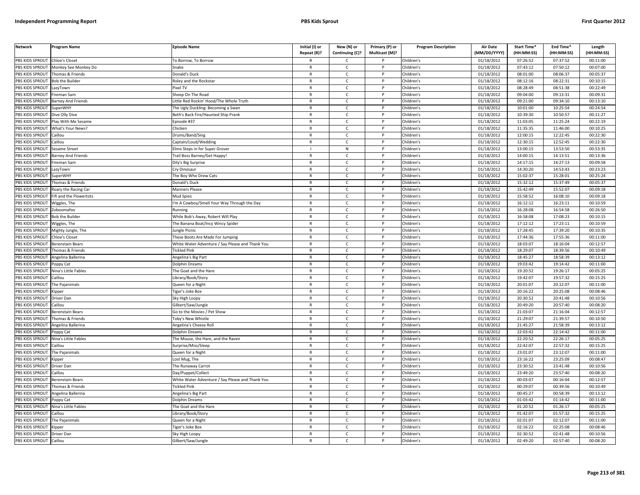| <b>Network</b>        | Program Name                                                                                                                                                                                                   | <b>Episode Name</b>                              | Initial (I) or<br>Repeat (R)? | New (N) or<br>Continuing (C)? | Primary (P) or<br>Multicast (M)? | <b>Program Description</b> | <b>Air Date</b><br>(MM/DD/YYYY) | <b>Start Time*</b><br>(HH:MM:SS) | End Time*<br>(HH:MM:SS) | Length<br>(HH:MM:SS) |
|-----------------------|----------------------------------------------------------------------------------------------------------------------------------------------------------------------------------------------------------------|--------------------------------------------------|-------------------------------|-------------------------------|----------------------------------|----------------------------|---------------------------------|----------------------------------|-------------------------|----------------------|
| PBS KIDS SPROUT       | <b>Chloe's Closet</b>                                                                                                                                                                                          | o Borrow, To Borrow                              |                               | C                             |                                  | Children's                 | 01/18/2012                      | 07:26:52                         | 07:37:52                | 00:11:00             |
| PBS KIDS SPROUT       | Monkey See Monkey Do                                                                                                                                                                                           | Snake                                            | $\mathsf{R}$                  | $\mathsf{C}$                  | P                                | Children's                 | 01/18/2012                      | 07:43:12                         | 07:50:12                | 00:07:00             |
| PBS KIDS SPROUT       | Thomas & Friends                                                                                                                                                                                               | Donald's Duck                                    | $\mathsf{R}$                  | $\mathsf{C}$                  | P                                | Children's                 | 01/18/2012                      | 08:01:00                         | 08:06:37                | 00:05:37             |
| PBS KIDS SPROUT       | <b>Bob the Builder</b>                                                                                                                                                                                         | Roley and the Rockstar                           | $\mathsf{R}$                  | $\mathsf{C}$                  | P                                | Children's                 | 01/18/2012                      | 08:12:16                         | 08:22:31                | 00:10:15             |
| PBS KIDS SPROUT       | LazyTown                                                                                                                                                                                                       | ixel TV                                          | R                             | C                             |                                  | Children's                 | 01/18/2012                      | 08:28:49                         | 08:51:38                | 00:22:49             |
| PBS KIDS SPROUT       | ireman Sam                                                                                                                                                                                                     | heep On The Road                                 | $\mathsf{R}$                  | $\mathsf{C}$                  |                                  | Children's                 | 01/18/2012                      | 09:04:00                         | 09:13:31                | 00:09:31             |
| <b>BS KIDS SPROUT</b> | <b>Barney And Friends</b>                                                                                                                                                                                      | ittle Red Rockin' Hood/The Whole Truth           | R                             | C                             |                                  | Children's                 | 01/18/2012                      | 09:21:00                         | 09:34:10                | 00:13:10             |
| PBS KIDS SPROUT       | <b>uperWHY</b>                                                                                                                                                                                                 | The Ugly Duckling: Becoming a Swar               | $\mathsf{R}$                  | $\mathsf{C}$                  | P                                | Children's                 | 01/18/2012                      | 10:01:00                         | 10:25:54                | 00:24:54             |
| PBS KIDS SPROUT       | Dive Olly Dive                                                                                                                                                                                                 | Beth's Back Fire/Haunted Ship Prank              | $\mathsf{R}$                  | $\mathsf{C}$                  | P                                | Children's                 | 01/18/2012                      | 10:39:30                         | 10:50:57                | 00:11:27             |
| PBS KIDS SPROUT       | lay With Me Sesame                                                                                                                                                                                             | pisode #37                                       | $\mathsf{R}$                  | $\mathsf{C}$                  | P                                | Children's                 | 01/18/2012                      | 11:03:05                         | 11:25:24                | 00:22:19             |
| PBS KIDS SPROUT       | What's Your News?                                                                                                                                                                                              | Chicken                                          | $\mathsf{R}$                  | $\mathsf{C}$                  | P                                | Children's                 | 01/18/2012                      | 11:35:35                         | 11:46:00                | 00:10:25             |
| PBS KIDS SPROUT       | aillou                                                                                                                                                                                                         | Drums/Band/Sing                                  | $\mathsf{R}$                  | $\mathsf{C}$                  | D                                | Children's                 | 01/18/2012                      | 12:00:15                         | 12:22:45                | 00:22:30             |
| PBS KIDS SPROUT       | Caillou                                                                                                                                                                                                        | Captain/Loud/Wedding                             | R                             | $\mathsf{C}$                  | $\mathsf{P}$                     | Children's                 | 01/18/2012                      | 12:30:15                         | 12:52:45                | 00:22:30             |
| PBS KIDS SPROUT       | esame Street                                                                                                                                                                                                   | Imo Steps in for Super Grover                    |                               | N                             | P                                | Children's                 | 01/18/2012                      | 13:00:15                         | 13:53:50                | 00:53:35             |
| PBS KIDS SPROUT       | <b>Barney And Friends</b>                                                                                                                                                                                      | Trail Boss Barney/Get Happy!                     | $\mathsf{R}$                  | $\mathsf{C}$                  | P                                | Children's                 | 01/18/2012                      | 14:00:15                         | 14:13:51                | 00:13:36             |
| PBS KIDS SPROUT       | ireman Sam                                                                                                                                                                                                     | Dily's Big Surprise                              | $\mathsf{R}$                  | $\mathsf{C}$                  | P                                | Children's                 | 01/18/2012                      | 14:17:15                         | 14:27:13                | 00:09:58             |
| PBS KIDS SPROUT       | .azyTown                                                                                                                                                                                                       | Cry Dinosaur                                     | $\mathsf{R}$                  | $\mathsf{C}$                  | P                                | Children's                 | 01/18/2012                      | 14:30:20                         | 14:53:43                | 00:23:23             |
| PBS KIDS SPROUT       | SuperWHY                                                                                                                                                                                                       | he Boy Who Drew Cats                             | $\mathsf{R}$                  | $\mathsf{C}$                  | P                                | Children's                 | 01/18/2012                      | 15:02:37                         | 15:28:01                | 00:25:24             |
| PBS KIDS SPROUT       | Thomas & Friends                                                                                                                                                                                               | Donald's Ducl                                    | $\mathsf{R}$                  | $\mathsf{C}$                  | P                                | Children's                 | 01/18/2012                      | 15:32:12                         | 15:37:49                | 00:05:37             |
| PBS KIDS SPROUT       | Roary the Racing Car                                                                                                                                                                                           | <b>Manners Please</b>                            | R                             | $\mathsf{C}$                  | P                                | Children's                 | 01/18/2012                      | 15:42:49                         | 15:52:07                | 00:09:18             |
| PBS KIDS SPROUT       | ifi and the Flowertots                                                                                                                                                                                         | Mud Spies                                        | $\mathsf{R}$                  | $\mathsf{C}$                  | P                                | Children's                 | 01/18/2012                      | 15:58:52                         | 16:08:10                | 00:09:18             |
| PBS KIDS SPROUT       | Wiggles, The                                                                                                                                                                                                   | 'm A Cowboy/Smell Your Way Through the Day       | R                             | $\mathsf{C}$                  |                                  | Children's                 | 01/18/2012                      | 16:12:12                         | 16:23:11                | 00:10:59             |
| PBS KIDS SPROUT       | Zoboomafoo                                                                                                                                                                                                     | Running                                          | $\mathsf{R}$                  | $\mathsf{C}$                  | D                                | Children's                 | 01/18/2012                      | 16:28:08                         | 16:54:58                | 00:26:50             |
| PBS KIDS SPROUT       | <b>Bob the Builder</b>                                                                                                                                                                                         | While Bob's Away, Robert Will Play               | R                             | C                             |                                  | Children's                 | 01/18/2012                      | 16:58:08                         | 17:08:23                | 00:10:15             |
| PBS KIDS SPROUT       | Viggles, The                                                                                                                                                                                                   | The Banana Boat/Incy Wincy Spider                | $\mathsf{R}$                  | $\mathsf{C}$                  | P                                | Children's                 | 01/18/2012                      | 17:12:12                         | 17:23:11                | 00:10:59             |
| PBS KIDS SPROUT       | Mighty Jungle, The                                                                                                                                                                                             | <b>Jungle Picnic</b>                             | $\mathsf{R}$                  | C                             | P                                | Children's                 | 01/18/2012                      | 17:28:45                         | 17:39:20                | 00:10:35             |
| PBS KIDS SPROUT       | Chloe's Closet                                                                                                                                                                                                 | These Boots Are Made For Jumping                 | $\mathsf{R}$                  | $\mathsf{C}$                  | P                                | Children's                 | 01/18/2012                      | 17:44:36                         | 17:55:36                | 00:11:00             |
| PBS KIDS SPROUT       | Berenstain Bears                                                                                                                                                                                               | White Water Adventure / Say Please and Thank You | $\mathsf{R}$                  | $\mathsf{C}$                  | $\mathsf{P}$                     | Children's                 | 01/18/2012                      | 18:03:07                         | 18:16:04                | 00:12:57             |
| PBS KIDS SPROUT       | homas & Friends                                                                                                                                                                                                | ickled Pinl                                      | ${\sf R}$                     | $\mathsf{C}$                  | P                                | Children's                 | 01/18/2012                      | 18:29:07                         | 18:39:56                | 00:10:49             |
| PBS KIDS SPROUT       | Angelina Ballerina                                                                                                                                                                                             | Angelina's Big Part                              | $\mathsf{R}$                  | $\mathsf{C}$                  | P                                | Children's                 | 01/18/2012                      | 18:45:27                         | 18:58:39                | 00:13:12             |
| PBS KIDS SPROUT       | oppy Cat                                                                                                                                                                                                       | Dolphin Dreams                                   | $\mathsf{R}$                  | $\mathsf{C}$                  | P                                | Children's                 | 01/18/2012                      | 19:03:42                         | 19:14:42                | 00:11:00             |
| PBS KIDS SPROUT       | Nina's Little Fables                                                                                                                                                                                           | The Goat and the Hare                            | R                             | $\mathsf{C}$                  | P                                | Children's                 | 01/18/2012                      | 19:20:52                         | 19:26:17                | 00:05:25             |
| PBS KIDS SPROUT       | aillou                                                                                                                                                                                                         | ibrary/Book/Story.                               | $\mathsf{R}$                  | $\mathsf{C}$                  | P                                | Children's                 | 01/18/2012                      | 19:42:07                         | 19:57:32                | 00:15:25             |
| PBS KIDS SPROUT       | The Pajanimals                                                                                                                                                                                                 | Queen for a Night                                | $\mathsf{R}$                  | $\mathsf{C}$                  | P                                | Children's                 | 01/18/2012                      | 20:01:07                         | 20:12:07                | 00:11:00             |
| PBS KIDS SPROUT       | <ipper< td=""><td>'iger's Joke Box</td><td>R</td><td><math display="inline">\mathsf{C}</math></td><td>P</td><td>Children's</td><td>01/18/2012</td><td>20:16:22</td><td>20:25:08</td><td>00:08:46</td></ipper<> | 'iger's Joke Box                                 | R                             | $\mathsf{C}$                  | P                                | Children's                 | 01/18/2012                      | 20:16:22                         | 20:25:08                | 00:08:46             |
| PBS KIDS SPROUT       | <b>Driver Dan</b>                                                                                                                                                                                              | Sky High Loopy                                   | $\mathsf{R}$                  | $\mathsf{C}$                  | P                                | Children's                 | 01/18/2012                      | 20:30:52                         | 20:41:48                | 00:10:56             |
| PBS KIDS SPROUT       | Caillou                                                                                                                                                                                                        | Gilbert/Saw/Jungle                               | R                             | C                             | P                                | Children's                 | 01/18/2012                      | 20:49:20                         | 20:57:40                | 00:08:20             |
| PBS KIDS SPROUT       | Berenstain Bears                                                                                                                                                                                               | Go to the Movies / Pet Show                      | $\mathsf{R}$                  | $\mathsf{C}$                  | P                                | Children's                 | 01/18/2012                      | 21:03:07                         | 21:16:04                | 00:12:57             |
| PBS KIDS SPROUT       | Thomas & Friends                                                                                                                                                                                               | <b>Toby's New Whistle</b>                        | R                             | Ċ                             |                                  | Children's                 | 01/18/2012                      | 21:29:07                         | 21:39:57                | 00:10:50             |
| PBS KIDS SPROUT       | Angelina Ballerina                                                                                                                                                                                             | Angelina's Cheese Roll                           | $\mathsf{R}$                  | $\mathsf{C}$                  | P                                | Children's                 | 01/18/2012                      | 21:45:27                         | 21:58:39                | 00:13:12             |
| <b>BS KIDS SPROUT</b> | oppy Cat                                                                                                                                                                                                       | Dolphin Dreams                                   | $\mathsf{R}$                  | $\mathsf{C}$                  | P                                | Children's                 | 01/18/2012                      | 22:03:42                         | 22:14:42                | 00:11:00             |
| PBS KIDS SPROUT       | Vina's Little Fables                                                                                                                                                                                           | The Mouse, the Hare, and the Raven               | $\mathsf{R}$                  | $\mathsf{C}$                  | Þ                                | Children's                 | 01/18/2012                      | 22:20:52                         | 22:26:17                | 00:05:25             |
| PBS KIDS SPROUT       | aillou:                                                                                                                                                                                                        | Surprise/Miss/Sleep                              | R                             | C                             | P                                | Children's                 | 01/18/2012                      | 22:42:07                         | 22:57:32                | 00:15:25             |
| PBS KIDS SPROUT       | he Pajanimals                                                                                                                                                                                                  | Queen for a Night                                | $\mathsf{R}$                  | $\mathsf{C}$                  | P                                | Children's                 | 01/18/2012                      | 23:01:07                         | 23:12:07                | 00:11:00             |
| PBS KIDS SPROUT       | <b>Kipper</b>                                                                                                                                                                                                  | Lost Mug, The                                    | $\mathsf{R}$                  | $\mathsf{C}$                  | P                                | Children's                 | 01/18/2012                      | 23:16:22                         | 23:25:09                | 00:08:47             |
| PBS KIDS SPROUT       | Driver Dan                                                                                                                                                                                                     | The Runaway Carrot                               | $\mathsf{R}$                  | $\mathsf{C}$                  | P                                | Children's                 | 01/18/2012                      | 23:30:52                         | 23:41:48                | 00:10:56             |
| PBS KIDS SPROUT       | Caillou                                                                                                                                                                                                        | Day/Puppet/Collect                               | R                             | $\mathsf{C}$                  | P                                | Children's                 | 01/18/2012                      | 23:49:20                         | 23:57:40                | 00:08:20             |
| PBS KIDS SPROUT       | Berenstain Bears                                                                                                                                                                                               | White Water Adventure / Say Please and Thank You | $\mathsf{R}$                  | $\mathsf{C}$                  | P                                | Children's                 | 01/18/2012                      | 00:03:07                         | 00:16:04                | 00:12:57             |
| PBS KIDS SPROUT       | Thomas & Friends                                                                                                                                                                                               | <b>Fickled Pinl</b>                              | R                             | $\mathsf{C}$                  | P                                | Children's                 | 01/18/2012                      | 00:29:07                         | 00:39:56                | 00:10:49             |
| PBS KIDS SPROUT       | Angelina Ballerina                                                                                                                                                                                             | Angelina's Big Part                              | $\mathsf{R}$                  | $\mathsf{C}$                  |                                  | Children's                 | 01/18/2012                      | 00:45:27                         | 00:58:39                | 00:13:12             |
| PBS KIDS SPROUT       | Poppy Cat                                                                                                                                                                                                      | Dolphin Dreams                                   | R                             | $\mathsf{C}$                  | P                                | Children's                 | 01/18/2012                      | 01:03:42                         | 01:14:42                | 00:11:00             |
| PBS KIDS SPROUT       | Nina's Little Fables                                                                                                                                                                                           | he Goat and the Hare                             | $\mathsf{R}$                  | C                             | P                                | Children's                 | 01/18/2012                      | 01:20:52                         | 01:26:17                | 00:05:25             |
| PBS KIDS SPROUT       | `aillou                                                                                                                                                                                                        | ibrary/Book/Story.                               | $\mathsf{R}$                  | $\mathsf{C}$                  | P                                | Children's                 | 01/18/2012                      | 01:42:07                         | 01:57:32                | 00:15:25             |
| PBS KIDS SPROUT       | The Pajanimals                                                                                                                                                                                                 | Queen for a Night                                | R                             | Ċ                             |                                  | Children's                 | 01/18/2012                      | 02:01:07                         | 02:12:07                | 00:11:00             |
| PBS KIDS SPROUT       | (inne                                                                                                                                                                                                          | iger's Joke Box                                  | $\mathsf{R}$                  | $\mathsf{C}$                  | P                                | Children's                 | 01/18/2012                      | 02:16:22                         | 02:25:08                | 00:08:46             |
| PBS KIDS SPROUT       | Driver Dan                                                                                                                                                                                                     | Sky High Loopy                                   | R                             | C                             |                                  | Children's                 | 01/18/2012                      | 02:30:52                         | 02:41:48                | 00:10:56             |
| PBS KIDS SPROUT       | `aillou                                                                                                                                                                                                        | Gilbert/Saw/Jungle                               | R                             | $\mathsf{C}$                  |                                  | Children's                 | 01/18/2012                      | 02:49:20                         | 02:57:40                | 00:08:20             |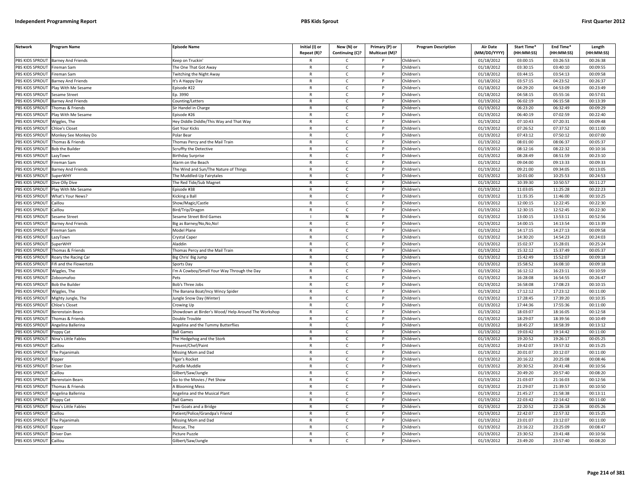| <b>Network</b>         | Program Name                               | <b>Episode Name</b>                                 | Initial (I) or<br>Repeat (R)? | New (N) or<br>Continuing (C)? | Primary (P) or<br><b>Multicast (M)?</b> | <b>Program Description</b> | <b>Air Date</b><br>(MM/DD/YYYY) | Start Time*<br>(HH:MM:SS) | End Time*<br>(HH:MM:SS) | Length<br>(HH:MM:SS) |
|------------------------|--------------------------------------------|-----------------------------------------------------|-------------------------------|-------------------------------|-----------------------------------------|----------------------------|---------------------------------|---------------------------|-------------------------|----------------------|
| PBS KIDS SPROUT        | <b>Barney And Friends</b>                  | <b>Ceep on Truckin'</b>                             | R                             | C                             |                                         | Children's                 | 01/18/2012                      | 03:00:15                  | 03:26:53                | 00:26:38             |
| PBS KIDS SPROUT        | Fireman Sam                                | The One That Got Away                               | $\mathsf{R}$                  | $\mathsf{C}$                  | P                                       | Children's                 | 01/18/2012                      | 03:30:15                  | 03:40:10                | 00:09:55             |
| PBS KIDS SPROUT        | Fireman Sam                                | Twitching the Night Away                            | $\mathsf{R}$                  | $\mathsf{C}$                  | P                                       | Children's                 | 01/18/2012                      | 03:44:15                  | 03:54:13                | 00:09:58             |
| PBS KIDS SPROUT        | <b>Barney And Friends</b>                  |                                                     | $\mathsf{R}$                  | $\mathsf{C}$                  | P                                       | Children's                 | 01/18/2012                      | 03:57:15                  | 04:23:52                | 00:26:37             |
| PBS KIDS SPROUT        | Play With Me Sesame                        | It's A Happy Day<br>Episode #22                     | $\mathsf{R}$                  | $\mathsf{C}$                  | P                                       | Children's                 | 01/18/2012                      | 04:29:20                  | 04:53:09                | 00:23:49             |
| PBS KIDS SPROUT        |                                            | p. 3990                                             | $\mathsf{R}$                  | $\mathsf{C}$                  | D                                       | Children's                 | 01/18/2012                      | 04:58:15                  | 05:55:16                | 00:57:01             |
| <b>BS KIDS SPROUT</b>  | iesame Street<br><b>Barney And Friends</b> | Counting/Letters                                    | $\mathsf{R}$                  | C                             | P                                       | Children's                 | 01/19/2012                      | 06:02:19                  | 06:15:58                | 00:13:39             |
| PBS KIDS SPROUT        | homas & Friends                            | Sir Handel in Charge                                | $\mathsf{R}$                  | $\mathsf{C}$                  | P                                       | Children's                 | 01/19/2012                      | 06:23:20                  | 06:32:49                | 00:09:29             |
| PBS KIDS SPROUT        | Play With Me Sesame                        | Episode #26                                         | $\mathsf{R}$                  | $\mathsf{C}$                  | P                                       | Children's                 | 01/19/2012                      | 06:40:19                  | 07:02:59                | 00:22:40             |
| PBS KIDS SPROUT        | Viggles, The                               | ley Diddle Diddle/This Way and That Way             | $\mathsf{R}$                  | $\mathsf{C}$                  | P                                       | Children's                 | 01/19/2012                      | 07:10:43                  | 07:20:31                | 00:09:48             |
| PBS KIDS SPROUT        | Chloe's Closet                             | Get Your Kicks                                      | $\mathsf{R}$                  | $\mathsf{C}$                  | $\mathsf{P}$                            | Children's                 | 01/19/2012                      | 07:26:52                  | 07:37:52                | 00:11:00             |
| PBS KIDS SPROUT        | Monkey See Monkey Do                       | Polar Bear                                          | $\mathsf{R}$                  | $\mathsf{C}$                  | P                                       | Children's                 | 01/19/2012                      | 07:43:12                  | 07:50:12                | 00:07:00             |
| PBS KIDS SPROUT        | Thomas & Friends                           | Thomas Percy and the Mail Train                     | $\mathsf{R}$                  | $\mathsf{C}$                  | P                                       | Children's                 | 01/19/2012                      | 08:01:00                  | 08:06:37                | 00:05:37             |
| PBS KIDS SPROUT        | <b>Bob the Builder</b>                     | cruffty the Detective                               | R                             | C                             | P                                       | Children's                 | 01/19/2012                      | 08:12:16                  | 08:22:32                | 00:10:16             |
| PBS KIDS SPROUT        | azyTown                                    | Birthday Surprise                                   | $\mathsf{R}$                  | $\mathsf{C}$                  | P                                       | Children's                 | 01/19/2012                      | 08:28:49                  | 08:51:59                | 00:23:10             |
| PBS KIDS SPROUT        | ireman Sam                                 | Alarm on the Beach                                  | $\mathsf{R}$                  | $\mathsf{C}$                  | P                                       | Children's                 | 01/19/2012                      | 09:04:00                  | 09:13:33                | 00:09:33             |
| PBS KIDS SPROUT        | <b>Barney And Friends</b>                  | The Wind and Sun/The Nature of Things               | $\mathsf{R}$                  | $\mathsf{C}$                  | P                                       | Children's                 | 01/19/2012                      | 09:21:00                  | 09:34:05                | 00:13:05             |
| PBS KIDS SPROUT        | SuperWHY                                   |                                                     | $\mathsf{R}$                  | $\mathsf{C}$                  | P                                       | Children's                 | 01/19/2012                      | 10:01:00                  | 10:25:53                | 00:24:53             |
| PBS KIDS SPROUT        |                                            | The Muddled-Up Fairytales                           | $\mathsf{R}$                  | $\mathsf{C}$                  | P                                       |                            | 01/19/2012                      | 10:39:30                  | 10:50:57                | 00:11:27             |
| PBS KIDS SPROUT        | Dive Olly Dive<br>Play With Me Sesame      | The Red Tide/Sub Magnet                             |                               | $\mathsf{C}$                  | P                                       | Children's<br>Children's   |                                 | 11:03:05                  | 11:25:28                | 00:22:23             |
|                        |                                            | Episode #38                                         | R<br>$\mathsf{R}$             | $\mathsf{C}$                  | P                                       |                            | 01/19/2012                      |                           |                         |                      |
| PBS KIDS SPROUT        | What's Your News?                          | Kicking a Bal                                       | $\mathsf{R}$                  |                               | P                                       | Children's                 | 01/19/2012                      | 11:35:35                  | 11:46:00                | 00:10:25             |
| <b>BS KIDS SPROUT</b>  | `aillou                                    | Show/Magic/Castle                                   |                               | $\mathsf{C}$                  |                                         | Children's                 | 01/19/2012                      | 12:00:15                  | 12:22:45                | 00:22:30             |
| PBS KIDS SPROUT        | aillou                                     | Bird/Trip/Dragor                                    | $\mathsf{R}$                  | $\mathsf{C}$                  | P                                       | Children's                 | 01/19/2012                      | 12:30:15                  | 12:52:45                | 00:22:30             |
| PBS KIDS SPROUT        | Sesame Street                              | Sesame Street Bird Games                            |                               | ${\sf N}$                     | P<br>P                                  | Children's                 | 01/19/2012                      | 13:00:15                  | 13:53:11                | 00:52:56             |
| PBS KIDS SPROUT        | Barney And Friends                         | lig as Barney/No,No,No!                             | $\mathsf{R}$                  | $\mathsf{C}$                  |                                         | Children's                 | 01/19/2012                      | 14:00:15                  | 14:13:54                | 00:13:39             |
| PBS KIDS SPROUT        | Fireman Sam                                | Model Plane                                         | $\mathsf{R}$                  | $\mathsf{C}$                  | P                                       | Children's                 | 01/19/2012                      | 14:17:15                  | 14:27:13                | 00:09:58             |
| PBS KIDS SPROUT        | .azyTown                                   | Crystal Caper                                       | $\overline{R}$                | $\mathsf{C}$                  | D                                       | Children's                 | 01/19/2012                      | 14:30:20                  | 14:54:23                | 00:24:03             |
| PBS KIDS SPROUT        | SuperWHY                                   | Aladdin                                             | $\mathsf{R}$                  | $\mathsf{C}$                  | P                                       | Children's                 | 01/19/2012                      | 15:02:37                  | 15:28:01                | 00:25:24             |
| <b>PBS KIDS SPROUT</b> | Thomas & Friends                           | homas Percy and the Mail Train                      | $\mathsf{R}$                  | $\mathsf{C}$                  | P                                       | Children's                 | 01/19/2012                      | 15:32:12                  | 15:37:49                | 00:05:37             |
| PBS KIDS SPROUT        | Roary the Racing Car                       | Big Chris' Big Jump                                 | $\mathsf{R}$                  | $\mathsf{C}$                  | P                                       | Children's                 | 01/19/2012                      | 15:42:49                  | 15:52:07                | 00:09:18             |
| PBS KIDS SPROUT        | Fifi and the Flowertots                    | Sports Day                                          | $\mathsf{R}$                  | $\mathsf{C}$                  | P                                       | Children's                 | 01/19/2012                      | 15:58:52                  | 16:08:10                | 00:09:18             |
| PBS KIDS SPROUT        | Wiggles, The                               | 'm A Cowboy/Smell Your Way Through the Day          | $\mathsf{R}$                  | $\mathsf{C}$                  | P                                       | Children's                 | 01/19/2012                      | 16:12:12                  | 16:23:11                | 00:10:59             |
| PBS KIDS SPROUT        | Zoboomafoo                                 | Pets                                                | $\mathsf{R}$                  | $\mathsf{C}$                  | P                                       | Children's                 | 01/19/2012                      | 16:28:08                  | 16:54:55                | 00:26:47             |
| PBS KIDS SPROUT        | <b>Bob the Builder</b>                     | Bob's Three Jobs                                    | $\mathsf{R}$                  | $\mathsf{C}$                  | P                                       | Children's                 | 01/19/2012                      | 16:58:08                  | 17:08:23                | 00:10:15             |
| PBS KIDS SPROUT        | Wiggles, The                               | The Banana Boat/Incy Wincy Spider                   | $\mathsf{R}$                  | $\mathsf{C}$                  | P                                       | Children's                 | 01/19/2012                      | 17:12:12                  | 17:23:12                | 00:11:00             |
| PBS KIDS SPROUT        | Mighty Jungle, The                         | lungle Snow Day (Winter)                            | $\mathsf{R}$                  | $\mathsf{C}$                  | P                                       | Children's                 | 01/19/2012                      | 17:28:45                  | 17:39:20                | 00:10:35             |
| <b>BS KIDS SPROUT</b>  | <b>Chloe's Closet</b>                      | Crowing Up                                          | $\mathsf{R}$                  | $\mathsf{C}$                  | P                                       | Children's                 | 01/19/2012                      | 17:44:36                  | 17:55:36                | 00:11:00             |
| PBS KIDS SPROUT        | Berenstain Bears                           | Showdown at Birder's Wood/ Help Around The Workshop | $\mathsf{R}$                  | $\mathsf{C}$                  | P                                       | Children's                 | 01/19/2012                      | 18:03:07                  | 18:16:05                | 00:12:58             |
| PBS KIDS SPROUT        | Thomas & Friends                           | <b>Double Trouble</b>                               | $\mathsf{R}$                  | $\mathsf C$                   | P                                       | Children's                 | $\sqrt{01/19/2012}$             | 18:29:07                  | 18:39:56                | 00:10:49             |
| PBS KIDS SPROUT        | <b>Angelina Ballerina</b>                  | Angelina and the Tummy Butterflies                  | $\mathsf{R}$                  | $\mathsf{C}$                  | P                                       | Children's                 | 01/19/2012                      | 18:45:27                  | 18:58:39                | 00:13:12             |
| PBS KIDS SPROUT        | oppy Cat                                   | <b>Ball Games</b>                                   | $\mathsf{R}$                  | $\mathsf{C}$                  | P                                       | Children's                 | 01/19/2012                      | 19:03:42                  | 19:14:42                | 00:11:00             |
| PBS KIDS SPROUT        | Nina's Little Fables                       | The Hedgehog and the Stork                          | $\mathsf{R}$                  | $\mathsf{C}$                  | P                                       | Children's                 | 01/19/2012                      | 19:20:52                  | 19:26:17                | 00:05:25             |
| PBS KIDS SPROUT        | Caillou                                    | Present/Chef/Paint                                  | $\mathsf{R}$                  | $\mathsf{C}$                  | P                                       | Children's                 | 01/19/2012                      | 19:42:07                  | 19:57:32                | 00:15:25             |
| PBS KIDS SPROUT        | The Pajanimals                             | Missing Mom and Dad                                 | $\mathsf{R}$                  | $\mathsf{C}$                  | P                                       | Children's                 | 01/19/2012                      | 20:01:07                  | 20:12:07                | 00:11:00             |
| PBS KIDS SPROUT        | Kipper                                     | iger's Rocket                                       | $\mathsf{R}$                  | $\mathsf{C}$                  | P                                       | Children's                 | 01/19/2012                      | 20:16:22                  | 20:25:08                | 00:08:46             |
| PBS KIDS SPROUT        | Driver Dan                                 | Puddle Muddle                                       | $\mathsf{R}$                  | $\mathsf{C}$                  | P                                       | Children's                 | 01/19/2012                      | 20:30:52                  | 20:41:48                | 00:10:56             |
| PBS KIDS SPROUT        | Caillou                                    | Gilbert/Saw/Jungle                                  | $\mathsf{R}$                  | $\mathsf{C}$                  | P                                       | Children's                 | 01/19/2012                      | 20:49:20                  | 20:57:40                | 00:08:20             |
| PBS KIDS SPROUT        | <b>Berenstain Bears</b>                    | Go to the Movies / Pet Show                         | $\mathsf{R}$                  | $\mathsf{C}$                  | P                                       | Children's                 | 01/19/2012                      | 21:03:07                  | 21:16:03                | 00:12:56             |
| PBS KIDS SPROUT        | Thomas & Friends                           | <b>A Blooming Mess</b>                              | $\mathsf{R}$                  | $\mathsf{C}$                  | P                                       | Children's                 | 01/19/2012                      | 21:29:07                  | 21:39:57                | 00:10:50             |
| PBS KIDS SPROUT        | Angelina Ballerina                         | Angelina and the Musical Plant                      | R                             | $\mathsf{C}$                  | P                                       | Children's                 | 01/19/2012                      | 21:45:27                  | 21:58:38                | 00:13:11             |
| PBS KIDS SPROUT        | Poppy Cat                                  | <b>Ball Games</b>                                   | $\mathsf{R}$                  | $\mathsf{C}$                  | P                                       | Children's                 | 01/19/2012                      | 22:03:42                  | 22:14:42                | 00:11:00             |
| PBS KIDS SPROUT        | Nina's Little Fables                       | Two Goats and a Bridge                              | $\mathsf{R}$                  | $\mathsf{C}$                  | P                                       | Children's                 | 01/19/2012                      | 22:20:52                  | 22:26:18                | 00:05:26             |
| PBS KIDS SPROUT        | aillou                                     | Patient/Police/Grandpa's Friend                     | $\mathsf{R}$                  | $\mathsf{C}$                  | P                                       | Children's                 | 01/19/2012                      | 22:42:07                  | 22:57:32                | 00:15:25             |
| PBS KIDS SPROUT        | The Pajanimals                             | Missing Mom and Dad                                 | $\mathsf{R}$                  | $\mathsf{C}$                  | P                                       | Children's                 | 01/19/2012                      | 23:01:07                  | 23:12:07                | 00:11:00             |
| PBS KIDS SPROUT        | (ipper                                     | łescue, The                                         | $\mathsf{R}$                  | $\mathsf{C}$                  | D                                       | Children's                 | 01/19/2012                      | 23:16:22                  | 23:25:09                | 00:08:47             |
| PBS KIDS SPROUT        | <b>Driver Dan</b>                          | Picture Puzzle                                      | $\mathsf{R}$                  | $\mathsf{C}$                  | P                                       | Children's                 | 01/19/2012                      | 23:30:52                  | 23:41:48                | 00:10:56             |
| PBS KIDS SPROUT        | Caillou                                    | Gilbert/Saw/Jungle                                  | $\mathsf{R}$                  | $\mathsf{C}$                  | P                                       | Children's                 | 01/19/2012                      | 23:49:20                  | 23:57:40                | 00:08:20             |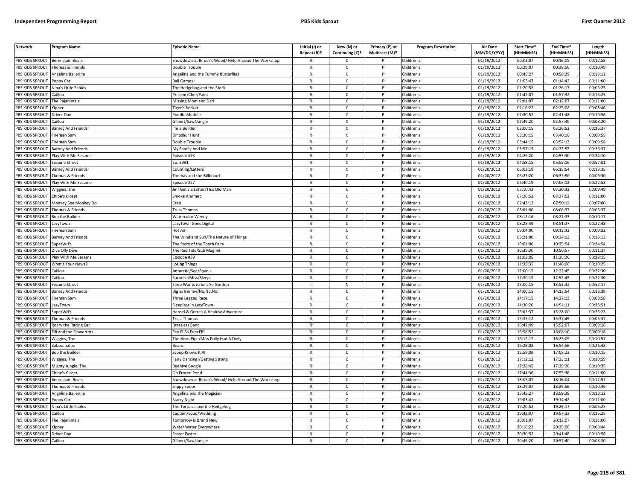| PBS KIDS SPROUT<br>01/19/2012<br>00:03:07<br>00:16:05<br>00:12:58<br><b>Berenstain Bears</b><br>Showdown at Birder's Wood/ Help Around The Workshop<br>Children's<br>$\mathsf{C}$<br>PBS KIDS SPROUT<br>Children's<br>01/19/2012<br>00:29:07<br>00:39:56<br>00:10:49<br>Thomas & Friends<br>Double Trouble<br>$\mathsf{R}$<br>$\mathsf{C}$<br>P<br>PBS KIDS SPROUT<br>Angelina Ballerina<br>Angelina and the Tummy Butterflies<br>Children's<br>01/19/2012<br>00:45:27<br>00:58:39<br>00:13:12<br>$\mathsf{C}$<br>$\mathsf{R}$<br>PBS KIDS SPROUT<br><b>Ball Games</b><br>$\mathsf{R}$<br>$\mathsf{C}$<br>D<br>Children's<br>01/19/2012<br>01:03:42<br>01:14:42<br>00:11:00<br>Poppy Cat<br>PBS KIDS SPROUT<br>Nina's Little Fables<br>The Hedgehog and the Stork<br>Children's<br>01/19/2012<br>01:20:52<br>01:26:17<br>00:05:25<br>$\mathsf{R}$<br>c<br>PBS KIDS SPROUT<br>01/19/2012<br>01:42:07<br>01:57:32<br>Caillou<br>Present/Chef/Paint<br>$\mathsf{R}$<br>$\mathsf{C}$<br>Children's<br>00:15:25<br>P<br>PBS KIDS SPROUT<br>01/19/2012<br>02:01:07<br>02:12:07<br>00:11:00<br>The Pajanimals<br>Missing Mom and Dad<br>$\mathsf{C}$<br>Children's<br>$\mathsf{R}$<br>P<br>PBS KIDS SPROUT<br>$\mathsf{R}$<br>$\mathsf{C}$<br>01/19/2012<br>02:16:22<br>02:25:08<br>00:08:46<br><b>D</b><br>Children's<br><i><b>Sipper</b></i><br>Figer's Rocket<br>02:41:48<br>PBS KIDS SPROUT<br>$\mathsf{C}$<br>01/19/2012<br>02:30:52<br>00:10:56<br>Puddle Muddle<br>$\mathsf{R}$<br>Children's<br>Driver Dan<br>P<br>01/19/2012<br>02:49:20<br>PBS KIDS SPROUT<br>$\mathsf{C}$<br>Children's<br>02:57:40<br>00:08:20<br>Caillou<br>Gilbert/Saw/Jungle<br>$\mathsf{R}$<br>PBS KIDS SPROUT<br>01/19/2012<br>03:00:15<br>03:26:52<br>00:26:37<br>Barney And Friends<br>I'm a Builder<br>$\mathsf{R}$<br>C<br>P<br>Children's<br>PBS KIDS SPROUT<br>01/19/2012<br>03:30:15<br>03:40:10<br>00:09:55<br>$\mathsf{C}$<br>Children's<br>Fireman Sam<br>Dinosaur Hunt<br>$\mathsf{R}$<br>PBS KIDS SPROUT<br>Fireman Sam<br>Double Trouble<br>$\mathsf{R}$<br>$\mathsf{C}$<br>P<br>Children's<br>01/19/2012<br>03:44:15<br>03:54:13<br>00:09:58<br>03:57:15<br>04:23:52<br>PBS KIDS SPROUT<br>Barney And Friends<br>My Family And Me<br>$\mathsf{C}$<br>Children's<br>01/19/2012<br>00:26:37<br>$\mathsf{R}$<br>04:29:20<br>04:53:30<br>PBS KIDS SPROUT<br>Play With Me Sesame<br>Episode #23<br>$\mathsf{R}$<br>$\mathsf{C}$<br>$\mathsf{P}$<br>Children's<br>01/19/2012<br>00:24:10<br>PBS KIDS SPROUT<br>Ep. 3991<br>Children's<br>01/19/2012<br>04:58:15<br>05:55:16<br>00:57:01<br>Sesame Street<br>$\mathsf{R}$<br>C<br>P<br>PBS KIDS SPROUT<br>Barney And Friends<br>$\mathsf{C}$<br>Children's<br>01/20/2012<br>06:02:19<br>06:15:54<br>00:13:35<br>Counting/Letters<br>$\mathsf{R}$<br>P<br>PBS KIDS SPROUT<br>01/20/2012<br>06:23:20<br>06:32:50<br>00:09:30<br>Thomas & Friends<br>Thomas and the Billboard<br>$\mathsf{R}$<br>$\mathsf{C}$<br>P<br>Children's<br>01/20/2012<br>06:40:19<br>07:03:12<br>00:22:53<br>PBS KIDS SPROUT<br>Play With Me Sesame<br>Episode #27<br>$\mathsf{R}$<br>$\mathsf{C}$<br>P<br>Children's<br>PBS KIDS SPROUT<br>01/20/2012<br>07:10:43<br>07:20:32<br>00:09:49<br>Wiggles, The<br>Jeff Get's a Letter/This Old Man<br>$\mathsf{R}$<br>$\mathsf{C}$<br>D<br>Children's<br>PBS KIDS SPROUT<br>$\mathsf{R}$<br>$\mathsf{C}$<br>D<br>Children's<br>01/20/2012<br>07:26:52<br>07:37:52<br>00:11:00<br><b>Chloe's Closet</b><br>Smoke Alarmed<br>PBS KIDS SPROUT<br>Children's<br>01/20/2012<br>07:43:12<br>07:50:12<br>00:07:00<br>Monkey See Monkey Do<br>Crab<br>R<br>C<br>PBS KIDS SPROUT<br>$\mathsf{C}$<br>01/20/2012<br>08:01:00<br>Thomas & Friends<br>$\mathsf{R}$<br><b>D</b><br>Children's<br>08:06:37<br>00:05:37<br><b>Trust Thomas</b><br>PBS KIDS SPROUT<br>01/20/2012<br>08:12:16<br>08:22:33<br><b>Bob the Builder</b><br>$\mathsf{C}$<br>Children's<br>00:10:17<br>Watercolor Wendy<br>$\mathsf{R}$<br>P<br>PBS KIDS SPROUT<br>Children's<br>01/20/2012<br>08:28:49<br>08:51:37<br>00:22:48<br>$\mathsf{R}$<br>$\mathsf{C}$<br>P<br>LazyTown<br>LazyTown Goes Digital<br>09:04:00<br>PBS KIDS SPROUT<br>$\mathsf{C}$<br>01/20/2012<br>09:13:32<br>00:09:32<br>Fireman Sam<br>Hot Air<br>$\mathsf{R}$<br>Children's<br>P<br>01/20/2012<br>09:21:00<br>00:13:13<br>PBS KIDS SPROUT<br>$\mathsf{C}$<br>Children's<br>09:34:13<br><b>Barney And Friends</b><br>The Wind and Sun/The Nature of Things<br>$\mathsf{R}$<br>PBS KIDS SPROUT<br>$\mathsf{R}$<br>$\mathsf{C}$<br>Children's<br>01/20/2012<br>10:01:00<br>10:25:54<br>00:24:54<br>SuperWHY<br>The Story of the Tooth Fairy<br>P<br>PBS KIDS SPROUT<br>01/20/2012<br>10:39:30<br>10:50:57<br>00:11:27<br>The Red Tide/Sub Magnet<br>$\mathsf{C}$<br>Children's<br>Dive Olly Dive<br>$\mathsf{R}$<br>11:03:05<br>00:22:15<br>PBS KIDS SPROUT<br>Play With Me Sesame<br>Children's<br>01/20/2012<br>11:25:20<br>Episode #39<br>$\mathsf{R}$<br>C<br>P<br>PBS KIDS SPROUT<br>01/20/2012<br>11:35:35<br>What's Your News?<br>Losing Things<br>$\mathsf{C}$<br>Children's<br>11:46:00<br>00:10:25<br>$\mathsf{R}$<br>P<br>01/20/2012<br>12:00:15<br>12:22:45<br>PBS KIDS SPROUT<br>Caillou<br>Antarctic/Sea/Bayou<br>$\mathsf{R}$<br>$\mathsf{C}$<br>Children's<br>00:22:30<br>$\mathsf{P}$<br>PBS KIDS SPROUT<br>$\mathsf{C}$<br>Children's<br>01/20/2012<br>12:30:15<br>12:52:45<br>00:22:30<br>Caillou<br>Surprise/Miss/Sleep<br>$\mathsf{R}$<br>P<br>PBS KIDS SPROUT<br>01/20/2012<br>13:00:15<br>13:52:32<br>00:52:17<br>Sesame Street<br>Elmo Wants to be Like Gordon<br>N<br>$\mathsf{P}$<br>Children's<br>PBS KIDS SPROUT<br><b>Barney And Friends</b><br>$\mathsf{C}$<br>Children's<br>01/20/2012<br>14:00:15<br>14:13:54<br>00:13:39<br>Big as Barney/No,No,No!<br>$\mathsf{R}$<br>P<br>PBS KIDS SPROUT<br>01/20/2012<br>14:17:15<br>14:27:13<br>00:09:58<br>Fireman Sam<br>Three Legged Race<br>$\mathsf{R}$<br>$\mathsf{C}$<br>P<br>Children's<br>PBS KIDS SPROUT<br>01/20/2012<br>14:30:20<br>14:54:11<br>00:23:51<br>LazyTown<br>Sleepless in LazyTown<br>$\mathsf{R}$<br>$\mathsf{C}$<br>Children's<br>PBS KIDS SPROUT<br>SuperWHY<br>Hansel & Gretel: A Healthy Adventure<br>$\mathsf{R}$<br>$\mathsf{C}$<br>D<br>Children's<br>01/20/2012<br>15:02:37<br>15:28:00<br>00:25:23<br>PBS KIDS SPROUT<br>Thomas & Friends<br><b>Trust Thomas</b><br>$\mathsf{C}$<br>Children's<br>01/20/2012<br>15:32:12<br>15:37:49<br>00:05:37<br>$\mathsf{R}$<br>15:42:49<br>PBS KIDS SPROUT<br>Roary the Racing Car<br>Brassless Band<br>$\mathsf{R}$<br>$\mathsf{C}$<br>Children's<br>01/20/2012<br>15:52:07<br>00:09:18<br>PBS KIDS SPROUT<br>01/20/2012<br>15:58:52<br>16:08:10<br>00:09:18<br>Fifi and the Flowertots<br>Fee Fi Fo Fum Fifi<br>$\mathsf{C}$<br>Children's<br>$\mathsf{R}$<br>P<br>PBS KIDS SPROUT<br>$\mathsf{C}$<br>01/20/2012<br>16:12:12<br>16:23:09<br>00:10:57<br>The Horn Pipe/Miss Polly Had A Dolly<br>$\mathsf{R}$<br><b>D</b><br>Children's<br>Niggles, The<br>01/20/2012<br>16:28:08<br>16:54:56<br>PBS KIDS SPROUT<br>$\mathsf{C}$<br>Children's<br>00:26:48<br>Zoboomafoo<br>Bears<br>$\mathsf{R}$<br>P<br>PBS KIDS SPROUT<br>01/20/2012<br>16:58:08<br>17:08:23<br>$\mathsf{C}$<br>Children's<br>00:10:15<br><b>Bob the Builder</b><br>$\mathsf{R}$<br>Scoop Knows It All<br>01/20/2012<br>17:12:12<br>17:23:11<br>PBS KIDS SPROUT<br>$\mathsf{C}$<br>Children's<br>00:10:59<br>Wiggles, The<br>Fairy Dancing!/Getting Strong<br>$\mathsf{R}$<br>P<br>PBS KIDS SPROUT<br>01/20/2012<br>17:28:45<br>17:39:20<br>00:10:35<br>$\mathsf{C}$<br>Children's<br>Mighty Jungle, The<br><b>Beehive Boogie</b><br>$\mathsf{R}$<br>PBS KIDS SPROUT<br>01/20/2012<br>17:44:36<br>17:55:36<br>00:11:00<br><b>Chloe's Closet</b><br>$\mathsf{C}$<br>Children's<br>On Frozen Pond<br>$\mathsf{R}$<br>P<br>PBS KIDS SPROUT<br>01/20/2012<br>Berenstain Bears<br>Showdown at Birder's Wood/Help Around The Workshop<br>$\mathsf{R}$<br>$\mathsf{C}$<br>P<br>Children's<br>18:03:07<br>18:16:04<br>00:12:57<br>18:29:07<br>PBS KIDS SPROUT<br>Thomas & Friends<br>$\mathsf{R}$<br>$\mathsf{C}$<br>P<br>Children's<br>01/20/2012<br>18:39:56<br>00:10:49<br>Slippy Sodor<br>PBS KIDS SPROUT<br>18:45:27<br>18:58:39<br>Angelina Ballerina<br>Angelina and the Magician<br>$\mathsf{R}$<br>C<br>Children's<br>01/20/2012<br>00:13:12<br><b>PBS KIDS SPROUT</b><br>$\mathsf{C}$<br>Children's<br>01/20/2012<br>19:03:42<br>19:14:42<br>00:11:00<br>Poppy Cat<br>Starry Night<br>$\mathsf{R}$<br>P<br>PBS KIDS SPROUT<br>Nina's Little Fables<br>$\mathsf{C}$<br>Children's<br>01/20/2012<br>19:20:52<br>19:26:17<br>00:05:25<br>The Tortoise and the Hedgehog<br>$\mathsf{R}$<br>P<br>01/20/2012<br>19:42:07<br>00:15:25<br>PBS KIDS SPROUT<br>Caillou<br>Captain/Loud/Wedding<br>$\mathsf{R}$<br>$\mathsf{C}$<br>P<br>Children's<br>19:57:32<br>01/20/2012<br>20:01:07<br>20:12:07<br>00:11:00<br>PBS KIDS SPROUT<br>The Pajanimals<br><b>Fomorrow is Brand New</b><br>$\mathsf{R}$<br>$\mathsf{C}$<br>Children's<br>PBS KIDS SPROUT<br>Children's<br>01/20/2012<br>20:16:22<br>20:25:06<br>00:08:44<br><b>Kipper</b><br>Water Water Everywhere<br>$\mathsf{R}$<br>$\mathsf{C}$<br>P<br>PBS KIDS SPROUT<br>Faster Faster<br>01/20/2012<br>20:30:52<br>20:41:48<br>00:10:56<br>Driver Dan<br>C<br>Children's<br>PBS KIDS SPROUT<br>01/20/2012<br>20:49:20<br>00:08:20<br>Caillou<br>Gilbert/Saw/Jungle<br>$\mathsf{R}$<br>$\mathsf{C}$<br>Children's<br>20:57:40 | <b>Network</b> | Program Name | <b>Episode Name</b> | Initial (I) or<br>Repeat (R)? | New (N) or<br>Continuing (C)? | Primary (P) or<br>Multicast (M)? | <b>Program Description</b> | <b>Air Date</b><br>(MM/DD/YYYY) | Start Time*<br>(HH:MM:SS) | End Time*<br>(HH:MM:SS) | Length<br>(HH:MM:SS) |
|-----------------------------------------------------------------------------------------------------------------------------------------------------------------------------------------------------------------------------------------------------------------------------------------------------------------------------------------------------------------------------------------------------------------------------------------------------------------------------------------------------------------------------------------------------------------------------------------------------------------------------------------------------------------------------------------------------------------------------------------------------------------------------------------------------------------------------------------------------------------------------------------------------------------------------------------------------------------------------------------------------------------------------------------------------------------------------------------------------------------------------------------------------------------------------------------------------------------------------------------------------------------------------------------------------------------------------------------------------------------------------------------------------------------------------------------------------------------------------------------------------------------------------------------------------------------------------------------------------------------------------------------------------------------------------------------------------------------------------------------------------------------------------------------------------------------------------------------------------------------------------------------------------------------------------------------------------------------------------------------------------------------------------------------------------------------------------------------------------------------------------------------------------------------------------------------------------------------------------------------------------------------------------------------------------------------------------------------------------------------------------------------------------------------------------------------------------------------------------------------------------------------------------------------------------------------------------------------------------------------------------------------------------------------------------------------------------------------------------------------------------------------------------------------------------------------------------------------------------------------------------------------------------------------------------------------------------------------------------------------------------------------------------------------------------------------------------------------------------------------------------------------------------------------------------------------------------------------------------------------------------------------------------------------------------------------------------------------------------------------------------------------------------------------------------------------------------------------------------------------------------------------------------------------------------------------------------------------------------------------------------------------------------------------------------------------------------------------------------------------------------------------------------------------------------------------------------------------------------------------------------------------------------------------------------------------------------------------------------------------------------------------------------------------------------------------------------------------------------------------------------------------------------------------------------------------------------------------------------------------------------------------------------------------------------------------------------------------------------------------------------------------------------------------------------------------------------------------------------------------------------------------------------------------------------------------------------------------------------------------------------------------------------------------------------------------------------------------------------------------------------------------------------------------------------------------------------------------------------------------------------------------------------------------------------------------------------------------------------------------------------------------------------------------------------------------------------------------------------------------------------------------------------------------------------------------------------------------------------------------------------------------------------------------------------------------------------------------------------------------------------------------------------------------------------------------------------------------------------------------------------------------------------------------------------------------------------------------------------------------------------------------------------------------------------------------------------------------------------------------------------------------------------------------------------------------------------------------------------------------------------------------------------------------------------------------------------------------------------------------------------------------------------------------------------------------------------------------------------------------------------------------------------------------------------------------------------------------------------------------------------------------------------------------------------------------------------------------------------------------------------------------------------------------------------------------------------------------------------------------------------------------------------------------------------------------------------------------------------------------------------------------------------------------------------------------------------------------------------------------------------------------------------------------------------------------------------------------------------------------------------------------------------------------------------------------------------------------------------------------------------------------------------------------------------------------------------------------------------------------------------------------------------------------------------------------------------------------------------------------------------------------------------------------------------------------------------------------------------------------------------------------------------------------------------------------------------------------------------------------------------------------------------------------------------------------------------------------------------------------------------------------------------------------------------------------------------------------------------------------------------------------------------------------------------------------------------------------------------------------------------------------------------------------------------------------------------------------------------------------------------------------------------------------------------------------------------------------------------------------------------------------------------------------------------------------------------------------------------------------------------------------------------------------------------------------------------------------------------------------------------------------------------------------------------------------------------------------------------------------------------------------------------------------------------------------------------------------------------------------------------------------------------------------------------------------------------------------------------------------------------------------------------------------------------------------------------------------------------------------------------------------------------------------------------------------------------------------------------------------------------------------------------------------------------------------------------------------------------------------------------------------------------------------------------------------------------------------------------------------------------------------------------------------------------------------------------------------------------------------------------------------------------------------------------------------------------------------------------|----------------|--------------|---------------------|-------------------------------|-------------------------------|----------------------------------|----------------------------|---------------------------------|---------------------------|-------------------------|----------------------|
|                                                                                                                                                                                                                                                                                                                                                                                                                                                                                                                                                                                                                                                                                                                                                                                                                                                                                                                                                                                                                                                                                                                                                                                                                                                                                                                                                                                                                                                                                                                                                                                                                                                                                                                                                                                                                                                                                                                                                                                                                                                                                                                                                                                                                                                                                                                                                                                                                                                                                                                                                                                                                                                                                                                                                                                                                                                                                                                                                                                                                                                                                                                                                                                                                                                                                                                                                                                                                                                                                                                                                                                                                                                                                                                                                                                                                                                                                                                                                                                                                                                                                                                                                                                                                                                                                                                                                                                                                                                                                                                                                                                                                                                                                                                                                                                                                                                                                                                                                                                                                                                                                                                                                                                                                                                                                                                                                                                                                                                                                                                                                                                                                                                                                                                                                                                                                                                                                                                                                                                                                                                                                                                                                                                                                                                                                                                                                                                                                                                                                                                                                                                                                                                                                                                                                                                                                                                                                                                                                                                                                                                                                                                                                                                                                                                                                                                                                                                                                                                                                                                                                                                                                                                                                                                                                                                                                                                                                                                                                                                                                                                                                                                                                                                                                                                                                                                                                                                                                                                                                                                                                                                                                                                                                                                                                                                                                                                                                                                                                                                                                                                                                                                                                                                                                                                                                                                                                                                                                                                                             |                |              |                     |                               |                               |                                  |                            |                                 |                           |                         |                      |
|                                                                                                                                                                                                                                                                                                                                                                                                                                                                                                                                                                                                                                                                                                                                                                                                                                                                                                                                                                                                                                                                                                                                                                                                                                                                                                                                                                                                                                                                                                                                                                                                                                                                                                                                                                                                                                                                                                                                                                                                                                                                                                                                                                                                                                                                                                                                                                                                                                                                                                                                                                                                                                                                                                                                                                                                                                                                                                                                                                                                                                                                                                                                                                                                                                                                                                                                                                                                                                                                                                                                                                                                                                                                                                                                                                                                                                                                                                                                                                                                                                                                                                                                                                                                                                                                                                                                                                                                                                                                                                                                                                                                                                                                                                                                                                                                                                                                                                                                                                                                                                                                                                                                                                                                                                                                                                                                                                                                                                                                                                                                                                                                                                                                                                                                                                                                                                                                                                                                                                                                                                                                                                                                                                                                                                                                                                                                                                                                                                                                                                                                                                                                                                                                                                                                                                                                                                                                                                                                                                                                                                                                                                                                                                                                                                                                                                                                                                                                                                                                                                                                                                                                                                                                                                                                                                                                                                                                                                                                                                                                                                                                                                                                                                                                                                                                                                                                                                                                                                                                                                                                                                                                                                                                                                                                                                                                                                                                                                                                                                                                                                                                                                                                                                                                                                                                                                                                                                                                                                                                             |                |              |                     |                               |                               |                                  |                            |                                 |                           |                         |                      |
|                                                                                                                                                                                                                                                                                                                                                                                                                                                                                                                                                                                                                                                                                                                                                                                                                                                                                                                                                                                                                                                                                                                                                                                                                                                                                                                                                                                                                                                                                                                                                                                                                                                                                                                                                                                                                                                                                                                                                                                                                                                                                                                                                                                                                                                                                                                                                                                                                                                                                                                                                                                                                                                                                                                                                                                                                                                                                                                                                                                                                                                                                                                                                                                                                                                                                                                                                                                                                                                                                                                                                                                                                                                                                                                                                                                                                                                                                                                                                                                                                                                                                                                                                                                                                                                                                                                                                                                                                                                                                                                                                                                                                                                                                                                                                                                                                                                                                                                                                                                                                                                                                                                                                                                                                                                                                                                                                                                                                                                                                                                                                                                                                                                                                                                                                                                                                                                                                                                                                                                                                                                                                                                                                                                                                                                                                                                                                                                                                                                                                                                                                                                                                                                                                                                                                                                                                                                                                                                                                                                                                                                                                                                                                                                                                                                                                                                                                                                                                                                                                                                                                                                                                                                                                                                                                                                                                                                                                                                                                                                                                                                                                                                                                                                                                                                                                                                                                                                                                                                                                                                                                                                                                                                                                                                                                                                                                                                                                                                                                                                                                                                                                                                                                                                                                                                                                                                                                                                                                                                                             |                |              |                     |                               |                               |                                  |                            |                                 |                           |                         |                      |
|                                                                                                                                                                                                                                                                                                                                                                                                                                                                                                                                                                                                                                                                                                                                                                                                                                                                                                                                                                                                                                                                                                                                                                                                                                                                                                                                                                                                                                                                                                                                                                                                                                                                                                                                                                                                                                                                                                                                                                                                                                                                                                                                                                                                                                                                                                                                                                                                                                                                                                                                                                                                                                                                                                                                                                                                                                                                                                                                                                                                                                                                                                                                                                                                                                                                                                                                                                                                                                                                                                                                                                                                                                                                                                                                                                                                                                                                                                                                                                                                                                                                                                                                                                                                                                                                                                                                                                                                                                                                                                                                                                                                                                                                                                                                                                                                                                                                                                                                                                                                                                                                                                                                                                                                                                                                                                                                                                                                                                                                                                                                                                                                                                                                                                                                                                                                                                                                                                                                                                                                                                                                                                                                                                                                                                                                                                                                                                                                                                                                                                                                                                                                                                                                                                                                                                                                                                                                                                                                                                                                                                                                                                                                                                                                                                                                                                                                                                                                                                                                                                                                                                                                                                                                                                                                                                                                                                                                                                                                                                                                                                                                                                                                                                                                                                                                                                                                                                                                                                                                                                                                                                                                                                                                                                                                                                                                                                                                                                                                                                                                                                                                                                                                                                                                                                                                                                                                                                                                                                                                             |                |              |                     |                               |                               |                                  |                            |                                 |                           |                         |                      |
|                                                                                                                                                                                                                                                                                                                                                                                                                                                                                                                                                                                                                                                                                                                                                                                                                                                                                                                                                                                                                                                                                                                                                                                                                                                                                                                                                                                                                                                                                                                                                                                                                                                                                                                                                                                                                                                                                                                                                                                                                                                                                                                                                                                                                                                                                                                                                                                                                                                                                                                                                                                                                                                                                                                                                                                                                                                                                                                                                                                                                                                                                                                                                                                                                                                                                                                                                                                                                                                                                                                                                                                                                                                                                                                                                                                                                                                                                                                                                                                                                                                                                                                                                                                                                                                                                                                                                                                                                                                                                                                                                                                                                                                                                                                                                                                                                                                                                                                                                                                                                                                                                                                                                                                                                                                                                                                                                                                                                                                                                                                                                                                                                                                                                                                                                                                                                                                                                                                                                                                                                                                                                                                                                                                                                                                                                                                                                                                                                                                                                                                                                                                                                                                                                                                                                                                                                                                                                                                                                                                                                                                                                                                                                                                                                                                                                                                                                                                                                                                                                                                                                                                                                                                                                                                                                                                                                                                                                                                                                                                                                                                                                                                                                                                                                                                                                                                                                                                                                                                                                                                                                                                                                                                                                                                                                                                                                                                                                                                                                                                                                                                                                                                                                                                                                                                                                                                                                                                                                                                                             |                |              |                     |                               |                               |                                  |                            |                                 |                           |                         |                      |
|                                                                                                                                                                                                                                                                                                                                                                                                                                                                                                                                                                                                                                                                                                                                                                                                                                                                                                                                                                                                                                                                                                                                                                                                                                                                                                                                                                                                                                                                                                                                                                                                                                                                                                                                                                                                                                                                                                                                                                                                                                                                                                                                                                                                                                                                                                                                                                                                                                                                                                                                                                                                                                                                                                                                                                                                                                                                                                                                                                                                                                                                                                                                                                                                                                                                                                                                                                                                                                                                                                                                                                                                                                                                                                                                                                                                                                                                                                                                                                                                                                                                                                                                                                                                                                                                                                                                                                                                                                                                                                                                                                                                                                                                                                                                                                                                                                                                                                                                                                                                                                                                                                                                                                                                                                                                                                                                                                                                                                                                                                                                                                                                                                                                                                                                                                                                                                                                                                                                                                                                                                                                                                                                                                                                                                                                                                                                                                                                                                                                                                                                                                                                                                                                                                                                                                                                                                                                                                                                                                                                                                                                                                                                                                                                                                                                                                                                                                                                                                                                                                                                                                                                                                                                                                                                                                                                                                                                                                                                                                                                                                                                                                                                                                                                                                                                                                                                                                                                                                                                                                                                                                                                                                                                                                                                                                                                                                                                                                                                                                                                                                                                                                                                                                                                                                                                                                                                                                                                                                                                             |                |              |                     |                               |                               |                                  |                            |                                 |                           |                         |                      |
|                                                                                                                                                                                                                                                                                                                                                                                                                                                                                                                                                                                                                                                                                                                                                                                                                                                                                                                                                                                                                                                                                                                                                                                                                                                                                                                                                                                                                                                                                                                                                                                                                                                                                                                                                                                                                                                                                                                                                                                                                                                                                                                                                                                                                                                                                                                                                                                                                                                                                                                                                                                                                                                                                                                                                                                                                                                                                                                                                                                                                                                                                                                                                                                                                                                                                                                                                                                                                                                                                                                                                                                                                                                                                                                                                                                                                                                                                                                                                                                                                                                                                                                                                                                                                                                                                                                                                                                                                                                                                                                                                                                                                                                                                                                                                                                                                                                                                                                                                                                                                                                                                                                                                                                                                                                                                                                                                                                                                                                                                                                                                                                                                                                                                                                                                                                                                                                                                                                                                                                                                                                                                                                                                                                                                                                                                                                                                                                                                                                                                                                                                                                                                                                                                                                                                                                                                                                                                                                                                                                                                                                                                                                                                                                                                                                                                                                                                                                                                                                                                                                                                                                                                                                                                                                                                                                                                                                                                                                                                                                                                                                                                                                                                                                                                                                                                                                                                                                                                                                                                                                                                                                                                                                                                                                                                                                                                                                                                                                                                                                                                                                                                                                                                                                                                                                                                                                                                                                                                                                                             |                |              |                     |                               |                               |                                  |                            |                                 |                           |                         |                      |
|                                                                                                                                                                                                                                                                                                                                                                                                                                                                                                                                                                                                                                                                                                                                                                                                                                                                                                                                                                                                                                                                                                                                                                                                                                                                                                                                                                                                                                                                                                                                                                                                                                                                                                                                                                                                                                                                                                                                                                                                                                                                                                                                                                                                                                                                                                                                                                                                                                                                                                                                                                                                                                                                                                                                                                                                                                                                                                                                                                                                                                                                                                                                                                                                                                                                                                                                                                                                                                                                                                                                                                                                                                                                                                                                                                                                                                                                                                                                                                                                                                                                                                                                                                                                                                                                                                                                                                                                                                                                                                                                                                                                                                                                                                                                                                                                                                                                                                                                                                                                                                                                                                                                                                                                                                                                                                                                                                                                                                                                                                                                                                                                                                                                                                                                                                                                                                                                                                                                                                                                                                                                                                                                                                                                                                                                                                                                                                                                                                                                                                                                                                                                                                                                                                                                                                                                                                                                                                                                                                                                                                                                                                                                                                                                                                                                                                                                                                                                                                                                                                                                                                                                                                                                                                                                                                                                                                                                                                                                                                                                                                                                                                                                                                                                                                                                                                                                                                                                                                                                                                                                                                                                                                                                                                                                                                                                                                                                                                                                                                                                                                                                                                                                                                                                                                                                                                                                                                                                                                                                             |                |              |                     |                               |                               |                                  |                            |                                 |                           |                         |                      |
|                                                                                                                                                                                                                                                                                                                                                                                                                                                                                                                                                                                                                                                                                                                                                                                                                                                                                                                                                                                                                                                                                                                                                                                                                                                                                                                                                                                                                                                                                                                                                                                                                                                                                                                                                                                                                                                                                                                                                                                                                                                                                                                                                                                                                                                                                                                                                                                                                                                                                                                                                                                                                                                                                                                                                                                                                                                                                                                                                                                                                                                                                                                                                                                                                                                                                                                                                                                                                                                                                                                                                                                                                                                                                                                                                                                                                                                                                                                                                                                                                                                                                                                                                                                                                                                                                                                                                                                                                                                                                                                                                                                                                                                                                                                                                                                                                                                                                                                                                                                                                                                                                                                                                                                                                                                                                                                                                                                                                                                                                                                                                                                                                                                                                                                                                                                                                                                                                                                                                                                                                                                                                                                                                                                                                                                                                                                                                                                                                                                                                                                                                                                                                                                                                                                                                                                                                                                                                                                                                                                                                                                                                                                                                                                                                                                                                                                                                                                                                                                                                                                                                                                                                                                                                                                                                                                                                                                                                                                                                                                                                                                                                                                                                                                                                                                                                                                                                                                                                                                                                                                                                                                                                                                                                                                                                                                                                                                                                                                                                                                                                                                                                                                                                                                                                                                                                                                                                                                                                                                                             |                |              |                     |                               |                               |                                  |                            |                                 |                           |                         |                      |
|                                                                                                                                                                                                                                                                                                                                                                                                                                                                                                                                                                                                                                                                                                                                                                                                                                                                                                                                                                                                                                                                                                                                                                                                                                                                                                                                                                                                                                                                                                                                                                                                                                                                                                                                                                                                                                                                                                                                                                                                                                                                                                                                                                                                                                                                                                                                                                                                                                                                                                                                                                                                                                                                                                                                                                                                                                                                                                                                                                                                                                                                                                                                                                                                                                                                                                                                                                                                                                                                                                                                                                                                                                                                                                                                                                                                                                                                                                                                                                                                                                                                                                                                                                                                                                                                                                                                                                                                                                                                                                                                                                                                                                                                                                                                                                                                                                                                                                                                                                                                                                                                                                                                                                                                                                                                                                                                                                                                                                                                                                                                                                                                                                                                                                                                                                                                                                                                                                                                                                                                                                                                                                                                                                                                                                                                                                                                                                                                                                                                                                                                                                                                                                                                                                                                                                                                                                                                                                                                                                                                                                                                                                                                                                                                                                                                                                                                                                                                                                                                                                                                                                                                                                                                                                                                                                                                                                                                                                                                                                                                                                                                                                                                                                                                                                                                                                                                                                                                                                                                                                                                                                                                                                                                                                                                                                                                                                                                                                                                                                                                                                                                                                                                                                                                                                                                                                                                                                                                                                                                             |                |              |                     |                               |                               |                                  |                            |                                 |                           |                         |                      |
|                                                                                                                                                                                                                                                                                                                                                                                                                                                                                                                                                                                                                                                                                                                                                                                                                                                                                                                                                                                                                                                                                                                                                                                                                                                                                                                                                                                                                                                                                                                                                                                                                                                                                                                                                                                                                                                                                                                                                                                                                                                                                                                                                                                                                                                                                                                                                                                                                                                                                                                                                                                                                                                                                                                                                                                                                                                                                                                                                                                                                                                                                                                                                                                                                                                                                                                                                                                                                                                                                                                                                                                                                                                                                                                                                                                                                                                                                                                                                                                                                                                                                                                                                                                                                                                                                                                                                                                                                                                                                                                                                                                                                                                                                                                                                                                                                                                                                                                                                                                                                                                                                                                                                                                                                                                                                                                                                                                                                                                                                                                                                                                                                                                                                                                                                                                                                                                                                                                                                                                                                                                                                                                                                                                                                                                                                                                                                                                                                                                                                                                                                                                                                                                                                                                                                                                                                                                                                                                                                                                                                                                                                                                                                                                                                                                                                                                                                                                                                                                                                                                                                                                                                                                                                                                                                                                                                                                                                                                                                                                                                                                                                                                                                                                                                                                                                                                                                                                                                                                                                                                                                                                                                                                                                                                                                                                                                                                                                                                                                                                                                                                                                                                                                                                                                                                                                                                                                                                                                                                                             |                |              |                     |                               |                               |                                  |                            |                                 |                           |                         |                      |
|                                                                                                                                                                                                                                                                                                                                                                                                                                                                                                                                                                                                                                                                                                                                                                                                                                                                                                                                                                                                                                                                                                                                                                                                                                                                                                                                                                                                                                                                                                                                                                                                                                                                                                                                                                                                                                                                                                                                                                                                                                                                                                                                                                                                                                                                                                                                                                                                                                                                                                                                                                                                                                                                                                                                                                                                                                                                                                                                                                                                                                                                                                                                                                                                                                                                                                                                                                                                                                                                                                                                                                                                                                                                                                                                                                                                                                                                                                                                                                                                                                                                                                                                                                                                                                                                                                                                                                                                                                                                                                                                                                                                                                                                                                                                                                                                                                                                                                                                                                                                                                                                                                                                                                                                                                                                                                                                                                                                                                                                                                                                                                                                                                                                                                                                                                                                                                                                                                                                                                                                                                                                                                                                                                                                                                                                                                                                                                                                                                                                                                                                                                                                                                                                                                                                                                                                                                                                                                                                                                                                                                                                                                                                                                                                                                                                                                                                                                                                                                                                                                                                                                                                                                                                                                                                                                                                                                                                                                                                                                                                                                                                                                                                                                                                                                                                                                                                                                                                                                                                                                                                                                                                                                                                                                                                                                                                                                                                                                                                                                                                                                                                                                                                                                                                                                                                                                                                                                                                                                                                             |                |              |                     |                               |                               |                                  |                            |                                 |                           |                         |                      |
|                                                                                                                                                                                                                                                                                                                                                                                                                                                                                                                                                                                                                                                                                                                                                                                                                                                                                                                                                                                                                                                                                                                                                                                                                                                                                                                                                                                                                                                                                                                                                                                                                                                                                                                                                                                                                                                                                                                                                                                                                                                                                                                                                                                                                                                                                                                                                                                                                                                                                                                                                                                                                                                                                                                                                                                                                                                                                                                                                                                                                                                                                                                                                                                                                                                                                                                                                                                                                                                                                                                                                                                                                                                                                                                                                                                                                                                                                                                                                                                                                                                                                                                                                                                                                                                                                                                                                                                                                                                                                                                                                                                                                                                                                                                                                                                                                                                                                                                                                                                                                                                                                                                                                                                                                                                                                                                                                                                                                                                                                                                                                                                                                                                                                                                                                                                                                                                                                                                                                                                                                                                                                                                                                                                                                                                                                                                                                                                                                                                                                                                                                                                                                                                                                                                                                                                                                                                                                                                                                                                                                                                                                                                                                                                                                                                                                                                                                                                                                                                                                                                                                                                                                                                                                                                                                                                                                                                                                                                                                                                                                                                                                                                                                                                                                                                                                                                                                                                                                                                                                                                                                                                                                                                                                                                                                                                                                                                                                                                                                                                                                                                                                                                                                                                                                                                                                                                                                                                                                                                                             |                |              |                     |                               |                               |                                  |                            |                                 |                           |                         |                      |
|                                                                                                                                                                                                                                                                                                                                                                                                                                                                                                                                                                                                                                                                                                                                                                                                                                                                                                                                                                                                                                                                                                                                                                                                                                                                                                                                                                                                                                                                                                                                                                                                                                                                                                                                                                                                                                                                                                                                                                                                                                                                                                                                                                                                                                                                                                                                                                                                                                                                                                                                                                                                                                                                                                                                                                                                                                                                                                                                                                                                                                                                                                                                                                                                                                                                                                                                                                                                                                                                                                                                                                                                                                                                                                                                                                                                                                                                                                                                                                                                                                                                                                                                                                                                                                                                                                                                                                                                                                                                                                                                                                                                                                                                                                                                                                                                                                                                                                                                                                                                                                                                                                                                                                                                                                                                                                                                                                                                                                                                                                                                                                                                                                                                                                                                                                                                                                                                                                                                                                                                                                                                                                                                                                                                                                                                                                                                                                                                                                                                                                                                                                                                                                                                                                                                                                                                                                                                                                                                                                                                                                                                                                                                                                                                                                                                                                                                                                                                                                                                                                                                                                                                                                                                                                                                                                                                                                                                                                                                                                                                                                                                                                                                                                                                                                                                                                                                                                                                                                                                                                                                                                                                                                                                                                                                                                                                                                                                                                                                                                                                                                                                                                                                                                                                                                                                                                                                                                                                                                                                             |                |              |                     |                               |                               |                                  |                            |                                 |                           |                         |                      |
|                                                                                                                                                                                                                                                                                                                                                                                                                                                                                                                                                                                                                                                                                                                                                                                                                                                                                                                                                                                                                                                                                                                                                                                                                                                                                                                                                                                                                                                                                                                                                                                                                                                                                                                                                                                                                                                                                                                                                                                                                                                                                                                                                                                                                                                                                                                                                                                                                                                                                                                                                                                                                                                                                                                                                                                                                                                                                                                                                                                                                                                                                                                                                                                                                                                                                                                                                                                                                                                                                                                                                                                                                                                                                                                                                                                                                                                                                                                                                                                                                                                                                                                                                                                                                                                                                                                                                                                                                                                                                                                                                                                                                                                                                                                                                                                                                                                                                                                                                                                                                                                                                                                                                                                                                                                                                                                                                                                                                                                                                                                                                                                                                                                                                                                                                                                                                                                                                                                                                                                                                                                                                                                                                                                                                                                                                                                                                                                                                                                                                                                                                                                                                                                                                                                                                                                                                                                                                                                                                                                                                                                                                                                                                                                                                                                                                                                                                                                                                                                                                                                                                                                                                                                                                                                                                                                                                                                                                                                                                                                                                                                                                                                                                                                                                                                                                                                                                                                                                                                                                                                                                                                                                                                                                                                                                                                                                                                                                                                                                                                                                                                                                                                                                                                                                                                                                                                                                                                                                                                                             |                |              |                     |                               |                               |                                  |                            |                                 |                           |                         |                      |
|                                                                                                                                                                                                                                                                                                                                                                                                                                                                                                                                                                                                                                                                                                                                                                                                                                                                                                                                                                                                                                                                                                                                                                                                                                                                                                                                                                                                                                                                                                                                                                                                                                                                                                                                                                                                                                                                                                                                                                                                                                                                                                                                                                                                                                                                                                                                                                                                                                                                                                                                                                                                                                                                                                                                                                                                                                                                                                                                                                                                                                                                                                                                                                                                                                                                                                                                                                                                                                                                                                                                                                                                                                                                                                                                                                                                                                                                                                                                                                                                                                                                                                                                                                                                                                                                                                                                                                                                                                                                                                                                                                                                                                                                                                                                                                                                                                                                                                                                                                                                                                                                                                                                                                                                                                                                                                                                                                                                                                                                                                                                                                                                                                                                                                                                                                                                                                                                                                                                                                                                                                                                                                                                                                                                                                                                                                                                                                                                                                                                                                                                                                                                                                                                                                                                                                                                                                                                                                                                                                                                                                                                                                                                                                                                                                                                                                                                                                                                                                                                                                                                                                                                                                                                                                                                                                                                                                                                                                                                                                                                                                                                                                                                                                                                                                                                                                                                                                                                                                                                                                                                                                                                                                                                                                                                                                                                                                                                                                                                                                                                                                                                                                                                                                                                                                                                                                                                                                                                                                                                             |                |              |                     |                               |                               |                                  |                            |                                 |                           |                         |                      |
|                                                                                                                                                                                                                                                                                                                                                                                                                                                                                                                                                                                                                                                                                                                                                                                                                                                                                                                                                                                                                                                                                                                                                                                                                                                                                                                                                                                                                                                                                                                                                                                                                                                                                                                                                                                                                                                                                                                                                                                                                                                                                                                                                                                                                                                                                                                                                                                                                                                                                                                                                                                                                                                                                                                                                                                                                                                                                                                                                                                                                                                                                                                                                                                                                                                                                                                                                                                                                                                                                                                                                                                                                                                                                                                                                                                                                                                                                                                                                                                                                                                                                                                                                                                                                                                                                                                                                                                                                                                                                                                                                                                                                                                                                                                                                                                                                                                                                                                                                                                                                                                                                                                                                                                                                                                                                                                                                                                                                                                                                                                                                                                                                                                                                                                                                                                                                                                                                                                                                                                                                                                                                                                                                                                                                                                                                                                                                                                                                                                                                                                                                                                                                                                                                                                                                                                                                                                                                                                                                                                                                                                                                                                                                                                                                                                                                                                                                                                                                                                                                                                                                                                                                                                                                                                                                                                                                                                                                                                                                                                                                                                                                                                                                                                                                                                                                                                                                                                                                                                                                                                                                                                                                                                                                                                                                                                                                                                                                                                                                                                                                                                                                                                                                                                                                                                                                                                                                                                                                                                                             |                |              |                     |                               |                               |                                  |                            |                                 |                           |                         |                      |
|                                                                                                                                                                                                                                                                                                                                                                                                                                                                                                                                                                                                                                                                                                                                                                                                                                                                                                                                                                                                                                                                                                                                                                                                                                                                                                                                                                                                                                                                                                                                                                                                                                                                                                                                                                                                                                                                                                                                                                                                                                                                                                                                                                                                                                                                                                                                                                                                                                                                                                                                                                                                                                                                                                                                                                                                                                                                                                                                                                                                                                                                                                                                                                                                                                                                                                                                                                                                                                                                                                                                                                                                                                                                                                                                                                                                                                                                                                                                                                                                                                                                                                                                                                                                                                                                                                                                                                                                                                                                                                                                                                                                                                                                                                                                                                                                                                                                                                                                                                                                                                                                                                                                                                                                                                                                                                                                                                                                                                                                                                                                                                                                                                                                                                                                                                                                                                                                                                                                                                                                                                                                                                                                                                                                                                                                                                                                                                                                                                                                                                                                                                                                                                                                                                                                                                                                                                                                                                                                                                                                                                                                                                                                                                                                                                                                                                                                                                                                                                                                                                                                                                                                                                                                                                                                                                                                                                                                                                                                                                                                                                                                                                                                                                                                                                                                                                                                                                                                                                                                                                                                                                                                                                                                                                                                                                                                                                                                                                                                                                                                                                                                                                                                                                                                                                                                                                                                                                                                                                                                             |                |              |                     |                               |                               |                                  |                            |                                 |                           |                         |                      |
|                                                                                                                                                                                                                                                                                                                                                                                                                                                                                                                                                                                                                                                                                                                                                                                                                                                                                                                                                                                                                                                                                                                                                                                                                                                                                                                                                                                                                                                                                                                                                                                                                                                                                                                                                                                                                                                                                                                                                                                                                                                                                                                                                                                                                                                                                                                                                                                                                                                                                                                                                                                                                                                                                                                                                                                                                                                                                                                                                                                                                                                                                                                                                                                                                                                                                                                                                                                                                                                                                                                                                                                                                                                                                                                                                                                                                                                                                                                                                                                                                                                                                                                                                                                                                                                                                                                                                                                                                                                                                                                                                                                                                                                                                                                                                                                                                                                                                                                                                                                                                                                                                                                                                                                                                                                                                                                                                                                                                                                                                                                                                                                                                                                                                                                                                                                                                                                                                                                                                                                                                                                                                                                                                                                                                                                                                                                                                                                                                                                                                                                                                                                                                                                                                                                                                                                                                                                                                                                                                                                                                                                                                                                                                                                                                                                                                                                                                                                                                                                                                                                                                                                                                                                                                                                                                                                                                                                                                                                                                                                                                                                                                                                                                                                                                                                                                                                                                                                                                                                                                                                                                                                                                                                                                                                                                                                                                                                                                                                                                                                                                                                                                                                                                                                                                                                                                                                                                                                                                                                                             |                |              |                     |                               |                               |                                  |                            |                                 |                           |                         |                      |
|                                                                                                                                                                                                                                                                                                                                                                                                                                                                                                                                                                                                                                                                                                                                                                                                                                                                                                                                                                                                                                                                                                                                                                                                                                                                                                                                                                                                                                                                                                                                                                                                                                                                                                                                                                                                                                                                                                                                                                                                                                                                                                                                                                                                                                                                                                                                                                                                                                                                                                                                                                                                                                                                                                                                                                                                                                                                                                                                                                                                                                                                                                                                                                                                                                                                                                                                                                                                                                                                                                                                                                                                                                                                                                                                                                                                                                                                                                                                                                                                                                                                                                                                                                                                                                                                                                                                                                                                                                                                                                                                                                                                                                                                                                                                                                                                                                                                                                                                                                                                                                                                                                                                                                                                                                                                                                                                                                                                                                                                                                                                                                                                                                                                                                                                                                                                                                                                                                                                                                                                                                                                                                                                                                                                                                                                                                                                                                                                                                                                                                                                                                                                                                                                                                                                                                                                                                                                                                                                                                                                                                                                                                                                                                                                                                                                                                                                                                                                                                                                                                                                                                                                                                                                                                                                                                                                                                                                                                                                                                                                                                                                                                                                                                                                                                                                                                                                                                                                                                                                                                                                                                                                                                                                                                                                                                                                                                                                                                                                                                                                                                                                                                                                                                                                                                                                                                                                                                                                                                                                             |                |              |                     |                               |                               |                                  |                            |                                 |                           |                         |                      |
|                                                                                                                                                                                                                                                                                                                                                                                                                                                                                                                                                                                                                                                                                                                                                                                                                                                                                                                                                                                                                                                                                                                                                                                                                                                                                                                                                                                                                                                                                                                                                                                                                                                                                                                                                                                                                                                                                                                                                                                                                                                                                                                                                                                                                                                                                                                                                                                                                                                                                                                                                                                                                                                                                                                                                                                                                                                                                                                                                                                                                                                                                                                                                                                                                                                                                                                                                                                                                                                                                                                                                                                                                                                                                                                                                                                                                                                                                                                                                                                                                                                                                                                                                                                                                                                                                                                                                                                                                                                                                                                                                                                                                                                                                                                                                                                                                                                                                                                                                                                                                                                                                                                                                                                                                                                                                                                                                                                                                                                                                                                                                                                                                                                                                                                                                                                                                                                                                                                                                                                                                                                                                                                                                                                                                                                                                                                                                                                                                                                                                                                                                                                                                                                                                                                                                                                                                                                                                                                                                                                                                                                                                                                                                                                                                                                                                                                                                                                                                                                                                                                                                                                                                                                                                                                                                                                                                                                                                                                                                                                                                                                                                                                                                                                                                                                                                                                                                                                                                                                                                                                                                                                                                                                                                                                                                                                                                                                                                                                                                                                                                                                                                                                                                                                                                                                                                                                                                                                                                                                                             |                |              |                     |                               |                               |                                  |                            |                                 |                           |                         |                      |
|                                                                                                                                                                                                                                                                                                                                                                                                                                                                                                                                                                                                                                                                                                                                                                                                                                                                                                                                                                                                                                                                                                                                                                                                                                                                                                                                                                                                                                                                                                                                                                                                                                                                                                                                                                                                                                                                                                                                                                                                                                                                                                                                                                                                                                                                                                                                                                                                                                                                                                                                                                                                                                                                                                                                                                                                                                                                                                                                                                                                                                                                                                                                                                                                                                                                                                                                                                                                                                                                                                                                                                                                                                                                                                                                                                                                                                                                                                                                                                                                                                                                                                                                                                                                                                                                                                                                                                                                                                                                                                                                                                                                                                                                                                                                                                                                                                                                                                                                                                                                                                                                                                                                                                                                                                                                                                                                                                                                                                                                                                                                                                                                                                                                                                                                                                                                                                                                                                                                                                                                                                                                                                                                                                                                                                                                                                                                                                                                                                                                                                                                                                                                                                                                                                                                                                                                                                                                                                                                                                                                                                                                                                                                                                                                                                                                                                                                                                                                                                                                                                                                                                                                                                                                                                                                                                                                                                                                                                                                                                                                                                                                                                                                                                                                                                                                                                                                                                                                                                                                                                                                                                                                                                                                                                                                                                                                                                                                                                                                                                                                                                                                                                                                                                                                                                                                                                                                                                                                                                                                             |                |              |                     |                               |                               |                                  |                            |                                 |                           |                         |                      |
|                                                                                                                                                                                                                                                                                                                                                                                                                                                                                                                                                                                                                                                                                                                                                                                                                                                                                                                                                                                                                                                                                                                                                                                                                                                                                                                                                                                                                                                                                                                                                                                                                                                                                                                                                                                                                                                                                                                                                                                                                                                                                                                                                                                                                                                                                                                                                                                                                                                                                                                                                                                                                                                                                                                                                                                                                                                                                                                                                                                                                                                                                                                                                                                                                                                                                                                                                                                                                                                                                                                                                                                                                                                                                                                                                                                                                                                                                                                                                                                                                                                                                                                                                                                                                                                                                                                                                                                                                                                                                                                                                                                                                                                                                                                                                                                                                                                                                                                                                                                                                                                                                                                                                                                                                                                                                                                                                                                                                                                                                                                                                                                                                                                                                                                                                                                                                                                                                                                                                                                                                                                                                                                                                                                                                                                                                                                                                                                                                                                                                                                                                                                                                                                                                                                                                                                                                                                                                                                                                                                                                                                                                                                                                                                                                                                                                                                                                                                                                                                                                                                                                                                                                                                                                                                                                                                                                                                                                                                                                                                                                                                                                                                                                                                                                                                                                                                                                                                                                                                                                                                                                                                                                                                                                                                                                                                                                                                                                                                                                                                                                                                                                                                                                                                                                                                                                                                                                                                                                                                                             |                |              |                     |                               |                               |                                  |                            |                                 |                           |                         |                      |
|                                                                                                                                                                                                                                                                                                                                                                                                                                                                                                                                                                                                                                                                                                                                                                                                                                                                                                                                                                                                                                                                                                                                                                                                                                                                                                                                                                                                                                                                                                                                                                                                                                                                                                                                                                                                                                                                                                                                                                                                                                                                                                                                                                                                                                                                                                                                                                                                                                                                                                                                                                                                                                                                                                                                                                                                                                                                                                                                                                                                                                                                                                                                                                                                                                                                                                                                                                                                                                                                                                                                                                                                                                                                                                                                                                                                                                                                                                                                                                                                                                                                                                                                                                                                                                                                                                                                                                                                                                                                                                                                                                                                                                                                                                                                                                                                                                                                                                                                                                                                                                                                                                                                                                                                                                                                                                                                                                                                                                                                                                                                                                                                                                                                                                                                                                                                                                                                                                                                                                                                                                                                                                                                                                                                                                                                                                                                                                                                                                                                                                                                                                                                                                                                                                                                                                                                                                                                                                                                                                                                                                                                                                                                                                                                                                                                                                                                                                                                                                                                                                                                                                                                                                                                                                                                                                                                                                                                                                                                                                                                                                                                                                                                                                                                                                                                                                                                                                                                                                                                                                                                                                                                                                                                                                                                                                                                                                                                                                                                                                                                                                                                                                                                                                                                                                                                                                                                                                                                                                                                             |                |              |                     |                               |                               |                                  |                            |                                 |                           |                         |                      |
|                                                                                                                                                                                                                                                                                                                                                                                                                                                                                                                                                                                                                                                                                                                                                                                                                                                                                                                                                                                                                                                                                                                                                                                                                                                                                                                                                                                                                                                                                                                                                                                                                                                                                                                                                                                                                                                                                                                                                                                                                                                                                                                                                                                                                                                                                                                                                                                                                                                                                                                                                                                                                                                                                                                                                                                                                                                                                                                                                                                                                                                                                                                                                                                                                                                                                                                                                                                                                                                                                                                                                                                                                                                                                                                                                                                                                                                                                                                                                                                                                                                                                                                                                                                                                                                                                                                                                                                                                                                                                                                                                                                                                                                                                                                                                                                                                                                                                                                                                                                                                                                                                                                                                                                                                                                                                                                                                                                                                                                                                                                                                                                                                                                                                                                                                                                                                                                                                                                                                                                                                                                                                                                                                                                                                                                                                                                                                                                                                                                                                                                                                                                                                                                                                                                                                                                                                                                                                                                                                                                                                                                                                                                                                                                                                                                                                                                                                                                                                                                                                                                                                                                                                                                                                                                                                                                                                                                                                                                                                                                                                                                                                                                                                                                                                                                                                                                                                                                                                                                                                                                                                                                                                                                                                                                                                                                                                                                                                                                                                                                                                                                                                                                                                                                                                                                                                                                                                                                                                                                                             |                |              |                     |                               |                               |                                  |                            |                                 |                           |                         |                      |
|                                                                                                                                                                                                                                                                                                                                                                                                                                                                                                                                                                                                                                                                                                                                                                                                                                                                                                                                                                                                                                                                                                                                                                                                                                                                                                                                                                                                                                                                                                                                                                                                                                                                                                                                                                                                                                                                                                                                                                                                                                                                                                                                                                                                                                                                                                                                                                                                                                                                                                                                                                                                                                                                                                                                                                                                                                                                                                                                                                                                                                                                                                                                                                                                                                                                                                                                                                                                                                                                                                                                                                                                                                                                                                                                                                                                                                                                                                                                                                                                                                                                                                                                                                                                                                                                                                                                                                                                                                                                                                                                                                                                                                                                                                                                                                                                                                                                                                                                                                                                                                                                                                                                                                                                                                                                                                                                                                                                                                                                                                                                                                                                                                                                                                                                                                                                                                                                                                                                                                                                                                                                                                                                                                                                                                                                                                                                                                                                                                                                                                                                                                                                                                                                                                                                                                                                                                                                                                                                                                                                                                                                                                                                                                                                                                                                                                                                                                                                                                                                                                                                                                                                                                                                                                                                                                                                                                                                                                                                                                                                                                                                                                                                                                                                                                                                                                                                                                                                                                                                                                                                                                                                                                                                                                                                                                                                                                                                                                                                                                                                                                                                                                                                                                                                                                                                                                                                                                                                                                                                             |                |              |                     |                               |                               |                                  |                            |                                 |                           |                         |                      |
|                                                                                                                                                                                                                                                                                                                                                                                                                                                                                                                                                                                                                                                                                                                                                                                                                                                                                                                                                                                                                                                                                                                                                                                                                                                                                                                                                                                                                                                                                                                                                                                                                                                                                                                                                                                                                                                                                                                                                                                                                                                                                                                                                                                                                                                                                                                                                                                                                                                                                                                                                                                                                                                                                                                                                                                                                                                                                                                                                                                                                                                                                                                                                                                                                                                                                                                                                                                                                                                                                                                                                                                                                                                                                                                                                                                                                                                                                                                                                                                                                                                                                                                                                                                                                                                                                                                                                                                                                                                                                                                                                                                                                                                                                                                                                                                                                                                                                                                                                                                                                                                                                                                                                                                                                                                                                                                                                                                                                                                                                                                                                                                                                                                                                                                                                                                                                                                                                                                                                                                                                                                                                                                                                                                                                                                                                                                                                                                                                                                                                                                                                                                                                                                                                                                                                                                                                                                                                                                                                                                                                                                                                                                                                                                                                                                                                                                                                                                                                                                                                                                                                                                                                                                                                                                                                                                                                                                                                                                                                                                                                                                                                                                                                                                                                                                                                                                                                                                                                                                                                                                                                                                                                                                                                                                                                                                                                                                                                                                                                                                                                                                                                                                                                                                                                                                                                                                                                                                                                                                                             |                |              |                     |                               |                               |                                  |                            |                                 |                           |                         |                      |
|                                                                                                                                                                                                                                                                                                                                                                                                                                                                                                                                                                                                                                                                                                                                                                                                                                                                                                                                                                                                                                                                                                                                                                                                                                                                                                                                                                                                                                                                                                                                                                                                                                                                                                                                                                                                                                                                                                                                                                                                                                                                                                                                                                                                                                                                                                                                                                                                                                                                                                                                                                                                                                                                                                                                                                                                                                                                                                                                                                                                                                                                                                                                                                                                                                                                                                                                                                                                                                                                                                                                                                                                                                                                                                                                                                                                                                                                                                                                                                                                                                                                                                                                                                                                                                                                                                                                                                                                                                                                                                                                                                                                                                                                                                                                                                                                                                                                                                                                                                                                                                                                                                                                                                                                                                                                                                                                                                                                                                                                                                                                                                                                                                                                                                                                                                                                                                                                                                                                                                                                                                                                                                                                                                                                                                                                                                                                                                                                                                                                                                                                                                                                                                                                                                                                                                                                                                                                                                                                                                                                                                                                                                                                                                                                                                                                                                                                                                                                                                                                                                                                                                                                                                                                                                                                                                                                                                                                                                                                                                                                                                                                                                                                                                                                                                                                                                                                                                                                                                                                                                                                                                                                                                                                                                                                                                                                                                                                                                                                                                                                                                                                                                                                                                                                                                                                                                                                                                                                                                                                             |                |              |                     |                               |                               |                                  |                            |                                 |                           |                         |                      |
|                                                                                                                                                                                                                                                                                                                                                                                                                                                                                                                                                                                                                                                                                                                                                                                                                                                                                                                                                                                                                                                                                                                                                                                                                                                                                                                                                                                                                                                                                                                                                                                                                                                                                                                                                                                                                                                                                                                                                                                                                                                                                                                                                                                                                                                                                                                                                                                                                                                                                                                                                                                                                                                                                                                                                                                                                                                                                                                                                                                                                                                                                                                                                                                                                                                                                                                                                                                                                                                                                                                                                                                                                                                                                                                                                                                                                                                                                                                                                                                                                                                                                                                                                                                                                                                                                                                                                                                                                                                                                                                                                                                                                                                                                                                                                                                                                                                                                                                                                                                                                                                                                                                                                                                                                                                                                                                                                                                                                                                                                                                                                                                                                                                                                                                                                                                                                                                                                                                                                                                                                                                                                                                                                                                                                                                                                                                                                                                                                                                                                                                                                                                                                                                                                                                                                                                                                                                                                                                                                                                                                                                                                                                                                                                                                                                                                                                                                                                                                                                                                                                                                                                                                                                                                                                                                                                                                                                                                                                                                                                                                                                                                                                                                                                                                                                                                                                                                                                                                                                                                                                                                                                                                                                                                                                                                                                                                                                                                                                                                                                                                                                                                                                                                                                                                                                                                                                                                                                                                                                                             |                |              |                     |                               |                               |                                  |                            |                                 |                           |                         |                      |
|                                                                                                                                                                                                                                                                                                                                                                                                                                                                                                                                                                                                                                                                                                                                                                                                                                                                                                                                                                                                                                                                                                                                                                                                                                                                                                                                                                                                                                                                                                                                                                                                                                                                                                                                                                                                                                                                                                                                                                                                                                                                                                                                                                                                                                                                                                                                                                                                                                                                                                                                                                                                                                                                                                                                                                                                                                                                                                                                                                                                                                                                                                                                                                                                                                                                                                                                                                                                                                                                                                                                                                                                                                                                                                                                                                                                                                                                                                                                                                                                                                                                                                                                                                                                                                                                                                                                                                                                                                                                                                                                                                                                                                                                                                                                                                                                                                                                                                                                                                                                                                                                                                                                                                                                                                                                                                                                                                                                                                                                                                                                                                                                                                                                                                                                                                                                                                                                                                                                                                                                                                                                                                                                                                                                                                                                                                                                                                                                                                                                                                                                                                                                                                                                                                                                                                                                                                                                                                                                                                                                                                                                                                                                                                                                                                                                                                                                                                                                                                                                                                                                                                                                                                                                                                                                                                                                                                                                                                                                                                                                                                                                                                                                                                                                                                                                                                                                                                                                                                                                                                                                                                                                                                                                                                                                                                                                                                                                                                                                                                                                                                                                                                                                                                                                                                                                                                                                                                                                                                                                             |                |              |                     |                               |                               |                                  |                            |                                 |                           |                         |                      |
|                                                                                                                                                                                                                                                                                                                                                                                                                                                                                                                                                                                                                                                                                                                                                                                                                                                                                                                                                                                                                                                                                                                                                                                                                                                                                                                                                                                                                                                                                                                                                                                                                                                                                                                                                                                                                                                                                                                                                                                                                                                                                                                                                                                                                                                                                                                                                                                                                                                                                                                                                                                                                                                                                                                                                                                                                                                                                                                                                                                                                                                                                                                                                                                                                                                                                                                                                                                                                                                                                                                                                                                                                                                                                                                                                                                                                                                                                                                                                                                                                                                                                                                                                                                                                                                                                                                                                                                                                                                                                                                                                                                                                                                                                                                                                                                                                                                                                                                                                                                                                                                                                                                                                                                                                                                                                                                                                                                                                                                                                                                                                                                                                                                                                                                                                                                                                                                                                                                                                                                                                                                                                                                                                                                                                                                                                                                                                                                                                                                                                                                                                                                                                                                                                                                                                                                                                                                                                                                                                                                                                                                                                                                                                                                                                                                                                                                                                                                                                                                                                                                                                                                                                                                                                                                                                                                                                                                                                                                                                                                                                                                                                                                                                                                                                                                                                                                                                                                                                                                                                                                                                                                                                                                                                                                                                                                                                                                                                                                                                                                                                                                                                                                                                                                                                                                                                                                                                                                                                                                                             |                |              |                     |                               |                               |                                  |                            |                                 |                           |                         |                      |
|                                                                                                                                                                                                                                                                                                                                                                                                                                                                                                                                                                                                                                                                                                                                                                                                                                                                                                                                                                                                                                                                                                                                                                                                                                                                                                                                                                                                                                                                                                                                                                                                                                                                                                                                                                                                                                                                                                                                                                                                                                                                                                                                                                                                                                                                                                                                                                                                                                                                                                                                                                                                                                                                                                                                                                                                                                                                                                                                                                                                                                                                                                                                                                                                                                                                                                                                                                                                                                                                                                                                                                                                                                                                                                                                                                                                                                                                                                                                                                                                                                                                                                                                                                                                                                                                                                                                                                                                                                                                                                                                                                                                                                                                                                                                                                                                                                                                                                                                                                                                                                                                                                                                                                                                                                                                                                                                                                                                                                                                                                                                                                                                                                                                                                                                                                                                                                                                                                                                                                                                                                                                                                                                                                                                                                                                                                                                                                                                                                                                                                                                                                                                                                                                                                                                                                                                                                                                                                                                                                                                                                                                                                                                                                                                                                                                                                                                                                                                                                                                                                                                                                                                                                                                                                                                                                                                                                                                                                                                                                                                                                                                                                                                                                                                                                                                                                                                                                                                                                                                                                                                                                                                                                                                                                                                                                                                                                                                                                                                                                                                                                                                                                                                                                                                                                                                                                                                                                                                                                                                             |                |              |                     |                               |                               |                                  |                            |                                 |                           |                         |                      |
|                                                                                                                                                                                                                                                                                                                                                                                                                                                                                                                                                                                                                                                                                                                                                                                                                                                                                                                                                                                                                                                                                                                                                                                                                                                                                                                                                                                                                                                                                                                                                                                                                                                                                                                                                                                                                                                                                                                                                                                                                                                                                                                                                                                                                                                                                                                                                                                                                                                                                                                                                                                                                                                                                                                                                                                                                                                                                                                                                                                                                                                                                                                                                                                                                                                                                                                                                                                                                                                                                                                                                                                                                                                                                                                                                                                                                                                                                                                                                                                                                                                                                                                                                                                                                                                                                                                                                                                                                                                                                                                                                                                                                                                                                                                                                                                                                                                                                                                                                                                                                                                                                                                                                                                                                                                                                                                                                                                                                                                                                                                                                                                                                                                                                                                                                                                                                                                                                                                                                                                                                                                                                                                                                                                                                                                                                                                                                                                                                                                                                                                                                                                                                                                                                                                                                                                                                                                                                                                                                                                                                                                                                                                                                                                                                                                                                                                                                                                                                                                                                                                                                                                                                                                                                                                                                                                                                                                                                                                                                                                                                                                                                                                                                                                                                                                                                                                                                                                                                                                                                                                                                                                                                                                                                                                                                                                                                                                                                                                                                                                                                                                                                                                                                                                                                                                                                                                                                                                                                                                                             |                |              |                     |                               |                               |                                  |                            |                                 |                           |                         |                      |
|                                                                                                                                                                                                                                                                                                                                                                                                                                                                                                                                                                                                                                                                                                                                                                                                                                                                                                                                                                                                                                                                                                                                                                                                                                                                                                                                                                                                                                                                                                                                                                                                                                                                                                                                                                                                                                                                                                                                                                                                                                                                                                                                                                                                                                                                                                                                                                                                                                                                                                                                                                                                                                                                                                                                                                                                                                                                                                                                                                                                                                                                                                                                                                                                                                                                                                                                                                                                                                                                                                                                                                                                                                                                                                                                                                                                                                                                                                                                                                                                                                                                                                                                                                                                                                                                                                                                                                                                                                                                                                                                                                                                                                                                                                                                                                                                                                                                                                                                                                                                                                                                                                                                                                                                                                                                                                                                                                                                                                                                                                                                                                                                                                                                                                                                                                                                                                                                                                                                                                                                                                                                                                                                                                                                                                                                                                                                                                                                                                                                                                                                                                                                                                                                                                                                                                                                                                                                                                                                                                                                                                                                                                                                                                                                                                                                                                                                                                                                                                                                                                                                                                                                                                                                                                                                                                                                                                                                                                                                                                                                                                                                                                                                                                                                                                                                                                                                                                                                                                                                                                                                                                                                                                                                                                                                                                                                                                                                                                                                                                                                                                                                                                                                                                                                                                                                                                                                                                                                                                                                             |                |              |                     |                               |                               |                                  |                            |                                 |                           |                         |                      |
|                                                                                                                                                                                                                                                                                                                                                                                                                                                                                                                                                                                                                                                                                                                                                                                                                                                                                                                                                                                                                                                                                                                                                                                                                                                                                                                                                                                                                                                                                                                                                                                                                                                                                                                                                                                                                                                                                                                                                                                                                                                                                                                                                                                                                                                                                                                                                                                                                                                                                                                                                                                                                                                                                                                                                                                                                                                                                                                                                                                                                                                                                                                                                                                                                                                                                                                                                                                                                                                                                                                                                                                                                                                                                                                                                                                                                                                                                                                                                                                                                                                                                                                                                                                                                                                                                                                                                                                                                                                                                                                                                                                                                                                                                                                                                                                                                                                                                                                                                                                                                                                                                                                                                                                                                                                                                                                                                                                                                                                                                                                                                                                                                                                                                                                                                                                                                                                                                                                                                                                                                                                                                                                                                                                                                                                                                                                                                                                                                                                                                                                                                                                                                                                                                                                                                                                                                                                                                                                                                                                                                                                                                                                                                                                                                                                                                                                                                                                                                                                                                                                                                                                                                                                                                                                                                                                                                                                                                                                                                                                                                                                                                                                                                                                                                                                                                                                                                                                                                                                                                                                                                                                                                                                                                                                                                                                                                                                                                                                                                                                                                                                                                                                                                                                                                                                                                                                                                                                                                                                                             |                |              |                     |                               |                               |                                  |                            |                                 |                           |                         |                      |
|                                                                                                                                                                                                                                                                                                                                                                                                                                                                                                                                                                                                                                                                                                                                                                                                                                                                                                                                                                                                                                                                                                                                                                                                                                                                                                                                                                                                                                                                                                                                                                                                                                                                                                                                                                                                                                                                                                                                                                                                                                                                                                                                                                                                                                                                                                                                                                                                                                                                                                                                                                                                                                                                                                                                                                                                                                                                                                                                                                                                                                                                                                                                                                                                                                                                                                                                                                                                                                                                                                                                                                                                                                                                                                                                                                                                                                                                                                                                                                                                                                                                                                                                                                                                                                                                                                                                                                                                                                                                                                                                                                                                                                                                                                                                                                                                                                                                                                                                                                                                                                                                                                                                                                                                                                                                                                                                                                                                                                                                                                                                                                                                                                                                                                                                                                                                                                                                                                                                                                                                                                                                                                                                                                                                                                                                                                                                                                                                                                                                                                                                                                                                                                                                                                                                                                                                                                                                                                                                                                                                                                                                                                                                                                                                                                                                                                                                                                                                                                                                                                                                                                                                                                                                                                                                                                                                                                                                                                                                                                                                                                                                                                                                                                                                                                                                                                                                                                                                                                                                                                                                                                                                                                                                                                                                                                                                                                                                                                                                                                                                                                                                                                                                                                                                                                                                                                                                                                                                                                                                             |                |              |                     |                               |                               |                                  |                            |                                 |                           |                         |                      |
|                                                                                                                                                                                                                                                                                                                                                                                                                                                                                                                                                                                                                                                                                                                                                                                                                                                                                                                                                                                                                                                                                                                                                                                                                                                                                                                                                                                                                                                                                                                                                                                                                                                                                                                                                                                                                                                                                                                                                                                                                                                                                                                                                                                                                                                                                                                                                                                                                                                                                                                                                                                                                                                                                                                                                                                                                                                                                                                                                                                                                                                                                                                                                                                                                                                                                                                                                                                                                                                                                                                                                                                                                                                                                                                                                                                                                                                                                                                                                                                                                                                                                                                                                                                                                                                                                                                                                                                                                                                                                                                                                                                                                                                                                                                                                                                                                                                                                                                                                                                                                                                                                                                                                                                                                                                                                                                                                                                                                                                                                                                                                                                                                                                                                                                                                                                                                                                                                                                                                                                                                                                                                                                                                                                                                                                                                                                                                                                                                                                                                                                                                                                                                                                                                                                                                                                                                                                                                                                                                                                                                                                                                                                                                                                                                                                                                                                                                                                                                                                                                                                                                                                                                                                                                                                                                                                                                                                                                                                                                                                                                                                                                                                                                                                                                                                                                                                                                                                                                                                                                                                                                                                                                                                                                                                                                                                                                                                                                                                                                                                                                                                                                                                                                                                                                                                                                                                                                                                                                                                                             |                |              |                     |                               |                               |                                  |                            |                                 |                           |                         |                      |
|                                                                                                                                                                                                                                                                                                                                                                                                                                                                                                                                                                                                                                                                                                                                                                                                                                                                                                                                                                                                                                                                                                                                                                                                                                                                                                                                                                                                                                                                                                                                                                                                                                                                                                                                                                                                                                                                                                                                                                                                                                                                                                                                                                                                                                                                                                                                                                                                                                                                                                                                                                                                                                                                                                                                                                                                                                                                                                                                                                                                                                                                                                                                                                                                                                                                                                                                                                                                                                                                                                                                                                                                                                                                                                                                                                                                                                                                                                                                                                                                                                                                                                                                                                                                                                                                                                                                                                                                                                                                                                                                                                                                                                                                                                                                                                                                                                                                                                                                                                                                                                                                                                                                                                                                                                                                                                                                                                                                                                                                                                                                                                                                                                                                                                                                                                                                                                                                                                                                                                                                                                                                                                                                                                                                                                                                                                                                                                                                                                                                                                                                                                                                                                                                                                                                                                                                                                                                                                                                                                                                                                                                                                                                                                                                                                                                                                                                                                                                                                                                                                                                                                                                                                                                                                                                                                                                                                                                                                                                                                                                                                                                                                                                                                                                                                                                                                                                                                                                                                                                                                                                                                                                                                                                                                                                                                                                                                                                                                                                                                                                                                                                                                                                                                                                                                                                                                                                                                                                                                                                             |                |              |                     |                               |                               |                                  |                            |                                 |                           |                         |                      |
|                                                                                                                                                                                                                                                                                                                                                                                                                                                                                                                                                                                                                                                                                                                                                                                                                                                                                                                                                                                                                                                                                                                                                                                                                                                                                                                                                                                                                                                                                                                                                                                                                                                                                                                                                                                                                                                                                                                                                                                                                                                                                                                                                                                                                                                                                                                                                                                                                                                                                                                                                                                                                                                                                                                                                                                                                                                                                                                                                                                                                                                                                                                                                                                                                                                                                                                                                                                                                                                                                                                                                                                                                                                                                                                                                                                                                                                                                                                                                                                                                                                                                                                                                                                                                                                                                                                                                                                                                                                                                                                                                                                                                                                                                                                                                                                                                                                                                                                                                                                                                                                                                                                                                                                                                                                                                                                                                                                                                                                                                                                                                                                                                                                                                                                                                                                                                                                                                                                                                                                                                                                                                                                                                                                                                                                                                                                                                                                                                                                                                                                                                                                                                                                                                                                                                                                                                                                                                                                                                                                                                                                                                                                                                                                                                                                                                                                                                                                                                                                                                                                                                                                                                                                                                                                                                                                                                                                                                                                                                                                                                                                                                                                                                                                                                                                                                                                                                                                                                                                                                                                                                                                                                                                                                                                                                                                                                                                                                                                                                                                                                                                                                                                                                                                                                                                                                                                                                                                                                                                                             |                |              |                     |                               |                               |                                  |                            |                                 |                           |                         |                      |
|                                                                                                                                                                                                                                                                                                                                                                                                                                                                                                                                                                                                                                                                                                                                                                                                                                                                                                                                                                                                                                                                                                                                                                                                                                                                                                                                                                                                                                                                                                                                                                                                                                                                                                                                                                                                                                                                                                                                                                                                                                                                                                                                                                                                                                                                                                                                                                                                                                                                                                                                                                                                                                                                                                                                                                                                                                                                                                                                                                                                                                                                                                                                                                                                                                                                                                                                                                                                                                                                                                                                                                                                                                                                                                                                                                                                                                                                                                                                                                                                                                                                                                                                                                                                                                                                                                                                                                                                                                                                                                                                                                                                                                                                                                                                                                                                                                                                                                                                                                                                                                                                                                                                                                                                                                                                                                                                                                                                                                                                                                                                                                                                                                                                                                                                                                                                                                                                                                                                                                                                                                                                                                                                                                                                                                                                                                                                                                                                                                                                                                                                                                                                                                                                                                                                                                                                                                                                                                                                                                                                                                                                                                                                                                                                                                                                                                                                                                                                                                                                                                                                                                                                                                                                                                                                                                                                                                                                                                                                                                                                                                                                                                                                                                                                                                                                                                                                                                                                                                                                                                                                                                                                                                                                                                                                                                                                                                                                                                                                                                                                                                                                                                                                                                                                                                                                                                                                                                                                                                                                             |                |              |                     |                               |                               |                                  |                            |                                 |                           |                         |                      |
|                                                                                                                                                                                                                                                                                                                                                                                                                                                                                                                                                                                                                                                                                                                                                                                                                                                                                                                                                                                                                                                                                                                                                                                                                                                                                                                                                                                                                                                                                                                                                                                                                                                                                                                                                                                                                                                                                                                                                                                                                                                                                                                                                                                                                                                                                                                                                                                                                                                                                                                                                                                                                                                                                                                                                                                                                                                                                                                                                                                                                                                                                                                                                                                                                                                                                                                                                                                                                                                                                                                                                                                                                                                                                                                                                                                                                                                                                                                                                                                                                                                                                                                                                                                                                                                                                                                                                                                                                                                                                                                                                                                                                                                                                                                                                                                                                                                                                                                                                                                                                                                                                                                                                                                                                                                                                                                                                                                                                                                                                                                                                                                                                                                                                                                                                                                                                                                                                                                                                                                                                                                                                                                                                                                                                                                                                                                                                                                                                                                                                                                                                                                                                                                                                                                                                                                                                                                                                                                                                                                                                                                                                                                                                                                                                                                                                                                                                                                                                                                                                                                                                                                                                                                                                                                                                                                                                                                                                                                                                                                                                                                                                                                                                                                                                                                                                                                                                                                                                                                                                                                                                                                                                                                                                                                                                                                                                                                                                                                                                                                                                                                                                                                                                                                                                                                                                                                                                                                                                                                                             |                |              |                     |                               |                               |                                  |                            |                                 |                           |                         |                      |
|                                                                                                                                                                                                                                                                                                                                                                                                                                                                                                                                                                                                                                                                                                                                                                                                                                                                                                                                                                                                                                                                                                                                                                                                                                                                                                                                                                                                                                                                                                                                                                                                                                                                                                                                                                                                                                                                                                                                                                                                                                                                                                                                                                                                                                                                                                                                                                                                                                                                                                                                                                                                                                                                                                                                                                                                                                                                                                                                                                                                                                                                                                                                                                                                                                                                                                                                                                                                                                                                                                                                                                                                                                                                                                                                                                                                                                                                                                                                                                                                                                                                                                                                                                                                                                                                                                                                                                                                                                                                                                                                                                                                                                                                                                                                                                                                                                                                                                                                                                                                                                                                                                                                                                                                                                                                                                                                                                                                                                                                                                                                                                                                                                                                                                                                                                                                                                                                                                                                                                                                                                                                                                                                                                                                                                                                                                                                                                                                                                                                                                                                                                                                                                                                                                                                                                                                                                                                                                                                                                                                                                                                                                                                                                                                                                                                                                                                                                                                                                                                                                                                                                                                                                                                                                                                                                                                                                                                                                                                                                                                                                                                                                                                                                                                                                                                                                                                                                                                                                                                                                                                                                                                                                                                                                                                                                                                                                                                                                                                                                                                                                                                                                                                                                                                                                                                                                                                                                                                                                                                             |                |              |                     |                               |                               |                                  |                            |                                 |                           |                         |                      |
|                                                                                                                                                                                                                                                                                                                                                                                                                                                                                                                                                                                                                                                                                                                                                                                                                                                                                                                                                                                                                                                                                                                                                                                                                                                                                                                                                                                                                                                                                                                                                                                                                                                                                                                                                                                                                                                                                                                                                                                                                                                                                                                                                                                                                                                                                                                                                                                                                                                                                                                                                                                                                                                                                                                                                                                                                                                                                                                                                                                                                                                                                                                                                                                                                                                                                                                                                                                                                                                                                                                                                                                                                                                                                                                                                                                                                                                                                                                                                                                                                                                                                                                                                                                                                                                                                                                                                                                                                                                                                                                                                                                                                                                                                                                                                                                                                                                                                                                                                                                                                                                                                                                                                                                                                                                                                                                                                                                                                                                                                                                                                                                                                                                                                                                                                                                                                                                                                                                                                                                                                                                                                                                                                                                                                                                                                                                                                                                                                                                                                                                                                                                                                                                                                                                                                                                                                                                                                                                                                                                                                                                                                                                                                                                                                                                                                                                                                                                                                                                                                                                                                                                                                                                                                                                                                                                                                                                                                                                                                                                                                                                                                                                                                                                                                                                                                                                                                                                                                                                                                                                                                                                                                                                                                                                                                                                                                                                                                                                                                                                                                                                                                                                                                                                                                                                                                                                                                                                                                                                                             |                |              |                     |                               |                               |                                  |                            |                                 |                           |                         |                      |
|                                                                                                                                                                                                                                                                                                                                                                                                                                                                                                                                                                                                                                                                                                                                                                                                                                                                                                                                                                                                                                                                                                                                                                                                                                                                                                                                                                                                                                                                                                                                                                                                                                                                                                                                                                                                                                                                                                                                                                                                                                                                                                                                                                                                                                                                                                                                                                                                                                                                                                                                                                                                                                                                                                                                                                                                                                                                                                                                                                                                                                                                                                                                                                                                                                                                                                                                                                                                                                                                                                                                                                                                                                                                                                                                                                                                                                                                                                                                                                                                                                                                                                                                                                                                                                                                                                                                                                                                                                                                                                                                                                                                                                                                                                                                                                                                                                                                                                                                                                                                                                                                                                                                                                                                                                                                                                                                                                                                                                                                                                                                                                                                                                                                                                                                                                                                                                                                                                                                                                                                                                                                                                                                                                                                                                                                                                                                                                                                                                                                                                                                                                                                                                                                                                                                                                                                                                                                                                                                                                                                                                                                                                                                                                                                                                                                                                                                                                                                                                                                                                                                                                                                                                                                                                                                                                                                                                                                                                                                                                                                                                                                                                                                                                                                                                                                                                                                                                                                                                                                                                                                                                                                                                                                                                                                                                                                                                                                                                                                                                                                                                                                                                                                                                                                                                                                                                                                                                                                                                                                             |                |              |                     |                               |                               |                                  |                            |                                 |                           |                         |                      |
|                                                                                                                                                                                                                                                                                                                                                                                                                                                                                                                                                                                                                                                                                                                                                                                                                                                                                                                                                                                                                                                                                                                                                                                                                                                                                                                                                                                                                                                                                                                                                                                                                                                                                                                                                                                                                                                                                                                                                                                                                                                                                                                                                                                                                                                                                                                                                                                                                                                                                                                                                                                                                                                                                                                                                                                                                                                                                                                                                                                                                                                                                                                                                                                                                                                                                                                                                                                                                                                                                                                                                                                                                                                                                                                                                                                                                                                                                                                                                                                                                                                                                                                                                                                                                                                                                                                                                                                                                                                                                                                                                                                                                                                                                                                                                                                                                                                                                                                                                                                                                                                                                                                                                                                                                                                                                                                                                                                                                                                                                                                                                                                                                                                                                                                                                                                                                                                                                                                                                                                                                                                                                                                                                                                                                                                                                                                                                                                                                                                                                                                                                                                                                                                                                                                                                                                                                                                                                                                                                                                                                                                                                                                                                                                                                                                                                                                                                                                                                                                                                                                                                                                                                                                                                                                                                                                                                                                                                                                                                                                                                                                                                                                                                                                                                                                                                                                                                                                                                                                                                                                                                                                                                                                                                                                                                                                                                                                                                                                                                                                                                                                                                                                                                                                                                                                                                                                                                                                                                                                                             |                |              |                     |                               |                               |                                  |                            |                                 |                           |                         |                      |
|                                                                                                                                                                                                                                                                                                                                                                                                                                                                                                                                                                                                                                                                                                                                                                                                                                                                                                                                                                                                                                                                                                                                                                                                                                                                                                                                                                                                                                                                                                                                                                                                                                                                                                                                                                                                                                                                                                                                                                                                                                                                                                                                                                                                                                                                                                                                                                                                                                                                                                                                                                                                                                                                                                                                                                                                                                                                                                                                                                                                                                                                                                                                                                                                                                                                                                                                                                                                                                                                                                                                                                                                                                                                                                                                                                                                                                                                                                                                                                                                                                                                                                                                                                                                                                                                                                                                                                                                                                                                                                                                                                                                                                                                                                                                                                                                                                                                                                                                                                                                                                                                                                                                                                                                                                                                                                                                                                                                                                                                                                                                                                                                                                                                                                                                                                                                                                                                                                                                                                                                                                                                                                                                                                                                                                                                                                                                                                                                                                                                                                                                                                                                                                                                                                                                                                                                                                                                                                                                                                                                                                                                                                                                                                                                                                                                                                                                                                                                                                                                                                                                                                                                                                                                                                                                                                                                                                                                                                                                                                                                                                                                                                                                                                                                                                                                                                                                                                                                                                                                                                                                                                                                                                                                                                                                                                                                                                                                                                                                                                                                                                                                                                                                                                                                                                                                                                                                                                                                                                                                             |                |              |                     |                               |                               |                                  |                            |                                 |                           |                         |                      |
|                                                                                                                                                                                                                                                                                                                                                                                                                                                                                                                                                                                                                                                                                                                                                                                                                                                                                                                                                                                                                                                                                                                                                                                                                                                                                                                                                                                                                                                                                                                                                                                                                                                                                                                                                                                                                                                                                                                                                                                                                                                                                                                                                                                                                                                                                                                                                                                                                                                                                                                                                                                                                                                                                                                                                                                                                                                                                                                                                                                                                                                                                                                                                                                                                                                                                                                                                                                                                                                                                                                                                                                                                                                                                                                                                                                                                                                                                                                                                                                                                                                                                                                                                                                                                                                                                                                                                                                                                                                                                                                                                                                                                                                                                                                                                                                                                                                                                                                                                                                                                                                                                                                                                                                                                                                                                                                                                                                                                                                                                                                                                                                                                                                                                                                                                                                                                                                                                                                                                                                                                                                                                                                                                                                                                                                                                                                                                                                                                                                                                                                                                                                                                                                                                                                                                                                                                                                                                                                                                                                                                                                                                                                                                                                                                                                                                                                                                                                                                                                                                                                                                                                                                                                                                                                                                                                                                                                                                                                                                                                                                                                                                                                                                                                                                                                                                                                                                                                                                                                                                                                                                                                                                                                                                                                                                                                                                                                                                                                                                                                                                                                                                                                                                                                                                                                                                                                                                                                                                                                                             |                |              |                     |                               |                               |                                  |                            |                                 |                           |                         |                      |
|                                                                                                                                                                                                                                                                                                                                                                                                                                                                                                                                                                                                                                                                                                                                                                                                                                                                                                                                                                                                                                                                                                                                                                                                                                                                                                                                                                                                                                                                                                                                                                                                                                                                                                                                                                                                                                                                                                                                                                                                                                                                                                                                                                                                                                                                                                                                                                                                                                                                                                                                                                                                                                                                                                                                                                                                                                                                                                                                                                                                                                                                                                                                                                                                                                                                                                                                                                                                                                                                                                                                                                                                                                                                                                                                                                                                                                                                                                                                                                                                                                                                                                                                                                                                                                                                                                                                                                                                                                                                                                                                                                                                                                                                                                                                                                                                                                                                                                                                                                                                                                                                                                                                                                                                                                                                                                                                                                                                                                                                                                                                                                                                                                                                                                                                                                                                                                                                                                                                                                                                                                                                                                                                                                                                                                                                                                                                                                                                                                                                                                                                                                                                                                                                                                                                                                                                                                                                                                                                                                                                                                                                                                                                                                                                                                                                                                                                                                                                                                                                                                                                                                                                                                                                                                                                                                                                                                                                                                                                                                                                                                                                                                                                                                                                                                                                                                                                                                                                                                                                                                                                                                                                                                                                                                                                                                                                                                                                                                                                                                                                                                                                                                                                                                                                                                                                                                                                                                                                                                                                             |                |              |                     |                               |                               |                                  |                            |                                 |                           |                         |                      |
|                                                                                                                                                                                                                                                                                                                                                                                                                                                                                                                                                                                                                                                                                                                                                                                                                                                                                                                                                                                                                                                                                                                                                                                                                                                                                                                                                                                                                                                                                                                                                                                                                                                                                                                                                                                                                                                                                                                                                                                                                                                                                                                                                                                                                                                                                                                                                                                                                                                                                                                                                                                                                                                                                                                                                                                                                                                                                                                                                                                                                                                                                                                                                                                                                                                                                                                                                                                                                                                                                                                                                                                                                                                                                                                                                                                                                                                                                                                                                                                                                                                                                                                                                                                                                                                                                                                                                                                                                                                                                                                                                                                                                                                                                                                                                                                                                                                                                                                                                                                                                                                                                                                                                                                                                                                                                                                                                                                                                                                                                                                                                                                                                                                                                                                                                                                                                                                                                                                                                                                                                                                                                                                                                                                                                                                                                                                                                                                                                                                                                                                                                                                                                                                                                                                                                                                                                                                                                                                                                                                                                                                                                                                                                                                                                                                                                                                                                                                                                                                                                                                                                                                                                                                                                                                                                                                                                                                                                                                                                                                                                                                                                                                                                                                                                                                                                                                                                                                                                                                                                                                                                                                                                                                                                                                                                                                                                                                                                                                                                                                                                                                                                                                                                                                                                                                                                                                                                                                                                                                                             |                |              |                     |                               |                               |                                  |                            |                                 |                           |                         |                      |
|                                                                                                                                                                                                                                                                                                                                                                                                                                                                                                                                                                                                                                                                                                                                                                                                                                                                                                                                                                                                                                                                                                                                                                                                                                                                                                                                                                                                                                                                                                                                                                                                                                                                                                                                                                                                                                                                                                                                                                                                                                                                                                                                                                                                                                                                                                                                                                                                                                                                                                                                                                                                                                                                                                                                                                                                                                                                                                                                                                                                                                                                                                                                                                                                                                                                                                                                                                                                                                                                                                                                                                                                                                                                                                                                                                                                                                                                                                                                                                                                                                                                                                                                                                                                                                                                                                                                                                                                                                                                                                                                                                                                                                                                                                                                                                                                                                                                                                                                                                                                                                                                                                                                                                                                                                                                                                                                                                                                                                                                                                                                                                                                                                                                                                                                                                                                                                                                                                                                                                                                                                                                                                                                                                                                                                                                                                                                                                                                                                                                                                                                                                                                                                                                                                                                                                                                                                                                                                                                                                                                                                                                                                                                                                                                                                                                                                                                                                                                                                                                                                                                                                                                                                                                                                                                                                                                                                                                                                                                                                                                                                                                                                                                                                                                                                                                                                                                                                                                                                                                                                                                                                                                                                                                                                                                                                                                                                                                                                                                                                                                                                                                                                                                                                                                                                                                                                                                                                                                                                                                             |                |              |                     |                               |                               |                                  |                            |                                 |                           |                         |                      |
|                                                                                                                                                                                                                                                                                                                                                                                                                                                                                                                                                                                                                                                                                                                                                                                                                                                                                                                                                                                                                                                                                                                                                                                                                                                                                                                                                                                                                                                                                                                                                                                                                                                                                                                                                                                                                                                                                                                                                                                                                                                                                                                                                                                                                                                                                                                                                                                                                                                                                                                                                                                                                                                                                                                                                                                                                                                                                                                                                                                                                                                                                                                                                                                                                                                                                                                                                                                                                                                                                                                                                                                                                                                                                                                                                                                                                                                                                                                                                                                                                                                                                                                                                                                                                                                                                                                                                                                                                                                                                                                                                                                                                                                                                                                                                                                                                                                                                                                                                                                                                                                                                                                                                                                                                                                                                                                                                                                                                                                                                                                                                                                                                                                                                                                                                                                                                                                                                                                                                                                                                                                                                                                                                                                                                                                                                                                                                                                                                                                                                                                                                                                                                                                                                                                                                                                                                                                                                                                                                                                                                                                                                                                                                                                                                                                                                                                                                                                                                                                                                                                                                                                                                                                                                                                                                                                                                                                                                                                                                                                                                                                                                                                                                                                                                                                                                                                                                                                                                                                                                                                                                                                                                                                                                                                                                                                                                                                                                                                                                                                                                                                                                                                                                                                                                                                                                                                                                                                                                                                                             |                |              |                     |                               |                               |                                  |                            |                                 |                           |                         |                      |
|                                                                                                                                                                                                                                                                                                                                                                                                                                                                                                                                                                                                                                                                                                                                                                                                                                                                                                                                                                                                                                                                                                                                                                                                                                                                                                                                                                                                                                                                                                                                                                                                                                                                                                                                                                                                                                                                                                                                                                                                                                                                                                                                                                                                                                                                                                                                                                                                                                                                                                                                                                                                                                                                                                                                                                                                                                                                                                                                                                                                                                                                                                                                                                                                                                                                                                                                                                                                                                                                                                                                                                                                                                                                                                                                                                                                                                                                                                                                                                                                                                                                                                                                                                                                                                                                                                                                                                                                                                                                                                                                                                                                                                                                                                                                                                                                                                                                                                                                                                                                                                                                                                                                                                                                                                                                                                                                                                                                                                                                                                                                                                                                                                                                                                                                                                                                                                                                                                                                                                                                                                                                                                                                                                                                                                                                                                                                                                                                                                                                                                                                                                                                                                                                                                                                                                                                                                                                                                                                                                                                                                                                                                                                                                                                                                                                                                                                                                                                                                                                                                                                                                                                                                                                                                                                                                                                                                                                                                                                                                                                                                                                                                                                                                                                                                                                                                                                                                                                                                                                                                                                                                                                                                                                                                                                                                                                                                                                                                                                                                                                                                                                                                                                                                                                                                                                                                                                                                                                                                                                             |                |              |                     |                               |                               |                                  |                            |                                 |                           |                         |                      |
|                                                                                                                                                                                                                                                                                                                                                                                                                                                                                                                                                                                                                                                                                                                                                                                                                                                                                                                                                                                                                                                                                                                                                                                                                                                                                                                                                                                                                                                                                                                                                                                                                                                                                                                                                                                                                                                                                                                                                                                                                                                                                                                                                                                                                                                                                                                                                                                                                                                                                                                                                                                                                                                                                                                                                                                                                                                                                                                                                                                                                                                                                                                                                                                                                                                                                                                                                                                                                                                                                                                                                                                                                                                                                                                                                                                                                                                                                                                                                                                                                                                                                                                                                                                                                                                                                                                                                                                                                                                                                                                                                                                                                                                                                                                                                                                                                                                                                                                                                                                                                                                                                                                                                                                                                                                                                                                                                                                                                                                                                                                                                                                                                                                                                                                                                                                                                                                                                                                                                                                                                                                                                                                                                                                                                                                                                                                                                                                                                                                                                                                                                                                                                                                                                                                                                                                                                                                                                                                                                                                                                                                                                                                                                                                                                                                                                                                                                                                                                                                                                                                                                                                                                                                                                                                                                                                                                                                                                                                                                                                                                                                                                                                                                                                                                                                                                                                                                                                                                                                                                                                                                                                                                                                                                                                                                                                                                                                                                                                                                                                                                                                                                                                                                                                                                                                                                                                                                                                                                                                                             |                |              |                     |                               |                               |                                  |                            |                                 |                           |                         |                      |
|                                                                                                                                                                                                                                                                                                                                                                                                                                                                                                                                                                                                                                                                                                                                                                                                                                                                                                                                                                                                                                                                                                                                                                                                                                                                                                                                                                                                                                                                                                                                                                                                                                                                                                                                                                                                                                                                                                                                                                                                                                                                                                                                                                                                                                                                                                                                                                                                                                                                                                                                                                                                                                                                                                                                                                                                                                                                                                                                                                                                                                                                                                                                                                                                                                                                                                                                                                                                                                                                                                                                                                                                                                                                                                                                                                                                                                                                                                                                                                                                                                                                                                                                                                                                                                                                                                                                                                                                                                                                                                                                                                                                                                                                                                                                                                                                                                                                                                                                                                                                                                                                                                                                                                                                                                                                                                                                                                                                                                                                                                                                                                                                                                                                                                                                                                                                                                                                                                                                                                                                                                                                                                                                                                                                                                                                                                                                                                                                                                                                                                                                                                                                                                                                                                                                                                                                                                                                                                                                                                                                                                                                                                                                                                                                                                                                                                                                                                                                                                                                                                                                                                                                                                                                                                                                                                                                                                                                                                                                                                                                                                                                                                                                                                                                                                                                                                                                                                                                                                                                                                                                                                                                                                                                                                                                                                                                                                                                                                                                                                                                                                                                                                                                                                                                                                                                                                                                                                                                                                                                             |                |              |                     |                               |                               |                                  |                            |                                 |                           |                         |                      |
|                                                                                                                                                                                                                                                                                                                                                                                                                                                                                                                                                                                                                                                                                                                                                                                                                                                                                                                                                                                                                                                                                                                                                                                                                                                                                                                                                                                                                                                                                                                                                                                                                                                                                                                                                                                                                                                                                                                                                                                                                                                                                                                                                                                                                                                                                                                                                                                                                                                                                                                                                                                                                                                                                                                                                                                                                                                                                                                                                                                                                                                                                                                                                                                                                                                                                                                                                                                                                                                                                                                                                                                                                                                                                                                                                                                                                                                                                                                                                                                                                                                                                                                                                                                                                                                                                                                                                                                                                                                                                                                                                                                                                                                                                                                                                                                                                                                                                                                                                                                                                                                                                                                                                                                                                                                                                                                                                                                                                                                                                                                                                                                                                                                                                                                                                                                                                                                                                                                                                                                                                                                                                                                                                                                                                                                                                                                                                                                                                                                                                                                                                                                                                                                                                                                                                                                                                                                                                                                                                                                                                                                                                                                                                                                                                                                                                                                                                                                                                                                                                                                                                                                                                                                                                                                                                                                                                                                                                                                                                                                                                                                                                                                                                                                                                                                                                                                                                                                                                                                                                                                                                                                                                                                                                                                                                                                                                                                                                                                                                                                                                                                                                                                                                                                                                                                                                                                                                                                                                                                                             |                |              |                     |                               |                               |                                  |                            |                                 |                           |                         |                      |
|                                                                                                                                                                                                                                                                                                                                                                                                                                                                                                                                                                                                                                                                                                                                                                                                                                                                                                                                                                                                                                                                                                                                                                                                                                                                                                                                                                                                                                                                                                                                                                                                                                                                                                                                                                                                                                                                                                                                                                                                                                                                                                                                                                                                                                                                                                                                                                                                                                                                                                                                                                                                                                                                                                                                                                                                                                                                                                                                                                                                                                                                                                                                                                                                                                                                                                                                                                                                                                                                                                                                                                                                                                                                                                                                                                                                                                                                                                                                                                                                                                                                                                                                                                                                                                                                                                                                                                                                                                                                                                                                                                                                                                                                                                                                                                                                                                                                                                                                                                                                                                                                                                                                                                                                                                                                                                                                                                                                                                                                                                                                                                                                                                                                                                                                                                                                                                                                                                                                                                                                                                                                                                                                                                                                                                                                                                                                                                                                                                                                                                                                                                                                                                                                                                                                                                                                                                                                                                                                                                                                                                                                                                                                                                                                                                                                                                                                                                                                                                                                                                                                                                                                                                                                                                                                                                                                                                                                                                                                                                                                                                                                                                                                                                                                                                                                                                                                                                                                                                                                                                                                                                                                                                                                                                                                                                                                                                                                                                                                                                                                                                                                                                                                                                                                                                                                                                                                                                                                                                                                             |                |              |                     |                               |                               |                                  |                            |                                 |                           |                         |                      |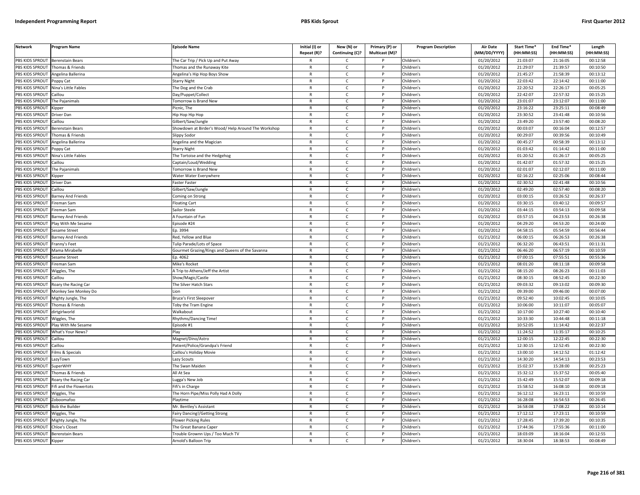| <b>Network</b>                           | <b>Program Name</b>                         | <b>Episode Name</b>                                 | Initial (I) or<br>Repeat (R)? | New (N) or                   | Primary (P) or<br>Multicast (M)? | <b>Program Description</b> | <b>Air Date</b><br>(MM/DD/YYYY) | Start Time*<br>(HH:MM:SS) | End Time*<br>(HH:MM:SS) | Length<br>(HH:MM:SS) |
|------------------------------------------|---------------------------------------------|-----------------------------------------------------|-------------------------------|------------------------------|----------------------------------|----------------------------|---------------------------------|---------------------------|-------------------------|----------------------|
|                                          |                                             |                                                     |                               | Continuing (C)?              |                                  |                            |                                 |                           |                         |                      |
| PBS KIDS SPROUT<br>PBS KIDS SPROUT       | <b>Berenstain Bears</b><br>Thomas & Friends | The Car Trip / Pick Up and Put Away                 | $\mathsf{R}$                  | C.<br>$\mathsf{C}$           | P                                | Children's<br>Children's   | 01/20/2012<br>01/20/2012        | 21:03:07<br>21:29:07      | 21:16:05<br>21:39:57    | 00:12:58<br>00:10:50 |
|                                          |                                             | homas and the Runaway Kite                          | R                             | $\mathsf{C}$                 |                                  |                            |                                 |                           |                         |                      |
| <b>BS KIDS SPROUT</b><br>PBS KIDS SPROUT | Angelina Ballerina                          | Angelina's Hip Hop Boys Show                        | $\mathsf{R}$                  | $\mathsf{C}$                 | D                                | Children's<br>Children's   | 01/20/2012<br>01/20/2012        | 21:45:27<br>22:03:42      | 21:58:39<br>22:14:42    | 00:13:12<br>00:11:00 |
| PBS KIDS SPROUT                          | oppy Cat<br>Nina's Little Fables            | Starry Night<br>he Dog and the Crab                 | R                             | c                            |                                  | Children's                 | 01/20/2012                      | 22:20:52                  | 22:26:17                | 00:05:25             |
|                                          | aillou                                      |                                                     | $\mathsf{R}$                  | $\mathsf{C}$                 | P                                |                            | 01/20/2012                      | 22:42:07                  | 22:57:32                | 00:15:25             |
| PBS KIDS SPROUT<br>PBS KIDS SPROUT       |                                             | )ay/Puppet/Collect                                  | R                             | $\mathsf{C}$                 | P                                | Children's<br>Children's   | 01/20/2012                      | 23:01:07                  | 23:12:07                | 00:11:00             |
|                                          | The Pajanimals                              | omorrow is Brand New                                | $\mathsf{R}$                  |                              | <b>D</b>                         |                            |                                 |                           |                         |                      |
| PBS KIDS SPROUT                          | ipper)                                      | icnic, The                                          |                               | $\mathsf{C}$                 | P                                | Children's                 | 01/20/2012                      | 23:16:22<br>23:30:52      | 23:25:11<br>23:41:48    | 00:08:49             |
| PBS KIDS SPROUT                          | Driver Dan                                  | Hip Hop Hip Hop                                     | $\mathsf{R}$                  | $\mathsf{C}$<br>$\mathsf{C}$ |                                  | Children's                 | 01/20/2012<br>01/20/2012        | 23:49:20                  | 23:57:40                | 00:10:56             |
| PBS KIDS SPROUT                          | aillou                                      | Gilbert/Saw/Jungle                                  | $\mathsf{R}$                  |                              |                                  | Children's                 |                                 |                           |                         | 00:08:20             |
| PBS KIDS SPROUT                          | Berenstain Bears                            | Showdown at Birder's Wood/ Help Around The Workshop | R                             | c                            | P                                | Children's                 | 01/20/2012                      | 00:03:07                  | 00:16:04                | 00:12:57             |
| PBS KIDS SPROUT                          | Thomas & Friends                            | Slippy Sodor                                        | $\mathsf{R}$                  | $\mathsf{C}$                 |                                  | Children's                 | 01/20/2012                      | 00:29:07                  | 00:39:56                | 00:10:49             |
| PBS KIDS SPROUT                          | Angelina Ballerina                          | Angelina and the Magician                           | $\mathsf{R}$                  | $\mathsf{C}$                 | P                                | Children's                 | 01/20/2012                      | 00:45:27                  | 00:58:39                | 00:13:12             |
| PBS KIDS SPROUT                          | oppy Cat                                    | Starry Night                                        | R                             | $\mathsf{C}$                 |                                  | Children's                 | 01/20/2012                      | 01:03:42                  | 01:14:42                | 00:11:00             |
| PBS KIDS SPROUT                          | Nina's Little Fables                        | The Tortoise and the Hedgehog                       | $\mathsf{R}$                  | $\mathsf{C}$                 | P                                | Children's                 | 01/20/2012                      | 01:20:52                  | 01:26:17                | 00:05:25             |
| PBS KIDS SPROUT                          | Caillou                                     | Captain/Loud/Wedding                                | R                             | C                            | P                                | Children's                 | 01/20/2012                      | 01:42:07                  | 01:57:32                | 00:15:25             |
| PBS KIDS SPROUT                          | The Pajanimals                              | omorrow is Brand New                                | R                             | $\mathsf{C}$                 | P                                | Children's                 | 01/20/2012                      | 02:01:07                  | 02:12:07                | 00:11:00             |
| PBS KIDS SPROUT                          | Kipper                                      | Water Water Everywhere                              | $\mathsf{R}$                  | $\mathsf{C}$                 | P                                | Children's                 | 01/20/2012                      | 02:16:22                  | 02:25:06                | 00:08:44             |
| PBS KIDS SPROUT                          | Driver Dan                                  | Faster Faster                                       | $\mathsf{R}$                  | $\mathsf{C}$                 | P                                | Children's                 | 01/20/2012                      | 02:30:52                  | 02:41:48                | 00:10:56             |
| PBS KIDS SPROUT                          | aillou                                      | Gilbert/Saw/Jungle                                  | R                             | $\mathsf{C}$                 |                                  | Children's                 | 01/20/2012                      | 02:49:20                  | 02:57:40                | 00:08:20             |
| PBS KIDS SPROUT                          | arney And Friends                           | Coming on Strong                                    | $\mathsf{R}$                  | $\mathsf{C}$                 | P                                | Children's                 | 01/20/2012                      | 03:00:15                  | 03:26:52                | 00:26:37             |
| <b>BS KIDS SPROUT</b>                    | ireman Sam                                  | loating Cart                                        | R                             | C                            |                                  | Children's                 | 01/20/2012                      | 03:30:15                  | 03:40:12                | 00:09:57             |
| PBS KIDS SPROUT                          | ireman Sam                                  | Sailor Steele                                       | $\mathsf{R}$                  | $\mathsf{C}$                 | <b>D</b>                         | Children's                 | 01/20/2012                      | 03:44:15                  | 03:54:13                | 00:09:58             |
| PBS KIDS SPROUT                          | <b>Barney And Friends</b>                   | A Fountain of Fun                                   | R                             | $\mathsf{C}$                 | P                                | Children's                 | 01/20/2012                      | 03:57:15                  | 04:23:53                | 00:26:38             |
| PBS KIDS SPROUT                          | lay With Me Sesame                          | pisode #24                                          | $\mathsf{R}$                  | $\mathsf{C}$                 | P                                | Children's                 | 01/20/2012                      | 04:29:20                  | 04:53:20                | 00:24:00             |
| PBS KIDS SPROUT                          | Sesame Street                               | Ep. 3994                                            | $\mathsf{R}$                  | $\mathsf{C}$                 | P                                | Children's                 | 01/20/2012                      | 04:58:15                  | 05:54:59                | 00:56:44             |
| PBS KIDS SPROUT                          | <b>Barney And Friends</b>                   | Red, Yellow and Blue                                | R                             | $\mathsf{C}$                 |                                  | Children's                 | 01/21/2012                      | 06:00:15                  | 06:26:53                | 00:26:38             |
| PBS KIDS SPROUT                          | ranny's Feet                                | Tulip Parade/Lots of Space                          | $\mathsf{R}$                  | $\mathsf{C}$                 | P                                | Children's                 | 01/21/2012                      | 06:32:20                  | 06:43:51                | 00:11:31             |
| PBS KIDS SPROUT                          | Mama Mirabelle                              | Gourmet Grazing/Kings and Queens of the Savanna     | $\mathsf{R}$                  | $\mathsf{C}$                 |                                  | Children's                 | 01/21/2012                      | 06:46:20                  | 06:57:19                | 00:10:59             |
| PBS KIDS SPROUT                          | Sesame Street                               | Ep. 4062                                            | $\mathsf{R}$                  | c                            | P                                | Children's                 | 01/21/2012                      | 07:00:15                  | 07:55:51                | 00:55:36             |
| PBS KIDS SPROUT                          | ireman Sam                                  | Mike's Rocket                                       | R                             | $\mathsf{C}$                 | P                                | Children's                 | 01/21/2012                      | 08:01:20                  | 08:11:18                | 00:09:58             |
| PBS KIDS SPROUT                          | Wiggles, The                                | A Trip to Athens/Jeff the Artist                    | $\mathsf{R}$                  | $\mathsf{C}$                 | P                                | Children's                 | 01/21/2012                      | 08:15:20                  | 08:26:23                | 00:11:03             |
| PBS KIDS SPROUT                          | aillou                                      | Show/Magic/Castle                                   | $\mathsf{R}$                  | $\mathsf{C}$                 | P                                | Children's                 | 01/21/2012                      | 08:30:15                  | 08:52:45                | 00:22:30             |
| PBS KIDS SPROUT                          | Roary the Racing Car                        | The Silver Hatch Stars                              | $\mathsf{R}$                  | c                            | P                                | Children's                 | 01/21/2012                      | 09:03:32                  | 09:13:02                | 00:09:30             |
| PBS KIDS SPROUT                          | Monkey See Monkey Do                        | ion                                                 | R                             | $\mathsf{C}$                 | P                                | Children's                 | 01/21/2012                      | 09:39:00                  | 09:46:00                | 00:07:00             |
| PBS KIDS SPROUT                          | Mighty Jungle, The                          | Bruce's First Sleepover                             | $\mathsf{R}$                  | $\mathsf{C}$                 | P                                | Children's                 | $\overline{01}/21/2012$         | 09:52:40                  | 10:02:45                | 00:10:05             |
| PBS KIDS SPROUT                          | Thomas & Friends                            | Toby the Tram Engine                                | R                             | $\mathsf{C}$                 |                                  | Children's                 | 01/21/2012                      | 10:06:00                  | 10:11:07                | 00:05:07             |
| PBS KIDS SPROUT                          | dirtgirlworld                               | Walkabout                                           | $\mathsf{R}$                  | $\mathcal{C}$                | D                                | Children's                 | 01/21/2012                      | 10:17:00                  | 10:27:40                | 00:10:40             |
| PBS KIDS SPROUT                          | Wiggles, The                                | <b>Rhythms/Dancing Time!</b>                        | R                             | C                            |                                  | Children's                 | 01/21/2012                      | 10:33:30                  | 10:44:48                | 00:11:18             |
| PBS KIDS SPROUT                          | lay With Me Sesame                          | pisode #1                                           | $\overline{R}$                | $\mathsf{C}$                 |                                  | Children's                 | 01/21/2012                      | 10:52:05                  | 11:14:42                | 00:22:37             |
| <b>BS KIDS SPROUT</b>                    | What's Your News?                           | lav                                                 | $\mathsf{R}$                  | $\mathsf{C}$                 | P                                | Children's                 | 01/21/2012                      | 11:24:52                  | 11:35:17                | 00:10:25             |
| PBS KIDS SPROUT                          | aillou                                      | Magnet/Dino/Astro                                   | $\overline{R}$                | $\mathsf{C}$                 | <b>D</b>                         | Children's                 | 01/21/2012                      | 12:00:15                  | 12:22:45                | 00:22:30             |
| PBS KIDS SPROUT                          | Caillou                                     | Patient/Police/Grandpa's Friend                     | $\mathsf{R}$                  | $\mathsf{C}$                 | P                                | Children's                 | 01/21/2012                      | 12:30:15                  | 12:52:45                | 00:22:30             |
| PBS KIDS SPROUT                          | ilms & Specials                             | Caillou's Holiday Movie                             | R                             | $\mathsf{C}$                 |                                  | Children's                 | 01/21/2012                      | 13:00:10                  | 14:12:52                | 01:12:42             |
| PBS KIDS SPROUT                          | LazyTown                                    | Lazy Scouts                                         | $\mathsf{R}$                  | $\mathsf{C}$                 | P                                | Children's                 | 01/21/2012                      | 14:30:20                  | 14:54:13                | 00:23:53             |
| PBS KIDS SPROUT                          | SuperWHY                                    | The Swan Maiden                                     | $\mathsf{R}$                  | $\mathsf{C}$                 | P                                | Children's                 | 01/21/2012                      | 15:02:37                  | 15:28:00                | 00:25:23             |
| PBS KIDS SPROUT                          | Thomas & Friends                            | All At Sea                                          | R                             | $\mathsf{C}$                 | P                                | Children's                 | $\overline{01}/21/2012$         | 15:32:12                  | 15:37:52                | 00:05:40             |
| PBS KIDS SPROUT                          | Roary the Racing Car                        | ugga's New Job                                      | $\mathsf{R}$                  | $\mathsf{C}$                 | P                                | Children's                 | 01/21/2012                      | 15:42:49                  | 15:52:07                | 00:09:18             |
| PBS KIDS SPROUT                          | ifi and the Flowertots                      | Fifi's in Charge                                    | $\mathsf{R}$                  | $\mathsf{C}$                 | P                                | Children's                 | 01/21/2012                      | 15:58:52                  | 16:08:10                | 00:09:18             |
| PBS KIDS SPROUT                          | Wiggles, The                                | The Horn Pipe/Miss Polly Had A Dolly                | $\mathsf{R}$                  | c                            |                                  | Children's                 | 01/21/2012                      | 16:12:12                  | 16:23:11                | 00:10:59             |
| PBS KIDS SPROUT                          | Zoboomafoo                                  | laytime                                             | R                             | $\mathsf{C}$                 | P                                | Children's                 | 01/21/2012                      | 16:28:08                  | 16:54:53                | 00:26:45             |
| PBS KIDS SPROUT                          | <b>Bob the Builder</b>                      | Mr. Bentley's Assistant                             | $\mathsf{R}$                  | $\mathsf{C}$                 | P                                | Children's                 | 01/21/2012                      | 16:58:08                  | 17:08:22                | 00:10:14             |
| PBS KIDS SPROUT                          | Wiggles, The                                | Fairy Dancing!/Getting Strong                       | $\mathsf{R}$                  | $\mathsf{C}$                 | P                                | Children's                 | 01/21/2012                      | 17:12:12                  | 17:23:11                | 00:10:59             |
| PBS KIDS SPROUT                          | Mighty Jungle, The                          | lower Picking Rules                                 | R                             | $\mathsf{C}$                 |                                  | Children's                 | 01/21/2012                      | 17:28:45                  | 17:39:20                | 00:10:35             |
| PBS KIDS SPROUT                          | <b>Chloe's Closet</b>                       | he Great Banana Caper                               | $\mathsf{R}$                  | $\mathsf{C}$                 | P                                | Children's                 | 01/21/2012                      | 17:44:36                  | 17:55:36                | 00:11:00             |
| PBS KIDS SPROUT                          | <b>Berenstain Bears</b>                     | rouble Grownn Ups / Too Much TV                     | R                             | C                            |                                  | Children's                 | 01/21/2012                      | 18:03:09                  | 18:16:04                | 00:12:55             |
| PBS KIDS SPROUT                          | Kipper                                      | Arnold's Balloon Trip                               | $\mathsf{R}$                  | $\mathsf{C}$                 |                                  | Children's                 | 01/21/2012                      | 18:30:04                  | 18:38:53                | 00:08:49             |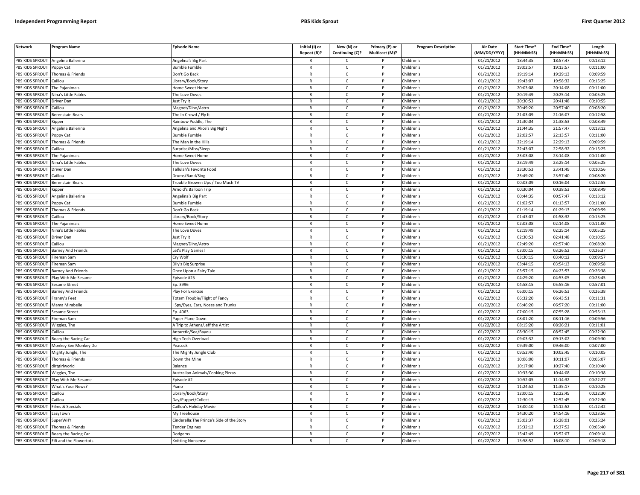| <b>Network</b>         | Program Name              | <b>Episode Name</b>                        | Initial (I) or<br>Repeat (R)? | New (N) or<br>Continuing (C)? | Primary (P) or<br>Multicast (M)? | <b>Program Description</b> | <b>Air Date</b><br>(MM/DD/YYYY) | Start Time*<br>(HH:MM:SS) | End Time*<br>(HH:MM:SS) | Length<br>(HH:MM:SS) |
|------------------------|---------------------------|--------------------------------------------|-------------------------------|-------------------------------|----------------------------------|----------------------------|---------------------------------|---------------------------|-------------------------|----------------------|
| PBS KIDS SPROUT        | Angelina Ballerina        | Angelina's Big Part                        |                               | $\mathsf{C}$                  |                                  | Children's                 | 01/21/2012                      | 18:44:35                  | 18:57:47                | 00:13:12             |
| PBS KIDS SPROUT        | Poppy Cat                 | Bumble Fumble                              | $\mathsf{R}$                  | $\mathsf{C}$                  | P                                | Children's                 | $\overline{01}/21/2012$         | 19:02:57                  | 19:13:57                | 00:11:00             |
| PBS KIDS SPROUT        | Thomas & Friends          | Don't Go Back                              | $\mathsf{R}$                  | $\mathsf{C}$                  |                                  | Children's                 | 01/21/2012                      | 19:19:14                  | 19:29:13                | 00:09:59             |
| PBS KIDS SPROUT        | Caillou                   | Library/Book/Story                         | $\mathsf{R}$                  | $\mathsf{C}$                  | D                                | Children's                 | 01/21/2012                      | 19:43:07                  | 19:58:32                | 00:15:25             |
| PBS KIDS SPROUT        | The Pajanimals            | Home Sweet Home                            | $\mathsf{R}$                  | c                             |                                  | Children's                 | 01/21/2012                      | 20:03:08                  | 20:14:08                | 00:11:00             |
| PBS KIDS SPROUT        | Nina's Little Fables      | The Love Doves                             | $\mathsf{R}$                  | $\mathsf{C}$                  | P                                | Children's                 | 01/21/2012                      | 20:19:49                  | 20:25:14                | 00:05:25             |
| PBS KIDS SPROUT        | Driver Dan                | Just Try It                                | $\mathsf{R}$                  | C                             | P                                | Children's                 | 01/21/2012                      | 20:30:53                  | 20:41:48                | 00:10:55             |
| PBS KIDS SPROUT        | Caillou                   | Magnet/Dino/Astro                          | ${\sf R}$                     | $\mathsf{C}$                  | <b>D</b>                         | Children's                 | 01/21/2012                      | 20:49:20                  | 20:57:40                | 00:08:20             |
| PBS KIDS SPROUT        | Berenstain Bears          | The In Crowd / Fly It                      | ${\sf R}$                     | $\mathsf{C}$                  | P                                | Children's                 | 01/21/2012                      | 21:03:09                  | 21:16:07                | 00:12:58             |
| PBS KIDS SPROUT        | ipper                     | Rainbow Puddle, The                        | $\mathsf{R}$                  | $\mathsf{C}$                  |                                  | Children's                 | 01/21/2012                      | 21:30:04                  | 21:38:53                | 00:08:49             |
| PBS KIDS SPROUT        | Angelina Ballerina        | Angelina and Alice's Big Night             | $\mathsf{R}$                  | C                             | P                                | Children's                 | 01/21/2012                      | 21:44:35                  | 21:57:47                | 00:13:12             |
| PBS KIDS SPROUT        | Poppy Cat                 | <b>Bumble Fumble</b>                       | $\mathsf{R}$                  | $\mathsf{C}$                  | P                                | Children's                 | 01/21/2012                      | 22:02:57                  | 22:13:57                | 00:11:00             |
| PBS KIDS SPROUT        | Thomas & Friends          | The Man in the Hills                       | $\mathsf{R}$                  | $\mathsf{C}$                  | $\mathsf{P}$                     | Children's                 | 01/21/2012                      | 22:19:14                  | 22:29:13                | 00:09:59             |
| PBS KIDS SPROUT        | Caillou                   | Surprise/Miss/Sleep                        | $\mathsf{R}$                  | $\mathsf{C}$                  |                                  | Children's                 | 01/21/2012                      | 22:43:07                  | 22:58:32                | 00:15:25             |
| PBS KIDS SPROUT        | The Pajanimals            | <b>Home Sweet Home</b>                     | $\mathsf{R}$                  | $\mathsf{C}$                  | P                                | Children's                 | 01/21/2012                      | 23:03:08                  | 23:14:08                | 00:11:00             |
| PBS KIDS SPROUT        | Nina's Little Fables      | The Love Doves                             | $\mathsf{R}$                  | $\mathsf{C}$                  | P                                | Children's                 | 01/21/2012                      | 23:19:49                  | 23:25:14                | 00:05:25             |
| PBS KIDS SPROUT        | Driver Dan                | Tallulah's Favorite Food                   | $\mathsf{R}$                  | $\mathsf{C}$                  | P                                | Children's                 | 01/21/2012                      | 23:30:53                  | 23:41:49                | 00:10:56             |
| <b>PBS KIDS SPROUT</b> | Caillou                   | Drums/Band/Sing                            | $\mathsf{R}$                  | $\mathsf{C}$                  | P                                | Children's                 | 01/21/2012                      | 23:49:20                  | 23:57:40                | 00:08:20             |
| PBS KIDS SPROUT        | Berenstain Bears          | Trouble Grownn Ups / Too Much TV           | $\mathsf{R}$                  | $\mathsf{C}$                  | P                                | Children's                 | 01/21/2012                      | 00:03:09                  | 00:16:04                | 00:12:55             |
| PBS KIDS SPROUT        | <b>Kipper</b>             | Arnold's Balloon Trip                      | $\mathsf{R}$                  | $\mathsf{C}$                  | P                                | Children's                 | 01/21/2012                      | 00:30:04                  | 00:38:53                | 00:08:49             |
| PBS KIDS SPROUT        | Angelina Ballerina        | Angelina's Big Part                        | $\mathsf{R}$                  | $\mathsf{C}$                  | P                                | Children's                 | 01/21/2012                      | 00:44:35                  | 00:57:47                | 00:13:12             |
| PBS KIDS SPROUT        | Poppy Cat                 | <b>Bumble Fumble</b>                       | $\mathsf{R}$                  | $\mathsf{C}$                  |                                  | Children's                 | 01/21/2012                      | 01:02:57                  | 01:13:57                | 00:11:00             |
| PBS KIDS SPROUT        | Thomas & Friends          | Don't Go Back                              | $\mathsf{R}$                  | $\mathsf{C}$                  | D                                | Children's                 | 01/21/2012                      | 01:19:14                  | 01:29:13                | 00:09:59             |
| PBS KIDS SPROUT        | Caillou                   | Library/Book/Story                         | $\mathsf{R}$                  | $\mathsf{C}$                  | P                                | Children's                 | 01/21/2012                      | 01:43:07                  | 01:58:32                | 00:15:25             |
| PBS KIDS SPROUT        | The Pajanimals            | <b>Home Sweet Home</b>                     | $\mathsf{R}$                  | $\mathsf{C}$                  |                                  | Children's                 | 01/21/2012                      | 02:03:08                  | 02:14:08                | 00:11:00             |
| PBS KIDS SPROUT        | Nina's Little Fables      | The Love Doves                             | $\mathsf{R}$                  | $\mathsf{C}$                  | P                                | Children's                 | 01/21/2012                      | 02:19:49                  | 02:25:14                | 00:05:25             |
| PBS KIDS SPROUT        | Driver Dan                | Just Try It                                | $\mathsf{R}$                  | $\mathsf{C}$                  |                                  | Children's                 | 01/21/2012                      | 02:30:53                  | 02:41:48                | 00:10:55             |
| PBS KIDS SPROUT        | Caillou                   | Magnet/Dino/Astro                          | ${\sf R}$                     | $\mathsf{C}$                  | P                                | Children's                 | 01/21/2012                      | 02:49:20                  | 02:57:40                | 00:08:20             |
| PBS KIDS SPROUT        | Barney And Friends        | Let's Play Games!                          | R                             | $\mathsf{C}$                  |                                  | Children's                 | 01/21/2012                      | 03:00:15                  | 03:26:52                | 00:26:37             |
| PBS KIDS SPROUT        | Fireman Sam               | Cry Wolf                                   | $\mathsf{R}$                  | C                             | P                                | Children's                 | 01/21/2012                      | 03:30:15                  | 03:40:12                | 00:09:57             |
| PBS KIDS SPROUT        | Fireman Sam               | Dily's Big Surprise                        | $\mathsf{R}$                  | $\mathsf{C}$                  | P                                | Children's                 | 01/21/2012                      | 03:44:15                  | 03:54:13                | 00:09:58             |
| PBS KIDS SPROUT        | Barney And Friends        | Once Upon a Fairy Tale                     | $\mathsf{R}$                  | $\mathsf{C}$                  | $\mathsf{P}$                     | Children's                 | 01/21/2012                      | 03:57:15                  | 04:23:53                | 00:26:38             |
| PBS KIDS SPROUT        | Play With Me Sesame       | Episode #25                                | $\mathsf{R}$                  | $\mathsf{C}$                  | P                                | Children's                 | 01/21/2012                      | 04:29:20                  | 04:53:05                | 00:23:45             |
| PBS KIDS SPROUT        | Sesame Street             | Ep. 3996                                   | $\mathsf{R}$                  | $\mathsf{C}$                  | P                                | Children's                 | 01/21/2012                      | 04:58:15                  | 05:55:16                | 00:57:01             |
| PBS KIDS SPROUT        | <b>Barney And Friends</b> | Play For Exercise                          | $\mathsf{R}$                  | $\mathsf{C}$                  | P                                | Children's                 | 01/22/2012                      | 06:00:15                  | 06:26:53                | 00:26:38             |
| PBS KIDS SPROUT        | Franny's Feet             | <b>Fotem Trouble/Flight of Fancy</b>       | $\mathsf{R}$                  | $\mathsf{C}$                  | P                                | Children's                 | 01/22/2012                      | 06:32:20                  | 06:43:51                | 00:11:31             |
| PBS KIDS SPROUT        | Mama Mirabelle            | Spy/Eyes, Ears, Noses and Trunks           | $\mathsf{R}$                  | C                             |                                  | Children's                 | 01/22/2012                      | 06:46:20                  | 06:57:20                | 00:11:00             |
| PBS KIDS SPROUT        | Sesame Street             | Ep. 4063                                   | $\mathsf{R}$                  | $\mathsf{C}$                  | <b>D</b>                         | Children's                 | 01/22/2012                      | 07:00:15                  | 07:55:28                | 00:55:13             |
| PBS KIDS SPROUT        | Fireman Sam               | Paper Plane Down                           | $\mathsf{R}$                  | $\mathsf{C}$                  | P                                | Children's                 | 01/22/2012                      | 08:01:20                  | 08:11:16                | 00:09:56             |
| PBS KIDS SPROUT        | Niggles, The              | A Trip to Athens/Jeff the Artist           | $\mathsf{R}$                  | $\mathsf{C}$                  | <b>D</b>                         | Children's                 | 01/22/2012                      | 08:15:20                  | 08:26:21                | 00:11:01             |
| PBS KIDS SPROUT        | Caillou                   | Antarctic/Sea/Bayou                        | $\mathsf{R}$                  | $\mathsf{C}$                  | P                                | Children's                 | 01/22/2012                      | 08:30:15                  | 08:52:45                | 00:22:30             |
| PBS KIDS SPROUT        | Roary the Racing Car      | <b>High Tech Overload</b>                  | $\mathsf{R}$                  | $\mathsf{C}$                  |                                  | Children's                 | 01/22/2012                      | 09:03:32                  | 09:13:02                | 00:09:30             |
| PBS KIDS SPROUT        | Monkey See Monkey Do      | Peacock                                    | $\mathsf{R}$                  | $\mathsf{C}$                  | P                                | Children's                 | 01/22/2012                      | 09:39:00                  | 09:46:00                | 00:07:00             |
| PBS KIDS SPROUT        | Mighty Jungle, The        | The Mighty Jungle Club                     | $\mathsf{R}$                  | $\mathsf{C}$                  |                                  | Children's                 | 01/22/2012                      | 09:52:40                  | 10:02:45                | 00:10:05             |
| PBS KIDS SPROUT        | Thomas & Friends          | Down the Mine                              | $\mathsf{R}$                  | C                             | P                                | Children's                 | 01/22/2012                      | 10:06:00                  | 10:11:07                | 00:05:07             |
| PBS KIDS SPROUT        | dirtgirlworld             | Balance                                    | $\mathsf{R}$                  | $\mathsf{C}$                  | P                                | Children's                 | 01/22/2012                      | 10:17:00                  | 10:27:40                | 00:10:40             |
| PBS KIDS SPROUT        | Wiggles, The              | Australian Animals/Cooking Pizzas          | $\mathsf{R}$                  | $\mathsf{C}$                  | $\mathsf{P}$                     | Children's                 | 01/22/2012                      | 10:33:30                  | 10:44:08                | 00:10:38             |
| PBS KIDS SPROUT        | Play With Me Sesame       | Episode #2                                 | $\mathsf{R}$                  | $\mathsf{C}$                  | P                                | Children's                 | 01/22/2012                      | 10:52:05                  | 11:14:32                | 00:22:27             |
| PBS KIDS SPROUT        | What's Your News?         | Piano                                      | $\mathsf{R}$                  | C                             | P                                | Children's                 | 01/22/2012                      | 11:24:52                  | 11:35:17                | 00:10:25             |
| PBS KIDS SPROUT        | Caillou                   | ibrary/Book/Story                          | $\mathsf{R}$                  | C                             | P                                | Children's                 | 01/22/2012                      | 12:00:15                  | 12:22:45                | 00:22:30             |
| PBS KIDS SPROUT        | Caillou                   | Day/Puppet/Collect                         | $\mathsf{R}$                  | $\mathsf{C}$                  | P                                | Children's                 | 01/22/2012                      | 12:30:15                  | 12:52:45                | 00:22:30             |
| PBS KIDS SPROUT        | Films & Specials          | Caillou's Holiday Movie                    | $\mathsf{R}$                  | $\mathsf{C}$                  |                                  | Children's                 | 01/22/2012                      | 13:00:10                  | 14:12:52                | 01:12:42             |
| PBS KIDS SPROUT        | azyTown.                  | My Treehouse                               | $\mathsf{R}$                  | $\mathsf{C}$                  | D                                | Children's                 | 01/22/2012                      | 14:30:20                  | 14:54:16                | 00:23:56             |
| PBS KIDS SPROUT        | <b>SuperWHY</b>           | Cinderella: The Prince's Side of the Story | R                             | $\mathsf{C}$                  | P                                | Children's                 | 01/22/2012                      | 15:02:37                  | 15:28:01                | 00:25:24             |
| PBS KIDS SPROUT        | Thomas & Friends          | ender Engines                              | $\mathsf{R}$                  | $\mathsf{C}$                  |                                  | Children's                 | 01/22/2012                      | 15:32:12                  | 15:37:52                | 00:05:40             |
| PBS KIDS SPROUT        | Roary the Racing Car      | Dodgems                                    | $\mathsf{R}$                  | C                             | P                                | Children's                 | 01/22/2012                      | 15:42:49                  | 15:52:07                | 00:09:18             |
| PBS KIDS SPROUT        | Fifi and the Flowertots   | Knitting Nonsense                          | $\mathsf{R}$                  | $\mathsf{C}$                  | D                                | Children's                 | 01/22/2012                      | 15:58:52                  | 16:08:10                | 00:09:18             |
|                        |                           |                                            |                               |                               |                                  |                            |                                 |                           |                         |                      |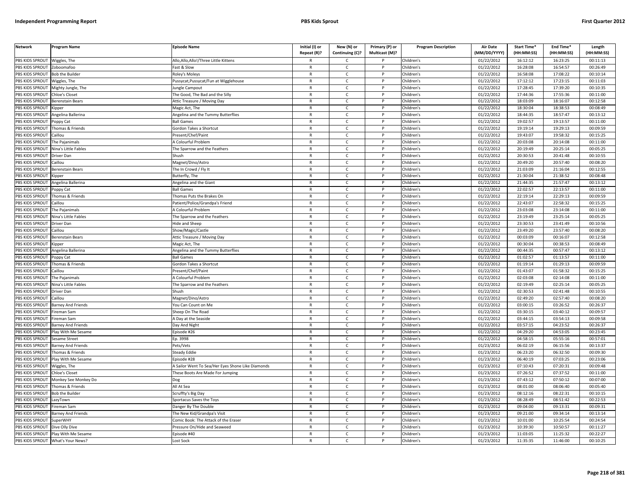| PBS KIDS SPROUT<br>Allo, Allo, Allo!/Three Little Kittens<br>01/22/2012<br>16:12:12<br>16:23:25<br>00:11:13<br>Wiggles, The<br>Children's<br>$\mathsf{C}$<br>PBS KIDS SPROUT<br>Fast & Slow<br>Children's<br>01/22/2012<br>16:28:08<br>16:54:57<br>00:26:49<br>Zoboomafoo<br>$\mathsf{R}$<br>$\mathsf{C}$<br>P<br>PBS KIDS SPROUT<br><b>Bob the Builder</b><br>Roley's Moleys<br>Children's<br>01/22/2012<br>16:58:08<br>17:08:22<br>00:10:14<br>$\mathsf{C}$<br>$\mathsf{R}$<br>PBS KIDS SPROUT<br>Pussycat, Pussycat/Fun at Wigglehouse<br>$\mathsf{R}$<br>$\mathsf{C}$<br>D<br>Children's<br>01/22/2012<br>17:12:12<br>17:23:15<br>00:11:03<br>Wiggles, The<br>PBS KIDS SPROUT<br>ungle Campout<br>Children's<br>01/22/2012<br>17:28:45<br>17:39:20<br>00:10:35<br>Mighty Jungle, The<br>$\mathsf{R}$<br>c<br>PBS KIDS SPROUT<br>01/22/2012<br>17:44:36<br>17:55:36<br>00:11:00<br>Chloe's Closet<br>The Good, The Bad and the Silly<br>$\mathsf{R}$<br>$\mathsf{C}$<br>Children's<br>P<br>PBS KIDS SPROUT<br>01/22/2012<br>18:03:09<br>18:16:07<br>00:12:58<br><b>Berenstain Bears</b><br>Attic Treasure / Moving Day<br>$\mathsf{C}$<br>Children's<br>$\mathsf{R}$<br>P<br>PBS KIDS SPROUT<br>$\mathsf{R}$<br>$\mathsf{C}$<br>Children's<br>01/22/2012<br>18:30:04<br>18:38:53<br>00:08:49<br><b>D</b><br>Magic Act, The<br>(ipper<br><b>PBS KIDS SPROUT</b><br>18:44:35<br>18:57:47<br>$\mathsf{C}$<br>Children's<br>01/22/2012<br>00:13:12<br>Angelina Ballerina<br>Angelina and the Tummy Butterflies<br>${\sf R}$<br>P<br>01/22/2012<br>19:02:57<br>19:13:57<br>PBS KIDS SPROUT<br>Children's<br>00:11:00<br><b>Ball Games</b><br>$\mathsf{R}$<br>C<br>oppy Cat<br>PBS KIDS SPROUT<br>01/22/2012<br>19:19:14<br>19:29:13<br>00:09:59<br>Thomas & Friends<br>Gordon Takes a Shortcut<br>$\mathsf{R}$<br>C<br>P<br>Children's<br>PBS KIDS SPROUT<br>Children's<br>01/22/2012<br>19:43:07<br>19:58:32<br>00:15:25<br>Present/Chef/Paint<br>$\mathsf{C}$<br>Caillou<br>$\mathsf{R}$<br>20:14:08<br>PBS KIDS SPROUT<br>The Pajanimals<br>A Colourful Problem<br>$\mathsf{R}$<br>$\mathsf{C}$<br>P<br>Children's<br>01/22/2012<br>20:03:08<br>00:11:00<br>20:25:14<br>PBS KIDS SPROUT<br>Nina's Little Fables<br>The Sparrow and the Feathers<br>$\mathsf{C}$<br>Children's<br>01/22/2012<br>20:19:49<br>00:05:25<br>$\mathsf{R}$<br>20:30:53<br>20:41:48<br>PBS KIDS SPROUT<br>Driver Dan<br>Shush<br>$\mathsf{R}$<br>$\mathsf{C}$<br>$\mathsf{P}$<br>Children's<br>01/22/2012<br>00:10:55<br>PBS KIDS SPROUT<br>Magnet/Dino/Astro<br>Children's<br>01/22/2012<br>20:49:20<br>20:57:40<br>00:08:20<br>Caillou<br>$\mathsf{R}$<br>C<br>P<br>PBS KIDS SPROUT<br>The In Crowd / Fly It<br>$\mathsf{C}$<br>Children's<br>01/22/2012<br>21:03:09<br>21:16:04<br>00:12:55<br>Berenstain Bears<br>$\mathsf{R}$<br>P<br>PBS KIDS SPROUT<br>01/22/2012<br>21:30:04<br>21:38:52<br>00:08:48<br>Butterfly, The<br>$\mathsf{R}$<br>$\mathsf{C}$<br>P<br>Children's<br><b>Cinner</b><br>01/22/2012<br>21:44:35<br>21:57:47<br>00:13:12<br>PBS KIDS SPROUT<br>Angelina Ballerina<br>Angelina and the Giant<br>$\mathsf{R}$<br>$\mathsf{C}$<br>P<br>Children's<br>PBS KIDS SPROUT<br>01/22/2012<br>22:02:57<br>22:13:57<br>00:11:00<br>Poppy Cat<br>Ball Games<br>$\mathsf{R}$<br>$\mathsf{C}$<br>D<br>Children's<br>PBS KIDS SPROUT<br>$\mathsf{R}$<br>$\mathsf{C}$<br>D<br>Children's<br>01/22/2012<br>22:19:14<br>22:29:13<br>00:09:59<br>Thomas & Friends<br>Thomas Puts the Brakes On<br>PBS KIDS SPROUT<br>Patient/Police/Grandpa's Friend<br>Children's<br>01/22/2012<br>22:43:07<br>22:58:32<br>00:15:25<br>Caillou<br>R<br>C<br>PBS KIDS SPROUT<br>$\mathsf{C}$<br>01/22/2012<br>23:03:08<br>$\mathsf{R}$<br><b>D</b><br>Children's<br>23:14:08<br>00:11:00<br>The Pajanimals<br>A Colourful Problem<br>PBS KIDS SPROUT<br>01/22/2012<br>23:19:49<br>23:25:14<br>Nina's Little Fables<br>$\mathsf{C}$<br>Children's<br>00:05:25<br>The Sparrow and the Feathers<br>$\mathsf{R}$<br>P<br>PBS KIDS SPROUT<br>Children's<br>01/22/2012<br>23:30:53<br>23:41:49<br>00:10:56<br>Hide and Sheep<br>$\mathsf{R}$<br>$\mathsf{C}$<br>P<br>Driver Dan<br>23:49:20<br>23:57:40<br>PBS KIDS SPROUT<br>01/22/2012<br>00:08:20<br>Caillou<br>Show/Magic/Castle<br>$\mathsf{R}$<br>$\mathsf{C}$<br>Children's<br>P<br>01/22/2012<br>00:03:09<br>00:12:58<br>PBS KIDS SPROUT<br>$\mathsf{C}$<br>Children's<br>00:16:07<br>Berenstain Bears<br>Attic Treasure / Moving Day<br>$\mathsf{R}$<br>PBS KIDS SPROUT<br>$\mathsf{R}$<br>$\mathsf{C}$<br>Children's<br>01/22/2012<br>00:30:04<br>00:38:53<br>00:08:49<br>Kipper<br>Magic Act, The<br>P<br>PBS KIDS SPROUT<br>01/22/2012<br>00:44:35<br>00:57:47<br>00:13:12<br>$\mathsf{C}$<br>Children's<br>Angelina Ballerina<br>Angelina and the Tummy Butterflies<br>$\mathsf{R}$<br>01:02:57<br>00:11:00<br>PBS KIDS SPROUT<br>Children's<br>01/22/2012<br>01:13:57<br>Poppy Cat<br><b>Ball Games</b><br>$\mathsf{R}$<br>C<br>P<br>PBS KIDS SPROUT<br>01/22/2012<br>Thomas & Friends<br>Gordon Takes a Shortcut<br>$\mathsf{C}$<br>Children's<br>01:19:14<br>01:29:13<br>00:09:59<br>$\mathsf{R}$<br>P<br>PBS KIDS SPROUT<br>01/22/2012<br>01:43:07<br>01:58:32<br>Caillou<br>Present/Chef/Paint<br>$\mathsf{R}$<br>$\mathsf{C}$<br>Children's<br>00:15:25<br>$\mathsf{P}$<br>PBS KIDS SPROUT<br>A Colourful Problem<br>$\mathsf{C}$<br>Children's<br>01/22/2012<br>02:03:08<br>02:14:08<br>00:11:00<br>The Pajanimals<br>$\mathsf{R}$<br>P<br>PBS KIDS SPROUT<br>Nina's Little Fables<br>Children's<br>01/22/2012<br>02:19:49<br>02:25:14<br>00:05:25<br>The Sparrow and the Feathers<br>$\mathsf{R}$<br>C<br>P<br>PBS KIDS SPROUT<br>Driver Dan<br>Children's<br>01/22/2012<br>02:30:53<br>02:41:48<br>00:10:55<br>Shush<br>$\mathsf{R}$<br>C<br>P<br>PBS KIDS SPROUT<br>01/22/2012<br>02:49:20<br>02:57:40<br>00:08:20<br>Caillou<br>Magnet/Dino/Astro<br>$\mathsf{R}$<br>$\mathsf{C}$<br>P<br>Children's<br>PBS KIDS SPROUT<br>01/22/2012<br>03:00:15<br>03:26:52<br>00:26:37<br><b>Barney And Friends</b><br>You Can Count on Me<br>$\mathsf{R}$<br>$\mathsf{C}$<br>Children's<br>PBS KIDS SPROUT<br>Sheep On The Road<br>$\mathsf{R}$<br>$\mathsf{C}$<br><sub>D</sub><br>Children's<br>01/22/2012<br>03:30:15<br>03:40:12<br>00:09:57<br>Fireman Sam<br>PBS KIDS SPROUT<br>Fireman Sam<br>A Day at the Seaside<br>Children's<br>01/22/2012<br>03:44:15<br>03:54:13<br>00:09:58<br>R<br>C<br>03:57:15<br>04:23:52<br>PBS KIDS SPROUT<br>Barney And Friends<br>Day And Night<br>$\mathsf{R}$<br>$\mathsf{C}$<br>Children's<br>01/22/2012<br>00:26:37<br>PBS KIDS SPROUT<br>01/22/2012<br>04:29:20<br>04:53:05<br>00:23:45<br>Play With Me Sesame<br>Episode #26<br>$\mathsf{C}$<br>Children's<br>$\mathsf{R}$<br>P<br>PBS KIDS SPROUT<br>Ep. 3998<br>Children's<br>01/22/2012<br>04:58:15<br>05:55:16<br>00:57:01<br>$\mathsf{R}$<br>$\epsilon$<br>P<br>Sesame Street<br>PBS KIDS SPROUT<br>01/23/2012<br>06:02:19<br>06:15:56<br>$\mathsf{C}$<br>Children's<br>00:13:37<br><b>Barney And Friends</b><br>Pets/Vets<br>$\mathsf{R}$<br>P<br>PBS KIDS SPROUT<br>01/23/2012<br>06:23:20<br>00:09:30<br>Steady Eddie<br>$\mathsf{C}$<br>Children's<br>06:32:50<br>Thomas & Friends<br>$\mathsf{R}$<br>06:40:19<br>07:03:25<br>PBS KIDS SPROUT<br>Play With Me Sesame<br>Episode #28<br>$\mathsf{C}$<br>Children's<br>01/23/2012<br>00:23:06<br>$\mathsf{R}$<br>P<br>PBS KIDS SPROUT<br>Children's<br>01/23/2012<br>07:10:43<br>07:20:31<br>00:09:48<br>A Sailor Went To Sea/Her Eyes Shone Like Diamonds<br>$\mathsf{C}$<br>Wiggles, The<br>$\mathsf{R}$<br>PBS KIDS SPROUT<br>$\overline{01}/23/2012$<br>07:26:52<br>07:37:52<br><b>Chloe's Closet</b><br>These Boots Are Made For Jumping<br>$\mathsf{C}$<br>Children's<br>00:11:00<br>$\mathsf{R}$<br>P<br>PBS KIDS SPROUT<br>01/23/2012<br>Monkey See Monkey Do<br>$\mathsf{R}$<br>$\mathsf{C}$<br>P<br>Children's<br>07:43:12<br>07:50:12<br>00:07:00<br>Dog<br>01/23/2012<br>08:01:00<br>08:06:40<br>PBS KIDS SPROUT<br>Thomas & Friends<br>All At Sea<br>$\mathsf{R}$<br>$\mathsf{C}$<br>P<br>Children's<br>00:05:40<br>PBS KIDS SPROUT<br>08:12:16<br>08:22:31<br><b>Bob the Builder</b><br>Scruffty's Big Day<br>C<br>Children's<br>01/23/2012<br>00:10:15<br>R<br>PBS KIDS SPROUT<br>$\mathsf{C}$<br>Children's<br>01/23/2012<br>08:28:49<br>08:51:42<br>00:22:53<br>LazyTown<br>Sportacus Saves the Toys<br>$\mathsf{R}$<br>P<br>PBS KIDS SPROUT<br>Danger By The Double<br>Children's<br>01/23/2012<br>09:04:00<br>09:13:31<br>00:09:31<br>Fireman Sam<br>$\mathsf{R}$<br>C<br>P<br>01/23/2012<br>09:21:00<br>09:34:14<br>00:13:14<br>PBS KIDS SPROUT<br><b>Barney And Friends</b><br>The New Kid/Grandpa's Visit<br>$\mathsf{R}$<br>$\mathsf{C}$<br>P<br>Children's<br>PBS KIDS SPROUT<br>01/23/2012<br>10:01:00<br>10:25:54<br>00:24:54<br><b>SuperWHY</b><br>Comic Book: The Attack of the Eraser<br>$\mathsf{R}$<br>$\mathsf{C}$<br>D<br>Children's<br>PBS KIDS SPROUT<br>Pressure On/Hide and Seaweed<br>Children's<br>01/23/2012<br>10:39:30<br>10:50:57<br>00:11:27<br>Dive Olly Dive<br>$\mathsf{R}$<br>$\mathsf{C}$<br>P<br>PBS KIDS SPROUT<br>Play With Me Sesame<br>Episode #40<br>Children's<br>01/23/2012<br>11:03:05<br>11:25:32<br>00:22:27<br>C<br>What's Your News?<br>$\mathsf{R}$<br>$\mathsf{C}$<br>11:46:00 | <b>Network</b>  | Program Name | <b>Episode Name</b> | Initial (I) or<br>Repeat (R)? | New (N) or<br>Continuing (C)? | Primary (P) or<br>Multicast (M)? | <b>Program Description</b> | <b>Air Date</b><br>(MM/DD/YYYY) | Start Time*<br>(HH:MM:SS) | End Time*<br>(HH:MM:SS) | Length<br>(HH:MM:SS) |
|-------------------------------------------------------------------------------------------------------------------------------------------------------------------------------------------------------------------------------------------------------------------------------------------------------------------------------------------------------------------------------------------------------------------------------------------------------------------------------------------------------------------------------------------------------------------------------------------------------------------------------------------------------------------------------------------------------------------------------------------------------------------------------------------------------------------------------------------------------------------------------------------------------------------------------------------------------------------------------------------------------------------------------------------------------------------------------------------------------------------------------------------------------------------------------------------------------------------------------------------------------------------------------------------------------------------------------------------------------------------------------------------------------------------------------------------------------------------------------------------------------------------------------------------------------------------------------------------------------------------------------------------------------------------------------------------------------------------------------------------------------------------------------------------------------------------------------------------------------------------------------------------------------------------------------------------------------------------------------------------------------------------------------------------------------------------------------------------------------------------------------------------------------------------------------------------------------------------------------------------------------------------------------------------------------------------------------------------------------------------------------------------------------------------------------------------------------------------------------------------------------------------------------------------------------------------------------------------------------------------------------------------------------------------------------------------------------------------------------------------------------------------------------------------------------------------------------------------------------------------------------------------------------------------------------------------------------------------------------------------------------------------------------------------------------------------------------------------------------------------------------------------------------------------------------------------------------------------------------------------------------------------------------------------------------------------------------------------------------------------------------------------------------------------------------------------------------------------------------------------------------------------------------------------------------------------------------------------------------------------------------------------------------------------------------------------------------------------------------------------------------------------------------------------------------------------------------------------------------------------------------------------------------------------------------------------------------------------------------------------------------------------------------------------------------------------------------------------------------------------------------------------------------------------------------------------------------------------------------------------------------------------------------------------------------------------------------------------------------------------------------------------------------------------------------------------------------------------------------------------------------------------------------------------------------------------------------------------------------------------------------------------------------------------------------------------------------------------------------------------------------------------------------------------------------------------------------------------------------------------------------------------------------------------------------------------------------------------------------------------------------------------------------------------------------------------------------------------------------------------------------------------------------------------------------------------------------------------------------------------------------------------------------------------------------------------------------------------------------------------------------------------------------------------------------------------------------------------------------------------------------------------------------------------------------------------------------------------------------------------------------------------------------------------------------------------------------------------------------------------------------------------------------------------------------------------------------------------------------------------------------------------------------------------------------------------------------------------------------------------------------------------------------------------------------------------------------------------------------------------------------------------------------------------------------------------------------------------------------------------------------------------------------------------------------------------------------------------------------------------------------------------------------------------------------------------------------------------------------------------------------------------------------------------------------------------------------------------------------------------------------------------------------------------------------------------------------------------------------------------------------------------------------------------------------------------------------------------------------------------------------------------------------------------------------------------------------------------------------------------------------------------------------------------------------------------------------------------------------------------------------------------------------------------------------------------------------------------------------------------------------------------------------------------------------------------------------------------------------------------------------------------------------------------------------------------------------------------------------------------------------------------------------------------------------------------------------------------------------------------------------------------------------------------------------------------------------------------------------------------------------------------------------------------------------------------------------------------------------------------------------------------------------------------------------------------------------------------------------------------------------------------------------------------------------------------------------------------------------------------------------------------------------------------------------------------------------------------------------------------------------------------------------------------------------------------------------------------------------------------------------------------------------------------------------------------------------------------------------------------------------------------------------------------------------------------------------------------------------------------------------------------------------------------------------------------------------------------------------------------------------------------------------------------------------------------------------------------------------------------------------------------------------------------------------------------------------------------------------------------------------------------------------------------------------------------------------------------------------------------------------------------------------------------------------------------------------------------------------------------------------------------------------------------------------------------------|-----------------|--------------|---------------------|-------------------------------|-------------------------------|----------------------------------|----------------------------|---------------------------------|---------------------------|-------------------------|----------------------|
|                                                                                                                                                                                                                                                                                                                                                                                                                                                                                                                                                                                                                                                                                                                                                                                                                                                                                                                                                                                                                                                                                                                                                                                                                                                                                                                                                                                                                                                                                                                                                                                                                                                                                                                                                                                                                                                                                                                                                                                                                                                                                                                                                                                                                                                                                                                                                                                                                                                                                                                                                                                                                                                                                                                                                                                                                                                                                                                                                                                                                                                                                                                                                                                                                                                                                                                                                                                                                                                                                                                                                                                                                                                                                                                                                                                                                                                                                                                                                                                                                                                                                                                                                                                                                                                                                                                                                                                                                                                                                                                                                                                                                                                                                                                                                                                                                                                                                                                                                                                                                                                                                                                                                                                                                                                                                                                                                                                                                                                                                                                                                                                                                                                                                                                                                                                                                                                                                                                                                                                                                                                                                                                                                                                                                                                                                                                                                                                                                                                                                                                                                                                                                                                                                                                                                                                                                                                                                                                                                                                                                                                                                                                                                                                                                                                                                                                                                                                                                                                                                                                                                                                                                                                                                                                                                                                                                                                                                                                                                                                                                                                                                                                                                                                                                                                                                                                                                                                                                                                                                                                                                                                                                                                                                                                                                                                                                                                                                                                                                                                                                                                                                                                                                                                                                                                                                                                         |                 |              |                     |                               |                               |                                  |                            |                                 |                           |                         |                      |
|                                                                                                                                                                                                                                                                                                                                                                                                                                                                                                                                                                                                                                                                                                                                                                                                                                                                                                                                                                                                                                                                                                                                                                                                                                                                                                                                                                                                                                                                                                                                                                                                                                                                                                                                                                                                                                                                                                                                                                                                                                                                                                                                                                                                                                                                                                                                                                                                                                                                                                                                                                                                                                                                                                                                                                                                                                                                                                                                                                                                                                                                                                                                                                                                                                                                                                                                                                                                                                                                                                                                                                                                                                                                                                                                                                                                                                                                                                                                                                                                                                                                                                                                                                                                                                                                                                                                                                                                                                                                                                                                                                                                                                                                                                                                                                                                                                                                                                                                                                                                                                                                                                                                                                                                                                                                                                                                                                                                                                                                                                                                                                                                                                                                                                                                                                                                                                                                                                                                                                                                                                                                                                                                                                                                                                                                                                                                                                                                                                                                                                                                                                                                                                                                                                                                                                                                                                                                                                                                                                                                                                                                                                                                                                                                                                                                                                                                                                                                                                                                                                                                                                                                                                                                                                                                                                                                                                                                                                                                                                                                                                                                                                                                                                                                                                                                                                                                                                                                                                                                                                                                                                                                                                                                                                                                                                                                                                                                                                                                                                                                                                                                                                                                                                                                                                                                                                                         |                 |              |                     |                               |                               |                                  |                            |                                 |                           |                         |                      |
|                                                                                                                                                                                                                                                                                                                                                                                                                                                                                                                                                                                                                                                                                                                                                                                                                                                                                                                                                                                                                                                                                                                                                                                                                                                                                                                                                                                                                                                                                                                                                                                                                                                                                                                                                                                                                                                                                                                                                                                                                                                                                                                                                                                                                                                                                                                                                                                                                                                                                                                                                                                                                                                                                                                                                                                                                                                                                                                                                                                                                                                                                                                                                                                                                                                                                                                                                                                                                                                                                                                                                                                                                                                                                                                                                                                                                                                                                                                                                                                                                                                                                                                                                                                                                                                                                                                                                                                                                                                                                                                                                                                                                                                                                                                                                                                                                                                                                                                                                                                                                                                                                                                                                                                                                                                                                                                                                                                                                                                                                                                                                                                                                                                                                                                                                                                                                                                                                                                                                                                                                                                                                                                                                                                                                                                                                                                                                                                                                                                                                                                                                                                                                                                                                                                                                                                                                                                                                                                                                                                                                                                                                                                                                                                                                                                                                                                                                                                                                                                                                                                                                                                                                                                                                                                                                                                                                                                                                                                                                                                                                                                                                                                                                                                                                                                                                                                                                                                                                                                                                                                                                                                                                                                                                                                                                                                                                                                                                                                                                                                                                                                                                                                                                                                                                                                                                                                         |                 |              |                     |                               |                               |                                  |                            |                                 |                           |                         |                      |
|                                                                                                                                                                                                                                                                                                                                                                                                                                                                                                                                                                                                                                                                                                                                                                                                                                                                                                                                                                                                                                                                                                                                                                                                                                                                                                                                                                                                                                                                                                                                                                                                                                                                                                                                                                                                                                                                                                                                                                                                                                                                                                                                                                                                                                                                                                                                                                                                                                                                                                                                                                                                                                                                                                                                                                                                                                                                                                                                                                                                                                                                                                                                                                                                                                                                                                                                                                                                                                                                                                                                                                                                                                                                                                                                                                                                                                                                                                                                                                                                                                                                                                                                                                                                                                                                                                                                                                                                                                                                                                                                                                                                                                                                                                                                                                                                                                                                                                                                                                                                                                                                                                                                                                                                                                                                                                                                                                                                                                                                                                                                                                                                                                                                                                                                                                                                                                                                                                                                                                                                                                                                                                                                                                                                                                                                                                                                                                                                                                                                                                                                                                                                                                                                                                                                                                                                                                                                                                                                                                                                                                                                                                                                                                                                                                                                                                                                                                                                                                                                                                                                                                                                                                                                                                                                                                                                                                                                                                                                                                                                                                                                                                                                                                                                                                                                                                                                                                                                                                                                                                                                                                                                                                                                                                                                                                                                                                                                                                                                                                                                                                                                                                                                                                                                                                                                                                                         |                 |              |                     |                               |                               |                                  |                            |                                 |                           |                         |                      |
|                                                                                                                                                                                                                                                                                                                                                                                                                                                                                                                                                                                                                                                                                                                                                                                                                                                                                                                                                                                                                                                                                                                                                                                                                                                                                                                                                                                                                                                                                                                                                                                                                                                                                                                                                                                                                                                                                                                                                                                                                                                                                                                                                                                                                                                                                                                                                                                                                                                                                                                                                                                                                                                                                                                                                                                                                                                                                                                                                                                                                                                                                                                                                                                                                                                                                                                                                                                                                                                                                                                                                                                                                                                                                                                                                                                                                                                                                                                                                                                                                                                                                                                                                                                                                                                                                                                                                                                                                                                                                                                                                                                                                                                                                                                                                                                                                                                                                                                                                                                                                                                                                                                                                                                                                                                                                                                                                                                                                                                                                                                                                                                                                                                                                                                                                                                                                                                                                                                                                                                                                                                                                                                                                                                                                                                                                                                                                                                                                                                                                                                                                                                                                                                                                                                                                                                                                                                                                                                                                                                                                                                                                                                                                                                                                                                                                                                                                                                                                                                                                                                                                                                                                                                                                                                                                                                                                                                                                                                                                                                                                                                                                                                                                                                                                                                                                                                                                                                                                                                                                                                                                                                                                                                                                                                                                                                                                                                                                                                                                                                                                                                                                                                                                                                                                                                                                                                         |                 |              |                     |                               |                               |                                  |                            |                                 |                           |                         |                      |
|                                                                                                                                                                                                                                                                                                                                                                                                                                                                                                                                                                                                                                                                                                                                                                                                                                                                                                                                                                                                                                                                                                                                                                                                                                                                                                                                                                                                                                                                                                                                                                                                                                                                                                                                                                                                                                                                                                                                                                                                                                                                                                                                                                                                                                                                                                                                                                                                                                                                                                                                                                                                                                                                                                                                                                                                                                                                                                                                                                                                                                                                                                                                                                                                                                                                                                                                                                                                                                                                                                                                                                                                                                                                                                                                                                                                                                                                                                                                                                                                                                                                                                                                                                                                                                                                                                                                                                                                                                                                                                                                                                                                                                                                                                                                                                                                                                                                                                                                                                                                                                                                                                                                                                                                                                                                                                                                                                                                                                                                                                                                                                                                                                                                                                                                                                                                                                                                                                                                                                                                                                                                                                                                                                                                                                                                                                                                                                                                                                                                                                                                                                                                                                                                                                                                                                                                                                                                                                                                                                                                                                                                                                                                                                                                                                                                                                                                                                                                                                                                                                                                                                                                                                                                                                                                                                                                                                                                                                                                                                                                                                                                                                                                                                                                                                                                                                                                                                                                                                                                                                                                                                                                                                                                                                                                                                                                                                                                                                                                                                                                                                                                                                                                                                                                                                                                                                                         |                 |              |                     |                               |                               |                                  |                            |                                 |                           |                         |                      |
|                                                                                                                                                                                                                                                                                                                                                                                                                                                                                                                                                                                                                                                                                                                                                                                                                                                                                                                                                                                                                                                                                                                                                                                                                                                                                                                                                                                                                                                                                                                                                                                                                                                                                                                                                                                                                                                                                                                                                                                                                                                                                                                                                                                                                                                                                                                                                                                                                                                                                                                                                                                                                                                                                                                                                                                                                                                                                                                                                                                                                                                                                                                                                                                                                                                                                                                                                                                                                                                                                                                                                                                                                                                                                                                                                                                                                                                                                                                                                                                                                                                                                                                                                                                                                                                                                                                                                                                                                                                                                                                                                                                                                                                                                                                                                                                                                                                                                                                                                                                                                                                                                                                                                                                                                                                                                                                                                                                                                                                                                                                                                                                                                                                                                                                                                                                                                                                                                                                                                                                                                                                                                                                                                                                                                                                                                                                                                                                                                                                                                                                                                                                                                                                                                                                                                                                                                                                                                                                                                                                                                                                                                                                                                                                                                                                                                                                                                                                                                                                                                                                                                                                                                                                                                                                                                                                                                                                                                                                                                                                                                                                                                                                                                                                                                                                                                                                                                                                                                                                                                                                                                                                                                                                                                                                                                                                                                                                                                                                                                                                                                                                                                                                                                                                                                                                                                                                         |                 |              |                     |                               |                               |                                  |                            |                                 |                           |                         |                      |
|                                                                                                                                                                                                                                                                                                                                                                                                                                                                                                                                                                                                                                                                                                                                                                                                                                                                                                                                                                                                                                                                                                                                                                                                                                                                                                                                                                                                                                                                                                                                                                                                                                                                                                                                                                                                                                                                                                                                                                                                                                                                                                                                                                                                                                                                                                                                                                                                                                                                                                                                                                                                                                                                                                                                                                                                                                                                                                                                                                                                                                                                                                                                                                                                                                                                                                                                                                                                                                                                                                                                                                                                                                                                                                                                                                                                                                                                                                                                                                                                                                                                                                                                                                                                                                                                                                                                                                                                                                                                                                                                                                                                                                                                                                                                                                                                                                                                                                                                                                                                                                                                                                                                                                                                                                                                                                                                                                                                                                                                                                                                                                                                                                                                                                                                                                                                                                                                                                                                                                                                                                                                                                                                                                                                                                                                                                                                                                                                                                                                                                                                                                                                                                                                                                                                                                                                                                                                                                                                                                                                                                                                                                                                                                                                                                                                                                                                                                                                                                                                                                                                                                                                                                                                                                                                                                                                                                                                                                                                                                                                                                                                                                                                                                                                                                                                                                                                                                                                                                                                                                                                                                                                                                                                                                                                                                                                                                                                                                                                                                                                                                                                                                                                                                                                                                                                                                                         |                 |              |                     |                               |                               |                                  |                            |                                 |                           |                         |                      |
|                                                                                                                                                                                                                                                                                                                                                                                                                                                                                                                                                                                                                                                                                                                                                                                                                                                                                                                                                                                                                                                                                                                                                                                                                                                                                                                                                                                                                                                                                                                                                                                                                                                                                                                                                                                                                                                                                                                                                                                                                                                                                                                                                                                                                                                                                                                                                                                                                                                                                                                                                                                                                                                                                                                                                                                                                                                                                                                                                                                                                                                                                                                                                                                                                                                                                                                                                                                                                                                                                                                                                                                                                                                                                                                                                                                                                                                                                                                                                                                                                                                                                                                                                                                                                                                                                                                                                                                                                                                                                                                                                                                                                                                                                                                                                                                                                                                                                                                                                                                                                                                                                                                                                                                                                                                                                                                                                                                                                                                                                                                                                                                                                                                                                                                                                                                                                                                                                                                                                                                                                                                                                                                                                                                                                                                                                                                                                                                                                                                                                                                                                                                                                                                                                                                                                                                                                                                                                                                                                                                                                                                                                                                                                                                                                                                                                                                                                                                                                                                                                                                                                                                                                                                                                                                                                                                                                                                                                                                                                                                                                                                                                                                                                                                                                                                                                                                                                                                                                                                                                                                                                                                                                                                                                                                                                                                                                                                                                                                                                                                                                                                                                                                                                                                                                                                                                                                         |                 |              |                     |                               |                               |                                  |                            |                                 |                           |                         |                      |
|                                                                                                                                                                                                                                                                                                                                                                                                                                                                                                                                                                                                                                                                                                                                                                                                                                                                                                                                                                                                                                                                                                                                                                                                                                                                                                                                                                                                                                                                                                                                                                                                                                                                                                                                                                                                                                                                                                                                                                                                                                                                                                                                                                                                                                                                                                                                                                                                                                                                                                                                                                                                                                                                                                                                                                                                                                                                                                                                                                                                                                                                                                                                                                                                                                                                                                                                                                                                                                                                                                                                                                                                                                                                                                                                                                                                                                                                                                                                                                                                                                                                                                                                                                                                                                                                                                                                                                                                                                                                                                                                                                                                                                                                                                                                                                                                                                                                                                                                                                                                                                                                                                                                                                                                                                                                                                                                                                                                                                                                                                                                                                                                                                                                                                                                                                                                                                                                                                                                                                                                                                                                                                                                                                                                                                                                                                                                                                                                                                                                                                                                                                                                                                                                                                                                                                                                                                                                                                                                                                                                                                                                                                                                                                                                                                                                                                                                                                                                                                                                                                                                                                                                                                                                                                                                                                                                                                                                                                                                                                                                                                                                                                                                                                                                                                                                                                                                                                                                                                                                                                                                                                                                                                                                                                                                                                                                                                                                                                                                                                                                                                                                                                                                                                                                                                                                                                                         |                 |              |                     |                               |                               |                                  |                            |                                 |                           |                         |                      |
|                                                                                                                                                                                                                                                                                                                                                                                                                                                                                                                                                                                                                                                                                                                                                                                                                                                                                                                                                                                                                                                                                                                                                                                                                                                                                                                                                                                                                                                                                                                                                                                                                                                                                                                                                                                                                                                                                                                                                                                                                                                                                                                                                                                                                                                                                                                                                                                                                                                                                                                                                                                                                                                                                                                                                                                                                                                                                                                                                                                                                                                                                                                                                                                                                                                                                                                                                                                                                                                                                                                                                                                                                                                                                                                                                                                                                                                                                                                                                                                                                                                                                                                                                                                                                                                                                                                                                                                                                                                                                                                                                                                                                                                                                                                                                                                                                                                                                                                                                                                                                                                                                                                                                                                                                                                                                                                                                                                                                                                                                                                                                                                                                                                                                                                                                                                                                                                                                                                                                                                                                                                                                                                                                                                                                                                                                                                                                                                                                                                                                                                                                                                                                                                                                                                                                                                                                                                                                                                                                                                                                                                                                                                                                                                                                                                                                                                                                                                                                                                                                                                                                                                                                                                                                                                                                                                                                                                                                                                                                                                                                                                                                                                                                                                                                                                                                                                                                                                                                                                                                                                                                                                                                                                                                                                                                                                                                                                                                                                                                                                                                                                                                                                                                                                                                                                                                                                         |                 |              |                     |                               |                               |                                  |                            |                                 |                           |                         |                      |
|                                                                                                                                                                                                                                                                                                                                                                                                                                                                                                                                                                                                                                                                                                                                                                                                                                                                                                                                                                                                                                                                                                                                                                                                                                                                                                                                                                                                                                                                                                                                                                                                                                                                                                                                                                                                                                                                                                                                                                                                                                                                                                                                                                                                                                                                                                                                                                                                                                                                                                                                                                                                                                                                                                                                                                                                                                                                                                                                                                                                                                                                                                                                                                                                                                                                                                                                                                                                                                                                                                                                                                                                                                                                                                                                                                                                                                                                                                                                                                                                                                                                                                                                                                                                                                                                                                                                                                                                                                                                                                                                                                                                                                                                                                                                                                                                                                                                                                                                                                                                                                                                                                                                                                                                                                                                                                                                                                                                                                                                                                                                                                                                                                                                                                                                                                                                                                                                                                                                                                                                                                                                                                                                                                                                                                                                                                                                                                                                                                                                                                                                                                                                                                                                                                                                                                                                                                                                                                                                                                                                                                                                                                                                                                                                                                                                                                                                                                                                                                                                                                                                                                                                                                                                                                                                                                                                                                                                                                                                                                                                                                                                                                                                                                                                                                                                                                                                                                                                                                                                                                                                                                                                                                                                                                                                                                                                                                                                                                                                                                                                                                                                                                                                                                                                                                                                                                                         |                 |              |                     |                               |                               |                                  |                            |                                 |                           |                         |                      |
|                                                                                                                                                                                                                                                                                                                                                                                                                                                                                                                                                                                                                                                                                                                                                                                                                                                                                                                                                                                                                                                                                                                                                                                                                                                                                                                                                                                                                                                                                                                                                                                                                                                                                                                                                                                                                                                                                                                                                                                                                                                                                                                                                                                                                                                                                                                                                                                                                                                                                                                                                                                                                                                                                                                                                                                                                                                                                                                                                                                                                                                                                                                                                                                                                                                                                                                                                                                                                                                                                                                                                                                                                                                                                                                                                                                                                                                                                                                                                                                                                                                                                                                                                                                                                                                                                                                                                                                                                                                                                                                                                                                                                                                                                                                                                                                                                                                                                                                                                                                                                                                                                                                                                                                                                                                                                                                                                                                                                                                                                                                                                                                                                                                                                                                                                                                                                                                                                                                                                                                                                                                                                                                                                                                                                                                                                                                                                                                                                                                                                                                                                                                                                                                                                                                                                                                                                                                                                                                                                                                                                                                                                                                                                                                                                                                                                                                                                                                                                                                                                                                                                                                                                                                                                                                                                                                                                                                                                                                                                                                                                                                                                                                                                                                                                                                                                                                                                                                                                                                                                                                                                                                                                                                                                                                                                                                                                                                                                                                                                                                                                                                                                                                                                                                                                                                                                                                         |                 |              |                     |                               |                               |                                  |                            |                                 |                           |                         |                      |
|                                                                                                                                                                                                                                                                                                                                                                                                                                                                                                                                                                                                                                                                                                                                                                                                                                                                                                                                                                                                                                                                                                                                                                                                                                                                                                                                                                                                                                                                                                                                                                                                                                                                                                                                                                                                                                                                                                                                                                                                                                                                                                                                                                                                                                                                                                                                                                                                                                                                                                                                                                                                                                                                                                                                                                                                                                                                                                                                                                                                                                                                                                                                                                                                                                                                                                                                                                                                                                                                                                                                                                                                                                                                                                                                                                                                                                                                                                                                                                                                                                                                                                                                                                                                                                                                                                                                                                                                                                                                                                                                                                                                                                                                                                                                                                                                                                                                                                                                                                                                                                                                                                                                                                                                                                                                                                                                                                                                                                                                                                                                                                                                                                                                                                                                                                                                                                                                                                                                                                                                                                                                                                                                                                                                                                                                                                                                                                                                                                                                                                                                                                                                                                                                                                                                                                                                                                                                                                                                                                                                                                                                                                                                                                                                                                                                                                                                                                                                                                                                                                                                                                                                                                                                                                                                                                                                                                                                                                                                                                                                                                                                                                                                                                                                                                                                                                                                                                                                                                                                                                                                                                                                                                                                                                                                                                                                                                                                                                                                                                                                                                                                                                                                                                                                                                                                                                                         |                 |              |                     |                               |                               |                                  |                            |                                 |                           |                         |                      |
|                                                                                                                                                                                                                                                                                                                                                                                                                                                                                                                                                                                                                                                                                                                                                                                                                                                                                                                                                                                                                                                                                                                                                                                                                                                                                                                                                                                                                                                                                                                                                                                                                                                                                                                                                                                                                                                                                                                                                                                                                                                                                                                                                                                                                                                                                                                                                                                                                                                                                                                                                                                                                                                                                                                                                                                                                                                                                                                                                                                                                                                                                                                                                                                                                                                                                                                                                                                                                                                                                                                                                                                                                                                                                                                                                                                                                                                                                                                                                                                                                                                                                                                                                                                                                                                                                                                                                                                                                                                                                                                                                                                                                                                                                                                                                                                                                                                                                                                                                                                                                                                                                                                                                                                                                                                                                                                                                                                                                                                                                                                                                                                                                                                                                                                                                                                                                                                                                                                                                                                                                                                                                                                                                                                                                                                                                                                                                                                                                                                                                                                                                                                                                                                                                                                                                                                                                                                                                                                                                                                                                                                                                                                                                                                                                                                                                                                                                                                                                                                                                                                                                                                                                                                                                                                                                                                                                                                                                                                                                                                                                                                                                                                                                                                                                                                                                                                                                                                                                                                                                                                                                                                                                                                                                                                                                                                                                                                                                                                                                                                                                                                                                                                                                                                                                                                                                                                         |                 |              |                     |                               |                               |                                  |                            |                                 |                           |                         |                      |
|                                                                                                                                                                                                                                                                                                                                                                                                                                                                                                                                                                                                                                                                                                                                                                                                                                                                                                                                                                                                                                                                                                                                                                                                                                                                                                                                                                                                                                                                                                                                                                                                                                                                                                                                                                                                                                                                                                                                                                                                                                                                                                                                                                                                                                                                                                                                                                                                                                                                                                                                                                                                                                                                                                                                                                                                                                                                                                                                                                                                                                                                                                                                                                                                                                                                                                                                                                                                                                                                                                                                                                                                                                                                                                                                                                                                                                                                                                                                                                                                                                                                                                                                                                                                                                                                                                                                                                                                                                                                                                                                                                                                                                                                                                                                                                                                                                                                                                                                                                                                                                                                                                                                                                                                                                                                                                                                                                                                                                                                                                                                                                                                                                                                                                                                                                                                                                                                                                                                                                                                                                                                                                                                                                                                                                                                                                                                                                                                                                                                                                                                                                                                                                                                                                                                                                                                                                                                                                                                                                                                                                                                                                                                                                                                                                                                                                                                                                                                                                                                                                                                                                                                                                                                                                                                                                                                                                                                                                                                                                                                                                                                                                                                                                                                                                                                                                                                                                                                                                                                                                                                                                                                                                                                                                                                                                                                                                                                                                                                                                                                                                                                                                                                                                                                                                                                                                                         |                 |              |                     |                               |                               |                                  |                            |                                 |                           |                         |                      |
|                                                                                                                                                                                                                                                                                                                                                                                                                                                                                                                                                                                                                                                                                                                                                                                                                                                                                                                                                                                                                                                                                                                                                                                                                                                                                                                                                                                                                                                                                                                                                                                                                                                                                                                                                                                                                                                                                                                                                                                                                                                                                                                                                                                                                                                                                                                                                                                                                                                                                                                                                                                                                                                                                                                                                                                                                                                                                                                                                                                                                                                                                                                                                                                                                                                                                                                                                                                                                                                                                                                                                                                                                                                                                                                                                                                                                                                                                                                                                                                                                                                                                                                                                                                                                                                                                                                                                                                                                                                                                                                                                                                                                                                                                                                                                                                                                                                                                                                                                                                                                                                                                                                                                                                                                                                                                                                                                                                                                                                                                                                                                                                                                                                                                                                                                                                                                                                                                                                                                                                                                                                                                                                                                                                                                                                                                                                                                                                                                                                                                                                                                                                                                                                                                                                                                                                                                                                                                                                                                                                                                                                                                                                                                                                                                                                                                                                                                                                                                                                                                                                                                                                                                                                                                                                                                                                                                                                                                                                                                                                                                                                                                                                                                                                                                                                                                                                                                                                                                                                                                                                                                                                                                                                                                                                                                                                                                                                                                                                                                                                                                                                                                                                                                                                                                                                                                                                         |                 |              |                     |                               |                               |                                  |                            |                                 |                           |                         |                      |
|                                                                                                                                                                                                                                                                                                                                                                                                                                                                                                                                                                                                                                                                                                                                                                                                                                                                                                                                                                                                                                                                                                                                                                                                                                                                                                                                                                                                                                                                                                                                                                                                                                                                                                                                                                                                                                                                                                                                                                                                                                                                                                                                                                                                                                                                                                                                                                                                                                                                                                                                                                                                                                                                                                                                                                                                                                                                                                                                                                                                                                                                                                                                                                                                                                                                                                                                                                                                                                                                                                                                                                                                                                                                                                                                                                                                                                                                                                                                                                                                                                                                                                                                                                                                                                                                                                                                                                                                                                                                                                                                                                                                                                                                                                                                                                                                                                                                                                                                                                                                                                                                                                                                                                                                                                                                                                                                                                                                                                                                                                                                                                                                                                                                                                                                                                                                                                                                                                                                                                                                                                                                                                                                                                                                                                                                                                                                                                                                                                                                                                                                                                                                                                                                                                                                                                                                                                                                                                                                                                                                                                                                                                                                                                                                                                                                                                                                                                                                                                                                                                                                                                                                                                                                                                                                                                                                                                                                                                                                                                                                                                                                                                                                                                                                                                                                                                                                                                                                                                                                                                                                                                                                                                                                                                                                                                                                                                                                                                                                                                                                                                                                                                                                                                                                                                                                                                                         |                 |              |                     |                               |                               |                                  |                            |                                 |                           |                         |                      |
|                                                                                                                                                                                                                                                                                                                                                                                                                                                                                                                                                                                                                                                                                                                                                                                                                                                                                                                                                                                                                                                                                                                                                                                                                                                                                                                                                                                                                                                                                                                                                                                                                                                                                                                                                                                                                                                                                                                                                                                                                                                                                                                                                                                                                                                                                                                                                                                                                                                                                                                                                                                                                                                                                                                                                                                                                                                                                                                                                                                                                                                                                                                                                                                                                                                                                                                                                                                                                                                                                                                                                                                                                                                                                                                                                                                                                                                                                                                                                                                                                                                                                                                                                                                                                                                                                                                                                                                                                                                                                                                                                                                                                                                                                                                                                                                                                                                                                                                                                                                                                                                                                                                                                                                                                                                                                                                                                                                                                                                                                                                                                                                                                                                                                                                                                                                                                                                                                                                                                                                                                                                                                                                                                                                                                                                                                                                                                                                                                                                                                                                                                                                                                                                                                                                                                                                                                                                                                                                                                                                                                                                                                                                                                                                                                                                                                                                                                                                                                                                                                                                                                                                                                                                                                                                                                                                                                                                                                                                                                                                                                                                                                                                                                                                                                                                                                                                                                                                                                                                                                                                                                                                                                                                                                                                                                                                                                                                                                                                                                                                                                                                                                                                                                                                                                                                                                                                         |                 |              |                     |                               |                               |                                  |                            |                                 |                           |                         |                      |
|                                                                                                                                                                                                                                                                                                                                                                                                                                                                                                                                                                                                                                                                                                                                                                                                                                                                                                                                                                                                                                                                                                                                                                                                                                                                                                                                                                                                                                                                                                                                                                                                                                                                                                                                                                                                                                                                                                                                                                                                                                                                                                                                                                                                                                                                                                                                                                                                                                                                                                                                                                                                                                                                                                                                                                                                                                                                                                                                                                                                                                                                                                                                                                                                                                                                                                                                                                                                                                                                                                                                                                                                                                                                                                                                                                                                                                                                                                                                                                                                                                                                                                                                                                                                                                                                                                                                                                                                                                                                                                                                                                                                                                                                                                                                                                                                                                                                                                                                                                                                                                                                                                                                                                                                                                                                                                                                                                                                                                                                                                                                                                                                                                                                                                                                                                                                                                                                                                                                                                                                                                                                                                                                                                                                                                                                                                                                                                                                                                                                                                                                                                                                                                                                                                                                                                                                                                                                                                                                                                                                                                                                                                                                                                                                                                                                                                                                                                                                                                                                                                                                                                                                                                                                                                                                                                                                                                                                                                                                                                                                                                                                                                                                                                                                                                                                                                                                                                                                                                                                                                                                                                                                                                                                                                                                                                                                                                                                                                                                                                                                                                                                                                                                                                                                                                                                                                                         |                 |              |                     |                               |                               |                                  |                            |                                 |                           |                         |                      |
|                                                                                                                                                                                                                                                                                                                                                                                                                                                                                                                                                                                                                                                                                                                                                                                                                                                                                                                                                                                                                                                                                                                                                                                                                                                                                                                                                                                                                                                                                                                                                                                                                                                                                                                                                                                                                                                                                                                                                                                                                                                                                                                                                                                                                                                                                                                                                                                                                                                                                                                                                                                                                                                                                                                                                                                                                                                                                                                                                                                                                                                                                                                                                                                                                                                                                                                                                                                                                                                                                                                                                                                                                                                                                                                                                                                                                                                                                                                                                                                                                                                                                                                                                                                                                                                                                                                                                                                                                                                                                                                                                                                                                                                                                                                                                                                                                                                                                                                                                                                                                                                                                                                                                                                                                                                                                                                                                                                                                                                                                                                                                                                                                                                                                                                                                                                                                                                                                                                                                                                                                                                                                                                                                                                                                                                                                                                                                                                                                                                                                                                                                                                                                                                                                                                                                                                                                                                                                                                                                                                                                                                                                                                                                                                                                                                                                                                                                                                                                                                                                                                                                                                                                                                                                                                                                                                                                                                                                                                                                                                                                                                                                                                                                                                                                                                                                                                                                                                                                                                                                                                                                                                                                                                                                                                                                                                                                                                                                                                                                                                                                                                                                                                                                                                                                                                                                                                         |                 |              |                     |                               |                               |                                  |                            |                                 |                           |                         |                      |
|                                                                                                                                                                                                                                                                                                                                                                                                                                                                                                                                                                                                                                                                                                                                                                                                                                                                                                                                                                                                                                                                                                                                                                                                                                                                                                                                                                                                                                                                                                                                                                                                                                                                                                                                                                                                                                                                                                                                                                                                                                                                                                                                                                                                                                                                                                                                                                                                                                                                                                                                                                                                                                                                                                                                                                                                                                                                                                                                                                                                                                                                                                                                                                                                                                                                                                                                                                                                                                                                                                                                                                                                                                                                                                                                                                                                                                                                                                                                                                                                                                                                                                                                                                                                                                                                                                                                                                                                                                                                                                                                                                                                                                                                                                                                                                                                                                                                                                                                                                                                                                                                                                                                                                                                                                                                                                                                                                                                                                                                                                                                                                                                                                                                                                                                                                                                                                                                                                                                                                                                                                                                                                                                                                                                                                                                                                                                                                                                                                                                                                                                                                                                                                                                                                                                                                                                                                                                                                                                                                                                                                                                                                                                                                                                                                                                                                                                                                                                                                                                                                                                                                                                                                                                                                                                                                                                                                                                                                                                                                                                                                                                                                                                                                                                                                                                                                                                                                                                                                                                                                                                                                                                                                                                                                                                                                                                                                                                                                                                                                                                                                                                                                                                                                                                                                                                                                                         |                 |              |                     |                               |                               |                                  |                            |                                 |                           |                         |                      |
|                                                                                                                                                                                                                                                                                                                                                                                                                                                                                                                                                                                                                                                                                                                                                                                                                                                                                                                                                                                                                                                                                                                                                                                                                                                                                                                                                                                                                                                                                                                                                                                                                                                                                                                                                                                                                                                                                                                                                                                                                                                                                                                                                                                                                                                                                                                                                                                                                                                                                                                                                                                                                                                                                                                                                                                                                                                                                                                                                                                                                                                                                                                                                                                                                                                                                                                                                                                                                                                                                                                                                                                                                                                                                                                                                                                                                                                                                                                                                                                                                                                                                                                                                                                                                                                                                                                                                                                                                                                                                                                                                                                                                                                                                                                                                                                                                                                                                                                                                                                                                                                                                                                                                                                                                                                                                                                                                                                                                                                                                                                                                                                                                                                                                                                                                                                                                                                                                                                                                                                                                                                                                                                                                                                                                                                                                                                                                                                                                                                                                                                                                                                                                                                                                                                                                                                                                                                                                                                                                                                                                                                                                                                                                                                                                                                                                                                                                                                                                                                                                                                                                                                                                                                                                                                                                                                                                                                                                                                                                                                                                                                                                                                                                                                                                                                                                                                                                                                                                                                                                                                                                                                                                                                                                                                                                                                                                                                                                                                                                                                                                                                                                                                                                                                                                                                                                                                         |                 |              |                     |                               |                               |                                  |                            |                                 |                           |                         |                      |
|                                                                                                                                                                                                                                                                                                                                                                                                                                                                                                                                                                                                                                                                                                                                                                                                                                                                                                                                                                                                                                                                                                                                                                                                                                                                                                                                                                                                                                                                                                                                                                                                                                                                                                                                                                                                                                                                                                                                                                                                                                                                                                                                                                                                                                                                                                                                                                                                                                                                                                                                                                                                                                                                                                                                                                                                                                                                                                                                                                                                                                                                                                                                                                                                                                                                                                                                                                                                                                                                                                                                                                                                                                                                                                                                                                                                                                                                                                                                                                                                                                                                                                                                                                                                                                                                                                                                                                                                                                                                                                                                                                                                                                                                                                                                                                                                                                                                                                                                                                                                                                                                                                                                                                                                                                                                                                                                                                                                                                                                                                                                                                                                                                                                                                                                                                                                                                                                                                                                                                                                                                                                                                                                                                                                                                                                                                                                                                                                                                                                                                                                                                                                                                                                                                                                                                                                                                                                                                                                                                                                                                                                                                                                                                                                                                                                                                                                                                                                                                                                                                                                                                                                                                                                                                                                                                                                                                                                                                                                                                                                                                                                                                                                                                                                                                                                                                                                                                                                                                                                                                                                                                                                                                                                                                                                                                                                                                                                                                                                                                                                                                                                                                                                                                                                                                                                                                                         |                 |              |                     |                               |                               |                                  |                            |                                 |                           |                         |                      |
|                                                                                                                                                                                                                                                                                                                                                                                                                                                                                                                                                                                                                                                                                                                                                                                                                                                                                                                                                                                                                                                                                                                                                                                                                                                                                                                                                                                                                                                                                                                                                                                                                                                                                                                                                                                                                                                                                                                                                                                                                                                                                                                                                                                                                                                                                                                                                                                                                                                                                                                                                                                                                                                                                                                                                                                                                                                                                                                                                                                                                                                                                                                                                                                                                                                                                                                                                                                                                                                                                                                                                                                                                                                                                                                                                                                                                                                                                                                                                                                                                                                                                                                                                                                                                                                                                                                                                                                                                                                                                                                                                                                                                                                                                                                                                                                                                                                                                                                                                                                                                                                                                                                                                                                                                                                                                                                                                                                                                                                                                                                                                                                                                                                                                                                                                                                                                                                                                                                                                                                                                                                                                                                                                                                                                                                                                                                                                                                                                                                                                                                                                                                                                                                                                                                                                                                                                                                                                                                                                                                                                                                                                                                                                                                                                                                                                                                                                                                                                                                                                                                                                                                                                                                                                                                                                                                                                                                                                                                                                                                                                                                                                                                                                                                                                                                                                                                                                                                                                                                                                                                                                                                                                                                                                                                                                                                                                                                                                                                                                                                                                                                                                                                                                                                                                                                                                                                         |                 |              |                     |                               |                               |                                  |                            |                                 |                           |                         |                      |
|                                                                                                                                                                                                                                                                                                                                                                                                                                                                                                                                                                                                                                                                                                                                                                                                                                                                                                                                                                                                                                                                                                                                                                                                                                                                                                                                                                                                                                                                                                                                                                                                                                                                                                                                                                                                                                                                                                                                                                                                                                                                                                                                                                                                                                                                                                                                                                                                                                                                                                                                                                                                                                                                                                                                                                                                                                                                                                                                                                                                                                                                                                                                                                                                                                                                                                                                                                                                                                                                                                                                                                                                                                                                                                                                                                                                                                                                                                                                                                                                                                                                                                                                                                                                                                                                                                                                                                                                                                                                                                                                                                                                                                                                                                                                                                                                                                                                                                                                                                                                                                                                                                                                                                                                                                                                                                                                                                                                                                                                                                                                                                                                                                                                                                                                                                                                                                                                                                                                                                                                                                                                                                                                                                                                                                                                                                                                                                                                                                                                                                                                                                                                                                                                                                                                                                                                                                                                                                                                                                                                                                                                                                                                                                                                                                                                                                                                                                                                                                                                                                                                                                                                                                                                                                                                                                                                                                                                                                                                                                                                                                                                                                                                                                                                                                                                                                                                                                                                                                                                                                                                                                                                                                                                                                                                                                                                                                                                                                                                                                                                                                                                                                                                                                                                                                                                                                                         |                 |              |                     |                               |                               |                                  |                            |                                 |                           |                         |                      |
|                                                                                                                                                                                                                                                                                                                                                                                                                                                                                                                                                                                                                                                                                                                                                                                                                                                                                                                                                                                                                                                                                                                                                                                                                                                                                                                                                                                                                                                                                                                                                                                                                                                                                                                                                                                                                                                                                                                                                                                                                                                                                                                                                                                                                                                                                                                                                                                                                                                                                                                                                                                                                                                                                                                                                                                                                                                                                                                                                                                                                                                                                                                                                                                                                                                                                                                                                                                                                                                                                                                                                                                                                                                                                                                                                                                                                                                                                                                                                                                                                                                                                                                                                                                                                                                                                                                                                                                                                                                                                                                                                                                                                                                                                                                                                                                                                                                                                                                                                                                                                                                                                                                                                                                                                                                                                                                                                                                                                                                                                                                                                                                                                                                                                                                                                                                                                                                                                                                                                                                                                                                                                                                                                                                                                                                                                                                                                                                                                                                                                                                                                                                                                                                                                                                                                                                                                                                                                                                                                                                                                                                                                                                                                                                                                                                                                                                                                                                                                                                                                                                                                                                                                                                                                                                                                                                                                                                                                                                                                                                                                                                                                                                                                                                                                                                                                                                                                                                                                                                                                                                                                                                                                                                                                                                                                                                                                                                                                                                                                                                                                                                                                                                                                                                                                                                                                                                         |                 |              |                     |                               |                               |                                  |                            |                                 |                           |                         |                      |
|                                                                                                                                                                                                                                                                                                                                                                                                                                                                                                                                                                                                                                                                                                                                                                                                                                                                                                                                                                                                                                                                                                                                                                                                                                                                                                                                                                                                                                                                                                                                                                                                                                                                                                                                                                                                                                                                                                                                                                                                                                                                                                                                                                                                                                                                                                                                                                                                                                                                                                                                                                                                                                                                                                                                                                                                                                                                                                                                                                                                                                                                                                                                                                                                                                                                                                                                                                                                                                                                                                                                                                                                                                                                                                                                                                                                                                                                                                                                                                                                                                                                                                                                                                                                                                                                                                                                                                                                                                                                                                                                                                                                                                                                                                                                                                                                                                                                                                                                                                                                                                                                                                                                                                                                                                                                                                                                                                                                                                                                                                                                                                                                                                                                                                                                                                                                                                                                                                                                                                                                                                                                                                                                                                                                                                                                                                                                                                                                                                                                                                                                                                                                                                                                                                                                                                                                                                                                                                                                                                                                                                                                                                                                                                                                                                                                                                                                                                                                                                                                                                                                                                                                                                                                                                                                                                                                                                                                                                                                                                                                                                                                                                                                                                                                                                                                                                                                                                                                                                                                                                                                                                                                                                                                                                                                                                                                                                                                                                                                                                                                                                                                                                                                                                                                                                                                                                                         |                 |              |                     |                               |                               |                                  |                            |                                 |                           |                         |                      |
|                                                                                                                                                                                                                                                                                                                                                                                                                                                                                                                                                                                                                                                                                                                                                                                                                                                                                                                                                                                                                                                                                                                                                                                                                                                                                                                                                                                                                                                                                                                                                                                                                                                                                                                                                                                                                                                                                                                                                                                                                                                                                                                                                                                                                                                                                                                                                                                                                                                                                                                                                                                                                                                                                                                                                                                                                                                                                                                                                                                                                                                                                                                                                                                                                                                                                                                                                                                                                                                                                                                                                                                                                                                                                                                                                                                                                                                                                                                                                                                                                                                                                                                                                                                                                                                                                                                                                                                                                                                                                                                                                                                                                                                                                                                                                                                                                                                                                                                                                                                                                                                                                                                                                                                                                                                                                                                                                                                                                                                                                                                                                                                                                                                                                                                                                                                                                                                                                                                                                                                                                                                                                                                                                                                                                                                                                                                                                                                                                                                                                                                                                                                                                                                                                                                                                                                                                                                                                                                                                                                                                                                                                                                                                                                                                                                                                                                                                                                                                                                                                                                                                                                                                                                                                                                                                                                                                                                                                                                                                                                                                                                                                                                                                                                                                                                                                                                                                                                                                                                                                                                                                                                                                                                                                                                                                                                                                                                                                                                                                                                                                                                                                                                                                                                                                                                                                                                         |                 |              |                     |                               |                               |                                  |                            |                                 |                           |                         |                      |
|                                                                                                                                                                                                                                                                                                                                                                                                                                                                                                                                                                                                                                                                                                                                                                                                                                                                                                                                                                                                                                                                                                                                                                                                                                                                                                                                                                                                                                                                                                                                                                                                                                                                                                                                                                                                                                                                                                                                                                                                                                                                                                                                                                                                                                                                                                                                                                                                                                                                                                                                                                                                                                                                                                                                                                                                                                                                                                                                                                                                                                                                                                                                                                                                                                                                                                                                                                                                                                                                                                                                                                                                                                                                                                                                                                                                                                                                                                                                                                                                                                                                                                                                                                                                                                                                                                                                                                                                                                                                                                                                                                                                                                                                                                                                                                                                                                                                                                                                                                                                                                                                                                                                                                                                                                                                                                                                                                                                                                                                                                                                                                                                                                                                                                                                                                                                                                                                                                                                                                                                                                                                                                                                                                                                                                                                                                                                                                                                                                                                                                                                                                                                                                                                                                                                                                                                                                                                                                                                                                                                                                                                                                                                                                                                                                                                                                                                                                                                                                                                                                                                                                                                                                                                                                                                                                                                                                                                                                                                                                                                                                                                                                                                                                                                                                                                                                                                                                                                                                                                                                                                                                                                                                                                                                                                                                                                                                                                                                                                                                                                                                                                                                                                                                                                                                                                                                                         |                 |              |                     |                               |                               |                                  |                            |                                 |                           |                         |                      |
|                                                                                                                                                                                                                                                                                                                                                                                                                                                                                                                                                                                                                                                                                                                                                                                                                                                                                                                                                                                                                                                                                                                                                                                                                                                                                                                                                                                                                                                                                                                                                                                                                                                                                                                                                                                                                                                                                                                                                                                                                                                                                                                                                                                                                                                                                                                                                                                                                                                                                                                                                                                                                                                                                                                                                                                                                                                                                                                                                                                                                                                                                                                                                                                                                                                                                                                                                                                                                                                                                                                                                                                                                                                                                                                                                                                                                                                                                                                                                                                                                                                                                                                                                                                                                                                                                                                                                                                                                                                                                                                                                                                                                                                                                                                                                                                                                                                                                                                                                                                                                                                                                                                                                                                                                                                                                                                                                                                                                                                                                                                                                                                                                                                                                                                                                                                                                                                                                                                                                                                                                                                                                                                                                                                                                                                                                                                                                                                                                                                                                                                                                                                                                                                                                                                                                                                                                                                                                                                                                                                                                                                                                                                                                                                                                                                                                                                                                                                                                                                                                                                                                                                                                                                                                                                                                                                                                                                                                                                                                                                                                                                                                                                                                                                                                                                                                                                                                                                                                                                                                                                                                                                                                                                                                                                                                                                                                                                                                                                                                                                                                                                                                                                                                                                                                                                                                                                         |                 |              |                     |                               |                               |                                  |                            |                                 |                           |                         |                      |
|                                                                                                                                                                                                                                                                                                                                                                                                                                                                                                                                                                                                                                                                                                                                                                                                                                                                                                                                                                                                                                                                                                                                                                                                                                                                                                                                                                                                                                                                                                                                                                                                                                                                                                                                                                                                                                                                                                                                                                                                                                                                                                                                                                                                                                                                                                                                                                                                                                                                                                                                                                                                                                                                                                                                                                                                                                                                                                                                                                                                                                                                                                                                                                                                                                                                                                                                                                                                                                                                                                                                                                                                                                                                                                                                                                                                                                                                                                                                                                                                                                                                                                                                                                                                                                                                                                                                                                                                                                                                                                                                                                                                                                                                                                                                                                                                                                                                                                                                                                                                                                                                                                                                                                                                                                                                                                                                                                                                                                                                                                                                                                                                                                                                                                                                                                                                                                                                                                                                                                                                                                                                                                                                                                                                                                                                                                                                                                                                                                                                                                                                                                                                                                                                                                                                                                                                                                                                                                                                                                                                                                                                                                                                                                                                                                                                                                                                                                                                                                                                                                                                                                                                                                                                                                                                                                                                                                                                                                                                                                                                                                                                                                                                                                                                                                                                                                                                                                                                                                                                                                                                                                                                                                                                                                                                                                                                                                                                                                                                                                                                                                                                                                                                                                                                                                                                                                                         |                 |              |                     |                               |                               |                                  |                            |                                 |                           |                         |                      |
|                                                                                                                                                                                                                                                                                                                                                                                                                                                                                                                                                                                                                                                                                                                                                                                                                                                                                                                                                                                                                                                                                                                                                                                                                                                                                                                                                                                                                                                                                                                                                                                                                                                                                                                                                                                                                                                                                                                                                                                                                                                                                                                                                                                                                                                                                                                                                                                                                                                                                                                                                                                                                                                                                                                                                                                                                                                                                                                                                                                                                                                                                                                                                                                                                                                                                                                                                                                                                                                                                                                                                                                                                                                                                                                                                                                                                                                                                                                                                                                                                                                                                                                                                                                                                                                                                                                                                                                                                                                                                                                                                                                                                                                                                                                                                                                                                                                                                                                                                                                                                                                                                                                                                                                                                                                                                                                                                                                                                                                                                                                                                                                                                                                                                                                                                                                                                                                                                                                                                                                                                                                                                                                                                                                                                                                                                                                                                                                                                                                                                                                                                                                                                                                                                                                                                                                                                                                                                                                                                                                                                                                                                                                                                                                                                                                                                                                                                                                                                                                                                                                                                                                                                                                                                                                                                                                                                                                                                                                                                                                                                                                                                                                                                                                                                                                                                                                                                                                                                                                                                                                                                                                                                                                                                                                                                                                                                                                                                                                                                                                                                                                                                                                                                                                                                                                                                                                         |                 |              |                     |                               |                               |                                  |                            |                                 |                           |                         |                      |
|                                                                                                                                                                                                                                                                                                                                                                                                                                                                                                                                                                                                                                                                                                                                                                                                                                                                                                                                                                                                                                                                                                                                                                                                                                                                                                                                                                                                                                                                                                                                                                                                                                                                                                                                                                                                                                                                                                                                                                                                                                                                                                                                                                                                                                                                                                                                                                                                                                                                                                                                                                                                                                                                                                                                                                                                                                                                                                                                                                                                                                                                                                                                                                                                                                                                                                                                                                                                                                                                                                                                                                                                                                                                                                                                                                                                                                                                                                                                                                                                                                                                                                                                                                                                                                                                                                                                                                                                                                                                                                                                                                                                                                                                                                                                                                                                                                                                                                                                                                                                                                                                                                                                                                                                                                                                                                                                                                                                                                                                                                                                                                                                                                                                                                                                                                                                                                                                                                                                                                                                                                                                                                                                                                                                                                                                                                                                                                                                                                                                                                                                                                                                                                                                                                                                                                                                                                                                                                                                                                                                                                                                                                                                                                                                                                                                                                                                                                                                                                                                                                                                                                                                                                                                                                                                                                                                                                                                                                                                                                                                                                                                                                                                                                                                                                                                                                                                                                                                                                                                                                                                                                                                                                                                                                                                                                                                                                                                                                                                                                                                                                                                                                                                                                                                                                                                                                                         |                 |              |                     |                               |                               |                                  |                            |                                 |                           |                         |                      |
|                                                                                                                                                                                                                                                                                                                                                                                                                                                                                                                                                                                                                                                                                                                                                                                                                                                                                                                                                                                                                                                                                                                                                                                                                                                                                                                                                                                                                                                                                                                                                                                                                                                                                                                                                                                                                                                                                                                                                                                                                                                                                                                                                                                                                                                                                                                                                                                                                                                                                                                                                                                                                                                                                                                                                                                                                                                                                                                                                                                                                                                                                                                                                                                                                                                                                                                                                                                                                                                                                                                                                                                                                                                                                                                                                                                                                                                                                                                                                                                                                                                                                                                                                                                                                                                                                                                                                                                                                                                                                                                                                                                                                                                                                                                                                                                                                                                                                                                                                                                                                                                                                                                                                                                                                                                                                                                                                                                                                                                                                                                                                                                                                                                                                                                                                                                                                                                                                                                                                                                                                                                                                                                                                                                                                                                                                                                                                                                                                                                                                                                                                                                                                                                                                                                                                                                                                                                                                                                                                                                                                                                                                                                                                                                                                                                                                                                                                                                                                                                                                                                                                                                                                                                                                                                                                                                                                                                                                                                                                                                                                                                                                                                                                                                                                                                                                                                                                                                                                                                                                                                                                                                                                                                                                                                                                                                                                                                                                                                                                                                                                                                                                                                                                                                                                                                                                                                         |                 |              |                     |                               |                               |                                  |                            |                                 |                           |                         |                      |
|                                                                                                                                                                                                                                                                                                                                                                                                                                                                                                                                                                                                                                                                                                                                                                                                                                                                                                                                                                                                                                                                                                                                                                                                                                                                                                                                                                                                                                                                                                                                                                                                                                                                                                                                                                                                                                                                                                                                                                                                                                                                                                                                                                                                                                                                                                                                                                                                                                                                                                                                                                                                                                                                                                                                                                                                                                                                                                                                                                                                                                                                                                                                                                                                                                                                                                                                                                                                                                                                                                                                                                                                                                                                                                                                                                                                                                                                                                                                                                                                                                                                                                                                                                                                                                                                                                                                                                                                                                                                                                                                                                                                                                                                                                                                                                                                                                                                                                                                                                                                                                                                                                                                                                                                                                                                                                                                                                                                                                                                                                                                                                                                                                                                                                                                                                                                                                                                                                                                                                                                                                                                                                                                                                                                                                                                                                                                                                                                                                                                                                                                                                                                                                                                                                                                                                                                                                                                                                                                                                                                                                                                                                                                                                                                                                                                                                                                                                                                                                                                                                                                                                                                                                                                                                                                                                                                                                                                                                                                                                                                                                                                                                                                                                                                                                                                                                                                                                                                                                                                                                                                                                                                                                                                                                                                                                                                                                                                                                                                                                                                                                                                                                                                                                                                                                                                                                                         |                 |              |                     |                               |                               |                                  |                            |                                 |                           |                         |                      |
|                                                                                                                                                                                                                                                                                                                                                                                                                                                                                                                                                                                                                                                                                                                                                                                                                                                                                                                                                                                                                                                                                                                                                                                                                                                                                                                                                                                                                                                                                                                                                                                                                                                                                                                                                                                                                                                                                                                                                                                                                                                                                                                                                                                                                                                                                                                                                                                                                                                                                                                                                                                                                                                                                                                                                                                                                                                                                                                                                                                                                                                                                                                                                                                                                                                                                                                                                                                                                                                                                                                                                                                                                                                                                                                                                                                                                                                                                                                                                                                                                                                                                                                                                                                                                                                                                                                                                                                                                                                                                                                                                                                                                                                                                                                                                                                                                                                                                                                                                                                                                                                                                                                                                                                                                                                                                                                                                                                                                                                                                                                                                                                                                                                                                                                                                                                                                                                                                                                                                                                                                                                                                                                                                                                                                                                                                                                                                                                                                                                                                                                                                                                                                                                                                                                                                                                                                                                                                                                                                                                                                                                                                                                                                                                                                                                                                                                                                                                                                                                                                                                                                                                                                                                                                                                                                                                                                                                                                                                                                                                                                                                                                                                                                                                                                                                                                                                                                                                                                                                                                                                                                                                                                                                                                                                                                                                                                                                                                                                                                                                                                                                                                                                                                                                                                                                                                                                         |                 |              |                     |                               |                               |                                  |                            |                                 |                           |                         |                      |
|                                                                                                                                                                                                                                                                                                                                                                                                                                                                                                                                                                                                                                                                                                                                                                                                                                                                                                                                                                                                                                                                                                                                                                                                                                                                                                                                                                                                                                                                                                                                                                                                                                                                                                                                                                                                                                                                                                                                                                                                                                                                                                                                                                                                                                                                                                                                                                                                                                                                                                                                                                                                                                                                                                                                                                                                                                                                                                                                                                                                                                                                                                                                                                                                                                                                                                                                                                                                                                                                                                                                                                                                                                                                                                                                                                                                                                                                                                                                                                                                                                                                                                                                                                                                                                                                                                                                                                                                                                                                                                                                                                                                                                                                                                                                                                                                                                                                                                                                                                                                                                                                                                                                                                                                                                                                                                                                                                                                                                                                                                                                                                                                                                                                                                                                                                                                                                                                                                                                                                                                                                                                                                                                                                                                                                                                                                                                                                                                                                                                                                                                                                                                                                                                                                                                                                                                                                                                                                                                                                                                                                                                                                                                                                                                                                                                                                                                                                                                                                                                                                                                                                                                                                                                                                                                                                                                                                                                                                                                                                                                                                                                                                                                                                                                                                                                                                                                                                                                                                                                                                                                                                                                                                                                                                                                                                                                                                                                                                                                                                                                                                                                                                                                                                                                                                                                                                                         |                 |              |                     |                               |                               |                                  |                            |                                 |                           |                         |                      |
|                                                                                                                                                                                                                                                                                                                                                                                                                                                                                                                                                                                                                                                                                                                                                                                                                                                                                                                                                                                                                                                                                                                                                                                                                                                                                                                                                                                                                                                                                                                                                                                                                                                                                                                                                                                                                                                                                                                                                                                                                                                                                                                                                                                                                                                                                                                                                                                                                                                                                                                                                                                                                                                                                                                                                                                                                                                                                                                                                                                                                                                                                                                                                                                                                                                                                                                                                                                                                                                                                                                                                                                                                                                                                                                                                                                                                                                                                                                                                                                                                                                                                                                                                                                                                                                                                                                                                                                                                                                                                                                                                                                                                                                                                                                                                                                                                                                                                                                                                                                                                                                                                                                                                                                                                                                                                                                                                                                                                                                                                                                                                                                                                                                                                                                                                                                                                                                                                                                                                                                                                                                                                                                                                                                                                                                                                                                                                                                                                                                                                                                                                                                                                                                                                                                                                                                                                                                                                                                                                                                                                                                                                                                                                                                                                                                                                                                                                                                                                                                                                                                                                                                                                                                                                                                                                                                                                                                                                                                                                                                                                                                                                                                                                                                                                                                                                                                                                                                                                                                                                                                                                                                                                                                                                                                                                                                                                                                                                                                                                                                                                                                                                                                                                                                                                                                                                                                         |                 |              |                     |                               |                               |                                  |                            |                                 |                           |                         |                      |
|                                                                                                                                                                                                                                                                                                                                                                                                                                                                                                                                                                                                                                                                                                                                                                                                                                                                                                                                                                                                                                                                                                                                                                                                                                                                                                                                                                                                                                                                                                                                                                                                                                                                                                                                                                                                                                                                                                                                                                                                                                                                                                                                                                                                                                                                                                                                                                                                                                                                                                                                                                                                                                                                                                                                                                                                                                                                                                                                                                                                                                                                                                                                                                                                                                                                                                                                                                                                                                                                                                                                                                                                                                                                                                                                                                                                                                                                                                                                                                                                                                                                                                                                                                                                                                                                                                                                                                                                                                                                                                                                                                                                                                                                                                                                                                                                                                                                                                                                                                                                                                                                                                                                                                                                                                                                                                                                                                                                                                                                                                                                                                                                                                                                                                                                                                                                                                                                                                                                                                                                                                                                                                                                                                                                                                                                                                                                                                                                                                                                                                                                                                                                                                                                                                                                                                                                                                                                                                                                                                                                                                                                                                                                                                                                                                                                                                                                                                                                                                                                                                                                                                                                                                                                                                                                                                                                                                                                                                                                                                                                                                                                                                                                                                                                                                                                                                                                                                                                                                                                                                                                                                                                                                                                                                                                                                                                                                                                                                                                                                                                                                                                                                                                                                                                                                                                                                                         |                 |              |                     |                               |                               |                                  |                            |                                 |                           |                         |                      |
|                                                                                                                                                                                                                                                                                                                                                                                                                                                                                                                                                                                                                                                                                                                                                                                                                                                                                                                                                                                                                                                                                                                                                                                                                                                                                                                                                                                                                                                                                                                                                                                                                                                                                                                                                                                                                                                                                                                                                                                                                                                                                                                                                                                                                                                                                                                                                                                                                                                                                                                                                                                                                                                                                                                                                                                                                                                                                                                                                                                                                                                                                                                                                                                                                                                                                                                                                                                                                                                                                                                                                                                                                                                                                                                                                                                                                                                                                                                                                                                                                                                                                                                                                                                                                                                                                                                                                                                                                                                                                                                                                                                                                                                                                                                                                                                                                                                                                                                                                                                                                                                                                                                                                                                                                                                                                                                                                                                                                                                                                                                                                                                                                                                                                                                                                                                                                                                                                                                                                                                                                                                                                                                                                                                                                                                                                                                                                                                                                                                                                                                                                                                                                                                                                                                                                                                                                                                                                                                                                                                                                                                                                                                                                                                                                                                                                                                                                                                                                                                                                                                                                                                                                                                                                                                                                                                                                                                                                                                                                                                                                                                                                                                                                                                                                                                                                                                                                                                                                                                                                                                                                                                                                                                                                                                                                                                                                                                                                                                                                                                                                                                                                                                                                                                                                                                                                                                         |                 |              |                     |                               |                               |                                  |                            |                                 |                           |                         |                      |
|                                                                                                                                                                                                                                                                                                                                                                                                                                                                                                                                                                                                                                                                                                                                                                                                                                                                                                                                                                                                                                                                                                                                                                                                                                                                                                                                                                                                                                                                                                                                                                                                                                                                                                                                                                                                                                                                                                                                                                                                                                                                                                                                                                                                                                                                                                                                                                                                                                                                                                                                                                                                                                                                                                                                                                                                                                                                                                                                                                                                                                                                                                                                                                                                                                                                                                                                                                                                                                                                                                                                                                                                                                                                                                                                                                                                                                                                                                                                                                                                                                                                                                                                                                                                                                                                                                                                                                                                                                                                                                                                                                                                                                                                                                                                                                                                                                                                                                                                                                                                                                                                                                                                                                                                                                                                                                                                                                                                                                                                                                                                                                                                                                                                                                                                                                                                                                                                                                                                                                                                                                                                                                                                                                                                                                                                                                                                                                                                                                                                                                                                                                                                                                                                                                                                                                                                                                                                                                                                                                                                                                                                                                                                                                                                                                                                                                                                                                                                                                                                                                                                                                                                                                                                                                                                                                                                                                                                                                                                                                                                                                                                                                                                                                                                                                                                                                                                                                                                                                                                                                                                                                                                                                                                                                                                                                                                                                                                                                                                                                                                                                                                                                                                                                                                                                                                                                                         |                 |              |                     |                               |                               |                                  |                            |                                 |                           |                         |                      |
|                                                                                                                                                                                                                                                                                                                                                                                                                                                                                                                                                                                                                                                                                                                                                                                                                                                                                                                                                                                                                                                                                                                                                                                                                                                                                                                                                                                                                                                                                                                                                                                                                                                                                                                                                                                                                                                                                                                                                                                                                                                                                                                                                                                                                                                                                                                                                                                                                                                                                                                                                                                                                                                                                                                                                                                                                                                                                                                                                                                                                                                                                                                                                                                                                                                                                                                                                                                                                                                                                                                                                                                                                                                                                                                                                                                                                                                                                                                                                                                                                                                                                                                                                                                                                                                                                                                                                                                                                                                                                                                                                                                                                                                                                                                                                                                                                                                                                                                                                                                                                                                                                                                                                                                                                                                                                                                                                                                                                                                                                                                                                                                                                                                                                                                                                                                                                                                                                                                                                                                                                                                                                                                                                                                                                                                                                                                                                                                                                                                                                                                                                                                                                                                                                                                                                                                                                                                                                                                                                                                                                                                                                                                                                                                                                                                                                                                                                                                                                                                                                                                                                                                                                                                                                                                                                                                                                                                                                                                                                                                                                                                                                                                                                                                                                                                                                                                                                                                                                                                                                                                                                                                                                                                                                                                                                                                                                                                                                                                                                                                                                                                                                                                                                                                                                                                                                                                         |                 |              |                     |                               |                               |                                  |                            |                                 |                           |                         |                      |
|                                                                                                                                                                                                                                                                                                                                                                                                                                                                                                                                                                                                                                                                                                                                                                                                                                                                                                                                                                                                                                                                                                                                                                                                                                                                                                                                                                                                                                                                                                                                                                                                                                                                                                                                                                                                                                                                                                                                                                                                                                                                                                                                                                                                                                                                                                                                                                                                                                                                                                                                                                                                                                                                                                                                                                                                                                                                                                                                                                                                                                                                                                                                                                                                                                                                                                                                                                                                                                                                                                                                                                                                                                                                                                                                                                                                                                                                                                                                                                                                                                                                                                                                                                                                                                                                                                                                                                                                                                                                                                                                                                                                                                                                                                                                                                                                                                                                                                                                                                                                                                                                                                                                                                                                                                                                                                                                                                                                                                                                                                                                                                                                                                                                                                                                                                                                                                                                                                                                                                                                                                                                                                                                                                                                                                                                                                                                                                                                                                                                                                                                                                                                                                                                                                                                                                                                                                                                                                                                                                                                                                                                                                                                                                                                                                                                                                                                                                                                                                                                                                                                                                                                                                                                                                                                                                                                                                                                                                                                                                                                                                                                                                                                                                                                                                                                                                                                                                                                                                                                                                                                                                                                                                                                                                                                                                                                                                                                                                                                                                                                                                                                                                                                                                                                                                                                                                                         |                 |              |                     |                               |                               |                                  |                            |                                 |                           |                         |                      |
|                                                                                                                                                                                                                                                                                                                                                                                                                                                                                                                                                                                                                                                                                                                                                                                                                                                                                                                                                                                                                                                                                                                                                                                                                                                                                                                                                                                                                                                                                                                                                                                                                                                                                                                                                                                                                                                                                                                                                                                                                                                                                                                                                                                                                                                                                                                                                                                                                                                                                                                                                                                                                                                                                                                                                                                                                                                                                                                                                                                                                                                                                                                                                                                                                                                                                                                                                                                                                                                                                                                                                                                                                                                                                                                                                                                                                                                                                                                                                                                                                                                                                                                                                                                                                                                                                                                                                                                                                                                                                                                                                                                                                                                                                                                                                                                                                                                                                                                                                                                                                                                                                                                                                                                                                                                                                                                                                                                                                                                                                                                                                                                                                                                                                                                                                                                                                                                                                                                                                                                                                                                                                                                                                                                                                                                                                                                                                                                                                                                                                                                                                                                                                                                                                                                                                                                                                                                                                                                                                                                                                                                                                                                                                                                                                                                                                                                                                                                                                                                                                                                                                                                                                                                                                                                                                                                                                                                                                                                                                                                                                                                                                                                                                                                                                                                                                                                                                                                                                                                                                                                                                                                                                                                                                                                                                                                                                                                                                                                                                                                                                                                                                                                                                                                                                                                                                                                         |                 |              |                     |                               |                               |                                  |                            |                                 |                           |                         |                      |
|                                                                                                                                                                                                                                                                                                                                                                                                                                                                                                                                                                                                                                                                                                                                                                                                                                                                                                                                                                                                                                                                                                                                                                                                                                                                                                                                                                                                                                                                                                                                                                                                                                                                                                                                                                                                                                                                                                                                                                                                                                                                                                                                                                                                                                                                                                                                                                                                                                                                                                                                                                                                                                                                                                                                                                                                                                                                                                                                                                                                                                                                                                                                                                                                                                                                                                                                                                                                                                                                                                                                                                                                                                                                                                                                                                                                                                                                                                                                                                                                                                                                                                                                                                                                                                                                                                                                                                                                                                                                                                                                                                                                                                                                                                                                                                                                                                                                                                                                                                                                                                                                                                                                                                                                                                                                                                                                                                                                                                                                                                                                                                                                                                                                                                                                                                                                                                                                                                                                                                                                                                                                                                                                                                                                                                                                                                                                                                                                                                                                                                                                                                                                                                                                                                                                                                                                                                                                                                                                                                                                                                                                                                                                                                                                                                                                                                                                                                                                                                                                                                                                                                                                                                                                                                                                                                                                                                                                                                                                                                                                                                                                                                                                                                                                                                                                                                                                                                                                                                                                                                                                                                                                                                                                                                                                                                                                                                                                                                                                                                                                                                                                                                                                                                                                                                                                                                                         |                 |              |                     |                               |                               |                                  |                            |                                 |                           |                         |                      |
|                                                                                                                                                                                                                                                                                                                                                                                                                                                                                                                                                                                                                                                                                                                                                                                                                                                                                                                                                                                                                                                                                                                                                                                                                                                                                                                                                                                                                                                                                                                                                                                                                                                                                                                                                                                                                                                                                                                                                                                                                                                                                                                                                                                                                                                                                                                                                                                                                                                                                                                                                                                                                                                                                                                                                                                                                                                                                                                                                                                                                                                                                                                                                                                                                                                                                                                                                                                                                                                                                                                                                                                                                                                                                                                                                                                                                                                                                                                                                                                                                                                                                                                                                                                                                                                                                                                                                                                                                                                                                                                                                                                                                                                                                                                                                                                                                                                                                                                                                                                                                                                                                                                                                                                                                                                                                                                                                                                                                                                                                                                                                                                                                                                                                                                                                                                                                                                                                                                                                                                                                                                                                                                                                                                                                                                                                                                                                                                                                                                                                                                                                                                                                                                                                                                                                                                                                                                                                                                                                                                                                                                                                                                                                                                                                                                                                                                                                                                                                                                                                                                                                                                                                                                                                                                                                                                                                                                                                                                                                                                                                                                                                                                                                                                                                                                                                                                                                                                                                                                                                                                                                                                                                                                                                                                                                                                                                                                                                                                                                                                                                                                                                                                                                                                                                                                                                                                         |                 |              |                     |                               |                               |                                  |                            |                                 |                           |                         |                      |
|                                                                                                                                                                                                                                                                                                                                                                                                                                                                                                                                                                                                                                                                                                                                                                                                                                                                                                                                                                                                                                                                                                                                                                                                                                                                                                                                                                                                                                                                                                                                                                                                                                                                                                                                                                                                                                                                                                                                                                                                                                                                                                                                                                                                                                                                                                                                                                                                                                                                                                                                                                                                                                                                                                                                                                                                                                                                                                                                                                                                                                                                                                                                                                                                                                                                                                                                                                                                                                                                                                                                                                                                                                                                                                                                                                                                                                                                                                                                                                                                                                                                                                                                                                                                                                                                                                                                                                                                                                                                                                                                                                                                                                                                                                                                                                                                                                                                                                                                                                                                                                                                                                                                                                                                                                                                                                                                                                                                                                                                                                                                                                                                                                                                                                                                                                                                                                                                                                                                                                                                                                                                                                                                                                                                                                                                                                                                                                                                                                                                                                                                                                                                                                                                                                                                                                                                                                                                                                                                                                                                                                                                                                                                                                                                                                                                                                                                                                                                                                                                                                                                                                                                                                                                                                                                                                                                                                                                                                                                                                                                                                                                                                                                                                                                                                                                                                                                                                                                                                                                                                                                                                                                                                                                                                                                                                                                                                                                                                                                                                                                                                                                                                                                                                                                                                                                                                                         |                 |              |                     |                               |                               |                                  |                            |                                 |                           |                         |                      |
|                                                                                                                                                                                                                                                                                                                                                                                                                                                                                                                                                                                                                                                                                                                                                                                                                                                                                                                                                                                                                                                                                                                                                                                                                                                                                                                                                                                                                                                                                                                                                                                                                                                                                                                                                                                                                                                                                                                                                                                                                                                                                                                                                                                                                                                                                                                                                                                                                                                                                                                                                                                                                                                                                                                                                                                                                                                                                                                                                                                                                                                                                                                                                                                                                                                                                                                                                                                                                                                                                                                                                                                                                                                                                                                                                                                                                                                                                                                                                                                                                                                                                                                                                                                                                                                                                                                                                                                                                                                                                                                                                                                                                                                                                                                                                                                                                                                                                                                                                                                                                                                                                                                                                                                                                                                                                                                                                                                                                                                                                                                                                                                                                                                                                                                                                                                                                                                                                                                                                                                                                                                                                                                                                                                                                                                                                                                                                                                                                                                                                                                                                                                                                                                                                                                                                                                                                                                                                                                                                                                                                                                                                                                                                                                                                                                                                                                                                                                                                                                                                                                                                                                                                                                                                                                                                                                                                                                                                                                                                                                                                                                                                                                                                                                                                                                                                                                                                                                                                                                                                                                                                                                                                                                                                                                                                                                                                                                                                                                                                                                                                                                                                                                                                                                                                                                                                                                         |                 |              |                     |                               |                               |                                  |                            |                                 |                           |                         |                      |
|                                                                                                                                                                                                                                                                                                                                                                                                                                                                                                                                                                                                                                                                                                                                                                                                                                                                                                                                                                                                                                                                                                                                                                                                                                                                                                                                                                                                                                                                                                                                                                                                                                                                                                                                                                                                                                                                                                                                                                                                                                                                                                                                                                                                                                                                                                                                                                                                                                                                                                                                                                                                                                                                                                                                                                                                                                                                                                                                                                                                                                                                                                                                                                                                                                                                                                                                                                                                                                                                                                                                                                                                                                                                                                                                                                                                                                                                                                                                                                                                                                                                                                                                                                                                                                                                                                                                                                                                                                                                                                                                                                                                                                                                                                                                                                                                                                                                                                                                                                                                                                                                                                                                                                                                                                                                                                                                                                                                                                                                                                                                                                                                                                                                                                                                                                                                                                                                                                                                                                                                                                                                                                                                                                                                                                                                                                                                                                                                                                                                                                                                                                                                                                                                                                                                                                                                                                                                                                                                                                                                                                                                                                                                                                                                                                                                                                                                                                                                                                                                                                                                                                                                                                                                                                                                                                                                                                                                                                                                                                                                                                                                                                                                                                                                                                                                                                                                                                                                                                                                                                                                                                                                                                                                                                                                                                                                                                                                                                                                                                                                                                                                                                                                                                                                                                                                                                                         |                 |              |                     |                               |                               |                                  |                            |                                 |                           |                         |                      |
|                                                                                                                                                                                                                                                                                                                                                                                                                                                                                                                                                                                                                                                                                                                                                                                                                                                                                                                                                                                                                                                                                                                                                                                                                                                                                                                                                                                                                                                                                                                                                                                                                                                                                                                                                                                                                                                                                                                                                                                                                                                                                                                                                                                                                                                                                                                                                                                                                                                                                                                                                                                                                                                                                                                                                                                                                                                                                                                                                                                                                                                                                                                                                                                                                                                                                                                                                                                                                                                                                                                                                                                                                                                                                                                                                                                                                                                                                                                                                                                                                                                                                                                                                                                                                                                                                                                                                                                                                                                                                                                                                                                                                                                                                                                                                                                                                                                                                                                                                                                                                                                                                                                                                                                                                                                                                                                                                                                                                                                                                                                                                                                                                                                                                                                                                                                                                                                                                                                                                                                                                                                                                                                                                                                                                                                                                                                                                                                                                                                                                                                                                                                                                                                                                                                                                                                                                                                                                                                                                                                                                                                                                                                                                                                                                                                                                                                                                                                                                                                                                                                                                                                                                                                                                                                                                                                                                                                                                                                                                                                                                                                                                                                                                                                                                                                                                                                                                                                                                                                                                                                                                                                                                                                                                                                                                                                                                                                                                                                                                                                                                                                                                                                                                                                                                                                                                                                         |                 |              |                     |                               |                               |                                  |                            |                                 |                           |                         |                      |
|                                                                                                                                                                                                                                                                                                                                                                                                                                                                                                                                                                                                                                                                                                                                                                                                                                                                                                                                                                                                                                                                                                                                                                                                                                                                                                                                                                                                                                                                                                                                                                                                                                                                                                                                                                                                                                                                                                                                                                                                                                                                                                                                                                                                                                                                                                                                                                                                                                                                                                                                                                                                                                                                                                                                                                                                                                                                                                                                                                                                                                                                                                                                                                                                                                                                                                                                                                                                                                                                                                                                                                                                                                                                                                                                                                                                                                                                                                                                                                                                                                                                                                                                                                                                                                                                                                                                                                                                                                                                                                                                                                                                                                                                                                                                                                                                                                                                                                                                                                                                                                                                                                                                                                                                                                                                                                                                                                                                                                                                                                                                                                                                                                                                                                                                                                                                                                                                                                                                                                                                                                                                                                                                                                                                                                                                                                                                                                                                                                                                                                                                                                                                                                                                                                                                                                                                                                                                                                                                                                                                                                                                                                                                                                                                                                                                                                                                                                                                                                                                                                                                                                                                                                                                                                                                                                                                                                                                                                                                                                                                                                                                                                                                                                                                                                                                                                                                                                                                                                                                                                                                                                                                                                                                                                                                                                                                                                                                                                                                                                                                                                                                                                                                                                                                                                                                                                                         |                 |              |                     |                               |                               |                                  |                            |                                 |                           |                         |                      |
|                                                                                                                                                                                                                                                                                                                                                                                                                                                                                                                                                                                                                                                                                                                                                                                                                                                                                                                                                                                                                                                                                                                                                                                                                                                                                                                                                                                                                                                                                                                                                                                                                                                                                                                                                                                                                                                                                                                                                                                                                                                                                                                                                                                                                                                                                                                                                                                                                                                                                                                                                                                                                                                                                                                                                                                                                                                                                                                                                                                                                                                                                                                                                                                                                                                                                                                                                                                                                                                                                                                                                                                                                                                                                                                                                                                                                                                                                                                                                                                                                                                                                                                                                                                                                                                                                                                                                                                                                                                                                                                                                                                                                                                                                                                                                                                                                                                                                                                                                                                                                                                                                                                                                                                                                                                                                                                                                                                                                                                                                                                                                                                                                                                                                                                                                                                                                                                                                                                                                                                                                                                                                                                                                                                                                                                                                                                                                                                                                                                                                                                                                                                                                                                                                                                                                                                                                                                                                                                                                                                                                                                                                                                                                                                                                                                                                                                                                                                                                                                                                                                                                                                                                                                                                                                                                                                                                                                                                                                                                                                                                                                                                                                                                                                                                                                                                                                                                                                                                                                                                                                                                                                                                                                                                                                                                                                                                                                                                                                                                                                                                                                                                                                                                                                                                                                                                                                         |                 |              |                     |                               |                               |                                  |                            |                                 |                           |                         |                      |
|                                                                                                                                                                                                                                                                                                                                                                                                                                                                                                                                                                                                                                                                                                                                                                                                                                                                                                                                                                                                                                                                                                                                                                                                                                                                                                                                                                                                                                                                                                                                                                                                                                                                                                                                                                                                                                                                                                                                                                                                                                                                                                                                                                                                                                                                                                                                                                                                                                                                                                                                                                                                                                                                                                                                                                                                                                                                                                                                                                                                                                                                                                                                                                                                                                                                                                                                                                                                                                                                                                                                                                                                                                                                                                                                                                                                                                                                                                                                                                                                                                                                                                                                                                                                                                                                                                                                                                                                                                                                                                                                                                                                                                                                                                                                                                                                                                                                                                                                                                                                                                                                                                                                                                                                                                                                                                                                                                                                                                                                                                                                                                                                                                                                                                                                                                                                                                                                                                                                                                                                                                                                                                                                                                                                                                                                                                                                                                                                                                                                                                                                                                                                                                                                                                                                                                                                                                                                                                                                                                                                                                                                                                                                                                                                                                                                                                                                                                                                                                                                                                                                                                                                                                                                                                                                                                                                                                                                                                                                                                                                                                                                                                                                                                                                                                                                                                                                                                                                                                                                                                                                                                                                                                                                                                                                                                                                                                                                                                                                                                                                                                                                                                                                                                                                                                                                                                                         |                 |              |                     |                               |                               |                                  |                            |                                 |                           |                         |                      |
|                                                                                                                                                                                                                                                                                                                                                                                                                                                                                                                                                                                                                                                                                                                                                                                                                                                                                                                                                                                                                                                                                                                                                                                                                                                                                                                                                                                                                                                                                                                                                                                                                                                                                                                                                                                                                                                                                                                                                                                                                                                                                                                                                                                                                                                                                                                                                                                                                                                                                                                                                                                                                                                                                                                                                                                                                                                                                                                                                                                                                                                                                                                                                                                                                                                                                                                                                                                                                                                                                                                                                                                                                                                                                                                                                                                                                                                                                                                                                                                                                                                                                                                                                                                                                                                                                                                                                                                                                                                                                                                                                                                                                                                                                                                                                                                                                                                                                                                                                                                                                                                                                                                                                                                                                                                                                                                                                                                                                                                                                                                                                                                                                                                                                                                                                                                                                                                                                                                                                                                                                                                                                                                                                                                                                                                                                                                                                                                                                                                                                                                                                                                                                                                                                                                                                                                                                                                                                                                                                                                                                                                                                                                                                                                                                                                                                                                                                                                                                                                                                                                                                                                                                                                                                                                                                                                                                                                                                                                                                                                                                                                                                                                                                                                                                                                                                                                                                                                                                                                                                                                                                                                                                                                                                                                                                                                                                                                                                                                                                                                                                                                                                                                                                                                                                                                                                                                         |                 |              |                     |                               |                               |                                  |                            |                                 |                           |                         |                      |
|                                                                                                                                                                                                                                                                                                                                                                                                                                                                                                                                                                                                                                                                                                                                                                                                                                                                                                                                                                                                                                                                                                                                                                                                                                                                                                                                                                                                                                                                                                                                                                                                                                                                                                                                                                                                                                                                                                                                                                                                                                                                                                                                                                                                                                                                                                                                                                                                                                                                                                                                                                                                                                                                                                                                                                                                                                                                                                                                                                                                                                                                                                                                                                                                                                                                                                                                                                                                                                                                                                                                                                                                                                                                                                                                                                                                                                                                                                                                                                                                                                                                                                                                                                                                                                                                                                                                                                                                                                                                                                                                                                                                                                                                                                                                                                                                                                                                                                                                                                                                                                                                                                                                                                                                                                                                                                                                                                                                                                                                                                                                                                                                                                                                                                                                                                                                                                                                                                                                                                                                                                                                                                                                                                                                                                                                                                                                                                                                                                                                                                                                                                                                                                                                                                                                                                                                                                                                                                                                                                                                                                                                                                                                                                                                                                                                                                                                                                                                                                                                                                                                                                                                                                                                                                                                                                                                                                                                                                                                                                                                                                                                                                                                                                                                                                                                                                                                                                                                                                                                                                                                                                                                                                                                                                                                                                                                                                                                                                                                                                                                                                                                                                                                                                                                                                                                                                                         |                 |              |                     |                               |                               |                                  |                            |                                 |                           |                         |                      |
|                                                                                                                                                                                                                                                                                                                                                                                                                                                                                                                                                                                                                                                                                                                                                                                                                                                                                                                                                                                                                                                                                                                                                                                                                                                                                                                                                                                                                                                                                                                                                                                                                                                                                                                                                                                                                                                                                                                                                                                                                                                                                                                                                                                                                                                                                                                                                                                                                                                                                                                                                                                                                                                                                                                                                                                                                                                                                                                                                                                                                                                                                                                                                                                                                                                                                                                                                                                                                                                                                                                                                                                                                                                                                                                                                                                                                                                                                                                                                                                                                                                                                                                                                                                                                                                                                                                                                                                                                                                                                                                                                                                                                                                                                                                                                                                                                                                                                                                                                                                                                                                                                                                                                                                                                                                                                                                                                                                                                                                                                                                                                                                                                                                                                                                                                                                                                                                                                                                                                                                                                                                                                                                                                                                                                                                                                                                                                                                                                                                                                                                                                                                                                                                                                                                                                                                                                                                                                                                                                                                                                                                                                                                                                                                                                                                                                                                                                                                                                                                                                                                                                                                                                                                                                                                                                                                                                                                                                                                                                                                                                                                                                                                                                                                                                                                                                                                                                                                                                                                                                                                                                                                                                                                                                                                                                                                                                                                                                                                                                                                                                                                                                                                                                                                                                                                                                                                         | PBS KIDS SPROUT |              | Lost Sock           |                               |                               |                                  | Children's                 | 01/23/2012                      | 11:35:35                  |                         | 00:10:25             |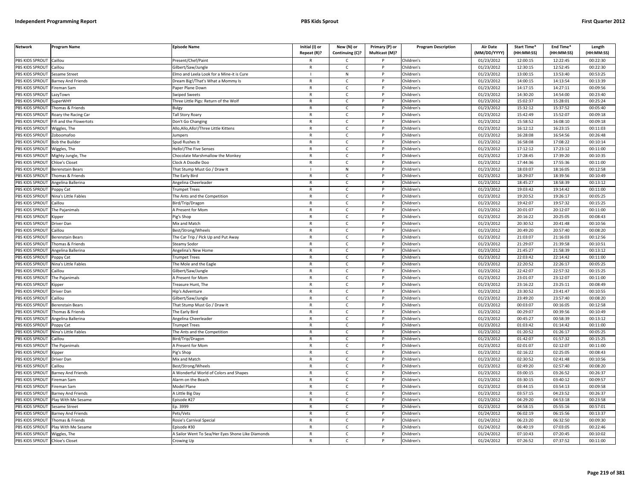| <b>Network</b>                 | Program Name                                                                                                                                                      | <b>Episode Name</b>                               | Initial (I) or<br>Repeat (R)? | New (N) or<br>Continuing (C)? | Primary (P) or<br><b>Multicast (M)?</b> | <b>Program Description</b> | <b>Air Date</b><br>(MM/DD/YYYY) | Start Time*<br>(HH:MM:SS) | End Time <sup>®</sup><br>(HH:MM:SS) | Length<br>(HH:MM:SS) |
|--------------------------------|-------------------------------------------------------------------------------------------------------------------------------------------------------------------|---------------------------------------------------|-------------------------------|-------------------------------|-----------------------------------------|----------------------------|---------------------------------|---------------------------|-------------------------------------|----------------------|
| PBS KIDS SPROUT Caillou        |                                                                                                                                                                   | Present/Chef/Paint                                | $\mathsf{R}$                  | C                             |                                         | Children's                 | 01/23/2012                      | 12:00:15                  | 12:22:45                            | 00:22:30             |
| PBS KIDS SPROUT                | Caillou                                                                                                                                                           | Gilbert/Saw/Jungle                                | $\mathsf{R}$                  | $\mathsf{C}$                  | P                                       | Children's                 | 01/23/2012                      | 12:30:15                  | 12:52:45                            | 00:22:30             |
| PBS KIDS SPROUT                | Sesame Street                                                                                                                                                     | Elmo and Leela Look for a Mine-it is Cure         |                               | N                             | P                                       | Children's                 | 01/23/2012                      | 13:00:15                  | 13:53:40                            | 00:53:25             |
| PBS KIDS SPROUT                | <b>Barney And Friends</b>                                                                                                                                         | Dream Big!/That's What a Mommy Is                 | $\mathbb{R}$                  | $\mathsf{C}$                  | P                                       | Children's                 | 01/23/2012                      | 14:00:15                  | 14:13:54                            | 00:13:39             |
| PBS KIDS SPROUT                | Fireman Sam                                                                                                                                                       | Paper Plane Down                                  | $\mathsf{R}$                  | $\mathsf{C}$                  | P                                       | Children's                 | 01/23/2012                      | 14:17:15                  | 14:27:11                            | 00:09:56             |
| PBS KIDS SPROUT                | azyTown                                                                                                                                                           | Swiped Sweets                                     | $\mathsf{R}$                  | $\mathsf{C}$                  | P                                       | Children's                 | 01/23/2012                      | 14:30:20                  | 14:54:00                            | 00:23:40             |
| <b>BS KIDS SPROUT</b>          | SuperWHY                                                                                                                                                          | Three Little Pigs: Return of the Wolf             | $\mathsf{R}$                  | C                             | P                                       | Children's                 | 01/23/2012                      | 15:02:37                  | 15:28:01                            | 00:25:24             |
| PBS KIDS SPROUT                | homas & Friends                                                                                                                                                   | Bulgy                                             | $\mathsf{R}$                  | $\mathsf{C}$                  | P                                       | Children's                 | 01/23/2012                      | 15:32:12                  | 15:37:52                            | 00:05:40             |
| PBS KIDS SPROUT                | Roary the Racing Car                                                                                                                                              | <b>Fall Story Roary</b>                           | $\mathsf{R}$                  | $\mathsf{C}$                  | P                                       | Children's                 | 01/23/2012                      | 15:42:49                  | 15:52:07                            | 00:09:18             |
| PBS KIDS SPROUT                | ifi and the Flowertots                                                                                                                                            | Don't Go Changing                                 | $\mathsf{R}$                  | $\mathsf{C}$                  | <sub>D</sub>                            | Children's                 | 01/23/2012                      | 15:58:52                  | 16:08:10                            | 00:09:18             |
| PBS KIDS SPROUT                | Wiggles, The                                                                                                                                                      | Allo, Allo, Allo!/Three Little Kittens            | $\mathsf{R}$                  | $\mathsf{C}$                  | P                                       | Children's                 | 01/23/2012                      | 16:12:12                  | 16:23:15                            | 00:11:03             |
| PBS KIDS SPROUT                | Zoboomafoo                                                                                                                                                        | lumpers                                           | $\mathsf{R}$                  | $\mathsf{C}$                  | P                                       | Children's                 | 01/23/2012                      | 16:28:08                  | 16:54:56                            | 00:26:48             |
| PBS KIDS SPROUT                | <b>Bob the Builder</b>                                                                                                                                            | Spud Rushes It                                    | $\mathsf{R}$                  | $\mathsf{C}$                  | P                                       | Children's                 | 01/23/2012                      | 16:58:08                  | 17:08:22                            | 00:10:14             |
| PBS KIDS SPROUT                | Wiggles, The                                                                                                                                                      | Iello!/The Five Senses                            | $\mathsf{R}$                  | $\mathsf{C}$                  | P                                       | Children's                 | 01/23/2012                      | 17:12:12                  | 17:23:12                            | 00:11:00             |
| PBS KIDS SPROUT                | Mighty Jungle, The                                                                                                                                                | Chocolate Marshmallow the Monkey                  | $\mathsf{R}$                  | $\mathsf{C}$                  | $\mathsf{P}$                            | Children's                 | 01/23/2012                      | 17:28:45                  | 17:39:20                            | 00:10:35             |
| PBS KIDS SPROUT                | Chloe's Closet                                                                                                                                                    | Clock A Doodle Doo                                | $\mathsf{R}$                  | $\mathsf{C}$                  | P                                       | Children's                 | 01/23/2012                      | 17:44:36                  | 17:55:36                            | 00:11:00             |
| PBS KIDS SPROUT                | <b>Berenstain Bears</b>                                                                                                                                           | That Stump Must Go / Draw It                      |                               | ${\sf N}$                     | $\mathsf{P}$                            | Children's                 | 01/23/2012                      | 18:03:07                  | 18:16:05                            | 00:12:58             |
| PBS KIDS SPROUT                | Thomas & Friends                                                                                                                                                  | he Early Bird                                     | $\mathsf{R}$                  | $\mathsf{C}$                  | P                                       | Children's                 | 01/23/2012                      | 18:29:07                  | 18:39:56                            | 00:10:49             |
| PBS KIDS SPROUT                | Angelina Ballerina                                                                                                                                                | Angelina Cheerleader                              | $\mathsf{R}$                  | $\mathsf{C}$                  | P                                       | Children's                 | 01/23/2012                      | 18:45:27                  | 18:58:39                            | 00:13:12             |
| PBS KIDS SPROUT                | Poppy Cat                                                                                                                                                         | <b>Trumpet Trees</b>                              | $\mathsf{R}$                  | $\mathsf{C}$                  | P                                       | Children's                 | 01/23/2012                      | 19:03:42                  | 19:14:42                            | 00:11:00             |
| PBS KIDS SPROUT                | Nina's Little Fables                                                                                                                                              | The Ants and the Competition                      | $\mathsf{R}$                  | $\mathsf{C}$                  | P                                       | Children's                 | 01/23/2012                      | 19:20:52                  | 19:26:17                            | 00:05:25             |
| PBS KIDS SPROUT                | Caillou                                                                                                                                                           | Bird/Trip/Dragon                                  | $\mathsf{R}$                  | $\mathsf{C}$                  | P                                       | Children's                 | 01/23/2012                      | 19:42:07                  | 19:57:32                            | 00:15:25             |
| PBS KIDS SPROUT                | The Pajanimals                                                                                                                                                    | A Present for Mom                                 | $\mathsf{R}$                  | $\mathsf{C}$                  | P                                       | Children's                 | 01/23/2012                      | 20:01:07                  | 20:12:07                            | 00:11:00             |
| PBS KIDS SPROUT                | <ipper< td=""><td>'ig's Shop</td><td>R</td><td>C</td><td>P</td><td>Children's</td><td>01/23/2012</td><td>20:16:22</td><td>20:25:05</td><td>00:08:43</td></ipper<> | 'ig's Shop                                        | R                             | C                             | P                                       | Children's                 | 01/23/2012                      | 20:16:22                  | 20:25:05                            | 00:08:43             |
| PBS KIDS SPROUT                | Driver Dan                                                                                                                                                        | Mix and Match                                     | $\mathsf{R}$                  | $\mathsf{C}$                  | P                                       | Children's                 | 01/23/2012                      | 20:30:52                  | 20:41:48                            | 00:10:56             |
| PBS KIDS SPROUT                | Caillou                                                                                                                                                           | Best/Strong/Wheels                                | $\mathsf{R}$                  | c                             | P                                       | Children's                 | 01/23/2012                      | 20:49:20                  | 20:57:40                            | 00:08:20             |
| PBS KIDS SPROUT                | Berenstain Bears                                                                                                                                                  | The Car Trip / Pick Up and Put Away               | $\mathsf{R}$                  | $\mathsf{C}$                  | P                                       | Children's                 | 01/23/2012                      | 21:03:07                  | 21:16:03                            | 00:12:56             |
| PBS KIDS SPROUT                | homas & Friends                                                                                                                                                   | Steamy Sodor                                      | $\mathsf{R}$                  | $\mathsf{C}$                  | P                                       | Children's                 | 01/23/2012                      | 21:29:07                  | 21:39:58                            | 00:10:51             |
| PBS KIDS SPROUT                | <b>Ingelina Ballerina</b>                                                                                                                                         | Angelina's New Home                               | $\mathsf{R}$                  | $\mathsf{C}$                  | P                                       | Children's                 | 01/23/2012                      | 21:45:27                  | 21:58:39                            | 00:13:12             |
| PBS KIDS SPROUT                | Poppy Cat                                                                                                                                                         | <b>Trumpet Trees</b>                              | $\mathsf{R}$                  | $\mathsf{C}$                  | P                                       | Children's                 | 01/23/2012                      | 22:03:42                  | 22:14:42                            | 00:11:00             |
| PBS KIDS SPROUT                | Nina's Little Fables                                                                                                                                              | The Mole and the Eagle                            | R                             | $\mathsf{C}$                  | P                                       | Children's                 | 01/23/2012                      | 22:20:52                  | 22:26:17                            | 00:05:25             |
| PBS KIDS SPROUT                | Caillou                                                                                                                                                           | Gilbert/Saw/Jungle                                | $\mathsf{R}$                  | $\mathsf{C}$                  | P                                       | Children's                 | 01/23/2012                      | 22:42:07                  | 22:57:32                            | 00:15:25             |
| PBS KIDS SPROUT                | The Pajanimals                                                                                                                                                    | A Present for Mom                                 | $\mathsf{R}$                  | $\mathsf{C}$                  | P                                       | Children's                 | 01/23/2012                      | 23:01:07                  | 23:12:07                            | 00:11:00             |
| PBS KIDS SPROUT                | Kipper                                                                                                                                                            | <b>Treasure Hunt</b> , The                        | $\mathsf{R}$                  | $\mathsf{C}$                  | P                                       | Children's                 | 01/23/2012                      | 23:16:22                  | 23:25:11                            | 00:08:49             |
| PBS KIDS SPROUT                | <b>Driver Dan</b>                                                                                                                                                 | Hip's Adventure                                   | $\mathsf{R}$                  | $\mathsf{C}$                  | P                                       | Children's                 | 01/23/2012                      | 23:30:52                  | 23:41:47                            | 00:10:55             |
| PBS KIDS SPROUT                | Caillou                                                                                                                                                           | Gilbert/Saw/Jungle                                | $\mathsf{R}$                  | $\mathsf{C}$                  | P                                       | Children's                 | 01/23/2012                      | 23:49:20                  | 23:57:40                            | 00:08:20             |
| PBS KIDS SPROUT                | <b>Berenstain Bears</b>                                                                                                                                           | That Stump Must Go / Draw It                      | R                             | C                             | P                                       | Children's                 | 01/23/2012                      | 00:03:07                  | 00:16:05                            | 00:12:58             |
| PBS KIDS SPROUT                | Thomas & Friends                                                                                                                                                  | The Early Bird                                    | $\mathsf{R}$                  | $\mathsf{C}$                  | P                                       | Children's                 | 01/23/2012                      | 00:29:07                  | 00:39:56                            | 00:10:49             |
| PBS KIDS SPROUT                | Angelina Ballerina                                                                                                                                                | Angelina Cheerleader                              | $\mathsf{R}$                  | $\mathsf{C}$                  | P                                       | Children's                 | 01/23/2012                      | 00:45:27                  | 00:58:39                            | 00:13:12             |
| PBS KIDS SPROUT                | oppy Cat                                                                                                                                                          | rumpet Trees                                      | $\mathsf{R}$                  | $\mathsf{C}$                  | P                                       | Children's                 | 01/23/2012                      | 01:03:42                  | 01:14:42                            | 00:11:00             |
| <b>BS KIDS SPROUT</b>          | Nina's Little Fables                                                                                                                                              | he Ants and the Competition                       | $\mathsf{R}$                  | $\mathsf{C}$                  | P                                       | Children's                 | 01/23/2012                      | 01:20:52                  | 01:26:17                            | 00:05:25             |
| PBS KIDS SPROUT                | aillou                                                                                                                                                            | Bird/Trip/Dragon                                  | $\mathsf{R}$                  | $\mathcal{C}$                 | Þ                                       | Children's                 | 01/23/2012                      | 01:42:07                  | 01:57:32                            | 00:15:25             |
| PBS KIDS SPROUT                | The Pajanimals                                                                                                                                                    | A Present for Mom                                 | R                             | c                             | $\mathsf{P}$                            | Children's                 | 01/23/2012                      | 02:01:07                  | 02:12:07                            | 00:11:00             |
| PBS KIDS SPROUT                | (ipper                                                                                                                                                            | 'ig's Shop                                        | $\mathsf{R}$                  | $\mathsf{C}$                  | P                                       | Children's                 | 01/23/2012                      | 02:16:22                  | 02:25:05                            | 00:08:43             |
| PBS KIDS SPROUT                | Driver Dan                                                                                                                                                        | Mix and Match                                     | $\mathsf{R}$                  | $\mathsf{C}$                  | $\mathsf{P}$                            | Children's                 | 01/23/2012                      | 02:30:52                  | 02:41:48                            | 00:10:56             |
| PBS KIDS SPROUT                | Caillou                                                                                                                                                           | Best/Strong/Wheels                                | $\mathsf{R}$                  | $\mathsf{C}$                  | P                                       | Children's                 | 01/23/2012                      | 02:49:20                  | 02:57:40                            | 00:08:20             |
| PBS KIDS SPROUT                | <b>Barney And Friends</b>                                                                                                                                         | A Wonderful World of Colors and Shapes            | $\mathsf{R}$                  | $\mathsf{C}$                  | P                                       | Children's                 | 01/23/2012                      | 03:00:15                  | 03:26:52                            | 00:26:37             |
| PBS KIDS SPROUT                | ireman Sam                                                                                                                                                        | Alarm on the Beach                                | $\mathsf{R}$                  | $\mathsf{C}$                  | P                                       | Children's                 | 01/23/2012                      | 03:30:15                  | 03:40:12                            | 00:09:57             |
| PBS KIDS SPROUT                | Fireman Sam                                                                                                                                                       | Model Plane                                       | $\mathsf{R}$                  | $\mathsf{C}$                  | P                                       | Children's                 | 01/23/2012                      | 03:44:15                  | 03:54:13                            | 00:09:58             |
| PBS KIDS SPROUT                | <b>Barney And Friends</b>                                                                                                                                         | A Little Big Day                                  | R                             | C                             | P                                       | Children's                 | 01/23/2012                      | 03:57:15                  | 04:23:52                            | 00:26:37             |
| PBS KIDS SPROUT                | Play With Me Sesame                                                                                                                                               | Episode #27                                       | R                             | $\mathsf{C}$                  | P                                       | Children's                 | 01/23/2012                      | 04:29:20                  | 04:53:18                            | 00:23:58             |
| PBS KIDS SPROUT                | Sesame Street                                                                                                                                                     | p. 3999                                           | $\mathsf{R}$                  | $\mathsf{C}$                  | P                                       | Children's                 | 01/23/2012                      | 04:58:15                  | 05:55:16                            | 00:57:01             |
| PBS KIDS SPROUT                | <b>Barney And Friends</b>                                                                                                                                         | Pets/Vets                                         | $\mathsf{R}$                  | $\mathsf{C}$                  | P                                       | Children's                 | 01/24/2012                      | 06:02:19                  | 06:15:56                            | 00:13:37             |
| PBS KIDS SPROUT                | Thomas & Friends                                                                                                                                                  | Rosie's Carnival Special                          | $\mathsf{R}$                  | $\mathsf{C}$                  | P                                       | Children's                 | 01/24/2012                      | 06:23:20                  | 06:32:50                            | 00:09:30             |
| PBS KIDS SPROUT                | Play With Me Sesame                                                                                                                                               | pisode #30                                        | $\mathsf{R}$                  | $\mathsf{C}$                  | P                                       | Children's                 | 01/24/2012                      | 06:40:19                  | 07:03:05                            | 00:22:46             |
| PBS KIDS SPROUT                | Wiggles, The                                                                                                                                                      | A Sailor Went To Sea/Her Eyes Shone Like Diamonds | $\mathsf{R}$                  | C                             | P                                       | Children's                 | 01/24/2012                      | 07:10:43                  | 07:20:45                            | 00:10:02             |
| PBS KIDS SPROUT Chloe's Closet |                                                                                                                                                                   | Crowing Up                                        | R                             | $\epsilon$                    | P                                       | Children's                 | 01/24/2012                      | 07:26:52                  | 07:37:52                            | 00:11:00             |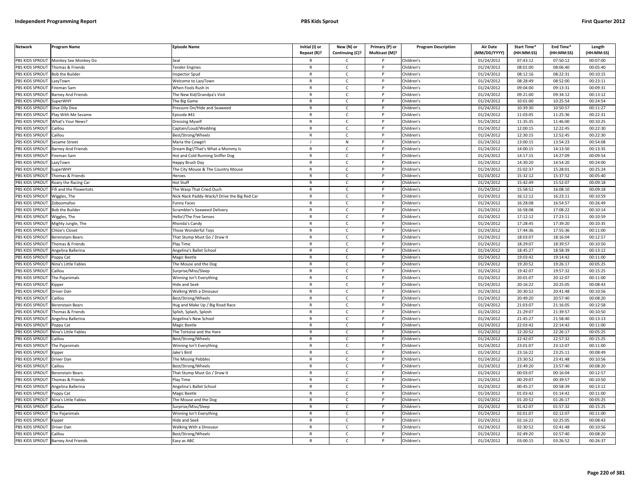| <b>Network</b>                     | Program Name              | <b>Episode Name</b>                          | Initial (I) or<br>Repeat (R)? | New (N) or<br>Continuing (C)? | Primary (P) or<br>Multicast (M)? | <b>Program Description</b> | <b>Air Date</b><br>(MM/DD/YYYY) | Start Time*<br>(HH:MM:SS) | End Time*<br>(HH:MM:SS) | Length<br>(HH:MM:SS) |
|------------------------------------|---------------------------|----------------------------------------------|-------------------------------|-------------------------------|----------------------------------|----------------------------|---------------------------------|---------------------------|-------------------------|----------------------|
| PBS KIDS SPROUT                    | Monkey See Monkey Do      | Seal                                         |                               | C                             |                                  | Children's                 | 01/24/2012                      | 07:43:12                  | 07:50:12                | 00:07:00             |
| PBS KIDS SPROUT                    | Thomas & Friends          | <b>Fender Engines</b>                        | $\mathsf{R}$                  | C                             | $\mathsf{P}$                     | Children's                 | 01/24/2012                      | 08:01:00                  | 08:06:40                | 00:05:40             |
| PBS KIDS SPROUT                    | <b>Bob the Builder</b>    | nspector Spud                                | $\mathsf{R}$                  | $\mathsf{C}$                  | P                                | Children's                 | 01/24/2012                      | 08:12:16                  | 08:22:31                | 00:10:15             |
| PBS KIDS SPROUT                    | LazyTown                  | Welcome to LazyTown                          | $\mathsf{R}$                  | $\mathsf{C}$                  | P                                | Children's                 | 01/24/2012                      | 08:28:49                  | 08:52:00                | 00:23:11             |
| PBS KIDS SPROUT                    | ireman Sam                | When Fools Rush In                           | $\mathsf{R}$                  | $\mathsf{C}$                  | P                                | Children's                 | 01/24/2012                      | 09:04:00                  | 09:13:31                | 00:09:31             |
| PBS KIDS SPROUT                    | Barney And Friends        | The New Kid/Grandpa's Visit                  | $\mathsf{R}$                  | $\mathsf{C}$                  | P                                | Children's                 | 01/24/2012                      | 09:21:00                  | 09:34:12                | 00:13:12             |
| PBS KIDS SPROUT                    | SuperWHY                  | The Big Game                                 | $\mathsf{R}$                  | $\mathsf{C}$                  | P                                | Children's                 | 01/24/2012                      | 10:01:00                  | 10:25:54                | 00:24:54             |
| PBS KIDS SPROUT                    | Dive Olly Dive            | Pressure On/Hide and Seaweed                 | $\mathsf{R}$                  | $\mathsf{C}$                  | P                                | Children's                 | 01/24/2012                      | 10:39:30                  | 10:50:57                | 00:11:27             |
| PBS KIDS SPROUT                    | Play With Me Sesame       | Episode #41                                  | R                             | $\mathsf{C}$                  |                                  | Children's                 | 01/24/2012                      | 11:03:05                  | 11:25:36                | 00:22:31             |
| PBS KIDS SPROUT                    | What's Your News?         | <b>Dressing Myself</b>                       | $\mathsf{R}$                  | $\mathsf{C}$                  |                                  | Children's                 | 01/24/2012                      | 11:35:35                  | 11:46:00                | 00:10:25             |
| PBS KIDS SPROUT                    | Caillou                   | Captain/Loud/Wedding                         | $\mathsf{R}$                  | C                             | P                                | Children's                 | 01/24/2012                      | 12:00:15                  | 12:22:45                | 00:22:30             |
| PBS KIDS SPROUT                    | Caillou                   | Best/Strong/Wheels                           | $\mathsf{R}$                  | $\mathsf{C}$                  | D                                | Children's                 | 01/24/2012                      | 12:30:15                  | 12:52:45                | 00:22:30             |
| PBS KIDS SPROUT                    | Sesame Street             | Maria the Cowgirl                            |                               | N                             | P                                | Children's                 | 01/24/2012                      | 13:00:15                  | 13:54:23                | 00:54:08             |
| PBS KIDS SPROUT                    | Barney And Friends        | Dream Big!/That's What a Mommy Is            | $\mathsf{R}$                  | $\mathsf{C}$                  |                                  | Children's                 | 01/24/2012                      | 14:00:15                  | 14:13:50                | 00:13:35             |
| PBS KIDS SPROUT                    | Fireman Sam               | Hot and Cold Running Sniffer Dog             | $\mathsf{R}$                  | $\mathsf{C}$                  | P                                | Children's                 | 01/24/2012                      | 14:17:15                  | 14:27:09                | 00:09:54             |
| PBS KIDS SPROUT                    | LazyTown                  | Happy Brush Day                              | $\mathsf{R}$                  | $\mathsf{C}$                  |                                  | Children's                 | 01/24/2012                      | 14:30:20                  | 14:54:20                | 00:24:00             |
| PBS KIDS SPROUT                    | SuperWHY                  | The City Mouse & The Country Mouse           | $\mathsf{R}$                  | C                             | P                                | Children's                 | 01/24/2012                      | 15:02:37                  | 15:28:01                | 00:25:24             |
| PBS KIDS SPROUT                    | Thomas & Friends          | <b>Heroes</b>                                | $\mathsf{R}$                  | $\mathsf{C}$                  | P                                | Children's                 | 01/24/2012                      | 15:32:12                  | 15:37:52                | 00:05:40             |
| PBS KIDS SPROUT                    | Roary the Racing Car      | Hot Stuff                                    | $\mathsf{R}$                  | $\mathsf{C}$                  | P                                | Children's                 | 01/24/2012                      | 15:42:49                  | 15:52:07                | 00:09:18             |
| PBS KIDS SPROUT                    | ifi and the Flowertots    | The Wasp That Cried Ouch                     | $\mathsf{R}$                  | $\mathsf{C}$                  | P                                | Children's                 | 01/24/2012                      | 15:58:52                  | 16:08:10                | 00:09:18             |
| PBS KIDS SPROUT                    | Wiggles, The              | Vick-Nack Paddy-Wack/I Drive the Big Red Car | $\mathsf{R}$                  | $\mathsf{C}$                  | P                                | Children's                 | 01/24/2012                      | 16:12:12                  | 16:23:11                | 00:10:59             |
| PBS KIDS SPROUT                    | Zoboomafoo                | unny Faces                                   | $\mathsf{R}$                  | $\mathsf{C}$                  | D                                | Children's                 | 01/24/2012                      | 16:28:08                  | 16:54:57                | 00:26:49             |
| PBS KIDS SPROUT                    | <b>Bob the Builder</b>    | Scrambler's Seaweed Delivery                 | $\mathsf{R}$                  | $\mathsf{C}$                  | P                                | Children's                 | 01/24/2012                      | 16:58:08                  | 17:08:22                | 00:10:14             |
| PBS KIDS SPROUT                    | Wiggles, The              | Hello!/The Five Senses                       | $\mathsf{R}$                  | $\mathsf{C}$                  |                                  | Children's                 | 01/24/2012                      | 17:12:12                  | 17:23:11                | 00:10:59             |
| PBS KIDS SPROUT                    | Mighty Jungle, The        | Rhonda's Candy                               | $\mathsf{R}$                  | $\mathsf{C}$                  |                                  | Children's                 | 01/24/2012                      | 17:28:45                  | 17:39:20                | 00:10:35             |
| PBS KIDS SPROUT                    | Chloe's Closet            | Those Wonderful Toys                         | $\mathsf{R}$                  | $\mathsf{C}$                  | P                                | Children's                 | 01/24/2012                      | 17:44:36                  | 17:55:36                | 00:11:00             |
| PBS KIDS SPROUT                    | Berenstain Bears          | That Stump Must Go / Draw It                 | $\mathsf{R}$                  | $\mathsf{C}$                  | <b>D</b>                         | Children's                 | 01/24/2012                      | 18:03:07                  | 18:16:04                | 00:12:57             |
| PBS KIDS SPROUT                    | Thomas & Friends          | Play Time                                    | $\mathsf{R}$                  | $\mathsf{C}$                  | P                                | Children's                 | 01/24/2012                      | 18:29:07                  | 18:39:57                | 00:10:50             |
| PBS KIDS SPROUT                    | Angelina Ballerina        | Angelina's Ballet School                     | $\mathsf{R}$                  | $\mathsf{C}$                  |                                  | Children's                 | 01/24/2012                      | 18:45:27                  | 18:58:39                | 00:13:12             |
| PBS KIDS SPROUT                    | Poppy Cat                 | Magic Beetle                                 | $\mathsf{R}$                  | $\mathsf{C}$                  | P                                | Children's                 | 01/24/2012                      | 19:03:42                  | 19:14:42                | 00:11:00             |
| PBS KIDS SPROUT                    | Nina's Little Fables      | The Mouse and the Dog                        | $\mathsf{R}$                  | $\mathsf{C}$                  |                                  | Children's                 | 01/24/2012                      | 19:20:52                  | 19:26:17                | 00:05:25             |
| PBS KIDS SPROUT                    | Caillou                   | Surprise/Miss/Sleep                          | $\mathsf{R}$                  | C                             | P                                | Children's                 | 01/24/2012                      | 19:42:07                  | 19:57:32                | 00:15:25             |
| PBS KIDS SPROUT                    | The Pajanimals            | Winning Isn't Everything                     | $\mathsf{R}$                  | $\mathsf{C}$                  | P                                | Children's                 | 01/24/2012                      | 20:01:07                  | 20:12:07                | 00:11:00             |
| PBS KIDS SPROUT                    | <b>Kipper</b>             | <b>Hide and Seek</b>                         | $\mathsf{R}$                  | $\mathsf{C}$                  | P                                | Children's                 | 01/24/2012                      | 20:16:22                  | 20:25:05                | 00:08:43             |
| PBS KIDS SPROUT                    | Driver Dan                | <b>Walking With a Dinosaur</b>               | $\mathsf{R}$                  | $\mathsf{C}$                  | P                                | Children's                 | 01/24/2012                      | 20:30:52                  | 20:41:48                | 00:10:56             |
| PBS KIDS SPROUT                    | Caillou                   | Best/Strong/Wheels                           | $\mathsf{R}$                  | $\mathsf{C}$                  | P                                | Children's                 | 01/24/2012                      | 20:49:20                  | 20:57:40                | 00:08:20             |
| PBS KIDS SPROUT                    | <b>Berenstain Bears</b>   | lug and Make Up / Big Road Race              | $\mathsf{R}$                  | $\mathsf{C}$                  | D                                | Children's                 | 01/24/2012                      | 21:03:07                  | 21:16:05                | 00:12:58             |
| PBS KIDS SPROUT                    | Thomas & Friends          | Splish, Splash, Splosh                       | $\mathsf{R}$                  | $\mathsf{C}$                  | P                                | Children's                 | 01/24/2012                      | 21:29:07                  | 21:39:57                | 00:10:50             |
| PBS KIDS SPROUT                    | Angelina Ballerina        | Angelina's New School                        | R                             | $\mathsf{C}$                  | P                                | Children's                 | 01/24/2012                      | 21:45:27                  | 21:58:40                | 00:13:13             |
| PBS KIDS SPROUT                    | oppy Cat                  | Magic Beetle                                 | $\mathsf{R}$                  | $\mathsf{C}$                  |                                  | Children's                 | 01/24/2012                      | 22:03:42                  | 22:14:42                | 00:11:00             |
| PBS KIDS SPROUT                    | Nina's Little Fables      | The Tortoise and the Hare                    | $\mathsf{R}$                  | $\mathsf{C}$                  | P                                | Children's                 | 01/24/2012                      | 22:20:52                  | 22:26:17                | 00:05:25             |
| PBS KIDS SPROUT                    | Caillou                   | Best/Strong/Wheels                           | $\mathsf{R}$                  | $\mathsf{C}$                  | <b>D</b>                         | Children's                 | 01/24/2012                      | 22:42:07                  | 22:57:32                | 00:15:25             |
| PBS KIDS SPROUT                    | The Pajanimals            | Winning Isn't Everything                     | $\mathsf{R}$                  | $\mathsf{C}$                  | P                                | Children's                 | 01/24/2012                      | 23:01:07                  | 23:12:07                | 00:11:00             |
| PBS KIDS SPROUT                    | <i><b>Sipper</b></i>      | Jake's Bird                                  | $\mathsf{R}$                  | $\mathsf{C}$                  |                                  | Children's                 | 01/24/2012                      | 23:16:22                  | 23:25:11                | 00:08:49             |
| PBS KIDS SPROUT                    | Driver Dan                | The Missing Pebbles                          | ${\sf R}$                     | $\mathsf{C}$                  | P                                | Children's                 | 01/24/2012                      | 23:30:52                  | 23:41:48                | 00:10:56             |
| PBS KIDS SPROUT                    | Caillou                   | Best/Strong/Wheels                           | R                             | C                             |                                  | Children's                 | 01/24/2012                      | 23:49:20                  | 23:57:40                | 00:08:20             |
| PBS KIDS SPROUT                    | Berenstain Bears          | That Stump Must Go / Draw It                 | $\mathsf{R}$                  | C                             | P                                | Children's                 | 01/24/2012                      | 00:03:07                  | 00:16:04                | 00:12:57             |
| PBS KIDS SPROUT                    | Thomas & Friends          | Play Time                                    | $\mathsf{R}$                  | $\mathsf{C}$                  | P                                | Children's                 | 01/24/2012                      | 00:29:07                  | 00:39:57                | 00:10:50             |
| PBS KIDS SPROUT                    | Angelina Ballerina        | Angelina's Ballet School                     | $\mathsf{R}$                  | $\mathsf{C}$                  | P                                | Children's                 | 01/24/2012                      | 00:45:27                  | 00:58:39                | 00:13:12             |
| PBS KIDS SPROUT                    | Poppy Cat                 | Magic Beetle                                 | $\mathsf{R}$                  | $\mathsf{C}$                  | P                                | Children's                 | 01/24/2012                      | 01:03:42                  | 01:14:42                | 00:11:00             |
| PBS KIDS SPROUT                    | Nina's Little Fables      | The Mouse and the Dog                        | $\mathsf{R}$                  | $\mathsf{C}$                  | P                                | Children's                 | 01/24/2012                      | 01:20:52                  | 01:26:17                | 00:05:25             |
| PBS KIDS SPROUT                    | Caillou                   | Surprise/Miss/Sleep                          | $\mathsf{R}$                  | $\mathsf{C}$                  |                                  | Children's                 | 01/24/2012                      | 01:42:07                  | 01:57:32                | 00:15:25             |
|                                    |                           |                                              | $\mathsf{R}$                  | $\mathsf{C}$                  | D                                |                            |                                 | 02:01:07                  |                         |                      |
| PBS KIDS SPROUT<br>PBS KIDS SPROUT | The Pajanimals            | Winning Isn't Everything<br>Hide and Seek    | R                             |                               | D                                | Children's<br>Children's   | 01/24/2012<br>01/24/2012        | 02:16:22                  | 02:12:07<br>02:25:05    | 00:11:00<br>00:08:43 |
|                                    | <b>Kipper</b>             |                                              | $\mathsf{R}$                  | C                             |                                  |                            |                                 |                           |                         |                      |
| PBS KIDS SPROUT                    | Driver Dan                | <b>Walking With a Dinosaur</b>               |                               | $\mathsf{C}$                  | P                                | Children's                 | 01/24/2012                      | 02:30:52                  | 02:41:48                | 00:10:56             |
| PBS KIDS SPROUT                    | Caillou                   | Best/Strong/Wheels                           | $\mathsf{R}$<br>$\mathsf{R}$  | C                             |                                  | Children's                 | 01/24/2012                      | 02:49:20                  | 02:57:40                | 00:08:20             |
| PBS KIDS SPROUT                    | <b>Barney And Friends</b> | Easy as ABC                                  |                               | $\mathsf{C}$                  |                                  | Children's                 | 01/24/2012                      | 03:00:15                  | 03:26:52                | 00:26:37             |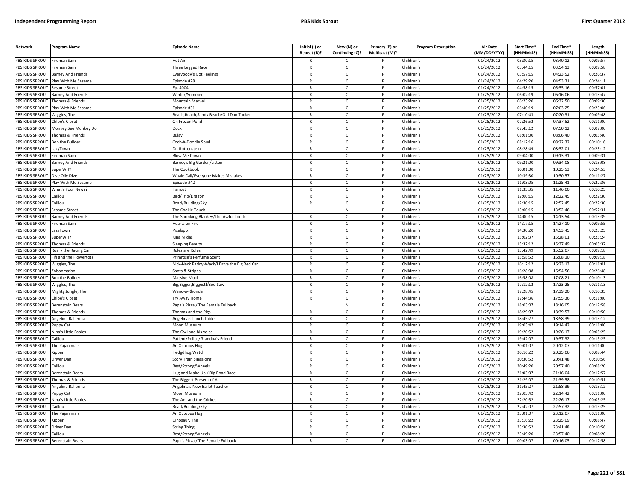| <b>Network</b>                   | Program Name                                                                                                                                                                                               | <b>Episode Name</b>                          | Initial (I) or<br>Repeat (R)? | New (N) or<br>Continuing (C)? | Primary (P) or<br>Multicast (M)? | <b>Program Description</b> | Air Date<br>(MM/DD/YYYY) | Start Time*<br>(HH:MM:SS) | End Time*<br>(HH:MM:SS) | Length<br>(HH:MM:SS) |
|----------------------------------|------------------------------------------------------------------------------------------------------------------------------------------------------------------------------------------------------------|----------------------------------------------|-------------------------------|-------------------------------|----------------------------------|----------------------------|--------------------------|---------------------------|-------------------------|----------------------|
| PBS KIDS SPROUT                  | Fireman Sam                                                                                                                                                                                                | lot Air                                      |                               | C                             |                                  | Children's                 | 01/24/2012               | 03:30:15                  | 03:40:12                | 00:09:57             |
| PBS KIDS SPROUT                  | Fireman Sam                                                                                                                                                                                                | Three Legged Race                            | $\mathsf{R}$                  | $\mathsf{C}$                  | P                                | Children's                 | 01/24/2012               | 03:44:15                  | 03:54:13                | 00:09:58             |
| PBS KIDS SPROUT                  | <b>Barney And Friends</b>                                                                                                                                                                                  | Everybody's Got Feelings                     | $\mathsf{R}$                  | $\mathsf{C}$                  | P                                | Children's                 | 01/24/2012               | 03:57:15                  | 04:23:52                | 00:26:37             |
| PBS KIDS SPROUT                  | Play With Me Sesame                                                                                                                                                                                        | Episode #28                                  | $\mathsf{R}$                  | $\mathsf{C}$                  | D                                | Children's                 | 01/24/2012               | 04:29:20                  | 04:53:31                | 00:24:11             |
| PBS KIDS SPROUT                  | <b>Sesame Street</b>                                                                                                                                                                                       | Ep. 4004                                     | R                             | $\mathsf{C}$                  |                                  | Children's                 | 01/24/2012               | 04:58:15                  | 05:55:16                | 00:57:01             |
| PBS KIDS SPROUT                  | Barney And Friends                                                                                                                                                                                         | Winter/Summer                                | $\mathsf{R}$                  | $\mathsf{C}$                  |                                  | Children's                 | 01/25/2012               | 06:02:19                  | 06:16:06                | 00:13:47             |
| <b>BS KIDS SPROUT</b>            | Thomas & Friends                                                                                                                                                                                           | Mountain Marvel                              | R                             | C                             |                                  | Children's                 | 01/25/2012               | 06:23:20                  | 06:32:50                | 00:09:30             |
| PBS KIDS SPROUT                  | lay With Me Sesame                                                                                                                                                                                         | pisode #31                                   | $\mathsf{R}$                  | $\mathsf{C}$                  | D                                | Children's                 | 01/25/2012               | 06:40:19                  | 07:03:25                | 00:23:06             |
| PBS KIDS SPROUT                  | Wiggles, The                                                                                                                                                                                               | Beach, Beach, Sandy Beach/Old Dan Tucker     | R                             | $\mathsf{C}$                  | P                                | Children's                 | 01/25/2012               | 07:10:43                  | 07:20:31                | 00:09:48             |
| PBS KIDS SPROUT                  | Chloe's Closet                                                                                                                                                                                             | On Frozen Pond                               | $\mathsf{R}$                  | $\mathsf{C}$                  | P                                | Children's                 | 01/25/2012               | 07:26:52                  | 07:37:52                | 00:11:00             |
| PBS KIDS SPROUT                  | Monkey See Monkey Do                                                                                                                                                                                       | Duck                                         | $\mathsf{R}$                  | $\mathsf{C}$                  | P                                | Children's                 | 01/25/2012               | 07:43:12                  | 07:50:12                | 00:07:00             |
| PBS KIDS SPROUT                  | Thomas & Friends                                                                                                                                                                                           | Bulgy                                        | $\mathsf{R}$                  | $\mathsf{C}$                  | D                                | Children's                 | 01/25/2012               | 08:01:00                  | 08:06:40                | 00:05:40             |
| PBS KIDS SPROUT                  | <b>Bob the Builder</b>                                                                                                                                                                                     | Cock-A-Doodle Spud                           | $\mathsf{R}$                  | $\mathsf{C}$                  | $\mathsf{P}$                     | Children's                 | 01/25/2012               | 08:12:16                  | 08:22:32                | 00:10:16             |
| PBS KIDS SPROUT                  | azyTown                                                                                                                                                                                                    | r. Rottenstein                               | $\mathsf{R}$                  | C                             | P                                | Children's                 | 01/25/2012               | 08:28:49                  | 08:52:01                | 00:23:12             |
| PBS KIDS SPROUT                  | ireman Sam                                                                                                                                                                                                 | <b>Blow Me Down</b>                          | $\mathsf{R}$                  | $\mathsf{C}$                  | P                                | Children's                 | 01/25/2012               | 09:04:00                  | 09:13:31                | 00:09:31             |
| PBS KIDS SPROUT                  | <b>Barney And Friends</b>                                                                                                                                                                                  | Barney's Big Garden/Listen                   | $\mathsf{R}$                  | $\mathsf{C}$                  | P                                | Children's                 | 01/25/2012               | 09:21:00                  | 09:34:08                | 00:13:08             |
| PBS KIDS SPROUT                  | SuperWHY                                                                                                                                                                                                   | The Cookbook                                 | $\mathsf{R}$                  | $\mathsf{C}$                  | P                                | Children's                 | 01/25/2012               | 10:01:00                  | 10:25:53                | 00:24:53             |
| PBS KIDS SPROUT                  | Dive Olly Dive                                                                                                                                                                                             | Whale Call/Everyone Makes Mistakes           | $\mathsf{R}$                  | $\mathsf{C}$                  | P                                | Children's                 | 01/25/2012               | 10:39:30                  | 10:50:57                | 00:11:27             |
| PBS KIDS SPROUT                  | Play With Me Sesame                                                                                                                                                                                        | Episode #42                                  | $\mathsf{R}$                  | $\mathsf{C}$                  | P                                | Children's                 | 01/25/2012               | 11:03:05                  | 11:25:41                | 00:22:36             |
| PBS KIDS SPROUT                  | What's Your News?                                                                                                                                                                                          | Haircut                                      | R                             | C                             | P                                | Children's                 | 01/25/2012               | 11:35:35                  | 11:46:00                | 00:10:25             |
| PBS KIDS SPROUT                  | aillou                                                                                                                                                                                                     | Bird/Trip/Dragon                             | $\mathsf{R}$                  | $\mathsf{C}$                  |                                  | Children's                 | 01/25/2012               | 12:00:15                  | 12:22:45                | 00:22:30             |
| <b>BS KIDS SPROUT</b>            | aillou                                                                                                                                                                                                     | Road/Building/Sky                            | $\mathsf{R}$                  | $\mathsf{C}$                  |                                  | Children's                 | 01/25/2012               | 12:30:15                  | 12:52:45                | 00:22:30             |
| PBS KIDS SPROUT                  | esame Street                                                                                                                                                                                               | The Cookie Touch                             |                               | ${\sf N}$                     | Þ                                | Children's                 | 01/25/2012               | 13:00:15                  | 13:52:46                | 00:52:31             |
| PBS KIDS SPROUT                  | <b>Barney And Friends</b>                                                                                                                                                                                  | The Shrinking Blankey/The Awful Tooth        | $\mathsf{R}$                  | $\mathsf{C}$                  | P                                | Children's                 | 01/25/2012               | 14:00:15                  | 14:13:54                | 00:13:39             |
| PBS KIDS SPROUT                  | ireman Sam                                                                                                                                                                                                 | learts on Fire                               | $\mathsf{R}$                  | $\mathsf{C}$                  | D                                | Children's                 | 01/25/2012               | 14:17:15                  | 14:27:10                | 00:09:55             |
| PBS KIDS SPROUT                  | LazyTown                                                                                                                                                                                                   | <sup>2</sup> ixelspix                        | $\mathsf{R}$                  | $\mathsf{C}$                  | P                                | Children's                 | 01/25/2012               | 14:30:20                  | 14:53:45                | 00:23:25             |
| PBS KIDS SPROUT                  | SuperWHY                                                                                                                                                                                                   | <b>King Midas</b>                            | $\mathsf{R}$                  | $\mathsf{C}$                  | P                                | Children's                 | 01/25/2012               | 15:02:37                  | 15:28:01                | 00:25:24             |
| PBS KIDS SPROUT                  | Thomas & Friends                                                                                                                                                                                           | Sleeping Beauty                              | R                             | $\mathsf{C}$                  | $\mathsf{P}$                     | Children's                 | 01/25/2012               | 15:32:12                  | 15:37:49                | 00:05:37             |
| PBS KIDS SPROUT                  | loary the Racing Car                                                                                                                                                                                       | Rules are Rules                              | $\mathsf{R}$                  | $\mathsf{C}$                  | P                                | Children's                 | 01/25/2012               | 15:42:49                  | 15:52:07                | 00:09:18             |
| PBS KIDS SPROUT                  | ifi and the Flowertots                                                                                                                                                                                     | Primrose's Perfume Scent                     | $\mathsf{R}$                  | $\mathsf{C}$                  | P                                | Children's                 | 01/25/2012               | 15:58:52                  | 16:08:10                | 00:09:18             |
| PBS KIDS SPROUT                  | Wiggles, The                                                                                                                                                                                               | Nick-Nack Paddy-Wack/I Drive the Big Red Car | $\mathsf{R}$                  | $\mathsf{C}$                  | D                                | Children's                 | 01/25/2012               | 16:12:12                  | 16:23:13                | 00:11:01             |
| PBS KIDS SPROUT                  | Zoboomafoo                                                                                                                                                                                                 | Spots & Stripes                              | $\mathsf{R}$                  | $\mathsf{C}$                  | P                                | Children's                 | 01/25/2012               | 16:28:08                  | 16:54:56                | 00:26:48             |
| PBS KIDS SPROUT                  | <b>Bob the Builder</b>                                                                                                                                                                                     | Massive Muck                                 | $\mathsf{R}$                  | $\mathsf{C}$                  | P                                | Children's                 | 01/25/2012               | 16:58:08                  | 17:08:21                | 00:10:13             |
| PBS KIDS SPROUT                  | Wiggles, The                                                                                                                                                                                               | Big, Bigger, Biggest!/See-Saw                | $\mathsf{R}$                  | $\mathsf{C}$                  | P                                | Children's                 | 01/25/2012               | 17:12:12                  | 17:23:25                | 00:11:13             |
| PBS KIDS SPROUT                  | Mighty Jungle, The                                                                                                                                                                                         | Wand-a-Rhonda                                | R                             | C                             | P                                | Children's                 | 01/25/2012               | 17:28:45                  | 17:39:20                | 00:10:35             |
| PBS KIDS SPROUT                  | Chloe's Closet                                                                                                                                                                                             | ry Away Home                                 | $\mathsf{R}$                  | $\mathsf{C}$                  | P                                | Children's                 | 01/25/2012               | 17:44:36                  | 17:55:36                | 00:11:00             |
| <b>BS KIDS SPROUT</b>            | <b>Berenstain Bears</b>                                                                                                                                                                                    | Papa's Pizza / The Female Fullback           |                               | N                             |                                  | Children's                 | 01/25/2012               | 18:03:07                  | 18:16:05                | 00:12:58             |
| PBS KIDS SPROUT                  | homas & Friends                                                                                                                                                                                            | homas and the Pigs                           | $\mathsf{R}$                  | $\mathsf{C}$                  | Þ                                | Children's                 | 01/25/2012               | 18:29:07                  | 18:39:57                | 00:10:50             |
| PBS KIDS SPROUT                  | Angelina Ballerina                                                                                                                                                                                         | Angelina's Lunch Table                       | $\mathsf{R}$                  | $\mathsf{C}$                  | P                                | Children's                 | 01/25/2012               | 18:45:27                  | 18:58:39                | 00:13:12             |
| PBS KIDS SPROUT                  | oppy Cat                                                                                                                                                                                                   | Moon Museum                                  | $\mathsf{R}$                  | $\mathsf{C}$                  |                                  | Children's                 | 01/25/2012               | 19:03:42                  | 19:14:42                | 00:11:00             |
| PBS KIDS SPROUT                  | Nina's Little Fables                                                                                                                                                                                       | The Owl and his voice                        | $\mathsf{R}$                  | $\mathsf{C}$                  | P                                | Children's                 | 01/25/2012               | 19:20:52                  | 19:26:17                | 00:05:25             |
| PBS KIDS SPROUT                  | aillou                                                                                                                                                                                                     | Patient/Police/Grandpa's Friend              | $\mathsf{R}$                  | $\mathsf{C}$                  | P                                | Children's                 | 01/25/2012               | 19:42:07                  | 19:57:32                | 00:15:25             |
| PBS KIDS SPROUT                  | The Pajanimals                                                                                                                                                                                             | An Octopus Hug                               | R                             | $\mathsf{C}$                  | $\mathsf{P}$                     | Children's                 | 01/25/2012               | 20:01:07                  | 20:12:07                | 00:11:00             |
| PBS KIDS SPROUT                  | <b>Kipper</b>                                                                                                                                                                                              | ledgdhog Watch                               | $\mathsf{R}$                  | $\mathsf{C}$                  | P                                | Children's                 | 01/25/2012               | 20:16:22                  | 20:25:06                | 00:08:44             |
| PBS KIDS SPROUT                  | Driver Dan                                                                                                                                                                                                 | Story Train Singalong                        | $\mathsf{R}$                  | $\mathsf{C}$                  | P                                | Children's                 | 01/25/2012               | 20:30:52                  | 20:41:48                | 00:10:56             |
| PBS KIDS SPROUT                  | aillou                                                                                                                                                                                                     | Best/Strong/Wheels                           | $\mathsf{R}$                  | $\mathsf{C}$                  |                                  | Children's                 | 01/25/2012               | 20:49:20                  | 20:57:40                | 00:08:20             |
| PBS KIDS SPROUT                  | Berenstain Bears                                                                                                                                                                                           | lug and Make Up / Big Road Race              | $\mathsf{R}$                  | $\mathsf{C}$                  | P                                | Children's                 | 01/25/2012               | 21:03:07                  | 21:16:04                | 00:12:57             |
| PBS KIDS SPROUT                  | Thomas & Friends                                                                                                                                                                                           | he Biggest Present of All                    | $\mathsf{R}$                  | $\mathsf{C}$                  | P                                | Children's                 | 01/25/2012               | 21:29:07                  | 21:39:58                | 00:10:51             |
| PBS KIDS SPROUT                  | Angelina Ballerina                                                                                                                                                                                         | Angelina's New Ballet Teacher                | $\mathsf{R}$                  | C                             | P                                | Children's                 | 01/25/2012               | 21:45:27                  | 21:58:39                | 00:13:12             |
| PBS KIDS SPROUT                  | Poppy Cat                                                                                                                                                                                                  | Moon Museum                                  | R                             | $\mathsf{C}$                  | P                                | Children's                 | 01/25/2012               | 22:03:42                  | 22:14:42                | 00:11:00             |
| PBS KIDS SPROUT                  | Nina's Little Fables                                                                                                                                                                                       | The Ant and the Cricket                      | $\mathsf{R}$                  | $\mathsf{C}$                  | P                                | Children's                 | 01/25/2012               | 22:20:52                  | 22:26:17                | 00:05:25             |
| <b>BS KIDS SPROUT</b>            | Caillou                                                                                                                                                                                                    | Road/Building/Sky                            | R                             | $\mathsf{C}$                  |                                  | Children's                 | 01/25/2012               | 22:42:07                  | 22:57:32                | 00:15:25             |
| PBS KIDS SPROUT                  | The Pajanimals                                                                                                                                                                                             | An Octopus Hug                               | $\mathsf{R}$                  | $\mathsf{C}$                  | D                                | Children's                 | 01/25/2012               | 23:01:07                  | 23:12:07                | 00:11:00             |
| PBS KIDS SPROUT                  | <ipper< td=""><td>Dinosaur, The</td><td>R</td><td><math display="inline">\mathsf{C}</math></td><td></td><td>Children's</td><td>01/25/2012</td><td>23:16:22</td><td>23:25:09</td><td>00:08:47</td></ipper<> | Dinosaur, The                                | R                             | $\mathsf{C}$                  |                                  | Children's                 | 01/25/2012               | 23:16:22                  | 23:25:09                | 00:08:47             |
| PBS KIDS SPROUT                  | Driver Dan                                                                                                                                                                                                 | String Thing                                 | $\mathsf{R}$                  | $\mathsf{C}$                  |                                  | Children's                 | 01/25/2012               | 23:30:52                  | 23:41:48                | 00:10:56             |
| PBS KIDS SPROUT                  | Caillou                                                                                                                                                                                                    | Best/Strong/Wheels                           | $\mathsf{R}$                  | $\mathsf{C}$                  | P                                | Children's                 | 01/25/2012               | 23:49:20                  | 23:57:40                | 00:08:20             |
| PBS KIDS SPROUT Berenstain Bears |                                                                                                                                                                                                            | Papa's Pizza / The Female Fullback           | R                             | Ċ                             | P                                | Children's                 | 01/25/2012               | 00:03:07                  | 00:16:05                | 00:12:58             |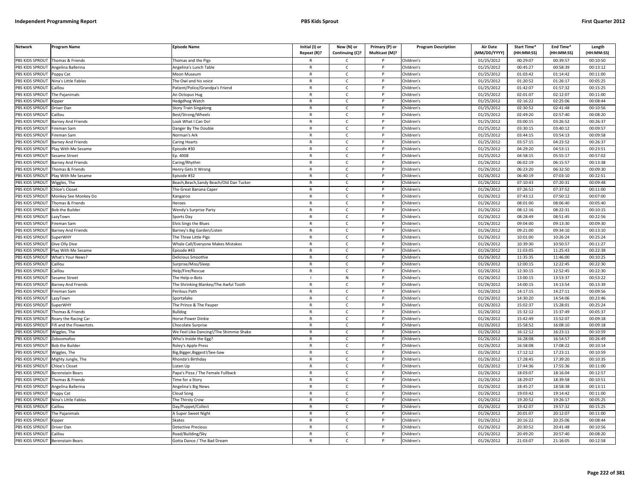| <b>Network</b>         | <b>Program Name</b>                         | <b>Episode Name</b>                                                                                                                                                      | Initial (I) or | New (N) or      | Primary (P) or | <b>Program Description</b> | <b>Air Date</b> | Start Time* | End Time*  | Length     |
|------------------------|---------------------------------------------|--------------------------------------------------------------------------------------------------------------------------------------------------------------------------|----------------|-----------------|----------------|----------------------------|-----------------|-------------|------------|------------|
|                        |                                             |                                                                                                                                                                          | Repeat (R)?    | Continuing (C)? | Multicast (M)? |                            | (MM/DD/YYYY)    | (HH:MM:SS)  | (HH:MM:SS) | (HH:MM:SS) |
| PBS KIDS SPROUT        | Thomas & Friends                            | homas and the Pigs                                                                                                                                                       |                | $\mathsf{C}$    |                | Children's                 | 01/25/2012      | 00:29:07    | 00:39:57   | 00:10:50   |
| PBS KIDS SPROUT        | Angelina Ballerina                          | Angelina's Lunch Table                                                                                                                                                   | $\mathsf{R}$   | $\mathsf{C}$    | P              | Children's                 | 01/25/2012      | 00:45:27    | 00:58:39   | 00:13:12   |
| PBS KIDS SPROUT        | Poppy Cat                                   | Moon Museum                                                                                                                                                              | $\mathsf{R}$   | $\mathsf{C}$    |                | Children's                 | 01/25/2012      | 01:03:42    | 01:14:42   | 00:11:00   |
| PBS KIDS SPROUT        | Nina's Little Fables                        | The Owl and his voice                                                                                                                                                    | ${\sf R}$      | $\mathsf{C}$    | p              | hildren's                  | 01/25/2012      | 01:20:52    | 01:26:17   | 00:05:25   |
| PBS KIDS SPROUT        | Caillou                                     | Patient/Police/Grandpa's Friend                                                                                                                                          | $\mathsf{R}$   | $\mathsf{C}$    | P              | Children's                 | 01/25/2012      | 01:42:07    | 01:57:32   | 00:15:25   |
| PBS KIDS SPROUT        | The Pajanimals                              | An Octopus Hug                                                                                                                                                           | R              | $\mathsf{C}$    | P              | Children's                 | 01/25/2012      | 02:01:07    | 02:12:07   | 00:11:00   |
| PBS KIDS SPROUT        | <b>Kipper</b>                               | Hedgdhog Watch                                                                                                                                                           | $\mathsf{R}$   | C               | P              | Children's                 | 01/25/2012      | 02:16:22    | 02:25:06   | 00:08:44   |
| PBS KIDS SPROUT        | Driver Dan                                  | Story Train Singalong                                                                                                                                                    | $\mathsf{R}$   | $\mathsf{C}$    | D              | Children's                 | 01/25/2012      | 02:30:52    | 02:41:48   | 00:10:56   |
| PBS KIDS SPROUT        | Caillou                                     | Best/Strong/Wheels                                                                                                                                                       | R              | $\mathsf{C}$    | P              | Children's                 | 01/25/2012      | 02:49:20    | 02:57:40   | 00:08:20   |
| PBS KIDS SPROUT        | Barney And Friends                          | ook What I Can Do!                                                                                                                                                       | $\mathsf{R}$   | $\mathsf{C}$    |                | Children's                 | 01/25/2012      | 03:00:15    | 03:26:52   | 00:26:37   |
| PBS KIDS SPROUT        | Fireman Sam                                 | Danger By The Double                                                                                                                                                     | $\mathsf{R}$   | $\mathsf{C}$    | P              | hildren's                  | 01/25/2012      | 03:30:15    | 03:40:12   | 00:09:57   |
| PBS KIDS SPROUT        | Fireman Sam                                 | Norman's Ark                                                                                                                                                             | R              | $\mathsf{C}$    |                | hildren's                  | 01/25/2012      | 03:44:15    | 03:54:13   | 00:09:58   |
| PBS KIDS SPROUT        | <b>Barney And Friends</b>                   | Caring Hearts                                                                                                                                                            | R              | C               | P              | Children's                 | 01/25/2012      | 03:57:15    | 04:23:52   | 00:26:37   |
| PBS KIDS SPROUT        | Play With Me Sesame                         | Episode #30                                                                                                                                                              | $\mathsf{R}$   | C               |                | Children's                 | 01/25/2012      | 04:29:20    | 04:53:11   | 00:23:51   |
| PBS KIDS SPROUT        | Sesame Street                               | Ep. 4008                                                                                                                                                                 | $\mathsf{R}$   | $\mathsf{C}$    | P              | Children's                 | 01/25/2012      | 04:58:15    | 05:55:17   | 00:57:02   |
| PBS KIDS SPROUT        | <b>Barney And Friends</b>                   | Caring/Rhythm                                                                                                                                                            | $\mathsf{R}$   | $\mathsf{C}$    |                | hildren's                  | 01/26/2012      | 06:02:19    | 06:15:57   | 00:13:38   |
| PBS KIDS SPROUT        | Thomas & Friends                            | Henry Gets It Wrong                                                                                                                                                      | $\mathsf{R}$   | $\mathsf{C}$    | P              | hildren's                  | 01/26/2012      | 06:23:20    | 06:32:50   | 00:09:30   |
| PBS KIDS SPROUT        | Play With Me Sesame                         | Episode #32                                                                                                                                                              | R              | $\mathsf{C}$    | D              | Children's                 | 01/26/2012      | 06:40:19    | 07:03:10   | 00:22:51   |
| PBS KIDS SPROUT        | Wiggles, The                                | Beach, Beach, Sandy Beach/Old Dan Tucker                                                                                                                                 | $\mathsf{R}$   | $\mathsf{C}$    | D              | Children's                 | 01/26/2012      | 07:10:43    | 07:20:31   | 00:09:48   |
| PBS KIDS SPROUT        | <b>Chloe's Closet</b>                       | The Great Banana Caper                                                                                                                                                   | R              | $\mathsf{C}$    | D              | Children's                 | 01/26/2012      | 07:26:52    | 07:37:52   | 00:11:00   |
| PBS KIDS SPROUT        | Monkey See Monkey Do                        | <angaroo< td=""><td>R</td><td><math>\mathsf{C}</math></td><td>P</td><td>Children's</td><td>01/26/2012</td><td>07:43:12</td><td>07:50:12</td><td>00:07:00</td></angaroo<> | R              | $\mathsf{C}$    | P              | Children's                 | 01/26/2012      | 07:43:12    | 07:50:12   | 00:07:00   |
| PBS KIDS SPROUT        | Thomas & Friends                            | Heroes                                                                                                                                                                   | R              | C               | P              | Children's                 | 01/26/2012      | 08:01:00    | 08:06:40   | 00:05:40   |
| PBS KIDS SPROUT        | Bob the Builder                             | Wendy's Surprise Party                                                                                                                                                   | $\mathsf{R}$   | $\mathsf{C}$    | D              | Children's                 | 01/26/2012      | 08:12:16    | 08:22:31   | 00:10:15   |
| PBS KIDS SPROUT        | LazyTown                                    | Sports Day                                                                                                                                                               | R              | $\mathsf{C}$    | P              | Children's                 | 01/26/2012      | 08:28:49    | 08:51:45   | 00:22:56   |
| PBS KIDS SPROUT        | Fireman Sam                                 | <b>Elvis Sings the Blues</b>                                                                                                                                             | $\mathsf{R}$   | $\mathsf{C}$    |                | hildren's                  | 01/26/2012      | 09:04:00    | 09:13:30   | 00:09:30   |
| PBS KIDS SPROUT        | Barney And Friends                          | Barney's Big Garden/Listen                                                                                                                                               | R              | C               | P              | Children's                 | 01/26/2012      | 09:21:00    | 09:34:10   | 00:13:10   |
| PBS KIDS SPROUT        | SuperWHY                                    | The Three Little Pigs                                                                                                                                                    | $\mathsf{R}$   | C               |                | Children's                 | 01/26/2012      | 10:01:00    | 10:26:24   | 00:25:24   |
| PBS KIDS SPROUT        | Dive Olly Dive                              | Whale Call/Everyone Makes Mistakes                                                                                                                                       | $\mathsf{R}$   | $\mathsf{C}$    | P              | Children's                 | 01/26/2012      | 10:39:30    | 10:50:57   | 00:11:27   |
| PBS KIDS SPROUT        | Play With Me Sesame                         | pisode #43                                                                                                                                                               | $\mathsf{R}$   | $\mathsf{C}$    |                | Children's                 | 01/26/2012      | 11:03:05    | 11:25:43   | 00:22:38   |
| PBS KIDS SPROUT        | What's Your News?                           | Delicious Smoothie                                                                                                                                                       | $\mathsf{R}$   | $\mathsf{C}$    | P              | Children's                 | 01/26/2012      | 11:35:35    | 11:46:00   | 00:10:25   |
| PBS KIDS SPROUT        | Caillou                                     | Surprise/Miss/Sleep                                                                                                                                                      | $\mathsf{R}$   | $\mathsf{C}$    |                | hildren's                  | 01/26/2012      | 12:00:15    | 12:22:45   | 00:22:30   |
| PBS KIDS SPROUT        | Caillou                                     | Help/Fire/Rescue                                                                                                                                                         | $\mathsf{R}$   | $\mathsf{C}$    | P              | Children's                 | 01/26/2012      | 12:30:15    | 12:52:45   | 00:22:30   |
| PBS KIDS SPROUT        | Sesame Street                               | The Help-o-Bots                                                                                                                                                          |                | N               | D              | Children's                 | 01/26/2012      | 13:00:15    | 13:53:37   | 00:53:22   |
| PBS KIDS SPROUT        | Barney And Friends                          | The Shrinking Blankey/The Awful Tooth                                                                                                                                    | $\mathsf{R}$   | $\mathsf{C}$    |                | Children's                 | 01/26/2012      | 14:00:15    | 14:13:54   | 00:13:39   |
| PBS KIDS SPROUT        | Fireman Sam                                 | Perilous Path                                                                                                                                                            | $\mathsf{R}$   | C               |                | Children's                 | 01/26/2012      | 14:17:15    | 14:27:11   | 00:09:56   |
| PBS KIDS SPROUT        | azyTown                                     | Sportafake                                                                                                                                                               | $\mathsf{R}$   | $\mathsf{C}$    | P              | hildren's                  | 01/26/2012      | 14:30:20    | 14:54:06   | 00:23:46   |
| PBS KIDS SPROUT        | <b>SuperWHY</b>                             | The Prince & The Pauper                                                                                                                                                  | R              | $\mathsf{C}$    | P              | Children's                 | 01/26/2012      | 15:02:37    | 15:28:01   | 00:25:24   |
| PBS KIDS SPROUT        | Thomas & Friends                            | <b>Bulldog</b>                                                                                                                                                           | $\mathsf{R}$   | $\mathsf{C}$    | D              | Children's                 | 01/26/2012      | 15:32:12    | 15:37:49   | 00:05:37   |
| PBS KIDS SPROUT        | Roary the Racing Car                        | Horse Power Dinkie                                                                                                                                                       | $\mathsf{R}$   | $\mathsf{C}$    | P              | Children's                 | 01/26/2012      | 15:42:49    | 15:52:07   | 00:09:18   |
| PBS KIDS SPROUT        | ifi and the Flowertots                      | Chocolate Surprise                                                                                                                                                       | $\mathsf{R}$   | C               |                | Children's                 | 01/26/2012      | 15:58:52    | 16:08:10   | 00:09:18   |
| PBS KIDS SPROUT        | Wiggles, The                                | We Feel Like Dancing!/The Shimmie Shake                                                                                                                                  | $\mathsf{R}$   | C               | P              | Children's                 | 01/26/2012      | 16:12:12    | 16:23:11   | 00:10:59   |
| <b>PBS KIDS SPROUT</b> | Zoboomafoo                                  | Who's Inside the Egg?                                                                                                                                                    | R              | C               | P              | hildren's                  | 01/26/2012      | 16:28:08    | 16:54:57   | 00:26:49   |
| PBS KIDS SPROUT        | <b>Bob the Builder</b>                      |                                                                                                                                                                          | $\mathsf{R}$   | $\mathsf{C}$    | P              | hildren's                  | 01/26/2012      | 16:58:08    | 17:08:22   | 00:10:14   |
| PBS KIDS SPROUT        | Wiggles, The                                | Roley's Apple Press<br>lig, Bigger, Biggest!/See-Saw                                                                                                                     | $\mathsf{R}$   | $\mathsf{C}$    | P              | Children's                 | 01/26/2012      | 17:12:12    | 17:23:11   | 00:10:59   |
| PBS KIDS SPROUT        |                                             | Rhonda's Birthday                                                                                                                                                        | $\mathsf{R}$   | $\mathsf{C}$    | P              | Children's                 | 01/26/2012      | 17:28:45    | 17:39:20   | 00:10:35   |
| PBS KIDS SPROUT        | Mighty Jungle, The<br><b>Chloe's Closet</b> | Listen Up                                                                                                                                                                | $\mathsf{R}$   | $\mathsf{C}$    |                | Children's                 | 01/26/2012      | 17:44:36    | 17:55:36   | 00:11:00   |
| PBS KIDS SPROUT        |                                             |                                                                                                                                                                          |                |                 | P              |                            | 01/26/2012      | 18:03:07    | 18:16:04   | 00:12:57   |
|                        | Berenstain Bears                            | Papa's Pizza / The Female Fullback                                                                                                                                       | R              | C               |                | hildren's                  |                 |             |            |            |
| PBS KIDS SPROUT        | Thomas & Friends                            | <b>Time for a Story</b>                                                                                                                                                  | $\mathsf{R}$   | $\mathsf{C}$    | D              | Children's                 | 01/26/2012      | 18:29:07    | 18:39:58   | 00:10:51   |
| PBS KIDS SPROUT        | Angelina Ballerina                          | Angelina's Big News                                                                                                                                                      | $\mathsf{R}$   | $\mathsf{C}$    |                | hildren's                  | 01/26/2012      | 18:45:27    | 18:58:38   | 00:13:11   |
| PBS KIDS SPROUT        | Poppy Cat                                   | Cloud Song                                                                                                                                                               | $\mathsf{R}$   | $\mathsf{C}$    |                | Children's                 | 01/26/2012      | 19:03:42    | 19:14:42   | 00:11:00   |
| PBS KIDS SPROUT        | Nina's Little Fables                        | he Thirsty Crow                                                                                                                                                          | $\mathsf{R}$   | $\mathsf{C}$    | P              | hildren's                  | 01/26/2012      | 19:20:52    | 19:26:17   | 00:05:25   |
| PBS KIDS SPROUT        | Caillou                                     | Day/Puppet/Collect                                                                                                                                                       | R              | $\mathsf{C}$    | P              | Children's                 | 01/26/2012      | 19:42:07    | 19:57:32   | 00:15:25   |
| PBS KIDS SPROUT        | The Pajanimals                              | A Super Sweet Night                                                                                                                                                      | $\mathsf{R}$   | $\mathsf{C}$    | P              | hildren's                  | 01/26/2012      | 20:01:07    | 20:12:07   | 00:11:00   |
| PBS KIDS SPROUT        | <b>Kipper</b>                               | Skates                                                                                                                                                                   | R              | c               | P              | Children's                 | 01/26/2012      | 20:16:22    | 20:25:06   | 00:08:44   |
| PBS KIDS SPROUT        | Driver Dan                                  | Detective Precious                                                                                                                                                       | $\mathsf{R}$   | $\mathsf{C}$    |                | Children's                 | 01/26/2012      | 20:30:52    | 20:41:48   | 00:10:56   |
| PBS KIDS SPROUT        | Caillou                                     | Road/Building/Sky                                                                                                                                                        | $\mathsf{R}$   | C               | P              | Children's                 | 01/26/2012      | 20:49:20    | 20:57:40   | 00:08:20   |
| PBS KIDS SPROUT        | <b>Berenstain Bears</b>                     | Gotta Dance / The Bad Dream                                                                                                                                              | $\mathsf{R}$   | $\mathsf{C}$    |                | Children's                 | 01/26/2012      | 21:03:07    | 21:16:05   | 00:12:58   |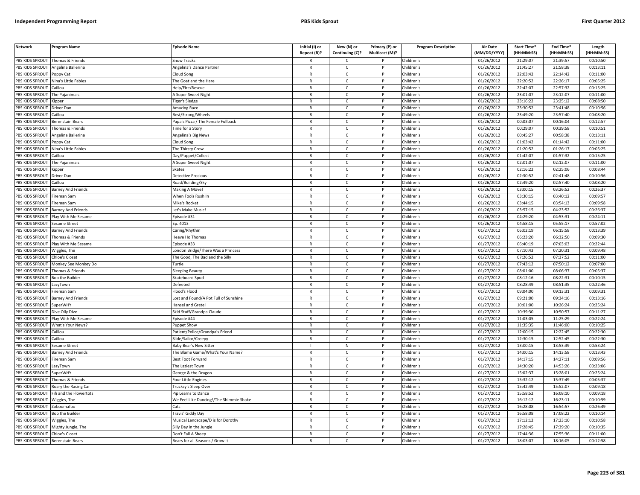| <b>Network</b>  | Program Name              | <b>Episode Name</b>                     | Initial (I) or<br>Repeat (R)? | New (N) or<br>Continuing (C)? | Primary (P) or<br>Multicast (M)? | <b>Program Description</b> | <b>Air Date</b><br>(MM/DD/YYYY) | Start Time*<br>(HH:MM:SS) | End Time*<br>(HH:MM:SS) | Length<br>(HH:MM:SS) |
|-----------------|---------------------------|-----------------------------------------|-------------------------------|-------------------------------|----------------------------------|----------------------------|---------------------------------|---------------------------|-------------------------|----------------------|
| PBS KIDS SPROUT | Thomas & Friends          | Snow Tracks                             |                               | $\mathsf{C}$                  |                                  | Children's                 | 01/26/2012                      | 21:29:07                  | 21:39:57                | 00:10:50             |
| PBS KIDS SPROUT | Angelina Ballerina        | Angelina's Dance Partner                | $\mathsf{R}$                  | $\mathsf{C}$                  | P                                | Children's                 | 01/26/2012                      | 21:45:27                  | 21:58:38                | 00:13:11             |
| PBS KIDS SPROUT | Poppy Cat                 | Cloud Song                              | $\mathsf{R}$                  | $\mathsf{C}$                  |                                  | Children's                 | 01/26/2012                      | 22:03:42                  | 22:14:42                | 00:11:00             |
| PBS KIDS SPROUT | Nina's Little Fables      | The Goat and the Hare                   | ${\sf R}$                     | $\mathsf{C}$                  | P                                | Children's                 | 01/26/2012                      | 22:20:52                  | 22:26:17                | 00:05:25             |
| PBS KIDS SPROUT | Caillou                   | Help/Fire/Rescue                        | $\mathsf{R}$                  | c                             | P                                | Children's                 | 01/26/2012                      | 22:42:07                  | 22:57:32                | 00:15:25             |
| PBS KIDS SPROUT | The Pajanimals            | A Super Sweet Night                     | $\mathsf{R}$                  | $\mathsf{C}$                  | P                                | Children's                 | 01/26/2012                      | 23:01:07                  | 23:12:07                | 00:11:00             |
| PBS KIDS SPROUT | <b>Kipper</b>             | iger's Sledge                           | $\mathsf{R}$                  | C                             | P                                | Children's                 | 01/26/2012                      | 23:16:22                  | 23:25:12                | 00:08:50             |
| PBS KIDS SPROUT | Driver Dan                | Amazing Race                            | ${\sf R}$                     | $\mathsf{C}$                  | P                                | Children's                 | 01/26/2012                      | 23:30:52                  | 23:41:48                | 00:10:56             |
| PBS KIDS SPROUT | Caillou                   | Best/Strong/Wheels                      | ${\sf R}$                     | $\mathsf{C}$                  | P                                | Children's                 | 01/26/2012                      | 23:49:20                  | 23:57:40                | 00:08:20             |
| PBS KIDS SPROUT | Berenstain Bears          | Papa's Pizza / The Female Fullback      | $\mathsf{R}$                  | $\mathsf{C}$                  |                                  | Children's                 | 01/26/2012                      | 00:03:07                  | 00:16:04                | 00:12:57             |
| PBS KIDS SPROUT | Thomas & Friends          | Time for a Story                        | $\mathsf{R}$                  | C                             | P                                | Children's                 | 01/26/2012                      | 00:29:07                  | 00:39:58                | 00:10:51             |
| PBS KIDS SPROUT | Angelina Ballerina        | Angelina's Big News                     | $\mathsf{R}$                  | $\mathsf{C}$                  | P                                | Children's                 | 01/26/2012                      | 00:45:27                  | 00:58:38                | 00:13:11             |
| PBS KIDS SPROUT | Poppy Cat                 | Cloud Song                              | $\mathsf{R}$                  | $\mathsf{C}$                  | $\mathsf{P}$                     | Children's                 | 01/26/2012                      | 01:03:42                  | 01:14:42                | 00:11:00             |
| PBS KIDS SPROUT | Nina's Little Fables      | The Thirsty Crow                        | $\mathsf{R}$                  | $\mathsf{C}$                  | P                                | Children's                 | 01/26/2012                      | 01:20:52                  | 01:26:17                | 00:05:25             |
| PBS KIDS SPROUT | Caillou                   | Day/Puppet/Collect                      | $\mathsf{R}$                  | $\mathsf{C}$                  | P                                | Children's                 | 01/26/2012                      | 01:42:07                  | 01:57:32                | 00:15:25             |
| PBS KIDS SPROUT | The Pajanimals            | A Super Sweet Night                     | $\mathsf{R}$                  | $\mathsf{C}$                  | P                                | Children's                 | 01/26/2012                      | 02:01:07                  | 02:12:07                | 00:11:00             |
| PBS KIDS SPROUT | <b>Kipper</b>             | Skates                                  | $\mathsf{R}$                  | $\mathsf{C}$                  | P                                | Children's                 | 01/26/2012                      | 02:16:22                  | 02:25:06                | 00:08:44             |
| PBS KIDS SPROUT | Driver Dan                | <b>Detective Precious</b>               | $\mathsf{R}$                  | $\mathsf{C}$                  | P                                | Children's                 | 01/26/2012                      | 02:30:52                  | 02:41:48                | 00:10:56             |
| PBS KIDS SPROUT | Caillou                   | Road/Building/Sky                       | $\mathsf{R}$                  | $\mathsf{C}$                  | P                                | Children's                 | 01/26/2012                      | 02:49:20                  | 02:57:40                | 00:08:20             |
| PBS KIDS SPROUT | <b>Barney And Friends</b> | Making A Move!                          | $\mathsf{R}$                  | $\mathsf{C}$                  | P                                | Children's                 | 01/26/2012                      | 03:00:15                  | 03:26:52                | 00:26:37             |
| PBS KIDS SPROUT | Fireman Sam               | When Fools Rush In                      | $\mathsf{R}$                  | $\mathsf{C}$                  | P                                | Children's                 | 01/26/2012                      | 03:30:15                  | 03:40:12                | 00:09:57             |
| PBS KIDS SPROUT | Fireman Sam               | Mike's Rocket                           | $\mathsf{R}$                  | c                             | D                                | Children's                 | 01/26/2012                      | 03:44:15                  | 03:54:13                | 00:09:58             |
| PBS KIDS SPROUT | Barney And Friends        | Let's Make Music!                       | $\mathsf{R}$                  | $\mathsf{C}$                  | <sub>D</sub>                     | Children's                 | 01/26/2012                      | 03:57:15                  | 04:23:52                | 00:26:37             |
| PBS KIDS SPROUT | Play With Me Sesame       | Episode #31                             | $\mathsf{R}$                  | $\mathsf{C}$                  | P                                | Children's                 | 01/26/2012                      | 04:29:20                  | 04:53:31                | 00:24:11             |
| PBS KIDS SPROUT | Sesame Street             | Ep. 4013                                | $\mathsf{R}$                  | $\mathsf{C}$                  |                                  | Children's                 | 01/26/2012                      | 04:58:15                  | 05:55:17                | 00:57:02             |
| PBS KIDS SPROUT | <b>Barney And Friends</b> | Caring/Rhythm                           | $\mathsf{R}$                  | C                             | P                                | Children's                 | 01/27/2012                      | 06:02:19                  | 06:15:58                | 00:13:39             |
| PBS KIDS SPROUT | Thomas & Friends          | Heave Ho Thomas                         | $\mathsf{R}$                  | $\mathsf{C}$                  |                                  | Children's                 | 01/27/2012                      | 06:23:20                  | 06:32:50                | 00:09:30             |
| PBS KIDS SPROUT | Play With Me Sesame       | Episode #33                             | ${\sf R}$                     | $\mathsf{C}$                  | P                                | Children's                 | 01/27/2012                      | 06:40:19                  | 07:03:03                | 00:22:44             |
| PBS KIDS SPROUT | Wiggles, The              | ondon Bridge/There Was a Princess       | R                             | $\mathsf{C}$                  |                                  | Children's                 | 01/27/2012                      | 07:10:43                  | 07:20:31                | 00:09:48             |
| PBS KIDS SPROUT | <b>Chloe's Closet</b>     | The Good, The Bad and the Silly         | $\mathsf{R}$                  | C                             | P                                | Children's                 | 01/27/2012                      | 07:26:52                  | 07:37:52                | 00:11:00             |
| PBS KIDS SPROUT | Monkey See Monkey Do      | Turtle                                  | $\mathsf{R}$                  | $\mathsf{C}$                  | P                                | Children's                 | 01/27/2012                      | 07:43:12                  | 07:50:12                | 00:07:00             |
| PBS KIDS SPROUT | Thomas & Friends          | Sleeping Beauty                         | $\mathsf{R}$                  | $\mathsf{C}$                  | P                                | Children's                 | 01/27/2012                      | 08:01:00                  | 08:06:37                | 00:05:37             |
| PBS KIDS SPROUT | <b>Bob the Builder</b>    | Skateboard Spud                         | $\mathsf{R}$                  | $\mathsf{C}$                  | P                                | Children's                 | 01/27/2012                      | 08:12:16                  | 08:22:31                | 00:10:15             |
| PBS KIDS SPROUT | LazyTown                  | Defeeted                                | $\mathsf{R}$                  | $\mathsf{C}$                  | P                                | Children's                 | 01/27/2012                      | 08:28:49                  | 08:51:35                | 00:22:46             |
| PBS KIDS SPROUT | Fireman Sam               | lood's Flood                            | $\mathsf{R}$                  | $\mathsf{C}$                  | P                                | Children's                 | $\overline{01}/27/2012$         | 09:04:00                  | 09:13:31                | 00:09:31             |
| PBS KIDS SPROUT | Barney And Friends        | Lost and Found/A Pot Full of Sunshine   | ${\sf R}$                     | $\mathsf{C}$                  | P                                | Children's                 | 01/27/2012                      | 09:21:00                  | 09:34:16                | 00:13:16             |
| PBS KIDS SPROUT | <b>SuperWHY</b>           | Hansel and Gretel                       | $\mathsf{R}$                  | C                             |                                  | Children's                 | 01/27/2012                      | 10:01:00                  | 10:26:24                | 00:25:24             |
| PBS KIDS SPROUT | Dive Olly Dive            | Skid Stuff/Grandpa Claude               | $\mathsf{R}$                  | $\mathsf{C}$                  | P                                | Children's                 | 01/27/2012                      | 10:39:30                  | 10:50:57                | 00:11:27             |
| PBS KIDS SPROUT | Play With Me Sesame       | Episode #44                             | $\mathsf{R}$                  | $\mathsf{C}$                  | P                                | Children's                 | 01/27/2012                      | 11:03:05                  | 11:25:29                | 00:22:24             |
| PBS KIDS SPROUT | What's Your News?         | Puppet Show                             | $\mathsf{R}$                  | $\mathsf{C}$                  | P                                | Children's                 | 01/27/2012                      | 11:35:35                  | 11:46:00                | 00:10:25             |
| PBS KIDS SPROUT | Caillou                   | Patient/Police/Grandpa's Friend         | $\mathsf{R}$                  | $\mathsf{C}$                  | P                                | Children's                 | 01/27/2012                      | 12:00:15                  | 12:22:45                | 00:22:30             |
| PBS KIDS SPROUT | Caillou                   | Slide/Sailor/Creepy                     | $\mathsf{R}$                  | $\mathsf{C}$                  |                                  | Children's                 | 01/27/2012                      | 12:30:15                  | 12:52:45                | 00:22:30             |
| PBS KIDS SPROUT | Sesame Street             | Baby Bear's New Sitter                  |                               | N                             | P                                | Children's                 | 01/27/2012                      | 13:00:15                  | 13:53:39                | 00:53:24             |
| PBS KIDS SPROUT | Barney And Friends        | The Blame Game/What's Your Name?        | $\mathsf{R}$                  | $\mathsf{C}$                  | P                                | Children's                 | 01/27/2012                      | 14:00:15                  | 14:13:58                | 00:13:43             |
| PBS KIDS SPROUT | Fireman Sam               | Best Foot Forward                       | $\mathsf{R}$                  | C                             | P                                | Children's                 | 01/27/2012                      | 14:17:15                  | 14:27:11                | 00:09:56             |
| PBS KIDS SPROUT | LazyTown                  | The Laziest Town                        | $\mathsf{R}$                  | $\mathsf{C}$                  | P                                | Children's                 | 01/27/2012                      | 14:30:20                  | 14:53:26                | 00:23:06             |
| PBS KIDS SPROUT | SuperWHY                  | George & the Dragon                     | $\mathsf{R}$                  | $\mathsf{C}$                  | P                                | Children's                 | 01/27/2012                      | 15:02:37                  | 15:28:01                | 00:25:24             |
| PBS KIDS SPROUT | Thomas & Friends          | Four Little Engines                     | $\mathsf{R}$                  | $\mathsf{C}$                  | P                                | Children's                 | 01/27/2012                      | 15:32:12                  | 15:37:49                | 00:05:37             |
| PBS KIDS SPROUT | Roary the Racing Car      | Trucksy's Sleep Over                    | $\mathsf{R}$                  | C                             | P                                | Children's                 | 01/27/2012                      | 15:42:49                  | 15:52:07                | 00:09:18             |
| PBS KIDS SPROUT | ifi and the Flowertots    | Pip Learns to Dance                     | $\mathsf{R}$                  | C                             | P                                | Children's                 | 01/27/2012                      | 15:58:52                  | 16:08:10                | 00:09:18             |
| PBS KIDS SPROUT | Wiggles, The              | We Feel Like Dancing!/The Shimmie Shake | $\mathsf{R}$                  | $\mathsf{C}$                  | P                                | Children's                 | $\overline{01}/27/2012$         | 16:12:12                  | 16:23:11                | 00:10:59             |
| PBS KIDS SPROUT | Zoboomafoo                | Cats                                    | $\mathsf{R}$                  | $\mathsf{C}$                  |                                  | Children's                 | 01/27/2012                      | 16:28:08                  | 16:54:57                | 00:26:49             |
| PBS KIDS SPROUT | Bob the Builder           | Travis' Giddy Day                       | $\mathsf{R}$                  | $\mathsf{C}$                  | D                                | Children's                 | 01/27/2012                      | 16:58:08                  | 17:08:22                | 00:10:14             |
| PBS KIDS SPROUT | Wiggles, The              | Musical Landscape/D is for Dorothy      | R                             | $\mathsf{C}$                  | P                                | Children's                 | 01/27/2012                      | 17:12:12                  | 17:23:10                | 00:10:58             |
| PBS KIDS SPROUT | Mighty Jungle, The        | illy Day in the Jungl                   | $\mathsf{R}$                  | $\mathsf{C}$                  |                                  | Children's                 | 01/27/2012                      | 17:28:45                  | 17:39:20                | 00:10:35             |
| PBS KIDS SPROUT | Chloe's Closet            | Don't Fall A Sheep                      | $\mathsf{R}$                  | $\mathsf{C}$                  | P                                | Children's                 | 01/27/2012                      | 17:44:36                  | 17:55:36                | 00:11:00             |
| PBS KIDS SPROUT | <b>Berenstain Bears</b>   | Bears for all Seasons / Grow It         | $\mathsf{R}$                  | $\epsilon$                    | D                                | Children's                 | 01/27/2012                      | 18:03:07                  | 18:16:05                | 00:12:58             |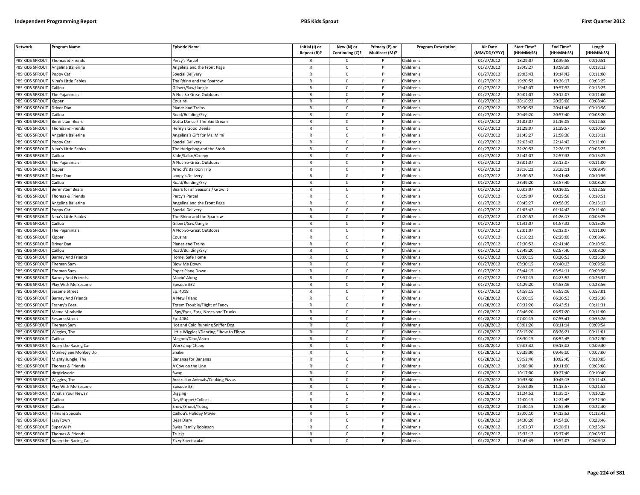| <b>Network</b>         | Program Name                         | <b>Episode Name</b>                      | Initial (I) or               | New (N) or        | Primary (P) or | <b>Program Description</b> | <b>Air Date</b>          | Start Time*          | End Time*            | Length     |
|------------------------|--------------------------------------|------------------------------------------|------------------------------|-------------------|----------------|----------------------------|--------------------------|----------------------|----------------------|------------|
|                        |                                      |                                          | Repeat (R)?                  | Continuing (C)?   | Multicast (M)? |                            | (MM/DD/YYYY)             | (HH:MM:SS)           | (HH:MM:SS)           | (HH:MM:SS) |
| PBS KIDS SPROUT        | Thomas & Friends                     | ercy's Parcel                            | R                            | Ċ                 |                | Children's                 | 01/27/2012               | 18:29:07             | 18:39:58             | 00:10:51   |
| <b>PBS KIDS SPROUT</b> | Angelina Ballerina                   | Angelina and the Front Page              | $\mathsf{R}$                 | $\mathsf{C}$      | P              | Children's                 | 01/27/2012               | 18:45:27             | 18:58:39             | 00:13:12   |
| <b>BS KIDS SPROUT</b>  | Poppy Cat                            | Special Delivery                         | $\mathsf{R}$                 | $\mathsf{C}$      |                | Children's                 | 01/27/2012               | 19:03:42             | 19:14:42             | 00:11:00   |
| PBS KIDS SPROUT        | Vina's Little Fables                 | The Rhino and the Sparrow                | $\mathsf{R}$                 | $\mathsf{C}$      | Þ              | Children's                 | 01/27/2012               | 19:20:52             | 19:26:17             | 00:05:25   |
| PBS KIDS SPROUT        | Caillou                              | Gilbert/Saw/Jungle                       | $\mathsf{R}$                 | C                 |                | Children's                 | 01/27/2012               | 19:42:07             | 19:57:32             | 00:15:25   |
| PBS KIDS SPROUT        | he Pajanimals                        | Mot-So-Great Outdoors                    | $\mathsf{R}$                 | $\mathsf{C}$      | P              | Children's                 | 01/27/2012               | 20:01:07             | 20:12:07             | 00:11:00   |
| PBS KIDS SPROUT        | Kipper                               | Cousins                                  | R                            | $\mathsf{C}$      | P              | Children's                 | 01/27/2012               | 20:16:22             | 20:25:08             | 00:08:46   |
| PBS KIDS SPROUT        | Driver Dan                           | lanes and Trains                         | $\mathsf{R}$                 | $\mathsf{C}$      | P              | Children's                 | 01/27/2012               | 20:30:52             | 20:41:48             | 00:10:56   |
| PBS KIDS SPROUT        | Caillou                              | Road/Building/Sky                        | $\mathsf{R}$                 | $\mathsf{C}$      | $\mathsf{P}$   | Children's                 | 01/27/2012               | 20:49:20             | 20:57:40             | 00:08:20   |
| PBS KIDS SPROUT        | Berenstain Bears                     | Gotta Dance / The Bad Dream              | $\mathsf{R}$                 | $\mathsf{C}$      |                | Children's                 | 01/27/2012               | 21:03:07             | 21:16:05             | 00:12:58   |
| PBS KIDS SPROUT        | homas & Friends                      | Henry's Good Deeds                       | $\mathsf{R}$                 | $\mathsf{C}$      | P              | Children's                 | 01/27/2012               | 21:29:07             | 21:39:57             | 00:10:50   |
| PBS KIDS SPROUT        | Angelina Ballerina                   | Angelina's Gift for Ms. Mimi             | $\mathsf{R}$                 | $\mathsf{C}$      |                | Children's                 | 01/27/2012               | 21:45:27             | 21:58:38             | 00:13:11   |
| PBS KIDS SPROUT        | oppy Cat                             | Special Delivery                         | $\mathsf{R}$                 | $\mathsf{C}$      | P              | Children's                 | 01/27/2012               | 22:03:42             | 22:14:42             | 00:11:00   |
| PBS KIDS SPROUT        | Vina's Little Fables                 | he Hedgehog and the Stork                | R                            | $\mathsf{C}$      |                | Children's                 | 01/27/2012               | 22:20:52             | 22:26:17             | 00:05:25   |
| PBS KIDS SPROUT        | Caillou                              | Slide/Sailor/Creepy                      | $\mathsf{R}$                 | $\mathsf{C}$      | $\mathsf{P}$   | Children's                 | 01/27/2012               | 22:42:07             | 22:57:32             | 00:15:25   |
| PBS KIDS SPROUT        | The Pajanimals                       | A Not-So-Great Outdoors                  | R                            | C                 |                | Children's                 | 01/27/2012               | 23:01:07             | 23:12:07             | 00:11:00   |
| PBS KIDS SPROUT        | Kipper                               | Arnold's Balloon Trip                    | R                            | $\mathsf{C}$      | P              | Children's                 | 01/27/2012               | 23:16:22             | 23:25:11             | 00:08:49   |
| PBS KIDS SPROUT        | Driver Dan                           | Loopy's Delivery                         | $\mathsf{R}$                 | $\mathsf{C}$      | P              | Children's                 | 01/27/2012               | 23:30:52             | 23:41:48             | 00:10:56   |
| PBS KIDS SPROUT        | aillou                               | Road/Building/Sky                        | $\mathsf{R}$                 | $\mathsf{C}$      | P              | Children's                 | 01/27/2012               | 23:49:20             | 23:57:40             | 00:08:20   |
| PBS KIDS SPROUT        | Berenstain Bears                     | Bears for all Seasons / Grow It          | R                            | C.                |                | Children's                 | 01/27/2012               | 00:03:07             | 00:16:05             | 00:12:58   |
| PBS KIDS SPROUT        | homas & Friends                      | ercy's Parcel                            | $\mathsf{R}$                 | $\mathsf{C}$      | D              | Children's                 | 01/27/2012               | 00:29:07             | 00:39:58             | 00:10:51   |
| <b>BS KIDS SPROUT</b>  | Angelina Ballerina                   | Angelina and the Front Page              | R                            | C                 |                | Children's                 | 01/27/2012               | 00:45:27             | 00:58:39             | 00:13:12   |
| PBS KIDS SPROUT        | oppy Cat                             | Special Delivery                         | $\mathsf{R}$                 | $\mathsf{C}$      | Þ              | Children's                 | 01/27/2012               | 01:03:42             | 01:14:42             | 00:11:00   |
| PBS KIDS SPROUT        | Nina's Little Fables                 | he Rhino and the Sparrow                 | R                            | $\mathsf{C}$      | P              | Children's                 | 01/27/2012               | 01:20:52             | 01:26:17             | 00:05:25   |
| PBS KIDS SPROUT        | aillou                               | Gilbert/Saw/Jungle                       | $\mathsf{R}$                 | $\mathsf{C}$      | P              | Children's                 | 01/27/2012               | 01:42:07             | 01:57:32             | 00:15:25   |
| PBS KIDS SPROUT        | The Pajanimals                       | A Not-So-Great Outdoors                  | $\mathsf{R}$                 | $\mathsf{C}$      | P              | Children's                 | 01/27/2012               | 02:01:07             | 02:12:07             | 00:11:00   |
| PBS KIDS SPROUT        | <b>Kipper</b>                        | Cousins                                  | R                            | $\mathsf{C}$      |                | Children's                 | $\sqrt{01}/27/2012$      | 02:16:22             | 02:25:08             | 00:08:46   |
| PBS KIDS SPROUT        | Driver Dan                           | Planes and Trains                        | $\mathsf{R}$                 | $\mathsf{C}$      | P              | Children's                 | 01/27/2012               | 02:30:52             | 02:41:48             | 00:10:56   |
| PBS KIDS SPROUT        | aillou                               | Road/Building/Sky                        | $\mathsf{R}$                 | $\mathsf{C}$      |                | Children's                 | 01/27/2012               | 02:49:20             | 02:57:40             | 00:08:20   |
| PBS KIDS SPROUT        | <b>Barney And Friends</b>            | Home, Safe Home                          | $\mathsf{R}$                 | $\mathsf{C}$      | P              | Children's                 | 01/27/2012               | 03:00:15             | 03:26:53             | 00:26:38   |
| PBS KIDS SPROUT        | ireman Sam                           | Blow Me Down                             | R                            | $\mathsf{C}$      |                | Children's                 | 01/27/2012               | 03:30:15             | 03:40:13             | 00:09:58   |
| PBS KIDS SPROUT        | ireman Sam                           | Paper Plane Down                         | $\mathsf{R}$                 | $\mathsf{C}$      | P              | Children's                 | 01/27/2012               | 03:44:15             | 03:54:11             | 00:09:56   |
| PBS KIDS SPROUT        | <b>Barney And Friends</b>            | Movin' Along                             | $\mathsf{R}$                 | $\mathsf{C}$      | P              | Children's                 | 01/27/2012               | 03:57:15             | 04:23:52             | 00:26:37   |
| PBS KIDS SPROUT        | Play With Me Sesame                  | Episode #32                              | R                            | $\mathsf{C}$      | P              | Children's                 | 01/27/2012               | 04:29:20             | 04:53:16             | 00:23:56   |
| PBS KIDS SPROUT        | <b>Sesame Street</b>                 | Ep. 4018                                 | R                            | $\mathsf{C}$      | P              | Children's                 | 01/27/2012               | 04:58:15             | 05:55:16             | 00:57:01   |
| PBS KIDS SPROUT        | <b>Barney And Friends</b>            | A New Friend                             | $\mathsf{R}$                 | $\mathsf{C}$      | P              | Children's                 | 01/28/2012               | 06:00:15             | 06:26:53             | 00:26:38   |
| PBS KIDS SPROUT        | Franny's Feet                        | otem Trouble/Flight of Fancy             | R                            | $\mathsf{C}$      |                | Children's                 | 01/28/2012               | 06:32:20             | 06:43:51             | 00:11:31   |
| PBS KIDS SPROUT        | Mama Mirabelle                       | Spy/Eyes, Ears, Noses and Trunks         | $\mathsf{R}$                 | $\mathsf{C}$      | Þ              | Children's                 | 01/28/2012               | 06:46:20             | 06:57:20             | 00:11:00   |
| PBS KIDS SPROUT        | Sesame Street                        | p. 4064                                  | R                            | C                 |                | Children's                 | 01/28/2012               | 07:00:15             | 07:55:41             | 00:55:26   |
| PBS KIDS SPROUT        | ireman Sam                           | lot and Cold Running Sniffer Dog         | $\mathsf{R}$                 | $\mathsf{C}$      |                | Children's                 | 01/28/2012               | 08:01:20             | 08:11:14             | 00:09:54   |
| <b>BS KIDS SPROUT</b>  | Wiggles, The                         | ittle Wiggles!/Dancing Elbow to Elbow    | $\mathsf{R}$                 | $\mathsf{C}$      | P              | Children's                 | 01/28/2012               | 08:15:20             | 08:26:21             | 00:11:01   |
| PBS KIDS SPROUT        | Caillou                              | Magnet/Dino/Astro                        | $\mathsf{R}$                 | $\mathsf{C}$      | Þ              | Children's                 | 01/28/2012               | 08:30:15             | 08:52:45             | 00:22:30   |
| PBS KIDS SPROUT        | Roary the Racing Car                 | <b>Workshop Chaos</b>                    | $\mathsf{R}$                 | $\mathsf{C}$      | P              | Children's                 | 01/28/2012               | 09:03:32             | 09:13:02             | 00:09:30   |
| PBS KIDS SPROUT        | Monkey See Monkey Do                 | inake                                    | $\mathsf{R}$                 | $\mathsf{C}$      | D              | Children's                 | 01/28/2012               | 09:39:00             | 09:46:00             | 00:07:00   |
| PBS KIDS SPROUT        | Mighty Jungle, The                   | Bananas for Bananas                      | $\mathsf{R}$                 | $\mathsf{C}$      | P              | Children's                 | 01/28/2012               | 09:52:40             | 10:02:45             | 00:10:05   |
| PBS KIDS SPROUT        | Thomas & Friends                     | A Cow on the Line                        | $\mathsf{R}$                 | $\mathsf{C}$      | D              | Children's                 | 01/28/2012               | 10:06:00             | 10:11:06             | 00:05:06   |
| PBS KIDS SPROUT        | dirtgirlworld                        | swap                                     | R                            | $\mathsf{C}$      | P              | Children's                 | 01/28/2012               | 10:17:00             | 10:27:40             | 00:10:40   |
| PBS KIDS SPROUT        |                                      | <b>Australian Animals/Cooking Pizzas</b> | $\mathsf{R}$                 | $\mathsf{C}$      | P              | Children's                 | 01/28/2012               | 10:33:30             | 10:45:13             | 00:11:43   |
|                        | Wiggles, The                         |                                          |                              |                   |                |                            |                          |                      |                      |            |
| PBS KIDS SPROUT        | Play With Me Sesame                  | pisode #3                                | $\mathsf{R}$<br>$\mathsf{R}$ | $\mathsf{C}$<br>C | $\mathsf{P}$   | Children's                 | 01/28/2012<br>01/28/2012 | 10:52:05<br>11:24:52 | 11:13:57<br>11:35:17 | 00:21:52   |
| PBS KIDS SPROUT        | What's Your News?                    | Digging                                  |                              |                   |                | Children's                 |                          |                      |                      | 00:10:25   |
| PBS KIDS SPROUT        | Caillou                              | Day/Puppet/Collect                       | R                            | $\mathsf{C}$      | P              | Children's                 | 01/28/2012               | 12:00:15             | 12:22:45             | 00:22:30   |
| PBS KIDS SPROUT        | Caillou                              | Snow/Shoot/Tobog                         | $\mathsf{R}$                 | C                 | P              | Children's                 | 01/28/2012               | 12:30:15             | 12:52:45             | 00:22:30   |
| PBS KIDS SPROUT        | ilms & Specials                      | Caillou's Holiday Movie                  | $\mathsf{R}$                 | $\mathsf{C}$      | P              | Children's                 | 01/28/2012               | 13:00:10             | 14:12:52             | 01:12:42   |
| PBS KIDS SPROUT        | LazyTown                             | Dear Diary                               | R                            | Ċ                 |                | Children's                 | 01/28/2012               | 14:30:20             | 14:54:06             | 00:23:46   |
| PBS KIDS SPROUT        | SuperWHY                             | Swiss Family Robinson                    | $\mathsf{R}$                 | $\mathsf{C}$      | P              | Children's                 | 01/28/2012               | 15:02:37             | 15:28:01             | 00:25:24   |
| PBS KIDS SPROUT        | Thomas & Friends                     | <b>Trucks</b>                            | R                            | C                 |                | Children's                 | 01/28/2012               | 15:32:12             | 15:37:49             | 00:05:37   |
|                        | PBS KIDS SPROUT Roary the Racing Car | Zizzy Spectacular                        | R                            | $\mathsf{C}$      |                | Children's                 | 01/28/2012               | 15:42:49             | 15:52:07             | 00:09:18   |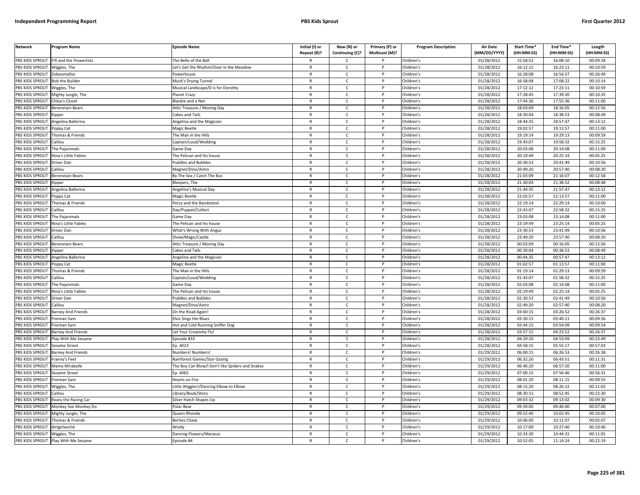| PBS KIDS SPROUT<br>01/28/2012<br>15:58:52<br>16:08:10<br>00:09:18<br>Fifi and the Flowertots<br>The Belle of the Ball<br>Children's<br>$\mathsf{C}$<br>PBS KIDS SPROUT<br>Children's<br>01/28/2012<br>16:12:12<br>16:23:11<br>00:10:59<br>Wiggles, The<br>Let's Get the Rhythm/Over in the Meadow<br>$\mathsf{R}$<br>$\mathsf{C}$<br>P<br>PBS KIDS SPROUT<br>Children's<br>01/28/2012<br>16:28:08<br>16:54:57<br>00:26:49<br>Zoboomafoo<br>Powerhouse<br>$\mathsf{C}$<br>$\mathsf{R}$<br>PBS KIDS SPROUT<br>Muck's Drying Tunnel<br>$\mathsf{R}$<br>$\mathsf{C}$<br>D<br>Children's<br>01/28/2012<br>16:58:08<br>17:08:22<br>00:10:14<br><b>Bob the Builder</b><br>PBS KIDS SPROUT<br>Musical Landscape/D is for Dorothy<br>Children's<br>01/28/2012<br>17:12:12<br>17:23:11<br>00:10:59<br>Wiggles, The<br>$\mathsf{R}$<br>c<br>PBS KIDS SPROUT<br>01/28/2012<br>17:28:45<br>17:39:20<br>$\mathsf{R}$<br>$\mathsf{C}$<br>Children's<br>00:10:35<br>Mighty Jungle, The<br>Planet Crazy<br>P<br>PBS KIDS SPROUT<br>01/28/2012<br>17:44:36<br>17:55:36<br>00:11:00<br><b>Chloe's Closet</b><br><b>Blankie and a Net</b><br>$\mathsf{C}$<br>Children's<br>$\mathsf{R}$<br>PBS KIDS SPROUT<br>$\mathsf{R}$<br>$\mathsf{C}$<br>01/28/2012<br>18:03:09<br>18:16:05<br>00:12:56<br>Attic Treasure / Moving Day<br><b>D</b><br>Children's<br>Berenstain Bears<br><b>PBS KIDS SPROUT</b><br>18:30:04<br>18:38:53<br>$\mathsf{C}$<br>01/28/2012<br>00:08:49<br>Cakes and Tails<br>${\sf R}$<br>Children's<br><b>Kipper</b><br>P<br>01/28/2012<br>18:44:35<br>18:57:47<br>PBS KIDS SPROUT<br>Children's<br>00:13:12<br>ngelina Ballerina<br>$\mathsf{R}$<br>C<br>Angelina and the Magician<br>PBS KIDS SPROUT<br>01/28/2012<br>19:02:57<br>19:13:57<br>00:11:00<br>Poppy Cat<br>Magic Beetle<br>$\mathsf{R}$<br>C<br>P<br>Children's<br>PBS KIDS SPROUT<br>01/28/2012<br>19:19:14<br>19:29:13<br>00:09:59<br>Thomas & Friends<br>The Man in the Hills<br>$\mathsf{C}$<br>Children's<br>$\mathsf{R}$<br><b>PBS KIDS SPROUT</b><br>Caillou<br>$\mathsf{R}$<br>$\mathsf{C}$<br>P<br>Children's<br>01/28/2012<br>19:43:07<br>19:58:32<br>00:15:25<br>Captain/Loud/Wedding<br>20:03:08<br>20:14:08<br>PBS KIDS SPROUT<br>The Pajanimals<br>$\mathsf{C}$<br>Children's<br>01/28/2012<br>00:11:00<br>Game Day<br>20:19:49<br>20:25:14<br>PBS KIDS SPROUT<br>Nina's Little Fables<br>The Pelican and his house<br>$\mathsf{R}$<br>$\mathsf{C}$<br>$\mathsf{P}$<br>Children's<br>01/28/2012<br>00:05:25<br>PBS KIDS SPROUT<br><b>Puddles and Bubbles</b><br>Children's<br>01/28/2012<br>20:30:53<br>20:41:49<br>00:10:56<br>Driver Dan<br>$\mathsf{R}$<br>C<br>P<br>PBS KIDS SPROUT<br>Magnet/Dino/Astro<br>$\mathsf{C}$<br>Children's<br>01/28/2012<br>20:49:20<br>20:57:40<br>00:08:20<br>Caillou<br>$\mathsf{R}$<br>P<br>PBS KIDS SPROUT<br>01/28/2012<br>21:03:09<br>21:16:07<br>00:12:58<br><b>Berenstain Bears</b><br>By The Sea / Catch The Bus<br>$\mathsf{R}$<br>$\mathsf{C}$<br>P<br>Children's<br>21:30:04<br>21:38:52<br>00:08:48<br>PBS KIDS SPROUT<br>Bleepers, The<br>$\mathsf{R}$<br>$\mathsf{C}$<br>P<br>Children's<br>01/28/2012<br>ipper.<br>PBS KIDS SPROUT<br>01/28/2012<br>21:44:35<br>21:57:47<br>00:13:12<br>Angelina Ballerina<br>Angelina's Musical Day<br>$\mathsf{R}$<br>$\mathsf{C}$<br>Children's<br>PBS KIDS SPROUT<br>$\mathsf{R}$<br>$\mathsf{C}$<br>D<br>Children's<br>01/28/2012<br>22:02:57<br>22:13:57<br>00:11:00<br>oppy Cat<br>Magic Beetle<br>PBS KIDS SPROUT<br>Thomas & Friends<br>Children's<br>01/28/2012<br>22:19:14<br>22:29:14<br>00:10:00<br>Percy and the Bandstand<br>C<br>R<br>PBS KIDS SPROUT<br>$\mathsf{C}$<br>01/28/2012<br>22:43:07<br>22:58:32<br>$\mathsf{R}$<br><b>D</b><br>Children's<br>00:15:25<br>Caillou<br>Day/Puppet/Collect<br>PBS KIDS SPROUT<br>01/28/2012<br>23:03:08<br>23:14:08<br>The Pajanimals<br>Game Day<br>$\mathsf{C}$<br>Children's<br>00:11:00<br>$\mathsf{R}$<br>P<br>PBS KIDS SPROUT<br>Children's<br>01/28/2012<br>23:19:49<br>23:25:14<br>00:05:25<br>Nina's Little Fables<br>The Pelican and his house<br>$\mathsf{C}$<br>P<br>$\mathsf{R}$<br>23:30:53<br>23:41:49<br>PBS KIDS SPROUT<br>$\mathsf{C}$<br>01/28/2012<br>00:10:56<br>Driver Dan<br>What's Wrong With Angus<br>$\mathsf{R}$<br>Children's<br>P<br>PBS KIDS SPROUT<br>01/28/2012<br>23:49:20<br>23:57:40<br>00:08:20<br>$\mathsf{C}$<br>Children's<br>Caillou<br>Show/Magic/Castle<br>$\mathsf{R}$<br>PBS KIDS SPROUT<br>00:16:05<br>$\mathsf{R}$<br>$\mathsf{C}$<br>Children's<br>01/28/2012<br>00:03:09<br>00:12:56<br>Berenstain Bears<br>Attic Treasure / Moving Day<br>P<br>PBS KIDS SPROUT<br>01/28/2012<br>00:30:04<br>00:38:53<br>00:08:49<br>$\mathsf{C}$<br>Children's<br>ipper<br>Cakes and Tails<br>$\mathsf{R}$<br>00:44:35<br>00:57:47<br>00:13:12<br>PBS KIDS SPROUT<br>Children's<br>01/28/2012<br>Angelina Ballerina<br>Angelina and the Magician<br>$\mathsf{R}$<br>C<br>P<br>PBS KIDS SPROUT<br>01/28/2012<br>01:02:57<br>Poppy Cat<br>Magic Beetle<br>$\mathsf{C}$<br>Children's<br>01:13:57<br>00:11:00<br>$\mathsf{R}$<br>P<br>01:29:13<br>PBS KIDS SPROUT<br>Thomas & Friends<br>The Man in the Hills<br>$\mathsf{R}$<br>$\mathsf{C}$<br>Children's<br>01/28/2012<br>01:19:14<br>00:09:59<br>P<br>PBS KIDS SPROUT<br>$\mathsf{C}$<br>Children's<br>01/28/2012<br>01:43:07<br>01:58:32<br>00:15:25<br>Caillou<br>Captain/Loud/Wedding<br>$\mathsf{R}$<br>P<br>PBS KIDS SPROUT<br>01/28/2012<br>02:03:08<br>02:14:08<br>00:11:00<br>The Pajanimals<br>Game Day<br>$\mathsf{R}$<br>C<br>P<br>Children's<br>PBS KIDS SPROUT<br>Nina's Little Fables<br>The Pelican and his house<br>Children's<br>01/28/2012<br>02:19:49<br>02:25:14<br>00:05:25<br>$\mathsf{R}$<br>C<br>P<br>PBS KIDS SPROUT<br>01/28/2012<br>02:30:53<br>02:41:49<br>00:10:56<br>Driver Dan<br>Puddles and Bubbles<br>$\mathsf{R}$<br>$\mathsf{C}$<br>P<br>Children's<br>PBS KIDS SPROUT<br>01/28/2012<br>02:49:20<br>02:57:40<br>00:08:20<br>Caillou<br>Magnet/Dino/Astro<br>$\mathsf{R}$<br>$\mathsf{C}$<br>Children's<br>PBS KIDS SPROUT<br>On the Road Again!<br>$\mathsf{R}$<br>$\mathsf{C}$<br>D<br>Children's<br>01/28/2012<br>03:00:15<br>03:26:52<br>00:26:37<br>Barney And Friends<br>PBS KIDS SPROUT<br>Fireman Sam<br>Children's<br>01/28/2012<br>03:30:15<br>03:40:11<br>00:09:56<br><b>Elvis Sings the Blues</b><br>$\mathsf{R}$<br>C<br>03:44:15<br>PBS KIDS SPROUT<br>Hot and Cold Running Sniffer Dog<br>$\mathsf{R}$<br>$\mathsf{C}$<br>Children's<br>01/28/2012<br>03:54:09<br>00:09:54<br>Fireman Sam<br>PBS KIDS SPROUT<br>01/28/2012<br>03:57:15<br>04:23:52<br>00:26:37<br><b>Barney And Friends</b><br>Let Your Creativity Fly!<br>$\mathsf{C}$<br>Children's<br>$\mathsf{R}$<br>P<br>PBS KIDS SPROUT<br>$\mathsf{C}$<br>01/28/2012<br>04:29:20<br>04:53:09<br>00:23:49<br>Play With Me Sesame<br>Episode #33<br>$\mathsf{R}$<br><b>D</b><br>Children's<br>PBS KIDS SPROUT<br>01/28/2012<br>04:58:15<br>05:55:17<br>Ep. 4023<br>$\mathsf{C}$<br>Children's<br>00:57:02<br>Sesame Street<br>$\mathsf{R}$<br>P<br>PBS KIDS SPROUT<br>01/29/2012<br>06:00:15<br>$\mathsf{C}$<br>Children's<br>06:26:53<br>00:26:38<br>Barney And Friends<br>Numbers! Numbers!<br>$\mathsf{R}$<br>06:32:20<br>00:11:31<br>PBS KIDS SPROUT<br>$\mathsf{C}$<br>Children's<br>01/29/2012<br>06:43:51<br>Franny's Feet<br>Rainforest Games/Star Gazing<br>$\mathsf{R}$<br>P<br>PBS KIDS SPROUT<br>01/29/2012<br>06:46:20<br>06:57:20<br>00:11:00<br>Mama Mirabelle<br>The Boy Can Blow/I Don't like Spiders and Snakes<br>$\mathsf{C}$<br>Children's<br>$\mathsf{R}$<br>PBS KIDS SPROUT<br>07:00:15<br>07:56:46<br>Ep. 4065<br>$\mathsf{C}$<br>Children's<br>01/29/2012<br>00:56:31<br>Sesame Street<br>$\mathsf{R}$<br>P<br>PBS KIDS SPROUT<br>01/29/2012<br>Fireman Sam<br>Hearts on Fire<br>$\mathsf{R}$<br>$\mathsf{C}$<br>Children's<br>08:01:20<br>08:11:15<br>00:09:55<br>P<br>08:15:20<br>PBS KIDS SPROUT<br>Little Wiggles!/Dancing Elbow to Elbow<br>$\mathsf{R}$<br>$\mathsf{C}$<br>Children's<br>01/29/2012<br>08:26:22<br>00:11:02<br>Wiggles, The<br>P<br>PBS KIDS SPROUT<br>08:30:15<br>08:52:45<br>Library/Book/Story<br>C<br>Children's<br>01/29/2012<br>00:22:30<br>Caillou<br>R<br>PBS KIDS SPROUT<br>$\mathsf{C}$<br>Children's<br>01/29/2012<br>09:03:32<br>09:13:02<br>00:09:30<br>Roary the Racing Car<br>Silver Hatch Shapes Up<br>$\mathsf{R}$<br>P<br>PBS KIDS SPROUT<br>Monkey See Monkey Do<br>Polar Bear<br>Children's<br>01/29/2012<br>09:39:00<br>09:46:00<br>00:07:00<br>$\mathsf{R}$<br>C<br>P<br>09:52:40<br>PBS KIDS SPROUT<br>Mighty Jungle, The<br>Queen Rhonda<br>$\mathsf{R}$<br>$\mathsf{C}$<br>P<br>Children's<br>01/29/2012<br>10:02:45<br>00:10:05<br>PBS KIDS SPROUT<br>01/29/2012<br>10:06:00<br>10:11:07<br>00:05:07<br>Thomas & Friends<br><b>Berties Chase</b><br>$\mathsf{R}$<br>$\mathsf{C}$<br>Children's<br>PBS KIDS SPROUT<br>Children's<br>01/29/2012<br>10:17:00<br>10:27:40<br>00:10:40<br>dirtgirlworld<br>Windy<br>$\mathsf{R}$<br>$\mathsf{C}$<br>P<br>PBS KIDS SPROUT<br>Dancing Flowers/Maracas<br>01/29/2012<br>10:33:30<br>10:44:31<br>00:11:01<br>Wiggles, The<br>C<br>Children's<br>$\mathsf{C}$<br>11:14:24<br>$\mathsf{R}$ | <b>Network</b>         | Program Name        | <b>Episode Name</b> | Initial (I) or<br>Repeat (R)? | New (N) or<br>Continuing (C)? | Primary (P) or<br>Multicast (M)? | <b>Program Description</b> | <b>Air Date</b><br>(MM/DD/YYYY) | Start Time*<br>(HH:MM:SS) | End Time*<br>(HH:MM:SS) | Length<br>(HH:MM:SS) |
|--------------------------------------------------------------------------------------------------------------------------------------------------------------------------------------------------------------------------------------------------------------------------------------------------------------------------------------------------------------------------------------------------------------------------------------------------------------------------------------------------------------------------------------------------------------------------------------------------------------------------------------------------------------------------------------------------------------------------------------------------------------------------------------------------------------------------------------------------------------------------------------------------------------------------------------------------------------------------------------------------------------------------------------------------------------------------------------------------------------------------------------------------------------------------------------------------------------------------------------------------------------------------------------------------------------------------------------------------------------------------------------------------------------------------------------------------------------------------------------------------------------------------------------------------------------------------------------------------------------------------------------------------------------------------------------------------------------------------------------------------------------------------------------------------------------------------------------------------------------------------------------------------------------------------------------------------------------------------------------------------------------------------------------------------------------------------------------------------------------------------------------------------------------------------------------------------------------------------------------------------------------------------------------------------------------------------------------------------------------------------------------------------------------------------------------------------------------------------------------------------------------------------------------------------------------------------------------------------------------------------------------------------------------------------------------------------------------------------------------------------------------------------------------------------------------------------------------------------------------------------------------------------------------------------------------------------------------------------------------------------------------------------------------------------------------------------------------------------------------------------------------------------------------------------------------------------------------------------------------------------------------------------------------------------------------------------------------------------------------------------------------------------------------------------------------------------------------------------------------------------------------------------------------------------------------------------------------------------------------------------------------------------------------------------------------------------------------------------------------------------------------------------------------------------------------------------------------------------------------------------------------------------------------------------------------------------------------------------------------------------------------------------------------------------------------------------------------------------------------------------------------------------------------------------------------------------------------------------------------------------------------------------------------------------------------------------------------------------------------------------------------------------------------------------------------------------------------------------------------------------------------------------------------------------------------------------------------------------------------------------------------------------------------------------------------------------------------------------------------------------------------------------------------------------------------------------------------------------------------------------------------------------------------------------------------------------------------------------------------------------------------------------------------------------------------------------------------------------------------------------------------------------------------------------------------------------------------------------------------------------------------------------------------------------------------------------------------------------------------------------------------------------------------------------------------------------------------------------------------------------------------------------------------------------------------------------------------------------------------------------------------------------------------------------------------------------------------------------------------------------------------------------------------------------------------------------------------------------------------------------------------------------------------------------------------------------------------------------------------------------------------------------------------------------------------------------------------------------------------------------------------------------------------------------------------------------------------------------------------------------------------------------------------------------------------------------------------------------------------------------------------------------------------------------------------------------------------------------------------------------------------------------------------------------------------------------------------------------------------------------------------------------------------------------------------------------------------------------------------------------------------------------------------------------------------------------------------------------------------------------------------------------------------------------------------------------------------------------------------------------------------------------------------------------------------------------------------------------------------------------------------------------------------------------------------------------------------------------------------------------------------------------------------------------------------------------------------------------------------------------------------------------------------------------------------------------------------------------------------------------------------------------------------------------------------------------------------------------------------------------------------------------------------------------------------------------------------------------------------------------------------------------------------------------------------------------------------------------------------------------------------------------------------------------------------------------------------------------------------------------------------------------------------------------------------------------------------------------------------------------------------------------------------------------------------------------------------------------------------------------------------------------------------------------------------------------------------------------------------------------------------------------------------------------------------------------------------------------------------------------------------------------------------------------------------------------------------------------------------------------------------------------------------------------------------------------------------------------------------------------------------------------------------------------------------------------------------------------------------------------------------------------------------------------------------------------------------------------------------------------------------------------------------------------------------------------------------------------------------------------------------------------------------------------------------------------------------------|------------------------|---------------------|---------------------|-------------------------------|-------------------------------|----------------------------------|----------------------------|---------------------------------|---------------------------|-------------------------|----------------------|
|                                                                                                                                                                                                                                                                                                                                                                                                                                                                                                                                                                                                                                                                                                                                                                                                                                                                                                                                                                                                                                                                                                                                                                                                                                                                                                                                                                                                                                                                                                                                                                                                                                                                                                                                                                                                                                                                                                                                                                                                                                                                                                                                                                                                                                                                                                                                                                                                                                                                                                                                                                                                                                                                                                                                                                                                                                                                                                                                                                                                                                                                                                                                                                                                                                                                                                                                                                                                                                                                                                                                                                                                                                                                                                                                                                                                                                                                                                                                                                                                                                                                                                                                                                                                                                                                                                                                                                                                                                                                                                                                                                                                                                                                                                                                                                                                                                                                                                                                                                                                                                                                                                                                                                                                                                                                                                                                                                                                                                                                                                                                                                                                                                                                                                                                                                                                                                                                                                                                                                                                                                                                                                                                                                                                                                                                                                                                                                                                                                                                                                                                                                                                                                                                                                                                                                                                                                                                                                                                                                                                                                                                                                                                                                                                                                                                                                                                                                                                                                                                                                                                                                                                                                                                                                                                                                                                                                                                                                                                                                                                                                                                                                                                                                                                                                                                                                                                                                                                                                                                                                                                                                                                                                                                                                                                                                                                                                                                                                                                                                                                                                                                                                                                                                                                                    |                        |                     |                     |                               |                               |                                  |                            |                                 |                           |                         |                      |
|                                                                                                                                                                                                                                                                                                                                                                                                                                                                                                                                                                                                                                                                                                                                                                                                                                                                                                                                                                                                                                                                                                                                                                                                                                                                                                                                                                                                                                                                                                                                                                                                                                                                                                                                                                                                                                                                                                                                                                                                                                                                                                                                                                                                                                                                                                                                                                                                                                                                                                                                                                                                                                                                                                                                                                                                                                                                                                                                                                                                                                                                                                                                                                                                                                                                                                                                                                                                                                                                                                                                                                                                                                                                                                                                                                                                                                                                                                                                                                                                                                                                                                                                                                                                                                                                                                                                                                                                                                                                                                                                                                                                                                                                                                                                                                                                                                                                                                                                                                                                                                                                                                                                                                                                                                                                                                                                                                                                                                                                                                                                                                                                                                                                                                                                                                                                                                                                                                                                                                                                                                                                                                                                                                                                                                                                                                                                                                                                                                                                                                                                                                                                                                                                                                                                                                                                                                                                                                                                                                                                                                                                                                                                                                                                                                                                                                                                                                                                                                                                                                                                                                                                                                                                                                                                                                                                                                                                                                                                                                                                                                                                                                                                                                                                                                                                                                                                                                                                                                                                                                                                                                                                                                                                                                                                                                                                                                                                                                                                                                                                                                                                                                                                                                                                                    |                        |                     |                     |                               |                               |                                  |                            |                                 |                           |                         |                      |
|                                                                                                                                                                                                                                                                                                                                                                                                                                                                                                                                                                                                                                                                                                                                                                                                                                                                                                                                                                                                                                                                                                                                                                                                                                                                                                                                                                                                                                                                                                                                                                                                                                                                                                                                                                                                                                                                                                                                                                                                                                                                                                                                                                                                                                                                                                                                                                                                                                                                                                                                                                                                                                                                                                                                                                                                                                                                                                                                                                                                                                                                                                                                                                                                                                                                                                                                                                                                                                                                                                                                                                                                                                                                                                                                                                                                                                                                                                                                                                                                                                                                                                                                                                                                                                                                                                                                                                                                                                                                                                                                                                                                                                                                                                                                                                                                                                                                                                                                                                                                                                                                                                                                                                                                                                                                                                                                                                                                                                                                                                                                                                                                                                                                                                                                                                                                                                                                                                                                                                                                                                                                                                                                                                                                                                                                                                                                                                                                                                                                                                                                                                                                                                                                                                                                                                                                                                                                                                                                                                                                                                                                                                                                                                                                                                                                                                                                                                                                                                                                                                                                                                                                                                                                                                                                                                                                                                                                                                                                                                                                                                                                                                                                                                                                                                                                                                                                                                                                                                                                                                                                                                                                                                                                                                                                                                                                                                                                                                                                                                                                                                                                                                                                                                                                                    |                        |                     |                     |                               |                               |                                  |                            |                                 |                           |                         |                      |
|                                                                                                                                                                                                                                                                                                                                                                                                                                                                                                                                                                                                                                                                                                                                                                                                                                                                                                                                                                                                                                                                                                                                                                                                                                                                                                                                                                                                                                                                                                                                                                                                                                                                                                                                                                                                                                                                                                                                                                                                                                                                                                                                                                                                                                                                                                                                                                                                                                                                                                                                                                                                                                                                                                                                                                                                                                                                                                                                                                                                                                                                                                                                                                                                                                                                                                                                                                                                                                                                                                                                                                                                                                                                                                                                                                                                                                                                                                                                                                                                                                                                                                                                                                                                                                                                                                                                                                                                                                                                                                                                                                                                                                                                                                                                                                                                                                                                                                                                                                                                                                                                                                                                                                                                                                                                                                                                                                                                                                                                                                                                                                                                                                                                                                                                                                                                                                                                                                                                                                                                                                                                                                                                                                                                                                                                                                                                                                                                                                                                                                                                                                                                                                                                                                                                                                                                                                                                                                                                                                                                                                                                                                                                                                                                                                                                                                                                                                                                                                                                                                                                                                                                                                                                                                                                                                                                                                                                                                                                                                                                                                                                                                                                                                                                                                                                                                                                                                                                                                                                                                                                                                                                                                                                                                                                                                                                                                                                                                                                                                                                                                                                                                                                                                                                                    |                        |                     |                     |                               |                               |                                  |                            |                                 |                           |                         |                      |
|                                                                                                                                                                                                                                                                                                                                                                                                                                                                                                                                                                                                                                                                                                                                                                                                                                                                                                                                                                                                                                                                                                                                                                                                                                                                                                                                                                                                                                                                                                                                                                                                                                                                                                                                                                                                                                                                                                                                                                                                                                                                                                                                                                                                                                                                                                                                                                                                                                                                                                                                                                                                                                                                                                                                                                                                                                                                                                                                                                                                                                                                                                                                                                                                                                                                                                                                                                                                                                                                                                                                                                                                                                                                                                                                                                                                                                                                                                                                                                                                                                                                                                                                                                                                                                                                                                                                                                                                                                                                                                                                                                                                                                                                                                                                                                                                                                                                                                                                                                                                                                                                                                                                                                                                                                                                                                                                                                                                                                                                                                                                                                                                                                                                                                                                                                                                                                                                                                                                                                                                                                                                                                                                                                                                                                                                                                                                                                                                                                                                                                                                                                                                                                                                                                                                                                                                                                                                                                                                                                                                                                                                                                                                                                                                                                                                                                                                                                                                                                                                                                                                                                                                                                                                                                                                                                                                                                                                                                                                                                                                                                                                                                                                                                                                                                                                                                                                                                                                                                                                                                                                                                                                                                                                                                                                                                                                                                                                                                                                                                                                                                                                                                                                                                                                                    |                        |                     |                     |                               |                               |                                  |                            |                                 |                           |                         |                      |
|                                                                                                                                                                                                                                                                                                                                                                                                                                                                                                                                                                                                                                                                                                                                                                                                                                                                                                                                                                                                                                                                                                                                                                                                                                                                                                                                                                                                                                                                                                                                                                                                                                                                                                                                                                                                                                                                                                                                                                                                                                                                                                                                                                                                                                                                                                                                                                                                                                                                                                                                                                                                                                                                                                                                                                                                                                                                                                                                                                                                                                                                                                                                                                                                                                                                                                                                                                                                                                                                                                                                                                                                                                                                                                                                                                                                                                                                                                                                                                                                                                                                                                                                                                                                                                                                                                                                                                                                                                                                                                                                                                                                                                                                                                                                                                                                                                                                                                                                                                                                                                                                                                                                                                                                                                                                                                                                                                                                                                                                                                                                                                                                                                                                                                                                                                                                                                                                                                                                                                                                                                                                                                                                                                                                                                                                                                                                                                                                                                                                                                                                                                                                                                                                                                                                                                                                                                                                                                                                                                                                                                                                                                                                                                                                                                                                                                                                                                                                                                                                                                                                                                                                                                                                                                                                                                                                                                                                                                                                                                                                                                                                                                                                                                                                                                                                                                                                                                                                                                                                                                                                                                                                                                                                                                                                                                                                                                                                                                                                                                                                                                                                                                                                                                                                                    |                        |                     |                     |                               |                               |                                  |                            |                                 |                           |                         |                      |
|                                                                                                                                                                                                                                                                                                                                                                                                                                                                                                                                                                                                                                                                                                                                                                                                                                                                                                                                                                                                                                                                                                                                                                                                                                                                                                                                                                                                                                                                                                                                                                                                                                                                                                                                                                                                                                                                                                                                                                                                                                                                                                                                                                                                                                                                                                                                                                                                                                                                                                                                                                                                                                                                                                                                                                                                                                                                                                                                                                                                                                                                                                                                                                                                                                                                                                                                                                                                                                                                                                                                                                                                                                                                                                                                                                                                                                                                                                                                                                                                                                                                                                                                                                                                                                                                                                                                                                                                                                                                                                                                                                                                                                                                                                                                                                                                                                                                                                                                                                                                                                                                                                                                                                                                                                                                                                                                                                                                                                                                                                                                                                                                                                                                                                                                                                                                                                                                                                                                                                                                                                                                                                                                                                                                                                                                                                                                                                                                                                                                                                                                                                                                                                                                                                                                                                                                                                                                                                                                                                                                                                                                                                                                                                                                                                                                                                                                                                                                                                                                                                                                                                                                                                                                                                                                                                                                                                                                                                                                                                                                                                                                                                                                                                                                                                                                                                                                                                                                                                                                                                                                                                                                                                                                                                                                                                                                                                                                                                                                                                                                                                                                                                                                                                                                                    |                        |                     |                     |                               |                               |                                  |                            |                                 |                           |                         |                      |
|                                                                                                                                                                                                                                                                                                                                                                                                                                                                                                                                                                                                                                                                                                                                                                                                                                                                                                                                                                                                                                                                                                                                                                                                                                                                                                                                                                                                                                                                                                                                                                                                                                                                                                                                                                                                                                                                                                                                                                                                                                                                                                                                                                                                                                                                                                                                                                                                                                                                                                                                                                                                                                                                                                                                                                                                                                                                                                                                                                                                                                                                                                                                                                                                                                                                                                                                                                                                                                                                                                                                                                                                                                                                                                                                                                                                                                                                                                                                                                                                                                                                                                                                                                                                                                                                                                                                                                                                                                                                                                                                                                                                                                                                                                                                                                                                                                                                                                                                                                                                                                                                                                                                                                                                                                                                                                                                                                                                                                                                                                                                                                                                                                                                                                                                                                                                                                                                                                                                                                                                                                                                                                                                                                                                                                                                                                                                                                                                                                                                                                                                                                                                                                                                                                                                                                                                                                                                                                                                                                                                                                                                                                                                                                                                                                                                                                                                                                                                                                                                                                                                                                                                                                                                                                                                                                                                                                                                                                                                                                                                                                                                                                                                                                                                                                                                                                                                                                                                                                                                                                                                                                                                                                                                                                                                                                                                                                                                                                                                                                                                                                                                                                                                                                                                                    |                        |                     |                     |                               |                               |                                  |                            |                                 |                           |                         |                      |
|                                                                                                                                                                                                                                                                                                                                                                                                                                                                                                                                                                                                                                                                                                                                                                                                                                                                                                                                                                                                                                                                                                                                                                                                                                                                                                                                                                                                                                                                                                                                                                                                                                                                                                                                                                                                                                                                                                                                                                                                                                                                                                                                                                                                                                                                                                                                                                                                                                                                                                                                                                                                                                                                                                                                                                                                                                                                                                                                                                                                                                                                                                                                                                                                                                                                                                                                                                                                                                                                                                                                                                                                                                                                                                                                                                                                                                                                                                                                                                                                                                                                                                                                                                                                                                                                                                                                                                                                                                                                                                                                                                                                                                                                                                                                                                                                                                                                                                                                                                                                                                                                                                                                                                                                                                                                                                                                                                                                                                                                                                                                                                                                                                                                                                                                                                                                                                                                                                                                                                                                                                                                                                                                                                                                                                                                                                                                                                                                                                                                                                                                                                                                                                                                                                                                                                                                                                                                                                                                                                                                                                                                                                                                                                                                                                                                                                                                                                                                                                                                                                                                                                                                                                                                                                                                                                                                                                                                                                                                                                                                                                                                                                                                                                                                                                                                                                                                                                                                                                                                                                                                                                                                                                                                                                                                                                                                                                                                                                                                                                                                                                                                                                                                                                                                                    |                        |                     |                     |                               |                               |                                  |                            |                                 |                           |                         |                      |
|                                                                                                                                                                                                                                                                                                                                                                                                                                                                                                                                                                                                                                                                                                                                                                                                                                                                                                                                                                                                                                                                                                                                                                                                                                                                                                                                                                                                                                                                                                                                                                                                                                                                                                                                                                                                                                                                                                                                                                                                                                                                                                                                                                                                                                                                                                                                                                                                                                                                                                                                                                                                                                                                                                                                                                                                                                                                                                                                                                                                                                                                                                                                                                                                                                                                                                                                                                                                                                                                                                                                                                                                                                                                                                                                                                                                                                                                                                                                                                                                                                                                                                                                                                                                                                                                                                                                                                                                                                                                                                                                                                                                                                                                                                                                                                                                                                                                                                                                                                                                                                                                                                                                                                                                                                                                                                                                                                                                                                                                                                                                                                                                                                                                                                                                                                                                                                                                                                                                                                                                                                                                                                                                                                                                                                                                                                                                                                                                                                                                                                                                                                                                                                                                                                                                                                                                                                                                                                                                                                                                                                                                                                                                                                                                                                                                                                                                                                                                                                                                                                                                                                                                                                                                                                                                                                                                                                                                                                                                                                                                                                                                                                                                                                                                                                                                                                                                                                                                                                                                                                                                                                                                                                                                                                                                                                                                                                                                                                                                                                                                                                                                                                                                                                                                                    |                        |                     |                     |                               |                               |                                  |                            |                                 |                           |                         |                      |
|                                                                                                                                                                                                                                                                                                                                                                                                                                                                                                                                                                                                                                                                                                                                                                                                                                                                                                                                                                                                                                                                                                                                                                                                                                                                                                                                                                                                                                                                                                                                                                                                                                                                                                                                                                                                                                                                                                                                                                                                                                                                                                                                                                                                                                                                                                                                                                                                                                                                                                                                                                                                                                                                                                                                                                                                                                                                                                                                                                                                                                                                                                                                                                                                                                                                                                                                                                                                                                                                                                                                                                                                                                                                                                                                                                                                                                                                                                                                                                                                                                                                                                                                                                                                                                                                                                                                                                                                                                                                                                                                                                                                                                                                                                                                                                                                                                                                                                                                                                                                                                                                                                                                                                                                                                                                                                                                                                                                                                                                                                                                                                                                                                                                                                                                                                                                                                                                                                                                                                                                                                                                                                                                                                                                                                                                                                                                                                                                                                                                                                                                                                                                                                                                                                                                                                                                                                                                                                                                                                                                                                                                                                                                                                                                                                                                                                                                                                                                                                                                                                                                                                                                                                                                                                                                                                                                                                                                                                                                                                                                                                                                                                                                                                                                                                                                                                                                                                                                                                                                                                                                                                                                                                                                                                                                                                                                                                                                                                                                                                                                                                                                                                                                                                                                                    |                        |                     |                     |                               |                               |                                  |                            |                                 |                           |                         |                      |
|                                                                                                                                                                                                                                                                                                                                                                                                                                                                                                                                                                                                                                                                                                                                                                                                                                                                                                                                                                                                                                                                                                                                                                                                                                                                                                                                                                                                                                                                                                                                                                                                                                                                                                                                                                                                                                                                                                                                                                                                                                                                                                                                                                                                                                                                                                                                                                                                                                                                                                                                                                                                                                                                                                                                                                                                                                                                                                                                                                                                                                                                                                                                                                                                                                                                                                                                                                                                                                                                                                                                                                                                                                                                                                                                                                                                                                                                                                                                                                                                                                                                                                                                                                                                                                                                                                                                                                                                                                                                                                                                                                                                                                                                                                                                                                                                                                                                                                                                                                                                                                                                                                                                                                                                                                                                                                                                                                                                                                                                                                                                                                                                                                                                                                                                                                                                                                                                                                                                                                                                                                                                                                                                                                                                                                                                                                                                                                                                                                                                                                                                                                                                                                                                                                                                                                                                                                                                                                                                                                                                                                                                                                                                                                                                                                                                                                                                                                                                                                                                                                                                                                                                                                                                                                                                                                                                                                                                                                                                                                                                                                                                                                                                                                                                                                                                                                                                                                                                                                                                                                                                                                                                                                                                                                                                                                                                                                                                                                                                                                                                                                                                                                                                                                                                                    |                        |                     |                     |                               |                               |                                  |                            |                                 |                           |                         |                      |
|                                                                                                                                                                                                                                                                                                                                                                                                                                                                                                                                                                                                                                                                                                                                                                                                                                                                                                                                                                                                                                                                                                                                                                                                                                                                                                                                                                                                                                                                                                                                                                                                                                                                                                                                                                                                                                                                                                                                                                                                                                                                                                                                                                                                                                                                                                                                                                                                                                                                                                                                                                                                                                                                                                                                                                                                                                                                                                                                                                                                                                                                                                                                                                                                                                                                                                                                                                                                                                                                                                                                                                                                                                                                                                                                                                                                                                                                                                                                                                                                                                                                                                                                                                                                                                                                                                                                                                                                                                                                                                                                                                                                                                                                                                                                                                                                                                                                                                                                                                                                                                                                                                                                                                                                                                                                                                                                                                                                                                                                                                                                                                                                                                                                                                                                                                                                                                                                                                                                                                                                                                                                                                                                                                                                                                                                                                                                                                                                                                                                                                                                                                                                                                                                                                                                                                                                                                                                                                                                                                                                                                                                                                                                                                                                                                                                                                                                                                                                                                                                                                                                                                                                                                                                                                                                                                                                                                                                                                                                                                                                                                                                                                                                                                                                                                                                                                                                                                                                                                                                                                                                                                                                                                                                                                                                                                                                                                                                                                                                                                                                                                                                                                                                                                                                                    |                        |                     |                     |                               |                               |                                  |                            |                                 |                           |                         |                      |
|                                                                                                                                                                                                                                                                                                                                                                                                                                                                                                                                                                                                                                                                                                                                                                                                                                                                                                                                                                                                                                                                                                                                                                                                                                                                                                                                                                                                                                                                                                                                                                                                                                                                                                                                                                                                                                                                                                                                                                                                                                                                                                                                                                                                                                                                                                                                                                                                                                                                                                                                                                                                                                                                                                                                                                                                                                                                                                                                                                                                                                                                                                                                                                                                                                                                                                                                                                                                                                                                                                                                                                                                                                                                                                                                                                                                                                                                                                                                                                                                                                                                                                                                                                                                                                                                                                                                                                                                                                                                                                                                                                                                                                                                                                                                                                                                                                                                                                                                                                                                                                                                                                                                                                                                                                                                                                                                                                                                                                                                                                                                                                                                                                                                                                                                                                                                                                                                                                                                                                                                                                                                                                                                                                                                                                                                                                                                                                                                                                                                                                                                                                                                                                                                                                                                                                                                                                                                                                                                                                                                                                                                                                                                                                                                                                                                                                                                                                                                                                                                                                                                                                                                                                                                                                                                                                                                                                                                                                                                                                                                                                                                                                                                                                                                                                                                                                                                                                                                                                                                                                                                                                                                                                                                                                                                                                                                                                                                                                                                                                                                                                                                                                                                                                                                                    |                        |                     |                     |                               |                               |                                  |                            |                                 |                           |                         |                      |
|                                                                                                                                                                                                                                                                                                                                                                                                                                                                                                                                                                                                                                                                                                                                                                                                                                                                                                                                                                                                                                                                                                                                                                                                                                                                                                                                                                                                                                                                                                                                                                                                                                                                                                                                                                                                                                                                                                                                                                                                                                                                                                                                                                                                                                                                                                                                                                                                                                                                                                                                                                                                                                                                                                                                                                                                                                                                                                                                                                                                                                                                                                                                                                                                                                                                                                                                                                                                                                                                                                                                                                                                                                                                                                                                                                                                                                                                                                                                                                                                                                                                                                                                                                                                                                                                                                                                                                                                                                                                                                                                                                                                                                                                                                                                                                                                                                                                                                                                                                                                                                                                                                                                                                                                                                                                                                                                                                                                                                                                                                                                                                                                                                                                                                                                                                                                                                                                                                                                                                                                                                                                                                                                                                                                                                                                                                                                                                                                                                                                                                                                                                                                                                                                                                                                                                                                                                                                                                                                                                                                                                                                                                                                                                                                                                                                                                                                                                                                                                                                                                                                                                                                                                                                                                                                                                                                                                                                                                                                                                                                                                                                                                                                                                                                                                                                                                                                                                                                                                                                                                                                                                                                                                                                                                                                                                                                                                                                                                                                                                                                                                                                                                                                                                                                                    |                        |                     |                     |                               |                               |                                  |                            |                                 |                           |                         |                      |
|                                                                                                                                                                                                                                                                                                                                                                                                                                                                                                                                                                                                                                                                                                                                                                                                                                                                                                                                                                                                                                                                                                                                                                                                                                                                                                                                                                                                                                                                                                                                                                                                                                                                                                                                                                                                                                                                                                                                                                                                                                                                                                                                                                                                                                                                                                                                                                                                                                                                                                                                                                                                                                                                                                                                                                                                                                                                                                                                                                                                                                                                                                                                                                                                                                                                                                                                                                                                                                                                                                                                                                                                                                                                                                                                                                                                                                                                                                                                                                                                                                                                                                                                                                                                                                                                                                                                                                                                                                                                                                                                                                                                                                                                                                                                                                                                                                                                                                                                                                                                                                                                                                                                                                                                                                                                                                                                                                                                                                                                                                                                                                                                                                                                                                                                                                                                                                                                                                                                                                                                                                                                                                                                                                                                                                                                                                                                                                                                                                                                                                                                                                                                                                                                                                                                                                                                                                                                                                                                                                                                                                                                                                                                                                                                                                                                                                                                                                                                                                                                                                                                                                                                                                                                                                                                                                                                                                                                                                                                                                                                                                                                                                                                                                                                                                                                                                                                                                                                                                                                                                                                                                                                                                                                                                                                                                                                                                                                                                                                                                                                                                                                                                                                                                                                                    |                        |                     |                     |                               |                               |                                  |                            |                                 |                           |                         |                      |
|                                                                                                                                                                                                                                                                                                                                                                                                                                                                                                                                                                                                                                                                                                                                                                                                                                                                                                                                                                                                                                                                                                                                                                                                                                                                                                                                                                                                                                                                                                                                                                                                                                                                                                                                                                                                                                                                                                                                                                                                                                                                                                                                                                                                                                                                                                                                                                                                                                                                                                                                                                                                                                                                                                                                                                                                                                                                                                                                                                                                                                                                                                                                                                                                                                                                                                                                                                                                                                                                                                                                                                                                                                                                                                                                                                                                                                                                                                                                                                                                                                                                                                                                                                                                                                                                                                                                                                                                                                                                                                                                                                                                                                                                                                                                                                                                                                                                                                                                                                                                                                                                                                                                                                                                                                                                                                                                                                                                                                                                                                                                                                                                                                                                                                                                                                                                                                                                                                                                                                                                                                                                                                                                                                                                                                                                                                                                                                                                                                                                                                                                                                                                                                                                                                                                                                                                                                                                                                                                                                                                                                                                                                                                                                                                                                                                                                                                                                                                                                                                                                                                                                                                                                                                                                                                                                                                                                                                                                                                                                                                                                                                                                                                                                                                                                                                                                                                                                                                                                                                                                                                                                                                                                                                                                                                                                                                                                                                                                                                                                                                                                                                                                                                                                                                                    |                        |                     |                     |                               |                               |                                  |                            |                                 |                           |                         |                      |
|                                                                                                                                                                                                                                                                                                                                                                                                                                                                                                                                                                                                                                                                                                                                                                                                                                                                                                                                                                                                                                                                                                                                                                                                                                                                                                                                                                                                                                                                                                                                                                                                                                                                                                                                                                                                                                                                                                                                                                                                                                                                                                                                                                                                                                                                                                                                                                                                                                                                                                                                                                                                                                                                                                                                                                                                                                                                                                                                                                                                                                                                                                                                                                                                                                                                                                                                                                                                                                                                                                                                                                                                                                                                                                                                                                                                                                                                                                                                                                                                                                                                                                                                                                                                                                                                                                                                                                                                                                                                                                                                                                                                                                                                                                                                                                                                                                                                                                                                                                                                                                                                                                                                                                                                                                                                                                                                                                                                                                                                                                                                                                                                                                                                                                                                                                                                                                                                                                                                                                                                                                                                                                                                                                                                                                                                                                                                                                                                                                                                                                                                                                                                                                                                                                                                                                                                                                                                                                                                                                                                                                                                                                                                                                                                                                                                                                                                                                                                                                                                                                                                                                                                                                                                                                                                                                                                                                                                                                                                                                                                                                                                                                                                                                                                                                                                                                                                                                                                                                                                                                                                                                                                                                                                                                                                                                                                                                                                                                                                                                                                                                                                                                                                                                                                                    |                        |                     |                     |                               |                               |                                  |                            |                                 |                           |                         |                      |
|                                                                                                                                                                                                                                                                                                                                                                                                                                                                                                                                                                                                                                                                                                                                                                                                                                                                                                                                                                                                                                                                                                                                                                                                                                                                                                                                                                                                                                                                                                                                                                                                                                                                                                                                                                                                                                                                                                                                                                                                                                                                                                                                                                                                                                                                                                                                                                                                                                                                                                                                                                                                                                                                                                                                                                                                                                                                                                                                                                                                                                                                                                                                                                                                                                                                                                                                                                                                                                                                                                                                                                                                                                                                                                                                                                                                                                                                                                                                                                                                                                                                                                                                                                                                                                                                                                                                                                                                                                                                                                                                                                                                                                                                                                                                                                                                                                                                                                                                                                                                                                                                                                                                                                                                                                                                                                                                                                                                                                                                                                                                                                                                                                                                                                                                                                                                                                                                                                                                                                                                                                                                                                                                                                                                                                                                                                                                                                                                                                                                                                                                                                                                                                                                                                                                                                                                                                                                                                                                                                                                                                                                                                                                                                                                                                                                                                                                                                                                                                                                                                                                                                                                                                                                                                                                                                                                                                                                                                                                                                                                                                                                                                                                                                                                                                                                                                                                                                                                                                                                                                                                                                                                                                                                                                                                                                                                                                                                                                                                                                                                                                                                                                                                                                                                                    |                        |                     |                     |                               |                               |                                  |                            |                                 |                           |                         |                      |
|                                                                                                                                                                                                                                                                                                                                                                                                                                                                                                                                                                                                                                                                                                                                                                                                                                                                                                                                                                                                                                                                                                                                                                                                                                                                                                                                                                                                                                                                                                                                                                                                                                                                                                                                                                                                                                                                                                                                                                                                                                                                                                                                                                                                                                                                                                                                                                                                                                                                                                                                                                                                                                                                                                                                                                                                                                                                                                                                                                                                                                                                                                                                                                                                                                                                                                                                                                                                                                                                                                                                                                                                                                                                                                                                                                                                                                                                                                                                                                                                                                                                                                                                                                                                                                                                                                                                                                                                                                                                                                                                                                                                                                                                                                                                                                                                                                                                                                                                                                                                                                                                                                                                                                                                                                                                                                                                                                                                                                                                                                                                                                                                                                                                                                                                                                                                                                                                                                                                                                                                                                                                                                                                                                                                                                                                                                                                                                                                                                                                                                                                                                                                                                                                                                                                                                                                                                                                                                                                                                                                                                                                                                                                                                                                                                                                                                                                                                                                                                                                                                                                                                                                                                                                                                                                                                                                                                                                                                                                                                                                                                                                                                                                                                                                                                                                                                                                                                                                                                                                                                                                                                                                                                                                                                                                                                                                                                                                                                                                                                                                                                                                                                                                                                                                                    |                        |                     |                     |                               |                               |                                  |                            |                                 |                           |                         |                      |
|                                                                                                                                                                                                                                                                                                                                                                                                                                                                                                                                                                                                                                                                                                                                                                                                                                                                                                                                                                                                                                                                                                                                                                                                                                                                                                                                                                                                                                                                                                                                                                                                                                                                                                                                                                                                                                                                                                                                                                                                                                                                                                                                                                                                                                                                                                                                                                                                                                                                                                                                                                                                                                                                                                                                                                                                                                                                                                                                                                                                                                                                                                                                                                                                                                                                                                                                                                                                                                                                                                                                                                                                                                                                                                                                                                                                                                                                                                                                                                                                                                                                                                                                                                                                                                                                                                                                                                                                                                                                                                                                                                                                                                                                                                                                                                                                                                                                                                                                                                                                                                                                                                                                                                                                                                                                                                                                                                                                                                                                                                                                                                                                                                                                                                                                                                                                                                                                                                                                                                                                                                                                                                                                                                                                                                                                                                                                                                                                                                                                                                                                                                                                                                                                                                                                                                                                                                                                                                                                                                                                                                                                                                                                                                                                                                                                                                                                                                                                                                                                                                                                                                                                                                                                                                                                                                                                                                                                                                                                                                                                                                                                                                                                                                                                                                                                                                                                                                                                                                                                                                                                                                                                                                                                                                                                                                                                                                                                                                                                                                                                                                                                                                                                                                                                                    |                        |                     |                     |                               |                               |                                  |                            |                                 |                           |                         |                      |
|                                                                                                                                                                                                                                                                                                                                                                                                                                                                                                                                                                                                                                                                                                                                                                                                                                                                                                                                                                                                                                                                                                                                                                                                                                                                                                                                                                                                                                                                                                                                                                                                                                                                                                                                                                                                                                                                                                                                                                                                                                                                                                                                                                                                                                                                                                                                                                                                                                                                                                                                                                                                                                                                                                                                                                                                                                                                                                                                                                                                                                                                                                                                                                                                                                                                                                                                                                                                                                                                                                                                                                                                                                                                                                                                                                                                                                                                                                                                                                                                                                                                                                                                                                                                                                                                                                                                                                                                                                                                                                                                                                                                                                                                                                                                                                                                                                                                                                                                                                                                                                                                                                                                                                                                                                                                                                                                                                                                                                                                                                                                                                                                                                                                                                                                                                                                                                                                                                                                                                                                                                                                                                                                                                                                                                                                                                                                                                                                                                                                                                                                                                                                                                                                                                                                                                                                                                                                                                                                                                                                                                                                                                                                                                                                                                                                                                                                                                                                                                                                                                                                                                                                                                                                                                                                                                                                                                                                                                                                                                                                                                                                                                                                                                                                                                                                                                                                                                                                                                                                                                                                                                                                                                                                                                                                                                                                                                                                                                                                                                                                                                                                                                                                                                                                                    |                        |                     |                     |                               |                               |                                  |                            |                                 |                           |                         |                      |
|                                                                                                                                                                                                                                                                                                                                                                                                                                                                                                                                                                                                                                                                                                                                                                                                                                                                                                                                                                                                                                                                                                                                                                                                                                                                                                                                                                                                                                                                                                                                                                                                                                                                                                                                                                                                                                                                                                                                                                                                                                                                                                                                                                                                                                                                                                                                                                                                                                                                                                                                                                                                                                                                                                                                                                                                                                                                                                                                                                                                                                                                                                                                                                                                                                                                                                                                                                                                                                                                                                                                                                                                                                                                                                                                                                                                                                                                                                                                                                                                                                                                                                                                                                                                                                                                                                                                                                                                                                                                                                                                                                                                                                                                                                                                                                                                                                                                                                                                                                                                                                                                                                                                                                                                                                                                                                                                                                                                                                                                                                                                                                                                                                                                                                                                                                                                                                                                                                                                                                                                                                                                                                                                                                                                                                                                                                                                                                                                                                                                                                                                                                                                                                                                                                                                                                                                                                                                                                                                                                                                                                                                                                                                                                                                                                                                                                                                                                                                                                                                                                                                                                                                                                                                                                                                                                                                                                                                                                                                                                                                                                                                                                                                                                                                                                                                                                                                                                                                                                                                                                                                                                                                                                                                                                                                                                                                                                                                                                                                                                                                                                                                                                                                                                                                                    |                        |                     |                     |                               |                               |                                  |                            |                                 |                           |                         |                      |
|                                                                                                                                                                                                                                                                                                                                                                                                                                                                                                                                                                                                                                                                                                                                                                                                                                                                                                                                                                                                                                                                                                                                                                                                                                                                                                                                                                                                                                                                                                                                                                                                                                                                                                                                                                                                                                                                                                                                                                                                                                                                                                                                                                                                                                                                                                                                                                                                                                                                                                                                                                                                                                                                                                                                                                                                                                                                                                                                                                                                                                                                                                                                                                                                                                                                                                                                                                                                                                                                                                                                                                                                                                                                                                                                                                                                                                                                                                                                                                                                                                                                                                                                                                                                                                                                                                                                                                                                                                                                                                                                                                                                                                                                                                                                                                                                                                                                                                                                                                                                                                                                                                                                                                                                                                                                                                                                                                                                                                                                                                                                                                                                                                                                                                                                                                                                                                                                                                                                                                                                                                                                                                                                                                                                                                                                                                                                                                                                                                                                                                                                                                                                                                                                                                                                                                                                                                                                                                                                                                                                                                                                                                                                                                                                                                                                                                                                                                                                                                                                                                                                                                                                                                                                                                                                                                                                                                                                                                                                                                                                                                                                                                                                                                                                                                                                                                                                                                                                                                                                                                                                                                                                                                                                                                                                                                                                                                                                                                                                                                                                                                                                                                                                                                                                                    |                        |                     |                     |                               |                               |                                  |                            |                                 |                           |                         |                      |
|                                                                                                                                                                                                                                                                                                                                                                                                                                                                                                                                                                                                                                                                                                                                                                                                                                                                                                                                                                                                                                                                                                                                                                                                                                                                                                                                                                                                                                                                                                                                                                                                                                                                                                                                                                                                                                                                                                                                                                                                                                                                                                                                                                                                                                                                                                                                                                                                                                                                                                                                                                                                                                                                                                                                                                                                                                                                                                                                                                                                                                                                                                                                                                                                                                                                                                                                                                                                                                                                                                                                                                                                                                                                                                                                                                                                                                                                                                                                                                                                                                                                                                                                                                                                                                                                                                                                                                                                                                                                                                                                                                                                                                                                                                                                                                                                                                                                                                                                                                                                                                                                                                                                                                                                                                                                                                                                                                                                                                                                                                                                                                                                                                                                                                                                                                                                                                                                                                                                                                                                                                                                                                                                                                                                                                                                                                                                                                                                                                                                                                                                                                                                                                                                                                                                                                                                                                                                                                                                                                                                                                                                                                                                                                                                                                                                                                                                                                                                                                                                                                                                                                                                                                                                                                                                                                                                                                                                                                                                                                                                                                                                                                                                                                                                                                                                                                                                                                                                                                                                                                                                                                                                                                                                                                                                                                                                                                                                                                                                                                                                                                                                                                                                                                                                                    |                        |                     |                     |                               |                               |                                  |                            |                                 |                           |                         |                      |
|                                                                                                                                                                                                                                                                                                                                                                                                                                                                                                                                                                                                                                                                                                                                                                                                                                                                                                                                                                                                                                                                                                                                                                                                                                                                                                                                                                                                                                                                                                                                                                                                                                                                                                                                                                                                                                                                                                                                                                                                                                                                                                                                                                                                                                                                                                                                                                                                                                                                                                                                                                                                                                                                                                                                                                                                                                                                                                                                                                                                                                                                                                                                                                                                                                                                                                                                                                                                                                                                                                                                                                                                                                                                                                                                                                                                                                                                                                                                                                                                                                                                                                                                                                                                                                                                                                                                                                                                                                                                                                                                                                                                                                                                                                                                                                                                                                                                                                                                                                                                                                                                                                                                                                                                                                                                                                                                                                                                                                                                                                                                                                                                                                                                                                                                                                                                                                                                                                                                                                                                                                                                                                                                                                                                                                                                                                                                                                                                                                                                                                                                                                                                                                                                                                                                                                                                                                                                                                                                                                                                                                                                                                                                                                                                                                                                                                                                                                                                                                                                                                                                                                                                                                                                                                                                                                                                                                                                                                                                                                                                                                                                                                                                                                                                                                                                                                                                                                                                                                                                                                                                                                                                                                                                                                                                                                                                                                                                                                                                                                                                                                                                                                                                                                                                                    |                        |                     |                     |                               |                               |                                  |                            |                                 |                           |                         |                      |
|                                                                                                                                                                                                                                                                                                                                                                                                                                                                                                                                                                                                                                                                                                                                                                                                                                                                                                                                                                                                                                                                                                                                                                                                                                                                                                                                                                                                                                                                                                                                                                                                                                                                                                                                                                                                                                                                                                                                                                                                                                                                                                                                                                                                                                                                                                                                                                                                                                                                                                                                                                                                                                                                                                                                                                                                                                                                                                                                                                                                                                                                                                                                                                                                                                                                                                                                                                                                                                                                                                                                                                                                                                                                                                                                                                                                                                                                                                                                                                                                                                                                                                                                                                                                                                                                                                                                                                                                                                                                                                                                                                                                                                                                                                                                                                                                                                                                                                                                                                                                                                                                                                                                                                                                                                                                                                                                                                                                                                                                                                                                                                                                                                                                                                                                                                                                                                                                                                                                                                                                                                                                                                                                                                                                                                                                                                                                                                                                                                                                                                                                                                                                                                                                                                                                                                                                                                                                                                                                                                                                                                                                                                                                                                                                                                                                                                                                                                                                                                                                                                                                                                                                                                                                                                                                                                                                                                                                                                                                                                                                                                                                                                                                                                                                                                                                                                                                                                                                                                                                                                                                                                                                                                                                                                                                                                                                                                                                                                                                                                                                                                                                                                                                                                                                                    |                        |                     |                     |                               |                               |                                  |                            |                                 |                           |                         |                      |
|                                                                                                                                                                                                                                                                                                                                                                                                                                                                                                                                                                                                                                                                                                                                                                                                                                                                                                                                                                                                                                                                                                                                                                                                                                                                                                                                                                                                                                                                                                                                                                                                                                                                                                                                                                                                                                                                                                                                                                                                                                                                                                                                                                                                                                                                                                                                                                                                                                                                                                                                                                                                                                                                                                                                                                                                                                                                                                                                                                                                                                                                                                                                                                                                                                                                                                                                                                                                                                                                                                                                                                                                                                                                                                                                                                                                                                                                                                                                                                                                                                                                                                                                                                                                                                                                                                                                                                                                                                                                                                                                                                                                                                                                                                                                                                                                                                                                                                                                                                                                                                                                                                                                                                                                                                                                                                                                                                                                                                                                                                                                                                                                                                                                                                                                                                                                                                                                                                                                                                                                                                                                                                                                                                                                                                                                                                                                                                                                                                                                                                                                                                                                                                                                                                                                                                                                                                                                                                                                                                                                                                                                                                                                                                                                                                                                                                                                                                                                                                                                                                                                                                                                                                                                                                                                                                                                                                                                                                                                                                                                                                                                                                                                                                                                                                                                                                                                                                                                                                                                                                                                                                                                                                                                                                                                                                                                                                                                                                                                                                                                                                                                                                                                                                                                                    |                        |                     |                     |                               |                               |                                  |                            |                                 |                           |                         |                      |
|                                                                                                                                                                                                                                                                                                                                                                                                                                                                                                                                                                                                                                                                                                                                                                                                                                                                                                                                                                                                                                                                                                                                                                                                                                                                                                                                                                                                                                                                                                                                                                                                                                                                                                                                                                                                                                                                                                                                                                                                                                                                                                                                                                                                                                                                                                                                                                                                                                                                                                                                                                                                                                                                                                                                                                                                                                                                                                                                                                                                                                                                                                                                                                                                                                                                                                                                                                                                                                                                                                                                                                                                                                                                                                                                                                                                                                                                                                                                                                                                                                                                                                                                                                                                                                                                                                                                                                                                                                                                                                                                                                                                                                                                                                                                                                                                                                                                                                                                                                                                                                                                                                                                                                                                                                                                                                                                                                                                                                                                                                                                                                                                                                                                                                                                                                                                                                                                                                                                                                                                                                                                                                                                                                                                                                                                                                                                                                                                                                                                                                                                                                                                                                                                                                                                                                                                                                                                                                                                                                                                                                                                                                                                                                                                                                                                                                                                                                                                                                                                                                                                                                                                                                                                                                                                                                                                                                                                                                                                                                                                                                                                                                                                                                                                                                                                                                                                                                                                                                                                                                                                                                                                                                                                                                                                                                                                                                                                                                                                                                                                                                                                                                                                                                                                                    |                        |                     |                     |                               |                               |                                  |                            |                                 |                           |                         |                      |
|                                                                                                                                                                                                                                                                                                                                                                                                                                                                                                                                                                                                                                                                                                                                                                                                                                                                                                                                                                                                                                                                                                                                                                                                                                                                                                                                                                                                                                                                                                                                                                                                                                                                                                                                                                                                                                                                                                                                                                                                                                                                                                                                                                                                                                                                                                                                                                                                                                                                                                                                                                                                                                                                                                                                                                                                                                                                                                                                                                                                                                                                                                                                                                                                                                                                                                                                                                                                                                                                                                                                                                                                                                                                                                                                                                                                                                                                                                                                                                                                                                                                                                                                                                                                                                                                                                                                                                                                                                                                                                                                                                                                                                                                                                                                                                                                                                                                                                                                                                                                                                                                                                                                                                                                                                                                                                                                                                                                                                                                                                                                                                                                                                                                                                                                                                                                                                                                                                                                                                                                                                                                                                                                                                                                                                                                                                                                                                                                                                                                                                                                                                                                                                                                                                                                                                                                                                                                                                                                                                                                                                                                                                                                                                                                                                                                                                                                                                                                                                                                                                                                                                                                                                                                                                                                                                                                                                                                                                                                                                                                                                                                                                                                                                                                                                                                                                                                                                                                                                                                                                                                                                                                                                                                                                                                                                                                                                                                                                                                                                                                                                                                                                                                                                                                                    |                        |                     |                     |                               |                               |                                  |                            |                                 |                           |                         |                      |
|                                                                                                                                                                                                                                                                                                                                                                                                                                                                                                                                                                                                                                                                                                                                                                                                                                                                                                                                                                                                                                                                                                                                                                                                                                                                                                                                                                                                                                                                                                                                                                                                                                                                                                                                                                                                                                                                                                                                                                                                                                                                                                                                                                                                                                                                                                                                                                                                                                                                                                                                                                                                                                                                                                                                                                                                                                                                                                                                                                                                                                                                                                                                                                                                                                                                                                                                                                                                                                                                                                                                                                                                                                                                                                                                                                                                                                                                                                                                                                                                                                                                                                                                                                                                                                                                                                                                                                                                                                                                                                                                                                                                                                                                                                                                                                                                                                                                                                                                                                                                                                                                                                                                                                                                                                                                                                                                                                                                                                                                                                                                                                                                                                                                                                                                                                                                                                                                                                                                                                                                                                                                                                                                                                                                                                                                                                                                                                                                                                                                                                                                                                                                                                                                                                                                                                                                                                                                                                                                                                                                                                                                                                                                                                                                                                                                                                                                                                                                                                                                                                                                                                                                                                                                                                                                                                                                                                                                                                                                                                                                                                                                                                                                                                                                                                                                                                                                                                                                                                                                                                                                                                                                                                                                                                                                                                                                                                                                                                                                                                                                                                                                                                                                                                                                                    |                        |                     |                     |                               |                               |                                  |                            |                                 |                           |                         |                      |
|                                                                                                                                                                                                                                                                                                                                                                                                                                                                                                                                                                                                                                                                                                                                                                                                                                                                                                                                                                                                                                                                                                                                                                                                                                                                                                                                                                                                                                                                                                                                                                                                                                                                                                                                                                                                                                                                                                                                                                                                                                                                                                                                                                                                                                                                                                                                                                                                                                                                                                                                                                                                                                                                                                                                                                                                                                                                                                                                                                                                                                                                                                                                                                                                                                                                                                                                                                                                                                                                                                                                                                                                                                                                                                                                                                                                                                                                                                                                                                                                                                                                                                                                                                                                                                                                                                                                                                                                                                                                                                                                                                                                                                                                                                                                                                                                                                                                                                                                                                                                                                                                                                                                                                                                                                                                                                                                                                                                                                                                                                                                                                                                                                                                                                                                                                                                                                                                                                                                                                                                                                                                                                                                                                                                                                                                                                                                                                                                                                                                                                                                                                                                                                                                                                                                                                                                                                                                                                                                                                                                                                                                                                                                                                                                                                                                                                                                                                                                                                                                                                                                                                                                                                                                                                                                                                                                                                                                                                                                                                                                                                                                                                                                                                                                                                                                                                                                                                                                                                                                                                                                                                                                                                                                                                                                                                                                                                                                                                                                                                                                                                                                                                                                                                                                                    |                        |                     |                     |                               |                               |                                  |                            |                                 |                           |                         |                      |
|                                                                                                                                                                                                                                                                                                                                                                                                                                                                                                                                                                                                                                                                                                                                                                                                                                                                                                                                                                                                                                                                                                                                                                                                                                                                                                                                                                                                                                                                                                                                                                                                                                                                                                                                                                                                                                                                                                                                                                                                                                                                                                                                                                                                                                                                                                                                                                                                                                                                                                                                                                                                                                                                                                                                                                                                                                                                                                                                                                                                                                                                                                                                                                                                                                                                                                                                                                                                                                                                                                                                                                                                                                                                                                                                                                                                                                                                                                                                                                                                                                                                                                                                                                                                                                                                                                                                                                                                                                                                                                                                                                                                                                                                                                                                                                                                                                                                                                                                                                                                                                                                                                                                                                                                                                                                                                                                                                                                                                                                                                                                                                                                                                                                                                                                                                                                                                                                                                                                                                                                                                                                                                                                                                                                                                                                                                                                                                                                                                                                                                                                                                                                                                                                                                                                                                                                                                                                                                                                                                                                                                                                                                                                                                                                                                                                                                                                                                                                                                                                                                                                                                                                                                                                                                                                                                                                                                                                                                                                                                                                                                                                                                                                                                                                                                                                                                                                                                                                                                                                                                                                                                                                                                                                                                                                                                                                                                                                                                                                                                                                                                                                                                                                                                                                                    |                        |                     |                     |                               |                               |                                  |                            |                                 |                           |                         |                      |
|                                                                                                                                                                                                                                                                                                                                                                                                                                                                                                                                                                                                                                                                                                                                                                                                                                                                                                                                                                                                                                                                                                                                                                                                                                                                                                                                                                                                                                                                                                                                                                                                                                                                                                                                                                                                                                                                                                                                                                                                                                                                                                                                                                                                                                                                                                                                                                                                                                                                                                                                                                                                                                                                                                                                                                                                                                                                                                                                                                                                                                                                                                                                                                                                                                                                                                                                                                                                                                                                                                                                                                                                                                                                                                                                                                                                                                                                                                                                                                                                                                                                                                                                                                                                                                                                                                                                                                                                                                                                                                                                                                                                                                                                                                                                                                                                                                                                                                                                                                                                                                                                                                                                                                                                                                                                                                                                                                                                                                                                                                                                                                                                                                                                                                                                                                                                                                                                                                                                                                                                                                                                                                                                                                                                                                                                                                                                                                                                                                                                                                                                                                                                                                                                                                                                                                                                                                                                                                                                                                                                                                                                                                                                                                                                                                                                                                                                                                                                                                                                                                                                                                                                                                                                                                                                                                                                                                                                                                                                                                                                                                                                                                                                                                                                                                                                                                                                                                                                                                                                                                                                                                                                                                                                                                                                                                                                                                                                                                                                                                                                                                                                                                                                                                                                                    |                        |                     |                     |                               |                               |                                  |                            |                                 |                           |                         |                      |
|                                                                                                                                                                                                                                                                                                                                                                                                                                                                                                                                                                                                                                                                                                                                                                                                                                                                                                                                                                                                                                                                                                                                                                                                                                                                                                                                                                                                                                                                                                                                                                                                                                                                                                                                                                                                                                                                                                                                                                                                                                                                                                                                                                                                                                                                                                                                                                                                                                                                                                                                                                                                                                                                                                                                                                                                                                                                                                                                                                                                                                                                                                                                                                                                                                                                                                                                                                                                                                                                                                                                                                                                                                                                                                                                                                                                                                                                                                                                                                                                                                                                                                                                                                                                                                                                                                                                                                                                                                                                                                                                                                                                                                                                                                                                                                                                                                                                                                                                                                                                                                                                                                                                                                                                                                                                                                                                                                                                                                                                                                                                                                                                                                                                                                                                                                                                                                                                                                                                                                                                                                                                                                                                                                                                                                                                                                                                                                                                                                                                                                                                                                                                                                                                                                                                                                                                                                                                                                                                                                                                                                                                                                                                                                                                                                                                                                                                                                                                                                                                                                                                                                                                                                                                                                                                                                                                                                                                                                                                                                                                                                                                                                                                                                                                                                                                                                                                                                                                                                                                                                                                                                                                                                                                                                                                                                                                                                                                                                                                                                                                                                                                                                                                                                                                                    |                        |                     |                     |                               |                               |                                  |                            |                                 |                           |                         |                      |
|                                                                                                                                                                                                                                                                                                                                                                                                                                                                                                                                                                                                                                                                                                                                                                                                                                                                                                                                                                                                                                                                                                                                                                                                                                                                                                                                                                                                                                                                                                                                                                                                                                                                                                                                                                                                                                                                                                                                                                                                                                                                                                                                                                                                                                                                                                                                                                                                                                                                                                                                                                                                                                                                                                                                                                                                                                                                                                                                                                                                                                                                                                                                                                                                                                                                                                                                                                                                                                                                                                                                                                                                                                                                                                                                                                                                                                                                                                                                                                                                                                                                                                                                                                                                                                                                                                                                                                                                                                                                                                                                                                                                                                                                                                                                                                                                                                                                                                                                                                                                                                                                                                                                                                                                                                                                                                                                                                                                                                                                                                                                                                                                                                                                                                                                                                                                                                                                                                                                                                                                                                                                                                                                                                                                                                                                                                                                                                                                                                                                                                                                                                                                                                                                                                                                                                                                                                                                                                                                                                                                                                                                                                                                                                                                                                                                                                                                                                                                                                                                                                                                                                                                                                                                                                                                                                                                                                                                                                                                                                                                                                                                                                                                                                                                                                                                                                                                                                                                                                                                                                                                                                                                                                                                                                                                                                                                                                                                                                                                                                                                                                                                                                                                                                                                                    |                        |                     |                     |                               |                               |                                  |                            |                                 |                           |                         |                      |
|                                                                                                                                                                                                                                                                                                                                                                                                                                                                                                                                                                                                                                                                                                                                                                                                                                                                                                                                                                                                                                                                                                                                                                                                                                                                                                                                                                                                                                                                                                                                                                                                                                                                                                                                                                                                                                                                                                                                                                                                                                                                                                                                                                                                                                                                                                                                                                                                                                                                                                                                                                                                                                                                                                                                                                                                                                                                                                                                                                                                                                                                                                                                                                                                                                                                                                                                                                                                                                                                                                                                                                                                                                                                                                                                                                                                                                                                                                                                                                                                                                                                                                                                                                                                                                                                                                                                                                                                                                                                                                                                                                                                                                                                                                                                                                                                                                                                                                                                                                                                                                                                                                                                                                                                                                                                                                                                                                                                                                                                                                                                                                                                                                                                                                                                                                                                                                                                                                                                                                                                                                                                                                                                                                                                                                                                                                                                                                                                                                                                                                                                                                                                                                                                                                                                                                                                                                                                                                                                                                                                                                                                                                                                                                                                                                                                                                                                                                                                                                                                                                                                                                                                                                                                                                                                                                                                                                                                                                                                                                                                                                                                                                                                                                                                                                                                                                                                                                                                                                                                                                                                                                                                                                                                                                                                                                                                                                                                                                                                                                                                                                                                                                                                                                                                                    |                        |                     |                     |                               |                               |                                  |                            |                                 |                           |                         |                      |
|                                                                                                                                                                                                                                                                                                                                                                                                                                                                                                                                                                                                                                                                                                                                                                                                                                                                                                                                                                                                                                                                                                                                                                                                                                                                                                                                                                                                                                                                                                                                                                                                                                                                                                                                                                                                                                                                                                                                                                                                                                                                                                                                                                                                                                                                                                                                                                                                                                                                                                                                                                                                                                                                                                                                                                                                                                                                                                                                                                                                                                                                                                                                                                                                                                                                                                                                                                                                                                                                                                                                                                                                                                                                                                                                                                                                                                                                                                                                                                                                                                                                                                                                                                                                                                                                                                                                                                                                                                                                                                                                                                                                                                                                                                                                                                                                                                                                                                                                                                                                                                                                                                                                                                                                                                                                                                                                                                                                                                                                                                                                                                                                                                                                                                                                                                                                                                                                                                                                                                                                                                                                                                                                                                                                                                                                                                                                                                                                                                                                                                                                                                                                                                                                                                                                                                                                                                                                                                                                                                                                                                                                                                                                                                                                                                                                                                                                                                                                                                                                                                                                                                                                                                                                                                                                                                                                                                                                                                                                                                                                                                                                                                                                                                                                                                                                                                                                                                                                                                                                                                                                                                                                                                                                                                                                                                                                                                                                                                                                                                                                                                                                                                                                                                                                                    |                        |                     |                     |                               |                               |                                  |                            |                                 |                           |                         |                      |
|                                                                                                                                                                                                                                                                                                                                                                                                                                                                                                                                                                                                                                                                                                                                                                                                                                                                                                                                                                                                                                                                                                                                                                                                                                                                                                                                                                                                                                                                                                                                                                                                                                                                                                                                                                                                                                                                                                                                                                                                                                                                                                                                                                                                                                                                                                                                                                                                                                                                                                                                                                                                                                                                                                                                                                                                                                                                                                                                                                                                                                                                                                                                                                                                                                                                                                                                                                                                                                                                                                                                                                                                                                                                                                                                                                                                                                                                                                                                                                                                                                                                                                                                                                                                                                                                                                                                                                                                                                                                                                                                                                                                                                                                                                                                                                                                                                                                                                                                                                                                                                                                                                                                                                                                                                                                                                                                                                                                                                                                                                                                                                                                                                                                                                                                                                                                                                                                                                                                                                                                                                                                                                                                                                                                                                                                                                                                                                                                                                                                                                                                                                                                                                                                                                                                                                                                                                                                                                                                                                                                                                                                                                                                                                                                                                                                                                                                                                                                                                                                                                                                                                                                                                                                                                                                                                                                                                                                                                                                                                                                                                                                                                                                                                                                                                                                                                                                                                                                                                                                                                                                                                                                                                                                                                                                                                                                                                                                                                                                                                                                                                                                                                                                                                                                                    |                        |                     |                     |                               |                               |                                  |                            |                                 |                           |                         |                      |
|                                                                                                                                                                                                                                                                                                                                                                                                                                                                                                                                                                                                                                                                                                                                                                                                                                                                                                                                                                                                                                                                                                                                                                                                                                                                                                                                                                                                                                                                                                                                                                                                                                                                                                                                                                                                                                                                                                                                                                                                                                                                                                                                                                                                                                                                                                                                                                                                                                                                                                                                                                                                                                                                                                                                                                                                                                                                                                                                                                                                                                                                                                                                                                                                                                                                                                                                                                                                                                                                                                                                                                                                                                                                                                                                                                                                                                                                                                                                                                                                                                                                                                                                                                                                                                                                                                                                                                                                                                                                                                                                                                                                                                                                                                                                                                                                                                                                                                                                                                                                                                                                                                                                                                                                                                                                                                                                                                                                                                                                                                                                                                                                                                                                                                                                                                                                                                                                                                                                                                                                                                                                                                                                                                                                                                                                                                                                                                                                                                                                                                                                                                                                                                                                                                                                                                                                                                                                                                                                                                                                                                                                                                                                                                                                                                                                                                                                                                                                                                                                                                                                                                                                                                                                                                                                                                                                                                                                                                                                                                                                                                                                                                                                                                                                                                                                                                                                                                                                                                                                                                                                                                                                                                                                                                                                                                                                                                                                                                                                                                                                                                                                                                                                                                                                                    |                        |                     |                     |                               |                               |                                  |                            |                                 |                           |                         |                      |
|                                                                                                                                                                                                                                                                                                                                                                                                                                                                                                                                                                                                                                                                                                                                                                                                                                                                                                                                                                                                                                                                                                                                                                                                                                                                                                                                                                                                                                                                                                                                                                                                                                                                                                                                                                                                                                                                                                                                                                                                                                                                                                                                                                                                                                                                                                                                                                                                                                                                                                                                                                                                                                                                                                                                                                                                                                                                                                                                                                                                                                                                                                                                                                                                                                                                                                                                                                                                                                                                                                                                                                                                                                                                                                                                                                                                                                                                                                                                                                                                                                                                                                                                                                                                                                                                                                                                                                                                                                                                                                                                                                                                                                                                                                                                                                                                                                                                                                                                                                                                                                                                                                                                                                                                                                                                                                                                                                                                                                                                                                                                                                                                                                                                                                                                                                                                                                                                                                                                                                                                                                                                                                                                                                                                                                                                                                                                                                                                                                                                                                                                                                                                                                                                                                                                                                                                                                                                                                                                                                                                                                                                                                                                                                                                                                                                                                                                                                                                                                                                                                                                                                                                                                                                                                                                                                                                                                                                                                                                                                                                                                                                                                                                                                                                                                                                                                                                                                                                                                                                                                                                                                                                                                                                                                                                                                                                                                                                                                                                                                                                                                                                                                                                                                                                                    |                        |                     |                     |                               |                               |                                  |                            |                                 |                           |                         |                      |
|                                                                                                                                                                                                                                                                                                                                                                                                                                                                                                                                                                                                                                                                                                                                                                                                                                                                                                                                                                                                                                                                                                                                                                                                                                                                                                                                                                                                                                                                                                                                                                                                                                                                                                                                                                                                                                                                                                                                                                                                                                                                                                                                                                                                                                                                                                                                                                                                                                                                                                                                                                                                                                                                                                                                                                                                                                                                                                                                                                                                                                                                                                                                                                                                                                                                                                                                                                                                                                                                                                                                                                                                                                                                                                                                                                                                                                                                                                                                                                                                                                                                                                                                                                                                                                                                                                                                                                                                                                                                                                                                                                                                                                                                                                                                                                                                                                                                                                                                                                                                                                                                                                                                                                                                                                                                                                                                                                                                                                                                                                                                                                                                                                                                                                                                                                                                                                                                                                                                                                                                                                                                                                                                                                                                                                                                                                                                                                                                                                                                                                                                                                                                                                                                                                                                                                                                                                                                                                                                                                                                                                                                                                                                                                                                                                                                                                                                                                                                                                                                                                                                                                                                                                                                                                                                                                                                                                                                                                                                                                                                                                                                                                                                                                                                                                                                                                                                                                                                                                                                                                                                                                                                                                                                                                                                                                                                                                                                                                                                                                                                                                                                                                                                                                                                                    |                        |                     |                     |                               |                               |                                  |                            |                                 |                           |                         |                      |
|                                                                                                                                                                                                                                                                                                                                                                                                                                                                                                                                                                                                                                                                                                                                                                                                                                                                                                                                                                                                                                                                                                                                                                                                                                                                                                                                                                                                                                                                                                                                                                                                                                                                                                                                                                                                                                                                                                                                                                                                                                                                                                                                                                                                                                                                                                                                                                                                                                                                                                                                                                                                                                                                                                                                                                                                                                                                                                                                                                                                                                                                                                                                                                                                                                                                                                                                                                                                                                                                                                                                                                                                                                                                                                                                                                                                                                                                                                                                                                                                                                                                                                                                                                                                                                                                                                                                                                                                                                                                                                                                                                                                                                                                                                                                                                                                                                                                                                                                                                                                                                                                                                                                                                                                                                                                                                                                                                                                                                                                                                                                                                                                                                                                                                                                                                                                                                                                                                                                                                                                                                                                                                                                                                                                                                                                                                                                                                                                                                                                                                                                                                                                                                                                                                                                                                                                                                                                                                                                                                                                                                                                                                                                                                                                                                                                                                                                                                                                                                                                                                                                                                                                                                                                                                                                                                                                                                                                                                                                                                                                                                                                                                                                                                                                                                                                                                                                                                                                                                                                                                                                                                                                                                                                                                                                                                                                                                                                                                                                                                                                                                                                                                                                                                                                                    |                        |                     |                     |                               |                               |                                  |                            |                                 |                           |                         |                      |
|                                                                                                                                                                                                                                                                                                                                                                                                                                                                                                                                                                                                                                                                                                                                                                                                                                                                                                                                                                                                                                                                                                                                                                                                                                                                                                                                                                                                                                                                                                                                                                                                                                                                                                                                                                                                                                                                                                                                                                                                                                                                                                                                                                                                                                                                                                                                                                                                                                                                                                                                                                                                                                                                                                                                                                                                                                                                                                                                                                                                                                                                                                                                                                                                                                                                                                                                                                                                                                                                                                                                                                                                                                                                                                                                                                                                                                                                                                                                                                                                                                                                                                                                                                                                                                                                                                                                                                                                                                                                                                                                                                                                                                                                                                                                                                                                                                                                                                                                                                                                                                                                                                                                                                                                                                                                                                                                                                                                                                                                                                                                                                                                                                                                                                                                                                                                                                                                                                                                                                                                                                                                                                                                                                                                                                                                                                                                                                                                                                                                                                                                                                                                                                                                                                                                                                                                                                                                                                                                                                                                                                                                                                                                                                                                                                                                                                                                                                                                                                                                                                                                                                                                                                                                                                                                                                                                                                                                                                                                                                                                                                                                                                                                                                                                                                                                                                                                                                                                                                                                                                                                                                                                                                                                                                                                                                                                                                                                                                                                                                                                                                                                                                                                                                                                                    |                        |                     |                     |                               |                               |                                  |                            |                                 |                           |                         |                      |
|                                                                                                                                                                                                                                                                                                                                                                                                                                                                                                                                                                                                                                                                                                                                                                                                                                                                                                                                                                                                                                                                                                                                                                                                                                                                                                                                                                                                                                                                                                                                                                                                                                                                                                                                                                                                                                                                                                                                                                                                                                                                                                                                                                                                                                                                                                                                                                                                                                                                                                                                                                                                                                                                                                                                                                                                                                                                                                                                                                                                                                                                                                                                                                                                                                                                                                                                                                                                                                                                                                                                                                                                                                                                                                                                                                                                                                                                                                                                                                                                                                                                                                                                                                                                                                                                                                                                                                                                                                                                                                                                                                                                                                                                                                                                                                                                                                                                                                                                                                                                                                                                                                                                                                                                                                                                                                                                                                                                                                                                                                                                                                                                                                                                                                                                                                                                                                                                                                                                                                                                                                                                                                                                                                                                                                                                                                                                                                                                                                                                                                                                                                                                                                                                                                                                                                                                                                                                                                                                                                                                                                                                                                                                                                                                                                                                                                                                                                                                                                                                                                                                                                                                                                                                                                                                                                                                                                                                                                                                                                                                                                                                                                                                                                                                                                                                                                                                                                                                                                                                                                                                                                                                                                                                                                                                                                                                                                                                                                                                                                                                                                                                                                                                                                                                                    |                        |                     |                     |                               |                               |                                  |                            |                                 |                           |                         |                      |
|                                                                                                                                                                                                                                                                                                                                                                                                                                                                                                                                                                                                                                                                                                                                                                                                                                                                                                                                                                                                                                                                                                                                                                                                                                                                                                                                                                                                                                                                                                                                                                                                                                                                                                                                                                                                                                                                                                                                                                                                                                                                                                                                                                                                                                                                                                                                                                                                                                                                                                                                                                                                                                                                                                                                                                                                                                                                                                                                                                                                                                                                                                                                                                                                                                                                                                                                                                                                                                                                                                                                                                                                                                                                                                                                                                                                                                                                                                                                                                                                                                                                                                                                                                                                                                                                                                                                                                                                                                                                                                                                                                                                                                                                                                                                                                                                                                                                                                                                                                                                                                                                                                                                                                                                                                                                                                                                                                                                                                                                                                                                                                                                                                                                                                                                                                                                                                                                                                                                                                                                                                                                                                                                                                                                                                                                                                                                                                                                                                                                                                                                                                                                                                                                                                                                                                                                                                                                                                                                                                                                                                                                                                                                                                                                                                                                                                                                                                                                                                                                                                                                                                                                                                                                                                                                                                                                                                                                                                                                                                                                                                                                                                                                                                                                                                                                                                                                                                                                                                                                                                                                                                                                                                                                                                                                                                                                                                                                                                                                                                                                                                                                                                                                                                                                                    |                        |                     |                     |                               |                               |                                  |                            |                                 |                           |                         |                      |
|                                                                                                                                                                                                                                                                                                                                                                                                                                                                                                                                                                                                                                                                                                                                                                                                                                                                                                                                                                                                                                                                                                                                                                                                                                                                                                                                                                                                                                                                                                                                                                                                                                                                                                                                                                                                                                                                                                                                                                                                                                                                                                                                                                                                                                                                                                                                                                                                                                                                                                                                                                                                                                                                                                                                                                                                                                                                                                                                                                                                                                                                                                                                                                                                                                                                                                                                                                                                                                                                                                                                                                                                                                                                                                                                                                                                                                                                                                                                                                                                                                                                                                                                                                                                                                                                                                                                                                                                                                                                                                                                                                                                                                                                                                                                                                                                                                                                                                                                                                                                                                                                                                                                                                                                                                                                                                                                                                                                                                                                                                                                                                                                                                                                                                                                                                                                                                                                                                                                                                                                                                                                                                                                                                                                                                                                                                                                                                                                                                                                                                                                                                                                                                                                                                                                                                                                                                                                                                                                                                                                                                                                                                                                                                                                                                                                                                                                                                                                                                                                                                                                                                                                                                                                                                                                                                                                                                                                                                                                                                                                                                                                                                                                                                                                                                                                                                                                                                                                                                                                                                                                                                                                                                                                                                                                                                                                                                                                                                                                                                                                                                                                                                                                                                                                                    |                        |                     |                     |                               |                               |                                  |                            |                                 |                           |                         |                      |
|                                                                                                                                                                                                                                                                                                                                                                                                                                                                                                                                                                                                                                                                                                                                                                                                                                                                                                                                                                                                                                                                                                                                                                                                                                                                                                                                                                                                                                                                                                                                                                                                                                                                                                                                                                                                                                                                                                                                                                                                                                                                                                                                                                                                                                                                                                                                                                                                                                                                                                                                                                                                                                                                                                                                                                                                                                                                                                                                                                                                                                                                                                                                                                                                                                                                                                                                                                                                                                                                                                                                                                                                                                                                                                                                                                                                                                                                                                                                                                                                                                                                                                                                                                                                                                                                                                                                                                                                                                                                                                                                                                                                                                                                                                                                                                                                                                                                                                                                                                                                                                                                                                                                                                                                                                                                                                                                                                                                                                                                                                                                                                                                                                                                                                                                                                                                                                                                                                                                                                                                                                                                                                                                                                                                                                                                                                                                                                                                                                                                                                                                                                                                                                                                                                                                                                                                                                                                                                                                                                                                                                                                                                                                                                                                                                                                                                                                                                                                                                                                                                                                                                                                                                                                                                                                                                                                                                                                                                                                                                                                                                                                                                                                                                                                                                                                                                                                                                                                                                                                                                                                                                                                                                                                                                                                                                                                                                                                                                                                                                                                                                                                                                                                                                                                                    |                        |                     |                     |                               |                               |                                  |                            |                                 |                           |                         |                      |
|                                                                                                                                                                                                                                                                                                                                                                                                                                                                                                                                                                                                                                                                                                                                                                                                                                                                                                                                                                                                                                                                                                                                                                                                                                                                                                                                                                                                                                                                                                                                                                                                                                                                                                                                                                                                                                                                                                                                                                                                                                                                                                                                                                                                                                                                                                                                                                                                                                                                                                                                                                                                                                                                                                                                                                                                                                                                                                                                                                                                                                                                                                                                                                                                                                                                                                                                                                                                                                                                                                                                                                                                                                                                                                                                                                                                                                                                                                                                                                                                                                                                                                                                                                                                                                                                                                                                                                                                                                                                                                                                                                                                                                                                                                                                                                                                                                                                                                                                                                                                                                                                                                                                                                                                                                                                                                                                                                                                                                                                                                                                                                                                                                                                                                                                                                                                                                                                                                                                                                                                                                                                                                                                                                                                                                                                                                                                                                                                                                                                                                                                                                                                                                                                                                                                                                                                                                                                                                                                                                                                                                                                                                                                                                                                                                                                                                                                                                                                                                                                                                                                                                                                                                                                                                                                                                                                                                                                                                                                                                                                                                                                                                                                                                                                                                                                                                                                                                                                                                                                                                                                                                                                                                                                                                                                                                                                                                                                                                                                                                                                                                                                                                                                                                                                                    |                        |                     |                     |                               |                               |                                  |                            |                                 |                           |                         |                      |
|                                                                                                                                                                                                                                                                                                                                                                                                                                                                                                                                                                                                                                                                                                                                                                                                                                                                                                                                                                                                                                                                                                                                                                                                                                                                                                                                                                                                                                                                                                                                                                                                                                                                                                                                                                                                                                                                                                                                                                                                                                                                                                                                                                                                                                                                                                                                                                                                                                                                                                                                                                                                                                                                                                                                                                                                                                                                                                                                                                                                                                                                                                                                                                                                                                                                                                                                                                                                                                                                                                                                                                                                                                                                                                                                                                                                                                                                                                                                                                                                                                                                                                                                                                                                                                                                                                                                                                                                                                                                                                                                                                                                                                                                                                                                                                                                                                                                                                                                                                                                                                                                                                                                                                                                                                                                                                                                                                                                                                                                                                                                                                                                                                                                                                                                                                                                                                                                                                                                                                                                                                                                                                                                                                                                                                                                                                                                                                                                                                                                                                                                                                                                                                                                                                                                                                                                                                                                                                                                                                                                                                                                                                                                                                                                                                                                                                                                                                                                                                                                                                                                                                                                                                                                                                                                                                                                                                                                                                                                                                                                                                                                                                                                                                                                                                                                                                                                                                                                                                                                                                                                                                                                                                                                                                                                                                                                                                                                                                                                                                                                                                                                                                                                                                                                                    |                        |                     |                     |                               |                               |                                  |                            |                                 |                           |                         |                      |
|                                                                                                                                                                                                                                                                                                                                                                                                                                                                                                                                                                                                                                                                                                                                                                                                                                                                                                                                                                                                                                                                                                                                                                                                                                                                                                                                                                                                                                                                                                                                                                                                                                                                                                                                                                                                                                                                                                                                                                                                                                                                                                                                                                                                                                                                                                                                                                                                                                                                                                                                                                                                                                                                                                                                                                                                                                                                                                                                                                                                                                                                                                                                                                                                                                                                                                                                                                                                                                                                                                                                                                                                                                                                                                                                                                                                                                                                                                                                                                                                                                                                                                                                                                                                                                                                                                                                                                                                                                                                                                                                                                                                                                                                                                                                                                                                                                                                                                                                                                                                                                                                                                                                                                                                                                                                                                                                                                                                                                                                                                                                                                                                                                                                                                                                                                                                                                                                                                                                                                                                                                                                                                                                                                                                                                                                                                                                                                                                                                                                                                                                                                                                                                                                                                                                                                                                                                                                                                                                                                                                                                                                                                                                                                                                                                                                                                                                                                                                                                                                                                                                                                                                                                                                                                                                                                                                                                                                                                                                                                                                                                                                                                                                                                                                                                                                                                                                                                                                                                                                                                                                                                                                                                                                                                                                                                                                                                                                                                                                                                                                                                                                                                                                                                                                                    |                        |                     |                     |                               |                               |                                  |                            |                                 |                           |                         |                      |
|                                                                                                                                                                                                                                                                                                                                                                                                                                                                                                                                                                                                                                                                                                                                                                                                                                                                                                                                                                                                                                                                                                                                                                                                                                                                                                                                                                                                                                                                                                                                                                                                                                                                                                                                                                                                                                                                                                                                                                                                                                                                                                                                                                                                                                                                                                                                                                                                                                                                                                                                                                                                                                                                                                                                                                                                                                                                                                                                                                                                                                                                                                                                                                                                                                                                                                                                                                                                                                                                                                                                                                                                                                                                                                                                                                                                                                                                                                                                                                                                                                                                                                                                                                                                                                                                                                                                                                                                                                                                                                                                                                                                                                                                                                                                                                                                                                                                                                                                                                                                                                                                                                                                                                                                                                                                                                                                                                                                                                                                                                                                                                                                                                                                                                                                                                                                                                                                                                                                                                                                                                                                                                                                                                                                                                                                                                                                                                                                                                                                                                                                                                                                                                                                                                                                                                                                                                                                                                                                                                                                                                                                                                                                                                                                                                                                                                                                                                                                                                                                                                                                                                                                                                                                                                                                                                                                                                                                                                                                                                                                                                                                                                                                                                                                                                                                                                                                                                                                                                                                                                                                                                                                                                                                                                                                                                                                                                                                                                                                                                                                                                                                                                                                                                                                                    |                        |                     |                     |                               |                               |                                  |                            |                                 |                           |                         |                      |
|                                                                                                                                                                                                                                                                                                                                                                                                                                                                                                                                                                                                                                                                                                                                                                                                                                                                                                                                                                                                                                                                                                                                                                                                                                                                                                                                                                                                                                                                                                                                                                                                                                                                                                                                                                                                                                                                                                                                                                                                                                                                                                                                                                                                                                                                                                                                                                                                                                                                                                                                                                                                                                                                                                                                                                                                                                                                                                                                                                                                                                                                                                                                                                                                                                                                                                                                                                                                                                                                                                                                                                                                                                                                                                                                                                                                                                                                                                                                                                                                                                                                                                                                                                                                                                                                                                                                                                                                                                                                                                                                                                                                                                                                                                                                                                                                                                                                                                                                                                                                                                                                                                                                                                                                                                                                                                                                                                                                                                                                                                                                                                                                                                                                                                                                                                                                                                                                                                                                                                                                                                                                                                                                                                                                                                                                                                                                                                                                                                                                                                                                                                                                                                                                                                                                                                                                                                                                                                                                                                                                                                                                                                                                                                                                                                                                                                                                                                                                                                                                                                                                                                                                                                                                                                                                                                                                                                                                                                                                                                                                                                                                                                                                                                                                                                                                                                                                                                                                                                                                                                                                                                                                                                                                                                                                                                                                                                                                                                                                                                                                                                                                                                                                                                                                                    |                        |                     |                     |                               |                               |                                  |                            |                                 |                           |                         |                      |
|                                                                                                                                                                                                                                                                                                                                                                                                                                                                                                                                                                                                                                                                                                                                                                                                                                                                                                                                                                                                                                                                                                                                                                                                                                                                                                                                                                                                                                                                                                                                                                                                                                                                                                                                                                                                                                                                                                                                                                                                                                                                                                                                                                                                                                                                                                                                                                                                                                                                                                                                                                                                                                                                                                                                                                                                                                                                                                                                                                                                                                                                                                                                                                                                                                                                                                                                                                                                                                                                                                                                                                                                                                                                                                                                                                                                                                                                                                                                                                                                                                                                                                                                                                                                                                                                                                                                                                                                                                                                                                                                                                                                                                                                                                                                                                                                                                                                                                                                                                                                                                                                                                                                                                                                                                                                                                                                                                                                                                                                                                                                                                                                                                                                                                                                                                                                                                                                                                                                                                                                                                                                                                                                                                                                                                                                                                                                                                                                                                                                                                                                                                                                                                                                                                                                                                                                                                                                                                                                                                                                                                                                                                                                                                                                                                                                                                                                                                                                                                                                                                                                                                                                                                                                                                                                                                                                                                                                                                                                                                                                                                                                                                                                                                                                                                                                                                                                                                                                                                                                                                                                                                                                                                                                                                                                                                                                                                                                                                                                                                                                                                                                                                                                                                                                                    |                        |                     |                     |                               |                               |                                  |                            |                                 |                           |                         |                      |
|                                                                                                                                                                                                                                                                                                                                                                                                                                                                                                                                                                                                                                                                                                                                                                                                                                                                                                                                                                                                                                                                                                                                                                                                                                                                                                                                                                                                                                                                                                                                                                                                                                                                                                                                                                                                                                                                                                                                                                                                                                                                                                                                                                                                                                                                                                                                                                                                                                                                                                                                                                                                                                                                                                                                                                                                                                                                                                                                                                                                                                                                                                                                                                                                                                                                                                                                                                                                                                                                                                                                                                                                                                                                                                                                                                                                                                                                                                                                                                                                                                                                                                                                                                                                                                                                                                                                                                                                                                                                                                                                                                                                                                                                                                                                                                                                                                                                                                                                                                                                                                                                                                                                                                                                                                                                                                                                                                                                                                                                                                                                                                                                                                                                                                                                                                                                                                                                                                                                                                                                                                                                                                                                                                                                                                                                                                                                                                                                                                                                                                                                                                                                                                                                                                                                                                                                                                                                                                                                                                                                                                                                                                                                                                                                                                                                                                                                                                                                                                                                                                                                                                                                                                                                                                                                                                                                                                                                                                                                                                                                                                                                                                                                                                                                                                                                                                                                                                                                                                                                                                                                                                                                                                                                                                                                                                                                                                                                                                                                                                                                                                                                                                                                                                                                                    |                        |                     |                     |                               |                               |                                  |                            |                                 |                           |                         |                      |
|                                                                                                                                                                                                                                                                                                                                                                                                                                                                                                                                                                                                                                                                                                                                                                                                                                                                                                                                                                                                                                                                                                                                                                                                                                                                                                                                                                                                                                                                                                                                                                                                                                                                                                                                                                                                                                                                                                                                                                                                                                                                                                                                                                                                                                                                                                                                                                                                                                                                                                                                                                                                                                                                                                                                                                                                                                                                                                                                                                                                                                                                                                                                                                                                                                                                                                                                                                                                                                                                                                                                                                                                                                                                                                                                                                                                                                                                                                                                                                                                                                                                                                                                                                                                                                                                                                                                                                                                                                                                                                                                                                                                                                                                                                                                                                                                                                                                                                                                                                                                                                                                                                                                                                                                                                                                                                                                                                                                                                                                                                                                                                                                                                                                                                                                                                                                                                                                                                                                                                                                                                                                                                                                                                                                                                                                                                                                                                                                                                                                                                                                                                                                                                                                                                                                                                                                                                                                                                                                                                                                                                                                                                                                                                                                                                                                                                                                                                                                                                                                                                                                                                                                                                                                                                                                                                                                                                                                                                                                                                                                                                                                                                                                                                                                                                                                                                                                                                                                                                                                                                                                                                                                                                                                                                                                                                                                                                                                                                                                                                                                                                                                                                                                                                                                                    |                        |                     |                     |                               |                               |                                  |                            |                                 |                           |                         |                      |
|                                                                                                                                                                                                                                                                                                                                                                                                                                                                                                                                                                                                                                                                                                                                                                                                                                                                                                                                                                                                                                                                                                                                                                                                                                                                                                                                                                                                                                                                                                                                                                                                                                                                                                                                                                                                                                                                                                                                                                                                                                                                                                                                                                                                                                                                                                                                                                                                                                                                                                                                                                                                                                                                                                                                                                                                                                                                                                                                                                                                                                                                                                                                                                                                                                                                                                                                                                                                                                                                                                                                                                                                                                                                                                                                                                                                                                                                                                                                                                                                                                                                                                                                                                                                                                                                                                                                                                                                                                                                                                                                                                                                                                                                                                                                                                                                                                                                                                                                                                                                                                                                                                                                                                                                                                                                                                                                                                                                                                                                                                                                                                                                                                                                                                                                                                                                                                                                                                                                                                                                                                                                                                                                                                                                                                                                                                                                                                                                                                                                                                                                                                                                                                                                                                                                                                                                                                                                                                                                                                                                                                                                                                                                                                                                                                                                                                                                                                                                                                                                                                                                                                                                                                                                                                                                                                                                                                                                                                                                                                                                                                                                                                                                                                                                                                                                                                                                                                                                                                                                                                                                                                                                                                                                                                                                                                                                                                                                                                                                                                                                                                                                                                                                                                                                                    | <b>PBS KIDS SPROUT</b> | Play With Me Sesame | Episode #4          |                               |                               |                                  | Children's                 | 01/29/2012                      | 10:52:05                  |                         | 00:22:19             |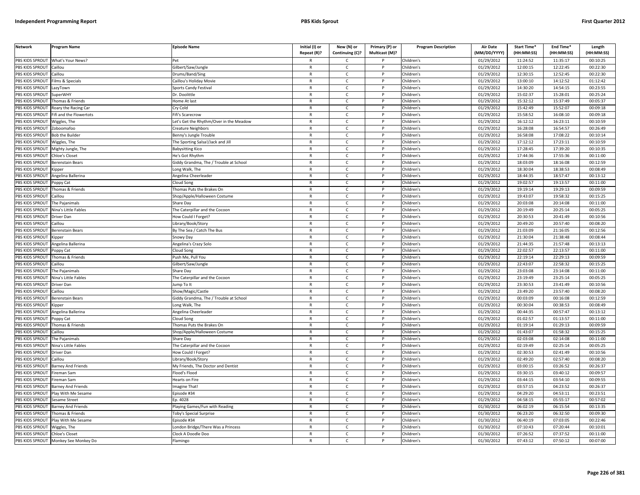| <b>Network</b>  | Program Name                         | <b>Episode Name</b>                    | Initial (I) or               | New (N) or        | Primary (P) or<br>Multicast (M)? | <b>Program Description</b> | <b>Air Date</b><br>(MM/DD/YYYY) | Start Time*<br>(HH:MM:SS) | End Time*<br>(HH:MM:SS) | Length<br>(HH:MM:SS) |
|-----------------|--------------------------------------|----------------------------------------|------------------------------|-------------------|----------------------------------|----------------------------|---------------------------------|---------------------------|-------------------------|----------------------|
|                 |                                      |                                        | Repeat (R)?                  | Continuing (C)?   |                                  |                            |                                 |                           |                         |                      |
| PBS KIDS SPROUT | What's Your News?                    |                                        |                              | C                 |                                  | Children's                 | 01/29/2012                      | 11:24:52                  | 11:35:17                | 00:10:25             |
| PBS KIDS SPROUT | Caillou                              | Gilbert/Saw/Jungle                     | $\mathsf{R}$                 | $\mathsf{C}$      | P                                | Children's                 | 01/29/2012                      | 12:00:15                  | 12:22:45                | 00:22:30             |
| PBS KIDS SPROUT | aillou                               | Drums/Band/Sing                        | $\mathsf{R}$                 | $\mathsf{C}$      | P                                | Children's                 | 01/29/2012                      | 12:30:15                  | 12:52:45                | 00:22:30             |
| PBS KIDS SPROUT | ilms & Specials                      | Caillou's Holiday Movie                | $\mathsf{R}$<br>$\mathsf{R}$ | C<br>$\mathsf{C}$ | P<br>P                           | Children's                 | 01/29/2012                      | 13:00:10                  | 14:12:52                | 01:12:42             |
| PBS KIDS SPROUT | LazyTown                             | Sports Candy Festival                  |                              |                   | P                                | Children's                 | 01/29/2012                      | 14:30:20                  | 14:54:15                | 00:23:55             |
| PBS KIDS SPROUT | SuperWHY                             | Dr. Doolittle                          | $\mathsf{R}$                 | $\mathsf{C}$      | P                                | Children's                 | 01/29/2012                      | 15:02:37                  | 15:28:01                | 00:25:24             |
| PBS KIDS SPROUT | Thomas & Friends                     | Iome At last                           | R                            | $\mathsf{C}$      |                                  | Children's                 | 01/29/2012                      | 15:32:12                  | 15:37:49                | 00:05:37             |
| PBS KIDS SPROUT | Roary the Racing Car                 | Cry Cold                               | $\mathsf{R}$                 | $\mathsf{C}$      | P                                | Children's                 | 01/29/2012                      | 15:42:49                  | 15:52:07                | 00:09:18             |
| PBS KIDS SPROUT | Fifi and the Flowertots              | ifi's Scarecrow                        | R                            | C                 |                                  | Children's                 | 01/29/2012                      | 15:58:52                  | 16:08:10                | 00:09:18             |
| PBS KIDS SPROUT | Viggles, The                         | et's Get the Rhythm/Over in the Meadow | $\mathsf{R}$                 | $\mathsf{C}$      |                                  | Children's                 | 01/29/2012                      | 16:12:12                  | 16:23:11                | 00:10:59             |
| PBS KIDS SPROUT | Zoboomafoo                           | Creature Neighbors                     | $\mathsf{R}$                 | C                 | P                                | Children's                 | 01/29/2012                      | 16:28:08                  | 16:54:57                | 00:26:49             |
| PBS KIDS SPROUT | <b>Bob the Builder</b>               | Benny's Jungle Trouble                 | $\mathsf{R}$                 | $\mathsf{C}$      | D                                | Children's                 | 01/29/2012                      | 16:58:08                  | 17:08:22                | 00:10:14             |
| PBS KIDS SPROUT | Wiggles, The                         | The Sporting Salsa!/Jack and Jill      | $\mathsf{R}$                 | C                 | P                                | Children's                 | 01/29/2012                      | 17:12:12                  | 17:23:11                | 00:10:59             |
| PBS KIDS SPROUT | Mighty Jungle, The                   | Babysitting Kico                       | $\mathsf{R}$                 | $\mathsf{C}$      |                                  | Children's                 | 01/29/2012                      | 17:28:45                  | 17:39:20                | 00:10:35             |
| PBS KIDS SPROUT | Chloe's Closet                       | He's Got Rhythm                        | R                            | $\mathsf{C}$      | P                                | Children's                 | 01/29/2012                      | 17:44:36                  | 17:55:36                | 00:11:00             |
| PBS KIDS SPROUT | Berenstain Bears                     | Giddy Grandma, The / Trouble at School | $\mathsf{R}$                 | $\mathsf{C}$      |                                  | Children's                 | 01/29/2012                      | 18:03:09                  | 18:16:08                | 00:12:59             |
| PBS KIDS SPROUT | Kipper                               | ong Walk, The                          | R                            | $\mathsf{C}$      | P                                | Children's                 | 01/29/2012                      | 18:30:04                  | 18:38:53                | 00:08:49             |
| PBS KIDS SPROUT | Angelina Ballerina                   | Angelina Cheerleader                   | $\mathsf{R}$                 | $\mathsf{C}$      | P                                | Children's                 | 01/29/2012                      | 18:44:35                  | 18:57:47                | 00:13:12             |
| PBS KIDS SPROUT | oppy Cat                             | Cloud Song                             | $\mathsf{R}$                 | C                 | P                                | Children's                 | 01/29/2012                      | 19:02:57                  | 19:13:57                | 00:11:00             |
| PBS KIDS SPROUT | Thomas & Friends                     | homas Puts the Brakes On               | $\mathsf{R}$                 | $\mathsf{C}$      | P                                | Children's                 | 01/29/2012                      | 19:19:14                  | 19:29:13                | 00:09:59             |
| PBS KIDS SPROUT | aillou                               | Shop/Apple/Halloween Costume           | $\mathsf{R}$                 | $\mathsf{C}$      | P                                | Children's                 | 01/29/2012                      | 19:43:07                  | 19:58:32                | 00:15:25             |
| PBS KIDS SPROUT | The Pajanimals                       | Share Day                              | R                            | $\mathsf{C}$      | P                                | Children's                 | 01/29/2012                      | 20:03:08                  | 20:14:08                | 00:11:00             |
| PBS KIDS SPROUT | Nina's Little Fables                 | The Caterpillar and the Cocoon         | $\mathsf{R}$                 | $\mathsf{C}$      | D                                | Children's                 | 01/29/2012                      | 20:19:49                  | 20:25:14                | 00:05:25             |
| PBS KIDS SPROUT | Driver Dan                           | How Could I Forget?                    | $\mathsf{R}$                 | C                 |                                  | Children's                 | 01/29/2012                      | 20:30:53                  | 20:41:49                | 00:10:56             |
| PBS KIDS SPROUT | `aillou                              | ibrary/Book/Story.                     | $\mathsf{R}$                 | $\mathsf{C}$      |                                  | Children's                 | 01/29/2012                      | 20:49:20                  | 20:57:40                | 00:08:20             |
| PBS KIDS SPROUT | Berenstain Bears                     | By The Sea / Catch The Bus             | $\mathsf{R}$                 | c                 | P                                | Children's                 | 01/29/2012                      | 21:03:09                  | 21:16:05                | 00:12:56             |
| PBS KIDS SPROUT | (ipper                               | Snowy Day                              | $\mathsf{R}$                 | $\mathsf{C}$      | D                                | Children's                 | 01/29/2012                      | 21:30:04                  | 21:38:48                | 00:08:44             |
| PBS KIDS SPROUT | Angelina Ballerina                   | Angelina's Crazy Solo                  | R                            | $\mathsf{C}$      | P                                | Children's                 | 01/29/2012                      | 21:44:35                  | 21:57:48                | 00:13:13             |
| PBS KIDS SPROUT | oppy Cat                             | loud Song                              | $\mathsf{R}$                 | $\mathsf{C}$      |                                  | Children's                 | 01/29/2012                      | 22:02:57                  | 22:13:57                | 00:11:00             |
| PBS KIDS SPROUT | Thomas & Friends                     | Push Me, Pull You                      | $\mathsf{R}$                 | $\mathsf{C}$      | P                                | Children's                 | 01/29/2012                      | 22:19:14                  | 22:29:13                | 00:09:59             |
| PBS KIDS SPROUT | aillou                               | Gilbert/Saw/Jungle                     | $\mathsf{R}$                 | $\mathsf{C}$      |                                  | Children's                 | 01/29/2012                      | 22:43:07                  | 22:58:32                | 00:15:25             |
| PBS KIDS SPROUT | The Pajanimals                       | Share Day                              | $\mathsf{R}$                 | C                 | P                                | Children's                 | 01/29/2012                      | 23:03:08                  | 23:14:08                | 00:11:00             |
| PBS KIDS SPROUT | Nina's Little Fables                 | he Caterpillar and the Cocoon          | $\mathsf{R}$                 | $\mathsf{C}$      | P                                | Children's                 | 01/29/2012                      | 23:19:49                  | 23:25:14                | 00:05:25             |
| PBS KIDS SPROUT | <b>Driver Dan</b>                    | ump To It                              | $\mathsf{R}$                 | C                 | P                                | Children's                 | 01/29/2012                      | 23:30:53                  | 23:41:49                | 00:10:56             |
| PBS KIDS SPROUT | aillou                               | Show/Magic/Castle                      | R                            | $\mathsf{C}$      | P                                | Children's                 | 01/29/2012                      | 23:49:20                  | 23:57:40                | 00:08:20             |
| PBS KIDS SPROUT | <b>Berenstain Bears</b>              | Giddy Grandma, The / Trouble at School | $\mathsf{R}$                 | $\mathsf{C}$      | P                                | Children's                 | 01/29/2012                      | 00:03:09                  | 00:16:08                | 00:12:59             |
| PBS KIDS SPROUT | Kinner                               | Long Walk, The                         | R                            | $\mathsf{C}$      | P                                | Children's                 | 01/29/2012                      | 00:30:04                  | 00:38:53                | 00:08:49             |
| PBS KIDS SPROUT | Angelina Ballerina                   | Angelina Cheerleader                   | $\mathsf{R}$                 | $\mathsf{C}$      | D                                | Children's                 | 01/29/2012                      | 00:44:35                  | 00:57:47                | 00:13:12             |
| PBS KIDS SPROUT | Poppy Cat                            | loud Song                              | $\mathsf{R}$                 | $\mathsf{C}$      | P                                | Children's                 | 01/29/2012                      | 01:02:57                  | 01:13:57                | 00:11:00             |
| PBS KIDS SPROUT | homas & Friends                      | homas Puts the Brakes On               | $\mathsf{R}$                 | $\mathsf{C}$      |                                  | Children's                 | 01/29/2012                      | 01:19:14                  | 01:29:13                | 00:09:59             |
| PBS KIDS SPROUT | Caillou                              | Shop/Apple/Halloween Costume           | $\mathsf{R}$                 | c                 | P                                | Children's                 | 01/29/2012                      | 01:43:07                  | 01:58:32                | 00:15:25             |
| PBS KIDS SPROUT | he Pajanimals                        | Share Day                              | $\mathsf{R}$                 | $\mathsf{C}$      | Þ                                | Children's                 | 01/29/2012                      | 02:03:08                  | 02:14:08                | 00:11:00             |
| PBS KIDS SPROUT | Nina's Little Fables                 | The Caterpillar and the Cocoon         | $\mathsf{R}$                 | $\mathsf{C}$      | P                                | Children's                 | 01/29/2012                      | 02:19:49                  | 02:25:14                | 00:05:25             |
| PBS KIDS SPROUT | Driver Dan                           | low Could I Forget?                    | $\mathsf{R}$                 | $\mathsf{C}$      | P                                | Children's                 | 01/29/2012                      | 02:30:53                  | 02:41:49                | 00:10:56             |
| PBS KIDS SPROUT | `aillou                              | ibrary/Book/Story                      | $\mathsf{R}$                 | $\mathsf{C}$      | P                                | Children's                 | 01/29/2012                      | 02:49:20                  | 02:57:40                | 00:08:20             |
| PBS KIDS SPROUT | Barney And Friends                   | My Friends, The Doctor and Dentist     | $\mathsf{R}$                 | $\mathsf{C}$      |                                  | Children's                 | 01/29/2012                      | 03:00:15                  | 03:26:52                | 00:26:37             |
| PBS KIDS SPROUT | ireman Sam                           | lood's Flood                           | R                            | C                 | P                                | Children's                 | 01/29/2012                      | 03:30:15                  | 03:40:12                | 00:09:57             |
| PBS KIDS SPROUT | ireman Sam                           | learts on Fire                         | $\mathsf{R}$                 | $\mathsf{C}$      | P                                | Children's                 | 01/29/2012                      | 03:44:15                  | 03:54:10                | 00:09:55             |
| PBS KIDS SPROUT | <b>Barney And Friends</b>            | magine That                            | $\mathsf{R}$                 | C                 | P                                | Children's                 | 01/29/2012                      | 03:57:15                  | 04:23:52                | 00:26:37             |
| PBS KIDS SPROUT | Play With Me Sesame                  | pisode #34                             | $\mathsf{R}$                 | $\mathsf{C}$      | P                                | Children's                 | 01/29/2012                      | 04:29:20                  | 04:53:11                | 00:23:51             |
| PBS KIDS SPROUT | Sesame Street                        | D. 4028                                | $\mathsf{R}$                 | $\mathsf{C}$      | P                                | Children's                 | 01/29/2012                      | 04:58:15                  | 05:55:17                | 00:57:02             |
| PBS KIDS SPROUT | <b>Barney And Friends</b>            | laying Games/Fun with Reading          | $\mathsf{R}$                 | $\mathsf{C}$      | P                                | Children's                 | 01/30/2012                      | 06:02:19                  | 06:15:54                | 00:13:35             |
| PBS KIDS SPROUT | Thomas & Friends                     | Toby's Special Surprise                | $\mathsf{R}$                 | $\mathsf{C}$      | Þ                                | Children's                 | 01/30/2012                      | 06:23:20                  | 06:32:50                | 00:09:30             |
| PBS KIDS SPROUT | Play With Me Sesame                  | pisode #34                             | R                            | c                 | P                                | Children's                 | 01/30/2012                      | 06:40:19                  | 07:03:05                | 00:22:46             |
| PBS KIDS SPROUT | Viggles, The                         | ondon Bridge/There Was a Princess      | $\mathsf{R}$                 | $\mathsf{C}$      |                                  | Children's                 | 01/30/2012                      | 07:10:43                  | 07:20:44                | 00:10:01             |
| PBS KIDS SPROUT | Chloe's Closet                       | Clock A Doodle Doo                     | $\mathsf{R}$                 | $\mathsf{C}$      | P                                | Children's                 | 01/30/2012                      | 07:26:52                  | 07:37:52                | 00:11:00             |
|                 | PBS KIDS SPROUT Monkey See Monkey Do | Flamingo                               | R                            | Ċ                 | P                                | Children's                 | 01/30/2012                      | 07:43:12                  | 07:50:12                | 00:07:00             |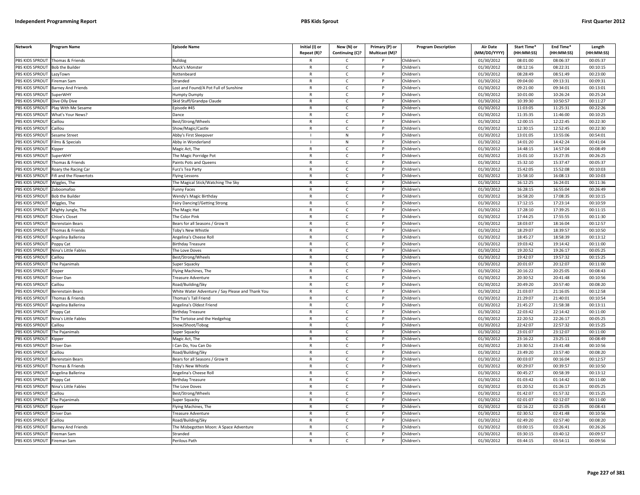| <b>Network</b>                     | Program Name                           | Episode Name                                      | Initial (I) or<br>Repeat (R)? | New (N) or<br>Continuing (C)? | Primary (P) or<br>Multicast (M)? | <b>Program Description</b> | <b>Air Date</b><br>(MM/DD/YYYY) | <b>Start Time*</b><br>(HH:MM:SS) | End Time*<br>(HH:MM:SS) | Length<br>(HH:MM:SS) |
|------------------------------------|----------------------------------------|---------------------------------------------------|-------------------------------|-------------------------------|----------------------------------|----------------------------|---------------------------------|----------------------------------|-------------------------|----------------------|
| PBS KIDS SPROUT                    | Thomas & Friends                       | <b>Bulldog</b>                                    |                               | C                             |                                  | Children's                 | 01/30/2012                      | 08:01:00                         | 08:06:37                | 00:05:37             |
| PBS KIDS SPROUT                    | <b>Bob the Builder</b>                 | Muck's Monster                                    | $\mathsf{R}$                  | $\mathsf{C}$                  | $\mathsf{P}$                     | Children's                 | 01/30/2012                      | 08:12:16                         | 08:22:31                | 00:10:15             |
| PBS KIDS SPROUT                    | LazyTown                               | Rottenbeard                                       | $\mathsf{R}$                  | $\mathsf{C}$                  | P                                | Children's                 | 01/30/2012                      | 08:28:49                         | 08:51:49                | 00:23:00             |
| <b>PBS KIDS SPROUT</b>             | Fireman Sam                            | Stranded                                          | $\mathbb{R}$                  | $\mathsf{C}$                  | P                                | Children's                 | 01/30/2012                      | 09:04:00                         | 09:13:31                | 00:09:31             |
| PBS KIDS SPROUT                    | <b>Barney And Friends</b>              | Lost and Found/A Pot Full of Sunshine             | $\mathsf{R}$                  | $\mathsf{C}$                  | P                                | Children's                 | 01/30/2012                      | 09:21:00                         | 09:34:01                | 00:13:01             |
| PBS KIDS SPROUT                    | SuperWH\                               | Humpty Dumpty                                     | $\mathsf{R}$                  | $\mathsf{C}$                  | D                                | Children's                 | 01/30/2012                      | 10:01:00                         | 10:26:24                | 00:25:24             |
| PBS KIDS SPROUT                    | Dive Olly Dive                         | Skid Stuff/Grandpa Claude                         | R                             | C                             |                                  | Children's                 | 01/30/2012                      | 10:39:30                         | 10:50:57                | 00:11:27             |
| PBS KIDS SPROUT                    | Play With Me Sesame                    | Episode #45                                       | $\mathsf{R}$                  | $\mathsf{C}$                  | <b>D</b>                         | Children's                 | 01/30/2012                      | 11:03:05                         | 11:25:31                | 00:22:26             |
| PBS KIDS SPROUT                    | What's Your News?                      | Dance                                             | R                             | C                             | P                                | Children's                 | 01/30/2012                      | 11:35:35                         | 11:46:00                | 00:10:25             |
| PBS KIDS SPROUT                    | Caillou                                | 3est/Strong/Wheels                                | $\mathsf{R}$                  | $\mathsf{C}$                  | P                                | Children's                 | 01/30/2012                      | 12:00:15                         | 12:22:45                | 00:22:30             |
| PBS KIDS SPROUT                    | Caillou                                | Show/Magic/Castle                                 | $\mathsf{R}$                  | C                             | P                                | Children's                 | 01/30/2012                      | 12:30:15                         | 12:52:45                | 00:22:30             |
| PBS KIDS SPROUT                    | Sesame Street                          | Abby's First Sleepover                            |                               | ${\sf N}$                     | <b>D</b>                         | Children's                 | 01/30/2012                      | 13:01:05                         | 13:55:06                | 00:54:01             |
| PBS KIDS SPROUT                    | Films & Specials                       | Abby in Wonderland                                |                               | N                             | P                                | Children's                 | 01/30/2012                      | 14:01:20                         | 14:42:24                | 00:41:04             |
| PBS KIDS SPROUT                    | (ipper                                 | Magic Act, The                                    | $\mathsf{R}$                  | C                             |                                  | Children's                 | 01/30/2012                      | 14:48:15                         | 14:57:04                | 00:08:49             |
| PBS KIDS SPROUT                    | SuperWHY                               | The Magic Porridge Pot                            | $\mathsf{R}$                  | C                             | P                                | Children's                 | 01/30/2012                      | 15:01:10                         | 15:27:35                | 00:26:25             |
| PBS KIDS SPROUT                    | Thomas & Friends                       | Paints Pots and Queens                            | $\mathsf{R}$                  | C                             | P                                | Children's                 | 01/30/2012                      | 15:32:10                         | 15:37:47                | 00:05:37             |
| PBS KIDS SPROUT                    | Roary the Racing Car                   | Furz's Tea Party                                  | $\mathsf{R}$                  | $\mathsf{C}$                  | P                                | Children's                 | 01/30/2012                      | 15:42:05                         | 15:52:08                | 00:10:03             |
| PBS KIDS SPROUT                    | Fifi and the Flowertots                | Flying Lessons                                    | $\mathsf{R}$                  | $\mathsf{C}$                  | P                                | Children's                 | 01/30/2012                      | 15:58:10                         | 16:08:13                | 00:10:03             |
| <b>PBS KIDS SPROUT</b>             | Wiggles, The                           | The Magical Stick/Watching The Sky                | $\mathbb{R}$                  | $\mathsf{C}$                  | P                                | Children's                 | 01/30/2012                      | 16:12:25                         | 16:24:01                | 00:11:36             |
| PBS KIDS SPROUT                    | Zoboomafoo                             | <b>Funny Faces</b>                                | $\mathsf{R}$                  | C                             | P                                | Children's                 | 01/30/2012                      | 16:28:15                         | 16:55:04                | 00:26:49             |
| PBS KIDS SPROUT                    | <b>Bob the Builder</b>                 | Wendy's Magic Birthday                            | $\mathsf{R}$                  | $\mathsf{C}$                  | P                                | Children's                 | 01/30/2012                      | 16:58:20                         | 17:08:35                | 00:10:15             |
| PBS KIDS SPROUT                    | Wiggles, The                           | Fairy Dancing!/Getting Strong                     | $\mathsf{R}$                  | C                             |                                  | Children's                 | 01/30/2012                      | 17:12:15                         | 17:23:14                | 00:10:59             |
| PBS KIDS SPROUT                    | Mighty Jungle, The                     | The Magic Hat                                     | $\mathsf{R}$                  | $\mathsf{C}$                  | P                                | Children's                 | 01/30/2012                      | 17:28:10                         | 17:39:25                | 00:11:15             |
| PBS KIDS SPROUT                    | Chloe's Closet                         | The Color Pink                                    | R                             | C                             | P                                | Children's                 | 01/30/2012                      | 17:44:25                         | 17:55:55                | 00:11:30             |
| PBS KIDS SPROUT                    | Berenstain Bears                       | Bears for all Seasons / Grow It                   | $\mathsf{R}$                  | $\mathsf{C}$                  | <b>D</b>                         | Children's                 | 01/30/2012                      | 18:03:07                         | 18:16:04                | 00:12:57             |
| PBS KIDS SPROUT                    | Thomas & Friends                       | Toby's New Whistle                                | R                             | $\mathsf{C}$                  | P                                | Children's                 | 01/30/2012                      | 18:29:07                         | 18:39:57                | 00:10:50             |
| PBS KIDS SPROUT                    | Angelina Ballerina                     | Angelina's Cheese Rol                             | $\mathsf{R}$                  | C                             |                                  | Children's                 | 01/30/2012                      | 18:45:27                         | 18:58:39                | 00:13:12             |
| PBS KIDS SPROUT                    | Poppy Cat                              | Birthday Treasure                                 | $\mathsf{R}$                  | $\mathsf{C}$                  | P                                | Children's                 | 01/30/2012                      | 19:03:42                         | 19:14:42                | 00:11:00             |
| PBS KIDS SPROUT                    | Vina's Little Fables                   | The Love Doves                                    | $\mathsf{R}$                  | C                             | P                                | Children's                 | 01/30/2012                      | 19:20:52                         | 19:26:17                | 00:05:25             |
| PBS KIDS SPROUT                    | Caillou                                | Best/Strong/Wheels                                | $\mathsf{R}$                  | C                             | P                                | Children's                 | 01/30/2012                      | 19:42:07                         | 19:57:32                | 00:15:25             |
| PBS KIDS SPROUT                    | The Pajanimals                         | Super Squacky                                     | $\mathsf{R}$                  | $\mathsf{C}$                  | P                                | Children's                 | 01/30/2012                      | 20:01:07                         | 20:12:07                | 00:11:00             |
| PBS KIDS SPROUT                    | <b>Kipper</b>                          | Flying Machines, The                              | $\mathsf{R}$                  | $\mathsf{C}$                  | P                                | Children's                 | 01/30/2012                      | 20:16:22                         | 20:25:05                | 00:08:43             |
| PBS KIDS SPROUT                    | Driver Dan                             | <b>Treasure Adventure</b>                         | $\mathsf{R}$                  | $\mathsf{C}$                  | P                                | Children's                 | 01/30/2012                      | 20:30:52                         | 20:41:48                | 00:10:56             |
| PBS KIDS SPROUT                    | Caillou                                | Road/Building/Sky                                 | $\mathsf{R}$<br>$\mathsf{R}$  | C                             | P<br>P                           | Children's                 | 01/30/2012                      | 20:49:20                         | 20:57:40                | 00:08:20             |
| PBS KIDS SPROUT                    | Berenstain Bears                       | White Water Adventure / Say Please and Thank You  | $\mathsf{R}$                  | C<br>$\mathsf{C}$             | P                                | Children's                 | 01/30/2012                      | 21:03:07<br>21:29:07             | 21:16:05<br>21:40:01    | 00:12:58<br>00:10:54 |
| PBS KIDS SPROUT<br>PBS KIDS SPROUT | Thomas & Friends<br>Angelina Ballerina | Thomas's Tall Friend<br>Angelina's Oldest Friend  | $\mathsf{R}$                  | $\mathsf{C}$                  |                                  | Children's<br>Children's   | 01/30/2012<br>01/30/2012        | 21:45:27                         | 21:58:38                | 00:13:11             |
| PBS KIDS SPROUT                    |                                        |                                                   | $\mathsf{R}$                  | $\mathsf{C}$                  | <b>D</b>                         |                            | 01/30/2012                      | 22:03:42                         | 22:14:42                | 00:11:00             |
| PBS KIDS SPROUT                    | Poppy Cat<br>Nina's Little Fables      | <b>Birthday Treasure</b>                          | R                             | c                             | P                                | Children's<br>Children's   | 01/30/2012                      | 22:20:52                         | 22:26:17                | 00:05:25             |
| PBS KIDS SPROUT                    | `aillou                                | The Tortoise and the Hedgehog<br>Snow/Shoot/Tobog | $\mathsf{R}$                  | $\epsilon$                    | <b>D</b>                         | Children's                 | 01/30/2012                      | 22:42:07                         | 22:57:32                | 00:15:25             |
| PBS KIDS SPROUT                    | The Pajanimals                         | Super Squacky                                     | R                             | C                             | P                                | Children's                 | 01/30/2012                      | 23:01:07                         | 23:12:07                | 00:11:00             |
| PBS KIDS SPROUT                    | (ipper                                 | Magic Act, The                                    | $\mathsf{R}$                  | $\mathsf{C}$                  | D                                | Children's                 | 01/30/2012                      | 23:16:22                         | 23:25:11                | 00:08:49             |
| <b>PBS KIDS SPROUT</b>             | Driver Dan                             | Can Do, You Can Do                                | $\mathsf{R}$                  | $\mathsf{C}$                  | P                                | Children's                 | 01/30/2012                      | 23:30:52                         | 23:41:48                | 00:10:56             |
| PBS KIDS SPROUT                    | Caillou                                | Road/Building/Sky                                 | $\mathsf{R}$                  | C                             | P                                | Children's                 | 01/30/2012                      | 23:49:20                         | 23:57:40                | 00:08:20             |
| PBS KIDS SPROUT                    | Berenstain Bears                       | Bears for all Seasons / Grow It                   | $\mathsf{R}$                  | C                             | P                                | Children's                 | 01/30/2012                      | 00:03:07                         | 00:16:04                | 00:12:57             |
| PBS KIDS SPROUT                    | Thomas & Friends                       | <b>Toby's New Whistle</b>                         |                               | $\mathsf{C}$                  |                                  | Children's                 | 01/30/2012                      | 00:29:07                         | 00:39:57                | 00:10:50             |
| PBS KIDS SPROUT                    | Angelina Ballerina                     | Angelina's Cheese Roll                            | R                             | $\mathsf{C}$                  | $\mathsf{P}$                     | Children's                 | 01/30/2012                      | 00:45:27                         | 00:58:39                | 00:13:12             |
| PBS KIDS SPROUT                    | Poppy Cat                              | Birthday Treasure                                 | $\mathsf{R}$                  | $\mathsf{C}$                  | P                                | Children's                 | 01/30/2012                      | 01:03:42                         | 01:14:42                | 00:11:00             |
| PBS KIDS SPROUT                    | Nina's Little Fables                   | The Love Doves                                    | $\mathsf{R}$                  | C                             | P                                | Children's                 | 01/30/2012                      | 01:20:52                         | 01:26:17                | 00:05:25             |
| PBS KIDS SPROUT                    | Caillou                                | Best/Strong/Wheels                                | $\mathsf{R}$                  | C                             | P                                | Children's                 | 01/30/2012                      | 01:42:07                         | 01:57:32                | 00:15:25             |
| PBS KIDS SPROUT                    | The Pajanimals                         | Super Squacky                                     | $\mathsf{R}$                  | $\mathsf{C}$                  | P                                | Children's                 | 01/30/2012                      | 02:01:07                         | 02:12:07                | 00:11:00             |
| PBS KIDS SPROUT                    | Kipper                                 | Flying Machines, The                              | $\mathsf{R}$                  | $\mathsf{C}$                  |                                  | Children's                 | 01/30/2012                      | 02:16:22                         | 02:25:05                | 00:08:43             |
| PBS KIDS SPROUT                    | Driver Dar                             | Treasure Adventure                                | $\mathsf{R}$                  | $\mathsf{C}$                  | D                                | Children's                 | 01/30/2012                      | 02:30:52                         | 02:41:48                | 00:10:56             |
| PBS KIDS SPROUT                    | Caillou                                | Road/Building/Sky                                 | R                             | C                             | P                                | Children's                 | 01/30/2012                      | 02:49:20                         | 02:57:40                | 00:08:20             |
| PBS KIDS SPROUT                    | Barney And Friends                     | The Misbegotten Moon: A Space Adventure           | $\mathsf{R}$                  | $\mathsf{C}$                  | D                                | Children's                 | 01/30/2012                      | 03:00:15                         | 03:26:41                | 00:26:26             |
| <b>PBS KIDS SPROUT</b>             | Fireman Sam                            | Stranded                                          | R                             | C                             | P                                | Children's                 | 01/30/2012                      | 03:30:15                         | 03:40:12                | 00:09:57             |
| PBS KIDS SPROUT                    | Fireman Sam                            | Perilous Path                                     | $\mathsf{R}$                  | $\mathsf{C}$                  | D                                | Children's                 | 01/30/2012                      | 03:44:15                         | 03:54:11                | 00:09:56             |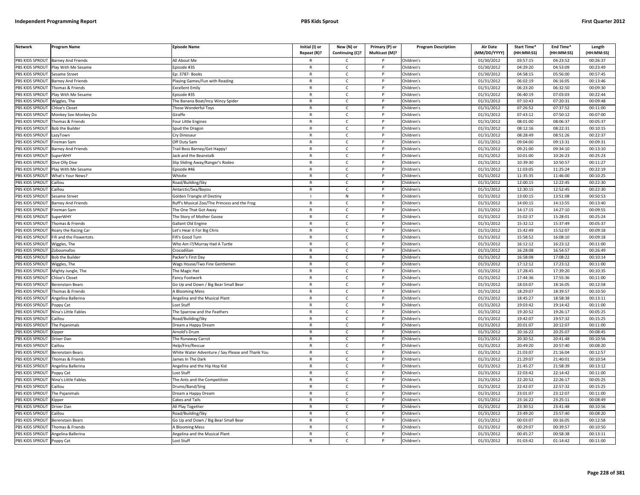| <b>Network</b>         | Program Name                   | <b>Episode Name</b>                              | Initial (I) or<br>Repeat (R)? | New (N) or<br>Continuing (C)? | Primary (P) or<br>Multicast (M)? | <b>Program Description</b> | <b>Air Date</b><br>(MM/DD/YYYY) | Start Time*<br>(HH:MM:SS) | End Time <sup>®</sup><br>(HH:MM:SS) | Length<br>(HH:MM:SS) |
|------------------------|--------------------------------|--------------------------------------------------|-------------------------------|-------------------------------|----------------------------------|----------------------------|---------------------------------|---------------------------|-------------------------------------|----------------------|
| PBS KIDS SPROUT        | <b>Barney And Friends</b>      | All About Me                                     |                               | C                             |                                  | Children's                 | 01/30/2012                      | 03:57:15                  | 04:23:52                            | 00:26:37             |
| PBS KIDS SPROUT        | Play With Me Sesame            | Episode #35                                      | $\mathsf{R}$                  | $\mathsf{C}$                  | $\mathsf{P}$                     | Children's                 | 01/30/2012                      | 04:29:20                  | 04:53:09                            | 00:23:49             |
| PBS KIDS SPROUT        | Sesame Street                  | Ep: 3787- Books                                  | $\mathsf{R}$                  | $\mathsf{C}$                  | P                                | Children's                 | 01/30/2012                      | 04:58:15                  | 05:56:00                            | 00:57:45             |
| <b>PBS KIDS SPROUT</b> | Barney And Friends             | Playing Games/Fun with Reading                   | $\mathbb{R}$                  | $\mathsf{C}$                  | P                                | Children's                 | 01/31/2012                      | 06:02:19                  | 06:16:05                            | 00:13:46             |
| PBS KIDS SPROUT        | Thomas & Friends               | <b>Excellent Emily</b>                           | $\mathsf{R}$                  | $\mathsf{C}$                  | P                                | Children's                 | 01/31/2012                      | 06:23:20                  | 06:32:50                            | 00:09:30             |
| PBS KIDS SPROUT        | Play With Me Sesame            | pisode #35                                       | $\mathsf{R}$                  | $\mathsf{C}$                  |                                  | Children's                 | 01/31/2012                      | 06:40:19                  | 07:03:03                            | 00:22:44             |
| PBS KIDS SPROUT        | Wiggles, The                   | The Banana Boat/Incy Wincy Spider                | R                             | C                             |                                  | Children's                 | 01/31/2012                      | 07:10:43                  | 07:20:31                            | 00:09:48             |
| PBS KIDS SPROUT        | Chloe's Closet                 | Those Wonderful Toys                             | $\mathsf{R}$                  | $\mathsf{C}$                  | P                                | Children's                 | 01/31/2012                      | 07:26:52                  | 07:37:52                            | 00:11:00             |
| PBS KIDS SPROUT        | Monkey See Monkey Do           | Giraffe                                          | R                             | $\mathsf{C}$                  | P                                | Children's                 | 01/31/2012                      | 07:43:12                  | 07:50:12                            | 00:07:00             |
| PBS KIDS SPROUT        | Thomas & Friends               | Four Little Engines                              | $\mathsf{R}$                  | $\mathsf{C}$                  | P                                | Children's                 | 01/31/2012                      | 08:01:00                  | 08:06:37                            | 00:05:37             |
| PBS KIDS SPROUT        | <b>Bob the Builder</b>         | Spud the Dragon                                  | ${\sf R}$                     | $\mathsf{C}$                  | P                                | Children's                 | 01/31/2012                      | 08:12:16                  | 08:22:31                            | 00:10:15             |
| PBS KIDS SPROUT        | LazyTown                       | Cry Dinosaur                                     | ${\sf R}$                     | $\mathsf{C}$                  | P                                | Children's                 | 01/31/2012                      | 08:28:49                  | 08:51:26                            | 00:22:37             |
| PBS KIDS SPROUT        | Fireman Sam                    | Off Duty Sam                                     | $\mathsf{R}$                  | $\mathsf{C}$                  | P                                | Children's                 | 01/31/2012                      | 09:04:00                  | 09:13:31                            | 00:09:31             |
| PBS KIDS SPROUT        | Barney And Friends             | Frail Boss Barney/Get Happy!                     | $\mathsf{R}$                  | C                             |                                  | Children's                 | 01/31/2012                      | 09:21:00                  | 09:34:10                            | 00:13:10             |
| PBS KIDS SPROUT        | SuperWHY                       | Jack and the Beanstalk                           | $\mathsf{R}$                  | C                             | P                                | Children's                 | 01/31/2012                      | 10:01:00                  | 10:26:23                            | 00:25:23             |
| PBS KIDS SPROUT        | Dive Olly Dive                 | Slip Sliding Away/Ranger's Rodeo                 | $\mathsf{R}$                  | $\mathsf{C}$                  | P                                | Children's                 | 01/31/2012                      | 10:39:30                  | 10:50:57                            | 00:11:27             |
| PBS KIDS SPROUT        | Play With Me Sesame            | Episode #46                                      | $\mathsf{R}$                  | $\mathsf{C}$                  | $\mathsf{P}$                     | Children's                 | 01/31/2012                      | 11:03:05                  | 11:25:24                            | 00:22:19             |
| PBS KIDS SPROUT        | What's Your News?              | Whistle                                          | $\mathsf{R}$                  | $\mathsf{C}$                  | P                                | Children's                 | 01/31/2012                      | 11:35:35                  | 11:46:00                            | 00:10:25             |
| PBS KIDS SPROUT        | Caillou                        | Road/Building/Sky                                | $\mathbb{R}$                  | $\mathsf{C}$                  | P                                | Children's                 | 01/31/2012                      | 12:00:15                  | 12:22:45                            | 00:22:30             |
| PBS KIDS SPROUT        | Caillou                        | Antarctic/Sea/Bayou                              | $\mathsf{R}$                  | C                             | P                                | Children's                 | 01/31/2012                      | 12:30:15                  | 12:52:45                            | 00:22:30             |
| PBS KIDS SPROUT        | Sesame Street                  | <b>Golden Triangle of Destiny</b>                |                               | N                             |                                  | Children's                 | 01/31/2012                      | 13:00:15                  | 13:51:08                            | 00:50:53             |
| PBS KIDS SPROUT        | <b>Barney And Friends</b>      | Ruff's Musical Zoo/The Princess and the Frog     | $\mathsf{R}$                  | $\mathsf{C}$                  |                                  | Children's                 | 01/31/2012                      | 14:00:15                  | 14:13:55                            | 00:13:40             |
| PBS KIDS SPROUT        |                                |                                                  | $\mathsf{R}$                  | $\mathsf{C}$                  | <b>D</b>                         | Children's                 | 01/31/2012                      | 14:17:15                  | 14:27:10                            | 00:09:55             |
| PBS KIDS SPROUT        | Fireman Sam<br><b>SuperWHY</b> | The One That Got Away                            | R                             | $\mathsf{C}$                  | P                                | Children's                 | 01/31/2012                      | 15:02:37                  | 15:28:01                            | 00:25:24             |
| PBS KIDS SPROUT        | Thomas & Friends               | The Story of Mother Goose<br>Gallant Old Engine  | $\mathbb{R}$                  | $\mathsf{C}$                  | <b>D</b>                         | Children's                 | 01/31/2012                      | 15:32:12                  | 15:37:49                            | 00:05:37             |
|                        |                                |                                                  |                               |                               | P                                |                            |                                 | 15:42:49                  |                                     |                      |
| PBS KIDS SPROUT        | Roary the Racing Car           | Let's Hear it For Big Chris                      | $\mathsf{R}$<br>$\mathsf{R}$  | $\mathsf{C}$<br>$\mathsf{C}$  | P                                | Children's                 | 01/31/2012                      | 15:58:52                  | 15:52:07                            | 00:09:18             |
| PBS KIDS SPROUT        | ifi and the Flowertots         | Fifi's Good Turn                                 |                               |                               |                                  | Children's                 | 01/31/2012                      |                           | 16:08:10                            | 00:09:18             |
| PBS KIDS SPROUT        | Wiggles, The                   | Who Am I?/Murray Had A Turtle                    | $\mathsf{R}$                  | $\mathsf{C}$                  | P                                | Children's                 | 01/31/2012                      | 16:12:12                  | 16:23:12                            | 00:11:00             |
| PBS KIDS SPROUT        | Zoboomafoo                     | Crocodilian                                      | $\mathsf{R}$                  | $\mathsf{C}$                  | P                                | Children's                 | 01/31/2012                      | 16:28:08<br>16:58:08      | 16:54:57<br>17:08:22                | 00:26:49             |
| PBS KIDS SPROUT        | <b>Bob the Builder</b>         | Packer's First Day                               | $\mathsf{R}$<br>$\mathsf{R}$  | $\mathsf{C}$                  | P                                | Children's                 | 01/31/2012                      |                           |                                     | 00:10:14             |
| PBS KIDS SPROUT        | Wiggles, The                   | Wags House/Two Fine Gentlemen                    | $\mathsf{R}$                  | $\mathsf{C}$<br>$\mathsf{C}$  | P                                | Children's                 | 01/31/2012                      | 17:12:12                  | 17:23:12                            | 00:11:00             |
| PBS KIDS SPROUT        | Mighty Jungle, The             | The Magic Hat                                    |                               |                               | P                                | Children's                 | 01/31/2012                      | 17:28:45                  | 17:39:20                            | 00:10:35             |
| PBS KIDS SPROUT        | Chloe's Closet                 | Fancy Footwork                                   | $\mathsf{R}$                  | $\mathsf{C}$                  |                                  | Children's                 | 01/31/2012                      | 17:44:36                  | 17:55:36                            | 00:11:00             |
| PBS KIDS SPROUT        | Berenstain Bears               | Go Up and Down / Big Bear Small Bear             | $\mathsf{R}$<br>$\mathsf{R}$  | C                             | P<br>P                           | Children's                 | 01/31/2012                      | 18:03:07                  | 18:16:05                            | 00:12:58             |
| PBS KIDS SPROUT        | Thomas & Friends               | A Blooming Mess                                  | $\mathsf{R}$                  | $\mathsf{C}$<br>$\mathsf{C}$  | P                                | Children's                 | 01/31/2012                      | 18:29:07<br>18:45:27      | 18:39:57<br>18:58:38                | 00:10:50<br>00:13:11 |
| PBS KIDS SPROUT        | Angelina Ballerina             | Angelina and the Musical Plant<br>Lost Stuff     | $\mathsf{R}$                  | $\mathsf{C}$                  |                                  | Children's<br>Children's   | 01/31/2012                      | 19:03:42                  | 19:14:42                            | 00:11:00             |
| PBS KIDS SPROUT        | Poppy Cat                      |                                                  | $\mathsf{R}$                  | $\mathsf{C}$                  | <b>D</b>                         |                            | 01/31/2012                      |                           |                                     |                      |
| PBS KIDS SPROUT        | Nina's Little Fables           | The Sparrow and the Feathers                     |                               |                               | P                                | Children's                 | 01/31/2012                      | 19:20:52                  | 19:26:17                            | 00:05:25             |
| PBS KIDS SPROUT        | Caillou                        | Road/Building/Sky                                | R<br>$\mathsf{R}$             | $\mathsf{C}$                  | D                                | Children's                 | 01/31/2012                      | 19:42:07                  | 19:57:32                            | 00:15:25             |
| PBS KIDS SPROUT        | The Pajanimals                 | Dream a Happy Dream                              |                               | $\mathsf{C}$                  |                                  | Children's                 | 01/31/2012                      | 20:01:07                  | 20:12:07                            | 00:11:00             |
| PBS KIDS SPROUT        | Kipper                         | Arnold's Drum                                    | $\mathsf{R}$<br>$\mathsf{R}$  | $\mathsf{C}$                  | P                                | Children's                 | 01/31/2012                      | 20:16:22                  | 20:25:07                            | 00:08:45             |
| PBS KIDS SPROUT        | Driver Dan                     | The Runaway Carrot                               |                               | $\mathsf{C}$                  |                                  | Children's                 | 01/31/2012                      | 20:30:52                  | 20:41:48                            | 00:10:56             |
| PBS KIDS SPROUT        | Caillou                        | Help/Fire/Rescue                                 | $\mathsf{R}$                  | $\mathsf{C}$                  | P                                | Children's                 | 01/31/2012                      | 20:49:20                  | 20:57:40                            | 00:08:20             |
| PBS KIDS SPROUT        | Berenstain Bears               | White Water Adventure / Say Please and Thank You | $\mathsf{R}$                  | $\mathsf{C}$                  | P<br>P                           | Children's                 | 01/31/2012                      | 21:03:07                  | 21:16:04                            | 00:12:57             |
| PBS KIDS SPROUT        | Thomas & Friends               | James In The Dark                                | $\mathsf{R}$                  | $\mathsf{C}$                  |                                  | Children's                 | 01/31/2012                      | 21:29:07                  | 21:40:01                            | 00:10:54             |
| PBS KIDS SPROUT        | Angelina Ballerina             | Angelina and the Hip Hop Kid                     | $\mathsf{R}$                  | $\mathsf{C}$                  |                                  | Children's                 | 01/31/2012                      | 21:45:27                  | 21:58:39                            | 00:13:12             |
| PBS KIDS SPROUT        | Poppy Cat                      | Lost Stuff                                       | $\mathsf{R}$                  | $\mathsf{C}$                  | $\mathsf{P}$                     | Children's                 | 01/31/2012                      | 22:03:42                  | 22:14:42                            | 00:11:00             |
| PBS KIDS SPROUT        | Nina's Little Fables           | The Ants and the Competition                     | $\mathsf{R}$                  | $\mathsf{C}$                  | P                                | Children's                 | 01/31/2012                      | 22:20:52                  | 22:26:17                            | 00:05:25             |
| PBS KIDS SPROUT        | Caillou                        | Drums/Band/Sing                                  | $\mathsf{R}$                  | $\mathsf{C}$                  | P                                | Children's                 | 01/31/2012                      | 22:42:07                  | 22:57:32                            | 00:15:25             |
| PBS KIDS SPROUT        | The Pajanimals                 | Dream a Happy Dream                              | $\mathsf{R}$                  | $\mathsf{C}$                  | P                                | Children's                 | 01/31/2012                      | 23:01:07                  | 23:12:07                            | 00:11:00             |
| PBS KIDS SPROUT        | <i><b>Sipper</b></i>           | Cakes and Tails                                  | $\mathsf{R}$                  | $\mathsf{C}$                  | P                                | Children's                 | 01/31/2012                      | 23:16:22                  | 23:25:11                            | 00:08:49             |
| PBS KIDS SPROUT        | Driver Dan                     | All Play Together                                | $\mathsf{R}$                  | $\mathsf{C}$                  |                                  | Children's                 | 01/31/2012                      | 23:30:52                  | 23:41:48                            | 00:10:56             |
| PBS KIDS SPROUT        | Caillou                        | Road/Building/Sky                                | $\mathsf{R}$                  | $\mathsf{C}$                  | D                                | Children's                 | 01/31/2012                      | 23:49:20                  | 23:57:40                            | 00:08:20             |
| PBS KIDS SPROUT        | Berenstain Bears               | Go Up and Down / Big Bear Small Bear             | R                             | $\mathsf{C}$                  | P                                | Children's                 | 01/31/2012                      | 00:03:07                  | 00:16:05                            | 00:12:58             |
| PBS KIDS SPROUT        | homas & Friends                | A Blooming Mess                                  | $\mathsf{R}$                  | $\mathsf{C}$                  |                                  | Children's                 | 01/31/2012                      | 00:29:07                  | 00:39:57                            | 00:10:50             |
| PBS KIDS SPROUT        | Angelina Ballerina             | Angelina and the Musical Plant                   | $\mathsf{R}$                  | $\mathsf{C}$                  | P                                | Children's                 | 01/31/2012                      | 00:45:27                  | 00:58:38                            | 00:13:11             |
| PBS KIDS SPROUT        | Poppy Cat                      | Lost Stuff                                       | $\mathsf{R}$                  | $\mathsf{C}$                  | D                                | Children's                 | 01/31/2012                      | 01:03:42                  | 01:14:42                            | 00:11:00             |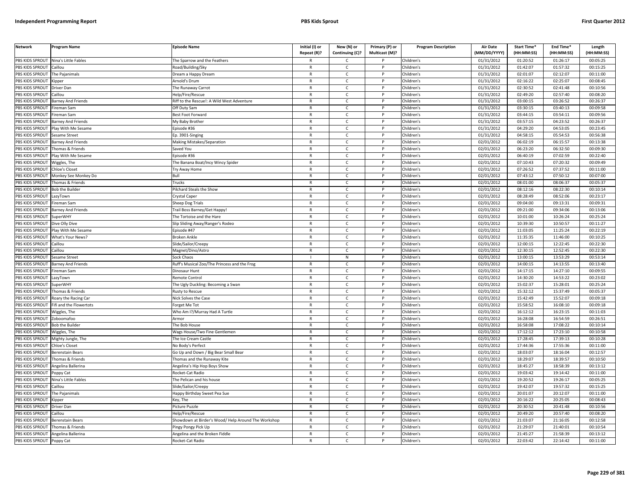| <b>Network</b>        | Program Name                                 | <b>Episode Name</b>                                       | Initial (I) or<br>Repeat (R)? | New (N) or<br>Continuing (C)? | Primary (P) or<br>Multicast (M)? | <b>Program Description</b> | Air Date<br>(MM/DD/YYYY) | <b>Start Time*</b><br>(HH:MM:SS) | End Time <sup>®</sup><br>(HH:MM:SS) | Length<br>(HH:MM:SS) |
|-----------------------|----------------------------------------------|-----------------------------------------------------------|-------------------------------|-------------------------------|----------------------------------|----------------------------|--------------------------|----------------------------------|-------------------------------------|----------------------|
|                       | PBS KIDS SPROUT Nina's Little Fables         | The Sparrow and the Feathers                              | R                             | C                             |                                  | Children's                 | 01/31/2012               | 01:20:52                         | 01:26:17                            | 00:05:25             |
| PBS KIDS SPROUT       | Caillou                                      | Road/Building/Sky                                         | $\mathsf{R}$                  | $\mathsf{C}$                  | P                                | Children's                 | 01/31/2012               | 01:42:07                         | 01:57:32                            | 00:15:25             |
| PBS KIDS SPROUT       | The Paianimals                               | Dream a Happy Dream                                       | $\mathsf{R}$                  | $\mathsf{C}$                  | P                                | Children's                 | 01/31/2012               | 02:01:07                         | 02:12:07                            | 00:11:00             |
| PBS KIDS SPROUT       | Kipper                                       | Arnold's Drum                                             | $\mathsf{R}$                  | $\mathsf{C}$                  | P                                | Children's                 | 01/31/2012               | 02:16:22                         | 02:25:07                            | 00:08:45             |
| PBS KIDS SPROUT       | <b>Driver Dan</b>                            | The Runaway Carrot                                        | $\mathsf{R}$                  | $\mathsf{C}$                  | P                                | Children's                 | 01/31/2012               | 02:30:52                         | 02:41:48                            | 00:10:56             |
| PBS KIDS SPROUT       | aillou                                       | lelp/Fire/Rescue                                          | $\mathsf{R}$                  | $\mathsf{C}$                  | P                                | Children's                 | 01/31/2012               | 02:49:20                         | 02:57:40                            | 00:08:20             |
| <b>BS KIDS SPROUT</b> | <b>Barney And Friends</b>                    | Riff to the Rescue!: A Wild West Adventure                | $\mathsf{R}$                  | $\mathsf{C}$                  | P                                | Children's                 | 01/31/2012               | 03:00:15                         | 03:26:52                            | 00:26:37             |
| PBS KIDS SPROUT       | ireman Sam                                   | Off Duty Sam                                              | $\mathsf{R}$                  | $\mathsf{C}$                  | P                                | Children's                 | 01/31/2012               | 03:30:15                         | 03:40:13                            | 00:09:58             |
| PBS KIDS SPROUT       | ireman Sam                                   | Best Foot Forward                                         | $\mathsf{R}$                  | $\mathsf{C}$                  | P                                | Children's                 | 01/31/2012               | 03:44:15                         | 03:54:11                            | 00:09:56             |
| PBS KIDS SPROUT       | <b>Barney And Friends</b>                    | My Baby Brother                                           | $\mathsf{R}$                  | $\mathsf{C}$                  | D                                | Children's                 | 01/31/2012               | 03:57:15                         | 04:23:52                            | 00:26:37             |
| PBS KIDS SPROUT       | Play With Me Sesame                          | Episode #36                                               | $\mathsf{R}$                  | $\mathsf{C}$                  | P                                | Children's                 | 01/31/2012               | 04:29:20                         | 04:53:05                            | 00:23:45             |
| PBS KIDS SPROUT       | Sesame Street                                | $\overline{Ep}$ . 3901-Singing                            | $\mathsf{R}$                  | $\mathsf{C}$                  | <b>D</b>                         | Children's                 | 01/31/2012               | 04:58:15                         | 05:54:53                            | 00:56:38             |
| PBS KIDS SPROUT       | <b>Barney And Friends</b>                    | Making Mistakes/Separation                                | $\mathsf{R}$                  | $\mathsf{C}$                  | P                                | Children's                 | 02/01/2012               | 06:02:19                         | 06:15:57                            | 00:13:38             |
| PBS KIDS SPROUT       | Thomas & Friends                             | Saved You                                                 | $\mathsf{R}$                  | $\mathsf{C}$                  | P                                | Children's                 | 02/01/2012               | 06:23:20                         | 06:32:50                            | 00:09:30             |
| PBS KIDS SPROUT       | Play With Me Sesame                          | pisode #36                                                | $\mathsf{R}$                  | $\mathsf{C}$                  | P                                | Children's                 | 02/01/2012               | 06:40:19                         | 07:02:59                            | 00:22:40             |
| PBS KIDS SPROUT       | Wiggles, The                                 | The Banana Boat/Incy Wincy Spider                         | $\mathsf{R}$                  | $\mathsf{C}$                  | P                                | Children's                 | 02/01/2012               | 07:10:43                         | 07:20:32                            | 00:09:49             |
| PBS KIDS SPROUT       | Chloe's Closet                               | <b>Try Away Home</b>                                      | $\mathsf{R}$                  | $\mathsf{C}$                  | $\mathsf{P}$                     | Children's                 | 02/01/2012               | 07:26:52                         | 07:37:52                            | 00:11:00             |
| PBS KIDS SPROUT       | Monkey See Monkey Do                         | Bull                                                      | $\mathsf{R}$                  | $\mathsf{C}$                  | P                                | Children's                 | 02/01/2012               | 07:43:12                         | 07:50:12                            | 00:07:00             |
| PBS KIDS SPROUT       | Thomas & Friends                             | Trucks                                                    | $\mathsf{R}$                  | $\mathsf{C}$                  | P                                | Children's                 | 02/01/2012               | 08:01:00                         | 08:06:37                            | 00:05:37             |
| PBS KIDS SPROUT       | <b>Bob the Builder</b>                       | Pilchard Steals the Show                                  | R                             | $\mathsf{C}$                  | P                                | Children's                 | 02/01/2012               | 08:12:16                         | 08:22:30                            | 00:10:14             |
| PBS KIDS SPROUT       | azyTown                                      | Crystal Caper                                             | $\mathsf{R}$                  | $\mathsf{C}$                  | P                                | Children's                 | 02/01/2012               | 08:28:49                         | 08:52:06                            | 00:23:17             |
| <b>BS KIDS SPROUT</b> | ireman Sam                                   | Sheep Dog Trials                                          | $\mathsf{R}$                  | $\mathsf{C}$                  | P                                | Children's                 | 02/01/2012               | 09:04:00                         | 09:13:31                            | 00:09:31             |
| PBS KIDS SPROUT       |                                              |                                                           | $\mathsf{R}$                  | $\mathsf{C}$                  | P                                | Children's                 |                          | 09:21:00                         | 09:34:06                            | 00:13:06             |
|                       | <b>Barney And Friends</b><br><b>SuperWHY</b> | Trail Boss Barney/Get Happy!<br>The Tortoise and the Hare |                               | $\mathsf{C}$                  | P                                |                            | 02/01/2012               | 10:01:00                         | 10:26:24                            |                      |
| PBS KIDS SPROUT       |                                              |                                                           | R<br>$\mathsf{R}$             | $\mathsf{C}$                  | P                                | Children's                 | 02/01/2012               |                                  |                                     | 00:25:24             |
| PBS KIDS SPROUT       | Dive Olly Dive                               | ilip Sliding Away/Ranger's Rodeo                          |                               |                               |                                  | Children's                 | 02/01/2012               | 10:39:30                         | 10:50:57                            | 00:11:27             |
| PBS KIDS SPROUT       | Play With Me Sesame                          | pisode #47                                                | $\mathsf{R}$<br>$\mathsf{R}$  | $\mathsf{C}$<br>$\mathsf{C}$  | P<br>P                           | Children's                 | 02/01/2012               | 11:03:05                         | 11:25:24                            | 00:22:19             |
| PBS KIDS SPROUT       | What's Your News?                            | Broken Ankle                                              |                               |                               |                                  | Children's                 | 02/01/2012               | 11:35:35                         | 11:46:00                            | 00:10:25             |
| PBS KIDS SPROUT       | Caillou                                      | Slide/Sailor/Creepy                                       | $\mathsf{R}$                  | $\mathsf{C}$                  | $\mathsf{P}$<br><b>D</b>         | Children's                 | 02/01/2012               | 12:00:15                         | 12:22:45                            | 00:22:30             |
| PBS KIDS SPROUT       | aillou                                       | Magnet/Dino/Astro                                         | $\mathsf{R}$                  | $\mathsf{C}$                  |                                  | Children's                 | 02/01/2012               | 12:30:15                         | 12:52:45                            | 00:22:30             |
| PBS KIDS SPROUT       | Sesame Street                                | Sock Chaos                                                |                               | ${\sf N}$                     | P                                | Children's                 | 02/01/2012               | 13:00:15                         | 13:53:29                            | 00:53:14             |
| PBS KIDS SPROUT       | <b>Barney And Friends</b>                    | Ruff's Musical Zoo/The Princess and the Frog              | $\mathsf{R}$                  | $\mathsf{C}$                  | P                                | Children's                 | 02/01/2012               | 14:00:15                         | 14:13:55                            | 00:13:40             |
| PBS KIDS SPROUT       | ireman Sam                                   | Dinosaur Hunt                                             | $\mathsf{R}$                  | $\mathsf{C}$                  | P                                | Children's                 | 02/01/2012               | 14:17:15                         | 14:27:10                            | 00:09:55             |
| PBS KIDS SPROUT       | azyTown                                      | Remote Control                                            | $\mathsf{R}$                  | $\mathsf{C}$                  | P                                | Children's                 | 02/01/2012               | 14:30:20                         | 14:53:22                            | 00:23:02             |
| PBS KIDS SPROUT       | SuperWHY                                     | The Ugly Duckling: Becoming a Swan                        | $\mathsf{R}$                  | $\mathsf{C}$                  | P                                | Children's                 | 02/01/2012               | 15:02:37                         | 15:28:01                            | 00:25:24             |
| PBS KIDS SPROUT       | Thomas & Friends                             | <b>Rusty to Rescue</b>                                    | $\mathsf{R}$                  | $\mathsf{C}$                  | P                                | Children's                 | 02/01/2012               | 15:32:12                         | 15:37:49                            | 00:05:37             |
| PBS KIDS SPROUT       | Roary the Racing Car                         | Nick Solves the Case                                      | $\mathsf{R}$                  | $\mathsf{C}$                  | P                                | Children's                 | 02/01/2012               | 15:42:49                         | 15:52:07                            | 00:09:18             |
| PBS KIDS SPROUT       | ifi and the Flowertots                       | orget Me Tot                                              | R                             | C                             | P                                | Children's                 | 02/01/2012               | 15:58:52                         | 16:08:10                            | 00:09:18             |
| PBS KIDS SPROUT       | Wiggles, The                                 | Who Am I?/Murray Had A Turtle                             | $\mathsf{R}$                  | $\mathsf{C}$                  | P                                | Children's                 | 02/01/2012               | 16:12:12                         | 16:23:15                            | 00:11:03             |
| PBS KIDS SPROUT       | Zoboomafoo                                   | Armor                                                     | $\mathsf{R}$                  | C                             | P                                | Children's                 | 02/01/2012               | 16:28:08                         | 16:54:59                            | 00:26:51             |
| PBS KIDS SPROUT       | <b>Bob the Builder</b>                       | The Bob House                                             | $\mathsf{R}$                  | $\mathsf{C}$                  | P                                | Children's                 | 02/01/2012               | 16:58:08                         | 17:08:22                            | 00:10:14             |
| <b>BS KIDS SPROUT</b> | Wiggles, The                                 | Wags House/Two Fine Gentlemen                             | $\mathsf{R}$                  | $\mathsf{C}$                  | P                                | Children's                 | 02/01/2012               | 17:12:12                         | 17:23:10                            | 00:10:58             |
| PBS KIDS SPROUT       | Mighty Jungle, The                           | The Ice Cream Castle                                      | $\mathsf{R}$                  | $\mathcal{C}$                 | Þ                                | Children's                 | 02/01/2012               | 17:28:45                         | 17:39:13                            | 00:10:28             |
| PBS KIDS SPROUT       | Chloe's Closet                               | No Body's Perfect                                         | R                             | c                             | $\mathsf{P}$                     | Children's                 | 02/01/2012               | 17:44:36                         | 17:55:36                            | 00:11:00             |
| PBS KIDS SPROUT       | Berenstain Bears                             | Go Up and Down / Big Bear Small Bear                      | $\mathsf{R}$                  | $\mathsf{C}$                  | P                                | Children's                 | 02/01/2012               | 18:03:07                         | 18:16:04                            | 00:12:57             |
| PBS KIDS SPROUT       | Thomas & Friends                             | homas and the Runaway Kite                                | $\mathsf{R}$                  | $\mathsf{C}$                  | P                                | Children's                 | 02/01/2012               | 18:29:07                         | 18:39:57                            | 00:10:50             |
| PBS KIDS SPROUT       | Angelina Ballerina                           | Angelina's Hip Hop Boys Show                              | $\mathsf{R}$                  | $\mathsf{C}$                  | P                                | Children's                 | 02/01/2012               | 18:45:27                         | 18:58:39                            | 00:13:12             |
| PBS KIDS SPROUT       | Poppy Cat                                    | Rocket-Cat Radio                                          | $\mathsf{R}$                  | $\mathsf{C}$                  | P                                | Children's                 | 02/01/2012               | 19:03:42                         | 19:14:42                            | 00:11:00             |
| PBS KIDS SPROUT       | <b>Jina's Little Fables</b>                  | he Pelican and his house                                  | $\mathsf{R}$                  | $\mathsf{C}$                  | P                                | Children's                 | 02/01/2012               | 19:20:52                         | 19:26:17                            | 00:05:25             |
| PBS KIDS SPROUT       | Caillou                                      | Slide/Sailor/Creepy                                       | $\mathsf{R}$                  | $\mathsf{C}$                  | P                                | Children's                 | 02/01/2012               | 19:42:07                         | 19:57:32                            | 00:15:25             |
| PBS KIDS SPROUT       | The Pajanimals                               | Happy Birthday Sweet Pea Sue                              | R                             | C                             | P                                | Children's                 | 02/01/2012               | 20:01:07                         | 20:12:07                            | 00:11:00             |
| PBS KIDS SPROUT       | Kipper                                       | Key, The                                                  | R                             | $\mathsf{C}$                  | P                                | Children's                 | 02/01/2012               | 20:16:22                         | 20:25:05                            | 00:08:43             |
| PBS KIDS SPROUT       | Driver Dan                                   | icture Puzzle                                             | $\mathsf{R}$                  | $\mathsf{C}$                  | P                                | Children's                 | 02/01/2012               | 20:30:52                         | 20:41:48                            | 00:10:56             |
| PBS KIDS SPROUT       | Caillou                                      | Help/Fire/Rescue                                          | $\mathsf{R}$                  | $\mathsf{C}$                  | P                                | Children's                 | 02/01/2012               | 20:49:20                         | 20:57:40                            | 00:08:20             |
| PBS KIDS SPROUT       | <b>Berenstain Bears</b>                      | Showdown at Birder's Wood/Help Around The Workshop        | $\mathsf{R}$                  | $\mathsf{C}$                  | P                                | Children's                 | 02/01/2012               | 21:03:07                         | 21:16:05                            | 00:12:58             |
| PBS KIDS SPROUT       | Thomas & Friends                             | ingy Pongy Pick Up                                        | $\mathsf{R}$                  | $\mathsf{C}$                  | P                                | Children's                 | 02/01/2012               | 21:29:07                         | 21:40:01                            | 00:10:54             |
| PBS KIDS SPROUT       | Angelina Ballerina                           | Angelina and the Broken Fiddle                            | $\mathsf{R}$                  | C                             | P                                | Children's                 | 02/01/2012               | 21:45:27                         | 21:58:39                            | 00:13:12             |
| PBS KIDS SPROUT       | Poppy Cat                                    | Rocket-Cat Radio                                          | $\mathsf{R}$                  | $\epsilon$                    | P                                | Children's                 | $\sqrt{02}/01/2012$      | 22:03:42                         | 22:14:42                            | 00:11:00             |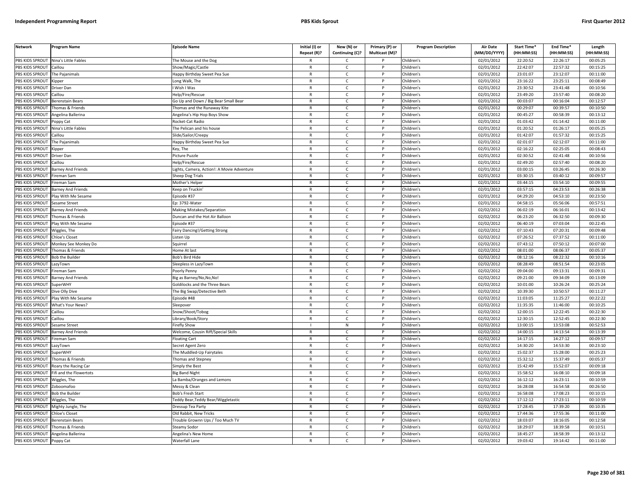| <b>Network</b>        | <b>Program Name</b>       | <b>Episode Name</b>                       | Initial (I) or | New (N) or      | Primary (P) or | <b>Program Description</b> | <b>Air Date</b> | Start Time* | End Time*  | Length     |
|-----------------------|---------------------------|-------------------------------------------|----------------|-----------------|----------------|----------------------------|-----------------|-------------|------------|------------|
|                       |                           |                                           | Repeat (R)?    | Continuing (C)? | Multicast (M)? |                            | (MM/DD/YYYY)    | (HH:MM:SS)  | (HH:MM:SS) | (HH:MM:SS) |
| PBS KIDS SPROUT       | Nina's Little Fables      | he Mouse and the Dog                      | R              | Ċ               |                | Children's                 | 02/01/2012      | 22:20:52    | 22:26:17   | 00:05:25   |
| PBS KIDS SPROUT       | Caillou                   | Show/Magic/Castle                         | $\mathsf{R}$   | $\mathsf{C}$    | P              | Children's                 | 02/01/2012      | 22:42:07    | 22:57:32   | 00:15:25   |
| <b>BS KIDS SPROUT</b> | The Pajanimals            | Happy Birthday Sweet Pea Sue              | $\mathsf{R}$   | $\mathsf{C}$    |                | Children's                 | 02/01/2012      | 23:01:07    | 23:12:07   | 00:11:00   |
| PBS KIDS SPROUT       | (ipper                    | ong Walk, The                             | $\mathsf{R}$   | $\mathsf{C}$    | Þ              | Children's                 | 02/01/2012      | 23:16:22    | 23:25:11   | 00:08:49   |
| PBS KIDS SPROUT       | Driver Dan                | Wish I Was                                | $\mathsf{R}$   | C               |                | Children's                 | 02/01/2012      | 23:30:52    | 23:41:48   | 00:10:56   |
| PBS KIDS SPROUT       | aillou                    | lelp/Fire/Rescue                          | $\mathsf{R}$   | $\mathsf{C}$    | P              | Children's                 | 02/01/2012      | 23:49:20    | 23:57:40   | 00:08:20   |
| PBS KIDS SPROUT       | Berenstain Bears          | Go Up and Down / Big Bear Small Bear      | R              | $\mathsf{C}$    | P              | Children's                 | 02/01/2012      | 00:03:07    | 00:16:04   | 00:12:57   |
| PBS KIDS SPROUT       | homas & Friends           | homas and the Runaway Kite                | $\mathsf{R}$   | $\mathsf{C}$    | P              | Children's                 | 02/01/2012      | 00:29:07    | 00:39:57   | 00:10:50   |
| PBS KIDS SPROUT       | Angelina Ballerina        | Angelina's Hip Hop Boys Show              | $\mathsf{R}$   | $\mathsf{C}$    | P              | Children's                 | 02/01/2012      | 00:45:27    | 00:58:39   | 00:13:12   |
| PBS KIDS SPROUT       | oppy Cat                  | <b>Rocket-Cat Radio</b>                   | $\mathsf{R}$   | $\mathsf{C}$    |                | Children's                 | 02/01/2012      | 01:03:42    | 01:14:42   | 00:11:00   |
| PBS KIDS SPROUT       | Nina's Little Fables      | The Pelican and his house                 | $\mathsf{R}$   | $\mathsf{C}$    | P              | Children's                 | 02/01/2012      | 01:20:52    | 01:26:17   | 00:05:25   |
| PBS KIDS SPROUT       | aillou                    | Slide/Sailor/Creepy                       | $\mathsf{R}$   | $\mathsf{C}$    |                | Children's                 | 02/01/2012      | 01:42:07    | 01:57:32   | 00:15:25   |
| PBS KIDS SPROUT       | The Pajanimals            | Happy Birthday Sweet Pea Sue              | $\mathsf{R}$   | $\mathsf{C}$    | P              | Children's                 | 02/01/2012      | 02:01:07    | 02:12:07   | 00:11:00   |
| PBS KIDS SPROUT       | <b>Kipper</b>             | (ey, The                                  | R              | $\mathsf{C}$    |                | Children's                 | 02/01/2012      | 02:16:22    | 02:25:05   | 00:08:43   |
| PBS KIDS SPROUT       | Driver Dan                | Picture Puzzle                            | $\mathsf{R}$   | $\mathsf{C}$    | $\mathsf{P}$   | Children's                 | 02/01/2012      | 02:30:52    | 02:41:48   | 00:10:56   |
| PBS KIDS SPROUT       | Caillou                   | lelp/Fire/Rescue                          | R              | C               | P              | Children's                 | 02/01/2012      | 02:49:20    | 02:57:40   | 00:08:20   |
| PBS KIDS SPROUT       | <b>Barney And Friends</b> | ights, Camera, Action!: A Movie Adventure | R              | $\mathsf{C}$    | P              | Children's                 | 02/01/2012      | 03:00:15    | 03:26:45   | 00:26:30   |
| PBS KIDS SPROUT       | Fireman Sam               | Sheep Dog Trials                          | $\mathsf{R}$   | $\mathsf{C}$    | P              | Children's                 | 02/01/2012      | 03:30:15    | 03:40:12   | 00:09:57   |
| PBS KIDS SPROUT       | ireman Sam                | Mother's Helper                           | $\mathsf{R}$   | $\mathsf{C}$    | P              | Children's                 | 02/01/2012      | 03:44:15    | 03:54:10   | 00:09:55   |
| PBS KIDS SPROUT       | <b>Barney And Friends</b> | (eep on Truckin'                          | R              | Ċ               |                | Children's                 | 02/01/2012      | 03:57:15    | 04:23:53   | 00:26:38   |
| PBS KIDS SPROUT       | lay With Me Sesame        | pisode #37                                | $\mathsf{R}$   | $\mathsf{C}$    | Þ              | Children's                 | 02/01/2012      | 04:29:20    | 04:53:10   | 00:23:50   |
| <b>BS KIDS SPROUT</b> | Sesame Street             | p: 3792-Water                             | R              | C               |                | Children's                 | 02/01/2012      | 04:58:15    | 05:56:06   | 00:57:51   |
| PBS KIDS SPROUT       | Barney And Friends        | Making Mistakes/Separation                | $\mathsf{R}$   | $\mathsf{C}$    | Þ              | Children's                 | 02/02/2012      | 06:02:19    | 06:16:01   | 00:13:42   |
| PBS KIDS SPROUT       | Thomas & Friends          | Duncan and the Hot Air Balloon            | R              | $\mathsf{C}$    | P              | Children's                 | 02/02/2012      | 06:23:20    | 06:32:50   | 00:09:30   |
| PBS KIDS SPROUT       | lay With Me Sesame        | pisode #37                                | $\mathsf{R}$   | $\mathsf{C}$    | D              | Children's                 | 02/02/2012      | 06:40:19    | 07:03:04   | 00:22:45   |
| PBS KIDS SPROUT       | Wiggles, The              | airy Dancing!/Getting Strong-             | $\mathsf{R}$   | $\mathsf{C}$    | P              | Children's                 | 02/02/2012      | 07:10:43    | 07:20:31   | 00:09:48   |
| PBS KIDS SPROUT       | hloe's Closet             | isten Up                                  | R              | $\mathsf{C}$    |                | Children's                 | 02/02/2012      | 07:26:52    | 07:37:52   | 00:11:00   |
| PBS KIDS SPROUT       | Monkey See Monkey Do      | Squirrel                                  | $\mathsf{R}$   | $\mathsf{C}$    | P              | Children's                 | 02/02/2012      | 07:43:12    | 07:50:12   | 00:07:00   |
| PBS KIDS SPROUT       | Thomas & Friends          | Iome At last                              | $\mathsf{R}$   | $\mathsf{C}$    |                | Children's                 | 02/02/2012      | 08:01:00    | 08:06:37   | 00:05:37   |
| PBS KIDS SPROUT       | <b>Bob the Builder</b>    | <b>Bob's Bird Hide</b>                    | $\mathsf{R}$   | $\mathsf{C}$    | P              | Children's                 | 02/02/2012      | 08:12:16    | 08:22:32   | 00:10:16   |
| PBS KIDS SPROUT       | LazyTown                  | leepless in LazyTown                      | R              | $\mathsf{C}$    |                | Children's                 | 02/02/2012      | 08:28:49    | 08:51:54   | 00:23:05   |
| PBS KIDS SPROUT       | ireman Sam                | Poorly Penny                              | $\mathsf{R}$   | $\mathsf{C}$    | P              | Children's                 | 02/02/2012      | 09:04:00    | 09:13:31   | 00:09:31   |
| PBS KIDS SPROUT       | <b>Barney And Friends</b> | Big as Barney/No, No, No!                 | $\mathsf{R}$   | $\mathsf{C}$    | P              | Children's                 | 02/02/2012      | 09:21:00    | 09:34:09   | 00:13:09   |
| PBS KIDS SPROUT       | <b>SuperWHY</b>           | <b>Goldilocks and the Three Bears</b>     | R              | $\mathsf{C}$    | P              | Children's                 | 02/02/2012      | 10:01:00    | 10:26:24   | 00:25:24   |
| PBS KIDS SPROUT       | Dive Olly Dive            | The Big Swap/Detective Beth               | R              | $\mathsf{C}$    | P              | Children's                 | 02/02/2012      | 10:39:30    | 10:50:57   | 00:11:27   |
| PBS KIDS SPROUT       | Play With Me Sesame       | Episode #48                               | $\mathsf{R}$   | $\mathsf{C}$    | P              | Children's                 | 02/02/2012      | 11:03:05    | 11:25:27   | 00:22:22   |
| PBS KIDS SPROUT       | What's Your News?         | leepover                                  | R              | Ċ               |                | Children's                 | 02/02/2012      | 11:35:35    | 11:46:00   | 00:10:25   |
| PBS KIDS SPROUT       | Caillou                   | inow/Shoot/Tobog                          | $\mathsf{R}$   | $\mathsf{C}$    | Þ              | Children's                 | 02/02/2012      | 12:00:15    | 12:22:45   | 00:22:30   |
| PBS KIDS SPROUT       | Caillou                   | ibrary/Book/Story                         | R              | C               |                | Children's                 | 02/02/2012      | 12:30:15    | 12:52:45   | 00:22:30   |
| PBS KIDS SPROUT       | Sesame Street             | irefly Show                               |                | ${\sf N}$       |                | Children's                 | 02/02/2012      | 13:00:15    | 13:53:08   | 00:52:53   |
| <b>BS KIDS SPROUT</b> | <b>Barney And Friends</b> | Welcome, Cousin Riff/Special Skills       | $\mathsf{R}$   | $\mathsf{C}$    | P              | Children's                 | 02/02/2012      | 14:00:15    | 14:13:54   | 00:13:39   |
| PBS KIDS SPROUT       | ireman Sam                | loating Cart                              | $\mathsf{R}$   | $\mathsf{C}$    | Þ              | Children's                 | 02/02/2012      | 14:17:15    | 14:27:12   | 00:09:57   |
| PBS KIDS SPROUT       | LazyTown                  | Secret Agent Zero                         | $\mathsf{R}$   | $\mathsf{C}$    | P              | Children's                 | 02/02/2012      | 14:30:20    | 14:53:30   | 00:23:10   |
| PBS KIDS SPROUT       | SuperWHY                  | he Muddled-Up Fairytales                  | $\mathsf{R}$   | $\mathsf{C}$    | D              | Children's                 | 02/02/2012      | 15:02:37    | 15:28:00   | 00:25:23   |
| PBS KIDS SPROUT       | Thomas & Friends          | Thomas and Stepney                        | $\mathsf{R}$   | $\mathsf{C}$    | P              | Children's                 | 02/02/2012      | 15:32:12    | 15:37:49   | 00:05:37   |
| PBS KIDS SPROUT       | Roary the Racing Car      | Simply the Best                           | $\mathsf{R}$   | $\mathsf{C}$    | D              | Children's                 | 02/02/2012      | 15:42:49    | 15:52:07   | 00:09:18   |
| PBS KIDS SPROUT       | Fifi and the Flowertots   | <b>Big Band Night</b>                     | R              | $\mathsf{C}$    | P              | Children's                 | 02/02/2012      | 15:58:52    | 16:08:10   | 00:09:18   |
| PBS KIDS SPROUT       | Niggles, The              | a Bamba/Oranges and Lemons                | $\mathsf{R}$   | $\mathsf{C}$    | P              | Children's                 | 02/02/2012      | 16:12:12    | 16:23:11   | 00:10:59   |
| PBS KIDS SPROUT       | Zoboomafoo                | Messy & Clean                             | $\mathsf{R}$   | $\mathsf{C}$    | $\mathsf{P}$   | Children's                 | 02/02/2012      | 16:28:08    | 16:54:58   | 00:26:50   |
| PBS KIDS SPROUT       | <b>Bob the Builder</b>    | Bob's Fresh Start                         | $\mathsf{R}$   | C               |                | Children's                 | 02/02/2012      | 16:58:08    | 17:08:23   | 00:10:15   |
| PBS KIDS SPROUT       | Wiggles, The              | Feddy Bear, Teddy Bear/Wiggletastic       | R              | $\mathsf{C}$    | P              | Children's                 | 02/02/2012      | 17:12:12    | 17:23:11   | 00:10:59   |
| PBS KIDS SPROUT       | Mighty Jungle, The        | Dressup Tea Party                         | $\mathsf{R}$   | C               | P              | Children's                 | 02/02/2012      | 17:28:45    | 17:39:20   | 00:10:35   |
| PBS KIDS SPROUT       | <b>Chloe's Closet</b>     | Old Rabbit, New Tricks                    | $\mathsf{R}$   | $\mathsf{C}$    | P              | Children's                 | 02/02/2012      | 17:44:36    | 17:55:36   | 00:11:00   |
| PBS KIDS SPROUT       | <b>Berenstain Bears</b>   | rouble Grownn Ups / Too Much TV           | R              | Ċ               |                | Children's                 | 02/02/2012      | 18:03:07    | 18:16:05   | 00:12:58   |
| PBS KIDS SPROUT       | Thomas & Friends          | Steamy Sodor                              | $\mathsf{R}$   | $\mathsf{C}$    | P              | Children's                 | 02/02/2012      | 18:29:07    | 18:39:58   | 00:10:51   |
| PBS KIDS SPROUT       | Angelina Ballerina        | Angelina's New Home                       | R              | C               |                | Children's                 | 02/02/2012      | 18:45:27    | 18:58:39   | 00:13:12   |
| PBS KIDS SPROUT       | Poppy Cat                 | Waterfall Lane                            | $\mathsf{R}$   | $\mathsf{C}$    |                | Children's                 | 02/02/2012      | 19:03:42    | 19:14:42   | 00:11:00   |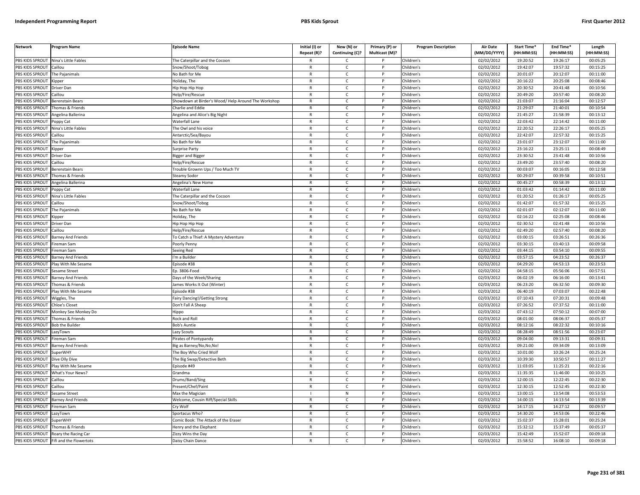| <b>Network</b>                     | Program Name                                                                                                                                                                                                                     | <b>Episode Name</b>                                 | Initial (I) or               | New (N) or                   | Primary (P) or | <b>Program Description</b> | <b>Air Date</b>          | Start Time*          | End Time*            | Length               |
|------------------------------------|----------------------------------------------------------------------------------------------------------------------------------------------------------------------------------------------------------------------------------|-----------------------------------------------------|------------------------------|------------------------------|----------------|----------------------------|--------------------------|----------------------|----------------------|----------------------|
|                                    |                                                                                                                                                                                                                                  |                                                     | Repeat (R)?                  | Continuing (C)?              | Multicast (M)? |                            | (MM/DD/YYYY)             | (HH:MM:SS)           | (HH:MM:SS)           | (HH:MM:SS)           |
| PBS KIDS SPROUT<br>PBS KIDS SPROUT | Nina's Little Fables<br>Caillou                                                                                                                                                                                                  | The Caterpillar and the Cocoon                      | $\mathsf{R}$                 | $\mathsf{C}$<br>$\mathsf{C}$ | P              | Children's                 | 02/02/2012               | 19:20:52<br>19:42:07 | 19:26:17             | 00:05:25             |
| PBS KIDS SPROUT                    |                                                                                                                                                                                                                                  | Snow/Shoot/Tobog                                    |                              |                              |                | Children's                 | 02/02/2012               |                      | 19:57:32<br>20:12:07 | 00:15:25             |
| PBS KIDS SPROUT                    | The Pajanimals                                                                                                                                                                                                                   | No Bath for Me                                      | $\mathsf{R}$<br>${\sf R}$    | $\mathsf{C}$<br>$\mathsf{C}$ | P              | Children's                 | 02/02/2012               | 20:01:07<br>20:16:22 | 20:25:08             | 00:11:00<br>00:08:46 |
| PBS KIDS SPROUT                    | (ippe)                                                                                                                                                                                                                           | Holiday, The                                        | R                            |                              | P              | Children's                 | 02/02/2012<br>02/02/2012 | 20:30:52             | 20:41:48             | 00:10:56             |
| PBS KIDS SPROUT                    | Driver Dan                                                                                                                                                                                                                       | Нір Нор Нір Нор                                     | $\mathsf{R}$                 | c                            | P              | Children's                 |                          |                      |                      |                      |
| PBS KIDS SPROUT                    | Caillou                                                                                                                                                                                                                          | Help/Fire/Rescue                                    | $\mathsf{R}$                 | C                            | P              | Children's                 | 02/02/2012               | 20:49:20<br>21:03:07 | 20:57:40<br>21:16:04 | 00:08:20<br>00:12:57 |
|                                    | Berenstain Bears                                                                                                                                                                                                                 | Showdown at Birder's Wood/ Help Around The Workshop | $\mathsf{R}$                 | C                            | <b>D</b>       | Children's                 | 02/02/2012               |                      |                      |                      |
| PBS KIDS SPROUT                    | Thomas & Friends                                                                                                                                                                                                                 | Charlie and Eddi                                    |                              | $\mathsf{C}$                 | P              | Children's                 | 02/02/2012               | 21:29:07             | 21:40:01             | 00:10:54             |
| PBS KIDS SPROUT                    | Angelina Ballerina                                                                                                                                                                                                               | Angelina and Alice's Big Night                      | $\mathsf{R}$<br>$\mathsf{R}$ | $\mathsf{C}$                 |                | Children's                 | 02/02/2012               | 21:45:27             | 21:58:39             | 00:13:12             |
| PBS KIDS SPROUT                    | oppy Cat                                                                                                                                                                                                                         | <b>Naterfall Lane</b>                               |                              | $\mathsf{C}$                 | P              | Children's                 | 02/02/2012               | 22:03:42             | 22:14:42             | 00:11:00             |
| PBS KIDS SPROUT                    | Nina's Little Fables                                                                                                                                                                                                             | The Owl and his voice                               | $\mathsf{R}$                 | C                            |                | Children's                 | 02/02/2012               | 22:20:52             | 22:26:17             | 00:05:25             |
| <b>PBS KIDS SPROUT</b>             | Caillou                                                                                                                                                                                                                          | Antarctic/Sea/Bayou                                 | $\mathsf{R}$                 | C                            |                | Children's                 | 02/02/2012               | 22:42:07             | 22:57:32             | 00:15:25             |
| PBS KIDS SPROUT                    | The Pajanimals                                                                                                                                                                                                                   | No Bath for Me                                      | $\mathsf{R}$                 | $\mathsf{C}$                 | $\mathsf{P}$   | Children's                 | 02/02/2012               | 23:01:07             | 23:12:07             | 00:11:00             |
| PBS KIDS SPROUT                    | <ipper< td=""><td>Surprise Party</td><td><math>\mathsf{R}</math></td><td>C</td><td>P</td><td>Children's</td><td>02/02/2012</td><td>23:16:22</td><td>23:25:11</td><td>00:08:49</td></ipper<>                                      | Surprise Party                                      | $\mathsf{R}$                 | C                            | P              | Children's                 | 02/02/2012               | 23:16:22             | 23:25:11             | 00:08:49             |
| PBS KIDS SPROUT                    | Driver Dan                                                                                                                                                                                                                       | <b>Bigger and Bigger</b>                            | $\mathsf{R}$<br>$\mathsf{R}$ | $\mathsf{C}$                 | P<br>P         | Children's                 | 02/02/2012               | 23:30:52             | 23:41:48             | 00:10:56             |
| PBS KIDS SPROUT                    | Caillou                                                                                                                                                                                                                          | Help/Fire/Rescue                                    |                              | $\mathsf{C}$                 |                | Children's                 | 02/02/2012               | 23:49:20             | 23:57:40             | 00:08:20             |
| PBS KIDS SPROUT                    | Berenstain Bears                                                                                                                                                                                                                 | Trouble Grownn Ups / Too Much TV                    | $\mathsf{R}$                 | $\mathsf{C}$                 | P              | Children's                 | 02/02/2012               | 00:03:07             | 00:16:05             | 00:12:58             |
| PBS KIDS SPROUT                    | Thomas & Friends                                                                                                                                                                                                                 | Steamy Sodor                                        | $\mathsf{R}$                 | $\mathsf{C}$                 | P              | Children's                 | 02/02/2012               | 00:29:07             | 00:39:58             | 00:10:51             |
| PBS KIDS SPROUT                    | Angelina Ballerina                                                                                                                                                                                                               | Angelina's New Home                                 | $\mathsf{R}$                 | $\mathsf{C}$                 | P              | Children's                 | 02/02/2012               | 00:45:27             | 00:58:39             | 00:13:12             |
| PBS KIDS SPROUT                    | Poppy Cat                                                                                                                                                                                                                        | Waterfall Lane                                      | $\mathsf{R}$                 | $\mathsf{C}$                 | P              | Children's                 | 02/02/2012               | 01:03:42             | 01:14:42             | 00:11:00             |
| PBS KIDS SPROUT                    | Nina's Little Fables                                                                                                                                                                                                             | The Caterpillar and the Cocoon                      | $\mathsf{R}$                 | $\mathsf{C}$                 | P              | Children's                 | 02/02/2012               | 01:20:52             | 01:26:17             | 00:05:25             |
| PBS KIDS SPROUT                    | Caillou                                                                                                                                                                                                                          | Snow/Shoot/Tobog                                    | $\mathsf{R}$                 | $\mathsf{C}$                 | P              | Children's                 | 02/02/2012               | 01:42:07             | 01:57:32             | 00:15:25             |
| PBS KIDS SPROUT                    | The Pajanimals                                                                                                                                                                                                                   | No Bath for M                                       | $\mathsf{R}$                 | $\mathsf{C}$                 | D              | Children's                 | 02/02/2012               | 02:01:07             | 02:12:07             | 00:11:00             |
| <b>PBS KIDS SPROUT</b>             | <ipper< td=""><td>Holiday, The</td><td><math>\mathsf{R}</math></td><td><math display="inline">\mathsf{C}</math></td><td>P</td><td>Children's</td><td>02/02/2012</td><td>02:16:22</td><td>02:25:08</td><td>00:08:46</td></ipper<> | Holiday, The                                        | $\mathsf{R}$                 | $\mathsf{C}$                 | P              | Children's                 | 02/02/2012               | 02:16:22             | 02:25:08             | 00:08:46             |
| PBS KIDS SPROUT                    | Driver Dar                                                                                                                                                                                                                       | Hip Hop Hip Hop                                     | $\mathsf{R}$                 | $\mathsf{C}$                 |                | Children's                 | 02/02/2012               | 02:30:52             | 02:41:48             | 00:10:56             |
| PBS KIDS SPROUT                    | Caillou                                                                                                                                                                                                                          | Help/Fire/Rescue                                    | $\mathsf{R}$                 | C                            | P              | Children's                 | 02/02/2012               | 02:49:20             | 02:57:40             | 00:08:20             |
| PBS KIDS SPROUT                    | <b>Barney And Friends</b>                                                                                                                                                                                                        | To Catch a Thief: A Mystery Adventure               | $\mathsf{R}$                 | $\mathsf{C}$                 |                | Children's                 | 02/02/2012               | 03:00:15             | 03:26:51             | 00:26:36             |
| PBS KIDS SPROUT                    | Fireman Sam                                                                                                                                                                                                                      | Poorly Penny                                        | $\mathsf{R}$                 | $\mathsf{C}$                 | P              | Children's                 | 02/02/2012               | 03:30:15             | 03:40:13             | 00:09:58             |
| PBS KIDS SPROUT                    | Fireman Sam                                                                                                                                                                                                                      | Seeing Red                                          |                              | C.                           |                | Children's                 | 02/02/2012               | 03:44:15             | 03:54:10             | 00:09:55             |
| PBS KIDS SPROUT                    | Barney And Friends                                                                                                                                                                                                               | 'm a Buildei                                        | R                            | C                            | P              | Children's                 | 02/02/2012               | 03:57:15             | 04:23:52             | 00:26:37             |
| PBS KIDS SPROUT                    | Play With Me Sesame                                                                                                                                                                                                              | Episode #38                                         | $\mathsf{R}$                 | C                            | P              | Children's                 | 02/02/2012               | 04:29:20             | 04:53:13             | 00:23:53             |
| PBS KIDS SPROUT                    | Sesame Street                                                                                                                                                                                                                    | Ep. 3806-Food                                       | $\mathsf{R}$                 | $\mathsf{C}$                 | P              | Children's                 | 02/02/2012               | 04:58:15             | 05:56:06             | 00:57:51             |
| PBS KIDS SPROUT                    | <b>Barney And Friends</b>                                                                                                                                                                                                        | Days of the Week/Sharing                            | $\mathsf{R}$                 | $\mathsf{C}$                 | P              | Children's                 | 02/03/2012               | 06:02:19             | 06:16:00             | 00:13:41             |
| PBS KIDS SPROUT                    | Thomas & Friends                                                                                                                                                                                                                 | James Works It Out (Winter)                         | $\mathsf{R}$                 | $\mathsf{C}$                 | P              | Children's                 | 02/03/2012               | 06:23:20             | 06:32:50             | 00:09:30             |
| PBS KIDS SPROUT                    | Play With Me Sesame                                                                                                                                                                                                              | Episode #38                                         | $\mathsf{R}$                 | $\mathsf{C}$                 | P              | Children's                 | 02/03/2012               | 06:40:19             | 07:03:07             | 00:22:48             |
| PBS KIDS SPROUT                    | Wiggles, The                                                                                                                                                                                                                     | Fairy Dancing!/Getting Strong                       | $\mathsf{R}$                 | $\mathsf{C}$                 | P              | Children's                 | 02/03/2012               | 07:10:43             | 07:20:31             | 00:09:48             |
| PBS KIDS SPROUT                    | Chloe's Closet                                                                                                                                                                                                                   | Don't Fall A Sheep                                  | $\mathsf{R}$                 | C                            |                | Children's                 | 02/03/2012               | 07:26:52             | 07:37:52             | 00:11:00             |
| PBS KIDS SPROUT                    | Monkey See Monkey Do                                                                                                                                                                                                             | Hippo                                               | $\mathsf{R}$                 | $\mathsf{C}$                 | P              | Children's                 | 02/03/2012               | 07:43:12             | 07:50:12             | 00:07:00             |
| PBS KIDS SPROUT                    | Thomas & Friends                                                                                                                                                                                                                 | የock and Roll                                       | R                            | C                            | P              | Children's                 | 02/03/2012               | 08:01:00             | 08:06:37             | 00:05:37             |
| PBS KIDS SPROUT                    | Bob the Builder                                                                                                                                                                                                                  | <b>Bob's Auntie</b>                                 | $\mathsf{R}$                 | $\mathsf{C}$                 | P              | Children's                 | 02/03/2012               | 08:12:16             | 08:22:32             | 00:10:16             |
| PBS KIDS SPROUT                    | LazyTown                                                                                                                                                                                                                         | Lazy Scouts                                         | $\mathsf{R}$                 | $\mathsf{C}$                 | P              | Children's                 | 02/03/2012               | 08:28:49             | 08:51:56             | 00:23:07             |
| PBS KIDS SPROUT                    | <sup>=</sup> ireman Sam                                                                                                                                                                                                          | Pirates of Pontypandy                               | $\mathsf{R}$                 | $\mathsf{C}$                 |                | Children's                 | 02/03/2012               | 09:04:00             | 09:13:31             | 00:09:31             |
| PBS KIDS SPROUT                    | <b>Barney And Friends</b>                                                                                                                                                                                                        | Big as Barney/No,No,No!                             | $\mathsf{R}$                 | $\mathsf{C}$                 | P              | Children's                 | 02/03/2012               | 09:21:00             | 09:34:09             | 00:13:09             |
| PBS KIDS SPROUT                    | SuperWHY                                                                                                                                                                                                                         | The Boy Who Cried Wolf                              | $\mathsf{R}$                 | C                            | P              | Children's                 | 02/03/2012               | 10:01:00             | 10:26:24             | 00:25:24             |
| PBS KIDS SPROUT                    | Dive Olly Dive                                                                                                                                                                                                                   | The Big Swap/Detective Beth                         | $\mathsf{R}$                 | C                            | P              | Children's                 | 02/03/2012               | 10:39:30             | 10:50:57             | 00:11:27             |
| PBS KIDS SPROUT                    | Play With Me Sesame                                                                                                                                                                                                              | Episode #49                                         | $\mathsf{R}$                 | $\mathsf{C}$                 | P              | Children's                 | 02/03/2012               | 11:03:05             | 11:25:21             | 00:22:16             |
| PBS KIDS SPROUT                    | What's Your News?                                                                                                                                                                                                                | Grandma                                             | $\mathsf{R}$                 | $\mathsf{C}$                 | $\mathsf{P}$   | Children's                 | 02/03/2012               | 11:35:35             | 11:46:00             | 00:10:25             |
| PBS KIDS SPROUT                    | Caillou                                                                                                                                                                                                                          | Drums/Band/Sing                                     | $\mathsf{R}$                 | $\mathsf{C}$                 | P              | Children's                 | 02/03/2012               | 12:00:15             | 12:22:45             | 00:22:30             |
| PBS KIDS SPROUT                    | Caillou                                                                                                                                                                                                                          | Present/Chef/Paint                                  | $\mathsf{R}$                 | C                            | P              | Children's                 | 02/03/2012               | 12:30:15             | 12:52:45             | 00:22:30             |
| PBS KIDS SPROUT                    | Sesame Street                                                                                                                                                                                                                    | Max the Magician                                    |                              | N                            | P              | Children's                 | 02/03/2012               | 13:00:15             | 13:54:08             | 00:53:53             |
| PBS KIDS SPROUT                    | <b>Barney And Friends</b>                                                                                                                                                                                                        | Welcome, Cousin Riff/Special Skills                 | $\mathsf{R}$                 | $\mathsf{C}$                 | P              | Children's                 | 02/03/2012               | 14:00:15             | 14:13:54             | 00:13:39             |
| PBS KIDS SPROUT                    | Fireman Sam                                                                                                                                                                                                                      | Cry Wolf                                            | $\mathsf{R}$                 | $\mathsf{C}$                 |                | Children's                 | 02/03/2012               | 14:17:15             | 14:27:12             | 00:09:57             |
| PBS KIDS SPROUT                    | .azyTown                                                                                                                                                                                                                         | Sportacus Who?                                      | $\mathsf{R}$                 | $\mathsf{C}$                 | <sub>D</sub>   | Children's                 | 02/03/2012               | 14:30:20             | 14:53:06             | 00:22:46             |
| PBS KIDS SPROUT                    | SuperWHY                                                                                                                                                                                                                         | Comic Book: The Attack of the Eraser                | R                            | $\mathsf{C}$                 | P              | Children's                 | 02/03/2012               | 15:02:37             | 15:28:01             | 00:25:24             |
| PBS KIDS SPROUT                    | Thomas & Friends                                                                                                                                                                                                                 | Henry and the Elephant                              | $\mathsf{R}$                 | $\mathsf{C}$                 |                | Children's                 | 02/03/2012               | 15:32:12             | 15:37:49             | 00:05:37             |
| PBS KIDS SPROUT                    | Roary the Racing Car                                                                                                                                                                                                             | Zizzy Wins the Day                                  | $\mathsf{R}$                 | C                            | P              | Children's                 | 02/03/2012               | 15:42:49             | 15:52:07             | 00:09:18             |
| PBS KIDS SPROUT                    | Fifi and the Flowertots                                                                                                                                                                                                          | Daisy Chain Dance                                   |                              | $\mathsf{C}$                 |                | Children's                 | 02/03/2012               | 15:58:52             | 16:08:10             | 00:09:18             |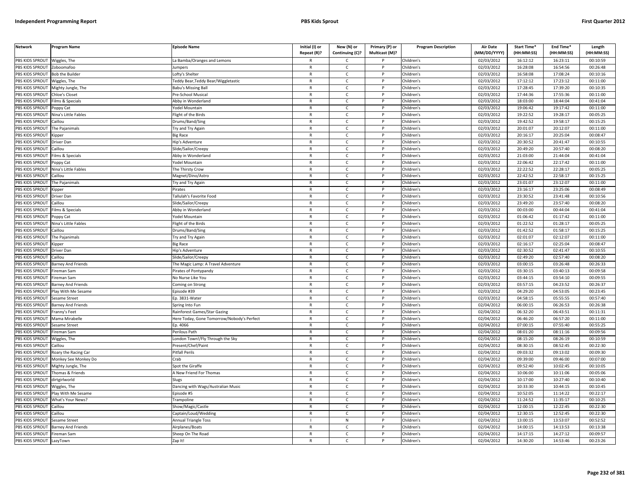| <b>Network</b>                     | Program Name                | <b>Episode Name</b>                        | Initial (I) or | New (N) or        | Primary (P) or | <b>Program Description</b> | <b>Air Date</b>     | Start Time* | End Time*  | Length     |
|------------------------------------|-----------------------------|--------------------------------------------|----------------|-------------------|----------------|----------------------------|---------------------|-------------|------------|------------|
|                                    |                             |                                            | Repeat (R)?    | Continuing (C)?   | Multicast (M)? |                            | (MM/DD/YYYY)        | (HH:MM:SS)  | (HH:MM:SS) | (HH:MM:SS) |
| PBS KIDS SPROUT                    | Wiggles, The                | a Bamba/Oranges and Lemons                 | R              | Ċ                 |                | Children's                 | 02/03/2012          | 16:12:12    | 16:23:11   | 00:10:59   |
| <b>PBS KIDS SPROUT</b>             | Zoboomafoo                  | umpers                                     | $\mathsf{R}$   | $\mathsf{C}$      | P              | Children's                 | 02/03/2012          | 16:28:08    | 16:54:56   | 00:26:48   |
| <b>BS KIDS SPROUT</b>              | <b>Bob the Builder</b>      | ofty's Shelter                             | $\mathsf{R}$   | $\mathsf{C}$      |                | Children's                 | 02/03/2012          | 16:58:08    | 17:08:24   | 00:10:16   |
| PBS KIDS SPROUT                    | Viggles, The                | eddy Bear, Teddy Bear/Wiggletastic         | $\mathsf{R}$   | $\mathsf{C}$      | Þ              | Children's                 | 02/03/2012          | 17:12:12    | 17:23:12   | 00:11:00   |
| PBS KIDS SPROUT                    | Mighty Jungle, The          | <b>Babu's Missing Ball</b>                 | $\mathsf{R}$   | C                 |                | Children's                 | 02/03/2012          | 17:28:45    | 17:39:20   | 00:10:35   |
| PBS KIDS SPROUT                    | hloe's Closet               | re-School Musical                          | $\mathsf{R}$   | $\mathsf{C}$      | P              | Children's                 | 02/03/2012          | 17:44:36    | 17:55:36   | 00:11:00   |
| PBS KIDS SPROUT                    | ilms & Specials             | Abby in Wonderland                         | R              | $\mathsf{C}$      | P              | Children's                 | 02/03/2012          | 18:03:00    | 18:44:04   | 00:41:04   |
| PBS KIDS SPROUT                    | oppy Cat                    | 'odel Mountain                             | $\mathsf{R}$   | $\mathsf{C}$      | P              | Children's                 | 02/03/2012          | 19:06:42    | 19:17:42   | 00:11:00   |
| PBS KIDS SPROUT                    | Nina's Little Fables        | light of the Birds                         | $\mathsf{R}$   | $\mathsf{C}$      | $\mathsf{P}$   | Children's                 | 02/03/2012          | 19:22:52    | 19:28:17   | 00:05:25   |
| PBS KIDS SPROUT                    | aillou                      | )rums/Band/Sing                            | $\mathsf{R}$   | $\mathsf{C}$      |                | Children's                 | 02/03/2012          | 19:42:52    | 19:58:17   | 00:15:25   |
| PBS KIDS SPROUT                    | The Pajanimals              | <b>Try and Try Again</b>                   | $\mathsf{R}$   | $\mathsf{C}$      | P              | Children's                 | 02/03/2012          | 20:01:07    | 20:12:07   | 00:11:00   |
| PBS KIDS SPROUT                    | <b>Kipper</b>               | Big Race                                   | $\mathsf{R}$   | $\mathsf{C}$      | D              | Children's                 | 02/03/2012          | 20:16:17    | 20:25:04   | 00:08:47   |
| PBS KIDS SPROUT                    | Driver Dan                  | <b>Hip's Adventure</b>                     | $\mathsf{R}$   | $\mathsf{C}$      | P              | Children's                 | 02/03/2012          | 20:30:52    | 20:41:47   | 00:10:55   |
| PBS KIDS SPROUT                    | aillou                      | ilide/Sailor/Creepy                        | R              | $\mathsf{C}$      |                | Children's                 | 02/03/2012          | 20:49:20    | 20:57:40   | 00:08:20   |
| PBS KIDS SPROUT                    | ilms & Specials             | Abby in Wonderland                         | $\mathsf{R}$   | $\mathsf{C}$      | $\mathsf{P}$   | Children's                 | 02/03/2012          | 21:03:00    | 21:44:04   | 00:41:04   |
| PBS KIDS SPROUT                    | Poppy Cat                   | odel Mountain                              | R              | C                 | P              | Children's                 | 02/03/2012          | 22:06:42    | 22:17:42   | 00:11:00   |
| PBS KIDS SPROUT                    | Nina's Little Fables        | The Thirsty Crow                           | R              | $\mathsf{C}$      | P              | Children's                 | 02/03/2012          | 22:22:52    | 22:28:17   | 00:05:25   |
| PBS KIDS SPROUT                    | aillou                      | Magnet/Dino/Astro                          | $\mathsf{R}$   | $\mathsf{C}$      | P              | Children's                 | 02/03/2012          | 22:42:52    | 22:58:17   | 00:15:25   |
| PBS KIDS SPROUT                    | The Pajanimals              | <b>Try and Try Again</b>                   | $\mathsf{R}$   | $\mathsf{C}$      | P              | Children's                 | 02/03/2012          | 23:01:07    | 23:12:07   | 00:11:00   |
| PBS KIDS SPROUT                    | Kipper                      | irates                                     | R              | C.                |                | Children's                 | 02/03/2012          | 23:16:17    | 23:25:06   | 00:08:49   |
| PBS KIDS SPROUT                    | Driver Dan                  | allulah's Favorite Food                    | $\mathsf{R}$   | $\mathsf{C}$      | D              | Children's                 | 02/03/2012          | 23:30:52    | 23:41:48   | 00:10:56   |
| <b>BS KIDS SPROUT</b>              | aillou                      | ilide/Sailor/Creepy                        | R              | C                 |                | Children's                 | 02/03/2012          | 23:49:20    | 23:57:40   | 00:08:20   |
| PBS KIDS SPROUT                    | ilms & Specials             | Abby in Wonderland                         | $\mathsf{R}$   | $\mathsf{C}$      | P              | Children's                 | 02/03/2012          | 00:03:00    | 00:44:04   | 00:41:04   |
| PBS KIDS SPROUT                    | oppy Cat                    | 'odel Mountain                             | R              | $\mathsf{C}$      | P              | Children's                 | 02/03/2012          | 01:06:42    | 01:17:42   | 00:11:00   |
| PBS KIDS SPROUT                    | <b>lina's Little Fables</b> | light of the Birds                         | $\mathsf{R}$   | $\mathsf{C}$      | P              | Children's                 | 02/03/2012          | 01:22:52    | 01:28:17   | 00:05:25   |
| PBS KIDS SPROUT                    | aillou                      | Drums/Band/Sing                            | $\mathsf{R}$   | $\mathsf{C}$      | P              | Children's                 | 02/03/2012          | 01:42:52    | 01:58:17   | 00:15:25   |
| PBS KIDS SPROUT                    | The Pajanimals              | <b>Try and Try Again</b>                   | R              | $\mathsf{C}$      |                | Children's                 | $\sqrt{02}/03/2012$ | 02:01:07    | 02:12:07   | 00:11:00   |
| PBS KIDS SPROUT                    | Kipper                      | Big Race                                   | $\mathsf{R}$   | $\mathsf{C}$      | $\mathsf{P}$   | Children's                 | 02/03/2012          | 02:16:17    | 02:25:04   | 00:08:47   |
| PBS KIDS SPROUT                    | <b>Driver Dan</b>           | lip's Adventure                            | $\mathsf{R}$   | $\mathsf{C}$      |                | Children's                 | 02/03/2012          | 02:30:52    | 02:41:47   | 00:10:55   |
| PBS KIDS SPROUT                    | Caillou                     | Slide/Sailor/Creepy                        | $\mathsf{R}$   | $\mathsf{C}$      | P              | Children's                 | 02/03/2012          | 02:49:20    | 02:57:40   | 00:08:20   |
| PBS KIDS SPROUT                    | Barney And Friends          | The Magic Lamp: A Travel Adventure         | R              | $\mathsf{C}$      | P              | Children's                 | 02/03/2012          | 03:00:15    | 03:26:48   | 00:26:33   |
| PBS KIDS SPROUT                    | ireman Sam                  | Pirates of Pontypandy                      | $\mathsf{R}$   | $\mathsf{C}$      | $\mathsf{P}$   | Children's                 | 02/03/2012          | 03:30:15    | 03:40:13   | 00:09:58   |
| PBS KIDS SPROUT                    | ireman Sam                  | No Nurse Like You                          | $\mathsf{R}$   | $\mathsf{C}$      | P              | Children's                 | 02/03/2012          | 03:44:15    | 03:54:10   | 00:09:55   |
| PBS KIDS SPROUT                    | <b>Barney And Friends</b>   | Coming on Strong                           | R              | $\mathsf{C}$      | P              | Children's                 | 02/03/2012          | 03:57:15    | 04:23:52   | 00:26:37   |
| PBS KIDS SPROUT                    | Play With Me Sesame         | pisode #39                                 | R              | $\mathsf{C}$      | P              | Children's                 | 02/03/2012          | 04:29:20    | 04:53:05   | 00:23:45   |
| PBS KIDS SPROUT                    | Sesame Street               | Ep. 3831-Water                             | $\mathsf{R}$   | $\mathsf{C}$      | P              | Children's                 | 02/03/2012          | 04:58:15    | 05:55:55   | 00:57:40   |
| PBS KIDS SPROUT                    | <b>Barney And Friends</b>   | Spring Into Fun                            | R              | $\mathsf{C}$      |                | Children's                 | 02/04/2012          | 06:00:15    | 06:26:53   | 00:26:38   |
| PBS KIDS SPROUT                    | ranny's Feet                | Rainforest Games/Star Gazing               | $\mathsf{R}$   | $\mathsf{C}$      | D              | Children's                 | 02/04/2012          | 06:32:20    | 06:43:51   | 00:11:31   |
| PBS KIDS SPROUT                    | Mama Mirabelle              | Here Today, Gone Tomorrow/Nobody's Perfect | R              | C                 |                | Children's                 | 02/04/2012          | 06:46:20    | 06:57:20   | 00:11:00   |
| PBS KIDS SPROUT                    | esame Street                | p. 4066                                    | $\mathsf{R}$   | $\mathsf{C}$      |                | Children's                 | 02/04/2012          | 07:00:15    | 07:55:40   | 00:55:25   |
| <b>BS KIDS SPROUT</b>              | Fireman Sam                 | erilous Path                               | $\mathsf{R}$   | $\mathsf{C}$      | P              | Children's                 | 02/04/2012          | 08:01:20    | 08:11:16   | 00:09:56   |
| PBS KIDS SPROUT                    | Niggles, The                | ondon Town!/Fly Through the Sky            | $\mathsf{R}$   | $\mathsf{C}$      | Þ              | Children's                 | 02/04/2012          | 08:15:20    | 08:26:19   | 00:10:59   |
| PBS KIDS SPROUT                    | Caillou                     | resent/Chef/Paint                          | $\mathsf{R}$   | $\mathsf{C}$      | P              | Children's                 | 02/04/2012          | 08:30:15    | 08:52:45   | 00:22:30   |
| PBS KIDS SPROUT                    | Roary the Racing Car        | Pitfall Perils                             | $\mathsf{R}$   | $\mathsf{C}$      | D              | Children's                 | 02/04/2012          | 09:03:32    | 09:13:02   | 00:09:30   |
| PBS KIDS SPROUT                    | Monkey See Monkey Do        | Crab                                       | $\mathsf{R}$   | $\mathsf{C}$      | P              | Children's                 | 02/04/2012          | 09:39:00    | 09:46:00   | 00:07:00   |
| PBS KIDS SPROUT                    | Mighty Jungle, The          | pot the Giraffe                            | $\mathsf{R}$   | $\mathsf{C}$      | D              | Children's                 | 02/04/2012          | 09:52:40    | 10:02:45   | 00:10:05   |
| PBS KIDS SPROUT                    | Thomas & Friends            | A New Friend For Thomas                    | R              | $\mathsf{C}$      | P              | Children's                 | 02/04/2012          | 10:06:00    | 10:11:06   | 00:05:06   |
| PBS KIDS SPROUT                    | lirtgirlworld               | lugs                                       | $\mathsf{R}$   | $\mathsf{C}$      | P              | Children's                 | 02/04/2012          | 10:17:00    | 10:27:40   | 00:10:40   |
| PBS KIDS SPROUT                    | Wiggles, The                | Dancing with Wags/Australian Music         | $\mathsf{R}$   | $\mathsf{C}$      | $\mathsf{P}$   | Children's                 | 02/04/2012          | 10:33:30    | 10:44:15   | 00:10:45   |
| PBS KIDS SPROUT                    | lay With Me Sesame          | pisode #5                                  | $\mathsf{R}$   | C                 |                | Children's                 | 02/04/2012          | 10:52:05    | 11:14:22   | 00:22:17   |
| PBS KIDS SPROUT                    | What's Your News?           | <b>Trampoline</b>                          | R              | $\mathsf{C}$      | P              | Children's                 | 02/04/2012          | 11:24:52    | 11:35:17   | 00:10:25   |
| PBS KIDS SPROUT                    | Caillou                     | Show/Magic/Castle                          | $\mathsf{R}$   | C                 | P              | Children's                 | 02/04/2012          | 12:00:15    | 12:22:45   | 00:22:30   |
| PBS KIDS SPROUT                    | Caillou                     |                                            | $\mathsf{R}$   | $\mathsf{C}$      | P              | Children's                 | 02/04/2012          | 12:30:15    | 12:52:45   | 00:22:30   |
|                                    |                             | Captain/Loud/Wedding                       |                |                   |                |                            |                     | 13:00:15    | 13:53:07   | 00:52:52   |
| PBS KIDS SPROUT<br>PBS KIDS SPROUT | Sesame Street               | Annual Triangle Toss                       | $\mathsf{R}$   | N<br>$\mathsf{C}$ | P              | Children's<br>Children's   | 02/04/2012          | 14:00:15    | 14:13:53   | 00:13:38   |
|                                    | <b>Barney And Friends</b>   | Airplanes/Boats                            |                |                   |                |                            | 02/04/2012          |             |            |            |
| PBS KIDS SPROUT                    | Fireman Sam                 | Sheep On The Road                          | R<br>R         | C<br>$\mathsf{C}$ |                | Children's                 | 02/04/2012          | 14:17:15    | 14:27:12   | 00:09:57   |
| PBS KIDS SPROUT                    | LazyTown                    | Zap It!                                    |                |                   |                | Children's                 | 02/04/2012          | 14:30:20    | 14:53:46   | 00:23:26   |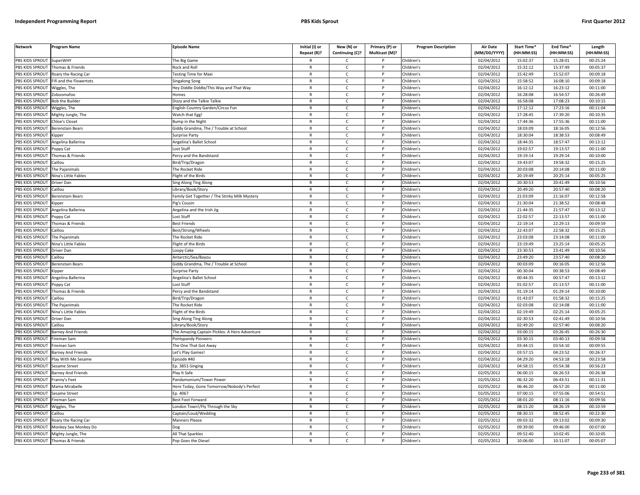| <b>Network</b>                   | Program Name                | <b>Episode Name</b>                          | Initial (I) or               | New (N) or                   | Primary (P) or | <b>Program Description</b> | <b>Air Date</b>         | <b>Start Time*</b> | End Time <sup>®</sup><br>(HH:MM:SS) | Length<br>(HH:MM:SS) |
|----------------------------------|-----------------------------|----------------------------------------------|------------------------------|------------------------------|----------------|----------------------------|-------------------------|--------------------|-------------------------------------|----------------------|
|                                  |                             |                                              | Repeat (R)?                  | Continuing (C)?              | Multicast (M)? |                            | (MM/DD/YYYY)            | (HH:MM:SS)         |                                     |                      |
| PBS KIDS SPROUT                  | SuperWHY                    | The Big Game                                 |                              | C                            |                | Children's                 | 02/04/2012              | 15:02:37           | 15:28:01                            | 00:25:24             |
| PBS KIDS SPROUT                  | Thomas & Friends            | <b>Rock and Roll</b>                         | $\mathsf{R}$                 | $\mathsf{C}$                 | P              | Children's                 | 02/04/2012              | 15:32:12           | 15:37:49                            | 00:05:37             |
| PBS KIDS SPROUT                  | Roary the Racing Car        | esting Time for Maxi                         | $\mathsf{R}$                 | $\mathsf{C}$                 | P              | Children's                 | 02/04/2012              | 15:42:49           | 15:52:07                            | 00:09:18             |
| PBS KIDS SPROUT                  | Fifi and the Flowertots     | Singalong Song                               | $\mathsf{R}$                 | $\mathsf{C}$                 | P<br>P         | Children's                 | 02/04/2012              | 15:58:52           | 16:08:10                            | 00:09:18             |
| PBS KIDS SPROUT                  | Wiggles, The                | Hey Diddle Diddle/This Way and That Way      | $\mathsf{R}$                 | $\mathsf{C}$                 |                | Children's                 | 02/04/2012              | 16:12:12           | 16:23:12                            | 00:11:00             |
| PBS KIDS SPROUT                  | Zoboomafoo                  | <b>Homes</b>                                 | $\mathsf{R}$                 | $\mathsf{C}$                 | P              | Children's                 | 02/04/2012              | 16:28:08           | 16:54:57                            | 00:26:49             |
| PBS KIDS SPROUT                  | <b>Bob the Builder</b>      | Dizzy and the Talkie Talkie                  | $\mathsf{R}$                 | C                            | P              | Children's                 | 02/04/2012              | 16:58:08           | 17:08:23                            | 00:10:15             |
| PBS KIDS SPROUT                  | Wiggles, The                | <b>English Country Garden/Circus Fun</b>     | $\mathsf{R}$                 | $\mathsf{C}$                 | P              | Children's                 | 02/04/2012              | 17:12:12           | 17:23:16                            | 00:11:04             |
| PBS KIDS SPROUT                  | Mighty Jungle, The          | <b>Watch that Egg!</b>                       | $\mathsf{R}$                 | $\mathsf{C}$                 | P              | Children's                 | 02/04/2012              | 17:28:45           | 17:39:20                            | 00:10:35             |
| PBS KIDS SPROUT                  | Chloe's Closet              | <b>Bump in the Night</b>                     | $\mathsf{R}$                 | $\mathsf{C}$                 | P              | Children's                 | 02/04/2012              | 17:44:36           | 17:55:36                            | 00:11:00             |
| <b>BS KIDS SPROUT</b>            | <b>Berenstain Bears</b>     | Giddy Grandma, The / Trouble at School       | $\mathsf{R}$<br>$\mathsf{R}$ | $\mathsf{C}$<br>$\mathsf{C}$ | p<br>D         | Children's                 | 02/04/2012              | 18:03:09           | 18:16:05                            | 00:12:56             |
| PBS KIDS SPROUT                  | <i><b>Sipper</b></i>        | Surprise Party                               |                              |                              |                | Children's                 | 02/04/2012              | 18:30:04           | 18:38:53                            | 00:08:49             |
| PBS KIDS SPROUT                  | Angelina Ballerina          | Angelina's Ballet School                     | R                            | C                            | $\mathsf{P}$   | Children's                 | 02/04/2012              | 18:44:35           | 18:57:47                            | 00:13:12             |
| PBS KIDS SPROUT                  | 'oppy Cat                   | ost Stuff                                    | $\mathsf{R}$                 | $\mathsf{C}$                 | D              | Children's                 | 02/04/2012              | 19:02:57           | 19:13:57                            | 00:11:00             |
| PBS KIDS SPROUT                  | homas & Friends             | Percy and the Bandstand                      | $\mathsf{R}$                 | $\mathsf{C}$                 | P              | Children's                 | 02/04/2012              | 19:19:14           | 19:29:14                            | 00:10:00             |
| PBS KIDS SPROUT                  | aillou                      | Bird/Trip/Dragon                             | $\mathsf{R}$                 | $\mathsf{C}$                 | P              | Children's                 | $\sqrt{02}/04/2012$     | 19:43:07           | 19:58:32                            | 00:15:25             |
| PBS KIDS SPROUT                  | The Pajanimals              | The Rocket Ride                              | $\mathsf{R}$                 | $\mathsf{C}$                 | P              | Children's                 | 02/04/2012              | 20:03:08           | 20:14:08                            | 00:11:00             |
| PBS KIDS SPROUT                  | <b>Nina's Little Fables</b> | light of the Birds                           | $\mathsf{R}$                 | $\mathsf{C}$                 | P              | Children's                 | 02/04/2012              | 20:19:49           | 20:25:14                            | 00:05:25             |
| PBS KIDS SPROUT                  | Driver Dan                  | Sing Along Ting Along                        | $\mathsf{R}$                 | $\mathsf{C}$                 | P              | Children's                 | 02/04/2012              | 20:30:53           | 20:41:49                            | 00:10:56             |
| PBS KIDS SPROUT                  | Caillou                     | ibrary/Book/Story                            | $\mathsf{R}$                 | $\mathsf{C}$                 | P              | Children's                 | 02/04/2012              | 20:49:20           | 20:57:40                            | 00:08:20             |
| PBS KIDS SPROUT                  | Berenstain Bears            | amily Get Together / The Stinky Milk Mystery | $\mathsf{R}$                 | $\mathsf{C}$                 | P              | Children's                 | 02/04/2012              | 21:03:09           | 21:16:07                            | 00:12:58             |
| PBS KIDS SPROUT                  | Kipper                      | ig's Cousin                                  | $\mathsf{R}$                 | C                            | P              | Children's                 | 02/04/2012              | 21:30:04           | 21:38:52                            | 00:08:48             |
| PBS KIDS SPROUT                  | Angelina Ballerina          | Angelina and the Irish Jig                   | $\mathsf{R}$                 | $\mathsf{C}$                 | P              | Children's                 | 02/04/2012              | 21:44:35           | 21:57:47                            | 00:13:12             |
| PBS KIDS SPROUT                  | Poppy Cat                   | Lost Stuff                                   | $\mathsf{R}$                 | $\mathsf{C}$                 | P              | Children's                 | $\sqrt{02}/04/2012$     | 22:02:57           | 22:13:57                            | 00:11:00             |
| PBS KIDS SPROUT                  | Thomas & Friends            | Best Friends                                 | $\mathsf{R}$                 | $\mathsf{C}$                 | P              | Children's                 | 02/04/2012              | 22:19:14           | 22:29:13                            | 00:09:59             |
| <b>BS KIDS SPROUT</b>            | aillou                      | Best/Strong/Wheels                           | $\mathsf{R}$                 | $\mathsf{C}$                 | P              | Children's                 | 02/04/2012              | 22:43:07           | 22:58:32                            | 00:15:25             |
| PBS KIDS SPROUT                  | The Pajanimals              | The Rocket Ride                              | $\mathsf{R}$                 | $\mathsf{C}$                 | Þ              | Children's                 | 02/04/2012              | 23:03:08           | 23:14:08                            | 00:11:00             |
| PBS KIDS SPROUT                  | Nina's Little Fables        | light of the Birds                           | R                            | C                            | $\mathsf{P}$   | Children's                 | 02/04/2012              | 23:19:49           | 23:25:14                            | 00:05:25             |
| PBS KIDS SPROUT                  | Driver Dan                  | oopy Cake                                    | $\mathsf{R}$                 | $\mathsf{C}$                 | P              | Children's                 | 02/04/2012              | 23:30:53           | 23:41:49                            | 00:10:56             |
| PBS KIDS SPROUT                  | Caillou                     | Antarctic/Sea/Bayou                          | $\mathsf{R}$                 | $\mathsf{C}$                 | $\mathsf{P}$   | Children's                 | 02/04/2012              | 23:49:20           | 23:57:40                            | 00:08:20             |
| PBS KIDS SPROUT                  | Berenstain Bears            | Giddy Grandma, The / Trouble at School       | $\mathsf{R}$                 | $\mathsf{C}$                 | P              | Children's                 | 02/04/2012              | 00:03:09           | 00:16:05                            | 00:12:56             |
| PBS KIDS SPROUT                  | Kipper                      | Surprise Party                               | $\mathsf{R}$                 | $\mathsf{C}$                 | P              | Children's                 | 02/04/2012              | 00:30:04           | 00:38:53                            | 00:08:49             |
| PBS KIDS SPROUT                  | ngelina Ballerina           | ngelina's Ballet School                      | $\mathsf{R}$                 | $\mathsf{C}$                 | P              | Children's                 | 02/04/2012              | 00:44:35           | 00:57:47                            | 00:13:12             |
| PBS KIDS SPROUT                  | Poppy Cat                   | Lost Stuff                                   | $\mathsf{R}$                 | $\mathsf{C}$                 | P              | Children's                 | 02/04/2012              | 01:02:57           | 01:13:57                            | 00:11:00             |
| PBS KIDS SPROUT                  | Thomas & Friends            | Percy and the Bandstand                      | $\mathsf{R}$                 | C                            | P              | Children's                 | 02/04/2012              | 01:19:14           | 01:29:14                            | 00:10:00             |
| PBS KIDS SPROUT                  | Caillou                     | Bird/Trip/Dragon                             | $\mathsf{R}$                 | $\mathsf{C}$                 | P              | Children's                 | 02/04/2012              | 01:43:07           | 01:58:32                            | 00:15:25             |
| PBS KIDS SPROUT                  | The Pajanimals              | he Rocket Ride                               | $\mathsf{R}$                 | C                            | P              | Children's                 | 02/04/2012              | 02:03:08           | 02:14:08                            | 00:11:00             |
| PBS KIDS SPROUT                  | Nina's Little Fables        | light of the Birds                           | $\mathsf{R}$                 | $\mathsf{C}$                 | P              | Children's                 | 02/04/2012              | 02:19:49           | 02:25:14                            | 00:05:25             |
| PBS KIDS SPROUT                  | <b>Driver Dan</b>           | Sing Along Ting Along                        | $\mathsf{R}$                 | $\mathsf{C}$                 | P              | Children's                 | 02/04/2012              | 02:30:53           | 02:41:49                            | 00:10:56             |
| PBS KIDS SPROUT                  | Caillou                     | ibrary/Book/Story                            | $\mathsf{R}$                 | $\mathsf{C}$                 | P              | Children's                 | 02/04/2012              | 02:49:20           | 02:57:40                            | 00:08:20             |
| <b>BS KIDS SPROUT</b>            | <b>Barney And Friends</b>   | he Amazing Captain Pickles: A Hero Adventure | $\mathsf{R}$                 | c                            | P              | Children's                 | 02/04/2012              | 03:00:15           | 03:26:45                            | 00:26:30             |
| PBS KIDS SPROUT                  | ireman Sam                  | Pontypandy Pioneers                          | $\mathsf{R}$                 | $\mathsf{C}$                 | D              | Children's                 | 02/04/2012              | 03:30:15           | 03:40:13                            | 00:09:58             |
| PBS KIDS SPROUT                  | ireman Sam                  | The One That Got Away                        | $\mathsf{R}$                 | C                            | $\mathsf{P}$   | Children's                 | 02/04/2012              | 03:44:15           | 03:54:10                            | 00:09:55             |
| PBS KIDS SPROUT                  | Barney And Friends          | et's Play Games!                             | $\mathsf{R}$                 | $\mathsf{C}$                 | P              | Children's                 | 02/04/2012              | 03:57:15           | 04:23:52                            | 00:26:37             |
| PBS KIDS SPROUT                  | Play With Me Sesame         | Episode #40                                  | $\mathsf{R}$                 | C                            | P              | Children's                 | 02/04/2012              | 04:29:20           | 04:53:18                            | 00:23:58             |
| PBS KIDS SPROUT                  | Sesame Street               | Ep. 3851-Singing                             | $\mathsf{R}$                 | $\mathsf{C}$                 | D              | Children's                 | 02/04/2012              | 04:58:15           | 05:54:38                            | 00:56:23             |
| PBS KIDS SPROUT                  | <b>Barney And Friends</b>   | Play It Safe                                 | $\mathsf{R}$                 | $\mathsf{C}$                 | P              | Children's                 | 02/05/2012              | 06:00:15           | 06:26:53                            | 00:26:38             |
| PBS KIDS SPROUT                  | ranny's Feet                | andamonium/Tower Power                       | $\mathsf{R}$                 | C                            | P              | Children's                 | 02/05/2012              | 06:32:20           | 06:43:51                            | 00:11:31             |
| PBS KIDS SPROUT                  | Mama Mirabelle              | Here Today, Gone Tomorrow/Nobody's Perfect   | $\mathsf{R}$                 | $\mathsf{C}$                 | P              | Children's                 | 02/05/2012              | 06:46:20           | 06:57:20                            | 00:11:00             |
| PBS KIDS SPROUT                  | Sesame Street               | Ep. 4067                                     | R                            | $\mathsf{C}$                 | P              | Children's                 | 02/05/2012              | 07:00:15           | 07:55:06                            | 00:54:51             |
| PBS KIDS SPROUT                  | Fireman Sam                 | Best Foot Forward                            | $\mathsf{R}$                 | $\mathsf{C}$                 | P              | Children's                 | 02/05/2012              | 08:01:20           | 08:11:16                            | 00:09:56             |
| PBS KIDS SPROUT                  | Wiggles, The                | ondon Town!/Fly Through the Sky              | $\mathsf{R}$                 | $\mathsf{C}$                 | P              | Children's                 | 02/05/2012              | 08:15:20           | 08:26:19                            | 00:10:59             |
| PBS KIDS SPROUT                  | Caillou                     | Captain/Loud/Wedding                         | R                            | $\mathsf{C}$                 | P              | Children's                 | 02/05/2012              | 08:30:15           | 08:52:45                            | 00:22:30             |
| PBS KIDS SPROUT                  | Roary the Racing Car        | <b>Manners Please</b>                        | $\mathsf{R}$                 | $\mathsf{C}$                 | P              | Children's                 | 02/05/2012              | 09:03:32           | 09:13:02                            | 00:09:30             |
| PBS KIDS SPROUT                  | Monkey See Monkey Do        | າບອ                                          | $\mathsf{R}$                 | $\mathsf{C}$                 | P              | Children's                 | 02/05/2012              | 09:39:00           | 09:46:00                            | 00:07:00             |
| PBS KIDS SPROUT                  | Mighty Jungle, The          | All That Sparkles                            | $\mathsf{R}$                 | C                            | P              | Children's                 | 02/05/2012              | 09:52:40           | 10:02:45                            | 00:10:05             |
| PBS KIDS SPROUT Thomas & Friends |                             | Pop Goes the Diesel                          | R                            | $\epsilon$                   | P              | Children's                 | $\overline{02}/05/2012$ | 10:06:00           | 10:11:07                            | 00:05:07             |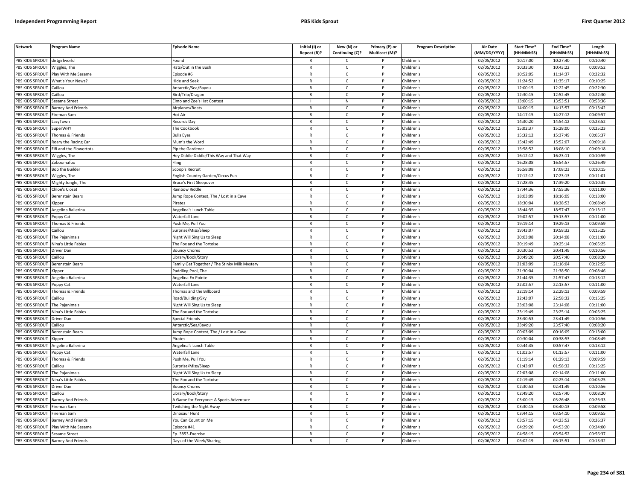| <b>Network</b>                     | Program Name                | <b>Episode Name</b>                              | Initial (I) or<br>Repeat (R)? | New (N) or<br>Continuing (C)? | Primary (P) or<br>Multicast (M)? | <b>Program Description</b> | <b>Air Date</b><br>(MM/DD/YYYY) | Start Time*<br>(HH:MM:SS) | End Time*<br>(HH:MM:SS) | Length<br>(HH:MM:SS) |
|------------------------------------|-----------------------------|--------------------------------------------------|-------------------------------|-------------------------------|----------------------------------|----------------------------|---------------------------------|---------------------------|-------------------------|----------------------|
| PBS KIDS SPROUT                    | dirtgirlworld               | ound <sup>:</sup>                                |                               | C                             |                                  | Children's                 | 02/05/2012                      | 10:17:00                  | 10:27:40                | 00:10:40             |
| PBS KIDS SPROUT                    | Wiggles, The                | Hats/Out in the Bush                             | $\mathsf{R}$                  | $\mathsf{C}$                  | $\mathsf{P}$                     | Children's                 | 02/05/2012                      | 10:33:30                  | 10:43:22                | 00:09:52             |
| PBS KIDS SPROUT                    | Play With Me Sesame         | Episode #6                                       | $\mathsf{R}$                  | $\mathsf{C}$                  | P                                | Children's                 | 02/05/2012                      | 10:52:05                  | 11:14:37                | 00:22:32             |
| <b>PBS KIDS SPROUT</b>             | What's Your News?           | Hide and Seek                                    | $\mathbb{R}$                  | $\mathsf{C}$                  | P                                | Children's                 | 02/05/2012                      | 11:24:52                  | 11:35:17                | 00:10:25             |
| PBS KIDS SPROUT                    | Caillou                     | Antarctic/Sea/Bayou                              | $\mathsf{R}$                  | $\mathsf{C}$                  | P                                | Children's                 | 02/05/2012                      | 12:00:15                  | 12:22:45                | 00:22:30             |
| PBS KIDS SPROUT                    | Caillou                     | Bird/Trip/Dragon                                 | $\mathsf{R}$                  | $\mathsf{C}$                  | D                                | Children's                 | 02/05/2012                      | 12:30:15                  | 12:52:45                | 00:22:30             |
| PBS KIDS SPROUT                    | Sesame Street               | Elmo and Zoe's Hat Contest                       |                               | N                             |                                  | Children's                 | 02/05/2012                      | 13:00:15                  | 13:53:51                | 00:53:36             |
| PBS KIDS SPROUT                    | Barney And Friends          | Airplanes/Boats                                  | $\mathsf{R}$                  | $\mathsf{C}$                  | P                                | Children's                 | 02/05/2012                      | 14:00:15                  | 14:13:57                | 00:13:42             |
| PBS KIDS SPROUT                    | Fireman Sam                 | Hot Air                                          | R                             | $\mathsf{C}$                  | P                                | Children's                 | 02/05/2012                      | 14:17:15                  | 14:27:12                | 00:09:57             |
| PBS KIDS SPROUT                    | LazyTown                    | Records Day                                      | $\mathsf{R}$                  | $\mathsf{C}$                  | P                                | Children's                 | 02/05/2012                      | 14:30:20                  | 14:54:12                | 00:23:52             |
| PBS KIDS SPROUT                    | <b>SuperWHY</b>             | The Cookbook                                     | ${\sf R}$                     | $\mathsf{C}$                  | P                                | Children's                 | 02/05/2012                      | 15:02:37                  | 15:28:00                | 00:25:23             |
| PBS KIDS SPROUT                    | Thomas & Friends            | <b>Bulls Eyes</b>                                | ${\sf R}$                     | $\mathsf{C}$                  | <b>D</b>                         | Children's                 | 02/05/2012                      | 15:32:12                  | 15:37:49                | 00:05:37             |
| PBS KIDS SPROUT                    | Roary the Racing Car        | Mum's the Word                                   | $\mathsf{R}$                  | $\mathsf{C}$                  | P                                | Children's                 | 02/05/2012                      | 15:42:49                  | 15:52:07                | 00:09:18             |
| PBS KIDS SPROUT                    | ifi and the Flowertots      | Pip the Gardener                                 | $\mathsf{R}$                  | C                             |                                  | Children's                 | 02/05/2012                      | 15:58:52                  | 16:08:10                | 00:09:18             |
| PBS KIDS SPROUT                    | Niggles, The                | Hey Diddle Diddle/This Way and That Way          | $\mathsf{R}$                  | C                             | P                                | Children's                 | 02/05/2012                      | 16:12:12                  | 16:23:11                | 00:10:59             |
| PBS KIDS SPROUT                    | Zoboomafoo                  | -ling                                            | $\mathsf{R}$                  | $\mathsf{C}$                  | P                                | Children's                 | 02/05/2012                      | 16:28:08                  | 16:54:57                | 00:26:49             |
| PBS KIDS SPROUT                    | <b>Bob the Builder</b>      | Scoop's Recruit                                  | $\mathsf{R}$                  | $\mathsf{C}$                  | P                                | Children's                 | 02/05/2012                      | 16:58:08                  | 17:08:23                | 00:10:15             |
| PBS KIDS SPROUT                    | Wiggles, The                | Inglish Country Garden/Circus Fun                | $\mathsf{R}$                  | $\mathsf{C}$                  | P                                | Children's                 | 02/05/2012                      | 17:12:12                  | 17:23:13                | 00:11:01             |
| PBS KIDS SPROUT                    | Mighty Jungle, The          | <b>Bruce's First Sleepover</b>                   | $\mathbb{R}$                  | $\mathsf{C}$                  | P                                | Children's                 | 02/05/2012                      | 17:28:45                  | 17:39:20                | 00:10:35             |
| PBS KIDS SPROUT                    | <b>Chloe's Closet</b>       | Rainbow Riddle                                   | $\mathsf{R}$                  | C                             | P                                | Children's                 | 02/05/2012                      | 17:44:36                  | 17:55:36                | 00:11:00             |
| PBS KIDS SPROUT                    | Berenstain Bears            | ump Rope Contest, The / Lost in a Cave           | $\mathsf{R}$                  | $\mathsf{C}$                  | P                                | Children's                 | 02/05/2012                      | 18:03:09                  | 18:16:09                | 00:13:00             |
| PBS KIDS SPROUT                    | <b>Kipper</b>               | <sup>p</sup> irates                              | $\mathsf{R}$                  | $\mathsf{C}$                  |                                  | Children's                 | 02/05/2012                      | 18:30:04                  | 18:38:53                | 00:08:49             |
| PBS KIDS SPROUT                    | Angelina Ballerina          | Angelina's Lunch Table                           | $\mathsf{R}$                  | $\mathsf{C}$                  | P                                | Children's                 | 02/05/2012                      | 18:44:35                  | 18:57:47                | 00:13:12             |
| PBS KIDS SPROUT                    | Poppy Cat                   | Waterfall Lane                                   | R                             | $\mathsf{C}$                  | P                                | Children's                 | 02/05/2012                      | 19:02:57                  | 19:13:57                | 00:11:00             |
| PBS KIDS SPROUT                    | Thomas & Friends            | Push Me, Pull You                                | $\mathbb{R}$                  | $\mathsf{C}$                  | P                                | Children's                 | 02/05/2012                      | 19:19:14                  | 19:29:13                | 00:09:59             |
| PBS KIDS SPROUT                    | Caillou                     | Surprise/Miss/Sleep                              | $\mathsf{R}$                  | $\mathsf{C}$                  | P                                | Children's                 | 02/05/2012                      | 19:43:07                  | 19:58:32                | 00:15:25             |
| PBS KIDS SPROUT                    | The Pajanimals              | Night Will Sing Us to Sleep                      | ${\sf R}$                     | $\mathsf{C}$                  | P                                | Children's                 | 02/05/2012                      | 20:03:08                  | 20:14:08                | 00:11:00             |
| PBS KIDS SPROUT                    | Nina's Little Fables        | The Fox and the Tortoise                         | $\mathsf{R}$                  | $\mathsf{C}$                  | P                                | Children's                 | 02/05/2012                      | 20:19:49                  | 20:25:14                | 00:05:25             |
| PBS KIDS SPROUT                    | Driver Dan                  | <b>Bouncy Chores</b>                             | $\mathsf{R}$                  | $\mathsf{C}$                  | P                                | Children's                 | 02/05/2012                      | 20:30:53                  | 20:41:49                | 00:10:56             |
| PBS KIDS SPROUT                    | Caillou                     | Library/Book/Story                               | $\mathsf{R}$                  | C                             | P                                | Children's                 | 02/05/2012                      | 20:49:20                  | 20:57:40                | 00:08:20             |
| PBS KIDS SPROUT                    | <b>Berenstain Bears</b>     | Family Get Together / The Stinky Milk Mystery    | $\mathsf{R}$                  | $\mathsf{C}$                  | P                                | Children's                 | 02/05/2012                      | 21:03:09                  | 21:16:04                | 00:12:55             |
| PBS KIDS SPROUT                    | <b>Kipper</b>               | Paddling Pool, The                               | $\mathsf{R}$                  | $\mathsf{C}$                  | $\mathsf{P}$                     | Children's                 | 02/05/2012                      | 21:30:04                  | 21:38:50                | 00:08:46             |
| PBS KIDS SPROUT                    | Angelina Ballerina          | Angelina En Pointe                               | $\mathsf{R}$                  | $\mathsf{C}$                  | P                                | Children's                 | 02/05/2012                      | 21:44:35                  | 21:57:47                | 00:13:12             |
| PBS KIDS SPROUT                    | Poppy Cat                   | Waterfall Lane                                   | $\mathsf{R}$                  | C                             | P<br>P                           | Children's                 | 02/05/2012                      | 22:02:57                  | 22:13:57                | 00:11:00             |
| PBS KIDS SPROUT                    | Thomas & Friends<br>Caillou | Thomas and the Billboard                         | $\mathsf{R}$<br>$\mathsf{R}$  | $\mathsf{C}$<br>$\mathsf{C}$  | P                                | Children's                 | 02/05/2012                      | 22:19:14<br>22:43:07      | 22:29:13<br>22:58:32    | 00:09:59<br>00:15:25 |
| PBS KIDS SPROUT<br>PBS KIDS SPROUT | The Pajanimals              | Road/Building/Sky<br>Vight Will Sing Us to Sleep | $\mathsf{R}$                  | $\mathsf{C}$                  |                                  | Children's<br>Children's   | 02/05/2012<br>02/05/2012        | 23:03:08                  | 23:14:08                | 00:11:00             |
| PBS KIDS SPROUT                    | Nina's Little Fables        | The Fox and the Tortoise                         | $\mathsf{R}$                  | $\mathsf{C}$                  | P                                |                            | 02/05/2012                      | 23:19:49                  | 23:25:14                | 00:05:25             |
| PBS KIDS SPROUT                    | Driver Dan                  | Special Friends                                  | $\mathsf{R}$                  | $\mathsf{C}$                  | P                                | Children's<br>Children's   | 02/05/2012                      | 23:30:53                  | 23:41:49                | 00:10:56             |
| PBS KIDS SPROUT                    | Caillou                     | Antarctic/Sea/Bayou                              | $\mathsf{R}$                  | $\mathsf{C}$                  | <sub>D</sub>                     | Children's                 | 02/05/2012                      | 23:49:20                  | 23:57:40                | 00:08:20             |
| PBS KIDS SPROUT                    | Berenstain Bears            | Jump Rope Contest, The / Lost in a Cave          | $\mathsf{R}$                  | $\mathsf{C}$                  | P                                | Children's                 | 02/05/2012                      | 00:03:09                  | 00:16:09                | 00:13:00             |
| PBS KIDS SPROUT                    | .ipper                      | Pirates                                          | $\mathsf{R}$                  | $\mathsf{C}$                  | D                                | Children's                 | 02/05/2012                      | 00:30:04                  | 00:38:53                | 00:08:49             |
| PBS KIDS SPROUT                    | Angelina Ballerina          | Angelina's Lunch Table                           | $\mathsf{R}$                  | $\mathsf{C}$                  | P                                | Children's                 | 02/05/2012                      | 00:44:35                  | 00:57:47                | 00:13:12             |
| PBS KIDS SPROUT                    | Poppy Cat                   | Waterfall Lane                                   | $\mathsf{R}$                  | $\mathsf{C}$                  | P                                | Children's                 | 02/05/2012                      | 01:02:57                  | 01:13:57                | 00:11:00             |
| PBS KIDS SPROUT                    | Thomas & Friends            | Push Me, Pull You                                | $\mathsf{R}$                  | $\mathsf{C}$                  | P                                | Children's                 | 02/05/2012                      | 01:19:14                  | 01:29:13                | 00:09:59             |
| PBS KIDS SPROUT                    | Caillou                     | Surprise/Miss/Sleep                              | $\mathsf{R}$                  | $\mathsf{C}$                  | P                                | Children's                 | 02/05/2012                      | 01:43:07                  | 01:58:32                | 00:15:25             |
| PBS KIDS SPROUT                    | The Pajanimals              | Night Will Sing Us to Sleep                      | $\mathsf{R}$                  | $\mathsf{C}$                  | $\mathsf{P}$                     | Children's                 | 02/05/2012                      | 02:03:08                  | 02:14:08                | 00:11:00             |
| PBS KIDS SPROUT                    | Nina's Little Fables        | The Fox and the Tortoise                         | $\mathsf{R}$                  | $\mathsf{C}$                  | P                                | Children's                 | 02/05/2012                      | 02:19:49                  | 02:25:14                | 00:05:25             |
| PBS KIDS SPROUT                    | Driver Dan                  | <b>Bouncy Chores</b>                             | $\mathsf{R}$                  | $\mathsf{C}$                  | P                                | Children's                 | 02/05/2012                      | 02:30:53                  | 02:41:49                | 00:10:56             |
| PBS KIDS SPROUT                    | Caillou                     | ibrary/Book/Story                                | $\mathsf{R}$                  | $\mathsf{C}$                  | P                                | Children's                 | 02/05/2012                      | 02:49:20                  | 02:57:40                | 00:08:20             |
| PBS KIDS SPROUT                    | <b>Barney And Friends</b>   | A Game for Everyone: A Sports Adventure          | $\mathsf{R}$                  | $\mathsf{C}$                  | P                                | Children's                 | 02/05/2012                      | 03:00:15                  | 03:26:48                | 00:26:33             |
| PBS KIDS SPROUT                    | Fireman Sam                 | <b>Twitching the Night Away</b>                  | $\mathsf{R}$                  | $\mathsf{C}$                  |                                  | Children's                 | 02/05/2012                      | 03:30:15                  | 03:40:13                | 00:09:58             |
| PBS KIDS SPROUT                    | Fireman Sam                 | Dinosaur Hunt                                    | $\mathsf{R}$                  | $\mathsf{C}$                  | P                                | Children's                 | 02/05/2012                      | 03:44:15                  | 03:54:10                | 00:09:55             |
| PBS KIDS SPROUT                    | <b>Barney And Friends</b>   | You Can Count on Me                              | R                             | $\mathsf{C}$                  | P                                | Children's                 | 02/05/2012                      | 03:57:15                  | 04:23:52                | 00:26:37             |
| PBS KIDS SPROUT                    | lay With Me Sesame          | pisode #41                                       | $\mathsf{R}$                  | $\mathsf{C}$                  | <sub>D</sub>                     | Children's                 | 02/05/2012                      | 04:29:20                  | 04:53:20                | 00:24:00             |
| PBS KIDS SPROUT                    | <b>Sesame Street</b>        | Ep. 3853-Exercise                                | $\mathsf{R}$                  | $\mathsf{C}$                  | P                                | Children's                 | 02/05/2012                      | 04:58:15                  | 05:54:52                | 00:56:37             |
| PBS KIDS SPROUT                    | <b>Barney And Friends</b>   | Days of the Week/Sharing                         | $\mathsf{R}$                  | $\mathsf{C}$                  | P                                | Children's                 | 02/06/2012                      | 06:02:19                  | 06:15:51                | 00:13:32             |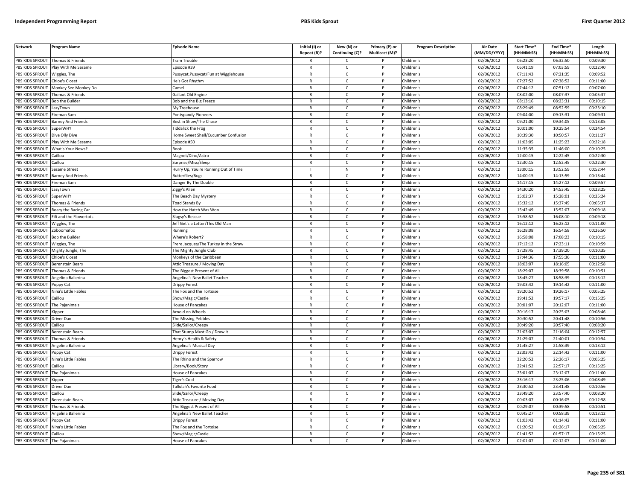| <b>Network</b>                 | Program Name                | <b>Episode Name</b>                   | Initial (I) or | New (N) or      | Primary (P) or | <b>Program Description</b> | Air Date            | Start Time* | End Time*            | Length     |
|--------------------------------|-----------------------------|---------------------------------------|----------------|-----------------|----------------|----------------------------|---------------------|-------------|----------------------|------------|
|                                |                             |                                       | Repeat (R)?    | Continuing (C)? | Multicast (M)? |                            | (MM/DD/YYYY)        | (HH:MM:SS)  | (HH:MM:SS)           | (HH:MM:SS) |
| PBS KIDS SPROUT                | Thomas & Friends            | <b>Fram Trouble</b>                   |                | C               |                | Children's                 | 02/06/2012          | 06:23:20    | 06:32:50             | 00:09:30   |
| PBS KIDS SPROUT                | Play With Me Sesame         | Episode #39                           | $\mathsf{R}$   | $\mathsf{C}$    | P              | Children's                 | 02/06/2012          | 06:41:19    | 07:03:59             | 00:22:40   |
| PBS KIDS SPROUT                | Wiggles, The                | ussycat, Pussycat/Fun at Wigglehouse  | $\mathsf{R}$   | $\mathsf{C}$    | P              | Children's                 | 02/06/2012          | 07:11:43    | 07:21:35             | 00:09:52   |
| PBS KIDS SPROUT                | Chloe's Closet              | He's Got Rhythm                       | $\mathsf{R}$   | $\mathsf{C}$    | P              | Children's                 | 02/06/2012          | 07:27:52    | 07:38:52             | 00:11:00   |
| PBS KIDS SPROUT                | Monkey See Monkey Do        | amel                                  | $\mathsf{R}$   | $\mathsf{C}$    | P              | Children's                 | 02/06/2012          | 07:44:12    | 07:51:12             | 00:07:00   |
| PBS KIDS SPROUT                | Thomas & Friends            | <b>Gallant Old Engine</b>             | $\mathsf{R}$   | $\mathsf{C}$    | P              | Children's                 | 02/06/2012          | 08:02:00    | 08:07:37             | 00:05:37   |
| PBS KIDS SPROUT                | <b>Bob the Builder</b>      | Bob and the Big Freeze                | $\mathsf{R}$   | $\mathsf{C}$    | P              | Children's                 | 02/06/2012          | 08:13:16    | 08:23:31             | 00:10:15   |
| PBS KIDS SPROUT                | azyTown                     | My Treehouse                          | $\mathsf{R}$   | $\mathsf{C}$    | P              | Children's                 | 02/06/2012          | 08:29:49    | 08:52:59             | 00:23:10   |
| PBS KIDS SPROUT                | ireman Sam                  | Pontypandy Pioneers                   | $\mathsf{R}$   | C               | P              | Children's                 | 02/06/2012          | 09:04:00    | 09:13:31             | 00:09:31   |
| PBS KIDS SPROUT                | Barney And Friends          | Best in Show/The Chase                | $\mathsf{R}$   | $\mathsf{C}$    | P              | Children's                 | 02/06/2012          | 09:21:00    | 09:34:05             | 00:13:05   |
| <b>BS KIDS SPROUT</b>          | SuperWHY                    | iddalick the Frog                     | $\mathsf{R}$   | $\mathsf{C}$    | P              | Children's                 | 02/06/2012          | 10:01:00    | 10:25:54             | 00:24:54   |
| PBS KIDS SPROUT                | Dive Olly Dive              | Iome Sweet Shell/Cucumber Confusion   | $\overline{R}$ | $\mathsf{C}$    | P              | Children's                 | 02/06/2012          | 10:39:30    | 10:50:57             | 00:11:27   |
| PBS KIDS SPROUT                | Play With Me Sesame         | pisode #50                            | $\mathsf{R}$   | $\mathsf{C}$    | P              | Children's                 | 02/06/2012          | 11:03:05    | 11:25:23             | 00:22:18   |
| PBS KIDS SPROUT                | What's Your News?           | 30ok                                  | $\overline{R}$ | $\mathsf{C}$    | Þ              | Children's                 | 02/06/2012          | 11:35:35    | 11:46:00             | 00:10:25   |
| PBS KIDS SPROUT                | Caillou                     | Magnet/Dino/Astro                     | $\mathsf{R}$   | $\mathsf{C}$    | P              | Children's                 | 02/06/2012          | 12:00:15    | 12:22:45             | 00:22:30   |
| <b>PBS KIDS SPROUT</b>         | aillou                      | Surprise/Miss/Sleep                   | $\mathsf{R}$   | $\mathsf{C}$    | P              | Children's                 | $\sqrt{02}/06/2012$ | 12:30:15    | 12:52:45             | 00:22:30   |
| PBS KIDS SPROUT                | Sesame Street               | Hurry Up, You're Running Out of Time  | $\mathbf{I}$   | N               | P              | Children's                 | 02/06/2012          | 13:00:15    | 13:52:59             | 00:52:44   |
| PBS KIDS SPROUT                | <b>Barney And Friends</b>   | <b>Butterflies/Bugs</b>               | $\mathsf{R}$   | $\mathsf{C}$    | P              | Children's                 | 02/06/2012          | 14:00:15    | 14:13:59             | 00:13:44   |
| PBS KIDS SPROUT                | ireman Sam                  | Danger By The Double                  | $\mathsf{R}$   | $\mathsf{C}$    | P              | Children's                 | 02/06/2012          | 14:17:15    | 14:27:12             | 00:09:57   |
| PBS KIDS SPROUT                | LazyTown                    | Ziggy's Alien                         | $\mathsf{R}$   | $\mathsf{C}$    | P              | Children's                 | 02/06/2012          | 14:30:20    | 14:53:45             | 00:23:25   |
| PBS KIDS SPROUT                | SuperWHY                    | The Beach Day Mystery                 | $\mathsf{R}$   | $\mathsf{C}$    | P              | Children's                 | 02/06/2012          | 15:02:37    | 15:28:01             | 00:25:24   |
| PBS KIDS SPROUT                | Thomas & Friends            | <b>Toad Stands By</b>                 | $\mathsf{R}$   | $\mathsf{C}$    | P              | Children's                 | 02/06/2012          | 15:32:12    | 15:37:49             | 00:05:37   |
| PBS KIDS SPROUT                | Roary the Racing Car        | How the Hatch Was Won                 | $\mathsf{R}$   | $\mathsf{C}$    | P              | Children's                 | 02/06/2012          | 15:42:49    | 15:52:07             | 00:09:18   |
| <b>BS KIDS SPROUT</b>          | ifi and the Flowertots      | lugsy's Rescue                        | $\mathsf{R}$   | $\mathsf{C}$    | P              | Children's                 | 02/06/2012          | 15:58:52    | 16:08:10             | 00:09:18   |
| PBS KIDS SPROUT                | Viggles, The                | Jeff Get's a Letter/This Old Man      | $\mathsf{R}$   | $\mathsf{C}$    | P              | Children's                 | 02/06/2012          | 16:12:12    | 16:23:12             | 00:11:00   |
| PBS KIDS SPROUT                | Zoboomafoo                  | Running                               | $\mathsf{R}$   | $\mathsf{C}$    | P              | Children's                 | 02/06/2012          | 16:28:08    | 16:54:58             | 00:26:50   |
| PBS KIDS SPROUT                | <b>Bob the Builder</b>      | Where's Robert?                       | $\mathsf{R}$   | $\mathsf{C}$    | P              | Children's                 | 02/06/2012          | 16:58:08    | 17:08:23             | 00:10:15   |
| PBS KIDS SPROUT                | Wiggles, The                | Frere Jacques/The Turkey in the Straw | $\mathsf{R}$   | $\mathsf{C}$    | P              | Children's                 | 02/06/2012          | 17:12:12    | 17:23:11             | 00:10:59   |
| PBS KIDS SPROUT                | Mighty Jungle, The          | The Mighty Jungle Club                | $\mathsf{R}$   | $\mathsf{C}$    | P              | Children's                 | 02/06/2012          | 17:28:45    | 17:39:20             | 00:10:35   |
| PBS KIDS SPROUT                | Chloe's Closet              | Monkeys of the Caribbean              | $\mathsf{R}$   | $\mathsf{C}$    | P              | Children's                 | 02/06/2012          | 17:44:36    | 17:55:36             | 00:11:00   |
| PBS KIDS SPROUT                | Berenstain Bears            | Attic Treasure / Moving Day           | $\mathsf{R}$   | $\mathsf{C}$    | P              | Children's                 | 02/06/2012          | 18:03:07    | 18:16:05             | 00:12:58   |
| PBS KIDS SPROUT                | homas & Friends             | The Biggest Present of All            | R              | $\mathsf{C}$    | P              | Children's                 | 02/06/2012          | 18:29:07    | 18:39:58             | 00:10:51   |
| PBS KIDS SPROUT                | Angelina Ballerina          | Angelina's New Ballet Teacher         | $\mathsf{R}$   | $\mathsf{C}$    | P              | Children's                 | 02/06/2012          | 18:45:27    | 18:58:39             | 00:13:12   |
| PBS KIDS SPROUT                | Poppy Cat                   | Drippy Forest                         | $\mathsf{R}$   | $\mathsf{C}$    | P              | Children's                 | 02/06/2012          | 19:03:42    | 19:14:42             | 00:11:00   |
| PBS KIDS SPROUT                | Nina's Little Fables        | he Fox and the Tortoise               | $\mathsf{R}$   | $\mathsf{C}$    | P              | Children's                 | 02/06/2012          | 19:20:52    | 19:26:17             | 00:05:25   |
| PBS KIDS SPROUT                | Caillou                     | Show/Magic/Castle                     | $\mathsf{R}$   | $\mathsf{C}$    | P              | Children's                 | 02/06/2012          | 19:41:52    | 19:57:17             | 00:15:25   |
| PBS KIDS SPROUT                | The Paianimals              | House of Pancakes                     | $\mathsf{R}$   | $\mathsf{C}$    | P              | Children's                 | 02/06/2012          | 20:01:07    | 20:12:07             | 00:11:00   |
| PBS KIDS SPROUT                | Kipper                      | Arnold on Wheels                      | $\mathsf{R}$   | $\mathsf{C}$    | $\mathsf{P}$   | Children's                 | 02/06/2012          | 20:16:17    | 20:25:03             | 00:08:46   |
| PBS KIDS SPROUT                | Driver Dan                  | he Missing Pebbles                    | $\mathsf{R}$   | C               | P              | Children's                 | 02/06/2012          | 20:30:52    | 20:41:48             | 00:10:56   |
| PBS KIDS SPROUT                | aillou                      | ilide/Sailor/Creepy                   | $\mathsf{R}$   | $\mathsf{C}$    | P              | Children's                 | 02/06/2012          | 20:49:20    | 20:57:40             | 00:08:20   |
| <b>BS KIDS SPROUT</b>          | <b>Berenstain Bears</b>     | That Stump Must Go / Draw It          | $\mathsf{R}$   | c               | P              | Children's                 | 02/06/2012          | 21:03:07    | 21:16:04             | 00:12:57   |
| PBS KIDS SPROUT                | homas & Friends             | lenry's Health & Safety               | $\mathsf{R}$   | $\mathsf{C}$    | P              | Children's                 | 02/06/2012          | 21:29:07    | 21:40:01             | 00:10:54   |
| PBS KIDS SPROUT                | Angelina Ballerina          | Angelina's Musical Day                | $\mathsf{R}$   | $\mathsf{C}$    | P              | Children's                 | 02/06/2012          | 21:45:27    | 21:58:39             | 00:13:12   |
| PBS KIDS SPROUT                | 'oppy Cat                   |                                       | $\mathsf{R}$   | $\mathsf{C}$    | P              | Children's                 | 02/06/2012          | 22:03:42    | 22:14:42             | 00:11:00   |
| PBS KIDS SPROUT                | Nina's Little Fables        | <b>Orippy Forest</b>                  | $\mathsf{R}$   | $\mathsf{C}$    | P              | Children's                 | 02/06/2012          | 22:20:52    | 22:26:17             | 00:05:25   |
|                                |                             | he Rhino and the Sparrow              |                | $\mathsf{C}$    | P              |                            |                     | 22:41:52    |                      |            |
| PBS KIDS SPROUT                | aillou                      | ibrary/Book/Story                     | R              |                 |                | Children's                 | 02/06/2012          | 23:01:07    | 22:57:17<br>23:12:07 | 00:15:25   |
| PBS KIDS SPROUT                | The Pajanimals              | House of Pancakes                     | $\mathsf{R}$   | $\mathsf{C}$    | P              | Children's                 | 02/06/2012          |             |                      | 00:11:00   |
| PBS KIDS SPROUT                | <b>Kipper</b>               | iger's Cold                           | $\mathsf{R}$   | $\mathsf{C}$    | P              | Children's                 | 02/06/2012          | 23:16:17    | 23:25:06             | 00:08:49   |
| PBS KIDS SPROUT                | <b>Driver Dan</b>           | Tallulah's Favorite Food              | $\mathsf{R}$   | $\mathsf{C}$    | P              | Children's                 | 02/06/2012          | 23:30:52    | 23:41:48             | 00:10:56   |
| PBS KIDS SPROUT                | Caillou                     | Slide/Sailor/Creepy                   | $\mathsf{R}$   | $\mathsf{C}$    | P              | Children's                 | 02/06/2012          | 23:49:20    | 23:57:40             | 00:08:20   |
| PBS KIDS SPROUT                | <b>Berenstain Bears</b>     | Attic Treasure / Moving Day           | $\mathsf{R}$   | $\mathsf{C}$    | P              | Children's                 | 02/06/2012          | 00:03:07    | 00:16:05             | 00:12:58   |
| PBS KIDS SPROUT                | Thomas & Friends            | The Biggest Present of All            | $\mathsf{R}$   | $\mathsf{C}$    | P              | Children's                 | 02/06/2012          | 00:29:07    | 00:39:58             | 00:10:51   |
| PBS KIDS SPROUT                | <b>Ingelina Ballerina</b>   | Angelina's New Ballet Teacher         | $\mathsf{R}$   | $\mathsf{C}$    | P              | Children's                 | 02/06/2012          | 00:45:27    | 00:58:39             | 00:13:12   |
| PBS KIDS SPROUT                | Poppy Cat                   | Drippy Forest                         | R              | C               | P              | Children's                 | 02/06/2012          | 01:03:42    | 01:14:42             | 00:11:00   |
| PBS KIDS SPROUT                | <b>Nina's Little Fables</b> | he Fox and the Tortoise               | $\mathsf{R}$   | $\mathsf{C}$    | <b>D</b>       | Children's                 | 02/06/2012          | 01:20:52    | 01:26:17             | 00:05:25   |
| PBS KIDS SPROUT                | Caillou                     | Show/Magic/Castle                     | $\mathsf{R}$   | C               | P              | Children's                 | 02/06/2012          | 01:41:52    | 01:57:17             | 00:15:25   |
| PBS KIDS SPROUT The Pajanimals |                             | House of Pancakes                     | $\mathsf{R}$   | $\mathsf{C}$    | P              | Children's                 | 02/06/2012          | 02:01:07    | 02:12:07             | 00:11:00   |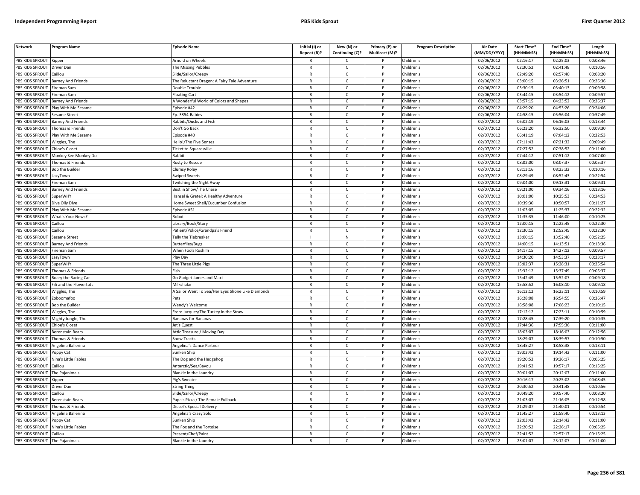| <b>Network</b>                 | Program Name                | <b>Episode Name</b>                               | Initial (I) or | New (N) or      | Primary (P) or | <b>Program Description</b> | <b>Air Date</b> | Start Time* | End Time*  | Length     |
|--------------------------------|-----------------------------|---------------------------------------------------|----------------|-----------------|----------------|----------------------------|-----------------|-------------|------------|------------|
|                                |                             |                                                   | Repeat (R)?    | Continuing (C)? | Multicast (M)? |                            | (MM/DD/YYYY)    | (HH:MM:SS)  | (HH:MM:SS) | (HH:MM:SS) |
| PBS KIDS SPROUT                | Kipper                      | Arnold on Wheels                                  |                | C               |                | Children's                 | 02/06/2012      | 02:16:17    | 02:25:03   | 00:08:46   |
| PBS KIDS SPROUT                | <b>Driver Dan</b>           | The Missing Pebbles                               | R              | $\mathsf{C}$    | P              | Children's                 | 02/06/2012      | 02:30:52    | 02:41:48   | 00:10:56   |
| PBS KIDS SPROUT                | aillou                      | ilide/Sailor/Creepy                               | $\mathsf{R}$   | $\mathsf{C}$    | P              | Children's                 | 02/06/2012      | 02:49:20    | 02:57:40   | 00:08:20   |
| PBS KIDS SPROUT                | Barney And Friends          | The Reluctant Dragon: A Fairy Tale Adventure      | $\mathsf{R}$   | $\mathsf{C}$    | P              | Children's                 | 02/06/2012      | 03:00:15    | 03:26:51   | 00:26:36   |
| PBS KIDS SPROUT                | ireman Sam                  | Double Trouble                                    | $\mathsf{R}$   | $\mathsf{C}$    | P              | Children's                 | 02/06/2012      | 03:30:15    | 03:40:13   | 00:09:58   |
| PBS KIDS SPROUT                | ireman Sam                  | loating Cart                                      | $\mathsf{R}$   | $\mathsf{C}$    | P              | Children's                 | 02/06/2012      | 03:44:15    | 03:54:12   | 00:09:57   |
| PBS KIDS SPROUT                | <b>Barney And Friends</b>   | A Wonderful World of Colors and Shapes            | R              | $\mathsf{C}$    | P              | Children's                 | 02/06/2012      | 03:57:15    | 04:23:52   | 00:26:37   |
| PBS KIDS SPROUT                | Play With Me Sesame         | pisode #42                                        | $\mathsf{R}$   | $\mathsf{C}$    | P              | Children's                 | 02/06/2012      | 04:29:20    | 04:53:26   | 00:24:06   |
| PBS KIDS SPROUT                | Sesame Street               | p. 3854-Babies                                    | R              | C               |                | Children's                 | 02/06/2012      | 04:58:15    | 05:56:04   | 00:57:49   |
| PBS KIDS SPROUT                | Barney And Friends          | Rabbits/Ducks and Fish                            | $\mathsf{R}$   | $\mathsf{C}$    |                | Children's                 | 02/07/2012      | 06:02:19    | 06:16:03   | 00:13:44   |
| <b>BS KIDS SPROUT</b>          | Thomas & Friends            | Don't Go Back                                     | R              | $\mathsf{C}$    | P              | Children's                 | 02/07/2012      | 06:23:20    | 06:32:50   | 00:09:30   |
| PBS KIDS SPROUT                | lay With Me Sesame          | pisode #40                                        | $\mathsf{R}$   | $\mathsf{C}$    | Þ              | Children's                 | 02/07/2012      | 06:41:19    | 07:04:12   | 00:22:53   |
| PBS KIDS SPROUT                | Wiggles, The                | Hello!/The Five Senses                            | $\mathsf{R}$   | C               | P              | Children's                 | 02/07/2012      | 07:11:43    | 07:21:32   | 00:09:49   |
| PBS KIDS SPROUT                | hloe's Closet               | icket to Squaresville                             | $\mathsf{R}$   | $\mathsf{C}$    |                | Children's                 | 02/07/2012      | 07:27:52    | 07:38:52   | 00:11:00   |
| PBS KIDS SPROUT                | Monkey See Monkey Do        | Rabbit                                            | $\mathsf{R}$   | $\mathsf{C}$    | P              | Children's                 | 02/07/2012      | 07:44:12    | 07:51:12   | 00:07:00   |
| PBS KIDS SPROUT                | Thomas & Friends            | Rusty to Rescue                                   | $\mathsf{R}$   | $\mathsf{C}$    |                | Children's                 | 02/07/2012      | 08:02:00    | 08:07:37   | 00:05:37   |
| PBS KIDS SPROUT                | <b>Bob the Builder</b>      | Clumsy Roley                                      | R              | $\mathsf{C}$    | P              | Children's                 | 02/07/2012      | 08:13:16    | 08:23:32   | 00:10:16   |
| PBS KIDS SPROUT                | azyTown                     | Swiped Sweets                                     | $\mathsf{R}$   | $\mathsf{C}$    | P              | Children's                 | 02/07/2012      | 08:29:49    | 08:52:43   | 00:22:54   |
| PBS KIDS SPROUT                | ireman Sam                  | <b>Twitching the Night Away</b>                   | $\mathsf{R}$   | C               | P              | Children's                 | 02/07/2012      | 09:04:00    | 09:13:31   | 00:09:31   |
| PBS KIDS SPROUT                | <b>Barney And Friends</b>   | Best in Show/The Chase                            | $\mathsf{R}$   | $\mathsf{C}$    | P              | Children's                 | 02/07/2012      | 09:21:00    | 09:34:16   | 00:13:16   |
| PBS KIDS SPROUT                | SuperWHY                    | Hansel & Gretel: A Healthy Adventure              | $\mathsf{R}$   | $\mathsf{C}$    | P              | Children's                 | 02/07/2012      | 10:01:00    | 10:25:53   | 00:24:53   |
| PBS KIDS SPROUT                | Dive Olly Dive              | Iome Sweet Shell/Cucumber Confusion               | R              | Ċ               | P              | Children's                 | 02/07/2012      | 10:39:30    | 10:50:57   | 00:11:27   |
| PBS KIDS SPROUT                | Play With Me Sesame         | pisode #51                                        | $\mathsf{R}$   | $\mathsf{C}$    | Þ              | Children's                 | 02/07/2012      | 11:03:05    | 11:25:37   | 00:22:32   |
| PBS KIDS SPROUT                | What's Your News?           | Robot                                             | R              | C               |                | Children's                 | 02/07/2012      | 11:35:35    | 11:46:00   | 00:10:25   |
| PBS KIDS SPROUT                | aillou                      | ibrary/Book/Story.                                | $\mathsf{R}$   | $\mathsf{C}$    |                | Children's                 | 02/07/2012      | 12:00:15    | 12:22:45   | 00:22:30   |
| PBS KIDS SPROUT                | Caillou                     | Patient/Police/Grandpa's Friend                   | $\mathsf{R}$   | C               | P              | Children's                 | 02/07/2012      | 12:30:15    | 12:52:45   | 00:22:30   |
| PBS KIDS SPROUT                | Sesame Street               | <b>Felly the Tiebreaker</b>                       |                | ${\sf N}$       | Þ              | Children's                 | 02/07/2012      | 13:00:15    | 13:52:40   | 00:52:25   |
| PBS KIDS SPROUT                | Barney And Friends          | Butterflies/Bugs                                  | R              | $\mathsf{C}$    | P              | Children's                 | 02/07/2012      | 14:00:15    | 14:13:51   | 00:13:36   |
| PBS KIDS SPROUT                | ireman Sam                  | When Fools Rush In                                | $\mathsf{R}$   | $\mathsf{C}$    |                | Children's                 | 02/07/2012      | 14:17:15    | 14:27:12   | 00:09:57   |
| PBS KIDS SPROUT                | LazyTown                    | Play Day                                          | $\mathsf{R}$   | $\mathsf{C}$    | P              | Children's                 | 02/07/2012      | 14:30:20    | 14:53:37   | 00:23:17   |
| PBS KIDS SPROUT                | SuperWHY                    | The Three Little Pigs                             | $\mathsf{R}$   | $\mathsf{C}$    |                | Children's                 | 02/07/2012      | 15:02:37    | 15:28:31   | 00:25:54   |
| PBS KIDS SPROUT                | Thomas & Friends            | ∶ish                                              | $\mathsf{R}$   | $\mathsf{C}$    | P              | Children's                 | 02/07/2012      | 15:32:12    | 15:37:49   | 00:05:37   |
| PBS KIDS SPROUT                | Roary the Racing Car        | Go Gadget James and Maxi                          | $\mathsf{R}$   | $\mathsf{C}$    | P              | Children's                 | 02/07/2012      | 15:42:49    | 15:52:07   | 00:09:18   |
| PBS KIDS SPROUT                | ifi and the Flowertots      | Milkshake                                         | $\mathsf{R}$   | C               | P              | Children's                 | 02/07/2012      | 15:58:52    | 16:08:10   | 00:09:18   |
| PBS KIDS SPROUT                | Wiggles, The                | A Sailor Went To Sea/Her Eyes Shone Like Diamonds | R              | $\mathsf{C}$    | P              | Children's                 | 02/07/2012      | 16:12:12    | 16:23:11   | 00:10:59   |
| PBS KIDS SPROUT                | Zoboomafoo                  | Pets                                              | $\mathsf{R}$   | $\mathsf{C}$    | P              | Children's                 | 02/07/2012      | 16:28:08    | 16:54:55   | 00:26:47   |
| <b>PBS KIDS SPROUT</b>         | <b>Bob the Builder</b>      | Wendy's Welcome                                   | R              | Ċ               |                | Children's                 | 02/07/2012      | 16:58:08    | 17:08:23   | 00:10:15   |
| PBS KIDS SPROUT                | Niggles, The                | Frere Jacques/The Turkey in the Straw             | $\mathsf{R}$   | $\mathsf{C}$    | Þ              | Children's                 | 02/07/2012      | 17:12:12    | 17:23:11   | 00:10:59   |
| PBS KIDS SPROUT                | Mighty Jungle, The          | Bananas for Bananas                               | R              | $\mathsf{C}$    |                | Children's                 | 02/07/2012      | 17:28:45    | 17:39:20   | 00:10:35   |
| PBS KIDS SPROUT                | hloe's Closet               | let's Quest                                       | $\mathsf{R}$   | $\mathsf{C}$    |                | Children's                 | 02/07/2012      | 17:44:36    | 17:55:36   | 00:11:00   |
| PBS KIDS SPROUT                | Berenstain Bears            | Attic Treasure / Moving Day                       | $\mathsf{R}$   | $\mathsf{C}$    | P              | Children's                 | 02/07/2012      | 18:03:07    | 18:16:03   | 00:12:56   |
| PBS KIDS SPROUT                | homas & Friends             | Snow Tracks                                       | $\mathsf{R}$   | $\mathsf{C}$    | Þ              | Children's                 | 02/07/2012      | 18:29:07    | 18:39:57   | 00:10:50   |
| PBS KIDS SPROUT                | Angelina Ballerina          | <b>Ingelina's Dance Partner</b>                   | $\mathsf{R}$   | $\mathsf{C}$    | P              | Children's                 | 02/07/2012      | 18:45:27    | 18:58:38   | 00:13:11   |
| PBS KIDS SPROUT                | oppy Cat                    | unken Ship                                        | $\mathsf{R}$   | $\mathsf{C}$    |                | Children's                 | 02/07/2012      | 19:03:42    | 19:14:42   | 00:11:00   |
| PBS KIDS SPROUT                | Nina's Little Fables        | The Dog and the Hedgehog                          | $\mathsf{R}$   | $\mathsf{C}$    | P              | Children's                 | 02/07/2012      | 19:20:52    | 19:26:17   | 00:05:25   |
| PBS KIDS SPROUT                | aillou                      | Antarctic/Sea/Bayou                               | R              | $\mathsf{C}$    |                | Children's                 | 02/07/2012      | 19:41:52    | 19:57:17   | 00:15:25   |
| PBS KIDS SPROUT                | The Pajanimals              | Blankie in the Laundry                            | R              | C               | P              | Children's                 | 02/07/2012      | 20:01:07    | 20:12:07   | 00:11:00   |
|                                |                             |                                                   |                |                 | P              |                            |                 |             |            |            |
| PBS KIDS SPROUT                | <b>Kipper</b>               | ig's Sweater                                      | $\mathsf{R}$   | $\mathsf{C}$    |                | Children's                 | 02/07/2012      | 20:16:17    | 20:25:02   | 00:08:45   |
| PBS KIDS SPROUT                | Driver Dan                  | <b>String Thing</b>                               | $\mathsf{R}$   | C               | P              | Children's                 | 02/07/2012      | 20:30:52    | 20:41:48   | 00:10:56   |
| PBS KIDS SPROUT                | aillou                      | Slide/Sailor/Creepy                               | $\mathsf{R}$   | $\mathsf{C}$    | P              | Children's                 | 02/07/2012      | 20:49:20    | 20:57:40   | 00:08:20   |
| PBS KIDS SPROUT                | <b>Berenstain Bears</b>     | Papa's Pizza / The Female Fullback                | $\mathsf{R}$   | $\mathsf{C}$    | P              | Children's                 | 02/07/2012      | 21:03:07    | 21:16:05   | 00:12:58   |
| PBS KIDS SPROUT                | Thomas & Friends            | Diesel's Special Delivery                         | R              | $\mathsf{C}$    |                | Children's                 | 02/07/2012      | 21:29:07    | 21:40:01   | 00:10:54   |
| PBS KIDS SPROUT                | Angelina Ballerina          | Angelina's Crazy Solo                             | $\mathsf{R}$   | $\mathsf{C}$    | D              | Children's                 | 02/07/2012      | 21:45:27    | 21:58:40   | 00:13:13   |
| PBS KIDS SPROUT                | oppy Cat                    | Sunken Ship                                       | R              | с               |                | Children's                 | 02/07/2012      | 22:03:42    | 22:14:42   | 00:11:00   |
| PBS KIDS SPROUT                | <b>lina's Little Fables</b> | he Fox and the Tortoise                           | $\mathsf{R}$   | $\mathsf{C}$    |                | Children's                 | 02/07/2012      | 22:20:52    | 22:26:17   | 00:05:25   |
| PBS KIDS SPROUT                | Caillou                     | Present/Chef/Paint                                | $\mathsf{R}$   | $\mathsf{C}$    | P              | Children's                 | 02/07/2012      | 22:41:52    | 22:57:17   | 00:15:25   |
| PBS KIDS SPROUT The Pajanimals |                             | <b>Blankie in the Laundry</b>                     | R              | Ċ               | p              | Children's                 | 02/07/2012      | 23:01:07    | 23:12:07   | 00:11:00   |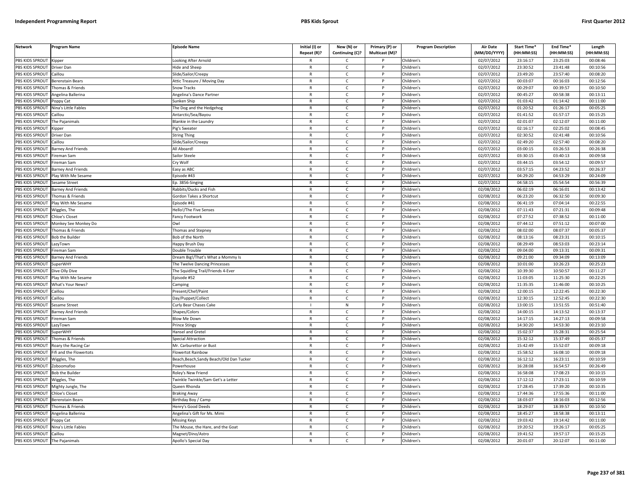| PBS KIDS SPROUT Kipper<br>ooking After Arnold<br>Children's<br>02/07/2012<br>23:16:17<br>23:25:03<br>00:08:46<br>$\mathsf{R}$<br>C<br>23:30:52<br>23:41:48<br>PBS KIDS SPROUT<br>Driver Dan<br>Hide and Sheep<br>$\mathsf{C}$<br>P<br>Children's<br>02/07/2012<br>00:10:56<br>$\mathsf{R}$<br>PBS KIDS SPROUT<br>Children's<br>02/07/2012<br>23:49:20<br>23:57:40<br>00:08:20<br>Caillou<br>Slide/Sailor/Creepy<br>$\mathsf{R}$<br>$\mathsf{C}$<br>P<br>PBS KIDS SPROUT<br>Children's<br>02/07/2012<br>00:03:07<br>00:16:03<br>00:12:56<br><b>Berenstain Bears</b><br>Attic Treasure / Moving Day<br>$\mathsf{R}$<br>$\mathsf{C}$<br>P<br>PBS KIDS SPROUT<br>Thomas & Friends<br>Snow Tracks<br>Children's<br>02/07/2012<br>00:29:07<br>00:39:57<br>00:10:50<br>$\mathsf{R}$<br>$\mathsf{C}$<br>P<br>PBS KIDS SPROUT<br>Angelina Ballerina<br>Angelina's Dance Partner<br>$\mathsf{R}$<br>$\mathsf{C}$<br>P<br>Children's<br>02/07/2012<br>00:45:27<br>00:58:38<br>00:13:11<br>02/07/2012<br>01:03:42<br>00:11:00<br><b>BS KIDS SPROUT</b><br>Poppy Cat<br>Sunken Ship<br>$\mathsf{R}$<br>P<br>Children's<br>01:14:42<br>C<br>PBS KIDS SPROUT<br>$\mathsf{C}$<br>P<br>Children's<br>02/07/2012<br>01:20:52<br>01:26:17<br>00:05:25<br>Nina's Little Fables<br>$\mathsf{R}$<br>The Dog and the Hedgehog<br>PBS KIDS SPROUT<br>Children's<br>02/07/2012<br>01:41:52<br>01:57:17<br>00:15:25<br>Caillou<br>$\mathsf{C}$<br>P<br>Antarctic/Sea/Bayou<br>$\mathsf{R}$<br>PBS KIDS SPROUT<br>$\mathsf{R}$<br>$\mathsf{C}$<br>D<br>Children's<br>02/07/2012<br>02:01:07<br>02:12:07<br>00:11:00<br>The Pajanimals<br>Blankie in the Laundry<br>PBS KIDS SPROUT<br>$\mathsf{C}$<br>Children's<br>02/07/2012<br>02:16:17<br>02:25:02<br>00:08:45<br>Pig's Sweater<br>$\mathsf{R}$<br>P<br>Kipper<br>$\sqrt{02}/07/2012$<br>02:30:52<br>02:41:48<br>00:10:56<br>PBS KIDS SPROUT<br>$\mathsf{R}$<br>$\mathsf{C}$<br><b>D</b><br>Children's<br>String Thing<br>Driver Dan<br>$\mathsf{R}$<br>$\mathsf{C}$<br>02:49:20<br>02:57:40<br>PBS KIDS SPROUT<br>Caillou<br>P<br>Children's<br>02/07/2012<br>00:08:20<br>Slide/Sailor/Creepy<br>02/07/2012<br>PBS KIDS SPROUT<br>$\mathsf{R}$<br>$\mathsf{C}$<br>P<br>Children's<br>03:00:15<br>03:26:53<br>00:26:38<br><b>Barney And Friends</b><br>All Aboard!<br>03:30:15<br>03:40:13<br>00:09:58<br>PBS KIDS SPROUT<br>Sailor Steele<br>$\mathsf{C}$<br>P<br>Children's<br>02/07/2012<br>ireman Sam<br>$\mathsf{R}$<br>02/07/2012<br>03:44:15<br>03:54:12<br>PBS KIDS SPROUT<br>ireman Sam<br>try Wolf<br>$\mathsf{R}$<br>$\mathsf{C}$<br>P<br>Children's<br>00:09:57<br>03:57:15<br>04:23:52<br>PBS KIDS SPROUT<br><b>Barney And Friends</b><br>Easy as ABC<br>$\mathsf{R}$<br>$\mathsf{C}$<br>$\mathsf{P}$<br>Children's<br>02/07/2012<br>00:26:37<br>PBS KIDS SPROUT<br>Play With Me Sesame<br>pisode #43<br>$\mathsf{C}$<br>P<br>Children's<br>02/07/2012<br>04:29:20<br>04:53:29<br>00:24:09<br>$\mathsf{R}$<br>PBS KIDS SPROUT<br>Ep. 3856-Singing<br>$\mathsf{C}$<br>P<br>Children's<br>02/07/2012<br>04:58:15<br>05:54:54<br>00:56:39<br><b>Sesame Street</b><br>$\mathsf{R}$<br>PBS KIDS SPROUT<br><b>Barney And Friends</b><br>Rabbits/Ducks and Fish<br>$\mathsf{R}$<br>$\mathsf{C}$<br>P<br>Children's<br>02/08/2012<br>06:02:19<br>06:16:01<br>00:13:42<br>Children's<br>02/08/2012<br>06:23:20<br>06:32:50<br>00:09:30<br>PBS KIDS SPROUT<br>Thomas & Friends<br>Gordon Takes a Shortcut<br>$\mathsf{R}$<br>$\mathsf{C}$<br>P<br>PBS KIDS SPROUT<br>02/08/2012<br>06:41:19<br>07:04:14<br>00:22:55<br>Play With Me Sesame<br>pisode #41<br>$\mathsf{R}$<br>$\mathsf{C}$<br>P<br>Children's<br>PBS KIDS SPROUT<br>Hello!/The Five Senses<br>$\mathsf{R}$<br>$\mathsf{C}$<br>P<br>Children's<br>02/08/2012<br>07:11:43<br>07:21:31<br>00:09:48<br>Niggles, The<br>PBS KIDS SPROUT<br>Chloe's Closet<br>ancy Footwork<br>$\mathsf{R}$<br>$\mathsf{C}$<br>Children's<br>02/08/2012<br>07:27:52<br>07:38:52<br>00:11:00<br>P<br>PBS KIDS SPROUT<br>Monkey See Monkey Do<br>$\mathsf{R}$<br>$\mathsf{C}$<br>P<br>Children's<br>02/08/2012<br>07:44:12<br>07:51:12<br>00:07:00<br>Owl<br>PBS KIDS SPROUT<br>02/08/2012<br>08:02:00<br>08:07:37<br>00:05:37<br>Thomas & Friends<br>$\mathsf{R}$<br>$\mathsf{C}$<br>Children's<br>homas and Stepney<br>P<br>PBS KIDS SPROUT<br>$\mathsf{R}$<br>$\mathsf{C}$<br>P<br>Children's<br>02/08/2012<br>08:13:16<br>08:23:31<br>00:10:15<br><b>Bob the Builder</b><br>Bob of the North<br>08:53:03<br>PBS KIDS SPROUT<br>$\mathsf{R}$<br>$\mathsf{C}$<br>P<br>Children's<br>02/08/2012<br>08:29:49<br>00:23:14<br>azyTown.<br>Happy Brush Day<br>PBS KIDS SPROUT<br>Children's<br>02/08/2012<br>09:04:00<br>09:13:31<br>00:09:31<br>Double Trouble<br>$\mathsf{R}$<br>$\mathsf{C}$<br>Þ<br>ireman Sam<br>09:21:00<br>PBS KIDS SPROUT<br>Children's<br>02/08/2012<br>09:34:09<br>00:13:09<br><b>Barney And Friends</b><br>Dream Big!/That's What a Mommy Is<br>$\mathsf{R}$<br>$\mathsf{C}$<br>P<br>$\overline{c}$<br>PBS KIDS SPROUT<br>$\mathsf{R}$<br>P<br>Children's<br>02/08/2012<br>10:01:00<br>10:26:23<br>00:25:23<br><b>SuperWHY</b><br>The Twelve Dancing Princesses<br>10:39:30<br>10:50:57<br>PBS KIDS SPROUT<br>Children's<br>02/08/2012<br>00:11:27<br>Dive Olly Dive<br>The Squidling Trail/Friends 4-Ever<br>$\mathsf{R}$<br>$\mathsf{C}$<br>P<br>02/08/2012<br>PBS KIDS SPROUT<br>Play With Me Sesame<br>pisode #52<br>$\mathsf{R}$<br>$\mathsf{C}$<br>P<br>Children's<br>11:03:05<br>11:25:30<br>00:22:25<br>11:46:00<br>PBS KIDS SPROUT<br>What's Your News?<br>$\mathsf{C}$<br>P<br>Children's<br>02/08/2012<br>11:35:35<br>00:10:25<br>amping<br>$\mathsf{R}$<br>12:22:45<br>PBS KIDS SPROUT<br>Caillou<br>Present/Chef/Paint<br>$\mathsf{R}$<br>$\mathsf{C}$<br>P<br>Children's<br>02/08/2012<br>12:00:15<br>00:22:30<br>PBS KIDS SPROUT<br>$\mathsf{C}$<br>P<br>Children's<br>02/08/2012<br>12:30:15<br>12:52:45<br>00:22:30<br>Caillou<br>Day/Puppet/Collect<br>$\mathsf{R}$<br>PBS KIDS SPROUT<br>Curly Bear Chases Cake<br>Children's<br>02/08/2012<br>13:00:15<br>13:51:55<br>00:51:40<br>Sesame Street<br>N<br>P<br>02/08/2012<br>14:00:15<br>00:13:37<br>PBS KIDS SPROUT<br><b>Barney And Friends</b><br>Shapes/Colors<br>$\mathsf{R}$<br>$\mathsf{C}$<br>P<br>Children's<br>14:13:52<br>14:17:15<br>14:27:13<br>PBS KIDS SPROUT<br>ireman Sam<br>Blow Me Down<br>$\mathsf{R}$<br>C<br>P<br>Children's<br>02/08/2012<br>00:09:58<br>14:30:20<br>14:53:30<br>PBS KIDS SPROUT<br>azyTown<br>rince Stingy<br>$\mathsf{R}$<br>$\mathsf{C}$<br>P<br>Children's<br>02/08/2012<br>00:23:10<br><b>BS KIDS SPROUT</b><br>SuperWHY<br>Children's<br>02/08/2012<br>15:02:37<br>15:28:31<br>00:25:54<br>lansel and Gretel<br>$\mathsf{R}$<br>$\mathsf{C}$<br>P<br>PBS KIDS SPROUT<br>$\mathsf{R}$<br>$\mathcal{C}$<br>Þ<br>Children's<br>02/08/2012<br>15:32:12<br>15:37:49<br>00:05:37<br>Thomas & Friends<br>Special Attraction<br>PBS KIDS SPROUT<br>02/08/2012<br>15:42:49<br>15:52:07<br>00:09:18<br>Roary the Racing Car<br>C<br>P<br>Children's<br>Mr. Carburettor or Bust<br>R<br>PBS KIDS SPROUT<br>Children's<br>02/08/2012<br>15:58:52<br>00:09:18<br>$\mathsf{R}$<br>$\mathsf{C}$<br>P<br>16:08:10<br>ifi and the Flowertots<br>lowertot Rainbow<br>PBS KIDS SPROUT<br>02/08/2012<br>16:12:12<br>16:23:11<br>Beach, Beach, Sandy Beach/Old Dan Tucker<br>$\mathsf{R}$<br>$\mathsf{C}$<br>P<br>Children's<br>00:10:59<br>Wiggles, The<br>16:54:57<br>PBS KIDS SPROUT<br>$\mathsf{C}$<br>Children's<br>02/08/2012<br>16:28:08<br>00:26:49<br>$\mathsf{R}$<br>P<br>Zoboomafoo<br>owerhouse<br>17:08:23<br>PBS KIDS SPROUT<br>Children's<br>$\sqrt{02}/08/2012$<br>16:58:08<br>00:10:15<br><b>Bob the Builder</b><br>Roley's New Friend<br>$\mathsf{R}$<br>$\mathsf{C}$<br>P<br>PBS KIDS SPROUT<br>Children's<br>02/08/2012<br>17:12:12<br>17:23:11<br>Wiggles, The<br>winkle Twinkle/Sam Get's a Letter<br>$\mathsf{R}$<br>$\mathsf{C}$<br>P<br>00:10:59<br>17:28:45<br>17:39:20<br>PBS KIDS SPROUT<br>Mighty Jungle, The<br>Queen Rhonda<br>$\mathsf{R}$<br>$\mathsf{C}$<br>P<br>Children's<br>02/08/2012<br>00:10:35<br>PBS KIDS SPROUT<br>02/08/2012<br>17:44:36<br>17:55:36<br>Chloe's Closet<br><b>Braking Away</b><br>R<br>C<br>P<br>Children's<br>00:11:00<br>PBS KIDS SPROUT<br><b>Berenstain Bears</b><br>Birthday Boy / Camp<br>$\mathsf{C}$<br>P<br>Children's<br>02/08/2012<br>18:03:07<br>18:16:03<br>00:12:56<br>R<br>PBS KIDS SPROUT<br>Thomas & Friends<br>lenry's Good Deeds<br>$\mathsf{R}$<br>$\mathsf{C}$<br>P<br>Children's<br>02/08/2012<br>18:29:07<br>18:39:57<br>00:10:50<br>02/08/2012<br>18:45:27<br>18:58:38<br>00:13:11<br>PBS KIDS SPROUT<br>Angelina Ballerina<br>Angelina's Gift for Ms. Mimi<br>$\mathsf{R}$<br>$\mathsf{C}$<br>P<br>Children's<br>PBS KIDS SPROUT<br>Children's<br>02/08/2012<br>19:03:42<br>19:14:42<br>00:11:00<br>Poppy Cat<br>Missing Keys<br>$\mathsf{R}$<br>$\mathsf{C}$<br>P<br>PBS KIDS SPROUT<br>Nina's Little Fables<br>Children's<br>02/08/2012<br>19:20:52<br>19:26:17<br>00:05:25<br>The Mouse, the Hare, and the Goat<br>$\mathsf{R}$<br>$\mathsf{C}$<br>P<br>PBS KIDS SPROUT<br>Magnet/Dino/Astro<br>Children's<br>02/08/2012<br>19:41:52<br>19:57:17<br>00:15:25<br>Caillou<br>$\mathsf{R}$<br>C<br>P<br>PBS KIDS SPROUT The Pajanimals<br>02/08/2012<br>20:01:07<br>20:12:07<br>00:11:00<br>Apollo's Special Day<br>$\mathsf{R}$<br>$\epsilon$<br>P<br>Children's | <b>Network</b> | Program Name | <b>Episode Name</b> | Initial (I) or<br>Repeat (R)? | New (N) or<br>Continuing (C)? | Primary (P) or<br>Multicast (M)? | <b>Program Description</b> | <b>Air Date</b><br>(MM/DD/YYYY) | Start Time*<br>(HH:MM:SS) | End Time <sup>®</sup><br>(HH:MM:SS) | Length<br>(HH:MM:SS) |
|-------------------------------------------------------------------------------------------------------------------------------------------------------------------------------------------------------------------------------------------------------------------------------------------------------------------------------------------------------------------------------------------------------------------------------------------------------------------------------------------------------------------------------------------------------------------------------------------------------------------------------------------------------------------------------------------------------------------------------------------------------------------------------------------------------------------------------------------------------------------------------------------------------------------------------------------------------------------------------------------------------------------------------------------------------------------------------------------------------------------------------------------------------------------------------------------------------------------------------------------------------------------------------------------------------------------------------------------------------------------------------------------------------------------------------------------------------------------------------------------------------------------------------------------------------------------------------------------------------------------------------------------------------------------------------------------------------------------------------------------------------------------------------------------------------------------------------------------------------------------------------------------------------------------------------------------------------------------------------------------------------------------------------------------------------------------------------------------------------------------------------------------------------------------------------------------------------------------------------------------------------------------------------------------------------------------------------------------------------------------------------------------------------------------------------------------------------------------------------------------------------------------------------------------------------------------------------------------------------------------------------------------------------------------------------------------------------------------------------------------------------------------------------------------------------------------------------------------------------------------------------------------------------------------------------------------------------------------------------------------------------------------------------------------------------------------------------------------------------------------------------------------------------------------------------------------------------------------------------------------------------------------------------------------------------------------------------------------------------------------------------------------------------------------------------------------------------------------------------------------------------------------------------------------------------------------------------------------------------------------------------------------------------------------------------------------------------------------------------------------------------------------------------------------------------------------------------------------------------------------------------------------------------------------------------------------------------------------------------------------------------------------------------------------------------------------------------------------------------------------------------------------------------------------------------------------------------------------------------------------------------------------------------------------------------------------------------------------------------------------------------------------------------------------------------------------------------------------------------------------------------------------------------------------------------------------------------------------------------------------------------------------------------------------------------------------------------------------------------------------------------------------------------------------------------------------------------------------------------------------------------------------------------------------------------------------------------------------------------------------------------------------------------------------------------------------------------------------------------------------------------------------------------------------------------------------------------------------------------------------------------------------------------------------------------------------------------------------------------------------------------------------------------------------------------------------------------------------------------------------------------------------------------------------------------------------------------------------------------------------------------------------------------------------------------------------------------------------------------------------------------------------------------------------------------------------------------------------------------------------------------------------------------------------------------------------------------------------------------------------------------------------------------------------------------------------------------------------------------------------------------------------------------------------------------------------------------------------------------------------------------------------------------------------------------------------------------------------------------------------------------------------------------------------------------------------------------------------------------------------------------------------------------------------------------------------------------------------------------------------------------------------------------------------------------------------------------------------------------------------------------------------------------------------------------------------------------------------------------------------------------------------------------------------------------------------------------------------------------------------------------------------------------------------------------------------------------------------------------------------------------------------------------------------------------------------------------------------------------------------------------------------------------------------------------------------------------------------------------------------------------------------------------------------------------------------------------------------------------------------------------------------------------------------------------------------------------------------------------------------------------------------------------------------------------------------------------------------------------------------------------------------------------------------------------------------------------------------------------------------------------------------------------------------------------------------------------------------------------------------------------------------------------------------------------------------------------------------------------------------------------------------------------------------------------------------------------------------------------------------------------------------------------------------------------------------------------------------------------------------------------------------------------------------------------------------------------------------------------------------------------------------------------------------------------------------------------------------------------------------------------------------------------------------------------------------------------------------------------------------------------------------------------------------------------------------------------------------------------------------------------------------------------------------------------------------------------------------------------------------------------------------------------------------------------------------------------------------------------------------------------------------------------------------------------------------------------------------------------------------------------------------------------------------------------------------------------------------------------------------------------------------------------------------------------------------|----------------|--------------|---------------------|-------------------------------|-------------------------------|----------------------------------|----------------------------|---------------------------------|---------------------------|-------------------------------------|----------------------|
|                                                                                                                                                                                                                                                                                                                                                                                                                                                                                                                                                                                                                                                                                                                                                                                                                                                                                                                                                                                                                                                                                                                                                                                                                                                                                                                                                                                                                                                                                                                                                                                                                                                                                                                                                                                                                                                                                                                                                                                                                                                                                                                                                                                                                                                                                                                                                                                                                                                                                                                                                                                                                                                                                                                                                                                                                                                                                                                                                                                                                                                                                                                                                                                                                                                                                                                                                                                                                                                                                                                                                                                                                                                                                                                                                                                                                                                                                                                                                                                                                                                                                                                                                                                                                                                                                                                                                                                                                                                                                                                                                                                                                                                                                                                                                                                                                                                                                                                                                                                                                                                                                                                                                                                                                                                                                                                                                                                                                                                                                                                                                                                                                                                                                                                                                                                                                                                                                                                                                                                                                                                                                                                                                                                                                                                                                                                                                                                                                                                                                                                                                                                                                                                                                                                                                                                                                                                                                                                                                                                                                                                                                                                                                                                                                                                                                                                                                                                                                                                                                                                                                                                                                                                                                                                                                                                                                                                                                                                                                                                                                                                                                                                                                                                                                                                                                                                                                                                                                                                                                                                                                                                                                                                                                                                                                                                                                                                                                                                                                                                                                                                                                                                                                                                                                                                                                                                                                                                                                                           |                |              |                     |                               |                               |                                  |                            |                                 |                           |                                     |                      |
|                                                                                                                                                                                                                                                                                                                                                                                                                                                                                                                                                                                                                                                                                                                                                                                                                                                                                                                                                                                                                                                                                                                                                                                                                                                                                                                                                                                                                                                                                                                                                                                                                                                                                                                                                                                                                                                                                                                                                                                                                                                                                                                                                                                                                                                                                                                                                                                                                                                                                                                                                                                                                                                                                                                                                                                                                                                                                                                                                                                                                                                                                                                                                                                                                                                                                                                                                                                                                                                                                                                                                                                                                                                                                                                                                                                                                                                                                                                                                                                                                                                                                                                                                                                                                                                                                                                                                                                                                                                                                                                                                                                                                                                                                                                                                                                                                                                                                                                                                                                                                                                                                                                                                                                                                                                                                                                                                                                                                                                                                                                                                                                                                                                                                                                                                                                                                                                                                                                                                                                                                                                                                                                                                                                                                                                                                                                                                                                                                                                                                                                                                                                                                                                                                                                                                                                                                                                                                                                                                                                                                                                                                                                                                                                                                                                                                                                                                                                                                                                                                                                                                                                                                                                                                                                                                                                                                                                                                                                                                                                                                                                                                                                                                                                                                                                                                                                                                                                                                                                                                                                                                                                                                                                                                                                                                                                                                                                                                                                                                                                                                                                                                                                                                                                                                                                                                                                                                                                                                                           |                |              |                     |                               |                               |                                  |                            |                                 |                           |                                     |                      |
|                                                                                                                                                                                                                                                                                                                                                                                                                                                                                                                                                                                                                                                                                                                                                                                                                                                                                                                                                                                                                                                                                                                                                                                                                                                                                                                                                                                                                                                                                                                                                                                                                                                                                                                                                                                                                                                                                                                                                                                                                                                                                                                                                                                                                                                                                                                                                                                                                                                                                                                                                                                                                                                                                                                                                                                                                                                                                                                                                                                                                                                                                                                                                                                                                                                                                                                                                                                                                                                                                                                                                                                                                                                                                                                                                                                                                                                                                                                                                                                                                                                                                                                                                                                                                                                                                                                                                                                                                                                                                                                                                                                                                                                                                                                                                                                                                                                                                                                                                                                                                                                                                                                                                                                                                                                                                                                                                                                                                                                                                                                                                                                                                                                                                                                                                                                                                                                                                                                                                                                                                                                                                                                                                                                                                                                                                                                                                                                                                                                                                                                                                                                                                                                                                                                                                                                                                                                                                                                                                                                                                                                                                                                                                                                                                                                                                                                                                                                                                                                                                                                                                                                                                                                                                                                                                                                                                                                                                                                                                                                                                                                                                                                                                                                                                                                                                                                                                                                                                                                                                                                                                                                                                                                                                                                                                                                                                                                                                                                                                                                                                                                                                                                                                                                                                                                                                                                                                                                                                                           |                |              |                     |                               |                               |                                  |                            |                                 |                           |                                     |                      |
|                                                                                                                                                                                                                                                                                                                                                                                                                                                                                                                                                                                                                                                                                                                                                                                                                                                                                                                                                                                                                                                                                                                                                                                                                                                                                                                                                                                                                                                                                                                                                                                                                                                                                                                                                                                                                                                                                                                                                                                                                                                                                                                                                                                                                                                                                                                                                                                                                                                                                                                                                                                                                                                                                                                                                                                                                                                                                                                                                                                                                                                                                                                                                                                                                                                                                                                                                                                                                                                                                                                                                                                                                                                                                                                                                                                                                                                                                                                                                                                                                                                                                                                                                                                                                                                                                                                                                                                                                                                                                                                                                                                                                                                                                                                                                                                                                                                                                                                                                                                                                                                                                                                                                                                                                                                                                                                                                                                                                                                                                                                                                                                                                                                                                                                                                                                                                                                                                                                                                                                                                                                                                                                                                                                                                                                                                                                                                                                                                                                                                                                                                                                                                                                                                                                                                                                                                                                                                                                                                                                                                                                                                                                                                                                                                                                                                                                                                                                                                                                                                                                                                                                                                                                                                                                                                                                                                                                                                                                                                                                                                                                                                                                                                                                                                                                                                                                                                                                                                                                                                                                                                                                                                                                                                                                                                                                                                                                                                                                                                                                                                                                                                                                                                                                                                                                                                                                                                                                                                                           |                |              |                     |                               |                               |                                  |                            |                                 |                           |                                     |                      |
|                                                                                                                                                                                                                                                                                                                                                                                                                                                                                                                                                                                                                                                                                                                                                                                                                                                                                                                                                                                                                                                                                                                                                                                                                                                                                                                                                                                                                                                                                                                                                                                                                                                                                                                                                                                                                                                                                                                                                                                                                                                                                                                                                                                                                                                                                                                                                                                                                                                                                                                                                                                                                                                                                                                                                                                                                                                                                                                                                                                                                                                                                                                                                                                                                                                                                                                                                                                                                                                                                                                                                                                                                                                                                                                                                                                                                                                                                                                                                                                                                                                                                                                                                                                                                                                                                                                                                                                                                                                                                                                                                                                                                                                                                                                                                                                                                                                                                                                                                                                                                                                                                                                                                                                                                                                                                                                                                                                                                                                                                                                                                                                                                                                                                                                                                                                                                                                                                                                                                                                                                                                                                                                                                                                                                                                                                                                                                                                                                                                                                                                                                                                                                                                                                                                                                                                                                                                                                                                                                                                                                                                                                                                                                                                                                                                                                                                                                                                                                                                                                                                                                                                                                                                                                                                                                                                                                                                                                                                                                                                                                                                                                                                                                                                                                                                                                                                                                                                                                                                                                                                                                                                                                                                                                                                                                                                                                                                                                                                                                                                                                                                                                                                                                                                                                                                                                                                                                                                                                                           |                |              |                     |                               |                               |                                  |                            |                                 |                           |                                     |                      |
|                                                                                                                                                                                                                                                                                                                                                                                                                                                                                                                                                                                                                                                                                                                                                                                                                                                                                                                                                                                                                                                                                                                                                                                                                                                                                                                                                                                                                                                                                                                                                                                                                                                                                                                                                                                                                                                                                                                                                                                                                                                                                                                                                                                                                                                                                                                                                                                                                                                                                                                                                                                                                                                                                                                                                                                                                                                                                                                                                                                                                                                                                                                                                                                                                                                                                                                                                                                                                                                                                                                                                                                                                                                                                                                                                                                                                                                                                                                                                                                                                                                                                                                                                                                                                                                                                                                                                                                                                                                                                                                                                                                                                                                                                                                                                                                                                                                                                                                                                                                                                                                                                                                                                                                                                                                                                                                                                                                                                                                                                                                                                                                                                                                                                                                                                                                                                                                                                                                                                                                                                                                                                                                                                                                                                                                                                                                                                                                                                                                                                                                                                                                                                                                                                                                                                                                                                                                                                                                                                                                                                                                                                                                                                                                                                                                                                                                                                                                                                                                                                                                                                                                                                                                                                                                                                                                                                                                                                                                                                                                                                                                                                                                                                                                                                                                                                                                                                                                                                                                                                                                                                                                                                                                                                                                                                                                                                                                                                                                                                                                                                                                                                                                                                                                                                                                                                                                                                                                                                                           |                |              |                     |                               |                               |                                  |                            |                                 |                           |                                     |                      |
|                                                                                                                                                                                                                                                                                                                                                                                                                                                                                                                                                                                                                                                                                                                                                                                                                                                                                                                                                                                                                                                                                                                                                                                                                                                                                                                                                                                                                                                                                                                                                                                                                                                                                                                                                                                                                                                                                                                                                                                                                                                                                                                                                                                                                                                                                                                                                                                                                                                                                                                                                                                                                                                                                                                                                                                                                                                                                                                                                                                                                                                                                                                                                                                                                                                                                                                                                                                                                                                                                                                                                                                                                                                                                                                                                                                                                                                                                                                                                                                                                                                                                                                                                                                                                                                                                                                                                                                                                                                                                                                                                                                                                                                                                                                                                                                                                                                                                                                                                                                                                                                                                                                                                                                                                                                                                                                                                                                                                                                                                                                                                                                                                                                                                                                                                                                                                                                                                                                                                                                                                                                                                                                                                                                                                                                                                                                                                                                                                                                                                                                                                                                                                                                                                                                                                                                                                                                                                                                                                                                                                                                                                                                                                                                                                                                                                                                                                                                                                                                                                                                                                                                                                                                                                                                                                                                                                                                                                                                                                                                                                                                                                                                                                                                                                                                                                                                                                                                                                                                                                                                                                                                                                                                                                                                                                                                                                                                                                                                                                                                                                                                                                                                                                                                                                                                                                                                                                                                                                                           |                |              |                     |                               |                               |                                  |                            |                                 |                           |                                     |                      |
|                                                                                                                                                                                                                                                                                                                                                                                                                                                                                                                                                                                                                                                                                                                                                                                                                                                                                                                                                                                                                                                                                                                                                                                                                                                                                                                                                                                                                                                                                                                                                                                                                                                                                                                                                                                                                                                                                                                                                                                                                                                                                                                                                                                                                                                                                                                                                                                                                                                                                                                                                                                                                                                                                                                                                                                                                                                                                                                                                                                                                                                                                                                                                                                                                                                                                                                                                                                                                                                                                                                                                                                                                                                                                                                                                                                                                                                                                                                                                                                                                                                                                                                                                                                                                                                                                                                                                                                                                                                                                                                                                                                                                                                                                                                                                                                                                                                                                                                                                                                                                                                                                                                                                                                                                                                                                                                                                                                                                                                                                                                                                                                                                                                                                                                                                                                                                                                                                                                                                                                                                                                                                                                                                                                                                                                                                                                                                                                                                                                                                                                                                                                                                                                                                                                                                                                                                                                                                                                                                                                                                                                                                                                                                                                                                                                                                                                                                                                                                                                                                                                                                                                                                                                                                                                                                                                                                                                                                                                                                                                                                                                                                                                                                                                                                                                                                                                                                                                                                                                                                                                                                                                                                                                                                                                                                                                                                                                                                                                                                                                                                                                                                                                                                                                                                                                                                                                                                                                                                                           |                |              |                     |                               |                               |                                  |                            |                                 |                           |                                     |                      |
|                                                                                                                                                                                                                                                                                                                                                                                                                                                                                                                                                                                                                                                                                                                                                                                                                                                                                                                                                                                                                                                                                                                                                                                                                                                                                                                                                                                                                                                                                                                                                                                                                                                                                                                                                                                                                                                                                                                                                                                                                                                                                                                                                                                                                                                                                                                                                                                                                                                                                                                                                                                                                                                                                                                                                                                                                                                                                                                                                                                                                                                                                                                                                                                                                                                                                                                                                                                                                                                                                                                                                                                                                                                                                                                                                                                                                                                                                                                                                                                                                                                                                                                                                                                                                                                                                                                                                                                                                                                                                                                                                                                                                                                                                                                                                                                                                                                                                                                                                                                                                                                                                                                                                                                                                                                                                                                                                                                                                                                                                                                                                                                                                                                                                                                                                                                                                                                                                                                                                                                                                                                                                                                                                                                                                                                                                                                                                                                                                                                                                                                                                                                                                                                                                                                                                                                                                                                                                                                                                                                                                                                                                                                                                                                                                                                                                                                                                                                                                                                                                                                                                                                                                                                                                                                                                                                                                                                                                                                                                                                                                                                                                                                                                                                                                                                                                                                                                                                                                                                                                                                                                                                                                                                                                                                                                                                                                                                                                                                                                                                                                                                                                                                                                                                                                                                                                                                                                                                                                                           |                |              |                     |                               |                               |                                  |                            |                                 |                           |                                     |                      |
|                                                                                                                                                                                                                                                                                                                                                                                                                                                                                                                                                                                                                                                                                                                                                                                                                                                                                                                                                                                                                                                                                                                                                                                                                                                                                                                                                                                                                                                                                                                                                                                                                                                                                                                                                                                                                                                                                                                                                                                                                                                                                                                                                                                                                                                                                                                                                                                                                                                                                                                                                                                                                                                                                                                                                                                                                                                                                                                                                                                                                                                                                                                                                                                                                                                                                                                                                                                                                                                                                                                                                                                                                                                                                                                                                                                                                                                                                                                                                                                                                                                                                                                                                                                                                                                                                                                                                                                                                                                                                                                                                                                                                                                                                                                                                                                                                                                                                                                                                                                                                                                                                                                                                                                                                                                                                                                                                                                                                                                                                                                                                                                                                                                                                                                                                                                                                                                                                                                                                                                                                                                                                                                                                                                                                                                                                                                                                                                                                                                                                                                                                                                                                                                                                                                                                                                                                                                                                                                                                                                                                                                                                                                                                                                                                                                                                                                                                                                                                                                                                                                                                                                                                                                                                                                                                                                                                                                                                                                                                                                                                                                                                                                                                                                                                                                                                                                                                                                                                                                                                                                                                                                                                                                                                                                                                                                                                                                                                                                                                                                                                                                                                                                                                                                                                                                                                                                                                                                                                                           |                |              |                     |                               |                               |                                  |                            |                                 |                           |                                     |                      |
|                                                                                                                                                                                                                                                                                                                                                                                                                                                                                                                                                                                                                                                                                                                                                                                                                                                                                                                                                                                                                                                                                                                                                                                                                                                                                                                                                                                                                                                                                                                                                                                                                                                                                                                                                                                                                                                                                                                                                                                                                                                                                                                                                                                                                                                                                                                                                                                                                                                                                                                                                                                                                                                                                                                                                                                                                                                                                                                                                                                                                                                                                                                                                                                                                                                                                                                                                                                                                                                                                                                                                                                                                                                                                                                                                                                                                                                                                                                                                                                                                                                                                                                                                                                                                                                                                                                                                                                                                                                                                                                                                                                                                                                                                                                                                                                                                                                                                                                                                                                                                                                                                                                                                                                                                                                                                                                                                                                                                                                                                                                                                                                                                                                                                                                                                                                                                                                                                                                                                                                                                                                                                                                                                                                                                                                                                                                                                                                                                                                                                                                                                                                                                                                                                                                                                                                                                                                                                                                                                                                                                                                                                                                                                                                                                                                                                                                                                                                                                                                                                                                                                                                                                                                                                                                                                                                                                                                                                                                                                                                                                                                                                                                                                                                                                                                                                                                                                                                                                                                                                                                                                                                                                                                                                                                                                                                                                                                                                                                                                                                                                                                                                                                                                                                                                                                                                                                                                                                                                                           |                |              |                     |                               |                               |                                  |                            |                                 |                           |                                     |                      |
|                                                                                                                                                                                                                                                                                                                                                                                                                                                                                                                                                                                                                                                                                                                                                                                                                                                                                                                                                                                                                                                                                                                                                                                                                                                                                                                                                                                                                                                                                                                                                                                                                                                                                                                                                                                                                                                                                                                                                                                                                                                                                                                                                                                                                                                                                                                                                                                                                                                                                                                                                                                                                                                                                                                                                                                                                                                                                                                                                                                                                                                                                                                                                                                                                                                                                                                                                                                                                                                                                                                                                                                                                                                                                                                                                                                                                                                                                                                                                                                                                                                                                                                                                                                                                                                                                                                                                                                                                                                                                                                                                                                                                                                                                                                                                                                                                                                                                                                                                                                                                                                                                                                                                                                                                                                                                                                                                                                                                                                                                                                                                                                                                                                                                                                                                                                                                                                                                                                                                                                                                                                                                                                                                                                                                                                                                                                                                                                                                                                                                                                                                                                                                                                                                                                                                                                                                                                                                                                                                                                                                                                                                                                                                                                                                                                                                                                                                                                                                                                                                                                                                                                                                                                                                                                                                                                                                                                                                                                                                                                                                                                                                                                                                                                                                                                                                                                                                                                                                                                                                                                                                                                                                                                                                                                                                                                                                                                                                                                                                                                                                                                                                                                                                                                                                                                                                                                                                                                                                                           |                |              |                     |                               |                               |                                  |                            |                                 |                           |                                     |                      |
|                                                                                                                                                                                                                                                                                                                                                                                                                                                                                                                                                                                                                                                                                                                                                                                                                                                                                                                                                                                                                                                                                                                                                                                                                                                                                                                                                                                                                                                                                                                                                                                                                                                                                                                                                                                                                                                                                                                                                                                                                                                                                                                                                                                                                                                                                                                                                                                                                                                                                                                                                                                                                                                                                                                                                                                                                                                                                                                                                                                                                                                                                                                                                                                                                                                                                                                                                                                                                                                                                                                                                                                                                                                                                                                                                                                                                                                                                                                                                                                                                                                                                                                                                                                                                                                                                                                                                                                                                                                                                                                                                                                                                                                                                                                                                                                                                                                                                                                                                                                                                                                                                                                                                                                                                                                                                                                                                                                                                                                                                                                                                                                                                                                                                                                                                                                                                                                                                                                                                                                                                                                                                                                                                                                                                                                                                                                                                                                                                                                                                                                                                                                                                                                                                                                                                                                                                                                                                                                                                                                                                                                                                                                                                                                                                                                                                                                                                                                                                                                                                                                                                                                                                                                                                                                                                                                                                                                                                                                                                                                                                                                                                                                                                                                                                                                                                                                                                                                                                                                                                                                                                                                                                                                                                                                                                                                                                                                                                                                                                                                                                                                                                                                                                                                                                                                                                                                                                                                                                                           |                |              |                     |                               |                               |                                  |                            |                                 |                           |                                     |                      |
|                                                                                                                                                                                                                                                                                                                                                                                                                                                                                                                                                                                                                                                                                                                                                                                                                                                                                                                                                                                                                                                                                                                                                                                                                                                                                                                                                                                                                                                                                                                                                                                                                                                                                                                                                                                                                                                                                                                                                                                                                                                                                                                                                                                                                                                                                                                                                                                                                                                                                                                                                                                                                                                                                                                                                                                                                                                                                                                                                                                                                                                                                                                                                                                                                                                                                                                                                                                                                                                                                                                                                                                                                                                                                                                                                                                                                                                                                                                                                                                                                                                                                                                                                                                                                                                                                                                                                                                                                                                                                                                                                                                                                                                                                                                                                                                                                                                                                                                                                                                                                                                                                                                                                                                                                                                                                                                                                                                                                                                                                                                                                                                                                                                                                                                                                                                                                                                                                                                                                                                                                                                                                                                                                                                                                                                                                                                                                                                                                                                                                                                                                                                                                                                                                                                                                                                                                                                                                                                                                                                                                                                                                                                                                                                                                                                                                                                                                                                                                                                                                                                                                                                                                                                                                                                                                                                                                                                                                                                                                                                                                                                                                                                                                                                                                                                                                                                                                                                                                                                                                                                                                                                                                                                                                                                                                                                                                                                                                                                                                                                                                                                                                                                                                                                                                                                                                                                                                                                                                                           |                |              |                     |                               |                               |                                  |                            |                                 |                           |                                     |                      |
|                                                                                                                                                                                                                                                                                                                                                                                                                                                                                                                                                                                                                                                                                                                                                                                                                                                                                                                                                                                                                                                                                                                                                                                                                                                                                                                                                                                                                                                                                                                                                                                                                                                                                                                                                                                                                                                                                                                                                                                                                                                                                                                                                                                                                                                                                                                                                                                                                                                                                                                                                                                                                                                                                                                                                                                                                                                                                                                                                                                                                                                                                                                                                                                                                                                                                                                                                                                                                                                                                                                                                                                                                                                                                                                                                                                                                                                                                                                                                                                                                                                                                                                                                                                                                                                                                                                                                                                                                                                                                                                                                                                                                                                                                                                                                                                                                                                                                                                                                                                                                                                                                                                                                                                                                                                                                                                                                                                                                                                                                                                                                                                                                                                                                                                                                                                                                                                                                                                                                                                                                                                                                                                                                                                                                                                                                                                                                                                                                                                                                                                                                                                                                                                                                                                                                                                                                                                                                                                                                                                                                                                                                                                                                                                                                                                                                                                                                                                                                                                                                                                                                                                                                                                                                                                                                                                                                                                                                                                                                                                                                                                                                                                                                                                                                                                                                                                                                                                                                                                                                                                                                                                                                                                                                                                                                                                                                                                                                                                                                                                                                                                                                                                                                                                                                                                                                                                                                                                                                                           |                |              |                     |                               |                               |                                  |                            |                                 |                           |                                     |                      |
|                                                                                                                                                                                                                                                                                                                                                                                                                                                                                                                                                                                                                                                                                                                                                                                                                                                                                                                                                                                                                                                                                                                                                                                                                                                                                                                                                                                                                                                                                                                                                                                                                                                                                                                                                                                                                                                                                                                                                                                                                                                                                                                                                                                                                                                                                                                                                                                                                                                                                                                                                                                                                                                                                                                                                                                                                                                                                                                                                                                                                                                                                                                                                                                                                                                                                                                                                                                                                                                                                                                                                                                                                                                                                                                                                                                                                                                                                                                                                                                                                                                                                                                                                                                                                                                                                                                                                                                                                                                                                                                                                                                                                                                                                                                                                                                                                                                                                                                                                                                                                                                                                                                                                                                                                                                                                                                                                                                                                                                                                                                                                                                                                                                                                                                                                                                                                                                                                                                                                                                                                                                                                                                                                                                                                                                                                                                                                                                                                                                                                                                                                                                                                                                                                                                                                                                                                                                                                                                                                                                                                                                                                                                                                                                                                                                                                                                                                                                                                                                                                                                                                                                                                                                                                                                                                                                                                                                                                                                                                                                                                                                                                                                                                                                                                                                                                                                                                                                                                                                                                                                                                                                                                                                                                                                                                                                                                                                                                                                                                                                                                                                                                                                                                                                                                                                                                                                                                                                                                                           |                |              |                     |                               |                               |                                  |                            |                                 |                           |                                     |                      |
|                                                                                                                                                                                                                                                                                                                                                                                                                                                                                                                                                                                                                                                                                                                                                                                                                                                                                                                                                                                                                                                                                                                                                                                                                                                                                                                                                                                                                                                                                                                                                                                                                                                                                                                                                                                                                                                                                                                                                                                                                                                                                                                                                                                                                                                                                                                                                                                                                                                                                                                                                                                                                                                                                                                                                                                                                                                                                                                                                                                                                                                                                                                                                                                                                                                                                                                                                                                                                                                                                                                                                                                                                                                                                                                                                                                                                                                                                                                                                                                                                                                                                                                                                                                                                                                                                                                                                                                                                                                                                                                                                                                                                                                                                                                                                                                                                                                                                                                                                                                                                                                                                                                                                                                                                                                                                                                                                                                                                                                                                                                                                                                                                                                                                                                                                                                                                                                                                                                                                                                                                                                                                                                                                                                                                                                                                                                                                                                                                                                                                                                                                                                                                                                                                                                                                                                                                                                                                                                                                                                                                                                                                                                                                                                                                                                                                                                                                                                                                                                                                                                                                                                                                                                                                                                                                                                                                                                                                                                                                                                                                                                                                                                                                                                                                                                                                                                                                                                                                                                                                                                                                                                                                                                                                                                                                                                                                                                                                                                                                                                                                                                                                                                                                                                                                                                                                                                                                                                                                                           |                |              |                     |                               |                               |                                  |                            |                                 |                           |                                     |                      |
|                                                                                                                                                                                                                                                                                                                                                                                                                                                                                                                                                                                                                                                                                                                                                                                                                                                                                                                                                                                                                                                                                                                                                                                                                                                                                                                                                                                                                                                                                                                                                                                                                                                                                                                                                                                                                                                                                                                                                                                                                                                                                                                                                                                                                                                                                                                                                                                                                                                                                                                                                                                                                                                                                                                                                                                                                                                                                                                                                                                                                                                                                                                                                                                                                                                                                                                                                                                                                                                                                                                                                                                                                                                                                                                                                                                                                                                                                                                                                                                                                                                                                                                                                                                                                                                                                                                                                                                                                                                                                                                                                                                                                                                                                                                                                                                                                                                                                                                                                                                                                                                                                                                                                                                                                                                                                                                                                                                                                                                                                                                                                                                                                                                                                                                                                                                                                                                                                                                                                                                                                                                                                                                                                                                                                                                                                                                                                                                                                                                                                                                                                                                                                                                                                                                                                                                                                                                                                                                                                                                                                                                                                                                                                                                                                                                                                                                                                                                                                                                                                                                                                                                                                                                                                                                                                                                                                                                                                                                                                                                                                                                                                                                                                                                                                                                                                                                                                                                                                                                                                                                                                                                                                                                                                                                                                                                                                                                                                                                                                                                                                                                                                                                                                                                                                                                                                                                                                                                                                                           |                |              |                     |                               |                               |                                  |                            |                                 |                           |                                     |                      |
|                                                                                                                                                                                                                                                                                                                                                                                                                                                                                                                                                                                                                                                                                                                                                                                                                                                                                                                                                                                                                                                                                                                                                                                                                                                                                                                                                                                                                                                                                                                                                                                                                                                                                                                                                                                                                                                                                                                                                                                                                                                                                                                                                                                                                                                                                                                                                                                                                                                                                                                                                                                                                                                                                                                                                                                                                                                                                                                                                                                                                                                                                                                                                                                                                                                                                                                                                                                                                                                                                                                                                                                                                                                                                                                                                                                                                                                                                                                                                                                                                                                                                                                                                                                                                                                                                                                                                                                                                                                                                                                                                                                                                                                                                                                                                                                                                                                                                                                                                                                                                                                                                                                                                                                                                                                                                                                                                                                                                                                                                                                                                                                                                                                                                                                                                                                                                                                                                                                                                                                                                                                                                                                                                                                                                                                                                                                                                                                                                                                                                                                                                                                                                                                                                                                                                                                                                                                                                                                                                                                                                                                                                                                                                                                                                                                                                                                                                                                                                                                                                                                                                                                                                                                                                                                                                                                                                                                                                                                                                                                                                                                                                                                                                                                                                                                                                                                                                                                                                                                                                                                                                                                                                                                                                                                                                                                                                                                                                                                                                                                                                                                                                                                                                                                                                                                                                                                                                                                                                                           |                |              |                     |                               |                               |                                  |                            |                                 |                           |                                     |                      |
|                                                                                                                                                                                                                                                                                                                                                                                                                                                                                                                                                                                                                                                                                                                                                                                                                                                                                                                                                                                                                                                                                                                                                                                                                                                                                                                                                                                                                                                                                                                                                                                                                                                                                                                                                                                                                                                                                                                                                                                                                                                                                                                                                                                                                                                                                                                                                                                                                                                                                                                                                                                                                                                                                                                                                                                                                                                                                                                                                                                                                                                                                                                                                                                                                                                                                                                                                                                                                                                                                                                                                                                                                                                                                                                                                                                                                                                                                                                                                                                                                                                                                                                                                                                                                                                                                                                                                                                                                                                                                                                                                                                                                                                                                                                                                                                                                                                                                                                                                                                                                                                                                                                                                                                                                                                                                                                                                                                                                                                                                                                                                                                                                                                                                                                                                                                                                                                                                                                                                                                                                                                                                                                                                                                                                                                                                                                                                                                                                                                                                                                                                                                                                                                                                                                                                                                                                                                                                                                                                                                                                                                                                                                                                                                                                                                                                                                                                                                                                                                                                                                                                                                                                                                                                                                                                                                                                                                                                                                                                                                                                                                                                                                                                                                                                                                                                                                                                                                                                                                                                                                                                                                                                                                                                                                                                                                                                                                                                                                                                                                                                                                                                                                                                                                                                                                                                                                                                                                                                                           |                |              |                     |                               |                               |                                  |                            |                                 |                           |                                     |                      |
|                                                                                                                                                                                                                                                                                                                                                                                                                                                                                                                                                                                                                                                                                                                                                                                                                                                                                                                                                                                                                                                                                                                                                                                                                                                                                                                                                                                                                                                                                                                                                                                                                                                                                                                                                                                                                                                                                                                                                                                                                                                                                                                                                                                                                                                                                                                                                                                                                                                                                                                                                                                                                                                                                                                                                                                                                                                                                                                                                                                                                                                                                                                                                                                                                                                                                                                                                                                                                                                                                                                                                                                                                                                                                                                                                                                                                                                                                                                                                                                                                                                                                                                                                                                                                                                                                                                                                                                                                                                                                                                                                                                                                                                                                                                                                                                                                                                                                                                                                                                                                                                                                                                                                                                                                                                                                                                                                                                                                                                                                                                                                                                                                                                                                                                                                                                                                                                                                                                                                                                                                                                                                                                                                                                                                                                                                                                                                                                                                                                                                                                                                                                                                                                                                                                                                                                                                                                                                                                                                                                                                                                                                                                                                                                                                                                                                                                                                                                                                                                                                                                                                                                                                                                                                                                                                                                                                                                                                                                                                                                                                                                                                                                                                                                                                                                                                                                                                                                                                                                                                                                                                                                                                                                                                                                                                                                                                                                                                                                                                                                                                                                                                                                                                                                                                                                                                                                                                                                                                                           |                |              |                     |                               |                               |                                  |                            |                                 |                           |                                     |                      |
|                                                                                                                                                                                                                                                                                                                                                                                                                                                                                                                                                                                                                                                                                                                                                                                                                                                                                                                                                                                                                                                                                                                                                                                                                                                                                                                                                                                                                                                                                                                                                                                                                                                                                                                                                                                                                                                                                                                                                                                                                                                                                                                                                                                                                                                                                                                                                                                                                                                                                                                                                                                                                                                                                                                                                                                                                                                                                                                                                                                                                                                                                                                                                                                                                                                                                                                                                                                                                                                                                                                                                                                                                                                                                                                                                                                                                                                                                                                                                                                                                                                                                                                                                                                                                                                                                                                                                                                                                                                                                                                                                                                                                                                                                                                                                                                                                                                                                                                                                                                                                                                                                                                                                                                                                                                                                                                                                                                                                                                                                                                                                                                                                                                                                                                                                                                                                                                                                                                                                                                                                                                                                                                                                                                                                                                                                                                                                                                                                                                                                                                                                                                                                                                                                                                                                                                                                                                                                                                                                                                                                                                                                                                                                                                                                                                                                                                                                                                                                                                                                                                                                                                                                                                                                                                                                                                                                                                                                                                                                                                                                                                                                                                                                                                                                                                                                                                                                                                                                                                                                                                                                                                                                                                                                                                                                                                                                                                                                                                                                                                                                                                                                                                                                                                                                                                                                                                                                                                                                                           |                |              |                     |                               |                               |                                  |                            |                                 |                           |                                     |                      |
|                                                                                                                                                                                                                                                                                                                                                                                                                                                                                                                                                                                                                                                                                                                                                                                                                                                                                                                                                                                                                                                                                                                                                                                                                                                                                                                                                                                                                                                                                                                                                                                                                                                                                                                                                                                                                                                                                                                                                                                                                                                                                                                                                                                                                                                                                                                                                                                                                                                                                                                                                                                                                                                                                                                                                                                                                                                                                                                                                                                                                                                                                                                                                                                                                                                                                                                                                                                                                                                                                                                                                                                                                                                                                                                                                                                                                                                                                                                                                                                                                                                                                                                                                                                                                                                                                                                                                                                                                                                                                                                                                                                                                                                                                                                                                                                                                                                                                                                                                                                                                                                                                                                                                                                                                                                                                                                                                                                                                                                                                                                                                                                                                                                                                                                                                                                                                                                                                                                                                                                                                                                                                                                                                                                                                                                                                                                                                                                                                                                                                                                                                                                                                                                                                                                                                                                                                                                                                                                                                                                                                                                                                                                                                                                                                                                                                                                                                                                                                                                                                                                                                                                                                                                                                                                                                                                                                                                                                                                                                                                                                                                                                                                                                                                                                                                                                                                                                                                                                                                                                                                                                                                                                                                                                                                                                                                                                                                                                                                                                                                                                                                                                                                                                                                                                                                                                                                                                                                                                                           |                |              |                     |                               |                               |                                  |                            |                                 |                           |                                     |                      |
|                                                                                                                                                                                                                                                                                                                                                                                                                                                                                                                                                                                                                                                                                                                                                                                                                                                                                                                                                                                                                                                                                                                                                                                                                                                                                                                                                                                                                                                                                                                                                                                                                                                                                                                                                                                                                                                                                                                                                                                                                                                                                                                                                                                                                                                                                                                                                                                                                                                                                                                                                                                                                                                                                                                                                                                                                                                                                                                                                                                                                                                                                                                                                                                                                                                                                                                                                                                                                                                                                                                                                                                                                                                                                                                                                                                                                                                                                                                                                                                                                                                                                                                                                                                                                                                                                                                                                                                                                                                                                                                                                                                                                                                                                                                                                                                                                                                                                                                                                                                                                                                                                                                                                                                                                                                                                                                                                                                                                                                                                                                                                                                                                                                                                                                                                                                                                                                                                                                                                                                                                                                                                                                                                                                                                                                                                                                                                                                                                                                                                                                                                                                                                                                                                                                                                                                                                                                                                                                                                                                                                                                                                                                                                                                                                                                                                                                                                                                                                                                                                                                                                                                                                                                                                                                                                                                                                                                                                                                                                                                                                                                                                                                                                                                                                                                                                                                                                                                                                                                                                                                                                                                                                                                                                                                                                                                                                                                                                                                                                                                                                                                                                                                                                                                                                                                                                                                                                                                                                                           |                |              |                     |                               |                               |                                  |                            |                                 |                           |                                     |                      |
|                                                                                                                                                                                                                                                                                                                                                                                                                                                                                                                                                                                                                                                                                                                                                                                                                                                                                                                                                                                                                                                                                                                                                                                                                                                                                                                                                                                                                                                                                                                                                                                                                                                                                                                                                                                                                                                                                                                                                                                                                                                                                                                                                                                                                                                                                                                                                                                                                                                                                                                                                                                                                                                                                                                                                                                                                                                                                                                                                                                                                                                                                                                                                                                                                                                                                                                                                                                                                                                                                                                                                                                                                                                                                                                                                                                                                                                                                                                                                                                                                                                                                                                                                                                                                                                                                                                                                                                                                                                                                                                                                                                                                                                                                                                                                                                                                                                                                                                                                                                                                                                                                                                                                                                                                                                                                                                                                                                                                                                                                                                                                                                                                                                                                                                                                                                                                                                                                                                                                                                                                                                                                                                                                                                                                                                                                                                                                                                                                                                                                                                                                                                                                                                                                                                                                                                                                                                                                                                                                                                                                                                                                                                                                                                                                                                                                                                                                                                                                                                                                                                                                                                                                                                                                                                                                                                                                                                                                                                                                                                                                                                                                                                                                                                                                                                                                                                                                                                                                                                                                                                                                                                                                                                                                                                                                                                                                                                                                                                                                                                                                                                                                                                                                                                                                                                                                                                                                                                                                                           |                |              |                     |                               |                               |                                  |                            |                                 |                           |                                     |                      |
|                                                                                                                                                                                                                                                                                                                                                                                                                                                                                                                                                                                                                                                                                                                                                                                                                                                                                                                                                                                                                                                                                                                                                                                                                                                                                                                                                                                                                                                                                                                                                                                                                                                                                                                                                                                                                                                                                                                                                                                                                                                                                                                                                                                                                                                                                                                                                                                                                                                                                                                                                                                                                                                                                                                                                                                                                                                                                                                                                                                                                                                                                                                                                                                                                                                                                                                                                                                                                                                                                                                                                                                                                                                                                                                                                                                                                                                                                                                                                                                                                                                                                                                                                                                                                                                                                                                                                                                                                                                                                                                                                                                                                                                                                                                                                                                                                                                                                                                                                                                                                                                                                                                                                                                                                                                                                                                                                                                                                                                                                                                                                                                                                                                                                                                                                                                                                                                                                                                                                                                                                                                                                                                                                                                                                                                                                                                                                                                                                                                                                                                                                                                                                                                                                                                                                                                                                                                                                                                                                                                                                                                                                                                                                                                                                                                                                                                                                                                                                                                                                                                                                                                                                                                                                                                                                                                                                                                                                                                                                                                                                                                                                                                                                                                                                                                                                                                                                                                                                                                                                                                                                                                                                                                                                                                                                                                                                                                                                                                                                                                                                                                                                                                                                                                                                                                                                                                                                                                                                                           |                |              |                     |                               |                               |                                  |                            |                                 |                           |                                     |                      |
|                                                                                                                                                                                                                                                                                                                                                                                                                                                                                                                                                                                                                                                                                                                                                                                                                                                                                                                                                                                                                                                                                                                                                                                                                                                                                                                                                                                                                                                                                                                                                                                                                                                                                                                                                                                                                                                                                                                                                                                                                                                                                                                                                                                                                                                                                                                                                                                                                                                                                                                                                                                                                                                                                                                                                                                                                                                                                                                                                                                                                                                                                                                                                                                                                                                                                                                                                                                                                                                                                                                                                                                                                                                                                                                                                                                                                                                                                                                                                                                                                                                                                                                                                                                                                                                                                                                                                                                                                                                                                                                                                                                                                                                                                                                                                                                                                                                                                                                                                                                                                                                                                                                                                                                                                                                                                                                                                                                                                                                                                                                                                                                                                                                                                                                                                                                                                                                                                                                                                                                                                                                                                                                                                                                                                                                                                                                                                                                                                                                                                                                                                                                                                                                                                                                                                                                                                                                                                                                                                                                                                                                                                                                                                                                                                                                                                                                                                                                                                                                                                                                                                                                                                                                                                                                                                                                                                                                                                                                                                                                                                                                                                                                                                                                                                                                                                                                                                                                                                                                                                                                                                                                                                                                                                                                                                                                                                                                                                                                                                                                                                                                                                                                                                                                                                                                                                                                                                                                                                                           |                |              |                     |                               |                               |                                  |                            |                                 |                           |                                     |                      |
|                                                                                                                                                                                                                                                                                                                                                                                                                                                                                                                                                                                                                                                                                                                                                                                                                                                                                                                                                                                                                                                                                                                                                                                                                                                                                                                                                                                                                                                                                                                                                                                                                                                                                                                                                                                                                                                                                                                                                                                                                                                                                                                                                                                                                                                                                                                                                                                                                                                                                                                                                                                                                                                                                                                                                                                                                                                                                                                                                                                                                                                                                                                                                                                                                                                                                                                                                                                                                                                                                                                                                                                                                                                                                                                                                                                                                                                                                                                                                                                                                                                                                                                                                                                                                                                                                                                                                                                                                                                                                                                                                                                                                                                                                                                                                                                                                                                                                                                                                                                                                                                                                                                                                                                                                                                                                                                                                                                                                                                                                                                                                                                                                                                                                                                                                                                                                                                                                                                                                                                                                                                                                                                                                                                                                                                                                                                                                                                                                                                                                                                                                                                                                                                                                                                                                                                                                                                                                                                                                                                                                                                                                                                                                                                                                                                                                                                                                                                                                                                                                                                                                                                                                                                                                                                                                                                                                                                                                                                                                                                                                                                                                                                                                                                                                                                                                                                                                                                                                                                                                                                                                                                                                                                                                                                                                                                                                                                                                                                                                                                                                                                                                                                                                                                                                                                                                                                                                                                                                                           |                |              |                     |                               |                               |                                  |                            |                                 |                           |                                     |                      |
|                                                                                                                                                                                                                                                                                                                                                                                                                                                                                                                                                                                                                                                                                                                                                                                                                                                                                                                                                                                                                                                                                                                                                                                                                                                                                                                                                                                                                                                                                                                                                                                                                                                                                                                                                                                                                                                                                                                                                                                                                                                                                                                                                                                                                                                                                                                                                                                                                                                                                                                                                                                                                                                                                                                                                                                                                                                                                                                                                                                                                                                                                                                                                                                                                                                                                                                                                                                                                                                                                                                                                                                                                                                                                                                                                                                                                                                                                                                                                                                                                                                                                                                                                                                                                                                                                                                                                                                                                                                                                                                                                                                                                                                                                                                                                                                                                                                                                                                                                                                                                                                                                                                                                                                                                                                                                                                                                                                                                                                                                                                                                                                                                                                                                                                                                                                                                                                                                                                                                                                                                                                                                                                                                                                                                                                                                                                                                                                                                                                                                                                                                                                                                                                                                                                                                                                                                                                                                                                                                                                                                                                                                                                                                                                                                                                                                                                                                                                                                                                                                                                                                                                                                                                                                                                                                                                                                                                                                                                                                                                                                                                                                                                                                                                                                                                                                                                                                                                                                                                                                                                                                                                                                                                                                                                                                                                                                                                                                                                                                                                                                                                                                                                                                                                                                                                                                                                                                                                                                                           |                |              |                     |                               |                               |                                  |                            |                                 |                           |                                     |                      |
|                                                                                                                                                                                                                                                                                                                                                                                                                                                                                                                                                                                                                                                                                                                                                                                                                                                                                                                                                                                                                                                                                                                                                                                                                                                                                                                                                                                                                                                                                                                                                                                                                                                                                                                                                                                                                                                                                                                                                                                                                                                                                                                                                                                                                                                                                                                                                                                                                                                                                                                                                                                                                                                                                                                                                                                                                                                                                                                                                                                                                                                                                                                                                                                                                                                                                                                                                                                                                                                                                                                                                                                                                                                                                                                                                                                                                                                                                                                                                                                                                                                                                                                                                                                                                                                                                                                                                                                                                                                                                                                                                                                                                                                                                                                                                                                                                                                                                                                                                                                                                                                                                                                                                                                                                                                                                                                                                                                                                                                                                                                                                                                                                                                                                                                                                                                                                                                                                                                                                                                                                                                                                                                                                                                                                                                                                                                                                                                                                                                                                                                                                                                                                                                                                                                                                                                                                                                                                                                                                                                                                                                                                                                                                                                                                                                                                                                                                                                                                                                                                                                                                                                                                                                                                                                                                                                                                                                                                                                                                                                                                                                                                                                                                                                                                                                                                                                                                                                                                                                                                                                                                                                                                                                                                                                                                                                                                                                                                                                                                                                                                                                                                                                                                                                                                                                                                                                                                                                                                                           |                |              |                     |                               |                               |                                  |                            |                                 |                           |                                     |                      |
|                                                                                                                                                                                                                                                                                                                                                                                                                                                                                                                                                                                                                                                                                                                                                                                                                                                                                                                                                                                                                                                                                                                                                                                                                                                                                                                                                                                                                                                                                                                                                                                                                                                                                                                                                                                                                                                                                                                                                                                                                                                                                                                                                                                                                                                                                                                                                                                                                                                                                                                                                                                                                                                                                                                                                                                                                                                                                                                                                                                                                                                                                                                                                                                                                                                                                                                                                                                                                                                                                                                                                                                                                                                                                                                                                                                                                                                                                                                                                                                                                                                                                                                                                                                                                                                                                                                                                                                                                                                                                                                                                                                                                                                                                                                                                                                                                                                                                                                                                                                                                                                                                                                                                                                                                                                                                                                                                                                                                                                                                                                                                                                                                                                                                                                                                                                                                                                                                                                                                                                                                                                                                                                                                                                                                                                                                                                                                                                                                                                                                                                                                                                                                                                                                                                                                                                                                                                                                                                                                                                                                                                                                                                                                                                                                                                                                                                                                                                                                                                                                                                                                                                                                                                                                                                                                                                                                                                                                                                                                                                                                                                                                                                                                                                                                                                                                                                                                                                                                                                                                                                                                                                                                                                                                                                                                                                                                                                                                                                                                                                                                                                                                                                                                                                                                                                                                                                                                                                                                                           |                |              |                     |                               |                               |                                  |                            |                                 |                           |                                     |                      |
|                                                                                                                                                                                                                                                                                                                                                                                                                                                                                                                                                                                                                                                                                                                                                                                                                                                                                                                                                                                                                                                                                                                                                                                                                                                                                                                                                                                                                                                                                                                                                                                                                                                                                                                                                                                                                                                                                                                                                                                                                                                                                                                                                                                                                                                                                                                                                                                                                                                                                                                                                                                                                                                                                                                                                                                                                                                                                                                                                                                                                                                                                                                                                                                                                                                                                                                                                                                                                                                                                                                                                                                                                                                                                                                                                                                                                                                                                                                                                                                                                                                                                                                                                                                                                                                                                                                                                                                                                                                                                                                                                                                                                                                                                                                                                                                                                                                                                                                                                                                                                                                                                                                                                                                                                                                                                                                                                                                                                                                                                                                                                                                                                                                                                                                                                                                                                                                                                                                                                                                                                                                                                                                                                                                                                                                                                                                                                                                                                                                                                                                                                                                                                                                                                                                                                                                                                                                                                                                                                                                                                                                                                                                                                                                                                                                                                                                                                                                                                                                                                                                                                                                                                                                                                                                                                                                                                                                                                                                                                                                                                                                                                                                                                                                                                                                                                                                                                                                                                                                                                                                                                                                                                                                                                                                                                                                                                                                                                                                                                                                                                                                                                                                                                                                                                                                                                                                                                                                                                                           |                |              |                     |                               |                               |                                  |                            |                                 |                           |                                     |                      |
|                                                                                                                                                                                                                                                                                                                                                                                                                                                                                                                                                                                                                                                                                                                                                                                                                                                                                                                                                                                                                                                                                                                                                                                                                                                                                                                                                                                                                                                                                                                                                                                                                                                                                                                                                                                                                                                                                                                                                                                                                                                                                                                                                                                                                                                                                                                                                                                                                                                                                                                                                                                                                                                                                                                                                                                                                                                                                                                                                                                                                                                                                                                                                                                                                                                                                                                                                                                                                                                                                                                                                                                                                                                                                                                                                                                                                                                                                                                                                                                                                                                                                                                                                                                                                                                                                                                                                                                                                                                                                                                                                                                                                                                                                                                                                                                                                                                                                                                                                                                                                                                                                                                                                                                                                                                                                                                                                                                                                                                                                                                                                                                                                                                                                                                                                                                                                                                                                                                                                                                                                                                                                                                                                                                                                                                                                                                                                                                                                                                                                                                                                                                                                                                                                                                                                                                                                                                                                                                                                                                                                                                                                                                                                                                                                                                                                                                                                                                                                                                                                                                                                                                                                                                                                                                                                                                                                                                                                                                                                                                                                                                                                                                                                                                                                                                                                                                                                                                                                                                                                                                                                                                                                                                                                                                                                                                                                                                                                                                                                                                                                                                                                                                                                                                                                                                                                                                                                                                                                                           |                |              |                     |                               |                               |                                  |                            |                                 |                           |                                     |                      |
|                                                                                                                                                                                                                                                                                                                                                                                                                                                                                                                                                                                                                                                                                                                                                                                                                                                                                                                                                                                                                                                                                                                                                                                                                                                                                                                                                                                                                                                                                                                                                                                                                                                                                                                                                                                                                                                                                                                                                                                                                                                                                                                                                                                                                                                                                                                                                                                                                                                                                                                                                                                                                                                                                                                                                                                                                                                                                                                                                                                                                                                                                                                                                                                                                                                                                                                                                                                                                                                                                                                                                                                                                                                                                                                                                                                                                                                                                                                                                                                                                                                                                                                                                                                                                                                                                                                                                                                                                                                                                                                                                                                                                                                                                                                                                                                                                                                                                                                                                                                                                                                                                                                                                                                                                                                                                                                                                                                                                                                                                                                                                                                                                                                                                                                                                                                                                                                                                                                                                                                                                                                                                                                                                                                                                                                                                                                                                                                                                                                                                                                                                                                                                                                                                                                                                                                                                                                                                                                                                                                                                                                                                                                                                                                                                                                                                                                                                                                                                                                                                                                                                                                                                                                                                                                                                                                                                                                                                                                                                                                                                                                                                                                                                                                                                                                                                                                                                                                                                                                                                                                                                                                                                                                                                                                                                                                                                                                                                                                                                                                                                                                                                                                                                                                                                                                                                                                                                                                                                                           |                |              |                     |                               |                               |                                  |                            |                                 |                           |                                     |                      |
|                                                                                                                                                                                                                                                                                                                                                                                                                                                                                                                                                                                                                                                                                                                                                                                                                                                                                                                                                                                                                                                                                                                                                                                                                                                                                                                                                                                                                                                                                                                                                                                                                                                                                                                                                                                                                                                                                                                                                                                                                                                                                                                                                                                                                                                                                                                                                                                                                                                                                                                                                                                                                                                                                                                                                                                                                                                                                                                                                                                                                                                                                                                                                                                                                                                                                                                                                                                                                                                                                                                                                                                                                                                                                                                                                                                                                                                                                                                                                                                                                                                                                                                                                                                                                                                                                                                                                                                                                                                                                                                                                                                                                                                                                                                                                                                                                                                                                                                                                                                                                                                                                                                                                                                                                                                                                                                                                                                                                                                                                                                                                                                                                                                                                                                                                                                                                                                                                                                                                                                                                                                                                                                                                                                                                                                                                                                                                                                                                                                                                                                                                                                                                                                                                                                                                                                                                                                                                                                                                                                                                                                                                                                                                                                                                                                                                                                                                                                                                                                                                                                                                                                                                                                                                                                                                                                                                                                                                                                                                                                                                                                                                                                                                                                                                                                                                                                                                                                                                                                                                                                                                                                                                                                                                                                                                                                                                                                                                                                                                                                                                                                                                                                                                                                                                                                                                                                                                                                                                                           |                |              |                     |                               |                               |                                  |                            |                                 |                           |                                     |                      |
|                                                                                                                                                                                                                                                                                                                                                                                                                                                                                                                                                                                                                                                                                                                                                                                                                                                                                                                                                                                                                                                                                                                                                                                                                                                                                                                                                                                                                                                                                                                                                                                                                                                                                                                                                                                                                                                                                                                                                                                                                                                                                                                                                                                                                                                                                                                                                                                                                                                                                                                                                                                                                                                                                                                                                                                                                                                                                                                                                                                                                                                                                                                                                                                                                                                                                                                                                                                                                                                                                                                                                                                                                                                                                                                                                                                                                                                                                                                                                                                                                                                                                                                                                                                                                                                                                                                                                                                                                                                                                                                                                                                                                                                                                                                                                                                                                                                                                                                                                                                                                                                                                                                                                                                                                                                                                                                                                                                                                                                                                                                                                                                                                                                                                                                                                                                                                                                                                                                                                                                                                                                                                                                                                                                                                                                                                                                                                                                                                                                                                                                                                                                                                                                                                                                                                                                                                                                                                                                                                                                                                                                                                                                                                                                                                                                                                                                                                                                                                                                                                                                                                                                                                                                                                                                                                                                                                                                                                                                                                                                                                                                                                                                                                                                                                                                                                                                                                                                                                                                                                                                                                                                                                                                                                                                                                                                                                                                                                                                                                                                                                                                                                                                                                                                                                                                                                                                                                                                                                                           |                |              |                     |                               |                               |                                  |                            |                                 |                           |                                     |                      |
|                                                                                                                                                                                                                                                                                                                                                                                                                                                                                                                                                                                                                                                                                                                                                                                                                                                                                                                                                                                                                                                                                                                                                                                                                                                                                                                                                                                                                                                                                                                                                                                                                                                                                                                                                                                                                                                                                                                                                                                                                                                                                                                                                                                                                                                                                                                                                                                                                                                                                                                                                                                                                                                                                                                                                                                                                                                                                                                                                                                                                                                                                                                                                                                                                                                                                                                                                                                                                                                                                                                                                                                                                                                                                                                                                                                                                                                                                                                                                                                                                                                                                                                                                                                                                                                                                                                                                                                                                                                                                                                                                                                                                                                                                                                                                                                                                                                                                                                                                                                                                                                                                                                                                                                                                                                                                                                                                                                                                                                                                                                                                                                                                                                                                                                                                                                                                                                                                                                                                                                                                                                                                                                                                                                                                                                                                                                                                                                                                                                                                                                                                                                                                                                                                                                                                                                                                                                                                                                                                                                                                                                                                                                                                                                                                                                                                                                                                                                                                                                                                                                                                                                                                                                                                                                                                                                                                                                                                                                                                                                                                                                                                                                                                                                                                                                                                                                                                                                                                                                                                                                                                                                                                                                                                                                                                                                                                                                                                                                                                                                                                                                                                                                                                                                                                                                                                                                                                                                                                                           |                |              |                     |                               |                               |                                  |                            |                                 |                           |                                     |                      |
|                                                                                                                                                                                                                                                                                                                                                                                                                                                                                                                                                                                                                                                                                                                                                                                                                                                                                                                                                                                                                                                                                                                                                                                                                                                                                                                                                                                                                                                                                                                                                                                                                                                                                                                                                                                                                                                                                                                                                                                                                                                                                                                                                                                                                                                                                                                                                                                                                                                                                                                                                                                                                                                                                                                                                                                                                                                                                                                                                                                                                                                                                                                                                                                                                                                                                                                                                                                                                                                                                                                                                                                                                                                                                                                                                                                                                                                                                                                                                                                                                                                                                                                                                                                                                                                                                                                                                                                                                                                                                                                                                                                                                                                                                                                                                                                                                                                                                                                                                                                                                                                                                                                                                                                                                                                                                                                                                                                                                                                                                                                                                                                                                                                                                                                                                                                                                                                                                                                                                                                                                                                                                                                                                                                                                                                                                                                                                                                                                                                                                                                                                                                                                                                                                                                                                                                                                                                                                                                                                                                                                                                                                                                                                                                                                                                                                                                                                                                                                                                                                                                                                                                                                                                                                                                                                                                                                                                                                                                                                                                                                                                                                                                                                                                                                                                                                                                                                                                                                                                                                                                                                                                                                                                                                                                                                                                                                                                                                                                                                                                                                                                                                                                                                                                                                                                                                                                                                                                                                                           |                |              |                     |                               |                               |                                  |                            |                                 |                           |                                     |                      |
|                                                                                                                                                                                                                                                                                                                                                                                                                                                                                                                                                                                                                                                                                                                                                                                                                                                                                                                                                                                                                                                                                                                                                                                                                                                                                                                                                                                                                                                                                                                                                                                                                                                                                                                                                                                                                                                                                                                                                                                                                                                                                                                                                                                                                                                                                                                                                                                                                                                                                                                                                                                                                                                                                                                                                                                                                                                                                                                                                                                                                                                                                                                                                                                                                                                                                                                                                                                                                                                                                                                                                                                                                                                                                                                                                                                                                                                                                                                                                                                                                                                                                                                                                                                                                                                                                                                                                                                                                                                                                                                                                                                                                                                                                                                                                                                                                                                                                                                                                                                                                                                                                                                                                                                                                                                                                                                                                                                                                                                                                                                                                                                                                                                                                                                                                                                                                                                                                                                                                                                                                                                                                                                                                                                                                                                                                                                                                                                                                                                                                                                                                                                                                                                                                                                                                                                                                                                                                                                                                                                                                                                                                                                                                                                                                                                                                                                                                                                                                                                                                                                                                                                                                                                                                                                                                                                                                                                                                                                                                                                                                                                                                                                                                                                                                                                                                                                                                                                                                                                                                                                                                                                                                                                                                                                                                                                                                                                                                                                                                                                                                                                                                                                                                                                                                                                                                                                                                                                                                                           |                |              |                     |                               |                               |                                  |                            |                                 |                           |                                     |                      |
|                                                                                                                                                                                                                                                                                                                                                                                                                                                                                                                                                                                                                                                                                                                                                                                                                                                                                                                                                                                                                                                                                                                                                                                                                                                                                                                                                                                                                                                                                                                                                                                                                                                                                                                                                                                                                                                                                                                                                                                                                                                                                                                                                                                                                                                                                                                                                                                                                                                                                                                                                                                                                                                                                                                                                                                                                                                                                                                                                                                                                                                                                                                                                                                                                                                                                                                                                                                                                                                                                                                                                                                                                                                                                                                                                                                                                                                                                                                                                                                                                                                                                                                                                                                                                                                                                                                                                                                                                                                                                                                                                                                                                                                                                                                                                                                                                                                                                                                                                                                                                                                                                                                                                                                                                                                                                                                                                                                                                                                                                                                                                                                                                                                                                                                                                                                                                                                                                                                                                                                                                                                                                                                                                                                                                                                                                                                                                                                                                                                                                                                                                                                                                                                                                                                                                                                                                                                                                                                                                                                                                                                                                                                                                                                                                                                                                                                                                                                                                                                                                                                                                                                                                                                                                                                                                                                                                                                                                                                                                                                                                                                                                                                                                                                                                                                                                                                                                                                                                                                                                                                                                                                                                                                                                                                                                                                                                                                                                                                                                                                                                                                                                                                                                                                                                                                                                                                                                                                                                                           |                |              |                     |                               |                               |                                  |                            |                                 |                           |                                     |                      |
|                                                                                                                                                                                                                                                                                                                                                                                                                                                                                                                                                                                                                                                                                                                                                                                                                                                                                                                                                                                                                                                                                                                                                                                                                                                                                                                                                                                                                                                                                                                                                                                                                                                                                                                                                                                                                                                                                                                                                                                                                                                                                                                                                                                                                                                                                                                                                                                                                                                                                                                                                                                                                                                                                                                                                                                                                                                                                                                                                                                                                                                                                                                                                                                                                                                                                                                                                                                                                                                                                                                                                                                                                                                                                                                                                                                                                                                                                                                                                                                                                                                                                                                                                                                                                                                                                                                                                                                                                                                                                                                                                                                                                                                                                                                                                                                                                                                                                                                                                                                                                                                                                                                                                                                                                                                                                                                                                                                                                                                                                                                                                                                                                                                                                                                                                                                                                                                                                                                                                                                                                                                                                                                                                                                                                                                                                                                                                                                                                                                                                                                                                                                                                                                                                                                                                                                                                                                                                                                                                                                                                                                                                                                                                                                                                                                                                                                                                                                                                                                                                                                                                                                                                                                                                                                                                                                                                                                                                                                                                                                                                                                                                                                                                                                                                                                                                                                                                                                                                                                                                                                                                                                                                                                                                                                                                                                                                                                                                                                                                                                                                                                                                                                                                                                                                                                                                                                                                                                                                                           |                |              |                     |                               |                               |                                  |                            |                                 |                           |                                     |                      |
|                                                                                                                                                                                                                                                                                                                                                                                                                                                                                                                                                                                                                                                                                                                                                                                                                                                                                                                                                                                                                                                                                                                                                                                                                                                                                                                                                                                                                                                                                                                                                                                                                                                                                                                                                                                                                                                                                                                                                                                                                                                                                                                                                                                                                                                                                                                                                                                                                                                                                                                                                                                                                                                                                                                                                                                                                                                                                                                                                                                                                                                                                                                                                                                                                                                                                                                                                                                                                                                                                                                                                                                                                                                                                                                                                                                                                                                                                                                                                                                                                                                                                                                                                                                                                                                                                                                                                                                                                                                                                                                                                                                                                                                                                                                                                                                                                                                                                                                                                                                                                                                                                                                                                                                                                                                                                                                                                                                                                                                                                                                                                                                                                                                                                                                                                                                                                                                                                                                                                                                                                                                                                                                                                                                                                                                                                                                                                                                                                                                                                                                                                                                                                                                                                                                                                                                                                                                                                                                                                                                                                                                                                                                                                                                                                                                                                                                                                                                                                                                                                                                                                                                                                                                                                                                                                                                                                                                                                                                                                                                                                                                                                                                                                                                                                                                                                                                                                                                                                                                                                                                                                                                                                                                                                                                                                                                                                                                                                                                                                                                                                                                                                                                                                                                                                                                                                                                                                                                                                                           |                |              |                     |                               |                               |                                  |                            |                                 |                           |                                     |                      |
|                                                                                                                                                                                                                                                                                                                                                                                                                                                                                                                                                                                                                                                                                                                                                                                                                                                                                                                                                                                                                                                                                                                                                                                                                                                                                                                                                                                                                                                                                                                                                                                                                                                                                                                                                                                                                                                                                                                                                                                                                                                                                                                                                                                                                                                                                                                                                                                                                                                                                                                                                                                                                                                                                                                                                                                                                                                                                                                                                                                                                                                                                                                                                                                                                                                                                                                                                                                                                                                                                                                                                                                                                                                                                                                                                                                                                                                                                                                                                                                                                                                                                                                                                                                                                                                                                                                                                                                                                                                                                                                                                                                                                                                                                                                                                                                                                                                                                                                                                                                                                                                                                                                                                                                                                                                                                                                                                                                                                                                                                                                                                                                                                                                                                                                                                                                                                                                                                                                                                                                                                                                                                                                                                                                                                                                                                                                                                                                                                                                                                                                                                                                                                                                                                                                                                                                                                                                                                                                                                                                                                                                                                                                                                                                                                                                                                                                                                                                                                                                                                                                                                                                                                                                                                                                                                                                                                                                                                                                                                                                                                                                                                                                                                                                                                                                                                                                                                                                                                                                                                                                                                                                                                                                                                                                                                                                                                                                                                                                                                                                                                                                                                                                                                                                                                                                                                                                                                                                                                                           |                |              |                     |                               |                               |                                  |                            |                                 |                           |                                     |                      |
|                                                                                                                                                                                                                                                                                                                                                                                                                                                                                                                                                                                                                                                                                                                                                                                                                                                                                                                                                                                                                                                                                                                                                                                                                                                                                                                                                                                                                                                                                                                                                                                                                                                                                                                                                                                                                                                                                                                                                                                                                                                                                                                                                                                                                                                                                                                                                                                                                                                                                                                                                                                                                                                                                                                                                                                                                                                                                                                                                                                                                                                                                                                                                                                                                                                                                                                                                                                                                                                                                                                                                                                                                                                                                                                                                                                                                                                                                                                                                                                                                                                                                                                                                                                                                                                                                                                                                                                                                                                                                                                                                                                                                                                                                                                                                                                                                                                                                                                                                                                                                                                                                                                                                                                                                                                                                                                                                                                                                                                                                                                                                                                                                                                                                                                                                                                                                                                                                                                                                                                                                                                                                                                                                                                                                                                                                                                                                                                                                                                                                                                                                                                                                                                                                                                                                                                                                                                                                                                                                                                                                                                                                                                                                                                                                                                                                                                                                                                                                                                                                                                                                                                                                                                                                                                                                                                                                                                                                                                                                                                                                                                                                                                                                                                                                                                                                                                                                                                                                                                                                                                                                                                                                                                                                                                                                                                                                                                                                                                                                                                                                                                                                                                                                                                                                                                                                                                                                                                                                                           |                |              |                     |                               |                               |                                  |                            |                                 |                           |                                     |                      |
|                                                                                                                                                                                                                                                                                                                                                                                                                                                                                                                                                                                                                                                                                                                                                                                                                                                                                                                                                                                                                                                                                                                                                                                                                                                                                                                                                                                                                                                                                                                                                                                                                                                                                                                                                                                                                                                                                                                                                                                                                                                                                                                                                                                                                                                                                                                                                                                                                                                                                                                                                                                                                                                                                                                                                                                                                                                                                                                                                                                                                                                                                                                                                                                                                                                                                                                                                                                                                                                                                                                                                                                                                                                                                                                                                                                                                                                                                                                                                                                                                                                                                                                                                                                                                                                                                                                                                                                                                                                                                                                                                                                                                                                                                                                                                                                                                                                                                                                                                                                                                                                                                                                                                                                                                                                                                                                                                                                                                                                                                                                                                                                                                                                                                                                                                                                                                                                                                                                                                                                                                                                                                                                                                                                                                                                                                                                                                                                                                                                                                                                                                                                                                                                                                                                                                                                                                                                                                                                                                                                                                                                                                                                                                                                                                                                                                                                                                                                                                                                                                                                                                                                                                                                                                                                                                                                                                                                                                                                                                                                                                                                                                                                                                                                                                                                                                                                                                                                                                                                                                                                                                                                                                                                                                                                                                                                                                                                                                                                                                                                                                                                                                                                                                                                                                                                                                                                                                                                                                                           |                |              |                     |                               |                               |                                  |                            |                                 |                           |                                     |                      |
|                                                                                                                                                                                                                                                                                                                                                                                                                                                                                                                                                                                                                                                                                                                                                                                                                                                                                                                                                                                                                                                                                                                                                                                                                                                                                                                                                                                                                                                                                                                                                                                                                                                                                                                                                                                                                                                                                                                                                                                                                                                                                                                                                                                                                                                                                                                                                                                                                                                                                                                                                                                                                                                                                                                                                                                                                                                                                                                                                                                                                                                                                                                                                                                                                                                                                                                                                                                                                                                                                                                                                                                                                                                                                                                                                                                                                                                                                                                                                                                                                                                                                                                                                                                                                                                                                                                                                                                                                                                                                                                                                                                                                                                                                                                                                                                                                                                                                                                                                                                                                                                                                                                                                                                                                                                                                                                                                                                                                                                                                                                                                                                                                                                                                                                                                                                                                                                                                                                                                                                                                                                                                                                                                                                                                                                                                                                                                                                                                                                                                                                                                                                                                                                                                                                                                                                                                                                                                                                                                                                                                                                                                                                                                                                                                                                                                                                                                                                                                                                                                                                                                                                                                                                                                                                                                                                                                                                                                                                                                                                                                                                                                                                                                                                                                                                                                                                                                                                                                                                                                                                                                                                                                                                                                                                                                                                                                                                                                                                                                                                                                                                                                                                                                                                                                                                                                                                                                                                                                                           |                |              |                     |                               |                               |                                  |                            |                                 |                           |                                     |                      |
|                                                                                                                                                                                                                                                                                                                                                                                                                                                                                                                                                                                                                                                                                                                                                                                                                                                                                                                                                                                                                                                                                                                                                                                                                                                                                                                                                                                                                                                                                                                                                                                                                                                                                                                                                                                                                                                                                                                                                                                                                                                                                                                                                                                                                                                                                                                                                                                                                                                                                                                                                                                                                                                                                                                                                                                                                                                                                                                                                                                                                                                                                                                                                                                                                                                                                                                                                                                                                                                                                                                                                                                                                                                                                                                                                                                                                                                                                                                                                                                                                                                                                                                                                                                                                                                                                                                                                                                                                                                                                                                                                                                                                                                                                                                                                                                                                                                                                                                                                                                                                                                                                                                                                                                                                                                                                                                                                                                                                                                                                                                                                                                                                                                                                                                                                                                                                                                                                                                                                                                                                                                                                                                                                                                                                                                                                                                                                                                                                                                                                                                                                                                                                                                                                                                                                                                                                                                                                                                                                                                                                                                                                                                                                                                                                                                                                                                                                                                                                                                                                                                                                                                                                                                                                                                                                                                                                                                                                                                                                                                                                                                                                                                                                                                                                                                                                                                                                                                                                                                                                                                                                                                                                                                                                                                                                                                                                                                                                                                                                                                                                                                                                                                                                                                                                                                                                                                                                                                                                                           |                |              |                     |                               |                               |                                  |                            |                                 |                           |                                     |                      |
|                                                                                                                                                                                                                                                                                                                                                                                                                                                                                                                                                                                                                                                                                                                                                                                                                                                                                                                                                                                                                                                                                                                                                                                                                                                                                                                                                                                                                                                                                                                                                                                                                                                                                                                                                                                                                                                                                                                                                                                                                                                                                                                                                                                                                                                                                                                                                                                                                                                                                                                                                                                                                                                                                                                                                                                                                                                                                                                                                                                                                                                                                                                                                                                                                                                                                                                                                                                                                                                                                                                                                                                                                                                                                                                                                                                                                                                                                                                                                                                                                                                                                                                                                                                                                                                                                                                                                                                                                                                                                                                                                                                                                                                                                                                                                                                                                                                                                                                                                                                                                                                                                                                                                                                                                                                                                                                                                                                                                                                                                                                                                                                                                                                                                                                                                                                                                                                                                                                                                                                                                                                                                                                                                                                                                                                                                                                                                                                                                                                                                                                                                                                                                                                                                                                                                                                                                                                                                                                                                                                                                                                                                                                                                                                                                                                                                                                                                                                                                                                                                                                                                                                                                                                                                                                                                                                                                                                                                                                                                                                                                                                                                                                                                                                                                                                                                                                                                                                                                                                                                                                                                                                                                                                                                                                                                                                                                                                                                                                                                                                                                                                                                                                                                                                                                                                                                                                                                                                                                                           |                |              |                     |                               |                               |                                  |                            |                                 |                           |                                     |                      |
|                                                                                                                                                                                                                                                                                                                                                                                                                                                                                                                                                                                                                                                                                                                                                                                                                                                                                                                                                                                                                                                                                                                                                                                                                                                                                                                                                                                                                                                                                                                                                                                                                                                                                                                                                                                                                                                                                                                                                                                                                                                                                                                                                                                                                                                                                                                                                                                                                                                                                                                                                                                                                                                                                                                                                                                                                                                                                                                                                                                                                                                                                                                                                                                                                                                                                                                                                                                                                                                                                                                                                                                                                                                                                                                                                                                                                                                                                                                                                                                                                                                                                                                                                                                                                                                                                                                                                                                                                                                                                                                                                                                                                                                                                                                                                                                                                                                                                                                                                                                                                                                                                                                                                                                                                                                                                                                                                                                                                                                                                                                                                                                                                                                                                                                                                                                                                                                                                                                                                                                                                                                                                                                                                                                                                                                                                                                                                                                                                                                                                                                                                                                                                                                                                                                                                                                                                                                                                                                                                                                                                                                                                                                                                                                                                                                                                                                                                                                                                                                                                                                                                                                                                                                                                                                                                                                                                                                                                                                                                                                                                                                                                                                                                                                                                                                                                                                                                                                                                                                                                                                                                                                                                                                                                                                                                                                                                                                                                                                                                                                                                                                                                                                                                                                                                                                                                                                                                                                                                                           |                |              |                     |                               |                               |                                  |                            |                                 |                           |                                     |                      |
|                                                                                                                                                                                                                                                                                                                                                                                                                                                                                                                                                                                                                                                                                                                                                                                                                                                                                                                                                                                                                                                                                                                                                                                                                                                                                                                                                                                                                                                                                                                                                                                                                                                                                                                                                                                                                                                                                                                                                                                                                                                                                                                                                                                                                                                                                                                                                                                                                                                                                                                                                                                                                                                                                                                                                                                                                                                                                                                                                                                                                                                                                                                                                                                                                                                                                                                                                                                                                                                                                                                                                                                                                                                                                                                                                                                                                                                                                                                                                                                                                                                                                                                                                                                                                                                                                                                                                                                                                                                                                                                                                                                                                                                                                                                                                                                                                                                                                                                                                                                                                                                                                                                                                                                                                                                                                                                                                                                                                                                                                                                                                                                                                                                                                                                                                                                                                                                                                                                                                                                                                                                                                                                                                                                                                                                                                                                                                                                                                                                                                                                                                                                                                                                                                                                                                                                                                                                                                                                                                                                                                                                                                                                                                                                                                                                                                                                                                                                                                                                                                                                                                                                                                                                                                                                                                                                                                                                                                                                                                                                                                                                                                                                                                                                                                                                                                                                                                                                                                                                                                                                                                                                                                                                                                                                                                                                                                                                                                                                                                                                                                                                                                                                                                                                                                                                                                                                                                                                                                                           |                |              |                     |                               |                               |                                  |                            |                                 |                           |                                     |                      |
|                                                                                                                                                                                                                                                                                                                                                                                                                                                                                                                                                                                                                                                                                                                                                                                                                                                                                                                                                                                                                                                                                                                                                                                                                                                                                                                                                                                                                                                                                                                                                                                                                                                                                                                                                                                                                                                                                                                                                                                                                                                                                                                                                                                                                                                                                                                                                                                                                                                                                                                                                                                                                                                                                                                                                                                                                                                                                                                                                                                                                                                                                                                                                                                                                                                                                                                                                                                                                                                                                                                                                                                                                                                                                                                                                                                                                                                                                                                                                                                                                                                                                                                                                                                                                                                                                                                                                                                                                                                                                                                                                                                                                                                                                                                                                                                                                                                                                                                                                                                                                                                                                                                                                                                                                                                                                                                                                                                                                                                                                                                                                                                                                                                                                                                                                                                                                                                                                                                                                                                                                                                                                                                                                                                                                                                                                                                                                                                                                                                                                                                                                                                                                                                                                                                                                                                                                                                                                                                                                                                                                                                                                                                                                                                                                                                                                                                                                                                                                                                                                                                                                                                                                                                                                                                                                                                                                                                                                                                                                                                                                                                                                                                                                                                                                                                                                                                                                                                                                                                                                                                                                                                                                                                                                                                                                                                                                                                                                                                                                                                                                                                                                                                                                                                                                                                                                                                                                                                                                                           |                |              |                     |                               |                               |                                  |                            |                                 |                           |                                     |                      |
|                                                                                                                                                                                                                                                                                                                                                                                                                                                                                                                                                                                                                                                                                                                                                                                                                                                                                                                                                                                                                                                                                                                                                                                                                                                                                                                                                                                                                                                                                                                                                                                                                                                                                                                                                                                                                                                                                                                                                                                                                                                                                                                                                                                                                                                                                                                                                                                                                                                                                                                                                                                                                                                                                                                                                                                                                                                                                                                                                                                                                                                                                                                                                                                                                                                                                                                                                                                                                                                                                                                                                                                                                                                                                                                                                                                                                                                                                                                                                                                                                                                                                                                                                                                                                                                                                                                                                                                                                                                                                                                                                                                                                                                                                                                                                                                                                                                                                                                                                                                                                                                                                                                                                                                                                                                                                                                                                                                                                                                                                                                                                                                                                                                                                                                                                                                                                                                                                                                                                                                                                                                                                                                                                                                                                                                                                                                                                                                                                                                                                                                                                                                                                                                                                                                                                                                                                                                                                                                                                                                                                                                                                                                                                                                                                                                                                                                                                                                                                                                                                                                                                                                                                                                                                                                                                                                                                                                                                                                                                                                                                                                                                                                                                                                                                                                                                                                                                                                                                                                                                                                                                                                                                                                                                                                                                                                                                                                                                                                                                                                                                                                                                                                                                                                                                                                                                                                                                                                                                                           |                |              |                     |                               |                               |                                  |                            |                                 |                           |                                     |                      |
|                                                                                                                                                                                                                                                                                                                                                                                                                                                                                                                                                                                                                                                                                                                                                                                                                                                                                                                                                                                                                                                                                                                                                                                                                                                                                                                                                                                                                                                                                                                                                                                                                                                                                                                                                                                                                                                                                                                                                                                                                                                                                                                                                                                                                                                                                                                                                                                                                                                                                                                                                                                                                                                                                                                                                                                                                                                                                                                                                                                                                                                                                                                                                                                                                                                                                                                                                                                                                                                                                                                                                                                                                                                                                                                                                                                                                                                                                                                                                                                                                                                                                                                                                                                                                                                                                                                                                                                                                                                                                                                                                                                                                                                                                                                                                                                                                                                                                                                                                                                                                                                                                                                                                                                                                                                                                                                                                                                                                                                                                                                                                                                                                                                                                                                                                                                                                                                                                                                                                                                                                                                                                                                                                                                                                                                                                                                                                                                                                                                                                                                                                                                                                                                                                                                                                                                                                                                                                                                                                                                                                                                                                                                                                                                                                                                                                                                                                                                                                                                                                                                                                                                                                                                                                                                                                                                                                                                                                                                                                                                                                                                                                                                                                                                                                                                                                                                                                                                                                                                                                                                                                                                                                                                                                                                                                                                                                                                                                                                                                                                                                                                                                                                                                                                                                                                                                                                                                                                                                                           |                |              |                     |                               |                               |                                  |                            |                                 |                           |                                     |                      |
|                                                                                                                                                                                                                                                                                                                                                                                                                                                                                                                                                                                                                                                                                                                                                                                                                                                                                                                                                                                                                                                                                                                                                                                                                                                                                                                                                                                                                                                                                                                                                                                                                                                                                                                                                                                                                                                                                                                                                                                                                                                                                                                                                                                                                                                                                                                                                                                                                                                                                                                                                                                                                                                                                                                                                                                                                                                                                                                                                                                                                                                                                                                                                                                                                                                                                                                                                                                                                                                                                                                                                                                                                                                                                                                                                                                                                                                                                                                                                                                                                                                                                                                                                                                                                                                                                                                                                                                                                                                                                                                                                                                                                                                                                                                                                                                                                                                                                                                                                                                                                                                                                                                                                                                                                                                                                                                                                                                                                                                                                                                                                                                                                                                                                                                                                                                                                                                                                                                                                                                                                                                                                                                                                                                                                                                                                                                                                                                                                                                                                                                                                                                                                                                                                                                                                                                                                                                                                                                                                                                                                                                                                                                                                                                                                                                                                                                                                                                                                                                                                                                                                                                                                                                                                                                                                                                                                                                                                                                                                                                                                                                                                                                                                                                                                                                                                                                                                                                                                                                                                                                                                                                                                                                                                                                                                                                                                                                                                                                                                                                                                                                                                                                                                                                                                                                                                                                                                                                                                                           |                |              |                     |                               |                               |                                  |                            |                                 |                           |                                     |                      |
|                                                                                                                                                                                                                                                                                                                                                                                                                                                                                                                                                                                                                                                                                                                                                                                                                                                                                                                                                                                                                                                                                                                                                                                                                                                                                                                                                                                                                                                                                                                                                                                                                                                                                                                                                                                                                                                                                                                                                                                                                                                                                                                                                                                                                                                                                                                                                                                                                                                                                                                                                                                                                                                                                                                                                                                                                                                                                                                                                                                                                                                                                                                                                                                                                                                                                                                                                                                                                                                                                                                                                                                                                                                                                                                                                                                                                                                                                                                                                                                                                                                                                                                                                                                                                                                                                                                                                                                                                                                                                                                                                                                                                                                                                                                                                                                                                                                                                                                                                                                                                                                                                                                                                                                                                                                                                                                                                                                                                                                                                                                                                                                                                                                                                                                                                                                                                                                                                                                                                                                                                                                                                                                                                                                                                                                                                                                                                                                                                                                                                                                                                                                                                                                                                                                                                                                                                                                                                                                                                                                                                                                                                                                                                                                                                                                                                                                                                                                                                                                                                                                                                                                                                                                                                                                                                                                                                                                                                                                                                                                                                                                                                                                                                                                                                                                                                                                                                                                                                                                                                                                                                                                                                                                                                                                                                                                                                                                                                                                                                                                                                                                                                                                                                                                                                                                                                                                                                                                                                                           |                |              |                     |                               |                               |                                  |                            |                                 |                           |                                     |                      |
|                                                                                                                                                                                                                                                                                                                                                                                                                                                                                                                                                                                                                                                                                                                                                                                                                                                                                                                                                                                                                                                                                                                                                                                                                                                                                                                                                                                                                                                                                                                                                                                                                                                                                                                                                                                                                                                                                                                                                                                                                                                                                                                                                                                                                                                                                                                                                                                                                                                                                                                                                                                                                                                                                                                                                                                                                                                                                                                                                                                                                                                                                                                                                                                                                                                                                                                                                                                                                                                                                                                                                                                                                                                                                                                                                                                                                                                                                                                                                                                                                                                                                                                                                                                                                                                                                                                                                                                                                                                                                                                                                                                                                                                                                                                                                                                                                                                                                                                                                                                                                                                                                                                                                                                                                                                                                                                                                                                                                                                                                                                                                                                                                                                                                                                                                                                                                                                                                                                                                                                                                                                                                                                                                                                                                                                                                                                                                                                                                                                                                                                                                                                                                                                                                                                                                                                                                                                                                                                                                                                                                                                                                                                                                                                                                                                                                                                                                                                                                                                                                                                                                                                                                                                                                                                                                                                                                                                                                                                                                                                                                                                                                                                                                                                                                                                                                                                                                                                                                                                                                                                                                                                                                                                                                                                                                                                                                                                                                                                                                                                                                                                                                                                                                                                                                                                                                                                                                                                                                                           |                |              |                     |                               |                               |                                  |                            |                                 |                           |                                     |                      |
|                                                                                                                                                                                                                                                                                                                                                                                                                                                                                                                                                                                                                                                                                                                                                                                                                                                                                                                                                                                                                                                                                                                                                                                                                                                                                                                                                                                                                                                                                                                                                                                                                                                                                                                                                                                                                                                                                                                                                                                                                                                                                                                                                                                                                                                                                                                                                                                                                                                                                                                                                                                                                                                                                                                                                                                                                                                                                                                                                                                                                                                                                                                                                                                                                                                                                                                                                                                                                                                                                                                                                                                                                                                                                                                                                                                                                                                                                                                                                                                                                                                                                                                                                                                                                                                                                                                                                                                                                                                                                                                                                                                                                                                                                                                                                                                                                                                                                                                                                                                                                                                                                                                                                                                                                                                                                                                                                                                                                                                                                                                                                                                                                                                                                                                                                                                                                                                                                                                                                                                                                                                                                                                                                                                                                                                                                                                                                                                                                                                                                                                                                                                                                                                                                                                                                                                                                                                                                                                                                                                                                                                                                                                                                                                                                                                                                                                                                                                                                                                                                                                                                                                                                                                                                                                                                                                                                                                                                                                                                                                                                                                                                                                                                                                                                                                                                                                                                                                                                                                                                                                                                                                                                                                                                                                                                                                                                                                                                                                                                                                                                                                                                                                                                                                                                                                                                                                                                                                                                                           |                |              |                     |                               |                               |                                  |                            |                                 |                           |                                     |                      |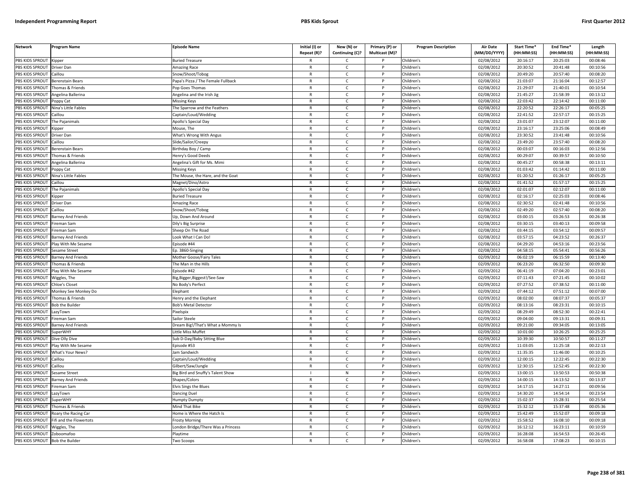| Network                | Program Name              | Episode Name                       | Initial (I) or<br>Repeat (R)? | New (N) or<br>Continuing (C)? | Primary (P) or<br>Multicast (M)? | <b>Program Description</b> | <b>Air Date</b><br>(MM/DD/YYYY) | <b>Start Time*</b><br>(HH:MM:SS) | End Time*<br>(HH:MM:SS) | Length<br>(HH:MM:SS) |
|------------------------|---------------------------|------------------------------------|-------------------------------|-------------------------------|----------------------------------|----------------------------|---------------------------------|----------------------------------|-------------------------|----------------------|
| PBS KIDS SPROUT        | Kipper                    | <b>Buried Treasure</b>             |                               | C                             |                                  | Children's                 | 02/08/2012                      | 20:16:17                         | 20:25:03                | 00:08:46             |
| PBS KIDS SPROUT        | Driver Dan                | <b>Amazing Race</b>                | $\mathsf{R}$                  | $\mathsf{C}$                  | P                                | Children's                 | 02/08/2012                      | 20:30:52                         | 20:41:48                | 00:10:56             |
| PBS KIDS SPROUT        | Caillou                   | Snow/Shoot/Tobog                   | $\mathsf{R}$                  | $\mathsf{C}$                  | P                                | Children's                 | 02/08/2012                      | 20:49:20                         | 20:57:40                | 00:08:20             |
| PBS KIDS SPROUT        | Berenstain Bears          | Papa's Pizza / The Female Fullback | $\mathsf{R}$                  | $\mathsf{C}$                  | P                                | Children's                 | 02/08/2012                      | 21:03:07                         | 21:16:04                | 00:12:57             |
| PBS KIDS SPROUT        | Thomas & Friends          | Pop Goes Thomas                    | R                             | $\mathsf{C}$                  |                                  | Children's                 | 02/08/2012                      | 21:29:07                         | 21:40:01                | 00:10:54             |
| PBS KIDS SPROUT        | Angelina Ballerina        | Angelina and the Irish Jig         | $\mathsf{R}$                  | $\mathsf{C}$                  |                                  | Children's                 | 02/08/2012                      | 21:45:27                         | 21:58:39                | 00:13:12             |
| <b>BS KIDS SPROUT</b>  | Poppy Cat                 | Missing Keys                       | $\mathsf{R}$                  | C                             |                                  | Children's                 | 02/08/2012                      | 22:03:42                         | 22:14:42                | 00:11:00             |
| PBS KIDS SPROUT        | Nina's Little Fables      | The Sparrow and the Feathers       | $\mathsf{R}$                  | $\mathsf{C}$                  | P                                | Children's                 | 02/08/2012                      | 22:20:52                         | 22:26:17                | 00:05:25             |
| PBS KIDS SPROUT        | Caillou                   | Captain/Loud/Wedding               | R                             | $\mathsf{C}$                  | P                                | Children's                 | 02/08/2012                      | 22:41:52                         | 22:57:17                | 00:15:25             |
| PBS KIDS SPROUT        | he Pajanimals             | Apollo's Special Day               | $\mathsf{R}$                  | $\mathsf{C}$                  | P                                | Children's                 | 02/08/2012                      | 23:01:07                         | 23:12:07                | 00:11:00             |
| PBS KIDS SPROUT        | Kipper                    | Mouse, The                         | $\mathsf{R}$                  | $\mathsf{C}$                  | P                                | Children's                 | 02/08/2012                      | 23:16:17                         | 23:25:06                | 00:08:49             |
| PBS KIDS SPROUT        | Driver Dan                | What's Wrong With Angus            | ${\sf R}$                     | $\mathsf{C}$                  | P                                | Children's                 | 02/08/2012                      | 23:30:52                         | 23:41:48                | 00:10:56             |
| PBS KIDS SPROUT        | Caillou                   | Slide/Sailor/Creepy                | R                             | $\mathsf{C}$                  | P                                | Children's                 | 02/08/2012                      | 23:49:20                         | 23:57:40                | 00:08:20             |
| PBS KIDS SPROUT        | Berenstain Bears          | Birthday Boy / Camp                | $\mathsf{R}$                  | C                             | P                                | Children's                 | 02/08/2012                      | 00:03:07                         | 00:16:03                | 00:12:56             |
| PBS KIDS SPROUT        | homas & Friends           | Henry's Good Deeds                 | $\mathsf{R}$                  | $\mathsf{C}$                  | P                                | Children's                 | 02/08/2012                      | 00:29:07                         | 00:39:57                | 00:10:50             |
| PBS KIDS SPROUT        | Angelina Ballerina        | Angelina's Gift for Ms. Mimi       | $\mathsf{R}$                  | $\mathsf{C}$                  | P                                | Children's                 | 02/08/2012                      | 00:45:27                         | 00:58:38                | 00:13:11             |
| PBS KIDS SPROUT        | oppy Cat                  | Missing Keys                       | $\mathsf{R}$                  | $\mathsf{C}$                  | P                                | Children's                 | 02/08/2012                      | 01:03:42                         | 01:14:42                | 00:11:00             |
| PBS KIDS SPROUT        | Nina's Little Fables      | The Mouse, the Hare, and the Goat  | $\mathsf{R}$                  | $\mathsf{C}$                  | P                                | Children's                 | 02/08/2012                      | 01:20:52                         | 01:26:17                | 00:05:25             |
| PBS KIDS SPROUT        | Caillou                   | Magnet/Dino/Astro                  | $\mathsf{R}$                  | $\mathsf{C}$                  | P                                | Children's                 | 02/08/2012                      | 01:41:52                         | 01:57:17                | 00:15:25             |
| PBS KIDS SPROUT        | The Pajanimals            | Apollo's Special Day               | R                             | C                             | P                                | Children's                 | 02/08/2012                      | 02:01:07                         | 02:12:07                | 00:11:00             |
| PBS KIDS SPROUT        | (ippe                     | <b>Buried Treasure</b>             | $\mathsf{R}$                  | $\mathsf{C}$                  |                                  | Children's                 | 02/08/2012                      | 02:16:17                         | 02:25:03                | 00:08:46             |
| <b>BS KIDS SPROUT</b>  | Driver Dan                | Amazing Race                       | $\mathsf{R}$                  | $\mathsf{C}$                  |                                  | Children's                 | 02/08/2012                      | 02:30:52                         | 02:41:48                | 00:10:56             |
| PBS KIDS SPROUT        | aillou                    | Snow/Shoot/Tobog                   | $\mathsf{R}$                  | $\mathsf{C}$                  | P                                | Children's                 | 02/08/2012                      | 02:49:20                         | 02:57:40                | 00:08:20             |
| PBS KIDS SPROUT        | <b>Barney And Friends</b> | Jp, Down And Around                | R                             | $\mathsf{C}$                  | P                                | Children's                 | 02/08/2012                      | 03:00:15                         | 03:26:53                | 00:26:38             |
| PBS KIDS SPROUT        | ireman Sam                | Dily's Big Surprise                | $\mathsf{R}$                  | $\mathsf{C}$                  | P                                | Children's                 | 02/08/2012                      | 03:30:15                         | 03:40:13                | 00:09:58             |
| PBS KIDS SPROUT        | Fireman Sam               | Sheep On The Road                  | $\mathsf{R}$                  | $\mathsf{C}$                  | P                                | Children's                 | 02/08/2012                      | 03:44:15                         | 03:54:12                | 00:09:57             |
| PBS KIDS SPROUT        | Barney And Friends        | ook What I Can Do!                 | $\mathsf{R}$                  | $\mathsf{C}$                  | P                                | Children's                 | 02/08/2012                      | 03:57:15                         | 04:23:52                | 00:26:37             |
| PBS KIDS SPROUT        | Play With Me Sesame       | pisode #44                         | R                             | $\mathsf{C}$                  | P                                | Children's                 | 02/08/2012                      | 04:29:20                         | 04:53:16                | 00:23:56             |
| <b>PBS KIDS SPROUT</b> | esame Street              | p. 3860-Singing                    | $\mathsf{R}$                  | $\mathsf{C}$                  | P                                | Children's                 | 02/08/2012                      | 04:58:15                         | 05:54:41                | 00:56:26             |
| PBS KIDS SPROUT        | <b>Barney And Friends</b> | Mother Goose/Fairy Tales           | $\mathsf{R}$                  | $\mathsf{C}$                  | P                                | Children's                 | 02/09/2012                      | 06:02:19                         | 06:15:59                | 00:13:40             |
| PBS KIDS SPROUT        | Thomas & Friends          | The Man in the Hills               | $\mathsf{R}$                  | $\mathsf{C}$                  | D                                | Children's                 | 02/09/2012                      | 06:23:20                         | 06:32:50                | 00:09:30             |
| PBS KIDS SPROUT        | Play With Me Sesame       | pisode #42                         | $\mathsf{R}$                  | $\mathsf{C}$                  | P                                | Children's                 | 02/09/2012                      | 06:41:19                         | 07:04:20                | 00:23:01             |
| PBS KIDS SPROUT        | Wiggles, The              | Big, Bigger, Biggest!/See-Saw      | $\mathsf{R}$                  | $\mathsf{C}$                  | P                                | Children's                 | 02/09/2012                      | 07:11:43                         | 07:21:45                | 00:10:02             |
| PBS KIDS SPROUT        | Chloe's Closet            | No Body's Perfect                  | $\mathsf{R}$                  | $\mathsf{C}$                  | P                                | Children's                 | 02/09/2012                      | 07:27:52                         | 07:38:52                | 00:11:00             |
| PBS KIDS SPROUT        | Monkey See Monkey Do      | lephant                            | R                             | C                             | P                                | Children's                 | 02/09/2012                      | 07:44:12                         | 07:51:12                | 00:07:00             |
| PBS KIDS SPROUT        | Thomas & Friends          | lenry and the Elephant             | $\mathsf{R}$                  | $\mathsf{C}$                  | P                                | Children's                 | 02/09/2012                      | 08:02:00                         | 08:07:37                | 00:05:37             |
| <b>BS KIDS SPROUT</b>  | <b>Bob the Builder</b>    | <b>Bob's Metal Detector</b>        | R                             | $\mathsf{C}$                  |                                  | Children's                 | 02/09/2012                      | 08:13:16                         | 08:23:31                | 00:10:15             |
| PBS KIDS SPROUT        | azyTowr                   | ixelspix                           | $\mathsf{R}$                  | $\mathsf{C}$                  | D                                | Children's                 | 02/09/2012                      | 08:29:49                         | 08:52:30                | 00:22:41             |
| PBS KIDS SPROUT        | ireman Sam                | Sailor Steele                      | $\mathsf{R}$                  | $\mathsf{C}$                  | P                                | Children's                 | 02/09/2012                      | 09:04:00                         | 09:13:31                | 00:09:31             |
| PBS KIDS SPROUT        | arney And Friends         | Dream Big!/That's What a Mommy Is  | $\mathsf{R}$                  | $\mathsf{C}$                  | D                                | Children's                 | 02/09/2012                      | 09:21:00                         | 09:34:05                | 00:13:05             |
| PBS KIDS SPROUT        | <b>SuperWHY</b>           | Little Miss Muffet                 | $\mathsf{R}$                  | $\mathsf{C}$                  | P                                | Children's                 | 02/09/2012                      | 10:01:00                         | 10:26:25                | 00:25:25             |
| PBS KIDS SPROUT        | Dive Olly Dive            | Sub D-Day/Baby Sitting Blue        | $\mathsf{R}$                  | $\mathsf{C}$                  | P                                | Children's                 | 02/09/2012                      | 10:39:30                         | 10:50:57                | 00:11:27             |
| PBS KIDS SPROUT        | Play With Me Sesame       | pisode #53                         | R                             | $\mathsf{C}$                  | P                                | Children's                 | 02/09/2012                      | 11:03:05                         | 11:25:18                | 00:22:13             |
| PBS KIDS SPROUT        | What's Your News?         | am Sandwich                        | $\mathsf{R}$                  | $\mathsf{C}$                  | P                                | Children's                 | 02/09/2012                      | 11:35:35                         | 11:46:00                | 00:10:25             |
| PBS KIDS SPROUT        | Caillou                   | Captain/Loud/Wedding               | $\mathsf{R}$                  | $\mathsf{C}$                  | P                                | Children's                 | 02/09/2012                      | 12:00:15                         | 12:22:45                | 00:22:30             |
| PBS KIDS SPROUT        | aillou                    | Gilbert/Saw/Jungle                 | R                             | $\mathsf{C}$                  |                                  | Children's                 | 02/09/2012                      | 12:30:15                         | 12:52:45                | 00:22:30             |
| PBS KIDS SPROUT        | Sesame Street             | Big Bird and Snuffy's Talent Show  | $\mathbf{I}$                  | ${\sf N}$                     | $\mathsf{P}$                     | Children's                 | 02/09/2012                      | 13:00:15                         | 13:50:53                | 00:50:38             |
| PBS KIDS SPROUT        | <b>Barney And Friends</b> | Shapes/Colors                      | $\mathsf{R}$                  | $\mathsf{C}$                  | P                                | Children's                 | 02/09/2012                      | 14:00:15                         | 14:13:52                | 00:13:37             |
| PBS KIDS SPROUT        | Fireman Sam               | Elvis Sings the Blues              | $\mathsf{R}$                  | $\mathsf{C}$                  | P                                | Children's                 | 02/09/2012                      | 14:17:15                         | 14:27:11                | 00:09:56             |
| PBS KIDS SPROUT        | LazyTown                  | Dancing Duel                       | R                             | $\mathsf{C}$                  | P                                | Children's                 | 02/09/2012                      | 14:30:20                         | 14:54:14                | 00:23:54             |
| PBS KIDS SPROUT        | SuperWHY                  | lumpty Dumpty                      | $\mathsf{R}$                  | $\mathsf{C}$                  | P                                | Children's                 | 02/09/2012                      | 15:02:37                         | 15:28:31                | 00:25:54             |
| <b>BS KIDS SPROUT</b>  | Thomas & Friends          | Mind That Bike                     | $\mathsf{R}$                  | $\mathsf{C}$                  |                                  | Children's                 | 02/09/2012                      | 15:32:12                         | 15:37:48                | 00:05:36             |
| PBS KIDS SPROUT        | Roary the Racing Car      | Iome is Where the Hatch Is         | $\mathsf{R}$                  | $\mathsf{C}$                  | D                                | Children's                 | 02/09/2012                      | 15:42:49                         | 15:52:07                | 00:09:18             |
| PBS KIDS SPROUT        | ifi and the Flowertots    | rosty Morning                      | R                             | С                             |                                  | Children's                 | 02/09/2012                      | 15:58:52                         | 16:08:10                | 00:09:18             |
| PBS KIDS SPROUT        | Viggles, The              | ondon Bridge/There Was a Princess. | $\mathsf{R}$                  | $\mathsf{C}$                  |                                  | Children's                 | 02/09/2012                      | 16:12:12                         | 16:23:11                | 00:10:59             |
| PBS KIDS SPROUT        | Zoboomafoo                | Playtime                           | $\mathsf{R}$                  | $\mathsf{C}$                  | P                                | Children's                 | 02/09/2012                      | 16:28:08                         | 16:54:53                | 00:26:45             |
| PBS KIDS SPROUT        | <b>Bob the Builde</b>     | Two Scoops                         | R                             | Ċ                             | p                                | Children's                 | 02/09/2012                      | 16:58:08                         | 17:08:23                | 00:10:15             |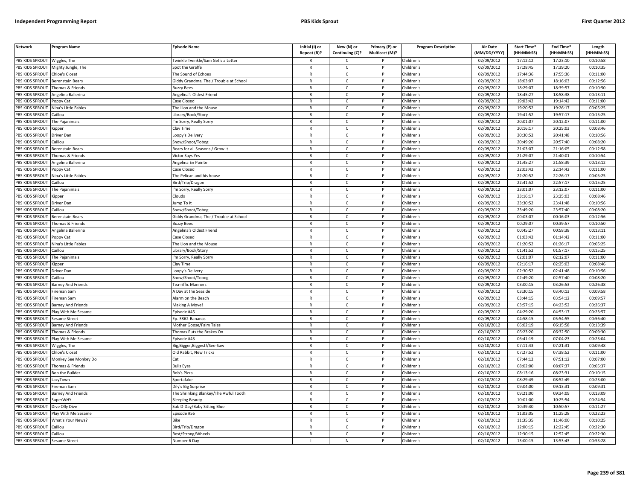| <b>Network</b>                | <b>Program Name</b>       | <b>Episode Name</b>                    | Initial (I) or | New (N) or      | Primary (P) or | <b>Program Description</b> | <b>Air Date</b>     | Start Time* | End Time*  | Length     |
|-------------------------------|---------------------------|----------------------------------------|----------------|-----------------|----------------|----------------------------|---------------------|-------------|------------|------------|
|                               |                           |                                        | Repeat (R)?    | Continuing (C)? | Multicast (M)? |                            | (MM/DD/YYYY)        | (HH:MM:SS)  | (HH:MM:SS) | (HH:MM:SS) |
| PBS KIDS SPROUT               | Wiggles, The              | winkle Twinkle/Sam Get's a Letter      | R              | Ċ               |                | Children's                 | 02/09/2012          | 17:12:12    | 17:23:10   | 00:10:58   |
| PBS KIDS SPROUT               | Mighty Jungle, The        | Spot the Giraffe                       | $\mathsf{R}$   | $\mathsf{C}$    | P              | Children's                 | 02/09/2012          | 17:28:45    | 17:39:20   | 00:10:35   |
| <b>BS KIDS SPROUT</b>         | Chloe's Closet            | The Sound of Echoes                    | $\mathsf{R}$   | $\mathsf{C}$    |                | Children's                 | 02/09/2012          | 17:44:36    | 17:55:36   | 00:11:00   |
| PBS KIDS SPROUT               | Berenstain Bears          | Giddy Grandma, The / Trouble at School | $\mathsf{R}$   | $\mathsf{C}$    | Þ              | Children's                 | 02/09/2012          | 18:03:07    | 18:16:03   | 00:12:56   |
| PBS KIDS SPROUT               | homas & Friends           | <b>Buzzy Bees</b>                      | $\mathsf{R}$   | C               |                | Children's                 | 02/09/2012          | 18:29:07    | 18:39:57   | 00:10:50   |
| PBS KIDS SPROUT               | ngelina Ballerina         | <b>Ingelina's Oldest Friend</b>        | $\mathsf{R}$   | $\mathsf{C}$    | P              | Children's                 | 02/09/2012          | 18:45:27    | 18:58:38   | 00:13:11   |
| PBS KIDS SPROUT               | oppy Cat                  | Case Closed                            | R              | $\mathsf{C}$    | P              | Children's                 | 02/09/2012          | 19:03:42    | 19:14:42   | 00:11:00   |
| PBS KIDS SPROUT               | Nina's Little Fables      | The Lion and the Mouse                 | $\mathsf{R}$   | $\mathsf{C}$    | P              | Children's                 | 02/09/2012          | 19:20:52    | 19:26:17   | 00:05:25   |
| PBS KIDS SPROUT               | Caillou                   | ibrary/Book/Story.                     | $\mathsf{R}$   | $\mathsf{C}$    | P              | Children's                 | 02/09/2012          | 19:41:52    | 19:57:17   | 00:15:25   |
| PBS KIDS SPROUT               | he Pajanimals             | m Sorry, Really Sorry                  | $\mathsf{R}$   | $\mathsf{C}$    |                | Children's                 | 02/09/2012          | 20:01:07    | 20:12:07   | 00:11:00   |
| PBS KIDS SPROUT               | Kipper                    | lay Time                               | $\mathsf{R}$   | $\mathsf{C}$    | P              | Children's                 | 02/09/2012          | 20:16:17    | 20:25:03   | 00:08:46   |
| PBS KIDS SPROUT               | Driver Dan                | oopy's Delivery                        | $\mathsf{R}$   | $\mathsf{C}$    |                | Children's                 | 02/09/2012          | 20:30:52    | 20:41:48   | 00:10:56   |
| PBS KIDS SPROUT               | aillou                    | inow/Shoot/Tobog                       | $\mathsf{R}$   | $\mathsf{C}$    | P              | Children's                 | 02/09/2012          | 20:49:20    | 20:57:40   | 00:08:20   |
| PBS KIDS SPROUT               | Berenstain Bears          | Bears for all Seasons / Grow It        | R              | $\mathsf{C}$    |                | Children's                 | 02/09/2012          | 21:03:07    | 21:16:05   | 00:12:58   |
| PBS KIDS SPROUT               | homas & Friends           | Victor Says Yes                        | $\mathsf{R}$   | $\mathsf{C}$    | $\mathsf{P}$   | Children's                 | 02/09/2012          | 21:29:07    | 21:40:01   | 00:10:54   |
| PBS KIDS SPROUT               | Angelina Ballerina        | Angelina En Pointe                     | R              | C               | P              | Children's                 | 02/09/2012          | 21:45:27    | 21:58:39   | 00:13:12   |
| PBS KIDS SPROUT               | oppy Cat                  | Case Closed                            | R              | $\mathsf{C}$    | P              | Children's                 | 02/09/2012          | 22:03:42    | 22:14:42   | 00:11:00   |
| PBS KIDS SPROUT               | Nina's Little Fables      | The Pelican and his house              | $\mathsf{R}$   | $\mathsf{C}$    | P              | Children's                 | 02/09/2012          | 22:20:52    | 22:26:17   | 00:05:25   |
| PBS KIDS SPROUT               | aillou                    | Bird/Trip/Dragon                       | $\mathsf{R}$   | $\mathsf{C}$    | P              | Children's                 | $\sqrt{02}/09/2012$ | 22:41:52    | 22:57:17   | 00:15:25   |
| PBS KIDS SPROUT               | The Pajanimals            | m Sorry, Really Sorry                  | R              | Ċ               |                | Children's                 | 02/09/2012          | 23:01:07    | 23:12:07   | 00:11:00   |
| PBS KIDS SPROUT               | ippe                      | louds                                  | $\mathsf{R}$   | $\mathsf{C}$    | Þ              | Children's                 | 02/09/2012          | 23:16:17    | 23:25:03   | 00:08:46   |
| <b>BS KIDS SPROUT</b>         | Driver Dan                | ump To It                              | R              | C               |                | Children's                 | 02/09/2012          | 23:30:52    | 23:41:48   | 00:10:56   |
| PBS KIDS SPROUT               | aillou                    | Snow/Shoot/Tobog                       | $\mathsf{R}$   | $\mathsf{C}$    | Þ              | Children's                 | 02/09/2012          | 23:49:20    | 23:57:40   | 00:08:20   |
| PBS KIDS SPROUT               | Berenstain Bears          | Giddy Grandma, The / Trouble at School | R              | $\mathsf{C}$    | P              | Children's                 | 02/09/2012          | 00:03:07    | 00:16:03   | 00:12:56   |
| PBS KIDS SPROUT               | homas & Friends           | <b>Buzzy Bees</b>                      | $\mathsf{R}$   | $\mathsf{C}$    | D              | Children's                 | 02/09/2012          | 00:29:07    | 00:39:57   | 00:10:50   |
| PBS KIDS SPROUT               | Angelina Ballerina        | Angelina's Oldest Friend               | $\mathsf{R}$   | $\mathsf{C}$    | P              | Children's                 | 02/09/2012          | 00:45:27    | 00:58:38   | 00:13:11   |
| PBS KIDS SPROUT               | oppy Cat                  | Case Closed                            | R              | $\mathsf{C}$    |                | Children's                 | $\sqrt{02}/09/2012$ | 01:03:42    | 01:14:42   | 00:11:00   |
| PBS KIDS SPROUT               | Nina's Little Fables      | The Lion and the Mouse                 | $\mathsf{R}$   | $\mathsf{C}$    | P              | Children's                 | 02/09/2012          | 01:20:52    | 01:26:17   | 00:05:25   |
| PBS KIDS SPROUT               | aillou                    | ibrary/Book/Story                      | $\mathsf{R}$   | $\mathsf{C}$    |                | Children's                 | 02/09/2012          | 01:41:52    | 01:57:17   | 00:15:25   |
| PBS KIDS SPROUT               | The Pajanimals            | 'm Sorry, Really Sorry                 | $\mathsf{R}$   | $\mathsf{C}$    | P              | Children's                 | 02/09/2012          | 02:01:07    | 02:12:07   | 00:11:00   |
| PBS KIDS SPROUT               | Kipper                    | lay Time                               | R              | $\mathsf{C}$    |                | Children's                 | 02/09/2012          | 02:16:17    | 02:25:03   | 00:08:46   |
| PBS KIDS SPROUT               | Driver Dan                | oopy's Delivery                        | $\mathsf{R}$   | $\mathsf{C}$    | P              | Children's                 | 02/09/2012          | 02:30:52    | 02:41:48   | 00:10:56   |
| PBS KIDS SPROUT               | aillou                    | Snow/Shoot/Tobog                       | $\mathsf{R}$   | $\mathsf{C}$    | P              | Children's                 | 02/09/2012          | 02:49:20    | 02:57:40   | 00:08:20   |
| PBS KIDS SPROUT               | <b>Barney And Friends</b> | Tea-riffic Manners                     | R              | C               | P              | Children's                 | 02/09/2012          | 03:00:15    | 03:26:53   | 00:26:38   |
| PBS KIDS SPROUT               | ireman Sam                | A Day at the Seaside                   | R              | $\mathsf{C}$    | P              | Children's                 | 02/09/2012          | 03:30:15    | 03:40:13   | 00:09:58   |
| PBS KIDS SPROUT               | ireman Sam                | Alarm on the Beach                     | $\mathsf{R}$   | $\mathsf{C}$    | P              | Children's                 | 02/09/2012          | 03:44:15    | 03:54:12   | 00:09:57   |
| PBS KIDS SPROUT               | <b>Barney And Friends</b> | Making A Move!                         | R              | Ċ               |                | Children's                 | 02/09/2012          | 03:57:15    | 04:23:52   | 00:26:37   |
| PBS KIDS SPROUT               | Play With Me Sesame       | pisode #45                             | $\mathsf{R}$   | $\mathsf{C}$    | Þ              | Children's                 | 02/09/2012          | 04:29:20    | 04:53:17   | 00:23:57   |
| PBS KIDS SPROUT               | Sesame Street             | p. 3862-Bananas                        | R              | C               |                | Children's                 | 02/09/2012          | 04:58:15    | 05:54:55   | 00:56:40   |
| PBS KIDS SPROUT               | Barney And Friends        | Mother Goose/Fairy Tales               | $\mathsf{R}$   | $\mathsf{C}$    |                | Children's                 | 02/10/2012          | 06:02:19    | 06:15:58   | 00:13:39   |
| <b>BS KIDS SPROUT</b>         | Thomas & Friends          | homas Puts the Brakes On               | $\mathsf{R}$   | $\mathsf{C}$    | P              | Children's                 | 02/10/2012          | 06:23:20    | 06:32:50   | 00:09:30   |
| PBS KIDS SPROUT               | lay With Me Sesame        | pisode #43                             | $\mathsf{R}$   | $\mathsf{C}$    | Þ              | Children's                 | 02/10/2012          | 06:41:19    | 07:04:23   | 00:23:04   |
| PBS KIDS SPROUT               | Wiggles, The              | 3ig, Bigger, Biggest!/See-Saw          | $\mathsf{R}$   | $\mathsf{C}$    | P              | Children's                 | 02/10/2012          | 07:11:43    | 07:21:31   | 00:09:48   |
| PBS KIDS SPROUT               | hloe's Closet             | Old Rabbit, New Tricks                 | $\mathsf{R}$   | $\mathsf{C}$    | D              | Children's                 | 02/10/2012          | 07:27:52    | 07:38:52   | 00:11:00   |
| PBS KIDS SPROUT               | Monkey See Monkey Do      | Cat                                    | $\mathsf{R}$   | $\mathsf{C}$    | P              | Children's                 | 02/10/2012          | 07:44:12    | 07:51:12   | 00:07:00   |
| PBS KIDS SPROUT               | Thomas & Friends          | <b>Bulls Eyes</b>                      | $\mathsf{R}$   | $\mathsf{C}$    | D              | Children's                 | 02/10/2012          | 08:02:00    | 08:07:37   | 00:05:37   |
| PBS KIDS SPROUT               | <b>Bob the Builder</b>    | <b>Bob's Pizza</b>                     | R              | $\mathsf{C}$    | P              | Children's                 | 02/10/2012          | 08:13:16    | 08:23:31   | 00:10:15   |
| PBS KIDS SPROUT               | azyTown                   | iportafake                             | $\mathsf{R}$   | $\mathsf{C}$    | P              | Children's                 | 02/10/2012          | 08:29:49    | 08:52:49   | 00:23:00   |
| PBS KIDS SPROUT               | ireman Sam                | Dily's Big Surprise                    | $\mathsf{R}$   | $\mathsf{C}$    | $\mathsf{P}$   | Children's                 | 02/10/2012          | 09:04:00    | 09:13:31   | 00:09:31   |
| PBS KIDS SPROUT               | <b>Barney And Friends</b> | The Shrinking Blankey/The Awful Tooth  | $\mathsf{R}$   | C               |                | Children's                 | 02/10/2012          | 09:21:00    | 09:34:09   | 00:13:09   |
| PBS KIDS SPROUT               | SuperWHY                  | Sleeping Beauty                        | R              | $\mathsf{C}$    | P              | Children's                 | 02/10/2012          | 10:01:00    | 10:25:54   | 00:24:54   |
| PBS KIDS SPROUT               | Dive Olly Dive            | Sub D-Day/Baby Sitting Blue            | $\mathsf{R}$   | C               | P              | Children's                 | 02/10/2012          | 10:39:30    | 10:50:57   | 00:11:27   |
| PBS KIDS SPROUT               | Play With Me Sesame       | Episode #56                            | $\mathsf{R}$   | $\mathsf{C}$    | P              | Children's                 | 02/10/2012          | 11:03:05    | 11:25:28   | 00:22:23   |
| PBS KIDS SPROUT               | What's Your News?         | <b>Bike</b>                            | R              | Ċ               |                | Children's                 | 02/10/2012          | 11:35:35    | 11:46:00   | 00:10:25   |
| PBS KIDS SPROUT               | Caillou                   | Sird/Trip/Dragon                       | $\mathsf{R}$   | $\mathsf{C}$    | P              | Children's                 | 02/10/2012          | 12:00:15    | 12:22:45   | 00:22:30   |
| PBS KIDS SPROUT               | Caillou                   | Best/Strong/Wheels                     | R              | C               |                | Children's                 | 02/10/2012          | 12:30:15    | 12:52:45   | 00:22:30   |
| PBS KIDS SPROUT Sesame Street |                           | Number 6 Day                           |                | N               |                | Children's                 | 02/10/2012          | 13:00:15    | 13:53:43   | 00:53:28   |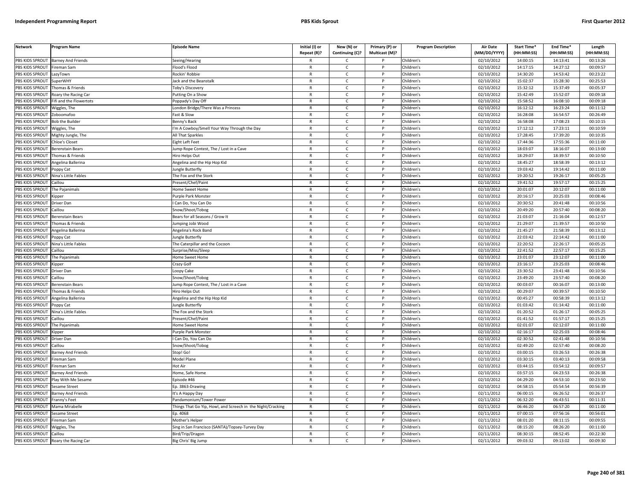| <b>Network</b>        | Program Name                                                                                                                                                                                                     | <b>Episode Name</b>                                        | Initial (I) or<br>Repeat (R)? | New (N) or<br>Continuing (C)? | Primary (P) or<br>Multicast (M)? | <b>Program Description</b> | <b>Air Date</b><br>(MM/DD/YYYY) | Start Time*<br>(HH:MM:SS) | End Time*<br>(HH:MM:SS) | Length<br>(HH:MM:SS) |
|-----------------------|------------------------------------------------------------------------------------------------------------------------------------------------------------------------------------------------------------------|------------------------------------------------------------|-------------------------------|-------------------------------|----------------------------------|----------------------------|---------------------------------|---------------------------|-------------------------|----------------------|
| PBS KIDS SPROUT       | <b>Barney And Friends</b>                                                                                                                                                                                        | Seeing/Hearing                                             |                               | C                             |                                  | Children's                 | 02/10/2012                      | 14:00:15                  | 14:13:41                | 00:13:26             |
| PBS KIDS SPROUT       | Fireman Sam                                                                                                                                                                                                      | Flood's Flood                                              | $\mathsf{R}$                  | $\mathsf{C}$                  | $\mathsf{P}$                     | Children's                 | 02/10/2012                      | 14:17:15                  | 14:27:12                | 00:09:57             |
| PBS KIDS SPROUT       | LazyTown                                                                                                                                                                                                         | Rockin' Robbie                                             | $\mathsf{R}$                  | $\mathsf{C}$                  | P                                | Children's                 | 02/10/2012                      | 14:30:20                  | 14:53:42                | 00:23:22             |
| PBS KIDS SPROUT       | SuperWHY                                                                                                                                                                                                         | Jack and the Beanstalk                                     | $\mathsf{R}$                  | $\mathsf{C}$                  | P                                | Children's                 | 02/10/2012                      | 15:02:37                  | 15:28:30                | 00:25:53             |
| PBS KIDS SPROUT       | Thomas & Friends                                                                                                                                                                                                 | Toby's Discovery                                           | R                             | $\mathsf{C}$                  | P                                | Children's                 | 02/10/2012                      | 15:32:12                  | 15:37:49                | 00:05:37             |
| PBS KIDS SPROUT       | Roary the Racing Car                                                                                                                                                                                             | utting On a Show                                           | $\overline{R}$                | $\mathsf{C}$                  |                                  | Children's                 | 02/10/2012                      | 15:42:49                  | 15:52:07                | 00:09:18             |
| <b>BS KIDS SPROUT</b> | ifi and the Flowertots                                                                                                                                                                                           | oppady's Day Off                                           | R                             | C                             |                                  | Children's                 | 02/10/2012                      | 15:58:52                  | 16:08:10                | 00:09:18             |
| PBS KIDS SPROUT       | Niggles, The                                                                                                                                                                                                     | ondon Bridge/There Was a Princess                          | $\mathsf{R}$                  | $\mathsf{C}$                  | P                                | Children's                 | 02/10/2012                      | 16:12:12                  | 16:23:24                | 00:11:12             |
| PBS KIDS SPROUT       | Zoboomafoo                                                                                                                                                                                                       | Fast & Slow                                                | R                             | c                             | P                                | Children's                 | 02/10/2012                      | 16:28:08                  | 16:54:57                | 00:26:49             |
| PBS KIDS SPROUT       | <b>Bob the Builder</b>                                                                                                                                                                                           | Benny's Bacl                                               | $\mathsf{R}$                  | $\mathsf{C}$                  | P                                | Children's                 | 02/10/2012                      | 16:58:08                  | 17:08:23                | 00:10:15             |
| PBS KIDS SPROUT       | Wiggles, The                                                                                                                                                                                                     | 'm A Cowboy/Smell Your Way Through the Day                 | R                             | $\mathsf{C}$                  | P                                | Children's                 | 02/10/2012                      | 17:12:12                  | 17:23:11                | 00:10:59             |
| PBS KIDS SPROUT       | Mighty Jungle, The                                                                                                                                                                                               | All That Sparkles                                          | $\mathsf{R}$                  | $\mathsf{C}$                  | P                                | Children's                 | 02/10/2012                      | 17:28:45                  | 17:39:20                | 00:10:35             |
| PBS KIDS SPROUT       | Chloe's Closet                                                                                                                                                                                                   | ight Left Feet                                             | $\mathsf{R}$                  | $\mathsf{C}$                  | P                                | Children's                 | 02/10/2012                      | 17:44:36                  | 17:55:36                | 00:11:00             |
| PBS KIDS SPROUT       | Berenstain Bears                                                                                                                                                                                                 | ump Rope Contest, The / Lost in a Cave                     | $\mathsf{R}$                  | $\mathsf{C}$                  | P                                | Children's                 | 02/10/2012                      | 18:03:07                  | 18:16:07                | 00:13:00             |
| PBS KIDS SPROUT       | homas & Friends                                                                                                                                                                                                  | Hiro Helps Out                                             | $\mathsf{R}$                  | $\mathsf{C}$                  | P                                | Children's                 | 02/10/2012                      | 18:29:07                  | 18:39:57                | 00:10:50             |
| PBS KIDS SPROUT       | Angelina Ballerina                                                                                                                                                                                               | Angelina and the Hip Hop Kid                               | R                             | $\mathsf{C}$                  | P                                | Children's                 | 02/10/2012                      | 18:45:27                  | 18:58:39                | 00:13:12             |
| PBS KIDS SPROUT       | oppy Cat                                                                                                                                                                                                         | ungle Butterfly                                            | R                             | $\mathsf{C}$                  | P                                | Children's                 | 02/10/2012                      | 19:03:42                  | 19:14:42                | 00:11:00             |
| PBS KIDS SPROUT       | Nina's Little Fables                                                                                                                                                                                             | he Fox and the Stork                                       | $\mathsf{R}$                  | $\mathsf{C}$                  | P                                | Children's                 | 02/10/2012                      | 19:20:52                  | 19:26:17                | 00:05:25             |
| PBS KIDS SPROUT       | Caillou                                                                                                                                                                                                          | Present/Chef/Paint                                         | R                             | c                             | P                                | Children's                 | 02/10/2012                      | 19:41:52                  | 19:57:17                | 00:15:25             |
| PBS KIDS SPROUT       | The Pajanimals                                                                                                                                                                                                   | Iome Sweet Home                                            | R                             | $\mathsf{C}$                  | P                                | Children's                 | 02/10/2012                      | 20:01:07                  | 20:12:07                | 00:11:00             |
| PBS KIDS SPROUT       | <b>Kipper</b>                                                                                                                                                                                                    | urple Park Monster                                         | $\mathsf{R}$                  | $\mathsf{C}$                  | P                                | Children's                 | 02/10/2012                      | 20:16:17                  | 20:25:03                | 00:08:46             |
| PBS KIDS SPROUT       | Driver Dan                                                                                                                                                                                                       | Can Do, You Can Do                                         | R                             | $\mathsf{C}$                  | P                                | Children's                 | 02/10/2012                      | 20:30:52                  | 20:41:48                | 00:10:56             |
| PBS KIDS SPROUT       | aillou                                                                                                                                                                                                           | Snow/Shoot/Tobog                                           | $\mathsf{R}$                  | $\mathsf{C}$                  | <b>D</b>                         | Children's                 | 02/10/2012                      | 20:49:20                  | 20:57:40                | 00:08:20             |
| PBS KIDS SPROUT       | Berenstain Bears                                                                                                                                                                                                 | Bears for all Seasons / Grow It                            | R                             | C                             | P                                | Children's                 | 02/10/2012                      | 21:03:07                  | 21:16:04                | 00:12:57             |
| PBS KIDS SPROUT       | homas & Friends                                                                                                                                                                                                  | umping Jobi Wood                                           | $\mathsf{R}$                  | $\mathsf{C}$                  | P                                | Children's                 | 02/10/2012                      | 21:29:07                  | 21:39:57                | 00:10:50             |
| PBS KIDS SPROUT       | Angelina Ballerina                                                                                                                                                                                               | Angelina's Rock Band                                       | R                             | $\mathsf{C}$                  | P                                | Children's                 | 02/10/2012                      | 21:45:27                  | 21:58:39                | 00:13:12             |
| PBS KIDS SPROUT       | oppy Cat                                                                                                                                                                                                         | ungle Butterfly                                            | $\mathsf{R}$                  | $\mathsf{C}$                  | P                                | Children's                 | 02/10/2012                      | 22:03:42                  | 22:14:42                | 00:11:00             |
| PBS KIDS SPROUT       | Nina's Little Fables                                                                                                                                                                                             | The Caterpillar and the Cocoon                             | $\mathsf{R}$                  | $\mathsf{C}$                  | P                                | Children's                 | 02/10/2012                      | 22:20:52                  | 22:26:17                | 00:05:25             |
| PBS KIDS SPROUT       | aillou                                                                                                                                                                                                           | Surprise/Miss/Sleep                                        | $\mathsf{R}$                  | $\mathsf{C}$                  | P                                | Children's                 | 02/10/2012                      | 22:41:52                  | 22:57:17                | 00:15:25             |
| PBS KIDS SPROUT       | The Pajanimals                                                                                                                                                                                                   | Home Sweet Home                                            | $\mathsf{R}$                  | $\mathsf{C}$                  | P                                | Children's                 | 02/10/2012                      | 23:01:07                  | 23:12:07                | 00:11:00             |
| PBS KIDS SPROUT       | (ipper                                                                                                                                                                                                           | Crazy Golf                                                 | $\mathsf{R}$                  | $\mathsf{C}$                  | P                                | Children's                 | 02/10/2012                      | 23:16:17                  | 23:25:03                | 00:08:46             |
| PBS KIDS SPROUT       | Driver Dan                                                                                                                                                                                                       | oopy Cake                                                  | $\mathsf{R}$                  | C                             | P                                | Children's                 | 02/10/2012                      | 23:30:52                  | 23:41:48                | 00:10:56             |
| PBS KIDS SPROUT       | aillou                                                                                                                                                                                                           | inow/Shoot/Tobog                                           | $\mathsf{R}$                  | $\mathsf{C}$                  | P                                | Children's                 | 02/10/2012                      | 23:49:20                  | 23:57:40                | 00:08:20             |
| PBS KIDS SPROUT       | Berenstain Bears                                                                                                                                                                                                 | ump Rope Contest, The / Lost in a Cave                     | $\mathsf{R}$                  | $\mathsf{C}$                  | P                                | Children's                 | 02/10/2012                      | 00:03:07                  | 00:16:07                | 00:13:00             |
| PBS KIDS SPROUT       | Thomas & Friends                                                                                                                                                                                                 | liro Helps Out                                             | R                             | $\mathsf{C}$                  | P                                | Children's                 | 02/10/2012                      | 00:29:07                  | 00:39:57                | 00:10:50             |
| PBS KIDS SPROUT       | Angelina Ballerina                                                                                                                                                                                               | Angelina and the Hip Hop Kid                               | $\mathsf{R}$                  | $\mathsf{C}$                  | P                                | Children's                 | 02/10/2012                      | 00:45:27                  | 00:58:39                | 00:13:12             |
| PBS KIDS SPROUT       | Poppy Cat                                                                                                                                                                                                        | ungle Butterfly                                            | R                             | C                             | P                                | Children's                 | 02/10/2012                      | 01:03:42                  | 01:14:42                | 00:11:00             |
| PBS KIDS SPROUT       | Nina's Little Fables                                                                                                                                                                                             | The Fox and the Stork                                      | $\mathsf{R}$                  | $\mathsf{C}$                  | P                                | Children's                 | 02/10/2012                      | 01:20:52                  | 01:26:17                | 00:05:25             |
| PBS KIDS SPROUT       | `aillou                                                                                                                                                                                                          | Present/Chef/Paint                                         | R                             | $\mathsf{C}$                  |                                  | Children's                 | 02/10/2012                      | 01:41:52                  | 01:57:17                | 00:15:25             |
| PBS KIDS SPROUT       | The Paianimals                                                                                                                                                                                                   | <b>Iome Sweet Home</b>                                     | $\mathsf{R}$                  | $\mathsf{C}$                  | P                                | Children's                 | 02/10/2012                      | 02:01:07                  | 02:12:07                | 00:11:00             |
| <b>BS KIDS SPROUT</b> | <ipper< td=""><td>urple Park Monster</td><td>R</td><td><math display="inline">\mathsf{C}</math></td><td>P</td><td>Children's</td><td>02/10/2012</td><td>02:16:17</td><td>02:25:03</td><td>00:08:46</td></ipper<> | urple Park Monster                                         | R                             | $\mathsf{C}$                  | P                                | Children's                 | 02/10/2012                      | 02:16:17                  | 02:25:03                | 00:08:46             |
| PBS KIDS SPROUT       | Driver Dan                                                                                                                                                                                                       | Can Do, You Can Do                                         | ${\sf R}$                     | $\mathsf{C}$                  | P                                | Children's                 | 02/10/2012                      | 02:30:52                  | 02:41:48                | 00:10:56             |
| PBS KIDS SPROUT       | Caillou                                                                                                                                                                                                          | Snow/Shoot/Tobog                                           | R                             | $\mathsf{C}$                  | P                                | Children's                 | 02/10/2012                      | 02:49:20                  | 02:57:40                | 00:08:20             |
| PBS KIDS SPROUT       | <b>Barney And Friends</b>                                                                                                                                                                                        | Stop! Go!                                                  | $\mathsf{R}$                  | $\mathsf{C}$                  | P                                | Children's                 | 02/10/2012                      | 03:00:15                  | 03:26:53                | 00:26:38             |
| PBS KIDS SPROUT       | ireman Sam                                                                                                                                                                                                       | Model Plane                                                | $\mathsf{R}$                  | $\mathsf{C}$                  | P                                | Children's                 | 02/10/2012                      | 03:30:15                  | 03:40:13                | 00:09:58             |
| PBS KIDS SPROUT       | ireman Sam                                                                                                                                                                                                       | lot Air                                                    | $\mathsf{R}$                  | $\mathsf{C}$                  | P                                | Children's                 | 02/10/2012                      | 03:44:15                  | 03:54:12                | 00:09:57             |
| PBS KIDS SPROUT       | Barney And Friends                                                                                                                                                                                               | Iome, Safe Home                                            | $\mathsf{R}$                  | $\mathsf{C}$                  | P                                | Children's                 | 02/10/2012                      | 03:57:15                  | 04:23:53                | 00:26:38             |
| PBS KIDS SPROUT       | lay With Me Sesame                                                                                                                                                                                               | pisode #46                                                 | $\overline{R}$                | $\mathsf{C}$                  |                                  | Children's                 | 02/10/2012                      | 04:29:20                  | 04:53:10                | 00:23:50             |
| PBS KIDS SPROUT       | Sesame Street                                                                                                                                                                                                    | Ep. 3863-Drawing                                           | R                             | C                             | P                                | Children's                 | 02/10/2012                      | 04:58:15                  | 05:54:54                | 00:56:39             |
| PBS KIDS SPROUT       | <b>Barney And Friends</b>                                                                                                                                                                                        | It's A Happy Day                                           | R                             | C                             |                                  | Children's                 | 02/11/2012                      | 06:00:15                  | 06:26:52                | 00:26:37             |
| PBS KIDS SPROUT       | Franny's Feet                                                                                                                                                                                                    | Pandamonium/Tower Power                                    | R                             | $\mathsf{C}$                  | P                                | Children's                 | 02/11/2012                      | 06:32:20                  | 06:43:51                | 00:11:31             |
| PBS KIDS SPROUT       | Mama Mirabelle                                                                                                                                                                                                   | hings That Go Yip, Howl, and Screech in the Night/Cracking | $\mathsf{R}$                  | $\mathsf{C}$                  | P                                | Children's                 | 02/11/2012                      | 06:46:20                  | 06:57:20                | 00:11:00             |
| PBS KIDS SPROUT       | Sesame Street                                                                                                                                                                                                    | Ep. 4068                                                   | $\mathsf{R}$                  | $\mathsf{C}$                  | P                                | Children's                 | 02/11/2012                      | 07:00:15                  | 07:56:16                | 00:56:01             |
| PBS KIDS SPROUT       | ireman Sam                                                                                                                                                                                                       | Mother's Helper                                            | R                             | $\mathsf{C}$                  |                                  | Children's                 | 02/11/2012                      | 08:01:20                  | 08:11:15                | 00:09:55             |
| PBS KIDS SPROUT       | Wiggles, The                                                                                                                                                                                                     | ing in San Francisco (SANTA)/Topsey-Turvey Day             | $\mathsf{R}$                  | $\mathsf{C}$                  | P                                | Children's                 | 02/11/2012                      | 08:15:20                  | 08:26:20                | 00:11:00             |
| PBS KIDS SPROUT       | Caillou                                                                                                                                                                                                          | Bird/Trip/Dragon                                           | R                             | C                             |                                  | Children's                 | 02/11/2012                      | 08:30:15                  | 08:52:45                | 00:22:30             |
| PBS KIDS SPROUT       | Roary the Racing Car                                                                                                                                                                                             | Big Chris' Big Jump                                        | $\mathsf{R}$                  | $\mathsf{C}$                  |                                  | Children's                 | 02/11/2012                      | 09:03:32                  | 09:13:02                | 00:09:30             |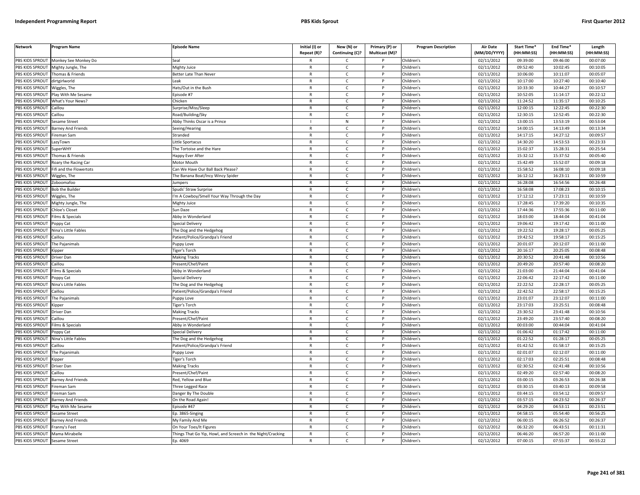| <b>Network</b>         | Program Name              | <b>Episode Name</b>                                         | Initial (I) or<br>Repeat (R)? | New (N) or<br>Continuing (C)? | Primary (P) or<br>Multicast (M)? | <b>Program Description</b> | <b>Air Date</b><br>(MM/DD/YYYY) | Start Time*<br>(HH:MM:SS) | End Time <sup>®</sup><br>(HH:MM:SS) | Length<br>(HH:MM:SS) |
|------------------------|---------------------------|-------------------------------------------------------------|-------------------------------|-------------------------------|----------------------------------|----------------------------|---------------------------------|---------------------------|-------------------------------------|----------------------|
| PBS KIDS SPROUT        | Monkey See Monkey Do      | Seal                                                        |                               | C                             |                                  | Children's                 | 02/11/2012                      | 09:39:00                  | 09:46:00                            | 00:07:00             |
| PBS KIDS SPROUT        | Mighty Jungle, The        | Mighty Juice                                                | $\mathsf{R}$                  | C                             | P                                | Children's                 | 02/11/2012                      | 09:52:40                  | 10:02:45                            | 00:10:05             |
| PBS KIDS SPROUT        | Thomas & Friends          | Better Late Than Never                                      | $\mathsf{R}$                  | $\mathsf{C}$                  | P                                | Children's                 | 02/11/2012                      | 10:06:00                  | 10:11:07                            | 00:05:07             |
| PBS KIDS SPROUT        | dirtgirlworld             | Leak                                                        | $\mathsf{R}$                  | $\mathsf{C}$                  | P                                | Children's                 | 02/11/2012                      | 10:17:00                  | 10:27:40                            | 00:10:40             |
| PBS KIDS SPROUT        | Wiggles, The              | Hats/Out in the Bush                                        | $\mathsf{R}$                  | $\mathsf{C}$                  | P                                | Children's                 | 02/11/2012                      | 10:33:30                  | 10:44:27                            | 00:10:57             |
| <b>PBS KIDS SPROUT</b> | Play With Me Sesame       | Episode #7                                                  | $\mathsf{R}$                  | $\mathsf{C}$                  | P                                | Children's                 | 02/11/2012                      | 10:52:05                  | 11:14:17                            | 00:22:12             |
| PBS KIDS SPROUT        | What's Your News?         | Chicken                                                     | $\mathsf{R}$                  | $\mathsf{C}$                  | P                                | Children's                 | 02/11/2012                      | 11:24:52                  | 11:35:17                            | 00:10:25             |
| PBS KIDS SPROUT        | Caillou                   | Surprise/Miss/Sleep                                         | $\mathsf{R}$                  | $\mathsf{C}$                  | P                                | Children's                 | 02/11/2012                      | 12:00:15                  | 12:22:45                            | 00:22:30             |
| PBS KIDS SPROUT        | Caillou                   | Road/Building/Sky                                           | R                             | $\mathsf{C}$                  |                                  | Children's                 | 02/11/2012                      | 12:30:15                  | 12:52:45                            | 00:22:30             |
| PBS KIDS SPROUT        | Sesame Street             | Abby Thinks Oscar is a Prince                               |                               | N                             |                                  | Children's                 | 02/11/2012                      | 13:00:15                  | 13:53:19                            | 00:53:04             |
| PBS KIDS SPROUT        | <b>Barney And Friends</b> | Seeing/Hearing                                              | $\mathsf{R}$                  | $\mathsf{C}$                  | P                                | Children's                 | 02/11/2012                      | 14:00:15                  | 14:13:49                            | 00:13:34             |
| PBS KIDS SPROUT        | Fireman Sam               | Stranded                                                    | $\mathsf{R}$                  | $\mathsf{C}$                  | D                                | Children's                 | 02/11/2012                      | 14:17:15                  | 14:27:12                            | 00:09:57             |
| PBS KIDS SPROUT        | LazyTown                  | Little Sportacus                                            | $\mathsf{R}$                  | C                             | P                                | Children's                 | 02/11/2012                      | 14:30:20                  | 14:53:53                            | 00:23:33             |
| PBS KIDS SPROUT        | <b>SuperWHY</b>           | The Tortoise and the Hare                                   | $\mathsf{R}$                  | $\mathsf{C}$                  |                                  | Children's                 | 02/11/2012                      | 15:02:37                  | 15:28:31                            | 00:25:54             |
| PBS KIDS SPROUT        | Thomas & Friends          | Happy Ever After                                            | $\mathsf{R}$                  | $\mathsf{C}$                  | P                                | Children's                 | 02/11/2012                      | 15:32:12                  | 15:37:52                            | 00:05:40             |
| PBS KIDS SPROUT        | Roary the Racing Car      | Motor Mouth                                                 | $\mathsf{R}$                  | $\mathsf{C}$                  |                                  | Children's                 | 02/11/2012                      | 15:42:49                  | 15:52:07                            | 00:09:18             |
| PBS KIDS SPROUT        | Fifi and the Flowertots   | Can We Have Our Ball Back Please?                           | $\mathsf{R}$                  | C                             | P                                | Children's                 | 02/11/2012                      | 15:58:52                  | 16:08:10                            | 00:09:18             |
| PBS KIDS SPROUT        | Wiggles, The              | The Banana Boat/Incy Wincy Spider                           | $\mathsf{R}$                  | $\mathsf{C}$                  | P                                | Children's                 | 02/11/2012                      | 16:12:12                  | 16:23:11                            | 00:10:59             |
| PBS KIDS SPROUT        | Zoboomafoo                | Jumpers                                                     | $\mathsf{R}$                  | $\mathsf{C}$                  | P                                | Children's                 | 02/11/2012                      | 16:28:08                  | 16:54:56                            | 00:26:48             |
| PBS KIDS SPROUT        | <b>Bob the Builder</b>    | Spuds' Straw Surprise                                       | $\mathsf{R}$                  | $\mathsf{C}$                  | P                                | Children's                 | 02/11/2012                      | 16:58:08                  | 17:08:23                            | 00:10:15             |
| PBS KIDS SPROUT        | Wiggles, The              |                                                             | $\mathsf{R}$                  | $\mathsf{C}$                  | P                                | Children's                 | 02/11/2012                      | 17:12:12                  | 17:23:11                            | 00:10:59             |
| PBS KIDS SPROUT        |                           | 'm A Cowboy/Smell Your Way Through the Day                  | $\mathsf{R}$                  | $\mathsf{C}$                  | P                                | Children's                 | 02/11/2012                      | 17:28:45                  | 17:39:20                            | 00:10:35             |
| PBS KIDS SPROUT        | Mighty Jungle, The        | Mighty Juice                                                | $\mathsf{R}$                  | $\mathsf{C}$                  | P                                |                            |                                 | 17:44:36                  | 17:55:36                            | 00:11:00             |
|                        | Chloe's Closet            | Sun Daze                                                    |                               |                               |                                  | Children's                 | 02/11/2012                      |                           |                                     |                      |
| PBS KIDS SPROUT        | Films & Specials          | Abby in Wonderland                                          | $\mathsf{R}$<br>$\mathsf{R}$  | C<br>$\mathsf{C}$             |                                  | Children's                 | 02/11/2012                      | 18:03:00                  | 18:44:04                            | 00:41:04             |
| PBS KIDS SPROUT        | oppy Cat                  | Special Delivery                                            |                               |                               |                                  | Children's                 | 02/11/2012                      | 19:06:42                  | 19:17:42                            | 00:11:00             |
| PBS KIDS SPROUT        | Nina's Little Fables      | The Dog and the Hedgehog                                    | $\mathsf{R}$<br>$\mathsf{R}$  | C                             | P<br>P                           | Children's                 | 02/11/2012                      | 19:22:52                  | 19:28:17                            | 00:05:25             |
| PBS KIDS SPROUT        | Caillou                   | Patient/Police/Grandpa's Friend                             |                               | $\mathsf{C}$                  |                                  | Children's                 | 02/11/2012                      | 19:42:52                  | 19:58:17                            | 00:15:25             |
| PBS KIDS SPROUT        | The Pajanimals            | Puppy Love                                                  | $\mathsf{R}$                  | C                             | P                                | Children's                 | 02/11/2012                      | 20:01:07                  | 20:12:07                            | 00:11:00             |
| PBS KIDS SPROUT        | .ipper                    | Figer's Torch                                               | $\mathsf{R}$                  | $\mathsf{C}$                  |                                  | Children's                 | 02/11/2012                      | 20:16:17                  | 20:25:05                            | 00:08:48             |
| PBS KIDS SPROUT        | Driver Dan                | <b>Making Tracks</b>                                        | $\mathsf{R}$                  | $\mathsf{C}$                  | P                                | Children's                 | 02/11/2012                      | 20:30:52                  | 20:41:48                            | 00:10:56             |
| PBS KIDS SPROUT        | Caillou                   | Present/Chef/Paint                                          | $\mathsf{R}$                  | C                             |                                  | Children's                 | 02/11/2012                      | 20:49:20                  | 20:57:40                            | 00:08:20             |
| PBS KIDS SPROUT        | Films & Specials          | Abby in Wonderland                                          | $\mathsf{R}$                  | C                             | P                                | Children's                 | 02/11/2012                      | 21:03:00                  | 21:44:04                            | 00:41:04             |
| PBS KIDS SPROUT        | Poppy Cat                 | Special Delivery                                            | $\mathsf{R}$                  | $\mathsf{C}$                  | P                                | Children's                 | 02/11/2012                      | 22:06:42                  | 22:17:42                            | 00:11:00             |
| PBS KIDS SPROUT        | Nina's Little Fables      | The Dog and the Hedgehog                                    | $\mathsf{R}$                  | C                             | P                                | Children's                 | 02/11/2012                      | 22:22:52                  | 22:28:17                            | 00:05:25             |
| PBS KIDS SPROUT        | Caillou                   | Patient/Police/Grandpa's Friend                             | $\mathsf{R}$                  | $\mathsf{C}$                  | P                                | Children's                 | 02/11/2012                      | 22:42:52                  | 22:58:17                            | 00:15:25             |
| <b>PBS KIDS SPROUT</b> | The Paianimals            | uppy Love                                                   | $\mathsf{R}$                  | $\mathsf{C}$                  | P                                | Children's                 | 02/11/2012                      | 23:01:07                  | 23:12:07                            | 00:11:00             |
| PBS KIDS SPROUT        | <b>Kipper</b>             | Tiger's Torch                                               | $\mathsf{R}$                  | $\mathsf{C}$                  | P                                | Children's                 | 02/11/2012                      | 23:17:03                  | 23:25:51                            | 00:08:48             |
| PBS KIDS SPROUT        | Driver Dan                | <b>Making Tracks</b>                                        | $\mathsf{R}$                  | $\mathsf{C}$                  | P                                | Children's                 | 02/11/2012                      | 23:30:52                  | 23:41:48                            | 00:10:56             |
| PBS KIDS SPROUT        | Caillou                   | Present/Chef/Paint                                          | $\mathsf{R}$                  | c                             | P                                | Children's                 | 02/11/2012                      | 23:49:20                  | 23:57:40                            | 00:08:20             |
| PBS KIDS SPROUT        | ilms & Specials           | Abby in Wonderland                                          | $\mathsf{R}$                  | $\mathsf{C}$                  |                                  | Children's                 | 02/11/2012                      | 00:03:00                  | 00:44:04                            | 00:41:04             |
| PBS KIDS SPROUT        | Poppy Cat                 | Special Delivery                                            | $\mathsf{R}$                  | $\mathsf{C}$                  | P                                | Children's                 | 02/11/2012                      | 01:06:42                  | 01:17:42                            | 00:11:00             |
| PBS KIDS SPROUT        | Nina's Little Fables      | The Dog and the Hedgehog                                    | $\mathsf{R}$                  | $\mathsf{C}$                  | P                                | Children's                 | 02/11/2012                      | 01:22:52                  | 01:28:17                            | 00:05:25             |
| PBS KIDS SPROUT        | Caillou                   | Patient/Police/Grandpa's Friend                             | $\mathsf{R}$                  | $\mathsf{C}$                  | P                                | Children's                 | 02/11/2012                      | 01:42:52                  | 01:58:17                            | 00:15:25             |
| PBS KIDS SPROUT        | The Pajanimals            | uppy Love                                                   | $\mathsf{R}$                  | $\mathsf{C}$                  |                                  | Children's                 | 02/11/2012                      | 02:01:07                  | 02:12:07                            | 00:11:00             |
| PBS KIDS SPROUT        | <b>Kipper</b>             | <b>Figer's Torch</b>                                        | ${\sf R}$                     | $\mathsf{C}$                  | P                                | Children's                 | 02/11/2012                      | 02:17:03                  | 02:25:51                            | 00:08:48             |
| PBS KIDS SPROUT        | Driver Dan                | <b>Making Tracks</b>                                        | R                             | C                             |                                  | Children's                 | 02/11/2012                      | 02:30:52                  | 02:41:48                            | 00:10:56             |
| PBS KIDS SPROUT        | Caillou                   | Present/Chef/Paint                                          | $\mathsf{R}$                  | C                             | P                                | Children's                 | 02/11/2012                      | 02:49:20                  | 02:57:40                            | 00:08:20             |
| PBS KIDS SPROUT        | <b>Barney And Friends</b> | Red, Yellow and Blue                                        | $\mathsf{R}$                  | $\mathsf{C}$                  | P                                | Children's                 | 02/11/2012                      | 03:00:15                  | 03:26:53                            | 00:26:38             |
| PBS KIDS SPROUT        | Fireman Sam               | Three Legged Race                                           | $\mathsf{R}$                  | C                             | P                                | Children's                 | 02/11/2012                      | 03:30:15                  | 03:40:13                            | 00:09:58             |
| PBS KIDS SPROUT        | ireman Sam                | Danger By The Double                                        | $\mathsf{R}$                  | $\mathsf{C}$                  | P                                | Children's                 | 02/11/2012                      | 03:44:15                  | 03:54:12                            | 00:09:57             |
| PBS KIDS SPROUT        | Barney And Friends        | On the Road Again!                                          | $\mathsf{R}$                  | $\mathsf{C}$                  | P                                | Children's                 | 02/11/2012                      | 03:57:15                  | 04:23:52                            | 00:26:37             |
| PBS KIDS SPROUT        | Play With Me Sesame       | Episode #47                                                 | $\mathsf{R}$                  | $\mathsf{C}$                  | P                                | Children's                 | 02/11/2012                      | 04:29:20                  | 04:53:11                            | 00:23:51             |
| PBS KIDS SPROUT        | Sesame Street             | Ep. 3865-Singing                                            | $\mathsf{R}$                  | $\mathsf{C}$                  | <sub>D</sub>                     | Children's                 | 02/11/2012                      | 04:58:15                  | 05:54:40                            | 00:56:25             |
| PBS KIDS SPROUT        | <b>Barney And Friends</b> | My Family And Me                                            | R                             | C                             | D                                | Children's                 | 02/12/2012                      | 06:00:15                  | 06:26:52                            | 00:26:37             |
| PBS KIDS SPROUT        | ranny's Feet <sup>:</sup> | On Your Toes/It Figures                                     | $\mathsf{R}$                  | $\mathsf{C}$                  |                                  | Children's                 | 02/12/2012                      | 06:32:20                  | 06:43:51                            | 00:11:31             |
| PBS KIDS SPROUT        | Mama Mirabelle            | Things That Go Yip, Howl, and Screech in the Night/Cracking | $\mathsf{R}$                  | C                             | P                                | Children's                 | 02/12/2012                      | 06:46:20                  | 06:57:20                            | 00:11:00             |
| PBS KIDS SPROUT        | <b>Sesame Street</b>      | Ep. 4069                                                    | $\mathsf{R}$                  | $\mathsf{C}$                  | D                                | Children's                 | 02/12/2012                      | 07:00:15                  | 07:55:37                            | 00:55:22             |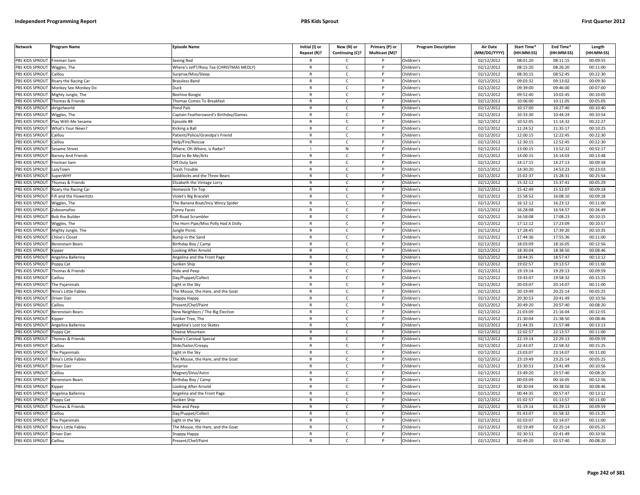| <b>Network</b>        | <b>Program Name</b>         | <b>Episode Name</b>                      | Initial (I) or | New (N) or      | Primary (P) or | <b>Program Description</b> | <b>Air Date</b>         | Start Time* | End Time*  | Length     |
|-----------------------|-----------------------------|------------------------------------------|----------------|-----------------|----------------|----------------------------|-------------------------|-------------|------------|------------|
|                       |                             |                                          | Repeat (R)?    | Continuing (C)? | Multicast (M)? |                            | (MM/DD/YYYY)            | (HH:MM:SS)  | (HH:MM:SS) | (HH:MM:SS) |
| PBS KIDS SPROUT       | ireman Sam                  | Seeing Red                               |                | C.              |                | Children's                 | 02/12/2012              | 08:01:20    | 08:11:15   | 00:09:55   |
| PBS KIDS SPROUT       | Wiggles, The                | Where's Jeff?/Rosy Tea (CHRISTMAS MEDLY) | $\mathsf{R}$   | $\mathsf{C}$    | P              | Children's                 | 02/12/2012              | 08:15:20    | 08:26:20   | 00:11:00   |
| <b>BS KIDS SPROUT</b> | aillou                      | Surprise/Miss/Sleep                      | R              | $\mathsf{C}$    |                | Children's                 | 02/12/2012              | 08:30:15    | 08:52:45   | 00:22:30   |
| PBS KIDS SPROUT       | Roary the Racing Car        | <b>Brassless Band</b>                    | $\mathsf{R}$   | $\mathsf{C}$    | <sub>D</sub>   | Children's                 | 02/12/2012              | 09:03:32    | 09:13:02   | 00:09:30   |
| PBS KIDS SPROUT       | Monkey See Monkey Do        | Duck                                     | R              | c               |                | Children's                 | 02/12/2012              | 09:39:00    | 09:46:00   | 00:07:00   |
| PBS KIDS SPROUT       | Mighty Jungle, The          | Beehive Boogie                           | $\mathsf{R}$   | $\mathsf{C}$    | P              | Children's                 | 02/12/2012              | 09:52:40    | 10:02:45   | 00:10:05   |
| PBS KIDS SPROUT       | Thomas & Friends            | homas Comes To Breakfast                 | R              | $\mathsf{C}$    | P              | Children's                 | 02/12/2012              | 10:06:00    | 10:11:05   | 00:05:05   |
| PBS KIDS SPROUT       | dirtgirlworld               | ond Pals                                 | $\mathsf{R}$   | $\mathsf{C}$    | P              | Children's                 | 02/12/2012              | 10:17:00    | 10:27:40   | 00:10:40   |
| PBS KIDS SPROUT       | Wiggles, The                | Captain Feathersword's Birthday/Games    | $\mathsf{R}$   | $\mathsf{C}$    | P              | Children's                 | $\overline{02}/12/2012$ | 10:33:30    | 10:44:24   | 00:10:54   |
| PBS KIDS SPROUT       | lay With Me Sesame          | pisode #8                                | $\mathsf{R}$   | $\mathsf{C}$    |                | Children's                 | 02/12/2012              | 10:52:05    | 11:14:32   | 00:22:27   |
| PBS KIDS SPROUT       | What's Your News?           | Kicking a Ball                           | R              | c               | P              | Children's                 | 02/12/2012              | 11:24:52    | 11:35:17   | 00:10:25   |
| PBS KIDS SPROUT       | aillou                      | atient/Police/Grandpa's Friend           | $\mathsf{R}$   | $\mathsf{C}$    |                | Children's                 | 02/12/2012              | 12:00:15    | 12:22:45   | 00:22:30   |
| PBS KIDS SPROUT       | Caillou                     | Help/Fire/Rescue                         | R              | $\mathsf{C}$    | P              | Children's                 | 02/12/2012              | 12:30:15    | 12:52:45   | 00:22:30   |
| PBS KIDS SPROUT       | Sesame Street               | Where, Oh Where, is Radar?               |                | N               |                | Children's                 | 02/12/2012              | 13:00:15    | 13:52:32   | 00:52:17   |
| PBS KIDS SPROUT       | <b>Barney And Friends</b>   | Glad to Be Me/Arts                       | $\mathsf{R}$   | $\mathsf{C}$    | P              | Children's                 | 02/12/2012              | 14:00:15    | 14:14:03   | 00:13:48   |
| PBS KIDS SPROUT       | ireman Sam                  | Off Duty Sam                             | R              | $\mathsf{C}$    |                | Children's                 | 02/12/2012              | 14:17:15    | 14:27:13   | 00:09:58   |
| PBS KIDS SPROUT       | azyTown.                    | Frash Trouble                            | R              | C               | P              | Children's                 | 02/12/2012              | 14:30:20    | 14:53:23   | 00:23:03   |
| <b>BS KIDS SPROUT</b> | SuperWHY                    | <b>Goldilocks and the Three Bears</b>    | R              | $\mathsf{C}$    |                | Children's                 | 02/12/2012              | 15:02:37    | 15:28:31   | 00:25:54   |
| PBS KIDS SPROUT       | Thomas & Friends            | lizabeth the Vintage Lorry               | $\mathsf{R}$   | $\mathsf{C}$    | P              | Children's                 | 02/12/2012              | 15:32:12    | 15:37:41   | 00:05:29   |
| PBS KIDS SPROUT       | Roary the Racing Car        | <b>Iomesick Tin Top</b>                  | R              | $\mathsf{C}$    | P              | Children's                 | 02/12/2012              | 15:42:49    | 15:52:07   | 00:09:18   |
| PBS KIDS SPROUT       | ifi and the Flowertots      | liolet's Big Bracelet                    | $\mathsf{R}$   | $\mathsf{C}$    | P              | Children's                 | 02/12/2012              | 15:58:52    | 16:08:10   | 00:09:18   |
| <b>BS KIDS SPROUT</b> | Wiggles, The                | he Banana Boat/Incy Wincy Spider         | R              | $\mathsf{C}$    | P              | Children's                 | 02/12/2012              | 16:12:12    | 16:23:12   | 00:11:00   |
| PBS KIDS SPROUT       | Zoboomafoo                  | unny Faces <sup>-</sup>                  | $\overline{R}$ | $\mathsf{C}$    | <sub>D</sub>   | Children's                 | 02/12/2012              | 16:28:08    | 16:54:57   | 00:26:49   |
| PBS KIDS SPROUT       | <b>Bob the Builder</b>      | Off-Road Scrambler                       | $\mathsf{R}$   | $\mathsf{C}$    | P              | Children's                 | 02/12/2012              | 16:58:08    | 17:08:23   | 00:10:15   |
| PBS KIDS SPROUT       | Viggles, The                | he Horn Pipe/Miss Polly Had A Dolly      | R              | $\mathsf{C}$    |                | Children's                 | 02/12/2012              | 17:12:12    | 17:23:09   | 00:10:57   |
| PBS KIDS SPROUT       | Mighty Jungle, The          | ungle Picnic                             | $\mathsf{R}$   | $\mathsf{C}$    | P              | Children's                 | 02/12/2012              | 17:28:45    | 17:39:20   | 00:10:35   |
| PBS KIDS SPROUT       | <b>Chloe's Closet</b>       | Bump in the Sand                         | $\overline{R}$ | $\mathsf{C}$    |                | Children's                 | 02/12/2012              | 17:44:36    | 17:55:36   | 00:11:00   |
| PBS KIDS SPROUT       | Berenstain Bears            | Birthday Boy / Camp                      | $\mathsf{R}$   | $\mathsf{C}$    | P              | Children's                 | 02/12/2012              | 18:03:09    | 18:16:05   | 00:12:56   |
| PBS KIDS SPROUT       | (ipper                      | ooking After Arnold                      | R              | $\mathsf{C}$    |                | Children's                 | 02/12/2012              | 18:30:04    | 18:38:50   | 00:08:46   |
| PBS KIDS SPROUT       | Angelina Ballerina          | Angelina and the Front Page              | R              | c               | P              | Children's                 | 02/12/2012              | 18:44:35    | 18:57:47   | 00:13:12   |
| PBS KIDS SPROUT       | Poppy Cat                   | Sunken Ship                              | R              | $\mathsf{C}$    | P              | Children's                 | 02/12/2012              | 19:02:57    | 19:13:57   | 00:11:00   |
| PBS KIDS SPROUT       | homas & Friends             | lide and Peep                            | $\mathsf{R}$   | $\mathsf{C}$    | P              | Children's                 | 02/12/2012              | 19:19:14    | 19:29:13   | 00:09:59   |
| PBS KIDS SPROUT       | aillou                      | Day/Puppet/Collect                       | $\mathsf{R}$   | $\mathsf{C}$    | P              | Children's                 | 02/12/2012              | 19:43:07    | 19:58:32   | 00:15:25   |
| PBS KIDS SPROUT       | The Pajanimals              | ight in the Sky                          | $\mathsf{R}$   | $\mathsf{C}$    | P              | Children's                 | 02/12/2012              | 20:03:07    | 20:14:07   | 00:11:00   |
| PBS KIDS SPROUT       | Nina's Little Fables        | The Mouse, the Hare, and the Goat        | R              | $\mathsf{C}$    | P              | Children's                 | 02/12/2012              | 20:19:49    | 20:25:14   | 00:05:25   |
| PBS KIDS SPROUT       | Driver Dan                  | іпарру Нарру                             | $\mathsf{R}$   | $\mathsf{C}$    | D              | Children's                 | 02/12/2012              | 20:30:53    | 20:41:49   | 00:10:56   |
| <b>BS KIDS SPROUT</b> | `aillou                     | Present/Chef/Paint                       | R              | C               |                | Children's                 | 02/12/2012              | 20:49:20    | 20:57:40   | 00:08:20   |
| PBS KIDS SPROUT       | Berenstain Bears            | New Neighbors / The Big Election         | R              | $\mathsf{C}$    | <b>D</b>       | Children's                 | 02/12/2012              | 21:03:09    | 21:16:04   | 00:12:55   |
| PBS KIDS SPROUT       | <b>Kipper</b>               | Conker Tree, The                         | R              | $\mathsf{C}$    | P              | Children's                 | 02/12/2012              | 21:30:04    | 21:38:50   | 00:08:46   |
| PBS KIDS SPROUT       | <b>Ingelina Ballerina</b>   | Angelina's Lost Ice Skates               | $\overline{R}$ | $\mathsf{C}$    | <b>D</b>       | Children's                 | 02/12/2012              | 21:44:35    | 21:57:48   | 00:13:13   |
| PBS KIDS SPROUT       | Poppy Cat                   | Cheese Mountain                          | $\mathsf{R}$   | $\mathsf{C}$    | P              | Children's                 | 02/12/2012              | 22:02:57    | 22:13:57   | 00:11:00   |
| PBS KIDS SPROUT       | homas & Friends             | Rosie's Carnival Special                 | $\mathsf{R}$   | $\mathsf{C}$    |                | Children's                 | 02/12/2012              | 22:19:14    | 22:29:13   | 00:09:59   |
| PBS KIDS SPROUT       | Caillou                     | Slide/Sailor/Creepy                      | R              | $\mathsf{C}$    | P              | Children's                 | 02/12/2012              | 22:43:07    | 22:58:32   | 00:15:25   |
| PBS KIDS SPROUT       | The Pajanimals              | ight in the Sky                          | $\mathsf{R}$   | $\mathsf{C}$    |                | Children's                 | 02/12/2012              | 23:03:07    | 23:14:07   | 00:11:00   |
| PBS KIDS SPROUT       | Nina's Little Fables        | The Mouse, the Hare, and the Goat        | $\mathsf{R}$   | c               | P              | Children's                 | 02/12/2012              | 23:19:49    | 23:25:14   | 00:05:25   |
| PBS KIDS SPROUT       | <b>Driver Dan</b>           | Surprise                                 | $\mathsf{R}$   | $\mathsf{C}$    | P              | Children's                 | 02/12/2012              | 23:30:53    | 23:41:49   | 00:10:56   |
| PBS KIDS SPROUT       | aillou                      | Magnet/Dino/Astro                        | $\mathsf{R}$   | $\mathsf{C}$    | P              | Children's                 | 02/12/2012              | 23:49:20    | 23:57:40   | 00:08:20   |
| PBS KIDS SPROUT       | <b>Berenstain Bears</b>     | Birthday Boy / Camp                      | $\mathsf{R}$   | $\mathsf{C}$    | P              | Children's                 | 02/12/2012              | 00:03:09    | 00:16:05   | 00:12:56   |
| PBS KIDS SPROUT       | Kipper                      | Looking After Arnold                     | R              | c               | P              | Children's                 | 02/12/2012              | 00:30:04    | 00:38:50   | 00:08:46   |
| PBS KIDS SPROUT       | Angelina Ballerina          | Angelina and the Front Page              | R              | C               | P              | Children's                 | 02/12/2012              | 00:44:35    | 00:57:47   | 00:13:12   |
| PBS KIDS SPROUT       | oppy Cat                    | Sunken Ship                              | $\mathsf{R}$   | $\mathsf{C}$    | P              | Children's                 | 02/12/2012              | 01:02:57    | 01:13:57   | 00:11:00   |
| <b>BS KIDS SPROUT</b> | Thomas & Friends            | lide and Peep                            | R              | $\mathsf{C}$    |                | Children's                 | 02/12/2012              | 01:19:14    | 01:29:13   | 00:09:59   |
| PBS KIDS SPROUT       | aillou                      | Day/Puppet/Collect                       | $\overline{R}$ | $\mathsf{C}$    | <b>D</b>       | Children's                 | 02/12/2012              | 01:43:07    | 01:58:32   | 00:15:25   |
| PBS KIDS SPROUT       | The Pajanimals              | ight in the Sky                          | R              | $\mathsf{C}$    | P              | Children's                 | 02/12/2012              | 02:03:07    | 02:14:07   | 00:11:00   |
| PBS KIDS SPROUT       | <b>Vina's Little Fables</b> | he Mouse, the Hare, and the Goat         | $\overline{R}$ | $\mathsf{C}$    |                | Children's                 | 02/12/2012              | 02:19:49    | 02:25:14   | 00:05:25   |
| PBS KIDS SPROUT       | Driver Dan                  | Snappy Happy                             | $\mathsf{R}$   | $\mathsf{C}$    | P              | Children's                 | 02/12/2012              | 02:30:53    | 02:41:49   | 00:10:56   |
| PBS KIDS SPROUT       | Caillou                     | Present/Chef/Paint                       |                | $\mathsf{C}$    | P              | Children's                 | 02/12/2012              | 02:49:20    | 02:57:40   | 00:08:20   |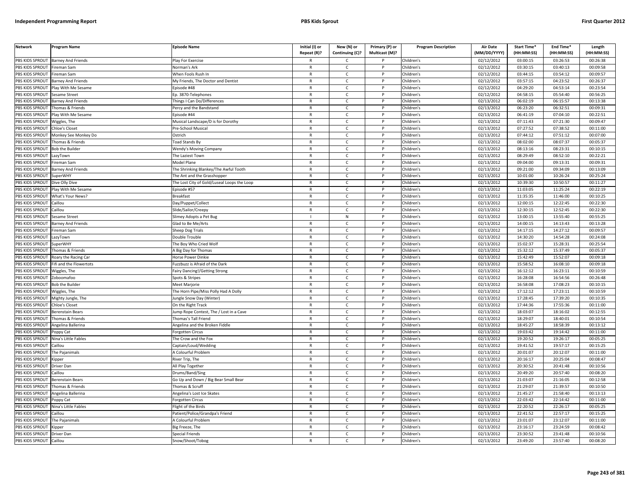| <b>Network</b>        | <b>Program Name</b>         | <b>Episode Name</b>                         | Initial (I) or | New (N) or      | Primary (P) or | <b>Program Description</b> | <b>Air Date</b>     | Start Time* | End Time*  | Length     |
|-----------------------|-----------------------------|---------------------------------------------|----------------|-----------------|----------------|----------------------------|---------------------|-------------|------------|------------|
|                       |                             |                                             | Repeat (R)?    | Continuing (C)? | Multicast (M)? |                            | (MM/DD/YYYY)        | (HH:MM:SS)  | (HH:MM:SS) | (HH:MM:SS) |
| PBS KIDS SPROUT       | <b>Barney And Friends</b>   | Play For Exercise                           |                | C.              |                | Children's                 | 02/12/2012          | 03:00:15    | 03:26:53   | 00:26:38   |
| PBS KIDS SPROUT       | Fireman Sam                 | <b>Norman's Ark</b>                         | $\mathsf{R}$   | $\mathsf{C}$    | P              | Children's                 | 02/12/2012          | 03:30:15    | 03:40:13   | 00:09:58   |
| <b>BS KIDS SPROUT</b> | ireman Sam                  | When Fools Rush In                          | $\mathsf{R}$   | $\mathsf{C}$    |                | Children's                 | 02/12/2012          | 03:44:15    | 03:54:12   | 00:09:57   |
| PBS KIDS SPROUT       | arney And Friends           | My Friends, The Doctor and Dentist          | $\mathsf{R}$   | $\mathsf{C}$    | Þ              | Children's                 | 02/12/2012          | 03:57:15    | 04:23:52   | 00:26:37   |
| PBS KIDS SPROUT       | Play With Me Sesame         | pisode #48                                  | $\mathsf{R}$   | C               |                | Children's                 | 02/12/2012          | 04:29:20    | 04:53:14   | 00:23:54   |
| PBS KIDS SPROUT       | iesame Street               | p. 3870-Telephones                          | $\mathsf{R}$   | $\mathsf{C}$    | P              | Children's                 | 02/12/2012          | 04:58:15    | 05:54:40   | 00:56:25   |
| PBS KIDS SPROUT       | <b>Barney And Friends</b>   | hings I Can Do/Differences                  | R              | $\mathsf{C}$    | P              | Children's                 | 02/13/2012          | 06:02:19    | 06:15:57   | 00:13:38   |
| PBS KIDS SPROUT       | homas & Friends             | ercy and the Bandstand                      | $\mathsf{R}$   | $\mathsf{C}$    | P              | Children's                 | 02/13/2012          | 06:23:20    | 06:32:51   | 00:09:31   |
| PBS KIDS SPROUT       | Play With Me Sesame         | Episode #44                                 | $\mathsf{R}$   | $\mathsf{C}$    | $\mathsf{P}$   | Children's                 | 02/13/2012          | 06:41:19    | 07:04:10   | 00:22:51   |
| PBS KIDS SPROUT       | Viggles, The                | Musical Landscape/D is for Dorothy          | $\mathsf{R}$   | $\mathsf{C}$    |                | Children's                 | 02/13/2012          | 07:11:43    | 07:21:30   | 00:09:47   |
| PBS KIDS SPROUT       | Chloe's Closet              | Pre-School Musical                          | $\mathsf{R}$   | $\mathsf{C}$    | P              | Children's                 | 02/13/2012          | 07:27:52    | 07:38:52   | 00:11:00   |
| PBS KIDS SPROUT       | Monkey See Monkey Do        | Ostrich                                     | $\mathsf{R}$   | $\mathsf{C}$    |                | Children's                 | 02/13/2012          | 07:44:12    | 07:51:12   | 00:07:00   |
| PBS KIDS SPROUT       | homas & Friends             | <b>Foad Stands By</b>                       | $\mathsf{R}$   | $\mathsf{C}$    | P              | Children's                 | 02/13/2012          | 08:02:00    | 08:07:37   | 00:05:37   |
| PBS KIDS SPROUT       | <b>Bob the Builder</b>      | <b>Wendy's Moving Company</b>               | R              | $\mathsf{C}$    |                | Children's                 | 02/13/2012          | 08:13:16    | 08:23:31   | 00:10:15   |
| PBS KIDS SPROUT       | .azyTown                    | The Laziest Town                            | $\mathsf{R}$   | $\mathsf{C}$    | $\mathsf{P}$   | Children's                 | 02/13/2012          | 08:29:49    | 08:52:10   | 00:22:21   |
| PBS KIDS SPROUT       | Fireman Sam                 | Model Plane                                 | R              | C               | P              | Children's                 | 02/13/2012          | 09:04:00    | 09:13:31   | 00:09:31   |
| PBS KIDS SPROUT       | <b>Barney And Friends</b>   | The Shrinking Blankey/The Awful Tooth       | R              | $\mathsf{C}$    | P              | Children's                 | 02/13/2012          | 09:21:00    | 09:34:09   | 00:13:09   |
| PBS KIDS SPROUT       | SuperWHY                    | The Ant and the Grasshopper                 | $\mathsf{R}$   | $\mathsf{C}$    | P              | Children's                 | 02/13/2012          | 10:01:00    | 10:26:24   | 00:25:24   |
| PBS KIDS SPROUT       | Dive Olly Dive              | The Lost City of Gold/Luseal Loops the Loop | $\mathsf{R}$   | $\mathsf{C}$    | P              | Children's                 | 02/13/2012          | 10:39:30    | 10:50:57   | 00:11:27   |
| PBS KIDS SPROUT       | Play With Me Sesame         | pisode #57                                  | R              | C.              |                | Children's                 | 02/13/2012          | 11:03:05    | 11:25:24   | 00:22:19   |
| PBS KIDS SPROUT       | <b>Nhat's Your News?</b>    | 3reakfast                                   | $\mathsf{R}$   | $\mathsf{C}$    | D              | Children's                 | 02/13/2012          | 11:35:35    | 11:46:00   | 00:10:25   |
| <b>BS KIDS SPROUT</b> | `aillou                     | Day/Puppet/Collect                          | R              | C               |                | Children's                 | 02/13/2012          | 12:00:15    | 12:22:45   | 00:22:30   |
| PBS KIDS SPROUT       | aillou                      | Slide/Sailor/Creepy                         | $\mathsf{R}$   | $\mathsf{C}$    | Þ              | Children's                 | 02/13/2012          | 12:30:15    | 12:52:45   | 00:22:30   |
| PBS KIDS SPROUT       | Sesame Street               | Slimey Adopts a Pet Bug                     |                | N               | P              | Children's                 | 02/13/2012          | 13:00:15    | 13:55:40   | 00:55:25   |
| PBS KIDS SPROUT       | Barney And Friends          | Glad to Be Me/Arts                          | $\mathsf{R}$   | $\mathsf{C}$    | P              | Children's                 | 02/13/2012          | 14:00:15    | 14:13:43   | 00:13:28   |
| PBS KIDS SPROUT       | ireman Sam                  | Sheep Dog Trials                            | $\mathsf{R}$   | $\mathsf{C}$    | P              | Children's                 | 02/13/2012          | 14:17:15    | 14:27:12   | 00:09:57   |
| PBS KIDS SPROUT       | .azyTown                    | Double Trouble                              | R              | $\mathsf{C}$    |                | Children's                 | $\sqrt{02}/13/2012$ | 14:30:20    | 14:54:28   | 00:24:08   |
| PBS KIDS SPROUT       | SuperWHY                    | The Boy Who Cried Wolf                      | $\mathsf{R}$   | $\mathsf{C}$    | P              | Children's                 | 02/13/2012          | 15:02:37    | 15:28:31   | 00:25:54   |
| PBS KIDS SPROUT       | homas & Friends             | A Big Day for Thomas                        | $\mathsf{R}$   | $\mathsf{C}$    | P              | Children's                 | 02/13/2012          | 15:32:12    | 15:37:49   | 00:05:37   |
| PBS KIDS SPROUT       | Roary the Racing Car        | Horse Power Dinkie                          | $\mathsf{R}$   | $\mathsf{C}$    | P              | Children's                 | 02/13/2012          | 15:42:49    | 15:52:07   | 00:09:18   |
| PBS KIDS SPROUT       | ifi and the Flowertots      | uzzbuzz is Afraid of the Dark               | R              | $\mathsf{C}$    | P              | Children's                 | 02/13/2012          | 15:58:52    | 16:08:10   | 00:09:18   |
| PBS KIDS SPROUT       | Wiggles, The                | airy Dancing!/Getting Strong                | $\mathsf{R}$   | $\mathsf{C}$    | P              | Children's                 | 02/13/2012          | 16:12:12    | 16:23:11   | 00:10:59   |
| PBS KIDS SPROUT       | Zoboomafoo                  | Spots & Stripes                             | $\mathsf{R}$   | $\mathsf{C}$    | P              | Children's                 | 02/13/2012          | 16:28:08    | 16:54:56   | 00:26:48   |
| PBS KIDS SPROUT       | <b>Bob the Builder</b>      | Meet Marjorie                               | R              | $\mathsf{C}$    | P              | Children's                 | 02/13/2012          | 16:58:08    | 17:08:23   | 00:10:15   |
| PBS KIDS SPROUT       | Wiggles, The                | The Horn Pipe/Miss Polly Had A Dolly        | R              | $\mathsf{C}$    | P              | Children's                 | 02/13/2012          | 17:12:12    | 17:23:11   | 00:10:59   |
| PBS KIDS SPROUT       | Mighty Jungle, The          | ungle Snow Day (Winter)                     | $\mathsf{R}$   | $\mathsf{C}$    | P              | Children's                 | $\sqrt{02}/13/2012$ | 17:28:45    | 17:39:20   | 00:10:35   |
| PBS KIDS SPROUT       | Chloe's Closet              | On the Right Track                          | R              | Ċ               |                | Children's                 | 02/13/2012          | 17:44:36    | 17:55:36   | 00:11:00   |
| PBS KIDS SPROUT       | Berenstain Bears            | ump Rope Contest, The / Lost in a Cave      | $\mathsf{R}$   | $\mathsf{C}$    | D              | Children's                 | 02/13/2012          | 18:03:07    | 18:16:02   | 00:12:55   |
| PBS KIDS SPROUT       | homas & Friends             | homas's Tall Friend                         | R              | C               |                | Children's                 | 02/13/2012          | 18:29:07    | 18:40:01   | 00:10:54   |
| PBS KIDS SPROUT       | <b>Ingelina Ballerina</b>   | Angelina and the Broken Fiddle              | $\mathsf{R}$   | $\mathsf{C}$    |                | Children's                 | 02/13/2012          | 18:45:27    | 18:58:39   | 00:13:12   |
| <b>BS KIDS SPROUT</b> | oppy Cat                    | orgotten Circus                             | $\mathsf{R}$   | $\mathsf{C}$    | P              | Children's                 | 02/13/2012          | 19:03:42    | 19:14:42   | 00:11:00   |
| PBS KIDS SPROUT       | <b>Vina's Little Fables</b> | The Crow and the Fox                        | $\mathsf{R}$   | $\mathsf{C}$    | Þ              | Children's                 | 02/13/2012          | 19:20:52    | 19:26:17   | 00:05:25   |
| PBS KIDS SPROUT       | Caillou                     | Captain/Loud/Wedding                        | $\mathsf{R}$   | $\mathsf{C}$    | P              | Children's                 | 02/13/2012          | 19:41:52    | 19:57:17   | 00:15:25   |
| PBS KIDS SPROUT       | The Pajanimals              | <b>Colourful Problem</b>                    | $\mathsf{R}$   | $\epsilon$      | P              | Children's                 | 02/13/2012          | 20:01:07    | 20:12:07   | 00:11:00   |
| PBS KIDS SPROUT       | Kipper                      | River Trip, The                             | $\mathsf{R}$   | $\mathsf{C}$    | P              | Children's                 | 02/13/2012          | 20:16:17    | 20:25:04   | 00:08:47   |
| PBS KIDS SPROUT       | Driver Dan                  | All Play Together                           | $\mathsf{R}$   | $\mathsf{C}$    | D              | Children's                 | 02/13/2012          | 20:30:52    | 20:41:48   | 00:10:56   |
| PBS KIDS SPROUT       | Caillou                     | Drums/Band/Sing                             | R              | $\mathsf{C}$    | P              | Children's                 | 02/13/2012          | 20:49:20    | 20:57:40   | 00:08:20   |
| PBS KIDS SPROUT       | Berenstain Bears            | Go Up and Down / Big Bear Small Bear        | $\mathsf{R}$   | $\mathsf{C}$    | P              | Children's                 | 02/13/2012          | 21:03:07    | 21:16:05   | 00:12:58   |
| PBS KIDS SPROUT       | homas & Friends             | homas & Scruff                              | $\mathsf{R}$   | $\mathsf{C}$    | $\mathsf{P}$   | Children's                 | 02/13/2012          | 21:29:07    | 21:39:57   | 00:10:50   |
| PBS KIDS SPROUT       | Angelina Ballerina          | Angelina's Lost Ice Skates                  | $\mathsf{R}$   | C               |                | Children's                 | 02/13/2012          | 21:45:27    | 21:58:40   | 00:13:13   |
| PBS KIDS SPROUT       | Poppy Cat                   | orgotten Circus                             | R              | $\mathsf{C}$    | P              | Children's                 | 02/13/2012          | 22:03:42    | 22:14:42   | 00:11:00   |
| PBS KIDS SPROUT       | Nina's Little Fables        | light of the Birds                          | R              | C               | P              | Children's                 | 02/13/2012          | 22:20:52    | 22:26:17   | 00:05:25   |
| PBS KIDS SPROUT       | aillou                      | Patient/Police/Grandpa's Friend             | $\mathsf{R}$   | $\mathsf{C}$    | P              | Children's                 | 02/13/2012          | 22:41:52    | 22:57:17   | 00:15:25   |
| PBS KIDS SPROUT       | The Pajanimals              | A Colourful Problem                         | R              | Ċ               |                | Children's                 | 02/13/2012          | 23:01:07    | 23:12:07   | 00:11:00   |
| PBS KIDS SPROUT       | <b>Cinner</b>               | ig Freeze, The                              | $\mathsf{R}$   | $\mathsf{C}$    | P              | Children's                 | 02/13/2012          | 23:16:17    | 23:24:59   | 00:08:42   |
| PBS KIDS SPROUT       | Driver Dan                  | Special Friends                             | R              | C               |                | Children's                 | 02/13/2012          | 23:30:52    | 23:41:48   | 00:10:56   |
| PBS KIDS SPROUT       | aillou                      | Snow/Shoot/Tobog                            | R              | $\mathsf{C}$    |                | Children's                 | 02/13/2012          | 23:49:20    | 23:57:40   | 00:08:20   |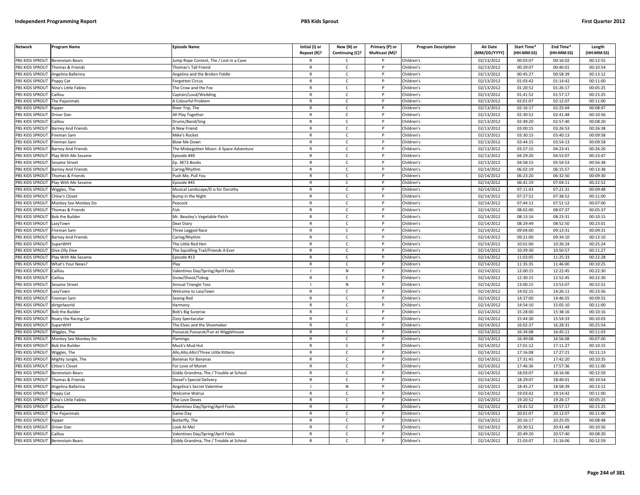| <b>Network</b>         | <b>Program Name</b>     | <b>Episode Name</b>                     | Initial (I) or<br>Repeat (R)? | New (N) or<br>Continuing (C)? | Primary (P) or<br>Multicast (M)? | <b>Program Description</b> | <b>Air Date</b><br>(MM/DD/YYYY) | Start Time*<br>(HH:MM:SS) | End Time*<br>(HH:MM:SS) | Length<br>(HH:MM:SS) |
|------------------------|-------------------------|-----------------------------------------|-------------------------------|-------------------------------|----------------------------------|----------------------------|---------------------------------|---------------------------|-------------------------|----------------------|
| PBS KIDS SPROUT        | <b>Berenstain Bears</b> | ump Rope Contest, The / Lost in a Cave  |                               | $\mathsf{C}$                  |                                  | Children's                 | 02/13/2012                      | 00:03:07                  | 00:16:02                | 00:12:55             |
| PBS KIDS SPROUT        | Thomas & Friends        | Thomas's Tall Friend                    | $\mathsf{R}$                  | $\mathsf{C}$                  | P                                | Children's                 | 02/13/2012                      | 00:29:07                  | 00:40:01                | 00:10:54             |
| PBS KIDS SPROUT        | Angelina Ballerina      | Angelina and the Broken Fiddle          | $\mathsf{R}$                  | $\mathsf{C}$                  |                                  | Children's                 | 02/13/2012                      | 00:45:27                  | 00:58:39                | 00:13:12             |
| PBS KIDS SPROUT        | Poppy Cat               | orgotten Circus <sup>-</sup>            | $\mathsf{R}$                  | $\mathsf{C}$                  | D                                | Children's                 | 02/13/2012                      | 01:03:42                  | 01:14:42                | 00:11:00             |
| PBS KIDS SPROUT        | Nina's Little Fables    | The Crow and the Fox                    | $\mathsf{R}$                  | C                             |                                  | Children's                 | 02/13/2012                      | 01:20:52                  | 01:26:17                | 00:05:25             |
| PBS KIDS SPROUT        | `aillou                 | Captain/Loud/Wedding                    | $\mathsf{R}$                  | $\mathsf{C}$                  | P                                | Children's                 | 02/13/2012                      | 01:41:52                  | 01:57:17                | 00:15:25             |
| PBS KIDS SPROUT        | The Pajanimals          | <b>A Colourful Problem</b>              | $\mathsf{R}$                  | $\mathsf{C}$                  | P                                | Children's                 | 02/13/2012                      | 02:01:07                  | 02:12:07                | 00:11:00             |
| PBS KIDS SPROUT        | <b>Sipper</b>           | River Trip, The                         | ${\sf R}$                     | $\mathsf{C}$                  | <b>D</b>                         | Children's                 | 02/13/2012                      | 02:16:17                  | 02:25:04                | 00:08:47             |
| PBS KIDS SPROUT        | Driver Dan              | All Play Together                       | ${\sf R}$                     | $\mathsf{C}$                  | P                                | Children's                 | 02/13/2012                      | 02:30:52                  | 02:41:48                | 00:10:56             |
| PBS KIDS SPROUT        | Caillou                 | <b>Drums/Band/Sing</b>                  | $\mathsf{R}$                  | $\mathsf{C}$                  |                                  | Children's                 | 02/13/2012                      | 02:49:20                  | 02:57:40                | 00:08:20             |
| PBS KIDS SPROUT        | Barney And Friends      | A New Friend                            | $\mathsf{R}$                  | C                             | P                                | Children's                 | 02/13/2012                      | 03:00:15                  | 03:26:53                | 00:26:38             |
| PBS KIDS SPROUT        | Fireman Sam             | Mike's Rocket                           | $\mathsf{R}$                  | $\mathsf{C}$                  | P                                | Children's                 | 02/13/2012                      | 03:30:15                  | 03:40:13                | 00:09:58             |
| PBS KIDS SPROUT        | Fireman Sam             | <b>Blow Me Down</b>                     | $\mathsf{R}$                  | $\mathsf{C}$                  | P                                | Children's                 | 02/13/2012                      | 03:44:15                  | 03:54:13                | 00:09:58             |
| PBS KIDS SPROUT        | Barney And Friends      | The Misbegotten Moon: A Space Adventure | $\mathsf{R}$                  | $\mathsf{C}$                  |                                  | Children's                 | 02/13/2012                      | 03:57:15                  | 04:23:41                | 00:26:26             |
| PBS KIDS SPROUT        | Play With Me Sesame     | Episode #49                             | $\mathsf{R}$                  | $\mathsf{C}$                  | P                                | Children's                 | 02/13/2012                      | 04:29:20                  | 04:53:07                | 00:23:47             |
| PBS KIDS SPROUT        | Sesame Street           | Ep. 3872-Books                          | $\mathsf{R}$                  | $\mathsf{C}$                  | P                                | Children's                 | 02/13/2012                      | 04:58:15                  | 05:54:53                | 00:56:38             |
| PBS KIDS SPROUT        | Barney And Friends      | Caring/Rhythm                           | $\mathsf{R}$                  | $\mathsf{C}$                  | P                                | Children's                 | 02/14/2012                      | 06:02:19                  | 06:15:57                | 00:13:38             |
| PBS KIDS SPROUT        | Thomas & Friends        | Push Me, Pull You                       | $\mathsf{R}$                  | $\mathsf{C}$                  |                                  | Children's                 | 02/14/2012                      | 06:23:20                  | 06:32:50                | 00:09:30             |
| PBS KIDS SPROUT        | Play With Me Sesame     | Episode #45                             | $\mathsf{R}$                  | $\mathsf{C}$                  | P                                | Children's                 | 02/14/2012                      | 06:41:19                  | 07:04:11                | 00:22:52             |
| PBS KIDS SPROUT        | Wiggles, The            | Musical Landscape/D is for Dorothy      | $\mathsf{R}$                  | $\mathsf{C}$                  |                                  | Children's                 | $\overline{02}/14/2012$         | 07:11:43                  | 07:21:31                | 00:09:48             |
| PBS KIDS SPROUT        | Chloe's Closet          | Bump in the Night                       | $\mathsf{R}$                  | $\mathsf{C}$                  | P                                | Children's                 | 02/14/2012                      | 07:27:52                  | 07:38:52                | 00:11:00             |
| PBS KIDS SPROUT        | Monkey See Monkey Do    | Peacock                                 | $\mathsf{R}$                  | $\mathsf{C}$                  |                                  | Children's                 | 02/14/2012                      | 07:44:12                  | 07:51:12                | 00:07:00             |
| PBS KIDS SPROUT        | Thomas & Friends        | Fish                                    | $\mathsf{R}$                  | $\mathsf{C}$                  | D                                | Children's                 | 02/14/2012                      | 08:02:00                  | 08:07:37                | 00:05:37             |
| PBS KIDS SPROUT        | <b>Bob the Builder</b>  | Mr. Beasley's Vegetable Patch           | $\mathsf{R}$                  | $\mathsf{C}$                  | P                                | Children's                 | 02/14/2012                      | 08:13:16                  | 08:23:31                | 00:10:15             |
| PBS KIDS SPROUT        | .azyTown                | Dear Diary                              | $\mathsf{R}$                  | $\mathsf{C}$                  |                                  | Children's                 | 02/14/2012                      | 08:29:49                  | 08:52:50                | 00:23:01             |
| PBS KIDS SPROUT        | Fireman Sam             | Three Legged Race                       | $\mathsf{R}$                  | $\mathsf{C}$                  | P                                | Children's                 | 02/14/2012                      | 09:04:00                  | 09:13:31                | 00:09:31             |
| PBS KIDS SPROUT        | Barney And Friends      | Caring/Rhythm                           | $\mathsf{R}$                  | $\mathsf{C}$                  |                                  | Children's                 | 02/14/2012                      | 09:21:00                  | 09:34:10                | 00:13:10             |
| PBS KIDS SPROUT        | <b>SuperWHY</b>         | The Little Red Hen                      | $\mathsf{R}$                  | $\mathsf{C}$                  | P                                | Children's                 | 02/14/2012                      | 10:01:00                  | 10:26:24                | 00:25:24             |
| PBS KIDS SPROUT        | Dive Olly Dive          | The Squidling Trail/Friends 4-Ever      | R                             | $\mathsf{C}$                  |                                  | Children's                 | 02/14/2012                      | 10:39:30                  | 10:50:57                | 00:11:27             |
| PBS KIDS SPROUT        | Play With Me Sesame     | Episode #13                             | $\mathsf{R}$                  | C                             | P                                | Children's                 | 02/14/2012                      | 11:03:05                  | 11:25:33                | 00:22:28             |
| PBS KIDS SPROUT        | What's Your News?       | Play                                    | $\mathsf{R}$                  | $\mathsf{C}$                  | P                                | Children's                 | 02/14/2012                      | 11:35:35                  | 11:46:00                | 00:10:25             |
| PBS KIDS SPROUT        | Caillou                 | Valentines Day/Spring/April Fools       |                               | ${\sf N}$                     | $\mathsf{P}$                     | Children's                 | 02/14/2012                      | 12:00:15                  | 12:22:45                | 00:22:30             |
| PBS KIDS SPROUT        | Caillou                 | Snow/Shoot/Tobog                        | $\mathsf{R}$                  | $\mathsf{C}$                  | P                                | Children's                 | 02/14/2012                      | 12:30:15                  | 12:52:45                | 00:22:30             |
| PBS KIDS SPROUT        | Sesame Street           | Annual Triangle Toss                    |                               | N                             | P                                | Children's                 | 02/14/2012                      | 13:00:15                  | 13:53:07                | 00:52:52             |
| PBS KIDS SPROUT        | LazyTown                | Welcome to LazyTown                     | $\mathsf{R}$                  | $\mathsf{C}$                  | P                                | Children's                 | 02/14/2012                      | 14:02:15                  | 14:26:11                | 00:23:56             |
| PBS KIDS SPROUT        | Fireman Sam             | Seeing Red                              | $\mathsf{R}$                  | $\mathsf{C}$                  | P                                | Children's                 | 02/14/2012                      | 14:37:00                  | 14:46:55                | 00:09:55             |
| PBS KIDS SPROUT        | dirtgirlworld           | Harmony                                 | $\mathsf{R}$                  | C                             |                                  | Children's                 | 02/14/2012                      | 14:54:10                  | 15:05:10                | 00:11:00             |
| PBS KIDS SPROUT        | Bob the Builder         | <b>Bob's Big Surprise</b>               | $\mathsf{R}$                  | $\mathsf{C}$                  | <b>D</b>                         | Children's                 | 02/14/2012                      | 15:28:00                  | 15:38:16                | 00:10:16             |
| PBS KIDS SPROUT        | Roary the Racing Car    | Zizzy Spectacular                       | $\mathsf{R}$                  | $\mathsf{C}$                  | P                                | Children's                 | 02/14/2012                      | 15:44:30                  | 15:54:33                | 00:10:03             |
| PBS KIDS SPROUT        | SuperWHY                | The Elves and the Shoemaker             | $\mathsf{R}$                  | $\mathsf{C}$                  | <b>D</b>                         | Children's                 | 02/14/2012                      | 16:02:37                  | 16:28:31                | 00:25:54             |
| PBS KIDS SPROUT        | Niggles, The            | Pussycat, Pussycat/Fun at Wigglehouse   | $\mathsf{R}$                  | $\mathsf{C}$                  | P                                | Children's                 | 02/14/2012                      | 16:34:08                  | 16:45:11                | 00:11:03             |
| PBS KIDS SPROUT        | Monkey See Monkey Do    | Flamingo                                | $\mathsf{R}$                  | $\mathsf{C}$                  |                                  | Children's                 | 02/14/2012                      | 16:49:08                  | 16:56:08                | 00:07:00             |
| <b>PBS KIDS SPROUT</b> | <b>Bob the Builder</b>  | Muck's Mud Hut                          | $\mathsf{R}$                  | $\mathsf{C}$                  | P                                | Children's                 | 02/14/2012                      | 17:01:12                  | 17:11:27                | 00:10:15             |
| PBS KIDS SPROUT        | Wiggles, The            | Allo,Allo,Allo!/Three Little Kittens    | $\mathsf{R}$                  | $\mathsf{C}$                  | P                                | Children's                 | 02/14/2012                      | 17:16:08                  | 17:27:21                | 00:11:13             |
| PBS KIDS SPROUT        | Mighty Jungle, The      | Bananas for Bananas                     | $\mathsf{R}$                  | C                             | P                                | Children's                 | 02/14/2012                      | 17:31:45                  | 17:42:20                | 00:10:35             |
| PBS KIDS SPROUT        | Chloe's Closet          | For Love of Monet                       | $\mathsf{R}$                  | $\mathsf{C}$                  | P                                | Children's                 | 02/14/2012                      | 17:46:36                  | 17:57:36                | 00:11:00             |
| PBS KIDS SPROUT        | Berenstain Bears        | Giddy Grandma, The / Trouble at School  | $\mathsf{R}$                  | $\mathsf{C}$                  | P                                | Children's                 | 02/14/2012                      | 18:03:07                  | 18:16:06                | 00:12:59             |
| PBS KIDS SPROUT        | Thomas & Friends        | Diesel's Special Delivery               | $\mathsf{R}$                  | $\mathsf{C}$                  | P                                | Children's                 | 02/14/2012                      | 18:29:07                  | 18:40:01                | 00:10:54             |
| PBS KIDS SPROUT        | Angelina Ballerina      | Angelina's Secret Valentine             |                               | N                             | P                                | Children's                 | 02/14/2012                      | 18:45:27                  | 18:58:39                | 00:13:12             |
| PBS KIDS SPROUT        | Poppy Cat               | Welcome Walrus                          | $\mathsf{R}$                  | $\mathsf{C}$                  | P                                | Children's                 | 02/14/2012                      | 19:03:42                  | 19:14:42                | 00:11:00             |
| PBS KIDS SPROUT        | Nina's Little Fables    | The Love Doves                          | $\mathsf{R}$                  | $\mathsf{C}$                  | P                                | Children's                 | 02/14/2012                      | 19:20:52                  | 19:26:17                | 00:05:25             |
| PBS KIDS SPROUT        | Caillou                 | Valentines Day/Spring/April Fools       | $\mathsf{R}$                  | $\mathsf{C}$                  |                                  | Children's                 | 02/14/2012                      | 19:41:52                  | 19:57:17                | 00:15:25             |
| PBS KIDS SPROUT        | The Pajanimals          | Game Day                                | $\mathsf{R}$                  | $\mathsf{C}$                  | <sub>D</sub>                     | Children's                 | 02/14/2012                      | 20:01:07                  | 20:12:07                | 00:11:00             |
| PBS KIDS SPROUT        | <b>Kipper</b>           | Butterfly, The                          | R                             | $\mathsf{C}$                  | P                                | Children's                 | 02/14/2012                      | 20:16:17                  | 20:25:05                | 00:08:48             |
| PBS KIDS SPROUT        | Driver Dan              | ook At Me!                              | $\mathsf{R}$                  | $\mathsf{C}$                  |                                  | Children's                 | 02/14/2012                      | 20:30:52                  | 20:41:48                | 00:10:56             |
| PBS KIDS SPROUT        | Caillou                 | Valentines Day/Spring/April Fools       | $\mathsf{R}$                  | $\mathsf{C}$                  | P                                | Children's                 | 02/14/2012                      | 20:49:20                  | 20:57:40                | 00:08:20             |
| PBS KIDS SPROUT        | <b>Berenstain Bears</b> | Giddy Grandma, The / Trouble at School  | $\mathsf{R}$                  | $\mathsf{C}$                  | D                                | Children's                 | 02/14/2012                      | 21:03:07                  | 21:16:06                | 00:12:59             |
|                        |                         |                                         |                               |                               |                                  |                            |                                 |                           |                         |                      |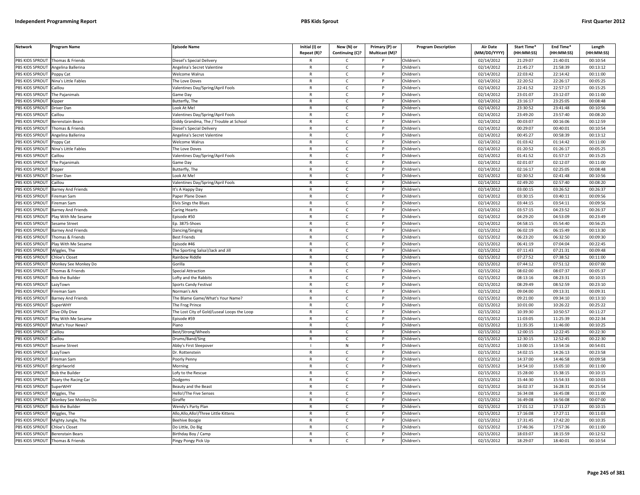| <b>Network</b>        | Program Name              | <b>Episode Name</b>                         | Initial (I) or<br>Repeat (R)? | New (N) or<br>Continuing (C)? | Primary (P) or<br>Multicast (M)? | <b>Program Description</b> | <b>Air Date</b><br>(MM/DD/YYYY) | Start Time*<br>(HH:MM:SS) | End Time <sup>®</sup><br>(HH:MM:SS) | Length<br>(HH:MM:SS) |
|-----------------------|---------------------------|---------------------------------------------|-------------------------------|-------------------------------|----------------------------------|----------------------------|---------------------------------|---------------------------|-------------------------------------|----------------------|
| PBS KIDS SPROUT       | Thomas & Friends          | Diesel's Special Delivery                   | R                             | C                             |                                  | Children's                 | 02/14/2012                      | 21:29:07                  | 21:40:01                            | 00:10:54             |
| PBS KIDS SPROUT       | Angelina Ballerina        | Angelina's Secret Valentine                 | $\mathsf{R}$                  | $\mathsf{C}$                  | P                                | Children's                 | 02/14/2012                      | 21:45:27                  | 21:58:39                            | 00:13:12             |
| PBS KIDS SPROUT       | Poppy Cat                 | Welcome Walrus                              | $\mathsf{R}$                  | $\mathsf{C}$                  | P                                | Children's                 | 02/14/2012                      | 22:03:42                  | 22:14:42                            | 00:11:00             |
| PBS KIDS SPROUT       | Nina's Little Fables      | The Love Doves                              | $\mathsf{R}$                  | $\mathsf{C}$                  | P                                | Children's                 | 02/14/2012                      | 22:20:52                  | 22:26:17                            | 00:05:25             |
| PBS KIDS SPROUT       | Caillou                   | Valentines Day/Spring/April Fools           | $\mathsf{R}$                  | $\mathsf{C}$                  | P                                | Children's                 | 02/14/2012                      | 22:41:52                  | 22:57:17                            | 00:15:25             |
| PBS KIDS SPROUT       | The Pajanimals            | Game Day                                    | $\mathsf{R}$                  | $\mathsf{C}$                  | <sub>D</sub>                     | Children's                 | 02/14/2012                      | 23:01:07                  | 23:12:07                            | 00:11:00             |
| <b>BS KIDS SPROUT</b> | Kipper                    | Butterfly, The                              | $\mathsf{R}$                  | C                             | P                                | Children's                 | 02/14/2012                      | 23:16:17                  | 23:25:05                            | 00:08:48             |
| PBS KIDS SPROUT       | Driver Dan                | Look At Me!                                 | $\mathsf{R}$                  | $\mathsf{C}$                  | P                                | Children's                 | 02/14/2012                      | 23:30:52                  | 23:41:48                            | 00:10:56             |
| PBS KIDS SPROUT       | Caillou                   | Valentines Day/Spring/April Fools           | $\mathsf{R}$                  | $\mathsf{C}$                  | P                                | Children's                 | 02/14/2012                      | 23:49:20                  | 23:57:40                            | 00:08:20             |
| PBS KIDS SPROUT       | Berenstain Bears          | Giddy Grandma, The / Trouble at School      | $\mathsf{R}$                  | $\mathsf{C}$                  | P                                | Children's                 | 02/14/2012                      | 00:03:07                  | 00:16:06                            | 00:12:59             |
| PBS KIDS SPROUT       | Thomas & Friends          | Diesel's Special Delivery                   | $\mathsf{R}$                  | $\mathsf{C}$                  | P                                | Children's                 | 02/14/2012                      | 00:29:07                  | 00:40:01                            | 00:10:54             |
| PBS KIDS SPROUT       | Angelina Ballerina        | Angelina's Secret Valentine                 | $\mathsf{R}$                  | $\mathsf{C}$                  | P                                | Children's                 | 02/14/2012                      | 00:45:27                  | 00:58:39                            | 00:13:12             |
| PBS KIDS SPROUT       | Poppy Cat                 | Welcome Walrus                              | $\mathsf{R}$                  | $\mathsf{C}$                  | P                                | Children's                 | 02/14/2012                      | 01:03:42                  | 01:14:42                            | 00:11:00             |
| PBS KIDS SPROUT       | lina's Little Fables      | he Love Doves                               | R                             | C                             | P                                | Children's                 | 02/14/2012                      | 01:20:52                  | 01:26:17                            | 00:05:25             |
| PBS KIDS SPROUT       | Caillou                   | Valentines Day/Spring/April Fools           | $\mathsf{R}$                  | C                             | $\mathsf{P}$                     | Children's                 | 02/14/2012                      | 01:41:52                  | 01:57:17                            | 00:15:25             |
| PBS KIDS SPROUT       | The Pajanimals            | Game Day                                    | $\mathsf{R}$                  | $\mathsf{C}$                  | P                                | Children's                 | 02/14/2012                      | 02:01:07                  | 02:12:07                            | 00:11:00             |
| PBS KIDS SPROUT       | Kipper                    | Butterfly, The                              | $\mathsf{R}$                  | $\mathsf{C}$                  | P                                | Children's                 | 02/14/2012                      | 02:16:17                  | 02:25:05                            | 00:08:48             |
| PBS KIDS SPROUT       | Driver Dan                | Look At Me!                                 | $\mathsf{R}$                  | $\mathsf{C}$                  | P                                | Children's                 | 02/14/2012                      | 02:30:52                  | 02:41:48                            | 00:10:56             |
| PBS KIDS SPROUT       | Caillou                   | Valentines Day/Spring/April Fools           | $\mathsf{R}$                  | $\mathsf{C}$                  | P                                | Children's                 | 02/14/2012                      | 02:49:20                  | 02:57:40                            | 00:08:20             |
| PBS KIDS SPROUT       | <b>Barney And Friends</b> | t's A Happy Day                             | R                             | $\mathsf{C}$                  | P                                | Children's                 | 02/14/2012                      | 03:00:15                  | 03:26:52                            | 00:26:37             |
| PBS KIDS SPROUT       | ireman Sam                | aper Plane Down                             | $\mathsf{R}$                  | $\mathsf{C}$                  | P                                | Children's                 | 02/14/2012                      | 03:30:15                  | 03:40:11                            | 00:09:56             |
| <b>BS KIDS SPROUT</b> | Fireman Sam               | <b>Elvis Sings the Blues</b>                | $\mathsf{R}$                  | $\mathsf{C}$                  | P                                | Children's                 | 02/14/2012                      | 03:44:15                  | 03:54:11                            | 00:09:56             |
| PBS KIDS SPROUT       | Barney And Friends        | Caring Hearts                               | $\mathsf{R}$                  | $\mathsf{C}$                  | P                                | Children's                 | 02/14/2012                      | 03:57:15                  | 04:23:52                            | 00:26:37             |
| PBS KIDS SPROUT       | Play With Me Sesame       | pisode #50                                  | R                             | $\mathsf{C}$                  | P                                | Children's                 | 02/14/2012                      | 04:29:20                  | 04:53:09                            | 00:23:49             |
| PBS KIDS SPROUT       | Sesame Street             | p. 3875-Shoes                               | $\mathsf{R}$                  | $\mathsf{C}$                  | P                                | Children's                 | 02/14/2012                      | 04:58:15                  | 05:54:40                            | 00:56:25             |
| PBS KIDS SPROUT       | <b>Barney And Friends</b> | Dancing/Singing                             | $\mathsf{R}$                  | $\mathsf{C}$                  | P                                | Children's                 | 02/15/2012                      | 06:02:19                  | 06:15:49                            | 00:13:30             |
| PBS KIDS SPROUT       | homas & Friends           | Best Friends                                | $\mathsf{R}$                  | $\mathsf{C}$                  | D                                | Children's                 | 02/15/2012                      | 06:23:20                  | 06:32:50                            | 00:09:30             |
| PBS KIDS SPROUT       | Play With Me Sesame       | pisode #46                                  | $\mathsf{R}$                  | $\mathsf{C}$                  | P                                | Children's                 | 02/15/2012                      | 06:41:19                  | 07:04:04                            | 00:22:45             |
| PBS KIDS SPROUT       | Wiggles, The              | he Sporting Salsa!/Jack and Jill            | $\mathsf{R}$                  | $\mathsf{C}$                  | P                                | Children's                 | 02/15/2012                      | 07:11:43                  | 07:21:31                            | 00:09:48             |
| PBS KIDS SPROUT       | <b>Chloe's Closet</b>     | Rainbow Riddle                              | $\mathsf{R}$                  | $\mathsf{C}$                  | $\mathsf{P}$                     | Children's                 | 02/15/2012                      | 07:27:52                  | 07:38:52                            | 00:11:00             |
| PBS KIDS SPROUT       | Monkey See Monkey Do      | Gorilla                                     | $\mathsf{R}$                  | $\mathsf{C}$                  | P                                | Children's                 | 02/15/2012                      | 07:44:12                  | 07:51:12                            | 00:07:00             |
| PBS KIDS SPROUT       | homas & Friends           | Special Attraction                          | $\mathsf{R}$                  | $\mathsf{C}$                  | P                                | Children's                 | 02/15/2012                      | 08:02:00                  | 08:07:37                            | 00:05:37             |
| PBS KIDS SPROUT       | <b>Bob the Builder</b>    | Lofty and the Rabbits                       | $\mathsf{R}$                  | $\mathsf{C}$                  | P                                | Children's                 | 02/15/2012                      | 08:13:16                  | 08:23:31                            | 00:10:15             |
| PBS KIDS SPROUT       | azyTown.                  | Sports Candy Festival                       | $\mathsf{R}$                  | $\mathsf{C}$                  | $\mathsf{P}$                     | Children's                 | 02/15/2012                      | 08:29:49                  | 08:52:59                            | 00:23:10             |
| PBS KIDS SPROUT       | Fireman Sam               | Norman's Ark                                | $\mathsf{R}$                  | $\mathsf{C}$                  | P                                | Children's                 | 02/15/2012                      | 09:04:00                  | 09:13:31                            | 00:09:31             |
| PBS KIDS SPROUT       | <b>Barney And Friends</b> | The Blame Game/What's Your Name?            | $\mathsf{R}$                  | $\mathsf{C}$                  | P                                | Children's                 | 02/15/2012                      | 09:21:00                  | 09:34:10                            | 00:13:10             |
| <b>BS KIDS SPROUT</b> | SuperWHY                  | The Frog Prince                             | $\mathsf{R}$                  | $\mathsf{C}$                  | P                                | Children's                 | 02/15/2012                      | 10:01:00                  | 10:26:22                            | 00:25:22             |
| PBS KIDS SPROUT       | Dive Olly Dive            | The Lost City of Gold/Luseal Loops the Loop | $\mathsf{R}$                  | $\mathsf{C}$                  | P                                | Children's                 | 02/15/2012                      | 10:39:30                  | 10:50:57                            | 00:11:27             |
| PBS KIDS SPROUT       | Play With Me Sesame       | pisode #59                                  | $\mathsf{R}$                  | $\mathsf C$                   | P                                | Children's                 | 02/15/2012                      | 11:03:05                  | 11:25:39                            | 00:22:34             |
| PBS KIDS SPROUT       | What's Your News?         | iano                                        | $\mathsf{R}$                  | $\mathsf{C}$                  | <sub>D</sub>                     | Children's                 | 02/15/2012                      | 11:35:35                  | 11:46:00                            | 00:10:25             |
| PBS KIDS SPROUT       | Caillou                   | Best/Strong/Wheels                          | R                             | $\mathsf{C}$                  | P                                | Children's                 | 02/15/2012                      | 12:00:15                  | 12:22:45                            | 00:22:30             |
| PBS KIDS SPROUT       | aillou                    | Drums/Band/Sing                             | $\mathsf{R}$                  | $\mathsf{C}$                  | P                                | Children's                 | 02/15/2012                      | 12:30:15                  | 12:52:45                            | 00:22:30             |
| PBS KIDS SPROUT       | Sesame Street             | Abby's First Sleepover                      | п                             | N                             | P                                | Children's                 | 02/15/2012                      | 13:00:15                  | 13:54:16                            | 00:54:01             |
| PBS KIDS SPROUT       | azyTown                   | Or. Rottenstein                             | $\mathsf{R}$                  | $\mathsf{C}$                  | P                                | Children's                 | 02/15/2012                      | 14:02:15                  | 14:26:13                            | 00:23:58             |
| PBS KIDS SPROUT       | ireman Sam                | Poorly Penny                                | $\mathsf{R}$                  | $\mathsf{C}$                  | P                                | Children's                 | 02/15/2012                      | 14:37:00                  | 14:46:58                            | 00:09:58             |
| PBS KIDS SPROUT       | dirtgirlworld             | Morning                                     | $\mathsf{R}$                  | $\mathsf{C}$                  | P                                | Children's                 | 02/15/2012                      | 14:54:10                  | 15:05:10                            | 00:11:00             |
| PBS KIDS SPROUT       | <b>Bob the Builder</b>    | ofy to the Rescue                           | $\mathsf{R}$                  | $\mathsf{C}$                  | $\mathsf{P}$                     | Children's                 | 02/15/2012                      | 15:28:00                  | 15:38:15                            | 00:10:15             |
| PBS KIDS SPROUT       | Roary the Racing Car      | Dodgems                                     | $\mathsf{R}$                  | $\mathsf{C}$                  | P                                | Children's                 | 02/15/2012                      | 15:44:30                  | 15:54:33                            | 00:10:03             |
| PBS KIDS SPROUT       | SuperWHY                  | <b>Beauty and the Beast</b>                 | $\mathsf{R}$                  | $\mathsf{C}$                  | P                                | Children's                 | 02/15/2012                      | 16:02:37                  | 16:28:31                            | 00:25:54             |
| PBS KIDS SPROUT       | Wiggles, The              | <b>Iello!/The Five Senses</b>               | R                             | $\mathsf{C}$                  | P                                | Children's                 | 02/15/2012                      | 16:34:08                  | 16:45:08                            | 00:11:00             |
| PBS KIDS SPROUT       | Monkey See Monkey Do      | Giraffe                                     | $\mathsf{R}$                  | $\mathsf{C}$                  | P                                | Children's                 | 02/15/2012                      | 16:49:08                  | 16:56:08                            | 00:07:00             |
| PBS KIDS SPROUT       | <b>Bob the Builder</b>    | Wendy's Party Plan                          | $\mathsf{R}$                  | $\mathsf{C}$                  | P                                | Children's                 | 02/15/2012                      | 17:01:12                  | 17:11:27                            | 00:10:15             |
| PBS KIDS SPROUT       | Niggles, The              | Allo,Allo,Allo!/Three Little Kittens        | $\mathsf{R}$                  | $\mathsf{C}$                  | P                                | Children's                 | 02/15/2012                      | 17:16:08                  | 17:27:11                            | 00:11:03             |
| PBS KIDS SPROUT       | Mighty Jungle, The        | Beehive Boogie                              | $\mathsf{R}$                  | $\mathsf C$                   | P                                | Children's                 | 02/15/2012                      | 17:31:45                  | 17:42:20                            | 00:10:35             |
| PBS KIDS SPROUT       | hloe's Closet             | Do Little, Do Big                           | $\mathsf{R}$                  | $\mathsf{C}$                  | Þ                                | Children's                 | 02/15/2012                      | 17:46:36                  | 17:57:36                            | 00:11:00             |
| PBS KIDS SPROUT       | <b>Berenstain Bears</b>   | Birthday Boy / Camp                         | $\mathsf{R}$                  | C                             | P                                | Children's                 | 02/15/2012                      | 18:03:07                  | 18:15:59                            | 00:12:52             |
| PBS KIDS SPROUT       | Thomas & Friends          | Pingy Pongy Pick Up                         | $\mathsf{R}$                  | $\mathsf{C}$                  | P                                | Children's                 | 02/15/2012                      | 18:29:07                  | 18:40:01                            | 00:10:54             |
|                       |                           |                                             |                               |                               |                                  |                            |                                 |                           |                                     |                      |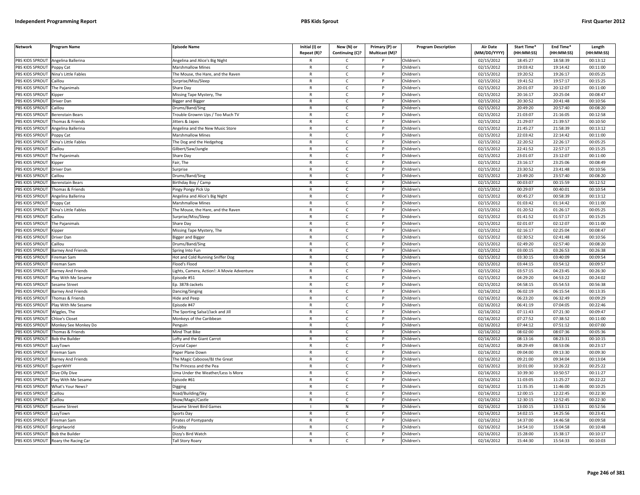| <b>Network</b>  | Program Name              | <b>Episode Name</b>                        | Initial (I) or<br>Repeat (R)? | New (N) or<br>Continuing (C)? | Primary (P) or<br>Multicast (M)? | <b>Program Description</b> | Air Date<br>(MM/DD/YYYY) | Start Time*<br>(HH:MM:SS) | End Time <sup>®</sup><br>(HH:MM:SS) | Length<br>(HH:MM:SS) |
|-----------------|---------------------------|--------------------------------------------|-------------------------------|-------------------------------|----------------------------------|----------------------------|--------------------------|---------------------------|-------------------------------------|----------------------|
| PBS KIDS SPROUT | Angelina Ballerina        | Angelina and Alice's Big Night             |                               | C                             |                                  | Children's                 | 02/15/2012               | 18:45:27                  | 18:58:39                            | 00:13:12             |
| PBS KIDS SPROUT | Poppy Cat                 | <b>Marshmallow Mines</b>                   | $\mathsf{R}$                  | $\mathsf{C}$                  | $\mathsf{P}$                     | Children's                 | 02/15/2012               | 19:03:42                  | 19:14:42                            | 00:11:00             |
| PBS KIDS SPROUT | Nina's Little Fables      | The Mouse, the Hare, and the Raven         | $\mathsf{R}$                  | $\mathsf{C}$                  |                                  | Children's                 | 02/15/2012               | 19:20:52                  | 19:26:17                            | 00:05:25             |
| PBS KIDS SPROUT | Caillou                   | Surprise/Miss/Sleep                        | $\mathbb{R}$                  | $\mathsf{C}$                  | P                                | Children's                 | 02/15/2012               | 19:41:52                  | 19:57:17                            | 00:15:25             |
| PBS KIDS SPROUT | The Pajanimals            | Share Day                                  | $\mathsf{R}$                  | $\mathsf{C}$                  | P                                | Children's                 | 02/15/2012               | 20:01:07                  | 20:12:07                            | 00:11:00             |
| PBS KIDS SPROUT | (ipper                    | Missing Tape Mystery, The                  | $\mathsf{R}$                  | $\mathsf{C}$                  |                                  | Children's                 | 02/15/2012               | 20:16:17                  | 20:25:04                            | 00:08:47             |
| PBS KIDS SPROUT | Driver Dan                | Bigger and Bigger                          | R                             | C                             |                                  | Children's                 | 02/15/2012               | 20:30:52                  | 20:41:48                            | 00:10:56             |
| PBS KIDS SPROUT | Caillou                   | Drums/Band/Sing                            | $\mathsf{R}$                  | $\mathsf{C}$                  | P                                | Children's                 | 02/15/2012               | 20:49:20                  | 20:57:40                            | 00:08:20             |
| PBS KIDS SPROUT | <b>Berenstain Bears</b>   | Frouble Grownn Ups / Too Much TV           | R                             | C                             | P                                | Children's                 | 02/15/2012               | 21:03:07                  | 21:16:05                            | 00:12:58             |
| PBS KIDS SPROUT | Thomas & Friends          | litters & Japes                            | $\mathsf{R}$                  | $\mathsf{C}$                  | P                                | Children's                 | 02/15/2012               | 21:29:07                  | 21:39:57                            | 00:10:50             |
| PBS KIDS SPROUT | Angelina Ballerina        | Angelina and the New Music Store           | $\mathsf{R}$                  | $\mathsf{C}$                  | P                                | Children's                 | 02/15/2012               | 21:45:27                  | 21:58:39                            | 00:13:12             |
| PBS KIDS SPROUT | Poppy Cat                 | Marshmallow Mines                          | $\mathsf{R}$                  | $\mathsf{C}$                  | <b>D</b>                         | Children's                 | 02/15/2012               | 22:03:42                  | 22:14:42                            | 00:11:00             |
| PBS KIDS SPROUT | Nina's Little Fables      | The Dog and the Hedgehog                   | $\mathsf{R}$                  | $\mathsf{C}$                  | P                                | Children's                 | 02/15/2012               | 22:20:52                  | 22:26:17                            | 00:05:25             |
| PBS KIDS SPROUT | Caillou                   | Gilbert/Saw/Jungle                         | $\mathsf{R}$                  | C                             |                                  | Children's                 | 02/15/2012               | 22:41:52                  | 22:57:17                            | 00:15:25             |
| PBS KIDS SPROUT | The Pajanimals            | Share Day                                  | $\mathsf{R}$                  | C                             | P                                | Children's                 | 02/15/2012               | 23:01:07                  | 23:12:07                            | 00:11:00             |
| PBS KIDS SPROUT | <b>Kipper</b>             | Fair, The                                  | $\mathsf{R}$                  | $\mathsf{C}$                  | P                                | Children's                 | 02/15/2012               | 23:16:17                  | 23:25:06                            | 00:08:49             |
| PBS KIDS SPROUT | Driver Dan                | Surprise                                   | $\mathsf{R}$                  | $\mathsf{C}$                  | $\mathsf{P}$                     | Children's                 | 02/15/2012               | 23:30:52                  | 23:41:48                            | 00:10:56             |
| PBS KIDS SPROUT | Caillou                   | Drums/Band/Sing                            | $\mathsf{R}$                  | $\mathsf{C}$                  | P                                | Children's                 | 02/15/2012               | 23:49:20                  | 23:57:40                            | 00:08:20             |
| PBS KIDS SPROUT | Berenstain Bears          | Birthday Boy / Camp                        | $\mathbb{R}$                  | $\mathsf{C}$                  | P                                | Children's                 | 02/15/2012               | 00:03:07                  | 00:15:59                            | 00:12:52             |
| PBS KIDS SPROUT | Thomas & Friends          | ingy Pongy Pick Up                         | $\mathsf{R}$                  | C                             | P                                | Children's                 | 02/15/2012               | 00:29:07                  | 00:40:01                            | 00:10:54             |
| PBS KIDS SPROUT | Angelina Ballerina        | Angelina and Alice's Big Night             | $\mathsf{R}$                  | $\mathsf{C}$                  |                                  | Children's                 | 02/15/2012               | 00:45:27                  | 00:58:39                            | 00:13:12             |
| PBS KIDS SPROUT | Poppy Cat                 | <b>Marshmallow Mines</b>                   | $\mathsf{R}$                  | $\mathsf{C}$                  |                                  | Children's                 | 02/15/2012               | 01:03:42                  | 01:14:42                            | 00:11:00             |
| PBS KIDS SPROUT | Nina's Little Fables      | The Mouse, the Hare, and the Raven         | $\mathsf{R}$                  | $\mathsf{C}$                  | <b>D</b>                         | Children's                 | 02/15/2012               | 01:20:52                  | 01:26:17                            | 00:05:25             |
| PBS KIDS SPROUT | Caillou                   | Surprise/Miss/Sleep                        | R                             | C                             | P                                | Children's                 | 02/15/2012               | 01:41:52                  | 01:57:17                            | 00:15:25             |
| PBS KIDS SPROUT | The Pajanimals            | Share Day                                  | $\mathbb{R}$                  | $\mathsf{C}$                  | <b>D</b>                         | Children's                 | 02/15/2012               | 02:01:07                  | 02:12:07                            | 00:11:00             |
| PBS KIDS SPROUT | Kipper                    | Missing Tape Mystery, The                  | $\mathsf{R}$                  | $\mathsf{C}$                  | P                                | Children's                 | 02/15/2012               | 02:16:17                  | 02:25:04                            | 00:08:47             |
| PBS KIDS SPROUT | Driver Dan                | Bigger and Bigger                          | $\mathsf{R}$                  | $\mathsf{C}$                  | P                                | Children's                 | 02/15/2012               | 02:30:52                  | 02:41:48                            | 00:10:56             |
| PBS KIDS SPROUT | Caillou                   | Drums/Band/Sing                            | $\mathsf{R}$                  | $\mathsf{C}$                  | P                                | Children's                 | 02/15/2012               | 02:49:20                  | 02:57:40                            | 00:08:20             |
| PBS KIDS SPROUT | Barney And Friends        | Spring Into Fun                            | $\mathsf{R}$                  | $\mathsf{C}$                  |                                  | Children's                 | 02/15/2012               | 03:00:15                  | 03:26:53                            | 00:26:38             |
| PBS KIDS SPROUT | Fireman Sam               | Hot and Cold Running Sniffer Dog           | $\mathsf{R}$                  | C                             | P                                | Children's                 | 02/15/2012               | 03:30:15                  | 03:40:09                            | 00:09:54             |
| PBS KIDS SPROUT | Fireman Sam               | lood's Flood                               | $\mathsf{R}$                  | $\mathsf{C}$                  | P                                | Children's                 | 02/15/2012               | 03:44:15                  | 03:54:12                            | 00:09:57             |
| PBS KIDS SPROUT | Barney And Friends        | lights, Camera, Action!: A Movie Adventure | $\mathsf{R}$                  | $\mathsf{C}$                  | P                                | Children's                 | 02/15/2012               | 03:57:15                  | 04:23:45                            | 00:26:30             |
| PBS KIDS SPROUT | Play With Me Sesame       | Episode #51                                | $\mathsf{R}$                  | $\mathsf{C}$                  |                                  | Children's                 | 02/15/2012               | 04:29:20                  | 04:53:22                            | 00:24:02             |
| PBS KIDS SPROUT | Sesame Street             | Ep. 3878-Jackets                           | $\mathsf{R}$                  | C                             | P                                | Children's                 | 02/15/2012               | 04:58:15                  | 05:54:53                            | 00:56:38             |
| PBS KIDS SPROUT | <b>Barney And Friends</b> | Dancing/Singing                            | $\mathsf{R}$                  | C                             | P                                | Children's                 | 02/16/2012               | 06:02:19                  | 06:15:54                            | 00:13:35             |
| PBS KIDS SPROUT | Thomas & Friends          | <b>Hide and Peep</b>                       | $\mathsf{R}$                  | $\mathsf{C}$                  | P                                | Children's                 | 02/16/2012               | 06:23:20                  | 06:32:49                            | 00:09:29             |
| PBS KIDS SPROUT | Play With Me Sesame       | Episode #47                                | $\mathsf{R}$                  | $\mathsf{C}$                  |                                  | Children's                 | 02/16/2012               | 06:41:19                  | 07:04:05                            | 00:22:46             |
| PBS KIDS SPROUT | Wiggles, The              | The Sporting Salsa!/Jack and Jill          | $\mathsf{R}$                  | $\mathsf{C}$                  | <b>D</b>                         | Children's                 | 02/16/2012               | 07:11:43                  | 07:21:30                            | 00:09:47             |
| PBS KIDS SPROUT | Chloe's Closet            | Monkeys of the Caribbean                   | R                             | $\mathsf{C}$                  | P                                | Children's                 | 02/16/2012               | 07:27:52                  | 07:38:52                            | 00:11:00             |
| PBS KIDS SPROUT | Monkey See Monkey Do      | Penguin                                    | $\mathsf{R}$                  | $\mathsf{C}$                  | <b>D</b>                         | Children's                 | 02/16/2012               | 07:44:12                  | 07:51:12                            | 00:07:00             |
| PBS KIDS SPROUT | Thomas & Friends          | Mind That Bike                             | $\mathsf{R}$                  | $\mathsf{C}$                  | P                                | Children's                 | 02/16/2012               | 08:02:00                  | 08:07:36                            | 00:05:36             |
| PBS KIDS SPROUT | <b>Bob the Builder</b>    | Lofty and the Giant Carrot                 | $\mathsf{R}$                  | $\mathsf{C}$                  |                                  | Children's                 | 02/16/2012               | 08:13:16                  | 08:23:31                            | 00:10:15             |
| PBS KIDS SPROUT | LazyTown                  | Crystal Caper                              | $\mathsf{R}$                  | $\mathsf{C}$                  | P                                | Children's                 | 02/16/2012               | 08:29:49                  | 08:53:06                            | 00:23:17             |
| PBS KIDS SPROUT | Fireman Sam               | Paper Plane Down                           | $\mathsf{R}$                  | $\mathsf{C}$                  | P                                | Children's                 | 02/16/2012               | 09:04:00                  | 09:13:30                            | 00:09:30             |
| PBS KIDS SPROUT | <b>Barney And Friends</b> | The Magic Caboose/BJ the Great             | $\mathsf{R}$                  | $\mathsf{C}$                  | P                                | Children's                 | 02/16/2012               | 09:21:00                  | 09:34:04                            | 00:13:04             |
| PBS KIDS SPROUT | <b>SuperWHY</b>           | The Princess and the Pea                   | $\mathsf{R}$                  | $\mathsf{C}$                  |                                  | Children's                 | 02/16/2012               | 10:01:00                  | 10:26:22                            | 00:25:22             |
| PBS KIDS SPROUT | Dive Olly Dive            | Uma Under the Weather/Less Is More         | $\mathsf{R}$                  | $\mathsf{C}$                  | P                                | Children's                 | 02/16/2012               | 10:39:30                  | 10:50:57                            | 00:11:27             |
| PBS KIDS SPROUT | Play With Me Sesame       | Episode #61                                | $\mathsf{R}$                  | $\mathsf{C}$                  | P                                | Children's                 | 02/16/2012               | 11:03:05                  | 11:25:27                            | 00:22:22             |
| PBS KIDS SPROUT | What's Your News?         | Digging                                    | $\mathsf{R}$                  | C                             | P                                | Children's                 | 02/16/2012               | 11:35:35                  | 11:46:00                            | 00:10:25             |
| PBS KIDS SPROUT | Caillou                   | Road/Building/Sky                          | $\mathsf{R}$                  | $\mathsf{C}$                  | P                                | Children's                 | 02/16/2012               | 12:00:15                  | 12:22:45                            | 00:22:30             |
| PBS KIDS SPROUT | Caillou                   | Show/Magic/Castle                          | $\mathsf{R}$                  | $\mathsf{C}$                  | P                                | Children's                 | 02/16/2012               | 12:30:15                  | 12:52:45                            | 00:22:30             |
| PBS KIDS SPROUT | Sesame Street             | Sesame Street Bird Games                   |                               | N                             |                                  | Children's                 | 02/16/2012               | 13:00:15                  | 13:53:11                            | 00:52:56             |
| PBS KIDS SPROUT | azyTown                   | Sports Day                                 | $\mathsf{R}$                  | $\mathsf{C}$                  | D                                | Children's                 | 02/16/2012               | 14:02:15                  | 14:25:56                            | 00:23:41             |
| PBS KIDS SPROUT | Fireman Sam               | Pirates of Pontypandy                      | R                             | $\mathsf{C}$                  | D                                | Children's                 | 02/16/2012               | 14:37:00                  | 14:46:58                            | 00:09:58             |
| PBS KIDS SPROUT | dirtgirlworld             | Grubby                                     | $\mathsf{R}$                  | $\mathsf{C}$                  |                                  | Children's                 | 02/16/2012               | 14:54:10                  | 15:04:58                            | 00:10:48             |
| PBS KIDS SPROUT | <b>Bob the Builder</b>    | Dizzy's Bird Watch                         | $\mathsf{R}$                  | C                             | P                                | Children's                 | 02/16/2012               | 15:28:00                  | 15:38:17                            | 00:10:17             |
| PBS KIDS SPROUT | Roary the Racing Car      | Tall Story Roary                           | $\mathsf{R}$                  | $\mathsf{C}$                  | D                                | Children's                 | 02/16/2012               | 15:44:30                  | 15:54:33                            | 00:10:03             |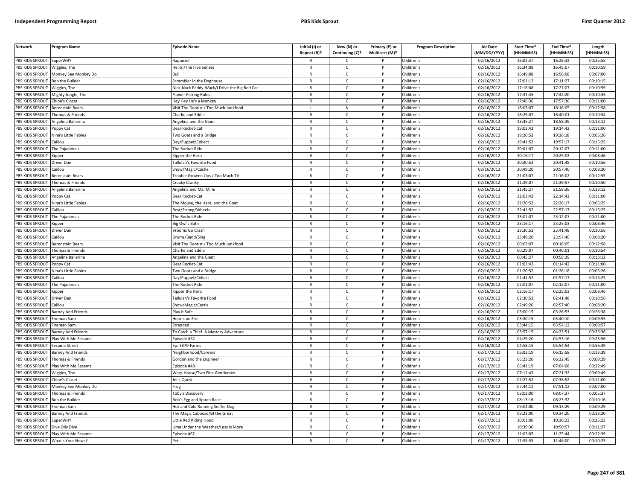| <b>Network</b>         | <b>Program Name</b>       | <b>Episode Name</b>                          | Initial (I) or | New (N) or      | Primary (P) or | <b>Program Description</b> | <b>Air Date</b> | Start Time* | End Time*  | Length     |
|------------------------|---------------------------|----------------------------------------------|----------------|-----------------|----------------|----------------------------|-----------------|-------------|------------|------------|
|                        |                           |                                              | Repeat (R)?    | Continuing (C)? | Multicast (M)? |                            | (MM/DD/YYYY)    | (HH:MM:SS)  | (HH:MM:SS) | (HH:MM:SS) |
| PBS KIDS SPROUT        | SuperWHY                  | Ranunzel                                     |                | $\mathsf{C}$    |                | Children's                 | 02/16/2012      | 16:02:37    | 16:28:32   | 00:25:55   |
| PBS KIDS SPROUT        | Wiggles, The              | Hello!/The Five Senses                       | $\mathsf{R}$   | $\mathsf{C}$    | P              | Children's                 | 02/16/2012      | 16:34:08    | 16:45:07   | 00:10:59   |
| PBS KIDS SPROUT        | Monkey See Monkey Do      | Հով∣                                         | $\mathsf{R}$   | $\mathsf{C}$    |                | hildren's                  | 02/16/2012      | 16:49:08    | 16:56:08   | 00:07:00   |
| PBS KIDS SPROUT        | Bob the Builder           | Scrambler in the Doghouse                    | $\mathsf{R}$   | $\mathsf{C}$    | D              | hildren's                  | 02/16/2012      | 17:01:12    | 17:11:27   | 00:10:15   |
| PBS KIDS SPROUT        | Wiggles, The              | Nick-Nack Paddy-Wack/I Drive the Big Red Car | $\mathsf{R}$   | C               |                | Children's                 | 02/16/2012      | 17:16:08    | 17:27:07   | 00:10:59   |
| PBS KIDS SPROUT        | Mighty Jungle, The        | <b>Iower Picking Rules</b>                   | $\mathsf{R}$   | $\mathsf{C}$    |                | hildren's                  | 02/16/2012      | 17:31:45    | 17:42:20   | 00:10:35   |
| PBS KIDS SPROUT        | Chloe's Closet            | Hey Hey He's a Monkey                        | $\mathsf{R}$   | $\mathsf{C}$    | P              | hildren's                  | 02/16/2012      | 17:46:36    | 17:57:36   | 00:11:00   |
| PBS KIDS SPROUT        | Berenstain Bears          | Visit The Dentist / Too Much Junkfood        |                | ${\sf N}$       |                | hildren's                  | 02/16/2012      | 18:03:07    | 18:16:05   | 00:12:58   |
| PBS KIDS SPROUT        | Thomas & Friends          | Charlie and Eddie                            | $\mathsf{R}$   | $\mathsf{C}$    | D              | hildren's                  | 02/16/2012      | 18:29:07    | 18:40:01   | 00:10:54   |
| PBS KIDS SPROUT        | Angelina Ballerina        | Angelina and the Giant                       | $\mathsf{R}$   | $\mathsf{C}$    |                | hildren's                  | 02/16/2012      | 18:45:27    | 18:58:39   | 00:13:12   |
| PBS KIDS SPROUT        | Poppy Cat                 | Dear Rocket-Cat                              | $\mathsf{R}$   | C               | P              | hildren's                  | 02/16/2012      | 19:03:42    | 19:14:42   | 00:11:00   |
| PBS KIDS SPROUT        | Nina's Little Fables      | Two Goats and a Bridge                       | $\mathsf{R}$   | C               |                | Children's                 | 02/16/2012      | 19:20:52    | 19:26:18   | 00:05:26   |
| PBS KIDS SPROUT        | Caillou                   | Day/Puppet/Collect                           | R              | $\mathsf{C}$    | P              | hildren's                  | 02/16/2012      | 19:41:52    | 19:57:17   | 00:15:25   |
| PBS KIDS SPROUT        | The Pajanimals            | he Rocket Ride                               | $\mathsf{R}$   | $\mathsf{C}$    |                | hildren's                  | 02/16/2012      | 20:01:07    | 20:12:07   | 00:11:00   |
| PBS KIDS SPROUT        | <b>Kipper</b>             | <b>Sipper the Hero</b>                       | $\mathsf{R}$   | $\mathsf{C}$    | P              | Children's                 | 02/16/2012      | 20:16:17    | 20:25:03   | 00:08:46   |
| PBS KIDS SPROUT        | Driver Dan                | <b>Fallulah's Favorite Food</b>              | $\mathsf{R}$   | $\mathsf{C}$    |                | Children's                 | 02/16/2012      | 20:30:52    | 20:41:48   | 00:10:56   |
| PBS KIDS SPROUT        | Caillou                   | Show/Magic/Castle                            | R              | $\mathsf{C}$    | P              | hildren's                  | 02/16/2012      | 20:49:20    | 20:57:40   | 00:08:20   |
| PBS KIDS SPROUT        | Berenstain Bears          | Frouble Grownn Ups / Too Much TV             | $\mathsf{R}$   | $\mathsf{C}$    |                | Children's                 | 02/16/2012      | 21:03:07    | 21:16:02   | 00:12:55   |
| PBS KIDS SPROUT        | Thomas & Friends          | Creaky Cranky                                | $\mathsf{R}$   | $\mathsf{C}$    | P              | Children's                 | 02/16/2012      | 21:29:07    | 21:39:57   | 00:10:50   |
| PBS KIDS SPROUT        | Angelina Ballerina        | Angelina and Ms. Mimi                        | $\mathsf{R}$   | $\mathsf{C}$    |                | Children's                 | 02/16/2012      | 21:45:27    | 21:58:39   | 00:13:12   |
| PBS KIDS SPROUT        | oppy Cat                  | Dear Rocket-Cat                              | $\mathsf{R}$   | $\mathsf{C}$    | P              | hildren's                  | 02/16/2012      | 22:03:42    | 22:14:42   | 00:11:00   |
| PBS KIDS SPROUT        | Nina's Little Fables      | The Mouse, the Hare, and the Goat            | $\mathsf{R}$   | $\mathsf{C}$    |                | hildren's                  | 02/16/2012      | 22:20:52    | 22:26:17   | 00:05:25   |
| PBS KIDS SPROUT        | Caillou                   | Best/Strong/Wheels                           | $\mathsf{R}$   | $\mathsf{C}$    | Þ              | children' <mark>s</mark>   | 02/16/2012      | 22:41:52    | 22:57:17   | 00:15:25   |
| PBS KIDS SPROUT        | The Pajanimals            | The Rocket Ride                              | R              | $\mathsf{C}$    | P              | Children's                 | 02/16/2012      | 23:01:07    | 23:12:07   | 00:11:00   |
| PBS KIDS SPROUT        | .ipper                    | Big Owl's Bath                               | $\mathsf{R}$   | C               |                | hildren's                  | 02/16/2012      | 23:16:17    | 23:25:03   | 00:08:46   |
| PBS KIDS SPROUT        | Driver Dan                | /rooms Go Crash                              | R              | C               | P              | Children's                 | 02/16/2012      | 23:30:52    | 23:41:48   | 00:10:56   |
| PBS KIDS SPROUT        | Caillou                   | Drums/Band/Sing                              | $\mathsf{R}$   | $\mathsf{C}$    |                | hildren's                  | 02/16/2012      | 23:49:20    | 23:57:40   | 00:08:20   |
| PBS KIDS SPROUT        | Berenstain Bears          | Visit The Dentist / Too Much Junkfood        | $\mathsf{R}$   | $\mathsf{C}$    | P              | hildren's                  | 02/16/2012      | 00:03:07    | 00:16:05   | 00:12:58   |
| PBS KIDS SPROUT        | Thomas & Friends          | Charlie and Eddie                            |                | C               |                | hildren's                  | 02/16/2012      | 00:29:07    | 00:40:01   | 00:10:54   |
| PBS KIDS SPROUT        | Angelina Ballerina        | Angelina and the Giant                       | $\mathsf{R}$   | C               | P              | hildren's                  | 02/16/2012      | 00:45:27    | 00:58:39   | 00:13:12   |
| PBS KIDS SPROUT        | Poppy Cat                 | Dear Rocket-Cat                              | $\mathsf{R}$   | C               |                | Children's                 | 02/16/2012      | 01:03:42    | 01:14:42   | 00:11:00   |
| PBS KIDS SPROUT        | Nina's Little Fables      | Two Goats and a Bridge                       | $\mathsf{R}$   | $\mathsf{C}$    | P              | Children's                 | 02/16/2012      | 01:20:52    | 01:26:18   | 00:05:26   |
| PBS KIDS SPROUT        | Caillou                   | Day/Puppet/Collect                           | $\mathsf{R}$   | $\mathsf{C}$    | P              | Children's                 | 02/16/2012      | 01:41:52    | 01:57:17   | 00:15:25   |
| PBS KIDS SPROUT        | The Pajanimals            | The Rocket Ride                              | $\mathsf{R}$   | $\mathsf{C}$    | P              | Children's                 | 02/16/2012      | 02:01:07    | 02:12:07   | 00:11:00   |
| PBS KIDS SPROUT        | <b>Kipper</b>             | ipper the Hero                               | $\mathsf{R}$   | $\mathsf{C}$    |                | Children's                 | 02/16/2012      | 02:16:17    | 02:25:03   | 00:08:46   |
| PBS KIDS SPROUT        | Driver Dan                | <b>Fallulah's Favorite Food</b>              | $\mathsf{R}$   | $\mathsf{C}$    | P              | hildren's                  | 02/16/2012      | 02:30:52    | 02:41:48   | 00:10:56   |
| PBS KIDS SPROUT        | Caillou                   | Show/Magic/Castle                            | $\mathsf{R}$   | C               |                | hildren's                  | 02/16/2012      | 02:49:20    | 02:57:40   | 00:08:20   |
| PBS KIDS SPROUT        | Barney And Friends        | Play It Safe                                 | $\mathsf{R}$   | $\epsilon$      | D              | hildren's                  | 02/16/2012      | 03:00:15    | 03:26:53   | 00:26:38   |
| PBS KIDS SPROUT        | Fireman Sam               | learts on Fire                               | $\mathsf{R}$   | C               | P              | hildren's                  | 02/16/2012      | 03:30:15    | 03:40:10   | 00:09:55   |
| PBS KIDS SPROUT        | Fireman Sam               | Stranded                                     | $\mathsf{R}$   | $\mathsf{C}$    | D              | hildren's                  | 02/16/2012      | 03:44:15    | 03:54:12   | 00:09:57   |
| PBS KIDS SPROUT        | <b>Barney And Friends</b> | To Catch a Thief: A Mystery Adventure        | $\mathsf{R}$   | $\mathsf{C}$    | D              | Children's                 | 02/16/2012      | 03:57:15    | 04:23:51   | 00:26:36   |
| PBS KIDS SPROUT        | Play With Me Sesame       | Episode #52                                  | $\mathsf{R}$   | $\mathsf{C}$    |                | Children's                 | 02/16/2012      | 04:29:20    | 04:53:16   | 00:23:56   |
| PBS KIDS SPROUT        | Sesame Street             | Ep. 3879-Farms                               | R              | C               | P              | Children's                 | 02/16/2012      | 04:58:15    | 05:54:54   | 00:56:39   |
| PBS KIDS SPROUT        | Barney And Friends        | Neighborhood/Careers                         | $\mathsf{R}$   | C               |                | Children's                 | 02/17/2012      | 06:02:19    | 06:15:58   | 00:13:39   |
| PBS KIDS SPROUT        | Thomas & Friends          | Gordon and the Engineer                      | $\mathsf{R}$   | C               | P              | hildren's                  | 02/17/2012      | 06:23:20    | 06:32:49   | 00:09:29   |
| PBS KIDS SPROUT        | Play With Me Sesame       | pisode #48                                   | $\mathsf{R}$   | $\mathsf{C}$    |                | Children's                 | 02/17/2012      | 06:41:19    | 07:04:08   | 00:22:49   |
| PBS KIDS SPROUT        | Wiggles, The              | Wags House/Two Fine Gentlemen                | $\mathsf{R}$   | $\mathsf{C}$    | P              | hildren's                  | 02/17/2012      | 07:11:43    | 07:21:32   | 00:09:49   |
| PBS KIDS SPROUT        | Chloe's Closet            | Jet's Quest                                  | $\mathsf{R}$   | $\mathsf{C}$    | P              | Children's                 | 02/17/2012      | 07:27:52    | 07:38:52   | 00:11:00   |
| PBS KIDS SPROUT        | Monkey See Monkey Do      | rog                                          | $\mathsf{R}$   | C               | P              | Children's                 | 02/17/2012      | 07:44:12    | 07:51:12   | 00:07:00   |
| PBS KIDS SPROUT        | Thomas & Friends          | <b>Toby's Discovery</b>                      | $\mathsf{R}$   | C               | P              | Children's                 | 02/17/2012      | 08:02:00    | 08:07:37   | 00:05:37   |
| PBS KIDS SPROUT        | <b>Bob the Builder</b>    | Bob's Egg and Spoon Race                     | $\mathsf{R}$   | $\mathsf{C}$    | P              | hildren's                  | 02/17/2012      | 08:13:16    | 08:23:32   | 00:10:16   |
| PBS KIDS SPROUT        | Fireman Sam               | Hot and Cold Running Sniffer Dog             | $\mathsf{R}$   | $\mathsf{C}$    |                | hildren's                  | 02/17/2012      | 09:04:00    | 09:13:29   | 00:09:29   |
| PBS KIDS SPROUT        | Barney And Friends        | The Magic Caboose/BJ the Great               | $\mathsf{R}$   | $\mathsf{C}$    | D              | Children's                 | 02/17/2012      | 09:21:00    | 09:34:20   | 00:13:20   |
| PBS KIDS SPROUT        | <b>SuperWHY</b>           | ittle Red Riding Hood.                       | R              | C.              | P              | hildren's                  | 02/17/2012      | 10:01:00    | 10:26:23   | 00:25:23   |
| PBS KIDS SPROUT        | Dive Olly Dive            | Jma Under the Weather/Less Is More           |                | $\mathsf{C}$    |                | hildren's                  | 02/17/2012      | 10:39:30    | 10:50:57   | 00:11:27   |
| <b>PBS KIDS SPROUT</b> | Play With Me Sesame       | Episode #62                                  | $\mathsf{R}$   | $\mathsf{C}$    | P              | Children's                 | 02/17/2012      | 11:03:05    | 11:25:44   | 00:22:39   |
| PBS KIDS SPROUT        | What's Your News?         | Pet                                          | $\mathsf{R}$   | $\Gamma$        |                | Children's                 | 02/17/2012      | 11:35:35    | 11:46:00   | 00:10:25   |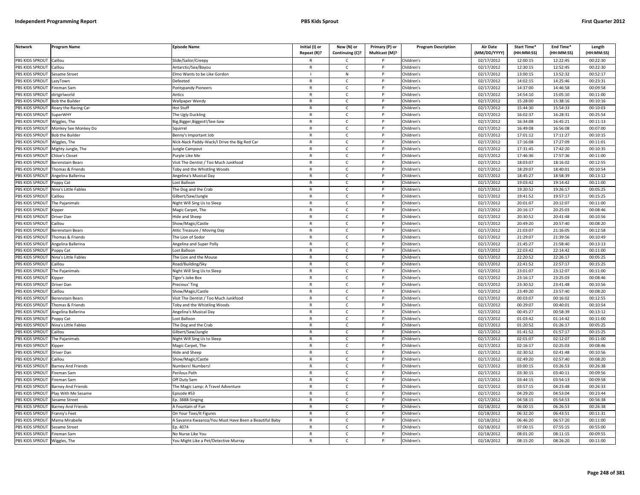| <b>Network</b>                           | Program Name              | <b>Episode Name</b>                                 | Initial (I) or    | New (N) or                   | Primary (P) or | <b>Program Description</b> | <b>Air Date</b>          | Start Time*            | End Time*              | Length                 |
|------------------------------------------|---------------------------|-----------------------------------------------------|-------------------|------------------------------|----------------|----------------------------|--------------------------|------------------------|------------------------|------------------------|
| PBS KIDS SPROUT                          |                           |                                                     | Repeat (R)?       | Continuing (C)?              | Multicast (M)? |                            | (MM/DD/YYYY)             | (HH:MM:SS)<br>12:00:15 | (HH:MM:SS)<br>12:22:45 | (HH:MM:SS)<br>00:22:30 |
| PBS KIDS SPROUT                          | Caillou<br>Caillou        | Slide/Sailor/Creepy                                 | $\mathsf{R}$      | C.<br>$\mathsf{C}$           | P              | Children's                 | 02/17/2012               |                        | 12:52:45               | 00:22:30               |
|                                          |                           | Antarctic/Sea/Bayou                                 |                   |                              |                | Children's                 | 02/17/2012               | 12:30:15               |                        |                        |
| <b>BS KIDS SPROUT</b><br>PBS KIDS SPROUT | Sesame Street             | Imo Wants to be Like Gordon                         | $\mathsf{R}$      | ${\sf N}$<br>$\mathsf{C}$    | D              | Children's                 | 02/17/2012               | 13:00:15<br>14:02:15   | 13:52:32<br>14:25:46   | 00:52:17<br>00:23:31   |
| PBS KIDS SPROUT                          | azyTown                   | Defeeted                                            | R                 | C                            |                | Children's                 | 02/17/2012               | 14:37:00               | 14:46:58               | 00:09:58               |
|                                          | ireman Sam                | ontypandy Pioneers                                  | $\mathsf{R}$      | $\mathsf{C}$                 | P              | Children's                 | 02/17/2012<br>02/17/2012 | 14:54:10               |                        |                        |
| PBS KIDS SPROUT<br>PBS KIDS SPROUT       | lirtgirlworld             | Antics                                              | R                 | $\mathsf{C}$                 | P              | Children's                 | 02/17/2012               | 15:28:00               | 15:05:10<br>15:38:16   | 00:11:00<br>00:10:16   |
|                                          | <b>Bob the Builder</b>    | Wallpaper Wendy                                     | $\mathsf{R}$      | $\mathsf{C}$                 | <b>D</b>       | Children's                 |                          |                        |                        |                        |
| PBS KIDS SPROUT                          | Roary the Racing Car      | lot Stuff                                           |                   |                              | P              | Children's                 | 02/17/2012               | 15:44:30               | 15:54:33               | 00:10:03               |
| PBS KIDS SPROUT<br>PBS KIDS SPROUT       | SuperWHY                  | The Ugly Duckling                                   | R                 | $\mathsf{C}$<br>$\mathsf{C}$ |                | Children's<br>Children's   | 02/17/2012<br>02/17/2012 | 16:02:37<br>16:34:08   | 16:28:31<br>16:45:21   | 00:25:54<br>00:11:13   |
|                                          | Viggles, The              | lig, Bigger, Biggest!/See-Saw                       | $\mathsf{R}$      |                              | P              |                            |                          |                        |                        |                        |
| PBS KIDS SPROUT<br>PBS KIDS SPROUT       | Monkey See Monkey Do      | Sauirrel                                            | R<br>$\mathsf{R}$ | c<br>$\mathsf{C}$            |                | Children's                 | 02/17/2012<br>02/17/2012 | 16:49:08<br>17:01:12   | 16:56:08<br>17:11:27   | 00:07:00<br>00:10:15   |
|                                          | <b>Bob the Builder</b>    | Benny's Important Job                               |                   |                              | P              | Children's                 |                          |                        |                        |                        |
| PBS KIDS SPROUT                          | Wiggles, The              | Nick-Nack Paddy-Wack/I Drive the Big Red Car        | R                 | $\mathsf{C}$<br>$\mathsf{C}$ |                | Children's                 | 02/17/2012               | 17:16:08               | 17:27:09<br>17:42:20   | 00:11:01               |
| PBS KIDS SPROUT                          | Mighty Jungle, The        | ungle Campout                                       | $\mathsf{R}$      | $\mathsf{C}$                 | P              | Children's                 | 02/17/2012               | 17:31:45<br>17:46:36   | 17:57:36               | 00:10:35               |
| PBS KIDS SPROUT                          | Chloe's Closet            | Purple Like Me                                      |                   |                              |                | Children's                 | 02/17/2012               |                        |                        | 00:11:00               |
| PBS KIDS SPROUT                          | <b>Berenstain Bears</b>   | Visit The Dentist / Too Much Junkfood               | R                 | C                            | P<br>P         | Children's                 | 02/17/2012               | 18:03:07               | 18:16:02               | 00:12:55               |
| PBS KIDS SPROUT                          | homas & Friends           | Toby and the Whistling Woods                        | R                 | C                            |                | Children's                 | 02/17/2012               | 18:29:07               | 18:40:01               | 00:10:54               |
| PBS KIDS SPROUT                          | Angelina Ballerina        | Angelina's Musical Day                              | $\mathsf{R}$      | $\mathsf{C}$                 | P              | Children's                 | 02/17/2012               | 18:45:27               | 18:58:39               | 00:13:12               |
| PBS KIDS SPROUT                          | oppy Cat                  | Lost Balloon                                        | $\mathsf{R}$      | $\mathsf{C}$                 | P              | Children's                 | 02/17/2012               | 19:03:42               | 19:14:42               | 00:11:00               |
| PBS KIDS SPROUT                          | Nina's Little Fables      | The Dog and the Crab                                | R                 | $\mathsf{C}$                 |                | Children's                 | 02/17/2012               | 19:20:52               | 19:26:17               | 00:05:25               |
| PBS KIDS SPROUT                          | aillou                    | iilbert/Saw/Jungle                                  | $\mathsf{R}$      | $\mathsf{C}$                 | P              | Children's                 | 02/17/2012               | 19:41:52               | 19:57:17               | 00:15:25               |
| <b>BS KIDS SPROUT</b>                    | The Pajanimals            | Vight Will Sing Us to Sleep                         | R                 | C                            |                | Children's                 | 02/17/2012               | 20:01:07               | 20:12:07               | 00:11:00               |
| PBS KIDS SPROUT                          | .ipper                    | Magic Carpet, The                                   | R                 | $\mathsf{C}$                 | <b>D</b>       | Children's                 | 02/17/2012               | 20:16:17               | 20:25:03               | 00:08:46               |
| PBS KIDS SPROUT                          | Driver Dan                | lide and Sheep                                      | R                 | $\mathsf{C}$                 | P              | Children's                 | 02/17/2012               | 20:30:52               | 20:41:48               | 00:10:56               |
| PBS KIDS SPROUT                          | aillou                    | how/Magic/Castle                                    | $\mathsf{R}$      | $\mathsf{C}$                 | P              | Children's                 | 02/17/2012               | 20:49:20               | 20:57:40               | 00:08:20               |
| PBS KIDS SPROUT                          | Berenstain Bears          | Attic Treasure / Moving Day                         | $\mathsf{R}$      | $\mathsf{C}$                 | P              | Children's                 | 02/17/2012               | 21:03:07               | 21:16:05               | 00:12:58               |
| PBS KIDS SPROUT                          | homas & Friends           | The Lion of Sodor                                   | R                 | $\mathsf{C}$                 |                | Children's                 | 02/17/2012               | 21:29:07               | 21:39:56               | 00:10:49               |
| PBS KIDS SPROUT                          | Angelina Ballerina        | Angelina and Super Polly                            | R                 | $\mathsf{C}$                 | P              | Children's                 | 02/17/2012               | 21:45:27               | 21:58:40               | 00:13:13               |
| PBS KIDS SPROUT                          | oppy Cat                  | ost Balloon                                         | R                 | $\mathsf{C}$                 |                | Children's                 | 02/17/2012               | 22:03:42               | 22:14:42               | 00:11:00               |
| PBS KIDS SPROUT                          | Nina's Little Fables      | The Lion and the Mouse                              | $\mathsf{R}$      | c                            | P              | Children's                 | 02/17/2012               | 22:20:52               | 22:26:17               | 00:05:25               |
| PBS KIDS SPROUT                          | aillou                    | Road/Building/Sky                                   | R                 | $\mathsf{C}$                 | P              | Children's                 | 02/17/2012               | 22:41:52               | 22:57:17               | 00:15:25               |
| PBS KIDS SPROUT                          | The Pajanimals            | Night Will Sing Us to Sleep                         | $\mathsf{R}$      | $\mathsf{C}$                 | P              | Children's                 | 02/17/2012               | 23:01:07               | 23:12:07               | 00:11:00               |
| PBS KIDS SPROUT                          | Kipper                    | iger's Joke Box                                     | $\mathsf{R}$      | $\mathsf{C}$                 | P              | Children's                 | 02/17/2012               | 23:16:17               | 23:25:03               | 00:08:46               |
| PBS KIDS SPROUT                          | Driver Dan                | Precious' Ting                                      | $\mathsf{R}$      | c                            | P              | Children's                 | 02/17/2012               | 23:30:52               | 23:41:48               | 00:10:56               |
| PBS KIDS SPROUT                          | Caillou                   | Show/Magic/Castle                                   | R                 | $\mathsf{C}$                 | P              | Children's                 | 02/17/2012               | 23:49:20               | 23:57:40               | 00:08:20               |
| PBS KIDS SPROUT                          | <b>Berenstain Bears</b>   | Visit The Dentist / Too Much Junkfood               | $\mathsf{R}$      | $\mathsf{C}$                 | P              | Children's                 | 02/17/2012               | 00:03:07               | 00:16:02               | 00:12:55               |
| PBS KIDS SPROUT                          | Thomas & Friends          | Toby and the Whistling Woods                        | R                 | $\mathsf{C}$                 |                | Children's                 | 02/17/2012               | 00:29:07               | 00:40:01               | 00:10:54               |
| PBS KIDS SPROUT                          | Angelina Ballerina        | Angelina's Musical Day                              | $\mathsf{R}$      | $\mathcal{C}$                | D              | Children's                 | 02/17/2012               | 00:45:27               | 00:58:39               | 00:13:12               |
| PBS KIDS SPROUT                          | Poppy Cat                 | ost Balloon                                         | R                 | C                            |                | Children's                 | 02/17/2012               | 01:03:42               | 01:14:42               | 00:11:00               |
| PBS KIDS SPROUT                          | lina's Little Fables      | he Dog and the Crab                                 | R                 | $\mathsf{C}$                 |                | Children's                 | 02/17/2012               | 01:20:52               | 01:26:17               | 00:05:25               |
| <b>BS KIDS SPROUT</b>                    | Caillou                   | Gilbert/Saw/Jungle                                  | R                 | $\mathsf{C}$                 | P              | Children's                 | 02/17/2012               | 01:41:52               | 01:57:17               | 00:15:25               |
| PBS KIDS SPROUT                          | he Pajanimals             | Night Will Sing Us to Sleep                         | R                 | $\epsilon$                   | <b>D</b>       | Children's                 | 02/17/2012               | 02:01:07               | 02:12:07               | 00:11:00               |
| PBS KIDS SPROUT                          | Kipper                    | Magic Carpet, The                                   | $\mathsf{R}$      | $\mathsf{C}$                 | P              | Children's                 | 02/17/2012               | 02:16:17               | 02:25:03               | 00:08:46               |
| PBS KIDS SPROUT                          | )river Dan                | lide and Sheep                                      | R                 | $\mathsf{C}$                 |                | Children's                 | 02/17/2012               | 02:30:52               | 02:41:48               | 00:10:56               |
| PBS KIDS SPROUT                          | Caillou                   | Show/Magic/Castle                                   | $\mathsf{R}$      | $\mathsf{C}$                 | P              | Children's                 | 02/17/2012               | 02:49:20               | 02:57:40               | 00:08:20               |
| PBS KIDS SPROUT                          | Barney And Friends        | Numbers! Numbers!                                   | R                 | $\mathsf{C}$                 |                | Children's                 | $\overline{02}/17/2012$  | 03:00:15               | 03:26:53               | 00:26:38               |
| PBS KIDS SPROUT                          | ireman Sam                | Perilous Path                                       | R                 | $\mathsf{C}$                 | P              | Children's                 | 02/17/2012               | 03:30:15               | 03:40:11               | 00:09:56               |
| PBS KIDS SPROUT                          | ireman Sam                | Off Duty Sam                                        | R                 | $\mathsf{C}$                 | P              | Children's                 | 02/17/2012               | 03:44:15               | 03:54:13               | 00:09:58               |
| PBS KIDS SPROUT                          | <b>Barney And Friends</b> | The Magic Lamp: A Travel Adventure                  | $\mathsf{R}$      | $\mathsf{C}$                 | P              | Children's                 | 02/17/2012               | 03:57:15               | 04:23:48               | 00:26:33               |
| PBS KIDS SPROUT                          | Play With Me Sesame       | Episode #53                                         | $\mathsf{R}$      | C                            |                | Children's                 | 02/17/2012               | 04:29:20               | 04:53:04               | 00:23:44               |
| PBS KIDS SPROUT                          | Sesame Street             | Ep. 3888-Singing                                    | R                 | $\mathsf{C}$                 | P              | Children's                 | 02/17/2012               | 04:58:15               | 05:54:53               | 00:56:38               |
| PBS KIDS SPROUT                          | <b>Barney And Friends</b> | A Fountain of Fun                                   | R                 | c                            | P              | Children's                 | 02/18/2012               | 06:00:15               | 06:26:53               | 00:26:38               |
| PBS KIDS SPROUT                          | Franny's Feet             | On Your Toes/It Figures                             | $\mathsf{R}$      | $\mathsf{C}$                 | P              | Children's                 | 02/18/2012               | 06:32:20               | 06:43:51               | 00:11:31               |
| PBS KIDS SPROUT                          | Mama Mirabelle            | Savanna Kwaanza/You Must Have Been a Beautiful Baby | R                 | $\mathsf{C}$                 |                | Children's                 | 02/18/2012               | 06:46:20               | 06:57:20               | 00:11:00               |
| PBS KIDS SPROUT                          | Sesame Street             | p. 4074                                             | $\mathsf{R}$      | $\mathsf{C}$                 | P              | Children's                 | 02/18/2012               | 07:00:15               | 07:55:15               | 00:55:00               |
| PBS KIDS SPROUT                          | Fireman Sam               | No Nurse Like You                                   | R                 | C                            |                | Children's                 | 02/18/2012               | 08:01:20               | 08:11:15               | 00:09:55               |
| PBS KIDS SPROUT                          | Wiggles, The              | You Might Like a Pet/Detective Murray               | R                 | $\mathsf{C}$                 |                | Children's                 | 02/18/2012               | 08:15:20               | 08:26:20               | 00:11:00               |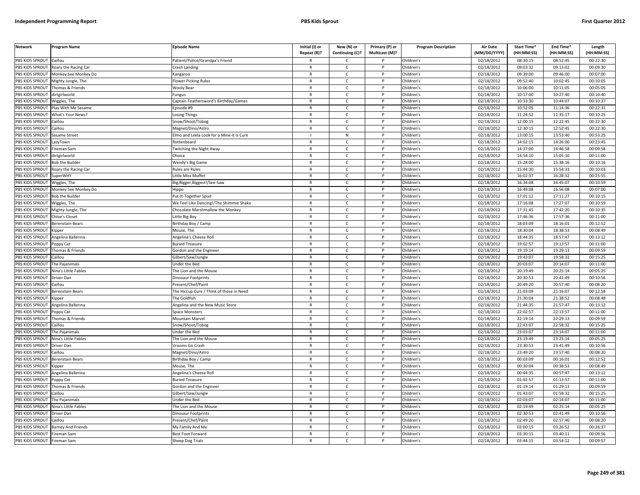| <b>Network</b>                     | <b>Program Name</b>       | <b>Episode Name</b>                       | Initial (I) or               | New (N) or        | Primary (P) or | <b>Program Description</b> | <b>Air Date</b>          | Start Time*          | End Time*            | Length               |
|------------------------------------|---------------------------|-------------------------------------------|------------------------------|-------------------|----------------|----------------------------|--------------------------|----------------------|----------------------|----------------------|
|                                    |                           |                                           | Repeat (R)?                  | Continuing (C)?   | Multicast (M)? |                            | (MM/DD/YYYY)             | (HH:MM:SS)           | (HH:MM:SS)           | (HH:MM:SS)           |
| PBS KIDS SPROUT                    | Caillou                   | atient/Police/Grandpa's Friend            |                              | $\mathsf{C}$      |                | Children's                 | 02/18/2012               | 08:30:15             | 08:52:45             | 00:22:30             |
| PBS KIDS SPROUT                    | Roary the Racing Car      | Crash Landing                             | $\mathsf{R}$                 | $\mathsf{C}$      | P              | Children's                 | 02/18/2012               | 09:03:32             | 09:13:02             | 00:09:30             |
| PBS KIDS SPROUT                    | Monkey See Monkey Do      | Kangaroo                                  |                              | $\mathsf{C}$      |                | Children's                 | 02/18/2012               | 09:39:00             | 09:46:00             | 00:07:00             |
| PBS KIDS SPROUT                    | Mighty Jungle, The        | Flower Picking Rules                      | $\mathsf{R}$                 | $\mathsf{C}$      | D              | hildren's                  | 02/18/2012               | 09:52:40             | 10:02:45             | 00:10:05             |
| PBS KIDS SPROUT                    | Thomas & Friends          | <b>Wooly Bear</b>                         |                              | C                 |                | hildren's                  | 02/18/2012               | 10:06:00             | 10:11:05             | 00:05:05             |
| PBS KIDS SPROUT                    | dirtgirlworld             | ungus                                     | $\mathsf{R}$                 | $\mathsf{C}$      |                | Children's                 | 02/18/2012               | 10:17:00             | 10:27:40             | 00:10:40             |
| PBS KIDS SPROUT                    | Wiggles, The              | Captain Feathersword's Birthday/Games     | $\mathsf{R}$                 | $\mathsf{C}$      | D              | Children's                 | 02/18/2012               | 10:33:30             | 10:44:07             | 00:10:37             |
| PBS KIDS SPROUT                    | Play With Me Sesame       | Episode #9                                | $\mathsf{R}$                 | $\mathsf{C}$      | D              | Children's                 | 02/18/2012               | 10:52:05             | 11:14:36             | 00:22:31             |
| PBS KIDS SPROUT                    | What's Your News?         | Losing Things                             | $\mathsf{R}$                 | $\mathsf{C}$      | D              | Children's                 | 02/18/2012               | 11:24:52             | 11:35:17             | 00:10:25             |
| PBS KIDS SPROUT                    | Caillou                   | inow/Shoot/Tobog                          |                              | $\mathsf{C}$      |                | Children's                 | 02/18/2012               | 12:00:15             | 12:22:45             | 00:22:30             |
| PBS KIDS SPROUT                    | Caillou                   | Magnet/Dino/Astro                         | $\mathsf{R}$                 | C                 | P              | Children's                 | 02/18/2012               | 12:30:15             | 12:52:45             | 00:22:30             |
| PBS KIDS SPROUT                    | Sesame Street             | Elmo and Leela Look for a Mine-it is Cure |                              | N                 |                | Children's                 | 02/18/2012               | 13:00:15             | 13:53:40             | 00:53:25             |
| PBS KIDS SPROUT                    | LazyTown                  | Rottenbeard                               | R                            | $\mathsf{C}$      | P              | Children's                 | 02/18/2012               | 14:02:15             | 14:26:00             | 00:23:45             |
| PBS KIDS SPROUT                    | Fireman Sam               | Twitching the Night Away                  | $\mathsf{R}$                 | $\mathsf{C}$      |                | Children's                 | 02/18/2012               | 14:37:00             | 14:46:58             | 00:09:58             |
| PBS KIDS SPROUT                    | dirtgirlworld             | Choice                                    | $\mathsf{R}$                 | $\mathsf{C}$      | P              | Children's                 | 02/18/2012               | 14:54:10             | 15:05:10             | 00:11:00             |
| PBS KIDS SPROUT                    | <b>Bob the Builder</b>    | Wendy's Big Game                          | $\mathsf{R}$                 | $\mathsf{C}$      |                | Children's                 | 02/18/2012               | 15:28:00             | 15:38:16             | 00:10:16             |
| PBS KIDS SPROUT                    | Roary the Racing Car      | Rules are Rules                           | $\mathsf{R}$                 | $\mathsf{C}$      | D              | Children's                 | 02/18/2012               | 15:44:30             | 15:54:33             | 00:10:03             |
| PBS KIDS SPROUT                    | SuperWHY                  | Little Miss Muffet                        | $\mathsf{R}$                 | $\mathsf{C}$      |                | Children's                 | 02/18/2012               | 16:02:37             | 16:28:32             | 00:25:55             |
| PBS KIDS SPROUT                    | Niggles, The              | 3ig, Bigger, Biggest!/See-Saw             | $\mathsf{R}$                 | $\mathsf{C}$      | D              | hildren's                  | 02/18/2012               | 16:34:08             | 16:45:07             | 00:10:59             |
| PBS KIDS SPROUT                    | Monkey See Monkey Do      | lippo                                     | R                            | $\mathsf{C}$      |                | Children's                 | 02/18/2012               | 16:49:08             | 16:56:08             | 00:07:00             |
| PBS KIDS SPROUT                    | <b>Bob the Builder</b>    | ut-It-Together Spud                       | $\mathsf{R}$                 | $\mathsf{C}$      | P              | Children's                 | 02/18/2012               | 17:01:12             | 17:11:27             | 00:10:15             |
| PBS KIDS SPROUT                    | Wiggles, The              | We Feel Like Dancing!/The Shimmie Shake   | R                            | $\mathsf{C}$      | D              | hildren's                  | 02/18/2012               | 17:16:08             | 17:27:07             | 00:10:59             |
| PBS KIDS SPROUT                    | Mighty Jungle, The        | Chocolate Marshmallow the Monkey          | $\mathsf{R}$                 | C                 | P              | hildren's                  | 02/18/2012               | 17:31:45             | 17:42:20             | 00:10:35             |
| PBS KIDS SPROUT                    | Chloe's Closet            | Little Big Boy                            | $\mathsf{R}$                 | c                 |                | Children's                 | 02/18/2012               | 17:46:36             | 17:57:36             | 00:11:00             |
| PBS KIDS SPROUT                    | <b>Berenstain Bears</b>   |                                           | $\mathsf{R}$                 | $\mathsf{C}$      |                | Children's                 | 02/18/2012               | 18:03:09             | 18:16:01             | 00:12:52             |
|                                    |                           | Birthday Boy / Camp                       | $\mathsf{R}$                 |                   | P              |                            |                          | 18:30:04             | 18:38:53             | 00:08:49             |
| PBS KIDS SPROUT<br>PBS KIDS SPROUT | Kipper                    | Mouse, The                                | $\mathsf{R}$                 | C<br>$\mathsf{C}$ |                | Children's                 | 02/18/2012<br>02/18/2012 | 18:44:35             | 18:57:47             | 00:13:12             |
|                                    | Angelina Ballerina        | Angelina's Cheese Roll                    |                              |                   | P              | Children's                 |                          |                      |                      |                      |
| PBS KIDS SPROUT                    | Poppy Cat                 | <b>Buried Treasure</b>                    | $\mathsf{R}$<br>$\mathsf{R}$ | $\mathsf{C}$      | P              | Children's                 | 02/18/2012               | 19:02:57             | 19:13:57<br>19:29:13 | 00:11:00<br>00:09:59 |
| PBS KIDS SPROUT                    | Thomas & Friends          | Gordon and the Engineer                   |                              | $\mathsf{C}$      | P              | Children's                 | 02/18/2012               | 19:19:14<br>19:43:07 |                      |                      |
| PBS KIDS SPROUT                    | Caillou                   | Gilbert/Saw/Jungle                        | $\mathsf{R}$                 | C                 |                | Children's                 | 02/18/2012               |                      | 19:58:32             | 00:15:25             |
| PBS KIDS SPROUT                    | The Pajanimals            | Under the Bed                             | $\mathsf{R}$                 | C                 | P              | Children's                 | 02/18/2012               | 20:03:07             | 20:14:07             | 00:11:00             |
| PBS KIDS SPROUT                    | Nina's Little Fables      | The Lion and the Mouse                    | $\mathsf{R}$                 | $\mathsf{C}$      | P              | Children's                 | 02/18/2012               | 20:19:49             | 20:25:14             | 00:05:25             |
| PBS KIDS SPROUT                    | Driver Dan                | Dinosaur Footprints                       | $\mathsf{R}$                 | $\mathsf{C}$      |                | Children's                 | 02/18/2012               | 20:30:53             | 20:41:49             | 00:10:56             |
| PBS KIDS SPROUT                    | Caillou                   | Present/Chef/Paint                        | $\mathsf{R}$                 | $\mathsf{C}$      | D              | Children's                 | 02/18/2012               | 20:49:20             | 20:57:40             | 00:08:20             |
| PBS KIDS SPROUT                    | <b>Berenstain Bears</b>   | he Hiccup Cure / Think of those in Need   | $\mathsf{R}$                 | $\mathsf{C}$      |                | Children's                 | 02/18/2012               | 21:03:09             | 21:16:07             | 00:12:58             |
| PBS KIDS SPROUT                    | (ipper                    | The Goldfish                              |                              | $\mathsf{C}$      |                | Children's                 | 02/18/2012               | 21:30:04             | 21:38:52             | 00:08:48             |
| PBS KIDS SPROUT                    | Angelina Ballerina        | Angelina and the New Music Store          |                              | C                 |                | Children's                 | 02/18/2012               | 21:44:35             | 21:57:47             | 00:13:12             |
| PBS KIDS SPROUT                    | oppy Cat                  | Space Monsters                            | $\mathsf{R}$                 | $\mathsf{C}$      | D              | hildren's                  | 02/18/2012               | 22:02:57             | 22:13:57             | 00:11:00             |
| <b>PBS KIDS SPROUT</b>             | Thomas & Friends          | Mountain Marvel                           | R                            | C                 | P              | Children's                 | 02/18/2012               | 22:19:14             | 22:29:13             | 00:09:59             |
| PBS KIDS SPROUT                    | Caillou                   | inow/Shoot/Tobog                          | $\mathsf{R}$                 | $\mathsf{C}$      | D              | Children's                 | 02/18/2012               | 22:43:07             | 22:58:32             | 00:15:25             |
| PBS KIDS SPROUT                    | The Pajanimals            | Under the Bed                             | $\mathsf{R}$                 | $\mathsf{C}$      | D              | Children's                 | 02/18/2012               | 23:03:07             | 23:14:07             | 00:11:00             |
| PBS KIDS SPROUT                    | Nina's Little Fables      | The Lion and the Mouse                    | $\mathsf{R}$                 | $\mathsf{C}$      |                | Children's                 | 02/18/2012               | 23:19:49             | 23:25:14             | 00:05:25             |
| PBS KIDS SPROUT                    | Driver Dan                | Vrooms Go Crash                           | R                            | $\mathsf{C}$      | P              | Children's                 | 02/18/2012               | 23:30:53             | 23:41:49             | 00:10:56             |
| PBS KIDS SPROUT                    | Caillou                   | Magnet/Dino/Astro                         | $\mathsf{R}$                 | C                 |                | Children's                 | 02/18/2012               | 23:49:20             | 23:57:40             | 00:08:20             |
| PBS KIDS SPROUT                    | Berenstain Bears          | Birthday Boy / Camp                       | $\mathsf{R}$                 | C                 | P              | Children's                 | 02/18/2012               | 00:03:09             | 00:16:01             | 00:12:52             |
| PBS KIDS SPROUT                    | <i><b>Sipper</b></i>      | Mouse, The                                | $\mathsf{R}$                 | $\mathsf{C}$      | D              | Children's                 | 02/18/2012               | 00:30:04             | 00:38:53             | 00:08:49             |
| PBS KIDS SPROUT                    | Angelina Ballerina        | Angelina's Cheese Roll                    | $\mathsf{R}$                 | $\mathsf{C}$      | P              | Children's                 | 02/18/2012               | 00:44:35             | 00:57:47             | 00:13:12             |
| PBS KIDS SPROUT                    | Poppy Cat                 | <b>Buried Treasure</b>                    | $\mathsf{R}$                 | $\mathsf{C}$      |                | Children's                 | 02/18/2012               | 01:02:57             | 01:13:57             | 00:11:00             |
| PBS KIDS SPROUT                    | Thomas & Friends          | Gordon and the Engineer                   | $\mathsf{R}$                 | C                 | P              | Children's                 | 02/18/2012               | 01:19:14             | 01:29:13             | 00:09:59             |
| PBS KIDS SPROUT                    | Caillou                   | Gilbert/Saw/Jungle                        | $\mathsf{R}$                 | C                 | P              | Children's                 | 02/18/2012               | 01:43:07             | 01:58:32             | 00:15:25             |
| PBS KIDS SPROUT                    | The Pajanimals            | <b>Jnder the Bed</b>                      | $\mathsf{R}$                 | $\mathsf{C}$      | P              | Children's                 | 02/18/2012               | 02:03:07             | 02:14:07             | 00:11:00             |
| PBS KIDS SPROUT                    | Nina's Little Fables      | The Lion and the Mouse                    | $\mathsf{R}$                 | $\mathsf{C}$      |                | Children's                 | 02/18/2012               | 02:19:49             | 02:25:14             | 00:05:25             |
| PBS KIDS SPROUT                    | Driver Dan                | Dinosaur Footprints                       | $\mathsf{R}$                 | $\mathsf{C}$      | D              | Children's                 | 02/18/2012               | 02:30:53             | 02:41:49             | 00:10:56             |
| PBS KIDS SPROUT                    | Caillou                   | Present/Chef/Paint                        | R                            | $\mathsf{C}$      | P              | hildren's                  | 02/18/2012               | 02:49:20             | 02:57:40             | 00:08:20             |
| PBS KIDS SPROUT                    | <b>Barney And Friends</b> | My Family And Me                          | $\mathsf{R}$                 | $\mathsf{C}$      |                | hildren's                  | 02/18/2012               | 03:00:15             | 03:26:52             | 00:26:37             |
| PBS KIDS SPROUT                    | Fireman Sam               | Best Foot Forward                         | $\mathsf{R}$                 | C                 | P              | Children's                 | 02/18/2012               | 03:30:15             | 03:40:11             | 00:09:56             |
| PBS KIDS SPROUT                    | Fireman Sam               | Sheep Dog Trials                          | $\mathsf{R}$                 | $\Gamma$          |                | Children's                 | 02/18/2012               | 03:44:15             | 03:54:12             | 00:09:57             |
|                                    |                           |                                           |                              |                   |                |                            |                          |                      |                      |                      |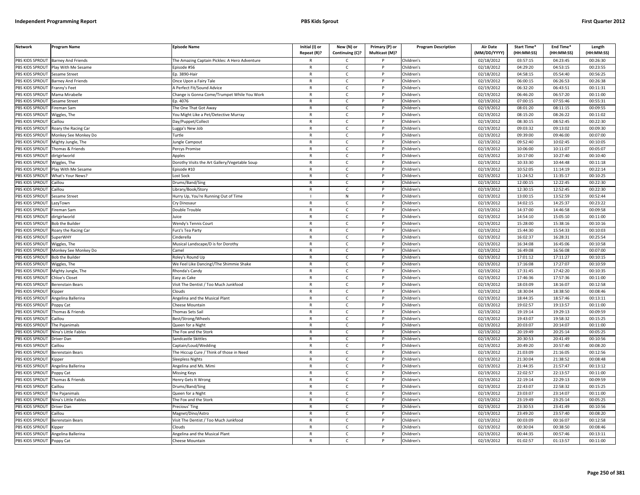| <b>Network</b>        | Program Name                       | <b>Episode Name</b>                           | Initial (I) or<br>Repeat (R)? | New (N) or<br>Continuing (C)? | Primary (P) or<br>Multicast (M)? | <b>Program Description</b> | Air Date<br>(MM/DD/YYYY) | <b>Start Time*</b><br>(HH:MM:SS) | End Time*<br>(HH:MM:SS) | Length<br>(HH:MM:SS) |
|-----------------------|------------------------------------|-----------------------------------------------|-------------------------------|-------------------------------|----------------------------------|----------------------------|--------------------------|----------------------------------|-------------------------|----------------------|
|                       | PBS KIDS SPROUT Barney And Friends | The Amazing Captain Pickles: A Hero Adventure | R                             | C                             |                                  | Children's                 | 02/18/2012               | 03:57:15                         | 04:23:45                | 00:26:30             |
| PBS KIDS SPROUT       | Play With Me Sesame                | Episode #56                                   | $\mathsf{R}$                  | $\mathsf{C}$                  | P                                | Children's                 | 02/18/2012               | 04:29:20                         | 04:53:15                | 00:23:55             |
| PBS KIDS SPROUT       | Sesame Street                      | Ep. 3890-Hair                                 | $\mathsf{R}$                  | $\mathsf{C}$                  | P                                | Children's                 | 02/18/2012               | 04:58:15                         | 05:54:40                | 00:56:25             |
| PBS KIDS SPROUT       | <b>Barney And Friends</b>          | Once Upon a Fairy Tale                        | $\mathsf{R}$                  | $\mathsf{C}$                  | D                                | Children's                 | 02/19/2012               | 06:00:15                         | 06:26:53                | 00:26:38             |
| PBS KIDS SPROUT       | Franny's Feet                      | A Perfect Fit/Sound Advice                    | R                             | $\mathsf{C}$                  |                                  | Children's                 | 02/19/2012               | 06:32:20                         | 06:43:51                | 00:11:31             |
| PBS KIDS SPROUT       | Mama Mirabelle                     | Change is Gonna Come/Trumpet While You Work   | $\mathsf{R}$                  | $\mathsf{C}$                  |                                  | Children's                 | 02/19/2012               | 06:46:20                         | 06:57:20                | 00:11:00             |
| <b>BS KIDS SPROUT</b> | Sesame Street                      | D. 4076                                       | $\mathsf{R}$                  | C                             |                                  | Children's                 | 02/19/2012               | 07:00:15                         | 07:55:46                | 00:55:31             |
| PBS KIDS SPROUT       | ireman Sam                         | The One That Got Away                         | $\mathsf{R}$                  | $\mathsf{C}$                  | D                                | Children's                 | 02/19/2012               | 08:01:20                         | 08:11:15                | 00:09:55             |
| PBS KIDS SPROUT       | Wiggles, The                       | You Might Like a Pet/Detective Murray         | R                             | $\mathsf{C}$                  | P                                | Children's                 | 02/19/2012               | 08:15:20                         | 08:26:22                | 00:11:02             |
| PBS KIDS SPROUT       | `aillou                            | Day/Puppet/Collect                            | $\mathsf{R}$                  | $\mathsf{C}$                  | P                                | Children's                 | 02/19/2012               | 08:30:15                         | 08:52:45                | 00:22:30             |
| PBS KIDS SPROUT       | Roary the Racing Car               | ugga's New Job                                | $\mathsf{R}$                  | $\mathsf{C}$                  | P                                | Children's                 | 02/19/2012               | 09:03:32                         | 09:13:02                | 00:09:30             |
| PBS KIDS SPROUT       | Monkey See Monkey Do               | <b>Turtle</b>                                 | $\mathsf{R}$                  | $\mathsf{C}$                  | D                                | Children's                 | 02/19/2012               | 09:39:00                         | 09:46:00                | 00:07:00             |
| PBS KIDS SPROUT       | Mighty Jungle, The                 | ungle Campout                                 | $\mathsf{R}$                  | $\mathsf{C}$                  | P                                | Children's                 | 02/19/2012               | 09:52:40                         | 10:02:45                | 00:10:05             |
| PBS KIDS SPROUT       | homas & Friends                    | ercys Promise                                 | $\mathsf{R}$                  | $\mathsf{C}$                  | P                                | Children's                 | 02/19/2012               | 10:06:00                         | 10:11:07                | 00:05:07             |
| PBS KIDS SPROUT       | dirtgirlworld                      | Apples                                        | $\mathsf{R}$                  | $\mathsf{C}$                  | P                                | Children's                 | 02/19/2012               | 10:17:00                         | 10:27:40                | 00:10:40             |
| PBS KIDS SPROUT       | Wiggles, The                       | Dorothy Visits the Art Gallery/Vegetable Soup | R                             | $\mathsf{C}$                  | P                                | Children's                 | 02/19/2012               | 10:33:30                         | 10:44:48                | 00:11:18             |
| PBS KIDS SPROUT       | Play With Me Sesame                | Episode #10                                   | $\mathsf{R}$                  | $\mathsf{C}$                  | P                                | Children's                 | 02/19/2012               | 10:52:05                         | 11:14:19                | 00:22:14             |
| PBS KIDS SPROUT       | What's Your News?                  | Lost Sock                                     | $\mathsf{R}$                  | $\mathsf{C}$                  | P                                | Children's                 | 02/19/2012               | 11:24:52                         | 11:35:17                | 00:10:25             |
| PBS KIDS SPROUT       | Caillou                            | Drums/Band/Sing                               | $\mathsf{R}$                  | $\mathsf{C}$                  | P                                | Children's                 | 02/19/2012               | 12:00:15                         | 12:22:45                | 00:22:30             |
| PBS KIDS SPROUT       | Caillou                            | ibrary/Book/Story                             | R                             | C                             | P                                | Children's                 | 02/19/2012               | 12:30:15                         | 12:52:45                | 00:22:30             |
| PBS KIDS SPROUT       | Sesame Street                      | Hurry Up, You're Running Out of Time          |                               | ${\sf N}$                     |                                  | Children's                 | 02/19/2012               | 13:00:15                         | 13:52:59                | 00:52:44             |
| <b>BS KIDS SPROUT</b> | LazyTown                           | Cry Dinosaur                                  | $\mathsf{R}$                  | $\mathsf{C}$                  |                                  | Children's                 | 02/19/2012               | 14:02:15                         | 14:25:37                | 00:23:22             |
| PBS KIDS SPROUT       | ireman Sam                         | Double Trouble                                | $\mathsf{R}$                  | $\mathsf{C}$                  | D                                | Children's                 | 02/19/2012               | 14:37:00                         | 14:46:58                | 00:09:58             |
| PBS KIDS SPROUT       | dirtgirlworld                      | Juice                                         | R                             | $\mathsf{C}$                  | P                                | Children's                 | 02/19/2012               | 14:54:10                         | 15:05:10                | 00:11:00             |
| PBS KIDS SPROUT       | Bob the Builder                    | Nendy's Tennis Court                          | $\mathsf{R}$                  | $\mathsf{C}$                  | D                                | Children's                 | 02/19/2012               | 15:28:00                         | 15:38:16                | 00:10:16             |
| PBS KIDS SPROUT       | Roary the Racing Car               | Furz's Tea Party                              | $\mathsf{R}$                  | $\mathsf{C}$                  | P                                | Children's                 | 02/19/2012               | 15:44:30                         | 15:54:33                | 00:10:03             |
| PBS KIDS SPROUT       | SuperWHY                           | Cinderella                                    | $\mathsf{R}$                  | $\mathsf{C}$                  | P                                | Children's                 | 02/19/2012               | 16:02:37                         | 16:28:31                | 00:25:54             |
| PBS KIDS SPROUT       | Wiggles, The                       | Musical Landscape/D is for Dorothy            | R                             | $\mathsf{C}$                  | $\mathsf{P}$                     | Children's                 | 02/19/2012               | 16:34:08                         | 16:45:06                | 00:10:58             |
| PBS KIDS SPROUT       | Monkey See Monkey Do               | amel                                          | $\mathsf{R}$                  | $\mathsf{C}$                  | P                                | Children's                 | 02/19/2012               | 16:49:08                         | 16:56:08                | 00:07:00             |
| PBS KIDS SPROUT       | <b>Bob the Builder</b>             | Roley's Round Up                              | $\mathsf{R}$                  | $\mathsf{C}$                  | P                                | Children's                 | 02/19/2012               | 17:01:12                         | 17:11:27                | 00:10:15             |
| PBS KIDS SPROUT       | Wiggles, The                       | We Feel Like Dancing!/The Shimmie Shake       | $\mathsf{R}$                  | $\mathsf{C}$                  | P                                | Children's                 | 02/19/2012               | 17:16:08                         | 17:27:07                | 00:10:59             |
| PBS KIDS SPROUT       | Mighty Jungle, The                 | Rhonda's Candy                                | $\mathsf{R}$                  | $\mathsf{C}$                  | P                                | Children's                 | 02/19/2012               | 17:31:45                         | 17:42:20                | 00:10:35             |
| PBS KIDS SPROUT       | <b>Chloe's Closet</b>              | Easy as Cake                                  | $\mathsf{R}$                  | $\mathsf{C}$                  | P                                | Children's                 | 02/19/2012               | 17:46:36                         | 17:57:36                | 00:11:00             |
| PBS KIDS SPROUT       | <b>Berenstain Bears</b>            | Visit The Dentist / Too Much Junkfood         | $\mathsf{R}$                  | $\mathsf{C}$                  | P                                | Children's                 | 02/19/2012               | 18:03:09                         | 18:16:07                | 00:12:58             |
| PBS KIDS SPROUT       | Kipper                             | Clouds                                        | R                             | C                             | P                                | Children's                 | 02/19/2012               | 18:30:04                         | 18:38:50                | 00:08:46             |
| PBS KIDS SPROUT       | Angelina Ballerina                 | Angelina and the Musical Plant                | $\mathsf{R}$                  | $\mathsf{C}$                  | P                                | Children's                 | 02/19/2012               | 18:44:35                         | 18:57:46                | 00:13:11             |
| <b>BS KIDS SPROUT</b> | Poppy Cat                          | Cheese Mountain                               | R                             | $\mathsf{C}$                  |                                  | Children's                 | 02/19/2012               | 19:02:57                         | 19:13:57                | 00:11:00             |
| PBS KIDS SPROUT       | Thomas & Friends                   | Thomas Sets Sail                              | $\mathsf{R}$                  | $\mathsf{C}$                  | Þ                                | Children's                 | 02/19/2012               | 19:19:14                         | 19:29:13                | 00:09:59             |
| PBS KIDS SPROUT       | Caillou                            | Best/Strong/Wheels                            | $\mathsf{R}$                  | $\mathsf{C}$                  | P                                | Children's                 | 02/19/2012               | 19:43:07                         | 19:58:32                | 00:15:25             |
| PBS KIDS SPROUT       | he Pajanimals                      | Queen for a Night                             | $\mathsf{R}$                  | $\mathsf{C}$                  |                                  | Children's                 | 02/19/2012               | 20:03:07                         | 20:14:07                | 00:11:00             |
| PBS KIDS SPROUT       | Nina's Little Fables               | The Fox and the Stork                         | $\mathsf{R}$                  | $\mathsf{C}$                  | D                                | Children's                 | 02/19/2012               | 20:19:49                         | 20:25:14                | 00:05:25             |
| PBS KIDS SPROUT       | Driver Dan                         | Sandcastle Skittles                           | $\mathsf{R}$                  | $\mathsf{C}$                  | D                                | Children's                 | 02/19/2012               | 20:30:53                         | 20:41:49                | 00:10:56             |
| PBS KIDS SPROUT       | Caillou                            | Captain/Loud/Wedding                          | $\mathsf{R}$                  | $\mathsf{C}$                  | $\mathsf{P}$                     | Children's                 | 02/19/2012               | 20:49:20                         | 20:57:40                | 00:08:20             |
| PBS KIDS SPROUT       | Berenstain Bears                   | The Hiccup Cure / Think of those in Need      | $\mathsf{R}$                  | $\mathsf{C}$                  | P                                | Children's                 | 02/19/2012               | 21:03:09                         | 21:16:05                | 00:12:56             |
| PBS KIDS SPROUT       | <b>Kipper</b>                      | Sleepless Nights                              | $\mathsf{R}$                  | $\mathsf{C}$                  | P                                | Children's                 | 02/19/2012               | 21:30:04                         | 21:38:52                | 00:08:48             |
| PBS KIDS SPROUT       | Angelina Ballerina                 | Angelina and Ms. Mimi                         | R                             | $\mathsf{C}$                  |                                  | Children's                 | 02/19/2012               | 21:44:35                         | 21:57:47                | 00:13:12             |
| PBS KIDS SPROUT       | oppy Cat                           | Missing Keys                                  | $\mathsf{R}$                  | $\mathsf{C}$                  | P                                | Children's                 | 02/19/2012               | 22:02:57                         | 22:13:57                | 00:11:00             |
| PBS KIDS SPROUT       | Thomas & Friends                   | Henry Gets It Wrong                           | $\mathsf{R}$                  | $\mathsf{C}$                  | P                                | Children's                 | 02/19/2012               | 22:19:14                         | 22:29:13                | 00:09:59             |
| PBS KIDS SPROUT       | Caillou                            | Drums/Band/Sing                               | $\mathsf{R}$                  | C                             | P                                | Children's                 | 02/19/2012               | 22:43:07                         | 22:58:32                | 00:15:25             |
| PBS KIDS SPROUT       | The Pajanimals                     | Queen for a Night                             | R                             | $\mathsf{C}$                  | P                                | Children's                 | 02/19/2012               | 23:03:07                         | 23:14:07                | 00:11:00             |
| PBS KIDS SPROUT       | Nina's Little Fables               | The Fox and the Stork                         | $\mathsf{R}$                  | $\mathsf{C}$                  | P                                | Children's                 | 02/19/2012               | 23:19:49                         | 23:25:14                | 00:05:25             |
| <b>BS KIDS SPROUT</b> | Driver Dan                         | Precious' Ting                                | R                             | $\mathsf{C}$                  |                                  | Children's                 | 02/19/2012               | 23:30:53                         | 23:41:49                | 00:10:56             |
| PBS KIDS SPROUT       | aillou                             | Magnet/Dino/Astro                             | $\mathsf{R}$                  | $\mathsf{C}$                  | D                                | Children's                 | 02/19/2012               | 23:49:20                         | 23:57:40                | 00:08:20             |
| PBS KIDS SPROUT       | Berenstain Bears                   | Visit The Dentist / Too Much Junkfood         | R                             | $\mathsf{C}$                  |                                  | Children's                 | 02/19/2012               | 00:03:09                         | 00:16:07                | 00:12:58             |
| PBS KIDS SPROUT       | (ipper                             | ebuol:                                        | $\mathsf{R}$                  | $\mathsf{C}$                  |                                  | Children's                 | 02/19/2012               | 00:30:04                         | 00:38:50                | 00:08:46             |
| PBS KIDS SPROUT       | Angelina Ballerina                 | Angelina and the Musical Plant                | $\mathsf{R}$                  | $\mathsf{C}$                  | P                                | Children's                 | 02/19/2012               | 00:44:35                         | 00:57:46                | 00:13:11             |
| PBS KIDS SPROUT       | Poppy Cat                          | Cheese Mountain                               | R                             | Ċ                             | P                                | Children's                 | 02/19/2012               | 01:02:57                         | 01:13:57                | 00:11:00             |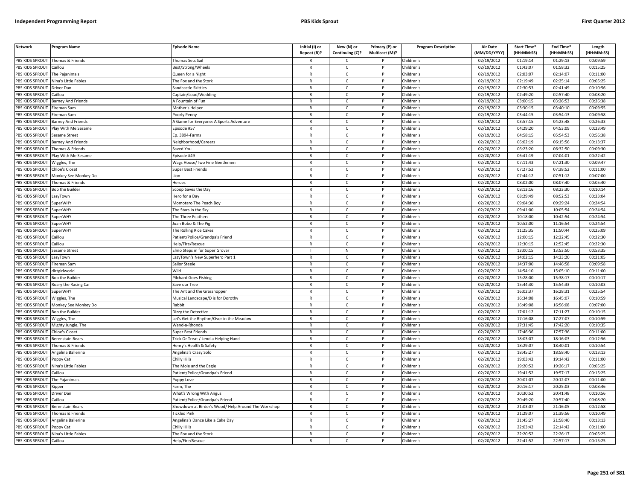| <b>Network</b>                       | <b>Program Name</b>       | <b>Episode Name</b>                                 | Initial (I) or<br>Repeat (R)? | New (N) or<br>Continuing (C)? | Primary (P) or<br>Multicast (M)? | <b>Program Description</b> | <b>Air Date</b><br>(MM/DD/YYYY) | <b>Start Time*</b><br>(HH:MM:SS) | End Time*<br>(HH:MM:SS) | Length<br>(HH:MM:SS) |
|--------------------------------------|---------------------------|-----------------------------------------------------|-------------------------------|-------------------------------|----------------------------------|----------------------------|---------------------------------|----------------------------------|-------------------------|----------------------|
| PBS KIDS SPROUT                      | Thomas & Friends          | Thomas Sets Sail                                    | R                             | C                             |                                  | Children's                 | 02/19/2012                      | 01:19:14                         | 01:29:13                | 00:09:59             |
| PBS KIDS SPROUT                      | Caillou                   | Best/Strong/Wheels                                  | $\mathsf{R}$                  | $\mathsf{C}$                  | P                                | Children's                 | 02/19/2012                      | 01:43:07                         | 01:58:32                | 00:15:25             |
| PBS KIDS SPROUT                      | The Pajanimals            | Queen for a Night                                   | $\mathsf{R}$                  | $\mathsf{C}$                  | P                                | Children's                 | 02/19/2012                      | 02:03:07                         | 02:14:07                | 00:11:00             |
| PBS KIDS SPROUT                      | Nina's Little Fables      | The Fox and the Stork                               | $\mathsf{R}$                  | $\mathsf{C}$                  | P                                | Children's                 | 02/19/2012                      | 02:19:49                         | 02:25:14                | 00:05:25             |
| PBS KIDS SPROUT Driver Dan           |                           | Sandcastle Skittles                                 | $\mathsf{R}$                  | C                             | P                                | Children's                 | 02/19/2012                      | 02:30:53                         | 02:41:49                | 00:10:56             |
| PBS KIDS SPROUT                      | Caillou                   | Captain/Loud/Wedding                                | $\mathsf{R}$                  | $\mathsf{C}$                  | P                                | Children's                 | 02/19/2012                      | 02:49:20                         | 02:57:40                | 00:08:20             |
| PBS KIDS SPROUT                      | <b>Barney And Friends</b> | A Fountain of Fun                                   | $\mathsf{R}$                  | $\mathsf{C}$                  | P                                | Children's                 | 02/19/2012                      | 03:00:15                         | 03:26:53                | 00:26:38             |
| PBS KIDS SPROUT                      | Fireman Sam               | Mother's Helper                                     | $\mathsf{R}$                  | $\mathsf{C}$                  | P                                | Children's                 | 02/19/2012                      | 03:30:15                         | 03:40:10                | 00:09:55             |
| PBS KIDS SPROUT                      | Fireman Sam               | Poorly Penny                                        | $\mathsf{R}$                  | $\mathsf{C}$                  | P                                | Children's                 | 02/19/2012                      | 03:44:15                         | 03:54:13                | 00:09:58             |
| PBS KIDS SPROUT                      | <b>Barney And Friends</b> | A Game for Everyone: A Sports Adventure             | $\mathsf{R}$                  | $\mathsf{C}$                  | p                                | Children's                 | 02/19/2012                      | 03:57:15                         | 04:23:48                | 00:26:33             |
| PBS KIDS SPROUT                      | Play With Me Sesame       | Episode #57                                         | $\mathsf{R}$                  | $\mathsf{C}$                  | P                                | Children's                 | 02/19/2012                      | 04:29:20                         | 04:53:09                | 00:23:49             |
| PBS KIDS SPROUT                      | Sesame Street             | Ep. 3894-Farms                                      | $\mathsf{R}$                  | C                             | P                                | Children's                 | $\sqrt{02}/19/2012$             | 04:58:15                         | 05:54:53                | 00:56:38             |
| PBS KIDS SPROUT                      | <b>Barney And Friends</b> | Neighborhood/Careers                                | $\mathsf{R}$                  | $\mathsf{C}$                  | P                                | Children's                 | 02/20/2012                      | 06:02:19                         | 06:15:56                | 00:13:37             |
| PBS KIDS SPROUT                      | Thomas & Friends          | Saved You                                           | $\mathsf{R}$                  | $\mathsf{C}$                  | P                                | Children's                 | 02/20/2012                      | 06:23:20                         | 06:32:50                | 00:09:30             |
| PBS KIDS SPROUT                      | Play With Me Sesame       | Episode #49                                         | $\mathsf{R}$                  | $\mathsf{C}$                  | P                                | Children's                 | 02/20/2012                      | 06:41:19                         | 07:04:01                | 00:22:42             |
| <b>PBS KIDS SPROUT</b>               | Wiggles, The              | Wags House/Two Fine Gentlemen                       | $\mathsf{R}$                  | $\mathsf{C}$                  | P                                | Children's                 | 02/20/2012                      | 07:11:43                         | 07:21:30                | 00:09:47             |
| PBS KIDS SPROUT                      | Chloe's Closet            | Super Best Friends                                  | $\mathsf{R}$                  | $\mathsf{C}$                  | P                                | Children's                 | 02/20/2012                      | 07:27:52                         | 07:38:52                | 00:11:00             |
| PBS KIDS SPROUT                      | Monkey See Monkey Do      | Lion                                                | R                             | $\mathsf{C}$                  | P                                | Children's                 | 02/20/2012                      | 07:44:12                         | 07:51:12                | 00:07:00             |
| PBS KIDS SPROUT                      | Thomas & Friends          | Heroes                                              | $\mathsf{R}$                  | $\mathsf{C}$                  | P                                | Children's                 | 02/20/2012                      | 08:02:00                         | 08:07:40                | 00:05:40             |
| PBS KIDS SPROUT                      | <b>Bob the Builder</b>    | Scoop Saves the Day                                 | $\mathsf{R}$                  | C                             | P                                | Children's                 | 02/20/2012                      | 08:13:16                         | 08:23:30                | 00:10:14             |
| PBS KIDS SPROUT                      | LazyTown                  | Hero for a Day                                      | $\mathsf{R}$                  | $\mathsf{C}$                  | P                                | Children's                 | 02/20/2012                      | 08:29:49                         | 08:52:53                | 00:23:04             |
| PBS KIDS SPROUT                      | SuperWHY                  | Momotaro The Peach Boy                              | $\mathsf{R}$                  | $\mathsf{C}$                  | P                                | Children's                 | 02/20/2012                      | 09:04:30                         | 09:29:24                | 00:24:54             |
| PBS KIDS SPROUT                      | <b>SuperWHY</b>           | The Stars in the Sky                                | $\mathsf{R}$                  | $\mathsf{C}$                  | p                                | Children's                 | 02/20/2012                      | 09:41:00                         | 10:05:54                | 00:24:54             |
| PBS KIDS SPROUT                      | SuperWHY                  | The Three Feathers                                  | $\mathsf{R}$                  | C                             | P                                | Children's                 | 02/20/2012                      | 10:18:00                         | 10:42:54                | 00:24:54             |
| PBS KIDS SPROUT                      | SuperWHY                  | Juan Bobo & The Pig                                 | $\mathsf{R}$                  | $\mathsf{C}$                  | P                                | Children's                 | 02/20/2012                      | 10:52:00                         | 11:16:54                | 00:24:54             |
| PBS KIDS SPROUT                      | SuperWHY                  | The Rolling Rice Cakes                              | $\mathsf{R}$                  | C                             | P                                | Children's                 | 02/20/2012                      | 11:25:35                         | 11:50:44                | 00:25:09             |
| PBS KIDS SPROUT                      | Caillou                   | Patient/Police/Grandpa's Friend                     | $\mathsf{R}$                  | $\mathsf{C}$                  | P                                | Children's                 | 02/20/2012                      | 12:00:15                         | 12:22:45                | 00:22:30             |
| PBS KIDS SPROUT                      | Caillou                   | Help/Fire/Rescue                                    | $\mathsf{R}$                  | $\mathsf{C}$                  | P                                | Children's                 | 02/20/2012                      | 12:30:15                         | 12:52:45                | 00:22:30             |
| PBS KIDS SPROUT                      | Sesame Street             | Elmo Steps in for Super Grover                      |                               | ${\sf N}$                     | P                                | Children's                 | 02/20/2012                      | 13:00:15                         | 13:53:50                | 00:53:35             |
| PBS KIDS SPROUT                      | LazyTown                  | LazyTown's New Superhero Part 1                     | $\mathsf{R}$                  | $\mathsf{C}$                  | P                                | Children's                 | 02/20/2012                      | 14:02:15                         | 14:23:20                | 00:21:05             |
| <b>PBS KIDS SPROUT</b>               | Fireman Sam               | Sailor Steele                                       | $\mathsf{R}$                  | C                             | P                                | Children's                 | $\sqrt{02}/20/2012$             | 14:37:00                         | 14:46:58                | 00:09:58             |
| PBS KIDS SPROUT                      | dirtgirlworld             | Wild                                                | R                             | $\mathsf{C}$                  | P                                | Children's                 | 02/20/2012                      | 14:54:10                         | 15:05:10                | 00:11:00             |
| PBS KIDS SPROUT                      | <b>Bob the Builder</b>    | Pilchard Goes Fishing                               | $\mathsf{R}$                  | C                             | P                                | Children's                 | 02/20/2012                      | 15:28:00                         | 15:38:17                | 00:10:17             |
| PBS KIDS SPROUT                      | Roary the Racing Car      | Save our Tree                                       | $\mathsf{R}$                  | $\mathsf{C}$                  | P                                | Children's                 | 02/20/2012                      | 15:44:30                         | 15:54:33                | 00:10:03             |
| PBS KIDS SPROUT                      | SuperWHY                  | The Ant and the Grasshopper                         | $\mathsf{R}$                  | C                             | P                                | Children's                 | 02/20/2012                      | 16:02:37                         | 16:28:31                | 00:25:54             |
| PBS KIDS SPROUT Wiggles, The         |                           | Musical Landscape/D is for Dorothy                  | $\mathbb{R}$                  | $\mathsf{C}$                  | P                                | Children's                 | 02/20/2012                      | 16:34:08                         | 16:45:07                | 00:10:59             |
| PBS KIDS SPROUT                      | Monkey See Monkey Do      | Rabbit                                              | $\mathsf{R}$                  | C                             | P                                | Children's                 | 02/20/2012                      | 16:49:08                         | 16:56:08                | 00:07:00             |
| PBS KIDS SPROUT                      | <b>Bob the Builder</b>    | Dizzy the Detective                                 | $\mathsf{R}$                  | $\mathsf{C}$                  | P                                | Children's                 | 02/20/2012                      | 17:01:12                         | 17:11:27                | 00:10:15             |
| PBS KIDS SPROUT Wiggles, The         |                           | Let's Get the Rhythm/Over in the Meadow             | $\mathsf{R}$                  | $\mathsf{C}$                  | P                                | Children's                 | 02/20/2012                      | 17:16:08                         | 17:27:07                | 00:10:59             |
| PBS KIDS SPROUT                      | Mighty Jungle, The        | Wand-a-Rhonda                                       | $\mathsf{R}$                  | $\mathsf{C}$                  | P                                | Children's                 | 02/20/2012                      | 17:31:45                         | 17:42:20                | 00:10:35             |
| PBS KIDS SPROUT                      | Chloe's Closet            | Super Best Friends                                  | $\mathsf{R}$                  | $\mathsf{C}$                  | P                                | Children's                 | 02/20/2012                      | 17:46:36                         | 17:57:36                | 00:11:00             |
| PBS KIDS SPROUT                      | <b>Berenstain Bears</b>   | Trick Or Treat / Lend a Helping Hand                | $\mathsf{R}$                  | $\mathsf{C}$                  | p                                | Children's                 | 02/20/2012                      | 18:03:07                         | 18:16:03                | 00:12:56             |
| PBS KIDS SPROUT                      | Thomas & Friends          | Henry's Health & Safety                             | R                             | C                             | P                                | Children's                 | 02/20/2012                      | 18:29:07                         | 18:40:01                | 00:10:54             |
| PBS KIDS SPROUT                      | Angelina Ballerina        | Angelina's Crazy Solo                               | $\mathsf{R}$                  | $\mathsf{C}$                  | P                                | Children's                 | 02/20/2012                      | 18:45:27                         | 18:58:40                | 00:13:13             |
| PBS KIDS SPROUT                      | Poppy Cat                 | Chilly Hills                                        | $\mathsf{R}$                  | $\mathsf{C}$                  | P                                | Children's                 | 02/20/2012                      | 19:03:42                         | 19:14:42                | 00:11:00             |
| PBS KIDS SPROUT                      | Nina's Little Fables      | The Mole and the Eagle                              | $\mathsf{R}$                  | $\mathsf{C}$                  | P                                | Children's                 | 02/20/2012                      | 19:20:52                         | 19:26:17                | 00:05:25             |
| PBS KIDS SPROUT                      | Caillou                   | Patient/Police/Grandpa's Friend                     | $\mathsf{R}$                  | $\mathsf{C}$                  | P                                | Children's                 | $\sqrt{02}/20/2012$             | 19:41:52                         | 19:57:17                | 00:15:25             |
| PBS KIDS SPROUT                      | The Pajanimals            | Juppy Love                                          | $\mathsf{R}$                  | $\mathsf{C}$                  | P                                | Children's                 | 02/20/2012                      | 20:01:07                         | 20:12:07                | 00:11:00             |
| PBS KIDS SPROUT                      | Kipper                    | Farm, The                                           | $\mathsf{R}$                  | $\mathsf{C}$                  | P                                | Children's                 | 02/20/2012                      | 20:16:17                         | 20:25:03                | 00:08:46             |
| PBS KIDS SPROUT                      | Driver Dan                | What's Wrong With Angus                             | $\mathsf{R}$                  | C                             | P                                | Children's                 | 02/20/2012                      | 20:30:52                         | 20:41:48                | 00:10:56             |
| PBS KIDS SPROUT                      | Caillou                   | Patient/Police/Grandpa's Friend                     | R                             | $\mathsf{C}$                  | P                                | Children's                 | 02/20/2012                      | 20:49:20                         | 20:57:40                | 00:08:20             |
| PBS KIDS SPROUT                      | <b>Berenstain Bears</b>   | Showdown at Birder's Wood/ Help Around The Workshop | $\mathsf{R}$                  | $\mathsf{C}$                  | P                                | Children's                 | 02/20/2012                      | 21:03:07                         | 21:16:05                | 00:12:58             |
| PBS KIDS SPROUT                      | Thomas & Friends          | <b>Tickled Pink</b>                                 | $\mathsf{R}$                  | $\mathsf{C}$                  | P                                | Children's                 | 02/20/2012                      | 21:29:07                         | 21:39:56                | 00:10:49             |
| PBS KIDS SPROUT                      | Angelina Ballerina        | Angelina's Dance Like a Cake Day                    | $\mathsf{R}$                  | $\mathsf{C}$                  | P                                | Children's                 | 02/20/2012                      | 21:45:27                         | 21:58:40                | 00:13:13             |
| PBS KIDS SPROUT                      | Poppy Cat                 | Chilly Hills                                        | $\mathsf{R}$                  | $\mathsf{C}$                  | P                                | Children's                 | 02/20/2012                      | 22:03:42                         | 22:14:42                | 00:11:00             |
| PBS KIDS SPROUT Nina's Little Fables |                           | The Fox and the Stork                               | $\mathsf{R}$                  | C                             |                                  | Children's                 | 02/20/2012                      | 22:20:52                         | 22:26:17                | 00:05:25             |
| PBS KIDS SPROUT Caillou              |                           | Help/Fire/Rescue                                    | R                             | $\epsilon$                    | P                                | Children's                 | 02/20/2012                      | 22:41:52                         | 22:57:17                | 00:15:25             |
|                                      |                           |                                                     |                               |                               |                                  |                            |                                 |                                  |                         |                      |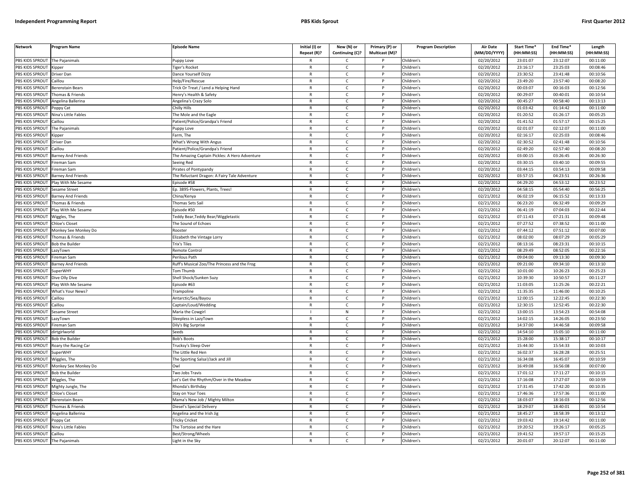| PBS KIDS SPROUT<br>The Pajanimals<br>Children's<br>02/20/2012<br>23:01:07<br>23:12:07<br>00:11:00<br>uppy Love<br>C<br>PBS KIDS SPROUT<br>iger's Rocket<br>$\mathsf{C}$<br>Children's<br>02/20/2012<br>23:16:17<br>23:25:03<br>00:08:46<br>Kipper<br>$\mathsf{R}$<br>P<br>PBS KIDS SPROUT<br>Children's<br>02/20/2012<br>23:30:52<br>23:41:48<br>00:10:56<br>Driver Dan<br>Dance Yourself Dizzy<br>$\mathsf{R}$<br>$\mathsf{C}$<br>P<br>02/20/2012<br>23:49:20<br>23:57:40<br>00:08:20<br>PBS KIDS SPROUT<br>Caillou<br>Help/Fire/Rescue<br>$\mathsf{R}$<br>$\mathsf{C}$<br>P<br>Children's<br>PBS KIDS SPROUT<br>Children's<br>02/20/2012<br>00:03:07<br>00:16:03<br>00:12:56<br><b>Berenstain Bears</b><br>Frick Or Treat / Lend a Helping Hand<br>R<br>$\mathsf{C}$<br>PBS KIDS SPROUT<br>homas & Friends<br>$\mathsf{R}$<br>$\mathsf{C}$<br>Children's<br>02/20/2012<br>00:29:07<br>00:40:01<br>00:10:54<br>lenry's Health & Safety<br>00:45:27<br><b>BS KIDS SPROUT</b><br>Angelina Ballerina<br>Angelina's Crazy Solo<br>R<br>Children's<br>02/20/2012<br>00:58:40<br>00:13:13<br>C<br>$\mathsf{C}$<br>02/20/2012<br>01:03:42<br>01:14:42<br>00:11:00<br>PBS KIDS SPROUT<br>Chilly Hills<br>$\mathsf{R}$<br>D<br>Children's<br>oppy Cat<br>02/20/2012<br>01:20:52<br>PBS KIDS SPROUT<br>Nina's Little Fables<br>$\mathsf{C}$<br>Children's<br>01:26:17<br>00:05:25<br>The Mole and the Eagle<br>$\mathsf{R}$<br>P<br>PBS KIDS SPROUT<br>$\mathsf{R}$<br>$\mathsf{C}$<br>02/20/2012<br>01:41:52<br>01:57:17<br>00:15:25<br>aillou<br>P<br>Children's<br>atient/Police/Grandpa's Friend<br>PBS KIDS SPROUT<br>02/20/2012<br>02:01:07<br>02:12:07<br>00:11:00<br>The Pajanimals<br>$\mathsf{R}$<br>$\mathsf{C}$<br>P<br>Children's<br>Puppy Love<br>$\sqrt{02}/20/2012$<br>02:16:17<br>PBS KIDS SPROUT<br>$\mathsf{R}$<br>$\mathsf{C}$<br>Children's<br>02:25:03<br>00:08:46<br><sup>:</sup> arm, The<br>P<br><b>Kipper</b><br>$\mathsf{R}$<br>$\mathsf{C}$<br>PBS KIDS SPROUT<br>$\mathsf{P}$<br>Children's<br>02/20/2012<br>02:30:52<br>02:41:48<br>00:10:56<br>Driver Dan<br>What's Wrong With Angus<br>PBS KIDS SPROUT<br>02/20/2012<br>02:49:20<br>02:57:40<br>00:08:20<br>$\mathsf{R}$<br>$\mathsf{C}$<br>Children's<br>aillou<br>atient/Police/Grandpa's Friend<br>P<br>PBS KIDS SPROUT<br>$\mathsf{R}$<br>$\mathsf{C}$<br>Children's<br>02/20/2012<br>03:00:15<br>03:26:45<br>00:26:30<br>Barney And Friends<br>The Amazing Captain Pickles: A Hero Adventure<br>P<br>02/20/2012<br>PBS KIDS SPROUT<br>ireman Sam<br>Seeing Red<br>$\mathsf{R}$<br>$\mathsf{C}$<br>Children's<br>03:30:15<br>03:40:10<br>00:09:55<br>P<br>PBS KIDS SPROUT<br>ireman Sam<br>$\mathsf{R}$<br>$\mathsf{C}$<br>$\mathsf{P}$<br>Children's<br>02/20/2012<br>03:44:15<br>03:54:13<br>00:09:58<br>Pirates of Pontypandy<br>PBS KIDS SPROUT<br>The Reluctant Dragon: A Fairy Tale Adventure<br>$\mathsf{R}$<br>$\mathsf{C}$<br>Children's<br>02/20/2012<br>03:57:15<br>04:23:51<br>00:26:36<br><b>Barney And Friends</b><br>P<br>$\mathsf{C}$<br>Children's<br>02/20/2012<br>04:29:20<br>04:53:12<br>00:23:52<br>PBS KIDS SPROUT<br>Play With Me Sesame<br>Episode #58<br>$\mathsf{R}$<br>P<br>PBS KIDS SPROUT<br>Ep. 3895-Flowers, Plants, Trees!<br>$\mathsf{C}$<br>Children's<br>02/20/2012<br>04:58:15<br>05:54:40<br>00:56:25<br><b>Sesame Street</b><br>R<br>P<br>PBS KIDS SPROUT<br>$\mathsf{R}$<br>$\mathsf{C}$<br>P<br>Children's<br>02/21/2012<br>06:02:19<br>06:15:52<br>00:13:33<br><b>Barney And Friends</b><br>China/Kenya<br>02/21/2012<br>06:23:20<br>06:32:49<br>00:09:29<br>PBS KIDS SPROUT<br>Thomas & Friends<br>Thomas Sets Sail<br>R<br>$\mathsf{C}$<br>Children's<br>PBS KIDS SPROUT<br>$\mathsf{R}$<br>$\mathsf{C}$<br>Children's<br>02/21/2012<br>06:41:19<br>07:04:03<br>00:22:44<br>Play With Me Sesame<br>pisode #50<br>Þ<br>PBS KIDS SPROUT<br>Children's<br>02/21/2012<br>07:11:43<br>07:21:31<br>00:09:48<br>Wiggles, The<br>$\mathsf{R}$<br>c<br>'eddy Bear,Teddy Bear/Wiggletastic<br>PBS KIDS SPROUT<br>he Sound of Echoes<br>$\mathsf{R}$<br>$\mathsf{C}$<br>Children's<br>02/21/2012<br>07:27:52<br>07:38:52<br>00:11:00<br><b>Chloe's Closet</b><br>07:44:12<br>00:07:00<br>PBS KIDS SPROUT<br>$\mathsf{C}$<br>Children's<br>02/21/2012<br>07:51:12<br>Monkey See Monkey Do<br>$\mathsf{R}$<br>P<br>Rooster<br>$\mathsf{C}$<br>02/21/2012<br>08:02:00<br>08:07:29<br>00:05:29<br>PBS KIDS SPROUT<br>$\mathsf{R}$<br>P<br>Children's<br>Thomas & Friends<br><b>Elizabeth the Vintage Lorry</b><br>02/21/2012<br>08:23:31<br>00:10:15<br>PBS KIDS SPROUT<br>$\mathsf{R}$<br>$\mathsf{C}$<br>$\mathsf{P}$<br>Children's<br>08:13:16<br><b>Bob the Builder</b><br><b>Trix's Tiles</b><br>02/21/2012<br>08:52:05<br>PBS KIDS SPROUT<br>$\mathsf{R}$<br>$\mathsf{C}$<br>Children's<br>08:29:49<br>00:22:16<br>P<br>azyTown<br><b>Remote Control</b><br>PBS KIDS SPROUT<br>$\mathsf{C}$<br>Children's<br>02/21/2012<br>09:04:00<br>09:13:30<br>00:09:30<br>Perilous Path<br>$\mathsf{R}$<br>$\mathsf{P}$<br>ireman Sam<br>02/21/2012<br>PBS KIDS SPROUT<br>Ruff's Musical Zoo/The Princess and the Frog<br>$\mathsf{C}$<br>Children's<br>09:21:00<br>09:34:10<br>00:13:10<br><b>Barney And Friends</b><br>$\mathsf{R}$<br>P<br>02/21/2012<br>10:01:00<br>10:26:23<br>PBS KIDS SPROUT<br>SuperWHY<br><b>Tom Thumb</b><br>R<br>$\mathsf{C}$<br>P<br>Children's<br>00:25:23<br>PBS KIDS SPROUT<br>Shell Shock/Sunken Suzy<br>$\mathsf{R}$<br>$\mathsf{C}$<br>P<br>Children's<br>02/21/2012<br>10:39:30<br>10:50:57<br>00:11:27<br>Dive Olly Dive<br>PBS KIDS SPROUT<br>Play With Me Sesame<br>Episode #63<br>$\mathsf{R}$<br>$\mathsf{C}$<br>P<br>Children's<br>02/21/2012<br>11:03:05<br>11:25:26<br>00:22:21<br>02/21/2012<br>PBS KIDS SPROUT<br>What's Your News?<br>$\mathsf{R}$<br>$\mathsf{C}$<br>Children's<br>11:35:35<br>11:46:00<br>00:10:25<br>rampoline<br>P<br>PBS KIDS SPROUT<br>Children's<br>02/21/2012<br>12:00:15<br>12:22:45<br>00:22:30<br>Caillou<br>Antarctic/Sea/Bayou<br>$\mathsf{R}$<br>$\mathsf{C}$<br>P<br>PBS KIDS SPROUT<br>Children's<br>02/21/2012<br>12:30:15<br>12:52:45<br>00:22:30<br>Caillou<br>Captain/Loud/Wedding<br>$\mathsf{R}$<br>C<br>P<br>00:54:08<br>PBS KIDS SPROUT<br>${\sf N}$<br>P<br>Children's<br>02/21/2012<br>13:00:15<br>13:54:23<br>Sesame Street<br>Maria the Cowgirl<br>$\blacksquare$<br>PBS KIDS SPROUT<br>R<br>Ċ<br>Children's<br>02/21/2012<br>14:02:15<br>14:26:05<br>00:23:50<br>LazyTown<br>Sleepless in LazyTown<br>02/21/2012<br>14:37:00<br>14:46:58<br>00:09:58<br>PBS KIDS SPROUT<br>Dily's Big Surprise<br>$\mathsf{R}$<br>$\mathsf{C}$<br>P<br>Children's<br>ireman Sam<br><b>BS KIDS SPROUT</b><br>02/21/2012<br>14:54:10<br>15:05:10<br>00:11:00<br>$\mathsf{R}$<br>$\mathsf{C}$<br>Children's<br>dirtgirlworld<br>eeds<br>P<br>PBS KIDS SPROUT<br><b>Bob's Boots</b><br>$\mathsf{R}$<br>$\mathsf{C}$<br>Children's<br>02/21/2012<br>15:28:00<br>15:38:17<br>00:10:17<br><b>Bob the Builder</b><br>Þ<br>PBS KIDS SPROUT<br>02/21/2012<br>15:44:30<br>15:54:33<br>00:10:03<br>C<br>Children's<br>Roary the Racing Car<br>'rucksy's Sleep Over<br>R<br>P<br>02/21/2012<br>00:25:51<br>PBS KIDS SPROUT<br>$\mathsf{R}$<br>$\mathsf{C}$<br>P<br>Children's<br>16:02:37<br>16:28:28<br>SuperWHY<br>he Little Red Hen<br>PBS KIDS SPROUT<br>02/21/2012<br>16:34:08<br>16:45:07<br>00:10:59<br>$\mathsf{C}$<br>Children's<br>Wiggles, The<br>The Sporting Salsa!/Jack and Jill<br>$\mathsf{R}$<br>P<br>02/21/2012<br>PBS KIDS SPROUT<br>$\mathsf{C}$<br>Children's<br>16:49:08<br>16:56:08<br>00:07:00<br>Monkey See Monkey Do<br>$\mathsf{R}$<br>P<br>PBS KIDS SPROUT<br>$\mathsf{C}$<br>$\sqrt{02}/21/2012$<br>17:01:12<br>17:11:27<br>00:10:15<br><b>Bob the Builder</b><br>$\mathsf{R}$<br>P<br>Children's<br>Two Jobs Travis<br>PBS KIDS SPROUT<br>$\mathsf{C}$<br>02/21/2012<br>17:16:08<br>17:27:07<br>00:10:59<br>Wiggles, The<br>et's Get the Rhythm/Over in the Meadow<br>$\mathsf{R}$<br>P<br>Children's<br>17:31:45<br>17:42:20<br>PBS KIDS SPROUT<br>Rhonda's Birthday<br>R<br>$\mathsf{C}$<br>P<br>Children's<br>02/21/2012<br>00:10:35<br>Mighty Jungle, The<br>PBS KIDS SPROUT<br>$\mathsf{C}$<br>02/21/2012<br>17:46:36<br>17:57:36<br>Chloe's Closet<br>Stay on Your Toes<br>$\mathsf{R}$<br>Children's<br>00:11:00<br>PBS KIDS SPROUT<br>$\mathsf{C}$<br>Children's<br>02/21/2012<br>18:03:07<br>18:16:03<br>00:12:56<br><b>Berenstain Bears</b><br>Mama's New Job / Mighty Milton<br>R<br>P<br>PBS KIDS SPROUT<br>Thomas & Friends<br>$\mathsf{R}$<br>$\mathsf{C}$<br>Children's<br>02/21/2012<br>18:29:07<br>18:40:01<br>00:10:54<br>Diesel's Special Delivery<br>P<br>02/21/2012<br>18:45:27<br>18:58:39<br>PBS KIDS SPROUT<br>Angelina Ballerina<br>Angelina and the Irish Jig<br>$\mathsf{R}$<br>$\mathsf{C}$<br>P<br>Children's<br>00:13:12<br>02/21/2012<br>19:03:42<br>00:11:00<br>PBS KIDS SPROUT<br>Poppy Cat<br>ricky Cricket<br>R<br>Ċ<br>Children's<br>19:14:42<br>PBS KIDS SPROUT<br>Children's<br>02/21/2012<br>19:20:52<br>19:26:17<br>00:05:25<br>Nina's Little Fables<br>he Tortoise and the Hare<br>$\mathsf{R}$<br>$\mathsf{C}$<br>P<br>PBS KIDS SPROUT<br>Children's<br>02/21/2012<br>19:41:52<br>19:57:17<br>00:15:25<br>Caillou<br>Best/Strong/Wheels<br>R<br>C | <b>Network</b>  | Program Name   | <b>Episode Name</b> | Initial (I) or<br>Repeat (R)? | New (N) or<br>Continuing (C)? | Primary (P) or<br>Multicast (M)? | <b>Program Description</b> | Air Date<br>(MM/DD/YYYY) | Start Time*<br>(HH:MM:SS) | End Time*<br>(HH:MM:SS) | Length<br>(HH:MM:SS) |
|-------------------------------------------------------------------------------------------------------------------------------------------------------------------------------------------------------------------------------------------------------------------------------------------------------------------------------------------------------------------------------------------------------------------------------------------------------------------------------------------------------------------------------------------------------------------------------------------------------------------------------------------------------------------------------------------------------------------------------------------------------------------------------------------------------------------------------------------------------------------------------------------------------------------------------------------------------------------------------------------------------------------------------------------------------------------------------------------------------------------------------------------------------------------------------------------------------------------------------------------------------------------------------------------------------------------------------------------------------------------------------------------------------------------------------------------------------------------------------------------------------------------------------------------------------------------------------------------------------------------------------------------------------------------------------------------------------------------------------------------------------------------------------------------------------------------------------------------------------------------------------------------------------------------------------------------------------------------------------------------------------------------------------------------------------------------------------------------------------------------------------------------------------------------------------------------------------------------------------------------------------------------------------------------------------------------------------------------------------------------------------------------------------------------------------------------------------------------------------------------------------------------------------------------------------------------------------------------------------------------------------------------------------------------------------------------------------------------------------------------------------------------------------------------------------------------------------------------------------------------------------------------------------------------------------------------------------------------------------------------------------------------------------------------------------------------------------------------------------------------------------------------------------------------------------------------------------------------------------------------------------------------------------------------------------------------------------------------------------------------------------------------------------------------------------------------------------------------------------------------------------------------------------------------------------------------------------------------------------------------------------------------------------------------------------------------------------------------------------------------------------------------------------------------------------------------------------------------------------------------------------------------------------------------------------------------------------------------------------------------------------------------------------------------------------------------------------------------------------------------------------------------------------------------------------------------------------------------------------------------------------------------------------------------------------------------------------------------------------------------------------------------------------------------------------------------------------------------------------------------------------------------------------------------------------------------------------------------------------------------------------------------------------------------------------------------------------------------------------------------------------------------------------------------------------------------------------------------------------------------------------------------------------------------------------------------------------------------------------------------------------------------------------------------------------------------------------------------------------------------------------------------------------------------------------------------------------------------------------------------------------------------------------------------------------------------------------------------------------------------------------------------------------------------------------------------------------------------------------------------------------------------------------------------------------------------------------------------------------------------------------------------------------------------------------------------------------------------------------------------------------------------------------------------------------------------------------------------------------------------------------------------------------------------------------------------------------------------------------------------------------------------------------------------------------------------------------------------------------------------------------------------------------------------------------------------------------------------------------------------------------------------------------------------------------------------------------------------------------------------------------------------------------------------------------------------------------------------------------------------------------------------------------------------------------------------------------------------------------------------------------------------------------------------------------------------------------------------------------------------------------------------------------------------------------------------------------------------------------------------------------------------------------------------------------------------------------------------------------------------------------------------------------------------------------------------------------------------------------------------------------------------------------------------------------------------------------------------------------------------------------------------------------------------------------------------------------------------------------------------------------------------------------------------------------------------------------------------------------------------------------------------------------------------------------------------------------------------------------------------------------------------------------------------------------------------------------------------------------------------------------------------------------------------------------------------------------------------------------------------------------------------------------------------------------------------------------------------------------------------------------------------------------------------------------------------------------------------------------------------------------------------------------------------------------------------------------------------------------------------------------------------------------------------------------------------------------------------------------------------------------------------------------------------------------------------------------------------------------------------------------------------------------------------------------------------------------------------------------------------------------------------------------------------------------------------------------------------------------------------------------------------------------------------------------------------------------------------------------------------------------------------------------------------------------------------------------------------------------------------------------------------------------------------------------------------------------------------------------------------------------------------------------------------------------------------------------------------------------------------------------------------------------------------|-----------------|----------------|---------------------|-------------------------------|-------------------------------|----------------------------------|----------------------------|--------------------------|---------------------------|-------------------------|----------------------|
|                                                                                                                                                                                                                                                                                                                                                                                                                                                                                                                                                                                                                                                                                                                                                                                                                                                                                                                                                                                                                                                                                                                                                                                                                                                                                                                                                                                                                                                                                                                                                                                                                                                                                                                                                                                                                                                                                                                                                                                                                                                                                                                                                                                                                                                                                                                                                                                                                                                                                                                                                                                                                                                                                                                                                                                                                                                                                                                                                                                                                                                                                                                                                                                                                                                                                                                                                                                                                                                                                                                                                                                                                                                                                                                                                                                                                                                                                                                                                                                                                                                                                                                                                                                                                                                                                                                                                                                                                                                                                                                                                                                                                                                                                                                                                                                                                                                                                                                                                                                                                                                                                                                                                                                                                                                                                                                                                                                                                                                                                                                                                                                                                                                                                                                                                                                                                                                                                                                                                                                                                                                                                                                                                                                                                                                                                                                                                                                                                                                                                                                                                                                                                                                                                                                                                                                                                                                                                                                                                                                                                                                                                                                                                                                                                                                                                                                                                                                                                                                                                                                                                                                                                                                                                                                                                                                                                                                                                                                                                                                                                                                                                                                                                                                                                                                                                                                                                                                                                                                                                                                                                                                                                                                                                                                                                                                                                                                                                                                                                                                                                                                                                                                                                                                                                                                                                           |                 |                |                     |                               |                               |                                  |                            |                          |                           |                         |                      |
|                                                                                                                                                                                                                                                                                                                                                                                                                                                                                                                                                                                                                                                                                                                                                                                                                                                                                                                                                                                                                                                                                                                                                                                                                                                                                                                                                                                                                                                                                                                                                                                                                                                                                                                                                                                                                                                                                                                                                                                                                                                                                                                                                                                                                                                                                                                                                                                                                                                                                                                                                                                                                                                                                                                                                                                                                                                                                                                                                                                                                                                                                                                                                                                                                                                                                                                                                                                                                                                                                                                                                                                                                                                                                                                                                                                                                                                                                                                                                                                                                                                                                                                                                                                                                                                                                                                                                                                                                                                                                                                                                                                                                                                                                                                                                                                                                                                                                                                                                                                                                                                                                                                                                                                                                                                                                                                                                                                                                                                                                                                                                                                                                                                                                                                                                                                                                                                                                                                                                                                                                                                                                                                                                                                                                                                                                                                                                                                                                                                                                                                                                                                                                                                                                                                                                                                                                                                                                                                                                                                                                                                                                                                                                                                                                                                                                                                                                                                                                                                                                                                                                                                                                                                                                                                                                                                                                                                                                                                                                                                                                                                                                                                                                                                                                                                                                                                                                                                                                                                                                                                                                                                                                                                                                                                                                                                                                                                                                                                                                                                                                                                                                                                                                                                                                                                                                           |                 |                |                     |                               |                               |                                  |                            |                          |                           |                         |                      |
|                                                                                                                                                                                                                                                                                                                                                                                                                                                                                                                                                                                                                                                                                                                                                                                                                                                                                                                                                                                                                                                                                                                                                                                                                                                                                                                                                                                                                                                                                                                                                                                                                                                                                                                                                                                                                                                                                                                                                                                                                                                                                                                                                                                                                                                                                                                                                                                                                                                                                                                                                                                                                                                                                                                                                                                                                                                                                                                                                                                                                                                                                                                                                                                                                                                                                                                                                                                                                                                                                                                                                                                                                                                                                                                                                                                                                                                                                                                                                                                                                                                                                                                                                                                                                                                                                                                                                                                                                                                                                                                                                                                                                                                                                                                                                                                                                                                                                                                                                                                                                                                                                                                                                                                                                                                                                                                                                                                                                                                                                                                                                                                                                                                                                                                                                                                                                                                                                                                                                                                                                                                                                                                                                                                                                                                                                                                                                                                                                                                                                                                                                                                                                                                                                                                                                                                                                                                                                                                                                                                                                                                                                                                                                                                                                                                                                                                                                                                                                                                                                                                                                                                                                                                                                                                                                                                                                                                                                                                                                                                                                                                                                                                                                                                                                                                                                                                                                                                                                                                                                                                                                                                                                                                                                                                                                                                                                                                                                                                                                                                                                                                                                                                                                                                                                                                                                           |                 |                |                     |                               |                               |                                  |                            |                          |                           |                         |                      |
|                                                                                                                                                                                                                                                                                                                                                                                                                                                                                                                                                                                                                                                                                                                                                                                                                                                                                                                                                                                                                                                                                                                                                                                                                                                                                                                                                                                                                                                                                                                                                                                                                                                                                                                                                                                                                                                                                                                                                                                                                                                                                                                                                                                                                                                                                                                                                                                                                                                                                                                                                                                                                                                                                                                                                                                                                                                                                                                                                                                                                                                                                                                                                                                                                                                                                                                                                                                                                                                                                                                                                                                                                                                                                                                                                                                                                                                                                                                                                                                                                                                                                                                                                                                                                                                                                                                                                                                                                                                                                                                                                                                                                                                                                                                                                                                                                                                                                                                                                                                                                                                                                                                                                                                                                                                                                                                                                                                                                                                                                                                                                                                                                                                                                                                                                                                                                                                                                                                                                                                                                                                                                                                                                                                                                                                                                                                                                                                                                                                                                                                                                                                                                                                                                                                                                                                                                                                                                                                                                                                                                                                                                                                                                                                                                                                                                                                                                                                                                                                                                                                                                                                                                                                                                                                                                                                                                                                                                                                                                                                                                                                                                                                                                                                                                                                                                                                                                                                                                                                                                                                                                                                                                                                                                                                                                                                                                                                                                                                                                                                                                                                                                                                                                                                                                                                                                           |                 |                |                     |                               |                               |                                  |                            |                          |                           |                         |                      |
|                                                                                                                                                                                                                                                                                                                                                                                                                                                                                                                                                                                                                                                                                                                                                                                                                                                                                                                                                                                                                                                                                                                                                                                                                                                                                                                                                                                                                                                                                                                                                                                                                                                                                                                                                                                                                                                                                                                                                                                                                                                                                                                                                                                                                                                                                                                                                                                                                                                                                                                                                                                                                                                                                                                                                                                                                                                                                                                                                                                                                                                                                                                                                                                                                                                                                                                                                                                                                                                                                                                                                                                                                                                                                                                                                                                                                                                                                                                                                                                                                                                                                                                                                                                                                                                                                                                                                                                                                                                                                                                                                                                                                                                                                                                                                                                                                                                                                                                                                                                                                                                                                                                                                                                                                                                                                                                                                                                                                                                                                                                                                                                                                                                                                                                                                                                                                                                                                                                                                                                                                                                                                                                                                                                                                                                                                                                                                                                                                                                                                                                                                                                                                                                                                                                                                                                                                                                                                                                                                                                                                                                                                                                                                                                                                                                                                                                                                                                                                                                                                                                                                                                                                                                                                                                                                                                                                                                                                                                                                                                                                                                                                                                                                                                                                                                                                                                                                                                                                                                                                                                                                                                                                                                                                                                                                                                                                                                                                                                                                                                                                                                                                                                                                                                                                                                                                           |                 |                |                     |                               |                               |                                  |                            |                          |                           |                         |                      |
|                                                                                                                                                                                                                                                                                                                                                                                                                                                                                                                                                                                                                                                                                                                                                                                                                                                                                                                                                                                                                                                                                                                                                                                                                                                                                                                                                                                                                                                                                                                                                                                                                                                                                                                                                                                                                                                                                                                                                                                                                                                                                                                                                                                                                                                                                                                                                                                                                                                                                                                                                                                                                                                                                                                                                                                                                                                                                                                                                                                                                                                                                                                                                                                                                                                                                                                                                                                                                                                                                                                                                                                                                                                                                                                                                                                                                                                                                                                                                                                                                                                                                                                                                                                                                                                                                                                                                                                                                                                                                                                                                                                                                                                                                                                                                                                                                                                                                                                                                                                                                                                                                                                                                                                                                                                                                                                                                                                                                                                                                                                                                                                                                                                                                                                                                                                                                                                                                                                                                                                                                                                                                                                                                                                                                                                                                                                                                                                                                                                                                                                                                                                                                                                                                                                                                                                                                                                                                                                                                                                                                                                                                                                                                                                                                                                                                                                                                                                                                                                                                                                                                                                                                                                                                                                                                                                                                                                                                                                                                                                                                                                                                                                                                                                                                                                                                                                                                                                                                                                                                                                                                                                                                                                                                                                                                                                                                                                                                                                                                                                                                                                                                                                                                                                                                                                                                           |                 |                |                     |                               |                               |                                  |                            |                          |                           |                         |                      |
|                                                                                                                                                                                                                                                                                                                                                                                                                                                                                                                                                                                                                                                                                                                                                                                                                                                                                                                                                                                                                                                                                                                                                                                                                                                                                                                                                                                                                                                                                                                                                                                                                                                                                                                                                                                                                                                                                                                                                                                                                                                                                                                                                                                                                                                                                                                                                                                                                                                                                                                                                                                                                                                                                                                                                                                                                                                                                                                                                                                                                                                                                                                                                                                                                                                                                                                                                                                                                                                                                                                                                                                                                                                                                                                                                                                                                                                                                                                                                                                                                                                                                                                                                                                                                                                                                                                                                                                                                                                                                                                                                                                                                                                                                                                                                                                                                                                                                                                                                                                                                                                                                                                                                                                                                                                                                                                                                                                                                                                                                                                                                                                                                                                                                                                                                                                                                                                                                                                                                                                                                                                                                                                                                                                                                                                                                                                                                                                                                                                                                                                                                                                                                                                                                                                                                                                                                                                                                                                                                                                                                                                                                                                                                                                                                                                                                                                                                                                                                                                                                                                                                                                                                                                                                                                                                                                                                                                                                                                                                                                                                                                                                                                                                                                                                                                                                                                                                                                                                                                                                                                                                                                                                                                                                                                                                                                                                                                                                                                                                                                                                                                                                                                                                                                                                                                                                           |                 |                |                     |                               |                               |                                  |                            |                          |                           |                         |                      |
|                                                                                                                                                                                                                                                                                                                                                                                                                                                                                                                                                                                                                                                                                                                                                                                                                                                                                                                                                                                                                                                                                                                                                                                                                                                                                                                                                                                                                                                                                                                                                                                                                                                                                                                                                                                                                                                                                                                                                                                                                                                                                                                                                                                                                                                                                                                                                                                                                                                                                                                                                                                                                                                                                                                                                                                                                                                                                                                                                                                                                                                                                                                                                                                                                                                                                                                                                                                                                                                                                                                                                                                                                                                                                                                                                                                                                                                                                                                                                                                                                                                                                                                                                                                                                                                                                                                                                                                                                                                                                                                                                                                                                                                                                                                                                                                                                                                                                                                                                                                                                                                                                                                                                                                                                                                                                                                                                                                                                                                                                                                                                                                                                                                                                                                                                                                                                                                                                                                                                                                                                                                                                                                                                                                                                                                                                                                                                                                                                                                                                                                                                                                                                                                                                                                                                                                                                                                                                                                                                                                                                                                                                                                                                                                                                                                                                                                                                                                                                                                                                                                                                                                                                                                                                                                                                                                                                                                                                                                                                                                                                                                                                                                                                                                                                                                                                                                                                                                                                                                                                                                                                                                                                                                                                                                                                                                                                                                                                                                                                                                                                                                                                                                                                                                                                                                                                           |                 |                |                     |                               |                               |                                  |                            |                          |                           |                         |                      |
|                                                                                                                                                                                                                                                                                                                                                                                                                                                                                                                                                                                                                                                                                                                                                                                                                                                                                                                                                                                                                                                                                                                                                                                                                                                                                                                                                                                                                                                                                                                                                                                                                                                                                                                                                                                                                                                                                                                                                                                                                                                                                                                                                                                                                                                                                                                                                                                                                                                                                                                                                                                                                                                                                                                                                                                                                                                                                                                                                                                                                                                                                                                                                                                                                                                                                                                                                                                                                                                                                                                                                                                                                                                                                                                                                                                                                                                                                                                                                                                                                                                                                                                                                                                                                                                                                                                                                                                                                                                                                                                                                                                                                                                                                                                                                                                                                                                                                                                                                                                                                                                                                                                                                                                                                                                                                                                                                                                                                                                                                                                                                                                                                                                                                                                                                                                                                                                                                                                                                                                                                                                                                                                                                                                                                                                                                                                                                                                                                                                                                                                                                                                                                                                                                                                                                                                                                                                                                                                                                                                                                                                                                                                                                                                                                                                                                                                                                                                                                                                                                                                                                                                                                                                                                                                                                                                                                                                                                                                                                                                                                                                                                                                                                                                                                                                                                                                                                                                                                                                                                                                                                                                                                                                                                                                                                                                                                                                                                                                                                                                                                                                                                                                                                                                                                                                                                           |                 |                |                     |                               |                               |                                  |                            |                          |                           |                         |                      |
|                                                                                                                                                                                                                                                                                                                                                                                                                                                                                                                                                                                                                                                                                                                                                                                                                                                                                                                                                                                                                                                                                                                                                                                                                                                                                                                                                                                                                                                                                                                                                                                                                                                                                                                                                                                                                                                                                                                                                                                                                                                                                                                                                                                                                                                                                                                                                                                                                                                                                                                                                                                                                                                                                                                                                                                                                                                                                                                                                                                                                                                                                                                                                                                                                                                                                                                                                                                                                                                                                                                                                                                                                                                                                                                                                                                                                                                                                                                                                                                                                                                                                                                                                                                                                                                                                                                                                                                                                                                                                                                                                                                                                                                                                                                                                                                                                                                                                                                                                                                                                                                                                                                                                                                                                                                                                                                                                                                                                                                                                                                                                                                                                                                                                                                                                                                                                                                                                                                                                                                                                                                                                                                                                                                                                                                                                                                                                                                                                                                                                                                                                                                                                                                                                                                                                                                                                                                                                                                                                                                                                                                                                                                                                                                                                                                                                                                                                                                                                                                                                                                                                                                                                                                                                                                                                                                                                                                                                                                                                                                                                                                                                                                                                                                                                                                                                                                                                                                                                                                                                                                                                                                                                                                                                                                                                                                                                                                                                                                                                                                                                                                                                                                                                                                                                                                                                           |                 |                |                     |                               |                               |                                  |                            |                          |                           |                         |                      |
|                                                                                                                                                                                                                                                                                                                                                                                                                                                                                                                                                                                                                                                                                                                                                                                                                                                                                                                                                                                                                                                                                                                                                                                                                                                                                                                                                                                                                                                                                                                                                                                                                                                                                                                                                                                                                                                                                                                                                                                                                                                                                                                                                                                                                                                                                                                                                                                                                                                                                                                                                                                                                                                                                                                                                                                                                                                                                                                                                                                                                                                                                                                                                                                                                                                                                                                                                                                                                                                                                                                                                                                                                                                                                                                                                                                                                                                                                                                                                                                                                                                                                                                                                                                                                                                                                                                                                                                                                                                                                                                                                                                                                                                                                                                                                                                                                                                                                                                                                                                                                                                                                                                                                                                                                                                                                                                                                                                                                                                                                                                                                                                                                                                                                                                                                                                                                                                                                                                                                                                                                                                                                                                                                                                                                                                                                                                                                                                                                                                                                                                                                                                                                                                                                                                                                                                                                                                                                                                                                                                                                                                                                                                                                                                                                                                                                                                                                                                                                                                                                                                                                                                                                                                                                                                                                                                                                                                                                                                                                                                                                                                                                                                                                                                                                                                                                                                                                                                                                                                                                                                                                                                                                                                                                                                                                                                                                                                                                                                                                                                                                                                                                                                                                                                                                                                                                           |                 |                |                     |                               |                               |                                  |                            |                          |                           |                         |                      |
|                                                                                                                                                                                                                                                                                                                                                                                                                                                                                                                                                                                                                                                                                                                                                                                                                                                                                                                                                                                                                                                                                                                                                                                                                                                                                                                                                                                                                                                                                                                                                                                                                                                                                                                                                                                                                                                                                                                                                                                                                                                                                                                                                                                                                                                                                                                                                                                                                                                                                                                                                                                                                                                                                                                                                                                                                                                                                                                                                                                                                                                                                                                                                                                                                                                                                                                                                                                                                                                                                                                                                                                                                                                                                                                                                                                                                                                                                                                                                                                                                                                                                                                                                                                                                                                                                                                                                                                                                                                                                                                                                                                                                                                                                                                                                                                                                                                                                                                                                                                                                                                                                                                                                                                                                                                                                                                                                                                                                                                                                                                                                                                                                                                                                                                                                                                                                                                                                                                                                                                                                                                                                                                                                                                                                                                                                                                                                                                                                                                                                                                                                                                                                                                                                                                                                                                                                                                                                                                                                                                                                                                                                                                                                                                                                                                                                                                                                                                                                                                                                                                                                                                                                                                                                                                                                                                                                                                                                                                                                                                                                                                                                                                                                                                                                                                                                                                                                                                                                                                                                                                                                                                                                                                                                                                                                                                                                                                                                                                                                                                                                                                                                                                                                                                                                                                                                           |                 |                |                     |                               |                               |                                  |                            |                          |                           |                         |                      |
|                                                                                                                                                                                                                                                                                                                                                                                                                                                                                                                                                                                                                                                                                                                                                                                                                                                                                                                                                                                                                                                                                                                                                                                                                                                                                                                                                                                                                                                                                                                                                                                                                                                                                                                                                                                                                                                                                                                                                                                                                                                                                                                                                                                                                                                                                                                                                                                                                                                                                                                                                                                                                                                                                                                                                                                                                                                                                                                                                                                                                                                                                                                                                                                                                                                                                                                                                                                                                                                                                                                                                                                                                                                                                                                                                                                                                                                                                                                                                                                                                                                                                                                                                                                                                                                                                                                                                                                                                                                                                                                                                                                                                                                                                                                                                                                                                                                                                                                                                                                                                                                                                                                                                                                                                                                                                                                                                                                                                                                                                                                                                                                                                                                                                                                                                                                                                                                                                                                                                                                                                                                                                                                                                                                                                                                                                                                                                                                                                                                                                                                                                                                                                                                                                                                                                                                                                                                                                                                                                                                                                                                                                                                                                                                                                                                                                                                                                                                                                                                                                                                                                                                                                                                                                                                                                                                                                                                                                                                                                                                                                                                                                                                                                                                                                                                                                                                                                                                                                                                                                                                                                                                                                                                                                                                                                                                                                                                                                                                                                                                                                                                                                                                                                                                                                                                                                           |                 |                |                     |                               |                               |                                  |                            |                          |                           |                         |                      |
|                                                                                                                                                                                                                                                                                                                                                                                                                                                                                                                                                                                                                                                                                                                                                                                                                                                                                                                                                                                                                                                                                                                                                                                                                                                                                                                                                                                                                                                                                                                                                                                                                                                                                                                                                                                                                                                                                                                                                                                                                                                                                                                                                                                                                                                                                                                                                                                                                                                                                                                                                                                                                                                                                                                                                                                                                                                                                                                                                                                                                                                                                                                                                                                                                                                                                                                                                                                                                                                                                                                                                                                                                                                                                                                                                                                                                                                                                                                                                                                                                                                                                                                                                                                                                                                                                                                                                                                                                                                                                                                                                                                                                                                                                                                                                                                                                                                                                                                                                                                                                                                                                                                                                                                                                                                                                                                                                                                                                                                                                                                                                                                                                                                                                                                                                                                                                                                                                                                                                                                                                                                                                                                                                                                                                                                                                                                                                                                                                                                                                                                                                                                                                                                                                                                                                                                                                                                                                                                                                                                                                                                                                                                                                                                                                                                                                                                                                                                                                                                                                                                                                                                                                                                                                                                                                                                                                                                                                                                                                                                                                                                                                                                                                                                                                                                                                                                                                                                                                                                                                                                                                                                                                                                                                                                                                                                                                                                                                                                                                                                                                                                                                                                                                                                                                                                                                           |                 |                |                     |                               |                               |                                  |                            |                          |                           |                         |                      |
|                                                                                                                                                                                                                                                                                                                                                                                                                                                                                                                                                                                                                                                                                                                                                                                                                                                                                                                                                                                                                                                                                                                                                                                                                                                                                                                                                                                                                                                                                                                                                                                                                                                                                                                                                                                                                                                                                                                                                                                                                                                                                                                                                                                                                                                                                                                                                                                                                                                                                                                                                                                                                                                                                                                                                                                                                                                                                                                                                                                                                                                                                                                                                                                                                                                                                                                                                                                                                                                                                                                                                                                                                                                                                                                                                                                                                                                                                                                                                                                                                                                                                                                                                                                                                                                                                                                                                                                                                                                                                                                                                                                                                                                                                                                                                                                                                                                                                                                                                                                                                                                                                                                                                                                                                                                                                                                                                                                                                                                                                                                                                                                                                                                                                                                                                                                                                                                                                                                                                                                                                                                                                                                                                                                                                                                                                                                                                                                                                                                                                                                                                                                                                                                                                                                                                                                                                                                                                                                                                                                                                                                                                                                                                                                                                                                                                                                                                                                                                                                                                                                                                                                                                                                                                                                                                                                                                                                                                                                                                                                                                                                                                                                                                                                                                                                                                                                                                                                                                                                                                                                                                                                                                                                                                                                                                                                                                                                                                                                                                                                                                                                                                                                                                                                                                                                                                           |                 |                |                     |                               |                               |                                  |                            |                          |                           |                         |                      |
|                                                                                                                                                                                                                                                                                                                                                                                                                                                                                                                                                                                                                                                                                                                                                                                                                                                                                                                                                                                                                                                                                                                                                                                                                                                                                                                                                                                                                                                                                                                                                                                                                                                                                                                                                                                                                                                                                                                                                                                                                                                                                                                                                                                                                                                                                                                                                                                                                                                                                                                                                                                                                                                                                                                                                                                                                                                                                                                                                                                                                                                                                                                                                                                                                                                                                                                                                                                                                                                                                                                                                                                                                                                                                                                                                                                                                                                                                                                                                                                                                                                                                                                                                                                                                                                                                                                                                                                                                                                                                                                                                                                                                                                                                                                                                                                                                                                                                                                                                                                                                                                                                                                                                                                                                                                                                                                                                                                                                                                                                                                                                                                                                                                                                                                                                                                                                                                                                                                                                                                                                                                                                                                                                                                                                                                                                                                                                                                                                                                                                                                                                                                                                                                                                                                                                                                                                                                                                                                                                                                                                                                                                                                                                                                                                                                                                                                                                                                                                                                                                                                                                                                                                                                                                                                                                                                                                                                                                                                                                                                                                                                                                                                                                                                                                                                                                                                                                                                                                                                                                                                                                                                                                                                                                                                                                                                                                                                                                                                                                                                                                                                                                                                                                                                                                                                                                           |                 |                |                     |                               |                               |                                  |                            |                          |                           |                         |                      |
|                                                                                                                                                                                                                                                                                                                                                                                                                                                                                                                                                                                                                                                                                                                                                                                                                                                                                                                                                                                                                                                                                                                                                                                                                                                                                                                                                                                                                                                                                                                                                                                                                                                                                                                                                                                                                                                                                                                                                                                                                                                                                                                                                                                                                                                                                                                                                                                                                                                                                                                                                                                                                                                                                                                                                                                                                                                                                                                                                                                                                                                                                                                                                                                                                                                                                                                                                                                                                                                                                                                                                                                                                                                                                                                                                                                                                                                                                                                                                                                                                                                                                                                                                                                                                                                                                                                                                                                                                                                                                                                                                                                                                                                                                                                                                                                                                                                                                                                                                                                                                                                                                                                                                                                                                                                                                                                                                                                                                                                                                                                                                                                                                                                                                                                                                                                                                                                                                                                                                                                                                                                                                                                                                                                                                                                                                                                                                                                                                                                                                                                                                                                                                                                                                                                                                                                                                                                                                                                                                                                                                                                                                                                                                                                                                                                                                                                                                                                                                                                                                                                                                                                                                                                                                                                                                                                                                                                                                                                                                                                                                                                                                                                                                                                                                                                                                                                                                                                                                                                                                                                                                                                                                                                                                                                                                                                                                                                                                                                                                                                                                                                                                                                                                                                                                                                                                           |                 |                |                     |                               |                               |                                  |                            |                          |                           |                         |                      |
|                                                                                                                                                                                                                                                                                                                                                                                                                                                                                                                                                                                                                                                                                                                                                                                                                                                                                                                                                                                                                                                                                                                                                                                                                                                                                                                                                                                                                                                                                                                                                                                                                                                                                                                                                                                                                                                                                                                                                                                                                                                                                                                                                                                                                                                                                                                                                                                                                                                                                                                                                                                                                                                                                                                                                                                                                                                                                                                                                                                                                                                                                                                                                                                                                                                                                                                                                                                                                                                                                                                                                                                                                                                                                                                                                                                                                                                                                                                                                                                                                                                                                                                                                                                                                                                                                                                                                                                                                                                                                                                                                                                                                                                                                                                                                                                                                                                                                                                                                                                                                                                                                                                                                                                                                                                                                                                                                                                                                                                                                                                                                                                                                                                                                                                                                                                                                                                                                                                                                                                                                                                                                                                                                                                                                                                                                                                                                                                                                                                                                                                                                                                                                                                                                                                                                                                                                                                                                                                                                                                                                                                                                                                                                                                                                                                                                                                                                                                                                                                                                                                                                                                                                                                                                                                                                                                                                                                                                                                                                                                                                                                                                                                                                                                                                                                                                                                                                                                                                                                                                                                                                                                                                                                                                                                                                                                                                                                                                                                                                                                                                                                                                                                                                                                                                                                                                           |                 |                |                     |                               |                               |                                  |                            |                          |                           |                         |                      |
|                                                                                                                                                                                                                                                                                                                                                                                                                                                                                                                                                                                                                                                                                                                                                                                                                                                                                                                                                                                                                                                                                                                                                                                                                                                                                                                                                                                                                                                                                                                                                                                                                                                                                                                                                                                                                                                                                                                                                                                                                                                                                                                                                                                                                                                                                                                                                                                                                                                                                                                                                                                                                                                                                                                                                                                                                                                                                                                                                                                                                                                                                                                                                                                                                                                                                                                                                                                                                                                                                                                                                                                                                                                                                                                                                                                                                                                                                                                                                                                                                                                                                                                                                                                                                                                                                                                                                                                                                                                                                                                                                                                                                                                                                                                                                                                                                                                                                                                                                                                                                                                                                                                                                                                                                                                                                                                                                                                                                                                                                                                                                                                                                                                                                                                                                                                                                                                                                                                                                                                                                                                                                                                                                                                                                                                                                                                                                                                                                                                                                                                                                                                                                                                                                                                                                                                                                                                                                                                                                                                                                                                                                                                                                                                                                                                                                                                                                                                                                                                                                                                                                                                                                                                                                                                                                                                                                                                                                                                                                                                                                                                                                                                                                                                                                                                                                                                                                                                                                                                                                                                                                                                                                                                                                                                                                                                                                                                                                                                                                                                                                                                                                                                                                                                                                                                                                           |                 |                |                     |                               |                               |                                  |                            |                          |                           |                         |                      |
|                                                                                                                                                                                                                                                                                                                                                                                                                                                                                                                                                                                                                                                                                                                                                                                                                                                                                                                                                                                                                                                                                                                                                                                                                                                                                                                                                                                                                                                                                                                                                                                                                                                                                                                                                                                                                                                                                                                                                                                                                                                                                                                                                                                                                                                                                                                                                                                                                                                                                                                                                                                                                                                                                                                                                                                                                                                                                                                                                                                                                                                                                                                                                                                                                                                                                                                                                                                                                                                                                                                                                                                                                                                                                                                                                                                                                                                                                                                                                                                                                                                                                                                                                                                                                                                                                                                                                                                                                                                                                                                                                                                                                                                                                                                                                                                                                                                                                                                                                                                                                                                                                                                                                                                                                                                                                                                                                                                                                                                                                                                                                                                                                                                                                                                                                                                                                                                                                                                                                                                                                                                                                                                                                                                                                                                                                                                                                                                                                                                                                                                                                                                                                                                                                                                                                                                                                                                                                                                                                                                                                                                                                                                                                                                                                                                                                                                                                                                                                                                                                                                                                                                                                                                                                                                                                                                                                                                                                                                                                                                                                                                                                                                                                                                                                                                                                                                                                                                                                                                                                                                                                                                                                                                                                                                                                                                                                                                                                                                                                                                                                                                                                                                                                                                                                                                                                           |                 |                |                     |                               |                               |                                  |                            |                          |                           |                         |                      |
|                                                                                                                                                                                                                                                                                                                                                                                                                                                                                                                                                                                                                                                                                                                                                                                                                                                                                                                                                                                                                                                                                                                                                                                                                                                                                                                                                                                                                                                                                                                                                                                                                                                                                                                                                                                                                                                                                                                                                                                                                                                                                                                                                                                                                                                                                                                                                                                                                                                                                                                                                                                                                                                                                                                                                                                                                                                                                                                                                                                                                                                                                                                                                                                                                                                                                                                                                                                                                                                                                                                                                                                                                                                                                                                                                                                                                                                                                                                                                                                                                                                                                                                                                                                                                                                                                                                                                                                                                                                                                                                                                                                                                                                                                                                                                                                                                                                                                                                                                                                                                                                                                                                                                                                                                                                                                                                                                                                                                                                                                                                                                                                                                                                                                                                                                                                                                                                                                                                                                                                                                                                                                                                                                                                                                                                                                                                                                                                                                                                                                                                                                                                                                                                                                                                                                                                                                                                                                                                                                                                                                                                                                                                                                                                                                                                                                                                                                                                                                                                                                                                                                                                                                                                                                                                                                                                                                                                                                                                                                                                                                                                                                                                                                                                                                                                                                                                                                                                                                                                                                                                                                                                                                                                                                                                                                                                                                                                                                                                                                                                                                                                                                                                                                                                                                                                                                           |                 |                |                     |                               |                               |                                  |                            |                          |                           |                         |                      |
|                                                                                                                                                                                                                                                                                                                                                                                                                                                                                                                                                                                                                                                                                                                                                                                                                                                                                                                                                                                                                                                                                                                                                                                                                                                                                                                                                                                                                                                                                                                                                                                                                                                                                                                                                                                                                                                                                                                                                                                                                                                                                                                                                                                                                                                                                                                                                                                                                                                                                                                                                                                                                                                                                                                                                                                                                                                                                                                                                                                                                                                                                                                                                                                                                                                                                                                                                                                                                                                                                                                                                                                                                                                                                                                                                                                                                                                                                                                                                                                                                                                                                                                                                                                                                                                                                                                                                                                                                                                                                                                                                                                                                                                                                                                                                                                                                                                                                                                                                                                                                                                                                                                                                                                                                                                                                                                                                                                                                                                                                                                                                                                                                                                                                                                                                                                                                                                                                                                                                                                                                                                                                                                                                                                                                                                                                                                                                                                                                                                                                                                                                                                                                                                                                                                                                                                                                                                                                                                                                                                                                                                                                                                                                                                                                                                                                                                                                                                                                                                                                                                                                                                                                                                                                                                                                                                                                                                                                                                                                                                                                                                                                                                                                                                                                                                                                                                                                                                                                                                                                                                                                                                                                                                                                                                                                                                                                                                                                                                                                                                                                                                                                                                                                                                                                                                                                           |                 |                |                     |                               |                               |                                  |                            |                          |                           |                         |                      |
|                                                                                                                                                                                                                                                                                                                                                                                                                                                                                                                                                                                                                                                                                                                                                                                                                                                                                                                                                                                                                                                                                                                                                                                                                                                                                                                                                                                                                                                                                                                                                                                                                                                                                                                                                                                                                                                                                                                                                                                                                                                                                                                                                                                                                                                                                                                                                                                                                                                                                                                                                                                                                                                                                                                                                                                                                                                                                                                                                                                                                                                                                                                                                                                                                                                                                                                                                                                                                                                                                                                                                                                                                                                                                                                                                                                                                                                                                                                                                                                                                                                                                                                                                                                                                                                                                                                                                                                                                                                                                                                                                                                                                                                                                                                                                                                                                                                                                                                                                                                                                                                                                                                                                                                                                                                                                                                                                                                                                                                                                                                                                                                                                                                                                                                                                                                                                                                                                                                                                                                                                                                                                                                                                                                                                                                                                                                                                                                                                                                                                                                                                                                                                                                                                                                                                                                                                                                                                                                                                                                                                                                                                                                                                                                                                                                                                                                                                                                                                                                                                                                                                                                                                                                                                                                                                                                                                                                                                                                                                                                                                                                                                                                                                                                                                                                                                                                                                                                                                                                                                                                                                                                                                                                                                                                                                                                                                                                                                                                                                                                                                                                                                                                                                                                                                                                                                           |                 |                |                     |                               |                               |                                  |                            |                          |                           |                         |                      |
|                                                                                                                                                                                                                                                                                                                                                                                                                                                                                                                                                                                                                                                                                                                                                                                                                                                                                                                                                                                                                                                                                                                                                                                                                                                                                                                                                                                                                                                                                                                                                                                                                                                                                                                                                                                                                                                                                                                                                                                                                                                                                                                                                                                                                                                                                                                                                                                                                                                                                                                                                                                                                                                                                                                                                                                                                                                                                                                                                                                                                                                                                                                                                                                                                                                                                                                                                                                                                                                                                                                                                                                                                                                                                                                                                                                                                                                                                                                                                                                                                                                                                                                                                                                                                                                                                                                                                                                                                                                                                                                                                                                                                                                                                                                                                                                                                                                                                                                                                                                                                                                                                                                                                                                                                                                                                                                                                                                                                                                                                                                                                                                                                                                                                                                                                                                                                                                                                                                                                                                                                                                                                                                                                                                                                                                                                                                                                                                                                                                                                                                                                                                                                                                                                                                                                                                                                                                                                                                                                                                                                                                                                                                                                                                                                                                                                                                                                                                                                                                                                                                                                                                                                                                                                                                                                                                                                                                                                                                                                                                                                                                                                                                                                                                                                                                                                                                                                                                                                                                                                                                                                                                                                                                                                                                                                                                                                                                                                                                                                                                                                                                                                                                                                                                                                                                                                           |                 |                |                     |                               |                               |                                  |                            |                          |                           |                         |                      |
|                                                                                                                                                                                                                                                                                                                                                                                                                                                                                                                                                                                                                                                                                                                                                                                                                                                                                                                                                                                                                                                                                                                                                                                                                                                                                                                                                                                                                                                                                                                                                                                                                                                                                                                                                                                                                                                                                                                                                                                                                                                                                                                                                                                                                                                                                                                                                                                                                                                                                                                                                                                                                                                                                                                                                                                                                                                                                                                                                                                                                                                                                                                                                                                                                                                                                                                                                                                                                                                                                                                                                                                                                                                                                                                                                                                                                                                                                                                                                                                                                                                                                                                                                                                                                                                                                                                                                                                                                                                                                                                                                                                                                                                                                                                                                                                                                                                                                                                                                                                                                                                                                                                                                                                                                                                                                                                                                                                                                                                                                                                                                                                                                                                                                                                                                                                                                                                                                                                                                                                                                                                                                                                                                                                                                                                                                                                                                                                                                                                                                                                                                                                                                                                                                                                                                                                                                                                                                                                                                                                                                                                                                                                                                                                                                                                                                                                                                                                                                                                                                                                                                                                                                                                                                                                                                                                                                                                                                                                                                                                                                                                                                                                                                                                                                                                                                                                                                                                                                                                                                                                                                                                                                                                                                                                                                                                                                                                                                                                                                                                                                                                                                                                                                                                                                                                                                           |                 |                |                     |                               |                               |                                  |                            |                          |                           |                         |                      |
|                                                                                                                                                                                                                                                                                                                                                                                                                                                                                                                                                                                                                                                                                                                                                                                                                                                                                                                                                                                                                                                                                                                                                                                                                                                                                                                                                                                                                                                                                                                                                                                                                                                                                                                                                                                                                                                                                                                                                                                                                                                                                                                                                                                                                                                                                                                                                                                                                                                                                                                                                                                                                                                                                                                                                                                                                                                                                                                                                                                                                                                                                                                                                                                                                                                                                                                                                                                                                                                                                                                                                                                                                                                                                                                                                                                                                                                                                                                                                                                                                                                                                                                                                                                                                                                                                                                                                                                                                                                                                                                                                                                                                                                                                                                                                                                                                                                                                                                                                                                                                                                                                                                                                                                                                                                                                                                                                                                                                                                                                                                                                                                                                                                                                                                                                                                                                                                                                                                                                                                                                                                                                                                                                                                                                                                                                                                                                                                                                                                                                                                                                                                                                                                                                                                                                                                                                                                                                                                                                                                                                                                                                                                                                                                                                                                                                                                                                                                                                                                                                                                                                                                                                                                                                                                                                                                                                                                                                                                                                                                                                                                                                                                                                                                                                                                                                                                                                                                                                                                                                                                                                                                                                                                                                                                                                                                                                                                                                                                                                                                                                                                                                                                                                                                                                                                                                           |                 |                |                     |                               |                               |                                  |                            |                          |                           |                         |                      |
|                                                                                                                                                                                                                                                                                                                                                                                                                                                                                                                                                                                                                                                                                                                                                                                                                                                                                                                                                                                                                                                                                                                                                                                                                                                                                                                                                                                                                                                                                                                                                                                                                                                                                                                                                                                                                                                                                                                                                                                                                                                                                                                                                                                                                                                                                                                                                                                                                                                                                                                                                                                                                                                                                                                                                                                                                                                                                                                                                                                                                                                                                                                                                                                                                                                                                                                                                                                                                                                                                                                                                                                                                                                                                                                                                                                                                                                                                                                                                                                                                                                                                                                                                                                                                                                                                                                                                                                                                                                                                                                                                                                                                                                                                                                                                                                                                                                                                                                                                                                                                                                                                                                                                                                                                                                                                                                                                                                                                                                                                                                                                                                                                                                                                                                                                                                                                                                                                                                                                                                                                                                                                                                                                                                                                                                                                                                                                                                                                                                                                                                                                                                                                                                                                                                                                                                                                                                                                                                                                                                                                                                                                                                                                                                                                                                                                                                                                                                                                                                                                                                                                                                                                                                                                                                                                                                                                                                                                                                                                                                                                                                                                                                                                                                                                                                                                                                                                                                                                                                                                                                                                                                                                                                                                                                                                                                                                                                                                                                                                                                                                                                                                                                                                                                                                                                                                           |                 |                |                     |                               |                               |                                  |                            |                          |                           |                         |                      |
|                                                                                                                                                                                                                                                                                                                                                                                                                                                                                                                                                                                                                                                                                                                                                                                                                                                                                                                                                                                                                                                                                                                                                                                                                                                                                                                                                                                                                                                                                                                                                                                                                                                                                                                                                                                                                                                                                                                                                                                                                                                                                                                                                                                                                                                                                                                                                                                                                                                                                                                                                                                                                                                                                                                                                                                                                                                                                                                                                                                                                                                                                                                                                                                                                                                                                                                                                                                                                                                                                                                                                                                                                                                                                                                                                                                                                                                                                                                                                                                                                                                                                                                                                                                                                                                                                                                                                                                                                                                                                                                                                                                                                                                                                                                                                                                                                                                                                                                                                                                                                                                                                                                                                                                                                                                                                                                                                                                                                                                                                                                                                                                                                                                                                                                                                                                                                                                                                                                                                                                                                                                                                                                                                                                                                                                                                                                                                                                                                                                                                                                                                                                                                                                                                                                                                                                                                                                                                                                                                                                                                                                                                                                                                                                                                                                                                                                                                                                                                                                                                                                                                                                                                                                                                                                                                                                                                                                                                                                                                                                                                                                                                                                                                                                                                                                                                                                                                                                                                                                                                                                                                                                                                                                                                                                                                                                                                                                                                                                                                                                                                                                                                                                                                                                                                                                                                           |                 |                |                     |                               |                               |                                  |                            |                          |                           |                         |                      |
|                                                                                                                                                                                                                                                                                                                                                                                                                                                                                                                                                                                                                                                                                                                                                                                                                                                                                                                                                                                                                                                                                                                                                                                                                                                                                                                                                                                                                                                                                                                                                                                                                                                                                                                                                                                                                                                                                                                                                                                                                                                                                                                                                                                                                                                                                                                                                                                                                                                                                                                                                                                                                                                                                                                                                                                                                                                                                                                                                                                                                                                                                                                                                                                                                                                                                                                                                                                                                                                                                                                                                                                                                                                                                                                                                                                                                                                                                                                                                                                                                                                                                                                                                                                                                                                                                                                                                                                                                                                                                                                                                                                                                                                                                                                                                                                                                                                                                                                                                                                                                                                                                                                                                                                                                                                                                                                                                                                                                                                                                                                                                                                                                                                                                                                                                                                                                                                                                                                                                                                                                                                                                                                                                                                                                                                                                                                                                                                                                                                                                                                                                                                                                                                                                                                                                                                                                                                                                                                                                                                                                                                                                                                                                                                                                                                                                                                                                                                                                                                                                                                                                                                                                                                                                                                                                                                                                                                                                                                                                                                                                                                                                                                                                                                                                                                                                                                                                                                                                                                                                                                                                                                                                                                                                                                                                                                                                                                                                                                                                                                                                                                                                                                                                                                                                                                                                           |                 |                |                     |                               |                               |                                  |                            |                          |                           |                         |                      |
|                                                                                                                                                                                                                                                                                                                                                                                                                                                                                                                                                                                                                                                                                                                                                                                                                                                                                                                                                                                                                                                                                                                                                                                                                                                                                                                                                                                                                                                                                                                                                                                                                                                                                                                                                                                                                                                                                                                                                                                                                                                                                                                                                                                                                                                                                                                                                                                                                                                                                                                                                                                                                                                                                                                                                                                                                                                                                                                                                                                                                                                                                                                                                                                                                                                                                                                                                                                                                                                                                                                                                                                                                                                                                                                                                                                                                                                                                                                                                                                                                                                                                                                                                                                                                                                                                                                                                                                                                                                                                                                                                                                                                                                                                                                                                                                                                                                                                                                                                                                                                                                                                                                                                                                                                                                                                                                                                                                                                                                                                                                                                                                                                                                                                                                                                                                                                                                                                                                                                                                                                                                                                                                                                                                                                                                                                                                                                                                                                                                                                                                                                                                                                                                                                                                                                                                                                                                                                                                                                                                                                                                                                                                                                                                                                                                                                                                                                                                                                                                                                                                                                                                                                                                                                                                                                                                                                                                                                                                                                                                                                                                                                                                                                                                                                                                                                                                                                                                                                                                                                                                                                                                                                                                                                                                                                                                                                                                                                                                                                                                                                                                                                                                                                                                                                                                                                           |                 |                |                     |                               |                               |                                  |                            |                          |                           |                         |                      |
|                                                                                                                                                                                                                                                                                                                                                                                                                                                                                                                                                                                                                                                                                                                                                                                                                                                                                                                                                                                                                                                                                                                                                                                                                                                                                                                                                                                                                                                                                                                                                                                                                                                                                                                                                                                                                                                                                                                                                                                                                                                                                                                                                                                                                                                                                                                                                                                                                                                                                                                                                                                                                                                                                                                                                                                                                                                                                                                                                                                                                                                                                                                                                                                                                                                                                                                                                                                                                                                                                                                                                                                                                                                                                                                                                                                                                                                                                                                                                                                                                                                                                                                                                                                                                                                                                                                                                                                                                                                                                                                                                                                                                                                                                                                                                                                                                                                                                                                                                                                                                                                                                                                                                                                                                                                                                                                                                                                                                                                                                                                                                                                                                                                                                                                                                                                                                                                                                                                                                                                                                                                                                                                                                                                                                                                                                                                                                                                                                                                                                                                                                                                                                                                                                                                                                                                                                                                                                                                                                                                                                                                                                                                                                                                                                                                                                                                                                                                                                                                                                                                                                                                                                                                                                                                                                                                                                                                                                                                                                                                                                                                                                                                                                                                                                                                                                                                                                                                                                                                                                                                                                                                                                                                                                                                                                                                                                                                                                                                                                                                                                                                                                                                                                                                                                                                                                           |                 |                |                     |                               |                               |                                  |                            |                          |                           |                         |                      |
|                                                                                                                                                                                                                                                                                                                                                                                                                                                                                                                                                                                                                                                                                                                                                                                                                                                                                                                                                                                                                                                                                                                                                                                                                                                                                                                                                                                                                                                                                                                                                                                                                                                                                                                                                                                                                                                                                                                                                                                                                                                                                                                                                                                                                                                                                                                                                                                                                                                                                                                                                                                                                                                                                                                                                                                                                                                                                                                                                                                                                                                                                                                                                                                                                                                                                                                                                                                                                                                                                                                                                                                                                                                                                                                                                                                                                                                                                                                                                                                                                                                                                                                                                                                                                                                                                                                                                                                                                                                                                                                                                                                                                                                                                                                                                                                                                                                                                                                                                                                                                                                                                                                                                                                                                                                                                                                                                                                                                                                                                                                                                                                                                                                                                                                                                                                                                                                                                                                                                                                                                                                                                                                                                                                                                                                                                                                                                                                                                                                                                                                                                                                                                                                                                                                                                                                                                                                                                                                                                                                                                                                                                                                                                                                                                                                                                                                                                                                                                                                                                                                                                                                                                                                                                                                                                                                                                                                                                                                                                                                                                                                                                                                                                                                                                                                                                                                                                                                                                                                                                                                                                                                                                                                                                                                                                                                                                                                                                                                                                                                                                                                                                                                                                                                                                                                                                           |                 |                |                     |                               |                               |                                  |                            |                          |                           |                         |                      |
|                                                                                                                                                                                                                                                                                                                                                                                                                                                                                                                                                                                                                                                                                                                                                                                                                                                                                                                                                                                                                                                                                                                                                                                                                                                                                                                                                                                                                                                                                                                                                                                                                                                                                                                                                                                                                                                                                                                                                                                                                                                                                                                                                                                                                                                                                                                                                                                                                                                                                                                                                                                                                                                                                                                                                                                                                                                                                                                                                                                                                                                                                                                                                                                                                                                                                                                                                                                                                                                                                                                                                                                                                                                                                                                                                                                                                                                                                                                                                                                                                                                                                                                                                                                                                                                                                                                                                                                                                                                                                                                                                                                                                                                                                                                                                                                                                                                                                                                                                                                                                                                                                                                                                                                                                                                                                                                                                                                                                                                                                                                                                                                                                                                                                                                                                                                                                                                                                                                                                                                                                                                                                                                                                                                                                                                                                                                                                                                                                                                                                                                                                                                                                                                                                                                                                                                                                                                                                                                                                                                                                                                                                                                                                                                                                                                                                                                                                                                                                                                                                                                                                                                                                                                                                                                                                                                                                                                                                                                                                                                                                                                                                                                                                                                                                                                                                                                                                                                                                                                                                                                                                                                                                                                                                                                                                                                                                                                                                                                                                                                                                                                                                                                                                                                                                                                                                           |                 |                |                     |                               |                               |                                  |                            |                          |                           |                         |                      |
|                                                                                                                                                                                                                                                                                                                                                                                                                                                                                                                                                                                                                                                                                                                                                                                                                                                                                                                                                                                                                                                                                                                                                                                                                                                                                                                                                                                                                                                                                                                                                                                                                                                                                                                                                                                                                                                                                                                                                                                                                                                                                                                                                                                                                                                                                                                                                                                                                                                                                                                                                                                                                                                                                                                                                                                                                                                                                                                                                                                                                                                                                                                                                                                                                                                                                                                                                                                                                                                                                                                                                                                                                                                                                                                                                                                                                                                                                                                                                                                                                                                                                                                                                                                                                                                                                                                                                                                                                                                                                                                                                                                                                                                                                                                                                                                                                                                                                                                                                                                                                                                                                                                                                                                                                                                                                                                                                                                                                                                                                                                                                                                                                                                                                                                                                                                                                                                                                                                                                                                                                                                                                                                                                                                                                                                                                                                                                                                                                                                                                                                                                                                                                                                                                                                                                                                                                                                                                                                                                                                                                                                                                                                                                                                                                                                                                                                                                                                                                                                                                                                                                                                                                                                                                                                                                                                                                                                                                                                                                                                                                                                                                                                                                                                                                                                                                                                                                                                                                                                                                                                                                                                                                                                                                                                                                                                                                                                                                                                                                                                                                                                                                                                                                                                                                                                                                           |                 |                |                     |                               |                               |                                  |                            |                          |                           |                         |                      |
|                                                                                                                                                                                                                                                                                                                                                                                                                                                                                                                                                                                                                                                                                                                                                                                                                                                                                                                                                                                                                                                                                                                                                                                                                                                                                                                                                                                                                                                                                                                                                                                                                                                                                                                                                                                                                                                                                                                                                                                                                                                                                                                                                                                                                                                                                                                                                                                                                                                                                                                                                                                                                                                                                                                                                                                                                                                                                                                                                                                                                                                                                                                                                                                                                                                                                                                                                                                                                                                                                                                                                                                                                                                                                                                                                                                                                                                                                                                                                                                                                                                                                                                                                                                                                                                                                                                                                                                                                                                                                                                                                                                                                                                                                                                                                                                                                                                                                                                                                                                                                                                                                                                                                                                                                                                                                                                                                                                                                                                                                                                                                                                                                                                                                                                                                                                                                                                                                                                                                                                                                                                                                                                                                                                                                                                                                                                                                                                                                                                                                                                                                                                                                                                                                                                                                                                                                                                                                                                                                                                                                                                                                                                                                                                                                                                                                                                                                                                                                                                                                                                                                                                                                                                                                                                                                                                                                                                                                                                                                                                                                                                                                                                                                                                                                                                                                                                                                                                                                                                                                                                                                                                                                                                                                                                                                                                                                                                                                                                                                                                                                                                                                                                                                                                                                                                                                           |                 |                |                     |                               |                               |                                  |                            |                          |                           |                         |                      |
|                                                                                                                                                                                                                                                                                                                                                                                                                                                                                                                                                                                                                                                                                                                                                                                                                                                                                                                                                                                                                                                                                                                                                                                                                                                                                                                                                                                                                                                                                                                                                                                                                                                                                                                                                                                                                                                                                                                                                                                                                                                                                                                                                                                                                                                                                                                                                                                                                                                                                                                                                                                                                                                                                                                                                                                                                                                                                                                                                                                                                                                                                                                                                                                                                                                                                                                                                                                                                                                                                                                                                                                                                                                                                                                                                                                                                                                                                                                                                                                                                                                                                                                                                                                                                                                                                                                                                                                                                                                                                                                                                                                                                                                                                                                                                                                                                                                                                                                                                                                                                                                                                                                                                                                                                                                                                                                                                                                                                                                                                                                                                                                                                                                                                                                                                                                                                                                                                                                                                                                                                                                                                                                                                                                                                                                                                                                                                                                                                                                                                                                                                                                                                                                                                                                                                                                                                                                                                                                                                                                                                                                                                                                                                                                                                                                                                                                                                                                                                                                                                                                                                                                                                                                                                                                                                                                                                                                                                                                                                                                                                                                                                                                                                                                                                                                                                                                                                                                                                                                                                                                                                                                                                                                                                                                                                                                                                                                                                                                                                                                                                                                                                                                                                                                                                                                                                           |                 |                |                     |                               |                               |                                  |                            |                          |                           |                         |                      |
|                                                                                                                                                                                                                                                                                                                                                                                                                                                                                                                                                                                                                                                                                                                                                                                                                                                                                                                                                                                                                                                                                                                                                                                                                                                                                                                                                                                                                                                                                                                                                                                                                                                                                                                                                                                                                                                                                                                                                                                                                                                                                                                                                                                                                                                                                                                                                                                                                                                                                                                                                                                                                                                                                                                                                                                                                                                                                                                                                                                                                                                                                                                                                                                                                                                                                                                                                                                                                                                                                                                                                                                                                                                                                                                                                                                                                                                                                                                                                                                                                                                                                                                                                                                                                                                                                                                                                                                                                                                                                                                                                                                                                                                                                                                                                                                                                                                                                                                                                                                                                                                                                                                                                                                                                                                                                                                                                                                                                                                                                                                                                                                                                                                                                                                                                                                                                                                                                                                                                                                                                                                                                                                                                                                                                                                                                                                                                                                                                                                                                                                                                                                                                                                                                                                                                                                                                                                                                                                                                                                                                                                                                                                                                                                                                                                                                                                                                                                                                                                                                                                                                                                                                                                                                                                                                                                                                                                                                                                                                                                                                                                                                                                                                                                                                                                                                                                                                                                                                                                                                                                                                                                                                                                                                                                                                                                                                                                                                                                                                                                                                                                                                                                                                                                                                                                                                           |                 |                |                     |                               |                               |                                  |                            |                          |                           |                         |                      |
|                                                                                                                                                                                                                                                                                                                                                                                                                                                                                                                                                                                                                                                                                                                                                                                                                                                                                                                                                                                                                                                                                                                                                                                                                                                                                                                                                                                                                                                                                                                                                                                                                                                                                                                                                                                                                                                                                                                                                                                                                                                                                                                                                                                                                                                                                                                                                                                                                                                                                                                                                                                                                                                                                                                                                                                                                                                                                                                                                                                                                                                                                                                                                                                                                                                                                                                                                                                                                                                                                                                                                                                                                                                                                                                                                                                                                                                                                                                                                                                                                                                                                                                                                                                                                                                                                                                                                                                                                                                                                                                                                                                                                                                                                                                                                                                                                                                                                                                                                                                                                                                                                                                                                                                                                                                                                                                                                                                                                                                                                                                                                                                                                                                                                                                                                                                                                                                                                                                                                                                                                                                                                                                                                                                                                                                                                                                                                                                                                                                                                                                                                                                                                                                                                                                                                                                                                                                                                                                                                                                                                                                                                                                                                                                                                                                                                                                                                                                                                                                                                                                                                                                                                                                                                                                                                                                                                                                                                                                                                                                                                                                                                                                                                                                                                                                                                                                                                                                                                                                                                                                                                                                                                                                                                                                                                                                                                                                                                                                                                                                                                                                                                                                                                                                                                                                                                           |                 |                |                     |                               |                               |                                  |                            |                          |                           |                         |                      |
|                                                                                                                                                                                                                                                                                                                                                                                                                                                                                                                                                                                                                                                                                                                                                                                                                                                                                                                                                                                                                                                                                                                                                                                                                                                                                                                                                                                                                                                                                                                                                                                                                                                                                                                                                                                                                                                                                                                                                                                                                                                                                                                                                                                                                                                                                                                                                                                                                                                                                                                                                                                                                                                                                                                                                                                                                                                                                                                                                                                                                                                                                                                                                                                                                                                                                                                                                                                                                                                                                                                                                                                                                                                                                                                                                                                                                                                                                                                                                                                                                                                                                                                                                                                                                                                                                                                                                                                                                                                                                                                                                                                                                                                                                                                                                                                                                                                                                                                                                                                                                                                                                                                                                                                                                                                                                                                                                                                                                                                                                                                                                                                                                                                                                                                                                                                                                                                                                                                                                                                                                                                                                                                                                                                                                                                                                                                                                                                                                                                                                                                                                                                                                                                                                                                                                                                                                                                                                                                                                                                                                                                                                                                                                                                                                                                                                                                                                                                                                                                                                                                                                                                                                                                                                                                                                                                                                                                                                                                                                                                                                                                                                                                                                                                                                                                                                                                                                                                                                                                                                                                                                                                                                                                                                                                                                                                                                                                                                                                                                                                                                                                                                                                                                                                                                                                                                           |                 |                |                     |                               |                               |                                  |                            |                          |                           |                         |                      |
|                                                                                                                                                                                                                                                                                                                                                                                                                                                                                                                                                                                                                                                                                                                                                                                                                                                                                                                                                                                                                                                                                                                                                                                                                                                                                                                                                                                                                                                                                                                                                                                                                                                                                                                                                                                                                                                                                                                                                                                                                                                                                                                                                                                                                                                                                                                                                                                                                                                                                                                                                                                                                                                                                                                                                                                                                                                                                                                                                                                                                                                                                                                                                                                                                                                                                                                                                                                                                                                                                                                                                                                                                                                                                                                                                                                                                                                                                                                                                                                                                                                                                                                                                                                                                                                                                                                                                                                                                                                                                                                                                                                                                                                                                                                                                                                                                                                                                                                                                                                                                                                                                                                                                                                                                                                                                                                                                                                                                                                                                                                                                                                                                                                                                                                                                                                                                                                                                                                                                                                                                                                                                                                                                                                                                                                                                                                                                                                                                                                                                                                                                                                                                                                                                                                                                                                                                                                                                                                                                                                                                                                                                                                                                                                                                                                                                                                                                                                                                                                                                                                                                                                                                                                                                                                                                                                                                                                                                                                                                                                                                                                                                                                                                                                                                                                                                                                                                                                                                                                                                                                                                                                                                                                                                                                                                                                                                                                                                                                                                                                                                                                                                                                                                                                                                                                                                           |                 |                |                     |                               |                               |                                  |                            |                          |                           |                         |                      |
|                                                                                                                                                                                                                                                                                                                                                                                                                                                                                                                                                                                                                                                                                                                                                                                                                                                                                                                                                                                                                                                                                                                                                                                                                                                                                                                                                                                                                                                                                                                                                                                                                                                                                                                                                                                                                                                                                                                                                                                                                                                                                                                                                                                                                                                                                                                                                                                                                                                                                                                                                                                                                                                                                                                                                                                                                                                                                                                                                                                                                                                                                                                                                                                                                                                                                                                                                                                                                                                                                                                                                                                                                                                                                                                                                                                                                                                                                                                                                                                                                                                                                                                                                                                                                                                                                                                                                                                                                                                                                                                                                                                                                                                                                                                                                                                                                                                                                                                                                                                                                                                                                                                                                                                                                                                                                                                                                                                                                                                                                                                                                                                                                                                                                                                                                                                                                                                                                                                                                                                                                                                                                                                                                                                                                                                                                                                                                                                                                                                                                                                                                                                                                                                                                                                                                                                                                                                                                                                                                                                                                                                                                                                                                                                                                                                                                                                                                                                                                                                                                                                                                                                                                                                                                                                                                                                                                                                                                                                                                                                                                                                                                                                                                                                                                                                                                                                                                                                                                                                                                                                                                                                                                                                                                                                                                                                                                                                                                                                                                                                                                                                                                                                                                                                                                                                                                           |                 |                |                     |                               |                               |                                  |                            |                          |                           |                         |                      |
|                                                                                                                                                                                                                                                                                                                                                                                                                                                                                                                                                                                                                                                                                                                                                                                                                                                                                                                                                                                                                                                                                                                                                                                                                                                                                                                                                                                                                                                                                                                                                                                                                                                                                                                                                                                                                                                                                                                                                                                                                                                                                                                                                                                                                                                                                                                                                                                                                                                                                                                                                                                                                                                                                                                                                                                                                                                                                                                                                                                                                                                                                                                                                                                                                                                                                                                                                                                                                                                                                                                                                                                                                                                                                                                                                                                                                                                                                                                                                                                                                                                                                                                                                                                                                                                                                                                                                                                                                                                                                                                                                                                                                                                                                                                                                                                                                                                                                                                                                                                                                                                                                                                                                                                                                                                                                                                                                                                                                                                                                                                                                                                                                                                                                                                                                                                                                                                                                                                                                                                                                                                                                                                                                                                                                                                                                                                                                                                                                                                                                                                                                                                                                                                                                                                                                                                                                                                                                                                                                                                                                                                                                                                                                                                                                                                                                                                                                                                                                                                                                                                                                                                                                                                                                                                                                                                                                                                                                                                                                                                                                                                                                                                                                                                                                                                                                                                                                                                                                                                                                                                                                                                                                                                                                                                                                                                                                                                                                                                                                                                                                                                                                                                                                                                                                                                                                           |                 |                |                     |                               |                               |                                  |                            |                          |                           |                         |                      |
|                                                                                                                                                                                                                                                                                                                                                                                                                                                                                                                                                                                                                                                                                                                                                                                                                                                                                                                                                                                                                                                                                                                                                                                                                                                                                                                                                                                                                                                                                                                                                                                                                                                                                                                                                                                                                                                                                                                                                                                                                                                                                                                                                                                                                                                                                                                                                                                                                                                                                                                                                                                                                                                                                                                                                                                                                                                                                                                                                                                                                                                                                                                                                                                                                                                                                                                                                                                                                                                                                                                                                                                                                                                                                                                                                                                                                                                                                                                                                                                                                                                                                                                                                                                                                                                                                                                                                                                                                                                                                                                                                                                                                                                                                                                                                                                                                                                                                                                                                                                                                                                                                                                                                                                                                                                                                                                                                                                                                                                                                                                                                                                                                                                                                                                                                                                                                                                                                                                                                                                                                                                                                                                                                                                                                                                                                                                                                                                                                                                                                                                                                                                                                                                                                                                                                                                                                                                                                                                                                                                                                                                                                                                                                                                                                                                                                                                                                                                                                                                                                                                                                                                                                                                                                                                                                                                                                                                                                                                                                                                                                                                                                                                                                                                                                                                                                                                                                                                                                                                                                                                                                                                                                                                                                                                                                                                                                                                                                                                                                                                                                                                                                                                                                                                                                                                                                           |                 |                |                     |                               |                               |                                  |                            |                          |                           |                         |                      |
|                                                                                                                                                                                                                                                                                                                                                                                                                                                                                                                                                                                                                                                                                                                                                                                                                                                                                                                                                                                                                                                                                                                                                                                                                                                                                                                                                                                                                                                                                                                                                                                                                                                                                                                                                                                                                                                                                                                                                                                                                                                                                                                                                                                                                                                                                                                                                                                                                                                                                                                                                                                                                                                                                                                                                                                                                                                                                                                                                                                                                                                                                                                                                                                                                                                                                                                                                                                                                                                                                                                                                                                                                                                                                                                                                                                                                                                                                                                                                                                                                                                                                                                                                                                                                                                                                                                                                                                                                                                                                                                                                                                                                                                                                                                                                                                                                                                                                                                                                                                                                                                                                                                                                                                                                                                                                                                                                                                                                                                                                                                                                                                                                                                                                                                                                                                                                                                                                                                                                                                                                                                                                                                                                                                                                                                                                                                                                                                                                                                                                                                                                                                                                                                                                                                                                                                                                                                                                                                                                                                                                                                                                                                                                                                                                                                                                                                                                                                                                                                                                                                                                                                                                                                                                                                                                                                                                                                                                                                                                                                                                                                                                                                                                                                                                                                                                                                                                                                                                                                                                                                                                                                                                                                                                                                                                                                                                                                                                                                                                                                                                                                                                                                                                                                                                                                                                           |                 |                |                     |                               |                               |                                  |                            |                          |                           |                         |                      |
|                                                                                                                                                                                                                                                                                                                                                                                                                                                                                                                                                                                                                                                                                                                                                                                                                                                                                                                                                                                                                                                                                                                                                                                                                                                                                                                                                                                                                                                                                                                                                                                                                                                                                                                                                                                                                                                                                                                                                                                                                                                                                                                                                                                                                                                                                                                                                                                                                                                                                                                                                                                                                                                                                                                                                                                                                                                                                                                                                                                                                                                                                                                                                                                                                                                                                                                                                                                                                                                                                                                                                                                                                                                                                                                                                                                                                                                                                                                                                                                                                                                                                                                                                                                                                                                                                                                                                                                                                                                                                                                                                                                                                                                                                                                                                                                                                                                                                                                                                                                                                                                                                                                                                                                                                                                                                                                                                                                                                                                                                                                                                                                                                                                                                                                                                                                                                                                                                                                                                                                                                                                                                                                                                                                                                                                                                                                                                                                                                                                                                                                                                                                                                                                                                                                                                                                                                                                                                                                                                                                                                                                                                                                                                                                                                                                                                                                                                                                                                                                                                                                                                                                                                                                                                                                                                                                                                                                                                                                                                                                                                                                                                                                                                                                                                                                                                                                                                                                                                                                                                                                                                                                                                                                                                                                                                                                                                                                                                                                                                                                                                                                                                                                                                                                                                                                                                           |                 |                |                     |                               |                               |                                  |                            |                          |                           |                         |                      |
|                                                                                                                                                                                                                                                                                                                                                                                                                                                                                                                                                                                                                                                                                                                                                                                                                                                                                                                                                                                                                                                                                                                                                                                                                                                                                                                                                                                                                                                                                                                                                                                                                                                                                                                                                                                                                                                                                                                                                                                                                                                                                                                                                                                                                                                                                                                                                                                                                                                                                                                                                                                                                                                                                                                                                                                                                                                                                                                                                                                                                                                                                                                                                                                                                                                                                                                                                                                                                                                                                                                                                                                                                                                                                                                                                                                                                                                                                                                                                                                                                                                                                                                                                                                                                                                                                                                                                                                                                                                                                                                                                                                                                                                                                                                                                                                                                                                                                                                                                                                                                                                                                                                                                                                                                                                                                                                                                                                                                                                                                                                                                                                                                                                                                                                                                                                                                                                                                                                                                                                                                                                                                                                                                                                                                                                                                                                                                                                                                                                                                                                                                                                                                                                                                                                                                                                                                                                                                                                                                                                                                                                                                                                                                                                                                                                                                                                                                                                                                                                                                                                                                                                                                                                                                                                                                                                                                                                                                                                                                                                                                                                                                                                                                                                                                                                                                                                                                                                                                                                                                                                                                                                                                                                                                                                                                                                                                                                                                                                                                                                                                                                                                                                                                                                                                                                                                           |                 |                |                     |                               |                               |                                  |                            |                          |                           |                         |                      |
|                                                                                                                                                                                                                                                                                                                                                                                                                                                                                                                                                                                                                                                                                                                                                                                                                                                                                                                                                                                                                                                                                                                                                                                                                                                                                                                                                                                                                                                                                                                                                                                                                                                                                                                                                                                                                                                                                                                                                                                                                                                                                                                                                                                                                                                                                                                                                                                                                                                                                                                                                                                                                                                                                                                                                                                                                                                                                                                                                                                                                                                                                                                                                                                                                                                                                                                                                                                                                                                                                                                                                                                                                                                                                                                                                                                                                                                                                                                                                                                                                                                                                                                                                                                                                                                                                                                                                                                                                                                                                                                                                                                                                                                                                                                                                                                                                                                                                                                                                                                                                                                                                                                                                                                                                                                                                                                                                                                                                                                                                                                                                                                                                                                                                                                                                                                                                                                                                                                                                                                                                                                                                                                                                                                                                                                                                                                                                                                                                                                                                                                                                                                                                                                                                                                                                                                                                                                                                                                                                                                                                                                                                                                                                                                                                                                                                                                                                                                                                                                                                                                                                                                                                                                                                                                                                                                                                                                                                                                                                                                                                                                                                                                                                                                                                                                                                                                                                                                                                                                                                                                                                                                                                                                                                                                                                                                                                                                                                                                                                                                                                                                                                                                                                                                                                                                                                           |                 |                |                     |                               |                               |                                  |                            |                          |                           |                         |                      |
|                                                                                                                                                                                                                                                                                                                                                                                                                                                                                                                                                                                                                                                                                                                                                                                                                                                                                                                                                                                                                                                                                                                                                                                                                                                                                                                                                                                                                                                                                                                                                                                                                                                                                                                                                                                                                                                                                                                                                                                                                                                                                                                                                                                                                                                                                                                                                                                                                                                                                                                                                                                                                                                                                                                                                                                                                                                                                                                                                                                                                                                                                                                                                                                                                                                                                                                                                                                                                                                                                                                                                                                                                                                                                                                                                                                                                                                                                                                                                                                                                                                                                                                                                                                                                                                                                                                                                                                                                                                                                                                                                                                                                                                                                                                                                                                                                                                                                                                                                                                                                                                                                                                                                                                                                                                                                                                                                                                                                                                                                                                                                                                                                                                                                                                                                                                                                                                                                                                                                                                                                                                                                                                                                                                                                                                                                                                                                                                                                                                                                                                                                                                                                                                                                                                                                                                                                                                                                                                                                                                                                                                                                                                                                                                                                                                                                                                                                                                                                                                                                                                                                                                                                                                                                                                                                                                                                                                                                                                                                                                                                                                                                                                                                                                                                                                                                                                                                                                                                                                                                                                                                                                                                                                                                                                                                                                                                                                                                                                                                                                                                                                                                                                                                                                                                                                                                           |                 |                |                     |                               |                               |                                  |                            |                          |                           |                         |                      |
|                                                                                                                                                                                                                                                                                                                                                                                                                                                                                                                                                                                                                                                                                                                                                                                                                                                                                                                                                                                                                                                                                                                                                                                                                                                                                                                                                                                                                                                                                                                                                                                                                                                                                                                                                                                                                                                                                                                                                                                                                                                                                                                                                                                                                                                                                                                                                                                                                                                                                                                                                                                                                                                                                                                                                                                                                                                                                                                                                                                                                                                                                                                                                                                                                                                                                                                                                                                                                                                                                                                                                                                                                                                                                                                                                                                                                                                                                                                                                                                                                                                                                                                                                                                                                                                                                                                                                                                                                                                                                                                                                                                                                                                                                                                                                                                                                                                                                                                                                                                                                                                                                                                                                                                                                                                                                                                                                                                                                                                                                                                                                                                                                                                                                                                                                                                                                                                                                                                                                                                                                                                                                                                                                                                                                                                                                                                                                                                                                                                                                                                                                                                                                                                                                                                                                                                                                                                                                                                                                                                                                                                                                                                                                                                                                                                                                                                                                                                                                                                                                                                                                                                                                                                                                                                                                                                                                                                                                                                                                                                                                                                                                                                                                                                                                                                                                                                                                                                                                                                                                                                                                                                                                                                                                                                                                                                                                                                                                                                                                                                                                                                                                                                                                                                                                                                                                           |                 |                |                     |                               |                               |                                  |                            |                          |                           |                         |                      |
|                                                                                                                                                                                                                                                                                                                                                                                                                                                                                                                                                                                                                                                                                                                                                                                                                                                                                                                                                                                                                                                                                                                                                                                                                                                                                                                                                                                                                                                                                                                                                                                                                                                                                                                                                                                                                                                                                                                                                                                                                                                                                                                                                                                                                                                                                                                                                                                                                                                                                                                                                                                                                                                                                                                                                                                                                                                                                                                                                                                                                                                                                                                                                                                                                                                                                                                                                                                                                                                                                                                                                                                                                                                                                                                                                                                                                                                                                                                                                                                                                                                                                                                                                                                                                                                                                                                                                                                                                                                                                                                                                                                                                                                                                                                                                                                                                                                                                                                                                                                                                                                                                                                                                                                                                                                                                                                                                                                                                                                                                                                                                                                                                                                                                                                                                                                                                                                                                                                                                                                                                                                                                                                                                                                                                                                                                                                                                                                                                                                                                                                                                                                                                                                                                                                                                                                                                                                                                                                                                                                                                                                                                                                                                                                                                                                                                                                                                                                                                                                                                                                                                                                                                                                                                                                                                                                                                                                                                                                                                                                                                                                                                                                                                                                                                                                                                                                                                                                                                                                                                                                                                                                                                                                                                                                                                                                                                                                                                                                                                                                                                                                                                                                                                                                                                                                                                           |                 |                |                     |                               |                               |                                  |                            |                          |                           |                         |                      |
|                                                                                                                                                                                                                                                                                                                                                                                                                                                                                                                                                                                                                                                                                                                                                                                                                                                                                                                                                                                                                                                                                                                                                                                                                                                                                                                                                                                                                                                                                                                                                                                                                                                                                                                                                                                                                                                                                                                                                                                                                                                                                                                                                                                                                                                                                                                                                                                                                                                                                                                                                                                                                                                                                                                                                                                                                                                                                                                                                                                                                                                                                                                                                                                                                                                                                                                                                                                                                                                                                                                                                                                                                                                                                                                                                                                                                                                                                                                                                                                                                                                                                                                                                                                                                                                                                                                                                                                                                                                                                                                                                                                                                                                                                                                                                                                                                                                                                                                                                                                                                                                                                                                                                                                                                                                                                                                                                                                                                                                                                                                                                                                                                                                                                                                                                                                                                                                                                                                                                                                                                                                                                                                                                                                                                                                                                                                                                                                                                                                                                                                                                                                                                                                                                                                                                                                                                                                                                                                                                                                                                                                                                                                                                                                                                                                                                                                                                                                                                                                                                                                                                                                                                                                                                                                                                                                                                                                                                                                                                                                                                                                                                                                                                                                                                                                                                                                                                                                                                                                                                                                                                                                                                                                                                                                                                                                                                                                                                                                                                                                                                                                                                                                                                                                                                                                                                           |                 |                |                     |                               |                               |                                  |                            |                          |                           |                         |                      |
|                                                                                                                                                                                                                                                                                                                                                                                                                                                                                                                                                                                                                                                                                                                                                                                                                                                                                                                                                                                                                                                                                                                                                                                                                                                                                                                                                                                                                                                                                                                                                                                                                                                                                                                                                                                                                                                                                                                                                                                                                                                                                                                                                                                                                                                                                                                                                                                                                                                                                                                                                                                                                                                                                                                                                                                                                                                                                                                                                                                                                                                                                                                                                                                                                                                                                                                                                                                                                                                                                                                                                                                                                                                                                                                                                                                                                                                                                                                                                                                                                                                                                                                                                                                                                                                                                                                                                                                                                                                                                                                                                                                                                                                                                                                                                                                                                                                                                                                                                                                                                                                                                                                                                                                                                                                                                                                                                                                                                                                                                                                                                                                                                                                                                                                                                                                                                                                                                                                                                                                                                                                                                                                                                                                                                                                                                                                                                                                                                                                                                                                                                                                                                                                                                                                                                                                                                                                                                                                                                                                                                                                                                                                                                                                                                                                                                                                                                                                                                                                                                                                                                                                                                                                                                                                                                                                                                                                                                                                                                                                                                                                                                                                                                                                                                                                                                                                                                                                                                                                                                                                                                                                                                                                                                                                                                                                                                                                                                                                                                                                                                                                                                                                                                                                                                                                                                           |                 |                |                     |                               |                               |                                  |                            |                          |                           |                         |                      |
|                                                                                                                                                                                                                                                                                                                                                                                                                                                                                                                                                                                                                                                                                                                                                                                                                                                                                                                                                                                                                                                                                                                                                                                                                                                                                                                                                                                                                                                                                                                                                                                                                                                                                                                                                                                                                                                                                                                                                                                                                                                                                                                                                                                                                                                                                                                                                                                                                                                                                                                                                                                                                                                                                                                                                                                                                                                                                                                                                                                                                                                                                                                                                                                                                                                                                                                                                                                                                                                                                                                                                                                                                                                                                                                                                                                                                                                                                                                                                                                                                                                                                                                                                                                                                                                                                                                                                                                                                                                                                                                                                                                                                                                                                                                                                                                                                                                                                                                                                                                                                                                                                                                                                                                                                                                                                                                                                                                                                                                                                                                                                                                                                                                                                                                                                                                                                                                                                                                                                                                                                                                                                                                                                                                                                                                                                                                                                                                                                                                                                                                                                                                                                                                                                                                                                                                                                                                                                                                                                                                                                                                                                                                                                                                                                                                                                                                                                                                                                                                                                                                                                                                                                                                                                                                                                                                                                                                                                                                                                                                                                                                                                                                                                                                                                                                                                                                                                                                                                                                                                                                                                                                                                                                                                                                                                                                                                                                                                                                                                                                                                                                                                                                                                                                                                                                                                           |                 |                |                     |                               |                               |                                  |                            |                          |                           |                         |                      |
|                                                                                                                                                                                                                                                                                                                                                                                                                                                                                                                                                                                                                                                                                                                                                                                                                                                                                                                                                                                                                                                                                                                                                                                                                                                                                                                                                                                                                                                                                                                                                                                                                                                                                                                                                                                                                                                                                                                                                                                                                                                                                                                                                                                                                                                                                                                                                                                                                                                                                                                                                                                                                                                                                                                                                                                                                                                                                                                                                                                                                                                                                                                                                                                                                                                                                                                                                                                                                                                                                                                                                                                                                                                                                                                                                                                                                                                                                                                                                                                                                                                                                                                                                                                                                                                                                                                                                                                                                                                                                                                                                                                                                                                                                                                                                                                                                                                                                                                                                                                                                                                                                                                                                                                                                                                                                                                                                                                                                                                                                                                                                                                                                                                                                                                                                                                                                                                                                                                                                                                                                                                                                                                                                                                                                                                                                                                                                                                                                                                                                                                                                                                                                                                                                                                                                                                                                                                                                                                                                                                                                                                                                                                                                                                                                                                                                                                                                                                                                                                                                                                                                                                                                                                                                                                                                                                                                                                                                                                                                                                                                                                                                                                                                                                                                                                                                                                                                                                                                                                                                                                                                                                                                                                                                                                                                                                                                                                                                                                                                                                                                                                                                                                                                                                                                                                                                           |                 |                |                     |                               |                               |                                  |                            |                          |                           |                         |                      |
|                                                                                                                                                                                                                                                                                                                                                                                                                                                                                                                                                                                                                                                                                                                                                                                                                                                                                                                                                                                                                                                                                                                                                                                                                                                                                                                                                                                                                                                                                                                                                                                                                                                                                                                                                                                                                                                                                                                                                                                                                                                                                                                                                                                                                                                                                                                                                                                                                                                                                                                                                                                                                                                                                                                                                                                                                                                                                                                                                                                                                                                                                                                                                                                                                                                                                                                                                                                                                                                                                                                                                                                                                                                                                                                                                                                                                                                                                                                                                                                                                                                                                                                                                                                                                                                                                                                                                                                                                                                                                                                                                                                                                                                                                                                                                                                                                                                                                                                                                                                                                                                                                                                                                                                                                                                                                                                                                                                                                                                                                                                                                                                                                                                                                                                                                                                                                                                                                                                                                                                                                                                                                                                                                                                                                                                                                                                                                                                                                                                                                                                                                                                                                                                                                                                                                                                                                                                                                                                                                                                                                                                                                                                                                                                                                                                                                                                                                                                                                                                                                                                                                                                                                                                                                                                                                                                                                                                                                                                                                                                                                                                                                                                                                                                                                                                                                                                                                                                                                                                                                                                                                                                                                                                                                                                                                                                                                                                                                                                                                                                                                                                                                                                                                                                                                                                                                           |                 |                |                     |                               |                               |                                  |                            |                          |                           |                         |                      |
|                                                                                                                                                                                                                                                                                                                                                                                                                                                                                                                                                                                                                                                                                                                                                                                                                                                                                                                                                                                                                                                                                                                                                                                                                                                                                                                                                                                                                                                                                                                                                                                                                                                                                                                                                                                                                                                                                                                                                                                                                                                                                                                                                                                                                                                                                                                                                                                                                                                                                                                                                                                                                                                                                                                                                                                                                                                                                                                                                                                                                                                                                                                                                                                                                                                                                                                                                                                                                                                                                                                                                                                                                                                                                                                                                                                                                                                                                                                                                                                                                                                                                                                                                                                                                                                                                                                                                                                                                                                                                                                                                                                                                                                                                                                                                                                                                                                                                                                                                                                                                                                                                                                                                                                                                                                                                                                                                                                                                                                                                                                                                                                                                                                                                                                                                                                                                                                                                                                                                                                                                                                                                                                                                                                                                                                                                                                                                                                                                                                                                                                                                                                                                                                                                                                                                                                                                                                                                                                                                                                                                                                                                                                                                                                                                                                                                                                                                                                                                                                                                                                                                                                                                                                                                                                                                                                                                                                                                                                                                                                                                                                                                                                                                                                                                                                                                                                                                                                                                                                                                                                                                                                                                                                                                                                                                                                                                                                                                                                                                                                                                                                                                                                                                                                                                                                                                           |                 |                |                     |                               |                               |                                  |                            |                          |                           |                         |                      |
|                                                                                                                                                                                                                                                                                                                                                                                                                                                                                                                                                                                                                                                                                                                                                                                                                                                                                                                                                                                                                                                                                                                                                                                                                                                                                                                                                                                                                                                                                                                                                                                                                                                                                                                                                                                                                                                                                                                                                                                                                                                                                                                                                                                                                                                                                                                                                                                                                                                                                                                                                                                                                                                                                                                                                                                                                                                                                                                                                                                                                                                                                                                                                                                                                                                                                                                                                                                                                                                                                                                                                                                                                                                                                                                                                                                                                                                                                                                                                                                                                                                                                                                                                                                                                                                                                                                                                                                                                                                                                                                                                                                                                                                                                                                                                                                                                                                                                                                                                                                                                                                                                                                                                                                                                                                                                                                                                                                                                                                                                                                                                                                                                                                                                                                                                                                                                                                                                                                                                                                                                                                                                                                                                                                                                                                                                                                                                                                                                                                                                                                                                                                                                                                                                                                                                                                                                                                                                                                                                                                                                                                                                                                                                                                                                                                                                                                                                                                                                                                                                                                                                                                                                                                                                                                                                                                                                                                                                                                                                                                                                                                                                                                                                                                                                                                                                                                                                                                                                                                                                                                                                                                                                                                                                                                                                                                                                                                                                                                                                                                                                                                                                                                                                                                                                                                                                           | PBS KIDS SPROUT | The Pajanimals | ight in the Sky     | R                             | $\mathsf{C}$                  |                                  | Children's                 | 02/21/2012               | 20:01:07                  | 20:12:07                | 00:11:00             |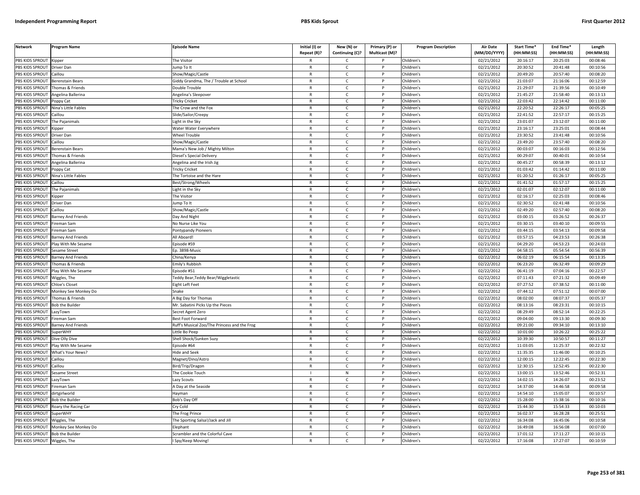| <b>Network</b>                     | Program Name                                                                                                                                                                                                                                               | <b>Episode Name</b>                                      | Initial (I) or<br>Repeat (R)? | New (N) or<br>Continuing (C)? | Primary (P) or<br>Multicast (M)? | <b>Program Description</b> | <b>Air Date</b><br>(MM/DD/YYYY) | <b>Start Time*</b><br>(HH:MM:SS) | End Time*<br>(HH:MM:SS) | Length<br>(HH:MM:SS) |
|------------------------------------|------------------------------------------------------------------------------------------------------------------------------------------------------------------------------------------------------------------------------------------------------------|----------------------------------------------------------|-------------------------------|-------------------------------|----------------------------------|----------------------------|---------------------------------|----------------------------------|-------------------------|----------------------|
| PBS KIDS SPROUT                    |                                                                                                                                                                                                                                                            |                                                          |                               | C                             |                                  |                            |                                 | 20:16:17                         | 20:25:03                | 00:08:46             |
| PBS KIDS SPROUT                    | Kipper                                                                                                                                                                                                                                                     | The Visitor                                              | $\mathsf{R}$                  |                               | P                                | Children's<br>Children's   | 02/21/2012                      | 20:30:52                         | 20:41:48                | 00:10:56             |
|                                    | <b>Driver Dan</b><br>aillou                                                                                                                                                                                                                                | ump To It                                                | $\mathsf{R}$                  | $\mathsf{C}$                  | P                                |                            | 02/21/2012                      |                                  |                         |                      |
| PBS KIDS SPROUT<br>PBS KIDS SPROUT | Berenstain Bears                                                                                                                                                                                                                                           | how/Magic/Castle                                         | $\mathsf{R}$                  | $\mathsf{C}$<br>$\mathsf{C}$  | P                                | Children's<br>Children's   | 02/21/2012<br>02/21/2012        | 20:49:20<br>21:03:07             | 20:57:40<br>21:16:06    | 00:08:20<br>00:12:59 |
| PBS KIDS SPROUT                    | Thomas & Friends                                                                                                                                                                                                                                           | Giddy Grandma, The / Trouble at School<br>Double Trouble | $\mathsf{R}$                  | $\mathsf{C}$                  | P                                | Children's                 | 02/21/2012                      | 21:29:07                         | 21:39:56                | 00:10:49             |
| PBS KIDS SPROUT                    |                                                                                                                                                                                                                                                            |                                                          | $\mathsf{R}$                  | $\mathsf{C}$                  | P                                | Children's                 | 02/21/2012                      | 21:45:27                         | 21:58:40                | 00:13:13             |
| PBS KIDS SPROUT                    | Angelina Ballerina                                                                                                                                                                                                                                         | Angelina's Sleepover<br>ricky Cricket                    | $\mathsf{R}$                  | C                             | P                                | Children's                 | 02/21/2012                      | 22:03:42                         | 22:14:42                | 00:11:00             |
|                                    | Poppy Cat                                                                                                                                                                                                                                                  |                                                          | $\mathsf{R}$                  | $\mathsf{C}$                  | P                                |                            |                                 | 22:20:52                         | 22:26:17                | 00:05:25             |
| PBS KIDS SPROUT                    | Nina's Little Fables<br>Caillou                                                                                                                                                                                                                            | The Crow and the Fox                                     | R                             | C                             |                                  | Children's                 | 02/21/2012                      |                                  |                         |                      |
| PBS KIDS SPROUT                    |                                                                                                                                                                                                                                                            | Slide/Sailor/Creepy                                      | $\mathsf{R}$                  | $\mathsf{C}$                  | P                                | Children's                 | 02/21/2012                      | 22:41:52<br>23:01:07             | 22:57:17                | 00:15:25             |
| PBS KIDS SPROUT                    | The Pajanimals                                                                                                                                                                                                                                             | ight in the Sky                                          |                               |                               |                                  | Children's                 | 02/21/2012                      |                                  | 23:12:07                | 00:11:00             |
| <b>BS KIDS SPROUT</b>              | <ipper< td=""><td>Water Water Everywhere</td><td>R<br/><math>\mathsf{R}</math></td><td><math>\mathsf{C}</math><br/><math>\mathsf{C}</math></td><td></td><td>Children's</td><td>02/21/2012</td><td>23:16:17</td><td>23:25:01</td><td>00:08:44</td></ipper<> | Water Water Everywhere                                   | R<br>$\mathsf{R}$             | $\mathsf{C}$<br>$\mathsf{C}$  |                                  | Children's                 | 02/21/2012                      | 23:16:17                         | 23:25:01                | 00:08:44             |
| PBS KIDS SPROUT                    | Driver Dan                                                                                                                                                                                                                                                 | Wheel Trouble                                            |                               |                               |                                  | Children's                 | 02/21/2012                      | 23:30:52                         | 23:41:48                | 00:10:56             |
| <b>BS KIDS SPROUT</b>              | Caillou                                                                                                                                                                                                                                                    | Show/Magic/Castle                                        | R                             | C                             | P                                | Children's                 | 02/21/2012                      | 23:49:20                         | 23:57:40                | 00:08:20             |
| PBS KIDS SPROUT                    | Berenstain Bears                                                                                                                                                                                                                                           | Mama's New Job / Mighty Milton                           | $\mathsf{R}$                  | $\mathsf{C}$                  |                                  | Children's                 | 02/21/2012                      | 00:03:07                         | 00:16:03                | 00:12:56             |
| PBS KIDS SPROUT                    | Thomas & Friends                                                                                                                                                                                                                                           | Diesel's Special Delivery                                | $\mathsf{R}$                  | $\mathsf{C}$                  | P                                | Children's                 | 02/21/2012                      | 00:29:07                         | 00:40:01                | 00:10:54             |
| PBS KIDS SPROUT                    | Angelina Ballerina                                                                                                                                                                                                                                         | Angelina and the Irish Jig                               | $\mathsf{R}$                  | $\mathsf{C}$                  |                                  | Children's                 | 02/21/2012                      | 00:45:27                         | 00:58:39                | 00:13:12             |
| PBS KIDS SPROUT                    | Poppy Cat                                                                                                                                                                                                                                                  | <b>Tricky Cricket</b>                                    | R                             | $\mathsf{C}$                  | P                                | Children's                 | 02/21/2012                      | 01:03:42                         | 01:14:42                | 00:11:00             |
| PBS KIDS SPROUT                    | <b>lina's Little Fables</b>                                                                                                                                                                                                                                | he Tortoise and the Hare                                 | $\mathsf{R}$                  | $\mathsf{C}$                  | P                                | Children's                 | 02/21/2012                      | 01:20:52                         | 01:26:17                | 00:05:25             |
| PBS KIDS SPROUT                    | aillou                                                                                                                                                                                                                                                     | Best/Strong/Wheels                                       | $\mathsf{R}$                  | $\mathsf{C}$                  | P                                | Children's                 | 02/21/2012                      | 01:41:52                         | 01:57:17                | 00:15:25             |
| PBS KIDS SPROUT                    | The Pajanimals                                                                                                                                                                                                                                             | ight in the Sky                                          | $\mathsf{R}$                  | $\mathsf{C}$                  | P                                | Children's                 | 02/21/2012                      | 02:01:07                         | 02:12:07                | 00:11:00             |
| PBS KIDS SPROUT                    | <b>Kipper</b>                                                                                                                                                                                                                                              | The Visitor                                              | R                             | $\mathsf{C}$                  | P                                | Children's                 | 02/21/2012                      | 02:16:17                         | 02:25:03                | 00:08:46             |
| PBS KIDS SPROUT                    | Driver Dan                                                                                                                                                                                                                                                 | ump To It                                                | $\mathsf{R}$                  | C                             | P                                | Children's                 | 02/21/2012                      | 02:30:52                         | 02:41:48                | 00:10:56             |
| PBS KIDS SPROUT                    | Caillou                                                                                                                                                                                                                                                    | Show/Magic/Castle                                        | $\mathsf{R}$                  | $\mathsf{C}$                  | P                                | Children's                 | 02/21/2012                      | 02:49:20                         | 02:57:40                | 00:08:20             |
| PBS KIDS SPROUT                    | Barney And Friends                                                                                                                                                                                                                                         | Day And Night                                            | R                             | Ċ                             |                                  | Children's                 | 02/21/2012                      | 03:00:15                         | 03:26:52                | 00:26:37             |
| PBS KIDS SPROUT                    | ireman Sam                                                                                                                                                                                                                                                 | <b>Vo Nurse Like You</b>                                 | $\mathsf{R}$                  | $\mathsf{C}$                  | P                                | Children's                 | $\sqrt{02}/21/2012$             | 03:30:15                         | 03:40:10                | 00:09:55             |
| <b>BS KIDS SPROUT</b>              | ireman Sam                                                                                                                                                                                                                                                 | ontypandy Pioneers                                       | R                             | C                             |                                  | Children's                 | 02/21/2012                      | 03:44:15                         | 03:54:13                | 00:09:58             |
| PBS KIDS SPROUT                    | Barney And Friends                                                                                                                                                                                                                                         | All Aboard!                                              | R                             | $\mathsf{C}$                  |                                  | Children's                 | 02/21/2012                      | 03:57:15                         | 04:23:53                | 00:26:38             |
| PBS KIDS SPROUT                    | Play With Me Sesame                                                                                                                                                                                                                                        | pisode #59                                               | R                             | C                             | P                                | Children's                 | 02/21/2012                      | 04:29:20                         | 04:53:23                | 00:24:03             |
| PBS KIDS SPROUT                    | esame Street                                                                                                                                                                                                                                               | p. 3898-Music                                            | $\mathsf{R}$                  | $\mathsf{C}$                  | P                                | Children's                 | 02/21/2012                      | 04:58:15                         | 05:54:54                | 00:56:39             |
| PBS KIDS SPROUT                    | <b>Barney And Friends</b>                                                                                                                                                                                                                                  | China/Kenya                                              | $\mathsf{R}$                  | $\mathsf{C}$                  | P                                | Children's                 | 02/22/2012                      | 06:02:19                         | 06:15:54                | 00:13:35             |
| PBS KIDS SPROUT                    | Thomas & Friends                                                                                                                                                                                                                                           | Emily's Rubbish                                          | $\mathsf{R}$                  | $\mathsf{C}$                  | D                                | Children's                 | 02/22/2012                      | 06:23:20                         | 06:32:49                | 00:09:29             |
| PBS KIDS SPROUT                    | Play With Me Sesame                                                                                                                                                                                                                                        | Episode #51                                              | $\mathsf{R}$                  | $\mathsf{C}$                  | P                                | Children's                 | 02/22/2012                      | 06:41:19                         | 07:04:16                | 00:22:57             |
| PBS KIDS SPROUT                    | Wiggles, The                                                                                                                                                                                                                                               | eddy Bear, Teddy Bear/Wiggletastic                       | $\mathsf{R}$                  | $\mathsf{C}$                  | P                                | Children's                 | 02/22/2012                      | 07:11:43                         | 07:21:32                | 00:09:49             |
| PBS KIDS SPROUT                    | Chloe's Closet                                                                                                                                                                                                                                             | Eight Left Feet                                          | $\mathsf{R}$                  | $\mathsf{C}$                  | $\mathsf{P}$                     | Children's                 | 02/22/2012                      | 07:27:52                         | 07:38:52                | 00:11:00             |
| PBS KIDS SPROUT                    | Monkey See Monkey Do                                                                                                                                                                                                                                       | inake                                                    | $\mathsf{R}$                  | C                             |                                  | Children's                 | 02/22/2012                      | 07:44:12                         | 07:51:12                | 00:07:00             |
| PBS KIDS SPROUT                    | Thomas & Friends                                                                                                                                                                                                                                           | A Big Day for Thomas                                     | R                             | $\mathsf{C}$                  | P                                | Children's                 | 02/22/2012                      | 08:02:00                         | 08:07:37                | 00:05:37             |
| PBS KIDS SPROUT                    | <b>Bob the Builder</b>                                                                                                                                                                                                                                     | Mr. Sabatini Picks Up the Pieces                         | $\mathsf{R}$                  | C                             | P                                | Children's                 | 02/22/2012                      | 08:13:16                         | 08:23:31                | 00:10:15             |
| PBS KIDS SPROUT                    | azyTown                                                                                                                                                                                                                                                    | Secret Agent Zero                                        | $\mathsf{R}$                  | $\mathsf{C}$                  | P                                | Children's                 | 02/22/2012                      | 08:29:49                         | 08:52:14                | 00:22:25             |
| PBS KIDS SPROUT                    | ireman Sam                                                                                                                                                                                                                                                 | Best Foot Forward                                        | R                             | C.                            |                                  | Children's                 | 02/22/2012                      | 09:04:00                         | 09:13:30                | 00:09:30             |
| PBS KIDS SPROUT                    | <b>Barney And Friends</b>                                                                                                                                                                                                                                  | Ruff's Musical Zoo/The Princess and the Frog             | $\mathsf{R}$                  | $\mathsf{C}$                  | P                                | Children's                 | 02/22/2012                      | 09:21:00                         | 09:34:10                | 00:13:10             |
| <b>BS KIDS SPROUT</b>              | SuperWHY                                                                                                                                                                                                                                                   | ittle Bo Peep                                            | R                             | c                             |                                  | Children's                 | 02/22/2012                      | 10:01:00                         | 10:26:22                | 00:25:22             |
| PBS KIDS SPROUT                    | Dive Olly Dive                                                                                                                                                                                                                                             | Shell Shock/Sunken Suzy                                  | $\mathsf{R}$                  | $\mathsf{C}$                  |                                  | Children's                 | 02/22/2012                      | 10:39:30                         | 10:50:57                | 00:11:27             |
| PBS KIDS SPROUT                    | Play With Me Sesame                                                                                                                                                                                                                                        | pisode #64                                               | R                             | $\mathsf{C}$                  | P                                | Children's                 | 02/22/2012                      | 11:03:05                         | 11:25:37                | 00:22:32             |
| PBS KIDS SPROUT                    | What's Your News?                                                                                                                                                                                                                                          | lide and Seek                                            | $\mathsf{R}$                  | $\mathsf{C}$                  | P                                | Children's                 | 02/22/2012                      | 11:35:35                         | 11:46:00                | 00:10:25             |
| PBS KIDS SPROUT                    | Caillou                                                                                                                                                                                                                                                    | Magnet/Dino/Astro                                        | $\mathsf{R}$                  | $\mathsf{C}$                  | P                                | Children's                 | 02/22/2012                      | 12:00:15                         | 12:22:45                | 00:22:30             |
| PBS KIDS SPROUT                    | aillou                                                                                                                                                                                                                                                     | Bird/Trip/Dragon                                         | $\mathsf{R}$                  | $\mathsf{C}$                  | Þ                                | Children's                 | 02/22/2012                      | 12:30:15                         | 12:52:45                | 00:22:30             |
| PBS KIDS SPROUT                    | Sesame Street                                                                                                                                                                                                                                              | The Cookie Touch                                         | $\mathbf{I}$                  | ${\sf N}$                     | P                                | Children's                 | 02/22/2012                      | 13:00:15                         | 13:52:46                | 00:52:31             |
| PBS KIDS SPROUT                    | azyTown                                                                                                                                                                                                                                                    | azy Scouts                                               | $\mathsf{R}$                  | $\mathsf{C}$                  | P                                | Children's                 | 02/22/2012                      | 14:02:15                         | 14:26:07                | 00:23:52             |
| PBS KIDS SPROUT                    | ireman Sam                                                                                                                                                                                                                                                 | A Day at the Seaside                                     | R                             | $\mathsf{C}$                  | P                                | Children's                 | 02/22/2012                      | 14:37:00                         | 14:46:58                | 00:09:58             |
| PBS KIDS SPROUT                    | dirtgirlworld                                                                                                                                                                                                                                              | <b>Hayman</b>                                            | $\mathsf{R}$                  | $\mathsf{C}$                  |                                  | Children's                 | 02/22/2012                      | 14:54:10                         | 15:05:07                | 00:10:57             |
| PBS KIDS SPROUT                    | <b>Bob the Builder</b>                                                                                                                                                                                                                                     | Bob's Day Off                                            | R                             | $\mathsf{C}$                  | P                                | Children's                 | 02/22/2012                      | 15:28:00                         | 15:38:16                | 00:10:16             |
| PBS KIDS SPROUT                    | Roary the Racing Car                                                                                                                                                                                                                                       | Cry Cold                                                 | $\mathsf{R}$                  | $\mathsf{C}$                  | P                                | Children's                 | 02/22/2012                      | 15:44:30                         | 15:54:33                | 00:10:03             |
| PBS KIDS SPROUT                    | SuperWHY                                                                                                                                                                                                                                                   | The Frog Prince                                          | $\mathsf{R}$                  | $\mathsf{C}$                  | P                                | Children's                 | 02/22/2012                      | 16:02:37                         | 16:28:28                | 00:25:51             |
| PBS KIDS SPROUT                    | Wiggles, The                                                                                                                                                                                                                                               | he Sporting Salsa!/Jack and Jill                         | R                             | Ċ                             |                                  | Children's                 | 02/22/2012                      | 16:34:08                         | 16:45:06                | 00:10:58             |
| PBS KIDS SPROUT                    | Monkey See Monkey Do                                                                                                                                                                                                                                       | lephant                                                  | $\mathsf{R}$                  | $\mathsf{C}$                  | P                                | Children's                 | 02/22/2012                      | 16:49:08                         | 16:56:08                | 00:07:00             |
| PBS KIDS SPROUT                    | <b>Bob the Builder</b>                                                                                                                                                                                                                                     | Scrambler and the Colorful Cave                          | R                             | C                             |                                  | Children's                 | 02/22/2012                      | 17:01:12                         | 17:11:27                | 00:10:15             |
| PBS KIDS SPROUT                    | Wiggles, The                                                                                                                                                                                                                                               | Spy/Keep Moving!                                         | R                             | $\mathsf{C}$                  |                                  | Children's                 | 02/22/2012                      | 17:16:08                         | 17:27:07                | 00:10:59             |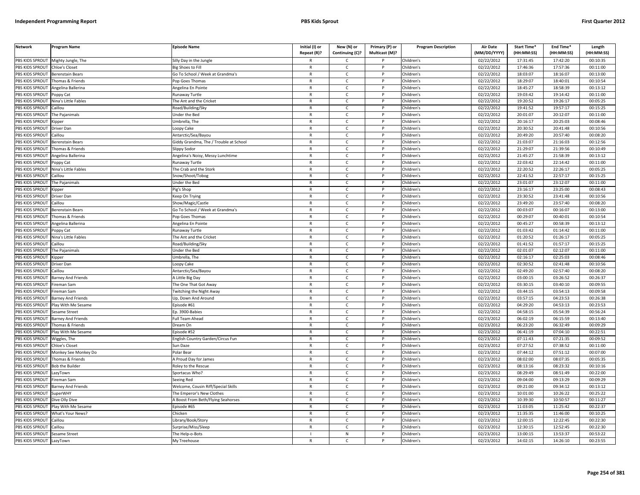| <b>Network</b>  | <b>Program Name</b>       | <b>Episode Name</b>                    | Initial (I) or<br>Repeat (R)? | New (N) or<br>Continuing (C)? | Primary (P) or<br>Multicast (M)? | <b>Program Description</b> | <b>Air Date</b><br>(MM/DD/YYYY) | Start Time*<br>(HH:MM:SS) | End Time*<br>(HH:MM:SS) | Length<br>(HH:MM:SS) |
|-----------------|---------------------------|----------------------------------------|-------------------------------|-------------------------------|----------------------------------|----------------------------|---------------------------------|---------------------------|-------------------------|----------------------|
| PBS KIDS SPROUT | Mighty Jungle, The        | Silly Day in the Jungle                |                               | $\mathsf{C}$                  |                                  | Children's                 | 02/22/2012                      | 17:31:45                  | 17:42:20                | 00:10:35             |
| PBS KIDS SPROUT | Chloe's Closet            | Big Shoes to Fill                      | $\mathsf{R}$                  | $\mathsf{C}$                  | P                                | Children's                 | 02/22/2012                      | 17:46:36                  | 17:57:36                | 00:11:00             |
| PBS KIDS SPROUT | <b>Berenstain Bears</b>   | Go To School / Week at Grandma's       | $\mathsf{R}$                  | $\mathsf{C}$                  |                                  | Children's                 | 02/22/2012                      | 18:03:07                  | 18:16:07                | 00:13:00             |
| PBS KIDS SPROUT | Thomas & Friends          | Pop Goes Thomas                        | $\mathsf{R}$                  | $\mathsf{C}$                  | P                                | Children's                 | 02/22/2012                      | 18:29:07                  | 18:40:01                | 00:10:54             |
| PBS KIDS SPROUT | Angelina Ballerina        | Angelina En Pointe                     | $\mathsf{R}$                  | C                             |                                  | Children's                 | 02/22/2012                      | 18:45:27                  | 18:58:39                | 00:13:12             |
| PBS KIDS SPROUT | oppy Cat                  | Runaway Turtle                         | $\mathsf{R}$                  | $\mathsf{C}$                  | P                                | Children's                 | 02/22/2012                      | 19:03:42                  | 19:14:42                | 00:11:00             |
| PBS KIDS SPROUT | Nina's Little Fables      | The Ant and the Cricket                | $\mathsf{R}$                  | C                             | P                                | Children's                 | 02/22/2012                      | 19:20:52                  | 19:26:17                | 00:05:25             |
| PBS KIDS SPROUT | Caillou                   | Road/Building/Sky                      | ${\sf R}$                     | $\mathsf{C}$                  | <b>D</b>                         | Children's                 | 02/22/2012                      | 19:41:52                  | 19:57:17                | 00:15:25             |
| PBS KIDS SPROUT | The Pajanimals            | Under the Bed                          | ${\sf R}$                     | $\mathsf{C}$                  | P                                | Children's                 | $\overline{02}/22/2012$         | 20:01:07                  | 20:12:07                | 00:11:00             |
| PBS KIDS SPROUT | .ipper                    | Umbrella, The                          | $\mathsf{R}$                  | $\mathsf{C}$                  |                                  | Children's                 | 02/22/2012                      | 20:16:17                  | 20:25:03                | 00:08:46             |
| PBS KIDS SPROUT | Driver Dan                | Loopy Cake                             | $\mathsf{R}$                  | C                             | P                                | Children's                 | 02/22/2012                      | 20:30:52                  | 20:41:48                | 00:10:56             |
| PBS KIDS SPROUT | Caillou                   | Antarctic/Sea/Bayou                    | $\mathsf{R}$                  | $\mathsf{C}$                  | P                                | Children's                 | 02/22/2012                      | 20:49:20                  | 20:57:40                | 00:08:20             |
| PBS KIDS SPROUT | Berenstain Bears          | Giddy Grandma, The / Trouble at School | $\mathsf{R}$                  | $\mathsf{C}$                  | $\mathsf{P}$                     | Children's                 | 02/22/2012                      | 21:03:07                  | 21:16:03                | 00:12:56             |
| PBS KIDS SPROUT | Thomas & Friends          | Slippy Sodor                           | $\mathsf{R}$                  | C                             | P                                | Children's                 | 02/22/2012                      | 21:29:07                  | 21:39:56                | 00:10:49             |
| PBS KIDS SPROUT | Angelina Ballerina        | Angelina's Noisy, Messy Lunchtime      | $\mathsf{R}$                  | $\mathsf{C}$                  | P                                | Children's                 | 02/22/2012                      | 21:45:27                  | 21:58:39                | 00:13:12             |
| PBS KIDS SPROUT | Poppy Cat                 | <b>Runaway Turtle</b>                  | $\mathsf{R}$                  | $\mathsf{C}$                  | P                                | Children's                 | 02/22/2012                      | 22:03:42                  | 22:14:42                | 00:11:00             |
| PBS KIDS SPROUT | Nina's Little Fables      | The Crab and the Stork                 | $\mathsf{R}$                  | $\mathsf{C}$                  | P                                | Children's                 | 02/22/2012                      | 22:20:52                  | 22:26:17                | 00:05:25             |
| PBS KIDS SPROUT | Caillou                   | Snow/Shoot/Tobog                       | $\mathsf{R}$                  | $\mathsf{C}$                  | P                                | Children's                 | 02/22/2012                      | 22:41:52                  | 22:57:17                | 00:15:25             |
| PBS KIDS SPROUT | The Pajanimals            | Under the Bed                          | $\mathsf{R}$                  | $\mathsf{C}$                  | P                                | Children's                 | 02/22/2012                      | 23:01:07                  | 23:12:07                | 00:11:00             |
| PBS KIDS SPROUT | <b>Kipper</b>             | <sup>2</sup> ig's Shop                 | $\mathsf{R}$                  | $\mathsf{C}$                  | P                                | Children's                 | 02/22/2012                      | 23:16:17                  | 23:25:00                | 00:08:43             |
| PBS KIDS SPROUT | Driver Dan                | (eep On Trying                         | $\mathsf{R}$                  | $\mathsf{C}$                  | P                                | Children's                 | 02/22/2012                      | 23:30:52                  | 23:41:48                | 00:10:56             |
| PBS KIDS SPROUT | Caillou                   | Show/Magic/Castle                      | $\mathsf{R}$                  | $\mathsf{C}$                  |                                  | Children's                 | 02/22/2012                      | 23:49:20                  | 23:57:40                | 00:08:20             |
| PBS KIDS SPROUT | Berenstain Bears          | Go To School / Week at Grandma's       | $\mathsf{R}$                  | $\mathsf{C}$                  | D                                | Children's                 | 02/22/2012                      | 00:03:07                  | 00:16:07                | 00:13:00             |
| PBS KIDS SPROUT | Thomas & Friends          | Pop Goes Thomas                        | $\mathsf{R}$                  | $\mathsf{C}$                  | P                                | Children's                 | 02/22/2012                      | 00:29:07                  | 00:40:01                | 00:10:54             |
| PBS KIDS SPROUT | Angelina Ballerina        | Angelina En Pointe                     | $\mathsf{R}$                  | $\mathsf{C}$                  |                                  | Children's                 | 02/22/2012                      | 00:45:27                  | 00:58:39                | 00:13:12             |
| PBS KIDS SPROUT | Poppy Cat                 | Runaway Turtle                         | $\mathsf{R}$                  | C                             | P                                | Children's                 | 02/22/2012                      | 01:03:42                  | 01:14:42                | 00:11:00             |
| PBS KIDS SPROUT | Nina's Little Fables      | The Ant and the Cricket                | $\mathsf{R}$                  | $\mathsf{C}$                  |                                  | Children's                 | 02/22/2012                      | 01:20:52                  | 01:26:17                | 00:05:25             |
| PBS KIDS SPROUT | Caillou                   | Road/Building/Sky                      | ${\sf R}$                     | $\mathsf{C}$                  | P                                | Children's                 | 02/22/2012                      | 01:41:52                  | 01:57:17                | 00:15:25             |
| PBS KIDS SPROUT | The Pajanimals            | <b>Jnder the Bed</b>                   | R                             | $\mathsf{C}$                  |                                  | Children's                 | 02/22/2012                      | 02:01:07                  | 02:12:07                | 00:11:00             |
| PBS KIDS SPROUT | <b>Kipper</b>             | Umbrella, The                          | $\mathsf{R}$                  | C                             | P                                | Children's                 | 02/22/2012                      | 02:16:17                  | 02:25:03                | 00:08:46             |
| PBS KIDS SPROUT | Driver Dan                | Loopy Cake                             | $\mathsf{R}$                  | C                             | P                                | Children's                 | 02/22/2012                      | 02:30:52                  | 02:41:48                | 00:10:56             |
| PBS KIDS SPROUT | Caillou                   | Antarctic/Sea/Bayou                    | $\mathsf{R}$                  | $\mathsf{C}$                  | $\mathsf{P}$                     | Children's                 | 02/22/2012                      | 02:49:20                  | 02:57:40                | 00:08:20             |
| PBS KIDS SPROUT | <b>Barney And Friends</b> | A Little Big Day                       | $\mathsf{R}$                  | $\mathsf{C}$                  | P                                | Children's                 | 02/22/2012                      | 03:00:15                  | 03:26:52                | 00:26:37             |
| PBS KIDS SPROUT | Fireman Sam               | The One That Got Away                  | $\mathsf{R}$                  | $\mathsf{C}$                  | P                                | Children's                 | 02/22/2012                      | 03:30:15                  | 03:40:10                | 00:09:55             |
| PBS KIDS SPROUT | Fireman Sam               | <b>Twitching the Night Away</b>        | $\mathsf{R}$                  | $\mathsf{C}$                  | P                                | Children's                 | 02/22/2012                      | 03:44:15                  | 03:54:13                | 00:09:58             |
| PBS KIDS SPROUT | Barney And Friends        | Up, Down And Around                    | $\mathsf{R}$                  | $\mathsf{C}$                  | P                                | Children's                 | 02/22/2012                      | 03:57:15                  | 04:23:53                | 00:26:38             |
| PBS KIDS SPROUT | Play With Me Sesame       | Episode #61                            | $\mathsf{R}$                  | C                             |                                  | Children's                 | 02/22/2012                      | 04:29:20                  | 04:53:13                | 00:23:53             |
| PBS KIDS SPROUT | Sesame Street             | Ep. 3900-Babies                        | $\mathsf{R}$                  | $\mathsf{C}$                  | P                                | Children's                 | 02/22/2012                      | 04:58:15                  | 05:54:39                | 00:56:24             |
| PBS KIDS SPROUT | <b>Barney And Friends</b> | Full Team Ahead                        | $\mathsf{R}$                  | $\mathsf{C}$                  | P                                | Children's                 | 02/23/2012                      | 06:02:19                  | 06:15:59                | 00:13:40             |
| PBS KIDS SPROUT | Thomas & Friends          | Dream On                               | $\mathsf{R}$                  | $\mathsf{C}$                  | P                                | Children's                 | 02/23/2012                      | 06:23:20                  | 06:32:49                | 00:09:29             |
| PBS KIDS SPROUT | Play With Me Sesame       | Episode #52                            | $\mathsf{R}$                  | $\mathsf{C}$                  | P                                | Children's                 | 02/23/2012                      | 06:41:19                  | 07:04:10                | 00:22:51             |
| PBS KIDS SPROUT | <i>N</i> iggles, The      | English Country Garden/Circus Fun      | $\mathsf{R}$                  | $\mathsf{C}$                  |                                  | Children's                 | 02/23/2012                      | 07:11:43                  | 07:21:35                | 00:09:52             |
| PBS KIDS SPROUT | <b>Chloe's Closet</b>     | Sun Daze                               | $\mathsf{R}$                  | $\mathsf{C}$                  | P                                | Children's                 | 02/23/2012                      | 07:27:52                  | 07:38:52                | 00:11:00             |
| PBS KIDS SPROUT | Monkey See Monkey Do      | Polar Bear                             | $\mathsf{R}$                  | $\mathsf{C}$                  | P                                | Children's                 | 02/23/2012                      | 07:44:12                  | 07:51:12                | 00:07:00             |
| PBS KIDS SPROUT | Thomas & Friends          | A Proud Day for James                  | $\mathsf{R}$                  | C                             | P                                | Children's                 | 02/23/2012                      | 08:02:00                  | 08:07:35                | 00:05:35             |
| PBS KIDS SPROUT | <b>Bob the Builder</b>    | Roley to the Rescue                    | $\mathsf{R}$                  | $\mathsf{C}$                  | P                                | Children's                 | 02/23/2012                      | 08:13:16                  | 08:23:32                | 00:10:16             |
| PBS KIDS SPROUT | LazyTown                  | Sportacus Who?                         | $\mathsf{R}$                  | $\mathsf{C}$                  | P                                | Children's                 | 02/23/2012                      | 08:29:49                  | 08:51:49                | 00:22:00             |
| PBS KIDS SPROUT | Fireman Sam               | Seeing Red                             | $\mathsf{R}$                  | $\mathsf{C}$                  | P                                | Children's                 | 02/23/2012                      | 09:04:00                  | 09:13:29                | 00:09:29             |
| PBS KIDS SPROUT | <b>Barney And Friends</b> | Welcome, Cousin Riff/Special Skills    | $\mathsf{R}$                  | C                             | P                                | Children's                 | 02/23/2012                      | 09:21:00                  | 09:34:12                | 00:13:12             |
| PBS KIDS SPROUT | <b>SuperWHY</b>           | The Emperor's New Clothes              | $\mathsf{R}$                  | C                             | P                                | Children's                 | 02/23/2012                      | 10:01:00                  | 10:26:22                | 00:25:22             |
| PBS KIDS SPROUT | Dive Olly Dive            | A Boost From Beth/Flying Seahorses     | $\mathsf{R}$                  | $\mathsf{C}$                  | P                                | Children's                 | $\overline{02}/23/2012$         | 10:39:30                  | 10:50:57                | 00:11:27             |
| PBS KIDS SPROUT | Play With Me Sesame       | Episode #65                            | $\mathsf{R}$                  | $\mathsf{C}$                  |                                  | Children's                 | 02/23/2012                      | 11:03:05                  | 11:25:42                | 00:22:37             |
| PBS KIDS SPROUT | What's Your News?         | Chicken                                | $\mathsf{R}$                  | $\mathsf{C}$                  | <sub>D</sub>                     | Children's                 | 02/23/2012                      | 11:35:35                  | 11:46:00                | 00:10:25             |
| PBS KIDS SPROUT | Caillou                   |                                        | R                             | $\mathsf{C}$                  | P                                | Children's                 | 02/23/2012                      | 12:00:15                  | 12:22:45                | 00:22:30             |
| PBS KIDS SPROUT | `aillou                   | Library/Book/Story                     | $\mathsf{R}$                  | $\mathsf{C}$                  |                                  | Children's                 | 02/23/2012                      | 12:30:15                  | 12:52:45                | 00:22:30             |
| PBS KIDS SPROUT |                           | Surprise/Miss/Sleep                    |                               | ${\sf N}$                     | P                                | Children's                 | 02/23/2012                      | 13:00:15                  | 13:53:37                | 00:53:22             |
| PBS KIDS SPROUT | Sesame Street<br>LazyTown | The Help-o-Bots<br>My Treehouse        | $\mathsf{R}$                  | $\mathsf{C}$                  | D                                | Children's                 | 02/23/2012                      | 14:02:15                  | 14:26:10                | 00:23:55             |
|                 |                           |                                        |                               |                               |                                  |                            |                                 |                           |                         |                      |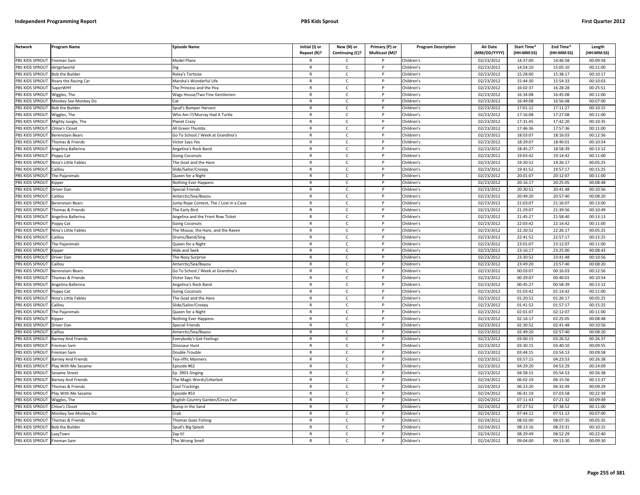| <b>Network</b>        | Program Name              | <b>Episode Name</b>                    | Initial (I) or<br>Repeat (R)? | New (N) or<br>Continuing (C)? | Primary (P) or<br>Multicast (M)? | <b>Program Description</b> | <b>Air Date</b><br>(MM/DD/YYYY) | <b>Start Time*</b><br>(HH:MM:SS) | End Time*<br>(HH:MM:SS) | Length<br>(HH:MM:SS) |
|-----------------------|---------------------------|----------------------------------------|-------------------------------|-------------------------------|----------------------------------|----------------------------|---------------------------------|----------------------------------|-------------------------|----------------------|
| PBS KIDS SPROUT       | Fireman Sam               | <b>Model Plane</b>                     |                               | C                             |                                  | Children's                 | 02/23/2012                      | 14:37:00                         | 14:46:58                | 00:09:58             |
| PBS KIDS SPROUT       | dirtgirlworld             |                                        | $\mathsf{R}$                  | $\mathsf{C}$                  | P                                | Children's                 | 02/23/2012                      | 14:54:10                         | 15:05:10                | 00:11:00             |
| PBS KIDS SPROUT       | <b>Bob the Builder</b>    | oley's Tortoise                        | $\mathsf{R}$                  | $\mathsf{C}$                  | P                                | Children's                 | 02/23/2012                      | 15:28:00                         | 15:38:17                | 00:10:17             |
| PBS KIDS SPROUT       | Roary the Racing Car      | Marsha's Wonderful Life                | $\mathsf{R}$                  | $\mathsf{C}$                  | P                                | Children's                 | 02/23/2012                      | 15:44:30                         | 15:54:33                | 00:10:03             |
| PBS KIDS SPROUT       | <b>SuperWHY</b>           | The Princess and the Pea               | $\mathsf{R}$                  | $\mathsf{C}$                  | P                                | Children's                 | 02/23/2012                      | 16:02:37                         | 16:28:28                | 00:25:51             |
| PBS KIDS SPROUT       | Wiggles, The              | Wags House/Two Fine Gentlemen          | $\mathsf{R}$                  | $\mathsf{C}$                  | P                                | Children's                 | 02/23/2012                      | 16:34:08                         | 16:45:08                | 00:11:00             |
| PBS KIDS SPROUT       | Monkey See Monkey Do      |                                        | $\mathsf{R}$                  | C                             | P                                | Children's                 | 02/23/2012                      | 16:49:08                         | 16:56:08                | 00:07:00             |
| PBS KIDS SPROUT       | <b>Bob the Builder</b>    | Spud's Bumper Harvest                  | $\mathsf{R}$                  | $\mathsf{C}$                  | P                                | Children's                 | 02/23/2012                      | 17:01:12                         | 17:11:27                | 00:10:15             |
| PBS KIDS SPROUT       | Wiggles, The              | Who Am I?/Murray Had A Turtle          | R                             | C                             |                                  | Children's                 | 02/23/2012                      | 17:16:08                         | 17:27:08                | 00:11:00             |
| PBS KIDS SPROUT       | Mighty Jungle, The        | lanet Crazy                            | $\mathsf{R}$                  | $\mathsf{C}$                  | P                                | Children's                 | 02/23/2012                      | 17:31:45                         | 17:42:20                | 00:10:35             |
| <b>BS KIDS SPROUT</b> | Chloe's Closet            | All Green Thumbs                       | R                             | $\mathsf{C}$                  |                                  | Children's                 | 02/23/2012                      | 17:46:36                         | 17:57:36                | 00:11:00             |
| PBS KIDS SPROUT       | Berenstain Bears          | Go To School / Week at Grandma's       | $\mathsf{R}$                  | $\mathsf{C}$                  |                                  | Children's                 | 02/23/2012                      | 18:03:07                         | 18:16:03                | 00:12:56             |
| PBS KIDS SPROUT       | homas & Friends           | Victor Says Yes                        | R                             | C                             | P                                | Children's                 | 02/23/2012                      | 18:29:07                         | 18:40:01                | 00:10:54             |
| PBS KIDS SPROUT       | ngelina Ballerina         | <b>Ingelina's Rock Band</b>            | $\mathsf{R}$                  | $\mathsf{C}$                  |                                  | Children's                 | 02/23/2012                      | 18:45:27                         | 18:58:39                | 00:13:12             |
| PBS KIDS SPROUT       | oppy Cat                  | <b>Going Coconuts</b>                  | $\mathsf{R}$                  | $\mathsf{C}$                  | P                                | Children's                 | 02/23/2012                      | 19:03:42                         | 19:14:42                | 00:11:00             |
| PBS KIDS SPROUT       | Nina's Little Fables      | The Goat and the Hare                  | $\mathsf{R}$                  | $\mathsf{C}$                  |                                  | Children's                 | 02/23/2012                      | 19:20:52                         | 19:26:17                | 00:05:25             |
| PBS KIDS SPROUT       | Caillou                   | Slide/Sailor/Creepy                    | R                             | $\mathsf{C}$                  | P                                | Children's                 | 02/23/2012                      | 19:41:52                         | 19:57:17                | 00:15:25             |
| PBS KIDS SPROUT       | he Pajanimals             | <b>Queen for a Night</b>               | $\mathsf{R}$                  | $\mathsf{C}$                  | P                                | Children's                 | 02/23/2012                      | 20:01:07                         | 20:12:07                | 00:11:00             |
| PBS KIDS SPROUT       | Kipper                    | Nothing Ever Happens                   | $\mathsf{R}$                  | $\mathsf{C}$                  | P                                | Children's                 | 02/23/2012                      | 20:16:17                         | 20:25:05                | 00:08:48             |
| PBS KIDS SPROUT       | Driver Dan                | Special Friends                        | $\mathsf{R}$                  | $\mathsf{C}$                  | P                                | Children's                 | 02/23/2012                      | 20:30:52                         | 20:41:48                | 00:10:56             |
| PBS KIDS SPROUT       | Caillou                   | Antarctic/Sea/Bayou                    | R                             | $\mathsf{C}$                  | P                                | Children's                 | 02/23/2012                      | 20:49:20                         | 20:57:40                | 00:08:20             |
| PBS KIDS SPROUT       | <b>Berenstain Bears</b>   | ump Rope Contest, The / Lost in a Cave | $\mathsf{R}$                  | C                             | P                                | Children's                 | 02/23/2012                      | 21:03:07                         | 21:16:07                | 00:13:00             |
| PBS KIDS SPROUT       | Thomas & Friends          | The Early Bird                         | $\mathsf{R}$                  | $\mathsf{C}$                  | P                                | Children's                 | 02/23/2012                      | 21:29:07                         | 21:39:56                | 00:10:49             |
| PBS KIDS SPROUT       | Angelina Ballerina        | Angelina and the Front Row Ticket      | R                             | Ċ                             |                                  | Children's                 | 02/23/2012                      | 21:45:27                         | 21:58:40                | 00:13:13             |
| PBS KIDS SPROUT       | oppy Cat                  | Going Coconuts                         | $\mathsf{R}$                  | $\mathsf{C}$                  | P                                | Children's                 | $\sqrt{02}/23/2012$             | 22:03:42                         | 22:14:42                | 00:11:00             |
| <b>BS KIDS SPROUT</b> | Vina's Little Fables      | he Mouse, the Hare, and the Raven      | R                             | C                             |                                  | Children's                 | 02/23/2012                      | 22:20:52                         | 22:26:17                | 00:05:25             |
| PBS KIDS SPROUT       | aillou                    | Drums/Band/Sing                        | R                             | $\mathsf{C}$                  |                                  | Children's                 | 02/23/2012                      | 22:41:52                         | 22:57:17                | 00:15:25             |
| PBS KIDS SPROUT       | The Pajanimals            | Queen for a Night                      | R                             | C                             | P                                | Children's                 | 02/23/2012                      | 23:01:07                         | 23:12:07                | 00:11:00             |
| PBS KIDS SPROUT       | ipper                     | lide and Seek                          | $\mathsf{R}$                  | $\mathsf{C}$                  | P                                | Children's                 | 02/23/2012                      | 23:16:17                         | 23:25:00                | 00:08:43             |
| PBS KIDS SPROUT       | Driver Dan                | The Nosy Surprise                      | $\mathsf{R}$                  | $\mathsf{C}$                  | P                                | Children's                 | 02/23/2012                      | 23:30:52                         | 23:41:48                | 00:10:56             |
| PBS KIDS SPROUT       | aillou                    | Antarctic/Sea/Bayou                    | $\mathsf{R}$                  | $\mathsf{C}$                  | D                                | Children's                 | 02/23/2012                      | 23:49:20                         | 23:57:40                | 00:08:20             |
| PBS KIDS SPROUT       | Berenstain Bears          | Go To School / Week at Grandma's       | $\mathsf{R}$                  | $\mathsf{C}$                  | P                                | Children's                 | $\sqrt{02}/23/2012$             | 00:03:07                         | 00:16:03                | 00:12:56             |
| PBS KIDS SPROUT       | homas & Friends           | lictor Says Yes                        | $\mathsf{R}$                  | $\mathsf{C}$                  | P                                | Children's                 | 02/23/2012                      | 00:29:07                         | 00:40:01                | 00:10:54             |
| PBS KIDS SPROUT       | Angelina Ballerina        | Angelina's Rock Band                   | $\mathsf{R}$                  | $\mathsf{C}$                  | $\mathsf{P}$                     | Children's                 | 02/23/2012                      | 00:45:27                         | 00:58:39                | 00:13:12             |
| PBS KIDS SPROUT       | oppy Cat                  | <b>Going Coconuts</b>                  | $\mathsf{R}$                  | C                             |                                  | Children's                 | 02/23/2012                      | 01:03:42                         | 01:14:42                | 00:11:00             |
| PBS KIDS SPROUT       | Nina's Little Fables      | The Goat and the Hare                  | R                             | $\mathsf{C}$                  | P                                | Children's                 | 02/23/2012                      | 01:20:52                         | 01:26:17                | 00:05:25             |
| PBS KIDS SPROUT       | aillou                    | Slide/Sailor/Creepy                    | R                             | C                             | P                                | Children's                 | 02/23/2012                      | 01:41:52                         | 01:57:17                | 00:15:25             |
| PBS KIDS SPROUT       | The Pajanimals            | Queen for a Night                      | $\mathsf{R}$                  | $\mathsf{C}$                  | P                                | Children's                 | 02/23/2012                      | 02:01:07                         | 02:12:07                | 00:11:00             |
| PBS KIDS SPROUT       | Kipper                    | Nothing Ever Happens                   | R                             | Ċ                             |                                  | Children's                 | 02/23/2012                      | 02:16:17                         | 02:25:05                | 00:08:48             |
| PBS KIDS SPROUT       | Driver Dan                | Special Friends                        | $\mathsf{R}$                  | $\mathsf{C}$                  | P                                | Children's                 | 02/23/2012                      | 02:30:52                         | 02:41:48                | 00:10:56             |
| <b>BS KIDS SPROUT</b> | aillou                    | Antarctic/Sea/Bayou                    | R                             | c                             |                                  | Children's                 | 02/23/2012                      | 02:49:20                         | 02:57:40                | 00:08:20             |
| PBS KIDS SPROUT       | Barney And Friends        | verybody's Got Feelings                | $\mathsf{R}$                  | $\mathsf{C}$                  |                                  | Children's                 | 02/23/2012                      | 03:00:15                         | 03:26:52                | 00:26:37             |
| PBS KIDS SPROUT       | ireman Sam                | )inosaur Hunt                          | R                             | C                             | P                                | Children's                 | 02/23/2012                      | 03:30:15                         | 03:40:10                | 00:09:55             |
| PBS KIDS SPROUT       | ireman Sam                | Oouble Trouble                         | $\mathsf{R}$                  | $\mathsf{C}$                  | P                                | Children's                 | 02/23/2012                      | 03:44:15                         | 03:54:13                | 00:09:58             |
| PBS KIDS SPROUT       | <b>Barney And Friends</b> | <b>Fea-riffic Manners</b>              | $\mathsf{R}$                  | $\mathsf{C}$                  | P                                | Children's                 | 02/23/2012                      | 03:57:15                         | 04:23:53                | 00:26:38             |
| PBS KIDS SPROUT       | Play With Me Sesame       | pisode #62                             | $\mathsf{R}$                  | $\mathsf{C}$                  | Þ                                | Children's                 | 02/23/2012                      | 04:29:20                         | 04:53:29                | 00:24:09             |
| PBS KIDS SPROUT       | Sesame Street             | Ep. 3901-Singing                       | $\mathsf{R}$                  | $\mathsf{C}$                  | P                                | Children's                 | 02/23/2012                      | 04:58:15                         | 05:54:53                | 00:56:38             |
| PBS KIDS SPROUT       |                           |                                        | $\mathsf{R}$                  | $\mathsf{C}$                  | P                                | Children's                 | 02/24/2012                      | 06:02:19                         | 06:15:56                | 00:13:37             |
|                       | Barney And Friends        | he Magic Words/Litterbot               |                               |                               | P                                |                            |                                 |                                  |                         |                      |
| PBS KIDS SPROUT       | Thomas & Friends          | Cool Truckings                         | R<br>$\mathsf{R}$             | $\mathsf{C}$<br>$\mathsf{C}$  |                                  | Children's                 | 02/24/2012                      | 06:23:20<br>06:41:19             | 06:32:49                | 00:09:29             |
| PBS KIDS SPROUT       | lay With Me Sesame        | pisode #53                             |                               |                               |                                  | Children's                 | 02/24/2012                      |                                  | 07:03:58                | 00:22:39             |
| PBS KIDS SPROUT       | Wiggles, The              | inglish Country Garden/Circus Fun      | R                             | $\mathsf{C}$                  | P                                | Children's                 | 02/24/2012                      | 07:11:43                         | 07:21:32                | 00:09:49             |
| PBS KIDS SPROUT       | hloe's Closet             | Bump in the Sand                       | $\mathsf{R}$                  | $\mathsf{C}$                  | P                                | Children's                 | 02/24/2012                      | 07:27:52                         | 07:38:52                | 00:11:00             |
| PBS KIDS SPROUT       | Monkey See Monkey Do      | Crab                                   | $\mathsf{R}$                  | $\mathsf{C}$                  | P                                | Children's                 | 02/24/2012                      | 07:44:12                         | 07:51:12                | 00:07:00             |
| PBS KIDS SPROUT       | Thomas & Friends          | homas Goes Fishing                     | R                             | Ċ                             |                                  | Children's                 | 02/24/2012                      | 08:02:00                         | 08:07:35                | 00:05:35             |
| PBS KIDS SPROUT       | <b>Bob the Builder</b>    | Spud's Big Splash                      | $\mathsf{R}$                  | $\mathsf{C}$                  | P                                | Children's                 | 02/24/2012                      | 08:13:16                         | 08:23:31                | 00:10:15             |
| PBS KIDS SPROUT       | azyTown                   | Zao It!                                | R                             | C                             |                                  | Children's                 | 02/24/2012                      | 08:29:49                         | 08:52:29                | 00:22:40             |
| PBS KIDS SPROUT       | Fireman Sam               | The Wrong Smell                        | R                             | $\mathsf{C}$                  |                                  | Children's                 | 02/24/2012                      | 09:04:00                         | 09:13:30                | 00:09:30             |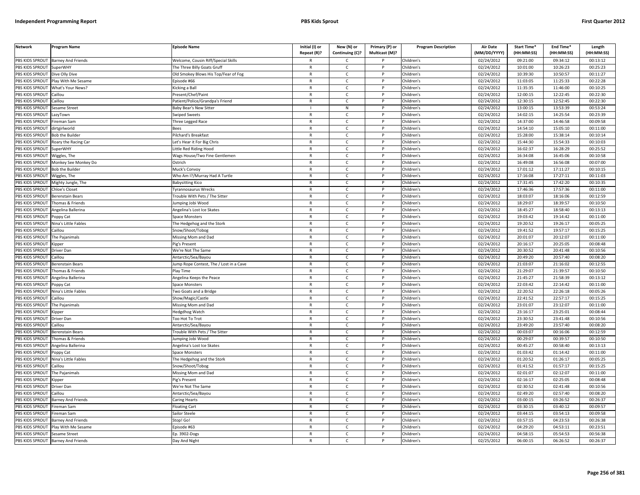| <b>Network</b>         | <b>Program Name</b>                | <b>Episode Name</b>                    | Initial (I) or | New (N) or      | Primary (P) or | <b>Program Description</b> | <b>Air Date</b> | Start Time* | End Time*  | Length     |
|------------------------|------------------------------------|----------------------------------------|----------------|-----------------|----------------|----------------------------|-----------------|-------------|------------|------------|
|                        |                                    |                                        | Repeat (R)?    | Continuing (C)? | Multicast (M)? |                            | (MM/DD/YYYY)    | (HH:MM:SS)  | (HH:MM:SS) | (HH:MM:SS) |
| PBS KIDS SPROUT        | <b>Barney And Friends</b>          | Welcome, Cousin Riff/Special Skills    | R              | Ċ               |                | Children's                 | 02/24/2012      | 09:21:00    | 09:34:12   | 00:13:12   |
| PBS KIDS SPROUT        | SuperWHY                           | The Three Billy Goats Gruff            | $\mathsf{R}$   | $\mathsf{C}$    | P              | Children's                 | 02/24/2012      | 10:01:00    | 10:26:23   | 00:25:23   |
| <b>BS KIDS SPROUT</b>  | Dive Olly Dive                     | Old Smokey Blows His Top/Fear of Fog   | R              | $\mathsf{C}$    |                | Children's                 | 02/24/2012      | 10:39:30    | 10:50:57   | 00:11:27   |
| PBS KIDS SPROUT        | Play With Me Sesame                | pisode #66                             | $\mathsf{R}$   | $\mathsf{C}$    | Þ              | Children's                 | 02/24/2012      | 11:03:05    | 11:25:33   | 00:22:28   |
| PBS KIDS SPROUT        | What's Your News?                  | <b>Kicking a Bal</b>                   | R              | C               |                | Children's                 | 02/24/2012      | 11:35:35    | 11:46:00   | 00:10:25   |
| PBS KIDS SPROUT        | aillou                             | resent/Chef/Paint                      | $\mathsf{R}$   | $\mathsf{C}$    | P              | Children's                 | 02/24/2012      | 12:00:15    | 12:22:45   | 00:22:30   |
| PBS KIDS SPROUT        | Caillou                            | Patient/Police/Grandpa's Friend        | R              | $\mathsf{C}$    | P              | Children's                 | 02/24/2012      | 12:30:15    | 12:52:45   | 00:22:30   |
| PBS KIDS SPROUT        | esame Street                       | Baby Bear's New Sitter                 |                | ${\sf N}$       | P              | Children's                 | 02/24/2012      | 13:00:15    | 13:53:39   | 00:53:24   |
| PBS KIDS SPROUT        | LazyTown                           | Swiped Sweets                          | $\mathsf{R}$   | $\mathsf{C}$    | P              | Children's                 | 02/24/2012      | 14:02:15    | 14:25:54   | 00:23:39   |
| PBS KIDS SPROUT        | ireman Sam                         | hree Legged Race                       | $\mathsf{R}$   | $\mathsf{C}$    |                | Children's                 | 02/24/2012      | 14:37:00    | 14:46:58   | 00:09:58   |
| PBS KIDS SPROUT        | dirtgirlworld                      | Bees                                   | $\mathsf{R}$   | $\mathsf{C}$    | P              | Children's                 | 02/24/2012      | 14:54:10    | 15:05:10   | 00:11:00   |
| PBS KIDS SPROUT        | <b>Bob the Builder</b>             | Pilchard's Breakfast                   | $\mathsf{R}$   | $\mathsf{C}$    |                | Children's                 | 02/24/2012      | 15:28:00    | 15:38:14   | 00:10:14   |
| PBS KIDS SPROUT        | Roary the Racing Car               | Let's Hear it For Big Chris            | $\mathsf{R}$   | $\mathsf{C}$    | P              | Children's                 | 02/24/2012      | 15:44:30    | 15:54:33   | 00:10:03   |
| PBS KIDS SPROUT        | SuperWHY                           | ittle Red Riding Hood                  | R              | $\mathsf{C}$    |                | Children's                 | 02/24/2012      | 16:02:37    | 16:28:29   | 00:25:52   |
| PBS KIDS SPROUT        | Wiggles, The                       | Wags House/Two Fine Gentlemen          | $\mathsf{R}$   | $\mathsf{C}$    | P              | Children's                 | 02/24/2012      | 16:34:08    | 16:45:06   | 00:10:58   |
| PBS KIDS SPROUT        | Monkey See Monkey Do               | Ostrich                                | R              | C               | P              | Children's                 | 02/24/2012      | 16:49:08    | 16:56:08   | 00:07:00   |
| PBS KIDS SPROUT        | <b>Bob the Builder</b>             | Muck's Convoy                          | R              | $\mathsf{C}$    | P              | Children's                 | 02/24/2012      | 17:01:12    | 17:11:27   | 00:10:15   |
| PBS KIDS SPROUT        | Wiggles, The                       | Who Am I?/Murray Had A Turtle          | $\mathsf{R}$   | $\mathsf{C}$    | P              | Children's                 | 02/24/2012      | 17:16:08    | 17:27:11   | 00:11:03   |
| PBS KIDS SPROUT        | Mighty Jungle, The                 | <b>Babysitting Kico</b>                | $\mathsf{R}$   | $\mathsf{C}$    | P              | Children's                 | 02/24/2012      | 17:31:45    | 17:42:20   | 00:10:35   |
| PBS KIDS SPROUT        | Chloe's Closet                     | yrannosaurus Wrecks                    | R              | Ċ               |                | Children's                 | 02/24/2012      | 17:46:36    | 17:57:36   | 00:11:00   |
| PBS KIDS SPROUT        | Berenstain Bears                   | rouble With Pets / The Sitter          | $\mathsf{R}$   | $\mathsf{C}$    | D              | Children's                 | 02/24/2012      | 18:03:07    | 18:16:06   | 00:12:59   |
| <b>BS KIDS SPROUT</b>  | Thomas & Friends                   | umping Jobi Wood                       | R              | C               |                | Children's                 | 02/24/2012      | 18:29:07    | 18:39:57   | 00:10:50   |
| PBS KIDS SPROUT        | <b>Ingelina Ballerina</b>          | Angelina's Lost Ice Skates             | $\mathsf{R}$   | $\mathsf{C}$    | Þ              | Children's                 | 02/24/2012      | 18:45:27    | 18:58:40   | 00:13:13   |
| PBS KIDS SPROUT        | oppy Cat                           | Space Monsters                         | R              | $\mathsf{C}$    | P              | Children's                 | 02/24/2012      | 19:03:42    | 19:14:42   | 00:11:00   |
| PBS KIDS SPROUT        | <b>lina's Little Fables</b>        | he Hedgehog and the Stork              | $\mathsf{R}$   | $\mathsf{C}$    |                | Children's                 | 02/24/2012      | 19:20:52    | 19:26:17   | 00:05:25   |
| PBS KIDS SPROUT        | `aillou                            | Snow/Shoot/Tobog                       | $\mathsf{R}$   | $\mathsf{C}$    | P              | Children's                 | 02/24/2012      | 19:41:52    | 19:57:17   | 00:15:25   |
| PBS KIDS SPROUT        | The Pajanimals                     | Missing Mom and Dad                    | R              | $\mathsf{C}$    |                | Children's                 | 02/24/2012      | 20:01:07    | 20:12:07   | 00:11:00   |
| PBS KIDS SPROUT        | Kipper                             | Pig's Present                          | $\mathsf{R}$   | $\mathsf{C}$    | P              | Children's                 | 02/24/2012      | 20:16:17    | 20:25:05   | 00:08:48   |
| PBS KIDS SPROUT        | Driver Dan                         | We're Not The Same                     | $\mathsf{R}$   | $\mathsf{C}$    |                | Children's                 | 02/24/2012      | 20:30:52    | 20:41:48   | 00:10:56   |
| PBS KIDS SPROUT        | Caillou                            | Antarctic/Sea/Bayou                    | $\mathsf{R}$   | $\mathsf{C}$    | P              | Children's                 | 02/24/2012      | 20:49:20    | 20:57:40   | 00:08:20   |
| PBS KIDS SPROUT        | Berenstain Bears                   | ump Rope Contest, The / Lost in a Cave | R              | $\mathsf{C}$    | P              | Children's                 | 02/24/2012      | 21:03:07    | 21:16:02   | 00:12:55   |
| PBS KIDS SPROUT        | homas & Friends                    | Play Time                              | $\mathsf{R}$   | $\mathsf{C}$    | $\mathsf{P}$   | Children's                 | 02/24/2012      | 21:29:07    | 21:39:57   | 00:10:50   |
| PBS KIDS SPROUT        | Angelina Ballerina                 | Angelina Keeps the Peace               | $\mathsf{R}$   | $\mathsf{C}$    | P              | Children's                 | 02/24/2012      | 21:45:27    | 21:58:39   | 00:13:12   |
| PBS KIDS SPROUT        | oppy Cat                           | Space Monsters                         | $\mathsf{R}$   | $\mathsf{C}$    | P              | Children's                 | 02/24/2012      | 22:03:42    | 22:14:42   | 00:11:00   |
| PBS KIDS SPROUT        | Nina's Little Fables               | Two Goats and a Bridge                 | R              | $\mathsf{C}$    | P              | Children's                 | 02/24/2012      | 22:20:52    | 22:26:18   | 00:05:26   |
| PBS KIDS SPROUT        | aillou                             | Show/Magic/Castle                      | $\mathsf{R}$   | $\mathsf{C}$    | P              | Children's                 | 02/24/2012      | 22:41:52    | 22:57:17   | 00:15:25   |
| <b>PBS KIDS SPROUT</b> | The Paianimals                     | Missing Mom and Dad                    | R              | Ċ               |                | Children's                 | 02/24/2012      | 23:01:07    | 23:12:07   | 00:11:00   |
| PBS KIDS SPROUT        | <b>Kipper</b>                      | ledgdhog Watch                         | $\mathsf{R}$   | $\mathsf{C}$    | D              | Children's                 | 02/24/2012      | 23:16:17    | 23:25:01   | 00:08:44   |
| PBS KIDS SPROUT        | Driver Dan                         | oo Hot To Trot                         | R              | C               |                | Children's                 | 02/24/2012      | 23:30:52    | 23:41:48   | 00:10:56   |
| PBS KIDS SPROUT        | aillou                             | Antarctic/Sea/Bayou                    | $\mathsf{R}$   | $\mathsf{C}$    |                | Children's                 | 02/24/2012      | 23:49:20    | 23:57:40   | 00:08:20   |
| <b>BS KIDS SPROUT</b>  | Berenstain Bears                   | rouble With Pets / The Sitter          | $\mathsf{R}$   | $\mathsf{C}$    | P              | Children's                 | 02/24/2012      | 00:03:07    | 00:16:06   | 00:12:59   |
| PBS KIDS SPROUT        | homas & Friends                    | umping Jobi Wood                       | $\mathsf{R}$   | $\mathsf{C}$    | Þ              | Children's                 | 02/24/2012      | 00:29:07    | 00:39:57   | 00:10:50   |
| PBS KIDS SPROUT        | Angelina Ballerina                 | Angelina's Lost Ice Skates             | $\mathsf{R}$   | $\mathsf{C}$    | P              | Children's                 | 02/24/2012      | 00:45:27    | 00:58:40   | 00:13:13   |
| PBS KIDS SPROUT        | oppy Cat                           | pace Monsters                          | $\mathsf{R}$   | $\mathsf{C}$    | D              | Children's                 | 02/24/2012      | 01:03:42    | 01:14:42   | 00:11:00   |
| PBS KIDS SPROUT        | Nina's Little Fables               | The Hedgehog and the Stork             | $\mathsf{R}$   | $\mathsf{C}$    | P              | Children's                 | 02/24/2012      | 01:20:52    | 01:26:17   | 00:05:25   |
| PBS KIDS SPROUT        | aillou                             | inow/Shoot/Tobog                       | $\mathsf{R}$   | $\mathsf{C}$    | D              | Children's                 | 02/24/2012      | 01:41:52    | 01:57:17   | 00:15:25   |
| PBS KIDS SPROUT        | The Pajanimals                     | Missing Mom and Dad                    | R              | $\mathsf{C}$    | P              | Children's                 | 02/24/2012      | 02:01:07    | 02:12:07   | 00:11:00   |
| PBS KIDS SPROUT        | ipper                              | ig's Present                           | $\mathsf{R}$   | $\mathsf{C}$    | P              | Children's                 | 02/24/2012      | 02:16:17    | 02:25:05   | 00:08:48   |
| PBS KIDS SPROUT        | Driver Dan                         | We're Not The Same                     | $\mathsf{R}$   | $\mathsf{C}$    | $\mathsf{P}$   | Children's                 | 02/24/2012      | 02:30:52    | 02:41:48   | 00:10:56   |
| PBS KIDS SPROUT        | aillou                             | Antarctic/Sea/Bayou                    | $\mathsf{R}$   | C               |                | Children's                 | 02/24/2012      | 02:49:20    | 02:57:40   | 00:08:20   |
| PBS KIDS SPROUT        | <b>Barney And Friends</b>          | Caring Hearts                          | R              | $\mathsf{C}$    | P              | Children's                 | 02/24/2012      | 03:00:15    | 03:26:52   | 00:26:37   |
| PBS KIDS SPROUT        | Fireman Sam                        | loating Cart                           | $\mathsf{R}$   | $\mathsf{C}$    | P              | Children's                 | 02/24/2012      | 03:30:15    | 03:40:12   | 00:09:57   |
| PBS KIDS SPROUT        | ireman Sam                         | Sailor Steele                          | $\mathsf{R}$   | $\mathsf{C}$    | P              | Children's                 | 02/24/2012      | 03:44:15    | 03:54:13   | 00:09:58   |
| PBS KIDS SPROUT        | <b>Barney And Friends</b>          | Stop! Go!                              | R              | Ċ               |                | Children's                 | 02/24/2012      | 03:57:15    | 04:23:53   | 00:26:38   |
| PBS KIDS SPROUT        | Play With Me Sesame                | pisode #63                             | $\mathsf{R}$   | $\mathsf{C}$    | P              | Children's                 | 02/24/2012      | 04:29:20    | 04:53:11   | 00:23:51   |
| PBS KIDS SPROUT        | <b>Sesame Street</b>               | Ep. 3902-Dogs                          | R              | C               |                | Children's                 | 02/24/2012      | 04:58:15    | 05:54:53   | 00:56:38   |
|                        | PBS KIDS SPROUT Barney And Friends | Day And Night                          | R              | $\mathsf{C}$    |                | Children's                 | 02/25/2012      | 06:00:15    | 06:26:52   | 00:26:37   |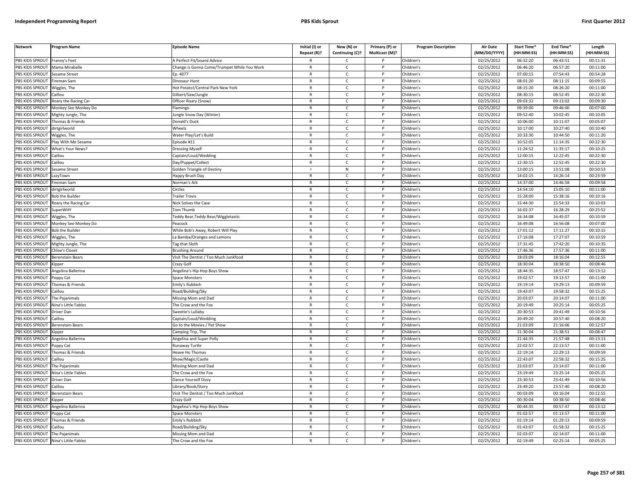| <b>Network</b>         | Program Name           | <b>Episode Name</b>                         | Initial (I) or<br>Repeat (R)? | New (N) or<br>Continuing (C)? | Primary (P) or<br>Multicast (M)? | <b>Program Description</b> | <b>Air Date</b><br>(MM/DD/YYYY) | Start Time*<br>(HH:MM:SS) | End Time*<br>(HH:MM:SS) | Length<br>(HH:MM:SS) |
|------------------------|------------------------|---------------------------------------------|-------------------------------|-------------------------------|----------------------------------|----------------------------|---------------------------------|---------------------------|-------------------------|----------------------|
| PBS KIDS SPROUT        | Franny's Feet          | A Perfect Fit/Sound Advice                  |                               | $\mathsf{C}$                  |                                  | Children's                 | 02/25/2012                      | 06:32:20                  | 06:43:51                | 00:11:31             |
| PBS KIDS SPROUT        | Mama Mirabelle         | Change is Gonna Come/Trumpet While You Work | $\mathsf{R}$                  | $\mathsf{C}$                  | P                                | Children's                 | 02/25/2012                      | 06:46:20                  | 06:57:20                | 00:11:00             |
| PBS KIDS SPROUT        | Sesame Street          | Ep. 4077                                    | $\mathsf{R}$                  | $\mathsf{C}$                  |                                  | Children's                 | 02/25/2012                      | 07:00:15                  | 07:54:43                | 00:54:28             |
| PBS KIDS SPROUT        | Fireman Sam            | Dinosaur Hunt                               | ${\sf R}$                     | $\mathsf{C}$                  | D                                | Children's                 | 02/25/2012                      | 08:01:20                  | 08:11:15                | 00:09:55             |
| PBS KIDS SPROUT        | Wiggles, The           | Hot Potato!/Central Park New York           | $\mathsf{R}$                  | C                             |                                  | Children's                 | 02/25/2012                      | 08:15:20                  | 08:26:20                | 00:11:00             |
| PBS KIDS SPROUT        | `aillou                | Gilbert/Saw/Jungle                          | $\mathsf{R}$                  | $\mathsf{C}$                  | P                                | Children's                 | 02/25/2012                      | 08:30:15                  | 08:52:45                | 00:22:30             |
| PBS KIDS SPROUT        | Roary the Racing Car   | Officer Roary (Snow)                        | $\mathsf{R}$                  | C                             | P                                | Children's                 | 02/25/2012                      | 09:03:32                  | 09:13:02                | 00:09:30             |
| PBS KIDS SPROUT        | Monkey See Monkey Do   | Flamingo                                    | ${\sf R}$                     | $\mathsf{C}$                  | <b>D</b>                         | Children's                 | 02/25/2012                      | 09:39:00                  | 09:46:00                | 00:07:00             |
| PBS KIDS SPROUT        | Mighty Jungle, The     | ungle Snow Day (Winter)                     | ${\sf R}$                     | $\mathsf{C}$                  | P                                | Children's                 | 02/25/2012                      | 09:52:40                  | 10:02:45                | 00:10:05             |
| PBS KIDS SPROUT        | homas & Friends        | Donald's Duck                               | $\mathsf{R}$                  | $\mathsf{C}$                  |                                  | Children's                 | 02/25/2012                      | 10:06:00                  | 10:11:07                | 00:05:07             |
| PBS KIDS SPROUT        | dirtgirlworld          | Wheels                                      | $\mathsf{R}$                  | C                             | P                                | Children's                 | 02/25/2012                      | 10:17:00                  | 10:27:40                | 00:10:40             |
| PBS KIDS SPROUT        | Wiggles, The           | Water Play/Let's Build                      | $\mathsf{R}$                  | $\mathsf{C}$                  | P                                | Children's                 | 02/25/2012                      | 10:33:30                  | 10:44:50                | 00:11:20             |
| PBS KIDS SPROUT        | Play With Me Sesame    | Episode #11                                 | $\mathsf{R}$                  | $\mathsf{C}$                  | $\mathsf{P}$                     | Children's                 | 02/25/2012                      | 10:52:05                  | 11:14:35                | 00:22:30             |
| PBS KIDS SPROUT        | What's Your News?      | <b>Dressing Myself</b>                      | $\mathsf{R}$                  | $\mathsf{C}$                  |                                  | Children's                 | 02/25/2012                      | 11:24:52                  | 11:35:17                | 00:10:25             |
| PBS KIDS SPROUT        | Caillou                | Captain/Loud/Wedding                        | $\mathsf{R}$                  | $\mathsf{C}$                  | P                                | Children's                 | 02/25/2012                      | 12:00:15                  | 12:22:45                | 00:22:30             |
| PBS KIDS SPROUT        | Caillou                | Day/Puppet/Collect                          | $\mathsf{R}$                  | $\mathsf{C}$                  |                                  | Children's                 | 02/25/2012                      | 12:30:15                  | 12:52:45                | 00:22:30             |
| PBS KIDS SPROUT        | Sesame Street          | <b>Golden Triangle of Destiny</b>           |                               | N                             | P                                | Children's                 | 02/25/2012                      | 13:00:15                  | 13:51:08                | 00:50:53             |
| <b>PBS KIDS SPROUT</b> | LazyTown               | Happy Brush Day                             | $\mathsf{R}$                  | $\mathsf{C}$                  |                                  | Children's                 | 02/25/2012                      | 14:02:15                  | 14:26:14                | 00:23:59             |
| PBS KIDS SPROUT        | Fireman Sam            | Norman's Ark                                | $\mathsf{R}$                  | $\mathsf{C}$                  | P                                | Children's                 | 02/25/2012                      | 14:37:00                  | 14:46:58                | 00:09:58             |
| PBS KIDS SPROUT        | dirtgirlworld          | Circles                                     | $\mathsf{R}$                  | $\mathsf{C}$                  |                                  | Children's                 | 02/25/2012                      | 14:54:10                  | 15:05:10                | 00:11:00             |
| PBS KIDS SPROUT        | <b>Bob the Builder</b> | <b>Trailer Travis</b>                       | $\mathsf{R}$                  | $\mathsf{C}$                  | P                                | Children's                 | 02/25/2012                      | 15:28:00                  | 15:38:16                | 00:10:16             |
| PBS KIDS SPROUT        | Roary the Racing Car   | Nick Solves the Case                        | $\mathsf{R}$                  | $\mathsf{C}$                  |                                  | Children's                 | 02/25/2012                      | 15:44:30                  | 15:54:33                | 00:10:03             |
| PBS KIDS SPROUT        | SuperWHY               | Tom Thumb                                   | $\mathsf{R}$                  | $\mathsf{C}$                  | D                                | Children's                 | 02/25/2012                      | 16:02:37                  | 16:28:29                | 00:25:52             |
| PBS KIDS SPROUT        | Wiggles, The           | Feddy Bear, Teddy Bear/Wiggletastic         | $\mathsf{R}$                  | $\mathsf{C}$                  | P                                | Children's                 | 02/25/2012                      | 16:34:08                  | 16:45:07                | 00:10:59             |
| PBS KIDS SPROUT        | Monkey See Monkey Do   | Peacock                                     | $\mathsf{R}$                  | $\mathsf{C}$                  |                                  | Children's                 | 02/25/2012                      | 16:49:08                  | 16:56:08                | 00:07:00             |
| PBS KIDS SPROUT        | <b>Bob the Builder</b> | While Bob's Away, Robert Will Play          | $\mathsf{R}$                  | C                             | P                                | Children's                 | 02/25/2012                      | 17:01:12                  | 17:11:27                | 00:10:15             |
| PBS KIDS SPROUT        | Wiggles, The           | La Bamba/Oranges and Lemons                 | $\mathsf{R}$                  | $\mathsf{C}$                  |                                  | Children's                 | 02/25/2012                      | 17:16:08                  | 17:27:07                | 00:10:59             |
| PBS KIDS SPROUT        | Mighty Jungle, The     | Tag that Sloth                              | ${\sf R}$                     | $\mathsf{C}$                  | P                                | Children's                 | 02/25/2012                      | 17:31:45                  | 17:42:20                | 00:10:35             |
| PBS KIDS SPROUT        | Chloe's Closet         | <b>Brushing Around</b>                      | R                             | $\mathsf{C}$                  |                                  | Children's                 | 02/25/2012                      | 17:46:36                  | 17:57:36                | 00:11:00             |
| PBS KIDS SPROUT        | Berenstain Bears       | Visit The Dentist / Too Much Junkfood       | $\mathsf{R}$                  | C                             | P                                | Children's                 | 02/25/2012                      | 18:03:09                  | 18:16:04                | 00:12:55             |
| PBS KIDS SPROUT        | <b>Kipper</b>          | Crazy Golf                                  | $\mathsf{R}$                  | $\mathsf{C}$                  | P                                | Children's                 | 02/25/2012                      | 18:30:04                  | 18:38:50                | 00:08:46             |
| PBS KIDS SPROUT        | Angelina Ballerina     | Angelina's Hip Hop Boys Show                | $\mathsf{R}$                  | $\mathsf{C}$                  | $\mathsf{P}$                     | Children's                 | 02/25/2012                      | 18:44:35                  | 18:57:47                | 00:13:12             |
| PBS KIDS SPROUT        | Poppy Cat              | Space Monsters                              | $\mathsf{R}$                  | $\mathsf{C}$                  | P                                | Children's                 | 02/25/2012                      | 19:02:57                  | 19:13:57                | 00:11:00             |
| PBS KIDS SPROUT        | Thomas & Friends       | Emily's Rubbish                             | $\mathsf{R}$                  | $\mathsf{C}$                  | P                                | Children's                 | 02/25/2012                      | 19:19:14                  | 19:29:13                | 00:09:59             |
| PBS KIDS SPROUT        | Caillou                | Road/Building/Sky                           | $\mathsf{R}$                  | $\mathsf{C}$                  | P                                | Children's                 | 02/25/2012                      | 19:43:07                  | 19:58:32                | 00:15:25             |
| PBS KIDS SPROUT        | The Pajanimals         | Missing Mom and Dad                         | $\mathsf{R}$                  | $\mathsf{C}$                  | P                                | Children's                 | 02/25/2012                      | 20:03:07                  | 20:14:07                | 00:11:00             |
| PBS KIDS SPROUT        | Nina's Little Fables   | The Crow and the Fox                        | $\mathsf{R}$                  | C                             |                                  | Children's                 | 02/25/2012                      | 20:19:49                  | 20:25:14                | 00:05:25             |
| PBS KIDS SPROUT        | Driver Dan             | Sweetie's Lullaby                           | $\mathsf{R}$                  | $\mathsf{C}$                  | <b>D</b>                         | Children's                 | 02/25/2012                      | 20:30:53                  | 20:41:49                | 00:10:56             |
| PBS KIDS SPROUT        | Caillou                | Captain/Loud/Wedding                        | $\mathsf{R}$                  | $\mathsf{C}$                  | P                                | Children's                 | 02/25/2012                      | 20:49:20                  | 20:57:40                | 00:08:20             |
| PBS KIDS SPROUT        | Berenstain Bears       | Go to the Movies / Pet Show                 | $\mathsf{R}$                  | $\mathsf{C}$                  | <b>D</b>                         | Children's                 | 02/25/2012                      | 21:03:09                  | 21:16:06                | 00:12:57             |
| PBS KIDS SPROUT        | <b>Kipper</b>          | Camping Trip, The                           | $\mathsf{R}$                  | $\mathsf{C}$                  | P                                | Children's                 | 02/25/2012                      | 21:30:04                  | 21:38:51                | 00:08:47             |
| PBS KIDS SPROUT        | Angelina Ballerina     | Angelina and Super Polly                    | $\mathsf{R}$                  | $\mathsf{C}$                  |                                  | Children's                 | 02/25/2012                      | 21:44:35                  | 21:57:48                | 00:13:13             |
| PBS KIDS SPROUT        | Poppy Cat              | Runaway Turtle                              | $\mathsf{R}$                  | $\mathsf{C}$                  | P                                | Children's                 | 02/25/2012                      | 22:02:57                  | 22:13:57                | 00:11:00             |
| PBS KIDS SPROUT        | Thomas & Friends       | Heave Ho Thomas                             | $\mathsf{R}$                  | $\mathsf{C}$                  |                                  | Children's                 | 02/25/2012                      | 22:19:14                  | 22:29:13                | 00:09:59             |
| PBS KIDS SPROUT        | Caillou                | Show/Magic/Castle                           | $\mathsf{R}$                  | C                             | P                                | Children's                 | 02/25/2012                      | 22:43:07                  | 22:58:32                | 00:15:25             |
| PBS KIDS SPROUT        | The Pajanimals         | Missing Mom and Dad                         | $\mathsf{R}$                  | $\mathsf{C}$                  | P                                | Children's                 | 02/25/2012                      | 23:03:07                  | 23:14:07                | 00:11:00             |
| PBS KIDS SPROUT        | Nina's Little Fables   | The Crow and the Fox                        | $\mathsf{R}$                  | $\mathsf{C}$                  | $\mathsf{P}$                     | Children's                 | 02/25/2012                      | 23:19:49                  | 23:25:14                | 00:05:25             |
| PBS KIDS SPROUT        | Driver Dan             | Dance Yourself Dizzy                        | $\mathsf{R}$                  | $\mathsf{C}$                  | P                                | Children's                 | 02/25/2012                      | 23:30:53                  | 23:41:49                | 00:10:56             |
| PBS KIDS SPROUT        | Caillou                | ibrary/Book/Story                           | $\mathsf{R}$                  | C                             | P                                | Children's                 | 02/25/2012                      | 23:49:20                  | 23:57:40                | 00:08:20             |
| PBS KIDS SPROUT        | Berenstain Bears       | Visit The Dentist / Too Much Junkfood       | $\mathsf{R}$                  | $\mathsf{C}$                  | P                                | Children's                 | 02/25/2012                      | 00:03:09                  | 00:16:04                | 00:12:55             |
| PBS KIDS SPROUT        | (inner                 | Crazy Golf                                  | $\mathsf{R}$                  | $\mathsf{C}$                  | P                                | Children's                 | 02/25/2012                      | 00:30:04                  | 00:38:50                | 00:08:46             |
| PBS KIDS SPROUT        | Angelina Ballerina     | Angelina's Hip Hop Boys Show                | $\mathsf{R}$                  | $\mathsf{C}$                  |                                  | Children's                 | 02/25/2012                      | 00:44:35                  | 00:57:47                | 00:13:12             |
| PBS KIDS SPROUT        | Poppy Cat              | Space Monsters                              | $\mathsf{R}$                  | $\mathsf{C}$                  | <sub>D</sub>                     | Children's                 | 02/25/2012                      | 01:02:57                  | 01:13:57                | 00:11:00             |
| PBS KIDS SPROUT        | Thomas & Friends       | Emily's Rubbish                             | R                             | $\mathsf{C}$                  | P                                | Children's                 | 02/25/2012                      | 01:19:14                  | 01:29:13                | 00:09:59             |
| PBS KIDS SPROUT        | `aillou                | Road/Building/Sky                           | $\mathsf{R}$                  | $\mathsf{C}$                  |                                  | Children's                 | 02/25/2012                      | 01:43:07                  | 01:58:32                | 00:15:25             |
| PBS KIDS SPROUT        | The Pajanimals         | Missing Mom and Dad                         | $\mathsf{R}$                  | C                             | P                                | Children's                 | 02/25/2012                      | 02:03:07                  | 02:14:07                | 00:11:00             |
| PBS KIDS SPROUT        | Nina's Little Fables   | The Crow and the Fox                        | $\mathsf{R}$                  | $\mathsf{C}$                  | P                                | Children's                 | 02/25/2012                      | 02:19:49                  | 02:25:14                | 00:05:25             |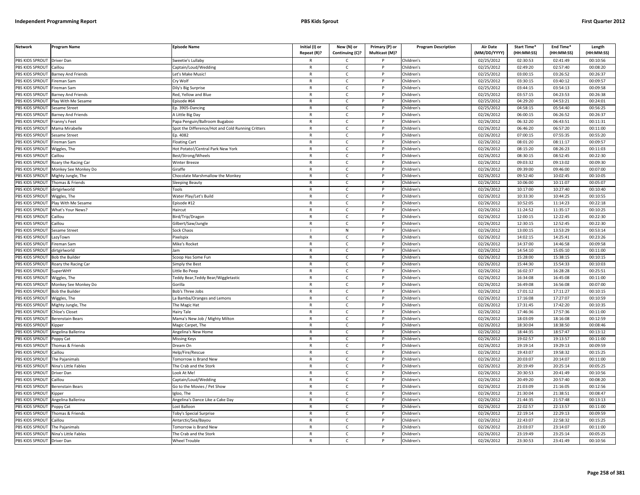| <b>Network</b>         | <b>Program Name</b>       | <b>Episode Name</b>                               | Initial (I) or<br>Repeat (R)? | New (N) or<br>Continuing (C)? | Primary (P) or<br>Multicast (M)? | <b>Program Description</b> | <b>Air Date</b><br>(MM/DD/YYYY) | Start Time*<br>(HH:MM:SS) | End Time*<br>(HH:MM:SS) | Length<br>(HH:MM:SS) |
|------------------------|---------------------------|---------------------------------------------------|-------------------------------|-------------------------------|----------------------------------|----------------------------|---------------------------------|---------------------------|-------------------------|----------------------|
| PBS KIDS SPROUT        | <b>Driver Dan</b>         | Sweetie's Lullaby                                 |                               | $\mathsf{C}$                  |                                  | Children's                 | 02/25/2012                      | 02:30:53                  | 02:41:49                | 00:10:56             |
| PBS KIDS SPROUT        | Caillou                   | Captain/Loud/Wedding                              | $\mathsf{R}$                  | $\mathsf{C}$                  | P                                | Children's                 | 02/25/2012                      | 02:49:20                  | 02:57:40                | 00:08:20             |
| PBS KIDS SPROUT        | <b>Barney And Friends</b> | Let's Make Music!                                 | $\mathsf{R}$                  | $\mathsf{C}$                  |                                  | Children's                 | 02/25/2012                      | 03:00:15                  | 03:26:52                | 00:26:37             |
| PBS KIDS SPROUT        | Fireman Sam               | Cry Wolf                                          | $\mathsf{R}$                  | $\mathsf{C}$                  | <sub>D</sub>                     | Children's                 | 02/25/2012                      | 03:30:15                  | 03:40:12                | 00:09:57             |
| PBS KIDS SPROUT        | Fireman Sam               | Dily's Big Surprise                               | $\mathsf{R}$                  | $\mathsf{C}$                  |                                  | Children's                 | 02/25/2012                      | 03:44:15                  | 03:54:13                | 00:09:58             |
| PBS KIDS SPROUT        | Barney And Friends        | Red, Yellow and Blue                              | $\mathsf{R}$                  | $\mathsf{C}$                  | P                                | Children's                 | 02/25/2012                      | 03:57:15                  | 04:23:53                | 00:26:38             |
| PBS KIDS SPROUT        | Play With Me Sesame       | Episode #64                                       | $\mathsf{R}$                  | $\mathsf{C}$                  | P                                | Children's                 | 02/25/2012                      | 04:29:20                  | 04:53:21                | 00:24:01             |
| PBS KIDS SPROUT        | Sesame Street             | Ep. 3905-Dancing                                  | $\mathsf{R}$                  | $\mathsf{C}$                  | P                                | Children's                 | 02/25/2012                      | 04:58:15                  | 05:54:40                | 00:56:25             |
| <b>PBS KIDS SPROUT</b> | <b>Barney And Friends</b> | A Little Big Day                                  | ${\sf R}$                     | $\mathsf{C}$                  | P                                | Children's                 | 02/26/2012                      | 06:00:15                  | 06:26:52                | 00:26:37             |
| PBS KIDS SPROUT        | ranny's Feet              | apa Penguin/Ballroom Bugaboo                      | $\mathsf{R}$                  | $\mathsf{C}$                  |                                  | Children's                 | 02/26/2012                      | 06:32:20                  | 06:43:51                | 00:11:31             |
| PBS KIDS SPROUT        | Mama Mirabell             | Spot the Difference/Hot and Cold Running Critters | $\mathsf{R}$                  | C                             | P                                | Children's                 | 02/26/2012                      | 06:46:20                  | 06:57:20                | 00:11:00             |
| PBS KIDS SPROUT        | Sesame Street             | Ep. 4082                                          | $\mathsf{R}$                  | $\mathsf{C}$                  |                                  | Children's                 | 02/26/2012                      | 07:00:15                  | 07:55:35                | 00:55:20             |
| PBS KIDS SPROUT        | Fireman Sam               | <b>Floating Cart</b>                              | $\mathsf{R}$                  | $\mathsf{C}$                  | P                                | Children's                 | 02/26/2012                      | 08:01:20                  | 08:11:17                | 00:09:57             |
| PBS KIDS SPROUT        | Wiggles, The              | Hot Potato!/Central Park New York                 | $\mathsf{R}$                  | $\mathsf{C}$                  |                                  | Children's                 | 02/26/2012                      | 08:15:20                  | 08:26:23                | 00:11:03             |
| PBS KIDS SPROUT        | Caillou                   | Best/Strong/Wheels                                | $\mathsf{R}$                  | $\mathsf{C}$                  | $\mathsf{P}$                     | Children's                 | 02/26/2012                      | 08:30:15                  | 08:52:45                | 00:22:30             |
| PBS KIDS SPROUT        | Roary the Racing Car      | Winter Breeze                                     | $\mathsf{R}$                  | $\mathsf{C}$                  | P                                | Children's                 | 02/26/2012                      | 09:03:32                  | 09:13:02                | 00:09:30             |
| PBS KIDS SPROUT        | Monkey See Monkey Do      | Giraffe                                           | $\mathsf{R}$                  | $\mathsf{C}$                  | P                                | Children's                 | 02/26/2012                      | 09:39:00                  | 09:46:00                | 00:07:00             |
| PBS KIDS SPROUT        | Mighty Jungle, The        | Chocolate Marshmallow the Monkey                  | $\mathsf{R}$                  | $\mathsf{C}$                  | P                                | Children's                 | 02/26/2012                      | 09:52:40                  | 10:02:45                | 00:10:05             |
| PBS KIDS SPROUT        | Thomas & Friends          | Sleeping Beauty                                   | $\mathsf{R}$                  | $\mathsf{C}$                  | P                                | Children's                 | 02/26/2012                      | 10:06:00                  | 10:11:07                | 00:05:07             |
| PBS KIDS SPROUT        | dirtgirlworld             | <b>Tools</b>                                      | $\mathsf{R}$                  | $\mathsf{C}$                  | P                                | Children's                 | 02/26/2012                      | 10:17:00                  | 10:27:40                | 00:10:40             |
| PBS KIDS SPROUT        | Niggles, The              | Water Play/Let's Build                            | $\mathsf{R}$                  | $\mathsf{C}$                  | <sub>D</sub>                     | Children's                 | 02/26/2012                      | 10:33:30                  | 10:44:25                | 00:10:55             |
| PBS KIDS SPROUT        | Play With Me Sesame       | Episode #12                                       | R                             | C                             |                                  | Children's                 | 02/26/2012                      | 10:52:05                  | 11:14:23                | 00:22:18             |
| PBS KIDS SPROUT        | What's Your News?         | Haircut                                           | $\mathsf{R}$                  | $\mathsf{C}$                  | P                                | Children's                 | 02/26/2012                      | 11:24:52                  | 11:35:17                | 00:10:25             |
| PBS KIDS SPROUT        | Caillou                   | Bird/Trip/Dragon                                  | $\mathsf{R}$                  | $\mathsf{C}$                  | P                                | Children's                 | 02/26/2012                      | 12:00:15                  | 12:22:45                | 00:22:30             |
| PBS KIDS SPROUT        | Caillou                   | Gilbert/Saw/Jungle                                | $\mathsf{R}$                  | $\mathsf{C}$                  | P                                | Children's                 | 02/26/2012                      | 12:30:15                  | 12:52:45                | 00:22:30             |
| PBS KIDS SPROUT        | Sesame Street             | Sock Chaos                                        |                               | ${\sf N}$                     | P                                | Children's                 | 02/26/2012                      | 13:00:15                  | 13:53:29                | 00:53:14             |
| PBS KIDS SPROUT        | LazyTown                  | Pixelspix                                         | $\overline{R}$                | $\mathsf{C}$                  |                                  | Children's                 | 02/26/2012                      | 14:02:15                  | 14:25:41                | 00:23:26             |
| PBS KIDS SPROUT        | Fireman Sam               | Mike's Rocket                                     | $\mathsf{R}$                  | $\mathsf{C}$                  | P                                | Children's                 | 02/26/2012                      | 14:37:00                  | 14:46:58                | 00:09:58             |
| PBS KIDS SPROUT        | dirtgirlworld             | lam                                               | $\mathsf{R}$                  | $\mathsf{C}$                  |                                  | Children's                 | 02/26/2012                      | 14:54:10                  | 15:05:10                | 00:11:00             |
| PBS KIDS SPROUT        | <b>Bob the Builder</b>    | Scoop Has Some Fun                                | $\mathsf{R}$                  | C                             | P                                | Children's                 | 02/26/2012                      | 15:28:00                  | 15:38:15                | 00:10:15             |
| PBS KIDS SPROUT        | Roary the Racing Car      | Simply the Best                                   | $\mathsf{R}$                  | $\mathsf{C}$                  | P                                | Children's                 | 02/26/2012                      | 15:44:30                  | 15:54:33                | 00:10:03             |
| PBS KIDS SPROUT        | <b>SuperWHY</b>           | Little Bo Peep                                    | $\mathsf{R}$                  | $\mathsf{C}$                  | $\mathsf{P}$                     | Children's                 | 02/26/2012                      | 16:02:37                  | 16:28:28                | 00:25:51             |
| PBS KIDS SPROUT        | Wiggles, The              | Teddy Bear, Teddy Bear/Wiggletastic               | $\mathsf{R}$                  | $\mathsf{C}$                  | P                                | Children's                 | 02/26/2012                      | 16:34:08                  | 16:45:08                | 00:11:00             |
| PBS KIDS SPROUT        | Monkey See Monkey Do      | Gorilla                                           | $\mathsf{R}$                  | $\mathsf{C}$                  | P                                | Children's                 | 02/26/2012                      | 16:49:08                  | 16:56:08                | 00:07:00             |
| PBS KIDS SPROUT        | <b>Bob the Builder</b>    | <b>Bob's Three Jobs</b>                           | $\mathsf{R}$                  | $\mathsf{C}$                  | P                                | Children's                 | 02/26/2012                      | 17:01:12                  | 17:11:27                | 00:10:15             |
| <b>PBS KIDS SPROUT</b> | Wiggles, The              | a Bamba/Oranges and Lemons                        | $\mathsf{R}$                  | $\mathsf{C}$                  | P                                | Children's                 | 02/26/2012                      | 17:16:08                  | 17:27:07                | 00:10:59             |
| PBS KIDS SPROUT        | Mighty Jungle, The        | The Magic Hat                                     | $\mathsf{R}$                  | $\mathsf{C}$                  |                                  | Children's                 | 02/26/2012                      | 17:31:45                  | 17:42:20                | 00:10:35             |
| PBS KIDS SPROUT        | Chloe's Closet            | Hairy Tale                                        | $\mathsf{R}$                  | $\mathsf{C}$                  | D                                | Children's                 | 02/26/2012                      | 17:46:36                  | 17:57:36                | 00:11:00             |
| PBS KIDS SPROUT        | Berenstain Bears          | Mama's New Job / Mighty Milton                    | R                             | $\mathsf{C}$                  |                                  | Children's                 | 02/26/2012                      | 18:03:09                  | 18:16:08                | 00:12:59             |
| PBS KIDS SPROUT        | .ipper                    | Magic Carpet, The                                 | $\mathsf{R}$                  | $\mathsf{C}$                  |                                  | Children's                 | 02/26/2012                      | 18:30:04                  | 18:38:50                | 00:08:46             |
| PBS KIDS SPROUT        | Angelina Ballerina        | Angelina's New Home                               | $\mathsf{R}$                  | $\mathsf{C}$                  | P                                | Children's                 | 02/26/2012                      | 18:44:35                  | 18:57:47                | 00:13:12             |
| PBS KIDS SPROUT        | Poppy Cat                 | <b>Missing Keys</b>                               | $\mathsf{R}$                  | $\mathsf{C}$                  | <b>D</b>                         | Children's                 | 02/26/2012                      | 19:02:57                  | 19:13:57                | 00:11:00             |
| PBS KIDS SPROUT        | Thomas & Friends          | Dream On                                          | $\mathsf{R}$                  | $\mathsf{C}$                  | P                                | Children's                 | 02/26/2012                      | 19:19:14                  | 19:29:13                | 00:09:59             |
| PBS KIDS SPROUT        | Caillou                   | Help/Fire/Rescue                                  | $\mathsf{R}$                  | $\mathsf{C}$                  |                                  | Children's                 | 02/26/2012                      | 19:43:07                  | 19:58:32                | 00:15:25             |
| PBS KIDS SPROUT        | The Pajanimals            | Tomorrow is Brand New                             | $\mathsf{R}$                  | $\mathsf{C}$                  | P                                | Children's                 | 02/26/2012                      | 20:03:07                  | 20:14:07                | 00:11:00             |
| PBS KIDS SPROUT        | Nina's Little Fables      | The Crab and the Stork                            | $\mathsf{R}$                  | $\mathsf{C}$                  | P                                | Children's                 | 02/26/2012                      | 20:19:49                  | 20:25:14                | 00:05:25             |
| PBS KIDS SPROUT        | Driver Dan                | Look At Me!                                       | $\mathsf{R}$                  | $\mathsf{C}$                  | P                                | Children's                 | 02/26/2012                      | 20:30:53                  | 20:41:49                | 00:10:56             |
| PBS KIDS SPROUT        | Caillou                   | Captain/Loud/Wedding                              | $\mathsf{R}$                  | $\mathsf{C}$                  | P                                | Children's                 | 02/26/2012                      | 20:49:20                  | 20:57:40                | 00:08:20             |
| PBS KIDS SPROUT        | Berenstain Bears          | Go to the Movies / Pet Show                       | $\mathsf{R}$                  | $\mathsf{C}$                  | P                                | Children's                 | 02/26/2012                      | 21:03:09                  | 21:16:05                | 00:12:56             |
| PBS KIDS SPROUT        | <b>Kipper</b>             | Igloo, The                                        | $\mathsf{R}$                  | C                             |                                  | Children's                 | 02/26/2012                      | 21:30:04                  | 21:38:51                | 00:08:47             |
| PBS KIDS SPROUT        | Angelina Ballerina        | Angelina's Dance Like a Cake Day                  | $\mathsf{R}$                  | $\mathsf{C}$                  | P                                | Children's                 | 02/26/2012                      | 21:44:35                  | 21:57:48                | 00:13:13             |
| PBS KIDS SPROUT        | Poppy Cat                 | ost Balloon                                       | $\mathsf{R}$                  | $\mathsf{C}$                  | P                                | Children's                 | 02/26/2012                      | 22:02:57                  | 22:13:57                | 00:11:00             |
| PBS KIDS SPROUT        | Thomas & Friends          | Toby's Special Surprise                           | $\mathsf{R}$                  | $\mathsf{C}$                  | P                                | Children's                 | 02/26/2012                      | 22:19:14                  | 22:29:13                | 00:09:59             |
| PBS KIDS SPROUT        | Caillou                   | Antarctic/Sea/Bayou                               | $\mathsf{R}$                  | $\mathsf{C}$                  | P                                | Children's                 | 02/26/2012                      | 22:43:07                  | 22:58:32                | 00:15:25             |
| PBS KIDS SPROUT        | The Pajanimals            | <b>Fomorrow is Brand New</b>                      | $\mathsf{R}$                  | $\mathsf{C}$                  | P                                | Children's                 | 02/26/2012                      | 23:03:07                  | 23:14:07                | 00:11:00             |
| PBS KIDS SPROUT        | Nina's Little Fables      | The Crab and the Stork                            |                               | C                             |                                  | Children's                 | 02/26/2012                      | 23:19:49                  | 23:25:14                | 00:05:25             |
| PBS KIDS SPROUT        | <b>Driver Dan</b>         | <b>Wheel Trouble</b>                              | $\mathsf{R}$                  | $\mathsf{C}$                  |                                  | Children's                 | 02/26/2012                      | 23:30:53                  | 23:41:49                | 00:10:56             |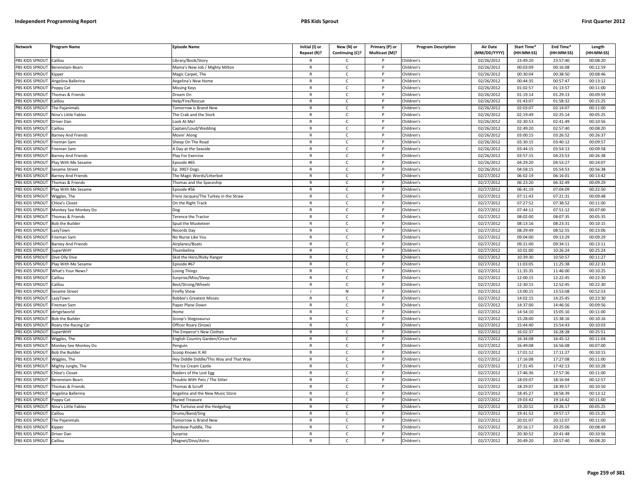| <b>Network</b>        | Program Name              | <b>Episode Name</b>                     | Initial (I) or | New (N) or      | Primary (P) or | <b>Program Description</b> | <b>Air Date</b>     | Start Time* | End Time*  | Length     |
|-----------------------|---------------------------|-----------------------------------------|----------------|-----------------|----------------|----------------------------|---------------------|-------------|------------|------------|
|                       |                           |                                         | Repeat (R)?    | Continuing (C)? | Multicast (M)? |                            | (MM/DD/YYYY)        | (HH:MM:SS)  | (HH:MM:SS) | (HH:MM:SS) |
| PBS KIDS SPROUT       | Caillou                   | ibrary/Book/Story                       | R              | Ċ               |                | Children's                 | 02/26/2012          | 23:49:20    | 23:57:40   | 00:08:20   |
| PBS KIDS SPROUT       | <b>Berenstain Bears</b>   | Mama's New Job / Mighty Milton          | $\mathsf{R}$   | $\mathsf{C}$    | P              | Children's                 | 02/26/2012          | 00:03:09    | 00:16:08   | 00:12:59   |
| <b>BS KIDS SPROUT</b> | <b>Kipper</b>             | Magic Carpet, The                       | $\mathsf{R}$   | $\mathsf{C}$    |                | Children's                 | 02/26/2012          | 00:30:04    | 00:38:50   | 00:08:46   |
| PBS KIDS SPROUT       | ngelina Ballerina         | Angelina's New Home                     | $\mathsf{R}$   | $\mathsf{C}$    | Þ              | Children's                 | 02/26/2012          | 00:44:35    | 00:57:47   | 00:13:12   |
| PBS KIDS SPROUT       | Poppy Cat                 | <b>Missing Keys</b>                     | $\mathsf{R}$   | C               |                | Children's                 | 02/26/2012          | 01:02:57    | 01:13:57   | 00:11:00   |
| PBS KIDS SPROUT       | homas & Friends           | )ream On                                | $\mathsf{R}$   | $\mathsf{C}$    | P              | Children's                 | 02/26/2012          | 01:19:14    | 01:29:13   | 00:09:59   |
| PBS KIDS SPROUT       | Caillou                   | Help/Fire/Rescue                        | R              | $\mathsf{C}$    | P              | Children's                 | 02/26/2012          | 01:43:07    | 01:58:32   | 00:15:25   |
| PBS KIDS SPROUT       | he Pajanimals             | omorrow is Brand New                    | $\mathsf{R}$   | $\mathsf{C}$    | P              | Children's                 | 02/26/2012          | 02:03:07    | 02:14:07   | 00:11:00   |
| PBS KIDS SPROUT       | Nina's Little Fables      | The Crab and the Stork                  | $\mathsf{R}$   | $\mathsf{C}$    | $\mathsf{P}$   | Children's                 | 02/26/2012          | 02:19:49    | 02:25:14   | 00:05:25   |
| PBS KIDS SPROUT       | Driver Dan                | ook At Me!                              | $\mathsf{R}$   | $\mathsf{C}$    |                | Children's                 | 02/26/2012          | 02:30:53    | 02:41:49   | 00:10:56   |
| PBS KIDS SPROUT       | aillou                    | Captain/Loud/Wedding                    | $\mathsf{R}$   | $\mathsf{C}$    | P              | Children's                 | 02/26/2012          | 02:49:20    | 02:57:40   | 00:08:20   |
| PBS KIDS SPROUT       | Barney And Friends        | Movin' Along                            | $\mathsf{R}$   | $\mathsf{C}$    |                | Children's                 | 02/26/2012          | 03:00:15    | 03:26:52   | 00:26:37   |
| PBS KIDS SPROUT       | ireman Sam                | Sheep On The Road                       | $\mathsf{R}$   | $\mathsf{C}$    | P              | Children's                 | 02/26/2012          | 03:30:15    | 03:40:12   | 00:09:57   |
| PBS KIDS SPROUT       | ireman Sam                | Day at the Seaside                      | R              | $\mathsf{C}$    |                | Children's                 | 02/26/2012          | 03:44:15    | 03:54:13   | 00:09:58   |
| PBS KIDS SPROUT       | <b>Barney And Friends</b> | Play For Exercise                       | $\mathsf{R}$   | $\mathsf{C}$    | $\mathsf{P}$   | Children's                 | 02/26/2012          | 03:57:15    | 04:23:53   | 00:26:38   |
| PBS KIDS SPROUT       | Play With Me Sesame       | Episode #65                             | R              | C               | P              | Children's                 | 02/26/2012          | 04:29:20    | 04:53:27   | 00:24:07   |
| PBS KIDS SPROUT       | Sesame Street             | Ep. 3907-Dogs                           | R              | $\mathsf{C}$    | P              | Children's                 | 02/26/2012          | 04:58:15    | 05:54:53   | 00:56:38   |
| PBS KIDS SPROUT       | <b>Barney And Friends</b> | The Magic Words/Litterbot               | $\mathsf{R}$   | $\mathsf{C}$    | P              | Children's                 | 02/27/2012          | 06:02:19    | 06:16:01   | 00:13:42   |
| PBS KIDS SPROUT       | Thomas & Friends          | homas and the Spaceship                 | $\mathsf{R}$   | $\mathsf{C}$    | P              | Children's                 | $\sqrt{02}/27/2012$ | 06:23:20    | 06:32:49   | 00:09:29   |
| PBS KIDS SPROUT       | Play With Me Sesame       | pisode #56                              | R              | C.              |                | Children's                 | 02/27/2012          | 06:41:19    | 07:04:09   | 00:22:50   |
| PBS KIDS SPROUT       | Viggles, The              | rere Jacques/The Turkey in the Straw    | $\mathsf{R}$   | $\mathsf{C}$    | D              | Children's                 | 02/27/2012          | 07:11:43    | 07:21:31   | 00:09:48   |
| <b>BS KIDS SPROUT</b> | Chloe's Closet            | On the Right Track                      | R              | C               |                | Children's                 | 02/27/2012          | 07:27:52    | 07:38:52   | 00:11:00   |
| PBS KIDS SPROUT       | Monkey See Monkey Do      |                                         | $\mathsf{R}$   | $\mathsf{C}$    | Þ              | Children's                 | 02/27/2012          | 07:44:12    | 07:51:12   | 00:07:00   |
| PBS KIDS SPROUT       | Thomas & Friends          | erence the Tractor'                     | R              | $\mathsf{C}$    | P              | Children's                 | 02/27/2012          | 08:02:00    | 08:07:35   | 00:05:35   |
| PBS KIDS SPROUT       | <b>Bob the Builder</b>    | Spud the Musketeer                      | $\mathsf{R}$   | $\mathsf{C}$    | P              | Children's                 | 02/27/2012          | 08:13:16    | 08:23:31   | 00:10:15   |
| PBS KIDS SPROUT       | azyTown.                  | Records Day                             | $\mathsf{R}$   | $\mathsf{C}$    | P              | Children's                 | 02/27/2012          | 08:29:49    | 08:52:55   | 00:23:06   |
| PBS KIDS SPROUT       | ireman Sam                | No Nurse Like You                       | R              | $\mathsf{C}$    |                | Children's                 | 02/27/2012          | 09:04:00    | 09:13:29   | 00:09:29   |
| PBS KIDS SPROUT       | <b>Barney And Friends</b> | Airplanes/Boats                         | $\mathsf{R}$   | $\mathsf{C}$    | P              | Children's                 | 02/27/2012          | 09:21:00    | 09:34:11   | 00:13:11   |
| PBS KIDS SPROUT       | uperWHY                   | humbelina                               | $\mathsf{R}$   | $\mathsf{C}$    |                | Children's                 | 02/27/2012          | 10:01:00    | 10:26:24   | 00:25:24   |
| PBS KIDS SPROUT       | Dive Olly Dive            | Skid the Hero/Risky Ranger              | $\mathsf{R}$   | $\mathsf{C}$    | P              | Children's                 | 02/27/2012          | 10:39:30    | 10:50:57   | 00:11:27   |
| PBS KIDS SPROUT       | Play With Me Sesame       | pisode #67                              | R              | $\mathsf{C}$    | P              | Children's                 | 02/27/2012          | 11:03:05    | 11:25:38   | 00:22:33   |
| PBS KIDS SPROUT       | What's Your News?         | osing Things                            | $\mathsf{R}$   | $\mathsf{C}$    | P              | Children's                 | 02/27/2012          | 11:35:35    | 11:46:00   | 00:10:25   |
| PBS KIDS SPROUT       | aillou                    | Surprise/Miss/Sleep                     | $\mathsf{R}$   | $\mathsf{C}$    | P              | Children's                 | 02/27/2012          | 12:00:15    | 12:22:45   | 00:22:30   |
| PBS KIDS SPROUT       | Caillou                   | Best/Strong/Wheels                      | R              | C               | P              | Children's                 | 02/27/2012          | 12:30:15    | 12:52:45   | 00:22:30   |
| PBS KIDS SPROUT       | Sesame Street             | irefly Show                             |                | N               | P              | Children's                 | 02/27/2012          | 13:00:15    | 13:53:08   | 00:52:53   |
| PBS KIDS SPROUT       | azyTown                   | Robbie's Greatest Misses                | $\mathsf{R}$   | $\mathsf{C}$    | P              | Children's                 | 02/27/2012          | 14:02:15    | 14:25:45   | 00:23:30   |
| PBS KIDS SPROUT       | ireman Sam                | Paper Plane Down                        | R              | Ċ               |                | Children's                 | 02/27/2012          | 14:37:00    | 14:46:56   | 00:09:56   |
| PBS KIDS SPROUT       | dirtgirlworld             | $\n  l$                                 | $\mathsf{R}$   | $\mathsf{C}$    | D              | Children's                 | 02/27/2012          | 14:54:10    | 15:05:10   | 00:11:00   |
| PBS KIDS SPROUT       | <b>Bob the Builder</b>    | Scoop's Stegosaurus                     | R              | C               |                | Children's                 | 02/27/2012          | 15:28:00    | 15:38:16   | 00:10:16   |
| PBS KIDS SPROUT       | Roary the Racing Car      | Officer Roary (Snow                     | $\mathsf{R}$   | $\mathsf{C}$    |                | Children's                 | 02/27/2012          | 15:44:40    | 15:54:43   | 00:10:03   |
| <b>BS KIDS SPROUT</b> | SuperWHY                  | he Emperor's New Clothes                | $\mathsf{R}$   | $\mathsf{C}$    | P              | Children's                 | 02/27/2012          | 16:02:37    | 16:28:28   | 00:25:51   |
| PBS KIDS SPROUT       | Niggles, The              | inglish Country Garden/Circus Fun       | $\mathsf{R}$   | $\mathsf{C}$    | Þ              | Children's                 | 02/27/2012          | 16:34:08    | 16:45:12   | 00:11:04   |
| PBS KIDS SPROUT       | Monkey See Monkey Do      | enguin                                  | $\mathsf{R}$   | $\mathsf{C}$    | P              | Children's                 | 02/27/2012          | 16:49:08    | 16:56:08   | 00:07:00   |
| PBS KIDS SPROUT       | <b>Bob the Builder</b>    | icoop Knows It All                      | $\mathsf{R}$   | $\mathsf{C}$    | D              | Children's                 | 02/27/2012          | 17:01:12    | 17:11:27   | 00:10:15   |
| PBS KIDS SPROUT       | Wiggles, The              | Hey Diddle Diddle/This Way and That Way | $\mathsf{R}$   | $\mathsf{C}$    | P              | Children's                 | 02/27/2012          | 17:16:08    | 17:27:08   | 00:11:00   |
| PBS KIDS SPROUT       | Mighty Jungle, The        | The Ice Cream Castle                    | $\mathsf{R}$   | $\mathsf{C}$    | D              | Children's                 | 02/27/2012          | 17:31:45    | 17:42:13   | 00:10:28   |
| PBS KIDS SPROUT       | Chloe's Closet            | Raiders of the Lost Egg                 | R              | $\mathsf{C}$    | P              | Children's                 | 02/27/2012          | 17:46:36    | 17:57:36   | 00:11:00   |
| PBS KIDS SPROUT       | Berenstain Bears          | rouble With Pets / The Sitter           | $\mathsf{R}$   | $\mathsf{C}$    | P              | Children's                 | 02/27/2012          | 18:03:07    | 18:16:04   | 00:12:57   |
| PBS KIDS SPROUT       | homas & Friends           | homas & Scruff                          | $\mathsf{R}$   | $\mathsf{C}$    | $\mathsf{P}$   | Children's                 | 02/27/2012          | 18:29:07    | 18:39:57   | 00:10:50   |
| PBS KIDS SPROUT       | Angelina Ballerina        | Angelina and the New Music Store        | $\mathsf{R}$   | C               |                | Children's                 | 02/27/2012          | 18:45:27    | 18:58:39   | 00:13:12   |
| PBS KIDS SPROUT       | oppy Cat                  | <b>Buried Treasure</b>                  | R              | $\mathsf{C}$    | P              | Children's                 | 02/27/2012          | 19:03:42    | 19:14:42   | 00:11:00   |
| PBS KIDS SPROUT       | Nina's Little Fables      | he Tortoise and the Hedgehog            | $\mathsf{R}$   | C               | P              | Children's                 | 02/27/2012          | 19:20:52    | 19:26:17   | 00:05:25   |
| PBS KIDS SPROUT       | aillou                    | Drums/Band/Sing                         | $\mathsf{R}$   | $\mathsf{C}$    | P              | Children's                 | 02/27/2012          | 19:41:52    | 19:57:17   | 00:15:25   |
| PBS KIDS SPROUT       | The Pajanimals            | omorrow is Brand New                    | R              | Ċ               |                | Children's                 | 02/27/2012          | 20:01:07    | 20:12:07   | 00:11:00   |
| PBS KIDS SPROUT       | Kipper                    | ainbow Puddle, The                      | $\mathsf{R}$   | $\mathsf{C}$    | P              | Children's                 | $\sqrt{02}/27/2012$ | 20:16:17    | 20:25:06   | 00:08:49   |
| PBS KIDS SPROUT       | Driver Dan                | Surprise                                | R              | C               |                | Children's                 | 02/27/2012          | 20:30:52    | 20:41:48   | 00:10:56   |
| PBS KIDS SPROUT       | aillou                    | Magnet/Dino/Astro                       | R              | $\mathsf{C}$    |                | Children's                 | 02/27/2012          | 20:49:20    | 20:57:40   | 00:08:20   |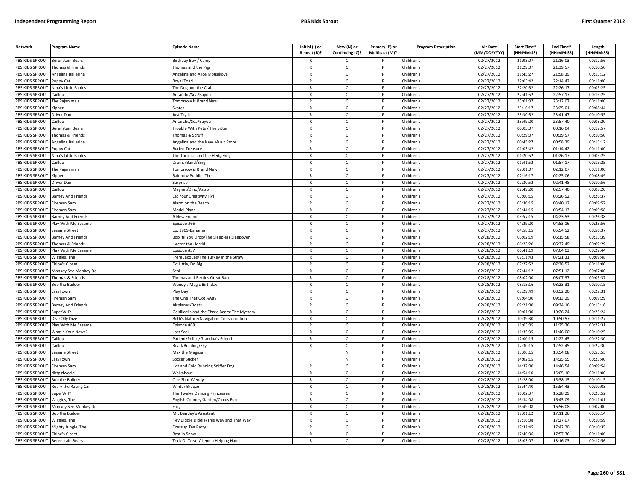| <b>Network</b>         | Program Name              | <b>Episode Name</b>                         | Initial (I) or<br>Repeat (R)? | New (N) or<br>Continuing (C)? | Primary (P) or<br>Multicast (M)? | <b>Program Description</b> | <b>Air Date</b><br>(MM/DD/YYYY) | Start Time*<br>(HH:MM:SS) | End Time <sup>®</sup><br>(HH:MM:SS) | Length<br>(HH:MM:SS) |
|------------------------|---------------------------|---------------------------------------------|-------------------------------|-------------------------------|----------------------------------|----------------------------|---------------------------------|---------------------------|-------------------------------------|----------------------|
| PBS KIDS SPROUT        | <b>Berenstain Bears</b>   | Birthday Boy / Camp                         |                               | C                             |                                  | Children's                 | 02/27/2012                      | 21:03:07                  | 21:16:03                            | 00:12:56             |
| PBS KIDS SPROUT        | Thomas & Friends          | Thomas and the Pigs                         | $\mathsf{R}$                  | $\mathsf{C}$                  | $\mathsf{P}$                     | Children's                 | 02/27/2012                      | 21:29:07                  | 21:39:57                            | 00:10:50             |
| PBS KIDS SPROUT        | Angelina Ballerina        | Angelina and Alice Mousikova                | $\mathsf{R}$                  | $\mathsf{C}$                  | P                                | Children's                 | 02/27/2012                      | 21:45:27                  | 21:58:39                            | 00:13:12             |
| PBS KIDS SPROUT        | Poppy Cat                 | Royal Toad                                  | $\mathbb{R}$                  | $\mathsf{C}$                  | P                                | Children's                 | 02/27/2012                      | 22:03:42                  | 22:14:42                            | 00:11:00             |
| PBS KIDS SPROUT        | Nina's Little Fables      | The Dog and the Crab                        | $\mathsf{R}$                  | $\mathsf{C}$                  | P                                | Children's                 | 02/27/2012                      | 22:20:52                  | 22:26:17                            | 00:05:25             |
| PBS KIDS SPROUT        | Caillou                   | Antarctic/Sea/Bayou                         | $\mathsf{R}$                  | $\mathsf{C}$                  |                                  | Children's                 | 02/27/2012                      | 22:41:52                  | 22:57:17                            | 00:15:25             |
| PBS KIDS SPROUT        | The Pajanimals            | <b>Fomorrow is Brand New</b>                | R                             | $\mathsf{C}$                  |                                  | Children's                 | 02/27/2012                      | 23:01:07                  | 23:12:07                            | 00:11:00             |
| PBS KIDS SPROUT        | <b>Sipper</b>             | Skates                                      | $\mathsf{R}$                  | $\mathsf{C}$                  | P                                | Children's                 | 02/27/2012                      | 23:16:17                  | 23:25:01                            | 00:08:44             |
| PBS KIDS SPROUT        | Driver Dan                | Just Try It                                 | R                             | C                             | P                                | Children's                 | 02/27/2012                      | 23:30:52                  | 23:41:47                            | 00:10:55             |
| PBS KIDS SPROUT        | Caillou                   | Antarctic/Sea/Bayou                         | $\mathsf{R}$                  | $\mathsf{C}$                  | P                                | Children's                 | 02/27/2012                      | 23:49:20                  | 23:57:40                            | 00:08:20             |
| PBS KIDS SPROUT        | Berenstain Bears          | Frouble With Pets / The Sitter              | $\mathsf{R}$                  | $\mathsf{C}$                  | P                                | Children's                 | 02/27/2012                      | 00:03:07                  | 00:16:04                            | 00:12:57             |
| PBS KIDS SPROUT        | Thomas & Friends          | Thomas & Scruff                             | $\mathsf{R}$                  | $\mathsf{C}$                  | P                                | Children's                 | 02/27/2012                      | 00:29:07                  | 00:39:57                            | 00:10:50             |
| PBS KIDS SPROUT        | Angelina Ballerina        | Angelina and the New Music Store            | $\mathsf{R}$                  | $\mathsf{C}$                  | P                                | Children's                 | 02/27/2012                      | 00:45:27                  | 00:58:39                            | 00:13:12             |
| PBS KIDS SPROUT        | Poppy Cat                 | <b>Buried Treasure</b>                      | $\mathsf{R}$                  | $\mathsf{C}$                  | P                                | Children's                 | 02/27/2012                      | 01:03:42                  | 01:14:42                            | 00:11:00             |
| PBS KIDS SPROUT        | Nina's Little Fables      | The Tortoise and the Hedgehog               | $\mathsf{R}$                  | $\mathsf{C}$                  | P                                | Children's                 | 02/27/2012                      | 01:20:52                  | 01:26:17                            | 00:05:25             |
| PBS KIDS SPROUT        | Caillou                   | Drums/Band/Sing                             | $\mathsf{R}$                  | $\mathsf{C}$                  | P                                | Children's                 | 02/27/2012                      | 01:41:52                  | 01:57:17                            | 00:15:25             |
| PBS KIDS SPROUT        | The Pajanimals            | <b>Fomorrow is Brand New</b>                | $\mathsf{R}$                  | $\mathsf{C}$                  | P                                | Children's                 | 02/27/2012                      | 02:01:07                  | 02:12:07                            | 00:11:00             |
| PBS KIDS SPROUT        | <b>Kipper</b>             | Rainbow Puddle, The                         | $\mathsf{R}$                  | $\mathsf{C}$                  | P                                | Children's                 | 02/27/2012                      | 02:16:17                  | 02:25:06                            | 00:08:49             |
| PBS KIDS SPROUT        | Driver Dan                | Surprise                                    | $\mathsf{R}$                  | C                             | P                                | Children's                 | 02/27/2012                      | 02:30:52                  | 02:41:48                            | 00:10:56             |
| PBS KIDS SPROUT        | Caillou                   | Magnet/Dino/Astro                           | $\mathsf{R}$                  | $\mathsf{C}$                  | P                                | Children's                 | 02/27/2012                      | 02:49:20                  | 02:57:40                            | 00:08:20             |
| PBS KIDS SPROUT        | Barney And Friends        | Let Your Creativity Fly!                    | $\mathsf{R}$                  | $\mathsf{C}$                  | P                                | Children's                 | 02/27/2012                      | 03:00:15                  | 03:26:52                            | 00:26:37             |
| PBS KIDS SPROUT        | Fireman Sam               | <b>Narm on the Beach</b>                    | $\mathsf{R}$                  | $\mathsf{C}$                  |                                  | Children's                 | 02/27/2012                      | 03:30:15                  | 03:40:12                            | 00:09:57             |
| PBS KIDS SPROUT        | Fireman Sam               | Model Plane                                 | $\mathsf{R}$                  | $\mathsf{C}$                  | P                                | Children's                 | 02/27/2012                      | 03:44:15                  | 03:54:13                            | 00:09:58             |
| PBS KIDS SPROUT        | <b>Barney And Friends</b> | A New Friend                                | R                             | c                             | P                                | Children's                 | 02/27/2012                      | 03:57:15                  | 04:23:53                            | 00:26:38             |
| PBS KIDS SPROUT        | Play With Me Sesame       | pisode #66                                  | $\mathsf{R}$                  | $\mathsf{C}$                  | P                                | Children's                 | 02/27/2012                      | 04:29:20                  | 04:53:16                            | 00:23:56             |
| PBS KIDS SPROUT        | Sesame Street             | Ep. 3909-Bananas                            | $\mathsf{R}$                  | $\mathsf{C}$                  | P                                | Children's                 | 02/27/2012                      | 04:58:15                  | 05:54:52                            | 00:56:37             |
| PBS KIDS SPROUT        | Barney And Friends        | Bop 'til You Drop/The Sleepless Sleepover   | $\mathsf{R}$                  | $\mathsf{C}$                  | P                                | Children's                 | 02/28/2012                      | 06:02:19                  | 06:15:58                            | 00:13:39             |
| PBS KIDS SPROUT        | Thomas & Friends          | Hector the Horrid                           | $\mathsf{R}$                  | $\mathsf{C}$                  | P                                | Children's                 | 02/28/2012                      | 06:23:20                  | 06:32:49                            | 00:09:29             |
| <b>PBS KIDS SPROUT</b> | Play With Me Sesame       | Episode #57                                 | $\mathsf{R}$                  | $\mathsf{C}$                  | P                                | Children's                 | 02/28/2012                      | 06:41:19                  | 07:04:03                            | 00:22:44             |
| PBS KIDS SPROUT        | Wiggles, The              | Frere Jacques/The Turkey in the Straw       | $\mathsf{R}$                  | $\mathsf{C}$                  | P                                | Children's                 | 02/28/2012                      | 07:11:43                  | 07:21:31                            | 00:09:48             |
| <b>PBS KIDS SPROUT</b> | <b>Chloe's Closet</b>     | Do Little, Do Big                           | $\mathsf{R}$                  | C                             | P                                | Children's                 | 02/28/2012                      | 07:27:52                  | 07:38:52                            | 00:11:00             |
| PBS KIDS SPROUT        | Monkey See Monkey Do      | Seal                                        | $\mathsf{R}$                  | C                             | P                                | Children's                 | 02/28/2012                      | 07:44:12                  | 07:51:12                            | 00:07:00             |
| PBS KIDS SPROUT        | Thomas & Friends          | Thomas and Berties Great Race               | $\mathsf{R}$                  | $\mathsf{C}$                  | P                                | Children's                 | 02/28/2012                      | 08:02:00                  | 08:07:37                            | 00:05:37             |
| PBS KIDS SPROUT        | <b>Bob the Builder</b>    | Wendy's Magic Birthday                      | $\mathsf{R}$                  | $\mathsf{C}$                  | P                                | Children's                 | 02/28/2012                      | 08:13:16                  | 08:23:31                            | 00:10:15             |
| PBS KIDS SPROUT        | LazyTown                  | Play Day                                    | $\mathsf{R}$                  | $\mathsf{C}$                  | P                                | Children's                 | 02/28/2012                      | 08:29:49                  | 08:52:20                            | 00:22:31             |
| PBS KIDS SPROUT        | ireman Sam                | The One That Got Away                       | $\mathsf{R}$                  | $\mathsf{C}$                  | P                                | Children's                 | 02/28/2012                      | 09:04:00                  | 09:13:29                            | 00:09:29             |
| PBS KIDS SPROUT        | <b>Barney And Friends</b> | Airplanes/Boats                             | $\mathsf{R}$                  | C                             | P                                | Children's                 | 02/28/2012                      | 09:21:00                  | 09:34:16                            | 00:13:16             |
| PBS KIDS SPROUT        | <b>SuperWHY</b>           | Goldilocks and the Three Bears: The Mystery | $\mathsf{R}$                  | $\mathsf{C}$                  | P                                | Children's                 | 02/28/2012                      | 10:01:00                  | 10:26:24                            | 00:25:24             |
| PBS KIDS SPROUT        | Dive Olly Dive            | Beth's Nature/Navigation Consternation      | $\mathsf{R}$                  | $\mathsf{C}$                  |                                  | Children's                 | 02/28/2012                      | 10:39:30                  | 10:50:57                            | 00:11:27             |
| PBS KIDS SPROUT        | Play With Me Sesame       | Episode #68                                 | $\mathsf{R}$                  | $\mathsf{C}$                  | P                                | Children's                 | 02/28/2012                      | 11:03:05                  | 11:25:36                            | 00:22:31             |
| PBS KIDS SPROUT        | What's Your News?         | Lost Sock                                   | R                             | $\mathsf{C}$                  | P                                | Children's                 | 02/28/2012                      | 11:35:35                  | 11:46:00                            | 00:10:25             |
| PBS KIDS SPROUT        | Caillou                   | Patient/Police/Grandpa's Friend             | $\mathsf{R}$                  | $\mathsf{C}$                  | P                                | Children's                 | 02/28/2012                      | 12:00:15                  | 12:22:45                            | 00:22:30             |
| PBS KIDS SPROUT        | Caillou                   | Road/Building/Sky                           | R                             | C                             | P                                | Children's                 | 02/28/2012                      | 12:30:15                  | 12:52:45                            | 00:22:30             |
| PBS KIDS SPROUT        | Sesame Street             | Max the Magician                            |                               | ${\sf N}$                     | P                                | Children's                 | 02/28/2012                      | 13:00:15                  | 13:54:08                            | 00:53:53             |
| PBS KIDS SPROUT        | LazyTown                  | Soccer Sucker                               |                               | ${\sf N}$                     | P<br>D                           | Children's                 | 02/28/2012                      | 14:02:15                  | 14:25:55                            | 00:23:40             |
| PBS KIDS SPROUT        | Fireman Sam               | Hot and Cold Running Sniffer Dog            | $\mathsf{R}$                  | $\mathsf{C}$                  |                                  | Children's                 | 02/28/2012                      | 14:37:00                  | 14:46:54                            | 00:09:54             |
| PBS KIDS SPROUT        | dirtgirlworld             | Walkabout                                   | $\mathsf{R}$                  | $\mathsf{C}$                  | P                                | Children's                 | $\overline{02}/28/2012$         | 14:54:10                  | 15:05:10                            | 00:11:00             |
| PBS KIDS SPROUT        | Bob the Builder           | One Shot Wendy                              | $\mathsf{R}$                  | $\mathsf{C}$                  | P                                | Children's                 | 02/28/2012                      | 15:28:00                  | 15:38:15                            | 00:10:15             |
| PBS KIDS SPROUT        | Roary the Racing Car      | Winter Breeze                               | $\mathsf{R}$                  | C                             | P                                | Children's                 | 02/28/2012                      | 15:44:40                  | 15:54:43                            | 00:10:03             |
| PBS KIDS SPROUT        | SuperWHY                  | The Twelve Dancing Princesses               | $\mathsf{R}$                  | C                             |                                  | Children's                 | 02/28/2012                      | 16:02:37                  | 16:28:29                            | 00:25:52             |
| PBS KIDS SPROUT        | Wiggles, The              | <b>English Country Garden/Circus Fun</b>    | $\mathsf{R}$                  | $\mathsf{C}$                  | P                                | Children's                 | 02/28/2012                      | 16:34:08                  | 16:45:09                            | 00:11:01             |
| PBS KIDS SPROUT        | Monkey See Monkey Do      | Frog                                        | $\mathsf{R}$                  | $\mathsf{C}$                  | P                                | Children's                 | 02/28/2012                      | 16:49:08                  | 16:56:08                            | 00:07:00             |
| PBS KIDS SPROUT        | <b>Bob the Builder</b>    | Mr. Bentley's Assistant                     | $\mathsf{R}$                  | $\mathsf{C}$                  | P<br>P                           | Children's                 | 02/28/2012                      | 17:01:12                  | 17:11:26                            | 00:10:14             |
| PBS KIDS SPROUT        | Wiggles, The              | Hey Diddle Diddle/This Way and That Way     | $\mathsf{R}$                  | $\mathsf{C}$                  | P                                | Children's                 | 02/28/2012                      | 17:16:08                  | 17:27:07                            | 00:10:59             |
| PBS KIDS SPROUT        | Mighty Jungle, The        | Dressup Tea Party                           | $\mathsf{R}$                  | $\mathsf{C}$                  |                                  | Children's                 | 02/28/2012                      | 17:31:45                  | 17:42:20                            | 00:10:35             |
| PBS KIDS SPROUT        | <b>Chloe's Closet</b>     | <b>Best in Snow</b>                         | $\mathsf{R}$                  | C<br>$\epsilon$               |                                  | Children's                 | 02/28/2012                      | 17:46:36                  | 17:57:36                            | 00:11:00             |
| PBS KIDS SPROUT        | <b>Berenstain Bears</b>   | Trick Or Treat / Lend a Helping Hand        |                               |                               |                                  | Children's                 | 02/28/2012                      | 18:03:07                  | 18:16:03                            | 00:12:56             |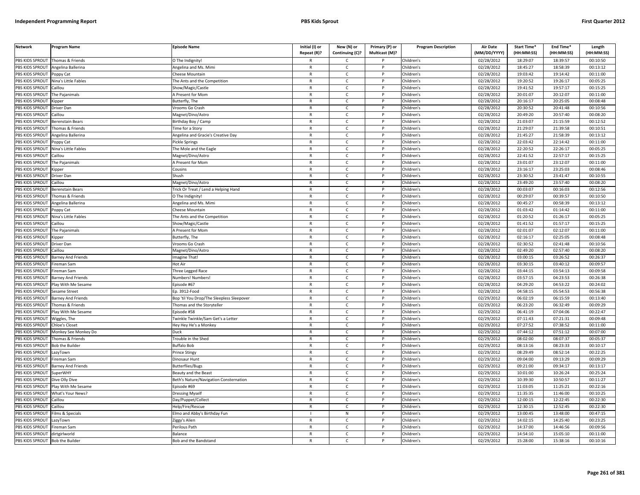| PBS KIDS SPROUT<br>Children's<br>02/28/2012<br>18:29:07<br>18:39:57<br>00:10:50<br>Thomas & Friends<br>O The Indignity!<br>Ċ<br>R<br><b>PBS KIDS SPROUT</b><br>Angelina Ballerina<br>Children's<br>02/28/2012<br>18:45:27<br>18:58:39<br>00:13:12<br>Angelina and Ms. Mimi<br>$\mathsf{R}$<br>$\mathsf{C}$<br>P<br><b>BS KIDS SPROUT</b><br>Children's<br>02/28/2012<br>19:03:42<br>19:14:42<br>00:11:00<br>Poppy Cat<br>heese Mountain<br>$\mathsf{R}$<br>$\mathsf{C}$<br>PBS KIDS SPROUT<br>$\mathsf{R}$<br>$\mathsf{C}$<br>Þ<br>Children's<br>02/28/2012<br>19:20:52<br>19:26:17<br>00:05:25<br>Vina's Little Fables<br>The Ants and the Competition<br>PBS KIDS SPROUT<br>$\mathsf{R}$<br>C<br>Children's<br>02/28/2012<br>19:41:52<br>19:57:17<br>00:15:25<br>Caillou<br>Show/Magic/Castle<br>$\mathsf{C}$<br>02/28/2012<br>20:01:07<br>20:12:07<br>PBS KIDS SPROUT<br>he Pajanimals<br>$\mathsf{R}$<br>P<br>Children's<br>00:11:00<br>A Present for Mom<br>PBS KIDS SPROUT<br>02/28/2012<br>20:16:17<br>20:25:05<br>00:08:48<br>Butterfly, The<br>$\mathsf{C}$<br>Children's<br>R<br>P<br>Kipper<br>$\mathsf{R}$<br>$\mathsf{C}$<br>P<br>02/28/2012<br>20:30:52<br>00:10:56<br>PBS KIDS SPROUT<br>Children's<br>20:41:48<br>Driver Dan<br>/rooms Go Crash<br>PBS KIDS SPROUT<br>$\mathsf{C}$<br>Children's<br>02/28/2012<br>20:49:20<br>20:57:40<br>00:08:20<br>Caillou<br>Magnet/Dino/Astro<br>$\mathsf{R}$<br>$\mathsf{P}$<br>02/28/2012<br>21:03:07<br>00:12:52<br>PBS KIDS SPROUT<br>$\mathsf{C}$<br>Children's<br>21:15:59<br>$\mathsf{R}$<br>Berenstain Bears<br>Birthday Boy / Camp<br>$\mathsf{C}$<br>02/28/2012<br>21:29:07<br>21:39:58<br>00:10:51<br>PBS KIDS SPROUT<br>homas & Friends<br>'ime for a Story<br>$\mathsf{R}$<br>P<br>Children's<br>$\mathsf{C}$<br>Children's<br>02/28/2012<br>21:45:27<br>21:58:39<br>00:13:12<br>PBS KIDS SPROUT<br>Angelina and Gracie's Creative Day<br>$\mathsf{R}$<br>Angelina Ballerina<br>PBS KIDS SPROUT<br>Pickle Springs<br>$\mathsf{R}$<br>$\mathsf{C}$<br>P<br>Children's<br>02/28/2012<br>22:03:42<br>22:14:42<br>00:11:00<br>oppy Cat<br>02/28/2012<br>22:20:52<br>22:26:17<br>00:05:25<br>PBS KIDS SPROUT<br>Vina's Little Fables<br>he Mole and the Eagle<br>R<br>$\mathsf{C}$<br>Children's<br>22:41:52<br>22:57:17<br>PBS KIDS SPROUT<br>Caillou<br>Magnet/Dino/Astro<br>$\mathsf{R}$<br>$\mathsf{C}$<br>$\mathsf{P}$<br>Children's<br>02/28/2012<br>00:15:25<br>PBS KIDS SPROUT<br>The Pajanimals<br>A Present for Mom<br>Children's<br>02/28/2012<br>23:01:07<br>23:12:07<br>00:11:00<br>R<br>C<br>P<br>PBS KIDS SPROUT<br>$\mathsf{C}$<br>Children's<br>02/28/2012<br>23:16:17<br>23:25:03<br>00:08:46<br>Kipper<br>Cousins<br>R<br>P<br>PBS KIDS SPROUT<br>Children's<br>02/28/2012<br>23:30:52<br>23:41:47<br>00:10:55<br>Driver Dan<br>Shush<br>$\mathsf{R}$<br>$\mathsf{C}$<br>P<br>02/28/2012<br>23:49:20<br>23:57:40<br>00:08:20<br>PBS KIDS SPROUT<br>aillou<br>$\mathsf{R}$<br>$\mathsf{C}$<br>P<br>Children's<br>Magnet/Dino/Astro<br>02/28/2012<br>00:03:07<br>00:16:03<br>00:12:56<br>PBS KIDS SPROUT<br>Berenstain Bears<br>rick Or Treat / Lend a Helping Hand<br>R<br>C.<br>Children's<br><b>BS KIDS SPROUT</b><br>$\mathsf{R}$<br>$\mathsf{C}$<br>D<br>Children's<br>02/28/2012<br>00:29:07<br>00:39:57<br>00:10:50<br>homas & Friends<br>O The Indignity<br><b>BS KIDS SPROUT</b><br>Angelina Ballerina<br>Children's<br>02/28/2012<br>00:45:27<br>00:58:39<br>00:13:12<br>Angelina and Ms. Mimi<br>R<br>C<br>$\mathsf{C}$<br>02/28/2012<br>01:03:42<br>PBS KIDS SPROUT<br>$\mathsf{R}$<br>Þ<br>Children's<br>01:14:42<br>00:11:00<br>oppy Cat<br>Cheese Mountain<br>PBS KIDS SPROUT<br>Nina's Little Fables<br>R<br>$\mathsf{C}$<br>Children's<br>02/28/2012<br>01:20:52<br>01:26:17<br>00:05:25<br>he Ants and the Competition<br>P<br>PBS KIDS SPROUT<br>$\mathsf{C}$<br>02/28/2012<br>01:41:52<br>01:57:17<br>00:15:25<br>$\mathsf{R}$<br>P<br>Children's<br>aillou<br>Show/Magic/Castle<br>02:01:07<br>PBS KIDS SPROUT<br>$\mathsf{C}$<br>Children's<br>02/28/2012<br>02:12:07<br>00:11:00<br>The Pajanimals<br>A Present for Mom<br>$\mathsf{R}$<br>P<br>02/28/2012<br>02:16:17<br>02:25:05<br>00:08:48<br>PBS KIDS SPROUT<br>R<br>$\mathsf{C}$<br>Children's<br>Butterfly, The<br><b>Kipper</b><br>$\mathsf{C}$<br>PBS KIDS SPROUT<br>$\mathsf{R}$<br>$\mathsf{P}$<br>Children's<br>02/28/2012<br>02:30:52<br>02:41:48<br>00:10:56<br>Driver Dan<br>Vrooms Go Crash<br>PBS KIDS SPROUT<br>Children's<br>02/28/2012<br>02:49:20<br>02:57:40<br>00:08:20<br>$\mathsf{R}$<br>$\mathsf{C}$<br>aillou<br>Magnet/Dino/Astro<br>03:00:15<br>03:26:52<br>00:26:37<br>PBS KIDS SPROUT<br>Children's<br>02/28/2012<br><b>Barney And Friends</b><br>magine That!<br>$\mathsf{R}$<br>$\mathsf{C}$<br>P<br>02/28/2012<br>03:40:12<br>PBS KIDS SPROUT<br>ireman Sam<br>lot Air<br>R<br>$\mathsf{C}$<br>Children's<br>03:30:15<br>00:09:57<br>P<br>03:54:13<br>PBS KIDS SPROUT<br>ireman Sam<br>$\mathsf{R}$<br>$\mathsf{C}$<br>$\mathsf{P}$<br>Children's<br>02/28/2012<br>03:44:15<br>00:09:58<br>hree Legged Race<br>PBS KIDS SPROUT<br>$\mathsf{C}$<br>Children's<br>02/28/2012<br>03:57:15<br>04:23:53<br>00:26:38<br><b>Barney And Friends</b><br>Numbers! Numbers!<br>$\mathsf{R}$<br>P<br>PBS KIDS SPROUT<br>Play With Me Sesame<br>$\mathsf{C}$<br>Children's<br>02/28/2012<br>04:29:20<br>04:53:22<br>00:24:02<br>Episode #67<br>R<br>P<br>PBS KIDS SPROUT<br><b>Sesame Street</b><br>Ep. 3912-Food<br>$\mathsf{C}$<br>Children's<br>02/28/2012<br>04:58:15<br>05:54:53<br>00:56:38<br>R<br>P<br>02/29/2012<br>06:02:19<br>06:15:59<br>00:13:40<br>PBS KIDS SPROUT<br><b>Barney And Friends</b><br>Bop 'til You Drop/The Sleepless Sleepover<br>$\mathsf{R}$<br>$\mathsf{C}$<br>P<br>Children's<br>02/29/2012<br>06:23:20<br>06:32:49<br>00:09:29<br>PBS KIDS SPROUT<br>Thomas & Friends<br>homas and the Storyteller<br>R<br>$\mathsf{C}$<br>Children's<br>PBS KIDS SPROUT<br>Play With Me Sesame<br>$\mathsf{R}$<br>$\mathsf{C}$<br>D<br>Children's<br>02/29/2012<br>06:41:19<br>07:04:06<br>00:22:47<br>pisode #58<br>PBS KIDS SPROUT<br>winkle Twinkle/Sam Get's a Letter<br>R<br>C<br>Children's<br>02/29/2012<br>07:11:43<br>07:21:31<br>00:09:48<br>Wiggles, The<br>07:27:52<br>PBS KIDS SPROUT<br>$\mathsf{R}$<br>$\mathsf{C}$<br>Children's<br>02/29/2012<br>07:38:52<br>00:11:00<br>Chloe's Closet<br>ley Hey He's a Monkey<br><b>BS KIDS SPROUT</b><br>02/29/2012<br>07:44:12<br>07:51:12<br>00:07:00<br>$\mathsf{C}$<br>Children's<br>Monkey See Monkey Do<br>Duck<br>$\mathsf{R}$<br>P<br>$\mathsf{C}$<br>02/29/2012<br>08:02:00<br>08:07:37<br>00:05:37<br>PBS KIDS SPROUT<br>rouble in the Shed<br>$\mathsf{R}$<br>Þ<br>Children's<br>Thomas & Friends<br>08:23:33<br>00:10:17<br>PBS KIDS SPROUT<br>Buffalo Bob<br>$\mathsf{C}$<br>Children's<br>02/29/2012<br>08:13:16<br><b>Bob the Builder</b><br>$\mathsf{R}$<br>P<br>02/29/2012<br>08:29:49<br>08:52:14<br>00:22:25<br>PBS KIDS SPROUT<br>$\mathsf{R}$<br>$\mathsf{C}$<br>Children's<br>rince Stingy<br>D<br>azyTown<br>09:04:00<br>09:13:29<br>00:09:29<br>PBS KIDS SPROUT<br>$\mathsf{C}$<br>Children's<br>02/29/2012<br>ireman Sam<br>Dinosaur Hunt<br>$\mathsf{R}$<br>P<br>PBS KIDS SPROUT<br>$\mathsf{C}$<br>Children's<br>02/29/2012<br>09:21:00<br>09:34:17<br>00:13:17<br>$\mathsf{R}$<br><b>Barney And Friends</b><br><b>Butterflies/Bugs</b><br>D<br>10:01:00<br>10:26:24<br>PBS KIDS SPROUT<br><b>SuperWHY</b><br>$\mathsf{C}$<br>Children's<br>02/29/2012<br>00:25:24<br>Beauty and the Beast<br>R<br>P<br>02/29/2012<br>PBS KIDS SPROUT<br>Dive Olly Dive<br>Beth's Nature/Navigation Consternation<br>$\mathsf{R}$<br>$\mathsf{C}$<br>P<br>Children's<br>10:39:30<br>10:50:57<br>00:11:27<br>11:03:05<br>00:22:16<br>PBS KIDS SPROUT<br>Play With Me Sesame<br>pisode #69<br>$\mathsf{R}$<br>$\mathsf{C}$<br>$\mathsf{P}$<br>Children's<br>02/29/2012<br>11:25:21<br>02/29/2012<br>11:46:00<br>PBS KIDS SPROUT<br>What's Your News?<br>Dressing Myself<br>$\mathsf{R}$<br>C<br>Children's<br>11:35:35<br>00:10:25<br>PBS KIDS SPROUT<br>$\mathsf{C}$<br>Children's<br>02/29/2012<br>12:00:15<br>12:22:45<br>00:22:30<br>Caillou<br>Day/Puppet/Collect<br>R<br>P<br>PBS KIDS SPROUT<br>Children's<br>02/29/2012<br>12:30:15<br>12:52:45<br>00:22:30<br>Caillou<br>lelp/Fire/Rescue<br>$\mathsf{R}$<br>C<br>P<br>02/29/2012<br>13:00:45<br>13:48:00<br>00:47:15<br>PBS KIDS SPROUT<br>ilms & Specials<br>Elmo and Abby's Birthday Fun<br>$\blacksquare$<br>N<br>P<br>Children's<br>02/29/2012<br>14:02:15<br>14:25:40<br>00:23:25<br>PBS KIDS SPROUT<br>LazyTown<br>liggy's Alien<br>R<br>Ċ<br>Children's<br>PBS KIDS SPROUT<br>Children's<br>02/29/2012<br>14:37:00<br>14:46:56<br>00:09:56<br>ireman Sam<br>erilous Path<br>$\mathsf{R}$<br>$\mathsf{C}$<br>P<br>PBS KIDS SPROUT<br>Children's<br>02/29/2012<br>14:54:10<br>15:05:10<br>00:11:00<br>dirtgirlworld<br>Balance<br>R<br>C<br>PBS KIDS SPROUT<br>02/29/2012<br>15:28:00<br>15:38:16<br><b>Bob the Builder</b><br><b>Bob and the Bandstand</b><br>R<br>$\mathsf{C}$<br>Children's<br>00:10:16 | <b>Network</b> | Program Name | <b>Episode Name</b> | Initial (I) or | New (N) or      | Primary (P) or | <b>Program Description</b> | <b>Air Date</b> | Start Time* | End Time*  | Length     |
|-------------------------------------------------------------------------------------------------------------------------------------------------------------------------------------------------------------------------------------------------------------------------------------------------------------------------------------------------------------------------------------------------------------------------------------------------------------------------------------------------------------------------------------------------------------------------------------------------------------------------------------------------------------------------------------------------------------------------------------------------------------------------------------------------------------------------------------------------------------------------------------------------------------------------------------------------------------------------------------------------------------------------------------------------------------------------------------------------------------------------------------------------------------------------------------------------------------------------------------------------------------------------------------------------------------------------------------------------------------------------------------------------------------------------------------------------------------------------------------------------------------------------------------------------------------------------------------------------------------------------------------------------------------------------------------------------------------------------------------------------------------------------------------------------------------------------------------------------------------------------------------------------------------------------------------------------------------------------------------------------------------------------------------------------------------------------------------------------------------------------------------------------------------------------------------------------------------------------------------------------------------------------------------------------------------------------------------------------------------------------------------------------------------------------------------------------------------------------------------------------------------------------------------------------------------------------------------------------------------------------------------------------------------------------------------------------------------------------------------------------------------------------------------------------------------------------------------------------------------------------------------------------------------------------------------------------------------------------------------------------------------------------------------------------------------------------------------------------------------------------------------------------------------------------------------------------------------------------------------------------------------------------------------------------------------------------------------------------------------------------------------------------------------------------------------------------------------------------------------------------------------------------------------------------------------------------------------------------------------------------------------------------------------------------------------------------------------------------------------------------------------------------------------------------------------------------------------------------------------------------------------------------------------------------------------------------------------------------------------------------------------------------------------------------------------------------------------------------------------------------------------------------------------------------------------------------------------------------------------------------------------------------------------------------------------------------------------------------------------------------------------------------------------------------------------------------------------------------------------------------------------------------------------------------------------------------------------------------------------------------------------------------------------------------------------------------------------------------------------------------------------------------------------------------------------------------------------------------------------------------------------------------------------------------------------------------------------------------------------------------------------------------------------------------------------------------------------------------------------------------------------------------------------------------------------------------------------------------------------------------------------------------------------------------------------------------------------------------------------------------------------------------------------------------------------------------------------------------------------------------------------------------------------------------------------------------------------------------------------------------------------------------------------------------------------------------------------------------------------------------------------------------------------------------------------------------------------------------------------------------------------------------------------------------------------------------------------------------------------------------------------------------------------------------------------------------------------------------------------------------------------------------------------------------------------------------------------------------------------------------------------------------------------------------------------------------------------------------------------------------------------------------------------------------------------------------------------------------------------------------------------------------------------------------------------------------------------------------------------------------------------------------------------------------------------------------------------------------------------------------------------------------------------------------------------------------------------------------------------------------------------------------------------------------------------------------------------------------------------------------------------------------------------------------------------------------------------------------------------------------------------------------------------------------------------------------------------------------------------------------------------------------------------------------------------------------------------------------------------------------------------------------------------------------------------------------------------------------------------------------------------------------------------------------------------------------------------------------------------------------------------------------------------------------------------------------------------------------------------------------------------------------------------------------------------------------------------------------------------------------------------------------------------------------------------------------------------------------------------------------------------------------------------------------------------------------------------------------------------------------------------------------------------------------------------------------------------------------------------------------------------------------------------------------------------------------------------------------------------------------------------------------------------------------------------------------------------------------------------------------------------------------------------------------------------------------------------------------------------------------------------------------------------------------------------------------------------------------------------------------------------------------------------------------------------------------------------------------------------------------------------------------------------------------------------------------------------------------------------------------------------------------------------------------------------------------------------------------------------------------------------|----------------|--------------|---------------------|----------------|-----------------|----------------|----------------------------|-----------------|-------------|------------|------------|
|                                                                                                                                                                                                                                                                                                                                                                                                                                                                                                                                                                                                                                                                                                                                                                                                                                                                                                                                                                                                                                                                                                                                                                                                                                                                                                                                                                                                                                                                                                                                                                                                                                                                                                                                                                                                                                                                                                                                                                                                                                                                                                                                                                                                                                                                                                                                                                                                                                                                                                                                                                                                                                                                                                                                                                                                                                                                                                                                                                                                                                                                                                                                                                                                                                                                                                                                                                                                                                                                                                                                                                                                                                                                                                                                                                                                                                                                                                                                                                                                                                                                                                                                                                                                                                                                                                                                                                                                                                                                                                                                                                                                                                                                                                                                                                                                                                                                                                                                                                                                                                                                                                                                                                                                                                                                                                                                                                                                                                                                                                                                                                                                                                                                                                                                                                                                                                                                                                                                                                                                                                                                                                                                                                                                                                                                                                                                                                                                                                                                                                                                                                                                                                                                                                                                                                                                                                                                                                                                                                                                                                                                                                                                                                                                                                                                                                                                                                                                                                                                                                                                                                                                                                                                                                                                                                                                                                                                                                                                                                                                                                                                                                                                                                                                                                                                                                                                                                                                                                                                                                                                                                                                                                                                                                                                                                                                                                                                                                                                                                                                                                                                                                                                     |                |              |                     | Repeat (R)?    | Continuing (C)? | Multicast (M)? |                            | (MM/DD/YYYY)    | (HH:MM:SS)  | (HH:MM:SS) | (HH:MM:SS) |
|                                                                                                                                                                                                                                                                                                                                                                                                                                                                                                                                                                                                                                                                                                                                                                                                                                                                                                                                                                                                                                                                                                                                                                                                                                                                                                                                                                                                                                                                                                                                                                                                                                                                                                                                                                                                                                                                                                                                                                                                                                                                                                                                                                                                                                                                                                                                                                                                                                                                                                                                                                                                                                                                                                                                                                                                                                                                                                                                                                                                                                                                                                                                                                                                                                                                                                                                                                                                                                                                                                                                                                                                                                                                                                                                                                                                                                                                                                                                                                                                                                                                                                                                                                                                                                                                                                                                                                                                                                                                                                                                                                                                                                                                                                                                                                                                                                                                                                                                                                                                                                                                                                                                                                                                                                                                                                                                                                                                                                                                                                                                                                                                                                                                                                                                                                                                                                                                                                                                                                                                                                                                                                                                                                                                                                                                                                                                                                                                                                                                                                                                                                                                                                                                                                                                                                                                                                                                                                                                                                                                                                                                                                                                                                                                                                                                                                                                                                                                                                                                                                                                                                                                                                                                                                                                                                                                                                                                                                                                                                                                                                                                                                                                                                                                                                                                                                                                                                                                                                                                                                                                                                                                                                                                                                                                                                                                                                                                                                                                                                                                                                                                                                                                     |                |              |                     |                |                 |                |                            |                 |             |            |            |
|                                                                                                                                                                                                                                                                                                                                                                                                                                                                                                                                                                                                                                                                                                                                                                                                                                                                                                                                                                                                                                                                                                                                                                                                                                                                                                                                                                                                                                                                                                                                                                                                                                                                                                                                                                                                                                                                                                                                                                                                                                                                                                                                                                                                                                                                                                                                                                                                                                                                                                                                                                                                                                                                                                                                                                                                                                                                                                                                                                                                                                                                                                                                                                                                                                                                                                                                                                                                                                                                                                                                                                                                                                                                                                                                                                                                                                                                                                                                                                                                                                                                                                                                                                                                                                                                                                                                                                                                                                                                                                                                                                                                                                                                                                                                                                                                                                                                                                                                                                                                                                                                                                                                                                                                                                                                                                                                                                                                                                                                                                                                                                                                                                                                                                                                                                                                                                                                                                                                                                                                                                                                                                                                                                                                                                                                                                                                                                                                                                                                                                                                                                                                                                                                                                                                                                                                                                                                                                                                                                                                                                                                                                                                                                                                                                                                                                                                                                                                                                                                                                                                                                                                                                                                                                                                                                                                                                                                                                                                                                                                                                                                                                                                                                                                                                                                                                                                                                                                                                                                                                                                                                                                                                                                                                                                                                                                                                                                                                                                                                                                                                                                                                                                     |                |              |                     |                |                 |                |                            |                 |             |            |            |
|                                                                                                                                                                                                                                                                                                                                                                                                                                                                                                                                                                                                                                                                                                                                                                                                                                                                                                                                                                                                                                                                                                                                                                                                                                                                                                                                                                                                                                                                                                                                                                                                                                                                                                                                                                                                                                                                                                                                                                                                                                                                                                                                                                                                                                                                                                                                                                                                                                                                                                                                                                                                                                                                                                                                                                                                                                                                                                                                                                                                                                                                                                                                                                                                                                                                                                                                                                                                                                                                                                                                                                                                                                                                                                                                                                                                                                                                                                                                                                                                                                                                                                                                                                                                                                                                                                                                                                                                                                                                                                                                                                                                                                                                                                                                                                                                                                                                                                                                                                                                                                                                                                                                                                                                                                                                                                                                                                                                                                                                                                                                                                                                                                                                                                                                                                                                                                                                                                                                                                                                                                                                                                                                                                                                                                                                                                                                                                                                                                                                                                                                                                                                                                                                                                                                                                                                                                                                                                                                                                                                                                                                                                                                                                                                                                                                                                                                                                                                                                                                                                                                                                                                                                                                                                                                                                                                                                                                                                                                                                                                                                                                                                                                                                                                                                                                                                                                                                                                                                                                                                                                                                                                                                                                                                                                                                                                                                                                                                                                                                                                                                                                                                                                     |                |              |                     |                |                 |                |                            |                 |             |            |            |
|                                                                                                                                                                                                                                                                                                                                                                                                                                                                                                                                                                                                                                                                                                                                                                                                                                                                                                                                                                                                                                                                                                                                                                                                                                                                                                                                                                                                                                                                                                                                                                                                                                                                                                                                                                                                                                                                                                                                                                                                                                                                                                                                                                                                                                                                                                                                                                                                                                                                                                                                                                                                                                                                                                                                                                                                                                                                                                                                                                                                                                                                                                                                                                                                                                                                                                                                                                                                                                                                                                                                                                                                                                                                                                                                                                                                                                                                                                                                                                                                                                                                                                                                                                                                                                                                                                                                                                                                                                                                                                                                                                                                                                                                                                                                                                                                                                                                                                                                                                                                                                                                                                                                                                                                                                                                                                                                                                                                                                                                                                                                                                                                                                                                                                                                                                                                                                                                                                                                                                                                                                                                                                                                                                                                                                                                                                                                                                                                                                                                                                                                                                                                                                                                                                                                                                                                                                                                                                                                                                                                                                                                                                                                                                                                                                                                                                                                                                                                                                                                                                                                                                                                                                                                                                                                                                                                                                                                                                                                                                                                                                                                                                                                                                                                                                                                                                                                                                                                                                                                                                                                                                                                                                                                                                                                                                                                                                                                                                                                                                                                                                                                                                                                     |                |              |                     |                |                 |                |                            |                 |             |            |            |
|                                                                                                                                                                                                                                                                                                                                                                                                                                                                                                                                                                                                                                                                                                                                                                                                                                                                                                                                                                                                                                                                                                                                                                                                                                                                                                                                                                                                                                                                                                                                                                                                                                                                                                                                                                                                                                                                                                                                                                                                                                                                                                                                                                                                                                                                                                                                                                                                                                                                                                                                                                                                                                                                                                                                                                                                                                                                                                                                                                                                                                                                                                                                                                                                                                                                                                                                                                                                                                                                                                                                                                                                                                                                                                                                                                                                                                                                                                                                                                                                                                                                                                                                                                                                                                                                                                                                                                                                                                                                                                                                                                                                                                                                                                                                                                                                                                                                                                                                                                                                                                                                                                                                                                                                                                                                                                                                                                                                                                                                                                                                                                                                                                                                                                                                                                                                                                                                                                                                                                                                                                                                                                                                                                                                                                                                                                                                                                                                                                                                                                                                                                                                                                                                                                                                                                                                                                                                                                                                                                                                                                                                                                                                                                                                                                                                                                                                                                                                                                                                                                                                                                                                                                                                                                                                                                                                                                                                                                                                                                                                                                                                                                                                                                                                                                                                                                                                                                                                                                                                                                                                                                                                                                                                                                                                                                                                                                                                                                                                                                                                                                                                                                                                     |                |              |                     |                |                 |                |                            |                 |             |            |            |
|                                                                                                                                                                                                                                                                                                                                                                                                                                                                                                                                                                                                                                                                                                                                                                                                                                                                                                                                                                                                                                                                                                                                                                                                                                                                                                                                                                                                                                                                                                                                                                                                                                                                                                                                                                                                                                                                                                                                                                                                                                                                                                                                                                                                                                                                                                                                                                                                                                                                                                                                                                                                                                                                                                                                                                                                                                                                                                                                                                                                                                                                                                                                                                                                                                                                                                                                                                                                                                                                                                                                                                                                                                                                                                                                                                                                                                                                                                                                                                                                                                                                                                                                                                                                                                                                                                                                                                                                                                                                                                                                                                                                                                                                                                                                                                                                                                                                                                                                                                                                                                                                                                                                                                                                                                                                                                                                                                                                                                                                                                                                                                                                                                                                                                                                                                                                                                                                                                                                                                                                                                                                                                                                                                                                                                                                                                                                                                                                                                                                                                                                                                                                                                                                                                                                                                                                                                                                                                                                                                                                                                                                                                                                                                                                                                                                                                                                                                                                                                                                                                                                                                                                                                                                                                                                                                                                                                                                                                                                                                                                                                                                                                                                                                                                                                                                                                                                                                                                                                                                                                                                                                                                                                                                                                                                                                                                                                                                                                                                                                                                                                                                                                                                     |                |              |                     |                |                 |                |                            |                 |             |            |            |
|                                                                                                                                                                                                                                                                                                                                                                                                                                                                                                                                                                                                                                                                                                                                                                                                                                                                                                                                                                                                                                                                                                                                                                                                                                                                                                                                                                                                                                                                                                                                                                                                                                                                                                                                                                                                                                                                                                                                                                                                                                                                                                                                                                                                                                                                                                                                                                                                                                                                                                                                                                                                                                                                                                                                                                                                                                                                                                                                                                                                                                                                                                                                                                                                                                                                                                                                                                                                                                                                                                                                                                                                                                                                                                                                                                                                                                                                                                                                                                                                                                                                                                                                                                                                                                                                                                                                                                                                                                                                                                                                                                                                                                                                                                                                                                                                                                                                                                                                                                                                                                                                                                                                                                                                                                                                                                                                                                                                                                                                                                                                                                                                                                                                                                                                                                                                                                                                                                                                                                                                                                                                                                                                                                                                                                                                                                                                                                                                                                                                                                                                                                                                                                                                                                                                                                                                                                                                                                                                                                                                                                                                                                                                                                                                                                                                                                                                                                                                                                                                                                                                                                                                                                                                                                                                                                                                                                                                                                                                                                                                                                                                                                                                                                                                                                                                                                                                                                                                                                                                                                                                                                                                                                                                                                                                                                                                                                                                                                                                                                                                                                                                                                                                     |                |              |                     |                |                 |                |                            |                 |             |            |            |
|                                                                                                                                                                                                                                                                                                                                                                                                                                                                                                                                                                                                                                                                                                                                                                                                                                                                                                                                                                                                                                                                                                                                                                                                                                                                                                                                                                                                                                                                                                                                                                                                                                                                                                                                                                                                                                                                                                                                                                                                                                                                                                                                                                                                                                                                                                                                                                                                                                                                                                                                                                                                                                                                                                                                                                                                                                                                                                                                                                                                                                                                                                                                                                                                                                                                                                                                                                                                                                                                                                                                                                                                                                                                                                                                                                                                                                                                                                                                                                                                                                                                                                                                                                                                                                                                                                                                                                                                                                                                                                                                                                                                                                                                                                                                                                                                                                                                                                                                                                                                                                                                                                                                                                                                                                                                                                                                                                                                                                                                                                                                                                                                                                                                                                                                                                                                                                                                                                                                                                                                                                                                                                                                                                                                                                                                                                                                                                                                                                                                                                                                                                                                                                                                                                                                                                                                                                                                                                                                                                                                                                                                                                                                                                                                                                                                                                                                                                                                                                                                                                                                                                                                                                                                                                                                                                                                                                                                                                                                                                                                                                                                                                                                                                                                                                                                                                                                                                                                                                                                                                                                                                                                                                                                                                                                                                                                                                                                                                                                                                                                                                                                                                                                     |                |              |                     |                |                 |                |                            |                 |             |            |            |
|                                                                                                                                                                                                                                                                                                                                                                                                                                                                                                                                                                                                                                                                                                                                                                                                                                                                                                                                                                                                                                                                                                                                                                                                                                                                                                                                                                                                                                                                                                                                                                                                                                                                                                                                                                                                                                                                                                                                                                                                                                                                                                                                                                                                                                                                                                                                                                                                                                                                                                                                                                                                                                                                                                                                                                                                                                                                                                                                                                                                                                                                                                                                                                                                                                                                                                                                                                                                                                                                                                                                                                                                                                                                                                                                                                                                                                                                                                                                                                                                                                                                                                                                                                                                                                                                                                                                                                                                                                                                                                                                                                                                                                                                                                                                                                                                                                                                                                                                                                                                                                                                                                                                                                                                                                                                                                                                                                                                                                                                                                                                                                                                                                                                                                                                                                                                                                                                                                                                                                                                                                                                                                                                                                                                                                                                                                                                                                                                                                                                                                                                                                                                                                                                                                                                                                                                                                                                                                                                                                                                                                                                                                                                                                                                                                                                                                                                                                                                                                                                                                                                                                                                                                                                                                                                                                                                                                                                                                                                                                                                                                                                                                                                                                                                                                                                                                                                                                                                                                                                                                                                                                                                                                                                                                                                                                                                                                                                                                                                                                                                                                                                                                                                     |                |              |                     |                |                 |                |                            |                 |             |            |            |
|                                                                                                                                                                                                                                                                                                                                                                                                                                                                                                                                                                                                                                                                                                                                                                                                                                                                                                                                                                                                                                                                                                                                                                                                                                                                                                                                                                                                                                                                                                                                                                                                                                                                                                                                                                                                                                                                                                                                                                                                                                                                                                                                                                                                                                                                                                                                                                                                                                                                                                                                                                                                                                                                                                                                                                                                                                                                                                                                                                                                                                                                                                                                                                                                                                                                                                                                                                                                                                                                                                                                                                                                                                                                                                                                                                                                                                                                                                                                                                                                                                                                                                                                                                                                                                                                                                                                                                                                                                                                                                                                                                                                                                                                                                                                                                                                                                                                                                                                                                                                                                                                                                                                                                                                                                                                                                                                                                                                                                                                                                                                                                                                                                                                                                                                                                                                                                                                                                                                                                                                                                                                                                                                                                                                                                                                                                                                                                                                                                                                                                                                                                                                                                                                                                                                                                                                                                                                                                                                                                                                                                                                                                                                                                                                                                                                                                                                                                                                                                                                                                                                                                                                                                                                                                                                                                                                                                                                                                                                                                                                                                                                                                                                                                                                                                                                                                                                                                                                                                                                                                                                                                                                                                                                                                                                                                                                                                                                                                                                                                                                                                                                                                                                     |                |              |                     |                |                 |                |                            |                 |             |            |            |
|                                                                                                                                                                                                                                                                                                                                                                                                                                                                                                                                                                                                                                                                                                                                                                                                                                                                                                                                                                                                                                                                                                                                                                                                                                                                                                                                                                                                                                                                                                                                                                                                                                                                                                                                                                                                                                                                                                                                                                                                                                                                                                                                                                                                                                                                                                                                                                                                                                                                                                                                                                                                                                                                                                                                                                                                                                                                                                                                                                                                                                                                                                                                                                                                                                                                                                                                                                                                                                                                                                                                                                                                                                                                                                                                                                                                                                                                                                                                                                                                                                                                                                                                                                                                                                                                                                                                                                                                                                                                                                                                                                                                                                                                                                                                                                                                                                                                                                                                                                                                                                                                                                                                                                                                                                                                                                                                                                                                                                                                                                                                                                                                                                                                                                                                                                                                                                                                                                                                                                                                                                                                                                                                                                                                                                                                                                                                                                                                                                                                                                                                                                                                                                                                                                                                                                                                                                                                                                                                                                                                                                                                                                                                                                                                                                                                                                                                                                                                                                                                                                                                                                                                                                                                                                                                                                                                                                                                                                                                                                                                                                                                                                                                                                                                                                                                                                                                                                                                                                                                                                                                                                                                                                                                                                                                                                                                                                                                                                                                                                                                                                                                                                                                     |                |              |                     |                |                 |                |                            |                 |             |            |            |
|                                                                                                                                                                                                                                                                                                                                                                                                                                                                                                                                                                                                                                                                                                                                                                                                                                                                                                                                                                                                                                                                                                                                                                                                                                                                                                                                                                                                                                                                                                                                                                                                                                                                                                                                                                                                                                                                                                                                                                                                                                                                                                                                                                                                                                                                                                                                                                                                                                                                                                                                                                                                                                                                                                                                                                                                                                                                                                                                                                                                                                                                                                                                                                                                                                                                                                                                                                                                                                                                                                                                                                                                                                                                                                                                                                                                                                                                                                                                                                                                                                                                                                                                                                                                                                                                                                                                                                                                                                                                                                                                                                                                                                                                                                                                                                                                                                                                                                                                                                                                                                                                                                                                                                                                                                                                                                                                                                                                                                                                                                                                                                                                                                                                                                                                                                                                                                                                                                                                                                                                                                                                                                                                                                                                                                                                                                                                                                                                                                                                                                                                                                                                                                                                                                                                                                                                                                                                                                                                                                                                                                                                                                                                                                                                                                                                                                                                                                                                                                                                                                                                                                                                                                                                                                                                                                                                                                                                                                                                                                                                                                                                                                                                                                                                                                                                                                                                                                                                                                                                                                                                                                                                                                                                                                                                                                                                                                                                                                                                                                                                                                                                                                                                     |                |              |                     |                |                 |                |                            |                 |             |            |            |
|                                                                                                                                                                                                                                                                                                                                                                                                                                                                                                                                                                                                                                                                                                                                                                                                                                                                                                                                                                                                                                                                                                                                                                                                                                                                                                                                                                                                                                                                                                                                                                                                                                                                                                                                                                                                                                                                                                                                                                                                                                                                                                                                                                                                                                                                                                                                                                                                                                                                                                                                                                                                                                                                                                                                                                                                                                                                                                                                                                                                                                                                                                                                                                                                                                                                                                                                                                                                                                                                                                                                                                                                                                                                                                                                                                                                                                                                                                                                                                                                                                                                                                                                                                                                                                                                                                                                                                                                                                                                                                                                                                                                                                                                                                                                                                                                                                                                                                                                                                                                                                                                                                                                                                                                                                                                                                                                                                                                                                                                                                                                                                                                                                                                                                                                                                                                                                                                                                                                                                                                                                                                                                                                                                                                                                                                                                                                                                                                                                                                                                                                                                                                                                                                                                                                                                                                                                                                                                                                                                                                                                                                                                                                                                                                                                                                                                                                                                                                                                                                                                                                                                                                                                                                                                                                                                                                                                                                                                                                                                                                                                                                                                                                                                                                                                                                                                                                                                                                                                                                                                                                                                                                                                                                                                                                                                                                                                                                                                                                                                                                                                                                                                                                     |                |              |                     |                |                 |                |                            |                 |             |            |            |
|                                                                                                                                                                                                                                                                                                                                                                                                                                                                                                                                                                                                                                                                                                                                                                                                                                                                                                                                                                                                                                                                                                                                                                                                                                                                                                                                                                                                                                                                                                                                                                                                                                                                                                                                                                                                                                                                                                                                                                                                                                                                                                                                                                                                                                                                                                                                                                                                                                                                                                                                                                                                                                                                                                                                                                                                                                                                                                                                                                                                                                                                                                                                                                                                                                                                                                                                                                                                                                                                                                                                                                                                                                                                                                                                                                                                                                                                                                                                                                                                                                                                                                                                                                                                                                                                                                                                                                                                                                                                                                                                                                                                                                                                                                                                                                                                                                                                                                                                                                                                                                                                                                                                                                                                                                                                                                                                                                                                                                                                                                                                                                                                                                                                                                                                                                                                                                                                                                                                                                                                                                                                                                                                                                                                                                                                                                                                                                                                                                                                                                                                                                                                                                                                                                                                                                                                                                                                                                                                                                                                                                                                                                                                                                                                                                                                                                                                                                                                                                                                                                                                                                                                                                                                                                                                                                                                                                                                                                                                                                                                                                                                                                                                                                                                                                                                                                                                                                                                                                                                                                                                                                                                                                                                                                                                                                                                                                                                                                                                                                                                                                                                                                                                     |                |              |                     |                |                 |                |                            |                 |             |            |            |
|                                                                                                                                                                                                                                                                                                                                                                                                                                                                                                                                                                                                                                                                                                                                                                                                                                                                                                                                                                                                                                                                                                                                                                                                                                                                                                                                                                                                                                                                                                                                                                                                                                                                                                                                                                                                                                                                                                                                                                                                                                                                                                                                                                                                                                                                                                                                                                                                                                                                                                                                                                                                                                                                                                                                                                                                                                                                                                                                                                                                                                                                                                                                                                                                                                                                                                                                                                                                                                                                                                                                                                                                                                                                                                                                                                                                                                                                                                                                                                                                                                                                                                                                                                                                                                                                                                                                                                                                                                                                                                                                                                                                                                                                                                                                                                                                                                                                                                                                                                                                                                                                                                                                                                                                                                                                                                                                                                                                                                                                                                                                                                                                                                                                                                                                                                                                                                                                                                                                                                                                                                                                                                                                                                                                                                                                                                                                                                                                                                                                                                                                                                                                                                                                                                                                                                                                                                                                                                                                                                                                                                                                                                                                                                                                                                                                                                                                                                                                                                                                                                                                                                                                                                                                                                                                                                                                                                                                                                                                                                                                                                                                                                                                                                                                                                                                                                                                                                                                                                                                                                                                                                                                                                                                                                                                                                                                                                                                                                                                                                                                                                                                                                                                     |                |              |                     |                |                 |                |                            |                 |             |            |            |
|                                                                                                                                                                                                                                                                                                                                                                                                                                                                                                                                                                                                                                                                                                                                                                                                                                                                                                                                                                                                                                                                                                                                                                                                                                                                                                                                                                                                                                                                                                                                                                                                                                                                                                                                                                                                                                                                                                                                                                                                                                                                                                                                                                                                                                                                                                                                                                                                                                                                                                                                                                                                                                                                                                                                                                                                                                                                                                                                                                                                                                                                                                                                                                                                                                                                                                                                                                                                                                                                                                                                                                                                                                                                                                                                                                                                                                                                                                                                                                                                                                                                                                                                                                                                                                                                                                                                                                                                                                                                                                                                                                                                                                                                                                                                                                                                                                                                                                                                                                                                                                                                                                                                                                                                                                                                                                                                                                                                                                                                                                                                                                                                                                                                                                                                                                                                                                                                                                                                                                                                                                                                                                                                                                                                                                                                                                                                                                                                                                                                                                                                                                                                                                                                                                                                                                                                                                                                                                                                                                                                                                                                                                                                                                                                                                                                                                                                                                                                                                                                                                                                                                                                                                                                                                                                                                                                                                                                                                                                                                                                                                                                                                                                                                                                                                                                                                                                                                                                                                                                                                                                                                                                                                                                                                                                                                                                                                                                                                                                                                                                                                                                                                                                     |                |              |                     |                |                 |                |                            |                 |             |            |            |
|                                                                                                                                                                                                                                                                                                                                                                                                                                                                                                                                                                                                                                                                                                                                                                                                                                                                                                                                                                                                                                                                                                                                                                                                                                                                                                                                                                                                                                                                                                                                                                                                                                                                                                                                                                                                                                                                                                                                                                                                                                                                                                                                                                                                                                                                                                                                                                                                                                                                                                                                                                                                                                                                                                                                                                                                                                                                                                                                                                                                                                                                                                                                                                                                                                                                                                                                                                                                                                                                                                                                                                                                                                                                                                                                                                                                                                                                                                                                                                                                                                                                                                                                                                                                                                                                                                                                                                                                                                                                                                                                                                                                                                                                                                                                                                                                                                                                                                                                                                                                                                                                                                                                                                                                                                                                                                                                                                                                                                                                                                                                                                                                                                                                                                                                                                                                                                                                                                                                                                                                                                                                                                                                                                                                                                                                                                                                                                                                                                                                                                                                                                                                                                                                                                                                                                                                                                                                                                                                                                                                                                                                                                                                                                                                                                                                                                                                                                                                                                                                                                                                                                                                                                                                                                                                                                                                                                                                                                                                                                                                                                                                                                                                                                                                                                                                                                                                                                                                                                                                                                                                                                                                                                                                                                                                                                                                                                                                                                                                                                                                                                                                                                                                     |                |              |                     |                |                 |                |                            |                 |             |            |            |
|                                                                                                                                                                                                                                                                                                                                                                                                                                                                                                                                                                                                                                                                                                                                                                                                                                                                                                                                                                                                                                                                                                                                                                                                                                                                                                                                                                                                                                                                                                                                                                                                                                                                                                                                                                                                                                                                                                                                                                                                                                                                                                                                                                                                                                                                                                                                                                                                                                                                                                                                                                                                                                                                                                                                                                                                                                                                                                                                                                                                                                                                                                                                                                                                                                                                                                                                                                                                                                                                                                                                                                                                                                                                                                                                                                                                                                                                                                                                                                                                                                                                                                                                                                                                                                                                                                                                                                                                                                                                                                                                                                                                                                                                                                                                                                                                                                                                                                                                                                                                                                                                                                                                                                                                                                                                                                                                                                                                                                                                                                                                                                                                                                                                                                                                                                                                                                                                                                                                                                                                                                                                                                                                                                                                                                                                                                                                                                                                                                                                                                                                                                                                                                                                                                                                                                                                                                                                                                                                                                                                                                                                                                                                                                                                                                                                                                                                                                                                                                                                                                                                                                                                                                                                                                                                                                                                                                                                                                                                                                                                                                                                                                                                                                                                                                                                                                                                                                                                                                                                                                                                                                                                                                                                                                                                                                                                                                                                                                                                                                                                                                                                                                                                     |                |              |                     |                |                 |                |                            |                 |             |            |            |
|                                                                                                                                                                                                                                                                                                                                                                                                                                                                                                                                                                                                                                                                                                                                                                                                                                                                                                                                                                                                                                                                                                                                                                                                                                                                                                                                                                                                                                                                                                                                                                                                                                                                                                                                                                                                                                                                                                                                                                                                                                                                                                                                                                                                                                                                                                                                                                                                                                                                                                                                                                                                                                                                                                                                                                                                                                                                                                                                                                                                                                                                                                                                                                                                                                                                                                                                                                                                                                                                                                                                                                                                                                                                                                                                                                                                                                                                                                                                                                                                                                                                                                                                                                                                                                                                                                                                                                                                                                                                                                                                                                                                                                                                                                                                                                                                                                                                                                                                                                                                                                                                                                                                                                                                                                                                                                                                                                                                                                                                                                                                                                                                                                                                                                                                                                                                                                                                                                                                                                                                                                                                                                                                                                                                                                                                                                                                                                                                                                                                                                                                                                                                                                                                                                                                                                                                                                                                                                                                                                                                                                                                                                                                                                                                                                                                                                                                                                                                                                                                                                                                                                                                                                                                                                                                                                                                                                                                                                                                                                                                                                                                                                                                                                                                                                                                                                                                                                                                                                                                                                                                                                                                                                                                                                                                                                                                                                                                                                                                                                                                                                                                                                                                     |                |              |                     |                |                 |                |                            |                 |             |            |            |
|                                                                                                                                                                                                                                                                                                                                                                                                                                                                                                                                                                                                                                                                                                                                                                                                                                                                                                                                                                                                                                                                                                                                                                                                                                                                                                                                                                                                                                                                                                                                                                                                                                                                                                                                                                                                                                                                                                                                                                                                                                                                                                                                                                                                                                                                                                                                                                                                                                                                                                                                                                                                                                                                                                                                                                                                                                                                                                                                                                                                                                                                                                                                                                                                                                                                                                                                                                                                                                                                                                                                                                                                                                                                                                                                                                                                                                                                                                                                                                                                                                                                                                                                                                                                                                                                                                                                                                                                                                                                                                                                                                                                                                                                                                                                                                                                                                                                                                                                                                                                                                                                                                                                                                                                                                                                                                                                                                                                                                                                                                                                                                                                                                                                                                                                                                                                                                                                                                                                                                                                                                                                                                                                                                                                                                                                                                                                                                                                                                                                                                                                                                                                                                                                                                                                                                                                                                                                                                                                                                                                                                                                                                                                                                                                                                                                                                                                                                                                                                                                                                                                                                                                                                                                                                                                                                                                                                                                                                                                                                                                                                                                                                                                                                                                                                                                                                                                                                                                                                                                                                                                                                                                                                                                                                                                                                                                                                                                                                                                                                                                                                                                                                                                     |                |              |                     |                |                 |                |                            |                 |             |            |            |
|                                                                                                                                                                                                                                                                                                                                                                                                                                                                                                                                                                                                                                                                                                                                                                                                                                                                                                                                                                                                                                                                                                                                                                                                                                                                                                                                                                                                                                                                                                                                                                                                                                                                                                                                                                                                                                                                                                                                                                                                                                                                                                                                                                                                                                                                                                                                                                                                                                                                                                                                                                                                                                                                                                                                                                                                                                                                                                                                                                                                                                                                                                                                                                                                                                                                                                                                                                                                                                                                                                                                                                                                                                                                                                                                                                                                                                                                                                                                                                                                                                                                                                                                                                                                                                                                                                                                                                                                                                                                                                                                                                                                                                                                                                                                                                                                                                                                                                                                                                                                                                                                                                                                                                                                                                                                                                                                                                                                                                                                                                                                                                                                                                                                                                                                                                                                                                                                                                                                                                                                                                                                                                                                                                                                                                                                                                                                                                                                                                                                                                                                                                                                                                                                                                                                                                                                                                                                                                                                                                                                                                                                                                                                                                                                                                                                                                                                                                                                                                                                                                                                                                                                                                                                                                                                                                                                                                                                                                                                                                                                                                                                                                                                                                                                                                                                                                                                                                                                                                                                                                                                                                                                                                                                                                                                                                                                                                                                                                                                                                                                                                                                                                                                     |                |              |                     |                |                 |                |                            |                 |             |            |            |
|                                                                                                                                                                                                                                                                                                                                                                                                                                                                                                                                                                                                                                                                                                                                                                                                                                                                                                                                                                                                                                                                                                                                                                                                                                                                                                                                                                                                                                                                                                                                                                                                                                                                                                                                                                                                                                                                                                                                                                                                                                                                                                                                                                                                                                                                                                                                                                                                                                                                                                                                                                                                                                                                                                                                                                                                                                                                                                                                                                                                                                                                                                                                                                                                                                                                                                                                                                                                                                                                                                                                                                                                                                                                                                                                                                                                                                                                                                                                                                                                                                                                                                                                                                                                                                                                                                                                                                                                                                                                                                                                                                                                                                                                                                                                                                                                                                                                                                                                                                                                                                                                                                                                                                                                                                                                                                                                                                                                                                                                                                                                                                                                                                                                                                                                                                                                                                                                                                                                                                                                                                                                                                                                                                                                                                                                                                                                                                                                                                                                                                                                                                                                                                                                                                                                                                                                                                                                                                                                                                                                                                                                                                                                                                                                                                                                                                                                                                                                                                                                                                                                                                                                                                                                                                                                                                                                                                                                                                                                                                                                                                                                                                                                                                                                                                                                                                                                                                                                                                                                                                                                                                                                                                                                                                                                                                                                                                                                                                                                                                                                                                                                                                                                     |                |              |                     |                |                 |                |                            |                 |             |            |            |
|                                                                                                                                                                                                                                                                                                                                                                                                                                                                                                                                                                                                                                                                                                                                                                                                                                                                                                                                                                                                                                                                                                                                                                                                                                                                                                                                                                                                                                                                                                                                                                                                                                                                                                                                                                                                                                                                                                                                                                                                                                                                                                                                                                                                                                                                                                                                                                                                                                                                                                                                                                                                                                                                                                                                                                                                                                                                                                                                                                                                                                                                                                                                                                                                                                                                                                                                                                                                                                                                                                                                                                                                                                                                                                                                                                                                                                                                                                                                                                                                                                                                                                                                                                                                                                                                                                                                                                                                                                                                                                                                                                                                                                                                                                                                                                                                                                                                                                                                                                                                                                                                                                                                                                                                                                                                                                                                                                                                                                                                                                                                                                                                                                                                                                                                                                                                                                                                                                                                                                                                                                                                                                                                                                                                                                                                                                                                                                                                                                                                                                                                                                                                                                                                                                                                                                                                                                                                                                                                                                                                                                                                                                                                                                                                                                                                                                                                                                                                                                                                                                                                                                                                                                                                                                                                                                                                                                                                                                                                                                                                                                                                                                                                                                                                                                                                                                                                                                                                                                                                                                                                                                                                                                                                                                                                                                                                                                                                                                                                                                                                                                                                                                                                     |                |              |                     |                |                 |                |                            |                 |             |            |            |
|                                                                                                                                                                                                                                                                                                                                                                                                                                                                                                                                                                                                                                                                                                                                                                                                                                                                                                                                                                                                                                                                                                                                                                                                                                                                                                                                                                                                                                                                                                                                                                                                                                                                                                                                                                                                                                                                                                                                                                                                                                                                                                                                                                                                                                                                                                                                                                                                                                                                                                                                                                                                                                                                                                                                                                                                                                                                                                                                                                                                                                                                                                                                                                                                                                                                                                                                                                                                                                                                                                                                                                                                                                                                                                                                                                                                                                                                                                                                                                                                                                                                                                                                                                                                                                                                                                                                                                                                                                                                                                                                                                                                                                                                                                                                                                                                                                                                                                                                                                                                                                                                                                                                                                                                                                                                                                                                                                                                                                                                                                                                                                                                                                                                                                                                                                                                                                                                                                                                                                                                                                                                                                                                                                                                                                                                                                                                                                                                                                                                                                                                                                                                                                                                                                                                                                                                                                                                                                                                                                                                                                                                                                                                                                                                                                                                                                                                                                                                                                                                                                                                                                                                                                                                                                                                                                                                                                                                                                                                                                                                                                                                                                                                                                                                                                                                                                                                                                                                                                                                                                                                                                                                                                                                                                                                                                                                                                                                                                                                                                                                                                                                                                                                     |                |              |                     |                |                 |                |                            |                 |             |            |            |
|                                                                                                                                                                                                                                                                                                                                                                                                                                                                                                                                                                                                                                                                                                                                                                                                                                                                                                                                                                                                                                                                                                                                                                                                                                                                                                                                                                                                                                                                                                                                                                                                                                                                                                                                                                                                                                                                                                                                                                                                                                                                                                                                                                                                                                                                                                                                                                                                                                                                                                                                                                                                                                                                                                                                                                                                                                                                                                                                                                                                                                                                                                                                                                                                                                                                                                                                                                                                                                                                                                                                                                                                                                                                                                                                                                                                                                                                                                                                                                                                                                                                                                                                                                                                                                                                                                                                                                                                                                                                                                                                                                                                                                                                                                                                                                                                                                                                                                                                                                                                                                                                                                                                                                                                                                                                                                                                                                                                                                                                                                                                                                                                                                                                                                                                                                                                                                                                                                                                                                                                                                                                                                                                                                                                                                                                                                                                                                                                                                                                                                                                                                                                                                                                                                                                                                                                                                                                                                                                                                                                                                                                                                                                                                                                                                                                                                                                                                                                                                                                                                                                                                                                                                                                                                                                                                                                                                                                                                                                                                                                                                                                                                                                                                                                                                                                                                                                                                                                                                                                                                                                                                                                                                                                                                                                                                                                                                                                                                                                                                                                                                                                                                                                     |                |              |                     |                |                 |                |                            |                 |             |            |            |
|                                                                                                                                                                                                                                                                                                                                                                                                                                                                                                                                                                                                                                                                                                                                                                                                                                                                                                                                                                                                                                                                                                                                                                                                                                                                                                                                                                                                                                                                                                                                                                                                                                                                                                                                                                                                                                                                                                                                                                                                                                                                                                                                                                                                                                                                                                                                                                                                                                                                                                                                                                                                                                                                                                                                                                                                                                                                                                                                                                                                                                                                                                                                                                                                                                                                                                                                                                                                                                                                                                                                                                                                                                                                                                                                                                                                                                                                                                                                                                                                                                                                                                                                                                                                                                                                                                                                                                                                                                                                                                                                                                                                                                                                                                                                                                                                                                                                                                                                                                                                                                                                                                                                                                                                                                                                                                                                                                                                                                                                                                                                                                                                                                                                                                                                                                                                                                                                                                                                                                                                                                                                                                                                                                                                                                                                                                                                                                                                                                                                                                                                                                                                                                                                                                                                                                                                                                                                                                                                                                                                                                                                                                                                                                                                                                                                                                                                                                                                                                                                                                                                                                                                                                                                                                                                                                                                                                                                                                                                                                                                                                                                                                                                                                                                                                                                                                                                                                                                                                                                                                                                                                                                                                                                                                                                                                                                                                                                                                                                                                                                                                                                                                                                     |                |              |                     |                |                 |                |                            |                 |             |            |            |
|                                                                                                                                                                                                                                                                                                                                                                                                                                                                                                                                                                                                                                                                                                                                                                                                                                                                                                                                                                                                                                                                                                                                                                                                                                                                                                                                                                                                                                                                                                                                                                                                                                                                                                                                                                                                                                                                                                                                                                                                                                                                                                                                                                                                                                                                                                                                                                                                                                                                                                                                                                                                                                                                                                                                                                                                                                                                                                                                                                                                                                                                                                                                                                                                                                                                                                                                                                                                                                                                                                                                                                                                                                                                                                                                                                                                                                                                                                                                                                                                                                                                                                                                                                                                                                                                                                                                                                                                                                                                                                                                                                                                                                                                                                                                                                                                                                                                                                                                                                                                                                                                                                                                                                                                                                                                                                                                                                                                                                                                                                                                                                                                                                                                                                                                                                                                                                                                                                                                                                                                                                                                                                                                                                                                                                                                                                                                                                                                                                                                                                                                                                                                                                                                                                                                                                                                                                                                                                                                                                                                                                                                                                                                                                                                                                                                                                                                                                                                                                                                                                                                                                                                                                                                                                                                                                                                                                                                                                                                                                                                                                                                                                                                                                                                                                                                                                                                                                                                                                                                                                                                                                                                                                                                                                                                                                                                                                                                                                                                                                                                                                                                                                                                     |                |              |                     |                |                 |                |                            |                 |             |            |            |
|                                                                                                                                                                                                                                                                                                                                                                                                                                                                                                                                                                                                                                                                                                                                                                                                                                                                                                                                                                                                                                                                                                                                                                                                                                                                                                                                                                                                                                                                                                                                                                                                                                                                                                                                                                                                                                                                                                                                                                                                                                                                                                                                                                                                                                                                                                                                                                                                                                                                                                                                                                                                                                                                                                                                                                                                                                                                                                                                                                                                                                                                                                                                                                                                                                                                                                                                                                                                                                                                                                                                                                                                                                                                                                                                                                                                                                                                                                                                                                                                                                                                                                                                                                                                                                                                                                                                                                                                                                                                                                                                                                                                                                                                                                                                                                                                                                                                                                                                                                                                                                                                                                                                                                                                                                                                                                                                                                                                                                                                                                                                                                                                                                                                                                                                                                                                                                                                                                                                                                                                                                                                                                                                                                                                                                                                                                                                                                                                                                                                                                                                                                                                                                                                                                                                                                                                                                                                                                                                                                                                                                                                                                                                                                                                                                                                                                                                                                                                                                                                                                                                                                                                                                                                                                                                                                                                                                                                                                                                                                                                                                                                                                                                                                                                                                                                                                                                                                                                                                                                                                                                                                                                                                                                                                                                                                                                                                                                                                                                                                                                                                                                                                                                     |                |              |                     |                |                 |                |                            |                 |             |            |            |
|                                                                                                                                                                                                                                                                                                                                                                                                                                                                                                                                                                                                                                                                                                                                                                                                                                                                                                                                                                                                                                                                                                                                                                                                                                                                                                                                                                                                                                                                                                                                                                                                                                                                                                                                                                                                                                                                                                                                                                                                                                                                                                                                                                                                                                                                                                                                                                                                                                                                                                                                                                                                                                                                                                                                                                                                                                                                                                                                                                                                                                                                                                                                                                                                                                                                                                                                                                                                                                                                                                                                                                                                                                                                                                                                                                                                                                                                                                                                                                                                                                                                                                                                                                                                                                                                                                                                                                                                                                                                                                                                                                                                                                                                                                                                                                                                                                                                                                                                                                                                                                                                                                                                                                                                                                                                                                                                                                                                                                                                                                                                                                                                                                                                                                                                                                                                                                                                                                                                                                                                                                                                                                                                                                                                                                                                                                                                                                                                                                                                                                                                                                                                                                                                                                                                                                                                                                                                                                                                                                                                                                                                                                                                                                                                                                                                                                                                                                                                                                                                                                                                                                                                                                                                                                                                                                                                                                                                                                                                                                                                                                                                                                                                                                                                                                                                                                                                                                                                                                                                                                                                                                                                                                                                                                                                                                                                                                                                                                                                                                                                                                                                                                                                     |                |              |                     |                |                 |                |                            |                 |             |            |            |
|                                                                                                                                                                                                                                                                                                                                                                                                                                                                                                                                                                                                                                                                                                                                                                                                                                                                                                                                                                                                                                                                                                                                                                                                                                                                                                                                                                                                                                                                                                                                                                                                                                                                                                                                                                                                                                                                                                                                                                                                                                                                                                                                                                                                                                                                                                                                                                                                                                                                                                                                                                                                                                                                                                                                                                                                                                                                                                                                                                                                                                                                                                                                                                                                                                                                                                                                                                                                                                                                                                                                                                                                                                                                                                                                                                                                                                                                                                                                                                                                                                                                                                                                                                                                                                                                                                                                                                                                                                                                                                                                                                                                                                                                                                                                                                                                                                                                                                                                                                                                                                                                                                                                                                                                                                                                                                                                                                                                                                                                                                                                                                                                                                                                                                                                                                                                                                                                                                                                                                                                                                                                                                                                                                                                                                                                                                                                                                                                                                                                                                                                                                                                                                                                                                                                                                                                                                                                                                                                                                                                                                                                                                                                                                                                                                                                                                                                                                                                                                                                                                                                                                                                                                                                                                                                                                                                                                                                                                                                                                                                                                                                                                                                                                                                                                                                                                                                                                                                                                                                                                                                                                                                                                                                                                                                                                                                                                                                                                                                                                                                                                                                                                                                     |                |              |                     |                |                 |                |                            |                 |             |            |            |
|                                                                                                                                                                                                                                                                                                                                                                                                                                                                                                                                                                                                                                                                                                                                                                                                                                                                                                                                                                                                                                                                                                                                                                                                                                                                                                                                                                                                                                                                                                                                                                                                                                                                                                                                                                                                                                                                                                                                                                                                                                                                                                                                                                                                                                                                                                                                                                                                                                                                                                                                                                                                                                                                                                                                                                                                                                                                                                                                                                                                                                                                                                                                                                                                                                                                                                                                                                                                                                                                                                                                                                                                                                                                                                                                                                                                                                                                                                                                                                                                                                                                                                                                                                                                                                                                                                                                                                                                                                                                                                                                                                                                                                                                                                                                                                                                                                                                                                                                                                                                                                                                                                                                                                                                                                                                                                                                                                                                                                                                                                                                                                                                                                                                                                                                                                                                                                                                                                                                                                                                                                                                                                                                                                                                                                                                                                                                                                                                                                                                                                                                                                                                                                                                                                                                                                                                                                                                                                                                                                                                                                                                                                                                                                                                                                                                                                                                                                                                                                                                                                                                                                                                                                                                                                                                                                                                                                                                                                                                                                                                                                                                                                                                                                                                                                                                                                                                                                                                                                                                                                                                                                                                                                                                                                                                                                                                                                                                                                                                                                                                                                                                                                                                     |                |              |                     |                |                 |                |                            |                 |             |            |            |
|                                                                                                                                                                                                                                                                                                                                                                                                                                                                                                                                                                                                                                                                                                                                                                                                                                                                                                                                                                                                                                                                                                                                                                                                                                                                                                                                                                                                                                                                                                                                                                                                                                                                                                                                                                                                                                                                                                                                                                                                                                                                                                                                                                                                                                                                                                                                                                                                                                                                                                                                                                                                                                                                                                                                                                                                                                                                                                                                                                                                                                                                                                                                                                                                                                                                                                                                                                                                                                                                                                                                                                                                                                                                                                                                                                                                                                                                                                                                                                                                                                                                                                                                                                                                                                                                                                                                                                                                                                                                                                                                                                                                                                                                                                                                                                                                                                                                                                                                                                                                                                                                                                                                                                                                                                                                                                                                                                                                                                                                                                                                                                                                                                                                                                                                                                                                                                                                                                                                                                                                                                                                                                                                                                                                                                                                                                                                                                                                                                                                                                                                                                                                                                                                                                                                                                                                                                                                                                                                                                                                                                                                                                                                                                                                                                                                                                                                                                                                                                                                                                                                                                                                                                                                                                                                                                                                                                                                                                                                                                                                                                                                                                                                                                                                                                                                                                                                                                                                                                                                                                                                                                                                                                                                                                                                                                                                                                                                                                                                                                                                                                                                                                                                     |                |              |                     |                |                 |                |                            |                 |             |            |            |
|                                                                                                                                                                                                                                                                                                                                                                                                                                                                                                                                                                                                                                                                                                                                                                                                                                                                                                                                                                                                                                                                                                                                                                                                                                                                                                                                                                                                                                                                                                                                                                                                                                                                                                                                                                                                                                                                                                                                                                                                                                                                                                                                                                                                                                                                                                                                                                                                                                                                                                                                                                                                                                                                                                                                                                                                                                                                                                                                                                                                                                                                                                                                                                                                                                                                                                                                                                                                                                                                                                                                                                                                                                                                                                                                                                                                                                                                                                                                                                                                                                                                                                                                                                                                                                                                                                                                                                                                                                                                                                                                                                                                                                                                                                                                                                                                                                                                                                                                                                                                                                                                                                                                                                                                                                                                                                                                                                                                                                                                                                                                                                                                                                                                                                                                                                                                                                                                                                                                                                                                                                                                                                                                                                                                                                                                                                                                                                                                                                                                                                                                                                                                                                                                                                                                                                                                                                                                                                                                                                                                                                                                                                                                                                                                                                                                                                                                                                                                                                                                                                                                                                                                                                                                                                                                                                                                                                                                                                                                                                                                                                                                                                                                                                                                                                                                                                                                                                                                                                                                                                                                                                                                                                                                                                                                                                                                                                                                                                                                                                                                                                                                                                                                     |                |              |                     |                |                 |                |                            |                 |             |            |            |
|                                                                                                                                                                                                                                                                                                                                                                                                                                                                                                                                                                                                                                                                                                                                                                                                                                                                                                                                                                                                                                                                                                                                                                                                                                                                                                                                                                                                                                                                                                                                                                                                                                                                                                                                                                                                                                                                                                                                                                                                                                                                                                                                                                                                                                                                                                                                                                                                                                                                                                                                                                                                                                                                                                                                                                                                                                                                                                                                                                                                                                                                                                                                                                                                                                                                                                                                                                                                                                                                                                                                                                                                                                                                                                                                                                                                                                                                                                                                                                                                                                                                                                                                                                                                                                                                                                                                                                                                                                                                                                                                                                                                                                                                                                                                                                                                                                                                                                                                                                                                                                                                                                                                                                                                                                                                                                                                                                                                                                                                                                                                                                                                                                                                                                                                                                                                                                                                                                                                                                                                                                                                                                                                                                                                                                                                                                                                                                                                                                                                                                                                                                                                                                                                                                                                                                                                                                                                                                                                                                                                                                                                                                                                                                                                                                                                                                                                                                                                                                                                                                                                                                                                                                                                                                                                                                                                                                                                                                                                                                                                                                                                                                                                                                                                                                                                                                                                                                                                                                                                                                                                                                                                                                                                                                                                                                                                                                                                                                                                                                                                                                                                                                                                     |                |              |                     |                |                 |                |                            |                 |             |            |            |
|                                                                                                                                                                                                                                                                                                                                                                                                                                                                                                                                                                                                                                                                                                                                                                                                                                                                                                                                                                                                                                                                                                                                                                                                                                                                                                                                                                                                                                                                                                                                                                                                                                                                                                                                                                                                                                                                                                                                                                                                                                                                                                                                                                                                                                                                                                                                                                                                                                                                                                                                                                                                                                                                                                                                                                                                                                                                                                                                                                                                                                                                                                                                                                                                                                                                                                                                                                                                                                                                                                                                                                                                                                                                                                                                                                                                                                                                                                                                                                                                                                                                                                                                                                                                                                                                                                                                                                                                                                                                                                                                                                                                                                                                                                                                                                                                                                                                                                                                                                                                                                                                                                                                                                                                                                                                                                                                                                                                                                                                                                                                                                                                                                                                                                                                                                                                                                                                                                                                                                                                                                                                                                                                                                                                                                                                                                                                                                                                                                                                                                                                                                                                                                                                                                                                                                                                                                                                                                                                                                                                                                                                                                                                                                                                                                                                                                                                                                                                                                                                                                                                                                                                                                                                                                                                                                                                                                                                                                                                                                                                                                                                                                                                                                                                                                                                                                                                                                                                                                                                                                                                                                                                                                                                                                                                                                                                                                                                                                                                                                                                                                                                                                                                     |                |              |                     |                |                 |                |                            |                 |             |            |            |
|                                                                                                                                                                                                                                                                                                                                                                                                                                                                                                                                                                                                                                                                                                                                                                                                                                                                                                                                                                                                                                                                                                                                                                                                                                                                                                                                                                                                                                                                                                                                                                                                                                                                                                                                                                                                                                                                                                                                                                                                                                                                                                                                                                                                                                                                                                                                                                                                                                                                                                                                                                                                                                                                                                                                                                                                                                                                                                                                                                                                                                                                                                                                                                                                                                                                                                                                                                                                                                                                                                                                                                                                                                                                                                                                                                                                                                                                                                                                                                                                                                                                                                                                                                                                                                                                                                                                                                                                                                                                                                                                                                                                                                                                                                                                                                                                                                                                                                                                                                                                                                                                                                                                                                                                                                                                                                                                                                                                                                                                                                                                                                                                                                                                                                                                                                                                                                                                                                                                                                                                                                                                                                                                                                                                                                                                                                                                                                                                                                                                                                                                                                                                                                                                                                                                                                                                                                                                                                                                                                                                                                                                                                                                                                                                                                                                                                                                                                                                                                                                                                                                                                                                                                                                                                                                                                                                                                                                                                                                                                                                                                                                                                                                                                                                                                                                                                                                                                                                                                                                                                                                                                                                                                                                                                                                                                                                                                                                                                                                                                                                                                                                                                                                     |                |              |                     |                |                 |                |                            |                 |             |            |            |
|                                                                                                                                                                                                                                                                                                                                                                                                                                                                                                                                                                                                                                                                                                                                                                                                                                                                                                                                                                                                                                                                                                                                                                                                                                                                                                                                                                                                                                                                                                                                                                                                                                                                                                                                                                                                                                                                                                                                                                                                                                                                                                                                                                                                                                                                                                                                                                                                                                                                                                                                                                                                                                                                                                                                                                                                                                                                                                                                                                                                                                                                                                                                                                                                                                                                                                                                                                                                                                                                                                                                                                                                                                                                                                                                                                                                                                                                                                                                                                                                                                                                                                                                                                                                                                                                                                                                                                                                                                                                                                                                                                                                                                                                                                                                                                                                                                                                                                                                                                                                                                                                                                                                                                                                                                                                                                                                                                                                                                                                                                                                                                                                                                                                                                                                                                                                                                                                                                                                                                                                                                                                                                                                                                                                                                                                                                                                                                                                                                                                                                                                                                                                                                                                                                                                                                                                                                                                                                                                                                                                                                                                                                                                                                                                                                                                                                                                                                                                                                                                                                                                                                                                                                                                                                                                                                                                                                                                                                                                                                                                                                                                                                                                                                                                                                                                                                                                                                                                                                                                                                                                                                                                                                                                                                                                                                                                                                                                                                                                                                                                                                                                                                                                     |                |              |                     |                |                 |                |                            |                 |             |            |            |
|                                                                                                                                                                                                                                                                                                                                                                                                                                                                                                                                                                                                                                                                                                                                                                                                                                                                                                                                                                                                                                                                                                                                                                                                                                                                                                                                                                                                                                                                                                                                                                                                                                                                                                                                                                                                                                                                                                                                                                                                                                                                                                                                                                                                                                                                                                                                                                                                                                                                                                                                                                                                                                                                                                                                                                                                                                                                                                                                                                                                                                                                                                                                                                                                                                                                                                                                                                                                                                                                                                                                                                                                                                                                                                                                                                                                                                                                                                                                                                                                                                                                                                                                                                                                                                                                                                                                                                                                                                                                                                                                                                                                                                                                                                                                                                                                                                                                                                                                                                                                                                                                                                                                                                                                                                                                                                                                                                                                                                                                                                                                                                                                                                                                                                                                                                                                                                                                                                                                                                                                                                                                                                                                                                                                                                                                                                                                                                                                                                                                                                                                                                                                                                                                                                                                                                                                                                                                                                                                                                                                                                                                                                                                                                                                                                                                                                                                                                                                                                                                                                                                                                                                                                                                                                                                                                                                                                                                                                                                                                                                                                                                                                                                                                                                                                                                                                                                                                                                                                                                                                                                                                                                                                                                                                                                                                                                                                                                                                                                                                                                                                                                                                                                     |                |              |                     |                |                 |                |                            |                 |             |            |            |
|                                                                                                                                                                                                                                                                                                                                                                                                                                                                                                                                                                                                                                                                                                                                                                                                                                                                                                                                                                                                                                                                                                                                                                                                                                                                                                                                                                                                                                                                                                                                                                                                                                                                                                                                                                                                                                                                                                                                                                                                                                                                                                                                                                                                                                                                                                                                                                                                                                                                                                                                                                                                                                                                                                                                                                                                                                                                                                                                                                                                                                                                                                                                                                                                                                                                                                                                                                                                                                                                                                                                                                                                                                                                                                                                                                                                                                                                                                                                                                                                                                                                                                                                                                                                                                                                                                                                                                                                                                                                                                                                                                                                                                                                                                                                                                                                                                                                                                                                                                                                                                                                                                                                                                                                                                                                                                                                                                                                                                                                                                                                                                                                                                                                                                                                                                                                                                                                                                                                                                                                                                                                                                                                                                                                                                                                                                                                                                                                                                                                                                                                                                                                                                                                                                                                                                                                                                                                                                                                                                                                                                                                                                                                                                                                                                                                                                                                                                                                                                                                                                                                                                                                                                                                                                                                                                                                                                                                                                                                                                                                                                                                                                                                                                                                                                                                                                                                                                                                                                                                                                                                                                                                                                                                                                                                                                                                                                                                                                                                                                                                                                                                                                                                     |                |              |                     |                |                 |                |                            |                 |             |            |            |
|                                                                                                                                                                                                                                                                                                                                                                                                                                                                                                                                                                                                                                                                                                                                                                                                                                                                                                                                                                                                                                                                                                                                                                                                                                                                                                                                                                                                                                                                                                                                                                                                                                                                                                                                                                                                                                                                                                                                                                                                                                                                                                                                                                                                                                                                                                                                                                                                                                                                                                                                                                                                                                                                                                                                                                                                                                                                                                                                                                                                                                                                                                                                                                                                                                                                                                                                                                                                                                                                                                                                                                                                                                                                                                                                                                                                                                                                                                                                                                                                                                                                                                                                                                                                                                                                                                                                                                                                                                                                                                                                                                                                                                                                                                                                                                                                                                                                                                                                                                                                                                                                                                                                                                                                                                                                                                                                                                                                                                                                                                                                                                                                                                                                                                                                                                                                                                                                                                                                                                                                                                                                                                                                                                                                                                                                                                                                                                                                                                                                                                                                                                                                                                                                                                                                                                                                                                                                                                                                                                                                                                                                                                                                                                                                                                                                                                                                                                                                                                                                                                                                                                                                                                                                                                                                                                                                                                                                                                                                                                                                                                                                                                                                                                                                                                                                                                                                                                                                                                                                                                                                                                                                                                                                                                                                                                                                                                                                                                                                                                                                                                                                                                                                     |                |              |                     |                |                 |                |                            |                 |             |            |            |
|                                                                                                                                                                                                                                                                                                                                                                                                                                                                                                                                                                                                                                                                                                                                                                                                                                                                                                                                                                                                                                                                                                                                                                                                                                                                                                                                                                                                                                                                                                                                                                                                                                                                                                                                                                                                                                                                                                                                                                                                                                                                                                                                                                                                                                                                                                                                                                                                                                                                                                                                                                                                                                                                                                                                                                                                                                                                                                                                                                                                                                                                                                                                                                                                                                                                                                                                                                                                                                                                                                                                                                                                                                                                                                                                                                                                                                                                                                                                                                                                                                                                                                                                                                                                                                                                                                                                                                                                                                                                                                                                                                                                                                                                                                                                                                                                                                                                                                                                                                                                                                                                                                                                                                                                                                                                                                                                                                                                                                                                                                                                                                                                                                                                                                                                                                                                                                                                                                                                                                                                                                                                                                                                                                                                                                                                                                                                                                                                                                                                                                                                                                                                                                                                                                                                                                                                                                                                                                                                                                                                                                                                                                                                                                                                                                                                                                                                                                                                                                                                                                                                                                                                                                                                                                                                                                                                                                                                                                                                                                                                                                                                                                                                                                                                                                                                                                                                                                                                                                                                                                                                                                                                                                                                                                                                                                                                                                                                                                                                                                                                                                                                                                                                     |                |              |                     |                |                 |                |                            |                 |             |            |            |
|                                                                                                                                                                                                                                                                                                                                                                                                                                                                                                                                                                                                                                                                                                                                                                                                                                                                                                                                                                                                                                                                                                                                                                                                                                                                                                                                                                                                                                                                                                                                                                                                                                                                                                                                                                                                                                                                                                                                                                                                                                                                                                                                                                                                                                                                                                                                                                                                                                                                                                                                                                                                                                                                                                                                                                                                                                                                                                                                                                                                                                                                                                                                                                                                                                                                                                                                                                                                                                                                                                                                                                                                                                                                                                                                                                                                                                                                                                                                                                                                                                                                                                                                                                                                                                                                                                                                                                                                                                                                                                                                                                                                                                                                                                                                                                                                                                                                                                                                                                                                                                                                                                                                                                                                                                                                                                                                                                                                                                                                                                                                                                                                                                                                                                                                                                                                                                                                                                                                                                                                                                                                                                                                                                                                                                                                                                                                                                                                                                                                                                                                                                                                                                                                                                                                                                                                                                                                                                                                                                                                                                                                                                                                                                                                                                                                                                                                                                                                                                                                                                                                                                                                                                                                                                                                                                                                                                                                                                                                                                                                                                                                                                                                                                                                                                                                                                                                                                                                                                                                                                                                                                                                                                                                                                                                                                                                                                                                                                                                                                                                                                                                                                                                     |                |              |                     |                |                 |                |                            |                 |             |            |            |
|                                                                                                                                                                                                                                                                                                                                                                                                                                                                                                                                                                                                                                                                                                                                                                                                                                                                                                                                                                                                                                                                                                                                                                                                                                                                                                                                                                                                                                                                                                                                                                                                                                                                                                                                                                                                                                                                                                                                                                                                                                                                                                                                                                                                                                                                                                                                                                                                                                                                                                                                                                                                                                                                                                                                                                                                                                                                                                                                                                                                                                                                                                                                                                                                                                                                                                                                                                                                                                                                                                                                                                                                                                                                                                                                                                                                                                                                                                                                                                                                                                                                                                                                                                                                                                                                                                                                                                                                                                                                                                                                                                                                                                                                                                                                                                                                                                                                                                                                                                                                                                                                                                                                                                                                                                                                                                                                                                                                                                                                                                                                                                                                                                                                                                                                                                                                                                                                                                                                                                                                                                                                                                                                                                                                                                                                                                                                                                                                                                                                                                                                                                                                                                                                                                                                                                                                                                                                                                                                                                                                                                                                                                                                                                                                                                                                                                                                                                                                                                                                                                                                                                                                                                                                                                                                                                                                                                                                                                                                                                                                                                                                                                                                                                                                                                                                                                                                                                                                                                                                                                                                                                                                                                                                                                                                                                                                                                                                                                                                                                                                                                                                                                                                     |                |              |                     |                |                 |                |                            |                 |             |            |            |
|                                                                                                                                                                                                                                                                                                                                                                                                                                                                                                                                                                                                                                                                                                                                                                                                                                                                                                                                                                                                                                                                                                                                                                                                                                                                                                                                                                                                                                                                                                                                                                                                                                                                                                                                                                                                                                                                                                                                                                                                                                                                                                                                                                                                                                                                                                                                                                                                                                                                                                                                                                                                                                                                                                                                                                                                                                                                                                                                                                                                                                                                                                                                                                                                                                                                                                                                                                                                                                                                                                                                                                                                                                                                                                                                                                                                                                                                                                                                                                                                                                                                                                                                                                                                                                                                                                                                                                                                                                                                                                                                                                                                                                                                                                                                                                                                                                                                                                                                                                                                                                                                                                                                                                                                                                                                                                                                                                                                                                                                                                                                                                                                                                                                                                                                                                                                                                                                                                                                                                                                                                                                                                                                                                                                                                                                                                                                                                                                                                                                                                                                                                                                                                                                                                                                                                                                                                                                                                                                                                                                                                                                                                                                                                                                                                                                                                                                                                                                                                                                                                                                                                                                                                                                                                                                                                                                                                                                                                                                                                                                                                                                                                                                                                                                                                                                                                                                                                                                                                                                                                                                                                                                                                                                                                                                                                                                                                                                                                                                                                                                                                                                                                                                     |                |              |                     |                |                 |                |                            |                 |             |            |            |
|                                                                                                                                                                                                                                                                                                                                                                                                                                                                                                                                                                                                                                                                                                                                                                                                                                                                                                                                                                                                                                                                                                                                                                                                                                                                                                                                                                                                                                                                                                                                                                                                                                                                                                                                                                                                                                                                                                                                                                                                                                                                                                                                                                                                                                                                                                                                                                                                                                                                                                                                                                                                                                                                                                                                                                                                                                                                                                                                                                                                                                                                                                                                                                                                                                                                                                                                                                                                                                                                                                                                                                                                                                                                                                                                                                                                                                                                                                                                                                                                                                                                                                                                                                                                                                                                                                                                                                                                                                                                                                                                                                                                                                                                                                                                                                                                                                                                                                                                                                                                                                                                                                                                                                                                                                                                                                                                                                                                                                                                                                                                                                                                                                                                                                                                                                                                                                                                                                                                                                                                                                                                                                                                                                                                                                                                                                                                                                                                                                                                                                                                                                                                                                                                                                                                                                                                                                                                                                                                                                                                                                                                                                                                                                                                                                                                                                                                                                                                                                                                                                                                                                                                                                                                                                                                                                                                                                                                                                                                                                                                                                                                                                                                                                                                                                                                                                                                                                                                                                                                                                                                                                                                                                                                                                                                                                                                                                                                                                                                                                                                                                                                                                                                     |                |              |                     |                |                 |                |                            |                 |             |            |            |
|                                                                                                                                                                                                                                                                                                                                                                                                                                                                                                                                                                                                                                                                                                                                                                                                                                                                                                                                                                                                                                                                                                                                                                                                                                                                                                                                                                                                                                                                                                                                                                                                                                                                                                                                                                                                                                                                                                                                                                                                                                                                                                                                                                                                                                                                                                                                                                                                                                                                                                                                                                                                                                                                                                                                                                                                                                                                                                                                                                                                                                                                                                                                                                                                                                                                                                                                                                                                                                                                                                                                                                                                                                                                                                                                                                                                                                                                                                                                                                                                                                                                                                                                                                                                                                                                                                                                                                                                                                                                                                                                                                                                                                                                                                                                                                                                                                                                                                                                                                                                                                                                                                                                                                                                                                                                                                                                                                                                                                                                                                                                                                                                                                                                                                                                                                                                                                                                                                                                                                                                                                                                                                                                                                                                                                                                                                                                                                                                                                                                                                                                                                                                                                                                                                                                                                                                                                                                                                                                                                                                                                                                                                                                                                                                                                                                                                                                                                                                                                                                                                                                                                                                                                                                                                                                                                                                                                                                                                                                                                                                                                                                                                                                                                                                                                                                                                                                                                                                                                                                                                                                                                                                                                                                                                                                                                                                                                                                                                                                                                                                                                                                                                                                     |                |              |                     |                |                 |                |                            |                 |             |            |            |
|                                                                                                                                                                                                                                                                                                                                                                                                                                                                                                                                                                                                                                                                                                                                                                                                                                                                                                                                                                                                                                                                                                                                                                                                                                                                                                                                                                                                                                                                                                                                                                                                                                                                                                                                                                                                                                                                                                                                                                                                                                                                                                                                                                                                                                                                                                                                                                                                                                                                                                                                                                                                                                                                                                                                                                                                                                                                                                                                                                                                                                                                                                                                                                                                                                                                                                                                                                                                                                                                                                                                                                                                                                                                                                                                                                                                                                                                                                                                                                                                                                                                                                                                                                                                                                                                                                                                                                                                                                                                                                                                                                                                                                                                                                                                                                                                                                                                                                                                                                                                                                                                                                                                                                                                                                                                                                                                                                                                                                                                                                                                                                                                                                                                                                                                                                                                                                                                                                                                                                                                                                                                                                                                                                                                                                                                                                                                                                                                                                                                                                                                                                                                                                                                                                                                                                                                                                                                                                                                                                                                                                                                                                                                                                                                                                                                                                                                                                                                                                                                                                                                                                                                                                                                                                                                                                                                                                                                                                                                                                                                                                                                                                                                                                                                                                                                                                                                                                                                                                                                                                                                                                                                                                                                                                                                                                                                                                                                                                                                                                                                                                                                                                                                     |                |              |                     |                |                 |                |                            |                 |             |            |            |
|                                                                                                                                                                                                                                                                                                                                                                                                                                                                                                                                                                                                                                                                                                                                                                                                                                                                                                                                                                                                                                                                                                                                                                                                                                                                                                                                                                                                                                                                                                                                                                                                                                                                                                                                                                                                                                                                                                                                                                                                                                                                                                                                                                                                                                                                                                                                                                                                                                                                                                                                                                                                                                                                                                                                                                                                                                                                                                                                                                                                                                                                                                                                                                                                                                                                                                                                                                                                                                                                                                                                                                                                                                                                                                                                                                                                                                                                                                                                                                                                                                                                                                                                                                                                                                                                                                                                                                                                                                                                                                                                                                                                                                                                                                                                                                                                                                                                                                                                                                                                                                                                                                                                                                                                                                                                                                                                                                                                                                                                                                                                                                                                                                                                                                                                                                                                                                                                                                                                                                                                                                                                                                                                                                                                                                                                                                                                                                                                                                                                                                                                                                                                                                                                                                                                                                                                                                                                                                                                                                                                                                                                                                                                                                                                                                                                                                                                                                                                                                                                                                                                                                                                                                                                                                                                                                                                                                                                                                                                                                                                                                                                                                                                                                                                                                                                                                                                                                                                                                                                                                                                                                                                                                                                                                                                                                                                                                                                                                                                                                                                                                                                                                                                     |                |              |                     |                |                 |                |                            |                 |             |            |            |
|                                                                                                                                                                                                                                                                                                                                                                                                                                                                                                                                                                                                                                                                                                                                                                                                                                                                                                                                                                                                                                                                                                                                                                                                                                                                                                                                                                                                                                                                                                                                                                                                                                                                                                                                                                                                                                                                                                                                                                                                                                                                                                                                                                                                                                                                                                                                                                                                                                                                                                                                                                                                                                                                                                                                                                                                                                                                                                                                                                                                                                                                                                                                                                                                                                                                                                                                                                                                                                                                                                                                                                                                                                                                                                                                                                                                                                                                                                                                                                                                                                                                                                                                                                                                                                                                                                                                                                                                                                                                                                                                                                                                                                                                                                                                                                                                                                                                                                                                                                                                                                                                                                                                                                                                                                                                                                                                                                                                                                                                                                                                                                                                                                                                                                                                                                                                                                                                                                                                                                                                                                                                                                                                                                                                                                                                                                                                                                                                                                                                                                                                                                                                                                                                                                                                                                                                                                                                                                                                                                                                                                                                                                                                                                                                                                                                                                                                                                                                                                                                                                                                                                                                                                                                                                                                                                                                                                                                                                                                                                                                                                                                                                                                                                                                                                                                                                                                                                                                                                                                                                                                                                                                                                                                                                                                                                                                                                                                                                                                                                                                                                                                                                                                     |                |              |                     |                |                 |                |                            |                 |             |            |            |
|                                                                                                                                                                                                                                                                                                                                                                                                                                                                                                                                                                                                                                                                                                                                                                                                                                                                                                                                                                                                                                                                                                                                                                                                                                                                                                                                                                                                                                                                                                                                                                                                                                                                                                                                                                                                                                                                                                                                                                                                                                                                                                                                                                                                                                                                                                                                                                                                                                                                                                                                                                                                                                                                                                                                                                                                                                                                                                                                                                                                                                                                                                                                                                                                                                                                                                                                                                                                                                                                                                                                                                                                                                                                                                                                                                                                                                                                                                                                                                                                                                                                                                                                                                                                                                                                                                                                                                                                                                                                                                                                                                                                                                                                                                                                                                                                                                                                                                                                                                                                                                                                                                                                                                                                                                                                                                                                                                                                                                                                                                                                                                                                                                                                                                                                                                                                                                                                                                                                                                                                                                                                                                                                                                                                                                                                                                                                                                                                                                                                                                                                                                                                                                                                                                                                                                                                                                                                                                                                                                                                                                                                                                                                                                                                                                                                                                                                                                                                                                                                                                                                                                                                                                                                                                                                                                                                                                                                                                                                                                                                                                                                                                                                                                                                                                                                                                                                                                                                                                                                                                                                                                                                                                                                                                                                                                                                                                                                                                                                                                                                                                                                                                                                     |                |              |                     |                |                 |                |                            |                 |             |            |            |
|                                                                                                                                                                                                                                                                                                                                                                                                                                                                                                                                                                                                                                                                                                                                                                                                                                                                                                                                                                                                                                                                                                                                                                                                                                                                                                                                                                                                                                                                                                                                                                                                                                                                                                                                                                                                                                                                                                                                                                                                                                                                                                                                                                                                                                                                                                                                                                                                                                                                                                                                                                                                                                                                                                                                                                                                                                                                                                                                                                                                                                                                                                                                                                                                                                                                                                                                                                                                                                                                                                                                                                                                                                                                                                                                                                                                                                                                                                                                                                                                                                                                                                                                                                                                                                                                                                                                                                                                                                                                                                                                                                                                                                                                                                                                                                                                                                                                                                                                                                                                                                                                                                                                                                                                                                                                                                                                                                                                                                                                                                                                                                                                                                                                                                                                                                                                                                                                                                                                                                                                                                                                                                                                                                                                                                                                                                                                                                                                                                                                                                                                                                                                                                                                                                                                                                                                                                                                                                                                                                                                                                                                                                                                                                                                                                                                                                                                                                                                                                                                                                                                                                                                                                                                                                                                                                                                                                                                                                                                                                                                                                                                                                                                                                                                                                                                                                                                                                                                                                                                                                                                                                                                                                                                                                                                                                                                                                                                                                                                                                                                                                                                                                                                     |                |              |                     |                |                 |                |                            |                 |             |            |            |
|                                                                                                                                                                                                                                                                                                                                                                                                                                                                                                                                                                                                                                                                                                                                                                                                                                                                                                                                                                                                                                                                                                                                                                                                                                                                                                                                                                                                                                                                                                                                                                                                                                                                                                                                                                                                                                                                                                                                                                                                                                                                                                                                                                                                                                                                                                                                                                                                                                                                                                                                                                                                                                                                                                                                                                                                                                                                                                                                                                                                                                                                                                                                                                                                                                                                                                                                                                                                                                                                                                                                                                                                                                                                                                                                                                                                                                                                                                                                                                                                                                                                                                                                                                                                                                                                                                                                                                                                                                                                                                                                                                                                                                                                                                                                                                                                                                                                                                                                                                                                                                                                                                                                                                                                                                                                                                                                                                                                                                                                                                                                                                                                                                                                                                                                                                                                                                                                                                                                                                                                                                                                                                                                                                                                                                                                                                                                                                                                                                                                                                                                                                                                                                                                                                                                                                                                                                                                                                                                                                                                                                                                                                                                                                                                                                                                                                                                                                                                                                                                                                                                                                                                                                                                                                                                                                                                                                                                                                                                                                                                                                                                                                                                                                                                                                                                                                                                                                                                                                                                                                                                                                                                                                                                                                                                                                                                                                                                                                                                                                                                                                                                                                                                     |                |              |                     |                |                 |                |                            |                 |             |            |            |
|                                                                                                                                                                                                                                                                                                                                                                                                                                                                                                                                                                                                                                                                                                                                                                                                                                                                                                                                                                                                                                                                                                                                                                                                                                                                                                                                                                                                                                                                                                                                                                                                                                                                                                                                                                                                                                                                                                                                                                                                                                                                                                                                                                                                                                                                                                                                                                                                                                                                                                                                                                                                                                                                                                                                                                                                                                                                                                                                                                                                                                                                                                                                                                                                                                                                                                                                                                                                                                                                                                                                                                                                                                                                                                                                                                                                                                                                                                                                                                                                                                                                                                                                                                                                                                                                                                                                                                                                                                                                                                                                                                                                                                                                                                                                                                                                                                                                                                                                                                                                                                                                                                                                                                                                                                                                                                                                                                                                                                                                                                                                                                                                                                                                                                                                                                                                                                                                                                                                                                                                                                                                                                                                                                                                                                                                                                                                                                                                                                                                                                                                                                                                                                                                                                                                                                                                                                                                                                                                                                                                                                                                                                                                                                                                                                                                                                                                                                                                                                                                                                                                                                                                                                                                                                                                                                                                                                                                                                                                                                                                                                                                                                                                                                                                                                                                                                                                                                                                                                                                                                                                                                                                                                                                                                                                                                                                                                                                                                                                                                                                                                                                                                                                     |                |              |                     |                |                 |                |                            |                 |             |            |            |
|                                                                                                                                                                                                                                                                                                                                                                                                                                                                                                                                                                                                                                                                                                                                                                                                                                                                                                                                                                                                                                                                                                                                                                                                                                                                                                                                                                                                                                                                                                                                                                                                                                                                                                                                                                                                                                                                                                                                                                                                                                                                                                                                                                                                                                                                                                                                                                                                                                                                                                                                                                                                                                                                                                                                                                                                                                                                                                                                                                                                                                                                                                                                                                                                                                                                                                                                                                                                                                                                                                                                                                                                                                                                                                                                                                                                                                                                                                                                                                                                                                                                                                                                                                                                                                                                                                                                                                                                                                                                                                                                                                                                                                                                                                                                                                                                                                                                                                                                                                                                                                                                                                                                                                                                                                                                                                                                                                                                                                                                                                                                                                                                                                                                                                                                                                                                                                                                                                                                                                                                                                                                                                                                                                                                                                                                                                                                                                                                                                                                                                                                                                                                                                                                                                                                                                                                                                                                                                                                                                                                                                                                                                                                                                                                                                                                                                                                                                                                                                                                                                                                                                                                                                                                                                                                                                                                                                                                                                                                                                                                                                                                                                                                                                                                                                                                                                                                                                                                                                                                                                                                                                                                                                                                                                                                                                                                                                                                                                                                                                                                                                                                                                                                     |                |              |                     |                |                 |                |                            |                 |             |            |            |
|                                                                                                                                                                                                                                                                                                                                                                                                                                                                                                                                                                                                                                                                                                                                                                                                                                                                                                                                                                                                                                                                                                                                                                                                                                                                                                                                                                                                                                                                                                                                                                                                                                                                                                                                                                                                                                                                                                                                                                                                                                                                                                                                                                                                                                                                                                                                                                                                                                                                                                                                                                                                                                                                                                                                                                                                                                                                                                                                                                                                                                                                                                                                                                                                                                                                                                                                                                                                                                                                                                                                                                                                                                                                                                                                                                                                                                                                                                                                                                                                                                                                                                                                                                                                                                                                                                                                                                                                                                                                                                                                                                                                                                                                                                                                                                                                                                                                                                                                                                                                                                                                                                                                                                                                                                                                                                                                                                                                                                                                                                                                                                                                                                                                                                                                                                                                                                                                                                                                                                                                                                                                                                                                                                                                                                                                                                                                                                                                                                                                                                                                                                                                                                                                                                                                                                                                                                                                                                                                                                                                                                                                                                                                                                                                                                                                                                                                                                                                                                                                                                                                                                                                                                                                                                                                                                                                                                                                                                                                                                                                                                                                                                                                                                                                                                                                                                                                                                                                                                                                                                                                                                                                                                                                                                                                                                                                                                                                                                                                                                                                                                                                                                                                     |                |              |                     |                |                 |                |                            |                 |             |            |            |
|                                                                                                                                                                                                                                                                                                                                                                                                                                                                                                                                                                                                                                                                                                                                                                                                                                                                                                                                                                                                                                                                                                                                                                                                                                                                                                                                                                                                                                                                                                                                                                                                                                                                                                                                                                                                                                                                                                                                                                                                                                                                                                                                                                                                                                                                                                                                                                                                                                                                                                                                                                                                                                                                                                                                                                                                                                                                                                                                                                                                                                                                                                                                                                                                                                                                                                                                                                                                                                                                                                                                                                                                                                                                                                                                                                                                                                                                                                                                                                                                                                                                                                                                                                                                                                                                                                                                                                                                                                                                                                                                                                                                                                                                                                                                                                                                                                                                                                                                                                                                                                                                                                                                                                                                                                                                                                                                                                                                                                                                                                                                                                                                                                                                                                                                                                                                                                                                                                                                                                                                                                                                                                                                                                                                                                                                                                                                                                                                                                                                                                                                                                                                                                                                                                                                                                                                                                                                                                                                                                                                                                                                                                                                                                                                                                                                                                                                                                                                                                                                                                                                                                                                                                                                                                                                                                                                                                                                                                                                                                                                                                                                                                                                                                                                                                                                                                                                                                                                                                                                                                                                                                                                                                                                                                                                                                                                                                                                                                                                                                                                                                                                                                                                     |                |              |                     |                |                 |                |                            |                 |             |            |            |
|                                                                                                                                                                                                                                                                                                                                                                                                                                                                                                                                                                                                                                                                                                                                                                                                                                                                                                                                                                                                                                                                                                                                                                                                                                                                                                                                                                                                                                                                                                                                                                                                                                                                                                                                                                                                                                                                                                                                                                                                                                                                                                                                                                                                                                                                                                                                                                                                                                                                                                                                                                                                                                                                                                                                                                                                                                                                                                                                                                                                                                                                                                                                                                                                                                                                                                                                                                                                                                                                                                                                                                                                                                                                                                                                                                                                                                                                                                                                                                                                                                                                                                                                                                                                                                                                                                                                                                                                                                                                                                                                                                                                                                                                                                                                                                                                                                                                                                                                                                                                                                                                                                                                                                                                                                                                                                                                                                                                                                                                                                                                                                                                                                                                                                                                                                                                                                                                                                                                                                                                                                                                                                                                                                                                                                                                                                                                                                                                                                                                                                                                                                                                                                                                                                                                                                                                                                                                                                                                                                                                                                                                                                                                                                                                                                                                                                                                                                                                                                                                                                                                                                                                                                                                                                                                                                                                                                                                                                                                                                                                                                                                                                                                                                                                                                                                                                                                                                                                                                                                                                                                                                                                                                                                                                                                                                                                                                                                                                                                                                                                                                                                                                                                     |                |              |                     |                |                 |                |                            |                 |             |            |            |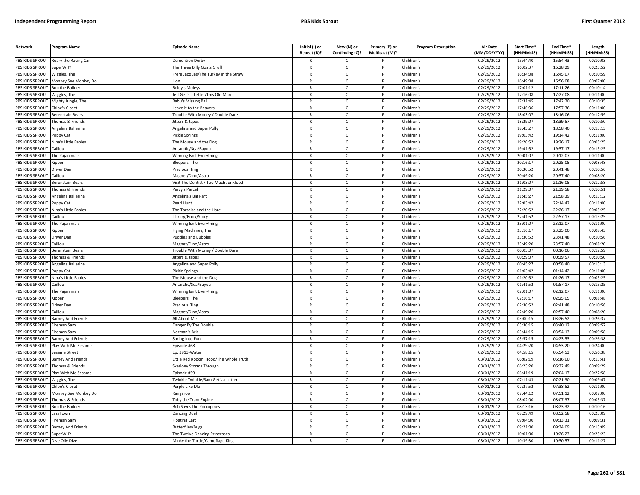| <b>Network</b>  | <b>Program Name</b>       | <b>Episode Name</b>                     | Initial (I) or<br>Repeat (R)? | New (N) or<br>Continuing (C)? | Primary (P) or<br>Multicast (M)? | <b>Program Description</b> | <b>Air Date</b><br>(MM/DD/YYYY) | Start Time*<br>(HH:MM:SS) | End Time*<br>(HH:MM:SS) | Length<br>(HH:MM:SS) |
|-----------------|---------------------------|-----------------------------------------|-------------------------------|-------------------------------|----------------------------------|----------------------------|---------------------------------|---------------------------|-------------------------|----------------------|
| PBS KIDS SPROUT | Roary the Racing Car      | <b>Demolition Derby</b>                 |                               | $\mathsf{C}$                  |                                  | Children's                 | 02/29/2012                      | 15:44:40                  | 15:54:43                | 00:10:03             |
| PBS KIDS SPROUT | <b>SuperWHY</b>           | The Three Billy Goats Gruff             | $\mathsf{R}$                  | $\mathsf{C}$                  | P                                | Children's                 | 02/29/2012                      | 16:02:37                  | 16:28:29                | 00:25:52             |
| PBS KIDS SPROUT | Wiggles, The              | Frere Jacques/The Turkey in the Straw   | $\mathsf{R}$                  | $\mathsf{C}$                  |                                  | Children's                 | 02/29/2012                      | 16:34:08                  | 16:45:07                | 00:10:59             |
| PBS KIDS SPROUT | Monkey See Monkey Do      | l ion                                   | ${\sf R}$                     | $\mathsf{C}$                  | P                                | Children's                 | 02/29/2012                      | 16:49:08                  | 16:56:08                | 00:07:00             |
| PBS KIDS SPROUT | <b>Bob the Builder</b>    | Roley's Moleys                          | $\mathsf{R}$                  | C                             |                                  | Children's                 | 02/29/2012                      | 17:01:12                  | 17:11:26                | 00:10:14             |
| PBS KIDS SPROUT | Niggles, The              | Jeff Get's a Letter/This Old Man        | $\mathsf{R}$                  | $\mathsf{C}$                  | P                                | Children's                 | 02/29/2012                      | 17:16:08                  | 17:27:08                | 00:11:00             |
| PBS KIDS SPROUT | Mighty Jungle, The        | <b>Babu's Missing Ball</b>              | $\mathsf{R}$                  | C                             | P                                | Children's                 | 02/29/2012                      | 17:31:45                  | 17:42:20                | 00:10:35             |
| PBS KIDS SPROUT | Chloe's Closet            | Leave it to the Beavers                 | ${\sf R}$                     | $\mathsf{C}$                  | <b>D</b>                         | Children's                 | 02/29/2012                      | 17:46:36                  | 17:57:36                | 00:11:00             |
| PBS KIDS SPROUT | Berenstain Bears          | Frouble With Money / Double Dare        | ${\sf R}$                     | $\mathsf{C}$                  | P                                | Children's                 | 02/29/2012                      | 18:03:07                  | 18:16:06                | 00:12:59             |
| PBS KIDS SPROUT | homas & Friends           | litters & Japes                         | $\mathsf{R}$                  | $\mathsf{C}$                  |                                  | Children's                 | 02/29/2012                      | 18:29:07                  | 18:39:57                | 00:10:50             |
| PBS KIDS SPROUT | Angelina Ballerina        | Angelina and Super Polly                | $\mathsf{R}$                  | C                             | P                                | Children's                 | 02/29/2012                      | 18:45:27                  | 18:58:40                | 00:13:13             |
| PBS KIDS SPROUT | Poppy Cat                 | Pickle Springs                          | $\mathsf{R}$                  | $\mathsf{C}$                  | P                                | Children's                 | 02/29/2012                      | 19:03:42                  | 19:14:42                | 00:11:00             |
| PBS KIDS SPROUT | Nina's Little Fables      | The Mouse and the Dog                   | $\mathsf{R}$                  | $\mathsf{C}$                  | $\mathsf{P}$                     | Children's                 | 02/29/2012                      | 19:20:52                  | 19:26:17                | 00:05:25             |
| PBS KIDS SPROUT | Caillou                   | Antarctic/Sea/Bayou                     | $\mathsf{R}$                  | C                             | P                                | Children's                 | 02/29/2012                      | 19:41:52                  | 19:57:17                | 00:15:25             |
| PBS KIDS SPROUT | The Pajanimals            | Winning Isn't Everything                | $\mathsf{R}$                  | $\mathsf{C}$                  | P                                | Children's                 | 02/29/2012                      | 20:01:07                  | 20:12:07                | 00:11:00             |
| PBS KIDS SPROUT | Kipper                    | Bleepers, The                           | $\mathsf{R}$                  | $\mathsf{C}$                  | P                                | Children's                 | 02/29/2012                      | 20:16:17                  | 20:25:05                | 00:08:48             |
| PBS KIDS SPROUT | Driver Dan                | Precious' Ting                          | $\mathsf{R}$                  | $\mathsf{C}$                  | P                                | Children's                 | 02/29/2012                      | 20:30:52                  | 20:41:48                | 00:10:56             |
| PBS KIDS SPROUT | Caillou                   | Magnet/Dino/Astro                       | $\mathsf{R}$                  | $\mathsf{C}$                  | P                                | Children's                 | 02/29/2012                      | 20:49:20                  | 20:57:40                | 00:08:20             |
| PBS KIDS SPROUT | Berenstain Bears          | Visit The Dentist / Too Much Junkfood   | $\mathsf{R}$                  | $\mathsf{C}$                  | P                                | Children's                 | 02/29/2012                      | 21:03:07                  | 21:16:05                | 00:12:58             |
| PBS KIDS SPROUT | Thomas & Friends          | Percy's Parcel                          | $\mathsf{R}$                  | $\mathsf{C}$                  | P                                | Children's                 | $\overline{02}/29/2012$         | 21:29:07                  | 21:39:58                | 00:10:51             |
| PBS KIDS SPROUT | Angelina Ballerina        | Angelina's Big Part                     | $\mathsf{R}$                  | $\mathsf{C}$                  | P                                | Children's                 | 02/29/2012                      | 21:45:27                  | 21:58:39                | 00:13:12             |
| PBS KIDS SPROUT | Poppy Cat                 | Pearl Hunt                              | $\mathsf{R}$                  | C                             |                                  | Children's                 | 02/29/2012                      | 22:03:42                  | 22:14:42                | 00:11:00             |
| PBS KIDS SPROUT | Nina's Little Fables      | The Tortoise and the Hare               | $\mathsf{R}$                  | $\mathsf{C}$                  | D                                | Children's                 | 02/29/2012                      | 22:20:52                  | 22:26:17                | 00:05:25             |
| PBS KIDS SPROUT | Caillou                   | Library/Book/Story                      | $\mathsf{R}$                  | $\mathsf{C}$                  | P                                | Children's                 | 02/29/2012                      | 22:41:52                  | 22:57:17                | 00:15:25             |
| PBS KIDS SPROUT | The Pajanimals            | Winning Isn't Everything                | $\mathsf{R}$                  | $\mathsf{C}$                  |                                  | Children's                 | 02/29/2012                      | 23:01:07                  | 23:12:07                | 00:11:00             |
| PBS KIDS SPROUT | <b>Kipper</b>             | Flying Machines, The                    | $\mathsf{R}$                  | C                             | P                                | Children's                 | 02/29/2012                      | 23:16:17                  | 23:25:00                | 00:08:43             |
| PBS KIDS SPROUT | Driver Dan                | <b>Puddles and Bubbles</b>              | $\mathsf{R}$                  | $\mathsf{C}$                  | P                                | Children's                 | $\overline{02}/29/2012$         | 23:30:52                  | 23:41:48                | 00:10:56             |
| PBS KIDS SPROUT | Caillou                   | Magnet/Dino/Astro                       | ${\sf R}$                     | $\mathsf{C}$                  | P                                | Children's                 | 02/29/2012                      | 23:49:20                  | 23:57:40                | 00:08:20             |
| PBS KIDS SPROUT | Berenstain Bears          | Frouble With Money / Double Dare        | R                             | $\mathsf{C}$                  |                                  | Children's                 | 02/29/2012                      | 00:03:07                  | 00:16:06                | 00:12:59             |
| PBS KIDS SPROUT | Thomas & Friends          | litters & Japes                         | R                             | C                             | P                                | Children's                 | 02/29/2012                      | 00:29:07                  | 00:39:57                | 00:10:50             |
| PBS KIDS SPROUT | Angelina Ballerina        | Angelina and Super Polly                | $\mathsf{R}$                  | C                             | P                                | Children's                 | 02/29/2012                      | 00:45:27                  | 00:58:40                | 00:13:13             |
| PBS KIDS SPROUT | Poppy Cat                 | Pickle Springs                          | $\mathsf{R}$                  | C                             | P                                | Children's                 | 02/29/2012                      | 01:03:42                  | 01:14:42                | 00:11:00             |
| PBS KIDS SPROUT | Nina's Little Fables      | The Mouse and the Dog                   | $\mathsf{R}$                  | $\mathsf{C}$                  | P                                | Children's                 | 02/29/2012                      | 01:20:52                  | 01:26:17                | 00:05:25             |
| PBS KIDS SPROUT | Caillou                   | Antarctic/Sea/Bayou                     | $\mathsf{R}$                  | $\mathsf{C}$                  | P                                | Children's                 | 02/29/2012                      | 01:41:52                  | 01:57:17                | 00:15:25             |
| PBS KIDS SPROUT | The Pajanimals            | Winning Isn't Everything                | $\mathsf{R}$                  | $\mathsf{C}$                  | P                                | Children's                 | 02/29/2012                      | 02:01:07                  | 02:12:07                | 00:11:00             |
| PBS KIDS SPROUT | (ipper                    | Bleepers, The                           | ${\sf R}$                     | $\mathsf{C}$                  | P                                | Children's                 | 02/29/2012                      | 02:16:17                  | 02:25:05                | 00:08:48             |
| PBS KIDS SPROUT | Driver Dan                | Precious' Ting                          | $\mathsf{R}$                  | C                             |                                  | Children's                 | 02/29/2012                      | 02:30:52                  | 02:41:48                | 00:10:56             |
| PBS KIDS SPROUT | Caillou                   | Magnet/Dino/Astro                       | $\mathsf{R}$                  | $\mathsf{C}$                  | <b>D</b>                         | Children's                 | 02/29/2012                      | 02:49:20                  | 02:57:40                | 00:08:20             |
| PBS KIDS SPROUT | <b>Barney And Friends</b> | All About Me                            | $\mathsf{R}$                  | $\mathsf{C}$                  | P                                | Children's                 | 02/29/2012                      | 03:00:15                  | 03:26:52                | 00:26:37             |
| PBS KIDS SPROUT | Fireman Sam               | Danger By The Double                    | $\mathsf{R}$                  | $\mathsf{C}$                  | P                                | Children's                 | 02/29/2012                      | 03:30:15                  | 03:40:12                | 00:09:57             |
| PBS KIDS SPROUT | Fireman Sam               | Norman's Ark                            | $\mathsf{R}$                  | $\mathsf{C}$                  | P                                | Children's                 | 02/29/2012                      | 03:44:15                  | 03:54:13                | 00:09:58             |
| PBS KIDS SPROUT | Barney And Friends        | Spring Into Fun                         | $\mathsf{R}$                  | $\mathsf{C}$                  |                                  | Children's                 | 02/29/2012                      | 03:57:15                  | 04:23:53                | 00:26:38             |
| PBS KIDS SPROUT | Play With Me Sesame       | Episode #68                             | $\mathsf{R}$                  | $\mathsf{C}$                  | P                                | Children's                 | 02/29/2012                      | 04:29:20                  | 04:53:20                | 00:24:00             |
| PBS KIDS SPROUT | Sesame Street             | Ep. 3913-Water                          | $\mathsf{R}$                  | $\mathsf{C}$                  | P                                | Children's                 | 02/29/2012                      | 04:58:15                  | 05:54:53                | 00:56:38             |
| PBS KIDS SPROUT | Barney And Friends        | Little Red Rockin' Hood/The Whole Truth | $\mathsf{R}$                  | C                             | P                                | Children's                 | 03/01/2012                      | 06:02:19                  | 06:16:00                | 00:13:41             |
| PBS KIDS SPROUT | Thomas & Friends          | Skarloey Storms Through                 | $\mathsf{R}$                  | $\mathsf{C}$                  | P                                | Children's                 | 03/01/2012                      | 06:23:20                  | 06:32:49                | 00:09:29             |
| PBS KIDS SPROUT | Play With Me Sesame       | Episode #59                             | $\mathsf{R}$                  | $\mathsf{C}$                  | $\mathsf{P}$                     | Children's                 | 03/01/2012                      | 06:41:19                  | 07:04:17                | 00:22:58             |
| PBS KIDS SPROUT | Wiggles, The              | Twinkle Twinkle/Sam Get's a Letter      | $\mathsf{R}$                  | $\mathsf{C}$                  | P                                | Children's                 | 03/01/2012                      | 07:11:43                  | 07:21:30                | 00:09:47             |
| PBS KIDS SPROUT | <b>Chloe's Closet</b>     | Purple Like Me                          | $\mathsf{R}$                  | C                             | P                                | Children's                 | 03/01/2012                      | 07:27:52                  | 07:38:52                | 00:11:00             |
| PBS KIDS SPROUT | Monkey See Monkey Do      | Kangaroo                                | $\mathsf{R}$                  | C                             | P                                | Children's                 | 03/01/2012                      | 07:44:12                  | 07:51:12                | 00:07:00             |
| PBS KIDS SPROUT | Thomas & Friends          | Toby the Tram Engine                    | $\mathsf{R}$                  | $\mathsf{C}$                  | P                                | Children's                 | 03/01/2012                      | 08:02:00                  | 08:07:37                | 00:05:37             |
| PBS KIDS SPROUT | <b>Bob the Builder</b>    | <b>3ob Saves the Porcupines</b>         | $\mathsf{R}$                  | $\mathsf{C}$                  |                                  | Children's                 | 03/01/2012                      | 08:13:16                  | 08:23:32                | 00:10:16             |
| PBS KIDS SPROUT | azyTown.                  | Dancing Duel                            | $\mathsf{R}$                  | $\mathsf{C}$                  | D                                | Children's                 | 03/01/2012                      | 08:29:49                  | 08:52:58                | 00:23:09             |
| PBS KIDS SPROUT | Fireman Sam               | <b>Floating Cart</b>                    | R                             | $\mathsf{C}$                  | P                                | Children's                 | 03/01/2012                      | 09:04:00                  | 09:13:31                | 00:09:31             |
| PBS KIDS SPROUT | Barney And Friends        | Butterflies/Bugs                        | $\mathsf{R}$                  | $\mathsf{C}$                  |                                  | Children's                 | 03/01/2012                      | 09:21:00                  | 09:34:09                | 00:13:09             |
| PBS KIDS SPROUT | SuperWHY                  | The Twelve Dancing Princesses           | $\mathsf{R}$                  | C                             | P                                | Children's                 | 03/01/2012                      | 10:01:00                  | 10:26:23                | 00:25:23             |
| PBS KIDS SPROUT | Dive Olly Dive            | Minky the Turtle/Camoflage King         | $\mathsf{R}$                  | $\mathsf{C}$                  | D                                | Children's                 | 03/01/2012                      | 10:39:30                  | 10:50:57                | 00:11:27             |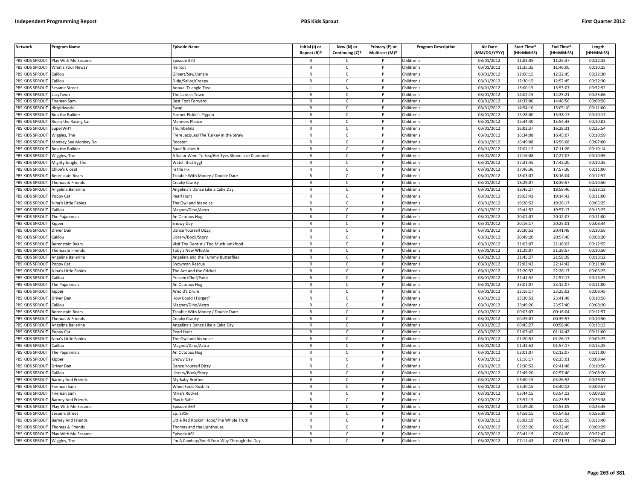| <b>Network</b>        | Program Name              | <b>Episode Name</b>                               | Initial (I) or<br>Repeat (R)? | New (N) or<br>Continuing (C)? | Primary (P) or<br>Multicast (M)? | <b>Program Description</b> | <b>Air Date</b><br>(MM/DD/YYYY) | <b>Start Time*</b><br>(HH:MM:SS) | End Time*<br>(HH:MM:SS) | Length<br>(HH:MM:SS) |
|-----------------------|---------------------------|---------------------------------------------------|-------------------------------|-------------------------------|----------------------------------|----------------------------|---------------------------------|----------------------------------|-------------------------|----------------------|
| PBS KIDS SPROUT       | Play With Me Sesame       | pisode #70                                        | R                             | C                             |                                  | Children's                 | 03/01/2012                      | 11:03:05                         | 11:25:37                | 00:22:32             |
| PBS KIDS SPROUT       | What's Your News?         | Haircut                                           | $\mathsf{R}$                  | $\mathsf{C}$                  | P                                | Children's                 | 03/01/2012                      | 11:35:35                         | 11:46:00                | 00:10:25             |
| PBS KIDS SPROUT       | Caillou                   | Gilbert/Saw/Jungle                                | $\mathsf{R}$                  | $\mathsf{C}$                  | P                                | Children's                 | 03/01/2012                      | 12:00:15                         | 12:22:45                | 00:22:30             |
| PBS KIDS SPROUT       | Caillou                   | Slide/Sailor/Creepy                               | $\mathsf{R}$                  | $\mathsf{C}$                  | D                                | Children's                 | 03/01/2012                      | 12:30:15                         | 12:52:45                | 00:22:30             |
| PBS KIDS SPROUT       | Sesame Street             | Annual Triangle Toss                              |                               | N                             |                                  | Children's                 | 03/01/2012                      | 13:00:15                         | 13:53:07                | 00:52:52             |
| PBS KIDS SPROUT       | azyTown                   | he Laziest Town                                   | $\mathsf{R}$                  | $\mathsf{C}$                  |                                  | Children's                 | 03/01/2012                      | 14:02:15                         | 14:25:21                | 00:23:06             |
| <b>BS KIDS SPROUT</b> | ireman Sam                | Best Foot Forward                                 | $\mathsf{R}$                  | C                             |                                  | Children's                 | 03/01/2012                      | 14:37:00                         | 14:46:56                | 00:09:56             |
| PBS KIDS SPROUT       | lirtgirlworld             | iwap                                              | $\mathsf{R}$                  | $\mathsf{C}$                  | D                                | Children's                 | 03/01/2012                      | 14:54:10                         | 15:05:10                | 00:11:00             |
| PBS KIDS SPROUT       | <b>Bob the Builder</b>    | armer Pickle's Pigpen                             | R                             | $\mathsf{C}$                  | P                                | Children's                 | 03/01/2012                      | 15:28:00                         | 15:38:17                | 00:10:17             |
| PBS KIDS SPROUT       | Roary the Racing Car      | <b>Manners Please</b>                             | $\mathsf{R}$                  | $\mathsf{C}$                  | P                                | Children's                 | 03/01/2012                      | 15:44:40                         | 15:54:43                | 00:10:03             |
| PBS KIDS SPROUT       | <b>SuperWHY</b>           | Thumbelina                                        | $\mathsf{R}$                  | $\mathsf{C}$                  | P                                | Children's                 | 03/01/2012                      | 16:02:37                         | 16:28:31                | 00:25:54             |
| PBS KIDS SPROUT       | Wiggles, The              | Frere Jacques/The Turkey in the Straw             | ${\sf R}$                     | $\mathsf{C}$                  | P                                | Children's                 | 03/01/2012                      | 16:34:08                         | 16:45:07                | 00:10:59             |
| PBS KIDS SPROUT       | Monkey See Monkey Do      | Rooster                                           | $\mathsf{R}$                  | $\mathsf{C}$                  | P                                | Children's                 | 03/01/2012                      | 16:49:08                         | 16:56:08                | 00:07:00             |
| PBS KIDS SPROUT       | <b>Bob the Builder</b>    | pud Rushes It                                     | $\mathsf{R}$                  | C                             | P                                | Children's                 | 03/01/2012                      | 17:01:12                         | 17:11:26                | 00:10:14             |
| PBS KIDS SPROUT       | Wiggles, The              | A Sailor Went To Sea/Her Eyes Shone Like Diamonds | $\mathsf{R}$                  | $\mathsf{C}$                  | P                                | Children's                 | 03/01/2012                      | 17:16:08                         | 17:27:07                | 00:10:59             |
| PBS KIDS SPROUT       | Mighty Jungle, The        | Watch that Egg!                                   | $\mathsf{R}$                  | $\mathsf{C}$                  | P                                | Children's                 | 03/01/2012                      | 17:31:45                         | 17:42:20                | 00:10:35             |
| PBS KIDS SPROUT       | Chloe's Closet            | n the Fix                                         | $\mathsf{R}$                  | $\mathsf{C}$                  | P                                | Children's                 | 03/01/2012                      | 17:46:36                         | 17:57:36                | 00:11:00             |
| PBS KIDS SPROUT       | <b>Berenstain Bears</b>   | Frouble With Money / Double Dare                  | $\mathsf{R}$                  | $\mathsf{C}$                  | P                                | Children's                 | 03/01/2012                      | 18:03:07                         | 18:16:04                | 00:12:57             |
| PBS KIDS SPROUT       | Thomas & Friends          | Creaky Cranky                                     | $\mathsf{R}$                  | $\mathsf{C}$                  | P                                | Children's                 | 03/01/2012                      | 18:29:07                         | 18:39:57                | 00:10:50             |
| PBS KIDS SPROUT       | Angelina Ballerina        | Angelina's Dance Like a Cake Day                  | R                             | C                             | P                                | Children's                 | 03/01/2012                      | 18:45:27                         | 18:58:40                | 00:13:13             |
| PBS KIDS SPROUT       | oppy Cat                  | Pearl Hunt                                        | $\mathsf{R}$                  | $\mathsf{C}$                  |                                  | Children's                 | 03/01/2012                      | 19:03:42                         | 19:14:42                | 00:11:00             |
| <b>BS KIDS SPROUT</b> | Nina's Little Fables      | The Owl and his voice                             | $\mathsf{R}$                  | $\mathsf{C}$                  |                                  | Children's                 | 03/01/2012                      | 19:20:52                         | 19:26:17                | 00:05:25             |
| PBS KIDS SPROUT       | aillou                    | Magnet/Dino/Astro                                 | $\mathsf{R}$                  | $\mathsf{C}$                  | Þ                                | Children's                 | 03/01/2012                      | 19:41:52                         | 19:57:17                | 00:15:25             |
| PBS KIDS SPROUT       | The Pajanimals            | An Octopus Hug                                    | $\mathsf{R}$                  | $\mathsf{C}$                  | P                                | Children's                 | 03/01/2012                      | 20:01:07                         | 20:12:07                | 00:11:00             |
| PBS KIDS SPROUT       | (ipper                    | inowy Day                                         | $\mathsf{R}$                  | $\mathsf{C}$                  | D                                | Children's                 | 03/01/2012                      | 20:16:17                         | 20:25:01                | 00:08:44             |
| PBS KIDS SPROUT       | Driver Dan                | Dance Yourself Dizzy                              | $\mathsf{R}$                  | $\mathsf{C}$                  | P                                | Children's                 | 03/01/2012                      | 20:30:52                         | 20:41:48                | 00:10:56             |
| PBS KIDS SPROUT       | aillou                    | ibrary/Book/Story                                 | $\mathsf{R}$                  | $\mathsf{C}$                  | P                                | Children's                 | 03/01/2012                      | 20:49:20                         | 20:57:40                | 00:08:20             |
| PBS KIDS SPROUT       | Berenstain Bears          | Visit The Dentist / Too Much Junkfood             | R                             | $\mathsf{C}$                  | P                                | Children's                 | 03/01/2012                      | 21:03:07                         | 21:16:02                | 00:12:55             |
| PBS KIDS SPROUT       | homas & Friends           | 'oby's New Whistle                                | $\mathsf{R}$                  | $\mathsf{C}$                  | P                                | Children's                 | 03/01/2012                      | 21:29:07                         | 21:39:57                | 00:10:50             |
| PBS KIDS SPROUT       | Angelina Ballerina        | Angelina and the Tummy Butterflies                | $\mathsf{R}$                  | $\mathsf{C}$                  | P                                | Children's                 | 03/01/2012                      | 21:45:27                         | 21:58:39                | 00:13:12             |
| PBS KIDS SPROUT       | oppy Cat                  | Snowman Rescue                                    | $\mathsf{R}$                  | $\mathsf{C}$                  | P                                | Children's                 | 03/01/2012                      | 22:03:42                         | 22:14:42                | 00:11:00             |
| PBS KIDS SPROUT       | Vina's Little Fables      | The Ant and the Cricket                           | $\mathsf{R}$                  | $\mathsf{C}$                  | P                                | Children's                 | 03/01/2012                      | 22:20:52                         | 22:26:17                | 00:05:25             |
| PBS KIDS SPROUT       | Caillou                   | resent/Chef/Paint                                 | $\mathsf{R}$                  | $\mathsf{C}$                  | P                                | Children's                 | 03/01/2012                      | 22:41:52                         | 22:57:17                | 00:15:25             |
| PBS KIDS SPROUT       | The Pajanimals            | An Octopus Hug                                    | $\mathsf{R}$                  | $\mathsf{C}$                  | P                                | Children's                 | 03/01/2012                      | 23:01:07                         | 23:12:07                | 00:11:00             |
| PBS KIDS SPROUT       | Kipper                    | Arnold's Drum                                     | R                             | C                             | P                                | Children's                 | 03/01/2012                      | 23:16:17                         | 23:25:02                | 00:08:45             |
| PBS KIDS SPROUT       | Driver Dan                | low Could I Forget?                               | $\mathsf{R}$                  | $\mathsf{C}$                  | P                                | Children's                 | 03/01/2012                      | 23:30:52                         | 23:41:48                | 00:10:56             |
| <b>BS KIDS SPROUT</b> | aillou                    | Magnet/Dino/Astro                                 | $\mathsf{R}$                  | $\mathsf{C}$                  |                                  | Children's                 | 03/01/2012                      | 23:49:20                         | 23:57:40                | 00:08:20             |
| PBS KIDS SPROUT       | Berenstain Bears          | Frouble With Money / Double Dare                  | $\mathsf{R}$                  | $\mathsf{C}$                  | Þ                                | Children's                 | 03/01/2012                      | 00:03:07                         | 00:16:04                | 00:12:57             |
| PBS KIDS SPROUT       | Thomas & Friends          | Creaky Cranky                                     | $\mathsf{R}$                  | $\mathsf{C}$                  | P                                | Children's                 | 03/01/2012                      | 00:29:07                         | 00:39:57                | 00:10:50             |
| PBS KIDS SPROUT       | ngelina Ballerina         | Angelina's Dance Like a Cake Day                  | $\mathsf{R}$                  | $\mathsf{C}$                  |                                  | Children's                 | 03/01/2012                      | 00:45:27                         | 00:58:40                | 00:13:13             |
| PBS KIDS SPROUT       | oppy Cat                  | earl Hunt                                         | $\mathsf{R}$                  | $\mathsf{C}$                  | P                                | Children's                 | 03/01/2012                      | 01:03:42                         | 01:14:42                | 00:11:00             |
| PBS KIDS SPROUT       | Nina's Little Fables      | The Owl and his voice                             | $\mathsf{R}$                  | $\mathsf{C}$                  | P                                | Children's                 | $\sqrt{03}/01/2012$             | 01:20:52                         | 01:26:17                | 00:05:25             |
| PBS KIDS SPROUT       | Caillou                   | Magnet/Dino/Astro                                 | R                             | $\mathsf{C}$                  | $\mathsf{P}$                     | Children's                 | 03/01/2012                      | 01:41:52                         | 01:57:17                | 00:15:25             |
| PBS KIDS SPROUT       | The Pajanimals            | An Octopus Hug                                    | $\mathsf{R}$                  | $\mathsf{C}$                  | P                                | Children's                 | 03/01/2012                      | 02:01:07                         | 02:12:07                | 00:11:00             |
| PBS KIDS SPROUT       | Kipper                    | Snowy Day                                         | $\mathsf{R}$                  | $\mathsf{C}$                  | P                                | Children's                 | 03/01/2012                      | 02:16:17                         | 02:25:01                | 00:08:44             |
| PBS KIDS SPROUT       | Driver Dan                | Dance Yourself Dizzy                              | $\mathsf{R}$                  | $\mathsf{C}$                  |                                  | Children's                 | 03/01/2012                      | 02:30:52                         | 02:41:48                | 00:10:56             |
| PBS KIDS SPROUT       | aillou                    | ibrary/Book/Story                                 | $\mathsf{R}$                  | $\mathsf{C}$                  | $\mathsf{P}$                     | Children's                 | 03/01/2012                      | 02:49:20                         | 02:57:40                | 00:08:20             |
| PBS KIDS SPROUT       | <b>Barney And Friends</b> | My Baby Brother                                   | $\mathsf{R}$                  | $\mathsf{C}$                  | P                                | Children's                 | 03/01/2012                      | 03:00:15                         | 03:26:52                | 00:26:37             |
| PBS KIDS SPROUT       | ireman Sam                | When Fools Rush In                                | $\mathsf{R}$                  | C                             | P                                | Children's                 | 03/01/2012                      | 03:30:15                         | 03:40:12                | 00:09:57             |
| PBS KIDS SPROUT       | Fireman Sam               | Mike's Rocket                                     | R                             | $\mathsf{C}$                  | P                                | Children's                 | 03/01/2012                      | 03:44:15                         | 03:54:13                | 00:09:58             |
| PBS KIDS SPROUT       | <b>Barney And Friends</b> | Play It Safe                                      | $\mathsf{R}$                  | $\mathsf{C}$                  | P                                | Children's                 | 03/01/2012                      | 03:57:15                         | 04:23:53                | 00:26:38             |
| <b>BS KIDS SPROUT</b> | Play With Me Sesame       | Episode #69                                       | R                             | $\mathsf{C}$                  |                                  | Children's                 | 03/01/2012                      | 04:29:20                         | 04:53:05                | 00:23:45             |
| PBS KIDS SPROUT       | Sesame Street             | Ep. 3916                                          | $\mathsf{R}$                  | $\mathsf{C}$                  | D                                | Children's                 | 03/01/2012                      | 04:58:15                         | 05:54:53                | 00:56:38             |
| PBS KIDS SPROUT       | <b>Barney And Friends</b> | ittle Red Rockin' Hood/The Whole Truth            | R                             | $\mathsf{C}$                  | P                                | Children's                 | 03/02/2012                      | 06:02:19                         | 06:15:59                | 00:13:40             |
| PBS KIDS SPROUT       | homas & Friends           | homas and the Lighthouse                          | $\mathsf{R}$                  | $\mathsf{C}$                  |                                  | Children's                 | 03/02/2012                      | 06:23:20                         | 06:32:49                | 00:09:29             |
| PBS KIDS SPROUT       | Play With Me Sesame       | Episode #61                                       | $\mathsf{R}$                  | $\mathsf{C}$                  | P                                | Children's                 | 03/02/2012                      | 06:41:19                         | 07:04:06                | 00:22:47             |
| PBS KIDS SPROUT       | Wiggles, The              | 'm A Cowboy/Smell Your Way Through the Day        | R                             | Ċ                             | P                                | Children's                 | 03/02/2012                      | 07:11:43                         | 07:21:31                | 00:09:48             |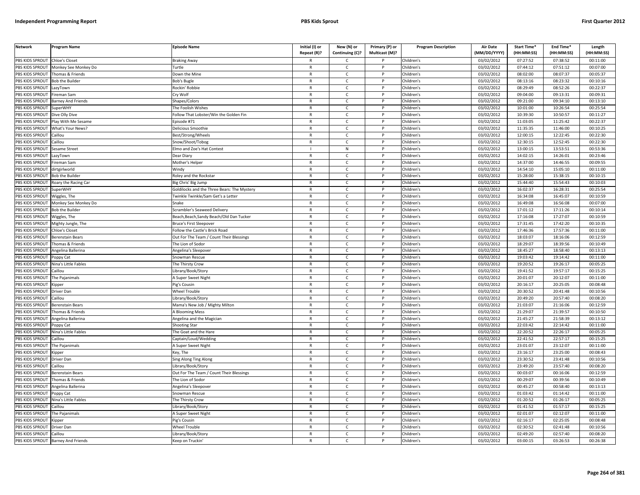| <b>Network</b>                     | Program Name                               | Episode Name                                | Initial (I) or<br>Repeat (R)? | New (N) or<br>Continuing (C)? | Primary (P) or<br>Multicast (M)? | <b>Program Description</b> | <b>Air Date</b><br>(MM/DD/YYYY) | <b>Start Time*</b><br>(HH:MM:SS) | End Time <sup>®</sup><br>(HH:MM:SS) | Length<br>(HH:MM:SS) |
|------------------------------------|--------------------------------------------|---------------------------------------------|-------------------------------|-------------------------------|----------------------------------|----------------------------|---------------------------------|----------------------------------|-------------------------------------|----------------------|
|                                    |                                            |                                             |                               |                               |                                  |                            |                                 |                                  |                                     |                      |
| PBS KIDS SPROUT<br>PBS KIDS SPROUT | <b>Chloe's Closet</b>                      | <b>Braking Away</b>                         |                               | C                             |                                  | Children's<br>Children's   | 03/02/2012                      | 07:27:52<br>07:44:12             | 07:38:52<br>07:51:12                | 00:11:00<br>00:07:00 |
|                                    | Monkey See Monkey Do                       | Turtle                                      | $\mathsf{R}$<br>$\mathsf{R}$  | $\mathsf{C}$                  | P<br>P                           |                            | 03/02/2012                      |                                  |                                     |                      |
| PBS KIDS SPROUT<br>PBS KIDS SPROUT | Thomas & Friends<br><b>Bob the Builder</b> | Down the Mine                               | $\mathsf{R}$                  | $\mathsf{C}$<br>$\mathsf{C}$  | P                                | Children's<br>Children's   | 03/02/2012<br>03/02/2012        | 08:02:00<br>08:13:16             | 08:07:37<br>08:23:32                | 00:05:37<br>00:10:16 |
| PBS KIDS SPROUT                    |                                            | <b>Bob's Bugle</b><br>Rockin' Robbie        | $\mathsf{R}$                  | $\mathsf{C}$                  | P                                | Children's                 |                                 | 08:29:49                         | 08:52:26                            | 00:22:37             |
|                                    | LazyTown                                   |                                             |                               |                               | P                                |                            | 03/02/2012                      |                                  |                                     |                      |
| PBS KIDS SPROUT                    | Fireman Sam                                | Cry Wolf                                    | $\mathsf{R}$                  | $\mathsf{C}$                  | P                                | Children's                 | 03/02/2012                      | 09:04:00                         | 09:13:31                            | 00:09:31             |
| PBS KIDS SPROUT                    | <b>Barney And Friends</b>                  | Shapes/Colors                               | $\mathsf{R}$                  | $\mathsf{C}$                  |                                  | Children's                 | 03/02/2012                      | 09:21:00                         | 09:34:10                            | 00:13:10             |
| PBS KIDS SPROUT                    | <b>SuperWHY</b>                            | The Foolish Wishes                          | $\mathsf{R}$                  | $\mathsf{C}$                  | P                                | Children's                 | 03/02/2012                      | 10:01:00                         | 10:26:54                            | 00:25:54             |
| PBS KIDS SPROUT                    | Dive Olly Dive                             | Follow That Lobster/Win the Golden Fin      | R                             | C                             |                                  | Children's                 | 03/02/2012                      | 10:39:30                         | 10:50:57                            | 00:11:27             |
| PBS KIDS SPROUT                    | lay With Me Sesame                         | Episode #71                                 | $\mathsf{R}$                  | $\mathsf{C}$                  |                                  | Children's                 | 03/02/2012                      | 11:03:05                         | 11:25:42                            | 00:22:37             |
| PBS KIDS SPROUT                    | What's Your News?                          | Delicious Smoothie                          | $\mathsf{R}$                  | $\mathsf{C}$                  | P                                | Children's                 | 03/02/2012                      | 11:35:35                         | 11:46:00                            | 00:10:25             |
| PBS KIDS SPROUT                    | Caillou                                    | Best/Strong/Wheels                          | $\mathsf{R}$                  | $\mathsf{C}$                  | P                                | Children's                 | 03/02/2012                      | 12:00:15                         | 12:22:45                            | 00:22:30             |
| PBS KIDS SPROUT                    | Caillou                                    | Snow/Shoot/Tobog                            | $\mathsf{R}$                  | $\mathsf{C}$                  | P                                | Children's                 | 03/02/2012                      | 12:30:15                         | 12:52:45                            | 00:22:30             |
| PBS KIDS SPROUT                    | Sesame Street                              | Elmo and Zoe's Hat Contest                  |                               | N                             | Þ                                | Children's                 | 03/02/2012                      | 13:00:15                         | 13:53:51                            | 00:53:36             |
| PBS KIDS SPROUT                    | LazyTown                                   | Dear Diary                                  | $\mathsf{R}$                  | $\mathsf{C}$                  | $\mathsf{P}$                     | Children's                 | 03/02/2012                      | 14:02:15                         | 14:26:01                            | 00:23:46             |
| <b>PBS KIDS SPROUT</b>             | Fireman Sam                                | Mother's Helper                             | $\mathsf{R}$                  | $\mathsf{C}$                  | P                                | Children's                 | 03/02/2012                      | 14:37:00                         | 14:46:55                            | 00:09:55             |
| PBS KIDS SPROUT                    | dirtgirlworld                              | Windy                                       | R                             | $\mathsf{C}$                  | P                                | Children's                 | 03/02/2012                      | 14:54:10                         | 15:05:10                            | 00:11:00             |
| PBS KIDS SPROUT                    | <b>Bob the Builder</b>                     | Roley and the Rockstar                      | $\mathsf{R}$                  | $\mathsf{C}$                  | P                                | Children's                 | 03/02/2012                      | 15:28:00                         | 15:38:15                            | 00:10:15             |
| PBS KIDS SPROUT                    | Roary the Racing Car                       | Big Chris' Big Jump                         | $\mathsf{R}$                  | $\mathsf{C}$                  | P                                | Children's                 | 03/02/2012                      | 15:44:40                         | 15:54:43                            | 00:10:03             |
| PBS KIDS SPROUT                    | SuperWHY                                   | Goldilocks and the Three Bears: The Mystery | $\mathsf{R}$                  | $\mathsf{C}$                  | P                                | Children's                 | 03/02/2012                      | 16:02:37                         | 16:28:31                            | 00:25:54             |
| PBS KIDS SPROUT                    | Wiggles, The                               | Twinkle Twinkle/Sam Get's a Letter          | $\mathsf{R}$                  | $\mathsf{C}$                  | P                                | Children's                 | 03/02/2012                      | 16:34:08                         | 16:45:07                            | 00:10:59             |
| PBS KIDS SPROUT                    | Monkey See Monkey Do                       | Snake                                       | $\mathsf{R}$                  | $\mathsf{C}$                  | P                                | Children's                 | 03/02/2012                      | 16:49:08                         | 16:56:08                            | 00:07:00             |
| PBS KIDS SPROUT                    | <b>Bob the Builder</b>                     | Scrambler's Seaweed Delivery                | $\mathsf{R}$                  | $\mathsf{C}$                  | Þ                                | Children's                 | 03/02/2012                      | 17:01:12                         | 17:11:26                            | 00:10:14             |
| PBS KIDS SPROUT                    | Wiggles, The                               | Beach, Beach, Sandy Beach/Old Dan Tucker    | R                             | C                             |                                  | Children's                 | 03/02/2012                      | 17:16:08                         | 17:27:07                            | 00:10:59             |
| PBS KIDS SPROUT                    | Mighty Jungle, The                         | <b>Bruce's First Sleepover</b>              | $\mathsf{R}$                  | $\mathsf{C}$                  |                                  | Children's                 | 03/02/2012                      | 17:31:45                         | 17:42:20                            | 00:10:35             |
| PBS KIDS SPROUT                    | Chloe's Closet                             | Follow the Castle's Brick Road              | $\mathsf{R}$                  | $\mathsf{C}$                  | P                                | Children's                 | 03/02/2012                      | 17:46:36                         | 17:57:36                            | 00:11:00             |
| PBS KIDS SPROUT                    | Berenstain Bears                           | Out For The Team / Count Their Blessings    | $\mathsf{R}$                  | $\mathsf{C}$                  | P                                | Children's                 | 03/02/2012                      | 18:03:07                         | 18:16:06                            | 00:12:59             |
| PBS KIDS SPROUT                    | Thomas & Friends                           | The Lion of Sodor                           | $\mathsf{R}$                  | $\mathsf{C}$                  | P                                | Children's                 | 03/02/2012                      | 18:29:07                         | 18:39:56                            | 00:10:49             |
| <b>PBS KIDS SPROUT</b>             | Angelina Ballerina                         | Angelina's Sleepover                        | ${\sf R}$                     | $\mathsf{C}$                  | P                                | Children's                 | 03/02/2012                      | 18:45:27                         | 18:58:40                            | 00:13:13             |
| PBS KIDS SPROUT                    | Poppy Cat                                  | Snowman Rescue                              | $\mathsf{R}$                  | $\mathsf{C}$                  | P                                | Children's                 | 03/02/2012                      | 19:03:42                         | 19:14:42                            | 00:11:00             |
| <b>PBS KIDS SPROUT</b>             | Nina's Little Fables                       | The Thirsty Crow                            | $\mathsf{R}$                  | C                             | P                                | Children's                 | 03/02/2012                      | 19:20:52                         | 19:26:17                            | 00:05:25             |
| PBS KIDS SPROUT                    | Caillou                                    | Library/Book/Story                          | R                             | $\mathsf{C}$                  | P                                | Children's                 | 03/02/2012                      | 19:41:52                         | 19:57:17                            | 00:15:25             |
| PBS KIDS SPROUT                    | The Pajanimals                             | A Super Sweet Night                         | $\mathsf{R}$                  | $\mathsf{C}$                  | P                                | Children's                 | 03/02/2012                      | 20:01:07                         | 20:12:07                            | 00:11:00             |
| PBS KIDS SPROUT                    |                                            | Pig's Cousin                                | $\mathsf{R}$                  | $\mathsf{C}$                  | P                                | Children's                 | 03/02/2012                      | 20:16:17                         | 20:25:05                            | 00:08:48             |
| PBS KIDS SPROUT                    | Kipper<br>Driver Dan                       | <b>Wheel Trouble</b>                        | R                             | $\mathsf{C}$                  | P                                | Children's                 | 03/02/2012                      | 20:30:52                         | 20:41:48                            | 00:10:56             |
|                                    | Caillou                                    |                                             | $\mathsf{R}$                  | $\mathsf{C}$                  | P                                |                            | 03/02/2012                      | 20:49:20                         | 20:57:40                            | 00:08:20             |
| PBS KIDS SPROUT<br>PBS KIDS SPROUT | <b>Berenstain Bears</b>                    | Library/Book/Story                          | R                             | $\mathsf{C}$                  |                                  | Children's<br>Children's   |                                 | 21:03:07                         | 21:16:06                            | 00:12:59             |
|                                    |                                            | Mama's New Job / Mighty Milton              |                               |                               | D                                |                            | 03/02/2012                      |                                  |                                     |                      |
| PBS KIDS SPROUT                    | Thomas & Friends                           | A Blooming Mess                             | $\mathsf{R}$                  | $\mathsf{C}$                  |                                  | Children's                 | 03/02/2012                      | 21:29:07                         | 21:39:57                            | 00:10:50             |
| PBS KIDS SPROUT                    | Angelina Ballerina                         | Angelina and the Magician                   | $\mathsf{R}$                  | c                             | P<br>P                           | Children's                 | 03/02/2012                      | 21:45:27                         | 21:58:39                            | 00:13:12             |
| PBS KIDS SPROUT                    | oppy Cat                                   | Shooting Star                               | $\mathsf{R}$                  | $\mathsf{C}$                  |                                  | Children's                 | 03/02/2012                      | 22:03:42                         | 22:14:42                            | 00:11:00             |
| PBS KIDS SPROUT                    | Nina's Little Fables                       | The Goat and the Hare                       | R                             | $\mathsf{C}$                  | P                                | Children's                 | 03/02/2012                      | 22:20:52                         | 22:26:17                            | 00:05:25             |
| PBS KIDS SPROUT                    | Caillou                                    | Captain/Loud/Wedding                        | $\mathsf{R}$                  | $\mathsf{C}$                  | P                                | Children's                 | 03/02/2012                      | 22:41:52                         | 22:57:17                            | 00:15:25             |
| PBS KIDS SPROUT                    | The Pajanimals                             | A Super Sweet Night                         | $\mathsf{R}$                  | $\mathsf{C}$                  | P                                | Children's                 | 03/02/2012                      | 23:01:07                         | 23:12:07                            | 00:11:00             |
| PBS KIDS SPROUT                    | <i><b>Sipper</b></i>                       | Key, The                                    | $\mathsf{R}$                  | $\mathsf{C}$                  | P                                | Children's                 | 03/02/2012                      | 23:16:17                         | 23:25:00                            | 00:08:43             |
| PBS KIDS SPROUT                    | Driver Dan                                 | Sing Along Ting Along                       | $\mathsf{R}$                  | $\mathsf{C}$                  | P                                | Children's                 | 03/02/2012                      | 23:30:52                         | 23:41:48                            | 00:10:56             |
| PBS KIDS SPROUT                    | Caillou                                    | ibrary/Book/Story.                          | $\mathsf{R}$                  | C                             | P                                | Children's                 | 03/02/2012                      | 23:49:20                         | 23:57:40                            | 00:08:20             |
| PBS KIDS SPROUT                    | Berenstain Bears                           | Out For The Team / Count Their Blessings    | R                             | $\mathsf{C}$                  | P                                | Children's                 | 03/02/2012                      | 00:03:07                         | 00:16:06                            | 00:12:59             |
| PBS KIDS SPROUT                    | Thomas & Friends                           | The Lion of Sodor                           | $\mathsf{R}$                  | $\mathsf{C}$                  | P                                | Children's                 | 03/02/2012                      | 00:29:07                         | 00:39:56                            | 00:10:49             |
| PBS KIDS SPROUT                    | Angelina Ballerina                         | Angelina's Sleepover                        | $\mathsf{R}$                  | $\mathsf{C}$                  | P                                | Children's                 | 03/02/2012                      | 00:45:27                         | 00:58:40                            | 00:13:13             |
| PBS KIDS SPROUT                    | Poppy Cat                                  | Snowman Rescue                              | R                             | $\mathsf{C}$                  | P                                | Children's                 | 03/02/2012                      | 01:03:42                         | 01:14:42                            | 00:11:00             |
| <b>PBS KIDS SPROUT</b>             | Nina's Little Fables                       | The Thirsty Crow                            | $\mathsf{R}$                  | $\mathsf{C}$                  | P                                | Children's                 | 03/02/2012                      | 01:20:52                         | 01:26:17                            | 00:05:25             |
| PBS KIDS SPROUT                    | Caillou                                    | Library/Book/Story                          | R                             | $\mathsf{C}$                  | p                                | Children's                 | 03/02/2012                      | 01:41:52                         | 01:57:17                            | 00:15:25             |
| PBS KIDS SPROUT                    | The Pajanimals                             | A Super Sweet Night                         | $\mathsf{R}$                  | $\mathsf{C}$                  | D                                | Children's                 | 03/02/2012                      | 02:01:07                         | 02:12:07                            | 00:11:00             |
| PBS KIDS SPROUT                    | Kipper                                     | <sup>2</sup> ig's Cousin                    | R                             | c                             | P                                | Children's                 | 03/02/2012                      | 02:16:17                         | 02:25:05                            | 00:08:48             |
| PBS KIDS SPROUT                    | Driver Dan                                 | Wheel Trouble                               | $\mathsf{R}$                  | $\mathsf{C}$                  |                                  | Children's                 | 03/02/2012                      | 02:30:52                         | 02:41:48                            | 00:10:56             |
| PBS KIDS SPROUT                    | Caillou                                    | Library/Book/Story                          | $\mathsf{R}$                  | $\mathsf{C}$                  | P                                | Children's                 | 03/02/2012                      | 02:49:20                         | 02:57:40                            | 00:08:20             |
| PBS KIDS SPROUT                    | <b>Barney And Friends</b>                  | Keep on Truckin                             | R                             | Ċ                             | P                                | Children's                 | 03/02/2012                      | 03:00:15                         | 03:26:53                            | 00:26:38             |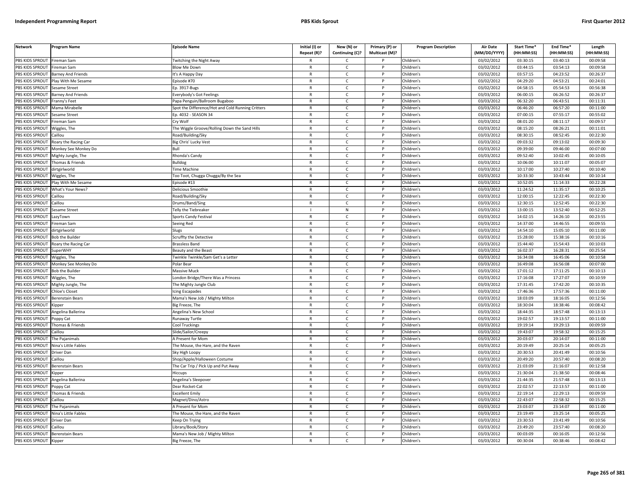| <b>Network</b>  | <b>Program Name</b>       | <b>Episode Name</b>                               | Initial (I) or<br>Repeat (R)? | New (N) or<br>Continuing (C)? | Primary (P) or<br>Multicast (M)? | <b>Program Description</b> | <b>Air Date</b><br>(MM/DD/YYYY) | Start Time*<br>(HH:MM:SS) | End Time*<br>(HH:MM:SS) | Length<br>(HH:MM:SS) |
|-----------------|---------------------------|---------------------------------------------------|-------------------------------|-------------------------------|----------------------------------|----------------------------|---------------------------------|---------------------------|-------------------------|----------------------|
| PBS KIDS SPROUT | Fireman Sam               | <b>Fwitching the Night Away</b>                   |                               | $\mathsf{C}$                  |                                  | Children's                 | 03/02/2012                      | 03:30:15                  | 03:40:13                | 00:09:58             |
| PBS KIDS SPROUT | Fireman Sam               | <b>Blow Me Down</b>                               | $\mathsf{R}$                  | $\mathsf{C}$                  | P                                | Children's                 | 03/02/2012                      | 03:44:15                  | 03:54:13                | 00:09:58             |
| PBS KIDS SPROUT | <b>Barney And Friends</b> | t's A Happy Day                                   | $\mathsf{R}$                  | $\mathsf{C}$                  |                                  | Children's                 | 03/02/2012                      | 03:57:15                  | 04:23:52                | 00:26:37             |
| PBS KIDS SPROUT | Play With Me Sesame       | Episode #70                                       | ${\sf R}$                     | $\mathsf{C}$                  | D                                | Children's                 | 03/02/2012                      | 04:29:20                  | 04:53:21                | 00:24:01             |
| PBS KIDS SPROUT | Sesame Street             | Ep. 3917-Bugs                                     | $\mathsf{R}$                  | C                             |                                  | Children's                 | 03/02/2012                      | 04:58:15                  | 05:54:53                | 00:56:38             |
| PBS KIDS SPROUT | Barney And Friends        | Everybody's Got Feelings                          | $\mathsf{R}$                  | $\mathsf{C}$                  | P                                | Children's                 | 03/03/2012                      | 06:00:15                  | 06:26:52                | 00:26:37             |
| PBS KIDS SPROUT | Franny's Feet             | Papa Penguin/Ballroom Bugaboo                     | $\mathsf{R}$                  | $\mathsf{C}$                  | P                                | Children's                 | 03/03/2012                      | 06:32:20                  | 06:43:51                | 00:11:31             |
| PBS KIDS SPROUT | Mama Mirabelle            | Spot the Difference/Hot and Cold Running Critters | ${\sf R}$                     | $\mathsf{C}$                  | <b>D</b>                         | Children's                 | 03/03/2012                      | 06:46:20                  | 06:57:20                | 00:11:00             |
| PBS KIDS SPROUT | Sesame Street             | Ep. 4032 - SEASON 34                              | ${\sf R}$                     | $\mathsf{C}$                  | P                                | Children's                 | 03/03/2012                      | 07:00:15                  | 07:55:17                | 00:55:02             |
| PBS KIDS SPROUT | ireman Sam                | Cry Wolf                                          | $\mathsf{R}$                  | $\mathsf{C}$                  |                                  | Children's                 | 03/03/2012                      | 08:01:20                  | 08:11:17                | 00:09:57             |
| PBS KIDS SPROUT | Wiggles, The              | The Wiggle Groove/Rolling Down the Sand Hills     | $\mathsf{R}$                  | C                             | P                                | Children's                 | 03/03/2012                      | 08:15:20                  | 08:26:21                | 00:11:01             |
| PBS KIDS SPROUT | Caillou                   | Road/Building/Sky                                 | $\mathsf{R}$                  | $\mathsf{C}$                  | P                                | Children's                 | 03/03/2012                      | 08:30:15                  | 08:52:45                | 00:22:30             |
| PBS KIDS SPROUT | Roary the Racing Car      | Big Chris' Lucky Vest                             | $\mathsf{R}$                  | $\mathsf{C}$                  | $\mathsf{P}$                     | Children's                 | 03/03/2012                      | 09:03:32                  | 09:13:02                | 00:09:30             |
| PBS KIDS SPROUT | Monkey See Monkey Do      |                                                   | $\mathsf{R}$                  | $\mathsf{C}$                  |                                  | Children's                 | 03/03/2012                      | 09:39:00                  | 09:46:00                | 00:07:00             |
| PBS KIDS SPROUT | Mighty Jungle, The        | Rhonda's Candy                                    | $\mathsf{R}$                  | $\mathsf{C}$                  | P                                | Children's                 | 03/03/2012                      | 09:52:40                  | 10:02:45                | 00:10:05             |
| PBS KIDS SPROUT | Thomas & Friends          | <b>Bulldog</b>                                    | $\mathsf{R}$                  | $\mathsf{C}$                  | P                                | Children's                 | 03/03/2012                      | 10:06:00                  | 10:11:07                | 00:05:07             |
| PBS KIDS SPROUT | dirtgirlworld             | <b>Time Machine</b>                               | $\mathsf{R}$                  | $\mathsf{C}$                  | P                                | Children's                 | 03/03/2012                      | 10:17:00                  | 10:27:40                | 00:10:40             |
| PBS KIDS SPROUT | Wiggles, The              | Too Toot, Chugga Chugga/By the Sea                | $\mathsf{R}$                  | $\mathsf{C}$                  | P                                | Children's                 | 03/03/2012                      | 10:33:30                  | 10:43:44                | 00:10:14             |
| PBS KIDS SPROUT | Play With Me Sesame       | Episode #13                                       | $\mathsf{R}$                  | $\mathsf{C}$                  | P                                | Children's                 | 03/03/2012                      | 10:52:05                  | 11:14:33                | 00:22:28             |
| PBS KIDS SPROUT | What's Your News?         | Delicious Smoothie                                | $\mathsf{R}$                  | $\mathsf{C}$                  | P                                | Children's                 | 03/03/2012                      | 11:24:52                  | 11:35:17                | 00:10:25             |
| PBS KIDS SPROUT | Caillou                   | Road/Building/Sky                                 | $\mathsf{R}$                  | $\mathsf{C}$                  | P                                | Children's                 | 03/03/2012                      | 12:00:15                  | 12:22:45                | 00:22:30             |
| PBS KIDS SPROUT | Caillou                   | Drums/Band/Sing                                   | $\mathsf{R}$                  | $\mathsf{C}$                  |                                  | Children's                 | 03/03/2012                      | 12:30:15                  | 12:52:45                | 00:22:30             |
| PBS KIDS SPROUT | Sesame Street             | Telly the Tiebreaker                              |                               | ${\sf N}$                     | D                                | Children's                 | 03/03/2012                      | 13:00:15                  | 13:52:40                | 00:52:25             |
| PBS KIDS SPROUT | LazyTown                  | Sports Candy Festival                             | $\mathsf{R}$                  | $\mathsf{C}$                  | P                                | Children's                 | 03/03/2012                      | 14:02:15                  | 14:26:10                | 00:23:55             |
| PBS KIDS SPROUT | ireman Sam                | Seeing Red                                        | $\mathsf{R}$                  | $\mathsf{C}$                  |                                  | Children's                 | 03/03/2012                      | 14:37:00                  | 14:46:55                | 00:09:55             |
| PBS KIDS SPROUT | dirtgirlworld             | Slugs                                             | $\mathsf{R}$                  | $\mathsf{C}$                  | P                                | Children's                 | 03/03/2012                      | 14:54:10                  | 15:05:10                | 00:11:00             |
| PBS KIDS SPROUT | <b>Bob the Builder</b>    | Scruffty the Detective                            | $\mathsf{R}$                  | $\mathsf{C}$                  |                                  | Children's                 | 03/03/2012                      | 15:28:00                  | 15:38:16                | 00:10:16             |
| PBS KIDS SPROUT | Roary the Racing Car      | <b>Brassless Band</b>                             | $\mathsf{R}$                  | $\mathsf{C}$                  | P                                | Children's                 | 03/03/2012                      | 15:44:40                  | 15:54:43                | 00:10:03             |
| PBS KIDS SPROUT | SuperWHY                  | Beauty and the Beast                              | R                             | $\mathsf{C}$                  |                                  | Children's                 | 03/03/2012                      | 16:02:37                  | 16:28:31                | 00:25:54             |
| PBS KIDS SPROUT | Wiggles, The              | Fwinkle Twinkle/Sam Get's a Letter                | $\mathsf{R}$                  | C                             | P                                | Children's                 | 03/03/2012                      | 16:34:08                  | 16:45:06                | 00:10:58             |
| PBS KIDS SPROUT | Monkey See Monkey Do      | Polar Bear                                        | $\mathsf{R}$                  | $\mathsf{C}$                  | P                                | Children's                 | 03/03/2012                      | 16:49:08                  | 16:56:08                | 00:07:00             |
| PBS KIDS SPROUT | <b>Bob the Builder</b>    | Massive Muck                                      | $\mathsf{R}$                  | $\mathsf{C}$                  | $\mathsf{P}$                     | Children's                 | 03/03/2012                      | 17:01:12                  | 17:11:25                | 00:10:13             |
| PBS KIDS SPROUT | Wiggles, The              | ondon Bridge/There Was a Princess                 | $\mathsf{R}$                  | $\mathsf{C}$                  | P                                | Children's                 | 03/03/2012                      | 17:16:08                  | 17:27:07                | 00:10:59             |
| PBS KIDS SPROUT | Mighty Jungle, The        | The Mighty Jungle Club                            | $\mathsf{R}$                  | $\mathsf{C}$                  | P                                | Children's                 | 03/03/2012                      | 17:31:45                  | 17:42:20                | 00:10:35             |
| PBS KIDS SPROUT | Chloe's Closet            | cing Escapades                                    | $\mathsf{R}$                  | $\mathsf{C}$                  | P                                | Children's                 | 03/03/2012                      | 17:46:36                  | 17:57:36                | 00:11:00             |
| PBS KIDS SPROUT | Berenstain Bears          | Mama's New Job / Mighty Milton                    | $\mathsf{R}$                  | $\mathsf{C}$                  | P                                | Children's                 | 03/03/2012                      | 18:03:09                  | 18:16:05                | 00:12:56             |
| PBS KIDS SPROUT | <b>Kipper</b>             | Big Freeze, The                                   | $\mathsf{R}$                  | C                             |                                  | Children's                 | 03/03/2012                      | 18:30:04                  | 18:38:46                | 00:08:42             |
| PBS KIDS SPROUT | Angelina Ballerina        | Angelina's New School                             | $\mathsf{R}$                  | $\mathsf{C}$                  | <b>D</b>                         | Children's                 | 03/03/2012                      | 18:44:35                  | 18:57:48                | 00:13:13             |
| PBS KIDS SPROUT | Poppy Cat                 | Runaway Turtle                                    | $\mathsf{R}$                  | $\mathsf{C}$                  | P                                | Children's                 | 03/03/2012                      | 19:02:57                  | 19:13:57                | 00:11:00             |
| PBS KIDS SPROUT | Thomas & Friends          | Cool Truckings                                    | $\mathsf{R}$                  | $\mathsf{C}$                  | <b>D</b>                         | Children's                 | 03/03/2012                      | 19:19:14                  | 19:29:13                | 00:09:59             |
| PBS KIDS SPROUT | Caillou                   | Slide/Sailor/Creepy                               | $\mathsf{R}$                  | $\mathsf{C}$                  | P                                | Children's                 | 03/03/2012                      | 19:43:07                  | 19:58:32                | 00:15:25             |
| PBS KIDS SPROUT | The Pajanimals            | A Present for Mom                                 | $\mathsf{R}$                  | $\mathsf{C}$                  |                                  | Children's                 | 03/03/2012                      | 20:03:07                  | 20:14:07                | 00:11:00             |
| PBS KIDS SPROUT | Nina's Little Fables      | The Mouse, the Hare, and the Raven                | $\mathsf{R}$                  | $\mathsf{C}$                  | P                                | Children's                 | 03/03/2012                      | 20:19:49                  | 20:25:14                | 00:05:25             |
| PBS KIDS SPROUT | Driver Dan                | Sky High Loopy                                    | $\mathsf{R}$                  | $\mathsf{C}$                  |                                  | Children's                 | 03/03/2012                      | 20:30:53                  | 20:41:49                | 00:10:56             |
| PBS KIDS SPROUT | Caillou                   | Shop/Apple/Halloween Costume                      | $\mathsf{R}$                  | C                             | P                                | Children's                 | 03/03/2012                      | 20:49:20                  | 20:57:40                | 00:08:20             |
| PBS KIDS SPROUT | Berenstain Bears          | The Car Trip / Pick Up and Put Away               | $\mathsf{R}$                  | $\mathsf{C}$                  | P                                | Children's                 | 03/03/2012                      | 21:03:09                  | 21:16:07                | 00:12:58             |
| PBS KIDS SPROUT | <i><b>Sipper</b></i>      | Hiccups                                           | $\mathsf{R}$                  | $\mathsf{C}$                  | P                                | Children's                 | 03/03/2012                      | 21:30:04                  | 21:38:50                | 00:08:46             |
| PBS KIDS SPROUT | Angelina Ballerina        | Angelina's Sleepover                              | $\mathsf{R}$                  | $\mathsf{C}$                  | P                                | Children's                 | 03/03/2012                      | 21:44:35                  | 21:57:48                | 00:13:13             |
| PBS KIDS SPROUT | Poppy Cat                 | Dear Rocket-Cat                                   | $\mathsf{R}$                  | $\mathsf{C}$                  | P                                | Children's                 | 03/03/2012                      | 22:02:57                  | 22:13:57                | 00:11:00             |
| PBS KIDS SPROUT | Thomas & Friends          | <b>Excellent Emily</b>                            | $\mathsf{R}$                  | $\mathsf{C}$                  | P                                | Children's                 | 03/03/2012                      | 22:19:14                  | 22:29:13                | 00:09:59             |
| PBS KIDS SPROUT | Caillou                   | Magnet/Dino/Astro                                 | $\mathsf{R}$                  | $\mathsf{C}$                  | P                                | Children's                 | 03/03/2012                      | 22:43:07                  | 22:58:32                | 00:15:25             |
| PBS KIDS SPROUT | The Pajanimals            | A Present for Mom                                 | $\mathsf{R}$                  | $\mathsf{C}$                  |                                  | Children's                 | 03/03/2012                      | 23:03:07                  | 23:14:07                | 00:11:00             |
| PBS KIDS SPROUT | Nina's Little Fables      | The Mouse, the Hare, and the Raven                | $\mathsf{R}$                  | $\mathsf{C}$                  | D                                | Children's                 | 03/03/2012                      | 23:19:49                  | 23:25:14                | 00:05:25             |
| PBS KIDS SPROUT | Driver Dan                | Keep On Trying                                    | R                             | $\mathsf{C}$                  | P                                | Children's                 | 03/03/2012                      | 23:30:53                  | 23:41:49                | 00:10:56             |
| PBS KIDS SPROUT | Caillou                   | ibrary/Book/Story.                                | $\mathsf{R}$                  | $\mathsf{C}$                  |                                  | Children's                 | 03/03/2012                      | 23:49:20                  | 23:57:40                | 00:08:20             |
| PBS KIDS SPROUT | <b>Berenstain Bears</b>   | Mama's New Job / Mighty Milton                    | $\mathsf{R}$                  | $\mathsf{C}$                  | P                                | Children's                 | 03/03/2012                      | 00:03:09                  | 00:16:05                | 00:12:56             |
| PBS KIDS SPROUT | Kipper                    | Big Freeze, The                                   | $\mathsf{R}$                  | $\mathsf{C}$                  | D                                | Children's                 | 03/03/2012                      | 00:30:04                  | 00:38:46                | 00:08:42             |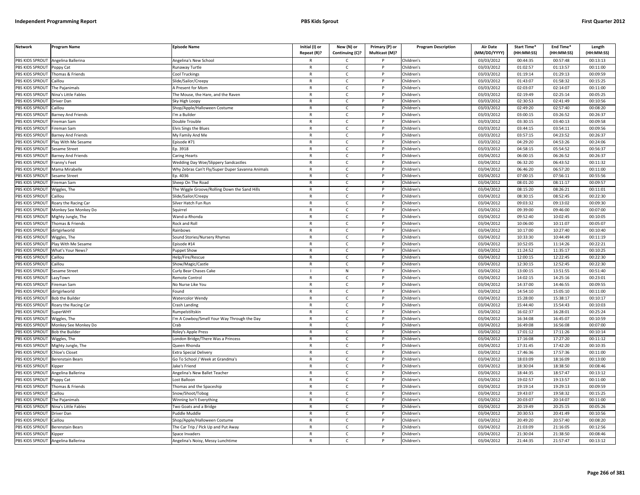| <b>Network</b>        | Program Name              | <b>Episode Name</b>                              | Initial (I) or<br>Repeat (R)? | New (N) or<br>Continuing (C)? | Primary (P) or<br>Multicast (M)? | <b>Program Description</b> | Air Date<br>(MM/DD/YYYY) | <b>Start Time*</b><br>(HH:MM:SS) | End Time*<br>(HH:MM:SS) | Length<br>(HH:MM:SS) |
|-----------------------|---------------------------|--------------------------------------------------|-------------------------------|-------------------------------|----------------------------------|----------------------------|--------------------------|----------------------------------|-------------------------|----------------------|
| PBS KIDS SPROUT       | Angelina Ballerina        | Angelina's New School                            | R                             | C                             |                                  | Children's                 | 03/03/2012               | 00:44:35                         | 00:57:48                | 00:13:13             |
| PBS KIDS SPROUT       | Poppy Cat                 | Runaway Turtle                                   | $\mathsf{R}$                  | $\mathsf{C}$                  | P                                | Children's                 | 03/03/2012               | 01:02:57                         | 01:13:57                | 00:11:00             |
| PBS KIDS SPROUT       | Thomas & Friends          | Cool Truckings                                   | $\mathsf{R}$                  | $\mathsf{C}$                  | P                                | Children's                 | 03/03/2012               | 01:19:14                         | 01:29:13                | 00:09:59             |
| PBS KIDS SPROUT       | aillou                    | Slide/Sailor/Creepy                              | $\mathsf{R}$                  | $\mathsf{C}$                  | D                                | Children's                 | 03/03/2012               | 01:43:07                         | 01:58:32                | 00:15:25             |
| PBS KIDS SPROUT       | The Pajanimals            | A Present for Mom                                | R                             | $\mathsf{C}$                  |                                  | Children's                 | 03/03/2012               | 02:03:07                         | 02:14:07                | 00:11:00             |
| PBS KIDS SPROUT       | Vina's Little Fables      | he Mouse, the Hare, and the Raven                | $\mathsf{R}$                  | $\mathsf{C}$                  |                                  | Children's                 | 03/03/2012               | 02:19:49                         | 02:25:14                | 00:05:25             |
| <b>BS KIDS SPROUT</b> | Driver Dan                | Sky High Loopy                                   | R                             | C                             |                                  | Children's                 | 03/03/2012               | 02:30:53                         | 02:41:49                | 00:10:56             |
| PBS KIDS SPROUT       | aillou                    | Shop/Apple/Halloween Costume                     | $\mathsf{R}$                  | $\mathsf{C}$                  | P                                | Children's                 | 03/03/2012               | 02:49:20                         | 02:57:40                | 00:08:20             |
| PBS KIDS SPROUT       | <b>Barney And Friends</b> | 'm a Builder                                     | R                             | $\mathsf{C}$                  | P                                | Children's                 | 03/03/2012               | 03:00:15                         | 03:26:52                | 00:26:37             |
| PBS KIDS SPROUT       | ireman Sam                | Double Trouble                                   | $\mathsf{R}$                  | $\mathsf{C}$                  | P                                | Children's                 | 03/03/2012               | 03:30:15                         | 03:40:13                | 00:09:58             |
| PBS KIDS SPROUT       | ireman Sam                | <b>Elvis Sings the Blues</b>                     | $\mathsf{R}$                  | $\mathsf{C}$                  | P                                | Children's                 | 03/03/2012               | 03:44:15                         | 03:54:11                | 00:09:56             |
| PBS KIDS SPROUT       | Barney And Friends        | My Family And Me                                 | ${\sf R}$                     | $\mathsf{C}$                  | P                                | Children's                 | $\sqrt{03}/03/2012$      | 03:57:15                         | 04:23:52                | 00:26:37             |
| PBS KIDS SPROUT       | Play With Me Sesame       | pisode #71                                       | $\mathsf{R}$                  | $\mathsf{C}$                  | $\mathsf{P}$                     | Children's                 | 03/03/2012               | 04:29:20                         | 04:53:26                | 00:24:06             |
| PBS KIDS SPROUT       | esame Street              | p. 3918                                          | $\mathsf{R}$                  | $\mathsf{C}$                  | P                                | Children's                 | 03/03/2012               | 04:58:15                         | 05:54:52                | 00:56:37             |
| PBS KIDS SPROUT       | <b>Barney And Friends</b> | Caring Hearts                                    | $\mathsf{R}$                  | $\mathsf{C}$                  | P                                | Children's                 | 03/04/2012               | 06:00:15                         | 06:26:52                | 00:26:37             |
| PBS KIDS SPROUT       | Franny's Feet             | <b>Wedding Day Woe/Slippery Sandcastles</b>      | $\mathsf{R}$                  | $\mathsf{C}$                  | P                                | Children's                 | 03/04/2012               | 06:32:20                         | 06:43:52                | 00:11:32             |
| PBS KIDS SPROUT       | Mama Mirabelle            | Why Zebras Can't Fly/Super Duper Savanna Animals | $\mathsf{R}$                  | $\mathsf{C}$                  | P                                | Children's                 | 03/04/2012               | 06:46:20                         | 06:57:20                | 00:11:00             |
| PBS KIDS SPROUT       | Sesame Street             | Ep. 4036                                         | $\mathsf{R}$                  | $\mathsf{C}$                  | P                                | Children's                 | 03/04/2012               | 07:00:15                         | 07:56:11                | 00:55:56             |
| PBS KIDS SPROUT       | ireman Sam                | Sheep On The Road                                | $\mathsf{R}$                  | $\mathsf{C}$                  | P                                | Children's                 | 03/04/2012               | 08:01:20                         | 08:11:17                | 00:09:57             |
| PBS KIDS SPROUT       | Wiggles, The              | The Wiggle Groove/Rolling Down the Sand Hills    | R                             | C                             | P                                | Children's                 | 03/04/2012               | 08:15:20                         | 08:26:21                | 00:11:01             |
| PBS KIDS SPROUT       | aillou                    | ilide/Sailor/Creepy                              | $\mathsf{R}$                  | $\mathsf{C}$                  |                                  | Children's                 | 03/04/2012               | 08:30:15                         | 08:52:45                | 00:22:30             |
| <b>BS KIDS SPROUT</b> | Roary the Racing Car      | Silver Hatch Fun Run                             | R                             | $\mathsf{C}$                  |                                  | Children's                 | 03/04/2012               | 09:03:32                         | 09:13:02                | 00:09:30             |
| PBS KIDS SPROUT       | Monkey See Monkey Do      | Squirrel                                         | $\mathsf{R}$                  | $\mathsf{C}$                  | Þ                                | Children's                 | 03/04/2012               | 09:39:00                         | 09:46:00                | 00:07:00             |
| PBS KIDS SPROUT       | Mighty Jungle, The        | Wand-a-Rhonda                                    | $\mathsf{R}$                  | $\mathsf{C}$                  | P                                | Children's                 | 03/04/2012               | 09:52:40                         | 10:02:45                | 00:10:05             |
| PBS KIDS SPROUT       | homas & Friends           | Rock and Roll                                    | $\mathsf{R}$                  | $\mathsf{C}$                  | D                                | Children's                 | 03/04/2012               | 10:06:00                         | 10:11:07                | 00:05:07             |
| PBS KIDS SPROUT       | dirtgirlworld             | Rainbows                                         | $\mathsf{R}$                  | $\mathsf{C}$                  | P                                | Children's                 | 03/04/2012               | 10:17:00                         | 10:27:40                | 00:10:40             |
| PBS KIDS SPROUT       | Viggles, The              | Sound Stories/Nursery Rhymes                     | $\mathsf{R}$                  | $\mathsf{C}$                  | P                                | Children's                 | 03/04/2012               | 10:33:30                         | 10:44:49                | 00:11:19             |
| PBS KIDS SPROUT       | Play With Me Sesame       | pisode #14                                       | R                             | $\mathsf{C}$                  | $\mathsf{P}$                     | Children's                 | 03/04/2012               | 10:52:05                         | 11:14:26                | 00:22:21             |
| PBS KIDS SPROUT       | What's Your News?         | uppet Show                                       | $\mathsf{R}$                  | $\mathsf{C}$                  | P                                | Children's                 | 03/04/2012               | 11:24:52                         | 11:35:17                | 00:10:25             |
| PBS KIDS SPROUT       | Caillou                   | Help/Fire/Rescue                                 | $\mathsf{R}$                  | $\mathsf{C}$                  | P                                | Children's                 | 03/04/2012               | 12:00:15                         | 12:22:45                | 00:22:30             |
| PBS KIDS SPROUT       | Caillou                   | Show/Magic/Castle                                | $\mathsf{R}$                  | $\mathsf{C}$                  | P                                | Children's                 | 03/04/2012               | 12:30:15                         | 12:52:45                | 00:22:30             |
| PBS KIDS SPROUT       | Sesame Street             | Curly Bear Chases Cake                           |                               | ${\sf N}$                     | P                                | Children's                 | 03/04/2012               | 13:00:15                         | 13:51:55                | 00:51:40             |
| PBS KIDS SPROUT       | LazyTown                  | Remote Control                                   | $\mathsf{R}$                  | $\mathsf{C}$                  | P                                | Children's                 | 03/04/2012               | 14:02:15                         | 14:25:16                | 00:23:01             |
| PBS KIDS SPROUT       | ireman Sam                | No Nurse Like You                                | $\mathsf{R}$                  | $\mathsf{C}$                  | P                                | Children's                 | 03/04/2012               | 14:37:00                         | 14:46:55                | 00:09:55             |
| PBS KIDS SPROUT       | dirtgirlworld             | ound                                             | R                             | C                             | P                                | Children's                 | 03/04/2012               | 14:54:10                         | 15:05:10                | 00:11:00             |
| PBS KIDS SPROUT       | <b>Bob the Builder</b>    | Watercolor Wendy                                 | $\mathsf{R}$                  | $\mathsf{C}$                  | P                                | Children's                 | 03/04/2012               | 15:28:00                         | 15:38:17                | 00:10:17             |
| <b>BS KIDS SPROUT</b> | Roary the Racing Car      | Crash Landing                                    | R                             | $\mathsf{C}$                  |                                  | Children's                 | 03/04/2012               | 15:44:40                         | 15:54:43                | 00:10:03             |
| PBS KIDS SPROUT       | SuperWHY                  | <b>Rumpelstiltskin</b>                           | $\mathsf{R}$                  | $\mathsf{C}$                  | Þ                                | Children's                 | 03/04/2012               | 16:02:37                         | 16:28:01                | 00:25:24             |
| PBS KIDS SPROUT       | Wiggles, The              | m A Cowboy/Smell Your Way Through the Day        | $\mathsf{R}$                  | $\mathsf{C}$                  | P                                | Children's                 | 03/04/2012               | 16:34:08                         | 16:45:07                | 00:10:59             |
| PBS KIDS SPROUT       | Monkey See Monkey Do      | `rah                                             | $\mathsf{R}$                  | $\mathsf{C}$                  | Þ                                | Children's                 | 03/04/2012               | 16:49:08                         | 16:56:08                | 00:07:00             |
| PBS KIDS SPROUT       | <b>Bob the Builder</b>    | Roley's Apple Press                              | $\mathsf{R}$                  | $\mathsf{C}$                  | P                                | Children's                 | 03/04/2012               | 17:01:12                         | 17:11:26                | 00:10:14             |
| PBS KIDS SPROUT       | Niggles, The              | ondon Bridge/There Was a Princess                | $\mathsf{R}$                  | $\mathsf{C}$                  | P                                | Children's                 | 03/04/2012               | 17:16:08                         | 17:27:20                | 00:11:12             |
| PBS KIDS SPROUT       | Mighty Jungle, The        | Queen Rhonda                                     | R                             | $\mathsf{C}$                  | $\mathsf{P}$                     | Children's                 | 03/04/2012               | 17:31:45                         | 17:42:20                | 00:10:35             |
| PBS KIDS SPROUT       | <b>Chloe's Closet</b>     | <b>Extra Special Delivery</b>                    | $\mathsf{R}$                  | $\mathsf{C}$                  | P                                | Children's                 | 03/04/2012               | 17:46:36                         | 17:57:36                | 00:11:00             |
| PBS KIDS SPROUT       | Berenstain Bears          | Go To School / Week at Grandma's                 | $\mathsf{R}$                  | $\mathsf{C}$                  | P                                | Children's                 | 03/04/2012               | 18:03:09                         | 18:16:09                | 00:13:00             |
| PBS KIDS SPROUT       | <b>Kipper</b>             | lake's Frienc                                    | $\mathsf{R}$                  | $\mathsf{C}$                  |                                  | Children's                 | 03/04/2012               | 18:30:04                         | 18:38:50                | 00:08:46             |
| PBS KIDS SPROUT       | Angelina Ballerina        | Angelina's New Ballet Teacher                    | $\mathsf{R}$                  | $\mathsf{C}$                  | P                                | Children's                 | 03/04/2012               | 18:44:35                         | 18:57:47                | 00:13:12             |
| PBS KIDS SPROUT       | Poppy Cat                 | Lost Balloon                                     | $\mathsf{R}$                  | $\mathsf{C}$                  | P                                | Children's                 | 03/04/2012               | 19:02:57                         | 19:13:57                | 00:11:00             |
| PBS KIDS SPROUT       | Thomas & Friends          | Thomas and the Spaceship                         | $\mathsf{R}$                  | C                             | P                                | Children's                 | 03/04/2012               | 19:19:14                         | 19:29:13                | 00:09:59             |
| PBS KIDS SPROUT       | Caillou                   | Snow/Shoot/Tobog                                 | R                             | $\mathsf{C}$                  | P                                | Children's                 | 03/04/2012               | 19:43:07                         | 19:58:32                | 00:15:25             |
| PBS KIDS SPROUT       | The Paianimals            | Winning Isn't Everything                         | $\mathsf{R}$                  | $\mathsf{C}$                  | P                                | Children's                 | 03/04/2012               | 20:03:07                         | 20:14:07                | 00:11:00             |
| <b>BS KIDS SPROUT</b> | Nina's Little Fables      | Two Goats and a Bridge                           | $\mathsf{R}$                  | $\mathsf{C}$                  |                                  | Children's                 | 03/04/2012               | 20:19:49                         | 20:25:15                | 00:05:26             |
| PBS KIDS SPROUT       | Driver Dan                | Puddle Muddle                                    | $\mathsf{R}$                  | $\mathsf{C}$                  | Þ                                | Children's                 | 03/04/2012               | 20:30:53                         | 20:41:49                | 00:10:56             |
| PBS KIDS SPROUT       | Caillou                   | Shop/Apple/Halloween Costume                     | R                             | $\mathsf{C}$                  | P                                | Children's                 | 03/04/2012               | 20:49:20                         | 20:57:40                | 00:08:20             |
| PBS KIDS SPROUT       | Berenstain Bears          | he Car Trip / Pick Up and Put Away               | $\mathsf{R}$                  | $\mathsf{C}$                  |                                  | Children's                 | 03/04/2012               | 21:03:09                         | 21:16:05                | 00:12:56             |
| PBS KIDS SPROUT       | Kipper                    | Space Invaders                                   | $\mathsf{R}$                  | $\mathsf{C}$                  | P                                | Children's                 | 03/04/2012               | 21:30:04                         | 21:38:50                | 00:08:46             |
| PBS KIDS SPROUT       | Angelina Ballerina        | Angelina's Noisy, Messy Lunchtime                | R                             | Ċ                             | P                                | Children's                 | 03/04/2012               | 21:44:35                         | 21:57:47                | 00:13:12             |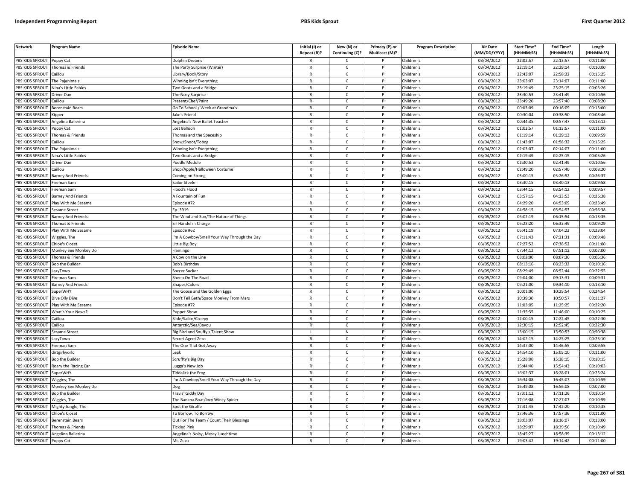| <b>Network</b>        | Program Name              | <b>Episode Name</b>                        | Initial (I) or | New (N) or      | Primary (P) or | <b>Program Description</b> | <b>Air Date</b>     | Start Time* | End Time*  | Length     |
|-----------------------|---------------------------|--------------------------------------------|----------------|-----------------|----------------|----------------------------|---------------------|-------------|------------|------------|
|                       |                           |                                            | Repeat (R)?    | Continuing (C)? | Multicast (M)? |                            | (MM/DD/YYYY)        | (HH:MM:SS)  | (HH:MM:SS) | (HH:MM:SS) |
| PBS KIDS SPROUT       | Poppy Cat                 | <b>Dolphin Dreams</b>                      | R              | Ċ               |                | Children's                 | 03/04/2012          | 22:02:57    | 22:13:57   | 00:11:00   |
| PBS KIDS SPROUT       | Thomas & Friends          | The Party Surprise (Winter)                | $\mathsf{R}$   | $\mathsf{C}$    | P              | Children's                 | 03/04/2012          | 22:19:14    | 22:29:14   | 00:10:00   |
| <b>BS KIDS SPROUT</b> | `aillou                   | ibrary/Book/Story                          | $\mathsf{R}$   | $\mathsf{C}$    | Þ              | Children's                 | 03/04/2012          | 22:43:07    | 22:58:32   | 00:15:25   |
| PBS KIDS SPROUT       | The Pajanimals            | Winning Isn't Everything                   | $\mathsf{R}$   | $\mathsf{C}$    |                | Children's                 | 03/04/2012          | 23:03:07    | 23:14:07   | 00:11:00   |
| PBS KIDS SPROUT       | Nina's Little Fables      | iwo Goats and a Bridge                     | $\mathsf{R}$   | C               |                | Children's                 | 03/04/2012          | 23:19:49    | 23:25:15   | 00:05:26   |
| PBS KIDS SPROUT       | Driver Dan                | he Nosy Surprise                           | $\mathsf{R}$   | $\mathsf{C}$    | P              | Children's                 | 03/04/2012          | 23:30:53    | 23:41:49   | 00:10:56   |
| PBS KIDS SPROUT       | Caillou                   | resent/Chef/Paint                          | R              | $\mathsf{C}$    | P              | Children's                 | 03/04/2012          | 23:49:20    | 23:57:40   | 00:08:20   |
| PBS KIDS SPROUT       | Berenstain Bears          | Go To School / Week at Grandma's           | $\mathsf{R}$   | $\mathsf{C}$    | P              | Children's                 | 03/04/2012          | 00:03:09    | 00:16:09   | 00:13:00   |
| PBS KIDS SPROUT       | <b>Kipper</b>             | lake's Friend                              | $\mathsf{R}$   | $\mathsf{C}$    | $\mathsf{P}$   | Children's                 | 03/04/2012          | 00:30:04    | 00:38:50   | 00:08:46   |
| PBS KIDS SPROUT       | ngelina Ballerina         | ngelina's New Ballet Teacher               | R              | $\mathsf{C}$    |                | Children's                 | 03/04/2012          | 00:44:35    | 00:57:47   | 00:13:12   |
| PBS KIDS SPROUT       | oppy Cat                  | ost Balloon                                | $\mathsf{R}$   | $\mathsf{C}$    | P              | Children's                 | 03/04/2012          | 01:02:57    | 01:13:57   | 00:11:00   |
| PBS KIDS SPROUT       | Thomas & Friends          | Thomas and the Spaceship                   | $\mathsf{R}$   | $\mathsf{C}$    |                | Children's                 | 03/04/2012          | 01:19:14    | 01:29:13   | 00:09:59   |
| PBS KIDS SPROUT       | aillou                    | Snow/Shoot/Tobog                           | $\mathsf{R}$   | $\mathsf{C}$    | P              | Children's                 | 03/04/2012          | 01:43:07    | 01:58:32   | 00:15:25   |
| PBS KIDS SPROUT       | The Pajanimals            | Winning Isn't Everything                   | R              | $\mathsf{C}$    |                | Children's                 | 03/04/2012          | 02:03:07    | 02:14:07   | 00:11:00   |
| PBS KIDS SPROUT       | Nina's Little Fables      | Two Goats and a Bridge                     | $\mathsf{R}$   | $\mathsf{C}$    | $\mathsf{P}$   | Children's                 | 03/04/2012          | 02:19:49    | 02:25:15   | 00:05:26   |
| PBS KIDS SPROUT       | <b>Driver Dan</b>         | uddle Muddle                               | R              | C               | P              | Children's                 | 03/04/2012          | 02:30:53    | 02:41:49   | 00:10:56   |
| PBS KIDS SPROUT       | Caillou                   | Shop/Apple/Halloween Costume               | R              | $\mathsf{C}$    | P              | Children's                 | 03/04/2012          | 02:49:20    | 02:57:40   | 00:08:20   |
| PBS KIDS SPROUT       | <b>Barney And Friends</b> | Coming on Strong                           | $\mathsf{R}$   | $\mathsf{C}$    | P              | Children's                 | 03/04/2012          | 03:00:15    | 03:26:52   | 00:26:37   |
| PBS KIDS SPROUT       | ireman Sam                | Sailor Steele                              | $\mathsf{R}$   | $\mathsf{C}$    | P              | Children's                 | 03/04/2012          | 03:30:15    | 03:40:13   | 00:09:58   |
| PBS KIDS SPROUT       | ireman Sam                | lood's Flood                               | R              | C.              |                | Children's                 | $\sqrt{03}/04/2012$ | 03:44:15    | 03:54:12   | 00:09:57   |
| PBS KIDS SPROUT       | arney And Friends         | A Fountain of Fun                          | $\mathsf{R}$   | $\mathsf{C}$    | D              | Children's                 | 03/04/2012          | 03:57:15    | 04:23:53   | 00:26:38   |
| <b>BS KIDS SPROUT</b> | Play With Me Sesame       | pisode #72                                 | R              | C               |                | Children's                 | 03/04/2012          | 04:29:20    | 04:53:09   | 00:23:49   |
| PBS KIDS SPROUT       | Sesame Street             | p. 3919                                    | $\mathsf{R}$   | $\mathsf{C}$    | Þ              | Children's                 | 03/04/2012          | 04:58:15    | 05:54:53   | 00:56:38   |
| PBS KIDS SPROUT       | <b>Barney And Friends</b> | he Wind and Sun/The Nature of Things       | R              | $\mathsf{C}$    | P              | Children's                 | 03/05/2012          | 06:02:19    | 06:15:54   | 00:13:35   |
| PBS KIDS SPROUT       | homas & Friends           | Sir Handel in Charge                       | $\mathsf{R}$   | $\mathsf{C}$    | P              | Children's                 | 03/05/2012          | 06:23:20    | 06:32:49   | 00:09:29   |
| PBS KIDS SPROUT       | Play With Me Sesame       | pisode #62                                 | $\mathsf{R}$   | $\mathsf{C}$    | P              | Children's                 | 03/05/2012          | 06:41:19    | 07:04:23   | 00:23:04   |
| PBS KIDS SPROUT       | Niggles, The              | 'm A Cowboy/Smell Your Way Through the Day | $\overline{R}$ | $\mathsf{C}$    |                | Children's                 | $\sqrt{03}/05/2012$ | 07:11:43    | 07:21:31   | 00:09:48   |
| PBS KIDS SPROUT       | Chloe's Closet            | ittle Big Boy                              | $\mathsf{R}$   | $\mathsf{C}$    | P              | Children's                 | 03/05/2012          | 07:27:52    | 07:38:52   | 00:11:00   |
| PBS KIDS SPROUT       | Monkey See Monkey Do      | lamingo                                    | $\mathsf{R}$   | $\mathsf{C}$    |                | Children's                 | 03/05/2012          | 07:44:12    | 07:51:12   | 00:07:00   |
| PBS KIDS SPROUT       | Thomas & Friends          | A Cow on the Line                          | $\mathsf{R}$   | $\mathsf{C}$    | P              | Children's                 | 03/05/2012          | 08:02:00    | 08:07:36   | 00:05:36   |
| PBS KIDS SPROUT       | <b>Bob the Builder</b>    | Bob's Birthday                             | R              | $\mathsf{C}$    | P              | Children's                 | 03/05/2012          | 08:13:16    | 08:23:32   | 00:10:16   |
| PBS KIDS SPROUT       | azyTown                   | Soccer Sucker                              | $\mathsf{R}$   | $\mathsf{C}$    | P              | Children's                 | 03/05/2012          | 08:29:49    | 08:52:44   | 00:22:55   |
| PBS KIDS SPROUT       | ireman Sam                | Sheep On The Road                          | $\mathsf{R}$   | $\mathsf{C}$    | P              | Children's                 | 03/05/2012          | 09:04:00    | 09:13:31   | 00:09:31   |
| PBS KIDS SPROUT       | <b>Barney And Friends</b> | Shapes/Colors                              | $\mathsf{R}$   | C               | P              | Children's                 | 03/05/2012          | 09:21:00    | 09:34:10   | 00:13:10   |
| PBS KIDS SPROUT       | SuperWHY                  | The Goose and the Golden Eggs              | R              | $\mathsf{C}$    | P              | Children's                 | 03/05/2012          | 10:01:00    | 10:25:54   | 00:24:54   |
| PBS KIDS SPROUT       | Dive Olly Dive            | Don't Tell Beth/Space Monkey From Mars     | $\mathsf{R}$   | $\mathsf{C}$    | P              | Children's                 | 03/05/2012          | 10:39:30    | 10:50:57   | 00:11:27   |
| PBS KIDS SPROUT       | Play With Me Sesame       | Episode #72                                | R              | Ċ               |                | Children's                 | 03/05/2012          | 11:03:05    | 11:25:25   | 00:22:20   |
| PBS KIDS SPROUT       | What's Your News?         | uppet Show                                 | $\mathsf{R}$   | $\mathsf{C}$    | D              | Children's                 | 03/05/2012          | 11:35:35    | 11:46:00   | 00:10:25   |
| PBS KIDS SPROUT       | Caillou                   | Slide/Sailor/Creepy                        | R              | C               |                | Children's                 | 03/05/2012          | 12:00:15    | 12:22:45   | 00:22:30   |
| PBS KIDS SPROUT       | aillou                    | Antarctic/Sea/Bayou                        | $\mathsf{R}$   | $\mathsf{C}$    |                | Children's                 | 03/05/2012          | 12:30:15    | 12:52:45   | 00:22:30   |
| <b>BS KIDS SPROUT</b> | Sesame Street             | Big Bird and Snuffy's Talent Show          |                | ${\sf N}$       | P              | Children's                 | 03/05/2012          | 13:00:15    | 13:50:53   | 00:50:38   |
| PBS KIDS SPROUT       | .azyTown                  | Secret Agent Zero                          | $\mathsf{R}$   | $\mathsf{C}$    | Þ              | Children's                 | 03/05/2012          | 14:02:15    | 14:25:25   | 00:23:10   |
| PBS KIDS SPROUT       | ireman Sam                | The One That Got Away                      | $\mathsf{R}$   | C               | P              | Children's                 | 03/05/2012          | 14:37:00    | 14:46:55   | 00:09:55   |
| PBS KIDS SPROUT       | dirtgirlworld             | ادہ                                        | $\mathsf{R}$   | $\epsilon$      | P              | Children's                 | 03/05/2012          | 14:54:10    | 15:05:10   | 00:11:00   |
| PBS KIDS SPROUT       | <b>Bob the Builder</b>    | Scruffty's Big Day                         | $\mathsf{R}$   | $\mathsf{C}$    | P              | Children's                 | 03/05/2012          | 15:28:00    | 15:38:15   | 00:10:15   |
| PBS KIDS SPROUT       | Roary the Racing Car      | ugga's New Job                             | $\mathsf{R}$   | $\mathsf{C}$    | D              | Children's                 | 03/05/2012          | 15:44:40    | 15:54:43   | 00:10:03   |
| PBS KIDS SPROUT       | <b>SuperWHY</b>           | <b>Fiddalick the Frog</b>                  | R              | $\mathsf{C}$    | P              | Children's                 | 03/05/2012          | 16:02:37    | 16:28:01   | 00:25:24   |
| PBS KIDS SPROUT       | Wiggles, The              | m A Cowboy/Smell Your Way Through the Day  | $\mathsf{R}$   | $\mathsf{C}$    | P              | Children's                 | 03/05/2012          | 16:34:08    | 16:45:07   | 00:10:59   |
| PBS KIDS SPROUT       | Monkey See Monkey Do      | วดค                                        | $\mathsf{R}$   | $\mathsf{C}$    | $\mathsf{P}$   | Children's                 | 03/05/2012          | 16:49:08    | 16:56:08   | 00:07:00   |
| PBS KIDS SPROUT       | <b>Bob the Builder</b>    | <b>Fravis' Giddy Day</b>                   | $\mathsf{R}$   | C               |                | Children's                 | 03/05/2012          | 17:01:12    | 17:11:26   | 00:10:14   |
| PBS KIDS SPROUT       | Wiggles, The              | The Banana Boat/Incy Wincy Spider          | R              | $\mathsf{C}$    | P              | Children's                 | 03/05/2012          | 17:16:08    | 17:27:07   | 00:10:59   |
| PBS KIDS SPROUT       | Mighty Jungle, The        | Spot the Giraffe                           | R              | C               | P              | Children's                 | 03/05/2012          | 17:31:45    | 17:42:20   | 00:10:35   |
| PBS KIDS SPROUT       | <b>Chloe's Closet</b>     | To Borrow, To Borrow                       | $\mathsf{R}$   | $\mathsf{C}$    | P              | Children's                 | 03/05/2012          | 17:46:36    | 17:57:36   | 00:11:00   |
| PBS KIDS SPROUT       | <b>Berenstain Bears</b>   | Out For The Team / Count Their Blessings   | R              | Ċ               |                | Children's                 | 03/05/2012          | 18:03:07    | 18:16:07   | 00:13:00   |
| PBS KIDS SPROUT       | Thomas & Friends          | ickled Pink                                | $\mathsf{R}$   | $\mathsf{C}$    | P              | Children's                 | 03/05/2012          | 18:29:07    | 18:39:56   | 00:10:49   |
| PBS KIDS SPROUT       | Angelina Ballerina        | Angelina's Noisy, Messy Lunchtime          | R              | C               |                | Children's                 | 03/05/2012          | 18:45:27    | 18:58:39   | 00:13:12   |
| PBS KIDS SPROUT       | Poppy Cat                 | Mt. Zuzu                                   | R              | $\mathsf{C}$    |                | Children's                 | 03/05/2012          | 19:03:42    | 19:14:42   | 00:11:00   |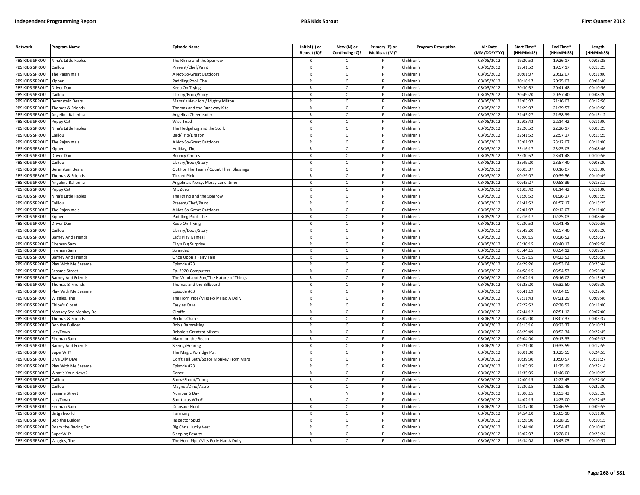| <b>Network</b>               | <b>Program Name</b>       | <b>Episode Name</b>                      | Initial (I) or | New (N) or      | Primary (P) or        | <b>Program Description</b> | <b>Air Date</b> | Start Time* | End Time*  | Length     |
|------------------------------|---------------------------|------------------------------------------|----------------|-----------------|-----------------------|----------------------------|-----------------|-------------|------------|------------|
|                              |                           |                                          | Repeat (R)?    | Continuing (C)? | <b>Multicast (M)?</b> |                            | (MM/DD/YYYY)    | (HH:MM:SS)  | (HH:MM:SS) | (HH:MM:SS) |
| PBS KIDS SPROUT              | Nina's Little Fables      | The Rhino and the Sparrow                | R              | C.              |                       | Children's                 | 03/05/2012      | 19:20:52    | 19:26:17   | 00:05:25   |
| PBS KIDS SPROUT              | Caillou                   | Present/Chef/Paint                       | $\mathsf{R}$   | $\mathsf{C}$    | P                     | Children's                 | 03/05/2012      | 19:41:52    | 19:57:17   | 00:15:25   |
| <b>BS KIDS SPROUT</b>        | The Pajanimals            | A Not-So-Great Outdoors                  | $\mathsf{R}$   | $\mathsf{C}$    | P                     | Children's                 | 03/05/2012      | 20:01:07    | 20:12:07   | 00:11:00   |
| PBS KIDS SPROUT              | .ipper                    | Paddling Pool, The                       | $\mathsf{R}$   | $\mathsf{C}$    | P                     | Children's                 | 03/05/2012      | 20:16:17    | 20:25:03   | 00:08:46   |
| PBS KIDS SPROUT              | Driver Dan                | Keep On Trying                           | $\mathsf{R}$   | C               | P                     | Children's                 | 03/05/2012      | 20:30:52    | 20:41:48   | 00:10:56   |
| PBS KIDS SPROUT              | aillou                    | ibrary/Book/Story                        | $\mathsf{R}$   | $\mathsf{C}$    | P                     | Children's                 | 03/05/2012      | 20:49:20    | 20:57:40   | 00:08:20   |
| PBS KIDS SPROUT              | Berenstain Bears          | Mama's New Job / Mighty Milton           | $\mathsf{R}$   | $\mathsf{C}$    | P                     | Children's                 | 03/05/2012      | 21:03:07    | 21:16:03   | 00:12:56   |
| PBS KIDS SPROUT              | homas & Friends           | homas and the Runaway Kite               | $\overline{R}$ | $\mathsf{C}$    | P                     | Children's                 | 03/05/2012      | 21:29:07    | 21:39:57   | 00:10:50   |
| PBS KIDS SPROUT              | Angelina Ballerina        | Angelina Cheerleader                     | $\mathsf{R}$   | $\mathsf{C}$    | P                     | Children's                 | 03/05/2012      | 21:45:27    | 21:58:39   | 00:13:12   |
| PBS KIDS SPROUT              | oppy Cat                  | Nise Toad                                | R              | C               | P                     | Children's                 | 03/05/2012      | 22:03:42    | 22:14:42   | 00:11:00   |
| PBS KIDS SPROUT              | Nina's Little Fables      | The Hedgehog and the Stork               | $\mathsf{R}$   | $\mathsf{C}$    | P                     | Children's                 | 03/05/2012      | 22:20:52    | 22:26:17   | 00:05:25   |
| PBS KIDS SPROUT              | Caillou                   | Bird/Trip/Dragon                         | $\mathsf{R}$   | $\mathsf{C}$    | P                     | Children's                 | 03/05/2012      | 22:41:52    | 22:57:17   | 00:15:25   |
| PBS KIDS SPROUT              | The Pajanimals            | Mot-So-Great Outdoors                    | $\mathsf{R}$   | $\mathsf{C}$    | P                     | Children's                 | 03/05/2012      | 23:01:07    | 23:12:07   | 00:11:00   |
| PBS KIDS SPROUT              | <b>Kipper</b>             | Ioliday, The                             | $\mathsf{R}$   | $\mathsf{C}$    | P                     | Children's                 | 03/05/2012      | 23:16:17    | 23:25:03   | 00:08:46   |
| PBS KIDS SPROUT              | Driver Dan                | Bouncy Chores                            | $\mathsf{R}$   | $\mathsf{C}$    | P                     | Children's                 | 03/05/2012      | 23:30:52    | 23:41:48   | 00:10:56   |
| PBS KIDS SPROUT              | Caillou                   | ibrary/Book/Story.                       | $\mathsf{R}$   | $\mathsf{C}$    | P                     | Children's                 | 03/05/2012      | 23:49:20    | 23:57:40   | 00:08:20   |
| PBS KIDS SPROUT              | <b>Berenstain Bears</b>   | Out For The Team / Count Their Blessings | $\mathsf{R}$   | $\mathsf{C}$    | P                     | Children's                 | 03/05/2012      | 00:03:07    | 00:16:07   | 00:13:00   |
| PBS KIDS SPROUT              | Thomas & Friends          | <b>Tickled Pink</b>                      | $\mathsf{R}$   | $\mathsf{C}$    | P                     | Children's                 | 03/05/2012      | 00:29:07    | 00:39:56   | 00:10:49   |
| PBS KIDS SPROUT              | Angelina Ballerina        | Angelina's Noisy, Messy Lunchtime        | $\mathsf{R}$   | $\mathsf{C}$    | P                     | Children's                 | 03/05/2012      | 00:45:27    | 00:58:39   | 00:13:12   |
| PBS KIDS SPROUT              | Poppy Cat                 | Mt. Zuzu                                 | $\mathsf{R}$   | $\mathsf{C}$    | P                     | Children's                 | 03/05/2012      | 01:03:42    | 01:14:42   | 00:11:00   |
| PBS KIDS SPROUT              | lina's Little Fables      | he Rhino and the Sparrow                 | $\mathsf{R}$   | $\mathsf{C}$    | $\mathsf{P}$          | Children's                 | 03/05/2012      | 01:20:52    | 01:26:17   | 00:05:25   |
| <b>BS KIDS SPROUT</b>        | `aillou                   | Present/Chef/Paint                       | $\mathsf{R}$   | C               | P                     | Children's                 | 03/05/2012      | 01:41:52    | 01:57:17   | 00:15:25   |
| PBS KIDS SPROUT              | The Pajanimals            | A Not-So-Great Outdoors                  | $\mathsf{R}$   | $\mathsf{C}$    | P                     | Children's                 | 03/05/2012      | 02:01:07    | 02:12:07   | 00:11:00   |
| PBS KIDS SPROUT              | Kipper                    | addling Pool, The                        | $\mathsf{R}$   | $\mathsf{C}$    | P                     | Children's                 | 03/05/2012      | 02:16:17    | 02:25:03   | 00:08:46   |
| PBS KIDS SPROUT              | Driver Dan                | Geep On Trying                           | $\mathsf{R}$   | $\mathsf{C}$    | P                     | Children's                 | 03/05/2012      | 02:30:52    | 02:41:48   | 00:10:56   |
| PBS KIDS SPROUT              | Caillou                   | ibrary/Book/Story.                       | $\mathsf{R}$   | $\mathsf{C}$    | P                     | Children's                 | 03/05/2012      | 02:49:20    | 02:57:40   | 00:08:20   |
| PBS KIDS SPROUT              | <b>Barney And Friends</b> | et's Play Games!                         | $\overline{R}$ | $\mathsf{C}$    | Þ                     | Children's                 | 03/05/2012      | 03:00:15    | 03:26:52   | 00:26:37   |
| PBS KIDS SPROUT              | ireman Sam                | Dily's Big Surprise                      | $\mathsf{R}$   | $\mathsf{C}$    | P                     | Children's                 | 03/05/2012      | 03:30:15    | 03:40:13   | 00:09:58   |
| PBS KIDS SPROUT              | ireman Sam                | itranded                                 | $\mathsf{R}$   | $\mathsf{C}$    | P                     | Children's                 | 03/05/2012      | 03:44:15    | 03:54:12   | 00:09:57   |
| PBS KIDS SPROUT              | <b>Barney And Friends</b> | Once Upon a Fairy Tale                   | $\mathsf{R}$   | $\mathsf{C}$    | P                     | Children's                 | 03/05/2012      | 03:57:15    | 04:23:53   | 00:26:38   |
| PBS KIDS SPROUT              | Play With Me Sesame       | pisode #73                               | $\mathsf{R}$   | C               | P                     | Children's                 | 03/05/2012      | 04:29:20    | 04:53:04   | 00:23:44   |
| PBS KIDS SPROUT              | Sesame Street             | Ep. 3920-Computers                       | $\mathsf{R}$   | $\mathsf{C}$    | P                     | Children's                 | 03/05/2012      | 04:58:15    | 05:54:53   | 00:56:38   |
| PBS KIDS SPROUT              | <b>Barney And Friends</b> | The Wind and Sun/The Nature of Things    | $\mathsf{R}$   | $\mathsf{C}$    | P                     | Children's                 | 03/06/2012      | 06:02:19    | 06:16:02   | 00:13:43   |
| PBS KIDS SPROUT              | Thomas & Friends          | <b>Fhomas and the Billboard</b>          | $\mathsf{R}$   | $\mathsf{C}$    | P                     | Children's                 | 03/06/2012      | 06:23:20    | 06:32:50   | 00:09:30   |
| PBS KIDS SPROUT              | Play With Me Sesame       | Episode #63                              | $\mathsf{R}$   | C               | P                     | Children's                 | 03/06/2012      | 06:41:19    | 07:04:05   | 00:22:46   |
| PBS KIDS SPROUT              | Wiggles, The              | The Horn Pipe/Miss Polly Had A Dolly     | $\mathsf{R}$   | $\mathsf{C}$    | P                     | Children's                 | 03/06/2012      | 07:11:43    | 07:21:29   | 00:09:46   |
| PBS KIDS SPROUT              | Chloe's Closet            | Easy as Cake                             | $\mathsf{R}$   | $\mathsf{C}$    | P                     | Children's                 | 03/06/2012      | 07:27:52    | 07:38:52   | 00:11:00   |
| PBS KIDS SPROUT              | Monkey See Monkey Do      | Giraffe                                  | $\mathsf{R}$   | $\mathcal{C}$   | P                     | Children's                 | 03/06/2012      | 07:44:12    | 07:51:12   | 00:07:00   |
| PBS KIDS SPROUT              | Thomas & Friends          | Berties Chase                            | $\mathsf{R}$   | $\mathsf{C}$    | P                     | Children's                 | 03/06/2012      | 08:02:00    | 08:07:37   | 00:05:37   |
| PBS KIDS SPROUT              | <b>Bob the Builder</b>    | Bob's Barnraising                        | $\mathsf{R}$   | $\mathsf{C}$    | P                     | Children's                 | 03/06/2012      | 08:13:16    | 08:23:37   | 00:10:21   |
| PBS KIDS SPROUT              | azyTown                   | Robbie's Greatest Misses                 | $\mathsf{R}$   | $\mathsf{C}$    | P                     | Children's                 | 03/06/2012      | 08:29:49    | 08:52:34   | 00:22:45   |
| PBS KIDS SPROUT              | ireman Sam                | Alarm on the Beach                       | $\mathsf{R}$   | $\mathsf{C}$    | P                     | Children's                 | 03/06/2012      | 09:04:00    | 09:13:33   | 00:09:33   |
| PBS KIDS SPROUT              | <b>Barney And Friends</b> | Seeing/Hearing                           | $\mathsf{R}$   | $\mathsf{C}$    | P                     | Children's                 | 03/06/2012      | 09:21:00    | 09:33:59   | 00:12:59   |
| PBS KIDS SPROUT              | SuperWHY                  | The Magic Porridge Pot                   | $\overline{R}$ | $\mathsf{C}$    | <sub>D</sub>          | Children's                 | 03/06/2012      | 10:01:00    | 10:25:55   | 00:24:55   |
| PBS KIDS SPROUT              | Dive Olly Dive            | Don't Tell Beth/Space Monkey From Mars   | $\mathsf{R}$   | $\mathsf{C}$    | P                     | Children's                 | 03/06/2012      | 10:39:30    | 10:50:57   | 00:11:27   |
| PBS KIDS SPROUT              | Play With Me Sesame       | pisode #73                               | $\mathsf{R}$   | $\mathsf{C}$    | P                     | Children's                 | 03/06/2012      | 11:03:05    | 11:25:19   | 00:22:14   |
| PBS KIDS SPROUT              | What's Your News?         | Dance                                    | R              | $\mathsf{C}$    | P                     | Children's                 | 03/06/2012      | 11:35:35    | 11:46:00   | 00:10:25   |
| PBS KIDS SPROUT              | aillou                    | inow/Shoot/Tobog                         | $\mathsf{R}$   | $\mathsf{C}$    | P                     | Children's                 | 03/06/2012      | 12:00:15    | 12:22:45   | 00:22:30   |
| PBS KIDS SPROUT              | Caillou                   | Magnet/Dino/Astro                        | $\mathsf{R}$   | $\mathsf{C}$    | P                     | Children's                 | 03/06/2012      | 12:30:15    | 12:52:45   | 00:22:30   |
| PBS KIDS SPROUT              | Sesame Street             | Number 6 Day                             |                | N               | P                     | Children's                 | 03/06/2012      | 13:00:15    | 13:53:43   | 00:53:28   |
| PBS KIDS SPROUT              | LazyTown                  | Sportacus Who?                           | R              | $\mathsf{C}$    | P                     | Children's                 | 03/06/2012      | 14:02:15    | 14:25:00   | 00:22:45   |
| PBS KIDS SPROUT              | Fireman Sam               | Dinosaur Hunt                            | $\mathsf{R}$   | C               | P                     | Children's                 | 03/06/2012      | 14:37:00    | 14:46:55   | 00:09:55   |
| PBS KIDS SPROUT              | dirtgirlworld             | Harmony                                  | $\mathsf{R}$   | $\mathsf{C}$    | P                     | Children's                 | 03/06/2012      | 14:54:10    | 15:05:10   | 00:11:00   |
| PBS KIDS SPROUT              | <b>Bob the Builder</b>    | nspector Spud                            | $\mathsf{R}$   | $\mathsf{C}$    | P                     | Children's                 | 03/06/2012      | 15:28:00    | 15:38:15   | 00:10:15   |
| <b>PBS KIDS SPROUT</b>       | Roary the Racing Car      | Big Chris' Lucky Vest                    | $\mathsf{R}$   | $\mathsf{C}$    | P                     | Children's                 | 03/06/2012      | 15:44:40    | 15:54:43   | 00:10:03   |
| PBS KIDS SPROUT              | SuperWHY                  | Sleeping Beauty                          | $\mathsf{R}$   | C               | D                     | Children's                 | 03/06/2012      | 16:02:37    | 16:28:01   | 00:25:24   |
| PBS KIDS SPROUT Wiggles, The |                           | The Horn Pipe/Miss Polly Had A Dolly     |                | $\epsilon$      | P                     | Children's                 | 03/06/2012      | 16:34:08    | 16:45:05   | 00:10:57   |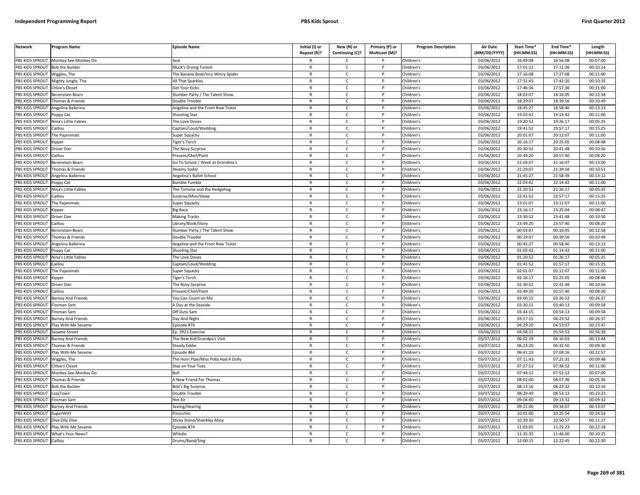| PBS KIDS SPROUT<br>Monkey See Monkey Do<br>Children's<br>03/06/2012<br>16:49:08<br>16:56:08<br>00:07:00<br>Seal<br>C<br>R<br>PBS KIDS SPROUT<br><b>Bob the Builder</b><br>$\mathsf{C}$<br>Children's<br>03/06/2012<br>17:01:12<br>17:11:26<br>00:10:14<br>Muck's Drying Tunnel<br>$\mathsf{R}$<br>P<br>PBS KIDS SPROUT<br>Children's<br>03/06/2012<br>17:16:08<br>17:27:08<br>00:11:00<br>Wiggles, The<br>The Banana Boat/Incy Wincy Spider<br>$\mathsf{R}$<br>$\mathsf{C}$<br>P<br>PBS KIDS SPROUT<br>03/06/2012<br>17:31:45<br>17:42:20<br>00:10:35<br>Mighty Jungle, The<br>All That Sparkles<br>$\mathsf{R}$<br>$\mathsf{C}$<br>P<br>Children's<br>PBS KIDS SPROUT<br>Children's<br>03/06/2012<br>17:46:36<br>17:57:36<br>00:11:00<br>Chloe's Closet<br>Get Your Kicks<br>R<br>$\mathsf{C}$<br>P<br>PBS KIDS SPROUT<br>$\mathsf{R}$<br>$\mathsf{C}$<br>Children's<br>03/06/2012<br>18:03:07<br>18:16:05<br>00:12:58<br><b>Berenstain Bears</b><br>Slumber Party / The Talent Show<br>18:29:07<br>PBS KIDS SPROUT<br>Thomas & Friends<br>Double Trouble<br>$\mathsf{R}$<br>$\mathsf{C}$<br>Children's<br>03/06/2012<br>18:39:56<br>00:10:49<br>PBS KIDS SPROUT<br>$\mathsf{C}$<br>03/06/2012<br>18:45:27<br>18:58:40<br>00:13:13<br>$\mathsf{R}$<br>P<br>Children's<br>Angelina Ballerina<br>Angelina and the Front Row Ticket<br>03/06/2012<br>19:03:42<br>00:11:00<br>PBS KIDS SPROUT<br>$\mathsf{C}$<br>Children's<br>19:14:42<br>Poppy Cat<br><b>Shooting Star</b><br>$\mathsf{R}$<br>P<br>PBS KIDS SPROUT<br>$\mathsf{R}$<br>$\mathsf{C}$<br>p<br>03/06/2012<br>19:20:52<br>19:26:17<br>00:05:25<br>Children's<br>Nina's Little Fables<br>The Love Doves<br>PBS KIDS SPROUT<br>$\mathsf{C}$<br>03/06/2012<br>19:41:52<br>19:57:17<br>00:15:25<br>$\mathsf{R}$<br>P<br>Children's<br>Caillou<br>Captain/Loud/Wedding<br>PBS KIDS SPROUT<br>$\sqrt{03}/06/2012$<br>20:01:07<br>20:12:07<br>$\mathsf{R}$<br>$\mathsf{C}$<br>D<br>Children's<br>00:11:00<br>The Pajanimals<br>Super Squacky<br>PBS KIDS SPROUT<br>$\mathsf{C}$<br>R<br>P<br>Children's<br>03/06/2012<br>20:16:17<br>20:25:05<br>00:08:48<br>Kipper<br>Figer's Torch<br>PBS KIDS SPROUT<br>$\mathsf{R}$<br>$\mathsf{C}$<br>Children's<br>03/06/2012<br>20:30:52<br>20:41:48<br>00:10:56<br>Driver Dan<br>The Nosy Surprise<br>P<br>20:49:20<br>20:57:40<br>PBS KIDS SPROUT<br>$\mathsf{C}$<br>Children's<br>03/06/2012<br>00:08:20<br>Caillou<br>Present/Chef/Paint<br>$\mathsf{R}$<br>P<br>PBS KIDS SPROUT<br>03/06/2012<br>21:16:07<br>Go To School / Week at Grandma's<br>$\mathsf{R}$<br>$\mathsf{C}$<br>Children's<br>21:03:07<br>00:13:00<br>Berenstain Bears<br>P<br>PBS KIDS SPROUT<br>21:39:58<br>Thomas & Friends<br>$\mathsf{R}$<br>$\mathsf{C}$<br>$\mathsf{P}$<br>Children's<br>03/06/2012<br>21:29:07<br>00:10:51<br>Steamy Sodor<br>PBS KIDS SPROUT<br>$\mathsf{C}$<br>Children's<br>03/06/2012<br>21:45:27<br>21:58:39<br>00:13:12<br>Angelina Ballerina<br>Angelina's Ballet School<br>$\mathsf{R}$<br>P<br>PBS KIDS SPROUT<br>Children's<br>03/06/2012<br>22:03:42<br>22:14:42<br>00:11:00<br>Poppy Cat<br><b>Bumble Fumble</b><br>$\mathsf{R}$<br>C<br>P<br>PBS KIDS SPROUT<br>Nina's Little Fables<br>$\mathsf{C}$<br>P<br>Children's<br>03/06/2012<br>22:20:52<br>22:26:17<br>00:05:25<br>The Tortoise and the Hedgehog<br>$\mathsf{R}$<br>PBS KIDS SPROUT<br>03/06/2012<br>22:41:52<br>22:57:17<br>00:15:25<br>Caillou<br>Surprise/Miss/Sleep<br>$\mathsf{R}$<br>$\mathsf{C}$<br>P<br>Children's<br>PBS KIDS SPROUT<br>03/06/2012<br>23:01:07<br>23:12:07<br>00:11:00<br>The Pajanimals<br>Super Squacky<br>R<br>$\mathsf{C}$<br>p<br>Children's<br>PBS KIDS SPROUT<br>$\mathsf{R}$<br>$\mathsf{C}$<br>p<br>Children's<br>03/06/2012<br>23:16:17<br>23:25:04<br>00:08:47<br><b>Big Race</b><br><b>Kipper</b><br>PBS KIDS SPROUT<br>$\mathsf{C}$<br>Children's<br>03/06/2012<br>23:30:52<br>23:41:48<br>00:10:56<br>Driver Dan<br><b>Making Tracks</b><br>R<br>P<br>PBS KIDS SPROUT<br>$\mathsf{R}$<br>$\mathsf{C}$<br>Children's<br>03/06/2012<br>23:49:20<br>23:57:40<br>00:08:20<br>Caillou<br>ibrary/Book/Story.<br>00:03:07<br>00:12:58<br>PBS KIDS SPROUT<br>$\mathsf{C}$<br>Children's<br>03/06/2012<br>00:16:05<br>Berenstain Bears<br>Slumber Party / The Talent Show<br>$\mathsf{R}$<br>P<br>PBS KIDS SPROUT<br>$\mathsf{R}$<br>$\mathsf{C}$<br>P<br>03/06/2012<br>00:29:07<br>00:39:56<br>00:10:49<br>Children's<br>Thomas & Friends<br>Double Trouble<br>PBS KIDS SPROUT<br>$\mathsf{R}$<br>$\mathsf{C}$<br>03/06/2012<br>00:45:27<br>00:58:40<br>00:13:13<br>Angelina Ballerina<br>Angelina and the Front Row Ticket<br>P<br>Children's<br>PBS KIDS SPROUT<br>$\mathsf{C}$<br>03/06/2012<br>01:03:42<br>01:14:42<br>00:11:00<br>$\mathsf{R}$<br>Children's<br>oppy Cat<br>Shooting Star<br>P<br>01:20:52<br>PBS KIDS SPROUT<br>03/06/2012<br>01:26:17<br>00:05:25<br>Nina's Little Fables<br>$\mathsf{R}$<br>$\mathsf{C}$<br>P<br>Children's<br>The Love Doves<br><b>PBS KIDS SPROUT</b><br>$\overline{c}$<br>03/06/2012<br>01:41:52<br>01:57:17<br>00:15:25<br>Caillou<br>Captain/Loud/Wedding<br>$\mathsf{R}$<br>P<br>Children's<br>PBS KIDS SPROUT<br>Children's<br>03/06/2012<br>02:01:07<br>02:12:07<br>00:11:00<br>The Pajanimals<br>Super Squacky<br>R<br>$\mathsf{C}$<br>P<br>03/06/2012<br>PBS KIDS SPROUT<br>iger's Torch<br>$\mathsf{R}$<br>$\mathsf{C}$<br>P<br>Children's<br>02:16:17<br>02:25:05<br>00:08:48<br>Kipper<br>PBS KIDS SPROUT<br>$\mathsf{C}$<br>P<br>Children's<br>03/06/2012<br>02:30:52<br>02:41:48<br>00:10:56<br>Driver Dar<br>The Nosy Surprise<br>$\mathsf{R}$<br>PBS KIDS SPROUT<br>03/06/2012<br>Caillou<br>Present/Chef/Paint<br>$\mathsf{R}$<br>$\mathsf{C}$<br>P<br>Children's<br>02:49:20<br>02:57:40<br>00:08:20<br><b>PBS KIDS SPROUT</b><br>$\mathsf{C}$<br>Children's<br>03/06/2012<br>03:00:15<br>03:26:52<br>00:26:37<br>Barney And Friends<br>You Can Count on Me<br>$\mathsf{R}$<br>P<br>PBS KIDS SPROUT<br>Children's<br>03/06/2012<br>03:30:15<br>03:40:13<br>00:09:58<br>ireman Sam<br>A Day at the Seaside<br>$\mathsf{R}$<br>C<br>P<br>03:44:15<br>00:09:58<br>PBS KIDS SPROUT<br>Off Duty Sam<br>$\mathsf{R}$<br>$\mathsf{C}$<br>P<br>Children's<br>03/06/2012<br>03:54:13<br>Fireman Sam<br>PBS KIDS SPROUT<br>Day And Night<br>R<br>C<br>Children's<br>03/06/2012<br>03:57:15<br>04:23:52<br>00:26:37<br><b>Barney And Friends</b><br>PBS KIDS SPROUT<br>Episode #74<br>$\mathsf{R}$<br>$\mathsf{C}$<br>P<br>Children's<br>03/06/2012<br>04:29:20<br>04:53:07<br>00:23:47<br>Play With Me Sesame<br>PBS KIDS SPROUT<br>03/06/2012<br>04:58:15<br>05:54:53<br>00:56:38<br>Ep. 3921-Exercise<br>R<br>$\mathsf{C}$<br>p<br>Children's<br>Sesame Street<br>PBS KIDS SPROUT<br>$\mathsf{R}$<br>$\mathsf{C}$<br>03/07/2012<br>06:02:19<br>06:16:03<br>00:13:44<br>The New Kid/Grandpa's Visit<br>Children's<br>Barney And Friends<br>PBS KIDS SPROUT<br>03/07/2012<br>06:23:20<br>C<br>Children's<br>06:32:50<br>00:09:30<br>'homas & Friends<br>Steady Eddie<br>R<br>P<br>PBS KIDS SPROUT<br>03/07/2012<br>06:41:19<br>07:04:16<br>00:22:57<br>$\mathsf{R}$<br>$\mathsf{C}$<br>P<br>Children's<br>lay With Me Sesame<br>Episode #64<br>03/07/2012<br>07:11:43<br>07:21:31<br>PBS KIDS SPROUT<br>The Horn Pipe/Miss Polly Had A Dolly<br>$\mathsf{C}$<br>Children's<br>00:09:48<br>$\mathsf{R}$<br>P<br>Wiggles, The<br>07:27:52<br>PBS KIDS SPROUT<br>$\mathsf{C}$<br>Children's<br>03/07/2012<br>07:38:52<br>00:11:00<br>Chloe's Closet<br>$\mathsf{R}$<br>P<br>Stay on Your Toes<br>PBS KIDS SPROUT<br>03/07/2012<br>07:44:12<br>07:51:12<br>$\mathsf{C}$<br>Children's<br>00:07:00<br>Monkey See Monkey Do<br>Bull<br>R<br>P<br>PBS KIDS SPROUT<br>$\mathsf{C}$<br>03/07/2012<br>08:02:00<br>00:05:36<br>Thomas & Friends<br>A New Friend For Thomas<br>$\mathsf{R}$<br>P<br>Children's<br>08:07:36<br>08:13:16<br>08:23:32<br>PBS KIDS SPROUT<br><b>Bob the Builder</b><br>Bob's Big Surprise<br>R<br>$\mathsf{C}$<br>P<br>Children's<br>03/07/2012<br>00:10:16<br>PBS KIDS SPROUT<br>03/07/2012<br>08:29:49<br>08:53:12<br>00:23:23<br>LazyTown<br>Double Trouble<br>$\mathsf{R}$<br>C<br>Children's<br>P<br>PBS KIDS SPROUT<br>Hot Air<br>$\mathsf{C}$<br>P<br>Children's<br>03/07/2012<br>09:04:00<br>09:13:32<br>00:09:32<br>ireman Sam<br>R<br>PBS KIDS SPROUT<br><b>Barney And Friends</b><br>$\mathsf{R}$<br>$\mathsf{C}$<br>P<br>Children's<br>03/07/2012<br>09:21:00<br>09:34:07<br>00:13:07<br>Seeing/Hearing<br>03/07/2012<br>10:01:00<br>10:25:54<br>00:24:54<br>PBS KIDS SPROUT<br><b>SuperWHY</b><br>Pinocchio<br>$\mathsf{R}$<br>$\mathsf{C}$<br>P<br>Children's<br>03/07/2012<br>10:39:30<br>00:11:27<br>PBS KIDS SPROUT<br>Dive Olly Dive<br>Sticky Stone/Shankley Ahoy<br>R<br>Ċ<br>Children's<br>10:50:57<br>PBS KIDS SPROUT<br>Children's<br>03/07/2012<br>11:03:05<br>11:25:23<br>00:22:18<br>Play With Me Sesame<br>Episode #74<br>$\mathsf{R}$<br>$\mathsf{C}$<br>P<br>PBS KIDS SPROUT<br>Children's<br>03/07/2012<br>11:35:35<br>11:46:00<br>00:10:25<br>What's Your News?<br>Whistle<br>R<br>C<br>03/07/2012<br>12:00:15<br>00:22:30<br>PBS KIDS SPROUT<br>Caillou<br>$\mathsf{R}$<br>$\mathsf{C}$<br>P<br>Children's<br>12:22:45<br>Drums/Band/Sing | <b>Network</b> | Program Name | <b>Episode Name</b> | Initial (I) or<br>Repeat (R)? | New (N) or<br>Continuing (C)? | Primary (P) or<br>Multicast (M)? | <b>Program Description</b> | <b>Air Date</b><br>(MM/DD/YYYY) | Start Time*<br>(HH:MM:SS) | End Time*<br>(HH:MM:SS) | Length<br>(HH:MM:SS) |
|------------------------------------------------------------------------------------------------------------------------------------------------------------------------------------------------------------------------------------------------------------------------------------------------------------------------------------------------------------------------------------------------------------------------------------------------------------------------------------------------------------------------------------------------------------------------------------------------------------------------------------------------------------------------------------------------------------------------------------------------------------------------------------------------------------------------------------------------------------------------------------------------------------------------------------------------------------------------------------------------------------------------------------------------------------------------------------------------------------------------------------------------------------------------------------------------------------------------------------------------------------------------------------------------------------------------------------------------------------------------------------------------------------------------------------------------------------------------------------------------------------------------------------------------------------------------------------------------------------------------------------------------------------------------------------------------------------------------------------------------------------------------------------------------------------------------------------------------------------------------------------------------------------------------------------------------------------------------------------------------------------------------------------------------------------------------------------------------------------------------------------------------------------------------------------------------------------------------------------------------------------------------------------------------------------------------------------------------------------------------------------------------------------------------------------------------------------------------------------------------------------------------------------------------------------------------------------------------------------------------------------------------------------------------------------------------------------------------------------------------------------------------------------------------------------------------------------------------------------------------------------------------------------------------------------------------------------------------------------------------------------------------------------------------------------------------------------------------------------------------------------------------------------------------------------------------------------------------------------------------------------------------------------------------------------------------------------------------------------------------------------------------------------------------------------------------------------------------------------------------------------------------------------------------------------------------------------------------------------------------------------------------------------------------------------------------------------------------------------------------------------------------------------------------------------------------------------------------------------------------------------------------------------------------------------------------------------------------------------------------------------------------------------------------------------------------------------------------------------------------------------------------------------------------------------------------------------------------------------------------------------------------------------------------------------------------------------------------------------------------------------------------------------------------------------------------------------------------------------------------------------------------------------------------------------------------------------------------------------------------------------------------------------------------------------------------------------------------------------------------------------------------------------------------------------------------------------------------------------------------------------------------------------------------------------------------------------------------------------------------------------------------------------------------------------------------------------------------------------------------------------------------------------------------------------------------------------------------------------------------------------------------------------------------------------------------------------------------------------------------------------------------------------------------------------------------------------------------------------------------------------------------------------------------------------------------------------------------------------------------------------------------------------------------------------------------------------------------------------------------------------------------------------------------------------------------------------------------------------------------------------------------------------------------------------------------------------------------------------------------------------------------------------------------------------------------------------------------------------------------------------------------------------------------------------------------------------------------------------------------------------------------------------------------------------------------------------------------------------------------------------------------------------------------------------------------------------------------------------------------------------------------------------------------------------------------------------------------------------------------------------------------------------------------------------------------------------------------------------------------------------------------------------------------------------------------------------------------------------------------------------------------------------------------------------------------------------------------------------------------------------------------------------------------------------------------------------------------------------------------------------------------------------------------------------------------------------------------------------------------------------------------------------------------------------------------------------------------------------------------------------------------------------------------------------------------------------------------------------------------------------------------------------------------------------------------------------------------------------------------------------------------------------------------------------------------------------------------------------------------------------------------------------------------------------------------------------------------------------------------------------------------------------------------------------------------------------------------------------------------------------------------------------------------------------------------------------------------------------------------------------------------------------------------------------------------------------------------------------------------------------------------------------------------------------------------------------------------------------------------------------------------------------------------------------------------------------------------------------------------------------------------------------------------------------------------------------------------------------------------------------------------------------------------------------------------------------------------------------------------------------------------------------------------------------------------------------------------------------------------------------------------------------------------------------------------------------------------------------------------------------------------------------------------------------------------------------------------------------------------------------------------------------------------------------------------------------------------------------------|----------------|--------------|---------------------|-------------------------------|-------------------------------|----------------------------------|----------------------------|---------------------------------|---------------------------|-------------------------|----------------------|
|                                                                                                                                                                                                                                                                                                                                                                                                                                                                                                                                                                                                                                                                                                                                                                                                                                                                                                                                                                                                                                                                                                                                                                                                                                                                                                                                                                                                                                                                                                                                                                                                                                                                                                                                                                                                                                                                                                                                                                                                                                                                                                                                                                                                                                                                                                                                                                                                                                                                                                                                                                                                                                                                                                                                                                                                                                                                                                                                                                                                                                                                                                                                                                                                                                                                                                                                                                                                                                                                                                                                                                                                                                                                                                                                                                                                                                                                                                                                                                                                                                                                                                                                                                                                                                                                                                                                                                                                                                                                                                                                                                                                                                                                                                                                                                                                                                                                                                                                                                                                                                                                                                                                                                                                                                                                                                                                                                                                                                                                                                                                                                                                                                                                                                                                                                                                                                                                                                                                                                                                                                                                                                                                                                                                                                                                                                                                                                                                                                                                                                                                                                                                                                                                                                                                                                                                                                                                                                                                                                                                                                                                                                                                                                                                                                                                                                                                                                                                                                                                                                                                                                                                                                                                                                                                                                                                                                                                                                                                                                                                                                                                                                                                                                                                                                                                                                                                                                                                                                                                                                                                                                                                                                                                                                                                                                                                                                                                                                                                                                                                                                                                                                                                                                                                                                          |                |              |                     |                               |                               |                                  |                            |                                 |                           |                         |                      |
|                                                                                                                                                                                                                                                                                                                                                                                                                                                                                                                                                                                                                                                                                                                                                                                                                                                                                                                                                                                                                                                                                                                                                                                                                                                                                                                                                                                                                                                                                                                                                                                                                                                                                                                                                                                                                                                                                                                                                                                                                                                                                                                                                                                                                                                                                                                                                                                                                                                                                                                                                                                                                                                                                                                                                                                                                                                                                                                                                                                                                                                                                                                                                                                                                                                                                                                                                                                                                                                                                                                                                                                                                                                                                                                                                                                                                                                                                                                                                                                                                                                                                                                                                                                                                                                                                                                                                                                                                                                                                                                                                                                                                                                                                                                                                                                                                                                                                                                                                                                                                                                                                                                                                                                                                                                                                                                                                                                                                                                                                                                                                                                                                                                                                                                                                                                                                                                                                                                                                                                                                                                                                                                                                                                                                                                                                                                                                                                                                                                                                                                                                                                                                                                                                                                                                                                                                                                                                                                                                                                                                                                                                                                                                                                                                                                                                                                                                                                                                                                                                                                                                                                                                                                                                                                                                                                                                                                                                                                                                                                                                                                                                                                                                                                                                                                                                                                                                                                                                                                                                                                                                                                                                                                                                                                                                                                                                                                                                                                                                                                                                                                                                                                                                                                                                                          |                |              |                     |                               |                               |                                  |                            |                                 |                           |                         |                      |
|                                                                                                                                                                                                                                                                                                                                                                                                                                                                                                                                                                                                                                                                                                                                                                                                                                                                                                                                                                                                                                                                                                                                                                                                                                                                                                                                                                                                                                                                                                                                                                                                                                                                                                                                                                                                                                                                                                                                                                                                                                                                                                                                                                                                                                                                                                                                                                                                                                                                                                                                                                                                                                                                                                                                                                                                                                                                                                                                                                                                                                                                                                                                                                                                                                                                                                                                                                                                                                                                                                                                                                                                                                                                                                                                                                                                                                                                                                                                                                                                                                                                                                                                                                                                                                                                                                                                                                                                                                                                                                                                                                                                                                                                                                                                                                                                                                                                                                                                                                                                                                                                                                                                                                                                                                                                                                                                                                                                                                                                                                                                                                                                                                                                                                                                                                                                                                                                                                                                                                                                                                                                                                                                                                                                                                                                                                                                                                                                                                                                                                                                                                                                                                                                                                                                                                                                                                                                                                                                                                                                                                                                                                                                                                                                                                                                                                                                                                                                                                                                                                                                                                                                                                                                                                                                                                                                                                                                                                                                                                                                                                                                                                                                                                                                                                                                                                                                                                                                                                                                                                                                                                                                                                                                                                                                                                                                                                                                                                                                                                                                                                                                                                                                                                                                                                          |                |              |                     |                               |                               |                                  |                            |                                 |                           |                         |                      |
|                                                                                                                                                                                                                                                                                                                                                                                                                                                                                                                                                                                                                                                                                                                                                                                                                                                                                                                                                                                                                                                                                                                                                                                                                                                                                                                                                                                                                                                                                                                                                                                                                                                                                                                                                                                                                                                                                                                                                                                                                                                                                                                                                                                                                                                                                                                                                                                                                                                                                                                                                                                                                                                                                                                                                                                                                                                                                                                                                                                                                                                                                                                                                                                                                                                                                                                                                                                                                                                                                                                                                                                                                                                                                                                                                                                                                                                                                                                                                                                                                                                                                                                                                                                                                                                                                                                                                                                                                                                                                                                                                                                                                                                                                                                                                                                                                                                                                                                                                                                                                                                                                                                                                                                                                                                                                                                                                                                                                                                                                                                                                                                                                                                                                                                                                                                                                                                                                                                                                                                                                                                                                                                                                                                                                                                                                                                                                                                                                                                                                                                                                                                                                                                                                                                                                                                                                                                                                                                                                                                                                                                                                                                                                                                                                                                                                                                                                                                                                                                                                                                                                                                                                                                                                                                                                                                                                                                                                                                                                                                                                                                                                                                                                                                                                                                                                                                                                                                                                                                                                                                                                                                                                                                                                                                                                                                                                                                                                                                                                                                                                                                                                                                                                                                                                                          |                |              |                     |                               |                               |                                  |                            |                                 |                           |                         |                      |
|                                                                                                                                                                                                                                                                                                                                                                                                                                                                                                                                                                                                                                                                                                                                                                                                                                                                                                                                                                                                                                                                                                                                                                                                                                                                                                                                                                                                                                                                                                                                                                                                                                                                                                                                                                                                                                                                                                                                                                                                                                                                                                                                                                                                                                                                                                                                                                                                                                                                                                                                                                                                                                                                                                                                                                                                                                                                                                                                                                                                                                                                                                                                                                                                                                                                                                                                                                                                                                                                                                                                                                                                                                                                                                                                                                                                                                                                                                                                                                                                                                                                                                                                                                                                                                                                                                                                                                                                                                                                                                                                                                                                                                                                                                                                                                                                                                                                                                                                                                                                                                                                                                                                                                                                                                                                                                                                                                                                                                                                                                                                                                                                                                                                                                                                                                                                                                                                                                                                                                                                                                                                                                                                                                                                                                                                                                                                                                                                                                                                                                                                                                                                                                                                                                                                                                                                                                                                                                                                                                                                                                                                                                                                                                                                                                                                                                                                                                                                                                                                                                                                                                                                                                                                                                                                                                                                                                                                                                                                                                                                                                                                                                                                                                                                                                                                                                                                                                                                                                                                                                                                                                                                                                                                                                                                                                                                                                                                                                                                                                                                                                                                                                                                                                                                                                          |                |              |                     |                               |                               |                                  |                            |                                 |                           |                         |                      |
|                                                                                                                                                                                                                                                                                                                                                                                                                                                                                                                                                                                                                                                                                                                                                                                                                                                                                                                                                                                                                                                                                                                                                                                                                                                                                                                                                                                                                                                                                                                                                                                                                                                                                                                                                                                                                                                                                                                                                                                                                                                                                                                                                                                                                                                                                                                                                                                                                                                                                                                                                                                                                                                                                                                                                                                                                                                                                                                                                                                                                                                                                                                                                                                                                                                                                                                                                                                                                                                                                                                                                                                                                                                                                                                                                                                                                                                                                                                                                                                                                                                                                                                                                                                                                                                                                                                                                                                                                                                                                                                                                                                                                                                                                                                                                                                                                                                                                                                                                                                                                                                                                                                                                                                                                                                                                                                                                                                                                                                                                                                                                                                                                                                                                                                                                                                                                                                                                                                                                                                                                                                                                                                                                                                                                                                                                                                                                                                                                                                                                                                                                                                                                                                                                                                                                                                                                                                                                                                                                                                                                                                                                                                                                                                                                                                                                                                                                                                                                                                                                                                                                                                                                                                                                                                                                                                                                                                                                                                                                                                                                                                                                                                                                                                                                                                                                                                                                                                                                                                                                                                                                                                                                                                                                                                                                                                                                                                                                                                                                                                                                                                                                                                                                                                                                                          |                |              |                     |                               |                               |                                  |                            |                                 |                           |                         |                      |
|                                                                                                                                                                                                                                                                                                                                                                                                                                                                                                                                                                                                                                                                                                                                                                                                                                                                                                                                                                                                                                                                                                                                                                                                                                                                                                                                                                                                                                                                                                                                                                                                                                                                                                                                                                                                                                                                                                                                                                                                                                                                                                                                                                                                                                                                                                                                                                                                                                                                                                                                                                                                                                                                                                                                                                                                                                                                                                                                                                                                                                                                                                                                                                                                                                                                                                                                                                                                                                                                                                                                                                                                                                                                                                                                                                                                                                                                                                                                                                                                                                                                                                                                                                                                                                                                                                                                                                                                                                                                                                                                                                                                                                                                                                                                                                                                                                                                                                                                                                                                                                                                                                                                                                                                                                                                                                                                                                                                                                                                                                                                                                                                                                                                                                                                                                                                                                                                                                                                                                                                                                                                                                                                                                                                                                                                                                                                                                                                                                                                                                                                                                                                                                                                                                                                                                                                                                                                                                                                                                                                                                                                                                                                                                                                                                                                                                                                                                                                                                                                                                                                                                                                                                                                                                                                                                                                                                                                                                                                                                                                                                                                                                                                                                                                                                                                                                                                                                                                                                                                                                                                                                                                                                                                                                                                                                                                                                                                                                                                                                                                                                                                                                                                                                                                                                          |                |              |                     |                               |                               |                                  |                            |                                 |                           |                         |                      |
|                                                                                                                                                                                                                                                                                                                                                                                                                                                                                                                                                                                                                                                                                                                                                                                                                                                                                                                                                                                                                                                                                                                                                                                                                                                                                                                                                                                                                                                                                                                                                                                                                                                                                                                                                                                                                                                                                                                                                                                                                                                                                                                                                                                                                                                                                                                                                                                                                                                                                                                                                                                                                                                                                                                                                                                                                                                                                                                                                                                                                                                                                                                                                                                                                                                                                                                                                                                                                                                                                                                                                                                                                                                                                                                                                                                                                                                                                                                                                                                                                                                                                                                                                                                                                                                                                                                                                                                                                                                                                                                                                                                                                                                                                                                                                                                                                                                                                                                                                                                                                                                                                                                                                                                                                                                                                                                                                                                                                                                                                                                                                                                                                                                                                                                                                                                                                                                                                                                                                                                                                                                                                                                                                                                                                                                                                                                                                                                                                                                                                                                                                                                                                                                                                                                                                                                                                                                                                                                                                                                                                                                                                                                                                                                                                                                                                                                                                                                                                                                                                                                                                                                                                                                                                                                                                                                                                                                                                                                                                                                                                                                                                                                                                                                                                                                                                                                                                                                                                                                                                                                                                                                                                                                                                                                                                                                                                                                                                                                                                                                                                                                                                                                                                                                                                                          |                |              |                     |                               |                               |                                  |                            |                                 |                           |                         |                      |
|                                                                                                                                                                                                                                                                                                                                                                                                                                                                                                                                                                                                                                                                                                                                                                                                                                                                                                                                                                                                                                                                                                                                                                                                                                                                                                                                                                                                                                                                                                                                                                                                                                                                                                                                                                                                                                                                                                                                                                                                                                                                                                                                                                                                                                                                                                                                                                                                                                                                                                                                                                                                                                                                                                                                                                                                                                                                                                                                                                                                                                                                                                                                                                                                                                                                                                                                                                                                                                                                                                                                                                                                                                                                                                                                                                                                                                                                                                                                                                                                                                                                                                                                                                                                                                                                                                                                                                                                                                                                                                                                                                                                                                                                                                                                                                                                                                                                                                                                                                                                                                                                                                                                                                                                                                                                                                                                                                                                                                                                                                                                                                                                                                                                                                                                                                                                                                                                                                                                                                                                                                                                                                                                                                                                                                                                                                                                                                                                                                                                                                                                                                                                                                                                                                                                                                                                                                                                                                                                                                                                                                                                                                                                                                                                                                                                                                                                                                                                                                                                                                                                                                                                                                                                                                                                                                                                                                                                                                                                                                                                                                                                                                                                                                                                                                                                                                                                                                                                                                                                                                                                                                                                                                                                                                                                                                                                                                                                                                                                                                                                                                                                                                                                                                                                                                          |                |              |                     |                               |                               |                                  |                            |                                 |                           |                         |                      |
|                                                                                                                                                                                                                                                                                                                                                                                                                                                                                                                                                                                                                                                                                                                                                                                                                                                                                                                                                                                                                                                                                                                                                                                                                                                                                                                                                                                                                                                                                                                                                                                                                                                                                                                                                                                                                                                                                                                                                                                                                                                                                                                                                                                                                                                                                                                                                                                                                                                                                                                                                                                                                                                                                                                                                                                                                                                                                                                                                                                                                                                                                                                                                                                                                                                                                                                                                                                                                                                                                                                                                                                                                                                                                                                                                                                                                                                                                                                                                                                                                                                                                                                                                                                                                                                                                                                                                                                                                                                                                                                                                                                                                                                                                                                                                                                                                                                                                                                                                                                                                                                                                                                                                                                                                                                                                                                                                                                                                                                                                                                                                                                                                                                                                                                                                                                                                                                                                                                                                                                                                                                                                                                                                                                                                                                                                                                                                                                                                                                                                                                                                                                                                                                                                                                                                                                                                                                                                                                                                                                                                                                                                                                                                                                                                                                                                                                                                                                                                                                                                                                                                                                                                                                                                                                                                                                                                                                                                                                                                                                                                                                                                                                                                                                                                                                                                                                                                                                                                                                                                                                                                                                                                                                                                                                                                                                                                                                                                                                                                                                                                                                                                                                                                                                                                                          |                |              |                     |                               |                               |                                  |                            |                                 |                           |                         |                      |
|                                                                                                                                                                                                                                                                                                                                                                                                                                                                                                                                                                                                                                                                                                                                                                                                                                                                                                                                                                                                                                                                                                                                                                                                                                                                                                                                                                                                                                                                                                                                                                                                                                                                                                                                                                                                                                                                                                                                                                                                                                                                                                                                                                                                                                                                                                                                                                                                                                                                                                                                                                                                                                                                                                                                                                                                                                                                                                                                                                                                                                                                                                                                                                                                                                                                                                                                                                                                                                                                                                                                                                                                                                                                                                                                                                                                                                                                                                                                                                                                                                                                                                                                                                                                                                                                                                                                                                                                                                                                                                                                                                                                                                                                                                                                                                                                                                                                                                                                                                                                                                                                                                                                                                                                                                                                                                                                                                                                                                                                                                                                                                                                                                                                                                                                                                                                                                                                                                                                                                                                                                                                                                                                                                                                                                                                                                                                                                                                                                                                                                                                                                                                                                                                                                                                                                                                                                                                                                                                                                                                                                                                                                                                                                                                                                                                                                                                                                                                                                                                                                                                                                                                                                                                                                                                                                                                                                                                                                                                                                                                                                                                                                                                                                                                                                                                                                                                                                                                                                                                                                                                                                                                                                                                                                                                                                                                                                                                                                                                                                                                                                                                                                                                                                                                                                          |                |              |                     |                               |                               |                                  |                            |                                 |                           |                         |                      |
|                                                                                                                                                                                                                                                                                                                                                                                                                                                                                                                                                                                                                                                                                                                                                                                                                                                                                                                                                                                                                                                                                                                                                                                                                                                                                                                                                                                                                                                                                                                                                                                                                                                                                                                                                                                                                                                                                                                                                                                                                                                                                                                                                                                                                                                                                                                                                                                                                                                                                                                                                                                                                                                                                                                                                                                                                                                                                                                                                                                                                                                                                                                                                                                                                                                                                                                                                                                                                                                                                                                                                                                                                                                                                                                                                                                                                                                                                                                                                                                                                                                                                                                                                                                                                                                                                                                                                                                                                                                                                                                                                                                                                                                                                                                                                                                                                                                                                                                                                                                                                                                                                                                                                                                                                                                                                                                                                                                                                                                                                                                                                                                                                                                                                                                                                                                                                                                                                                                                                                                                                                                                                                                                                                                                                                                                                                                                                                                                                                                                                                                                                                                                                                                                                                                                                                                                                                                                                                                                                                                                                                                                                                                                                                                                                                                                                                                                                                                                                                                                                                                                                                                                                                                                                                                                                                                                                                                                                                                                                                                                                                                                                                                                                                                                                                                                                                                                                                                                                                                                                                                                                                                                                                                                                                                                                                                                                                                                                                                                                                                                                                                                                                                                                                                                                                          |                |              |                     |                               |                               |                                  |                            |                                 |                           |                         |                      |
|                                                                                                                                                                                                                                                                                                                                                                                                                                                                                                                                                                                                                                                                                                                                                                                                                                                                                                                                                                                                                                                                                                                                                                                                                                                                                                                                                                                                                                                                                                                                                                                                                                                                                                                                                                                                                                                                                                                                                                                                                                                                                                                                                                                                                                                                                                                                                                                                                                                                                                                                                                                                                                                                                                                                                                                                                                                                                                                                                                                                                                                                                                                                                                                                                                                                                                                                                                                                                                                                                                                                                                                                                                                                                                                                                                                                                                                                                                                                                                                                                                                                                                                                                                                                                                                                                                                                                                                                                                                                                                                                                                                                                                                                                                                                                                                                                                                                                                                                                                                                                                                                                                                                                                                                                                                                                                                                                                                                                                                                                                                                                                                                                                                                                                                                                                                                                                                                                                                                                                                                                                                                                                                                                                                                                                                                                                                                                                                                                                                                                                                                                                                                                                                                                                                                                                                                                                                                                                                                                                                                                                                                                                                                                                                                                                                                                                                                                                                                                                                                                                                                                                                                                                                                                                                                                                                                                                                                                                                                                                                                                                                                                                                                                                                                                                                                                                                                                                                                                                                                                                                                                                                                                                                                                                                                                                                                                                                                                                                                                                                                                                                                                                                                                                                                                                          |                |              |                     |                               |                               |                                  |                            |                                 |                           |                         |                      |
|                                                                                                                                                                                                                                                                                                                                                                                                                                                                                                                                                                                                                                                                                                                                                                                                                                                                                                                                                                                                                                                                                                                                                                                                                                                                                                                                                                                                                                                                                                                                                                                                                                                                                                                                                                                                                                                                                                                                                                                                                                                                                                                                                                                                                                                                                                                                                                                                                                                                                                                                                                                                                                                                                                                                                                                                                                                                                                                                                                                                                                                                                                                                                                                                                                                                                                                                                                                                                                                                                                                                                                                                                                                                                                                                                                                                                                                                                                                                                                                                                                                                                                                                                                                                                                                                                                                                                                                                                                                                                                                                                                                                                                                                                                                                                                                                                                                                                                                                                                                                                                                                                                                                                                                                                                                                                                                                                                                                                                                                                                                                                                                                                                                                                                                                                                                                                                                                                                                                                                                                                                                                                                                                                                                                                                                                                                                                                                                                                                                                                                                                                                                                                                                                                                                                                                                                                                                                                                                                                                                                                                                                                                                                                                                                                                                                                                                                                                                                                                                                                                                                                                                                                                                                                                                                                                                                                                                                                                                                                                                                                                                                                                                                                                                                                                                                                                                                                                                                                                                                                                                                                                                                                                                                                                                                                                                                                                                                                                                                                                                                                                                                                                                                                                                                                                          |                |              |                     |                               |                               |                                  |                            |                                 |                           |                         |                      |
|                                                                                                                                                                                                                                                                                                                                                                                                                                                                                                                                                                                                                                                                                                                                                                                                                                                                                                                                                                                                                                                                                                                                                                                                                                                                                                                                                                                                                                                                                                                                                                                                                                                                                                                                                                                                                                                                                                                                                                                                                                                                                                                                                                                                                                                                                                                                                                                                                                                                                                                                                                                                                                                                                                                                                                                                                                                                                                                                                                                                                                                                                                                                                                                                                                                                                                                                                                                                                                                                                                                                                                                                                                                                                                                                                                                                                                                                                                                                                                                                                                                                                                                                                                                                                                                                                                                                                                                                                                                                                                                                                                                                                                                                                                                                                                                                                                                                                                                                                                                                                                                                                                                                                                                                                                                                                                                                                                                                                                                                                                                                                                                                                                                                                                                                                                                                                                                                                                                                                                                                                                                                                                                                                                                                                                                                                                                                                                                                                                                                                                                                                                                                                                                                                                                                                                                                                                                                                                                                                                                                                                                                                                                                                                                                                                                                                                                                                                                                                                                                                                                                                                                                                                                                                                                                                                                                                                                                                                                                                                                                                                                                                                                                                                                                                                                                                                                                                                                                                                                                                                                                                                                                                                                                                                                                                                                                                                                                                                                                                                                                                                                                                                                                                                                                                                          |                |              |                     |                               |                               |                                  |                            |                                 |                           |                         |                      |
|                                                                                                                                                                                                                                                                                                                                                                                                                                                                                                                                                                                                                                                                                                                                                                                                                                                                                                                                                                                                                                                                                                                                                                                                                                                                                                                                                                                                                                                                                                                                                                                                                                                                                                                                                                                                                                                                                                                                                                                                                                                                                                                                                                                                                                                                                                                                                                                                                                                                                                                                                                                                                                                                                                                                                                                                                                                                                                                                                                                                                                                                                                                                                                                                                                                                                                                                                                                                                                                                                                                                                                                                                                                                                                                                                                                                                                                                                                                                                                                                                                                                                                                                                                                                                                                                                                                                                                                                                                                                                                                                                                                                                                                                                                                                                                                                                                                                                                                                                                                                                                                                                                                                                                                                                                                                                                                                                                                                                                                                                                                                                                                                                                                                                                                                                                                                                                                                                                                                                                                                                                                                                                                                                                                                                                                                                                                                                                                                                                                                                                                                                                                                                                                                                                                                                                                                                                                                                                                                                                                                                                                                                                                                                                                                                                                                                                                                                                                                                                                                                                                                                                                                                                                                                                                                                                                                                                                                                                                                                                                                                                                                                                                                                                                                                                                                                                                                                                                                                                                                                                                                                                                                                                                                                                                                                                                                                                                                                                                                                                                                                                                                                                                                                                                                                                          |                |              |                     |                               |                               |                                  |                            |                                 |                           |                         |                      |
|                                                                                                                                                                                                                                                                                                                                                                                                                                                                                                                                                                                                                                                                                                                                                                                                                                                                                                                                                                                                                                                                                                                                                                                                                                                                                                                                                                                                                                                                                                                                                                                                                                                                                                                                                                                                                                                                                                                                                                                                                                                                                                                                                                                                                                                                                                                                                                                                                                                                                                                                                                                                                                                                                                                                                                                                                                                                                                                                                                                                                                                                                                                                                                                                                                                                                                                                                                                                                                                                                                                                                                                                                                                                                                                                                                                                                                                                                                                                                                                                                                                                                                                                                                                                                                                                                                                                                                                                                                                                                                                                                                                                                                                                                                                                                                                                                                                                                                                                                                                                                                                                                                                                                                                                                                                                                                                                                                                                                                                                                                                                                                                                                                                                                                                                                                                                                                                                                                                                                                                                                                                                                                                                                                                                                                                                                                                                                                                                                                                                                                                                                                                                                                                                                                                                                                                                                                                                                                                                                                                                                                                                                                                                                                                                                                                                                                                                                                                                                                                                                                                                                                                                                                                                                                                                                                                                                                                                                                                                                                                                                                                                                                                                                                                                                                                                                                                                                                                                                                                                                                                                                                                                                                                                                                                                                                                                                                                                                                                                                                                                                                                                                                                                                                                                                                          |                |              |                     |                               |                               |                                  |                            |                                 |                           |                         |                      |
|                                                                                                                                                                                                                                                                                                                                                                                                                                                                                                                                                                                                                                                                                                                                                                                                                                                                                                                                                                                                                                                                                                                                                                                                                                                                                                                                                                                                                                                                                                                                                                                                                                                                                                                                                                                                                                                                                                                                                                                                                                                                                                                                                                                                                                                                                                                                                                                                                                                                                                                                                                                                                                                                                                                                                                                                                                                                                                                                                                                                                                                                                                                                                                                                                                                                                                                                                                                                                                                                                                                                                                                                                                                                                                                                                                                                                                                                                                                                                                                                                                                                                                                                                                                                                                                                                                                                                                                                                                                                                                                                                                                                                                                                                                                                                                                                                                                                                                                                                                                                                                                                                                                                                                                                                                                                                                                                                                                                                                                                                                                                                                                                                                                                                                                                                                                                                                                                                                                                                                                                                                                                                                                                                                                                                                                                                                                                                                                                                                                                                                                                                                                                                                                                                                                                                                                                                                                                                                                                                                                                                                                                                                                                                                                                                                                                                                                                                                                                                                                                                                                                                                                                                                                                                                                                                                                                                                                                                                                                                                                                                                                                                                                                                                                                                                                                                                                                                                                                                                                                                                                                                                                                                                                                                                                                                                                                                                                                                                                                                                                                                                                                                                                                                                                                                                          |                |              |                     |                               |                               |                                  |                            |                                 |                           |                         |                      |
|                                                                                                                                                                                                                                                                                                                                                                                                                                                                                                                                                                                                                                                                                                                                                                                                                                                                                                                                                                                                                                                                                                                                                                                                                                                                                                                                                                                                                                                                                                                                                                                                                                                                                                                                                                                                                                                                                                                                                                                                                                                                                                                                                                                                                                                                                                                                                                                                                                                                                                                                                                                                                                                                                                                                                                                                                                                                                                                                                                                                                                                                                                                                                                                                                                                                                                                                                                                                                                                                                                                                                                                                                                                                                                                                                                                                                                                                                                                                                                                                                                                                                                                                                                                                                                                                                                                                                                                                                                                                                                                                                                                                                                                                                                                                                                                                                                                                                                                                                                                                                                                                                                                                                                                                                                                                                                                                                                                                                                                                                                                                                                                                                                                                                                                                                                                                                                                                                                                                                                                                                                                                                                                                                                                                                                                                                                                                                                                                                                                                                                                                                                                                                                                                                                                                                                                                                                                                                                                                                                                                                                                                                                                                                                                                                                                                                                                                                                                                                                                                                                                                                                                                                                                                                                                                                                                                                                                                                                                                                                                                                                                                                                                                                                                                                                                                                                                                                                                                                                                                                                                                                                                                                                                                                                                                                                                                                                                                                                                                                                                                                                                                                                                                                                                                                                          |                |              |                     |                               |                               |                                  |                            |                                 |                           |                         |                      |
|                                                                                                                                                                                                                                                                                                                                                                                                                                                                                                                                                                                                                                                                                                                                                                                                                                                                                                                                                                                                                                                                                                                                                                                                                                                                                                                                                                                                                                                                                                                                                                                                                                                                                                                                                                                                                                                                                                                                                                                                                                                                                                                                                                                                                                                                                                                                                                                                                                                                                                                                                                                                                                                                                                                                                                                                                                                                                                                                                                                                                                                                                                                                                                                                                                                                                                                                                                                                                                                                                                                                                                                                                                                                                                                                                                                                                                                                                                                                                                                                                                                                                                                                                                                                                                                                                                                                                                                                                                                                                                                                                                                                                                                                                                                                                                                                                                                                                                                                                                                                                                                                                                                                                                                                                                                                                                                                                                                                                                                                                                                                                                                                                                                                                                                                                                                                                                                                                                                                                                                                                                                                                                                                                                                                                                                                                                                                                                                                                                                                                                                                                                                                                                                                                                                                                                                                                                                                                                                                                                                                                                                                                                                                                                                                                                                                                                                                                                                                                                                                                                                                                                                                                                                                                                                                                                                                                                                                                                                                                                                                                                                                                                                                                                                                                                                                                                                                                                                                                                                                                                                                                                                                                                                                                                                                                                                                                                                                                                                                                                                                                                                                                                                                                                                                                                          |                |              |                     |                               |                               |                                  |                            |                                 |                           |                         |                      |
|                                                                                                                                                                                                                                                                                                                                                                                                                                                                                                                                                                                                                                                                                                                                                                                                                                                                                                                                                                                                                                                                                                                                                                                                                                                                                                                                                                                                                                                                                                                                                                                                                                                                                                                                                                                                                                                                                                                                                                                                                                                                                                                                                                                                                                                                                                                                                                                                                                                                                                                                                                                                                                                                                                                                                                                                                                                                                                                                                                                                                                                                                                                                                                                                                                                                                                                                                                                                                                                                                                                                                                                                                                                                                                                                                                                                                                                                                                                                                                                                                                                                                                                                                                                                                                                                                                                                                                                                                                                                                                                                                                                                                                                                                                                                                                                                                                                                                                                                                                                                                                                                                                                                                                                                                                                                                                                                                                                                                                                                                                                                                                                                                                                                                                                                                                                                                                                                                                                                                                                                                                                                                                                                                                                                                                                                                                                                                                                                                                                                                                                                                                                                                                                                                                                                                                                                                                                                                                                                                                                                                                                                                                                                                                                                                                                                                                                                                                                                                                                                                                                                                                                                                                                                                                                                                                                                                                                                                                                                                                                                                                                                                                                                                                                                                                                                                                                                                                                                                                                                                                                                                                                                                                                                                                                                                                                                                                                                                                                                                                                                                                                                                                                                                                                                                                          |                |              |                     |                               |                               |                                  |                            |                                 |                           |                         |                      |
|                                                                                                                                                                                                                                                                                                                                                                                                                                                                                                                                                                                                                                                                                                                                                                                                                                                                                                                                                                                                                                                                                                                                                                                                                                                                                                                                                                                                                                                                                                                                                                                                                                                                                                                                                                                                                                                                                                                                                                                                                                                                                                                                                                                                                                                                                                                                                                                                                                                                                                                                                                                                                                                                                                                                                                                                                                                                                                                                                                                                                                                                                                                                                                                                                                                                                                                                                                                                                                                                                                                                                                                                                                                                                                                                                                                                                                                                                                                                                                                                                                                                                                                                                                                                                                                                                                                                                                                                                                                                                                                                                                                                                                                                                                                                                                                                                                                                                                                                                                                                                                                                                                                                                                                                                                                                                                                                                                                                                                                                                                                                                                                                                                                                                                                                                                                                                                                                                                                                                                                                                                                                                                                                                                                                                                                                                                                                                                                                                                                                                                                                                                                                                                                                                                                                                                                                                                                                                                                                                                                                                                                                                                                                                                                                                                                                                                                                                                                                                                                                                                                                                                                                                                                                                                                                                                                                                                                                                                                                                                                                                                                                                                                                                                                                                                                                                                                                                                                                                                                                                                                                                                                                                                                                                                                                                                                                                                                                                                                                                                                                                                                                                                                                                                                                                                          |                |              |                     |                               |                               |                                  |                            |                                 |                           |                         |                      |
|                                                                                                                                                                                                                                                                                                                                                                                                                                                                                                                                                                                                                                                                                                                                                                                                                                                                                                                                                                                                                                                                                                                                                                                                                                                                                                                                                                                                                                                                                                                                                                                                                                                                                                                                                                                                                                                                                                                                                                                                                                                                                                                                                                                                                                                                                                                                                                                                                                                                                                                                                                                                                                                                                                                                                                                                                                                                                                                                                                                                                                                                                                                                                                                                                                                                                                                                                                                                                                                                                                                                                                                                                                                                                                                                                                                                                                                                                                                                                                                                                                                                                                                                                                                                                                                                                                                                                                                                                                                                                                                                                                                                                                                                                                                                                                                                                                                                                                                                                                                                                                                                                                                                                                                                                                                                                                                                                                                                                                                                                                                                                                                                                                                                                                                                                                                                                                                                                                                                                                                                                                                                                                                                                                                                                                                                                                                                                                                                                                                                                                                                                                                                                                                                                                                                                                                                                                                                                                                                                                                                                                                                                                                                                                                                                                                                                                                                                                                                                                                                                                                                                                                                                                                                                                                                                                                                                                                                                                                                                                                                                                                                                                                                                                                                                                                                                                                                                                                                                                                                                                                                                                                                                                                                                                                                                                                                                                                                                                                                                                                                                                                                                                                                                                                                                                          |                |              |                     |                               |                               |                                  |                            |                                 |                           |                         |                      |
|                                                                                                                                                                                                                                                                                                                                                                                                                                                                                                                                                                                                                                                                                                                                                                                                                                                                                                                                                                                                                                                                                                                                                                                                                                                                                                                                                                                                                                                                                                                                                                                                                                                                                                                                                                                                                                                                                                                                                                                                                                                                                                                                                                                                                                                                                                                                                                                                                                                                                                                                                                                                                                                                                                                                                                                                                                                                                                                                                                                                                                                                                                                                                                                                                                                                                                                                                                                                                                                                                                                                                                                                                                                                                                                                                                                                                                                                                                                                                                                                                                                                                                                                                                                                                                                                                                                                                                                                                                                                                                                                                                                                                                                                                                                                                                                                                                                                                                                                                                                                                                                                                                                                                                                                                                                                                                                                                                                                                                                                                                                                                                                                                                                                                                                                                                                                                                                                                                                                                                                                                                                                                                                                                                                                                                                                                                                                                                                                                                                                                                                                                                                                                                                                                                                                                                                                                                                                                                                                                                                                                                                                                                                                                                                                                                                                                                                                                                                                                                                                                                                                                                                                                                                                                                                                                                                                                                                                                                                                                                                                                                                                                                                                                                                                                                                                                                                                                                                                                                                                                                                                                                                                                                                                                                                                                                                                                                                                                                                                                                                                                                                                                                                                                                                                                                          |                |              |                     |                               |                               |                                  |                            |                                 |                           |                         |                      |
|                                                                                                                                                                                                                                                                                                                                                                                                                                                                                                                                                                                                                                                                                                                                                                                                                                                                                                                                                                                                                                                                                                                                                                                                                                                                                                                                                                                                                                                                                                                                                                                                                                                                                                                                                                                                                                                                                                                                                                                                                                                                                                                                                                                                                                                                                                                                                                                                                                                                                                                                                                                                                                                                                                                                                                                                                                                                                                                                                                                                                                                                                                                                                                                                                                                                                                                                                                                                                                                                                                                                                                                                                                                                                                                                                                                                                                                                                                                                                                                                                                                                                                                                                                                                                                                                                                                                                                                                                                                                                                                                                                                                                                                                                                                                                                                                                                                                                                                                                                                                                                                                                                                                                                                                                                                                                                                                                                                                                                                                                                                                                                                                                                                                                                                                                                                                                                                                                                                                                                                                                                                                                                                                                                                                                                                                                                                                                                                                                                                                                                                                                                                                                                                                                                                                                                                                                                                                                                                                                                                                                                                                                                                                                                                                                                                                                                                                                                                                                                                                                                                                                                                                                                                                                                                                                                                                                                                                                                                                                                                                                                                                                                                                                                                                                                                                                                                                                                                                                                                                                                                                                                                                                                                                                                                                                                                                                                                                                                                                                                                                                                                                                                                                                                                                                                          |                |              |                     |                               |                               |                                  |                            |                                 |                           |                         |                      |
|                                                                                                                                                                                                                                                                                                                                                                                                                                                                                                                                                                                                                                                                                                                                                                                                                                                                                                                                                                                                                                                                                                                                                                                                                                                                                                                                                                                                                                                                                                                                                                                                                                                                                                                                                                                                                                                                                                                                                                                                                                                                                                                                                                                                                                                                                                                                                                                                                                                                                                                                                                                                                                                                                                                                                                                                                                                                                                                                                                                                                                                                                                                                                                                                                                                                                                                                                                                                                                                                                                                                                                                                                                                                                                                                                                                                                                                                                                                                                                                                                                                                                                                                                                                                                                                                                                                                                                                                                                                                                                                                                                                                                                                                                                                                                                                                                                                                                                                                                                                                                                                                                                                                                                                                                                                                                                                                                                                                                                                                                                                                                                                                                                                                                                                                                                                                                                                                                                                                                                                                                                                                                                                                                                                                                                                                                                                                                                                                                                                                                                                                                                                                                                                                                                                                                                                                                                                                                                                                                                                                                                                                                                                                                                                                                                                                                                                                                                                                                                                                                                                                                                                                                                                                                                                                                                                                                                                                                                                                                                                                                                                                                                                                                                                                                                                                                                                                                                                                                                                                                                                                                                                                                                                                                                                                                                                                                                                                                                                                                                                                                                                                                                                                                                                                                                          |                |              |                     |                               |                               |                                  |                            |                                 |                           |                         |                      |
|                                                                                                                                                                                                                                                                                                                                                                                                                                                                                                                                                                                                                                                                                                                                                                                                                                                                                                                                                                                                                                                                                                                                                                                                                                                                                                                                                                                                                                                                                                                                                                                                                                                                                                                                                                                                                                                                                                                                                                                                                                                                                                                                                                                                                                                                                                                                                                                                                                                                                                                                                                                                                                                                                                                                                                                                                                                                                                                                                                                                                                                                                                                                                                                                                                                                                                                                                                                                                                                                                                                                                                                                                                                                                                                                                                                                                                                                                                                                                                                                                                                                                                                                                                                                                                                                                                                                                                                                                                                                                                                                                                                                                                                                                                                                                                                                                                                                                                                                                                                                                                                                                                                                                                                                                                                                                                                                                                                                                                                                                                                                                                                                                                                                                                                                                                                                                                                                                                                                                                                                                                                                                                                                                                                                                                                                                                                                                                                                                                                                                                                                                                                                                                                                                                                                                                                                                                                                                                                                                                                                                                                                                                                                                                                                                                                                                                                                                                                                                                                                                                                                                                                                                                                                                                                                                                                                                                                                                                                                                                                                                                                                                                                                                                                                                                                                                                                                                                                                                                                                                                                                                                                                                                                                                                                                                                                                                                                                                                                                                                                                                                                                                                                                                                                                                                          |                |              |                     |                               |                               |                                  |                            |                                 |                           |                         |                      |
|                                                                                                                                                                                                                                                                                                                                                                                                                                                                                                                                                                                                                                                                                                                                                                                                                                                                                                                                                                                                                                                                                                                                                                                                                                                                                                                                                                                                                                                                                                                                                                                                                                                                                                                                                                                                                                                                                                                                                                                                                                                                                                                                                                                                                                                                                                                                                                                                                                                                                                                                                                                                                                                                                                                                                                                                                                                                                                                                                                                                                                                                                                                                                                                                                                                                                                                                                                                                                                                                                                                                                                                                                                                                                                                                                                                                                                                                                                                                                                                                                                                                                                                                                                                                                                                                                                                                                                                                                                                                                                                                                                                                                                                                                                                                                                                                                                                                                                                                                                                                                                                                                                                                                                                                                                                                                                                                                                                                                                                                                                                                                                                                                                                                                                                                                                                                                                                                                                                                                                                                                                                                                                                                                                                                                                                                                                                                                                                                                                                                                                                                                                                                                                                                                                                                                                                                                                                                                                                                                                                                                                                                                                                                                                                                                                                                                                                                                                                                                                                                                                                                                                                                                                                                                                                                                                                                                                                                                                                                                                                                                                                                                                                                                                                                                                                                                                                                                                                                                                                                                                                                                                                                                                                                                                                                                                                                                                                                                                                                                                                                                                                                                                                                                                                                                                          |                |              |                     |                               |                               |                                  |                            |                                 |                           |                         |                      |
|                                                                                                                                                                                                                                                                                                                                                                                                                                                                                                                                                                                                                                                                                                                                                                                                                                                                                                                                                                                                                                                                                                                                                                                                                                                                                                                                                                                                                                                                                                                                                                                                                                                                                                                                                                                                                                                                                                                                                                                                                                                                                                                                                                                                                                                                                                                                                                                                                                                                                                                                                                                                                                                                                                                                                                                                                                                                                                                                                                                                                                                                                                                                                                                                                                                                                                                                                                                                                                                                                                                                                                                                                                                                                                                                                                                                                                                                                                                                                                                                                                                                                                                                                                                                                                                                                                                                                                                                                                                                                                                                                                                                                                                                                                                                                                                                                                                                                                                                                                                                                                                                                                                                                                                                                                                                                                                                                                                                                                                                                                                                                                                                                                                                                                                                                                                                                                                                                                                                                                                                                                                                                                                                                                                                                                                                                                                                                                                                                                                                                                                                                                                                                                                                                                                                                                                                                                                                                                                                                                                                                                                                                                                                                                                                                                                                                                                                                                                                                                                                                                                                                                                                                                                                                                                                                                                                                                                                                                                                                                                                                                                                                                                                                                                                                                                                                                                                                                                                                                                                                                                                                                                                                                                                                                                                                                                                                                                                                                                                                                                                                                                                                                                                                                                                                                          |                |              |                     |                               |                               |                                  |                            |                                 |                           |                         |                      |
|                                                                                                                                                                                                                                                                                                                                                                                                                                                                                                                                                                                                                                                                                                                                                                                                                                                                                                                                                                                                                                                                                                                                                                                                                                                                                                                                                                                                                                                                                                                                                                                                                                                                                                                                                                                                                                                                                                                                                                                                                                                                                                                                                                                                                                                                                                                                                                                                                                                                                                                                                                                                                                                                                                                                                                                                                                                                                                                                                                                                                                                                                                                                                                                                                                                                                                                                                                                                                                                                                                                                                                                                                                                                                                                                                                                                                                                                                                                                                                                                                                                                                                                                                                                                                                                                                                                                                                                                                                                                                                                                                                                                                                                                                                                                                                                                                                                                                                                                                                                                                                                                                                                                                                                                                                                                                                                                                                                                                                                                                                                                                                                                                                                                                                                                                                                                                                                                                                                                                                                                                                                                                                                                                                                                                                                                                                                                                                                                                                                                                                                                                                                                                                                                                                                                                                                                                                                                                                                                                                                                                                                                                                                                                                                                                                                                                                                                                                                                                                                                                                                                                                                                                                                                                                                                                                                                                                                                                                                                                                                                                                                                                                                                                                                                                                                                                                                                                                                                                                                                                                                                                                                                                                                                                                                                                                                                                                                                                                                                                                                                                                                                                                                                                                                                                                          |                |              |                     |                               |                               |                                  |                            |                                 |                           |                         |                      |
|                                                                                                                                                                                                                                                                                                                                                                                                                                                                                                                                                                                                                                                                                                                                                                                                                                                                                                                                                                                                                                                                                                                                                                                                                                                                                                                                                                                                                                                                                                                                                                                                                                                                                                                                                                                                                                                                                                                                                                                                                                                                                                                                                                                                                                                                                                                                                                                                                                                                                                                                                                                                                                                                                                                                                                                                                                                                                                                                                                                                                                                                                                                                                                                                                                                                                                                                                                                                                                                                                                                                                                                                                                                                                                                                                                                                                                                                                                                                                                                                                                                                                                                                                                                                                                                                                                                                                                                                                                                                                                                                                                                                                                                                                                                                                                                                                                                                                                                                                                                                                                                                                                                                                                                                                                                                                                                                                                                                                                                                                                                                                                                                                                                                                                                                                                                                                                                                                                                                                                                                                                                                                                                                                                                                                                                                                                                                                                                                                                                                                                                                                                                                                                                                                                                                                                                                                                                                                                                                                                                                                                                                                                                                                                                                                                                                                                                                                                                                                                                                                                                                                                                                                                                                                                                                                                                                                                                                                                                                                                                                                                                                                                                                                                                                                                                                                                                                                                                                                                                                                                                                                                                                                                                                                                                                                                                                                                                                                                                                                                                                                                                                                                                                                                                                                                          |                |              |                     |                               |                               |                                  |                            |                                 |                           |                         |                      |
|                                                                                                                                                                                                                                                                                                                                                                                                                                                                                                                                                                                                                                                                                                                                                                                                                                                                                                                                                                                                                                                                                                                                                                                                                                                                                                                                                                                                                                                                                                                                                                                                                                                                                                                                                                                                                                                                                                                                                                                                                                                                                                                                                                                                                                                                                                                                                                                                                                                                                                                                                                                                                                                                                                                                                                                                                                                                                                                                                                                                                                                                                                                                                                                                                                                                                                                                                                                                                                                                                                                                                                                                                                                                                                                                                                                                                                                                                                                                                                                                                                                                                                                                                                                                                                                                                                                                                                                                                                                                                                                                                                                                                                                                                                                                                                                                                                                                                                                                                                                                                                                                                                                                                                                                                                                                                                                                                                                                                                                                                                                                                                                                                                                                                                                                                                                                                                                                                                                                                                                                                                                                                                                                                                                                                                                                                                                                                                                                                                                                                                                                                                                                                                                                                                                                                                                                                                                                                                                                                                                                                                                                                                                                                                                                                                                                                                                                                                                                                                                                                                                                                                                                                                                                                                                                                                                                                                                                                                                                                                                                                                                                                                                                                                                                                                                                                                                                                                                                                                                                                                                                                                                                                                                                                                                                                                                                                                                                                                                                                                                                                                                                                                                                                                                                                                          |                |              |                     |                               |                               |                                  |                            |                                 |                           |                         |                      |
|                                                                                                                                                                                                                                                                                                                                                                                                                                                                                                                                                                                                                                                                                                                                                                                                                                                                                                                                                                                                                                                                                                                                                                                                                                                                                                                                                                                                                                                                                                                                                                                                                                                                                                                                                                                                                                                                                                                                                                                                                                                                                                                                                                                                                                                                                                                                                                                                                                                                                                                                                                                                                                                                                                                                                                                                                                                                                                                                                                                                                                                                                                                                                                                                                                                                                                                                                                                                                                                                                                                                                                                                                                                                                                                                                                                                                                                                                                                                                                                                                                                                                                                                                                                                                                                                                                                                                                                                                                                                                                                                                                                                                                                                                                                                                                                                                                                                                                                                                                                                                                                                                                                                                                                                                                                                                                                                                                                                                                                                                                                                                                                                                                                                                                                                                                                                                                                                                                                                                                                                                                                                                                                                                                                                                                                                                                                                                                                                                                                                                                                                                                                                                                                                                                                                                                                                                                                                                                                                                                                                                                                                                                                                                                                                                                                                                                                                                                                                                                                                                                                                                                                                                                                                                                                                                                                                                                                                                                                                                                                                                                                                                                                                                                                                                                                                                                                                                                                                                                                                                                                                                                                                                                                                                                                                                                                                                                                                                                                                                                                                                                                                                                                                                                                                                                          |                |              |                     |                               |                               |                                  |                            |                                 |                           |                         |                      |
|                                                                                                                                                                                                                                                                                                                                                                                                                                                                                                                                                                                                                                                                                                                                                                                                                                                                                                                                                                                                                                                                                                                                                                                                                                                                                                                                                                                                                                                                                                                                                                                                                                                                                                                                                                                                                                                                                                                                                                                                                                                                                                                                                                                                                                                                                                                                                                                                                                                                                                                                                                                                                                                                                                                                                                                                                                                                                                                                                                                                                                                                                                                                                                                                                                                                                                                                                                                                                                                                                                                                                                                                                                                                                                                                                                                                                                                                                                                                                                                                                                                                                                                                                                                                                                                                                                                                                                                                                                                                                                                                                                                                                                                                                                                                                                                                                                                                                                                                                                                                                                                                                                                                                                                                                                                                                                                                                                                                                                                                                                                                                                                                                                                                                                                                                                                                                                                                                                                                                                                                                                                                                                                                                                                                                                                                                                                                                                                                                                                                                                                                                                                                                                                                                                                                                                                                                                                                                                                                                                                                                                                                                                                                                                                                                                                                                                                                                                                                                                                                                                                                                                                                                                                                                                                                                                                                                                                                                                                                                                                                                                                                                                                                                                                                                                                                                                                                                                                                                                                                                                                                                                                                                                                                                                                                                                                                                                                                                                                                                                                                                                                                                                                                                                                                                                          |                |              |                     |                               |                               |                                  |                            |                                 |                           |                         |                      |
|                                                                                                                                                                                                                                                                                                                                                                                                                                                                                                                                                                                                                                                                                                                                                                                                                                                                                                                                                                                                                                                                                                                                                                                                                                                                                                                                                                                                                                                                                                                                                                                                                                                                                                                                                                                                                                                                                                                                                                                                                                                                                                                                                                                                                                                                                                                                                                                                                                                                                                                                                                                                                                                                                                                                                                                                                                                                                                                                                                                                                                                                                                                                                                                                                                                                                                                                                                                                                                                                                                                                                                                                                                                                                                                                                                                                                                                                                                                                                                                                                                                                                                                                                                                                                                                                                                                                                                                                                                                                                                                                                                                                                                                                                                                                                                                                                                                                                                                                                                                                                                                                                                                                                                                                                                                                                                                                                                                                                                                                                                                                                                                                                                                                                                                                                                                                                                                                                                                                                                                                                                                                                                                                                                                                                                                                                                                                                                                                                                                                                                                                                                                                                                                                                                                                                                                                                                                                                                                                                                                                                                                                                                                                                                                                                                                                                                                                                                                                                                                                                                                                                                                                                                                                                                                                                                                                                                                                                                                                                                                                                                                                                                                                                                                                                                                                                                                                                                                                                                                                                                                                                                                                                                                                                                                                                                                                                                                                                                                                                                                                                                                                                                                                                                                                                                          |                |              |                     |                               |                               |                                  |                            |                                 |                           |                         |                      |
|                                                                                                                                                                                                                                                                                                                                                                                                                                                                                                                                                                                                                                                                                                                                                                                                                                                                                                                                                                                                                                                                                                                                                                                                                                                                                                                                                                                                                                                                                                                                                                                                                                                                                                                                                                                                                                                                                                                                                                                                                                                                                                                                                                                                                                                                                                                                                                                                                                                                                                                                                                                                                                                                                                                                                                                                                                                                                                                                                                                                                                                                                                                                                                                                                                                                                                                                                                                                                                                                                                                                                                                                                                                                                                                                                                                                                                                                                                                                                                                                                                                                                                                                                                                                                                                                                                                                                                                                                                                                                                                                                                                                                                                                                                                                                                                                                                                                                                                                                                                                                                                                                                                                                                                                                                                                                                                                                                                                                                                                                                                                                                                                                                                                                                                                                                                                                                                                                                                                                                                                                                                                                                                                                                                                                                                                                                                                                                                                                                                                                                                                                                                                                                                                                                                                                                                                                                                                                                                                                                                                                                                                                                                                                                                                                                                                                                                                                                                                                                                                                                                                                                                                                                                                                                                                                                                                                                                                                                                                                                                                                                                                                                                                                                                                                                                                                                                                                                                                                                                                                                                                                                                                                                                                                                                                                                                                                                                                                                                                                                                                                                                                                                                                                                                                                                          |                |              |                     |                               |                               |                                  |                            |                                 |                           |                         |                      |
|                                                                                                                                                                                                                                                                                                                                                                                                                                                                                                                                                                                                                                                                                                                                                                                                                                                                                                                                                                                                                                                                                                                                                                                                                                                                                                                                                                                                                                                                                                                                                                                                                                                                                                                                                                                                                                                                                                                                                                                                                                                                                                                                                                                                                                                                                                                                                                                                                                                                                                                                                                                                                                                                                                                                                                                                                                                                                                                                                                                                                                                                                                                                                                                                                                                                                                                                                                                                                                                                                                                                                                                                                                                                                                                                                                                                                                                                                                                                                                                                                                                                                                                                                                                                                                                                                                                                                                                                                                                                                                                                                                                                                                                                                                                                                                                                                                                                                                                                                                                                                                                                                                                                                                                                                                                                                                                                                                                                                                                                                                                                                                                                                                                                                                                                                                                                                                                                                                                                                                                                                                                                                                                                                                                                                                                                                                                                                                                                                                                                                                                                                                                                                                                                                                                                                                                                                                                                                                                                                                                                                                                                                                                                                                                                                                                                                                                                                                                                                                                                                                                                                                                                                                                                                                                                                                                                                                                                                                                                                                                                                                                                                                                                                                                                                                                                                                                                                                                                                                                                                                                                                                                                                                                                                                                                                                                                                                                                                                                                                                                                                                                                                                                                                                                                                                          |                |              |                     |                               |                               |                                  |                            |                                 |                           |                         |                      |
|                                                                                                                                                                                                                                                                                                                                                                                                                                                                                                                                                                                                                                                                                                                                                                                                                                                                                                                                                                                                                                                                                                                                                                                                                                                                                                                                                                                                                                                                                                                                                                                                                                                                                                                                                                                                                                                                                                                                                                                                                                                                                                                                                                                                                                                                                                                                                                                                                                                                                                                                                                                                                                                                                                                                                                                                                                                                                                                                                                                                                                                                                                                                                                                                                                                                                                                                                                                                                                                                                                                                                                                                                                                                                                                                                                                                                                                                                                                                                                                                                                                                                                                                                                                                                                                                                                                                                                                                                                                                                                                                                                                                                                                                                                                                                                                                                                                                                                                                                                                                                                                                                                                                                                                                                                                                                                                                                                                                                                                                                                                                                                                                                                                                                                                                                                                                                                                                                                                                                                                                                                                                                                                                                                                                                                                                                                                                                                                                                                                                                                                                                                                                                                                                                                                                                                                                                                                                                                                                                                                                                                                                                                                                                                                                                                                                                                                                                                                                                                                                                                                                                                                                                                                                                                                                                                                                                                                                                                                                                                                                                                                                                                                                                                                                                                                                                                                                                                                                                                                                                                                                                                                                                                                                                                                                                                                                                                                                                                                                                                                                                                                                                                                                                                                                                                          |                |              |                     |                               |                               |                                  |                            |                                 |                           |                         |                      |
|                                                                                                                                                                                                                                                                                                                                                                                                                                                                                                                                                                                                                                                                                                                                                                                                                                                                                                                                                                                                                                                                                                                                                                                                                                                                                                                                                                                                                                                                                                                                                                                                                                                                                                                                                                                                                                                                                                                                                                                                                                                                                                                                                                                                                                                                                                                                                                                                                                                                                                                                                                                                                                                                                                                                                                                                                                                                                                                                                                                                                                                                                                                                                                                                                                                                                                                                                                                                                                                                                                                                                                                                                                                                                                                                                                                                                                                                                                                                                                                                                                                                                                                                                                                                                                                                                                                                                                                                                                                                                                                                                                                                                                                                                                                                                                                                                                                                                                                                                                                                                                                                                                                                                                                                                                                                                                                                                                                                                                                                                                                                                                                                                                                                                                                                                                                                                                                                                                                                                                                                                                                                                                                                                                                                                                                                                                                                                                                                                                                                                                                                                                                                                                                                                                                                                                                                                                                                                                                                                                                                                                                                                                                                                                                                                                                                                                                                                                                                                                                                                                                                                                                                                                                                                                                                                                                                                                                                                                                                                                                                                                                                                                                                                                                                                                                                                                                                                                                                                                                                                                                                                                                                                                                                                                                                                                                                                                                                                                                                                                                                                                                                                                                                                                                                                                          |                |              |                     |                               |                               |                                  |                            |                                 |                           |                         |                      |
|                                                                                                                                                                                                                                                                                                                                                                                                                                                                                                                                                                                                                                                                                                                                                                                                                                                                                                                                                                                                                                                                                                                                                                                                                                                                                                                                                                                                                                                                                                                                                                                                                                                                                                                                                                                                                                                                                                                                                                                                                                                                                                                                                                                                                                                                                                                                                                                                                                                                                                                                                                                                                                                                                                                                                                                                                                                                                                                                                                                                                                                                                                                                                                                                                                                                                                                                                                                                                                                                                                                                                                                                                                                                                                                                                                                                                                                                                                                                                                                                                                                                                                                                                                                                                                                                                                                                                                                                                                                                                                                                                                                                                                                                                                                                                                                                                                                                                                                                                                                                                                                                                                                                                                                                                                                                                                                                                                                                                                                                                                                                                                                                                                                                                                                                                                                                                                                                                                                                                                                                                                                                                                                                                                                                                                                                                                                                                                                                                                                                                                                                                                                                                                                                                                                                                                                                                                                                                                                                                                                                                                                                                                                                                                                                                                                                                                                                                                                                                                                                                                                                                                                                                                                                                                                                                                                                                                                                                                                                                                                                                                                                                                                                                                                                                                                                                                                                                                                                                                                                                                                                                                                                                                                                                                                                                                                                                                                                                                                                                                                                                                                                                                                                                                                                                                          |                |              |                     |                               |                               |                                  |                            |                                 |                           |                         |                      |
|                                                                                                                                                                                                                                                                                                                                                                                                                                                                                                                                                                                                                                                                                                                                                                                                                                                                                                                                                                                                                                                                                                                                                                                                                                                                                                                                                                                                                                                                                                                                                                                                                                                                                                                                                                                                                                                                                                                                                                                                                                                                                                                                                                                                                                                                                                                                                                                                                                                                                                                                                                                                                                                                                                                                                                                                                                                                                                                                                                                                                                                                                                                                                                                                                                                                                                                                                                                                                                                                                                                                                                                                                                                                                                                                                                                                                                                                                                                                                                                                                                                                                                                                                                                                                                                                                                                                                                                                                                                                                                                                                                                                                                                                                                                                                                                                                                                                                                                                                                                                                                                                                                                                                                                                                                                                                                                                                                                                                                                                                                                                                                                                                                                                                                                                                                                                                                                                                                                                                                                                                                                                                                                                                                                                                                                                                                                                                                                                                                                                                                                                                                                                                                                                                                                                                                                                                                                                                                                                                                                                                                                                                                                                                                                                                                                                                                                                                                                                                                                                                                                                                                                                                                                                                                                                                                                                                                                                                                                                                                                                                                                                                                                                                                                                                                                                                                                                                                                                                                                                                                                                                                                                                                                                                                                                                                                                                                                                                                                                                                                                                                                                                                                                                                                                                                          |                |              |                     |                               |                               |                                  |                            |                                 |                           |                         |                      |
|                                                                                                                                                                                                                                                                                                                                                                                                                                                                                                                                                                                                                                                                                                                                                                                                                                                                                                                                                                                                                                                                                                                                                                                                                                                                                                                                                                                                                                                                                                                                                                                                                                                                                                                                                                                                                                                                                                                                                                                                                                                                                                                                                                                                                                                                                                                                                                                                                                                                                                                                                                                                                                                                                                                                                                                                                                                                                                                                                                                                                                                                                                                                                                                                                                                                                                                                                                                                                                                                                                                                                                                                                                                                                                                                                                                                                                                                                                                                                                                                                                                                                                                                                                                                                                                                                                                                                                                                                                                                                                                                                                                                                                                                                                                                                                                                                                                                                                                                                                                                                                                                                                                                                                                                                                                                                                                                                                                                                                                                                                                                                                                                                                                                                                                                                                                                                                                                                                                                                                                                                                                                                                                                                                                                                                                                                                                                                                                                                                                                                                                                                                                                                                                                                                                                                                                                                                                                                                                                                                                                                                                                                                                                                                                                                                                                                                                                                                                                                                                                                                                                                                                                                                                                                                                                                                                                                                                                                                                                                                                                                                                                                                                                                                                                                                                                                                                                                                                                                                                                                                                                                                                                                                                                                                                                                                                                                                                                                                                                                                                                                                                                                                                                                                                                                                          |                |              |                     |                               |                               |                                  |                            |                                 |                           |                         |                      |
|                                                                                                                                                                                                                                                                                                                                                                                                                                                                                                                                                                                                                                                                                                                                                                                                                                                                                                                                                                                                                                                                                                                                                                                                                                                                                                                                                                                                                                                                                                                                                                                                                                                                                                                                                                                                                                                                                                                                                                                                                                                                                                                                                                                                                                                                                                                                                                                                                                                                                                                                                                                                                                                                                                                                                                                                                                                                                                                                                                                                                                                                                                                                                                                                                                                                                                                                                                                                                                                                                                                                                                                                                                                                                                                                                                                                                                                                                                                                                                                                                                                                                                                                                                                                                                                                                                                                                                                                                                                                                                                                                                                                                                                                                                                                                                                                                                                                                                                                                                                                                                                                                                                                                                                                                                                                                                                                                                                                                                                                                                                                                                                                                                                                                                                                                                                                                                                                                                                                                                                                                                                                                                                                                                                                                                                                                                                                                                                                                                                                                                                                                                                                                                                                                                                                                                                                                                                                                                                                                                                                                                                                                                                                                                                                                                                                                                                                                                                                                                                                                                                                                                                                                                                                                                                                                                                                                                                                                                                                                                                                                                                                                                                                                                                                                                                                                                                                                                                                                                                                                                                                                                                                                                                                                                                                                                                                                                                                                                                                                                                                                                                                                                                                                                                                                                          |                |              |                     |                               |                               |                                  |                            |                                 |                           |                         |                      |
|                                                                                                                                                                                                                                                                                                                                                                                                                                                                                                                                                                                                                                                                                                                                                                                                                                                                                                                                                                                                                                                                                                                                                                                                                                                                                                                                                                                                                                                                                                                                                                                                                                                                                                                                                                                                                                                                                                                                                                                                                                                                                                                                                                                                                                                                                                                                                                                                                                                                                                                                                                                                                                                                                                                                                                                                                                                                                                                                                                                                                                                                                                                                                                                                                                                                                                                                                                                                                                                                                                                                                                                                                                                                                                                                                                                                                                                                                                                                                                                                                                                                                                                                                                                                                                                                                                                                                                                                                                                                                                                                                                                                                                                                                                                                                                                                                                                                                                                                                                                                                                                                                                                                                                                                                                                                                                                                                                                                                                                                                                                                                                                                                                                                                                                                                                                                                                                                                                                                                                                                                                                                                                                                                                                                                                                                                                                                                                                                                                                                                                                                                                                                                                                                                                                                                                                                                                                                                                                                                                                                                                                                                                                                                                                                                                                                                                                                                                                                                                                                                                                                                                                                                                                                                                                                                                                                                                                                                                                                                                                                                                                                                                                                                                                                                                                                                                                                                                                                                                                                                                                                                                                                                                                                                                                                                                                                                                                                                                                                                                                                                                                                                                                                                                                                                                          |                |              |                     |                               |                               |                                  |                            |                                 |                           |                         |                      |
|                                                                                                                                                                                                                                                                                                                                                                                                                                                                                                                                                                                                                                                                                                                                                                                                                                                                                                                                                                                                                                                                                                                                                                                                                                                                                                                                                                                                                                                                                                                                                                                                                                                                                                                                                                                                                                                                                                                                                                                                                                                                                                                                                                                                                                                                                                                                                                                                                                                                                                                                                                                                                                                                                                                                                                                                                                                                                                                                                                                                                                                                                                                                                                                                                                                                                                                                                                                                                                                                                                                                                                                                                                                                                                                                                                                                                                                                                                                                                                                                                                                                                                                                                                                                                                                                                                                                                                                                                                                                                                                                                                                                                                                                                                                                                                                                                                                                                                                                                                                                                                                                                                                                                                                                                                                                                                                                                                                                                                                                                                                                                                                                                                                                                                                                                                                                                                                                                                                                                                                                                                                                                                                                                                                                                                                                                                                                                                                                                                                                                                                                                                                                                                                                                                                                                                                                                                                                                                                                                                                                                                                                                                                                                                                                                                                                                                                                                                                                                                                                                                                                                                                                                                                                                                                                                                                                                                                                                                                                                                                                                                                                                                                                                                                                                                                                                                                                                                                                                                                                                                                                                                                                                                                                                                                                                                                                                                                                                                                                                                                                                                                                                                                                                                                                                                          |                |              |                     |                               |                               |                                  |                            |                                 |                           |                         |                      |
|                                                                                                                                                                                                                                                                                                                                                                                                                                                                                                                                                                                                                                                                                                                                                                                                                                                                                                                                                                                                                                                                                                                                                                                                                                                                                                                                                                                                                                                                                                                                                                                                                                                                                                                                                                                                                                                                                                                                                                                                                                                                                                                                                                                                                                                                                                                                                                                                                                                                                                                                                                                                                                                                                                                                                                                                                                                                                                                                                                                                                                                                                                                                                                                                                                                                                                                                                                                                                                                                                                                                                                                                                                                                                                                                                                                                                                                                                                                                                                                                                                                                                                                                                                                                                                                                                                                                                                                                                                                                                                                                                                                                                                                                                                                                                                                                                                                                                                                                                                                                                                                                                                                                                                                                                                                                                                                                                                                                                                                                                                                                                                                                                                                                                                                                                                                                                                                                                                                                                                                                                                                                                                                                                                                                                                                                                                                                                                                                                                                                                                                                                                                                                                                                                                                                                                                                                                                                                                                                                                                                                                                                                                                                                                                                                                                                                                                                                                                                                                                                                                                                                                                                                                                                                                                                                                                                                                                                                                                                                                                                                                                                                                                                                                                                                                                                                                                                                                                                                                                                                                                                                                                                                                                                                                                                                                                                                                                                                                                                                                                                                                                                                                                                                                                                                                          |                |              |                     |                               |                               |                                  |                            |                                 |                           |                         |                      |
|                                                                                                                                                                                                                                                                                                                                                                                                                                                                                                                                                                                                                                                                                                                                                                                                                                                                                                                                                                                                                                                                                                                                                                                                                                                                                                                                                                                                                                                                                                                                                                                                                                                                                                                                                                                                                                                                                                                                                                                                                                                                                                                                                                                                                                                                                                                                                                                                                                                                                                                                                                                                                                                                                                                                                                                                                                                                                                                                                                                                                                                                                                                                                                                                                                                                                                                                                                                                                                                                                                                                                                                                                                                                                                                                                                                                                                                                                                                                                                                                                                                                                                                                                                                                                                                                                                                                                                                                                                                                                                                                                                                                                                                                                                                                                                                                                                                                                                                                                                                                                                                                                                                                                                                                                                                                                                                                                                                                                                                                                                                                                                                                                                                                                                                                                                                                                                                                                                                                                                                                                                                                                                                                                                                                                                                                                                                                                                                                                                                                                                                                                                                                                                                                                                                                                                                                                                                                                                                                                                                                                                                                                                                                                                                                                                                                                                                                                                                                                                                                                                                                                                                                                                                                                                                                                                                                                                                                                                                                                                                                                                                                                                                                                                                                                                                                                                                                                                                                                                                                                                                                                                                                                                                                                                                                                                                                                                                                                                                                                                                                                                                                                                                                                                                                                                          |                |              |                     |                               |                               |                                  |                            |                                 |                           |                         |                      |
|                                                                                                                                                                                                                                                                                                                                                                                                                                                                                                                                                                                                                                                                                                                                                                                                                                                                                                                                                                                                                                                                                                                                                                                                                                                                                                                                                                                                                                                                                                                                                                                                                                                                                                                                                                                                                                                                                                                                                                                                                                                                                                                                                                                                                                                                                                                                                                                                                                                                                                                                                                                                                                                                                                                                                                                                                                                                                                                                                                                                                                                                                                                                                                                                                                                                                                                                                                                                                                                                                                                                                                                                                                                                                                                                                                                                                                                                                                                                                                                                                                                                                                                                                                                                                                                                                                                                                                                                                                                                                                                                                                                                                                                                                                                                                                                                                                                                                                                                                                                                                                                                                                                                                                                                                                                                                                                                                                                                                                                                                                                                                                                                                                                                                                                                                                                                                                                                                                                                                                                                                                                                                                                                                                                                                                                                                                                                                                                                                                                                                                                                                                                                                                                                                                                                                                                                                                                                                                                                                                                                                                                                                                                                                                                                                                                                                                                                                                                                                                                                                                                                                                                                                                                                                                                                                                                                                                                                                                                                                                                                                                                                                                                                                                                                                                                                                                                                                                                                                                                                                                                                                                                                                                                                                                                                                                                                                                                                                                                                                                                                                                                                                                                                                                                                                                          |                |              |                     |                               |                               |                                  |                            |                                 |                           |                         |                      |
|                                                                                                                                                                                                                                                                                                                                                                                                                                                                                                                                                                                                                                                                                                                                                                                                                                                                                                                                                                                                                                                                                                                                                                                                                                                                                                                                                                                                                                                                                                                                                                                                                                                                                                                                                                                                                                                                                                                                                                                                                                                                                                                                                                                                                                                                                                                                                                                                                                                                                                                                                                                                                                                                                                                                                                                                                                                                                                                                                                                                                                                                                                                                                                                                                                                                                                                                                                                                                                                                                                                                                                                                                                                                                                                                                                                                                                                                                                                                                                                                                                                                                                                                                                                                                                                                                                                                                                                                                                                                                                                                                                                                                                                                                                                                                                                                                                                                                                                                                                                                                                                                                                                                                                                                                                                                                                                                                                                                                                                                                                                                                                                                                                                                                                                                                                                                                                                                                                                                                                                                                                                                                                                                                                                                                                                                                                                                                                                                                                                                                                                                                                                                                                                                                                                                                                                                                                                                                                                                                                                                                                                                                                                                                                                                                                                                                                                                                                                                                                                                                                                                                                                                                                                                                                                                                                                                                                                                                                                                                                                                                                                                                                                                                                                                                                                                                                                                                                                                                                                                                                                                                                                                                                                                                                                                                                                                                                                                                                                                                                                                                                                                                                                                                                                                                                          |                |              |                     |                               |                               |                                  |                            |                                 |                           |                         |                      |
|                                                                                                                                                                                                                                                                                                                                                                                                                                                                                                                                                                                                                                                                                                                                                                                                                                                                                                                                                                                                                                                                                                                                                                                                                                                                                                                                                                                                                                                                                                                                                                                                                                                                                                                                                                                                                                                                                                                                                                                                                                                                                                                                                                                                                                                                                                                                                                                                                                                                                                                                                                                                                                                                                                                                                                                                                                                                                                                                                                                                                                                                                                                                                                                                                                                                                                                                                                                                                                                                                                                                                                                                                                                                                                                                                                                                                                                                                                                                                                                                                                                                                                                                                                                                                                                                                                                                                                                                                                                                                                                                                                                                                                                                                                                                                                                                                                                                                                                                                                                                                                                                                                                                                                                                                                                                                                                                                                                                                                                                                                                                                                                                                                                                                                                                                                                                                                                                                                                                                                                                                                                                                                                                                                                                                                                                                                                                                                                                                                                                                                                                                                                                                                                                                                                                                                                                                                                                                                                                                                                                                                                                                                                                                                                                                                                                                                                                                                                                                                                                                                                                                                                                                                                                                                                                                                                                                                                                                                                                                                                                                                                                                                                                                                                                                                                                                                                                                                                                                                                                                                                                                                                                                                                                                                                                                                                                                                                                                                                                                                                                                                                                                                                                                                                                                                          |                |              |                     |                               |                               |                                  |                            |                                 |                           |                         |                      |
|                                                                                                                                                                                                                                                                                                                                                                                                                                                                                                                                                                                                                                                                                                                                                                                                                                                                                                                                                                                                                                                                                                                                                                                                                                                                                                                                                                                                                                                                                                                                                                                                                                                                                                                                                                                                                                                                                                                                                                                                                                                                                                                                                                                                                                                                                                                                                                                                                                                                                                                                                                                                                                                                                                                                                                                                                                                                                                                                                                                                                                                                                                                                                                                                                                                                                                                                                                                                                                                                                                                                                                                                                                                                                                                                                                                                                                                                                                                                                                                                                                                                                                                                                                                                                                                                                                                                                                                                                                                                                                                                                                                                                                                                                                                                                                                                                                                                                                                                                                                                                                                                                                                                                                                                                                                                                                                                                                                                                                                                                                                                                                                                                                                                                                                                                                                                                                                                                                                                                                                                                                                                                                                                                                                                                                                                                                                                                                                                                                                                                                                                                                                                                                                                                                                                                                                                                                                                                                                                                                                                                                                                                                                                                                                                                                                                                                                                                                                                                                                                                                                                                                                                                                                                                                                                                                                                                                                                                                                                                                                                                                                                                                                                                                                                                                                                                                                                                                                                                                                                                                                                                                                                                                                                                                                                                                                                                                                                                                                                                                                                                                                                                                                                                                                                                                          |                |              |                     |                               |                               |                                  |                            |                                 |                           |                         |                      |
|                                                                                                                                                                                                                                                                                                                                                                                                                                                                                                                                                                                                                                                                                                                                                                                                                                                                                                                                                                                                                                                                                                                                                                                                                                                                                                                                                                                                                                                                                                                                                                                                                                                                                                                                                                                                                                                                                                                                                                                                                                                                                                                                                                                                                                                                                                                                                                                                                                                                                                                                                                                                                                                                                                                                                                                                                                                                                                                                                                                                                                                                                                                                                                                                                                                                                                                                                                                                                                                                                                                                                                                                                                                                                                                                                                                                                                                                                                                                                                                                                                                                                                                                                                                                                                                                                                                                                                                                                                                                                                                                                                                                                                                                                                                                                                                                                                                                                                                                                                                                                                                                                                                                                                                                                                                                                                                                                                                                                                                                                                                                                                                                                                                                                                                                                                                                                                                                                                                                                                                                                                                                                                                                                                                                                                                                                                                                                                                                                                                                                                                                                                                                                                                                                                                                                                                                                                                                                                                                                                                                                                                                                                                                                                                                                                                                                                                                                                                                                                                                                                                                                                                                                                                                                                                                                                                                                                                                                                                                                                                                                                                                                                                                                                                                                                                                                                                                                                                                                                                                                                                                                                                                                                                                                                                                                                                                                                                                                                                                                                                                                                                                                                                                                                                                                                          |                |              |                     |                               |                               |                                  |                            |                                 |                           |                         |                      |
|                                                                                                                                                                                                                                                                                                                                                                                                                                                                                                                                                                                                                                                                                                                                                                                                                                                                                                                                                                                                                                                                                                                                                                                                                                                                                                                                                                                                                                                                                                                                                                                                                                                                                                                                                                                                                                                                                                                                                                                                                                                                                                                                                                                                                                                                                                                                                                                                                                                                                                                                                                                                                                                                                                                                                                                                                                                                                                                                                                                                                                                                                                                                                                                                                                                                                                                                                                                                                                                                                                                                                                                                                                                                                                                                                                                                                                                                                                                                                                                                                                                                                                                                                                                                                                                                                                                                                                                                                                                                                                                                                                                                                                                                                                                                                                                                                                                                                                                                                                                                                                                                                                                                                                                                                                                                                                                                                                                                                                                                                                                                                                                                                                                                                                                                                                                                                                                                                                                                                                                                                                                                                                                                                                                                                                                                                                                                                                                                                                                                                                                                                                                                                                                                                                                                                                                                                                                                                                                                                                                                                                                                                                                                                                                                                                                                                                                                                                                                                                                                                                                                                                                                                                                                                                                                                                                                                                                                                                                                                                                                                                                                                                                                                                                                                                                                                                                                                                                                                                                                                                                                                                                                                                                                                                                                                                                                                                                                                                                                                                                                                                                                                                                                                                                                                                          |                |              |                     |                               |                               |                                  |                            |                                 |                           |                         |                      |
|                                                                                                                                                                                                                                                                                                                                                                                                                                                                                                                                                                                                                                                                                                                                                                                                                                                                                                                                                                                                                                                                                                                                                                                                                                                                                                                                                                                                                                                                                                                                                                                                                                                                                                                                                                                                                                                                                                                                                                                                                                                                                                                                                                                                                                                                                                                                                                                                                                                                                                                                                                                                                                                                                                                                                                                                                                                                                                                                                                                                                                                                                                                                                                                                                                                                                                                                                                                                                                                                                                                                                                                                                                                                                                                                                                                                                                                                                                                                                                                                                                                                                                                                                                                                                                                                                                                                                                                                                                                                                                                                                                                                                                                                                                                                                                                                                                                                                                                                                                                                                                                                                                                                                                                                                                                                                                                                                                                                                                                                                                                                                                                                                                                                                                                                                                                                                                                                                                                                                                                                                                                                                                                                                                                                                                                                                                                                                                                                                                                                                                                                                                                                                                                                                                                                                                                                                                                                                                                                                                                                                                                                                                                                                                                                                                                                                                                                                                                                                                                                                                                                                                                                                                                                                                                                                                                                                                                                                                                                                                                                                                                                                                                                                                                                                                                                                                                                                                                                                                                                                                                                                                                                                                                                                                                                                                                                                                                                                                                                                                                                                                                                                                                                                                                                                                          |                |              |                     |                               |                               |                                  |                            |                                 |                           |                         |                      |
|                                                                                                                                                                                                                                                                                                                                                                                                                                                                                                                                                                                                                                                                                                                                                                                                                                                                                                                                                                                                                                                                                                                                                                                                                                                                                                                                                                                                                                                                                                                                                                                                                                                                                                                                                                                                                                                                                                                                                                                                                                                                                                                                                                                                                                                                                                                                                                                                                                                                                                                                                                                                                                                                                                                                                                                                                                                                                                                                                                                                                                                                                                                                                                                                                                                                                                                                                                                                                                                                                                                                                                                                                                                                                                                                                                                                                                                                                                                                                                                                                                                                                                                                                                                                                                                                                                                                                                                                                                                                                                                                                                                                                                                                                                                                                                                                                                                                                                                                                                                                                                                                                                                                                                                                                                                                                                                                                                                                                                                                                                                                                                                                                                                                                                                                                                                                                                                                                                                                                                                                                                                                                                                                                                                                                                                                                                                                                                                                                                                                                                                                                                                                                                                                                                                                                                                                                                                                                                                                                                                                                                                                                                                                                                                                                                                                                                                                                                                                                                                                                                                                                                                                                                                                                                                                                                                                                                                                                                                                                                                                                                                                                                                                                                                                                                                                                                                                                                                                                                                                                                                                                                                                                                                                                                                                                                                                                                                                                                                                                                                                                                                                                                                                                                                                                                          |                |              |                     |                               |                               |                                  |                            |                                 |                           |                         |                      |
|                                                                                                                                                                                                                                                                                                                                                                                                                                                                                                                                                                                                                                                                                                                                                                                                                                                                                                                                                                                                                                                                                                                                                                                                                                                                                                                                                                                                                                                                                                                                                                                                                                                                                                                                                                                                                                                                                                                                                                                                                                                                                                                                                                                                                                                                                                                                                                                                                                                                                                                                                                                                                                                                                                                                                                                                                                                                                                                                                                                                                                                                                                                                                                                                                                                                                                                                                                                                                                                                                                                                                                                                                                                                                                                                                                                                                                                                                                                                                                                                                                                                                                                                                                                                                                                                                                                                                                                                                                                                                                                                                                                                                                                                                                                                                                                                                                                                                                                                                                                                                                                                                                                                                                                                                                                                                                                                                                                                                                                                                                                                                                                                                                                                                                                                                                                                                                                                                                                                                                                                                                                                                                                                                                                                                                                                                                                                                                                                                                                                                                                                                                                                                                                                                                                                                                                                                                                                                                                                                                                                                                                                                                                                                                                                                                                                                                                                                                                                                                                                                                                                                                                                                                                                                                                                                                                                                                                                                                                                                                                                                                                                                                                                                                                                                                                                                                                                                                                                                                                                                                                                                                                                                                                                                                                                                                                                                                                                                                                                                                                                                                                                                                                                                                                                                                          |                |              |                     |                               |                               |                                  |                            |                                 |                           |                         |                      |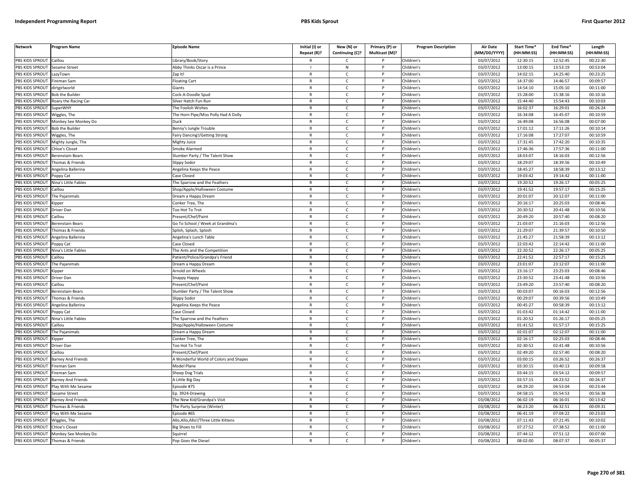| <b>Network</b>                   | Program Name              | <b>Episode Name</b>                    | Initial (I) or | New (N) or      | Primary (P) or | <b>Program Description</b> | <b>Air Date</b> | Start Time* | End Time*  | Length     |
|----------------------------------|---------------------------|----------------------------------------|----------------|-----------------|----------------|----------------------------|-----------------|-------------|------------|------------|
|                                  |                           |                                        | Repeat (R)?    | Continuing (C)? | Multicast (M)? |                            | (MM/DD/YYYY)    | (HH:MM:SS)  | (HH:MM:SS) | (HH:MM:SS) |
| PBS KIDS SPROUT                  | Caillou                   | ibrary/Book/Story                      | R              | Ċ               |                | Children's                 | 03/07/2012      | 12:30:15    | 12:52:45   | 00:22:30   |
| PBS KIDS SPROUT                  | <b>Sesame Street</b>      | Abby Thinks Oscar is a Prince          |                | N               | P              | Children's                 | 03/07/2012      | 13:00:15    | 13:53:19   | 00:53:04   |
| <b>BS KIDS SPROUT</b>            | azyTown                   | Zap It!                                | $\mathsf{R}$   | $\mathsf{C}$    |                | Children's                 | 03/07/2012      | 14:02:15    | 14:25:40   | 00:23:25   |
| PBS KIDS SPROUT                  | ireman Sam                | loating Cart                           | $\mathsf{R}$   | $\mathsf{C}$    | Þ              | Children's                 | 03/07/2012      | 14:37:00    | 14:46:57   | 00:09:57   |
| PBS KIDS SPROUT                  | dirtgirlworld             | <b>Siants</b>                          | $\mathsf{R}$   | C               |                | Children's                 | 03/07/2012      | 14:54:10    | 15:05:10   | 00:11:00   |
| PBS KIDS SPROUT                  | Bob the Builder           | Cock-A-Doodle Spud                     | $\mathsf{R}$   | $\mathsf{C}$    | P              | Children's                 | 03/07/2012      | 15:28:00    | 15:38:16   | 00:10:16   |
| PBS KIDS SPROUT                  | Roary the Racing Car      | Silver Hatch Fun Run                   | R              | $\mathsf{C}$    | P              | Children's                 | 03/07/2012      | 15:44:40    | 15:54:43   | 00:10:03   |
| PBS KIDS SPROUT                  | SuperWHY                  | The Foolish Wishes                     | $\mathsf{R}$   | $\mathsf{C}$    | P              | Children's                 | 03/07/2012      | 16:02:37    | 16:29:01   | 00:26:24   |
| PBS KIDS SPROUT                  | Wiggles, The              | The Horn Pipe/Miss Polly Had A Dolly   | $\mathsf{R}$   | $\mathsf{C}$    | P              | Children's                 | 03/07/2012      | 16:34:08    | 16:45:07   | 00:10:59   |
| PBS KIDS SPROUT                  | Monkey See Monkey Do      | Duck                                   | $\mathsf{R}$   | $\mathsf{C}$    |                | Children's                 | 03/07/2012      | 16:49:08    | 16:56:08   | 00:07:00   |
| PBS KIDS SPROUT                  | <b>Bob the Builder</b>    | Benny's Jungle Trouble                 | $\mathsf{R}$   | $\mathsf{C}$    | P              | Children's                 | 03/07/2012      | 17:01:12    | 17:11:26   | 00:10:14   |
| PBS KIDS SPROUT                  | Wiggles, The              | airy Dancing!/Getting Strong           | $\mathsf{R}$   | $\mathsf{C}$    |                | Children's                 | 03/07/2012      | 17:16:08    | 17:27:07   | 00:10:59   |
| PBS KIDS SPROUT                  | Mighty Jungle, The        | Mighty Juice                           | $\mathsf{R}$   | $\mathsf{C}$    | P              | Children's                 | 03/07/2012      | 17:31:45    | 17:42:20   | 00:10:35   |
| PBS KIDS SPROUT                  | hloe's Closet             | moke Alarmed                           | R              | $\mathsf{C}$    |                | Children's                 | 03/07/2012      | 17:46:36    | 17:57:36   | 00:11:00   |
| PBS KIDS SPROUT                  | <b>Berenstain Bears</b>   | Slumber Party / The Talent Show        | $\mathsf{R}$   | $\mathsf{C}$    | $\mathsf{P}$   | Children's                 | 03/07/2012      | 18:03:07    | 18:16:03   | 00:12:56   |
| PBS KIDS SPROUT                  | Thomas & Friends          | Slippy Sodor                           | R              | C               | P              | Children's                 | 03/07/2012      | 18:29:07    | 18:39:56   | 00:10:49   |
| PBS KIDS SPROUT                  | Angelina Ballerina        | Angelina Keeps the Peace               | R              | $\mathsf{C}$    | P              | Children's                 | 03/07/2012      | 18:45:27    | 18:58:39   | 00:13:12   |
| PBS KIDS SPROUT                  | Poppy Cat                 | Case Closed                            | $\mathsf{R}$   | $\mathsf{C}$    | P              | Children's                 | 03/07/2012      | 19:03:42    | 19:14:42   | 00:11:00   |
| PBS KIDS SPROUT                  | Nina's Little Fables      | The Sparrow and the Feathers           | $\mathsf{R}$   | $\mathsf{C}$    | P              | Children's                 | 03/07/2012      | 19:20:52    | 19:26:17   | 00:05:25   |
| PBS KIDS SPROUT                  | Caillou                   | Shop/Apple/Halloween Costume           | R              | C.              |                | Children's                 | 03/07/2012      | 19:41:52    | 19:57:17   | 00:15:25   |
| PBS KIDS SPROUT                  | he Pajanimals             | )ream a Happy Dream                    | $\mathsf{R}$   | $\mathsf{C}$    | Þ              | Children's                 | 03/07/2012      | 20:01:07    | 20:12:07   | 00:11:00   |
| <b>BS KIDS SPROUT</b>            | Kipper                    | Conker Tree, The                       | R              | C               |                | Children's                 | 03/07/2012      | 20:16:17    | 20:25:03   | 00:08:46   |
| PBS KIDS SPROUT                  | Driver Dan                | <b>Too Hot To Trot</b>                 | $\mathsf{R}$   | $\mathsf{C}$    | P              | Children's                 | 03/07/2012      | 20:30:52    | 20:41:48   | 00:10:56   |
| PBS KIDS SPROUT                  | Caillou                   | resent/Chef/Paint                      | R              | $\mathsf{C}$    | P              | Children's                 | 03/07/2012      | 20:49:20    | 20:57:40   | 00:08:20   |
| PBS KIDS SPROUT                  | Berenstain Bears          | Go To School / Week at Grandma's       | $\mathsf{R}$   | $\mathsf{C}$    | P              | Children's                 | 03/07/2012      | 21:03:07    | 21:16:03   | 00:12:56   |
| PBS KIDS SPROUT                  | Thomas & Friends          | Splish, Splash, Splosh                 | $\mathsf{R}$   | $\mathsf{C}$    | P              | Children's                 | 03/07/2012      | 21:29:07    | 21:39:57   | 00:10:50   |
| PBS KIDS SPROUT                  | Angelina Ballerina        | Angelina's Lunch Table                 | R              | $\mathsf{C}$    |                | Children's                 | 03/07/2012      | 21:45:27    | 21:58:39   | 00:13:12   |
| PBS KIDS SPROUT                  | oppy Cat                  | Case Closed                            | $\mathsf{R}$   | $\mathsf{C}$    | P              | Children's                 | 03/07/2012      | 22:03:42    | 22:14:42   | 00:11:00   |
| PBS KIDS SPROUT                  | lina's Little Fables      | he Ants and the Competition            | $\mathsf{R}$   | $\mathsf{C}$    |                | Children's                 | 03/07/2012      | 22:20:52    | 22:26:17   | 00:05:25   |
| PBS KIDS SPROUT                  | Caillou                   | Patient/Police/Grandpa's Friend        | $\mathsf{R}$   | $\mathsf{C}$    | P              | Children's                 | 03/07/2012      | 22:41:52    | 22:57:17   | 00:15:25   |
| PBS KIDS SPROUT                  | The Pajanimals            | Dream a Happy Dream                    | R              | $\mathsf{C}$    |                | Children's                 | 03/07/2012      | 23:01:07    | 23:12:07   | 00:11:00   |
| PBS KIDS SPROUT                  | Kipper                    | Arnold on Wheels                       | $\mathsf{R}$   | $\mathsf{C}$    | P              | Children's                 | 03/07/2012      | 23:16:17    | 23:25:03   | 00:08:46   |
| PBS KIDS SPROUT                  | Driver Dan                | Snappy Happy                           | $\mathsf{R}$   | $\mathsf{C}$    | P              | Children's                 | 03/07/2012      | 23:30:52    | 23:41:48   | 00:10:56   |
| PBS KIDS SPROUT                  | Caillou                   | Present/Chef/Paint                     | R              | C               | P              | Children's                 | 03/07/2012      | 23:49:20    | 23:57:40   | 00:08:20   |
| PBS KIDS SPROUT                  | <b>Berenstain Bears</b>   | Slumber Party / The Talent Show        | R              | $\mathsf{C}$    | P              | Children's                 | 03/07/2012      | 00:03:07    | 00:16:03   | 00:12:56   |
| PBS KIDS SPROUT                  | Thomas & Friends          | Slippy Sodor                           | $\mathsf{R}$   | $\mathsf{C}$    | P              | Children's                 | 03/07/2012      | 00:29:07    | 00:39:56   | 00:10:49   |
| PBS KIDS SPROUT                  | Angelina Ballerina        | Angelina Keeps the Peace               | R              | $\mathsf{C}$    |                | Children's                 | 03/07/2012      | 00:45:27    | 00:58:39   | 00:13:12   |
| PBS KIDS SPROUT                  | oppy Cat                  | Case Closed                            | $\mathsf{R}$   | $\mathsf{C}$    | Þ              | Children's                 | 03/07/2012      | 01:03:42    | 01:14:42   | 00:11:00   |
| PBS KIDS SPROUT                  | Nina's Little Fables      | The Sparrow and the Feathers           | R              | C               |                | Children's                 | 03/07/2012      | 01:20:52    | 01:26:17   | 00:05:25   |
| PBS KIDS SPROUT                  | aillou                    | Shop/Apple/Halloween Costume           | $\mathsf{R}$   | $\mathsf{C}$    |                | Children's                 | 03/07/2012      | 01:41:52    | 01:57:17   | 00:15:25   |
| <b>BS KIDS SPROUT</b>            | The Pajanimals            | Oream a Happy Dream                    | $\mathsf{R}$   | $\mathsf{C}$    | P              | Children's                 | 03/07/2012      | 02:01:07    | 02:12:07   | 00:11:00   |
| PBS KIDS SPROUT                  | (ipper                    | Conker Tree, The                       | $\mathsf{R}$   | $\mathsf{C}$    | Þ              | Children's                 | 03/07/2012      | 02:16:17    | 02:25:03   | 00:08:46   |
| PBS KIDS SPROUT                  | Driver Dan                | <b>Too Hot To Trot</b>                 | $\mathsf{R}$   | $\mathsf{C}$    | P              | Children's                 | 03/07/2012      | 02:30:52    | 02:41:48   | 00:10:56   |
| PBS KIDS SPROUT                  | aillou                    | resent/Chef/Paint                      | $\mathsf{R}$   | $\mathsf{C}$    | D              | Children's                 | 03/07/2012      | 02:49:20    | 02:57:40   | 00:08:20   |
| PBS KIDS SPROUT                  | <b>Barney And Friends</b> | A Wonderful World of Colors and Shapes | $\mathsf{R}$   | $\mathsf{C}$    | P              | Children's                 | 03/07/2012      | 03:00:15    | 03:26:52   | 00:26:37   |
| PBS KIDS SPROUT                  | ireman Sam                | Model Plane                            | $\mathsf{R}$   | $\mathsf{C}$    | D              | Children's                 | 03/07/2012      | 03:30:15    | 03:40:13   | 00:09:58   |
| PBS KIDS SPROUT                  | ireman Sam                | Sheep Dog Trials                       | R              | $\mathsf{C}$    | P              | Children's                 | 03/07/2012      | 03:44:15    | 03:54:12   | 00:09:57   |
| PBS KIDS SPROUT                  | Barney And Friends        | Little Big Day                         | $\mathsf{R}$   | $\mathsf{C}$    | P              | Children's                 | 03/07/2012      | 03:57:15    | 04:23:52   | 00:26:37   |
| PBS KIDS SPROUT                  | Play With Me Sesame       | pisode #75                             | $\mathsf{R}$   | $\mathsf{C}$    | $\mathsf{P}$   | Children's                 | 03/07/2012      | 04:29:20    | 04:53:04   | 00:23:44   |
| PBS KIDS SPROUT                  | Sesame Street             | Ep. 3924-Drawing                       | $\mathsf{R}$   | C               |                | Children's                 | 03/07/2012      | 04:58:15    | 05:54:53   | 00:56:38   |
| PBS KIDS SPROUT                  | <b>Barney And Friends</b> | The New Kid/Grandpa's Visit            | R              | $\mathsf{C}$    | P              | Children's                 | 03/08/2012      | 06:02:19    | 06:16:01   | 00:13:42   |
| PBS KIDS SPROUT                  | Thomas & Friends          | he Party Surprise (Winter)             | $\mathsf{R}$   | C               | P              | Children's                 | 03/08/2012      | 06:23:20    | 06:32:51   | 00:09:31   |
| PBS KIDS SPROUT                  | Play With Me Sesame       | Episode #65                            | $\mathsf{R}$   | $\mathsf{C}$    | P              | Children's                 | 03/08/2012      | 06:41:19    | 07:04:22   | 00:23:03   |
| PBS KIDS SPROUT                  | Wiggles, The              | Allo,Allo,Allo!/Three Little Kittens   | R              | Ċ               |                | Children's                 | 03/08/2012      | 07:11:43    | 07:21:45   | 00:10:02   |
| PBS KIDS SPROUT                  | Chloe's Closet            | lig Shoes to Fill                      | $\mathsf{R}$   | $\mathsf{C}$    | P              | Children's                 | 03/08/2012      | 07:27:52    | 07:38:52   | 00:11:00   |
| PBS KIDS SPROUT                  | Monkey See Monkey Do      | Sauirrel                               | R              | C               |                | Children's                 | 03/08/2012      | 07:44:12    | 07:51:12   | 00:07:00   |
| PBS KIDS SPROUT Thomas & Friends |                           | Pop Goes the Diesel                    | R              | $\mathsf{C}$    |                | Children's                 | 03/08/2012      | 08:02:00    | 08:07:37   | 00:05:37   |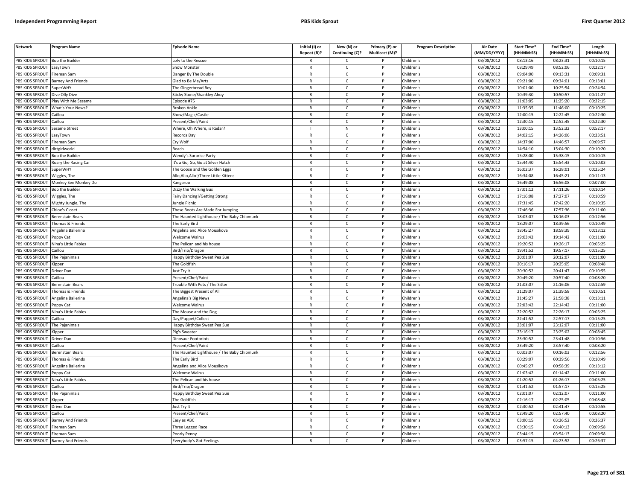| <b>Network</b>         | Program Name              | <b>Episode Name</b>                        | Initial (I) or<br>Repeat (R)? | New (N) or<br>Continuing (C)? | Primary (P) or<br>Multicast (M)? | <b>Program Description</b> | <b>Air Date</b><br>(MM/DD/YYYY) | Start Time*<br>(HH:MM:SS) | End Time <sup>®</sup><br>(HH:MM:SS) | Length<br>(HH:MM:SS) |
|------------------------|---------------------------|--------------------------------------------|-------------------------------|-------------------------------|----------------------------------|----------------------------|---------------------------------|---------------------------|-------------------------------------|----------------------|
| PBS KIDS SPROUT        | <b>Bob the Builder</b>    | ofy to the Rescue                          |                               | C                             |                                  | Children's                 | 03/08/2012                      | 08:13:16                  | 08:23:31                            | 00:10:15             |
| PBS KIDS SPROUT        | LazyTown                  | Snow Monster                               | $\mathsf{R}$                  | $\mathsf{C}$                  | $\mathsf{P}$                     | Children's                 | 03/08/2012                      | 08:29:49                  | 08:52:06                            | 00:22:17             |
| PBS KIDS SPROUT        | Fireman Sam               | Danger By The Double                       | $\mathsf{R}$                  | $\mathsf{C}$                  | P                                | Children's                 | 03/08/2012                      | 09:04:00                  | 09:13:31                            | 00:09:31             |
| PBS KIDS SPROUT        | Barney And Friends        | Glad to Be Me/Arts                         | $\mathbb{R}$                  | $\mathsf{C}$                  | P                                | Children's                 | 03/08/2012                      | 09:21:00                  | 09:34:01                            | 00:13:01             |
| PBS KIDS SPROUT        | <b>SuperWHY</b>           | The Gingerbread Boy                        | $\mathsf{R}$                  | $\mathsf{C}$                  | P                                | Children's                 | 03/08/2012                      | 10:01:00                  | 10:25:54                            | 00:24:54             |
| PBS KIDS SPROUT        | Dive Olly Dive            | Sticky Stone/Shankley Ahoy                 | $\mathsf{R}$                  | $\mathsf{C}$                  |                                  | Children's                 | 03/08/2012                      | 10:39:30                  | 10:50:57                            | 00:11:27             |
| PBS KIDS SPROUT        | Play With Me Sesame       | Episode #75                                | R                             | C                             |                                  | Children's                 | 03/08/2012                      | 11:03:05                  | 11:25:20                            | 00:22:15             |
| PBS KIDS SPROUT        | What's Your News?         | Broken Ankle                               | $\mathsf{R}$                  | $\mathsf{C}$                  | <b>D</b>                         | Children's                 | 03/08/2012                      | 11:35:35                  | 11:46:00                            | 00:10:25             |
| <b>PBS KIDS SPROUT</b> | Caillou                   | Show/Magic/Castle                          | R                             | $\mathsf{C}$                  | P                                | Children's                 | 03/08/2012                      | 12:00:15                  | 12:22:45                            | 00:22:30             |
| PBS KIDS SPROUT        | Caillou                   | Present/Chef/Paint                         | $\mathsf{R}$                  | $\mathsf{C}$                  | <b>D</b>                         | Children's                 | 03/08/2012                      | 12:30:15                  | 12:52:45                            | 00:22:30             |
| PBS KIDS SPROUT        | Sesame Street             | Where, Oh Where, is Radar?                 |                               | ${\sf N}$                     | P                                | Children's                 | 03/08/2012                      | 13:00:15                  | 13:52:32                            | 00:52:17             |
| PBS KIDS SPROUT        | LazyTown                  | Records Day                                | ${\sf R}$                     | $\mathsf{C}$                  | <b>D</b>                         | Children's                 | 03/08/2012                      | 14:02:15                  | 14:26:06                            | 00:23:51             |
| PBS KIDS SPROUT        | Fireman Sam               | Cry Wolf                                   | $\mathsf{R}$                  | $\mathsf{C}$                  | P                                | Children's                 | 03/08/2012                      | 14:37:00                  | 14:46:57                            | 00:09:57             |
| <b>PBS KIDS SPROUT</b> | dirtgirlworld             | Beach                                      | $\mathsf{R}$                  | C                             |                                  | Children's                 | 03/08/2012                      | 14:54:10                  | 15:04:30                            | 00:10:20             |
| PBS KIDS SPROUT        | Bob the Builde            | Wendy's Surprise Party                     | $\mathsf{R}$                  | C                             | P                                | Children's                 | 03/08/2012                      | 15:28:00                  | 15:38:15                            | 00:10:15             |
| PBS KIDS SPROUT        | Roary the Racing Car      | It's a Go, Go, Go at Silver Hatch          | $\mathsf{R}$                  | $\mathsf{C}$                  | P                                | Children's                 | 03/08/2012                      | 15:44:40                  | 15:54:43                            | 00:10:03             |
| PBS KIDS SPROUT        | SuperWHY                  | The Goose and the Golden Eggs              | $\mathsf{R}$                  | $\mathsf{C}$                  | $\mathsf{P}$                     | Children's                 | 03/08/2012                      | 16:02:37                  | 16:28:01                            | 00:25:24             |
| PBS KIDS SPROUT        | Wiggles, The              | Allo, Allo, Allo!/Three Little Kittens     | $\mathsf{R}$                  | $\mathsf{C}$                  | P                                | Children's                 | 03/08/2012                      | 16:34:08                  | 16:45:21                            | 00:11:13             |
| PBS KIDS SPROUT        | Monkey See Monkey Do      | Kangaroo                                   | $\mathbb{R}$                  | $\mathsf{C}$                  | P                                | Children's                 | 03/08/2012                      | 16:49:08                  | 16:56:08                            | 00:07:00             |
| PBS KIDS SPROUT        | <b>Bob the Builder</b>    | Dizzy the Walking Bus                      | $\mathsf{R}$                  | C                             | P                                | Children's                 | 03/08/2012                      | 17:01:12                  | 17:11:26                            | 00:10:14             |
| PBS KIDS SPROUT        | Wiggles, The              | Fairy Dancing!/Getting Strong              | $\mathsf{R}$                  | $\mathsf{C}$                  | P                                | Children's                 | 03/08/2012                      | 17:16:08                  | 17:27:07                            | 00:10:59             |
| PBS KIDS SPROUT        | Mighty Jungle, The        | Jungle Picnic                              | $\mathsf{R}$                  | $\mathsf{C}$                  |                                  | Children's                 | 03/08/2012                      | 17:31:45                  | 17:42:20                            | 00:10:35             |
| PBS KIDS SPROUT        | Chloe's Closet            | These Boots Are Made For Jumping           | $\mathsf{R}$                  | $\mathsf{C}$                  | P                                | Children's                 | 03/08/2012                      | 17:46:36                  | 17:57:36                            | 00:11:00             |
| PBS KIDS SPROUT        | Berenstain Bears          | The Haunted Lighthouse / The Baby Chipmunk | R                             | $\mathsf{C}$                  | P                                | Children's                 | 03/08/2012                      | 18:03:07                  | 18:16:03                            | 00:12:56             |
| PBS KIDS SPROUT        | Thomas & Friends          | The Early Bird                             | $\mathsf{R}$                  | $\mathsf{C}$                  | <sub>D</sub>                     | Children's                 | 03/08/2012                      | 18:29:07                  | 18:39:56                            | 00:10:49             |
| PBS KIDS SPROUT        | Angelina Ballerina        | Angelina and Alice Mousikova               | $\mathsf{R}$                  | $\mathsf{C}$                  | P                                | Children's                 | 03/08/2012                      | 18:45:27                  | 18:58:39                            | 00:13:12             |
| PBS KIDS SPROUT        | Poppy Cat                 | Welcome Walrus                             | $\mathsf{R}$                  | $\mathsf{C}$                  | P                                | Children's                 | 03/08/2012                      | 19:03:42                  | 19:14:42                            | 00:11:00             |
| PBS KIDS SPROUT        | Nina's Little Fables      | The Pelican and his house                  | $\mathsf{R}$                  | $\mathsf{C}$                  | P                                | Children's                 | 03/08/2012                      | 19:20:52                  | 19:26:17                            | 00:05:25             |
| PBS KIDS SPROUT        | Caillou                   | Bird/Trip/Dragon                           | $\mathsf{R}$                  | $\mathsf{C}$                  |                                  | Children's                 | 03/08/2012                      | 19:41:52                  | 19:57:17                            | 00:15:25             |
| PBS KIDS SPROUT        | The Pajanimals            | Happy Birthday Sweet Pea Sue               | $\mathsf{R}$                  | $\mathsf{C}$                  | P                                | Children's                 | 03/08/2012                      | 20:01:07                  | 20:12:07                            | 00:11:00             |
| PBS KIDS SPROUT        | <b>Kipper</b>             | The Goldfish                               | $\mathsf{R}$                  | $\mathsf{C}$                  | P                                | Children's                 | 03/08/2012                      | 20:16:17                  | 20:25:05                            | 00:08:48             |
| PBS KIDS SPROUT        | Driver Dan                | Just Try If                                | $\mathsf{R}$                  | $\mathsf{C}$                  | P                                | Children's                 | 03/08/2012                      | 20:30:52                  | 20:41:47                            | 00:10:55             |
| PBS KIDS SPROUT        | Caillou                   | Present/Chef/Paint                         | $\mathsf{R}$                  | $\mathsf{C}$                  | P                                | Children's                 | 03/08/2012                      | 20:49:20                  | 20:57:40                            | 00:08:20             |
| PBS KIDS SPROUT        | Berenstain Bears          | Trouble With Pets / The Sitter             | $\mathsf{R}$                  | C                             | P                                | Children's                 | 03/08/2012                      | 21:03:07                  | 21:16:06                            | 00:12:59             |
| PBS KIDS SPROUT        | Thomas & Friends          | The Biggest Present of All                 | $\mathsf{R}$                  | $\mathsf{C}$                  | P                                | Children's                 | 03/08/2012                      | 21:29:07                  | 21:39:58                            | 00:10:51             |
| PBS KIDS SPROUT        | Angelina Ballerina        | Angelina's Big News                        | $\mathsf{R}$                  | $\mathsf{C}$                  | P                                | Children's                 | 03/08/2012                      | 21:45:27                  | 21:58:38                            | 00:13:11             |
| PBS KIDS SPROUT        | Poppy Cat                 | <b>Welcome Walrus</b>                      | $\mathsf{R}$                  | $\mathsf{C}$                  |                                  | Children's                 | 03/08/2012                      | 22:03:42                  | 22:14:42                            | 00:11:00             |
| PBS KIDS SPROUT        | Nina's Little Fables      | The Mouse and the Dog                      | $\mathsf{R}$                  | $\mathsf{C}$                  | <b>D</b>                         | Children's                 | 03/08/2012                      | 22:20:52                  | 22:26:17                            | 00:05:25             |
| PBS KIDS SPROUT        | Caillou                   | Day/Puppet/Collect                         | R                             | $\mathsf{C}$                  | P                                | Children's                 | 03/08/2012                      | 22:41:52                  | 22:57:17                            | 00:15:25             |
| PBS KIDS SPROUT        | The Pajanimals            | Happy Birthday Sweet Pea Sue               | $\mathsf{R}$                  | $\mathsf{C}$                  | <b>D</b>                         | Children's                 | 03/08/2012                      | 23:01:07                  | 23:12:07                            | 00:11:00             |
| PBS KIDS SPROUT        | Kipper                    | Pig's Sweater                              | $\mathsf{R}$                  | $\mathsf{C}$                  | P                                | Children's                 | 03/08/2012                      | 23:16:17                  | 23:25:02                            | 00:08:45             |
| PBS KIDS SPROUT        | Driver Dan                | Dinosaur Footprints                        | $\mathsf{R}$                  | $\mathsf{C}$                  |                                  | Children's                 | 03/08/2012                      | 23:30:52                  | 23:41:48                            | 00:10:56             |
| PBS KIDS SPROUT        | Caillou                   | Present/Chef/Paint                         | $\mathsf{R}$                  | $\mathsf{C}$                  | P                                | Children's                 | 03/08/2012                      | 23:49:20                  | 23:57:40                            | 00:08:20             |
| PBS KIDS SPROUT        | Berenstain Bears          | The Haunted Lighthouse / The Baby Chipmunk | $\mathsf{R}$                  | $\mathsf{C}$                  | P                                | Children's                 | 03/08/2012                      | 00:03:07                  | 00:16:03                            | 00:12:56             |
| PBS KIDS SPROUT        | Thomas & Friends          | The Early Bird                             | $\mathsf{R}$                  | $\mathsf{C}$                  | P                                | Children's                 | 03/08/2012                      | 00:29:07                  | 00:39:56                            | 00:10:49             |
| PBS KIDS SPROUT        | Angelina Ballerina        | Angelina and Alice Mousikova               | $\mathsf{R}$                  | $\mathsf{C}$                  |                                  | Children's                 | 03/08/2012                      | 00:45:27                  | 00:58:39                            | 00:13:12             |
| PBS KIDS SPROUT        | Poppy Cat                 | Welcome Walrus                             | $\mathsf{R}$                  | $\mathsf{C}$                  | P                                | Children's                 | 03/08/2012                      | 01:03:42                  | 01:14:42                            | 00:11:00             |
| PBS KIDS SPROUT        | Nina's Little Fables      | The Pelican and his house                  | $\mathsf{R}$                  | $\mathsf{C}$                  | P                                | Children's                 | 03/08/2012                      | 01:20:52                  | 01:26:17                            | 00:05:25             |
| PBS KIDS SPROUT        | Caillou                   | Bird/Trip/Dragon                           | $\mathsf{R}$                  | $\mathsf{C}$                  | P                                | Children's                 | 03/08/2012                      | 01:41:52                  | 01:57:17                            | 00:15:25             |
| PBS KIDS SPROUT        | The Pajanimals            | Happy Birthday Sweet Pea Sue               | $\mathsf{R}$                  | $\mathsf{C}$                  | P                                | Children's                 | 03/08/2012                      | 02:01:07                  | 02:12:07                            | 00:11:00             |
| PBS KIDS SPROUT        | <i><b>Sipper</b></i>      | The Goldfish                               | $\mathsf{R}$                  | $\mathsf{C}$                  | P                                | Children's                 | 03/08/2012                      | 02:16:17                  | 02:25:05                            | 00:08:48             |
| PBS KIDS SPROUT        | Driver Dan                | Just Try It                                | $\mathsf{R}$                  | $\mathsf{C}$                  |                                  | Children's                 | 03/08/2012                      | 02:30:52                  | 02:41:47                            | 00:10:55             |
| PBS KIDS SPROUT        | Caillou                   | Present/Chef/Paint                         | $\mathsf{R}$                  | $\mathsf{C}$                  | D                                | Children's                 | 03/08/2012                      | 02:49:20                  | 02:57:40                            | 00:08:20             |
| PBS KIDS SPROUT        | Barney And Friends        | Easy as ABC                                | $\mathsf{R}$                  | $\mathsf{C}$                  | P                                | Children's                 | 03/08/2012                      | 03:00:15                  | 03:26:52                            | 00:26:37             |
| PBS KIDS SPROUT        | ireman Sam                | Three Legged Race                          | $\mathsf{R}$                  | $\mathsf{C}$                  |                                  | Children's                 | 03/08/2012                      | 03:30:15                  | 03:40:13                            | 00:09:58             |
| PBS KIDS SPROUT        | Fireman Sam               | Poorly Penny                               | $\mathsf{R}$                  | $\mathsf{C}$                  | P                                | Children's                 | 03/08/2012                      | 03:44:15                  | 03:54:13                            | 00:09:58             |
| PBS KIDS SPROUT        | <b>Barney And Friends</b> | Everybody's Got Feelings                   | $\mathsf{R}$                  | $\mathsf{C}$                  | D                                | Children's                 | 03/08/2012                      | 03:57:15                  | 04:23:52                            | 00:26:37             |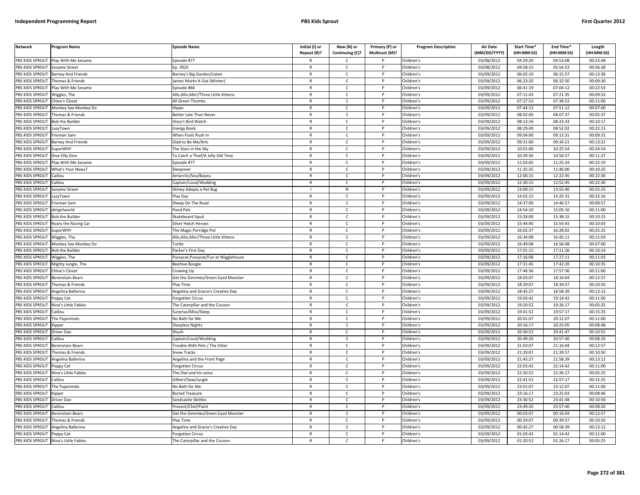| <b>Network</b>                       | Program Name              | <b>Episode Name</b>                       | Initial (I) or<br>Repeat (R)? | New (N) or<br>Continuing (C)? | Primary (P) or<br>Multicast (M)? | <b>Program Description</b> | <b>Air Date</b><br>(MM/DD/YYYY) | Start Time*<br>(HH:MM:SS) | End Time*<br>(HH:MM:SS) | Length<br>(HH:MM:SS) |
|--------------------------------------|---------------------------|-------------------------------------------|-------------------------------|-------------------------------|----------------------------------|----------------------------|---------------------------------|---------------------------|-------------------------|----------------------|
| PBS KIDS SPROUT                      | Play With Me Sesame       | Episode #77                               | R                             | C                             |                                  | Children's                 | 03/08/2012                      | 04:29:20                  | 04:53:08                | 00:23:48             |
| PBS KIDS SPROUT                      | <b>Sesame Street</b>      | Ep. 3925                                  | $\mathsf{R}$                  | $\mathsf{C}$                  | P                                | Children's                 | 03/08/2012                      | 04:58:15                  | 05:54:53                | 00:56:38             |
| PBS KIDS SPROUT                      | <b>Barney And Friends</b> | Barney's Big Garden/Listen                | $\mathsf{R}$                  | $\mathsf{C}$                  | P                                | Children's                 | 03/09/2012                      | 06:02:19                  | 06:15:57                | 00:13:38             |
| PBS KIDS SPROUT                      | Thomas & Friends          | lames Works It Out (Winter)               | $\mathsf{R}$                  | $\mathsf{C}$                  | D                                | Children's                 | 03/09/2012                      | 06:23:20                  | 06:32:50                | 00:09:30             |
| PBS KIDS SPROUT                      | Play With Me Sesame       | pisode #66                                | R                             | $\mathsf{C}$                  |                                  | Children's                 | 03/09/2012                      | 06:41:19                  | 07:04:12                | 00:22:53             |
| PBS KIDS SPROUT                      | Viggles, The              | Allo,Allo,Allo!/Three Little Kittens      | $\mathsf{R}$                  | $\mathsf{C}$                  |                                  | Children's                 | 03/09/2012                      | 07:11:43                  | 07:21:35                | 00:09:52             |
| <b>BS KIDS SPROUT</b>                | Chloe's Closet            | All Green Thumbs                          | R                             | C                             |                                  | Children's                 | 03/09/2012                      | 07:27:52                  | 07:38:52                | 00:11:00             |
| PBS KIDS SPROUT                      | Monkey See Monkey Do      | lippo                                     | $\mathsf{R}$                  | $\mathsf{C}$                  | D                                | Children's                 | 03/09/2012                      | 07:44:12                  | 07:51:12                | 00:07:00             |
| PBS KIDS SPROUT                      | Thomas & Friends          | Better Late Than Never                    | R                             | $\mathsf{C}$                  | P                                | Children's                 | 03/09/2012                      | 08:02:00                  | 08:07:37                | 00:05:37             |
| PBS KIDS SPROUT                      | <b>Bob the Builder</b>    | Dizzy's Bird Watch                        | $\mathsf{R}$                  | $\mathsf{C}$                  | P                                | Children's                 | 03/09/2012                      | 08:13:16                  | 08:23:33                | 00:10:17             |
| PBS KIDS SPROUT                      | LazyTown                  | <b>Energy Book</b>                        | $\mathsf{R}$                  | $\mathsf{C}$                  | P                                | Children's                 | 03/09/2012                      | 08:29:49                  | 08:52:02                | 00:22:13             |
| PBS KIDS SPROUT                      | ireman Sam                | When Fools Rush In                        | $\mathsf{R}$                  | $\mathsf{C}$                  | D                                | Children's                 | 03/09/2012                      | 09:04:00                  | 09:13:31                | 00:09:31             |
| PBS KIDS SPROUT                      | <b>Barney And Friends</b> | Glad to Be Me/Arts                        | $\mathsf{R}$                  | $\mathsf{C}$                  | P                                | Children's                 | 03/09/2012                      | 09:21:00                  | 09:34:21                | 00:13:21             |
| PBS KIDS SPROUT                      | uperWHY                   | he Stars in the Sky                       | $\mathsf{R}$                  | C                             | P                                | Children's                 | 03/09/2012                      | 10:01:00                  | 10:25:54                | 00:24:54             |
| PBS KIDS SPROUT                      | Dive Olly Dive            | To Catch a Thief/A Jelly Old Time         | $\mathsf{R}$                  | $\mathsf{C}$                  | P                                | Children's                 | 03/09/2012                      | 10:39:30                  | 10:50:57                | 00:11:27             |
| PBS KIDS SPROUT                      | Play With Me Sesame       | Episode #77                               | $\mathsf{R}$                  | $\mathsf{C}$                  | P                                | Children's                 | 03/09/2012                      | 11:03:05                  | 11:25:24                | 00:22:19             |
| PBS KIDS SPROUT                      | What's Your News?         | Sleepover                                 | $\mathsf{R}$                  | $\mathsf{C}$                  | P                                | Children's                 | 03/09/2012                      | 11:35:35                  | 11:46:00                | 00:10:25             |
| PBS KIDS SPROUT                      | Caillou                   | Antarctic/Sea/Bayou                       | $\mathsf{R}$                  | $\mathsf{C}$                  | P                                | Children's                 | 03/09/2012                      | 12:00:15                  | 12:22:45                | 00:22:30             |
| PBS KIDS SPROUT                      | Caillou                   | Captain/Loud/Wedding                      | $\mathsf{R}$                  | $\mathsf{C}$                  | P                                | Children's                 | 03/09/2012                      | 12:30:15                  | 12:52:45                | 00:22:30             |
| PBS KIDS SPROUT                      | Sesame Street             | Slimey Adopts a Pet Bug                   |                               | N                             | P                                | Children's                 | 03/09/2012                      | 13:00:15                  | 13:55:40                | 00:55:25             |
| PBS KIDS SPROUT                      | azyTown                   | lay Day                                   | $\mathsf{R}$                  | $\mathsf{C}$                  |                                  | Children's                 | 03/09/2012                      | 14:02:15                  | 14:25:31                | 00:23:16             |
| <b>BS KIDS SPROUT</b>                | ireman Sam                | Sheep On The Road                         | $\mathsf{R}$                  | $\mathsf{C}$                  |                                  | Children's                 | 03/09/2012                      | 14:37:00                  | 14:46:57                | 00:09:57             |
| PBS KIDS SPROUT                      | lirtgirlworld             | Pond Pals                                 | $\mathsf{R}$                  | $\mathsf{C}$                  | Þ                                | Children's                 | 03/09/2012                      | 14:54:10                  | 15:05:10                | 00:11:00             |
| PBS KIDS SPROUT                      | <b>Bob the Builder</b>    | Skateboard Spud                           | R                             | $\mathsf{C}$                  | P                                | Children's                 | 03/09/2012                      | 15:28:00                  | 15:38:15                | 00:10:15             |
| PBS KIDS SPROUT                      | Roary the Racing Car      | Silver Hatch Heroes                       | $\mathsf{R}$                  | $\mathsf{C}$                  | D                                | Children's                 | 03/09/2012                      | 15:44:40                  | 15:54:43                | 00:10:03             |
| PBS KIDS SPROUT                      | SuperWHY                  | The Magic Porridge Pot                    | $\mathsf{R}$                  | $\mathsf{C}$                  | P                                | Children's                 | 03/09/2012                      | 16:02:37                  | 16:28:02                | 00:25:25             |
| PBS KIDS SPROUT                      | <i>N</i> iggles, The      | Allo,Allo,Allo!/Three Little Kittens      | $\mathsf{R}$                  | $\mathsf{C}$                  | P                                | Children's                 | 03/09/2012                      | 16:34:08                  | 16:45:11                | 00:11:03             |
| PBS KIDS SPROUT                      | Monkey See Monkey Do      | urtle                                     | R                             | $\mathsf{C}$                  | P                                | Children's                 | 03/09/2012                      | 16:49:08                  | 16:56:08                | 00:07:00             |
| PBS KIDS SPROUT                      | <b>Bob the Builder</b>    | acker's First Day                         | $\mathsf{R}$                  | $\mathsf{C}$                  | P                                | Children's                 | 03/09/2012                      | 17:01:12                  | 17:11:26                | 00:10:14             |
| PBS KIDS SPROUT                      | Wiggles, The              | Pussycat, Pussycat/Fun at Wigglehouse     | $\mathsf{R}$                  | $\mathsf{C}$                  | P                                | Children's                 | 03/09/2012                      | 17:16:08                  | 17:27:11                | 00:11:03             |
| PBS KIDS SPROUT                      | Mighty Jungle, The        | Beehive Boogie                            | $\mathsf{R}$                  | $\mathsf{C}$                  | D                                | Children's                 | 03/09/2012                      | 17:31:45                  | 17:42:20                | 00:10:35             |
| PBS KIDS SPROUT                      | hloe's Closet             | rowing Up                                 | $\mathsf{R}$                  | $\mathsf{C}$                  | P                                | Children's                 | 03/09/2012                      | 17:46:36                  | 17:57:36                | 00:11:00             |
| PBS KIDS SPROUT                      | <b>Berenstain Bears</b>   | Get the Gimmies/Green Eyed Monster        | $\mathsf{R}$                  | $\mathsf{C}$                  | P                                | Children's                 | 03/09/2012                      | 18:03:07                  | 18:16:04                | 00:12:57             |
| PBS KIDS SPROUT                      | Thomas & Friends          | Play Time                                 | $\mathsf{R}$                  | $\mathsf{C}$                  | P                                | Children's                 | 03/09/2012                      | 18:29:07                  | 18:39:57                | 00:10:50             |
| PBS KIDS SPROUT                      | Angelina Ballerina        | Angelina and Gracie's Creative Day        | R                             | C                             | P                                | Children's                 | 03/09/2012                      | 18:45:27                  | 18:58:39                | 00:13:12             |
| PBS KIDS SPROUT                      | oppy Cat                  | orgotten Circus                           | $\mathsf{R}$                  | $\mathsf{C}$                  | P                                | Children's                 | 03/09/2012                      | 19:03:42                  | 19:14:42                | 00:11:00             |
| <b>BS KIDS SPROUT</b>                | Nina's Little Fables      | he Caterpillar and the Cocoon             | R                             | $\mathsf{C}$                  |                                  | Children's                 | 03/09/2012                      | 19:20:52                  | 19:26:17                | 00:05:25             |
| PBS KIDS SPROUT                      | aillou                    | Surprise/Miss/Sleep                       | $\mathsf{R}$                  | $\mathsf{C}$                  | Þ                                | Children's                 | 03/09/2012                      | 19:41:52                  | 19:57:17                | 00:15:25             |
| PBS KIDS SPROUT                      | The Pajanimals            | No Bath for Me                            | R                             | $\mathsf{C}$                  | P                                | Children's                 | 03/09/2012                      | 20:01:07                  | 20:12:07                | 00:11:00             |
| PBS KIDS SPROUT                      | ippe                      | leepless Nights                           | $\mathsf{R}$                  | $\mathsf{C}$                  |                                  | Children's                 | 03/09/2012                      | 20:16:17                  | 20:25:05                | 00:08:48             |
| PBS KIDS SPROUT                      | Driver Dan                | Shush                                     | $\mathsf{R}$                  | $\mathsf{C}$                  | P                                | Children's                 | 03/09/2012                      | 20:30:52                  | 20:41:47                | 00:10:55             |
| PBS KIDS SPROUT                      | aillou                    | Captain/Loud/Wedding                      | $\mathsf{R}$                  | $\mathsf{C}$                  | P                                | Children's                 | 03/09/2012                      | 20:49:20                  | 20:57:40                | 00:08:20             |
| PBS KIDS SPROUT                      | Berenstain Bears          | rouble With Pets / The Sitter             | R                             | $\mathsf{C}$                  | $\mathsf{P}$                     | Children's                 | 03/09/2012                      | 21:03:07                  | 21:16:04                | 00:12:57             |
| PBS KIDS SPROUT                      | Thomas & Friends          | now Tracks                                | $\mathsf{R}$                  | $\mathsf{C}$                  | P                                | Children's                 | 03/09/2012                      | 21:29:07                  | 21:39:57                | 00:10:50             |
| PBS KIDS SPROUT                      | Angelina Ballerina        | Angelina and the Front Page               | $\mathsf{R}$                  | $\mathsf{C}$                  | P                                | Children's                 | 03/09/2012                      | 21:45:27                  | 21:58:39                | 00:13:12             |
| PBS KIDS SPROUT                      | oppy Cat                  | orgotten Circus                           | $\mathsf{R}$                  | $\mathsf{C}$                  |                                  | Children's                 | 03/09/2012                      | 22:03:42                  | 22:14:42                | 00:11:00             |
| PBS KIDS SPROUT                      | Nina's Little Fables      | The Owl and his voice                     | $\mathsf{R}$                  | $\mathsf{C}$                  | $\mathsf{P}$                     | Children's                 | 03/09/2012                      | 22:20:52                  | 22:26:17                | 00:05:25             |
| PBS KIDS SPROUT                      | Caillou                   | Gilbert/Saw/Jungle                        | $\mathsf{R}$                  | $\mathsf{C}$                  | P                                | Children's                 | 03/09/2012                      | 22:41:52                  | 22:57:17                | 00:15:25             |
| PBS KIDS SPROUT                      | The Pajanimals            | No Bath for Me                            | $\mathsf{R}$                  | C                             | P                                | Children's                 | 03/09/2012                      | 23:01:07                  | 23:12:07                | 00:11:00             |
| PBS KIDS SPROUT                      | Kipper                    | <b>Buried Treasure</b>                    | R                             | C                             | P                                | Children's                 | 03/09/2012                      | 23:16:17                  | 23:25:03                | 00:08:46             |
| PBS KIDS SPROUT                      | <b>Driver Dan</b>         | Sandcastle Skittles                       | $\mathsf{R}$                  | $\mathsf{C}$                  | P                                | Children's                 | $\sqrt{03}/09/2012$             | 23:30:52                  | 23:41:48                | 00:10:56             |
| PBS KIDS SPROUT                      | aillou                    | Present/Chef/Paint                        | R                             | $\mathsf{C}$                  |                                  | Children's                 | 03/09/2012                      | 23:49:20                  | 23:57:40                | 00:08:20             |
| PBS KIDS SPROUT                      | Berenstain Bears          | Get the Gimmies/Green Eyed Monster        | $\mathsf{R}$                  | $\mathsf{C}$                  | D                                | Children's                 | 03/09/2012                      | 00:03:07                  | 00:16:04                | 00:12:57             |
| PBS KIDS SPROUT                      | Thomas & Friends          | lay Time                                  | R                             | $\mathsf{C}$                  |                                  | Children's                 | 03/09/2012                      | 00:29:07                  | 00:39:57                | 00:10:50             |
| PBS KIDS SPROUT                      | ngelina Ballerina         | <b>Ingelina and Gracie's Creative Day</b> | $\mathsf{R}$                  | $\mathsf{C}$                  |                                  | Children's                 | 03/09/2012                      | 00:45:27                  | 00:58:39                | 00:13:12             |
| PBS KIDS SPROUT                      | Poppy Cat                 | orgotten Circus                           | $\mathsf{R}$                  | $\mathsf{C}$                  | P                                | Children's                 | 03/09/2012                      | 01:03:42                  | 01:14:42                | 00:11:00             |
| PBS KIDS SPROUT Nina's Little Fables |                           | The Caterpillar and the Cocoon            | R                             | Ċ                             | P                                | Children's                 | 03/09/2012                      | 01:20:52                  | 01:26:17                | 00:05:25             |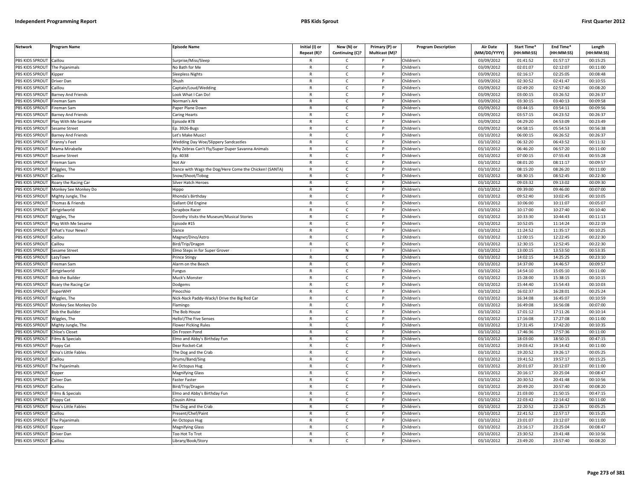| <b>Network</b>                     | Program Name                      | <b>Episode Name</b>                                    | Initial (I) or<br>Repeat (R)? | New (N) or<br>Continuing (C)? | Primary (P) or<br>Multicast (M)? | <b>Program Description</b> | <b>Air Date</b><br>(MM/DD/YYYY) | Start Time*<br>(HH:MM:SS) | End Time <sup>®</sup><br>(HH:MM:SS) | Length<br>(HH:MM:SS) |
|------------------------------------|-----------------------------------|--------------------------------------------------------|-------------------------------|-------------------------------|----------------------------------|----------------------------|---------------------------------|---------------------------|-------------------------------------|----------------------|
| PBS KIDS SPROUT                    | Caillou                           | Surprise/Miss/Sleep                                    | R                             | C                             |                                  | Children's                 | 03/09/2012                      | 01:41:52                  | 01:57:17                            | 00:15:25             |
| PBS KIDS SPROUT                    | The Pajanimals                    | No Bath for Me                                         | $\mathsf{R}$                  | $\mathsf{C}$                  | P                                | Children's                 | 03/09/2012                      | 02:01:07                  | 02:12:07                            | 00:11:00             |
| PBS KIDS SPROUT                    | Kipper                            | Sleepless Nights                                       | $\mathsf{R}$                  | $\mathsf{C}$                  | P                                | Children's                 | 03/09/2012                      | 02:16:17                  | 02:25:05                            | 00:08:48             |
| PBS KIDS SPROUT                    | <b>Driver Dan</b>                 | Shush                                                  | $\mathsf{R}$                  | $\mathsf{C}$                  | P                                | Children's                 | 03/09/2012                      | 02:30:52                  | 02:41:47                            | 00:10:55             |
| PBS KIDS SPROUT                    | Caillou                           | Captain/Loud/Wedding                                   | $\mathsf{R}$                  | $\mathsf{C}$                  | P                                | Children's                 | 03/09/2012                      | 02:49:20                  | 02:57:40                            | 00:08:20             |
| PBS KIDS SPROUT                    | Barney And Friends                | ook What I Can Do!                                     | $\mathsf{R}$                  | $\mathsf{C}$                  | P                                | Children's                 | 03/09/2012                      | 03:00:15                  | 03:26:52                            | 00:26:37             |
| <b>BS KIDS SPROUT</b>              | ireman Sam                        | Norman's Ark                                           | $\mathsf{R}$                  | $\mathsf{C}$                  | P                                | Children's                 | 03/09/2012                      | 03:30:15                  | 03:40:13                            | 00:09:58             |
| PBS KIDS SPROUT                    | ireman Sam                        | aper Plane Down                                        | $\mathsf{R}$                  | $\mathsf{C}$                  | P                                | Children's                 | 03/09/2012                      | 03:44:15                  | 03:54:11                            | 00:09:56             |
| PBS KIDS SPROUT                    | <b>Barney And Friends</b>         | Caring Hearts                                          | $\mathsf{R}$                  | $\mathsf{C}$                  | P                                | Children's                 | 03/09/2012                      | 03:57:15                  | 04:23:52                            | 00:26:37             |
| PBS KIDS SPROUT                    | lay With Me Sesame                | pisode #78                                             | $\mathsf{R}$                  | $\mathsf{C}$                  | P                                | Children's                 | 03/09/2012                      | 04:29:20                  | 04:53:09                            | 00:23:49             |
| PBS KIDS SPROUT                    | Sesame Street                     | Ep. 3926-Bugs                                          | $\mathsf{R}$                  | $\mathsf{C}$                  | P                                | Children's                 | 03/09/2012                      | 04:58:15                  | 05:54:53                            | 00:56:38             |
| PBS KIDS SPROUT                    | <b>Barney And Friends</b>         | Let's Make Music!                                      | $\mathsf{R}$                  | $\mathsf{C}$                  | <b>D</b>                         | Children's                 | 03/10/2012                      | 06:00:15                  | 06:26:52                            | 00:26:37             |
| PBS KIDS SPROUT                    | Franny's Feet                     | <b>Wedding Day Woe/Slippery Sandcastles</b>            | $\mathsf{R}$                  | $\mathsf{C}$                  | P                                | Children's                 | 03/10/2012                      | 06:32:20                  | 06:43:52                            | 00:11:32             |
| PBS KIDS SPROUT                    | Mama Mirabelle                    | Why Zebras Can't Fly/Super Duper Savanna Animals       | $\mathsf{R}$                  | $\mathsf{C}$                  | P                                | Children's                 | 03/10/2012                      | 06:46:20                  | 06:57:20                            | 00:11:00             |
| PBS KIDS SPROUT                    | Sesame Street                     | Ep. 4038                                               | $\mathsf{R}$                  | $\mathsf{C}$                  | P                                | Children's                 | 03/10/2012                      | 07:00:15                  | 07:55:43                            | 00:55:28             |
| PBS KIDS SPROUT                    | ireman Sam                        | Hot Air                                                | $\mathsf{R}$                  | $\mathsf{C}$                  | P                                | Children's                 | 03/10/2012                      | 08:01:20                  | 08:11:17                            | 00:09:57             |
| PBS KIDS SPROUT                    | Wiggles, The                      | Dance with Wags the Dog/Here Come the Chicken! (SANTA) | $\mathsf{R}$                  | $\mathsf{C}$                  | $\mathsf{P}$                     | Children's                 | 03/10/2012                      | 08:15:20                  | 08:26:20                            | 00:11:00             |
| PBS KIDS SPROUT                    | Caillou                           | Snow/Shoot/Tobog                                       | $\mathsf{R}$                  | $\mathsf{C}$                  | P                                | Children's                 | 03/10/2012                      | 08:30:15                  | 08:52:45                            | 00:22:30             |
| PBS KIDS SPROUT                    | Roary the Racing Car              | Silver Hatch Heroes                                    | $\mathsf{R}$                  | $\mathsf{C}$                  | P                                | Children's                 | 03/10/2012                      | 09:03:32                  | 09:13:02                            | 00:09:30             |
| PBS KIDS SPROUT                    | Monkey See Monkey Do              | lippo                                                  | $\mathsf{R}$                  | $\mathsf{C}$                  | P                                | Children's                 | 03/10/2012                      | 09:39:00                  | 09:46:00                            | 00:07:00             |
| PBS KIDS SPROUT                    | Mighty Jungle, The                | Rhonda's Birthday                                      | $\mathsf{R}$                  | $\mathsf{C}$                  | P                                | Children's                 | 03/10/2012                      | 09:52:40                  | 10:02:45                            | 00:10:05             |
| <b>BS KIDS SPROUT</b>              | Thomas & Friends                  | Gallant Old Engine                                     | $\mathsf{R}$                  | $\mathsf{C}$                  | P                                | Children's                 | 03/10/2012                      | 10:06:00                  | 10:11:07                            | 00:05:07             |
| PBS KIDS SPROUT                    | dirtgirlworld                     | Scrapbox Racer                                         | $\mathsf{R}$                  | $\mathsf{C}$                  | P                                | Children's                 | 03/10/2012                      | 10:17:00                  | 10:27:40                            | 00:10:40             |
| PBS KIDS SPROUT                    | Wiggles, The                      | Dorothy Visits the Museum/Musical Stories              | R                             | $\mathsf{C}$                  | P                                | Children's                 | 03/10/2012                      | 10:33:30                  | 10:44:43                            | 00:11:13             |
| PBS KIDS SPROUT                    | Vay With Me Sesame                | pisode #15                                             | $\mathsf{R}$                  | $\mathsf{C}$                  | P                                | Children's                 | 03/10/2012                      | 10:52:05                  | 11:14:24                            | 00:22:19             |
| PBS KIDS SPROUT                    | What's Your News?                 | Dance                                                  | $\mathsf{R}$                  | $\mathsf{C}$                  | P                                | Children's                 | 03/10/2012                      | 11:24:52                  | 11:35:17                            | 00:10:25             |
| PBS KIDS SPROUT                    | Caillou                           | Magnet/Dino/Astro                                      | $\mathsf{R}$                  | $\mathsf{C}$                  | P                                | Children's                 | 03/10/2012                      | 12:00:15                  | 12:22:45                            | 00:22:30             |
| PBS KIDS SPROUT                    | Caillou                           | Bird/Trip/Dragon                                       | $\mathsf{R}$                  | $\mathsf{C}$                  | P                                | Children's                 | 03/10/2012                      | 12:30:15                  | 12:52:45                            | 00:22:30             |
| PBS KIDS SPROUT                    | Sesame Street                     | Imo Steps in for Super Grover                          |                               | ${\sf N}$                     | <b>D</b>                         | Children's                 | 03/10/2012                      | 13:00:15                  | 13:53:50                            | 00:53:35             |
| PBS KIDS SPROUT                    | LazyTown                          | Prince Stingy                                          | $\mathsf{R}$                  | $\mathsf{C}$                  | P                                | Children's                 | 03/10/2012                      | 14:02:15                  | 14:25:25                            | 00:23:10             |
| PBS KIDS SPROUT                    | ireman Sam                        | Alarm on the Beach                                     | $\mathsf{R}$                  | $\mathsf{C}$                  | P                                | Children's                 | 03/10/2012                      | 14:37:00                  | 14:46:57                            | 00:09:57             |
| PBS KIDS SPROUT                    | dirtgirlworld                     | ungus                                                  | $\mathsf{R}$                  | $\mathsf{C}$                  | P                                | Children's                 | 03/10/2012                      | 14:54:10                  | 15:05:10                            | 00:11:00             |
| PBS KIDS SPROUT                    | <b>Bob the Builder</b>            | Muck's Monster                                         | $\mathsf{R}$                  | $\mathsf{C}$                  | P                                | Children's                 | 03/10/2012                      | 15:28:00                  | 15:38:15                            | 00:10:15             |
| PBS KIDS SPROUT                    | Roary the Racing Car              | Dodgems                                                | $\mathsf{R}$                  | $\mathsf{C}$                  | P                                | Children's                 | 03/10/2012                      | 15:44:40                  | 15:54:43                            | 00:10:03             |
| PBS KIDS SPROUT                    | <b>SuperWHY</b>                   | Pinocchio                                              | $\mathsf{R}$                  | $\mathsf{C}$                  | P                                | Children's                 | 03/10/2012                      | 16:02:37                  | 16:28:01                            | 00:25:24             |
| PBS KIDS SPROUT                    | Wiggles, The                      | Nick-Nack Paddy-Wack/I Drive the Big Red Car           | $\mathsf{R}$                  | $\mathsf{C}$                  | P                                | Children's                 | 03/10/2012                      | 16:34:08                  | 16:45:07                            | 00:10:59             |
| PBS KIDS SPROUT                    | Monkey See Monkey Do              | lamingo                                                | R                             | C                             | P                                | Children's                 | 03/10/2012                      | 16:49:08                  | 16:56:08                            | 00:07:00             |
| PBS KIDS SPROUT                    | <b>Bob the Builder</b>            | The Bob House                                          | $\mathsf{R}$<br>$\mathsf{R}$  | $\mathsf{C}$                  | P<br>P                           | Children's                 | 03/10/2012                      | 17:01:12                  | 17:11:26                            | 00:10:14             |
| PBS KIDS SPROUT<br>PBS KIDS SPROUT | Wiggles, The                      | Hello!/The Five Senses                                 | $\mathsf{R}$                  | C<br>$\mathsf{C}$             | P                                | Children's<br>Children's   | 03/10/2012                      | 17:16:08<br>17:31:45      | 17:27:08<br>17:42:20                | 00:11:00<br>00:10:35 |
| <b>BS KIDS SPROUT</b>              | Mighty Jungle, The                | lower Picking Rules<br>On Frozen Pond                  | $\mathsf{R}$                  | $\mathsf{C}$                  | P                                |                            | 03/10/2012                      | 17:46:36                  | 17:57:36                            | 00:11:00             |
| PBS KIDS SPROUT                    | Chloe's Closet<br>ilms & Specials | <b>Elmo and Abby's Birthday Fun</b>                    | $\mathsf{R}$                  | $\mathcal{C}$                 | Þ                                | Children's<br>Children's   | 03/10/2012<br>03/10/2012        | 18:03:00                  | 18:50:15                            | 00:47:15             |
| PBS KIDS SPROUT                    |                                   |                                                        |                               |                               | P                                |                            |                                 | 19:03:42                  | 19:14:42                            |                      |
| PBS KIDS SPROUT                    | Poppy Cat<br>Vina's Little Fables | Dear Rocket-Cat<br>he Dog and the Crab                 | R<br>$\mathsf{R}$             | C<br>$\mathsf{C}$             | P                                | Children's<br>Children's   | 03/10/2012<br>03/10/2012        | 19:20:52                  | 19:26:17                            | 00:11:00<br>00:05:25 |
| PBS KIDS SPROUT                    | Caillou                           | Drums/Band/Sing                                        | $\mathsf{R}$                  | $\mathsf{C}$                  | P                                | Children's                 | 03/10/2012                      | 19:41:52                  | 19:57:17                            | 00:15:25             |
| PBS KIDS SPROUT                    | The Pajanimals                    | An Octopus Hug                                         | $\mathsf{R}$                  | $\mathsf{C}$                  | P                                | Children's                 | 03/10/2012                      | 20:01:07                  | 20:12:07                            | 00:11:00             |
| PBS KIDS SPROUT                    | Kipper                            | Magnifying Glass                                       | $\mathsf{R}$                  | $\mathsf{C}$                  | P                                | Children's                 | 03/10/2012                      | 20:16:17                  | 20:25:04                            | 00:08:47             |
| PBS KIDS SPROUT                    | Driver Dan                        | aster Faster                                           | $\mathsf{R}$                  | $\mathsf{C}$                  | P                                | Children's                 | 03/10/2012                      | 20:30:52                  | 20:41:48                            | 00:10:56             |
| PBS KIDS SPROUT                    | Caillou                           | Bird/Trip/Dragon                                       | $\mathsf{R}$                  | $\mathsf{C}$                  | P                                | Children's                 | 03/10/2012                      | 20:49:20                  | 20:57:40                            | 00:08:20             |
| PBS KIDS SPROUT                    | ilms & Specials                   | Elmo and Abby's Birthday Fun                           | R                             | C                             | P                                | Children's                 | 03/10/2012                      | 21:03:00                  | 21:50:15                            | 00:47:15             |
| PBS KIDS SPROUT                    | Poppy Cat                         | Cousin Alma                                            | R                             | $\mathsf{C}$                  | P                                | Children's                 | 03/10/2012                      | 22:03:42                  | 22:14:42                            | 00:11:00             |
| PBS KIDS SPROUT                    | Nina's Little Fables              | he Dog and the Crab                                    | $\mathsf{R}$                  | $\mathsf{C}$                  | P                                | Children's                 | 03/10/2012                      | 22:20:52                  | 22:26:17                            | 00:05:25             |
| PBS KIDS SPROUT                    | Caillou                           | Present/Chef/Paint                                     | $\mathsf{R}$                  | $\mathsf{C}$                  | P                                | Children's                 | 03/10/2012                      | 22:41:52                  | 22:57:17                            | 00:15:25             |
| PBS KIDS SPROUT                    | The Pajanimals                    | An Octopus Hug                                         | $\mathsf{R}$                  | $\mathsf{C}$                  | P                                | Children's                 | 03/10/2012                      | 23:01:07                  | 23:12:07                            | 00:11:00             |
| PBS KIDS SPROUT                    | Kipper                            | Magnifying Glass                                       | $\mathsf{R}$                  | $\mathsf{C}$                  | P                                | Children's                 | 03/10/2012                      | 23:16:17                  | 23:25:04                            | 00:08:47             |
| PBS KIDS SPROUT                    | <b>Driver Dan</b>                 | <b>Too Hot To Trot</b>                                 | $\mathsf{R}$                  | C                             | P                                | Children's                 | 03/10/2012                      | 23:30:52                  | 23:41:48                            | 00:10:56             |
| PBS KIDS SPROUT                    | Caillou                           | Library/Book/Story                                     | R                             | $\epsilon$                    | P                                | Children's                 | $\sqrt{03}/10/2012$             | 23:49:20                  | 23:57:40                            | 00:08:20             |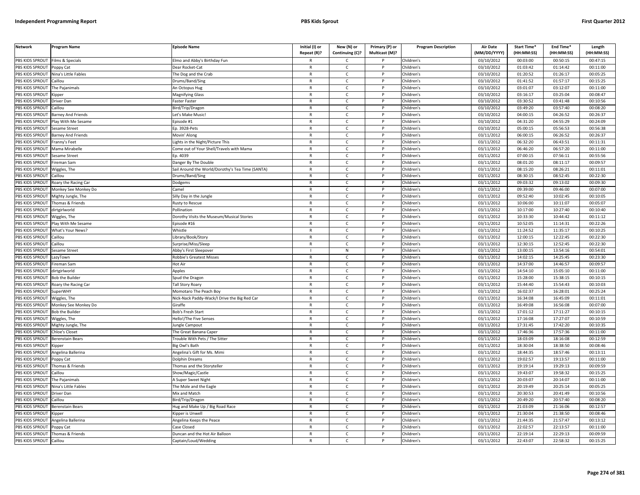| 03/10/2012<br>00:03:00<br>00:50:15<br>00:47:15<br>PBS KIDS SPROUT<br>Films & Specials<br>Elmo and Abby's Birthday Fun<br>Children's<br>$\mathsf{C}$<br>PBS KIDS SPROUT<br>Children's<br>03/10/2012<br>01:03:42<br>Poppy Cat<br>Dear Rocket-Cat<br>$\mathsf{R}$<br>$\mathsf{C}$<br>P<br>01:14:42<br>00:11:00<br>PBS KIDS SPROUT<br>Nina's Little Fables<br>03/10/2012<br>01:20:52<br>01:26:17<br>00:05:25<br>The Dog and the Crab<br>$\mathsf{C}$<br>Children's<br>$\mathsf{R}$<br>PBS KIDS SPROUT<br>$\mathsf{R}$<br>$\mathsf{C}$<br><sub>D</sub><br>Children's<br>03/10/2012<br>01:41:52<br>01:57:17<br>00:15:25<br>Caillou<br>Drums/Band/Sing<br>PBS KIDS SPROUT<br>The Pajanimals<br>Children's<br>03/10/2012<br>03:01:07<br>03:12:07<br>00:11:00<br>An Octopus Hug<br>$\mathsf{R}$<br>C<br>PBS KIDS SPROUT<br>03/10/2012<br>03:25:04<br>$\mathsf{R}$<br>$\mathsf{C}$<br>Children's<br>03:16:17<br>00:08:47<br><b>Magnifying Glass</b><br>P<br>.ipper<br>PBS KIDS SPROUT<br>03/10/2012<br>03:30:52<br>03:41:48<br>00:10:56<br>Faster Faster<br>$\mathsf{C}$<br>Children's<br>Driver Dan<br>$\mathsf{R}$<br>P<br>PBS KIDS SPROUT<br>$\mathsf{C}$<br>03/10/2012<br>03:49:20<br>03:57:40<br>00:08:20<br>Bird/Trip/Dragon<br>$\mathsf{R}$<br><b>D</b><br>Children's<br>Caillou<br>PBS KIDS SPROUT<br>04:26:52<br>$\mathsf{C}$<br>03/10/2012<br>04:00:15<br>00:26:37<br><b>Barney And Friends</b><br>Let's Make Music!<br>$\mathsf{R}$<br>Children's<br>P<br>03/10/2012<br>04:55:29<br>PBS KIDS SPROUT<br>lay With Me Sesame<br>$\mathsf{C}$<br>Children's<br>04:31:20<br>00:24:09<br>pisode #1<br>$\mathsf{R}$<br>PBS KIDS SPROUT<br>03/10/2012<br>05:00:15<br>05:56:53<br>00:56:38<br>Sesame Street<br>Ep. 3928-Pets<br>$\mathsf{R}$<br>C<br>P<br>Children's<br>PBS KIDS SPROUT<br>03/11/2012<br>06:00:15<br>06:26:52<br>00:26:37<br>Barney And Friends<br>$\mathsf{C}$<br>Children's<br>Movin' Along<br>$\mathsf{R}$<br>PBS KIDS SPROUT<br>Franny's Feet<br>ights in the Night/Picture This<br>$\mathsf{R}$<br>$\mathsf{C}$<br>P<br>Children's<br>03/11/2012<br>06:32:20<br>06:43:51<br>00:11:31<br>06:46:20<br>06:57:20<br>PBS KIDS SPROUT<br>Mama Mirabelle<br>Come out of Your Shell/Travels with Mama<br>$\mathsf{C}$<br>Children's<br>03/11/2012<br>00:11:00<br>$\mathsf{R}$<br>07:56:11<br>PBS KIDS SPROUT<br>Sesame Street<br>Ep. 4039<br>$\mathsf{R}$<br>$\mathsf{C}$<br>$\mathsf{P}$<br>Children's<br>03/11/2012<br>07:00:15<br>00:55:56<br>PBS KIDS SPROUT<br>Children's<br>03/11/2012<br>08:01:20<br>08:11:17<br>00:09:57<br>Fireman Sam<br>Danger By The Double<br>$\mathsf{R}$<br>C<br>P<br>PBS KIDS SPROUT<br>Sail Around the World/Dorothy's Tea Time (SANTA)<br>$\mathsf{C}$<br>Children's<br>03/11/2012<br>08:15:20<br>08:26:21<br>00:11:01<br>Wiggles, The<br>$\mathsf{R}$<br>P<br>PBS KIDS SPROUT<br>03/11/2012<br>08:30:15<br>08:52:45<br>00:22:30<br>Caillou<br>Drums/Band/Sing<br>$\mathsf{R}$<br>$\mathsf{C}$<br>P<br>Children's<br>09:03:32<br>00:09:30<br>PBS KIDS SPROUT<br>Roary the Racing Car<br>Dodgems<br>$\mathsf{R}$<br>$\mathsf{C}$<br>P<br>Children's<br>03/11/2012<br>09:13:02<br>PBS KIDS SPROUT<br>03/11/2012<br>09:39:00<br>09:46:00<br>00:07:00<br>Monkey See Monkey Do<br>Camel<br>$\mathsf{R}$<br>$\mathsf{C}$<br>P<br>Children's<br>PBS KIDS SPROUT<br>$\mathsf{R}$<br>$\mathsf{C}$<br>D<br>Children's<br>03/11/2012<br>09:52:40<br>10:02:45<br>00:10:05<br>Mighty Jungle, The<br>Silly Day in the Jungle<br>PBS KIDS SPROUT<br>Thomas & Friends<br>03/11/2012<br>10:06:00<br>10:11:07<br>00:05:07<br>Rusty to Rescue<br>C<br>Children's<br>R<br>PBS KIDS SPROUT<br>$\mathsf{C}$<br>10:17:00<br>Pollination<br>$\mathsf{R}$<br><b>D</b><br>Children's<br>03/11/2012<br>10:27:40<br>00:10:40<br>dirtgirlworld<br>PBS KIDS SPROUT<br>10:33:30<br>10:44:42<br>Dorothy Visits the Museum/Musical Stories<br>$\mathsf{C}$<br>Children's<br>03/11/2012<br>00:11:12<br>Wiggles, The<br>$\mathsf{R}$<br>P<br>PBS KIDS SPROUT<br>03/11/2012<br>10:52:05<br>11:14:31<br>00:22:26<br>lay With Me Sesame<br>$\mathsf{C}$<br>$\mathsf{P}$<br>Children's<br>Episode #16<br>$\mathsf{R}$<br>11:24:52<br>PBS KIDS SPROUT<br>$\mathsf{C}$<br>03/11/2012<br>11:35:17<br>00:10:25<br>What's Your News?<br>Whistle<br>$\mathsf{R}$<br>Children's<br>P<br>PBS KIDS SPROUT<br>12:00:15<br>12:22:45<br>00:22:30<br>$\mathsf{C}$<br>Children's<br>03/11/2012<br>Caillou<br>Library/Book/Story<br>$\mathsf{R}$<br>PBS KIDS SPROUT<br>$\mathsf{R}$<br>$\mathsf{C}$<br>03/11/2012<br>12:30:15<br>12:52:45<br>00:22:30<br>Caillou<br>Surprise/Miss/Sleep<br>P<br>Children's<br>PBS KIDS SPROUT<br>03/11/2012<br>13:00:15<br>13:54:16<br>00:54:01<br>Children's<br>Sesame Street<br>Abby's First Sleepover<br>N<br>14:02:15<br>14:25:45<br>00:23:30<br>PBS KIDS SPROUT<br>03/11/2012<br>LazyTown<br><b>Robbie's Greatest Misses</b><br>$\mathsf{R}$<br>C<br>Children's<br>P<br>PBS KIDS SPROUT<br>14:37:00<br>14:46:57<br>Fireman Sam<br>Hot Air<br>$\mathsf{C}$<br>Children's<br>03/11/2012<br>00:09:57<br>$\mathsf{R}$<br>P<br>14:54:10<br>15:05:10<br>PBS KIDS SPROUT<br>dirtgirlworld<br>Apples<br>$\mathsf{R}$<br>$\mathsf{C}$<br>Children's<br>03/11/2012<br>00:11:00<br>$\mathsf{P}$<br>PBS KIDS SPROUT<br>$\mathsf{C}$<br>Children's<br>03/11/2012<br>15:28:00<br>15:38:15<br>00:10:15<br><b>Bob the Builder</b><br>Spud the Dragon<br>$\mathsf{R}$<br>P<br>PBS KIDS SPROUT<br>03/11/2012<br>15:44:40<br>15:54:43<br>00:10:03<br>Roary the Racing Car<br>Tall Story Roary<br>$\mathsf{R}$<br>C<br>P<br>Children's<br>PBS KIDS SPROUT<br><b>SuperWHY</b><br>$\mathsf{C}$<br>Children's<br>03/11/2012<br>16:02:37<br>16:28:01<br>00:25:24<br>Momotaro The Peach Boy<br>$\mathsf{R}$<br>P<br>16:34:08<br>16:45:09<br>PBS KIDS SPROUT<br>Niggles, The<br>Nick-Nack Paddy-Wack/I Drive the Big Red Car<br>$\mathsf{R}$<br>$\mathsf{C}$<br>P<br>Children's<br>03/11/2012<br>00:11:01<br>PBS KIDS SPROUT<br>03/11/2012<br>16:49:08<br>16:56:08<br>00:07:00<br>Monkey See Monkey Do<br>Giraffe<br>$\mathsf{R}$<br>$\mathsf{C}$<br>Children's<br>PBS KIDS SPROUT<br><b>Bob the Builder</b><br><b>Bob's Fresh Start</b><br>$\mathsf{R}$<br>$\mathsf{C}$<br>D<br>Children's<br>03/11/2012<br>17:01:12<br>17:11:27<br>00:10:15<br>PBS KIDS SPROUT<br>Hello!/The Five Senses<br>Children's<br>03/11/2012<br>17:16:08<br>17:27:07<br>00:10:59<br>Wiggles, The<br>R<br>C<br>PBS KIDS SPROUT<br>$\mathsf{R}$<br>$\mathsf{C}$<br>Children's<br>03/11/2012<br>17:31:45<br>17:42:20<br>00:10:35<br>Mighty Jungle, The<br>ungle Campout<br>PBS KIDS SPROUT<br>03/11/2012<br>17:46:36<br>17:57:36<br>00:11:00<br>Chloe's Closet<br>$\mathsf{C}$<br>Children's<br>The Great Banana Caper<br>$\mathsf{R}$<br>P<br>PBS KIDS SPROUT<br>03/11/2012<br>18:03:09<br>00:12:59<br>Trouble With Pets / The Sitter<br>$\mathsf{R}$<br>$\epsilon$<br><b>D</b><br>Children's<br>18:16:08<br>Berenstain Bears<br>PBS KIDS SPROUT<br>18:30:04<br>18:38:50<br>$\mathsf{C}$<br>03/11/2012<br>00:08:46<br><b>Kipper</b><br>Big Owl's Bath<br>$\mathsf{R}$<br>P<br>Children's<br>PBS KIDS SPROUT<br>03/11/2012<br>18:44:35<br>00:13:11<br>$\mathsf{C}$<br>Children's<br>18:57:46<br>Angelina Ballerina<br>Angelina's Gift for Ms. Mimi<br>$\mathsf{R}$<br>19:02:57<br>19:13:57<br>PBS KIDS SPROUT<br>$\mathsf{C}$<br>03/11/2012<br>00:11:00<br>Poppy Cat<br>Dolphin Dreams<br>$\mathsf{R}$<br>P<br>Children's<br>PBS KIDS SPROUT<br>03/11/2012<br>19:19:14<br>19:29:13<br>00:09:59<br>Thomas & Friends<br>$\mathsf{C}$<br>Children's<br>Thomas and the Storyteller<br>$\mathsf{R}$<br>PBS KIDS SPROUT<br>19:43:07<br>19:58:32<br>$\mathsf{C}$<br>Children's<br>03/11/2012<br>00:15:25<br>Caillou<br>Show/Magic/Castle<br>$\mathsf{R}$<br>P<br>03/11/2012<br>PBS KIDS SPROUT<br>The Pajanimals<br>A Super Sweet Night<br>$\mathsf{R}$<br>$\mathsf{C}$<br>P<br>Children's<br>20:03:07<br>20:14:07<br>00:11:00<br>20:19:49<br>PBS KIDS SPROUT<br>Nina's Little Fables<br>The Mole and the Eagle<br>$\mathsf{R}$<br>$\mathsf{C}$<br>P<br>Children's<br>03/11/2012<br>20:25:14<br>00:05:25<br>PBS KIDS SPROUT<br>20:30:53<br>20:41:49<br>Driver Dan<br>Mix and Match<br>C<br>Children's<br>03/11/2012<br>00:10:56<br>R<br>PBS KIDS SPROUT<br>$\mathsf{C}$<br>Children's<br>03/11/2012<br>20:49:20<br>20:57:40<br>00:08:20<br>Caillou<br>Bird/Trip/Dragon<br>$\mathsf{R}$<br>P<br>PBS KIDS SPROUT<br>lug and Make Up / Big Road Race<br>Children's<br>03/11/2012<br>21:03:09<br>21:16:06<br>00:12:57<br>Berenstain Bears<br>$\mathsf{R}$<br>C<br>P<br>21:30:04<br>21:38:50<br>00:08:46<br>PBS KIDS SPROUT<br><b>Cipper is Unwell</b><br>$\mathsf{R}$<br>$\mathsf{C}$<br>P<br>Children's<br>03/11/2012<br><i><b>Sipper</b></i><br>21:44:35<br>21:57:47<br>00:13:12<br>PBS KIDS SPROUT<br>Angelina Ballerina<br>Angelina Keeps the Peace<br>$\mathsf{R}$<br>$\mathsf{C}$<br>Children's<br>03/11/2012<br>PBS KIDS SPROUT<br>03/11/2012<br>22:02:57<br>22:13:57<br>00:11:00<br>Poppy Cat<br>Case Closed<br>$\mathsf{R}$<br>$\mathsf{C}$<br>P<br>Children's<br>PBS KIDS SPROUT<br>Thomas & Friends<br>Duncan and the Hot Air Balloon<br>03/11/2012<br>22:19:14<br>22:29:13<br>00:09:59<br>C<br>Children's<br>PBS KIDS SPROUT<br>22:43:07<br>Caillou<br>Captain/Loud/Wedding<br>$\mathsf{R}$<br>$\mathsf{C}$<br>Children's<br>22:58:32<br>00:15:25 | <b>Network</b> | Program Name | <b>Episode Name</b> | Initial (I) or<br>Repeat (R)? | New (N) or<br>Continuing (C)? | Primary (P) or<br>Multicast (M)? | <b>Program Description</b> | <b>Air Date</b><br>(MM/DD/YYYY) | Start Time*<br>(HH:MM:SS) | End Time*<br>(HH:MM:SS) | Length<br>(HH:MM:SS) |
|-----------------------------------------------------------------------------------------------------------------------------------------------------------------------------------------------------------------------------------------------------------------------------------------------------------------------------------------------------------------------------------------------------------------------------------------------------------------------------------------------------------------------------------------------------------------------------------------------------------------------------------------------------------------------------------------------------------------------------------------------------------------------------------------------------------------------------------------------------------------------------------------------------------------------------------------------------------------------------------------------------------------------------------------------------------------------------------------------------------------------------------------------------------------------------------------------------------------------------------------------------------------------------------------------------------------------------------------------------------------------------------------------------------------------------------------------------------------------------------------------------------------------------------------------------------------------------------------------------------------------------------------------------------------------------------------------------------------------------------------------------------------------------------------------------------------------------------------------------------------------------------------------------------------------------------------------------------------------------------------------------------------------------------------------------------------------------------------------------------------------------------------------------------------------------------------------------------------------------------------------------------------------------------------------------------------------------------------------------------------------------------------------------------------------------------------------------------------------------------------------------------------------------------------------------------------------------------------------------------------------------------------------------------------------------------------------------------------------------------------------------------------------------------------------------------------------------------------------------------------------------------------------------------------------------------------------------------------------------------------------------------------------------------------------------------------------------------------------------------------------------------------------------------------------------------------------------------------------------------------------------------------------------------------------------------------------------------------------------------------------------------------------------------------------------------------------------------------------------------------------------------------------------------------------------------------------------------------------------------------------------------------------------------------------------------------------------------------------------------------------------------------------------------------------------------------------------------------------------------------------------------------------------------------------------------------------------------------------------------------------------------------------------------------------------------------------------------------------------------------------------------------------------------------------------------------------------------------------------------------------------------------------------------------------------------------------------------------------------------------------------------------------------------------------------------------------------------------------------------------------------------------------------------------------------------------------------------------------------------------------------------------------------------------------------------------------------------------------------------------------------------------------------------------------------------------------------------------------------------------------------------------------------------------------------------------------------------------------------------------------------------------------------------------------------------------------------------------------------------------------------------------------------------------------------------------------------------------------------------------------------------------------------------------------------------------------------------------------------------------------------------------------------------------------------------------------------------------------------------------------------------------------------------------------------------------------------------------------------------------------------------------------------------------------------------------------------------------------------------------------------------------------------------------------------------------------------------------------------------------------------------------------------------------------------------------------------------------------------------------------------------------------------------------------------------------------------------------------------------------------------------------------------------------------------------------------------------------------------------------------------------------------------------------------------------------------------------------------------------------------------------------------------------------------------------------------------------------------------------------------------------------------------------------------------------------------------------------------------------------------------------------------------------------------------------------------------------------------------------------------------------------------------------------------------------------------------------------------------------------------------------------------------------------------------------------------------------------------------------------------------------------------------------------------------------------------------------------------------------------------------------------------------------------------------------------------------------------------------------------------------------------------------------------------------------------------------------------------------------------------------------------------------------------------------------------------------------------------------------------------------------------------------------------------------------------------------------------------------------------------------------------------------------------------------------------------------------------------------------------------------------------------------------------------------------------------------------------------------------------------------------------------------------------------------------------------------------------------------------------------------------------------------------------------------------------------------------------------------------------------------------------------------------------------------------------------------------------------------------------------------------------------------------------------------------------------------------------------------------------------------------------------------------------------------------------------------------------------------------------------------------------------------------------------------------------------------------------------------------------------------------------------------------------------------------------------------------------------------------------------------------------------------------------------------------------------------------------------------------------------------------------------------------------------------------------------------------------------------------------------------------------------------------------------------------------------------------------------------------------------------------------------------------------------------------------------------------------------------------------------------------------------------------------------------------------------|----------------|--------------|---------------------|-------------------------------|-------------------------------|----------------------------------|----------------------------|---------------------------------|---------------------------|-------------------------|----------------------|
|                                                                                                                                                                                                                                                                                                                                                                                                                                                                                                                                                                                                                                                                                                                                                                                                                                                                                                                                                                                                                                                                                                                                                                                                                                                                                                                                                                                                                                                                                                                                                                                                                                                                                                                                                                                                                                                                                                                                                                                                                                                                                                                                                                                                                                                                                                                                                                                                                                                                                                                                                                                                                                                                                                                                                                                                                                                                                                                                                                                                                                                                                                                                                                                                                                                                                                                                                                                                                                                                                                                                                                                                                                                                                                                                                                                                                                                                                                                                                                                                                                                                                                                                                                                                                                                                                                                                                                                                                                                                                                                                                                                                                                                                                                                                                                                                                                                                                                                                                                                                                                                                                                                                                                                                                                                                                                                                                                                                                                                                                                                                                                                                                                                                                                                                                                                                                                                                                                                                                                                                                                                                                                                                                                                                                                                                                                                                                                                                                                                                                                                                                                                                                                                                                                                                                                                                                                                                                                                                                                                                                                                                                                                                                                                                                                                                                                                                                                                                                                                                                                                                                                                                                                                                                                                                                                                                                                                                                                                                                                                                                                                                                                                                                                                                                                                                                                                                                                                                                                                                                                                                                                                                                                                                                                                                                                                                                                                                                                                                                                                                                                                                                                                                                                                                                                                                                                                       |                |              |                     |                               |                               |                                  |                            |                                 |                           |                         |                      |
|                                                                                                                                                                                                                                                                                                                                                                                                                                                                                                                                                                                                                                                                                                                                                                                                                                                                                                                                                                                                                                                                                                                                                                                                                                                                                                                                                                                                                                                                                                                                                                                                                                                                                                                                                                                                                                                                                                                                                                                                                                                                                                                                                                                                                                                                                                                                                                                                                                                                                                                                                                                                                                                                                                                                                                                                                                                                                                                                                                                                                                                                                                                                                                                                                                                                                                                                                                                                                                                                                                                                                                                                                                                                                                                                                                                                                                                                                                                                                                                                                                                                                                                                                                                                                                                                                                                                                                                                                                                                                                                                                                                                                                                                                                                                                                                                                                                                                                                                                                                                                                                                                                                                                                                                                                                                                                                                                                                                                                                                                                                                                                                                                                                                                                                                                                                                                                                                                                                                                                                                                                                                                                                                                                                                                                                                                                                                                                                                                                                                                                                                                                                                                                                                                                                                                                                                                                                                                                                                                                                                                                                                                                                                                                                                                                                                                                                                                                                                                                                                                                                                                                                                                                                                                                                                                                                                                                                                                                                                                                                                                                                                                                                                                                                                                                                                                                                                                                                                                                                                                                                                                                                                                                                                                                                                                                                                                                                                                                                                                                                                                                                                                                                                                                                                                                                                                                                       |                |              |                     |                               |                               |                                  |                            |                                 |                           |                         |                      |
|                                                                                                                                                                                                                                                                                                                                                                                                                                                                                                                                                                                                                                                                                                                                                                                                                                                                                                                                                                                                                                                                                                                                                                                                                                                                                                                                                                                                                                                                                                                                                                                                                                                                                                                                                                                                                                                                                                                                                                                                                                                                                                                                                                                                                                                                                                                                                                                                                                                                                                                                                                                                                                                                                                                                                                                                                                                                                                                                                                                                                                                                                                                                                                                                                                                                                                                                                                                                                                                                                                                                                                                                                                                                                                                                                                                                                                                                                                                                                                                                                                                                                                                                                                                                                                                                                                                                                                                                                                                                                                                                                                                                                                                                                                                                                                                                                                                                                                                                                                                                                                                                                                                                                                                                                                                                                                                                                                                                                                                                                                                                                                                                                                                                                                                                                                                                                                                                                                                                                                                                                                                                                                                                                                                                                                                                                                                                                                                                                                                                                                                                                                                                                                                                                                                                                                                                                                                                                                                                                                                                                                                                                                                                                                                                                                                                                                                                                                                                                                                                                                                                                                                                                                                                                                                                                                                                                                                                                                                                                                                                                                                                                                                                                                                                                                                                                                                                                                                                                                                                                                                                                                                                                                                                                                                                                                                                                                                                                                                                                                                                                                                                                                                                                                                                                                                                                                                       |                |              |                     |                               |                               |                                  |                            |                                 |                           |                         |                      |
|                                                                                                                                                                                                                                                                                                                                                                                                                                                                                                                                                                                                                                                                                                                                                                                                                                                                                                                                                                                                                                                                                                                                                                                                                                                                                                                                                                                                                                                                                                                                                                                                                                                                                                                                                                                                                                                                                                                                                                                                                                                                                                                                                                                                                                                                                                                                                                                                                                                                                                                                                                                                                                                                                                                                                                                                                                                                                                                                                                                                                                                                                                                                                                                                                                                                                                                                                                                                                                                                                                                                                                                                                                                                                                                                                                                                                                                                                                                                                                                                                                                                                                                                                                                                                                                                                                                                                                                                                                                                                                                                                                                                                                                                                                                                                                                                                                                                                                                                                                                                                                                                                                                                                                                                                                                                                                                                                                                                                                                                                                                                                                                                                                                                                                                                                                                                                                                                                                                                                                                                                                                                                                                                                                                                                                                                                                                                                                                                                                                                                                                                                                                                                                                                                                                                                                                                                                                                                                                                                                                                                                                                                                                                                                                                                                                                                                                                                                                                                                                                                                                                                                                                                                                                                                                                                                                                                                                                                                                                                                                                                                                                                                                                                                                                                                                                                                                                                                                                                                                                                                                                                                                                                                                                                                                                                                                                                                                                                                                                                                                                                                                                                                                                                                                                                                                                                                                       |                |              |                     |                               |                               |                                  |                            |                                 |                           |                         |                      |
|                                                                                                                                                                                                                                                                                                                                                                                                                                                                                                                                                                                                                                                                                                                                                                                                                                                                                                                                                                                                                                                                                                                                                                                                                                                                                                                                                                                                                                                                                                                                                                                                                                                                                                                                                                                                                                                                                                                                                                                                                                                                                                                                                                                                                                                                                                                                                                                                                                                                                                                                                                                                                                                                                                                                                                                                                                                                                                                                                                                                                                                                                                                                                                                                                                                                                                                                                                                                                                                                                                                                                                                                                                                                                                                                                                                                                                                                                                                                                                                                                                                                                                                                                                                                                                                                                                                                                                                                                                                                                                                                                                                                                                                                                                                                                                                                                                                                                                                                                                                                                                                                                                                                                                                                                                                                                                                                                                                                                                                                                                                                                                                                                                                                                                                                                                                                                                                                                                                                                                                                                                                                                                                                                                                                                                                                                                                                                                                                                                                                                                                                                                                                                                                                                                                                                                                                                                                                                                                                                                                                                                                                                                                                                                                                                                                                                                                                                                                                                                                                                                                                                                                                                                                                                                                                                                                                                                                                                                                                                                                                                                                                                                                                                                                                                                                                                                                                                                                                                                                                                                                                                                                                                                                                                                                                                                                                                                                                                                                                                                                                                                                                                                                                                                                                                                                                                                                       |                |              |                     |                               |                               |                                  |                            |                                 |                           |                         |                      |
|                                                                                                                                                                                                                                                                                                                                                                                                                                                                                                                                                                                                                                                                                                                                                                                                                                                                                                                                                                                                                                                                                                                                                                                                                                                                                                                                                                                                                                                                                                                                                                                                                                                                                                                                                                                                                                                                                                                                                                                                                                                                                                                                                                                                                                                                                                                                                                                                                                                                                                                                                                                                                                                                                                                                                                                                                                                                                                                                                                                                                                                                                                                                                                                                                                                                                                                                                                                                                                                                                                                                                                                                                                                                                                                                                                                                                                                                                                                                                                                                                                                                                                                                                                                                                                                                                                                                                                                                                                                                                                                                                                                                                                                                                                                                                                                                                                                                                                                                                                                                                                                                                                                                                                                                                                                                                                                                                                                                                                                                                                                                                                                                                                                                                                                                                                                                                                                                                                                                                                                                                                                                                                                                                                                                                                                                                                                                                                                                                                                                                                                                                                                                                                                                                                                                                                                                                                                                                                                                                                                                                                                                                                                                                                                                                                                                                                                                                                                                                                                                                                                                                                                                                                                                                                                                                                                                                                                                                                                                                                                                                                                                                                                                                                                                                                                                                                                                                                                                                                                                                                                                                                                                                                                                                                                                                                                                                                                                                                                                                                                                                                                                                                                                                                                                                                                                                                                       |                |              |                     |                               |                               |                                  |                            |                                 |                           |                         |                      |
|                                                                                                                                                                                                                                                                                                                                                                                                                                                                                                                                                                                                                                                                                                                                                                                                                                                                                                                                                                                                                                                                                                                                                                                                                                                                                                                                                                                                                                                                                                                                                                                                                                                                                                                                                                                                                                                                                                                                                                                                                                                                                                                                                                                                                                                                                                                                                                                                                                                                                                                                                                                                                                                                                                                                                                                                                                                                                                                                                                                                                                                                                                                                                                                                                                                                                                                                                                                                                                                                                                                                                                                                                                                                                                                                                                                                                                                                                                                                                                                                                                                                                                                                                                                                                                                                                                                                                                                                                                                                                                                                                                                                                                                                                                                                                                                                                                                                                                                                                                                                                                                                                                                                                                                                                                                                                                                                                                                                                                                                                                                                                                                                                                                                                                                                                                                                                                                                                                                                                                                                                                                                                                                                                                                                                                                                                                                                                                                                                                                                                                                                                                                                                                                                                                                                                                                                                                                                                                                                                                                                                                                                                                                                                                                                                                                                                                                                                                                                                                                                                                                                                                                                                                                                                                                                                                                                                                                                                                                                                                                                                                                                                                                                                                                                                                                                                                                                                                                                                                                                                                                                                                                                                                                                                                                                                                                                                                                                                                                                                                                                                                                                                                                                                                                                                                                                                                                       |                |              |                     |                               |                               |                                  |                            |                                 |                           |                         |                      |
|                                                                                                                                                                                                                                                                                                                                                                                                                                                                                                                                                                                                                                                                                                                                                                                                                                                                                                                                                                                                                                                                                                                                                                                                                                                                                                                                                                                                                                                                                                                                                                                                                                                                                                                                                                                                                                                                                                                                                                                                                                                                                                                                                                                                                                                                                                                                                                                                                                                                                                                                                                                                                                                                                                                                                                                                                                                                                                                                                                                                                                                                                                                                                                                                                                                                                                                                                                                                                                                                                                                                                                                                                                                                                                                                                                                                                                                                                                                                                                                                                                                                                                                                                                                                                                                                                                                                                                                                                                                                                                                                                                                                                                                                                                                                                                                                                                                                                                                                                                                                                                                                                                                                                                                                                                                                                                                                                                                                                                                                                                                                                                                                                                                                                                                                                                                                                                                                                                                                                                                                                                                                                                                                                                                                                                                                                                                                                                                                                                                                                                                                                                                                                                                                                                                                                                                                                                                                                                                                                                                                                                                                                                                                                                                                                                                                                                                                                                                                                                                                                                                                                                                                                                                                                                                                                                                                                                                                                                                                                                                                                                                                                                                                                                                                                                                                                                                                                                                                                                                                                                                                                                                                                                                                                                                                                                                                                                                                                                                                                                                                                                                                                                                                                                                                                                                                                                                       |                |              |                     |                               |                               |                                  |                            |                                 |                           |                         |                      |
|                                                                                                                                                                                                                                                                                                                                                                                                                                                                                                                                                                                                                                                                                                                                                                                                                                                                                                                                                                                                                                                                                                                                                                                                                                                                                                                                                                                                                                                                                                                                                                                                                                                                                                                                                                                                                                                                                                                                                                                                                                                                                                                                                                                                                                                                                                                                                                                                                                                                                                                                                                                                                                                                                                                                                                                                                                                                                                                                                                                                                                                                                                                                                                                                                                                                                                                                                                                                                                                                                                                                                                                                                                                                                                                                                                                                                                                                                                                                                                                                                                                                                                                                                                                                                                                                                                                                                                                                                                                                                                                                                                                                                                                                                                                                                                                                                                                                                                                                                                                                                                                                                                                                                                                                                                                                                                                                                                                                                                                                                                                                                                                                                                                                                                                                                                                                                                                                                                                                                                                                                                                                                                                                                                                                                                                                                                                                                                                                                                                                                                                                                                                                                                                                                                                                                                                                                                                                                                                                                                                                                                                                                                                                                                                                                                                                                                                                                                                                                                                                                                                                                                                                                                                                                                                                                                                                                                                                                                                                                                                                                                                                                                                                                                                                                                                                                                                                                                                                                                                                                                                                                                                                                                                                                                                                                                                                                                                                                                                                                                                                                                                                                                                                                                                                                                                                                                                       |                |              |                     |                               |                               |                                  |                            |                                 |                           |                         |                      |
|                                                                                                                                                                                                                                                                                                                                                                                                                                                                                                                                                                                                                                                                                                                                                                                                                                                                                                                                                                                                                                                                                                                                                                                                                                                                                                                                                                                                                                                                                                                                                                                                                                                                                                                                                                                                                                                                                                                                                                                                                                                                                                                                                                                                                                                                                                                                                                                                                                                                                                                                                                                                                                                                                                                                                                                                                                                                                                                                                                                                                                                                                                                                                                                                                                                                                                                                                                                                                                                                                                                                                                                                                                                                                                                                                                                                                                                                                                                                                                                                                                                                                                                                                                                                                                                                                                                                                                                                                                                                                                                                                                                                                                                                                                                                                                                                                                                                                                                                                                                                                                                                                                                                                                                                                                                                                                                                                                                                                                                                                                                                                                                                                                                                                                                                                                                                                                                                                                                                                                                                                                                                                                                                                                                                                                                                                                                                                                                                                                                                                                                                                                                                                                                                                                                                                                                                                                                                                                                                                                                                                                                                                                                                                                                                                                                                                                                                                                                                                                                                                                                                                                                                                                                                                                                                                                                                                                                                                                                                                                                                                                                                                                                                                                                                                                                                                                                                                                                                                                                                                                                                                                                                                                                                                                                                                                                                                                                                                                                                                                                                                                                                                                                                                                                                                                                                                                                       |                |              |                     |                               |                               |                                  |                            |                                 |                           |                         |                      |
|                                                                                                                                                                                                                                                                                                                                                                                                                                                                                                                                                                                                                                                                                                                                                                                                                                                                                                                                                                                                                                                                                                                                                                                                                                                                                                                                                                                                                                                                                                                                                                                                                                                                                                                                                                                                                                                                                                                                                                                                                                                                                                                                                                                                                                                                                                                                                                                                                                                                                                                                                                                                                                                                                                                                                                                                                                                                                                                                                                                                                                                                                                                                                                                                                                                                                                                                                                                                                                                                                                                                                                                                                                                                                                                                                                                                                                                                                                                                                                                                                                                                                                                                                                                                                                                                                                                                                                                                                                                                                                                                                                                                                                                                                                                                                                                                                                                                                                                                                                                                                                                                                                                                                                                                                                                                                                                                                                                                                                                                                                                                                                                                                                                                                                                                                                                                                                                                                                                                                                                                                                                                                                                                                                                                                                                                                                                                                                                                                                                                                                                                                                                                                                                                                                                                                                                                                                                                                                                                                                                                                                                                                                                                                                                                                                                                                                                                                                                                                                                                                                                                                                                                                                                                                                                                                                                                                                                                                                                                                                                                                                                                                                                                                                                                                                                                                                                                                                                                                                                                                                                                                                                                                                                                                                                                                                                                                                                                                                                                                                                                                                                                                                                                                                                                                                                                                                                       |                |              |                     |                               |                               |                                  |                            |                                 |                           |                         |                      |
|                                                                                                                                                                                                                                                                                                                                                                                                                                                                                                                                                                                                                                                                                                                                                                                                                                                                                                                                                                                                                                                                                                                                                                                                                                                                                                                                                                                                                                                                                                                                                                                                                                                                                                                                                                                                                                                                                                                                                                                                                                                                                                                                                                                                                                                                                                                                                                                                                                                                                                                                                                                                                                                                                                                                                                                                                                                                                                                                                                                                                                                                                                                                                                                                                                                                                                                                                                                                                                                                                                                                                                                                                                                                                                                                                                                                                                                                                                                                                                                                                                                                                                                                                                                                                                                                                                                                                                                                                                                                                                                                                                                                                                                                                                                                                                                                                                                                                                                                                                                                                                                                                                                                                                                                                                                                                                                                                                                                                                                                                                                                                                                                                                                                                                                                                                                                                                                                                                                                                                                                                                                                                                                                                                                                                                                                                                                                                                                                                                                                                                                                                                                                                                                                                                                                                                                                                                                                                                                                                                                                                                                                                                                                                                                                                                                                                                                                                                                                                                                                                                                                                                                                                                                                                                                                                                                                                                                                                                                                                                                                                                                                                                                                                                                                                                                                                                                                                                                                                                                                                                                                                                                                                                                                                                                                                                                                                                                                                                                                                                                                                                                                                                                                                                                                                                                                                                                       |                |              |                     |                               |                               |                                  |                            |                                 |                           |                         |                      |
|                                                                                                                                                                                                                                                                                                                                                                                                                                                                                                                                                                                                                                                                                                                                                                                                                                                                                                                                                                                                                                                                                                                                                                                                                                                                                                                                                                                                                                                                                                                                                                                                                                                                                                                                                                                                                                                                                                                                                                                                                                                                                                                                                                                                                                                                                                                                                                                                                                                                                                                                                                                                                                                                                                                                                                                                                                                                                                                                                                                                                                                                                                                                                                                                                                                                                                                                                                                                                                                                                                                                                                                                                                                                                                                                                                                                                                                                                                                                                                                                                                                                                                                                                                                                                                                                                                                                                                                                                                                                                                                                                                                                                                                                                                                                                                                                                                                                                                                                                                                                                                                                                                                                                                                                                                                                                                                                                                                                                                                                                                                                                                                                                                                                                                                                                                                                                                                                                                                                                                                                                                                                                                                                                                                                                                                                                                                                                                                                                                                                                                                                                                                                                                                                                                                                                                                                                                                                                                                                                                                                                                                                                                                                                                                                                                                                                                                                                                                                                                                                                                                                                                                                                                                                                                                                                                                                                                                                                                                                                                                                                                                                                                                                                                                                                                                                                                                                                                                                                                                                                                                                                                                                                                                                                                                                                                                                                                                                                                                                                                                                                                                                                                                                                                                                                                                                                                                       |                |              |                     |                               |                               |                                  |                            |                                 |                           |                         |                      |
|                                                                                                                                                                                                                                                                                                                                                                                                                                                                                                                                                                                                                                                                                                                                                                                                                                                                                                                                                                                                                                                                                                                                                                                                                                                                                                                                                                                                                                                                                                                                                                                                                                                                                                                                                                                                                                                                                                                                                                                                                                                                                                                                                                                                                                                                                                                                                                                                                                                                                                                                                                                                                                                                                                                                                                                                                                                                                                                                                                                                                                                                                                                                                                                                                                                                                                                                                                                                                                                                                                                                                                                                                                                                                                                                                                                                                                                                                                                                                                                                                                                                                                                                                                                                                                                                                                                                                                                                                                                                                                                                                                                                                                                                                                                                                                                                                                                                                                                                                                                                                                                                                                                                                                                                                                                                                                                                                                                                                                                                                                                                                                                                                                                                                                                                                                                                                                                                                                                                                                                                                                                                                                                                                                                                                                                                                                                                                                                                                                                                                                                                                                                                                                                                                                                                                                                                                                                                                                                                                                                                                                                                                                                                                                                                                                                                                                                                                                                                                                                                                                                                                                                                                                                                                                                                                                                                                                                                                                                                                                                                                                                                                                                                                                                                                                                                                                                                                                                                                                                                                                                                                                                                                                                                                                                                                                                                                                                                                                                                                                                                                                                                                                                                                                                                                                                                                                                       |                |              |                     |                               |                               |                                  |                            |                                 |                           |                         |                      |
|                                                                                                                                                                                                                                                                                                                                                                                                                                                                                                                                                                                                                                                                                                                                                                                                                                                                                                                                                                                                                                                                                                                                                                                                                                                                                                                                                                                                                                                                                                                                                                                                                                                                                                                                                                                                                                                                                                                                                                                                                                                                                                                                                                                                                                                                                                                                                                                                                                                                                                                                                                                                                                                                                                                                                                                                                                                                                                                                                                                                                                                                                                                                                                                                                                                                                                                                                                                                                                                                                                                                                                                                                                                                                                                                                                                                                                                                                                                                                                                                                                                                                                                                                                                                                                                                                                                                                                                                                                                                                                                                                                                                                                                                                                                                                                                                                                                                                                                                                                                                                                                                                                                                                                                                                                                                                                                                                                                                                                                                                                                                                                                                                                                                                                                                                                                                                                                                                                                                                                                                                                                                                                                                                                                                                                                                                                                                                                                                                                                                                                                                                                                                                                                                                                                                                                                                                                                                                                                                                                                                                                                                                                                                                                                                                                                                                                                                                                                                                                                                                                                                                                                                                                                                                                                                                                                                                                                                                                                                                                                                                                                                                                                                                                                                                                                                                                                                                                                                                                                                                                                                                                                                                                                                                                                                                                                                                                                                                                                                                                                                                                                                                                                                                                                                                                                                                                                       |                |              |                     |                               |                               |                                  |                            |                                 |                           |                         |                      |
|                                                                                                                                                                                                                                                                                                                                                                                                                                                                                                                                                                                                                                                                                                                                                                                                                                                                                                                                                                                                                                                                                                                                                                                                                                                                                                                                                                                                                                                                                                                                                                                                                                                                                                                                                                                                                                                                                                                                                                                                                                                                                                                                                                                                                                                                                                                                                                                                                                                                                                                                                                                                                                                                                                                                                                                                                                                                                                                                                                                                                                                                                                                                                                                                                                                                                                                                                                                                                                                                                                                                                                                                                                                                                                                                                                                                                                                                                                                                                                                                                                                                                                                                                                                                                                                                                                                                                                                                                                                                                                                                                                                                                                                                                                                                                                                                                                                                                                                                                                                                                                                                                                                                                                                                                                                                                                                                                                                                                                                                                                                                                                                                                                                                                                                                                                                                                                                                                                                                                                                                                                                                                                                                                                                                                                                                                                                                                                                                                                                                                                                                                                                                                                                                                                                                                                                                                                                                                                                                                                                                                                                                                                                                                                                                                                                                                                                                                                                                                                                                                                                                                                                                                                                                                                                                                                                                                                                                                                                                                                                                                                                                                                                                                                                                                                                                                                                                                                                                                                                                                                                                                                                                                                                                                                                                                                                                                                                                                                                                                                                                                                                                                                                                                                                                                                                                                                                       |                |              |                     |                               |                               |                                  |                            |                                 |                           |                         |                      |
|                                                                                                                                                                                                                                                                                                                                                                                                                                                                                                                                                                                                                                                                                                                                                                                                                                                                                                                                                                                                                                                                                                                                                                                                                                                                                                                                                                                                                                                                                                                                                                                                                                                                                                                                                                                                                                                                                                                                                                                                                                                                                                                                                                                                                                                                                                                                                                                                                                                                                                                                                                                                                                                                                                                                                                                                                                                                                                                                                                                                                                                                                                                                                                                                                                                                                                                                                                                                                                                                                                                                                                                                                                                                                                                                                                                                                                                                                                                                                                                                                                                                                                                                                                                                                                                                                                                                                                                                                                                                                                                                                                                                                                                                                                                                                                                                                                                                                                                                                                                                                                                                                                                                                                                                                                                                                                                                                                                                                                                                                                                                                                                                                                                                                                                                                                                                                                                                                                                                                                                                                                                                                                                                                                                                                                                                                                                                                                                                                                                                                                                                                                                                                                                                                                                                                                                                                                                                                                                                                                                                                                                                                                                                                                                                                                                                                                                                                                                                                                                                                                                                                                                                                                                                                                                                                                                                                                                                                                                                                                                                                                                                                                                                                                                                                                                                                                                                                                                                                                                                                                                                                                                                                                                                                                                                                                                                                                                                                                                                                                                                                                                                                                                                                                                                                                                                                                                       |                |              |                     |                               |                               |                                  |                            |                                 |                           |                         |                      |
|                                                                                                                                                                                                                                                                                                                                                                                                                                                                                                                                                                                                                                                                                                                                                                                                                                                                                                                                                                                                                                                                                                                                                                                                                                                                                                                                                                                                                                                                                                                                                                                                                                                                                                                                                                                                                                                                                                                                                                                                                                                                                                                                                                                                                                                                                                                                                                                                                                                                                                                                                                                                                                                                                                                                                                                                                                                                                                                                                                                                                                                                                                                                                                                                                                                                                                                                                                                                                                                                                                                                                                                                                                                                                                                                                                                                                                                                                                                                                                                                                                                                                                                                                                                                                                                                                                                                                                                                                                                                                                                                                                                                                                                                                                                                                                                                                                                                                                                                                                                                                                                                                                                                                                                                                                                                                                                                                                                                                                                                                                                                                                                                                                                                                                                                                                                                                                                                                                                                                                                                                                                                                                                                                                                                                                                                                                                                                                                                                                                                                                                                                                                                                                                                                                                                                                                                                                                                                                                                                                                                                                                                                                                                                                                                                                                                                                                                                                                                                                                                                                                                                                                                                                                                                                                                                                                                                                                                                                                                                                                                                                                                                                                                                                                                                                                                                                                                                                                                                                                                                                                                                                                                                                                                                                                                                                                                                                                                                                                                                                                                                                                                                                                                                                                                                                                                                                                       |                |              |                     |                               |                               |                                  |                            |                                 |                           |                         |                      |
|                                                                                                                                                                                                                                                                                                                                                                                                                                                                                                                                                                                                                                                                                                                                                                                                                                                                                                                                                                                                                                                                                                                                                                                                                                                                                                                                                                                                                                                                                                                                                                                                                                                                                                                                                                                                                                                                                                                                                                                                                                                                                                                                                                                                                                                                                                                                                                                                                                                                                                                                                                                                                                                                                                                                                                                                                                                                                                                                                                                                                                                                                                                                                                                                                                                                                                                                                                                                                                                                                                                                                                                                                                                                                                                                                                                                                                                                                                                                                                                                                                                                                                                                                                                                                                                                                                                                                                                                                                                                                                                                                                                                                                                                                                                                                                                                                                                                                                                                                                                                                                                                                                                                                                                                                                                                                                                                                                                                                                                                                                                                                                                                                                                                                                                                                                                                                                                                                                                                                                                                                                                                                                                                                                                                                                                                                                                                                                                                                                                                                                                                                                                                                                                                                                                                                                                                                                                                                                                                                                                                                                                                                                                                                                                                                                                                                                                                                                                                                                                                                                                                                                                                                                                                                                                                                                                                                                                                                                                                                                                                                                                                                                                                                                                                                                                                                                                                                                                                                                                                                                                                                                                                                                                                                                                                                                                                                                                                                                                                                                                                                                                                                                                                                                                                                                                                                                                       |                |              |                     |                               |                               |                                  |                            |                                 |                           |                         |                      |
|                                                                                                                                                                                                                                                                                                                                                                                                                                                                                                                                                                                                                                                                                                                                                                                                                                                                                                                                                                                                                                                                                                                                                                                                                                                                                                                                                                                                                                                                                                                                                                                                                                                                                                                                                                                                                                                                                                                                                                                                                                                                                                                                                                                                                                                                                                                                                                                                                                                                                                                                                                                                                                                                                                                                                                                                                                                                                                                                                                                                                                                                                                                                                                                                                                                                                                                                                                                                                                                                                                                                                                                                                                                                                                                                                                                                                                                                                                                                                                                                                                                                                                                                                                                                                                                                                                                                                                                                                                                                                                                                                                                                                                                                                                                                                                                                                                                                                                                                                                                                                                                                                                                                                                                                                                                                                                                                                                                                                                                                                                                                                                                                                                                                                                                                                                                                                                                                                                                                                                                                                                                                                                                                                                                                                                                                                                                                                                                                                                                                                                                                                                                                                                                                                                                                                                                                                                                                                                                                                                                                                                                                                                                                                                                                                                                                                                                                                                                                                                                                                                                                                                                                                                                                                                                                                                                                                                                                                                                                                                                                                                                                                                                                                                                                                                                                                                                                                                                                                                                                                                                                                                                                                                                                                                                                                                                                                                                                                                                                                                                                                                                                                                                                                                                                                                                                                                                       |                |              |                     |                               |                               |                                  |                            |                                 |                           |                         |                      |
|                                                                                                                                                                                                                                                                                                                                                                                                                                                                                                                                                                                                                                                                                                                                                                                                                                                                                                                                                                                                                                                                                                                                                                                                                                                                                                                                                                                                                                                                                                                                                                                                                                                                                                                                                                                                                                                                                                                                                                                                                                                                                                                                                                                                                                                                                                                                                                                                                                                                                                                                                                                                                                                                                                                                                                                                                                                                                                                                                                                                                                                                                                                                                                                                                                                                                                                                                                                                                                                                                                                                                                                                                                                                                                                                                                                                                                                                                                                                                                                                                                                                                                                                                                                                                                                                                                                                                                                                                                                                                                                                                                                                                                                                                                                                                                                                                                                                                                                                                                                                                                                                                                                                                                                                                                                                                                                                                                                                                                                                                                                                                                                                                                                                                                                                                                                                                                                                                                                                                                                                                                                                                                                                                                                                                                                                                                                                                                                                                                                                                                                                                                                                                                                                                                                                                                                                                                                                                                                                                                                                                                                                                                                                                                                                                                                                                                                                                                                                                                                                                                                                                                                                                                                                                                                                                                                                                                                                                                                                                                                                                                                                                                                                                                                                                                                                                                                                                                                                                                                                                                                                                                                                                                                                                                                                                                                                                                                                                                                                                                                                                                                                                                                                                                                                                                                                                                                       |                |              |                     |                               |                               |                                  |                            |                                 |                           |                         |                      |
|                                                                                                                                                                                                                                                                                                                                                                                                                                                                                                                                                                                                                                                                                                                                                                                                                                                                                                                                                                                                                                                                                                                                                                                                                                                                                                                                                                                                                                                                                                                                                                                                                                                                                                                                                                                                                                                                                                                                                                                                                                                                                                                                                                                                                                                                                                                                                                                                                                                                                                                                                                                                                                                                                                                                                                                                                                                                                                                                                                                                                                                                                                                                                                                                                                                                                                                                                                                                                                                                                                                                                                                                                                                                                                                                                                                                                                                                                                                                                                                                                                                                                                                                                                                                                                                                                                                                                                                                                                                                                                                                                                                                                                                                                                                                                                                                                                                                                                                                                                                                                                                                                                                                                                                                                                                                                                                                                                                                                                                                                                                                                                                                                                                                                                                                                                                                                                                                                                                                                                                                                                                                                                                                                                                                                                                                                                                                                                                                                                                                                                                                                                                                                                                                                                                                                                                                                                                                                                                                                                                                                                                                                                                                                                                                                                                                                                                                                                                                                                                                                                                                                                                                                                                                                                                                                                                                                                                                                                                                                                                                                                                                                                                                                                                                                                                                                                                                                                                                                                                                                                                                                                                                                                                                                                                                                                                                                                                                                                                                                                                                                                                                                                                                                                                                                                                                                                                       |                |              |                     |                               |                               |                                  |                            |                                 |                           |                         |                      |
|                                                                                                                                                                                                                                                                                                                                                                                                                                                                                                                                                                                                                                                                                                                                                                                                                                                                                                                                                                                                                                                                                                                                                                                                                                                                                                                                                                                                                                                                                                                                                                                                                                                                                                                                                                                                                                                                                                                                                                                                                                                                                                                                                                                                                                                                                                                                                                                                                                                                                                                                                                                                                                                                                                                                                                                                                                                                                                                                                                                                                                                                                                                                                                                                                                                                                                                                                                                                                                                                                                                                                                                                                                                                                                                                                                                                                                                                                                                                                                                                                                                                                                                                                                                                                                                                                                                                                                                                                                                                                                                                                                                                                                                                                                                                                                                                                                                                                                                                                                                                                                                                                                                                                                                                                                                                                                                                                                                                                                                                                                                                                                                                                                                                                                                                                                                                                                                                                                                                                                                                                                                                                                                                                                                                                                                                                                                                                                                                                                                                                                                                                                                                                                                                                                                                                                                                                                                                                                                                                                                                                                                                                                                                                                                                                                                                                                                                                                                                                                                                                                                                                                                                                                                                                                                                                                                                                                                                                                                                                                                                                                                                                                                                                                                                                                                                                                                                                                                                                                                                                                                                                                                                                                                                                                                                                                                                                                                                                                                                                                                                                                                                                                                                                                                                                                                                                                                       |                |              |                     |                               |                               |                                  |                            |                                 |                           |                         |                      |
|                                                                                                                                                                                                                                                                                                                                                                                                                                                                                                                                                                                                                                                                                                                                                                                                                                                                                                                                                                                                                                                                                                                                                                                                                                                                                                                                                                                                                                                                                                                                                                                                                                                                                                                                                                                                                                                                                                                                                                                                                                                                                                                                                                                                                                                                                                                                                                                                                                                                                                                                                                                                                                                                                                                                                                                                                                                                                                                                                                                                                                                                                                                                                                                                                                                                                                                                                                                                                                                                                                                                                                                                                                                                                                                                                                                                                                                                                                                                                                                                                                                                                                                                                                                                                                                                                                                                                                                                                                                                                                                                                                                                                                                                                                                                                                                                                                                                                                                                                                                                                                                                                                                                                                                                                                                                                                                                                                                                                                                                                                                                                                                                                                                                                                                                                                                                                                                                                                                                                                                                                                                                                                                                                                                                                                                                                                                                                                                                                                                                                                                                                                                                                                                                                                                                                                                                                                                                                                                                                                                                                                                                                                                                                                                                                                                                                                                                                                                                                                                                                                                                                                                                                                                                                                                                                                                                                                                                                                                                                                                                                                                                                                                                                                                                                                                                                                                                                                                                                                                                                                                                                                                                                                                                                                                                                                                                                                                                                                                                                                                                                                                                                                                                                                                                                                                                                                                       |                |              |                     |                               |                               |                                  |                            |                                 |                           |                         |                      |
|                                                                                                                                                                                                                                                                                                                                                                                                                                                                                                                                                                                                                                                                                                                                                                                                                                                                                                                                                                                                                                                                                                                                                                                                                                                                                                                                                                                                                                                                                                                                                                                                                                                                                                                                                                                                                                                                                                                                                                                                                                                                                                                                                                                                                                                                                                                                                                                                                                                                                                                                                                                                                                                                                                                                                                                                                                                                                                                                                                                                                                                                                                                                                                                                                                                                                                                                                                                                                                                                                                                                                                                                                                                                                                                                                                                                                                                                                                                                                                                                                                                                                                                                                                                                                                                                                                                                                                                                                                                                                                                                                                                                                                                                                                                                                                                                                                                                                                                                                                                                                                                                                                                                                                                                                                                                                                                                                                                                                                                                                                                                                                                                                                                                                                                                                                                                                                                                                                                                                                                                                                                                                                                                                                                                                                                                                                                                                                                                                                                                                                                                                                                                                                                                                                                                                                                                                                                                                                                                                                                                                                                                                                                                                                                                                                                                                                                                                                                                                                                                                                                                                                                                                                                                                                                                                                                                                                                                                                                                                                                                                                                                                                                                                                                                                                                                                                                                                                                                                                                                                                                                                                                                                                                                                                                                                                                                                                                                                                                                                                                                                                                                                                                                                                                                                                                                                                                       |                |              |                     |                               |                               |                                  |                            |                                 |                           |                         |                      |
|                                                                                                                                                                                                                                                                                                                                                                                                                                                                                                                                                                                                                                                                                                                                                                                                                                                                                                                                                                                                                                                                                                                                                                                                                                                                                                                                                                                                                                                                                                                                                                                                                                                                                                                                                                                                                                                                                                                                                                                                                                                                                                                                                                                                                                                                                                                                                                                                                                                                                                                                                                                                                                                                                                                                                                                                                                                                                                                                                                                                                                                                                                                                                                                                                                                                                                                                                                                                                                                                                                                                                                                                                                                                                                                                                                                                                                                                                                                                                                                                                                                                                                                                                                                                                                                                                                                                                                                                                                                                                                                                                                                                                                                                                                                                                                                                                                                                                                                                                                                                                                                                                                                                                                                                                                                                                                                                                                                                                                                                                                                                                                                                                                                                                                                                                                                                                                                                                                                                                                                                                                                                                                                                                                                                                                                                                                                                                                                                                                                                                                                                                                                                                                                                                                                                                                                                                                                                                                                                                                                                                                                                                                                                                                                                                                                                                                                                                                                                                                                                                                                                                                                                                                                                                                                                                                                                                                                                                                                                                                                                                                                                                                                                                                                                                                                                                                                                                                                                                                                                                                                                                                                                                                                                                                                                                                                                                                                                                                                                                                                                                                                                                                                                                                                                                                                                                                                       |                |              |                     |                               |                               |                                  |                            |                                 |                           |                         |                      |
|                                                                                                                                                                                                                                                                                                                                                                                                                                                                                                                                                                                                                                                                                                                                                                                                                                                                                                                                                                                                                                                                                                                                                                                                                                                                                                                                                                                                                                                                                                                                                                                                                                                                                                                                                                                                                                                                                                                                                                                                                                                                                                                                                                                                                                                                                                                                                                                                                                                                                                                                                                                                                                                                                                                                                                                                                                                                                                                                                                                                                                                                                                                                                                                                                                                                                                                                                                                                                                                                                                                                                                                                                                                                                                                                                                                                                                                                                                                                                                                                                                                                                                                                                                                                                                                                                                                                                                                                                                                                                                                                                                                                                                                                                                                                                                                                                                                                                                                                                                                                                                                                                                                                                                                                                                                                                                                                                                                                                                                                                                                                                                                                                                                                                                                                                                                                                                                                                                                                                                                                                                                                                                                                                                                                                                                                                                                                                                                                                                                                                                                                                                                                                                                                                                                                                                                                                                                                                                                                                                                                                                                                                                                                                                                                                                                                                                                                                                                                                                                                                                                                                                                                                                                                                                                                                                                                                                                                                                                                                                                                                                                                                                                                                                                                                                                                                                                                                                                                                                                                                                                                                                                                                                                                                                                                                                                                                                                                                                                                                                                                                                                                                                                                                                                                                                                                                                                       |                |              |                     |                               |                               |                                  |                            |                                 |                           |                         |                      |
|                                                                                                                                                                                                                                                                                                                                                                                                                                                                                                                                                                                                                                                                                                                                                                                                                                                                                                                                                                                                                                                                                                                                                                                                                                                                                                                                                                                                                                                                                                                                                                                                                                                                                                                                                                                                                                                                                                                                                                                                                                                                                                                                                                                                                                                                                                                                                                                                                                                                                                                                                                                                                                                                                                                                                                                                                                                                                                                                                                                                                                                                                                                                                                                                                                                                                                                                                                                                                                                                                                                                                                                                                                                                                                                                                                                                                                                                                                                                                                                                                                                                                                                                                                                                                                                                                                                                                                                                                                                                                                                                                                                                                                                                                                                                                                                                                                                                                                                                                                                                                                                                                                                                                                                                                                                                                                                                                                                                                                                                                                                                                                                                                                                                                                                                                                                                                                                                                                                                                                                                                                                                                                                                                                                                                                                                                                                                                                                                                                                                                                                                                                                                                                                                                                                                                                                                                                                                                                                                                                                                                                                                                                                                                                                                                                                                                                                                                                                                                                                                                                                                                                                                                                                                                                                                                                                                                                                                                                                                                                                                                                                                                                                                                                                                                                                                                                                                                                                                                                                                                                                                                                                                                                                                                                                                                                                                                                                                                                                                                                                                                                                                                                                                                                                                                                                                                                                       |                |              |                     |                               |                               |                                  |                            |                                 |                           |                         |                      |
|                                                                                                                                                                                                                                                                                                                                                                                                                                                                                                                                                                                                                                                                                                                                                                                                                                                                                                                                                                                                                                                                                                                                                                                                                                                                                                                                                                                                                                                                                                                                                                                                                                                                                                                                                                                                                                                                                                                                                                                                                                                                                                                                                                                                                                                                                                                                                                                                                                                                                                                                                                                                                                                                                                                                                                                                                                                                                                                                                                                                                                                                                                                                                                                                                                                                                                                                                                                                                                                                                                                                                                                                                                                                                                                                                                                                                                                                                                                                                                                                                                                                                                                                                                                                                                                                                                                                                                                                                                                                                                                                                                                                                                                                                                                                                                                                                                                                                                                                                                                                                                                                                                                                                                                                                                                                                                                                                                                                                                                                                                                                                                                                                                                                                                                                                                                                                                                                                                                                                                                                                                                                                                                                                                                                                                                                                                                                                                                                                                                                                                                                                                                                                                                                                                                                                                                                                                                                                                                                                                                                                                                                                                                                                                                                                                                                                                                                                                                                                                                                                                                                                                                                                                                                                                                                                                                                                                                                                                                                                                                                                                                                                                                                                                                                                                                                                                                                                                                                                                                                                                                                                                                                                                                                                                                                                                                                                                                                                                                                                                                                                                                                                                                                                                                                                                                                                                                       |                |              |                     |                               |                               |                                  |                            |                                 |                           |                         |                      |
|                                                                                                                                                                                                                                                                                                                                                                                                                                                                                                                                                                                                                                                                                                                                                                                                                                                                                                                                                                                                                                                                                                                                                                                                                                                                                                                                                                                                                                                                                                                                                                                                                                                                                                                                                                                                                                                                                                                                                                                                                                                                                                                                                                                                                                                                                                                                                                                                                                                                                                                                                                                                                                                                                                                                                                                                                                                                                                                                                                                                                                                                                                                                                                                                                                                                                                                                                                                                                                                                                                                                                                                                                                                                                                                                                                                                                                                                                                                                                                                                                                                                                                                                                                                                                                                                                                                                                                                                                                                                                                                                                                                                                                                                                                                                                                                                                                                                                                                                                                                                                                                                                                                                                                                                                                                                                                                                                                                                                                                                                                                                                                                                                                                                                                                                                                                                                                                                                                                                                                                                                                                                                                                                                                                                                                                                                                                                                                                                                                                                                                                                                                                                                                                                                                                                                                                                                                                                                                                                                                                                                                                                                                                                                                                                                                                                                                                                                                                                                                                                                                                                                                                                                                                                                                                                                                                                                                                                                                                                                                                                                                                                                                                                                                                                                                                                                                                                                                                                                                                                                                                                                                                                                                                                                                                                                                                                                                                                                                                                                                                                                                                                                                                                                                                                                                                                                                                       |                |              |                     |                               |                               |                                  |                            |                                 |                           |                         |                      |
|                                                                                                                                                                                                                                                                                                                                                                                                                                                                                                                                                                                                                                                                                                                                                                                                                                                                                                                                                                                                                                                                                                                                                                                                                                                                                                                                                                                                                                                                                                                                                                                                                                                                                                                                                                                                                                                                                                                                                                                                                                                                                                                                                                                                                                                                                                                                                                                                                                                                                                                                                                                                                                                                                                                                                                                                                                                                                                                                                                                                                                                                                                                                                                                                                                                                                                                                                                                                                                                                                                                                                                                                                                                                                                                                                                                                                                                                                                                                                                                                                                                                                                                                                                                                                                                                                                                                                                                                                                                                                                                                                                                                                                                                                                                                                                                                                                                                                                                                                                                                                                                                                                                                                                                                                                                                                                                                                                                                                                                                                                                                                                                                                                                                                                                                                                                                                                                                                                                                                                                                                                                                                                                                                                                                                                                                                                                                                                                                                                                                                                                                                                                                                                                                                                                                                                                                                                                                                                                                                                                                                                                                                                                                                                                                                                                                                                                                                                                                                                                                                                                                                                                                                                                                                                                                                                                                                                                                                                                                                                                                                                                                                                                                                                                                                                                                                                                                                                                                                                                                                                                                                                                                                                                                                                                                                                                                                                                                                                                                                                                                                                                                                                                                                                                                                                                                                                                       |                |              |                     |                               |                               |                                  |                            |                                 |                           |                         |                      |
|                                                                                                                                                                                                                                                                                                                                                                                                                                                                                                                                                                                                                                                                                                                                                                                                                                                                                                                                                                                                                                                                                                                                                                                                                                                                                                                                                                                                                                                                                                                                                                                                                                                                                                                                                                                                                                                                                                                                                                                                                                                                                                                                                                                                                                                                                                                                                                                                                                                                                                                                                                                                                                                                                                                                                                                                                                                                                                                                                                                                                                                                                                                                                                                                                                                                                                                                                                                                                                                                                                                                                                                                                                                                                                                                                                                                                                                                                                                                                                                                                                                                                                                                                                                                                                                                                                                                                                                                                                                                                                                                                                                                                                                                                                                                                                                                                                                                                                                                                                                                                                                                                                                                                                                                                                                                                                                                                                                                                                                                                                                                                                                                                                                                                                                                                                                                                                                                                                                                                                                                                                                                                                                                                                                                                                                                                                                                                                                                                                                                                                                                                                                                                                                                                                                                                                                                                                                                                                                                                                                                                                                                                                                                                                                                                                                                                                                                                                                                                                                                                                                                                                                                                                                                                                                                                                                                                                                                                                                                                                                                                                                                                                                                                                                                                                                                                                                                                                                                                                                                                                                                                                                                                                                                                                                                                                                                                                                                                                                                                                                                                                                                                                                                                                                                                                                                                                                       |                |              |                     |                               |                               |                                  |                            |                                 |                           |                         |                      |
|                                                                                                                                                                                                                                                                                                                                                                                                                                                                                                                                                                                                                                                                                                                                                                                                                                                                                                                                                                                                                                                                                                                                                                                                                                                                                                                                                                                                                                                                                                                                                                                                                                                                                                                                                                                                                                                                                                                                                                                                                                                                                                                                                                                                                                                                                                                                                                                                                                                                                                                                                                                                                                                                                                                                                                                                                                                                                                                                                                                                                                                                                                                                                                                                                                                                                                                                                                                                                                                                                                                                                                                                                                                                                                                                                                                                                                                                                                                                                                                                                                                                                                                                                                                                                                                                                                                                                                                                                                                                                                                                                                                                                                                                                                                                                                                                                                                                                                                                                                                                                                                                                                                                                                                                                                                                                                                                                                                                                                                                                                                                                                                                                                                                                                                                                                                                                                                                                                                                                                                                                                                                                                                                                                                                                                                                                                                                                                                                                                                                                                                                                                                                                                                                                                                                                                                                                                                                                                                                                                                                                                                                                                                                                                                                                                                                                                                                                                                                                                                                                                                                                                                                                                                                                                                                                                                                                                                                                                                                                                                                                                                                                                                                                                                                                                                                                                                                                                                                                                                                                                                                                                                                                                                                                                                                                                                                                                                                                                                                                                                                                                                                                                                                                                                                                                                                                                                       |                |              |                     |                               |                               |                                  |                            |                                 |                           |                         |                      |
|                                                                                                                                                                                                                                                                                                                                                                                                                                                                                                                                                                                                                                                                                                                                                                                                                                                                                                                                                                                                                                                                                                                                                                                                                                                                                                                                                                                                                                                                                                                                                                                                                                                                                                                                                                                                                                                                                                                                                                                                                                                                                                                                                                                                                                                                                                                                                                                                                                                                                                                                                                                                                                                                                                                                                                                                                                                                                                                                                                                                                                                                                                                                                                                                                                                                                                                                                                                                                                                                                                                                                                                                                                                                                                                                                                                                                                                                                                                                                                                                                                                                                                                                                                                                                                                                                                                                                                                                                                                                                                                                                                                                                                                                                                                                                                                                                                                                                                                                                                                                                                                                                                                                                                                                                                                                                                                                                                                                                                                                                                                                                                                                                                                                                                                                                                                                                                                                                                                                                                                                                                                                                                                                                                                                                                                                                                                                                                                                                                                                                                                                                                                                                                                                                                                                                                                                                                                                                                                                                                                                                                                                                                                                                                                                                                                                                                                                                                                                                                                                                                                                                                                                                                                                                                                                                                                                                                                                                                                                                                                                                                                                                                                                                                                                                                                                                                                                                                                                                                                                                                                                                                                                                                                                                                                                                                                                                                                                                                                                                                                                                                                                                                                                                                                                                                                                                                                       |                |              |                     |                               |                               |                                  |                            |                                 |                           |                         |                      |
|                                                                                                                                                                                                                                                                                                                                                                                                                                                                                                                                                                                                                                                                                                                                                                                                                                                                                                                                                                                                                                                                                                                                                                                                                                                                                                                                                                                                                                                                                                                                                                                                                                                                                                                                                                                                                                                                                                                                                                                                                                                                                                                                                                                                                                                                                                                                                                                                                                                                                                                                                                                                                                                                                                                                                                                                                                                                                                                                                                                                                                                                                                                                                                                                                                                                                                                                                                                                                                                                                                                                                                                                                                                                                                                                                                                                                                                                                                                                                                                                                                                                                                                                                                                                                                                                                                                                                                                                                                                                                                                                                                                                                                                                                                                                                                                                                                                                                                                                                                                                                                                                                                                                                                                                                                                                                                                                                                                                                                                                                                                                                                                                                                                                                                                                                                                                                                                                                                                                                                                                                                                                                                                                                                                                                                                                                                                                                                                                                                                                                                                                                                                                                                                                                                                                                                                                                                                                                                                                                                                                                                                                                                                                                                                                                                                                                                                                                                                                                                                                                                                                                                                                                                                                                                                                                                                                                                                                                                                                                                                                                                                                                                                                                                                                                                                                                                                                                                                                                                                                                                                                                                                                                                                                                                                                                                                                                                                                                                                                                                                                                                                                                                                                                                                                                                                                                                                       |                |              |                     |                               |                               |                                  |                            |                                 |                           |                         |                      |
|                                                                                                                                                                                                                                                                                                                                                                                                                                                                                                                                                                                                                                                                                                                                                                                                                                                                                                                                                                                                                                                                                                                                                                                                                                                                                                                                                                                                                                                                                                                                                                                                                                                                                                                                                                                                                                                                                                                                                                                                                                                                                                                                                                                                                                                                                                                                                                                                                                                                                                                                                                                                                                                                                                                                                                                                                                                                                                                                                                                                                                                                                                                                                                                                                                                                                                                                                                                                                                                                                                                                                                                                                                                                                                                                                                                                                                                                                                                                                                                                                                                                                                                                                                                                                                                                                                                                                                                                                                                                                                                                                                                                                                                                                                                                                                                                                                                                                                                                                                                                                                                                                                                                                                                                                                                                                                                                                                                                                                                                                                                                                                                                                                                                                                                                                                                                                                                                                                                                                                                                                                                                                                                                                                                                                                                                                                                                                                                                                                                                                                                                                                                                                                                                                                                                                                                                                                                                                                                                                                                                                                                                                                                                                                                                                                                                                                                                                                                                                                                                                                                                                                                                                                                                                                                                                                                                                                                                                                                                                                                                                                                                                                                                                                                                                                                                                                                                                                                                                                                                                                                                                                                                                                                                                                                                                                                                                                                                                                                                                                                                                                                                                                                                                                                                                                                                                                                       |                |              |                     |                               |                               |                                  |                            |                                 |                           |                         |                      |
|                                                                                                                                                                                                                                                                                                                                                                                                                                                                                                                                                                                                                                                                                                                                                                                                                                                                                                                                                                                                                                                                                                                                                                                                                                                                                                                                                                                                                                                                                                                                                                                                                                                                                                                                                                                                                                                                                                                                                                                                                                                                                                                                                                                                                                                                                                                                                                                                                                                                                                                                                                                                                                                                                                                                                                                                                                                                                                                                                                                                                                                                                                                                                                                                                                                                                                                                                                                                                                                                                                                                                                                                                                                                                                                                                                                                                                                                                                                                                                                                                                                                                                                                                                                                                                                                                                                                                                                                                                                                                                                                                                                                                                                                                                                                                                                                                                                                                                                                                                                                                                                                                                                                                                                                                                                                                                                                                                                                                                                                                                                                                                                                                                                                                                                                                                                                                                                                                                                                                                                                                                                                                                                                                                                                                                                                                                                                                                                                                                                                                                                                                                                                                                                                                                                                                                                                                                                                                                                                                                                                                                                                                                                                                                                                                                                                                                                                                                                                                                                                                                                                                                                                                                                                                                                                                                                                                                                                                                                                                                                                                                                                                                                                                                                                                                                                                                                                                                                                                                                                                                                                                                                                                                                                                                                                                                                                                                                                                                                                                                                                                                                                                                                                                                                                                                                                                                                       |                |              |                     |                               |                               |                                  |                            |                                 |                           |                         |                      |
|                                                                                                                                                                                                                                                                                                                                                                                                                                                                                                                                                                                                                                                                                                                                                                                                                                                                                                                                                                                                                                                                                                                                                                                                                                                                                                                                                                                                                                                                                                                                                                                                                                                                                                                                                                                                                                                                                                                                                                                                                                                                                                                                                                                                                                                                                                                                                                                                                                                                                                                                                                                                                                                                                                                                                                                                                                                                                                                                                                                                                                                                                                                                                                                                                                                                                                                                                                                                                                                                                                                                                                                                                                                                                                                                                                                                                                                                                                                                                                                                                                                                                                                                                                                                                                                                                                                                                                                                                                                                                                                                                                                                                                                                                                                                                                                                                                                                                                                                                                                                                                                                                                                                                                                                                                                                                                                                                                                                                                                                                                                                                                                                                                                                                                                                                                                                                                                                                                                                                                                                                                                                                                                                                                                                                                                                                                                                                                                                                                                                                                                                                                                                                                                                                                                                                                                                                                                                                                                                                                                                                                                                                                                                                                                                                                                                                                                                                                                                                                                                                                                                                                                                                                                                                                                                                                                                                                                                                                                                                                                                                                                                                                                                                                                                                                                                                                                                                                                                                                                                                                                                                                                                                                                                                                                                                                                                                                                                                                                                                                                                                                                                                                                                                                                                                                                                                                                       |                |              |                     |                               |                               |                                  |                            |                                 |                           |                         |                      |
|                                                                                                                                                                                                                                                                                                                                                                                                                                                                                                                                                                                                                                                                                                                                                                                                                                                                                                                                                                                                                                                                                                                                                                                                                                                                                                                                                                                                                                                                                                                                                                                                                                                                                                                                                                                                                                                                                                                                                                                                                                                                                                                                                                                                                                                                                                                                                                                                                                                                                                                                                                                                                                                                                                                                                                                                                                                                                                                                                                                                                                                                                                                                                                                                                                                                                                                                                                                                                                                                                                                                                                                                                                                                                                                                                                                                                                                                                                                                                                                                                                                                                                                                                                                                                                                                                                                                                                                                                                                                                                                                                                                                                                                                                                                                                                                                                                                                                                                                                                                                                                                                                                                                                                                                                                                                                                                                                                                                                                                                                                                                                                                                                                                                                                                                                                                                                                                                                                                                                                                                                                                                                                                                                                                                                                                                                                                                                                                                                                                                                                                                                                                                                                                                                                                                                                                                                                                                                                                                                                                                                                                                                                                                                                                                                                                                                                                                                                                                                                                                                                                                                                                                                                                                                                                                                                                                                                                                                                                                                                                                                                                                                                                                                                                                                                                                                                                                                                                                                                                                                                                                                                                                                                                                                                                                                                                                                                                                                                                                                                                                                                                                                                                                                                                                                                                                                                                       |                |              |                     |                               |                               |                                  |                            |                                 |                           |                         |                      |
|                                                                                                                                                                                                                                                                                                                                                                                                                                                                                                                                                                                                                                                                                                                                                                                                                                                                                                                                                                                                                                                                                                                                                                                                                                                                                                                                                                                                                                                                                                                                                                                                                                                                                                                                                                                                                                                                                                                                                                                                                                                                                                                                                                                                                                                                                                                                                                                                                                                                                                                                                                                                                                                                                                                                                                                                                                                                                                                                                                                                                                                                                                                                                                                                                                                                                                                                                                                                                                                                                                                                                                                                                                                                                                                                                                                                                                                                                                                                                                                                                                                                                                                                                                                                                                                                                                                                                                                                                                                                                                                                                                                                                                                                                                                                                                                                                                                                                                                                                                                                                                                                                                                                                                                                                                                                                                                                                                                                                                                                                                                                                                                                                                                                                                                                                                                                                                                                                                                                                                                                                                                                                                                                                                                                                                                                                                                                                                                                                                                                                                                                                                                                                                                                                                                                                                                                                                                                                                                                                                                                                                                                                                                                                                                                                                                                                                                                                                                                                                                                                                                                                                                                                                                                                                                                                                                                                                                                                                                                                                                                                                                                                                                                                                                                                                                                                                                                                                                                                                                                                                                                                                                                                                                                                                                                                                                                                                                                                                                                                                                                                                                                                                                                                                                                                                                                                                                       |                |              |                     |                               |                               |                                  |                            |                                 |                           |                         |                      |
|                                                                                                                                                                                                                                                                                                                                                                                                                                                                                                                                                                                                                                                                                                                                                                                                                                                                                                                                                                                                                                                                                                                                                                                                                                                                                                                                                                                                                                                                                                                                                                                                                                                                                                                                                                                                                                                                                                                                                                                                                                                                                                                                                                                                                                                                                                                                                                                                                                                                                                                                                                                                                                                                                                                                                                                                                                                                                                                                                                                                                                                                                                                                                                                                                                                                                                                                                                                                                                                                                                                                                                                                                                                                                                                                                                                                                                                                                                                                                                                                                                                                                                                                                                                                                                                                                                                                                                                                                                                                                                                                                                                                                                                                                                                                                                                                                                                                                                                                                                                                                                                                                                                                                                                                                                                                                                                                                                                                                                                                                                                                                                                                                                                                                                                                                                                                                                                                                                                                                                                                                                                                                                                                                                                                                                                                                                                                                                                                                                                                                                                                                                                                                                                                                                                                                                                                                                                                                                                                                                                                                                                                                                                                                                                                                                                                                                                                                                                                                                                                                                                                                                                                                                                                                                                                                                                                                                                                                                                                                                                                                                                                                                                                                                                                                                                                                                                                                                                                                                                                                                                                                                                                                                                                                                                                                                                                                                                                                                                                                                                                                                                                                                                                                                                                                                                                                                                       |                |              |                     |                               |                               |                                  |                            |                                 |                           |                         |                      |
|                                                                                                                                                                                                                                                                                                                                                                                                                                                                                                                                                                                                                                                                                                                                                                                                                                                                                                                                                                                                                                                                                                                                                                                                                                                                                                                                                                                                                                                                                                                                                                                                                                                                                                                                                                                                                                                                                                                                                                                                                                                                                                                                                                                                                                                                                                                                                                                                                                                                                                                                                                                                                                                                                                                                                                                                                                                                                                                                                                                                                                                                                                                                                                                                                                                                                                                                                                                                                                                                                                                                                                                                                                                                                                                                                                                                                                                                                                                                                                                                                                                                                                                                                                                                                                                                                                                                                                                                                                                                                                                                                                                                                                                                                                                                                                                                                                                                                                                                                                                                                                                                                                                                                                                                                                                                                                                                                                                                                                                                                                                                                                                                                                                                                                                                                                                                                                                                                                                                                                                                                                                                                                                                                                                                                                                                                                                                                                                                                                                                                                                                                                                                                                                                                                                                                                                                                                                                                                                                                                                                                                                                                                                                                                                                                                                                                                                                                                                                                                                                                                                                                                                                                                                                                                                                                                                                                                                                                                                                                                                                                                                                                                                                                                                                                                                                                                                                                                                                                                                                                                                                                                                                                                                                                                                                                                                                                                                                                                                                                                                                                                                                                                                                                                                                                                                                                                                       |                |              |                     |                               |                               |                                  |                            |                                 |                           |                         |                      |
|                                                                                                                                                                                                                                                                                                                                                                                                                                                                                                                                                                                                                                                                                                                                                                                                                                                                                                                                                                                                                                                                                                                                                                                                                                                                                                                                                                                                                                                                                                                                                                                                                                                                                                                                                                                                                                                                                                                                                                                                                                                                                                                                                                                                                                                                                                                                                                                                                                                                                                                                                                                                                                                                                                                                                                                                                                                                                                                                                                                                                                                                                                                                                                                                                                                                                                                                                                                                                                                                                                                                                                                                                                                                                                                                                                                                                                                                                                                                                                                                                                                                                                                                                                                                                                                                                                                                                                                                                                                                                                                                                                                                                                                                                                                                                                                                                                                                                                                                                                                                                                                                                                                                                                                                                                                                                                                                                                                                                                                                                                                                                                                                                                                                                                                                                                                                                                                                                                                                                                                                                                                                                                                                                                                                                                                                                                                                                                                                                                                                                                                                                                                                                                                                                                                                                                                                                                                                                                                                                                                                                                                                                                                                                                                                                                                                                                                                                                                                                                                                                                                                                                                                                                                                                                                                                                                                                                                                                                                                                                                                                                                                                                                                                                                                                                                                                                                                                                                                                                                                                                                                                                                                                                                                                                                                                                                                                                                                                                                                                                                                                                                                                                                                                                                                                                                                                                                       |                |              |                     |                               |                               |                                  |                            |                                 |                           |                         |                      |
|                                                                                                                                                                                                                                                                                                                                                                                                                                                                                                                                                                                                                                                                                                                                                                                                                                                                                                                                                                                                                                                                                                                                                                                                                                                                                                                                                                                                                                                                                                                                                                                                                                                                                                                                                                                                                                                                                                                                                                                                                                                                                                                                                                                                                                                                                                                                                                                                                                                                                                                                                                                                                                                                                                                                                                                                                                                                                                                                                                                                                                                                                                                                                                                                                                                                                                                                                                                                                                                                                                                                                                                                                                                                                                                                                                                                                                                                                                                                                                                                                                                                                                                                                                                                                                                                                                                                                                                                                                                                                                                                                                                                                                                                                                                                                                                                                                                                                                                                                                                                                                                                                                                                                                                                                                                                                                                                                                                                                                                                                                                                                                                                                                                                                                                                                                                                                                                                                                                                                                                                                                                                                                                                                                                                                                                                                                                                                                                                                                                                                                                                                                                                                                                                                                                                                                                                                                                                                                                                                                                                                                                                                                                                                                                                                                                                                                                                                                                                                                                                                                                                                                                                                                                                                                                                                                                                                                                                                                                                                                                                                                                                                                                                                                                                                                                                                                                                                                                                                                                                                                                                                                                                                                                                                                                                                                                                                                                                                                                                                                                                                                                                                                                                                                                                                                                                                                                       |                |              |                     |                               |                               |                                  |                            |                                 |                           |                         |                      |
|                                                                                                                                                                                                                                                                                                                                                                                                                                                                                                                                                                                                                                                                                                                                                                                                                                                                                                                                                                                                                                                                                                                                                                                                                                                                                                                                                                                                                                                                                                                                                                                                                                                                                                                                                                                                                                                                                                                                                                                                                                                                                                                                                                                                                                                                                                                                                                                                                                                                                                                                                                                                                                                                                                                                                                                                                                                                                                                                                                                                                                                                                                                                                                                                                                                                                                                                                                                                                                                                                                                                                                                                                                                                                                                                                                                                                                                                                                                                                                                                                                                                                                                                                                                                                                                                                                                                                                                                                                                                                                                                                                                                                                                                                                                                                                                                                                                                                                                                                                                                                                                                                                                                                                                                                                                                                                                                                                                                                                                                                                                                                                                                                                                                                                                                                                                                                                                                                                                                                                                                                                                                                                                                                                                                                                                                                                                                                                                                                                                                                                                                                                                                                                                                                                                                                                                                                                                                                                                                                                                                                                                                                                                                                                                                                                                                                                                                                                                                                                                                                                                                                                                                                                                                                                                                                                                                                                                                                                                                                                                                                                                                                                                                                                                                                                                                                                                                                                                                                                                                                                                                                                                                                                                                                                                                                                                                                                                                                                                                                                                                                                                                                                                                                                                                                                                                                                                       |                |              |                     |                               |                               |                                  |                            |                                 |                           |                         |                      |
|                                                                                                                                                                                                                                                                                                                                                                                                                                                                                                                                                                                                                                                                                                                                                                                                                                                                                                                                                                                                                                                                                                                                                                                                                                                                                                                                                                                                                                                                                                                                                                                                                                                                                                                                                                                                                                                                                                                                                                                                                                                                                                                                                                                                                                                                                                                                                                                                                                                                                                                                                                                                                                                                                                                                                                                                                                                                                                                                                                                                                                                                                                                                                                                                                                                                                                                                                                                                                                                                                                                                                                                                                                                                                                                                                                                                                                                                                                                                                                                                                                                                                                                                                                                                                                                                                                                                                                                                                                                                                                                                                                                                                                                                                                                                                                                                                                                                                                                                                                                                                                                                                                                                                                                                                                                                                                                                                                                                                                                                                                                                                                                                                                                                                                                                                                                                                                                                                                                                                                                                                                                                                                                                                                                                                                                                                                                                                                                                                                                                                                                                                                                                                                                                                                                                                                                                                                                                                                                                                                                                                                                                                                                                                                                                                                                                                                                                                                                                                                                                                                                                                                                                                                                                                                                                                                                                                                                                                                                                                                                                                                                                                                                                                                                                                                                                                                                                                                                                                                                                                                                                                                                                                                                                                                                                                                                                                                                                                                                                                                                                                                                                                                                                                                                                                                                                                                                       |                |              |                     |                               |                               |                                  |                            |                                 |                           |                         |                      |
|                                                                                                                                                                                                                                                                                                                                                                                                                                                                                                                                                                                                                                                                                                                                                                                                                                                                                                                                                                                                                                                                                                                                                                                                                                                                                                                                                                                                                                                                                                                                                                                                                                                                                                                                                                                                                                                                                                                                                                                                                                                                                                                                                                                                                                                                                                                                                                                                                                                                                                                                                                                                                                                                                                                                                                                                                                                                                                                                                                                                                                                                                                                                                                                                                                                                                                                                                                                                                                                                                                                                                                                                                                                                                                                                                                                                                                                                                                                                                                                                                                                                                                                                                                                                                                                                                                                                                                                                                                                                                                                                                                                                                                                                                                                                                                                                                                                                                                                                                                                                                                                                                                                                                                                                                                                                                                                                                                                                                                                                                                                                                                                                                                                                                                                                                                                                                                                                                                                                                                                                                                                                                                                                                                                                                                                                                                                                                                                                                                                                                                                                                                                                                                                                                                                                                                                                                                                                                                                                                                                                                                                                                                                                                                                                                                                                                                                                                                                                                                                                                                                                                                                                                                                                                                                                                                                                                                                                                                                                                                                                                                                                                                                                                                                                                                                                                                                                                                                                                                                                                                                                                                                                                                                                                                                                                                                                                                                                                                                                                                                                                                                                                                                                                                                                                                                                                                                       |                |              |                     |                               |                               |                                  |                            |                                 |                           |                         |                      |
|                                                                                                                                                                                                                                                                                                                                                                                                                                                                                                                                                                                                                                                                                                                                                                                                                                                                                                                                                                                                                                                                                                                                                                                                                                                                                                                                                                                                                                                                                                                                                                                                                                                                                                                                                                                                                                                                                                                                                                                                                                                                                                                                                                                                                                                                                                                                                                                                                                                                                                                                                                                                                                                                                                                                                                                                                                                                                                                                                                                                                                                                                                                                                                                                                                                                                                                                                                                                                                                                                                                                                                                                                                                                                                                                                                                                                                                                                                                                                                                                                                                                                                                                                                                                                                                                                                                                                                                                                                                                                                                                                                                                                                                                                                                                                                                                                                                                                                                                                                                                                                                                                                                                                                                                                                                                                                                                                                                                                                                                                                                                                                                                                                                                                                                                                                                                                                                                                                                                                                                                                                                                                                                                                                                                                                                                                                                                                                                                                                                                                                                                                                                                                                                                                                                                                                                                                                                                                                                                                                                                                                                                                                                                                                                                                                                                                                                                                                                                                                                                                                                                                                                                                                                                                                                                                                                                                                                                                                                                                                                                                                                                                                                                                                                                                                                                                                                                                                                                                                                                                                                                                                                                                                                                                                                                                                                                                                                                                                                                                                                                                                                                                                                                                                                                                                                                                                                       |                |              |                     |                               |                               |                                  |                            |                                 |                           |                         |                      |
|                                                                                                                                                                                                                                                                                                                                                                                                                                                                                                                                                                                                                                                                                                                                                                                                                                                                                                                                                                                                                                                                                                                                                                                                                                                                                                                                                                                                                                                                                                                                                                                                                                                                                                                                                                                                                                                                                                                                                                                                                                                                                                                                                                                                                                                                                                                                                                                                                                                                                                                                                                                                                                                                                                                                                                                                                                                                                                                                                                                                                                                                                                                                                                                                                                                                                                                                                                                                                                                                                                                                                                                                                                                                                                                                                                                                                                                                                                                                                                                                                                                                                                                                                                                                                                                                                                                                                                                                                                                                                                                                                                                                                                                                                                                                                                                                                                                                                                                                                                                                                                                                                                                                                                                                                                                                                                                                                                                                                                                                                                                                                                                                                                                                                                                                                                                                                                                                                                                                                                                                                                                                                                                                                                                                                                                                                                                                                                                                                                                                                                                                                                                                                                                                                                                                                                                                                                                                                                                                                                                                                                                                                                                                                                                                                                                                                                                                                                                                                                                                                                                                                                                                                                                                                                                                                                                                                                                                                                                                                                                                                                                                                                                                                                                                                                                                                                                                                                                                                                                                                                                                                                                                                                                                                                                                                                                                                                                                                                                                                                                                                                                                                                                                                                                                                                                                                                                       |                |              |                     |                               |                               |                                  |                            |                                 |                           |                         |                      |
|                                                                                                                                                                                                                                                                                                                                                                                                                                                                                                                                                                                                                                                                                                                                                                                                                                                                                                                                                                                                                                                                                                                                                                                                                                                                                                                                                                                                                                                                                                                                                                                                                                                                                                                                                                                                                                                                                                                                                                                                                                                                                                                                                                                                                                                                                                                                                                                                                                                                                                                                                                                                                                                                                                                                                                                                                                                                                                                                                                                                                                                                                                                                                                                                                                                                                                                                                                                                                                                                                                                                                                                                                                                                                                                                                                                                                                                                                                                                                                                                                                                                                                                                                                                                                                                                                                                                                                                                                                                                                                                                                                                                                                                                                                                                                                                                                                                                                                                                                                                                                                                                                                                                                                                                                                                                                                                                                                                                                                                                                                                                                                                                                                                                                                                                                                                                                                                                                                                                                                                                                                                                                                                                                                                                                                                                                                                                                                                                                                                                                                                                                                                                                                                                                                                                                                                                                                                                                                                                                                                                                                                                                                                                                                                                                                                                                                                                                                                                                                                                                                                                                                                                                                                                                                                                                                                                                                                                                                                                                                                                                                                                                                                                                                                                                                                                                                                                                                                                                                                                                                                                                                                                                                                                                                                                                                                                                                                                                                                                                                                                                                                                                                                                                                                                                                                                                                                       |                |              |                     |                               |                               |                                  |                            |                                 |                           |                         |                      |
|                                                                                                                                                                                                                                                                                                                                                                                                                                                                                                                                                                                                                                                                                                                                                                                                                                                                                                                                                                                                                                                                                                                                                                                                                                                                                                                                                                                                                                                                                                                                                                                                                                                                                                                                                                                                                                                                                                                                                                                                                                                                                                                                                                                                                                                                                                                                                                                                                                                                                                                                                                                                                                                                                                                                                                                                                                                                                                                                                                                                                                                                                                                                                                                                                                                                                                                                                                                                                                                                                                                                                                                                                                                                                                                                                                                                                                                                                                                                                                                                                                                                                                                                                                                                                                                                                                                                                                                                                                                                                                                                                                                                                                                                                                                                                                                                                                                                                                                                                                                                                                                                                                                                                                                                                                                                                                                                                                                                                                                                                                                                                                                                                                                                                                                                                                                                                                                                                                                                                                                                                                                                                                                                                                                                                                                                                                                                                                                                                                                                                                                                                                                                                                                                                                                                                                                                                                                                                                                                                                                                                                                                                                                                                                                                                                                                                                                                                                                                                                                                                                                                                                                                                                                                                                                                                                                                                                                                                                                                                                                                                                                                                                                                                                                                                                                                                                                                                                                                                                                                                                                                                                                                                                                                                                                                                                                                                                                                                                                                                                                                                                                                                                                                                                                                                                                                                                                       |                |              |                     |                               |                               |                                  |                            |                                 |                           |                         |                      |
|                                                                                                                                                                                                                                                                                                                                                                                                                                                                                                                                                                                                                                                                                                                                                                                                                                                                                                                                                                                                                                                                                                                                                                                                                                                                                                                                                                                                                                                                                                                                                                                                                                                                                                                                                                                                                                                                                                                                                                                                                                                                                                                                                                                                                                                                                                                                                                                                                                                                                                                                                                                                                                                                                                                                                                                                                                                                                                                                                                                                                                                                                                                                                                                                                                                                                                                                                                                                                                                                                                                                                                                                                                                                                                                                                                                                                                                                                                                                                                                                                                                                                                                                                                                                                                                                                                                                                                                                                                                                                                                                                                                                                                                                                                                                                                                                                                                                                                                                                                                                                                                                                                                                                                                                                                                                                                                                                                                                                                                                                                                                                                                                                                                                                                                                                                                                                                                                                                                                                                                                                                                                                                                                                                                                                                                                                                                                                                                                                                                                                                                                                                                                                                                                                                                                                                                                                                                                                                                                                                                                                                                                                                                                                                                                                                                                                                                                                                                                                                                                                                                                                                                                                                                                                                                                                                                                                                                                                                                                                                                                                                                                                                                                                                                                                                                                                                                                                                                                                                                                                                                                                                                                                                                                                                                                                                                                                                                                                                                                                                                                                                                                                                                                                                                                                                                                                                                       |                |              |                     |                               |                               |                                  |                            |                                 |                           |                         |                      |
|                                                                                                                                                                                                                                                                                                                                                                                                                                                                                                                                                                                                                                                                                                                                                                                                                                                                                                                                                                                                                                                                                                                                                                                                                                                                                                                                                                                                                                                                                                                                                                                                                                                                                                                                                                                                                                                                                                                                                                                                                                                                                                                                                                                                                                                                                                                                                                                                                                                                                                                                                                                                                                                                                                                                                                                                                                                                                                                                                                                                                                                                                                                                                                                                                                                                                                                                                                                                                                                                                                                                                                                                                                                                                                                                                                                                                                                                                                                                                                                                                                                                                                                                                                                                                                                                                                                                                                                                                                                                                                                                                                                                                                                                                                                                                                                                                                                                                                                                                                                                                                                                                                                                                                                                                                                                                                                                                                                                                                                                                                                                                                                                                                                                                                                                                                                                                                                                                                                                                                                                                                                                                                                                                                                                                                                                                                                                                                                                                                                                                                                                                                                                                                                                                                                                                                                                                                                                                                                                                                                                                                                                                                                                                                                                                                                                                                                                                                                                                                                                                                                                                                                                                                                                                                                                                                                                                                                                                                                                                                                                                                                                                                                                                                                                                                                                                                                                                                                                                                                                                                                                                                                                                                                                                                                                                                                                                                                                                                                                                                                                                                                                                                                                                                                                                                                                                                                       |                |              |                     |                               |                               |                                  |                            |                                 |                           |                         |                      |
|                                                                                                                                                                                                                                                                                                                                                                                                                                                                                                                                                                                                                                                                                                                                                                                                                                                                                                                                                                                                                                                                                                                                                                                                                                                                                                                                                                                                                                                                                                                                                                                                                                                                                                                                                                                                                                                                                                                                                                                                                                                                                                                                                                                                                                                                                                                                                                                                                                                                                                                                                                                                                                                                                                                                                                                                                                                                                                                                                                                                                                                                                                                                                                                                                                                                                                                                                                                                                                                                                                                                                                                                                                                                                                                                                                                                                                                                                                                                                                                                                                                                                                                                                                                                                                                                                                                                                                                                                                                                                                                                                                                                                                                                                                                                                                                                                                                                                                                                                                                                                                                                                                                                                                                                                                                                                                                                                                                                                                                                                                                                                                                                                                                                                                                                                                                                                                                                                                                                                                                                                                                                                                                                                                                                                                                                                                                                                                                                                                                                                                                                                                                                                                                                                                                                                                                                                                                                                                                                                                                                                                                                                                                                                                                                                                                                                                                                                                                                                                                                                                                                                                                                                                                                                                                                                                                                                                                                                                                                                                                                                                                                                                                                                                                                                                                                                                                                                                                                                                                                                                                                                                                                                                                                                                                                                                                                                                                                                                                                                                                                                                                                                                                                                                                                                                                                                                                       |                |              |                     |                               |                               |                                  |                            |                                 |                           |                         |                      |
|                                                                                                                                                                                                                                                                                                                                                                                                                                                                                                                                                                                                                                                                                                                                                                                                                                                                                                                                                                                                                                                                                                                                                                                                                                                                                                                                                                                                                                                                                                                                                                                                                                                                                                                                                                                                                                                                                                                                                                                                                                                                                                                                                                                                                                                                                                                                                                                                                                                                                                                                                                                                                                                                                                                                                                                                                                                                                                                                                                                                                                                                                                                                                                                                                                                                                                                                                                                                                                                                                                                                                                                                                                                                                                                                                                                                                                                                                                                                                                                                                                                                                                                                                                                                                                                                                                                                                                                                                                                                                                                                                                                                                                                                                                                                                                                                                                                                                                                                                                                                                                                                                                                                                                                                                                                                                                                                                                                                                                                                                                                                                                                                                                                                                                                                                                                                                                                                                                                                                                                                                                                                                                                                                                                                                                                                                                                                                                                                                                                                                                                                                                                                                                                                                                                                                                                                                                                                                                                                                                                                                                                                                                                                                                                                                                                                                                                                                                                                                                                                                                                                                                                                                                                                                                                                                                                                                                                                                                                                                                                                                                                                                                                                                                                                                                                                                                                                                                                                                                                                                                                                                                                                                                                                                                                                                                                                                                                                                                                                                                                                                                                                                                                                                                                                                                                                                                                       |                |              |                     |                               |                               |                                  |                            |                                 |                           |                         |                      |
|                                                                                                                                                                                                                                                                                                                                                                                                                                                                                                                                                                                                                                                                                                                                                                                                                                                                                                                                                                                                                                                                                                                                                                                                                                                                                                                                                                                                                                                                                                                                                                                                                                                                                                                                                                                                                                                                                                                                                                                                                                                                                                                                                                                                                                                                                                                                                                                                                                                                                                                                                                                                                                                                                                                                                                                                                                                                                                                                                                                                                                                                                                                                                                                                                                                                                                                                                                                                                                                                                                                                                                                                                                                                                                                                                                                                                                                                                                                                                                                                                                                                                                                                                                                                                                                                                                                                                                                                                                                                                                                                                                                                                                                                                                                                                                                                                                                                                                                                                                                                                                                                                                                                                                                                                                                                                                                                                                                                                                                                                                                                                                                                                                                                                                                                                                                                                                                                                                                                                                                                                                                                                                                                                                                                                                                                                                                                                                                                                                                                                                                                                                                                                                                                                                                                                                                                                                                                                                                                                                                                                                                                                                                                                                                                                                                                                                                                                                                                                                                                                                                                                                                                                                                                                                                                                                                                                                                                                                                                                                                                                                                                                                                                                                                                                                                                                                                                                                                                                                                                                                                                                                                                                                                                                                                                                                                                                                                                                                                                                                                                                                                                                                                                                                                                                                                                                                                       |                |              |                     |                               |                               |                                  |                            |                                 |                           |                         |                      |
|                                                                                                                                                                                                                                                                                                                                                                                                                                                                                                                                                                                                                                                                                                                                                                                                                                                                                                                                                                                                                                                                                                                                                                                                                                                                                                                                                                                                                                                                                                                                                                                                                                                                                                                                                                                                                                                                                                                                                                                                                                                                                                                                                                                                                                                                                                                                                                                                                                                                                                                                                                                                                                                                                                                                                                                                                                                                                                                                                                                                                                                                                                                                                                                                                                                                                                                                                                                                                                                                                                                                                                                                                                                                                                                                                                                                                                                                                                                                                                                                                                                                                                                                                                                                                                                                                                                                                                                                                                                                                                                                                                                                                                                                                                                                                                                                                                                                                                                                                                                                                                                                                                                                                                                                                                                                                                                                                                                                                                                                                                                                                                                                                                                                                                                                                                                                                                                                                                                                                                                                                                                                                                                                                                                                                                                                                                                                                                                                                                                                                                                                                                                                                                                                                                                                                                                                                                                                                                                                                                                                                                                                                                                                                                                                                                                                                                                                                                                                                                                                                                                                                                                                                                                                                                                                                                                                                                                                                                                                                                                                                                                                                                                                                                                                                                                                                                                                                                                                                                                                                                                                                                                                                                                                                                                                                                                                                                                                                                                                                                                                                                                                                                                                                                                                                                                                                                                       |                |              |                     |                               |                               |                                  |                            | 03/11/2012                      |                           |                         |                      |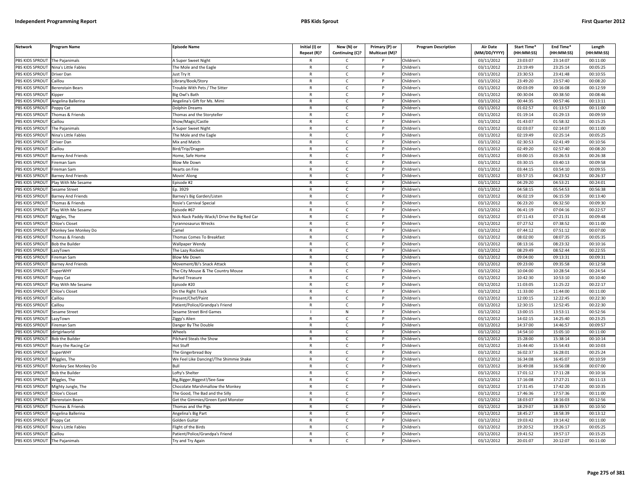| <b>Network</b>        | Program Name              | <b>Episode Name</b>                          | Initial (I) or | New (N) or      | Primary (P) or | <b>Program Description</b> | <b>Air Date</b> | Start Time* | End Time*  | Length     |
|-----------------------|---------------------------|----------------------------------------------|----------------|-----------------|----------------|----------------------------|-----------------|-------------|------------|------------|
|                       |                           |                                              | Repeat (R)?    | Continuing (C)? | Multicast (M)? |                            | (MM/DD/YYYY)    | (HH:MM:SS)  | (HH:MM:SS) | (HH:MM:SS) |
| PBS KIDS SPROUT       | The Paianimals            | A Super Sweet Night                          | R              | Ċ               |                | Children's                 | 03/11/2012      | 23:03:07    | 23:14:07   | 00:11:00   |
| PBS KIDS SPROUT       | Nina's Little Fables      | The Mole and the Eagle                       | $\mathsf{R}$   | $\mathsf{C}$    | P              | Children's                 | 03/11/2012      | 23:19:49    | 23:25:14   | 00:05:25   |
| <b>BS KIDS SPROUT</b> | Driver Dan                | lust Try It                                  | $\mathsf{R}$   | $\mathsf{C}$    |                | Children's                 | 03/11/2012      | 23:30:53    | 23:41:48   | 00:10:55   |
| PBS KIDS SPROUT       | aillou                    | ibrary/Book/Story                            | $\mathsf{R}$   | $\mathsf{C}$    | Þ              | Children's                 | 03/11/2012      | 23:49:20    | 23:57:40   | 00:08:20   |
| PBS KIDS SPROUT       | Berenstain Bears          | rouble With Pets / The Sitter                | $\mathsf{R}$   | C               |                | Children's                 | 03/11/2012      | 00:03:09    | 00:16:08   | 00:12:59   |
| PBS KIDS SPROUT       | ipper                     | ig Owl's Bath                                | $\mathsf{R}$   | $\mathsf{C}$    | P              | Children's                 | 03/11/2012      | 00:30:04    | 00:38:50   | 00:08:46   |
| PBS KIDS SPROUT       | Angelina Ballerina        | Angelina's Gift for Ms. Mimi                 | R              | $\mathsf{C}$    | P              | Children's                 | 03/11/2012      | 00:44:35    | 00:57:46   | 00:13:11   |
| PBS KIDS SPROUT       | oppy Cat                  | Dolphin Dreams                               | $\mathsf{R}$   | $\mathsf{C}$    | D              | Children's                 | 03/11/2012      | 01:02:57    | 01:13:57   | 00:11:00   |
| PBS KIDS SPROUT       | homas & Friends           | homas and the Storyteller                    | $\mathsf{R}$   | $\mathsf{C}$    | P              | Children's                 | 03/11/2012      | 01:19:14    | 01:29:13   | 00:09:59   |
| PBS KIDS SPROUT       | aillou                    | how/Magic/Castle                             | $\mathsf{R}$   | $\mathsf{C}$    |                | Children's                 | 03/11/2012      | 01:43:07    | 01:58:32   | 00:15:25   |
| PBS KIDS SPROUT       | The Pajanimals            | A Super Sweet Night                          | $\mathsf{R}$   | $\mathsf{C}$    | P              | Children's                 | 03/11/2012      | 02:03:07    | 02:14:07   | 00:11:00   |
| PBS KIDS SPROUT       | Nina's Little Fables      | The Mole and the Eagle                       | $\mathsf{R}$   | $\mathsf{C}$    |                | Children's                 | 03/11/2012      | 02:19:49    | 02:25:14   | 00:05:25   |
| PBS KIDS SPROUT       | Driver Dan                | Mix and Match                                | $\mathsf{R}$   | $\mathsf{C}$    | P              | Children's                 | 03/11/2012      | 02:30:53    | 02:41:49   | 00:10:56   |
| PBS KIDS SPROUT       | aillou                    | Bird/Trip/Dragon                             | R              | $\mathsf{C}$    |                | Children's                 | 03/11/2012      | 02:49:20    | 02:57:40   | 00:08:20   |
| PBS KIDS SPROUT       | <b>Barney And Friends</b> | Home, Safe Home                              | $\mathsf{R}$   | $\mathsf{C}$    | $\mathsf{P}$   | Children's                 | 03/11/2012      | 03:00:15    | 03:26:53   | 00:26:38   |
| PBS KIDS SPROUT       | ireman Sam                | <b>Blow Me Down</b>                          | R              | C               |                | Children's                 | 03/11/2012      | 03:30:15    | 03:40:13   | 00:09:58   |
| PBS KIDS SPROUT       | ireman Sam                | learts on Fire                               | R              | $\mathsf{C}$    | P              | Children's                 | 03/11/2012      | 03:44:15    | 03:54:10   | 00:09:55   |
| PBS KIDS SPROUT       | <b>Barney And Friends</b> | Movin' Along                                 | $\mathsf{R}$   | $\mathsf{C}$    | P              | Children's                 | 03/11/2012      | 03:57:15    | 04:23:52   | 00:26:37   |
| PBS KIDS SPROUT       | Play With Me Sesame       | Episode #2                                   | $\mathsf{R}$   | $\mathsf{C}$    | P              | Children's                 | 03/11/2012      | 04:29:20    | 04:53:21   | 00:24:01   |
| PBS KIDS SPROUT       | Sesame Street             | Ep. 3929                                     | R              | Ċ               |                | Children's                 | 03/11/2012      | 04:58:15    | 05:54:53   | 00:56:38   |
| PBS KIDS SPROUT       | arney And Friends         | arney's Big Garden/Listen                    | $\mathsf{R}$   | $\mathsf{C}$    | D              | Children's                 | 03/12/2012      | 06:02:19    | 06:15:59   | 00:13:40   |
| <b>BS KIDS SPROUT</b> | Thomas & Friends          | Rosie's Carnival Special                     | R              | C               |                | Children's                 | 03/12/2012      | 06:23:20    | 06:32:50   | 00:09:30   |
| PBS KIDS SPROUT       | lay With Me Sesame        | pisode #67                                   | $\mathsf{R}$   | $\mathsf{C}$    | Þ              | Children's                 | 03/12/2012      | 06:41:19    | 07:04:16   | 00:22:57   |
| PBS KIDS SPROUT       | Wiggles, The              | Nick-Nack Paddy-Wack/I Drive the Big Red Car | R              | $\mathsf{C}$    | P              | Children's                 | 03/12/2012      | 07:11:43    | 07:21:31   | 00:09:48   |
| PBS KIDS SPROUT       | <b>Chloe's Closet</b>     | vrannosaurus Wrecks                          | $\mathsf{R}$   | $\mathsf{C}$    |                | Children's                 | 03/12/2012      | 07:27:52    | 07:38:52   | 00:11:00   |
| PBS KIDS SPROUT       | Monkey See Monkey Do      | `amel                                        | $\mathsf{R}$   | $\mathsf{C}$    | P              | Children's                 | 03/12/2012      | 07:44:12    | 07:51:12   | 00:07:00   |
| PBS KIDS SPROUT       | Thomas & Friends          | Thomas Comes To Breakfast                    | R              | $\mathsf{C}$    |                | Children's                 | 03/12/2012      | 08:02:00    | 08:07:35   | 00:05:35   |
| PBS KIDS SPROUT       | <b>Bob the Builder</b>    | <b>Wallpaper Wendy</b>                       | $\mathsf{R}$   | $\mathsf{C}$    | P              | Children's                 | 03/12/2012      | 08:13:16    | 08:23:32   | 00:10:16   |
| PBS KIDS SPROUT       | azyTown                   | he Lazy Rockets                              | $\mathsf{R}$   | $\mathsf{C}$    |                | Children's                 | 03/12/2012      | 08:29:49    | 08:52:44   | 00:22:55   |
| PBS KIDS SPROUT       | ireman Sam                | Blow Me Down                                 | $\mathsf{R}$   | $\mathsf{C}$    | P              | Children's                 | 03/12/2012      | 09:04:00    | 09:13:31   | 00:09:31   |
| PBS KIDS SPROUT       | <b>Barney And Friends</b> | Movement/BJ's Snack Attack                   | R              | $\mathsf{C}$    |                | Children's                 | 03/12/2012      | 09:23:00    | 09:35:58   | 00:12:58   |
| PBS KIDS SPROUT       | SuperWHY                  | The City Mouse & The Country Mouse           | $\mathsf{R}$   | $\mathsf{C}$    | P              | Children's                 | 03/12/2012      | 10:04:00    | 10:28:54   | 00:24:54   |
| PBS KIDS SPROUT       | oppy Cat                  | <b>Buried Treasure</b>                       | $\mathsf{R}$   | $\mathsf{C}$    | P              | Children's                 | 03/12/2012      | 10:42:30    | 10:53:10   | 00:10:40   |
| PBS KIDS SPROUT       | Play With Me Sesame       | Episode #20                                  | $\mathsf{R}$   | C               | P              | Children's                 | 03/12/2012      | 11:03:05    | 11:25:22   | 00:22:17   |
| PBS KIDS SPROUT       | <b>Chloe's Closet</b>     | On the Right Track                           | R              | $\mathsf{C}$    | P              | Children's                 | 03/12/2012      | 11:33:00    | 11:44:00   | 00:11:00   |
| PBS KIDS SPROUT       | aillou                    | Present/Chef/Paint                           | $\mathsf{R}$   | $\mathsf{C}$    | P              | Children's                 | 03/12/2012      | 12:00:15    | 12:22:45   | 00:22:30   |
| PBS KIDS SPROUT       | aillou                    | Patient/Police/Grandpa's Friend              | $\mathsf{R}$   | Ċ               |                | Children's                 | 03/12/2012      | 12:30:15    | 12:52:45   | 00:22:30   |
| PBS KIDS SPROUT       | esame Street              | Sesame Street Bird Games                     |                | ${\sf N}$       | D              | Children's                 | 03/12/2012      | 13:00:15    | 13:53:11   | 00:52:56   |
| PBS KIDS SPROUT       | azyTown.                  | 'iggy's Alien                                | R              | C               |                | Children's                 | 03/12/2012      | 14:02:15    | 14:25:40   | 00:23:25   |
| PBS KIDS SPROUT       | ireman Sam                | Janger By The Double                         | $\mathsf{R}$   | $\mathsf{C}$    |                | Children's                 | 03/12/2012      | 14:37:00    | 14:46:57   | 00:09:57   |
| <b>BS KIDS SPROUT</b> | dirtgirlworld             | Wheels                                       | $\mathsf{R}$   | $\mathsf{C}$    | P              | Children's                 | 03/12/2012      | 14:54:10    | 15:05:10   | 00:11:00   |
| PBS KIDS SPROUT       | <b>Bob the Builder</b>    | Pilchard Steals the Show                     | $\mathsf{R}$   | $\mathsf{C}$    | Þ              | Children's                 | 03/12/2012      | 15:28:00    | 15:38:14   | 00:10:14   |
| PBS KIDS SPROUT       | Roary the Racing Car      | Hot Stuff                                    | $\mathsf{R}$   | $\mathsf{C}$    | P              | Children's                 | 03/12/2012      | 15:44:40    | 15:54:43   | 00:10:03   |
| PBS KIDS SPROUT       | SuperWHነ                  | The Gingerbread Boy                          | $\mathsf{R}$   | $\mathsf{C}$    | D              | Children's                 | 03/12/2012      | 16:02:37    | 16:28:01   | 00:25:24   |
| PBS KIDS SPROUT       | Wiggles, The              | We Feel Like Dancing!/The Shimmie Shake      | $\mathsf{R}$   | $\mathsf{C}$    | P              | Children's                 | 03/12/2012      | 16:34:08    | 16:45:07   | 00:10:59   |
| PBS KIDS SPROUT       | Monkey See Monkey Do      |                                              | $\mathsf{R}$   | $\mathsf{C}$    | D              | Children's                 | 03/12/2012      | 16:49:08    | 16:56:08   | 00:07:00   |
| PBS KIDS SPROUT       | <b>Bob the Builder</b>    | Lofty's Shelter                              | R              | $\mathsf{C}$    | P              | Children's                 | 03/12/2012      | 17:01:12    | 17:11:28   | 00:10:16   |
| PBS KIDS SPROUT       | Wiggles, The              | lig, Bigger, Biggest!/See-Saw                | $\mathsf{R}$   | $\mathsf{C}$    | P              | Children's                 | 03/12/2012      | 17:16:08    | 17:27:21   | 00:11:13   |
| PBS KIDS SPROUT       | Mighty Jungle, The        | Chocolate Marshmallow the Monkey             | $\mathsf{R}$   | $\mathsf{C}$    | $\mathsf{P}$   | Children's                 | 03/12/2012      | 17:31:45    | 17:42:20   | 00:10:35   |
| PBS KIDS SPROUT       | Chloe's Closet            | The Good, The Bad and the Silly              | $\mathsf{R}$   | C               |                | Children's                 | 03/12/2012      | 17:46:36    | 17:57:36   | 00:11:00   |
| PBS KIDS SPROUT       | <b>Berenstain Bears</b>   | Get the Gimmies/Green Eyed Monster           | R              | $\mathsf{C}$    | P              | Children's                 | 03/12/2012      | 18:03:07    | 18:16:03   | 00:12:56   |
| PBS KIDS SPROUT       | Thomas & Friends          | homas and the Pigs                           | $\mathsf{R}$   | C               | P              | Children's                 | 03/12/2012      | 18:29:07    | 18:39:57   | 00:10:50   |
| PBS KIDS SPROUT       | Angelina Ballerina        | Angelina's Big Part                          | $\mathsf{R}$   | $\mathsf{C}$    | P              | Children's                 | 03/12/2012      | 18:45:27    | 18:58:39   | 00:13:12   |
| PBS KIDS SPROUT       | Poppy Cat                 | Golden Guitar                                | R              | Ċ               |                | Children's                 | 03/12/2012      | 19:03:42    | 19:14:42   | 00:11:00   |
| PBS KIDS SPROUT       | Vina's Little Fables      | light of the Birds                           | $\mathsf{R}$   | $\mathsf{C}$    | P              | Children's                 | 03/12/2012      | 19:20:52    | 19:26:17   | 00:05:25   |
| PBS KIDS SPROUT       | Caillou                   | Patient/Police/Grandpa's Friend              | R              | C               |                | Children's                 | 03/12/2012      | 19:41:52    | 19:57:17   | 00:15:25   |
| PBS KIDS SPROUT       | The Pajanimals            | Try and Try Again                            | R              | $\mathsf{C}$    |                | Children's                 | 03/12/2012      | 20:01:07    | 20:12:07   | 00:11:00   |
|                       |                           |                                              |                |                 |                |                            |                 |             |            |            |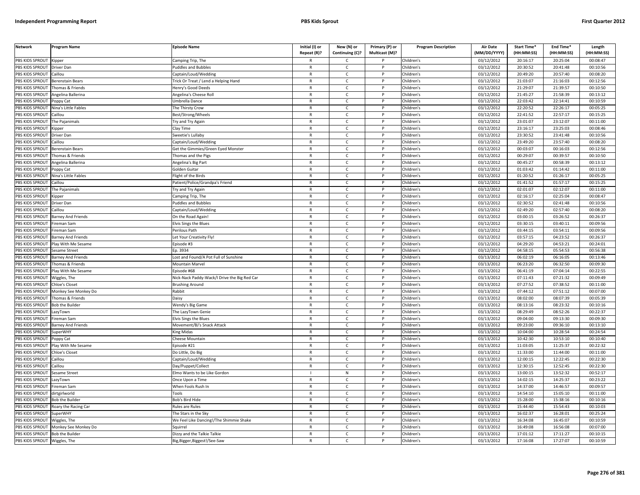| <b>Network</b>               | Program Name              | <b>Episode Name</b>                          | Initial (I) or<br>Repeat (R)? | New (N) or<br>Continuing (C)? | Primary (P) or<br>Multicast (M)? | <b>Program Description</b> | Air Date<br>(MM/DD/YYYY) | Start Time*<br>(HH:MM:SS) | End Time*<br>(HH:MM:SS) | Length<br>(HH:MM:SS) |
|------------------------------|---------------------------|----------------------------------------------|-------------------------------|-------------------------------|----------------------------------|----------------------------|--------------------------|---------------------------|-------------------------|----------------------|
| PBS KIDS SPROUT              | Kipper                    | Camping Trip, The                            | R                             | C                             |                                  | Children's                 | 03/12/2012               | 20:16:17                  | 20:25:04                | 00:08:47             |
| PBS KIDS SPROUT              | Driver Dan                | uddles and Bubbles                           | $\mathsf{R}$                  | $\mathsf{C}$                  | P                                | Children's                 | 03/12/2012               | 20:30:52                  | 20:41:48                | 00:10:56             |
| PBS KIDS SPROUT              | Caillou                   | Captain/Loud/Wedding                         | $\mathsf{R}$                  | $\mathsf{C}$                  | P                                | Children's                 | 03/12/2012               | 20:49:20                  | 20:57:40                | 00:08:20             |
| PBS KIDS SPROUT              | Berenstain Bears          | Trick Or Treat / Lend a Helping Hand         | $\mathsf{R}$                  | $\mathsf{C}$                  | D                                | Children's                 | 03/12/2012               | 21:03:07                  | 21:16:03                | 00:12:56             |
| PBS KIDS SPROUT              | Thomas & Friends          | lenry's Good Deeds                           | R                             | $\mathsf{C}$                  |                                  | Children's                 | 03/12/2012               | 21:29:07                  | 21:39:57                | 00:10:50             |
| PBS KIDS SPROUT              | Angelina Ballerina        | Angelina's Cheese Roll                       | $\mathsf{R}$                  | $\mathsf{C}$                  |                                  | Children's                 | 03/12/2012               | 21:45:27                  | 21:58:39                | 00:13:12             |
| <b>BS KIDS SPROUT</b>        | Poppy Cat                 | Jmbrella Dance                               | R                             | C                             |                                  | Children's                 | 03/12/2012               | 22:03:42                  | 22:14:41                | 00:10:59             |
| PBS KIDS SPROUT              | Nina's Little Fables      | The Thirsty Crow                             | $\mathsf{R}$                  | $\mathsf{C}$                  | D                                | Children's                 | 03/12/2012               | 22:20:52                  | 22:26:17                | 00:05:25             |
| PBS KIDS SPROUT              | Caillou                   | Best/Strong/Wheels                           | R                             | $\mathsf{C}$                  | P                                | Children's                 | 03/12/2012               | 22:41:52                  | 22:57:17                | 00:15:25             |
| PBS KIDS SPROUT              | The Pajanimals            | ry and Try Agair                             | $\mathsf{R}$                  | $\mathsf{C}$                  | P                                | Children's                 | 03/12/2012               | 23:01:07                  | 23:12:07                | 00:11:00             |
| PBS KIDS SPROUT              | Kipper                    | Clay Time                                    | $\mathsf{R}$                  | $\mathsf{C}$                  | P                                | Children's                 | 03/12/2012               | 23:16:17                  | 23:25:03                | 00:08:46             |
| PBS KIDS SPROUT              | Driver Dan                | Sweetie's Lullaby                            | ${\sf R}$                     | $\mathsf{C}$                  | D                                | Children's                 | 03/12/2012               | 23:30:52                  | 23:41:48                | 00:10:56             |
| PBS KIDS SPROUT              | Caillou                   | Captain/Loud/Wedding                         | $\mathsf{R}$                  | $\mathsf{C}$                  | P                                | Children's                 | 03/12/2012               | 23:49:20                  | 23:57:40                | 00:08:20             |
| PBS KIDS SPROUT              | erenstain Bears           | iet the Gimmies/Green Eyed Monster           | $\mathsf{R}$                  | C                             | P                                | Children's                 | 03/12/2012               | 00:03:07                  | 00:16:03                | 00:12:56             |
| PBS KIDS SPROUT              | homas & Friends           | homas and the Pigs                           | $\mathsf{R}$                  | $\mathsf{C}$                  | P                                | Children's                 | 03/12/2012               | 00:29:07                  | 00:39:57                | 00:10:50             |
| PBS KIDS SPROUT              | Angelina Ballerina        | Angelina's Big Part                          | R                             | $\mathsf{C}$                  | P                                | Children's                 | 03/12/2012               | 00:45:27                  | 00:58:39                | 00:13:12             |
| PBS KIDS SPROUT              | oppy Cat                  | Golden Guitar                                | $\mathsf{R}$                  | $\mathsf{C}$                  | P                                | Children's                 | 03/12/2012               | 01:03:42                  | 01:14:42                | 00:11:00             |
| PBS KIDS SPROUT              | Nina's Little Fables      | light of the Birds                           | $\mathsf{R}$                  | $\mathsf{C}$                  | P                                | Children's                 | 03/12/2012               | 01:20:52                  | 01:26:17                | 00:05:25             |
| PBS KIDS SPROUT              | Caillou                   | Patient/Police/Grandpa's Friend              | $\mathsf{R}$                  | $\mathsf{C}$                  | P                                | Children's                 | 03/12/2012               | 01:41:52                  | 01:57:17                | 00:15:25             |
| PBS KIDS SPROUT              | The Pajanimals            | <b>Try and Try Again</b>                     | R                             | C                             | P                                | Children's                 | 03/12/2012               | 02:01:07                  | 02:12:07                | 00:11:00             |
| PBS KIDS SPROUT              | ipper)                    | amping Trip, The                             | $\mathsf{R}$                  | $\mathsf{C}$                  |                                  | Children's                 | 03/12/2012               | 02:16:17                  | 02:25:04                | 00:08:47             |
| <b>BS KIDS SPROUT</b>        | Driver Dan                | uddles and Bubbles                           | R                             | $\mathsf{C}$                  |                                  | Children's                 | 03/12/2012               | 02:30:52                  | 02:41:48                | 00:10:56             |
| PBS KIDS SPROUT              | aillou                    | Captain/Loud/Wedding                         | $\mathsf{R}$                  | $\mathsf{C}$                  | Þ                                | Children's                 | 03/12/2012               | 02:49:20                  | 02:57:40                | 00:08:20             |
| PBS KIDS SPROUT              | <b>Barney And Friends</b> | On the Road Again!                           | $\mathsf{R}$                  | $\mathsf{C}$                  | P                                | Children's                 | 03/12/2012               | 03:00:15                  | 03:26:52                | 00:26:37             |
| PBS KIDS SPROUT              | ireman Sam                | Elvis Sings the Blues                        | $\mathsf{R}$                  | $\mathsf{C}$                  | D                                | Children's                 | 03/12/2012               | 03:30:15                  | 03:40:11                | 00:09:56             |
| PBS KIDS SPROUT              | Fireman Sam               | Perilous Path                                | $\mathsf{R}$                  | $\mathsf{C}$                  | P                                | Children's                 | 03/12/2012               | 03:44:15                  | 03:54:11                | 00:09:56             |
| PBS KIDS SPROUT              | Barney And Friends        | et Your Creativity Fly.                      | $\mathsf{R}$                  | $\mathsf{C}$                  | P                                | Children's                 | 03/12/2012               | 03:57:15                  | 04:23:52                | 00:26:37             |
| PBS KIDS SPROUT              | Play With Me Sesame       | pisode #3                                    | R                             | $\mathsf{C}$                  | $\mathsf{P}$                     | Children's                 | 03/12/2012               | 04:29:20                  | 04:53:21                | 00:24:01             |
| PBS KIDS SPROUT              | esame Street              | p. 3934                                      | $\mathsf{R}$                  | $\mathsf{C}$                  | P                                | Children's                 | 03/12/2012               | 04:58:15                  | 05:54:53                | 00:56:38             |
| PBS KIDS SPROUT              | <b>Barney And Friends</b> | Lost and Found/A Pot Full of Sunshine        | $\mathsf{R}$                  | $\mathsf{C}$                  | P                                | Children's                 | 03/13/2012               | 06:02:19                  | 06:16:05                | 00:13:46             |
| PBS KIDS SPROUT              | homas & Friends           | Mountain Marvel                              | $\mathsf{R}$                  | $\mathsf{C}$                  | D                                | Children's                 | 03/13/2012               | 06:23:20                  | 06:32:50                | 00:09:30             |
| PBS KIDS SPROUT              | Play With Me Sesame       | pisode #68                                   | $\mathsf{R}$                  | $\mathsf{C}$                  | P                                | Children's                 | 03/13/2012               | 06:41:19                  | 07:04:14                | 00:22:55             |
| PBS KIDS SPROUT              | Wiggles, The              | Vick-Nack Paddy-Wack/I Drive the Big Red Car | $\mathsf{R}$                  | $\mathsf{C}$                  | P                                | Children's                 | 03/13/2012               | 07:11:43                  | 07:21:32                | 00:09:49             |
| PBS KIDS SPROUT              | <b>Chloe's Closet</b>     | <b>Brushing Around</b>                       | $\mathsf{R}$                  | $\mathsf{C}$                  | P                                | Children's                 | 03/13/2012               | 07:27:52                  | 07:38:52                | 00:11:00             |
| PBS KIDS SPROUT              | Monkey See Monkey Do      | Rabbit                                       | R                             | C                             | P                                | Children's                 | 03/13/2012               | 07:44:12                  | 07:51:12                | 00:07:00             |
| PBS KIDS SPROUT              | Thomas & Friends          | <b>Daisy</b>                                 | $\mathsf{R}$                  | $\mathsf{C}$                  | P                                | Children's                 | 03/13/2012               | 08:02:00                  | 08:07:39                | 00:05:39             |
| <b>BS KIDS SPROUT</b>        | <b>Bob the Builder</b>    | Wendy's Big Game                             | R                             | $\mathsf{C}$                  |                                  | Children's                 | 03/13/2012               | 08:13:16                  | 08:23:32                | 00:10:16             |
| PBS KIDS SPROUT              | azyTown                   | The LazyTown Genie                           | $\mathsf{R}$                  | $\mathsf{C}$                  | Þ                                | Children's                 | 03/13/2012               | 08:29:49                  | 08:52:26                | 00:22:37             |
| PBS KIDS SPROUT              | ireman Sam                | Elvis Sings the Blues                        | $\mathsf{R}$                  | $\mathsf{C}$                  | P                                | Children's                 | 03/13/2012               | 09:04:00                  | 09:13:30                | 00:09:30             |
| PBS KIDS SPROUT              | <b>Barney And Friends</b> | Movement/BJ's Snack Attack                   | $\mathsf{R}$                  | $\mathsf{C}$                  |                                  | Children's                 | 03/13/2012               | 09:23:00                  | 09:36:10                | 00:13:10             |
| PBS KIDS SPROUT              | <b>SuperWHY</b>           | King Midas                                   | $\mathsf{R}$                  | $\mathsf{C}$                  | P                                | Children's                 | 03/13/2012               | 10:04:00                  | 10:28:54                | 00:24:54             |
| PBS KIDS SPROUT              | oppy Cat                  | heese Mountain                               | $\mathsf{R}$                  | $\mathsf{C}$                  | P                                | Children's                 | 03/13/2012               | 10:42:30                  | 10:53:10                | 00:10:40             |
| PBS KIDS SPROUT              | Play With Me Sesame       | pisode #21                                   | R                             | $\mathsf{C}$                  | $\mathsf{P}$                     | Children's                 | 03/13/2012               | 11:03:05                  | 11:25:37                | 00:22:32             |
| PBS KIDS SPROUT              | Chloe's Closet            | Do Little, Do Big                            | $\mathsf{R}$                  | $\mathsf{C}$                  | P                                | Children's                 | 03/13/2012               | 11:33:00                  | 11:44:00                | 00:11:00             |
| PBS KIDS SPROUT              | Caillou                   | Captain/Loud/Wedding                         | $\mathsf{R}$                  | $\mathsf{C}$                  | P                                | Children's                 | 03/13/2012               | 12:00:15                  | 12:22:45                | 00:22:30             |
| PBS KIDS SPROUT              | aillou                    | Day/Puppet/Collect                           | $\mathsf{R}$                  | $\mathsf{C}$                  |                                  | Children's                 | 03/13/2012               | 12:30:15                  | 12:52:45                | 00:22:30             |
| PBS KIDS SPROUT              | Sesame Street             | Elmo Wants to be Like Gordon                 | $\mathbf{I}$                  | ${\sf N}$                     | P                                | Children's                 | 03/13/2012               | 13:00:15                  | 13:52:32                | 00:52:17             |
| PBS KIDS SPROUT              | azyTown.                  | Once Upon a Time                             | $\mathsf{R}$                  | $\mathsf{C}$                  | P                                | Children's                 | 03/13/2012               | 14:02:15                  | 14:25:37                | 00:23:22             |
| PBS KIDS SPROUT              | ireman Sam                | When Fools Rush In                           | $\mathsf{R}$                  | C                             | P                                | Children's                 | 03/13/2012               | 14:37:00                  | 14:46:57                | 00:09:57             |
| PBS KIDS SPROUT              | dirtgirlworld             | <b>Tools</b>                                 | R                             | C                             | P                                | Children's                 | 03/13/2012               | 14:54:10                  | 15:05:10                | 00:11:00             |
| PBS KIDS SPROUT              | <b>Bob the Builder</b>    | Bob's Bird Hide                              | $\mathsf{R}$                  | $\mathsf{C}$                  | P                                | Children's                 | 03/13/2012               | 15:28:00                  | 15:38:16                | 00:10:16             |
| <b>BS KIDS SPROUT</b>        | Roary the Racing Car      | Rules are Rules                              | R                             | $\mathsf{C}$                  |                                  | Children's                 | 03/13/2012               | 15:44:40                  | 15:54:43                | 00:10:03             |
| PBS KIDS SPROUT              | SuperWHY                  | The Stars in the Sky                         | $\mathsf{R}$                  | $\mathsf{C}$                  | D                                | Children's                 | 03/13/2012               | 16:02:37                  | 16:28:01                | 00:25:24             |
| PBS KIDS SPROUT              | Wiggles, The              | We Feel Like Dancing!/The Shimmie Shake      | R                             | $\mathsf{C}$                  |                                  | Children's                 | 03/13/2012               | 16:34:08                  | 16:45:07                | 00:10:59             |
| PBS KIDS SPROUT              | Monkey See Monkey Do      | Sauirre                                      | $\mathsf{R}$                  | $\mathsf{C}$                  |                                  | Children's                 | 03/13/2012               | 16:49:08                  | 16:56:08                | 00:07:00             |
| PBS KIDS SPROUT              | <b>Bob the Builder</b>    | Dizzy and the Talkie Talkie                  | $\mathsf{R}$                  | $\mathsf{C}$                  | P                                | Children's                 | 03/13/2012               | 17:01:12                  | 17:11:27                | 00:10:15             |
| PBS KIDS SPROUT Wiggles, The |                           | Big, Bigger, Biggest!/See-Saw                | R                             | Ċ                             | p                                | Children's                 | 03/13/2012               | 17:16:08                  | 17:27:07                | 00:10:59             |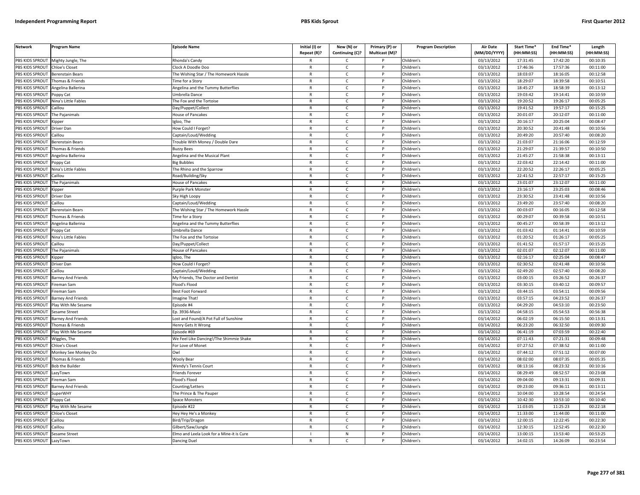| <b>Network</b>  | Program Name              | <b>Episode Name</b>                       | Initial (I) or<br>Repeat (R)? | New (N) or<br>Continuing (C)? | Primary (P) or<br>Multicast (M)? | <b>Program Description</b> | <b>Air Date</b><br>(MM/DD/YYYY) | Start Time*<br>(HH:MM:SS) | End Time*<br>(HH:MM:SS) | Length<br>(HH:MM:SS) |
|-----------------|---------------------------|-------------------------------------------|-------------------------------|-------------------------------|----------------------------------|----------------------------|---------------------------------|---------------------------|-------------------------|----------------------|
| PBS KIDS SPROUT | Mighty Jungle, The        | Rhonda's Candy                            |                               | $\mathsf{C}$                  |                                  | Children's                 | 03/13/2012                      | 17:31:45                  | 17:42:20                | 00:10:35             |
| PBS KIDS SPROUT | <b>Chloe's Closet</b>     | Clock A Doodle Doo                        | $\mathsf{R}$                  | $\mathsf{C}$                  | P                                | Children's                 | 03/13/2012                      | 17:46:36                  | 17:57:36                | 00:11:00             |
| PBS KIDS SPROUT | Berenstain Bears          | The Wishing Star / The Homework Hassle    | $\mathsf{R}$                  | $\mathsf{C}$                  |                                  | Children's                 | 03/13/2012                      | 18:03:07                  | 18:16:05                | 00:12:58             |
| PBS KIDS SPROUT | Thomas & Friends          | Time for a Story                          | $\mathsf{R}$                  | $\mathsf{C}$                  | D                                | Children's                 | 03/13/2012                      | 18:29:07                  | 18:39:58                | 00:10:51             |
| PBS KIDS SPROUT | Angelina Ballerina        | Angelina and the Tummy Butterflies        | $\mathsf{R}$                  | c                             | P                                | Children's                 | 03/13/2012                      | 18:45:27                  | 18:58:39                | 00:13:12             |
| PBS KIDS SPROUT | oppy Cat                  | Jmbrella Dance                            | $\mathsf{R}$                  | $\mathsf{C}$                  | P                                | Children's                 | 03/13/2012                      | 19:03:42                  | 19:14:41                | 00:10:59             |
| PBS KIDS SPROUT | Nina's Little Fables      | The Fox and the Tortoise                  | $\mathsf{R}$                  | C                             | P                                | Children's                 | 03/13/2012                      | 19:20:52                  | 19:26:17                | 00:05:25             |
| PBS KIDS SPROUT | Caillou                   | Day/Puppet/Collect                        | ${\sf R}$                     | $\mathsf{C}$                  | <b>D</b>                         | Children's                 | 03/13/2012                      | 19:41:52                  | 19:57:17                | 00:15:25             |
| PBS KIDS SPROUT | The Pajanimals            | House of Pancakes                         | ${\sf R}$                     | $\mathsf{C}$                  | P                                | Children's                 | 03/13/2012                      | 20:01:07                  | 20:12:07                | 00:11:00             |
| PBS KIDS SPROUT | .ipper                    | gloo, The                                 | $\mathsf{R}$                  | $\mathsf{C}$                  |                                  | Children's                 | 03/13/2012                      | 20:16:17                  | 20:25:04                | 00:08:47             |
| PBS KIDS SPROUT | Driver Dan                | How Could I Forget?                       | $\mathsf{R}$                  | C                             | P                                | Children's                 | 03/13/2012                      | 20:30:52                  | 20:41:48                | 00:10:56             |
| PBS KIDS SPROUT | Caillou                   | Captain/Loud/Wedding                      | $\mathsf{R}$                  | $\mathsf{C}$                  | P                                | Children's                 | 03/13/2012                      | 20:49:20                  | 20:57:40                | 00:08:20             |
| PBS KIDS SPROUT | Berenstain Bears          | Trouble With Money / Double Dare          | $\mathsf{R}$                  | $\mathsf{C}$                  | $\mathsf{P}$                     | Children's                 | 03/13/2012                      | 21:03:07                  | 21:16:06                | 00:12:59             |
| PBS KIDS SPROUT | Thomas & Friends          | <b>Buzzy Bees</b>                         | $\mathsf{R}$                  | $\mathsf{C}$                  |                                  | Children's                 | 03/13/2012                      | 21:29:07                  | 21:39:57                | 00:10:50             |
| PBS KIDS SPROUT | Angelina Ballerina        | Angelina and the Musical Plant            | $\mathsf{R}$                  | $\mathsf{C}$                  | P                                | Children's                 | 03/13/2012                      | 21:45:27                  | 21:58:38                | 00:13:11             |
| PBS KIDS SPROUT | Poppy Cat                 | <b>Big Bubbles</b>                        | $\mathsf{R}$                  | $\mathsf{C}$                  | P                                | Children's                 | 03/13/2012                      | 22:03:42                  | 22:14:42                | 00:11:00             |
| PBS KIDS SPROUT | Nina's Little Fables      | The Rhino and the Sparrow                 | $\mathsf{R}$                  | $\mathsf{C}$                  | P                                | Children's                 | 03/13/2012                      | 22:20:52                  | 22:26:17                | 00:05:25             |
| PBS KIDS SPROUT | Caillou                   | Road/Building/Sky                         | $\mathsf{R}$                  | $\mathsf{C}$                  | P                                | Children's                 | 03/13/2012                      | 22:41:52                  | 22:57:17                | 00:15:25             |
| PBS KIDS SPROUT | The Pajanimals            | House of Pancakes                         | $\mathsf{R}$                  | $\mathsf{C}$                  | P                                | Children's                 | 03/13/2012                      | 23:01:07                  | 23:12:07                | 00:11:00             |
| PBS KIDS SPROUT | <b>Kipper</b>             | Purple Park Monster                       | $\mathsf{R}$                  | $\mathsf{C}$                  | P                                | Children's                 | 03/13/2012                      | 23:16:17                  | 23:25:03                | 00:08:46             |
| PBS KIDS SPROUT | Driver Dan                | Sky High Loopy                            | $\mathsf{R}$                  | $\mathsf{C}$                  | P                                | Children's                 | 03/13/2012                      | 23:30:52                  | 23:41:48                | 00:10:56             |
| PBS KIDS SPROUT | Caillou                   | Captain/Loud/Wedding                      | $\mathsf{R}$                  | $\mathsf{C}$                  |                                  | Children's                 | 03/13/2012                      | 23:49:20                  | 23:57:40                | 00:08:20             |
| PBS KIDS SPROUT | Berenstain Bears          | The Wishing Star / The Homework Hassle    | $\mathsf{R}$                  | $\mathsf{C}$                  | D                                | Children's                 | 03/13/2012                      | 00:03:07                  | 00:16:05                | 00:12:58             |
| PBS KIDS SPROUT | Thomas & Friends          | Time for a Story                          | $\mathsf{R}$                  | $\mathsf{C}$                  | P                                | Children's                 | 03/13/2012                      | 00:29:07                  | 00:39:58                | 00:10:51             |
| PBS KIDS SPROUT | Angelina Ballerina        | Angelina and the Tummy Butterflies        | $\mathsf{R}$                  | $\mathsf{C}$                  |                                  | Children's                 | 03/13/2012                      | 00:45:27                  | 00:58:39                | 00:13:12             |
| PBS KIDS SPROUT | Poppy Cat                 | Umbrella Dance                            | $\mathsf{R}$                  | $\mathsf{C}$                  | P                                | Children's                 | 03/13/2012                      | 01:03:42                  | 01:14:41                | 00:10:59             |
| PBS KIDS SPROUT | Nina's Little Fables      | The Fox and the Tortoise                  | $\mathsf{R}$                  | $\mathsf{C}$                  |                                  | Children's                 | 03/13/2012                      | 01:20:52                  | 01:26:17                | 00:05:25             |
| PBS KIDS SPROUT | Caillou                   | Day/Puppet/Collect                        | $\mathsf{R}$                  | $\mathsf{C}$                  | P                                | Children's                 | 03/13/2012                      | 01:41:52                  | 01:57:17                | 00:15:25             |
| PBS KIDS SPROUT | The Pajanimals            | House of Pancakes                         | R                             | $\mathsf{C}$                  |                                  | Children's                 | 03/13/2012                      | 02:01:07                  | 02:12:07                | 00:11:00             |
| PBS KIDS SPROUT | <b>Kipper</b>             | Igloo, The                                | $\mathsf{R}$                  | C                             | P                                | Children's                 | 03/13/2012                      | 02:16:17                  | 02:25:04                | 00:08:47             |
| PBS KIDS SPROUT | Driver Dan                | How Could I Forget?                       | $\mathsf{R}$                  | $\mathsf{C}$                  | P                                | Children's                 | 03/13/2012                      | 02:30:52                  | 02:41:48                | 00:10:56             |
| PBS KIDS SPROUT | Caillou                   | Captain/Loud/Wedding                      | $\mathsf{R}$                  | $\mathsf{C}$                  | P                                | Children's                 | 03/13/2012                      | 02:49:20                  | 02:57:40                | 00:08:20             |
| PBS KIDS SPROUT | <b>Barney And Friends</b> | My Friends, The Doctor and Dentist        | $\mathsf{R}$                  | $\mathsf{C}$                  | P                                | Children's                 | 03/13/2012                      | 03:00:15                  | 03:26:52                | 00:26:37             |
| PBS KIDS SPROUT | Fireman Sam               | Flood's Flood                             | $\mathsf{R}$                  | $\mathsf{C}$                  | P                                | Children's                 | 03/13/2012                      | 03:30:15                  | 03:40:12                | 00:09:57             |
| PBS KIDS SPROUT | Fireman Sam               | Best Foot Forward                         | $\mathsf{R}$                  | $\mathsf{C}$                  | P                                | Children's                 | 03/13/2012                      | 03:44:15                  | 03:54:11                | 00:09:56             |
| PBS KIDS SPROUT | Barney And Friends        | magine That!                              | $\mathsf{R}$                  | $\mathsf{C}$                  | P                                | Children's                 | 03/13/2012                      | 03:57:15                  | 04:23:52                | 00:26:37             |
| PBS KIDS SPROUT | Play With Me Sesame       | Episode #4                                | $\mathsf{R}$                  | C                             |                                  | Children's                 | 03/13/2012                      | 04:29:20                  | 04:53:10                | 00:23:50             |
| PBS KIDS SPROUT | Sesame Street             | Ep. 3936-Music                            | $\mathsf{R}$                  | $\mathsf{C}$                  | <b>D</b>                         | Children's                 | 03/13/2012                      | 04:58:15                  | 05:54:53                | 00:56:38             |
| PBS KIDS SPROUT | <b>Barney And Friends</b> | Lost and Found/A Pot Full of Sunshine     | $\mathsf{R}$                  | $\mathsf{C}$                  | P                                | Children's                 | 03/14/2012                      | 06:02:19                  | 06:15:50                | 00:13:31             |
| PBS KIDS SPROUT | Thomas & Friends          | Henry Gets It Wrong                       | $\mathsf{R}$                  | $\mathsf{C}$                  | P                                | Children's                 | 03/14/2012                      | 06:23:20                  | 06:32:50                | 00:09:30             |
| PBS KIDS SPROUT | Play With Me Sesame       | Episode #69                               | $\mathsf{R}$                  | $\mathsf{C}$                  | P                                | Children's                 | 03/14/2012                      | 06:41:19                  | 07:03:59                | 00:22:40             |
| PBS KIDS SPROUT | <i>N</i> iggles, The      | We Feel Like Dancing!/The Shimmie Shake   | $\mathsf{R}$                  | $\mathsf{C}$                  |                                  | Children's                 | 03/14/2012                      | 07:11:43                  | 07:21:31                | 00:09:48             |
| PBS KIDS SPROUT | Chloe's Closet            | For Love of Monet                         | $\mathsf{R}$                  | $\mathsf{C}$                  | P                                | Children's                 | 03/14/2012                      | 07:27:52                  | 07:38:52                | 00:11:00             |
| PBS KIDS SPROUT | Monkey See Monkey Do      | Owl                                       | $\mathsf{R}$                  | $\mathsf{C}$                  | P                                | Children's                 | 03/14/2012                      | 07:44:12                  | 07:51:12                | 00:07:00             |
| PBS KIDS SPROUT | Thomas & Friends          | Wooly Bear                                | $\mathsf{R}$                  | C                             | P                                | Children's                 | 03/14/2012                      | 08:02:00                  | 08:07:35                | 00:05:35             |
| PBS KIDS SPROUT | <b>Bob the Builder</b>    | Wendy's Tennis Court                      | $\mathsf{R}$                  | $\mathsf{C}$                  | P                                | Children's                 | 03/14/2012                      | 08:13:16                  | 08:23:32                | 00:10:16             |
| PBS KIDS SPROUT | LazyTown                  | Friends Forever                           | $\mathsf{R}$                  | $\mathsf{C}$                  | $\mathsf{P}$                     | Children's                 | 03/14/2012                      | 08:29:49                  | 08:52:57                | 00:23:08             |
| PBS KIDS SPROUT | Fireman Sam               | lood's Flood                              | $\mathsf{R}$                  | $\mathsf{C}$                  | P                                | Children's                 | 03/14/2012                      | 09:04:00                  | 09:13:31                | 00:09:31             |
| PBS KIDS SPROUT | Barney And Friends        | Counting/Letters                          | $\mathsf{R}$                  | C                             | P                                | Children's                 | 03/14/2012                      | 09:23:00                  | 09:36:11                | 00:13:11             |
| PBS KIDS SPROUT | <b>SuperWHY</b>           | The Prince & The Pauper                   | $\mathsf{R}$                  | $\mathsf{C}$                  | P                                | Children's                 | 03/14/2012                      | 10:04:00                  | 10:28:54                | 00:24:54             |
| PBS KIDS SPROUT | Poppy Cat                 | Space Monsters                            | $\mathsf{R}$                  | $\mathsf{C}$                  | P                                | Children's                 | 03/14/2012                      | 10:42:30                  | 10:53:10                | 00:10:40             |
| PBS KIDS SPROUT | Play With Me Sesame       | Episode #22                               | $\mathsf{R}$                  | $\mathsf{C}$                  |                                  | Children's                 | 03/14/2012                      | 11:03:05                  | 11:25:23                | 00:22:18             |
| PBS KIDS SPROUT | Chloe's Closet            | Hey Hey He's a Monkey                     | $\mathsf{R}$                  | $\mathsf{C}$                  | <sub>D</sub>                     | Children's                 | 03/14/2012                      | 11:33:00                  | 11:44:00                | 00:11:00             |
| PBS KIDS SPROUT | Caillou                   | 3ird/Trip/Dragon                          | R                             | $\mathsf{C}$                  | P                                | Children's                 | 03/14/2012                      | 12:00:15                  | 12:22:45                | 00:22:30             |
| PBS KIDS SPROUT | `aillou                   | iilbert/Saw/Jungle                        | $\mathsf{R}$                  | $\mathsf{C}$                  |                                  | Children's                 | 03/14/2012                      | 12:30:15                  | 12:52:45                | 00:22:30             |
| PBS KIDS SPROUT | Sesame Street             | Elmo and Leela Look for a Mine-it is Cure |                               | ${\sf N}$                     | P                                | Children's                 | 03/14/2012                      | 13:00:15                  | 13:53:40                | 00:53:25             |
| PBS KIDS SPROUT | LazyTown                  | Dancing Duel                              | $\mathsf{R}$                  | $\mathsf{C}$                  | D                                | Children's                 | 03/14/2012                      | 14:02:15                  | 14:26:09                | 00:23:54             |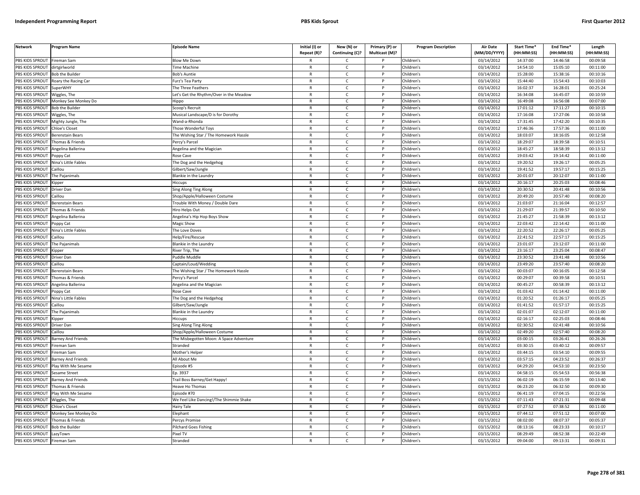| <b>Network</b>  | <b>Program Name</b>       | <b>Episode Name</b>                     | Initial (I) or<br>Repeat (R)? | New (N) or<br>Continuing (C)? | Primary (P) or<br>Multicast (M)? | <b>Program Description</b> | <b>Air Date</b><br>(MM/DD/YYYY) | Start Time*<br>(HH:MM:SS) | End Time*<br>(HH:MM:SS) | Length<br>(HH:MM:SS) |
|-----------------|---------------------------|-----------------------------------------|-------------------------------|-------------------------------|----------------------------------|----------------------------|---------------------------------|---------------------------|-------------------------|----------------------|
| PBS KIDS SPROUT | Fireman Sam               | <b>Blow Me Down</b>                     |                               | $\mathsf{C}$                  |                                  | Children's                 | 03/14/2012                      | 14:37:00                  | 14:46:58                | 00:09:58             |
| PBS KIDS SPROUT | dirtgirlworld             | <b>Time Machine</b>                     | $\mathsf{R}$                  | $\mathsf{C}$                  | P                                | Children's                 | 03/14/2012                      | 14:54:10                  | 15:05:10                | 00:11:00             |
| PBS KIDS SPROUT | <b>Bob the Builder</b>    | <b>Bob's Auntie</b>                     | $\mathsf{R}$                  | $\mathsf{C}$                  |                                  | Children's                 | 03/14/2012                      | 15:28:00                  | 15:38:16                | 00:10:16             |
| PBS KIDS SPROUT | Roary the Racing Car      | Furz's Tea Party                        | $\mathsf{R}$                  | $\mathsf{C}$                  | <sub>D</sub>                     | Children's                 | 03/14/2012                      | 15:44:40                  | 15:54:43                | 00:10:03             |
| PBS KIDS SPROUT | SuperWHY                  | The Three Feathers                      | $\mathsf{R}$                  | c                             |                                  | Children's                 | 03/14/2012                      | 16:02:37                  | 16:28:01                | 00:25:24             |
| PBS KIDS SPROUT | Niggles, The              | et's Get the Rhythm/Over in the Meadow  | $\mathsf{R}$                  | $\mathsf{C}$                  | P                                | Children's                 | 03/14/2012                      | 16:34:08                  | 16:45:07                | 00:10:59             |
| PBS KIDS SPROUT | Monkey See Monkey Do      | Hippo                                   | $\mathsf{R}$                  | $\mathsf{C}$                  | P                                | Children's                 | 03/14/2012                      | 16:49:08                  | 16:56:08                | 00:07:00             |
| PBS KIDS SPROUT | Bob the Builder           | Scoop's Recruit                         | $\mathsf{R}$                  | $\mathsf{C}$                  | P                                | Children's                 | 03/14/2012                      | 17:01:12                  | 17:11:27                | 00:10:15             |
| PBS KIDS SPROUT | Wiggles, The              | Musical Landscape/D is for Dorothy      | ${\sf R}$                     | $\mathsf{C}$                  | P                                | Children's                 | 03/14/2012                      | 17:16:08                  | 17:27:06                | 00:10:58             |
| PBS KIDS SPROUT | Mighty Jungle, The        | Nand-a-Rhonda                           | $\mathsf{R}$                  | $\mathsf{C}$                  |                                  | Children's                 | 03/14/2012                      | 17:31:45                  | 17:42:20                | 00:10:35             |
| PBS KIDS SPROUT | <b>Chloe's Closet</b>     | Those Wonderful Toys                    | $\mathsf{R}$                  | C                             | P                                | Children's                 | 03/14/2012                      | 17:46:36                  | 17:57:36                | 00:11:00             |
| PBS KIDS SPROUT | Berenstain Bears          | The Wishing Star / The Homework Hassle  | $\mathsf{R}$                  | $\mathsf{C}$                  |                                  | Children's                 | 03/14/2012                      | 18:03:07                  | 18:16:05                | 00:12:58             |
| PBS KIDS SPROUT | Thomas & Friends          | Percy's Parcel                          | $\mathsf{R}$                  | $\mathsf{C}$                  | P                                | Children's                 | 03/14/2012                      | 18:29:07                  | 18:39:58                | 00:10:51             |
| PBS KIDS SPROUT | Angelina Ballerina        | Angelina and the Magician               | $\mathsf{R}$                  | $\mathsf{C}$                  |                                  | Children's                 | 03/14/2012                      | 18:45:27                  | 18:58:39                | 00:13:12             |
| PBS KIDS SPROUT | Poppy Cat                 | Rose Cave                               | $\mathsf{R}$                  | $\mathsf{C}$                  | $\mathsf{P}$                     | Children's                 | 03/14/2012                      | 19:03:42                  | 19:14:42                | 00:11:00             |
| PBS KIDS SPROUT | Nina's Little Fables      | The Dog and the Hedgehog                | $\mathsf{R}$                  | $\mathsf{C}$                  | P                                | Children's                 | 03/14/2012                      | 19:20:52                  | 19:26:17                | 00:05:25             |
| PBS KIDS SPROUT | Caillou                   | Gilbert/Saw/Jungle                      | $\mathsf{R}$                  | $\mathsf{C}$                  | P                                | Children's                 | 03/14/2012                      | 19:41:52                  | 19:57:17                | 00:15:25             |
| PBS KIDS SPROUT | The Pajanimals            | <b>Blankie in the Laundry</b>           | $\mathsf{R}$                  | $\mathsf{C}$                  | P                                | Children's                 | 03/14/2012                      | 20:01:07                  | 20:12:07                | 00:11:00             |
| PBS KIDS SPROUT | <b>Cipper</b>             | Hiccups                                 | $\mathsf{R}$                  | $\mathsf{C}$                  | P                                | Children's                 | 03/14/2012                      | 20:16:17                  | 20:25:03                | 00:08:46             |
| PBS KIDS SPROUT | Driver Dan                | Sing Along Ting Along                   | $\mathsf{R}$                  | $\mathsf{C}$                  | P                                | Children's                 | 03/14/2012                      | 20:30:52                  | 20:41:48                | 00:10:56             |
| PBS KIDS SPROUT | ົaill∩⊔                   | Shop/Apple/Halloween Costume            | $\mathsf{R}$                  | $\mathsf{C}$                  | D                                | Children's                 | 03/14/2012                      | 20:49:20                  | 20:57:40                | 00:08:20             |
| PBS KIDS SPROUT | Berenstain Bears          | Frouble With Money / Double Dare        | R                             | C                             |                                  | Children's                 | 03/14/2012                      | 21:03:07                  | 21:16:04                | 00:12:57             |
| PBS KIDS SPROUT | Thomas & Friends          | Hiro Helps Out                          | $\mathsf{R}$                  | $\mathsf{C}$                  | <b>D</b>                         | Children's                 | 03/14/2012                      | 21:29:07                  | 21:39:57                | 00:10:50             |
| PBS KIDS SPROUT | Angelina Ballerina        | Angelina's Hip Hop Boys Show            | $\mathsf{R}$                  | $\mathsf{C}$                  | P                                | Children's                 | 03/14/2012                      | 21:45:27                  | 21:58:39                | 00:13:12             |
| PBS KIDS SPROUT | oppy Cat                  | Magic Show                              | $\mathsf{R}$                  | $\mathsf{C}$                  | P                                | Children's                 | 03/14/2012                      | 22:03:42                  | 22:14:42                | 00:11:00             |
| PBS KIDS SPROUT | Nina's Little Fables      | The Love Doves                          | $\mathsf{R}$                  | $\mathsf{C}$                  | P                                | Children's                 | 03/14/2012                      | 22:20:52                  | 22:26:17                | 00:05:25             |
| PBS KIDS SPROUT | Caillou                   | Help/Fire/Rescue                        | $\overline{R}$                | $\mathsf{C}$                  |                                  | Children's                 | 03/14/2012                      | 22:41:52                  | 22:57:17                | 00:15:25             |
| PBS KIDS SPROUT | The Pajanimals            | <b>Blankie in the Laundry</b>           | $\mathsf{R}$                  | $\mathsf{C}$                  | P                                | Children's                 | 03/14/2012                      | 23:01:07                  | 23:12:07                | 00:11:00             |
| PBS KIDS SPROUT | (ipper                    | River Trip, The                         | $\mathsf{R}$                  | $\mathsf{C}$                  |                                  | Children's                 | 03/14/2012                      | 23:16:17                  | 23:25:04                | 00:08:47             |
| PBS KIDS SPROUT | Driver Dan                | Puddle Muddle                           | $\mathsf{R}$                  | C                             | P                                | Children's                 | 03/14/2012                      | 23:30:52                  | 23:41:48                | 00:10:56             |
| PBS KIDS SPROUT | Caillou                   | Captain/Loud/Wedding                    | $\mathsf{R}$                  | $\mathsf{C}$                  | P                                | Children's                 | 03/14/2012                      | 23:49:20                  | 23:57:40                | 00:08:20             |
| PBS KIDS SPROUT | Berenstain Bears          | The Wishing Star / The Homework Hassle  | $\mathsf{R}$                  | $\mathsf{C}$                  | $\mathsf{P}$                     | Children's                 | 03/14/2012                      | 00:03:07                  | 00:16:05                | 00:12:58             |
| PBS KIDS SPROUT | Thomas & Friends          | Percy's Parcel                          | $\mathsf{R}$                  | $\mathsf{C}$                  | P                                | Children's                 | 03/14/2012                      | 00:29:07                  | 00:39:58                | 00:10:51             |
| PBS KIDS SPROUT | Angelina Ballerina        | Angelina and the Magician               | $\mathsf{R}$                  | $\mathsf{C}$                  | P                                | Children's                 | 03/14/2012                      | 00:45:27                  | 00:58:39                | 00:13:12             |
| PBS KIDS SPROUT | Poppy Cat                 | Rose Cave                               | $\mathsf{R}$                  | $\mathsf{C}$                  | P                                | Children's                 | 03/14/2012                      | 01:03:42                  | 01:14:42                | 00:11:00             |
| PBS KIDS SPROUT | Nina's Little Fables      | The Dog and the Hedgehog                | $\mathsf{R}$                  | $\mathsf{C}$                  | P                                | Children's                 | 03/14/2012                      | 01:20:52                  | 01:26:17                | 00:05:25             |
| PBS KIDS SPROUT | Caillou                   | Gilbert/Saw/Jungle                      | $\mathsf{R}$                  | $\mathsf{C}$                  |                                  | Children's                 | 03/14/2012                      | 01:41:52                  | 01:57:17                | 00:15:25             |
| PBS KIDS SPROUT | The Pajanimals            | <b>Blankie in the Laundry</b>           | $\mathsf{R}$                  | $\mathsf{C}$                  | D                                | Children's                 | 03/14/2012                      | 02:01:07                  | 02:12:07                | 00:11:00             |
| PBS KIDS SPROUT | <b>Kipper</b>             | Hiccups                                 | R                             | $\mathsf{C}$                  | P                                | Children's                 | 03/14/2012                      | 02:16:17                  | 02:25:03                | 00:08:46             |
| PBS KIDS SPROUT | Driver Dan                | ing Along Ting Along                    | $\mathsf{R}$                  | $\mathsf{C}$                  |                                  | Children's                 | 03/14/2012                      | 02:30:52                  | 02:41:48                | 00:10:56             |
| PBS KIDS SPROUT | Caillou                   | Shop/Apple/Halloween Costume            | $\mathsf{R}$                  | $\mathsf{C}$                  | P                                | Children's                 | 03/14/2012                      | 02:49:20                  | 02:57:40                | 00:08:20             |
| PBS KIDS SPROUT | Barney And Friends        | The Misbegotten Moon: A Space Adventure | $\mathsf{R}$                  | $\mathsf{C}$                  | P                                | Children's                 | 03/14/2012                      | 03:00:15                  | 03:26:41                | 00:26:26             |
| PBS KIDS SPROUT | Fireman Sam               | Stranded                                | $\mathsf{R}$                  | $\mathsf{C}$                  | P                                | Children's                 | 03/14/2012                      | 03:30:15                  | 03:40:12                | 00:09:57             |
| PBS KIDS SPROUT | <sup>=</sup> ireman Sam   | Mother's Helper                         | $\mathsf{R}$                  | $\mathsf{C}$                  |                                  | Children's                 | 03/14/2012                      | 03:44:15                  | 03:54:10                | 00:09:55             |
| PBS KIDS SPROUT | <b>Barney And Friends</b> | All About Me                            | $\mathsf{R}$                  | $\mathsf{C}$                  | P                                | Children's                 | 03/14/2012                      | 03:57:15                  | 04:23:52                | 00:26:37             |
| PBS KIDS SPROUT | Play With Me Sesame       | Episode #5                              | $\mathsf{R}$                  | $\mathsf{C}$                  | P                                | Children's                 | 03/14/2012                      | 04:29:20                  | 04:53:10                | 00:23:50             |
| PBS KIDS SPROUT | Sesame Street             | Ep. 3937                                | $\mathsf{R}$                  | $\mathsf{C}$                  | P                                | Children's                 | 03/14/2012                      | 04:58:15                  | 05:54:53                | 00:56:38             |
| PBS KIDS SPROUT | Barney And Friends        | Frail Boss Barney/Get Happy!            | $\mathsf{R}$                  | $\mathsf{C}$                  | P                                | Children's                 | 03/15/2012                      | 06:02:19                  | 06:15:59                | 00:13:40             |
| PBS KIDS SPROUT | Thomas & Friends          | Heave Ho Thomas                         | $\mathsf{R}$                  | $\mathsf{C}$                  | P                                | Children's                 | 03/15/2012                      | 06:23:20                  | 06:32:50                | 00:09:30             |
| PBS KIDS SPROUT | Play With Me Sesame       | pisode #70                              | $\mathsf{R}$                  | C                             |                                  | Children's                 | 03/15/2012                      | 06:41:19                  | 07:04:15                | 00:22:56             |
| PBS KIDS SPROUT | Wiggles, The              | We Feel Like Dancing!/The Shimmie Shake | $\mathsf{R}$                  | $\mathsf{C}$                  | P                                | Children's                 | 03/15/2012                      | 07:11:43                  | 07:21:31                | 00:09:48             |
| PBS KIDS SPROUT | <b>Chloe's Closet</b>     | Hairy Tale                              | $\mathsf{R}$                  | $\mathsf{C}$                  | P                                | Children's                 | 03/15/2012                      | 07:27:52                  | 07:38:52                | 00:11:00             |
| PBS KIDS SPROUT | Monkey See Monkey Do      | Elephant                                | $\mathsf{R}$                  | $\mathsf{C}$                  | P                                | Children's                 | 03/15/2012                      | 07:44:12                  | 07:51:12                | 00:07:00             |
| PBS KIDS SPROUT | Thomas & Friends          | Percys Promise                          | $\mathsf{R}$                  | $\mathsf{C}$                  |                                  | Children's                 | 03/15/2012                      | 08:02:00                  | 08:07:37                | 00:05:37             |
| PBS KIDS SPROUT | <b>Bob the Builder</b>    | Pilchard Goes Fishing                   | $\mathsf{R}$                  | $\mathsf{C}$                  | P                                | Children's                 | 03/15/2012                      | 08:13:16                  | 08:23:33                | 00:10:17             |
| PBS KIDS SPROUT | LazyTown                  | <sup>p</sup> ixel TV                    |                               | C                             |                                  | Children's                 | 03/15/2012                      | 08:29:49                  | 08:52:38                | 00:22:49             |
| PBS KIDS SPROUT | <b>Fireman Sam</b>        | Stranded                                | $\mathsf{R}$                  | $\epsilon$                    |                                  | Children's                 | 03/15/2012                      | 09:04:00                  | 09:13:31                | 00:09:31             |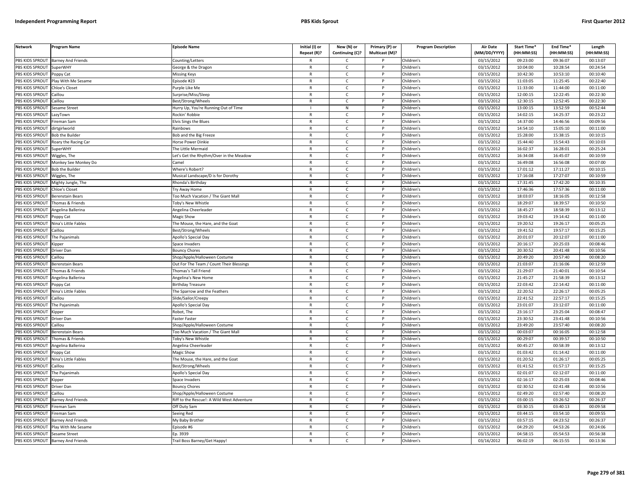| <b>Network</b>        | Program Name                       | <b>Episode Name</b>                        | Initial (I) or<br>Repeat (R)? | New (N) or<br>Continuing (C)? | Primary (P) or<br>Multicast (M)? | <b>Program Description</b> | Air Date<br>(MM/DD/YYYY) | Start Time*<br>(HH:MM:SS) | End Time*<br>(HH:MM:SS) | Length<br>(HH:MM:SS) |
|-----------------------|------------------------------------|--------------------------------------------|-------------------------------|-------------------------------|----------------------------------|----------------------------|--------------------------|---------------------------|-------------------------|----------------------|
|                       | PBS KIDS SPROUT Barney And Friends | Counting/Letters                           |                               | C                             |                                  | Children's                 | 03/15/2012               | 09:23:00                  | 09:36:07                | 00:13:07             |
| PBS KIDS SPROUT       | SuperWHY                           | George & the Dragon                        | $\mathsf{R}$                  | $\mathsf{C}$                  | P                                | Children's                 | 03/15/2012               | 10:04:00                  | 10:28:54                | 00:24:54             |
| PBS KIDS SPROUT       | Poppy Cat                          | Missing Keys                               | $\mathsf{R}$                  | $\mathsf{C}$                  | p                                | Children's                 | 03/15/2012               | 10:42:30                  | 10:53:10                | 00:10:40             |
| PBS KIDS SPROUT       | Play With Me Sesame                | Episode #23                                | $\mathsf{R}$                  | $\mathsf{C}$                  | D                                | Children's                 | 03/15/2012               | 11:03:05                  | 11:25:45                | 00:22:40             |
| PBS KIDS SPROUT       | Chloe's Closet                     | urple Like Me                              | R                             | $\mathsf{C}$                  |                                  | Children's                 | 03/15/2012               | 11:33:00                  | 11:44:00                | 00:11:00             |
| PBS KIDS SPROUT       | aillou                             | urprise/Miss/Sleep                         | $\mathsf{R}$                  | $\mathsf{C}$                  |                                  | Children's                 | 03/15/2012               | 12:00:15                  | 12:22:45                | 00:22:30             |
| <b>BS KIDS SPROUT</b> | aillou                             | Best/Strong/Wheels                         | R                             | C                             |                                  | Children's                 | 03/15/2012               | 12:30:15                  | 12:52:45                | 00:22:30             |
| PBS KIDS SPROUT       | esame Street                       | Hurry Up, You're Running Out of Time       |                               | ${\sf N}$                     | Þ                                | Children's                 | 03/15/2012               | 13:00:15                  | 13:52:59                | 00:52:44             |
| PBS KIDS SPROUT       | LazyTown                           | Rockin' Robbie                             | R                             | $\mathsf{C}$                  | P                                | Children's                 | 03/15/2012               | 14:02:15                  | 14:25:37                | 00:23:22             |
| PBS KIDS SPROUT       | ireman Sam                         | <b>Elvis Sings the Blues</b>               | $\mathsf{R}$                  | $\mathsf{C}$                  | P                                | Children's                 | 03/15/2012               | 14:37:00                  | 14:46:56                | 00:09:56             |
| PBS KIDS SPROUT       | dirtgirlworld                      | Rainbows                                   | $\mathsf{R}$                  | $\mathsf{C}$                  | P                                | Children's                 | 03/15/2012               | 14:54:10                  | 15:05:10                | 00:11:00             |
| PBS KIDS SPROUT       | <b>Bob the Builde</b>              | Bob and the Big Freeze                     | $\mathsf{R}$                  | $\mathsf{C}$                  | D                                | Children's                 | 03/15/2012               | 15:28:00                  | 15:38:15                | 00:10:15             |
| PBS KIDS SPROUT       | Roary the Racing Car               | Horse Power Dinkie                         | $\mathsf{R}$                  | $\mathsf{C}$                  | P                                | Children's                 | 03/15/2012               | 15:44:40                  | 15:54:43                | 00:10:03             |
| PBS KIDS SPROUT       | uperWHY                            | he Little Mermaid                          | $\mathsf{R}$                  | C                             |                                  | Children's                 | 03/15/2012               | 16:02:37                  | 16:28:01                | 00:25:24             |
| PBS KIDS SPROUT       | Wiggles, The                       | et's Get the Rhythm/Over in the Meadow     | $\mathsf{R}$                  | $\mathsf{C}$                  | P                                | Children's                 | 03/15/2012               | 16:34:08                  | 16:45:07                | 00:10:59             |
| PBS KIDS SPROUT       | Monkey See Monkey Do               | `amel                                      | R                             | $\mathsf{C}$                  | P                                | Children's                 | 03/15/2012               | 16:49:08                  | 16:56:08                | 00:07:00             |
| PBS KIDS SPROUT       | <b>Bob the Builder</b>             | Where's Robert?                            | $\mathsf{R}$                  | $\mathsf{C}$                  | P                                | Children's                 | 03/15/2012               | 17:01:12                  | 17:11:27                | 00:10:15             |
| PBS KIDS SPROUT       | Wiggles, The                       | Musical Landscape/D is for Dorothy         | $\mathsf{R}$                  | $\mathsf{C}$                  | P                                | Children's                 | 03/15/2012               | 17:16:08                  | 17:27:07                | 00:10:59             |
| PBS KIDS SPROUT       | Mighty Jungle, The                 | Rhonda's Birthday                          | $\mathsf{R}$                  | $\mathsf{C}$                  | P                                | Children's                 | 03/15/2012               | 17:31:45                  | 17:42:20                | 00:10:35             |
| PBS KIDS SPROUT       | <b>Chloe's Closet</b>              | <b>Try Away Home</b>                       | R                             | C                             | P                                | Children's                 | 03/15/2012               | 17:46:36                  | 17:57:36                | 00:11:00             |
| PBS KIDS SPROUT       | Berenstain Bears                   | oo Much Vacation / The Giant Mall          | $\mathsf{R}$                  | $\mathsf{C}$                  |                                  | Children's                 | 03/15/2012               | 18:03:07                  | 18:16:05                | 00:12:58             |
| <b>BS KIDS SPROUT</b> | Thomas & Friends                   | oby's New Whistle                          | R                             | $\mathsf{C}$                  |                                  | Children's                 | 03/15/2012               | 18:29:07                  | 18:39:57                | 00:10:50             |
| PBS KIDS SPROUT       | <b>Ingelina Ballerina</b>          | Angelina Cheerleader                       | $\mathsf{R}$                  | $\mathsf{C}$                  | Þ                                | Children's                 | 03/15/2012               | 18:45:27                  | 18:58:39                | 00:13:12             |
| PBS KIDS SPROUT       | Poppy Cat                          | Magic Show                                 | $\mathsf{R}$                  | $\mathsf{C}$                  | P                                | Children's                 | 03/15/2012               | 19:03:42                  | 19:14:42                | 00:11:00             |
| PBS KIDS SPROUT       | <b>Nina's Little Fables</b>        | he Mouse, the Hare, and the Goat           | $\mathsf{R}$                  | $\mathsf{C}$                  | D                                | Children's                 | 03/15/2012               | 19:20:52                  | 19:26:17                | 00:05:25             |
| PBS KIDS SPROUT       | Caillou                            | Best/Strong/Wheels                         | $\mathsf{R}$                  | $\mathsf{C}$                  | P                                | Children's                 | 03/15/2012               | 19:41:52                  | 19:57:17                | 00:15:25             |
| PBS KIDS SPROUT       | The Pajanimals                     | Apollo's Special Day                       | R                             | $\mathsf{C}$                  | D                                | Children's                 | 03/15/2012               | 20:01:07                  | 20:12:07                | 00:11:00             |
| PBS KIDS SPROUT       | Kipper                             | Space Invaders                             | R                             | $\mathsf{C}$                  | $\mathsf{P}$                     | Children's                 | 03/15/2012               | 20:16:17                  | 20:25:03                | 00:08:46             |
| PBS KIDS SPROUT       | Driver Dan                         | <b>Bouncy Chores</b>                       | $\mathsf{R}$                  | $\mathsf{C}$                  | P                                | Children's                 | 03/15/2012               | 20:30:52                  | 20:41:48                | 00:10:56             |
| PBS KIDS SPROUT       | Caillou                            | Shop/Apple/Halloween Costume               | $\mathsf{R}$                  | $\mathsf{C}$                  | P                                | Children's                 | 03/15/2012               | 20:49:20                  | 20:57:40                | 00:08:20             |
| PBS KIDS SPROUT       | Berenstain Bears                   | Out For The Team / Count Their Blessings   | $\mathsf{R}$                  | $\mathsf{C}$                  | D                                | Children's                 | 03/15/2012               | 21:03:07                  | 21:16:06                | 00:12:59             |
| PBS KIDS SPROUT       | homas & Friends                    | homas's Tall Friend                        | $\mathsf{R}$                  | $\mathsf{C}$                  | P                                | Children's                 | 03/15/2012               | 21:29:07                  | 21:40:01                | 00:10:54             |
| PBS KIDS SPROUT       | Angelina Ballerina                 | Angelina's New Home                        | $\mathsf{R}$                  | $\mathsf{C}$                  | P                                | Children's                 | 03/15/2012               | 21:45:27                  | 21:58:39                | 00:13:12             |
| PBS KIDS SPROUT       | oppy Cat                           | <b>Birthday Treasure</b>                   | $\mathsf{R}$                  | $\mathsf{C}$                  | P                                | Children's                 | 03/15/2012               | 22:03:42                  | 22:14:42                | 00:11:00             |
| PBS KIDS SPROUT       | Nina's Little Fables               | The Sparrow and the Feathers               | R                             | C                             | P                                | Children's                 | 03/15/2012               | 22:20:52                  | 22:26:17                | 00:05:25             |
| PBS KIDS SPROUT       | aillou                             | Slide/Sailor/Creepy                        | $\mathsf{R}$                  | $\mathsf{C}$                  | P                                | Children's                 | 03/15/2012               | 22:41:52                  | 22:57:17                | 00:15:25             |
| <b>BS KIDS SPROUT</b> | The Pajanimals                     | Apollo's Special Day                       | R                             | $\mathsf{C}$                  |                                  | Children's                 | 03/15/2012               | 23:01:07                  | 23:12:07                | 00:11:00             |
| PBS KIDS SPROUT       | (ipper                             | Robot, The                                 | $\mathsf{R}$                  | $\mathsf{C}$                  | Þ                                | Children's                 | 03/15/2012               | 23:16:17                  | 23:25:04                | 00:08:47             |
| PBS KIDS SPROUT       | Driver Dan                         | aster Faster                               | R                             | $\mathsf{C}$                  | P                                | Children's                 | 03/15/2012               | 23:30:52                  | 23:41:48                | 00:10:56             |
| PBS KIDS SPROUT       | aillou                             | hop/Apple/Halloween Costume                | $\mathsf{R}$                  | $\mathsf{C}$                  |                                  | Children's                 | 03/15/2012               | 23:49:20                  | 23:57:40                | 00:08:20             |
| PBS KIDS SPROUT       | Berenstain Bears                   | Too Much Vacation / The Giant Mall         | $\mathsf{R}$                  | $\mathsf{C}$                  | P                                | Children's                 | 03/15/2012               | 00:03:07                  | 00:16:05                | 00:12:58             |
| PBS KIDS SPROUT       | homas & Friends                    | <b>Toby's New Whistle</b>                  | R                             | $\mathsf{C}$                  | D                                | Children's                 | 03/15/2012               | 00:29:07                  | 00:39:57                | 00:10:50             |
| PBS KIDS SPROUT       | Angelina Ballerina                 | Angelina Cheerleader                       | R                             | $\mathsf{C}$                  | $\mathsf{P}$                     | Children's                 | 03/15/2012               | 00:45:27                  | 00:58:39                | 00:13:12             |
| PBS KIDS SPROUT       | oppy Cat                           | Magic Show                                 | $\mathsf{R}$                  | $\mathsf{C}$                  | P                                | Children's                 | 03/15/2012               | 01:03:42                  | 01:14:42                | 00:11:00             |
| PBS KIDS SPROUT       | Nina's Little Fables               | The Mouse, the Hare, and the Goat          | $\mathsf{R}$                  | $\mathsf{C}$                  | P                                | Children's                 | 03/15/2012               | 01:20:52                  | 01:26:17                | 00:05:25             |
| PBS KIDS SPROUT       | aillou                             | Best/Strong/Wheels                         | $\mathsf{R}$                  | $\mathsf{C}$                  |                                  | Children's                 | 03/15/2012               | 01:41:52                  | 01:57:17                | 00:15:25             |
| PBS KIDS SPROUT       | The Pajanimals                     | Apollo's Special Day                       | $\mathsf{R}$                  | $\mathsf{C}$                  | P                                | Children's                 | 03/15/2012               | 02:01:07                  | 02:12:07                | 00:11:00             |
| PBS KIDS SPROUT       | Kipper                             | Space Invaders                             | $\mathsf{R}$                  | $\mathsf{C}$                  | P                                | Children's                 | 03/15/2012               | 02:16:17                  | 02:25:03                | 00:08:46             |
| PBS KIDS SPROUT       | Driver Dan                         | <b>Bouncy Chores</b>                       | $\mathsf{R}$                  | $\mathsf{C}$                  | P                                | Children's                 | 03/15/2012               | 02:30:52                  | 02:41:48                | 00:10:56             |
| PBS KIDS SPROUT       | Caillou                            | Shop/Apple/Halloween Costume               | R                             | $\mathsf{C}$                  | P                                | Children's                 | 03/15/2012               | 02:49:20                  | 02:57:40                | 00:08:20             |
| PBS KIDS SPROUT       | <b>Barney And Friends</b>          | Riff to the Rescue!: A Wild West Adventure | $\mathsf{R}$                  | $\mathsf{C}$                  | P                                | Children's                 | 03/15/2012               | 03:00:15                  | 03:26:52                | 00:26:37             |
| PBS KIDS SPROUT       | Fireman Sam                        | Off Duty Sam                               | R                             | $\mathsf{C}$                  |                                  | Children's                 | 03/15/2012               | 03:30:15                  | 03:40:13                | 00:09:58             |
| PBS KIDS SPROUT       | ireman Sam                         | Seeing Red                                 | $\mathsf{R}$                  | $\mathsf{C}$                  | Þ                                | Children's                 | 03/15/2012               | 03:44:15                  | 03:54:10                | 00:09:55             |
| PBS KIDS SPROUT       | <b>Barney And Friends</b>          | My Baby Brother                            | R                             | $\mathsf{C}$                  |                                  | Children's                 | 03/15/2012               | 03:57:15                  | 04:23:52                | 00:26:37             |
| PBS KIDS SPROUT       | lay With Me Sesame                 | pisode #6                                  | $\mathsf{R}$                  | $\mathsf{C}$                  |                                  | Children's                 | 03/15/2012               | 04:29:20                  | 04:53:26                | 00:24:06             |
| PBS KIDS SPROUT       | Sesame Street                      | Ep. 3939                                   | $\mathsf{R}$                  | $\mathsf{C}$                  | P                                | Children's                 | 03/15/2012               | 04:58:15                  | 05:54:53                | 00:56:38             |
|                       | PBS KIDS SPROUT Barney And Friends | Trail Boss Barney/Get Happy!               | R                             | Ċ                             | p                                | Children's                 | 03/16/2012               | 06:02:19                  | 06:15:55                | 00:13:36             |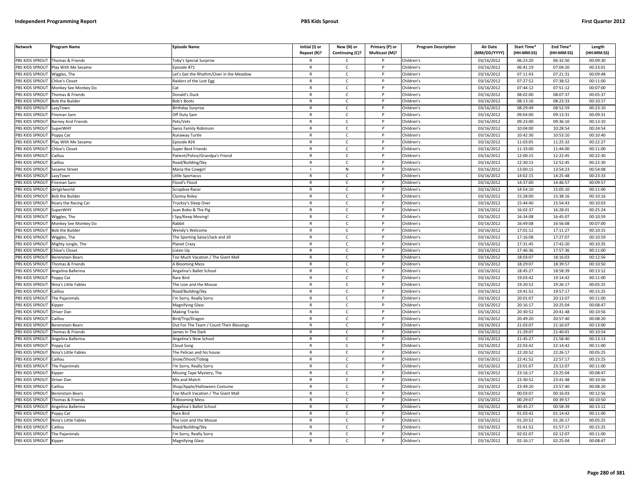| <b>Network</b>                     | Program Name           | <b>Episode Name</b>                      | Initial (I) or<br>Repeat (R)? | New (N) or<br>Continuing (C)? | Primary (P) or<br>Multicast (M)? | <b>Program Description</b> | <b>Air Date</b><br>(MM/DD/YYYY) | Start Time*<br>(HH:MM:SS) | End Time*<br>(HH:MM:SS) | Length<br>(HH:MM:SS) |
|------------------------------------|------------------------|------------------------------------------|-------------------------------|-------------------------------|----------------------------------|----------------------------|---------------------------------|---------------------------|-------------------------|----------------------|
| PBS KIDS SPROUT                    | Thomas & Friends       | <b>Toby's Special Surprise</b>           |                               | $\mathsf{C}$                  |                                  | Children's                 | 03/16/2012                      | 06:23:20                  | 06:32:50                | 00:09:30             |
| PBS KIDS SPROUT                    | Play With Me Sesame    | Episode #71                              | $\mathsf{R}$                  | $\mathsf{C}$                  | P                                | Children's                 | 03/16/2012                      | 06:41:19                  | 07:04:20                | 00:23:01             |
| PBS KIDS SPROUT                    | Wiggles, The           | Let's Get the Rhythm/Over in the Meadow  | $\mathsf{R}$                  | $\mathsf{C}$                  |                                  | Children's                 | 03/16/2012                      | 07:11:43                  | 07:21:31                | 00:09:48             |
| PBS KIDS SPROUT                    | Chloe's Closet         | Raiders of the Lost Egg                  | $\mathsf{R}$                  | $\mathsf{C}$                  | D                                | Children's                 | 03/16/2012                      | 07:27:52                  | 07:38:52                | 00:11:00             |
| PBS KIDS SPROUT                    | Monkey See Monkey Do   | Cat                                      | $\mathsf{R}$                  | c                             |                                  | Children's                 | 03/16/2012                      | 07:44:12                  | 07:51:12                | 00:07:00             |
| PBS KIDS SPROUT                    | Thomas & Friends       | Donald's Duck                            | $\mathsf{R}$                  | $\mathsf{C}$                  | P                                | Children's                 | 03/16/2012                      | 08:02:00                  | 08:07:37                | 00:05:37             |
| PBS KIDS SPROUT                    | <b>Bob the Builder</b> | <b>Bob's Boots</b>                       | $\mathsf{R}$                  | C                             | P                                | Children's                 | 03/16/2012                      | 08:13:16                  | 08:23:33                | 00:10:17             |
| PBS KIDS SPROUT                    | azyTown                | <b>Birthday Surprise</b>                 | ${\sf R}$                     | $\mathsf{C}$                  | <b>D</b>                         | Children's                 | 03/16/2012                      | 08:29:49                  | 08:52:59                | 00:23:10             |
| PBS KIDS SPROUT                    | Fireman Sam            | Off Duty Sam                             | ${\sf R}$                     | $\mathsf{C}$                  | P                                | Children's                 | 03/16/2012                      | 09:04:00                  | 09:13:31                | 00:09:31             |
| PBS KIDS SPROUT                    | Barney And Friends     | Pets/Vets                                | $\mathsf{R}$                  | $\mathsf{C}$                  |                                  | Children's                 | 03/16/2012                      | 09:23:00                  | 09:36:10                | 00:13:10             |
| PBS KIDS SPROUT                    | SuperWHY               | Swiss Family Robinson                    | $\mathsf{R}$                  | C                             | P                                | Children's                 | 03/16/2012                      | 10:04:00                  | 10:28:54                | 00:24:54             |
| PBS KIDS SPROUT                    | Poppy Cat              | Runaway Turtle                           | $\mathsf{R}$                  | $\mathsf{C}$                  | P                                | Children's                 | 03/16/2012                      | 10:42:30                  | 10:53:10                | 00:10:40             |
| PBS KIDS SPROUT                    | Play With Me Sesame    | Episode #24                              | $\mathsf{R}$                  | $\mathsf{C}$                  | $\mathsf{P}$                     | Children's                 | 03/16/2012                      | 11:03:05                  | 11:25:32                | 00:22:27             |
| PBS KIDS SPROUT                    | <b>Chloe's Closet</b>  | Super Best Friends                       | $\mathsf{R}$                  | $\mathsf{C}$                  |                                  | Children's                 | 03/16/2012                      | 11:33:00                  | 11:44:00                | 00:11:00             |
| PBS KIDS SPROUT                    | Caillou                | Patient/Police/Grandpa's Friend          | $\mathsf{R}$                  | $\mathsf{C}$                  | P                                | Children's                 | 03/16/2012                      | 12:00:15                  | 12:22:45                | 00:22:30             |
| PBS KIDS SPROUT                    | Caillou                | Road/Building/Sky                        | $\mathsf{R}$                  | $\mathsf{C}$                  |                                  | Children's                 | 03/16/2012                      | 12:30:15                  | 12:52:45                | 00:22:30             |
| PBS KIDS SPROUT                    | Sesame Street          | Maria the Cowgirl                        |                               | N                             | P                                | Children's                 | 03/16/2012                      | 13:00:15                  | 13:54:23                | 00:54:08             |
| PBS KIDS SPROUT                    | LazyTown               | Little Sportacus                         | $\mathsf{R}$                  | $\mathsf{C}$                  |                                  | Children's                 | 03/16/2012                      | 14:02:15                  | 14:25:48                | 00:23:33             |
| PBS KIDS SPROUT                    | Fireman Sam            | Flood's Flood                            | $\mathsf{R}$                  | $\mathsf{C}$                  | P                                | Children's                 | 03/16/2012                      | 14:37:00                  | 14:46:57                | 00:09:57             |
| PBS KIDS SPROUT                    | dirtgirlworld          | Scrapbox Racer                           | $\mathsf{R}$                  | $\mathsf{C}$                  | P                                | Children's                 | 03/16/2012                      | 14:54:10                  | 15:05:10                | 00:11:00             |
| PBS KIDS SPROUT                    | <b>Bob the Builder</b> | Clumsy Roley                             | $\mathsf{R}$                  | $\mathsf{C}$                  | P                                | Children's                 | 03/16/2012                      | 15:28:00                  | 15:38:16                | 00:10:16             |
| PBS KIDS SPROUT                    | Roary the Racing Car   | <b>Trucksy's Sleep Over</b>              | $\mathsf{R}$                  | $\mathsf{C}$                  |                                  | Children's                 | 03/16/2012                      | 15:44:40                  | 15:54:43                | 00:10:03             |
| PBS KIDS SPROUT                    | SuperWHY               | uan Bobo & The Pig                       | $\mathsf{R}$                  | $\mathsf{C}$                  | D                                | Children's                 | 03/16/2012                      | 16:02:37                  | 16:28:01                | 00:25:24             |
| PBS KIDS SPROUT                    | Wiggles, The           | Spy/Keep Moving!                         | $\mathsf{R}$                  | $\mathsf{C}$                  | P                                | Children's                 | 03/16/2012                      | 16:34:08                  | 16:45:07                | 00:10:59             |
| PBS KIDS SPROUT                    | Monkey See Monkey Do   | Rabbit                                   | $\mathsf{R}$                  | $\mathsf{C}$                  |                                  | Children's                 | 03/16/2012                      | 16:49:08                  | 16:56:08                | 00:07:00             |
| PBS KIDS SPROUT                    | <b>Bob the Builder</b> | Wendy's Welcome                          | $\mathsf{R}$                  | $\mathsf{C}$                  | P                                | Children's                 | 03/16/2012                      | 17:01:12                  | 17:11:27                | 00:10:15             |
| PBS KIDS SPROUT                    | Wiggles, The           | The Sporting Salsa!/Jack and Jill        | $\mathsf{R}$                  | $\mathsf{C}$                  |                                  | Children's                 | 03/16/2012                      | 17:16:08                  | 17:27:07                | 00:10:59             |
| PBS KIDS SPROUT                    | Mighty Jungle, The     | Planet Crazy                             | $\mathsf{R}$                  | $\mathsf{C}$                  | P                                | Children's                 | 03/16/2012                      | 17:31:45                  | 17:42:20                | 00:10:35             |
| PBS KIDS SPROUT                    | Chloe's Closet         | Listen Up                                | R                             | $\mathsf{C}$                  |                                  | Children's                 | 03/16/2012                      | 17:46:36                  | 17:57:36                | 00:11:00             |
| PBS KIDS SPROUT                    | Berenstain Bears       | Too Much Vacation / The Giant Mall       | $\mathsf{R}$                  | C                             | P                                | Children's                 | 03/16/2012                      | 18:03:07                  | 18:16:03                | 00:12:56             |
| PBS KIDS SPROUT                    | Thomas & Friends       | A Blooming Mess                          | $\mathsf{R}$                  | $\mathsf{C}$                  | P                                | Children's                 | 03/16/2012                      | 18:29:07                  | 18:39:57                | 00:10:50             |
| PBS KIDS SPROUT                    | Angelina Ballerina     | Angelina's Ballet School                 | $\mathsf{R}$                  | $\mathsf{C}$                  | $\mathsf{P}$                     | Children's                 | 03/16/2012                      | 18:45:27                  | 18:58:39                | 00:13:12             |
| PBS KIDS SPROUT                    | Poppy Cat              | Rare Bird                                | $\mathsf{R}$                  | $\mathsf{C}$                  | P                                | Children's                 | 03/16/2012                      | 19:03:42                  | 19:14:42                | 00:11:00             |
| PBS KIDS SPROUT                    | Nina's Little Fables   | The Lion and the Mouse                   | $\mathsf{R}$<br>$\mathsf{R}$  | $\mathsf{C}$<br>$\mathsf{C}$  | P<br>P                           | Children's                 | 03/16/2012                      | 19:20:52                  | 19:26:17                | 00:05:25             |
| PBS KIDS SPROUT                    | Caillou                | Road/Building/Sky                        | $\mathsf{R}$                  |                               | P                                | Children's                 | 03/16/2012                      | 19:41:52                  | 19:57:17                | 00:15:25             |
| PBS KIDS SPROUT<br>PBS KIDS SPROUT | The Pajanimals         | 'm Sorry, Really Sorry                   | $\mathsf{R}$                  | $\mathsf{C}$<br>C             |                                  | Children's<br>Children's   | 03/16/2012                      | 20:01:07<br>20:16:17      | 20:12:07<br>20:25:04    | 00:11:00<br>00:08:47 |
| PBS KIDS SPROUT                    | <b>Kipper</b>          | Magnifying Glass                         | $\mathsf{R}$                  | $\mathsf{C}$                  | <b>D</b>                         |                            | 03/16/2012<br>03/16/2012        | 20:30:52                  | 20:41:48                |                      |
| PBS KIDS SPROUT                    | Driver Dan<br>Caillou  | <b>Making Tracks</b><br>Bird/Trip/Dragon | $\mathsf{R}$                  | $\mathsf{C}$                  | P                                | Children's<br>Children's   | 03/16/2012                      | 20:49:20                  | 20:57:40                | 00:10:56<br>00:08:20 |
| PBS KIDS SPROUT                    | Berenstain Bears       | Out For The Team / Count Their Blessings | $\mathsf{R}$                  | $\mathsf{C}$                  | <b>D</b>                         | Children's                 | 03/16/2012                      | 21:03:07                  | 21:16:07                | 00:13:00             |
| PBS KIDS SPROUT                    | Thomas & Friends       | James In The Dark                        | $\mathsf{R}$                  | $\mathsf{C}$                  | P                                | Children's                 | 03/16/2012                      | 21:29:07                  | 21:40:01                | 00:10:54             |
| PBS KIDS SPROUT                    | Angelina Ballerina     | Angelina's New School                    | $\mathsf{R}$                  | $\mathsf{C}$                  |                                  | Children's                 | 03/16/2012                      | 21:45:27                  | 21:58:40                | 00:13:13             |
| PBS KIDS SPROUT                    | Poppy Cat              | Cloud Song                               | $\mathsf{R}$                  | $\mathsf{C}$                  | P                                | Children's                 | 03/16/2012                      | 22:03:42                  | 22:14:42                | 00:11:00             |
| PBS KIDS SPROUT                    | Nina's Little Fables   | The Pelican and his house                | $\mathsf{R}$                  | $\mathsf{C}$                  |                                  | Children's                 | 03/16/2012                      | 22:20:52                  | 22:26:17                | 00:05:25             |
| PBS KIDS SPROUT                    | Caillou                | Snow/Shoot/Tobog                         | $\mathsf{R}$                  | C                             | P                                | Children's                 | 03/16/2012                      | 22:41:52                  | 22:57:17                | 00:15:25             |
| PBS KIDS SPROUT                    | The Pajanimals         | 'm Sorry, Really Sorry                   | $\mathsf{R}$                  | $\mathsf{C}$                  | P                                | Children's                 | 03/16/2012                      | 23:01:07                  | 23:12:07                | 00:11:00             |
| PBS KIDS SPROUT                    | <b>Kipper</b>          | Missing Tape Mystery, The                | $\mathsf{R}$                  | $\mathsf{C}$                  | $\mathsf{P}$                     | Children's                 | 03/16/2012                      | 23:16:17                  | 23:25:04                | 00:08:47             |
| PBS KIDS SPROUT                    | Driver Dan             | Mix and Match                            | $\mathsf{R}$                  | $\mathsf{C}$                  | P                                | Children's                 | 03/16/2012                      | 23:30:52                  | 23:41:48                | 00:10:56             |
| PBS KIDS SPROUT                    | Caillou                | Shop/Apple/Halloween Costume             | $\mathsf{R}$                  | C                             | P                                | Children's                 | 03/16/2012                      | 23:49:20                  | 23:57:40                | 00:08:20             |
| PBS KIDS SPROUT                    | Berenstain Bears       | Too Much Vacation / The Giant Mall       | $\mathsf{R}$                  | $\mathsf{C}$                  | P                                | Children's                 | 03/16/2012                      | 00:03:07                  | 00:16:03                | 00:12:56             |
| PBS KIDS SPROUT                    | Thomas & Friends       | A Blooming Mess                          | $\mathsf{R}$                  | $\mathsf{C}$                  | P                                | Children's                 | 03/16/2012                      | 00:29:07                  | 00:39:57                | 00:10:50             |
| PBS KIDS SPROUT                    | Angelina Ballerina     | Angelina's Ballet School                 | $\mathsf{R}$                  | $\mathsf{C}$                  |                                  | Children's                 | 03/16/2012                      | 00:45:27                  | 00:58:39                | 00:13:12             |
| PBS KIDS SPROUT                    | Poppy Cat              | Rare Bird                                | $\mathsf{R}$                  | $\mathsf{C}$                  | D                                | Children's                 | 03/16/2012                      | 01:03:42                  | 01:14:42                | 00:11:00             |
| PBS KIDS SPROUT                    | Nina's Little Fables   | The Lion and the Mouse                   | R                             | $\mathsf{C}$                  | P                                | Children's                 | 03/16/2012                      | 01:20:52                  | 01:26:17                | 00:05:25             |
| PBS KIDS SPROUT                    | `aillou                | Road/Building/Sky                        | $\mathsf{R}$                  | $\mathsf{C}$                  |                                  | Children's                 | 03/16/2012                      | 01:41:52                  | 01:57:17                | 00:15:25             |
| PBS KIDS SPROUT                    | The Pajanimals         | 'm Sorry, Really Sorry                   | $\mathsf{R}$                  | C                             | P                                | Children's                 | 03/16/2012                      | 02:01:07                  | 02:12:07                | 00:11:00             |
| PBS KIDS SPROUT                    | Kipper                 | <b>Magnifying Glass</b>                  | $\mathsf{R}$                  | $\mathsf{C}$                  | D                                | Children's                 | 03/16/2012                      | 02:16:17                  | 02:25:04                | 00:08:47             |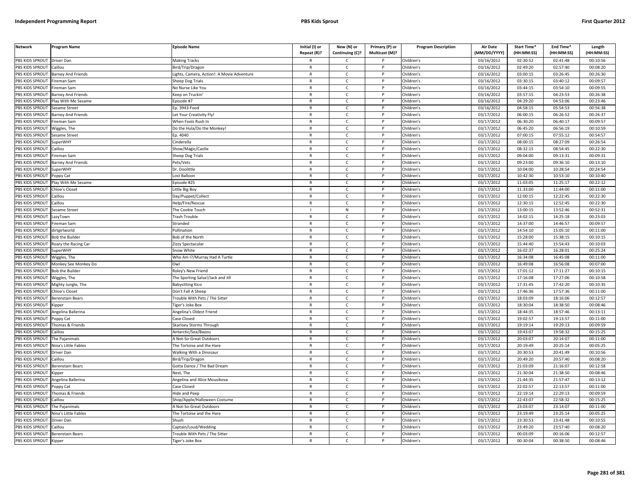| <b>Network</b>             | Program Name              | <b>Episode Name</b>                       | Initial (I) or<br>Repeat (R)? | New (N) or<br>Continuing (C)? | Primary (P) or<br>Multicast (M)? | <b>Program Description</b> | Air Date<br>(MM/DD/YYYY) | Start Time*<br>(HH:MM:SS) | End Time*<br>(HH:MM:SS) | Length<br>(HH:MM:SS) |
|----------------------------|---------------------------|-------------------------------------------|-------------------------------|-------------------------------|----------------------------------|----------------------------|--------------------------|---------------------------|-------------------------|----------------------|
| PBS KIDS SPROUT Driver Dan |                           | <b>Making Tracks</b>                      | R                             | C                             |                                  | Children's                 | 03/16/2012               | 02:30:52                  | 02:41:48                | 00:10:56             |
| PBS KIDS SPROUT            | Caillou                   | Bird/Trip/Dragon                          | $\mathsf{R}$                  | $\mathsf{C}$                  | P                                | Children's                 | 03/16/2012               | 02:49:20                  | 02:57:40                | 00:08:20             |
| PBS KIDS SPROUT            | <b>Barney And Friends</b> | ights, Camera, Action!: A Movie Adventure | $\mathsf{R}$                  | $\mathsf{C}$                  | P                                | Children's                 | 03/16/2012               | 03:00:15                  | 03:26:45                | 00:26:30             |
| PBS KIDS SPROUT            | ireman Sam                | Sheep Dog Trials                          | $\mathsf{R}$                  | $\mathsf{C}$                  | D                                | Children's                 | 03/16/2012               | 03:30:15                  | 03:40:12                | 00:09:57             |
| PBS KIDS SPROUT            | Fireman Sam               | No Nurse Like You                         | R                             | $\mathsf{C}$                  |                                  | Children's                 | 03/16/2012               | 03:44:15                  | 03:54:10                | 00:09:55             |
| PBS KIDS SPROUT            | <b>Barney And Friends</b> | <b>Ceep on Truckin</b>                    | $\mathsf{R}$                  | $\mathsf{C}$                  |                                  | Children's                 | 03/16/2012               | 03:57:15                  | 04:23:53                | 00:26:38             |
| <b>BS KIDS SPROUT</b>      | Play With Me Sesame       | pisode #7                                 | R                             | $\mathsf{C}$                  |                                  | Children's                 | 03/16/2012               | 04:29:20                  | 04:53:06                | 00:23:46             |
| PBS KIDS SPROUT            | esame Street              | p. 3943-Food                              | $\mathsf{R}$                  | $\mathsf{C}$                  | D                                | Children's                 | 03/16/2012               | 04:58:15                  | 05:54:53                | 00:56:38             |
| PBS KIDS SPROUT            | <b>Barney And Friends</b> | Let Your Creativity Fly!                  | $\mathsf{R}$                  | $\mathsf{C}$                  | P                                | Children's                 | 03/17/2012               | 06:00:15                  | 06:26:52                | 00:26:37             |
| PBS KIDS SPROUT            | ireman Sam                | When Fools Rush In                        | $\mathsf{R}$                  | $\mathsf{C}$                  | D                                | Children's                 | 03/17/2012               | 06:30:20                  | 06:40:17                | 00:09:57             |
| PBS KIDS SPROUT            | Wiggles, The              | Do the Hula/Do the Monkey!                | $\mathsf{R}$                  | $\mathsf{C}$                  | P                                | Children's                 | 03/17/2012               | 06:45:20                  | 06:56:19                | 00:10:59             |
| PBS KIDS SPROUT            | Sesame Street             | Ep. 4040                                  | $\mathsf{R}$                  | $\mathsf{C}$                  | P                                | Children's                 | $\sqrt{03}/17/2012$      | 07:00:15                  | 07:55:12                | 00:54:57             |
| PBS KIDS SPROUT            | SuperWHY                  | Cinderella                                | $\mathsf{R}$                  | $\mathsf{C}$                  | $\mathsf{P}$                     | Children's                 | 03/17/2012               | 08:00:15                  | 08:27:09                | 00:26:54             |
| PBS KIDS SPROUT            | aillou                    | how/Magic/Castle                          | $\mathsf{R}$                  | $\mathsf{C}$                  | P                                | Children's                 | 03/17/2012               | 08:32:15                  | 08:54:45                | 00:22:30             |
| PBS KIDS SPROUT            | ireman Sam                | Sheep Dog Trials                          | $\mathsf{R}$                  | $\mathsf{C}$                  | P                                | Children's                 | 03/17/2012               | 09:04:00                  | 09:13:31                | 00:09:31             |
| PBS KIDS SPROUT            | <b>Barney And Friends</b> | Pets/Vets                                 | $\mathsf{R}$                  | $\mathsf{C}$                  | D                                | Children's                 | 03/17/2012               | 09:23:00                  | 09:36:10                | 00:13:10             |
| PBS KIDS SPROUT            | SuperWHY                  | Dr. Doolittle                             | $\mathsf{R}$                  | $\mathsf{C}$                  | P                                | Children's                 | 03/17/2012               | 10:04:00                  | 10:28:54                | 00:24:54             |
| PBS KIDS SPROUT            | Poppy Cat                 | Lost Balloon                              | $\mathsf{R}$                  | $\mathsf{C}$                  | P                                | Children's                 | 03/17/2012               | 10:42:30                  | 10:53:10                | 00:10:40             |
| PBS KIDS SPROUT            | Play With Me Sesame       | Episode #25                               | $\mathsf{R}$                  | $\mathsf{C}$                  | P                                | Children's                 | 03/17/2012               | 11:03:05                  | 11:25:17                | 00:22:12             |
| PBS KIDS SPROUT            | <b>Chloe's Closet</b>     | ittle Big Boy                             | R                             | $\mathsf{C}$                  | P                                | Children's                 | 03/17/2012               | 11:33:00                  | 11:44:00                | 00:11:00             |
| PBS KIDS SPROUT            | aillou                    | Jay/Puppet/Collect                        | $\mathsf{R}$                  | $\mathsf{C}$                  | P                                | Children's                 | $\sqrt{03}/17/2012$      | 12:00:15                  | 12:22:45                | 00:22:30             |
| PBS KIDS SPROUT            | Caillou                   | lelp/Fire/Rescue                          | $\mathsf{R}$                  | $\mathsf{C}$                  |                                  | Children's                 | 03/17/2012               | 12:30:15                  | 12:52:45                | 00:22:30             |
| PBS KIDS SPROUT            | esame Street              | The Cookie Touch                          |                               | ${\sf N}$                     | Þ                                | Children's                 | 03/17/2012               | 13:00:15                  | 13:52:46                | 00:52:31             |
| PBS KIDS SPROUT            | azyTown.                  | Frash Trouble                             | $\mathsf{R}$                  | c                             |                                  | Children's                 | 03/17/2012               | 14:02:15                  | 14:25:18                | 00:23:03             |
| PBS KIDS SPROUT            | ireman Sam                | Stranded                                  | $\mathsf{R}$                  | $\mathsf{C}$                  |                                  | Children's                 | 03/17/2012               | 14:37:00                  | 14:46:57                | 00:09:57             |
| PBS KIDS SPROUT            | dirtgirlworld             | Pollination                               | $\mathsf{R}$                  | $\mathsf{C}$                  | P                                | Children's                 | 03/17/2012               | 14:54:10                  | 15:05:10                | 00:11:00             |
| PBS KIDS SPROUT            | <b>Bob the Builder</b>    | Bob of the North                          | $\mathsf{R}$                  | $\mathsf{C}$                  | P                                | Children's                 | 03/17/2012               | 15:28:00                  | 15:38:15                | 00:10:15             |
| PBS KIDS SPROUT            | Roary the Racing Car      | Zizzy Spectacular                         | $\mathsf{R}$                  | $\mathsf{C}$                  | P                                | Children's                 | 03/17/2012               | 15:44:40                  | 15:54:43                | 00:10:03             |
| PBS KIDS SPROUT            | SuperWHY                  | Snow White                                | ${\sf R}$                     | $\mathsf{C}$                  | P                                | Children's                 | 03/17/2012               | 16:02:37                  | 16:28:01                | 00:25:24             |
| PBS KIDS SPROUT            | Wiggles, The              | Who Am I?/Murray Had A Turtle             | $\mathsf{R}$                  | $\mathsf{C}$                  | $\mathsf{P}$                     | Children's                 | 03/17/2012               | 16:34:08                  | 16:45:08                | 00:11:00             |
| PBS KIDS SPROUT            | Monkey See Monkey Do      | Owl                                       | $\mathsf{R}$                  | $\mathsf{C}$                  | P                                | Children's                 | $\sqrt{03}/17/2012$      | 16:49:08                  | 16:56:08                | 00:07:00             |
| PBS KIDS SPROUT            | <b>Bob the Builder</b>    | Roley's New Friend                        | R                             | $\mathsf{C}$                  | P                                | Children's                 | 03/17/2012               | 17:01:12                  | 17:11:27                | 00:10:15             |
| PBS KIDS SPROUT            | Wiggles, The              | he Sporting Salsa!/Jack and Jill          | $\mathsf{R}$                  | $\mathsf{C}$                  | P                                | Children's                 | 03/17/2012               | 17:16:08                  | 17:27:06                | 00:10:58             |
| PBS KIDS SPROUT            | Mighty Jungle, The        | <b>Babysitting Kico</b>                   | $\mathsf{R}$                  | $\mathsf{C}$                  | P                                | Children's                 | 03/17/2012               | 17:31:45                  | 17:42:20                | 00:10:35             |
| PBS KIDS SPROUT            | Chloe's Closet            | Don't Fall A Sheep                        | $\mathsf{R}$                  | $\mathsf{C}$                  | D                                | Children's                 | 03/17/2012               | 17:46:36                  | 17:57:36                | 00:11:00             |
| PBS KIDS SPROUT            | <b>Berenstain Bears</b>   | Frouble With Pets / The Sitter            | $\mathsf{R}$                  | $\mathsf{C}$                  | P                                | Children's                 | 03/17/2012               | 18:03:09                  | 18:16:06                | 00:12:57             |
| PBS KIDS SPROUT            | Kipper                    | iger's Joke Box                           | R                             | C                             |                                  | Children's                 | 03/17/2012               | 18:30:04                  | 18:38:50                | 00:08:46             |
| PBS KIDS SPROUT            | Angelina Ballerina        | Angelina's Oldest Friend                  | $\mathsf{R}$                  | $\mathsf{C}$                  | P                                | Children's                 | 03/17/2012               | 18:44:35                  | 18:57:46                | 00:13:11             |
| PBS KIDS SPROUT            | Poppy Cat                 | Case Closed                               | R                             | C                             |                                  | Children's                 | 03/17/2012               | 19:02:57                  | 19:13:57                | 00:11:00             |
| PBS KIDS SPROUT            | Thomas & Friends          | Skarloey Storms Through                   | $\mathsf{R}$                  | $\mathsf{C}$                  | P                                | Children's                 | 03/17/2012               | 19:19:14                  | 19:29:13                | 00:09:59             |
| <b>BS KIDS SPROUT</b>      | aillou                    | Antarctic/Sea/Bayou                       | $\mathsf{R}$                  | $\mathsf{C}$                  | P                                | Children's                 | 03/17/2012               | 19:43:07                  | 19:58:32                | 00:15:25             |
| PBS KIDS SPROUT            | The Pajanimals            | A Not-So-Great Outdoors                   | $\mathsf{R}$                  | $\mathsf{C}$                  | Þ                                | Children's                 | 03/17/2012               | 20:03:07                  | 20:14:07                | 00:11:00             |
| PBS KIDS SPROUT            | Nina's Little Fables      | The Tortoise and the Hare                 | R                             | $\mathsf{C}$                  | P                                | Children's                 | 03/17/2012               | 20:19:49                  | 20:25:14                | 00:05:25             |
| PBS KIDS SPROUT            | Driver Dan                | Walking With a Dinosaur                   | $\mathsf{R}$                  | $\mathsf{C}$                  | P                                | Children's                 | 03/17/2012               | 20:30:53                  | 20:41:49                | 00:10:56             |
| PBS KIDS SPROUT            | Caillou                   | Bird/Trip/Dragon                          | $\mathsf{R}$                  | $\mathsf{C}$                  | P                                | Children's                 | 03/17/2012               | 20:49:20                  | 20:57:40                | 00:08:20             |
| PBS KIDS SPROUT            | Berenstain Bears          | <b>Gotta Dance / The Bad Dream</b>        | $\mathsf{R}$                  | $\mathsf{C}$                  | P                                | Children's                 | 03/17/2012               | 21:03:09                  | 21:16:07                | 00:12:58             |
| PBS KIDS SPROUT            | Kipper                    | Nest, The                                 | R                             | $\mathsf{C}$                  | P                                | Children's                 | 03/17/2012               | 21:30:04                  | 21:38:50                | 00:08:46             |
| PBS KIDS SPROUT            | ngelina Ballerina         | ngelina and Alice Mousikova               | $\mathsf{R}$                  | $\mathsf{C}$                  | P                                | Children's                 | 03/17/2012               | 21:44:35                  | 21:57:47                | 00:13:12             |
| PBS KIDS SPROUT            | oppy Cat                  | Case Closed                               | R                             | $\mathsf{C}$                  | P                                | Children's                 | 03/17/2012               | 22:02:57                  | 22:13:57                | 00:11:00             |
| PBS KIDS SPROUT            | homas & Friends           | <b>Hide and Peep</b>                      | $\mathsf{R}$                  | $\mathsf{C}$                  |                                  | Children's                 | 03/17/2012               | 22:19:14                  | 22:29:13                | 00:09:59             |
| PBS KIDS SPROUT            | Caillou                   | Shop/Apple/Halloween Costume              | R                             | $\mathsf{C}$                  | P                                | Children's                 | 03/17/2012               | 22:43:07                  | 22:58:32                | 00:15:25             |
| PBS KIDS SPROUT            | The Pajanimals            | Mot-So-Great Outdoors                     | $\mathsf{R}$                  | $\mathsf{C}$                  | P                                | Children's                 | 03/17/2012               | 23:03:07                  | 23:14:07                | 00:11:00             |
| PBS KIDS SPROUT            | Nina's Little Fables      | The Tortoise and the Hare                 | $\mathsf{R}$                  | $\mathsf{C}$                  | P                                | Children's                 | 03/17/2012               | 23:19:49                  | 23:25:14                | 00:05:25             |
| PBS KIDS SPROUT            | <b>Driver Dan</b>         | Shush                                     | R                             | Ċ                             |                                  | Children's                 | 03/17/2012               | 23:30:53                  | 23:41:48                | 00:10:55             |
| PBS KIDS SPROUT            | Caillou                   | Captain/Loud/Wedding                      | $\mathsf{R}$                  | $\mathsf{C}$                  | P                                | Children's                 | 03/17/2012               | 23:49:20                  | 23:57:40                | 00:08:20             |
| PBS KIDS SPROUT            | <b>Berenstain Bears</b>   | rouble With Pets / The Sitter             | R                             | C                             |                                  | Children's                 | 03/17/2012               | 00:03:09                  | 00:16:06                | 00:12:57             |
| PBS KIDS SPROUT            | Kipper                    | <b>Figer's Joke Box</b>                   | $\mathsf{R}$                  | $\mathsf{C}$                  |                                  | Children's                 | 03/17/2012               | 00:30:04                  | 00:38:50                | 00:08:46             |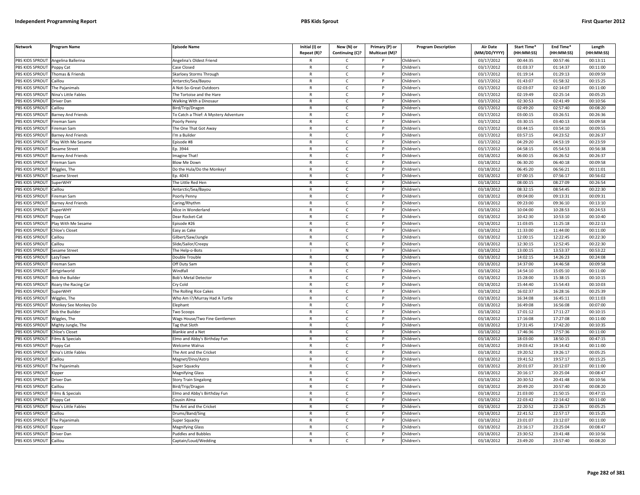| <b>Network</b>         | Program Name              | <b>Episode Name</b>                   | Initial (I) or<br>Repeat (R)? | New (N) or<br>Continuing (C)? | Primary (P) or<br>Multicast (M)? | <b>Program Description</b> | <b>Air Date</b><br>(MM/DD/YYYY) | Start Time*<br>(HH:MM:SS) | End Time*<br>(HH:MM:SS) | Length<br>(HH:MM:SS) |
|------------------------|---------------------------|---------------------------------------|-------------------------------|-------------------------------|----------------------------------|----------------------------|---------------------------------|---------------------------|-------------------------|----------------------|
| PBS KIDS SPROUT        | Angelina Ballerina        | Angelina's Oldest Friend              |                               | $\mathsf{C}$                  |                                  | Children's                 | 03/17/2012                      | 00:44:35                  | 00:57:46                | 00:13:11             |
| PBS KIDS SPROUT        | Poppy Cat                 | Case Closed                           | $\mathsf{R}$                  | $\mathsf{C}$                  | P                                | Children's                 | 03/17/2012                      | 01:03:37                  | 01:14:37                | 00:11:00             |
| PBS KIDS SPROUT        | Thomas & Friends          | Skarloey Storms Through               | $\mathsf{R}$                  | $\mathsf{C}$                  |                                  | Children's                 | 03/17/2012                      | 01:19:14                  | 01:29:13                | 00:09:59             |
| PBS KIDS SPROUT        | Caillou                   | Antarctic/Sea/Bayou                   | $\mathsf{R}$                  | $\mathsf{C}$                  | D                                | Children's                 | 03/17/2012                      | 01:43:07                  | 01:58:32                | 00:15:25             |
| PBS KIDS SPROUT        | The Pajanimals            | A Not-So-Great Outdoors               | $\mathsf{R}$                  | c                             |                                  | Children's                 | 03/17/2012                      | 02:03:07                  | 02:14:07                | 00:11:00             |
| PBS KIDS SPROUT        | Nina's Little Fables      | The Tortoise and the Hare             | $\mathsf{R}$                  | $\mathsf{C}$                  | P                                | Children's                 | 03/17/2012                      | 02:19:49                  | 02:25:14                | 00:05:25             |
| PBS KIDS SPROUT        | Driver Dan                | <b>Walking With a Dinosaur</b>        | $\mathsf{R}$                  | $\mathsf{C}$                  | P                                | Children's                 | 03/17/2012                      | 02:30:53                  | 02:41:49                | 00:10:56             |
| PBS KIDS SPROUT        | Caillou                   | Bird/Trip/Dragon                      | $\mathsf{R}$                  | $\mathsf{C}$                  | <b>D</b>                         | Children's                 | 03/17/2012                      | 02:49:20                  | 02:57:40                | 00:08:20             |
| <b>PBS KIDS SPROUT</b> | <b>Barney And Friends</b> | To Catch a Thief: A Mystery Adventure | ${\sf R}$                     | $\mathsf{C}$                  | P                                | Children's                 | 03/17/2012                      | 03:00:15                  | 03:26:51                | 00:26:36             |
| PBS KIDS SPROUT        | ireman Sam                | Poorly Penny                          | $\mathsf{R}$                  | $\mathsf{C}$                  |                                  | Children's                 | 03/17/2012                      | 03:30:15                  | 03:40:13                | 00:09:58             |
| PBS KIDS SPROUT        | Fireman Sam               | The One That Got Away                 | $\mathsf{R}$                  | C                             | P                                | Children's                 | 03/17/2012                      | 03:44:15                  | 03:54:10                | 00:09:55             |
| PBS KIDS SPROUT        | Barney And Friends        | 'm a Builder                          | $\mathsf{R}$                  | $\mathsf{C}$                  |                                  | Children's                 | 03/17/2012                      | 03:57:15                  | 04:23:52                | 00:26:37             |
| PBS KIDS SPROUT        | Play With Me Sesame       | Episode #8                            | $\mathsf{R}$                  | $\mathsf{C}$                  | P                                | Children's                 | 03/17/2012                      | 04:29:20                  | 04:53:19                | 00:23:59             |
| PBS KIDS SPROUT        | Sesame Street             | D. 3944                               | $\mathsf{R}$                  | $\mathsf{C}$                  |                                  | Children's                 | 03/17/2012                      | 04:58:15                  | 05:54:53                | 00:56:38             |
| PBS KIDS SPROUT        | Barney And Friends        | magine That!                          | $\mathsf{R}$                  | $\mathsf{C}$                  | $\mathsf{P}$                     | Children's                 | 03/18/2012                      | 06:00:15                  | 06:26:52                | 00:26:37             |
| PBS KIDS SPROUT        | Fireman Sam               | <b>Blow Me Down</b>                   | $\mathsf{R}$                  | C                             | P                                | Children's                 | 03/18/2012                      | 06:30:20                  | 06:40:18                | 00:09:58             |
| PBS KIDS SPROUT        | Wiggles, The              | Do the Hula/Do the Monkey!            | $\mathsf{R}$                  | $\mathsf{C}$                  | P                                | Children's                 | 03/18/2012                      | 06:45:20                  | 06:56:21                | 00:11:01             |
| PBS KIDS SPROUT        | Sesame Street             | D. 4043                               | $\mathsf{R}$                  | $\mathsf{C}$                  | P                                | Children's                 | 03/18/2012                      | 07:00:15                  | 07:56:17                | 00:56:02             |
| PBS KIDS SPROUT        | <b>SuperWHY</b>           | The Little Red Hen                    | $\mathsf{R}$                  | $\mathsf{C}$                  | P                                | Children's                 | 03/18/2012                      | 08:00:15                  | 08:27:09                | 00:26:54             |
| PBS KIDS SPROUT        | Caillou                   | Antarctic/Sea/Bayou                   | $\mathsf{R}$                  | $\mathsf{C}$                  | P                                | Children's                 | 03/18/2012                      | 08:32:15                  | 08:54:45                | 00:22:30             |
| PBS KIDS SPROUT        | Fireman Sam               | oorly Penny                           | $\mathsf{R}$                  | $\mathsf{C}$                  | D                                | Children's                 | 03/18/2012                      | 09:04:00                  | 09:13:31                | 00:09:31             |
| PBS KIDS SPROUT        | <b>Barney And Friends</b> | Caring/Rhythm                         | R                             | C                             |                                  | Children's                 | 03/18/2012                      | 09:23:00                  | 09:36:10                | 00:13:10             |
| PBS KIDS SPROUT        | SuperWHY                  | Alice in Wonderland                   | $\mathsf{R}$                  | $\mathsf{C}$                  | <b>D</b>                         | Children's                 | 03/18/2012                      | 10:04:00                  | 10:28:53                | 00:24:53             |
| PBS KIDS SPROUT        | Poppy Cat                 | Dear Rocket-Cat                       | $\mathsf{R}$                  | $\mathsf{C}$                  | P                                | Children's                 | 03/18/2012                      | 10:42:30                  | 10:53:10                | 00:10:40             |
| PBS KIDS SPROUT        | lay With Me Sesame        | Episode #26                           | $\mathsf{R}$                  | $\mathsf{C}$                  | P                                | Children's                 | 03/18/2012                      | 11:03:05                  | 11:25:18                | 00:22:13             |
| PBS KIDS SPROUT        | Chloe's Closet            | Easy as Cake                          | $\mathsf{R}$                  | $\mathsf{C}$                  | P                                | Children's                 | 03/18/2012                      | 11:33:00                  | 11:44:00                | 00:11:00             |
| PBS KIDS SPROUT        | Caillou                   | Gilbert/Saw/Jungle                    | $\mathsf{R}$                  | $\mathsf{C}$                  |                                  | Children's                 | 03/18/2012                      | 12:00:15                  | 12:22:45                | 00:22:30             |
| <b>PBS KIDS SPROUT</b> | Caillou                   | Slide/Sailor/Creepy                   | $\mathsf{R}$                  | $\mathsf{C}$                  | P                                | Children's                 | 03/18/2012                      | 12:30:15                  | 12:52:45                | 00:22:30             |
| PBS KIDS SPROUT        | Sesame Street             | The Help-o-Bots                       |                               | ${\sf N}$                     |                                  | Children's                 | 03/18/2012                      | 13:00:15                  | 13:53:37                | 00:53:22             |
| PBS KIDS SPROUT        | LazyTown                  | Double Trouble                        | $\mathsf{R}$                  | C                             | P                                | Children's                 | 03/18/2012                      | 14:02:15                  | 14:26:23                | 00:24:08             |
| PBS KIDS SPROUT        | Fireman Sam               | Off Duty Sam                          | $\mathsf{R}$                  | $\mathsf{C}$                  | P                                | Children's                 | 03/18/2012                      | 14:37:00                  | 14:46:58                | 00:09:58             |
| PBS KIDS SPROUT        | dirtgirlworld             | Windfall                              | $\mathsf{R}$                  | $\mathsf{C}$                  | $\mathsf{P}$                     | Children's                 | 03/18/2012                      | 14:54:10                  | 15:05:10                | 00:11:00             |
| PBS KIDS SPROUT        | <b>Bob the Builder</b>    | <b>Bob's Metal Detector</b>           | $\mathsf{R}$                  | $\mathsf{C}$                  | P                                | Children's                 | 03/18/2012                      | 15:28:00                  | 15:38:15                | 00:10:15             |
| PBS KIDS SPROUT        | Roary the Racing Car      | Cry Cold                              | $\mathsf{R}$                  | $\mathsf{C}$                  | P                                | Children's                 | 03/18/2012                      | 15:44:40                  | 15:54:43                | 00:10:03             |
| PBS KIDS SPROUT        | <b>SuperWHY</b>           | The Rolling Rice Cakes                | $\mathsf{R}$                  | $\mathsf{C}$                  | P                                | Children's                 | 03/18/2012                      | 16:02:37                  | 16:28:16                | 00:25:39             |
| <b>PBS KIDS SPROUT</b> | Niggles, The              | Who Am I?/Murray Had A Turtle         | $\mathsf{R}$                  | $\mathsf{C}$                  | P                                | Children's                 | 03/18/2012                      | 16:34:08                  | 16:45:11                | 00:11:03             |
| PBS KIDS SPROUT        | Monkey See Monkey Do      | lephant                               | $\mathsf{R}$                  | $\mathsf{C}$                  |                                  | Children's                 | 03/18/2012                      | 16:49:08                  | 16:56:08                | 00:07:00             |
| PBS KIDS SPROUT        | <b>Bob the Builder</b>    | Two Scoops                            | $\mathsf{R}$                  | $\mathsf{C}$                  | D                                | Children's                 | 03/18/2012                      | 17:01:12                  | 17:11:27                | 00:10:15             |
| PBS KIDS SPROUT        | Wiggles, The              | Wags House/Two Fine Gentlemen         | $\mathsf{R}$                  | $\mathsf{C}$                  |                                  | Children's                 | 03/18/2012                      | 17:16:08                  | 17:27:08                | 00:11:00             |
| PBS KIDS SPROUT        | Mighty Jungle, The        | <b>Tag that Sloth</b>                 | $\mathsf{R}$                  | $\mathsf{C}$                  |                                  | Children's                 | 03/18/2012                      | 17:31:45                  | 17:42:20                | 00:10:35             |
| PBS KIDS SPROUT        | <b>Chloe's Closet</b>     | <b>Blankie and a Net</b>              | $\mathsf{R}$                  | $\mathsf{C}$                  | P                                | Children's                 | 03/18/2012                      | 17:46:36                  | 17:57:36                | 00:11:00             |
| PBS KIDS SPROUT        | Films & Specials          | Elmo and Abby's Birthday Fun          | $\mathsf{R}$                  | $\mathsf{C}$                  | <b>D</b>                         | Children's                 | 03/18/2012                      | 18:03:00                  | 18:50:15                | 00:47:15             |
| PBS KIDS SPROUT        | Poppy Cat                 | Welcome Walrus                        | $\mathsf{R}$                  | $\mathsf{C}$                  | P                                | Children's                 | 03/18/2012                      | 19:03:42                  | 19:14:42                | 00:11:00             |
| PBS KIDS SPROUT        | Vina's Little Fables      | The Ant and the Cricket               | $\mathsf{R}$                  | $\mathsf{C}$                  |                                  | Children's                 | 03/18/2012                      | 19:20:52                  | 19:26:17                | 00:05:25             |
| PBS KIDS SPROUT        | Caillou                   | Magnet/Dino/Astro                     | $\mathsf{R}$                  | $\mathsf{C}$                  | P                                | Children's                 | 03/18/2012                      | 19:41:52                  | 19:57:17                | 00:15:25             |
| PBS KIDS SPROUT        | The Pajanimals            | Super Squacky                         | $\mathsf{R}$                  | $\mathsf{C}$                  | P                                | Children's                 | 03/18/2012                      | 20:01:07                  | 20:12:07                | 00:11:00             |
| PBS KIDS SPROUT        | Kipper                    | <b>Magnifying Glass</b>               | $\mathsf{R}$                  | $\mathsf{C}$                  | P                                | Children's                 | $\overline{03}/18/2012$         | 20:16:17                  | 20:25:04                | 00:08:47             |
| PBS KIDS SPROUT        | Driver Dan                | Story Train Singalong                 | $\mathsf{R}$                  | $\mathsf{C}$                  | P                                | Children's                 | 03/18/2012                      | 20:30:52                  | 20:41:48                | 00:10:56             |
| PBS KIDS SPROUT        | Caillou                   | Bird/Trip/Dragon                      | $\mathsf{R}$                  | $\mathsf{C}$                  | P                                | Children's                 | 03/18/2012                      | 20:49:20                  | 20:57:40                | 00:08:20             |
| PBS KIDS SPROUT        | ilms & Specials           | Elmo and Abby's Birthday Fun          | $\mathsf{R}$                  | C                             |                                  | Children's                 | 03/18/2012                      | 21:03:00                  | 21:50:15                | 00:47:15             |
| PBS KIDS SPROUT        | Poppy Cat                 | Cousin Alma                           | $\mathsf{R}$                  | $\mathsf{C}$                  | P                                | Children's                 | 03/18/2012                      | 22:03:42                  | 22:14:42                | 00:11:00             |
| PBS KIDS SPROUT        | Nina's Little Fables      | The Ant and the Cricket               | $\mathsf{R}$                  | $\mathsf{C}$                  | P                                | Children's                 | 03/18/2012                      | 22:20:52                  | 22:26:17                | 00:05:25             |
| PBS KIDS SPROUT        | Caillou                   | Drums/Band/Sing                       | $\mathsf{R}$                  | $\mathsf{C}$                  | P                                | Children's                 | 03/18/2012                      | 22:41:52                  | 22:57:17                | 00:15:25             |
| PBS KIDS SPROUT        | The Pajanimals            | Super Squacky                         | $\mathsf{R}$                  | $\mathsf{C}$                  | P                                | Children's                 | 03/18/2012                      | 23:01:07                  | 23:12:07                | 00:11:00             |
| PBS KIDS SPROUT        | <b>Kipper</b>             | Magnifying Glass                      | $\mathsf{R}$                  | $\mathsf{C}$                  | P                                | Children's                 | 03/18/2012                      | 23:16:17                  | 23:25:04                | 00:08:47             |
| PBS KIDS SPROUT        | Driver Dan                | <b>Puddles and Bubbles</b>            | R                             | C                             |                                  | Children's                 | 03/18/2012                      | 23:30:52                  | 23:41:48                | 00:10:56             |
| PBS KIDS SPROUT        | Caillou                   | Captain/Loud/Wedding                  | $\mathsf{R}$                  | $\mathsf{C}$                  |                                  | Children's                 | 03/18/2012                      | 23:49:20                  | 23:57:40                | 00:08:20             |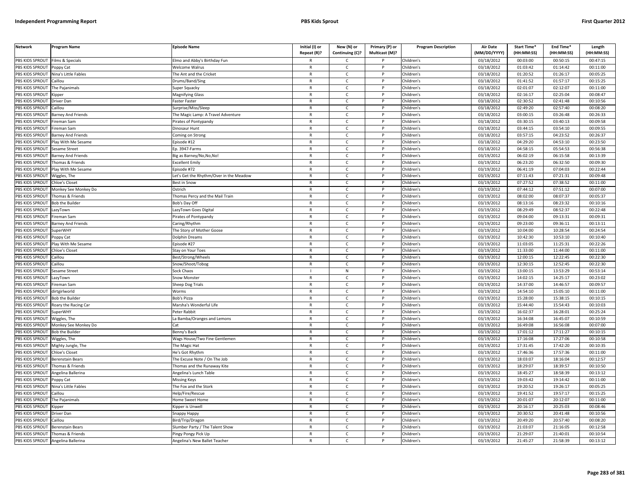| <b>Network</b>        | Program Name              | <b>Episode Name</b>                     | Initial (I) or<br>Repeat (R)? | New (N) or<br>Continuing (C)? | Primary (P) or<br>Multicast (M)? | <b>Program Description</b> | Air Date<br>(MM/DD/YYYY) | <b>Start Time*</b><br>(HH:MM:SS) | End Time <sup>®</sup><br>(HH:MM:SS) | Length<br>(HH:MM:SS) |
|-----------------------|---------------------------|-----------------------------------------|-------------------------------|-------------------------------|----------------------------------|----------------------------|--------------------------|----------------------------------|-------------------------------------|----------------------|
| PBS KIDS SPROUT       | Films & Specials          | Elmo and Abby's Birthday Fun            | $\mathsf{R}$                  | C                             |                                  | Children's                 | 03/18/2012               | 00:03:00                         | 00:50:15                            | 00:47:15             |
| PBS KIDS SPROUT       | Poppy Cat                 | <b>Welcome Walrus</b>                   | $\mathsf{R}$                  | $\mathsf{C}$                  | P                                | Children's                 | 03/18/2012               | 01:03:42                         | 01:14:42                            | 00:11:00             |
| PBS KIDS SPROUT       | Nina's Little Fables      | The Ant and the Cricket                 | $\mathsf{R}$                  | $\mathsf{C}$                  | P                                | Children's                 | 03/18/2012               | 01:20:52                         | 01:26:17                            | 00:05:25             |
| PBS KIDS SPROUT       | Caillou                   | Drums/Band/Sing                         | $\mathsf{R}$                  | $\mathsf{C}$                  | P                                | Children's                 | 03/18/2012               | 01:41:52                         | 01:57:17                            | 00:15:25             |
| PBS KIDS SPROUT       | The Pajanimals            | Super Squacky                           | $\mathsf{R}$                  | $\mathsf{C}$                  | P                                | Children's                 | 03/18/2012               | 02:01:07                         | 02:12:07                            | 00:11:00             |
| PBS KIDS SPROUT       | ipper)                    | Magnifying Glass                        | $\mathsf{R}$                  | $\mathsf{C}$                  | D                                | Children's                 | 03/18/2012               | 02:16:17                         | 02:25:04                            | 00:08:47             |
| <b>BS KIDS SPROUT</b> | Driver Dan                | aster Faster                            | $\mathsf{R}$                  | C                             | P                                | Children's                 | 03/18/2012               | 02:30:52                         | 02:41:48                            | 00:10:56             |
| PBS KIDS SPROUT       | aillou                    | Surprise/Miss/Sleep                     | $\mathsf{R}$                  | $\mathsf{C}$                  | P                                | Children's                 | 03/18/2012               | 02:49:20                         | 02:57:40                            | 00:08:20             |
| PBS KIDS SPROUT       | <b>Barney And Friends</b> | The Magic Lamp: A Travel Adventure      | $\mathsf{R}$                  | $\mathsf{C}$                  | $\mathsf{P}$                     | Children's                 | 03/18/2012               | 03:00:15                         | 03:26:48                            | 00:26:33             |
| PBS KIDS SPROUT       | ireman Sam                | irates of Pontypandy                    | $\mathsf{R}$                  | $\mathsf{C}$                  | P                                | Children's                 | 03/18/2012               | 03:30:15                         | 03:40:13                            | 00:09:58             |
| PBS KIDS SPROUT       | Fireman Sam               | Dinosaur Hunt                           | $\mathsf{R}$                  | $\mathsf{C}$                  | P                                | Children's                 | 03/18/2012               | 03:44:15                         | 03:54:10                            | 00:09:55             |
| PBS KIDS SPROUT       | <b>Barney And Friends</b> | Coming on Strong                        | $\mathsf{R}$                  | $\mathsf{C}$                  | P                                | Children's                 | 03/18/2012               | 03:57:15                         | 04:23:52                            | 00:26:37             |
| PBS KIDS SPROUT       | Play With Me Sesame       | pisode #12                              | $\mathsf{R}$                  | $\mathsf{C}$                  | P                                | Children's                 | 03/18/2012               | 04:29:20                         | 04:53:10                            | 00:23:50             |
| PBS KIDS SPROUT       | esame Street              | $\sqrt{p}$ . 3947-Farms                 | R                             | C                             | P                                | Children's                 | 03/18/2012               | 04:58:15                         | 05:54:53                            | 00:56:38             |
| PBS KIDS SPROUT       | <b>Barney And Friends</b> | Big as Barney/No, No, No!               | $\mathsf{R}$                  | C                             | $\mathsf{P}$                     | Children's                 | 03/19/2012               | 06:02:19                         | 06:15:58                            | 00:13:39             |
| PBS KIDS SPROUT       | Thomas & Friends          | <b>Excellent Emily</b>                  | $\mathsf{R}$                  | $\mathsf{C}$                  | P                                | Children's                 | 03/19/2012               | 06:23:20                         | 06:32:50                            | 00:09:30             |
| PBS KIDS SPROUT       | Play With Me Sesame       | Episode #72                             | $\mathsf{R}$                  | $\mathsf{C}$                  | P                                | Children's                 | 03/19/2012               | 06:41:19                         | 07:04:03                            | 00:22:44             |
| PBS KIDS SPROUT       | Wiggles, The              | Let's Get the Rhythm/Over in the Meadow | $\mathsf{R}$                  | $\mathsf{C}$                  | P                                | Children's                 | 03/19/2012               | 07:11:43                         | 07:21:31                            | 00:09:48             |
| PBS KIDS SPROUT       | Chloe's Closet            | <b>Best in Snow</b>                     | $\mathsf{R}$                  | $\mathsf{C}$                  | P                                | Children's                 | 03/19/2012               | 07:27:52                         | 07:38:52                            | 00:11:00             |
| PBS KIDS SPROUT       | Monkey See Monkey Do      | Ostrich                                 | R                             | $\mathsf{C}$                  | P                                | Children's                 | 03/19/2012               | 07:44:12                         | 07:51:12                            | 00:07:00             |
| PBS KIDS SPROUT       | Thomas & Friends          | Thomas Percy and the Mail Train         | $\mathsf{R}$                  | $\mathsf{C}$                  | P                                | Children's                 | 03/19/2012               | 08:02:00                         | 08:07:37                            | 00:05:37             |
| <b>BS KIDS SPROUT</b> | <b>Bob the Builder</b>    | Bob's Day Off                           | $\mathsf{R}$                  | $\mathsf{C}$                  | P                                | Children's                 | 03/19/2012               | 08:13:16                         | 08:23:32                            | 00:10:16             |
| PBS KIDS SPROUT       | azyTown                   | azyTown Goes Digital                    | $\mathsf{R}$                  | $\mathsf{C}$                  | P                                | Children's                 | 03/19/2012               | 08:29:49                         | 08:52:37                            | 00:22:48             |
| PBS KIDS SPROUT       | ireman Sam                | Pirates of Pontypandy                   | $\mathsf{R}$                  | $\mathsf{C}$                  | P                                | Children's                 | 03/19/2012               | 09:04:00                         | 09:13:31                            | 00:09:31             |
| PBS KIDS SPROUT       | Barney And Friends        | aring/Rhythm                            | $\mathsf{R}$                  | $\mathsf{C}$                  | P                                | Children's                 | 03/19/2012               | 09:23:00                         | 09:36:11                            | 00:13:11             |
| PBS KIDS SPROUT       | <b>SuperWHY</b>           | The Story of Mother Goose               | $\mathsf{R}$                  | $\mathsf{C}$                  | P                                | Children's                 | 03/19/2012               | 10:04:00                         | 10:28:54                            | 00:24:54             |
| PBS KIDS SPROUT       | oppy Cat                  | Dolphin Dreams                          | $\mathsf{R}$                  | $\mathsf{C}$                  | <sub>D</sub>                     | Children's                 | 03/19/2012               | 10:42:30                         | 10:53:10                            | 00:10:40             |
| PBS KIDS SPROUT       | Play With Me Sesame       | pisode #27                              | $\mathsf{R}$                  | $\mathsf{C}$                  | P                                | Children's                 | 03/19/2012               | 11:03:05                         | 11:25:31                            | 00:22:26             |
| PBS KIDS SPROUT       | <b>Chloe's Closet</b>     | itay on Your Toes                       | $\mathsf{R}$                  | $\mathsf{C}$                  | P                                | Children's                 | 03/19/2012               | 11:33:00                         | 11:44:00                            | 00:11:00             |
| PBS KIDS SPROUT       | Caillou                   | Best/Strong/Wheels                      | $\mathsf{R}$                  | $\mathsf{C}$                  | $\mathsf{P}$                     | Children's                 | 03/19/2012               | 12:00:15                         | 12:22:45                            | 00:22:30             |
| PBS KIDS SPROUT       | Caillou                   | Snow/Shoot/Tobog                        | $\mathsf{R}$                  | $\mathsf{C}$                  | P                                | Children's                 | 03/19/2012               | 12:30:15                         | 12:52:45                            | 00:22:30             |
| PBS KIDS SPROUT       | Sesame Street             | Sock Chaos                              |                               | N                             | P                                | Children's                 | 03/19/2012               | 13:00:15                         | 13:53:29                            | 00:53:14             |
| PBS KIDS SPROUT       | LazyTown                  | Snow Monster                            | $\mathsf{R}$                  | $\mathsf{C}$                  | P                                | Children's                 | 03/19/2012               | 14:02:15                         | 14:25:17                            | 00:23:02             |
| PBS KIDS SPROUT       | Fireman Sam               | Sheep Dog Trials                        | $\mathsf{R}$                  | $\mathsf{C}$                  | $\mathsf{P}$                     | Children's                 | 03/19/2012               | 14:37:00                         | 14:46:57                            | 00:09:57             |
| PBS KIDS SPROUT       | dirtgirlworld             | Worms                                   | R                             | $\mathsf{C}$                  | P                                | Children's                 | 03/19/2012               | 14:54:10                         | 15:05:10                            | 00:11:00             |
| PBS KIDS SPROUT       | <b>Bob the Builder</b>    | Bob's Pizza                             | $\mathsf{R}$                  | $\mathsf{C}$                  | P                                | Children's                 | 03/19/2012               | 15:28:00                         | 15:38:15                            | 00:10:15             |
| <b>BS KIDS SPROUT</b> | Roary the Racing Car      | Marsha's Wonderful Life                 | $\mathsf{R}$                  | $\mathsf{C}$                  | p                                | Children's                 | 03/19/2012               | 15:44:40                         | 15:54:43                            | 00:10:03             |
| PBS KIDS SPROUT       | SuperWHY                  | Peter Rabbit                            | $\mathsf{R}$                  | $\mathsf{C}$                  | P                                | Children's                 | 03/19/2012               | 16:02:37                         | 16:28:01                            | 00:25:24             |
| PBS KIDS SPROUT       | Wiggles, The              | a Bamba/Oranges and Lemons              | $\mathsf{R}$                  | $\mathsf C$                   | P                                | Children's                 | 03/19/2012               | 16:34:08                         | 16:45:07                            | 00:10:59             |
| PBS KIDS SPROUT       | Monkey See Monkey Do      |                                         | $\mathsf{R}$                  | $\mathsf{C}$                  | <sub>D</sub>                     | Children's                 | 03/19/2012               | 16:49:08                         | 16:56:08                            | 00:07:00             |
| PBS KIDS SPROUT       | <b>Bob the Builder</b>    | Benny's Back                            | $\mathsf{R}$                  | $\mathsf{C}$                  | P                                | Children's                 | 03/19/2012               | 17:01:12                         | 17:11:27                            | 00:10:15             |
| PBS KIDS SPROUT       | Niggles, The              | Wags House/Two Fine Gentlemen           | $\mathsf{R}$                  | $\mathsf{C}$                  | P                                | Children's                 | 03/19/2012               | 17:16:08                         | 17:27:06                            | 00:10:58             |
| PBS KIDS SPROUT       | Mighty Jungle, The        | The Magic Hat                           | $\mathsf{R}$                  | $\mathsf{C}$                  | P                                | Children's                 | 03/19/2012               | 17:31:45                         | 17:42:20                            | 00:10:35             |
| PBS KIDS SPROUT       | Chloe's Closet            | le's Got Rhythm                         | $\mathsf{R}$                  | $\mathsf{C}$                  | P                                | Children's                 | 03/19/2012               | 17:46:36                         | 17:57:36                            | 00:11:00             |
| PBS KIDS SPROUT       | <b>Berenstain Bears</b>   | The Excuse Note / On The Job            | $\mathsf{R}$                  | $\mathsf{C}$                  | P                                | Children's                 | 03/19/2012               | 18:03:07                         | 18:16:04                            | 00:12:57             |
| PBS KIDS SPROUT       | homas & Friends           | Thomas and the Runaway Kite             | $\mathsf{R}$                  | $\mathsf{C}$                  | P                                | Children's                 | 03/19/2012               | 18:29:07                         | 18:39:57                            | 00:10:50             |
| PBS KIDS SPROUT       | Angelina Ballerina        | Angelina's Lunch Table                  | $\mathsf{R}$                  | $\mathsf{C}$                  | $\mathsf{P}$                     | Children's                 | 03/19/2012               | 18:45:27                         | 18:58:39                            | 00:13:12             |
| PBS KIDS SPROUT       | Poppy Cat                 | <b>Missing Keys</b>                     | $\mathsf{R}$                  | $\mathsf{C}$                  | P                                | Children's                 | 03/19/2012               | 19:03:42                         | 19:14:42                            | 00:11:00             |
| PBS KIDS SPROUT       | Nina's Little Fables      | The Fox and the Stork                   | $\mathsf{R}$                  | $\mathsf{C}$                  | P                                | Children's                 | 03/19/2012               | 19:20:52                         | 19:26:17                            | 00:05:25             |
| PBS KIDS SPROUT       | Caillou                   | lelp/Fire/Rescue                        | R                             | $\mathsf{C}$                  | P                                | Children's                 | 03/19/2012               | 19:41:52                         | 19:57:17                            | 00:15:25             |
| PBS KIDS SPROUT       | The Paianimals            | <b>Home Sweet Home</b>                  | $\mathsf{R}$                  | $\mathsf{C}$                  | P                                | Children's                 | 03/19/2012               | 20:01:07                         | 20:12:07                            | 00:11:00             |
| <b>BS KIDS SPROUT</b> | Kipper                    | Kipper is Unwell                        | $\mathsf{R}$                  | $\mathsf{C}$                  | P                                | Children's                 | 03/19/2012               | 20:16:17                         | 20:25:03                            | 00:08:46             |
| PBS KIDS SPROUT       | Driver Dan                | Snappy Happy                            | $\mathsf{R}$                  | $\mathsf{C}$                  | P                                | Children's                 | 03/19/2012               | 20:30:52                         | 20:41:48                            | 00:10:56             |
| PBS KIDS SPROUT       | aillou                    | Bird/Trip/Dragon                        | $\mathsf{R}$                  | $\mathsf C$                   | P                                | Children's                 | 03/19/2012               | 20:49:20                         | 20:57:40                            | 00:08:20             |
| PBS KIDS SPROUT       | Berenstain Bears          | lumber Party / The Talent Show          | $\mathsf{R}$                  | $\mathsf{C}$                  | <sub>D</sub>                     | Children's                 | 03/19/2012               | 21:03:07                         | 21:16:05                            | 00:12:58             |
| PBS KIDS SPROUT       | Thomas & Friends          | Pingy Pongy Pick Up                     | $\mathsf{R}$                  | C                             | P                                | Children's                 | 03/19/2012               | 21:29:07                         | 21:40:01                            | 00:10:54             |
| PBS KIDS SPROUT       | Angelina Ballerina        | Angelina's New Ballet Teacher           | $\mathsf{R}$                  | $\mathsf{C}$                  | P                                | Children's                 | 03/19/2012               | 21:45:27                         | 21:58:39                            | 00:13:12             |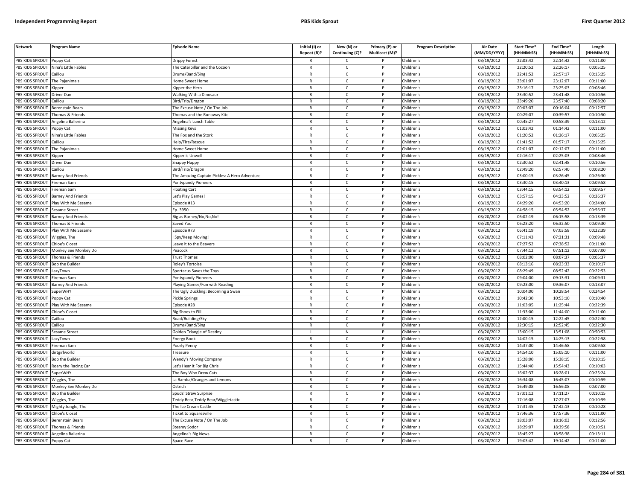| <b>Network</b>         | <b>Program Name</b>    | <b>Episode Name</b>                           | Initial (I) or<br>Repeat (R)? | New (N) or<br>Continuing (C)? | Primary (P) or<br>Multicast (M)? | <b>Program Description</b> | <b>Air Date</b><br>(MM/DD/YYYY) | Start Time*<br>(HH:MM:SS) | End Time*<br>(HH:MM:SS) | Length<br>(HH:MM:SS) |
|------------------------|------------------------|-----------------------------------------------|-------------------------------|-------------------------------|----------------------------------|----------------------------|---------------------------------|---------------------------|-------------------------|----------------------|
| PBS KIDS SPROUT        | Poppy Cat              | Orippy Forest                                 |                               | $\mathsf{C}$                  |                                  | Children's                 | 03/19/2012                      | 22:03:42                  | 22:14:42                | 00:11:00             |
| <b>PBS KIDS SPROUT</b> | Nina's Little Fables   | The Caterpillar and the Cocoon                | $\mathsf{R}$                  | $\mathsf{C}$                  | P                                | Children's                 | 03/19/2012                      | 22:20:52                  | 22:26:17                | 00:05:25             |
| PBS KIDS SPROUT        | Caillou                | Drums/Band/Sing                               | $\mathsf{R}$                  | $\mathsf{C}$                  |                                  | Children's                 | 03/19/2012                      | 22:41:52                  | 22:57:17                | 00:15:25             |
| PBS KIDS SPROUT        | The Pajanimals         | Home Sweet Home                               | ${\sf R}$                     | $\mathsf{C}$                  | <sub>D</sub>                     | Children's                 | 03/19/2012                      | 23:01:07                  | 23:12:07                | 00:11:00             |
| PBS KIDS SPROUT        | (ipper                 | <b>Sipper the Hero</b>                        | $\mathsf{R}$                  | c                             |                                  | Children's                 | 03/19/2012                      | 23:16:17                  | 23:25:03                | 00:08:46             |
| PBS KIDS SPROUT        | Driver Dan             | Walking With a Dinosaur                       | $\mathsf{R}$                  | $\mathsf{C}$                  | P                                | Children's                 | 03/19/2012                      | 23:30:52                  | 23:41:48                | 00:10:56             |
| PBS KIDS SPROUT        | Caillou                | Bird/Trip/Dragon                              | $\mathsf{R}$                  | $\mathsf{C}$                  | P                                | Children's                 | 03/19/2012                      | 23:49:20                  | 23:57:40                | 00:08:20             |
| PBS KIDS SPROUT        | Berenstain Bears       | The Excuse Note / On The Job                  | ${\sf R}$                     | $\mathsf{C}$                  | P                                | Children's                 | 03/19/2012                      | 00:03:07                  | 00:16:04                | 00:12:57             |
| PBS KIDS SPROUT        | Thomas & Friends       | Thomas and the Runaway Kite                   | ${\sf R}$                     | $\mathsf{C}$                  | P                                | Children's                 | 03/19/2012                      | 00:29:07                  | 00:39:57                | 00:10:50             |
| PBS KIDS SPROUT        | Angelina Ballerina     | Angelina's Lunch Table                        | $\mathsf{R}$                  | $\mathsf{C}$                  |                                  | Children's                 | 03/19/2012                      | 00:45:27                  | 00:58:39                | 00:13:12             |
| PBS KIDS SPROUT        | Poppy Cat              | Missing Keys                                  | $\mathsf{R}$                  | C                             | P                                | Children's                 | 03/19/2012                      | 01:03:42                  | 01:14:42                | 00:11:00             |
| PBS KIDS SPROUT        | Nina's Little Fables   | The Fox and the Stork                         | $\mathsf{R}$                  | $\mathsf{C}$                  | P                                | Children's                 | 03/19/2012                      | 01:20:52                  | 01:26:17                | 00:05:25             |
| PBS KIDS SPROUT        | Caillou                | Help/Fire/Rescue                              | $\mathsf{R}$                  | $\mathsf{C}$                  | $\mathsf{P}$                     | Children's                 | 03/19/2012                      | 01:41:52                  | 01:57:17                | 00:15:25             |
| PBS KIDS SPROUT        | The Pajanimals         | <b>Home Sweet Home</b>                        | $\mathsf{R}$                  | $\mathsf{C}$                  |                                  | Children's                 | 03/19/2012                      | 02:01:07                  | 02:12:07                | 00:11:00             |
| PBS KIDS SPROUT        | <b>Kipper</b>          | Kipper is Unwell                              | $\mathsf{R}$                  | $\mathsf{C}$                  | P                                | Children's                 | 03/19/2012                      | 02:16:17                  | 02:25:03                | 00:08:46             |
| PBS KIDS SPROUT        | Driver Dan             | Snappy Happy                                  | $\mathsf{R}$                  | $\mathsf{C}$                  | P                                | Children's                 | 03/19/2012                      | 02:30:52                  | 02:41:48                | 00:10:56             |
| PBS KIDS SPROUT        | Caillou                | Bird/Trip/Dragon                              | $\mathsf{R}$                  | $\mathsf{C}$                  | P                                | Children's                 | 03/19/2012                      | 02:49:20                  | 02:57:40                | 00:08:20             |
| PBS KIDS SPROUT        | Barney And Friends     | The Amazing Captain Pickles: A Hero Adventure | $\mathsf{R}$                  | $\mathsf{C}$                  | P                                | Children's                 | 03/19/2012                      | 03:00:15                  | 03:26:45                | 00:26:30             |
| PBS KIDS SPROUT        | Fireman Sam            | Pontypandy Pioneers                           | $\mathsf{R}$                  | $\mathsf{C}$                  | P                                | Children's                 | 03/19/2012                      | 03:30:15                  | 03:40:13                | 00:09:58             |
| PBS KIDS SPROUT        | Fireman Sam            | loating Cart                                  | $\mathsf{R}$                  | $\mathsf{C}$                  | P                                | Children's                 | 03/19/2012                      | 03:44:15                  | 03:54:12                | 00:09:57             |
| PBS KIDS SPROUT        | Barney And Friends     | Let's Play Games!                             | $\mathsf{R}$                  | $\mathsf{C}$                  | P                                | Children's                 | 03/19/2012                      | 03:57:15                  | 04:23:52                | 00:26:37             |
| PBS KIDS SPROUT        | Play With Me Sesame    | Episode #13                                   | $\mathsf{R}$                  | $\mathsf{C}$                  |                                  | Children's                 | 03/19/2012                      | 04:29:20                  | 04:53:20                | 00:24:00             |
| PBS KIDS SPROUT        | Sesame Street          | Ep. 3950                                      | $\mathsf{R}$                  | $\mathsf{C}$                  | D                                | Children's                 | 03/19/2012                      | 04:58:15                  | 05:54:52                | 00:56:37             |
| PBS KIDS SPROUT        | Barney And Friends     | Big as Barney/No,No,No!                       | $\mathsf{R}$                  | $\mathsf{C}$                  | P                                | Children's                 | 03/20/2012                      | 06:02:19                  | 06:15:58                | 00:13:39             |
| PBS KIDS SPROUT        | homas & Friends        | Saved You                                     | $\mathsf{R}$                  | $\mathsf{C}$                  |                                  | Children's                 | 03/20/2012                      | 06:23:20                  | 06:32:50                | 00:09:30             |
| PBS KIDS SPROUT        | Play With Me Sesame    | Episode #73                                   | $\mathsf{R}$                  | $\mathsf{C}$                  | P                                | Children's                 | 03/20/2012                      | 06:41:19                  | 07:03:58                | 00:22:39             |
| PBS KIDS SPROUT        | Wiggles, The           | Spy/Keep Moving!                              | $\mathsf{R}$                  | $\mathsf{C}$                  |                                  | Children's                 | 03/20/2012                      | 07:11:43                  | 07:21:31                | 00:09:48             |
| PBS KIDS SPROUT        | Chloe's Closet         | Leave it to the Beavers                       | ${\sf R}$                     | $\mathsf{C}$                  | P                                | Children's                 | 03/20/2012                      | 07:27:52                  | 07:38:52                | 00:11:00             |
| PBS KIDS SPROUT        | Monkey See Monkey Do   | Peacock                                       | R                             | $\mathsf{C}$                  |                                  | Children's                 | 03/20/2012                      | 07:44:12                  | 07:51:12                | 00:07:00             |
| PBS KIDS SPROUT        | Thomas & Friends       | <b>Trust Thomas</b>                           | $\mathsf{R}$                  | C                             | P                                | Children's                 | 03/20/2012                      | 08:02:00                  | 08:07:37                | 00:05:37             |
| PBS KIDS SPROUT        | <b>Bob the Builder</b> | Roley's Tortoise                              | $\mathsf{R}$                  | $\mathsf{C}$                  | P                                | Children's                 | 03/20/2012                      | 08:13:16                  | 08:23:33                | 00:10:17             |
| PBS KIDS SPROUT        | LazyTown               | Sportacus Saves the Toys                      | $\mathsf{R}$                  | $\mathsf{C}$                  | $\mathsf{P}$                     | Children's                 | 03/20/2012                      | 08:29:49                  | 08:52:42                | 00:22:53             |
| PBS KIDS SPROUT        | Fireman Sam            | Pontypandy Pioneers                           | $\mathsf{R}$                  | $\mathsf{C}$                  | P                                | Children's                 | 03/20/2012                      | 09:04:00                  | 09:13:31                | 00:09:31             |
| PBS KIDS SPROUT        | Barney And Friends     | Playing Games/Fun with Reading                | $\mathsf{R}$                  | $\mathsf{C}$                  | P                                | Children's                 | 03/20/2012                      | 09:23:00                  | 09:36:07                | 00:13:07             |
| PBS KIDS SPROUT        | SuperWHY               | The Ugly Duckling: Becoming a Swan            | $\mathsf{R}$                  | $\mathsf{C}$                  | P                                | Children's                 | 03/20/2012                      | 10:04:00                  | 10:28:54                | 00:24:54             |
| PBS KIDS SPROUT        | oppy Cat               | Pickle Springs                                | ${\sf R}$                     | $\mathsf{C}$                  | P                                | Children's                 | 03/20/2012                      | 10:42:30                  | 10:53:10                | 00:10:40             |
| PBS KIDS SPROUT        | Play With Me Sesame    | Episode #28                                   | $\mathsf{R}$                  | C                             |                                  | Children's                 | 03/20/2012                      | 11:03:05                  | 11:25:44                | 00:22:39             |
| PBS KIDS SPROUT        | Chloe's Closet         | Big Shoes to Fill                             | $\mathsf{R}$                  | $\mathsf{C}$                  | <b>D</b>                         | Children's                 | 03/20/2012                      | 11:33:00                  | 11:44:00                | 00:11:00             |
| PBS KIDS SPROUT        | Caillou                | Road/Building/Sky                             | $\mathsf{R}$                  | $\mathsf{C}$                  | P                                | Children's                 | 03/20/2012                      | 12:00:15                  | 12:22:45                | 00:22:30             |
| PBS KIDS SPROUT        | Caillou                | Drums/Band/Sing                               | $\mathsf{R}$                  | $\mathsf{C}$                  | <b>D</b>                         | Children's                 | 03/20/2012                      | 12:30:15                  | 12:52:45                | 00:22:30             |
| PBS KIDS SPROUT        | Sesame Street          | <b>Golden Triangle of Destiny</b>             |                               | ${\sf N}$                     | P                                | Children's                 | 03/20/2012                      | 13:00:15                  | 13:51:08                | 00:50:53             |
| PBS KIDS SPROUT        | .azyTown               | Energy Book                                   | $\mathsf{R}$                  | $\mathsf{C}$                  |                                  | Children's                 | 03/20/2012                      | 14:02:15                  | 14:25:13                | 00:22:58             |
| PBS KIDS SPROUT        | Fireman Sam            | Poorly Penny                                  | $\mathsf{R}$                  | $\mathsf{C}$                  | P                                | Children's                 | 03/20/2012                      | 14:37:00                  | 14:46:58                | 00:09:58             |
| PBS KIDS SPROUT        | dirtgirlworld          | Treasure                                      | $\mathsf{R}$                  | $\mathsf{C}$                  | P                                | Children's                 | 03/20/2012                      | 14:54:10                  | 15:05:10                | 00:11:00             |
| PBS KIDS SPROUT        | <b>Bob the Builder</b> | Wendy's Moving Company                        | $\mathsf{R}$                  | C                             | P                                | Children's                 | 03/20/2012                      | 15:28:00                  | 15:38:15                | 00:10:15             |
| PBS KIDS SPROUT        | Roary the Racing Car   | Let's Hear it For Big Chris                   | $\mathsf{R}$                  | $\mathsf{C}$                  | P                                | Children's                 | 03/20/2012                      | 15:44:40                  | 15:54:43                | 00:10:03             |
| PBS KIDS SPROUT        | SuperWHY               | The Boy Who Drew Cats                         | $\mathsf{R}$                  | $\mathsf{C}$                  | P                                | Children's                 | 03/20/2012                      | 16:02:37                  | 16:28:01                | 00:25:24             |
| PBS KIDS SPROUT        | Wiggles, The           | La Bamba/Oranges and Lemons                   | $\mathsf{R}$                  | $\mathsf{C}$                  | P                                | Children's                 | 03/20/2012                      | 16:34:08                  | 16:45:07                | 00:10:59             |
| PBS KIDS SPROUT        | Monkey See Monkey Do   | Ostrich                                       | $\mathsf{R}$                  | C                             | P                                | Children's                 | 03/20/2012                      | 16:49:08                  | 16:56:08                | 00:07:00             |
| PBS KIDS SPROUT        | <b>Bob the Builder</b> | Spuds' Straw Surprise                         | $\mathsf{R}$                  | $\mathsf{C}$                  | P                                | Children's                 | 03/20/2012                      | 17:01:12                  | 17:11:27                | 00:10:15             |
| PBS KIDS SPROUT        | Wiggles, The           | Feddy Bear, Teddy Bear/Wiggletastic           | $\mathsf{R}$                  | $\mathsf{C}$                  | P                                | Children's                 | 03/20/2012                      | 17:16:08                  | 17:27:07                | 00:10:59             |
| PBS KIDS SPROUT        | Mighty Jungle, The     | The Ice Cream Castle                          | $\mathsf{R}$                  | $\mathsf{C}$                  |                                  | Children's                 | 03/20/2012                      | 17:31:45                  | 17:42:13                | 00:10:28             |
| PBS KIDS SPROUT        | Chloe's Closet         | <b>Ticket to Squaresville</b>                 | $\mathsf{R}$                  | $\mathsf{C}$                  | D                                | Children's                 | 03/20/2012                      | 17:46:36                  | 17:57:36                | 00:11:00             |
| PBS KIDS SPROUT        | Berenstain Bears       | The Excuse Note / On The Job                  | R                             | $\mathsf{C}$                  | P                                | Children's                 | 03/20/2012                      | 18:03:07                  | 18:16:03                | 00:12:56             |
| PBS KIDS SPROUT        | homas & Friends        | Steamy Sodor                                  | $\mathsf{R}$                  | $\mathsf{C}$                  |                                  | Children's                 | 03/20/2012                      | 18:29:07                  | 18:39:58                | 00:10:51             |
| PBS KIDS SPROUT        | Angelina Ballerina     | Angelina's Big News                           | $\mathsf{R}$                  | $\mathsf{C}$                  | P                                | Children's                 | 03/20/2012                      | 18:45:27                  | 18:58:38                | 00:13:11             |
| PBS KIDS SPROUT        | Poppy Cat              | Space Race                                    | $\mathsf{R}$                  | $\mathsf{C}$                  | D                                | Children's                 | 03/20/2012                      | 19:03:42                  | 19:14:42                | 00:11:00             |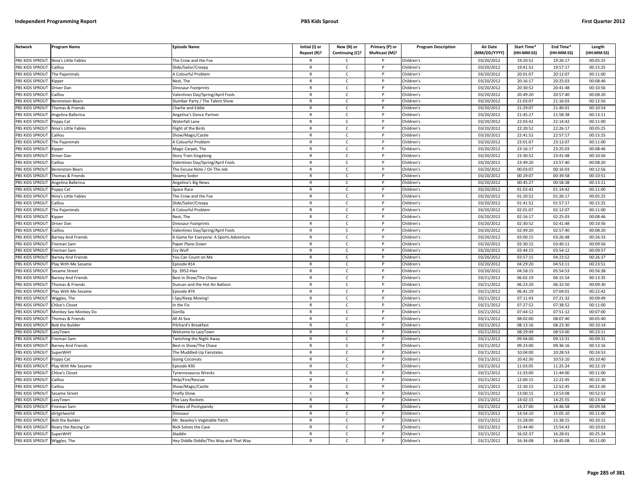| <b>Network</b>               | Program Name                                                                                                                                                                                            | <b>Episode Name</b>                     | Initial (I) or<br>Repeat (R)? | New (N) or<br>Continuing (C)? | Primary (P) or<br>Multicast (M)? | <b>Program Description</b> | Air Date<br>(MM/DD/YYYY) | Start Time*<br>(HH:MM:SS) | End Time <sup>®</sup><br>(HH:MM:SS) | Length<br>(HH:MM:SS) |
|------------------------------|---------------------------------------------------------------------------------------------------------------------------------------------------------------------------------------------------------|-----------------------------------------|-------------------------------|-------------------------------|----------------------------------|----------------------------|--------------------------|---------------------------|-------------------------------------|----------------------|
|                              | PBS KIDS SPROUT Nina's Little Fables                                                                                                                                                                    | The Crow and the Fox                    | $\mathsf{R}$                  | C                             |                                  | Children's                 | 03/20/2012               | 19:20:52                  | 19:26:17                            | 00:05:25             |
| PBS KIDS SPROUT              | Caillou                                                                                                                                                                                                 | Slide/Sailor/Creepy                     | $\mathsf{R}$                  | $\mathsf{C}$                  | P                                | Children's                 | 03/20/2012               | 19:41:52                  | 19:57:17                            | 00:15:25             |
| PBS KIDS SPROUT              | The Paianimals                                                                                                                                                                                          | A Colourful Problem                     | $\mathsf{R}$                  | $\mathsf{C}$                  | P                                | Children's                 | 03/20/2012               | 20:01:07                  | 20:12:07                            | 00:11:00             |
| PBS KIDS SPROUT              | Kipper                                                                                                                                                                                                  | Nest, The                               | $\mathsf{R}$                  | $\mathsf{C}$                  | P                                | Children's                 | 03/20/2012               | 20:16:17                  | 20:25:03                            | 00:08:46             |
| PBS KIDS SPROUT              | Driver Dan                                                                                                                                                                                              | Dinosaur Footprints                     | $\mathsf{R}$                  | $\mathsf{C}$                  | P                                | Children's                 | 03/20/2012               | 20:30:52                  | 20:41:48                            | 00:10:56             |
| PBS KIDS SPROUT              | aillou                                                                                                                                                                                                  | Valentines Day/Spring/April Fools       | $\mathsf{R}$                  | $\mathsf{C}$                  | P                                | Children's                 | 03/20/2012               | 20:49:20                  | 20:57:40                            | 00:08:20             |
| <b>BS KIDS SPROUT</b>        | Berenstain Bears                                                                                                                                                                                        | Slumber Party / The Talent Show         | $\mathsf{R}$                  | $\mathsf{C}$                  | P                                | Children's                 | 03/20/2012               | 21:03:07                  | 21:16:03                            | 00:12:56             |
| PBS KIDS SPROUT              | homas & Friends                                                                                                                                                                                         | Charlie and Eddie                       | $\mathsf{R}$                  | $\mathsf{C}$                  | P                                | Children's                 | 03/20/2012               | 21:29:07                  | 21:40:01                            | 00:10:54             |
| PBS KIDS SPROUT              | Angelina Ballerina                                                                                                                                                                                      | Angelina's Dance Partner                | $\mathsf{R}$                  | $\mathsf{C}$                  | P                                | Children's                 | 03/20/2012               | 21:45:27                  | 21:58:38                            | 00:13:11             |
| PBS KIDS SPROUT              | 'oppy Cat                                                                                                                                                                                               | Waterfall Lane                          | $\mathsf{R}$                  | $\mathsf{C}$                  | P                                | Children's                 | 03/20/2012               | 22:03:42                  | 22:14:42                            | 00:11:00             |
| PBS KIDS SPROUT              | Nina's Little Fables                                                                                                                                                                                    | light of the Birds                      | $\mathsf{R}$                  | $\mathsf{C}$                  | P                                | Children's                 | 03/20/2012               | 22:20:52                  | 22:26:17                            | 00:05:25             |
| PBS KIDS SPROUT              | aillou                                                                                                                                                                                                  | Show/Magic/Castle                       | $\mathsf{R}$                  | $\mathsf{C}$                  | <b>D</b>                         | Children's                 | 03/20/2012               | 22:41:52                  | 22:57:17                            | 00:15:25             |
| PBS KIDS SPROUT              | The Pajanimals                                                                                                                                                                                          | A Colourful Problem                     | $\mathsf{R}$                  | $\mathsf{C}$                  | P                                | Children's                 | 03/20/2012               | 23:01:07                  | 23:12:07                            | 00:11:00             |
| PBS KIDS SPROUT              | ipper)                                                                                                                                                                                                  | Magic Carpet, The                       | $\mathsf{R}$                  | $\mathsf{C}$                  | P                                | Children's                 | 03/20/2012               | 23:16:17                  | 23:25:03                            | 00:08:46             |
| PBS KIDS SPROUT              | Driver Dan                                                                                                                                                                                              | Story Train Singalong                   | $\mathsf{R}$                  | $\mathsf{C}$                  | P                                | Children's                 | 03/20/2012               | 23:30:52                  | 23:41:48                            | 00:10:56             |
| PBS KIDS SPROUT              | aillou                                                                                                                                                                                                  | Valentines Day/Spring/April Fools       | $\mathsf{R}$                  | $\mathsf{C}$                  | P                                | Children's                 | 03/20/2012               | 23:49:20                  | 23:57:40                            | 00:08:20             |
| PBS KIDS SPROUT              | Berenstain Bears                                                                                                                                                                                        | The Excuse Note / On The Job            | $\mathsf{R}$                  | $\mathsf{C}$                  | $\mathsf{P}$                     | Children's                 | 03/20/2012               | 00:03:07                  | 00:16:03                            | 00:12:56             |
| PBS KIDS SPROUT              | Thomas & Friends                                                                                                                                                                                        | Steamy Sodor                            | $\mathsf{R}$                  | $\mathsf{C}$                  | P                                | Children's                 | 03/20/2012               | 00:29:07                  | 00:39:58                            | 00:10:51             |
| PBS KIDS SPROUT              | Angelina Ballerina                                                                                                                                                                                      | Angelina's Big News                     | $\mathsf{R}$                  | $\mathsf{C}$                  | P                                | Children's                 | 03/20/2012               | 00:45:27                  | 00:58:38                            | 00:13:11             |
| PBS KIDS SPROUT              | Poppy Cat                                                                                                                                                                                               | Space Race                              | $\mathsf{R}$                  | $\mathsf{C}$                  | P                                | Children's                 | 03/20/2012               | 01:03:42                  | 01:14:42                            | 00:11:00             |
| PBS KIDS SPROUT              | Nina's Little Fables                                                                                                                                                                                    | The Crow and the Fox                    | $\mathsf{R}$                  | $\mathsf{C}$                  | P                                | Children's                 | 03/20/2012               | 01:20:52                  | 01:26:17                            | 00:05:25             |
| PBS KIDS SPROUT              | Caillou                                                                                                                                                                                                 | Slide/Sailor/Creepy                     | $\mathsf{R}$                  | $\mathsf{C}$                  | P                                | Children's                 | 03/20/2012               | 01:41:52                  | 01:57:17                            | 00:15:25             |
| PBS KIDS SPROUT              | The Pajanimals                                                                                                                                                                                          | A Colourful Problem                     | $\mathsf{R}$                  | $\mathsf{C}$                  | P                                | Children's                 | 03/20/2012               | 02:01:07                  | 02:12:07                            | 00:11:00             |
| PBS KIDS SPROUT              | <ipper< td=""><td>Nest, The</td><td>R</td><td><math display="inline">\mathsf{C}</math></td><td>P</td><td>Children's</td><td>03/20/2012</td><td>02:16:17</td><td>02:25:03</td><td>00:08:46</td></ipper<> | Nest, The                               | R                             | $\mathsf{C}$                  | P                                | Children's                 | 03/20/2012               | 02:16:17                  | 02:25:03                            | 00:08:46             |
| PBS KIDS SPROUT              | Driver Dan                                                                                                                                                                                              | Dinosaur Footprints                     | $\mathsf{R}$                  | $\mathsf{C}$                  | P                                | Children's                 | 03/20/2012               | 02:30:52                  | 02:41:48                            | 00:10:56             |
| PBS KIDS SPROUT              | Caillou                                                                                                                                                                                                 | Valentines Day/Spring/April Fools       | $\mathsf{R}$                  | $\mathsf{C}$                  | P                                | Children's                 | 03/20/2012               | 02:49:20                  | 02:57:40                            | 00:08:20             |
| PBS KIDS SPROUT              | Barney And Friends                                                                                                                                                                                      | A Game for Everyone: A Sports Adventure | $\overline{R}$                | $\mathsf{C}$                  | P                                | Children's                 | 03/20/2012               | 03:00:15                  | 03:26:48                            | 00:26:33             |
| PBS KIDS SPROUT              | ireman Sam                                                                                                                                                                                              | aper Plane Down                         | $\mathsf{R}$                  | $\mathsf{C}$                  | P                                | Children's                 | 03/20/2012               | 03:30:15                  | 03:40:11                            | 00:09:56             |
| PBS KIDS SPROUT              | ireman Sam                                                                                                                                                                                              | ry Wolf                                 | $\mathsf{R}$                  | $\mathsf{C}$                  | P                                | Children's                 | 03/20/2012               | 03:44:15                  | 03:54:12                            | 00:09:57             |
| PBS KIDS SPROUT              | <b>Barney And Friends</b>                                                                                                                                                                               | You Can Count on Me                     | $\mathsf{R}$                  | $\mathsf{C}$                  | P                                | Children's                 | 03/20/2012               | 03:57:15                  | 04:23:52                            | 00:26:37             |
| PBS KIDS SPROUT              | Play With Me Sesame                                                                                                                                                                                     | pisode #14                              | $\mathsf{R}$                  | $\overline{c}$                | P                                | Children's                 | 03/20/2012               | 04:29:20                  | 04:53:11                            | 00:23:51             |
| PBS KIDS SPROUT              | Sesame Street                                                                                                                                                                                           | Ep. 3952-Hair                           | $\mathsf{R}$                  | $\mathsf{C}$                  | P                                | Children's                 | 03/20/2012               | 04:58:15                  | 05:54:53                            | 00:56:38             |
| PBS KIDS SPROUT              | <b>Barney And Friends</b>                                                                                                                                                                               | Best in Show/The Chase                  | $\mathsf{R}$                  | $\mathsf{C}$                  | P                                | Children's                 | 03/21/2012               | 06:02:19                  | 06:15:54                            | 00:13:35             |
| PBS KIDS SPROUT              | homas & Friends                                                                                                                                                                                         | Duncan and the Hot Air Balloon          | $\mathsf{R}$                  | $\mathsf{C}$                  | P                                | Children's                 | 03/21/2012               | 06:23:20                  | 06:32:50                            | 00:09:30             |
| PBS KIDS SPROUT              | Play With Me Sesame                                                                                                                                                                                     | Episode #74                             | $\mathsf{R}$                  | $\mathsf{C}$                  | P                                | Children's                 | 03/21/2012               | 06:41:19                  | 07:04:01                            | 00:22:42             |
| PBS KIDS SPROUT              | Wiggles, The                                                                                                                                                                                            | Spy/Keep Moving!                        | $\mathsf{R}$                  | $\mathsf{C}$                  | P                                | Children's                 | 03/21/2012               | 07:11:43                  | 07:21:32                            | 00:09:49             |
| PBS KIDS SPROUT              | Chloe's Closet                                                                                                                                                                                          | In the Fix                              | R                             | C                             | P                                | Children's                 | 03/21/2012               | 07:27:52                  | 07:38:52                            | 00:11:00             |
| PBS KIDS SPROUT              | Monkey See Monkey Do                                                                                                                                                                                    | Gorilla                                 | $\mathsf{R}$                  | $\mathsf{C}$                  | P                                | Children's                 | 03/21/2012               | 07:44:12                  | 07:51:12                            | 00:07:00             |
| PBS KIDS SPROUT              | Thomas & Friends                                                                                                                                                                                        | All At Sea                              | $\mathsf{R}$                  | C                             | P                                | Children's                 | 03/21/2012               | 08:02:00                  | 08:07:40                            | 00:05:40             |
| PBS KIDS SPROUT              | <b>Bob the Builder</b>                                                                                                                                                                                  | Pilchard's Breakfast                    | $\mathsf{R}$                  | $\mathsf{C}$                  | P                                | Children's                 | 03/21/2012               | 08:13:16                  | 08:23:30                            | 00:10:14             |
| <b>BS KIDS SPROUT</b>        | azyTown                                                                                                                                                                                                 | Welcome to LazyTown                     | $\mathsf{R}$                  | $\mathsf{C}$                  | P                                | Children's                 | 03/21/2012               | 08:29:49                  | 08:53:00                            | 00:23:11             |
| PBS KIDS SPROUT              | ireman Sam                                                                                                                                                                                              | <b>Fwitching the Night Away</b>         | $\mathsf{R}$                  | $\mathsf{C}$                  | Þ                                | Children's                 | 03/21/2012               | 09:04:00                  | 09:13:31                            | 00:09:31             |
| PBS KIDS SPROUT              | Barney And Friends                                                                                                                                                                                      | Best in Show/The Chase                  | R                             | c                             | P                                | Children's                 | 03/21/2012               | 09:23:00                  | 09:36:16                            | 00:13:16             |
| PBS KIDS SPROUT              | SuperWHY                                                                                                                                                                                                | he Muddled-Up Fairytales                | $\mathsf{R}$                  | $\mathsf{C}$                  | P                                | Children's                 | 03/21/2012               | 10:04:00                  | 10:28:53                            | 00:24:53             |
| PBS KIDS SPROUT              | oppy Cat                                                                                                                                                                                                | <b>Going Coconuts</b>                   | $\mathsf{R}$                  | $\mathsf{C}$                  | P                                | Children's                 | 03/21/2012               | 10:42:30                  | 10:53:10                            | 00:10:40             |
| PBS KIDS SPROUT              | Play With Me Sesame                                                                                                                                                                                     | pisode #30                              | $\mathsf{R}$                  | $\mathsf{C}$                  | P                                | Children's                 | 03/21/2012               | 11:03:05                  | 11:25:24                            | 00:22:19             |
| PBS KIDS SPROUT              | <b>Chloe's Closet</b>                                                                                                                                                                                   | Tyrannosaurus Wrecks                    | $\mathsf{R}$                  | $\mathsf{C}$                  | P                                | Children's                 | 03/21/2012               | 11:33:00                  | 11:44:00                            | 00:11:00             |
| PBS KIDS SPROUT              | aillou                                                                                                                                                                                                  | Help/Fire/Rescue                        | $\mathsf{R}$                  | $\mathsf{C}$                  | P                                | Children's                 | 03/21/2012               | 12:00:15                  | 12:22:45                            | 00:22:30             |
| PBS KIDS SPROUT              | Caillou                                                                                                                                                                                                 | Show/Magic/Castle                       | $\mathsf{R}$                  | $\mathsf{C}$                  | P                                | Children's                 | 03/21/2012               | 12:30:15                  | 12:52:45                            | 00:22:30             |
| PBS KIDS SPROUT              | Sesame Street                                                                                                                                                                                           | irefly Show                             |                               | N                             | P                                | Children's                 | 03/21/2012               | 13:00:15                  | 13:53:08                            | 00:52:53             |
| PBS KIDS SPROUT              | azyTown.                                                                                                                                                                                                | The Lazy Rockets                        | $\mathsf{R}$                  | $\mathsf{C}$                  | P                                | Children's                 | 03/21/2012               | 14:02:15                  | 14:25:55                            | 00:23:40             |
| PBS KIDS SPROUT              | ireman Sam                                                                                                                                                                                              | irates of Pontypandy                    | $\mathsf{R}$                  | $\mathsf{C}$                  | P                                | Children's                 | 03/21/2012               | 14:37:00                  | 14:46:58                            | 00:09:58             |
| PBS KIDS SPROUT              | dirtgirlworld                                                                                                                                                                                           | Dinosaur                                | $\mathsf{R}$                  | $\mathsf{C}$                  | P                                | Children's                 | 03/21/2012               | 14:54:10                  | 15:05:10                            | 00:11:00             |
| PBS KIDS SPROUT              | <b>Bob the Builder</b>                                                                                                                                                                                  | Mr. Beasley's Vegetable Patch           | $\mathsf{R}$                  | $\mathsf{C}$                  | P                                | Children's                 | 03/21/2012               | 15:28:00                  | 15:38:15                            | 00:10:15             |
| PBS KIDS SPROUT              | Roary the Racing Car                                                                                                                                                                                    | Nick Solves the Case                    | $\mathsf{R}$                  | $\mathsf{C}$                  | P                                | Children's                 | 03/21/2012               | 15:44:40                  | 15:54:43                            | 00:10:03             |
| PBS KIDS SPROUT              | <b>SuperWHY</b>                                                                                                                                                                                         | Aladdin                                 | $\mathsf{R}$                  | C                             | P                                | Children's                 | 03/21/2012               | 16:02:37                  | 16:28:01                            | 00:25:24             |
| PBS KIDS SPROUT Wiggles, The |                                                                                                                                                                                                         | Hey Diddle Diddle/This Way and That Way | $\mathsf{R}$                  | $\epsilon$                    | P                                | Children's                 | 03/21/2012               | 16:34:08                  | 16:45:08                            | 00:11:00             |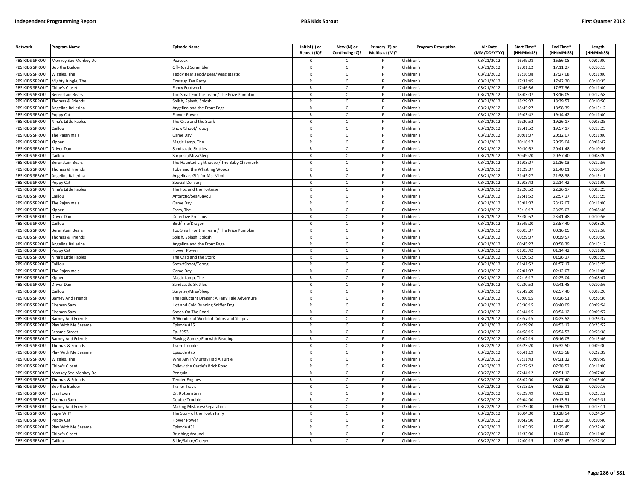| <b>Network</b>        | Program Name                | <b>Episode Name</b>                          | Initial (I) or<br>Repeat (R)? | New (N) or<br>Continuing (C)? | Primary (P) or<br>Multicast (M)? | <b>Program Description</b> | <b>Air Date</b><br>(MM/DD/YYYY) | Start Time*<br>(HH:MM:SS) | End Time*<br>(HH:MM:SS) | Length<br>(HH:MM:SS) |
|-----------------------|-----------------------------|----------------------------------------------|-------------------------------|-------------------------------|----------------------------------|----------------------------|---------------------------------|---------------------------|-------------------------|----------------------|
| PBS KIDS SPROUT       | Monkey See Monkey Do        | Peacock                                      |                               | C                             |                                  | Children's                 | 03/21/2012                      | 16:49:08                  | 16:56:08                | 00:07:00             |
| PBS KIDS SPROUT       | <b>Bob the Builder</b>      | Off-Road Scrambler                           | $\mathsf{R}$                  | $\mathsf{C}$                  | P                                | Children's                 | 03/21/2012                      | 17:01:12                  | 17:11:27                | 00:10:15             |
| PBS KIDS SPROUT       | Wiggles, The                | eddy Bear, Teddy Bear/Wiggletastic           | $\mathsf{R}$                  | $\mathsf{C}$                  | P                                | Children's                 | 03/21/2012                      | 17:16:08                  | 17:27:08                | 00:11:00             |
| PBS KIDS SPROUT       | Mighty Jungle, The          | Dressup Tea Party                            | $\mathsf{R}$                  | $\mathsf{C}$                  | P                                | Children's                 | 03/21/2012                      | 17:31:45                  | 17:42:20                | 00:10:35             |
| PBS KIDS SPROUT       | Chloe's Closet              | ancy Footwork                                | $\mathsf{R}$                  | $\mathsf{C}$                  | P                                | Children's                 | 03/21/2012                      | 17:46:36                  | 17:57:36                | 00:11:00             |
| PBS KIDS SPROUT       | <b>Berenstain Bears</b>     | Too Small For the Team / The Prize Pumpkin   | $\mathsf{R}$                  | $\mathsf{C}$                  | P                                | Children's                 | 03/21/2012                      | 18:03:07                  | 18:16:05                | 00:12:58             |
| PBS KIDS SPROUT       | Thomas & Friends            | Splish, Splash, Splosh                       | $\mathsf{R}$                  | C                             | P                                | Children's                 | 03/21/2012                      | 18:29:07                  | 18:39:57                | 00:10:50             |
| PBS KIDS SPROUT       | Angelina Ballerina          | Angelina and the Front Page                  | $\mathsf{R}$                  | $\mathsf{C}$                  | P                                | Children's                 | 03/21/2012                      | 18:45:27                  | 18:58:39                | 00:13:12             |
| PBS KIDS SPROUT       | Poppy Cat                   | lower Power                                  | R                             | C                             |                                  | Children's                 | 03/21/2012                      | 19:03:42                  | 19:14:42                | 00:11:00             |
| PBS KIDS SPROUT       | <b>lina's Little Fables</b> | he Crab and the Stork                        | $\mathsf{R}$                  | $\mathsf{C}$                  | P                                | Children's                 | $\sqrt{03}/21/2012$             | 19:20:52                  | 19:26:17                | 00:05:25             |
| <b>BS KIDS SPROUT</b> | `aillou                     | Snow/Shoot/Tobog                             | R                             | $\mathsf{C}$                  |                                  | Children's                 | 03/21/2012                      | 19:41:52                  | 19:57:17                | 00:15:25             |
| PBS KIDS SPROUT       | he Pajanimals               | Game Day                                     | $\mathsf{R}$                  | $\mathsf{C}$                  |                                  | Children's                 | 03/21/2012                      | 20:01:07                  | 20:12:07                | 00:11:00             |
| PBS KIDS SPROUT       | Kipper                      | Magic Lamp, The                              | R                             | C                             | P                                | Children's                 | 03/21/2012                      | 20:16:17                  | 20:25:04                | 00:08:47             |
| PBS KIDS SPROUT       | )river Dan                  | andcastle Skittles                           | $\mathsf{R}$                  | $\mathsf{C}$                  |                                  | Children's                 | 03/21/2012                      | 20:30:52                  | 20:41:48                | 00:10:56             |
| PBS KIDS SPROUT       | Caillou                     | Surprise/Miss/Sleep                          | $\mathsf{R}$                  | $\mathsf{C}$                  | P                                | Children's                 | 03/21/2012                      | 20:49:20                  | 20:57:40                | 00:08:20             |
| PBS KIDS SPROUT       | Berenstain Bears            | The Haunted Lighthouse / The Baby Chipmunk   | $\mathsf{R}$                  | $\mathsf{C}$                  |                                  | Children's                 | 03/21/2012                      | 21:03:07                  | 21:16:03                | 00:12:56             |
| PBS KIDS SPROUT       | Thomas & Friends            | Toby and the Whistling Woods                 | R                             | $\mathsf{C}$                  | P                                | Children's                 | 03/21/2012                      | 21:29:07                  | 21:40:01                | 00:10:54             |
| PBS KIDS SPROUT       | ngelina Ballerina           | Ingelina's Gift for Ms. Mimi                 | $\mathsf{R}$                  | $\mathsf{C}$                  | P                                | Children's                 | 03/21/2012                      | 21:45:27                  | 21:58:38                | 00:13:11             |
| PBS KIDS SPROUT       | oppy Cat                    | Special Delivery                             | $\mathsf{R}$                  | $\mathsf{C}$                  | P                                | Children's                 | 03/21/2012                      | 22:03:42                  | 22:14:42                | 00:11:00             |
| PBS KIDS SPROUT       | Nina's Little Fables        | The Fox and the Tortoise                     | $\mathsf{R}$                  | $\mathsf{C}$                  | P                                | Children's                 | 03/21/2012                      | 22:20:52                  | 22:26:17                | 00:05:25             |
| PBS KIDS SPROUT       | Caillou                     | Antarctic/Sea/Bayou                          | R                             | $\mathsf{C}$                  | P                                | Children's                 | 03/21/2012                      | 22:41:52                  | 22:57:17                | 00:15:25             |
| PBS KIDS SPROUT       | The Pajanimals              | Game Day                                     | $\mathsf{R}$                  | C                             | P                                | Children's                 | 03/21/2012                      | 23:01:07                  | 23:12:07                | 00:11:00             |
| PBS KIDS SPROUT       | Kipper                      | Farm, The                                    | $\mathsf{R}$                  | $\mathsf{C}$                  | P                                | Children's                 | 03/21/2012                      | 23:16:17                  | 23:25:03                | 00:08:46             |
| PBS KIDS SPROUT       | Driver Dan                  | Detective Precious                           | R                             | Ċ                             |                                  | Children's                 | $\sqrt{03}/21/2012$             | 23:30:52                  | 23:41:48                | 00:10:56             |
| PBS KIDS SPROUT       | aillou                      | Bird/Trip/Dragon                             | $\mathsf{R}$                  | $\mathsf{C}$                  | P                                | Children's                 | $\sqrt{03}/21/2012$             | 23:49:20                  | 23:57:40                | 00:08:20             |
| <b>BS KIDS SPROUT</b> | Berenstain Bears            | oo Small For the Team / The Prize Pumpkin    | R                             | $\mathsf{C}$                  |                                  | Children's                 | 03/21/2012                      | 00:03:07                  | 00:16:05                | 00:12:58             |
| PBS KIDS SPROUT       | homas & Friends             | Splish, Splash, Splosh                       | $\mathsf{R}$                  | $\epsilon$                    |                                  | Children's                 | 03/21/2012                      | 00:29:07                  | 00:39:57                | 00:10:50             |
| PBS KIDS SPROUT       | Angelina Ballerina          | Angelina and the Front Page                  | R                             | C                             | P                                | Children's                 | 03/21/2012                      | 00:45:27                  | 00:58:39                | 00:13:12             |
| PBS KIDS SPROUT       | oppy Cat                    | lower Power                                  | $\mathsf{R}$                  | $\mathsf{C}$                  | P                                | Children's                 | 03/21/2012                      | 01:03:42                  | 01:14:42                | 00:11:00             |
| PBS KIDS SPROUT       | Nina's Little Fables        | The Crab and the Stork                       | $\mathsf{R}$                  | $\mathsf{C}$                  | P                                | Children's                 | 03/21/2012                      | 01:20:52                  | 01:26:17                | 00:05:25             |
| PBS KIDS SPROUT       | aillou                      | Snow/Shoot/Tobog                             | $\mathsf{R}$                  | $\mathsf{C}$                  | D                                | Children's                 | 03/21/2012                      | 01:41:52                  | 01:57:17                | 00:15:25             |
| PBS KIDS SPROUT       | The Pajanimals              | Game Day                                     | R                             | $\mathsf{C}$                  | P                                | Children's                 | $\sqrt{03}/21/2012$             | 02:01:07                  | 02:12:07                | 00:11:00             |
| PBS KIDS SPROUT       | <i><b>Sipper</b></i>        | Magic Lamp, The                              | $\mathsf{R}$                  | $\mathsf{C}$                  | P                                | Children's                 | 03/21/2012                      | 02:16:17                  | 02:25:04                | 00:08:47             |
| PBS KIDS SPROUT       | Driver Dan                  | Sandcastle Skittles                          | $\mathsf{R}$                  | $\mathsf{C}$                  | P                                | Children's                 | 03/21/2012                      | 02:30:52                  | 02:41:48                | 00:10:56             |
| PBS KIDS SPROUT       | aillou                      | Surprise/Miss/Sleep                          | $\mathsf{R}$                  | C                             |                                  | Children's                 | 03/21/2012                      | 02:49:20                  | 02:57:40                | 00:08:20             |
| PBS KIDS SPROUT       | <b>Barney And Friends</b>   | The Reluctant Dragon: A Fairy Tale Adventure | R                             | $\mathsf{C}$                  | P                                | Children's                 | 03/21/2012                      | 03:00:15                  | 03:26:51                | 00:26:36             |
| PBS KIDS SPROUT       | ireman Sam                  | lot and Cold Running Sniffer Dog             | $\mathsf{R}$                  | C                             | P                                | Children's                 | 03/21/2012                      | 03:30:15                  | 03:40:09                | 00:09:54             |
| PBS KIDS SPROUT       | Fireman Sam                 | Sheep On The Road                            | $\mathsf{R}$                  | $\mathsf{C}$                  | P                                | Children's                 | 03/21/2012                      | 03:44:15                  | 03:54:12                | 00:09:57             |
| PBS KIDS SPROUT       | <b>Barney And Friends</b>   | A Wonderful World of Colors and Shapes       | R                             | Ċ                             |                                  | Children's                 | 03/21/2012                      | 03:57:15                  | 04:23:52                | 00:26:37             |
| PBS KIDS SPROUT       | Play With Me Sesame         | pisode #15                                   | $\mathsf{R}$                  | $\mathsf{C}$                  | P                                | Children's                 | 03/21/2012                      | 04:29:20                  | 04:53:12                | 00:23:52             |
| <b>BS KIDS SPROUT</b> | Sesame Street               | p. 3953                                      | R                             | c                             |                                  | Children's                 | 03/21/2012                      | 04:58:15                  | 05:54:53                | 00:56:38             |
| PBS KIDS SPROUT       | <b>Barney And Friends</b>   | laying Games/Fun with Reading                | $\mathsf{R}$                  | $\mathsf{C}$                  |                                  | Children's                 | 03/22/2012                      | 06:02:19                  | 06:16:05                | 00:13:46             |
| PBS KIDS SPROUT       | Thomas & Friends            | ram Trouble                                  | R                             | C                             | P                                | Children's                 | 03/22/2012                      | 06:23:20                  | 06:32:50                | 00:09:30             |
| PBS KIDS SPROUT       | lay With Me Sesame          | pisode #75                                   | $\mathsf{R}$                  | $\mathsf{C}$                  | P                                | Children's                 | 03/22/2012                      | 06:41:19                  | 07:03:58                | 00:22:39             |
| PBS KIDS SPROUT       | Wiggles, The                | Who Am I?/Murray Had A Turtle                | $\mathsf{R}$                  | $\mathsf{C}$                  | P                                | Children's                 | 03/22/2012                      | 07:11:43                  | 07:21:32                | 00:09:49             |
| PBS KIDS SPROUT       | hloe's Closet               | ollow the Castle's Brick Road                | $\mathsf{R}$                  | $\mathsf{C}$                  | D                                | Children's                 | 03/22/2012                      | 07:27:52                  | 07:38:52                | 00:11:00             |
| PBS KIDS SPROUT       | Monkey See Monkey Do        |                                              | $\mathsf{R}$                  | $\mathsf{C}$                  | P                                | Children's                 | 03/22/2012                      | 07:44:12                  | 07:51:12                | 00:07:00             |
| PBS KIDS SPROUT       |                             | Penguin                                      | $\mathsf{R}$                  | $\mathsf{C}$                  | P                                | Children's                 | 03/22/2012                      | 08:02:00                  | 08:07:40                | 00:05:40             |
|                       | homas & Friends             | ender Engines                                |                               |                               | P                                |                            |                                 |                           |                         |                      |
| PBS KIDS SPROUT       | <b>Bob the Builder</b>      | <b>Frailer Travis</b>                        | R<br>$\mathsf{R}$             | $\mathsf{C}$<br>$\mathsf{C}$  | P                                | Children's                 | 03/22/2012                      | 08:13:16<br>08:29:49      | 08:23:32<br>08:53:01    | 00:10:16<br>00:23:12 |
| PBS KIDS SPROUT       | LazyTown                    | Dr. Rottenstein                              |                               |                               |                                  | Children's                 | 03/22/2012                      |                           |                         |                      |
| PBS KIDS SPROUT       | ireman Sam                  | Double Trouble                               | R<br>$\mathsf{R}$             | $\mathsf{C}$                  | P<br>P                           | Children's                 | 03/22/2012                      | 09:04:00                  | 09:13:31                | 00:09:31             |
| PBS KIDS SPROUT       | <b>Barney And Friends</b>   | Making Mistakes/Separation                   |                               | $\mathsf{C}$                  |                                  | Children's                 | 03/22/2012                      | 09:23:00                  | 09:36:11                | 00:13:11             |
| PBS KIDS SPROUT       | <b>SuperWHY</b>             | The Story of the Tooth Fairy                 | $\mathsf{R}$                  | $\mathsf{C}$                  | P                                | Children's                 | 03/22/2012                      | 10:04:00                  | 10:28:54                | 00:24:54             |
| PBS KIDS SPROUT       | Poppy Cat                   | lower Power                                  | R                             | Ċ                             |                                  | Children's                 | 03/22/2012                      | 10:42:30                  | 10:53:10                | 00:10:40             |
| PBS KIDS SPROUT       | Play With Me Sesame         | pisode #31                                   | $\mathsf{R}$                  | $\mathsf{C}$                  | P                                | Children's                 | 03/22/2012                      | 11:03:05                  | 11:25:45                | 00:22:40             |
| PBS KIDS SPROUT       | <b>Chloe's Closet</b>       | <b>Brushing Around</b>                       | R                             | C                             |                                  | Children's                 | 03/22/2012                      | 11:33:00                  | 11:44:00                | 00:11:00             |
| PBS KIDS SPROUT       | Caillou                     | Slide/Sailor/Creepy                          | R                             | $\mathsf{C}$                  |                                  | Children's                 | 03/22/2012                      | 12:00:15                  | 12:22:45                | 00:22:30             |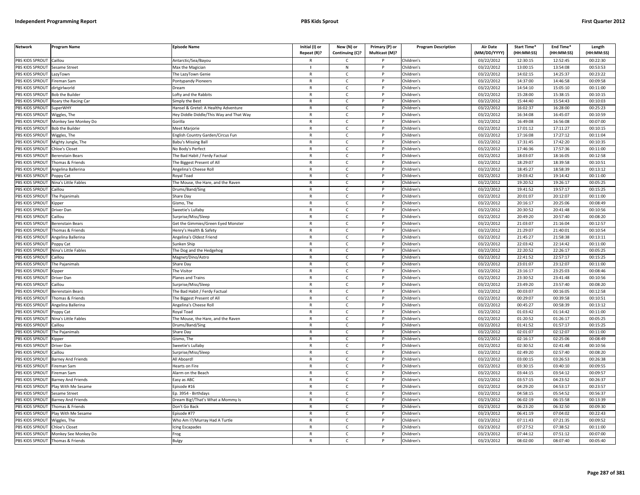| <b>Network</b>                   | Program Name                                                                                                                                                                                                                   | Episode Name                             | Initial (I) or<br>Repeat (R)? | New (N) or<br>Continuing (C)? | Primary (P) or<br>Multicast (M)? | <b>Program Description</b> | <b>Air Date</b><br>(MM/DD/YYYY) | <b>Start Time*</b><br>(HH:MM:SS) | End Time*<br>(HH:MM:SS) | Length<br>(HH:MM:SS) |
|----------------------------------|--------------------------------------------------------------------------------------------------------------------------------------------------------------------------------------------------------------------------------|------------------------------------------|-------------------------------|-------------------------------|----------------------------------|----------------------------|---------------------------------|----------------------------------|-------------------------|----------------------|
| PBS KIDS SPROUT Caillou          |                                                                                                                                                                                                                                | Antarctic/Sea/Bayou                      |                               | C                             |                                  | Children's                 | 03/22/2012                      | 12:30:15                         | 12:52:45                | 00:22:30             |
| PBS KIDS SPROUT                  | <b>Sesame Street</b>                                                                                                                                                                                                           | Max the Magician                         | $\blacksquare$                | N                             | P                                | Children's                 | 03/22/2012                      | 13:00:15                         | 13:54:08                | 00:53:53             |
| PBS KIDS SPROUT                  | LazyTown                                                                                                                                                                                                                       | The LazyTown Genie                       | $\mathsf{R}$                  | $\mathsf{C}$                  | P                                | Children's                 | 03/22/2012                      | 14:02:15                         | 14:25:37                | 00:23:22             |
| PBS KIDS SPROUT                  | ireman Sam                                                                                                                                                                                                                     | Pontypandy Pioneers                      | $\mathsf{R}$                  | $\mathsf{C}$                  | P                                | Children's                 | 03/22/2012                      | 14:37:00                         | 14:46:58                | 00:09:58             |
| PBS KIDS SPROUT                  | dirtgirlworld                                                                                                                                                                                                                  | Dream                                    | R                             | C                             |                                  | Children's                 | 03/22/2012                      | 14:54:10                         | 15:05:10                | 00:11:00             |
| PBS KIDS SPROUT                  | <b>Bob the Builder</b>                                                                                                                                                                                                         | ofty and the Rabbits                     | $\mathsf{R}$                  | $\mathsf{C}$                  |                                  | Children's                 | 03/22/2012                      | 15:28:00                         | 15:38:15                | 00:10:15             |
| <b>BS KIDS SPROUT</b>            | Roary the Racing Car                                                                                                                                                                                                           | Simply the Best                          | R                             | C                             |                                  | Children's                 | 03/22/2012                      | 15:44:40                         | 15:54:43                | 00:10:03             |
| PBS KIDS SPROUT                  | SuperWHY                                                                                                                                                                                                                       | Hansel & Gretel: A Healthy Adventure     | $\mathsf{R}$                  | $\mathsf{C}$                  | D                                | Children's                 | 03/22/2012                      | 16:02:37                         | 16:28:00                | 00:25:23             |
| PBS KIDS SPROUT                  | Wiggles, The                                                                                                                                                                                                                   | Hey Diddle Diddle/This Way and That Way  | $\mathsf{R}$                  | $\mathsf{C}$                  | P                                | Children's                 | 03/22/2012                      | 16:34:08                         | 16:45:07                | 00:10:59             |
| PBS KIDS SPROUT                  | Monkey See Monkey Do                                                                                                                                                                                                           | Sorilla                                  | $\mathsf{R}$                  | $\mathsf{C}$                  | P                                | Children's                 | 03/22/2012                      | 16:49:08                         | 16:56:08                | 00:07:00             |
| PBS KIDS SPROUT                  | <b>Bob the Builder</b>                                                                                                                                                                                                         | Meet Marjorie                            | $\mathsf{R}$                  | $\mathsf{C}$                  | P                                | Children's                 | 03/22/2012                      | 17:01:12                         | 17:11:27                | 00:10:15             |
| PBS KIDS SPROUT                  | Wiggles, The                                                                                                                                                                                                                   | <b>English Country Garden/Circus Fun</b> | $\mathsf{R}$                  | $\mathsf{C}$                  | D                                | Children's                 | 03/22/2012                      | 17:16:08                         | 17:27:12                | 00:11:04             |
| PBS KIDS SPROUT                  | Mighty Jungle, The                                                                                                                                                                                                             | <b>Babu's Missing Ball</b>               | R                             | $\mathsf{C}$                  | $\mathsf{P}$                     | Children's                 | 03/22/2012                      | 17:31:45                         | 17:42:20                | 00:10:35             |
| PBS KIDS SPROUT                  | hloe's Closet                                                                                                                                                                                                                  | No Body's Perfect                        | $\mathsf{R}$                  | $\mathsf{C}$                  | P                                | Children's                 | 03/22/2012                      | 17:46:36                         | 17:57:36                | 00:11:00             |
| PBS KIDS SPROUT                  | Berenstain Bears                                                                                                                                                                                                               | The Bad Habit / Ferdy Factual            | $\mathsf{R}$                  | $\mathsf{C}$                  | P                                | Children's                 | 03/22/2012                      | 18:03:07                         | 18:16:05                | 00:12:58             |
| PBS KIDS SPROUT                  | Thomas & Friends                                                                                                                                                                                                               | The Biggest Present of All               | $\mathsf{R}$                  | $\mathsf{C}$                  | P                                | Children's                 | 03/22/2012                      | 18:29:07                         | 18:39:58                | 00:10:51             |
| PBS KIDS SPROUT                  | Angelina Ballerina                                                                                                                                                                                                             | Angelina's Cheese Roll                   | $\mathsf{R}$                  | $\mathsf{C}$                  | P                                | Children's                 | 03/22/2012                      | 18:45:27                         | 18:58:39                | 00:13:12             |
| PBS KIDS SPROUT                  | Poppy Cat                                                                                                                                                                                                                      | Royal Toad                               | $\mathsf{R}$                  | $\mathsf{C}$                  | P                                | Children's                 | 03/22/2012                      | 19:03:42                         | 19:14:42                | 00:11:00             |
| PBS KIDS SPROUT                  | Nina's Little Fables                                                                                                                                                                                                           | The Mouse, the Hare, and the Raven       | $\mathsf{R}$                  | C                             | P                                | Children's                 | 03/22/2012                      | 19:20:52                         | 19:26:17                | 00:05:25             |
| PBS KIDS SPROUT                  | Caillou                                                                                                                                                                                                                        | Drums/Band/Sing                          | R                             | $\mathsf{C}$                  | P                                | Children's                 | 03/22/2012                      | 19:41:52                         | 19:57:17                | 00:15:25             |
| PBS KIDS SPROUT                  | The Pajanimals                                                                                                                                                                                                                 | Share Day                                | $\mathsf{R}$                  | $\mathsf{C}$                  | P                                | Children's                 | 03/22/2012                      | 20:01:07                         | 20:12:07                | 00:11:00             |
| PBS KIDS SPROUT                  | Kipper                                                                                                                                                                                                                         | Gismo, The                               | $\mathsf{R}$                  | $\mathsf{C}$                  |                                  | Children's                 | 03/22/2012                      | 20:16:17                         | 20:25:06                | 00:08:49             |
| PBS KIDS SPROUT                  | Driver Dan                                                                                                                                                                                                                     | Sweetie's Lullaby                        | $\mathsf{R}$                  | $\mathsf{C}$                  | D                                | Children's                 | 03/22/2012                      | 20:30:52                         | 20:41:48                | 00:10:56             |
| PBS KIDS SPROUT                  | Caillou                                                                                                                                                                                                                        | Surprise/Miss/Sleep                      | R                             | c                             |                                  | Children's                 | 03/22/2012                      | 20:49:20                         | 20:57:40                | 00:08:20             |
| PBS KIDS SPROUT                  | Berenstain Bears                                                                                                                                                                                                               | Get the Gimmies/Green Eyed Monster       | $\mathsf{R}$                  | $\mathsf{C}$                  |                                  | Children's                 | 03/22/2012                      | 21:03:07                         | 21:16:04                | 00:12:57             |
| PBS KIDS SPROUT                  | Thomas & Friends                                                                                                                                                                                                               | lenry's Health & Safety                  | $\mathsf{R}$                  | $\mathsf{C}$                  | P                                | Children's                 | 03/22/2012                      | 21:29:07                         | 21:40:01                | 00:10:54             |
| PBS KIDS SPROUT                  | Angelina Ballerina                                                                                                                                                                                                             | Angelina's Oldest Friend                 | $\mathsf{R}$                  | $\mathsf{C}$                  | P                                | Children's                 | 03/22/2012                      | 21:45:27                         | 21:58:38                | 00:13:11             |
| PBS KIDS SPROUT                  | Poppy Cat                                                                                                                                                                                                                      | Sunken Ship                              | $\mathsf{R}$                  | $\mathsf{C}$                  | $\mathsf{P}$                     | Children's                 | 03/22/2012                      | 22:03:42                         | 22:14:42                | 00:11:00             |
| PBS KIDS SPROUT                  | <b>Jina's Little Fables</b>                                                                                                                                                                                                    | he Dog and the Hedgehog                  | $\mathsf{R}$                  | $\mathsf{C}$                  | P                                | Children's                 | 03/22/2012                      | 22:20:52                         | 22:26:17                | 00:05:25             |
| PBS KIDS SPROUT                  | aillou:                                                                                                                                                                                                                        | Magnet/Dino/Astro                        | $\mathsf{R}$                  | $\mathsf{C}$                  | $\mathsf{P}$                     | Children's                 | 03/22/2012                      | 22:41:52                         | 22:57:17                | 00:15:25             |
| PBS KIDS SPROUT                  | The Pajanimals                                                                                                                                                                                                                 | Share Day                                | $\mathsf{R}$                  | $\mathsf{C}$                  | P                                | Children's                 | 03/22/2012                      | 23:01:07                         | 23:12:07                | 00:11:00             |
| PBS KIDS SPROUT                  | Kipper                                                                                                                                                                                                                         | The Visitor                              | R                             | $\mathsf{C}$                  | P                                | Children's                 | 03/22/2012                      | 23:16:17                         | 23:25:03                | 00:08:46             |
| PBS KIDS SPROUT                  | Driver Dan                                                                                                                                                                                                                     | Planes and Trains                        | $\mathsf{R}$                  | $\mathsf{C}$                  | P                                | Children's                 | 03/22/2012                      | 23:30:52                         | 23:41:48                | 00:10:56             |
| PBS KIDS SPROUT                  | Caillou                                                                                                                                                                                                                        | Surprise/Miss/Sleep                      | $\mathsf{R}$                  | $\mathsf{C}$                  | P                                | Children's                 | 03/22/2012                      | 23:49:20                         | 23:57:40                | 00:08:20             |
| PBS KIDS SPROUT                  | Berenstain Bears                                                                                                                                                                                                               | The Bad Habit / Ferdy Factual            | $\mathsf{R}$                  | $\mathsf{C}$                  | P                                | Children's                 | 03/22/2012                      | 00:03:07                         | 00:16:05                | 00:12:58             |
| PBS KIDS SPROUT                  | Thomas & Friends                                                                                                                                                                                                               | The Biggest Present of All               | $\mathsf{R}$                  | $\mathsf{C}$                  | P                                | Children's                 | 03/22/2012                      | 00:29:07                         | 00:39:58                | 00:10:51             |
| PBS KIDS SPROUT                  | Angelina Ballerina                                                                                                                                                                                                             | Angelina's Cheese Roll                   | R                             | C                             | P                                | Children's                 | 03/22/2012                      | 00:45:27                         | 00:58:39                | 00:13:12             |
| PBS KIDS SPROUT                  | Poppy Cat                                                                                                                                                                                                                      | Royal Toad                               | $\mathsf{R}$                  | $\mathsf{C}$                  | P                                | Children's                 | 03/22/2012                      | 01:03:42                         | 01:14:42                | 00:11:00             |
| PBS KIDS SPROUT                  | Nina's Little Fables                                                                                                                                                                                                           | The Mouse, the Hare, and the Raven       | R                             | Ċ                             |                                  | Children's                 | 03/22/2012                      | 01:20:52                         | 01:26:17                | 00:05:25             |
| PBS KIDS SPROUT                  | aillou                                                                                                                                                                                                                         | Drums/Band/Sing                          | $\mathsf{R}$                  | $\mathsf{C}$                  | P                                | Children's                 | 03/22/2012                      | 01:41:52                         | 01:57:17                | 00:15:25             |
| <b>BS KIDS SPROUT</b>            | The Pajanimals                                                                                                                                                                                                                 | Share Day                                | $\mathsf{R}$                  | $\mathsf{C}$                  | P                                | Children's                 | 03/22/2012                      | 02:01:07                         | 02:12:07                | 00:11:00             |
| PBS KIDS SPROUT                  | <ipper< td=""><td>Gismo, The</td><td><math>\mathsf{R}</math></td><td><math display="inline">\mathsf{C}</math></td><td>Þ</td><td>Children's</td><td>03/22/2012</td><td>02:16:17</td><td>02:25:06</td><td>00:08:49</td></ipper<> | Gismo, The                               | $\mathsf{R}$                  | $\mathsf{C}$                  | Þ                                | Children's                 | 03/22/2012                      | 02:16:17                         | 02:25:06                | 00:08:49             |
| PBS KIDS SPROUT                  | Driver Dan                                                                                                                                                                                                                     | Sweetie's Lullaby                        | R                             | C                             | P                                | Children's                 | 03/22/2012                      | 02:30:52                         | 02:41:48                | 00:10:56             |
| PBS KIDS SPROUT                  | aillou                                                                                                                                                                                                                         | urprise/Miss/Sleep                       | $\mathsf{R}$                  | $\mathsf{C}$                  | P                                | Children's                 | 03/22/2012                      | 02:49:20                         | 02:57:40                | 00:08:20             |
| PBS KIDS SPROUT                  | <b>Barney And Friends</b>                                                                                                                                                                                                      | All Aboard!                              | $\mathsf{R}$                  | $\mathsf{C}$                  | P                                | Children's                 | 03/22/2012                      | 03:00:15                         | 03:26:53                | 00:26:38             |
| PBS KIDS SPROUT                  | ireman Sam                                                                                                                                                                                                                     | learts on Fire                           | $\mathsf{R}$                  | $\mathsf{C}$                  | P                                | Children's                 | 03/22/2012                      | 03:30:15                         | 03:40:10                | 00:09:55             |
| PBS KIDS SPROUT                  | ireman Sam                                                                                                                                                                                                                     | Alarm on the Beach                       | R                             | $\mathsf{C}$                  | P                                | Children's                 | 03/22/2012                      | 03:44:15                         | 03:54:12                | 00:09:57             |
| PBS KIDS SPROUT                  | Barney And Friends                                                                                                                                                                                                             | asy as ABC                               | $\mathsf{R}$                  | $\mathsf{C}$                  | P                                | Children's                 | 03/22/2012                      | 03:57:15                         | 04:23:52                | 00:26:37             |
| PBS KIDS SPROUT                  | Play With Me Sesame                                                                                                                                                                                                            | pisode #16                               | R                             | $\mathsf{C}$                  | P                                | Children's                 | 03/22/2012                      | 04:29:20                         | 04:53:17                | 00:23:57             |
| PBS KIDS SPROUT                  | Sesame Street                                                                                                                                                                                                                  | Ep. 3954 - Birthdays                     | $\mathsf{R}$                  | $\mathsf{C}$                  |                                  | Children's                 | 03/22/2012                      | 04:58:15                         | 05:54:52                | 00:56:37             |
| PBS KIDS SPROUT                  | <b>Barney And Friends</b>                                                                                                                                                                                                      | Dream Big!/That's What a Mommy Is        | R                             | $\mathsf{C}$                  | P                                | Children's                 | 03/23/2012                      | 06:02:19                         | 06:15:58                | 00:13:39             |
| PBS KIDS SPROUT                  | Thomas & Friends                                                                                                                                                                                                               | Don't Go Back                            | $\mathsf{R}$                  | C                             | P                                | Children's                 | 03/23/2012                      | 06:23:20                         | 06:32:50                | 00:09:30             |
| PBS KIDS SPROUT                  | Play With Me Sesame                                                                                                                                                                                                            | Episode #77                              | $\mathsf{R}$                  | $\mathsf{C}$                  | P                                | Children's                 | 03/23/2012                      | 06:41:19                         | 07:04:02                | 00:22:43             |
| PBS KIDS SPROUT                  | Wiggles, The                                                                                                                                                                                                                   | Who Am I?/Murray Had A Turtle            | R                             | Ċ                             |                                  | Children's                 | 03/23/2012                      | 07:11:43                         | 07:21:35                | 00:09:52             |
| PBS KIDS SPROUT                  | <b>Chloe's Closet</b>                                                                                                                                                                                                          | cing Escapades                           | $\mathsf{R}$                  | $\mathsf{C}$                  | P                                | Children's                 | 03/23/2012                      | 07:27:52                         | 07:38:52                | 00:11:00             |
|                                  | PBS KIDS SPROUT Monkey See Monkey Do                                                                                                                                                                                           | rog                                      | R                             | C                             |                                  | Children's                 | 03/23/2012                      | 07:44:12                         | 07:51:12                | 00:07:00             |
| PBS KIDS SPROUT Thomas & Friends |                                                                                                                                                                                                                                | Bulgy                                    | R                             | $\mathsf{C}$                  |                                  | Children'                  | 03/23/2012                      | 08:02:00                         | 08:07:40                | 00:05:40             |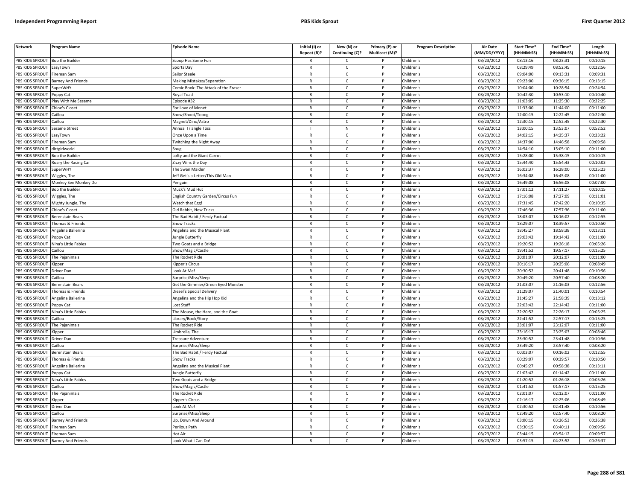| <b>Network</b>         | Program Name              | <b>Episode Name</b>                  | Initial (I) or<br>Repeat (R)? | New (N) or<br>Continuing (C)? | Primary (P) or<br>Multicast (M)? | <b>Program Description</b> | Air Date<br>(MM/DD/YYYY) | Start Time*<br>(HH:MM:SS) | End Time <sup>®</sup><br>(HH:MM:SS) | Length<br>(HH:MM:SS) |
|------------------------|---------------------------|--------------------------------------|-------------------------------|-------------------------------|----------------------------------|----------------------------|--------------------------|---------------------------|-------------------------------------|----------------------|
| PBS KIDS SPROUT        | <b>Bob the Builder</b>    | Scoop Has Some Fun                   |                               | C                             |                                  | Children's                 | 03/23/2012               | 08:13:16                  | 08:23:31                            | 00:10:15             |
| PBS KIDS SPROUT        | LazyTown                  | Sports Day                           | $\mathsf{R}$                  | $\mathsf{C}$                  | $\mathsf{P}$                     | Children's                 | 03/23/2012               | 08:29:49                  | 08:52:45                            | 00:22:56             |
| PBS KIDS SPROUT        | Fireman Sam               | Sailor Steele                        | $\mathsf{R}$                  | $\mathsf{C}$                  | P                                | Children's                 | 03/23/2012               | 09:04:00                  | 09:13:31                            | 00:09:31             |
| <b>PBS KIDS SPROUT</b> | Barney And Friends        | Making Mistakes/Separation           | $\mathbb{R}$                  | $\mathsf{C}$                  | P                                | Children's                 | 03/23/2012               | 09:23:00                  | 09:36:15                            | 00:13:15             |
| PBS KIDS SPROUT        | SuperWHY                  | Comic Book: The Attack of the Eraser | $\mathsf{R}$                  | $\mathsf{C}$                  | P                                | Children's                 | 03/23/2012               | 10:04:00                  | 10:28:54                            | 00:24:54             |
| PBS KIDS SPROUT        | Poppy Cat                 | Royal Toad                           | $\mathsf{R}$                  | $\mathsf{C}$                  |                                  | Children's                 | 03/23/2012               | 10:42:30                  | 10:53:10                            | 00:10:40             |
| PBS KIDS SPROUT        | Play With Me Sesame       | Episode #32                          | R                             | C                             |                                  | Children's                 | 03/23/2012               | 11:03:05                  | 11:25:30                            | 00:22:25             |
| PBS KIDS SPROUT        | Chloe's Closet            | For Love of Monet                    | $\mathsf{R}$                  | $\mathsf{C}$                  | <b>D</b>                         | Children's                 | 03/23/2012               | 11:33:00                  | 11:44:00                            | 00:11:00             |
| PBS KIDS SPROUT        | Caillou                   | Snow/Shoot/Tobog                     | R                             | C                             | P                                | Children's                 | 03/23/2012               | 12:00:15                  | 12:22:45                            | 00:22:30             |
| PBS KIDS SPROUT        | Caillou                   | Magnet/Dino/Astro                    | $\mathsf{R}$                  | $\mathsf{C}$                  | <b>D</b>                         | Children's                 | 03/23/2012               | 12:30:15                  | 12:52:45                            | 00:22:30             |
| PBS KIDS SPROUT        | Sesame Street             | <b>Annual Triangle Toss</b>          |                               | ${\sf N}$                     | P                                | Children's                 | 03/23/2012               | 13:00:15                  | 13:53:07                            | 00:52:52             |
| PBS KIDS SPROUT        | LazyTown                  | Once Upon a Time                     | ${\sf R}$                     | $\mathsf{C}$                  | <b>D</b>                         | Children's                 | 03/23/2012               | 14:02:15                  | 14:25:37                            | 00:23:22             |
| PBS KIDS SPROUT        | Fireman Sam               | <b>Fwitching the Night Away</b>      | $\mathsf{R}$                  | $\mathsf{C}$                  | P                                | Children's                 | 03/23/2012               | 14:37:00                  | 14:46:58                            | 00:09:58             |
| PBS KIDS SPROUT        | dirtgirlworld             | inue                                 | $\mathsf{R}$                  | C                             |                                  | Children's                 | 03/23/2012               | 14:54:10                  | 15:05:10                            | 00:11:00             |
| PBS KIDS SPROUT        | <b>Bob the Builder</b>    | Lofty and the Giant Carrot           | $\mathsf{R}$                  | C                             | P                                | Children's                 | 03/23/2012               | 15:28:00                  | 15:38:15                            | 00:10:15             |
| PBS KIDS SPROUT        | Roary the Racing Car      | Zizzy Wins the Day                   | $\mathsf{R}$                  | $\mathsf{C}$                  | P                                | Children's                 | 03/23/2012               | 15:44:40                  | 15:54:43                            | 00:10:03             |
| PBS KIDS SPROUT        | SuperWHY                  | The Swan Maiden                      | $\mathsf{R}$                  | $\mathsf{C}$                  | $\mathsf{P}$                     | Children's                 | 03/23/2012               | 16:02:37                  | 16:28:00                            | 00:25:23             |
| PBS KIDS SPROUT        | Wiggles, The              | Jeff Get's a Letter/This Old Man     | $\mathsf{R}$                  | $\mathsf{C}$                  | P                                | Children's                 | 03/23/2012               | 16:34:08                  | 16:45:08                            | 00:11:00             |
| PBS KIDS SPROUT        | Monkey See Monkey Do      | Penguin                              | $\mathbb{R}$                  | $\mathsf{C}$                  | P                                | Children's                 | 03/23/2012               | 16:49:08                  | 16:56:08                            | 00:07:00             |
| PBS KIDS SPROUT        | <b>Bob the Builder</b>    | Muck's Mud Hut                       | $\mathsf{R}$                  | C                             | P                                | Children's                 | 03/23/2012               | 17:01:12                  | 17:11:27                            | 00:10:15             |
| PBS KIDS SPROUT        | Wiggles, The              | Inglish Country Garden/Circus Fun    | $\mathsf{R}$                  | $\mathsf{C}$                  |                                  | Children's                 | 03/23/2012               | 17:16:08                  | 17:27:09                            | 00:11:01             |
| PBS KIDS SPROUT        | Mighty Jungle, The        | Watch that Egg!                      | $\mathsf{R}$                  | $\mathsf{C}$                  |                                  | Children's                 | 03/23/2012               | 17:31:45                  | 17:42:20                            | 00:10:35             |
| PBS KIDS SPROUT        | Chloe's Closet            | Old Rabbit, New Tricks               | $\mathsf{R}$                  | $\mathsf{C}$                  | <b>D</b>                         | Children's                 | 03/23/2012               | 17:46:36                  | 17:57:36                            | 00:11:00             |
| PBS KIDS SPROUT        | Berenstain Bears          | The Bad Habit / Ferdy Factual        | R                             | C                             | P                                | Children's                 | 03/23/2012               | 18:03:07                  | 18:16:02                            | 00:12:55             |
| PBS KIDS SPROUT        | Thomas & Friends          | Snow Tracks                          | $\mathbb{R}$                  | $\mathsf{C}$                  | <b>D</b>                         | Children's                 | 03/23/2012               | 18:29:07                  | 18:39:57                            | 00:10:50             |
| PBS KIDS SPROUT        | Angelina Ballerina        | Angelina and the Musical Plant       | $\mathsf{R}$                  | $\mathsf{C}$                  | P                                | Children's                 | 03/23/2012               | 18:45:27                  | 18:58:38                            | 00:13:11             |
| PBS KIDS SPROUT        | Poppy Cat                 | ungle Butterfly                      | $\mathsf{R}$                  | $\mathsf{C}$                  | P                                | Children's                 | 03/23/2012               | 19:03:42                  | 19:14:42                            | 00:11:00             |
| <b>PBS KIDS SPROUT</b> | Nina's Little Fables      | Two Goats and a Bridge               | $\mathsf{R}$                  | $\mathsf{C}$                  | P                                | Children's                 | 03/23/2012               | 19:20:52                  | 19:26:18                            | 00:05:26             |
| PBS KIDS SPROUT        | Caillou                   | Show/Magic/Castle                    | $\mathsf{R}$                  | $\mathsf{C}$                  |                                  | Children's                 | 03/23/2012               | 19:41:52                  | 19:57:17                            | 00:15:25             |
| PBS KIDS SPROUT        | The Pajanimals            | The Rocket Ride                      | $\mathsf{R}$                  | C                             | P                                | Children's                 | 03/23/2012               | 20:01:07                  | 20:12:07                            | 00:11:00             |
| PBS KIDS SPROUT        | <b>Kipper</b>             | Kipper's Circus                      | $\mathsf{R}$                  | $\mathsf{C}$                  | P                                | Children's                 | 03/23/2012               | 20:16:17                  | 20:25:06                            | 00:08:49             |
| PBS KIDS SPROUT        | Driver Dan                | Look At Me!                          | $\mathsf{R}$                  | $\mathsf{C}$                  | P                                | Children's                 | 03/23/2012               | 20:30:52                  | 20:41:48                            | 00:10:56             |
| PBS KIDS SPROUT        | Caillou                   | Surprise/Miss/Sleep                  | $\mathsf{R}$                  | $\mathsf{C}$                  | P                                | Children's                 | 03/23/2012               | 20:49:20                  | 20:57:40                            | 00:08:20             |
| PBS KIDS SPROUT        | Berenstain Bears          | Get the Gimmies/Green Eyed Monster   | $\mathsf{R}$                  | C                             | P                                | Children's                 | 03/23/2012               | 21:03:07                  | 21:16:03                            | 00:12:56             |
| PBS KIDS SPROUT        | Thomas & Friends          | Diesel's Special Delivery            | $\mathsf{R}$                  | C                             | P                                | Children's                 | 03/23/2012               | 21:29:07                  | 21:40:01                            | 00:10:54             |
| PBS KIDS SPROUT        | Angelina Ballerina        | Angelina and the Hip Hop Kid         | $\mathsf{R}$                  | $\mathsf{C}$                  | P                                | Children's                 | 03/23/2012               | 21:45:27                  | 21:58:39                            | 00:13:12             |
| PBS KIDS SPROUT        | Poppy Cat                 | Lost Stuff                           | $\mathsf{R}$                  | $\mathsf{C}$                  |                                  | Children's                 | 03/23/2012               | 22:03:42                  | 22:14:42                            | 00:11:00             |
| PBS KIDS SPROUT        | Nina's Little Fables      | The Mouse, the Hare, and the Goat    | $\mathsf{R}$                  | $\mathsf{C}$                  | <b>D</b>                         | Children's                 | 03/23/2012               | 22:20:52                  | 22:26:17                            | 00:05:25             |
| PBS KIDS SPROUT        | Caillou                   | Library/Book/Story                   | R                             | $\mathsf{C}$                  | P                                | Children's                 | 03/23/2012               | 22:41:52                  | 22:57:17                            | 00:15:25             |
| PBS KIDS SPROUT        | The Pajanimals            | The Rocket Ride                      | $\mathsf{R}$                  | $\mathsf{C}$                  | <b>D</b>                         | Children's                 | 03/23/2012               | 23:01:07                  | 23:12:07                            | 00:11:00             |
| PBS KIDS SPROUT        | Kipper                    | Umbrella, The                        | $\mathsf{R}$                  | $\mathsf{C}$                  | P                                | Children's                 | 03/23/2012               | 23:16:17                  | 23:25:03                            | 00:08:46             |
| PBS KIDS SPROUT        | Driver Dan                | Freasure Adventure                   | $\mathsf{R}$                  | $\mathsf{C}$                  |                                  | Children's                 | 03/23/2012               | 23:30:52                  | 23:41:48                            | 00:10:56             |
| PBS KIDS SPROUT        | Caillou                   | Surprise/Miss/Sleep                  | $\mathsf{R}$                  | $\mathsf{C}$                  | P                                | Children's                 | 03/23/2012               | 23:49:20                  | 23:57:40                            | 00:08:20             |
| PBS KIDS SPROUT        | Berenstain Bears          | The Bad Habit / Ferdy Factual        | $\mathsf{R}$                  | $\mathsf{C}$                  | P                                | Children's                 | 03/23/2012               | 00:03:07                  | 00:16:02                            | 00:12:55             |
| PBS KIDS SPROUT        | Thomas & Friends          | Snow Tracks                          | $\mathsf{R}$                  | $\mathsf{C}$                  | P                                | Children's                 | 03/23/2012               | 00:29:07                  | 00:39:57                            | 00:10:50             |
| PBS KIDS SPROUT        | Angelina Ballerina        | Angelina and the Musical Plant       | $\mathsf{R}$                  | $\mathsf{C}$                  |                                  | Children's                 | 03/23/2012               | 00:45:27                  | 00:58:38                            | 00:13:11             |
| PBS KIDS SPROUT        | Poppy Cat                 | ungle Butterfly                      | $\mathsf{R}$                  | $\mathsf{C}$                  | P                                | Children's                 | 03/23/2012               | 01:03:42                  | 01:14:42                            | 00:11:00             |
| PBS KIDS SPROUT        | Nina's Little Fables      | Two Goats and a Bridge               | $\mathsf{R}$                  | $\mathsf{C}$                  | P                                | Children's                 | 03/23/2012               | 01:20:52                  | 01:26:18                            | 00:05:26             |
| PBS KIDS SPROUT        | Caillou                   | Show/Magic/Castle                    | $\mathsf{R}$                  | C                             | P                                | Children's                 | 03/23/2012               | 01:41:52                  | 01:57:17                            | 00:15:25             |
| PBS KIDS SPROUT        | The Pajanimals            | The Rocket Ride                      | $\mathsf{R}$                  | $\mathsf{C}$                  | P                                | Children's                 | 03/23/2012               | 02:01:07                  | 02:12:07                            | 00:11:00             |
| PBS KIDS SPROUT        | <b>Kipper</b>             | <b>Kipper's Circus</b>               | $\mathsf{R}$                  | $\mathsf{C}$                  | P                                | Children's                 | 03/23/2012               | 02:16:17                  | 02:25:06                            | 00:08:49             |
| PBS KIDS SPROUT        | Driver Dan                | Look At Me!                          | $\mathsf{R}$                  | $\mathsf{C}$                  |                                  | Children's                 | 03/23/2012               | 02:30:52                  | 02:41:48                            | 00:10:56             |
| PBS KIDS SPROUT        | Caillou                   | Surprise/Miss/Sleep                  | $\mathsf{R}$                  | $\mathsf{C}$                  | D                                | Children's                 | 03/23/2012               | 02:49:20                  | 02:57:40                            | 00:08:20             |
| PBS KIDS SPROUT        | <b>Barney And Friends</b> | Up, Down And Around                  | R                             | $\mathsf{C}$                  | D                                | Children's                 | 03/23/2012               | 03:00:15                  | 03:26:53                            | 00:26:38             |
| PBS KIDS SPROUT        | Fireman Sam               | Perilous Path                        | $\mathsf{R}$                  | $\mathsf{C}$                  |                                  | Children's                 | 03/23/2012               | 03:30:15                  | 03:40:11                            | 00:09:56             |
| PBS KIDS SPROUT        | Fireman Sam               | Hot Air                              | $\mathsf{R}$                  | C                             | P                                | Children's                 | 03/23/2012               | 03:44:15                  | 03:54:12                            | 00:09:57             |
| PBS KIDS SPROUT        | <b>Barney And Friends</b> | Look What I Can Do!                  | $\mathsf{R}$                  | $\mathsf{C}$                  | D                                | Children's                 | 03/23/2012               | 03:57:15                  | 04:23:52                            | 00:26:37             |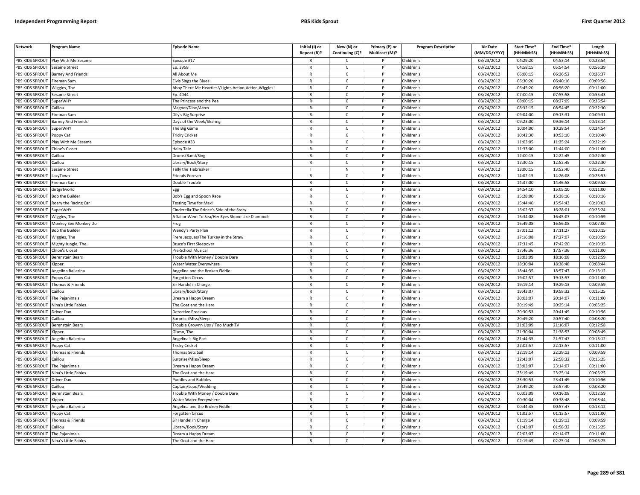| <b>Network</b>         | Program Name                | Episode Name                                          | Initial (I) or<br>Repeat (R)? | New (N) or<br>Continuing (C)? | Primary (P) or<br>Multicast (M)? | <b>Program Description</b> | <b>Air Date</b><br>(MM/DD/YYYY) | Start Time*<br>(HH:MM:SS) | End Time*<br>(HH:MM:SS) | Length<br>(HH:MM:SS) |
|------------------------|-----------------------------|-------------------------------------------------------|-------------------------------|-------------------------------|----------------------------------|----------------------------|---------------------------------|---------------------------|-------------------------|----------------------|
|                        |                             |                                                       |                               |                               |                                  |                            |                                 |                           |                         |                      |
| PBS KIDS SPROUT        | Play With Me Sesame         | pisode #17                                            |                               | $\mathsf{C}$                  |                                  | Children's                 | 03/23/2012                      | 04:29:20                  | 04:53:14                | 00:23:54             |
| PBS KIDS SPROUT        | <b>Sesame Street</b>        | Ep. 3958                                              | R                             | C                             | P                                | Children's                 | 03/23/2012                      | 04:58:15                  | 05:54:54                | 00:56:39             |
| PBS KIDS SPROUT        | <b>Barney And Friends</b>   | All About Me                                          | R                             | $\mathsf{C}$                  | P                                | Children's                 | 03/24/2012                      | 06:00:15                  | 06:26:52                | 00:26:37             |
| PBS KIDS SPROUT        | Fireman Sam                 | <b>Elvis Sings the Blues</b>                          | $\mathsf{R}$                  | $\mathsf{C}$<br>$\mathsf{C}$  | P<br>P                           | Children's                 | 03/24/2012                      | 06:30:20                  | 06:40:16                | 00:09:56             |
| PBS KIDS SPROUT        | Wiggles, The                | Ahoy There Me Hearties!/Lights,Action,Action,Wiggles! | R                             |                               |                                  | Children's                 | 03/24/2012                      | 06:45:20                  | 06:56:20                | 00:11:00             |
| PBS KIDS SPROUT        | Sesame Street               | Ep. 4044                                              | $\mathsf{R}$                  | $\mathsf{C}$                  | P                                | Children's                 | 03/24/2012                      | 07:00:15                  | 07:55:58                | 00:55:43             |
| PBS KIDS SPROUT        | <b>SuperWHY</b>             | The Princess and the Pea                              | $\mathsf{R}$                  | $\mathsf{C}$                  | P                                | Children's                 | 03/24/2012                      | 08:00:15                  | 08:27:09                | 00:26:54             |
| PBS KIDS SPROUT        | Caillou                     | Magnet/Dino/Astro                                     | $\mathsf{R}$                  | $\mathsf{C}$                  | P                                | Children's                 | 03/24/2012                      | 08:32:15                  | 08:54:45                | 00:22:30             |
| PBS KIDS SPROUT        | Fireman Sam                 | Dily's Big Surprise                                   | R                             | C                             |                                  | Children's                 | 03/24/2012                      | 09:04:00                  | 09:13:31                | 00:09:31             |
| PBS KIDS SPROUT        | Barney And Friends          | Days of the Week/Sharing                              | R                             | $\mathsf{C}$                  |                                  | Children's                 | 03/24/2012                      | 09:23:00                  | 09:36:14                | 00:13:14             |
| PBS KIDS SPROUT        | <b>SuperWHY</b>             | The Big Game                                          | R                             | $\mathsf{C}$                  | P                                | Children's                 | 03/24/2012                      | 10:04:00                  | 10:28:54                | 00:24:54             |
| PBS KIDS SPROUT        | Poppy Cat                   | <b>Tricky Cricket</b>                                 | R                             | $\mathcal{C}$                 | <b>D</b>                         | Children's                 | 03/24/2012                      | 10:42:30                  | 10:53:10                | 00:10:40             |
| PBS KIDS SPROUT        | Play With Me Sesame         | Episode #33                                           | $\mathsf{R}$                  | $\mathsf{C}$                  | P                                | Children's                 | 03/24/2012                      | 11:03:05                  | 11:25:24                | 00:22:19             |
| PBS KIDS SPROUT        | Chloe's Closet              | Hairy Tale                                            | R                             | $\mathsf{C}$                  |                                  | Children's                 | 03/24/2012                      | 11:33:00                  | 11:44:00                | 00:11:00             |
| PBS KIDS SPROUT        | Caillou                     | Drums/Band/Sing                                       | $\mathsf{R}$                  | $\mathsf{C}$                  | P                                | Children's                 | 03/24/2012                      | 12:00:15                  | 12:22:45                | 00:22:30             |
| PBS KIDS SPROUT        | Caillou                     | ibrary/Book/Story.                                    | $\mathsf{R}$                  | $\mathsf{C}$                  |                                  | Children's                 | 03/24/2012                      | 12:30:15                  | 12:52:45                | 00:22:30             |
| PBS KIDS SPROUT        | Sesame Street               | Telly the Tiebreaker                                  | $\mathbf{I}$                  | N                             | P                                | Children's                 | 03/24/2012                      | 13:00:15                  | 13:52:40                | 00:52:25             |
| PBS KIDS SPROUT        | azyTown.                    | Friends Forever                                       | $\mathsf{R}$                  | $\mathsf{C}$                  | P                                | Children's                 | 03/24/2012                      | 14:02:15                  | 14:26:08                | 00:23:53             |
| PBS KIDS SPROUT        | ireman Sam                  | Double Trouble                                        | R                             | $\mathsf{C}$                  | P                                | Children's                 | 03/24/2012                      | 14:37:00                  | 14:46:58                | 00:09:58             |
| PBS KIDS SPROUT        | dirtgirlworld               | Egg                                                   | R                             | $\mathsf{C}$                  | P                                | Children's                 | 03/24/2012                      | 14:54:10                  | 15:05:10                | 00:11:00             |
| PBS KIDS SPROUT        | Bob the Builder             | Bob's Egg and Spoon Race                              | $\mathsf{R}$                  | $\mathsf{C}$                  | P                                | Children's                 | 03/24/2012                      | 15:28:00                  | 15:38:16                | 00:10:16             |
| PBS KIDS SPROUT        | Roary the Racing Car        | <b>Testing Time for Maxi</b>                          | $\mathsf{R}$                  | $\mathsf{C}$                  | P                                | Children's                 | 03/24/2012                      | 15:44:40                  | 15:54:43                | 00:10:03             |
| PBS KIDS SPROUT        | <b>SuperWHY</b>             | Cinderella: The Prince's Side of the Story            | $\mathsf{R}$                  | $\mathsf{C}$                  | D                                | Children's                 | 03/24/2012                      | 16:02:37                  | 16:28:01                | 00:25:24             |
| PBS KIDS SPROUT        | Wiggles, The                | A Sailor Went To Sea/Her Eyes Shone Like Diamonds     | R                             | C                             |                                  | Children's                 | 03/24/2012                      | 16:34:08                  | 16:45:07                | 00:10:59             |
| PBS KIDS SPROUT        | Monkey See Monkey Do        | -rog                                                  | $\mathsf{R}$                  | $\mathsf{C}$                  |                                  | Children's                 | 03/24/2012                      | 16:49:08                  | 16:56:08                | 00:07:00             |
| PBS KIDS SPROUT        | <b>Bob the Builder</b>      | Wendy's Party Plan                                    | $\mathsf{R}$                  | $\mathsf{C}$                  | P                                | Children's                 | 03/24/2012                      | 17:01:12                  | 17:11:27                | 00:10:15             |
| PBS KIDS SPROUT        | Niggles, The                | Frere Jacques/The Turkey in the Straw                 | R                             | $\mathsf{C}$                  | P                                | Children's                 | 03/24/2012                      | 17:16:08                  | 17:27:07                | 00:10:59             |
| PBS KIDS SPROUT        | Mighty Jungle, The          | <b>Bruce's First Sleepover</b>                        | $\mathsf{R}$                  | $\mathsf{C}$                  | P                                | Children's                 | 03/24/2012                      | 17:31:45                  | 17:42:20                | 00:10:35             |
| <b>PBS KIDS SPROUT</b> | Chloe's Closet              | Pre-School Musical                                    | $\mathsf{R}$                  | $\mathsf{C}$                  | P                                | Children's                 | 03/24/2012                      | 17:46:36                  | 17:57:36                | 00:11:00             |
| PBS KIDS SPROUT        | Berenstain Bears            | Trouble With Money / Double Dare                      | $\mathsf{R}$                  | $\mathsf{C}$                  | P                                | Children's                 | 03/24/2012                      | 18:03:09                  | 18:16:08                | 00:12:59             |
| PBS KIDS SPROUT        | <b>Kipper</b>               | Water Water Everywhere                                | $\mathsf{R}$                  | C                             | P                                | Children's                 | 03/24/2012                      | 18:30:04                  | 18:38:48                | 00:08:44             |
| PBS KIDS SPROUT        | Angelina Ballerina          | Angelina and the Broken Fiddle                        | R                             | C                             | P                                | Children's                 | 03/24/2012                      | 18:44:35                  | 18:57:47                | 00:13:12             |
| PBS KIDS SPROUT        | Poppy Cat                   | Forgotten Circus                                      | R                             | $\mathsf{C}$                  | P                                | Children's                 | 03/24/2012                      | 19:02:57                  | 19:13:57                | 00:11:00             |
| PBS KIDS SPROUT        | Thomas & Friends            | Sir Handel in Charge                                  | $\mathsf{R}$                  | $\mathsf{C}$                  | P                                | Children's                 | 03/24/2012                      | 19:19:14                  | 19:29:13                | 00:09:59             |
| PBS KIDS SPROUT        | Caillou                     | ibrary/Book/Story.                                    | R                             | $\mathsf{C}$                  | P                                | Children's                 | 03/24/2012                      | 19:43:07                  | 19:58:32                | 00:15:25             |
| <b>PBS KIDS SPROUT</b> | The Paianimals              | Dream a Happy Dream                                   | $\mathsf{R}$                  | $\mathsf{C}$                  | P                                | Children's                 | $\sqrt{03}/24/2012$             | 20:03:07                  | 20:14:07                | 00:11:00             |
| PBS KIDS SPROUT        | Nina's Little Fables        | The Goat and the Hare                                 | R                             | $\mathsf{C}$                  |                                  | Children's                 | 03/24/2012                      | 20:19:49                  | 20:25:14                | 00:05:25             |
| PBS KIDS SPROUT        | Driver Dan                  | <b>Detective Precious</b>                             | $\mathsf{R}$                  | $\mathsf{C}$                  | D                                | Children's                 | 03/24/2012                      | 20:30:53                  | 20:41:49                | 00:10:56             |
| PBS KIDS SPROUT        | Caillou                     | Surprise/Miss/Sleep                                   | R                             | C                             | P                                | Children's                 | 03/24/2012                      | 20:49:20                  | 20:57:40                | 00:08:20             |
| PBS KIDS SPROUT        | Berenstain Bears            | Frouble Grownn Ups / Too Much TV                      | $\mathsf{R}$                  | $\mathsf{C}$                  | P                                | Children's                 | 03/24/2012                      | 21:03:09                  | 21:16:07                | 00:12:58             |
| PBS KIDS SPROUT        | <b>Kipper</b>               | Gismo, The                                            | $\mathsf{R}$                  | $\mathsf{C}$                  | P                                | Children's                 | 03/24/2012                      | 21:30:04                  | 21:38:53                | 00:08:49             |
| PBS KIDS SPROUT        | Angelina Ballerina          | Angelina's Big Part                                   | $\mathsf{R}$                  | $\mathsf{C}$                  | P                                | Children's                 | 03/24/2012                      | 21:44:35                  | 21:57:47                | 00:13:12             |
| PBS KIDS SPROUT        | Poppy Cat                   | <b>Fricky Cricket</b>                                 | $\mathsf{R}$                  | $\mathsf{C}$                  | P                                | Children's                 | 03/24/2012                      | 22:02:57                  | 22:13:57                | 00:11:00             |
| PBS KIDS SPROUT        | Thomas & Friends            | <b>Thomas Sets Sail</b>                               | $\mathsf{R}$                  | $\mathsf{C}$                  | P                                | Children's                 | 03/24/2012                      | 22:19:14                  | 22:29:13                | 00:09:59             |
| PBS KIDS SPROUT        | Caillou                     | Surprise/Miss/Sleep                                   | $\mathsf{R}$                  | $\mathsf{C}$                  | P                                | Children's                 | 03/24/2012                      | 22:43:07                  | 22:58:32                | 00:15:25             |
| PBS KIDS SPROUT        | The Pajanimals              | Dream a Happy Dream                                   | R                             | C                             |                                  | Children's                 | 03/24/2012                      | 23:03:07                  | 23:14:07                | 00:11:00             |
| PBS KIDS SPROUT        | Nina's Little Fables        | The Goat and the Hare                                 | R                             | C                             | P                                | Children's                 | 03/24/2012                      | 23:19:49                  | 23:25:14                | 00:05:25             |
| PBS KIDS SPROUT        | Driver Dan                  | <b>Puddles and Bubbles</b>                            | $\mathsf{R}$                  | $\mathsf{C}$                  | P                                | Children's                 | 03/24/2012                      | 23:30:53                  | 23:41:49                | 00:10:56             |
| PBS KIDS SPROUT        | Caillou                     | Captain/Loud/Wedding                                  | $\mathsf{R}$                  | $\mathsf{C}$                  | P                                | Children's                 | 03/24/2012                      | 23:49:20                  | 23:57:40                | 00:08:20             |
| PBS KIDS SPROUT        | Berenstain Bears            | Frouble With Money / Double Dare                      | R                             | $\mathsf{C}$                  | P                                | Children's                 | 03/24/2012                      | 00:03:09                  | 00:16:08                | 00:12:59             |
| PBS KIDS SPROUT        | (inner                      | Water Water Everywhere                                | $\mathsf{R}$                  | $\mathsf{C}$                  | P                                | Children's                 | $\sqrt{03}/24/2012$             | 00:30:04                  | 00:38:48                | 00:08:44             |
| PBS KIDS SPROUT        | Angelina Ballerina          | Angelina and the Broken Fiddle                        | R                             | $\mathsf{C}$                  |                                  | Children's                 | 03/24/2012                      | 00:44:35                  | 00:57:47                | 00:13:12             |
| PBS KIDS SPROUT        |                             |                                                       | $\mathsf{R}$                  | $\mathsf{C}$                  | D                                | Children's                 | 03/24/2012                      | 01:02:57                  | 01:13:57                | 00:11:00             |
| PBS KIDS SPROUT        | Poppy Cat                   | Forgotten Circus                                      | R                             | C                             | P                                |                            | 03/24/2012                      | 01:19:14                  | 01:29:13                | 00:09:59             |
| PBS KIDS SPROUT        | Thomas & Friends<br>`aillou | Sir Handel in Charge                                  | $\overline{R}$                | $\mathsf{C}$                  |                                  | Children's<br>Children's   |                                 | 01:43:07                  | 01:58:32                | 00:15:25             |
| PBS KIDS SPROUT        |                             | Library/Book/Story                                    |                               | $\mathsf{C}$                  | P                                |                            | 03/24/2012                      | 02:03:07                  |                         | 00:11:00             |
|                        | The Pajanimals              | Dream a Happy Dream                                   | R                             | $\mathsf{C}$                  | <b>D</b>                         | Children's                 | 03/24/2012                      |                           | 02:14:07                |                      |
| PBS KIDS SPROUT        | Nina's Little Fables        | The Goat and the Hare                                 |                               |                               |                                  | Children's                 | 03/24/2012                      | 02:19:49                  | 02:25:14                | 00:05:25             |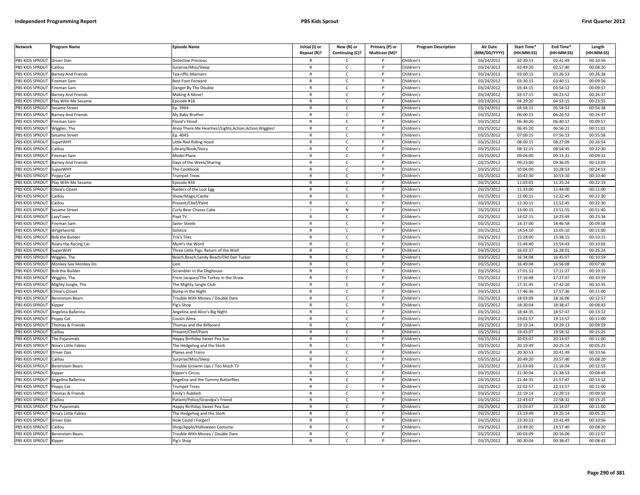| <b>Network</b>        | Program Name              | <b>Episode Name</b>                                   | Initial (I) or<br>Repeat (R)? | New (N) or<br>Continuing (C)? | Primary (P) or<br>Multicast (M)? | <b>Program Description</b> | <b>Air Date</b><br>(MM/DD/YYYY) | Start Time*<br>(HH:MM:SS) | End Time*<br>(HH:MM:SS) | Length<br>(HH:MM:SS) |
|-----------------------|---------------------------|-------------------------------------------------------|-------------------------------|-------------------------------|----------------------------------|----------------------------|---------------------------------|---------------------------|-------------------------|----------------------|
| PBS KIDS SPROUT       | <b>Driver Dan</b>         | Detective Precious                                    |                               | C                             |                                  | Children's                 | 03/24/2012                      | 02:30:53                  | 02:41:49                | 00:10:56             |
| PBS KIDS SPROUT       | Caillou                   | Surprise/Miss/Sleep                                   | $\mathsf{R}$                  | $\mathsf{C}$                  | P                                | Children's                 | 03/24/2012                      | 02:49:20                  | 02:57:40                | 00:08:20             |
| PBS KIDS SPROUT       | <b>Barney And Friends</b> | <b>Fea-riffic Manners</b>                             | $\mathsf{R}$                  | $\mathsf{C}$                  | P                                | Children's                 | 03/24/2012                      | 03:00:15                  | 03:26:53                | 00:26:38             |
| PBS KIDS SPROUT       | ireman Sam                | Best Foot Forward                                     | $\mathsf{R}$                  | $\mathsf{C}$                  | P                                | Children's                 | 03/24/2012                      | 03:30:15                  | 03:40:11                | 00:09:56             |
| PBS KIDS SPROUT       | Fireman Sam               | Danger By The Double                                  | R                             | C                             |                                  | Children's                 | 03/24/2012                      | 03:44:15                  | 03:54:12                | 00:09:57             |
| PBS KIDS SPROUT       | <b>Barney And Friends</b> | Making A Move                                         | $\mathsf{R}$                  | $\mathsf{C}$                  |                                  | Children's                 | 03/24/2012                      | 03:57:15                  | 04:23:52                | 00:26:37             |
| <b>BS KIDS SPROUT</b> | Play With Me Sesame       | pisode #18                                            | R                             | C                             |                                  | Children's                 | 03/24/2012                      | 04:29:20                  | 04:53:15                | 00:23:55             |
| PBS KIDS SPROUT       | esame Street              | p. 3964                                               | $\mathsf{R}$                  | $\mathsf{C}$                  | D                                | Children's                 | 03/24/2012                      | 04:58:15                  | 05:54:53                | 00:56:38             |
| PBS KIDS SPROUT       | Barney And Friends        | My Baby Brother                                       | $\mathsf{R}$                  | $\mathsf{C}$                  | P                                | Children's                 | 03/25/2012                      | 06:00:15                  | 06:26:52                | 00:26:37             |
| PBS KIDS SPROUT       | ireman Sam                | lood's Flood                                          | $\mathsf{R}$                  | $\mathsf{C}$                  | D                                | Children's                 | 03/25/2012                      | 06:30:20                  | 06:40:17                | 00:09:57             |
| PBS KIDS SPROUT       | Wiggles, The              | Ahoy There Me Hearties!/Lights,Action,Action,Wiggles! | $\mathsf{R}$                  | $\mathsf{C}$                  | P                                | Children's                 | 03/25/2012                      | 06:45:20                  | 06:56:21                | 00:11:01             |
| PBS KIDS SPROUT       | Sesame Street             | Ep. 4045                                              | $\mathsf{R}$                  | $\mathsf{C}$                  | P                                | Children's                 | $\sqrt{03}/25/2012$             | 07:00:15                  | 07:56:13                | 00:55:58             |
| PBS KIDS SPROUT       | SuperWHY                  | ittle Red Riding Hood                                 | $\mathsf{R}$                  | $\mathsf{C}$                  | $\mathsf{P}$                     | Children's                 | 03/25/2012                      | 08:00:15                  | 08:27:09                | 00:26:54             |
| PBS KIDS SPROUT       | aillou                    | ibrary/Book/Story.                                    | $\mathsf{R}$                  | $\mathsf{C}$                  | P                                | Children's                 | 03/25/2012                      | 08:32:15                  | 08:54:45                | 00:22:30             |
| PBS KIDS SPROUT       | ireman Sam                | Model Plane                                           | $\mathsf{R}$                  | $\mathsf{C}$                  | P                                | Children's                 | 03/25/2012                      | 09:04:00                  | 09:13:31                | 00:09:31             |
| PBS KIDS SPROUT       | <b>Barney And Friends</b> | Days of the Week/Sharing                              | $\mathsf{R}$                  | $\mathsf{C}$                  | D                                | Children's                 | 03/25/2012                      | 09:23:00                  | 09:36:05                | 00:13:05             |
| PBS KIDS SPROUT       | SuperWHY                  | The Cookbook                                          | $\mathsf{R}$                  | $\mathsf{C}$                  | P                                | Children's                 | 03/25/2012                      | 10:04:00                  | 10:28:53                | 00:24:53             |
| PBS KIDS SPROUT       | Poppy Cat                 | rumpet Trees                                          | $\mathsf{R}$                  | $\mathsf{C}$                  | P                                | Children's                 | 03/25/2012                      | 10:42:30                  | 10:53:10                | 00:10:40             |
| PBS KIDS SPROUT       | Play With Me Sesame       | Episode #34                                           | $\mathsf{R}$                  | C                             | P                                | Children's                 | 03/25/2012                      | 11:03:05                  | 11:25:24                | 00:22:19             |
| PBS KIDS SPROUT       | <b>Chloe's Closet</b>     | Raiders of the Lost Egg                               | R                             | $\mathsf{C}$                  | P                                | Children's                 | 03/25/2012                      | 11:33:00                  | 11:44:00                | 00:11:00             |
| PBS KIDS SPROUT       | aillou                    | Show/Magic/Castle                                     | $\mathsf{R}$                  | $\mathsf{C}$                  | P                                | Children's                 | 03/25/2012                      | 12:00:15                  | 12:22:45                | 00:22:30             |
| PBS KIDS SPROUT       | Caillou                   | Present/Chef/Paint                                    | $\mathsf{R}$                  | $\mathsf{C}$                  |                                  | Children's                 | 03/25/2012                      | 12:30:15                  | 12:52:45                | 00:22:30             |
| PBS KIDS SPROUT       | esame Street              | Curly Bear Chases Cake                                |                               | ${\sf N}$                     | Þ                                | Children's                 | 03/25/2012                      | 13:00:15                  | 13:51:55                | 00:51:40             |
| PBS KIDS SPROUT       | azyTown.                  | ixel TV                                               | $\mathsf{R}$                  | c                             |                                  | Children's                 | 03/25/2012                      | 14:02:15                  | 14:25:49                | 00:23:34             |
| PBS KIDS SPROUT       | ireman Sam                | Sailor Steele                                         | $\mathsf{R}$                  | $\mathsf{C}$                  |                                  | Children's                 | 03/25/2012                      | 14:37:00                  | 14:46:58                | 00:09:58             |
| PBS KIDS SPROUT       | dirtgirlworld             | Solstice                                              | $\mathsf{R}$                  | $\mathsf{C}$                  | P                                | Children's                 | 03/25/2012                      | 14:54:10                  | 15:05:10                | 00:11:00             |
| PBS KIDS SPROUT       | <b>Bob the Builder</b>    | <b>Trix's Tiles</b>                                   | $\mathsf{R}$                  | $\mathsf{C}$                  | P                                | Children's                 | 03/25/2012                      | 15:28:00                  | 15:38:15                | 00:10:15             |
| PBS KIDS SPROUT       | Roary the Racing Car      | Mum's the Word                                        | $\mathsf{R}$                  | $\mathsf{C}$                  | $\mathsf{P}$                     | Children's                 | 03/25/2012                      | 15:44:40                  | 15:54:43                | 00:10:03             |
| PBS KIDS SPROUT       | SuperWHY                  | Three Little Pigs: Return of the Wolf                 | $\mathsf{R}$                  | $\mathsf{C}$                  | P                                | Children's                 | 03/25/2012                      | 16:02:37                  | 16:28:01                | 00:25:24             |
| PBS KIDS SPROUT       | Wiggles, The              | Beach, Beach, Sandy Beach/Old Dan Tucker              | $\mathsf{R}$                  | $\mathsf{C}$                  | $\mathsf{P}$                     | Children's                 | 03/25/2012                      | 16:34:08                  | 16:45:07                | 00:10:59             |
| PBS KIDS SPROUT       | Monkey See Monkey Do      |                                                       | $\mathsf{R}$                  | $\mathsf{C}$                  | P                                | Children's                 | 03/25/2012                      | 16:49:08                  | 16:56:08                | 00:07:00             |
| PBS KIDS SPROUT       | <b>Bob the Builder</b>    | Scrambler in the Doghouse                             | R                             | $\mathsf{C}$                  | P                                | Children's                 | 03/25/2012                      | 17:01:12                  | 17:11:27                | 00:10:15             |
| PBS KIDS SPROUT       | Wiggles, The              | rere Jacques/The Turkey in the Straw                  | $\mathsf{R}$                  | $\mathsf{C}$                  | P                                | Children's                 | 03/25/2012                      | 17:16:08                  | 17:27:07                | 00:10:59             |
| PBS KIDS SPROUT       | Mighty Jungle, The        | The Mighty Jungle Club                                | $\mathsf{R}$                  | $\mathsf{C}$                  | P                                | Children's                 | 03/25/2012                      | 17:31:45                  | 17:42:20                | 00:10:35             |
| PBS KIDS SPROUT       | Chloe's Closet            | Bump in the Night                                     | R                             | $\mathsf{C}$                  | D                                | Children's                 | 03/25/2012                      | 17:46:36                  | 17:57:36                | 00:11:00             |
| PBS KIDS SPROUT       | <b>Berenstain Bears</b>   | rouble With Money / Double Dare                       | $\mathsf{R}$                  | $\mathsf{C}$                  | P                                | Children's                 | 03/25/2012                      | 18:03:09                  | 18:16:06                | 00:12:57             |
| PBS KIDS SPROUT       | Kipper                    | ig's Shop                                             | R                             | C                             |                                  | Children's                 | 03/25/2012                      | 18:30:04                  | 18:38:47                | 00:08:43             |
| PBS KIDS SPROUT       | Angelina Ballerina        | Angelina and Alice's Big Night                        | $\mathsf{R}$                  | $\mathsf{C}$                  | P                                | Children's                 | 03/25/2012                      | 18:44:35                  | 18:57:47                | 00:13:12             |
| PBS KIDS SPROUT       | Poppy Cat                 | Cousin Alma                                           | R                             | Ċ                             |                                  | Children's                 | 03/25/2012                      | 19:02:57                  | 19:13:57                | 00:11:00             |
| PBS KIDS SPROUT       | Thomas & Friends          | homas and the Billboard                               | $\mathsf{R}$                  | $\mathsf{C}$                  | P                                | Children's                 | $\overline{03}/25/2012$         | 19:19:14                  | 19:29:13                | 00:09:59             |
| <b>BS KIDS SPROUT</b> | aillou                    | resent/Chef/Paint                                     | $\mathsf{R}$                  | $\mathsf{C}$                  | P                                | Children's                 | 03/25/2012                      | 19:43:07                  | 19:58:32                | 00:15:25             |
| PBS KIDS SPROUT       | The Pajanimals            | lappy Birthday Sweet Pea Sue                          | $\mathsf{R}$                  | $\mathsf{C}$                  | Þ                                | Children's                 | 03/25/2012                      | 20:03:07                  | 20:14:07                | 00:11:00             |
| PBS KIDS SPROUT       | Nina's Little Fables      | he Hedgehog and the Stork                             | R                             | C                             | P                                | Children's                 | 03/25/2012                      | 20:19:49                  | 20:25:14                | 00:05:25             |
| PBS KIDS SPROUT       | Driver Dan                | lanes and Trains                                      | $\mathsf{R}$                  | $\mathsf{C}$                  | P                                | Children's                 | 03/25/2012                      | 20:30:53                  | 20:41:49                | 00:10:56             |
| PBS KIDS SPROUT       | Caillou                   | Surprise/Miss/Sleep                                   | $\mathsf{R}$                  | $\mathsf{C}$                  | P                                | Children's                 | 03/25/2012                      | 20:49:20                  | 20:57:40                | 00:08:20             |
| PBS KIDS SPROUT       | Berenstain Bears          | rouble Grownn Ups / Too Much TV                       | $\mathsf{R}$                  | $\mathsf{C}$                  | P                                | Children's                 | 03/25/2012                      | 21:03:09                  | 21:16:04                | 00:12:55             |
| PBS KIDS SPROUT       | <b>Kipper</b>             | <b>Kipper's Circus</b>                                | $\mathsf{R}$                  | $\mathsf{C}$                  | P                                | Children's                 | 03/25/2012                      | 21:30:04                  | 21:38:53                | 00:08:49             |
| PBS KIDS SPROUT       | ngelina Ballerina         | ngelina and the Tummy Butterflies                     | $\mathsf{R}$                  | $\mathsf{C}$                  | P                                | Children's                 | 03/25/2012                      | 21:44:35                  | 21:57:47                | 00:13:12             |
| PBS KIDS SPROUT       | oppy Cat                  | rumpet Trees                                          | R                             | $\mathsf{C}$                  | P                                | Children's                 | 03/25/2012                      | 22:02:57                  | 22:13:57                | 00:11:00             |
| PBS KIDS SPROUT       | homas & Friends           | <b>Emily's Rubbish</b>                                | $\mathsf{R}$                  | $\mathsf{C}$                  |                                  | Children's                 | 03/25/2012                      | 22:19:14                  | 22:29:13                | 00:09:59             |
| PBS KIDS SPROUT       | Caillou                   | Patient/Police/Grandpa's Friend                       | R                             | $\mathsf{C}$                  | P                                | Children's                 | 03/25/2012                      | 22:43:07                  | 22:58:32                | 00:15:25             |
| PBS KIDS SPROUT       | The Pajanimals            | lappy Birthday Sweet Pea Sue                          | $\mathsf{R}$                  | C                             | P                                | Children's                 | 03/25/2012                      | 23:03:07                  | 23:14:07                | 00:11:00             |
| PBS KIDS SPROUT       | Nina's Little Fables      | The Hedgehog and the Stork                            | $\mathsf{R}$                  | $\mathsf{C}$                  | P                                | Children's                 | 03/25/2012                      | 23:19:49                  | 23:25:14                | 00:05:25             |
| PBS KIDS SPROUT       | Driver Dan                | low Could I Forget?                                   | R                             | Ċ                             |                                  | Children's                 | 03/25/2012                      | 23:30:53                  | 23:41:49                | 00:10:56             |
| PBS KIDS SPROUT       | Caillou                   | Shop/Apple/Halloween Costume                          | $\mathsf{R}$                  | $\mathsf{C}$                  | P                                | Children's                 | 03/25/2012                      | 23:49:20                  | 23:57:40                | 00:08:20             |
| PBS KIDS SPROUT       | <b>Berenstain Bears</b>   | rouble With Money / Double Dare                       | R                             | C                             |                                  | Children's                 | 03/25/2012                      | 00:03:09                  | 00:16:06                | 00:12:57             |
| PBS KIDS SPROUT       | Kipper                    | <sup>p</sup> ig's Shop                                | R                             | $\mathsf{C}$                  |                                  | Children's                 | 03/25/2012                      | 00:30:04                  | 00:38:47                | 00:08:43             |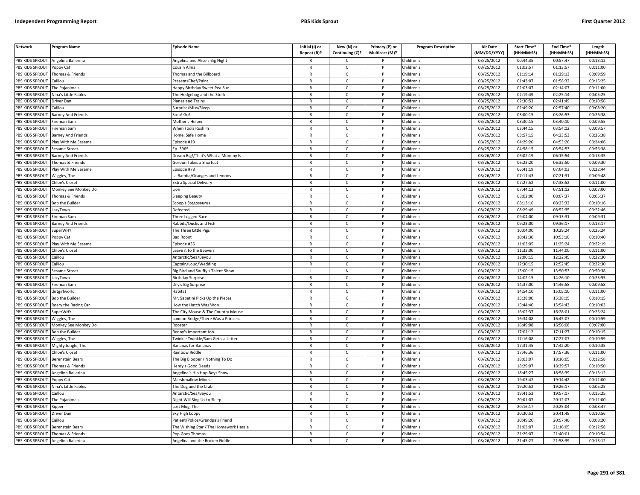| <b>Network</b>                           | Program Name                         | <b>Episode Name</b>                               | Initial (I) or<br>Repeat (R)? | New (N) or<br>Continuing (C)? | Primary (P) or<br>Multicast (M)? | <b>Program Description</b> | Air Date<br>(MM/DD/YYYY) | Start Time*<br>(HH:MM:SS) | End Time*<br>(HH:MM:SS) | Length<br>(HH:MM:SS) |
|------------------------------------------|--------------------------------------|---------------------------------------------------|-------------------------------|-------------------------------|----------------------------------|----------------------------|--------------------------|---------------------------|-------------------------|----------------------|
| PBS KIDS SPROUT                          | Angelina Ballerina                   | Angelina and Alice's Big Night                    | R                             | C                             |                                  | Children's                 | 03/25/2012               | 00:44:35                  | 00:57:47                | 00:13:12             |
| PBS KIDS SPROUT                          | Poppy Cat                            | Cousin Alma                                       | $\mathsf{R}$                  | $\mathsf{C}$                  | P                                | Children's                 | 03/25/2012               | 01:02:57                  | 01:13:57                | 00:11:00             |
| PBS KIDS SPROUT                          | Thomas & Friends                     | homas and the Billboard                           | $\mathsf{R}$                  | $\mathsf{C}$                  | P                                | Children's                 | 03/25/2012               | 01:19:14                  | 01:29:13                | 00:09:59             |
| PBS KIDS SPROUT                          | Caillou                              | Present/Chef/Paint                                | $\mathsf{R}$                  | $\mathsf{C}$                  | D                                | Children's                 | 03/25/2012               | 01:43:07                  | 01:58:32                | 00:15:25             |
| PBS KIDS SPROUT                          | The Pajanimals                       | Happy Birthday Sweet Pea Sue                      | R                             | $\mathsf{C}$                  |                                  | Children's                 | 03/25/2012               | 02:03:07                  | 02:14:07                | 00:11:00             |
| PBS KIDS SPROUT                          | Nina's Little Fables                 | he Hedgehog and the Stork                         | $\mathsf{R}$                  | $\mathsf{C}$                  |                                  | Children's                 | 03/25/2012               | 02:19:49                  | 02:25:14                | 00:05:25             |
| <b>BS KIDS SPROUT</b>                    | Driver Dan                           | Planes and Trains                                 | R                             | C                             |                                  | Children's                 | 03/25/2012               | 02:30:53                  | 02:41:49                | 00:10:56             |
| PBS KIDS SPROUT                          | aillou                               | Surprise/Miss/Sleep                               | $\mathsf{R}$                  | $\mathsf{C}$                  | P                                | Children's                 | 03/25/2012               | 02:49:20                  | 02:57:40                | 00:08:20             |
| PBS KIDS SPROUT                          | <b>Barney And Friends</b>            | Stop! Go!                                         | R                             | $\mathsf{C}$                  | P                                | Children's                 | 03/25/2012               | 03:00:15                  | 03:26:53                | 00:26:38             |
| PBS KIDS SPROUT                          | ireman Sam                           | Mother's Helper                                   | $\mathsf{R}$                  | $\mathsf{C}$                  | P                                | Children's                 | 03/25/2012               | 03:30:15                  | 03:40:10                | 00:09:55             |
| PBS KIDS SPROUT                          | ireman Sam                           | When Fools Rush In                                | $\mathsf{R}$                  | $\mathsf{C}$                  | P                                | Children's                 | 03/25/2012               | 03:44:15                  | 03:54:12                | 00:09:57             |
| PBS KIDS SPROUT                          | <b>Barney And Friends</b>            | Home, Safe Home                                   | $\mathsf{R}$                  | $\mathsf{C}$                  | P                                | Children's                 | 03/25/2012               | 03:57:15                  | 04:23:53                | 00:26:38             |
| PBS KIDS SPROUT                          | Play With Me Sesame                  | pisode #19                                        | $\mathsf{R}$                  | $\mathsf{C}$                  | $\mathsf{P}$                     | Children's                 | 03/25/2012               | 04:29:20                  | 04:53:26                | 00:24:06             |
| PBS KIDS SPROUT                          | esame Street                         | p. 3965                                           | $\mathsf{R}$                  | $\mathsf{C}$                  | P                                | Children's                 | 03/25/2012               | 04:58:15                  | 05:54:53                | 00:56:38             |
| PBS KIDS SPROUT                          | <b>Barney And Friends</b>            | Dream Big!/That's What a Mommy Is                 | $\mathsf{R}$                  | $\mathsf{C}$                  | P                                | Children's                 | 03/26/2012               | 06:02:19                  | 06:15:54                | 00:13:35             |
| PBS KIDS SPROUT                          | Thomas & Friends                     | Gordon Takes a Shortcut                           | $\mathsf{R}$                  | $\mathsf{C}$                  | P                                | Children's                 | 03/26/2012               | 06:23:20                  | 06:32:50                | 00:09:30             |
| PBS KIDS SPROUT                          | Play With Me Sesame                  | pisode #78                                        | $\mathsf{R}$                  | $\mathsf{C}$                  | P                                | Children's                 | 03/26/2012               | 06:41:19                  | 07:04:03                | 00:22:44             |
| PBS KIDS SPROUT                          | Wiggles, The                         | La Bamba/Oranges and Lemons                       | $\mathsf{R}$                  | $\mathsf{C}$                  | P                                | Children's                 | 03/26/2012               | 07:11:43                  | 07:21:31                | 00:09:48             |
| PBS KIDS SPROUT                          | Chloe's Closet                       | <b>Extra Special Delivery</b>                     | $\mathsf{R}$                  | $\mathsf{C}$                  | P                                | Children's                 | 03/26/2012               | 07:27:52                  | 07:38:52                | 00:11:00             |
| PBS KIDS SPROUT                          | Monkey See Monkey Do                 | ion                                               | R                             | C                             | P                                | Children's                 | 03/26/2012               | 07:44:12                  | 07:51:12                | 00:07:00             |
| PBS KIDS SPROUT                          | homas & Friends                      | leeping Beauty                                    | $\mathsf{R}$                  | $\mathsf{C}$                  |                                  | Children's                 | 03/26/2012               | 08:02:00                  | 08:07:37                | 00:05:37             |
| <b>BS KIDS SPROUT</b>                    | <b>Bob the Builder</b>               | Scoop's Stegosaurus                               | R                             | $\mathsf{C}$                  |                                  | Children's                 | 03/26/2012               | 08:13:16                  | 08:23:32                | 00:10:16             |
| PBS KIDS SPROUT                          | azyTown                              | Defeeted                                          | $\mathsf{R}$                  | $\mathsf{C}$                  | Þ                                | Children's                 | 03/26/2012               | 08:29:49                  | 08:52:35                | 00:22:46             |
| PBS KIDS SPROUT                          | ireman Sam                           | hree Legged Race                                  | $\mathsf{R}$                  | $\mathsf{C}$                  | P                                | Children's                 | 03/26/2012               | 09:04:00                  | 09:13:31                | 00:09:31             |
| PBS KIDS SPROUT                          | <b>Barney And Friends</b>            | abbits/Ducks and Fish                             | $\mathsf{R}$                  | $\mathsf{C}$                  | D                                | Children's                 | 03/26/2012               | 09:23:00                  | 09:36:17                | 00:13:17             |
| PBS KIDS SPROUT                          | <b>SuperWHY</b>                      | The Three Little Pigs                             | $\mathsf{R}$                  | $\mathsf{C}$                  | P                                | Children's                 | 03/26/2012               | 10:04:00                  | 10:29:24                | 00:25:24             |
| PBS KIDS SPROUT                          | oppy Cat                             | <b>Bad Robot</b>                                  | $\mathsf{R}$                  | $\mathsf{C}$                  | P                                | Children's                 | 03/26/2012               | 10:42:30                  | 10:53:10                | 00:10:40             |
| PBS KIDS SPROUT                          | Play With Me Sesame                  | pisode #35                                        | R                             | $\mathsf{C}$                  | $\mathsf{P}$                     | Children's                 | 03/26/2012               | 11:03:05                  | 11:25:24                | 00:22:19             |
| PBS KIDS SPROUT                          | hloe's Closet                        | eave it to the Beavers                            | $\mathsf{R}$                  | $\mathsf{C}$                  | P                                | Children's                 | 03/26/2012               | 11:33:00                  | 11:44:00                | 00:11:00             |
| PBS KIDS SPROUT                          | Caillou                              | Antarctic/Sea/Bayou                               | $\mathsf{R}$                  | $\mathsf{C}$                  | P                                | Children's                 | 03/26/2012               | 12:00:15                  | 12:22:45                | 00:22:30             |
| PBS KIDS SPROUT                          | Caillou                              | Captain/Loud/Wedding                              | $\mathsf{R}$                  | $\mathsf{C}$                  | P                                | Children's                 | 03/26/2012               | 12:30:15                  | 12:52:45                | 00:22:30             |
| PBS KIDS SPROUT                          | Sesame Street                        | Big Bird and Snuffy's Talent Show                 | $\mathbf{I}$                  | ${\sf N}$                     | P                                | Children's                 | 03/26/2012               | 13:00:15                  | 13:50:53                | 00:50:38             |
| PBS KIDS SPROUT                          | LazyTown                             | <b>Birthday Surprise</b>                          | $\mathsf{R}$                  | $\mathsf{C}$                  | P                                | Children's                 | 03/26/2012               | 14:02:15                  | 14:26:10                | 00:23:55             |
| PBS KIDS SPROUT                          | ireman Sam                           | Dily's Big Surprise                               | $\mathsf{R}$                  | $\mathsf{C}$                  | P                                | Children's                 | 03/26/2012               | 14:37:00                  | 14:46:58                | 00:09:58             |
| PBS KIDS SPROUT                          | dirtgirlworld                        | <b>Habitat</b>                                    | R                             | C                             | P                                | Children's                 | 03/26/2012               | 14:54:10                  | 15:05:10                | 00:11:00             |
| PBS KIDS SPROUT                          | <b>Bob the Builder</b>               | Mr. Sabatini Picks Up the Pieces                  | $\mathsf{R}$                  | $\mathsf{C}$                  | P                                | Children's                 | 03/26/2012               | 15:28:00                  | 15:38:15                | 00:10:15             |
| <b>BS KIDS SPROUT</b>                    | Roary the Racing Car                 | low the Hatch Was Won                             | R                             | $\mathsf{C}$                  |                                  | Children's                 | 03/26/2012               | 15:44:40                  | 15:54:43                | 00:10:03             |
| PBS KIDS SPROUT                          | SuperWHY                             | The City Mouse & The Country Mouse                | $\mathsf{R}$                  | $\mathsf{C}$                  | Þ                                | Children's                 | 03/26/2012               | 16:02:37                  | 16:28:01                | 00:25:24             |
| PBS KIDS SPROUT                          | Wiggles, The                         | ondon Bridge/There Was a Princess                 | $\mathsf{R}$                  | $\mathsf{C}$                  | P                                | Children's                 | 03/26/2012               | 16:34:08                  | 16:45:07                | 00:10:59             |
| PBS KIDS SPROUT                          | Monkey See Monkey Do                 | Roostei                                           | $\mathsf{R}$                  | $\mathsf{C}$                  |                                  | Children's                 | 03/26/2012               | 16:49:08                  | 16:56:08                | 00:07:00             |
| PBS KIDS SPROUT                          | <b>Bob the Builder</b>               | Benny's Important Job                             | $\mathsf{R}$                  | $\mathsf{C}$                  | P                                | Children's                 | 03/26/2012               | 17:01:12                  | 17:11:27                | 00:10:15             |
| PBS KIDS SPROUT                          | Niggles, The                         | winkle Twinkle/Sam Get's a Letter                 | $\mathsf{R}$                  | $\mathsf{C}$                  | P                                | Children's                 | 03/26/2012               | 17:16:08                  | 17:27:07                | 00:10:59             |
| PBS KIDS SPROUT                          | Mighty Jungle, The                   | Bananas for Bananas                               | R                             | $\mathsf{C}$                  | $\mathsf{P}$                     | Children's                 | 03/26/2012               | 17:31:45                  | 17:42:20                | 00:10:35             |
| PBS KIDS SPROUT                          | Chloe's Closet                       | <b>Rainbow Riddle</b>                             | $\mathsf{R}$                  | $\mathsf{C}$                  | P                                | Children's                 | 03/26/2012               | 17:46:36                  | 17:57:36                | 00:11:00             |
| PBS KIDS SPROUT                          | Berenstain Bears                     | The Big Blooper / Nothing To Do                   | $\mathsf{R}$<br>$\mathsf{R}$  | $\mathsf{C}$<br>$\mathsf{C}$  | P                                | Children's                 | 03/26/2012               | 18:03:07                  | 18:16:05                | 00:12:58             |
| PBS KIDS SPROUT                          | homas & Friends                      | lenry's Good Deeds                                |                               |                               | P                                | Children's                 | 03/26/2012               | 18:29:07<br>18:45:27      | 18:39:57                | 00:10:50             |
| PBS KIDS SPROUT                          | Angelina Ballerina                   | Angelina's Hip Hop Boys Show                      | $\mathsf{R}$                  | $\mathsf{C}$                  |                                  | Children's                 | 03/26/2012               |                           | 18:58:39                | 00:13:12             |
| PBS KIDS SPROUT                          | Poppy Cat                            | Marshmallow Mines                                 | $\mathsf{R}$                  | $\mathsf{C}$                  | P                                | Children's                 | 03/26/2012               | 19:03:42                  | 19:14:42                | 00:11:00             |
| PBS KIDS SPROUT<br>PBS KIDS SPROUT       | Nina's Little Fables<br>Caillou      | The Dog and the Crab<br>Antarctic/Sea/Bayou       | $\mathsf{R}$<br>R             | $\mathsf{C}$<br>$\mathsf{C}$  | P<br>P                           | Children's<br>Children's   | 03/26/2012               | 19:20:52<br>19:41:52      | 19:26:17<br>19:57:17    | 00:05:25<br>00:15:25 |
|                                          | The Paianimals                       |                                                   | $\mathsf{R}$                  | $\mathsf{C}$                  | P                                | Children's                 | 03/26/2012<br>03/26/2012 | 20:01:07                  | 20:12:07                | 00:11:00             |
| PBS KIDS SPROUT<br><b>BS KIDS SPROUT</b> |                                      | light Will Sing Us to Sleep                       | R                             | $\mathsf{C}$                  |                                  | Children's                 | 03/26/2012               | 20:16:17                  | 20:25:04                | 00:08:47             |
|                                          | Kipper                               | Lost Mug, The                                     | $\mathsf{R}$                  |                               | Þ                                |                            |                          |                           |                         |                      |
| PBS KIDS SPROUT                          | Driver Dan                           | Sky High Loopy                                    | R                             | $\mathsf{C}$                  | P                                | Children's                 | 03/26/2012               | 20:30:52                  | 20:41:48<br>20:57:40    | 00:10:56<br>00:08:20 |
| PBS KIDS SPROUT<br>PBS KIDS SPROUT       | Caillou                              | Patient/Police/Grandpa's Friend                   | $\mathsf{R}$                  | $\mathsf{C}$<br>$\mathsf{C}$  |                                  | Children's<br>Children's   | 03/26/2012               | 20:49:20<br>21:03:07      | 21:16:05                | 00:12:58             |
| PBS KIDS SPROUT                          | Berenstain Bears<br>Thomas & Friends | he Wishing Star / The Homework Hassle             | $\mathsf{R}$                  | $\mathsf{C}$                  | P                                | Children's                 | 03/26/2012<br>03/26/2012 | 21:29:07                  | 21:40:01                | 00:10:54             |
| PBS KIDS SPROUT                          | Angelina Ballerina                   | Pop Goes Thomas<br>Angelina and the Broken Fiddle | R                             | Ċ                             | P                                | Children's                 | 03/26/2012               | 21:45:27                  | 21:58:39                | 00:13:12             |
|                                          |                                      |                                                   |                               |                               |                                  |                            |                          |                           |                         |                      |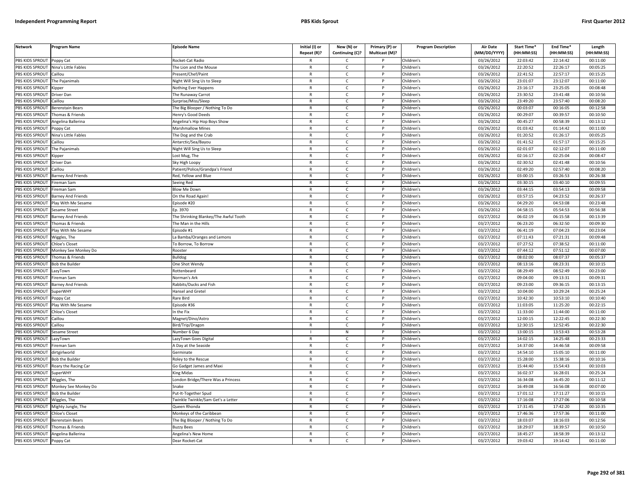| <b>Network</b>         | Program Name              | <b>Episode Name</b>                   | Initial (I) or<br>Repeat (R)? | New (N) or<br>Continuing (C)? | Primary (P) or<br>Multicast (M)? | <b>Program Description</b> | <b>Air Date</b><br>(MM/DD/YYYY) | Start Time*<br>(HH:MM:SS) | End Time*<br>(HH:MM:SS) | Length<br>(HH:MM:SS) |
|------------------------|---------------------------|---------------------------------------|-------------------------------|-------------------------------|----------------------------------|----------------------------|---------------------------------|---------------------------|-------------------------|----------------------|
| PBS KIDS SPROUT        | Poppy Cat                 | Rocket-Cat Radio                      |                               | $\mathsf{C}$                  |                                  | Children's                 | 03/26/2012                      | 22:03:42                  | 22:14:42                | 00:11:00             |
| PBS KIDS SPROUT        | Nina's Little Fables      | The Lion and the Mouse                | $\mathsf{R}$                  | $\mathsf{C}$                  | P                                | Children's                 | 03/26/2012                      | 22:20:52                  | 22:26:17                | 00:05:25             |
| PBS KIDS SPROUT        | Caillou                   | Present/Chef/Paint                    | $\mathsf{R}$                  | $\mathsf{C}$                  |                                  | Children's                 | 03/26/2012                      | 22:41:52                  | 22:57:17                | 00:15:25             |
| PBS KIDS SPROUT        | The Pajanimals            | Night Will Sing Us to Sleep           | $\mathsf{R}$                  | $\mathsf{C}$                  | D                                | Children's                 | 03/26/2012                      | 23:01:07                  | 23:12:07                | 00:11:00             |
| PBS KIDS SPROUT        | <b>Sipper</b>             | <b>Nothing Ever Happens</b>           | $\mathsf{R}$                  | C                             |                                  | Children's                 | 03/26/2012                      | 23:16:17                  | 23:25:05                | 00:08:48             |
| PBS KIDS SPROUT        | Driver Dan                | The Runaway Carrot                    | $\mathsf{R}$                  | $\mathsf{C}$                  | P                                | Children's                 | 03/26/2012                      | 23:30:52                  | 23:41:48                | 00:10:56             |
| PBS KIDS SPROUT        | Caillou                   | Surprise/Miss/Sleep                   | $\mathsf{R}$                  | $\mathsf{C}$                  | P                                | Children's                 | 03/26/2012                      | 23:49:20                  | 23:57:40                | 00:08:20             |
| PBS KIDS SPROUT        | Berenstain Bears          | The Big Blooper / Nothing To Do       | $\mathsf{R}$                  | $\mathsf{C}$                  | <b>D</b>                         | Children's                 | 03/26/2012                      | 00:03:07                  | 00:16:05                | 00:12:58             |
| <b>PBS KIDS SPROUT</b> | Thomas & Friends          | Henry's Good Deeds                    | ${\sf R}$                     | $\mathsf{C}$                  | P                                | Children's                 | 03/26/2012                      | 00:29:07                  | 00:39:57                | 00:10:50             |
| PBS KIDS SPROUT        | Angelina Ballerina        | Angelina's Hip Hop Boys Show          | $\mathsf{R}$                  | $\mathsf{C}$                  |                                  | Children's                 | 03/26/2012                      | 00:45:27                  | 00:58:39                | 00:13:12             |
| PBS KIDS SPROUT        | Poppy Cat                 | <b>Marshmallow Mines</b>              | $\mathsf{R}$                  | C                             | P                                | Children's                 | 03/26/2012                      | 01:03:42                  | 01:14:42                | 00:11:00             |
| PBS KIDS SPROUT        | Nina's Little Fables      | The Dog and the Crab                  | $\mathsf{R}$                  | $\mathsf{C}$                  |                                  | Children's                 | 03/26/2012                      | 01:20:52                  | 01:26:17                | 00:05:25             |
| PBS KIDS SPROUT        | Caillou                   | Antarctic/Sea/Bayou                   | $\mathsf{R}$                  | $\mathsf{C}$                  | P                                | Children's                 | 03/26/2012                      | 01:41:52                  | 01:57:17                | 00:15:25             |
| PBS KIDS SPROUT        | The Pajanimals            | Vight Will Sing Us to Sleep           | $\mathsf{R}$                  | $\mathsf{C}$                  |                                  | Children's                 | 03/26/2012                      | 02:01:07                  | 02:12:07                | 00:11:00             |
| PBS KIDS SPROUT        | <b>Kipper</b>             | Lost Mug, The                         | $\mathsf{R}$                  | $\mathsf{C}$                  | $\mathsf{P}$                     | Children's                 | 03/26/2012                      | 02:16:17                  | 02:25:04                | 00:08:47             |
| PBS KIDS SPROUT        | Driver Dan                | Sky High Loopy                        | $\mathsf{R}$                  | C                             | P                                | Children's                 | 03/26/2012                      | 02:30:52                  | 02:41:48                | 00:10:56             |
| PBS KIDS SPROUT        | Caillou                   | Patient/Police/Grandpa's Friend       | $\mathsf{R}$                  | $\mathsf{C}$                  | P                                | Children's                 | 03/26/2012                      | 02:49:20                  | 02:57:40                | 00:08:20             |
| PBS KIDS SPROUT        | <b>Barney And Friends</b> | Red. Yellow and Blue                  | $\mathsf{R}$                  | $\mathsf{C}$                  | P                                | Children's                 | 03/26/2012                      | 03:00:15                  | 03:26:53                | 00:26:38             |
| PBS KIDS SPROUT        | Fireman Sam               | Seeing Red                            | $\mathsf{R}$                  | $\mathsf{C}$                  | P                                | Children's                 | 03/26/2012                      | 03:30:15                  | 03:40:10                | 00:09:55             |
| PBS KIDS SPROUT        | Fireman Sam               | Blow Me Down                          | $\mathsf{R}$                  | $\mathsf{C}$                  | P                                | Children's                 | 03/26/2012                      | 03:44:15                  | 03:54:13                | 00:09:58             |
| PBS KIDS SPROUT        | Barney And Friends        | On the Road Again!                    | $\mathsf{R}$                  | $\mathsf{C}$                  | D                                | Children's                 | 03/26/2012                      | 03:57:15                  | 04:23:52                | 00:26:37             |
| PBS KIDS SPROUT        | Play With Me Sesame       | Episode #20                           | R                             | C                             |                                  | Children's                 | 03/26/2012                      | 04:29:20                  | 04:53:08                | 00:23:48             |
| PBS KIDS SPROUT        | Sesame Street             | Ep. 3970                              | $\mathsf{R}$                  | $\mathsf{C}$                  | <b>D</b>                         | Children's                 | 03/26/2012                      | 04:58:15                  | 05:54:53                | 00:56:38             |
| PBS KIDS SPROUT        | <b>Barney And Friends</b> | The Shrinking Blankey/The Awful Tooth | $\mathsf{R}$                  | $\mathsf{C}$                  | P                                | Children's                 | 03/27/2012                      | 06:02:19                  | 06:15:58                | 00:13:39             |
| PBS KIDS SPROUT        | Thomas & Friends          | The Man in the Hills                  | $\mathsf{R}$                  | $\mathsf{C}$                  | P                                | Children's                 | 03/27/2012                      | 06:23:20                  | 06:32:50                | 00:09:30             |
| PBS KIDS SPROUT        | Play With Me Sesame       | Episode #1                            | $\mathsf{R}$                  | $\mathsf{C}$                  | P                                | Children's                 | 03/27/2012                      | 06:41:19                  | 07:04:23                | 00:23:04             |
| PBS KIDS SPROUT        | Wiggles, The              | La Bamba/Oranges and Lemons           | $\mathsf{R}$                  | $\mathsf{C}$                  |                                  | Children's                 | 03/27/2012                      | 07:11:43                  | 07:21:31                | 00:09:48             |
| PBS KIDS SPROUT        | <b>Chloe's Closet</b>     | To Borrow, To Borrow                  | $\mathsf{R}$                  | $\mathsf{C}$                  | P                                | Children's                 | 03/27/2012                      | 07:27:52                  | 07:38:52                | 00:11:00             |
| PBS KIDS SPROUT        | Monkey See Monkey Do      | Rooster                               | $\mathsf{R}$                  | $\mathsf{C}$                  |                                  | Children's                 | 03/27/2012                      | 07:44:12                  | 07:51:12                | 00:07:00             |
| PBS KIDS SPROUT        | Thomas & Friends          | Bulldog                               | $\mathsf{R}$                  | C                             | P                                | Children's                 | 03/27/2012                      | 08:02:00                  | 08:07:37                | 00:05:37             |
| PBS KIDS SPROUT        | <b>Bob the Builder</b>    | One Shot Wendy                        | $\mathsf{R}$                  | $\mathsf{C}$                  | P                                | Children's                 | 03/27/2012                      | 08:13:16                  | 08:23:31                | 00:10:15             |
| PBS KIDS SPROUT        | LazyTown                  | Rottenbeard                           | $\mathsf{R}$                  | $\mathsf{C}$                  | $\mathsf{P}$                     | Children's                 | 03/27/2012                      | 08:29:49                  | 08:52:49                | 00:23:00             |
| PBS KIDS SPROUT        | Fireman Sam               | Norman's Ark                          | $\mathsf{R}$                  | $\mathsf{C}$                  | P                                | Children's                 | 03/27/2012                      | 09:04:00                  | 09:13:31                | 00:09:31             |
| PBS KIDS SPROUT        | Barney And Friends        | Rabbits/Ducks and Fish                | $\mathsf{R}$                  | $\mathsf{C}$                  | P                                | Children's                 | 03/27/2012                      | 09:23:00                  | 09:36:15                | 00:13:15             |
| PBS KIDS SPROUT        | <b>SuperWHY</b>           | lansel and Gretel                     | $\mathsf{R}$                  | $\mathsf{C}$                  | P                                | Children's                 | 03/27/2012                      | 10:04:00                  | 10:29:24                | 00:25:24             |
| PBS KIDS SPROUT        | Poppy Cat                 | Rare Bird                             | $\mathsf{R}$                  | $\mathsf{C}$                  | P                                | Children's                 | 03/27/2012                      | 10:42:30                  | 10:53:10                | 00:10:40             |
| PBS KIDS SPROUT        | Play With Me Sesame       | Episode #36                           | $\mathsf{R}$                  | $\mathsf{C}$                  |                                  | Children's                 | 03/27/2012                      | 11:03:05                  | 11:25:20                | 00:22:15             |
| PBS KIDS SPROUT        | Chloe's Closet            | In the Fix                            | $\mathsf{R}$                  | $\mathsf{C}$                  | D                                | Children's                 | 03/27/2012                      | 11:33:00                  | 11:44:00                | 00:11:00             |
| PBS KIDS SPROUT        | Caillou                   | Magnet/Dino/Astro                     | $\mathsf{R}$                  | $\mathsf{C}$                  |                                  | Children's                 | 03/27/2012                      | 12:00:15                  | 12:22:45                | 00:22:30             |
| PBS KIDS SPROUT        | Caillou                   | Bird/Trip/Dragon                      | $\mathsf{R}$                  | $\mathsf{C}$                  |                                  | Children's                 | 03/27/2012                      | 12:30:15                  | 12:52:45                | 00:22:30             |
| PBS KIDS SPROUT        | Sesame Street             | Number 6 Day                          |                               | ${\sf N}$                     | P                                | Children's                 | 03/27/2012                      | 13:00:15                  | 13:53:43                | 00:53:28             |
| PBS KIDS SPROUT        | LazyTown                  | LazyTown Goes Digital                 | $\mathsf{R}$                  | $\mathsf{C}$                  | <b>D</b>                         | Children's                 | 03/27/2012                      | 14:02:15                  | 14:25:48                | 00:23:33             |
| PBS KIDS SPROUT        | Fireman Sam               | A Day at the Seaside                  | $\mathsf{R}$                  | $\mathsf{C}$                  | P                                | Children's                 | 03/27/2012                      | 14:37:00                  | 14:46:58                | 00:09:58             |
| PBS KIDS SPROUT        | dirtgirlworld             | Germinate                             | $\mathsf{R}$                  | $\mathsf{C}$                  |                                  | Children's                 | 03/27/2012                      | 14:54:10                  | 15:05:10                | 00:11:00             |
| PBS KIDS SPROUT        | <b>Bob the Builder</b>    | Roley to the Rescue                   | $\mathsf{R}$                  | $\mathsf{C}$                  | P                                | Children's                 | 03/27/2012                      | 15:28:00                  | 15:38:16                | 00:10:16             |
| PBS KIDS SPROUT        | Roary the Racing Car      | Go Gadget James and Maxi              | $\mathsf{R}$                  | $\mathsf{C}$                  |                                  | Children's                 | 03/27/2012                      | 15:44:40                  | 15:54:43                | 00:10:03             |
| PBS KIDS SPROUT        | SuperWHY                  | King Midas                            | $\mathsf{R}$                  | $\mathsf{C}$                  | P                                | Children's                 | 03/27/2012                      | 16:02:37                  | 16:28:01                | 00:25:24             |
| PBS KIDS SPROUT        | Wiggles, The              | ondon Bridge/There Was a Princess     | $\mathsf{R}$                  | $\mathsf{C}$                  | P                                | Children's                 | 03/27/2012                      | 16:34:08                  | 16:45:20                | 00:11:12             |
| PBS KIDS SPROUT        | Monkey See Monkey Do      | Snake                                 | $\mathsf{R}$                  | $\mathsf{C}$                  | P                                | Children's                 | 03/27/2012                      | 16:49:08                  | 16:56:08                | 00:07:00             |
| PBS KIDS SPROUT        | <b>Bob the Builder</b>    | Put-It-Together Spud                  | $\mathsf{R}$                  | C                             |                                  | Children's                 | 03/27/2012                      | 17:01:12                  | 17:11:27                | 00:10:15             |
| PBS KIDS SPROUT        | Wiggles, The              | Twinkle Twinkle/Sam Get's a Letter    | $\mathsf{R}$                  | $\mathsf{C}$                  | P                                | Children's                 | 03/27/2012                      | 17:16:08                  | 17:27:06                | 00:10:58             |
| PBS KIDS SPROUT        | Mighty Jungle, The        | Queen Rhonda                          | $\mathsf{R}$                  | $\mathsf{C}$                  | P                                | Children's                 | 03/27/2012                      | 17:31:45                  | 17:42:20                | 00:10:35             |
| PBS KIDS SPROUT        | Chloe's Closet            | Monkeys of the Caribbean              | $\mathsf{R}$                  | $\mathsf{C}$                  | P                                | Children's                 | 03/27/2012                      | 17:46:36                  | 17:57:36                | 00:11:00             |
| PBS KIDS SPROUT        | <b>Berenstain Bears</b>   | The Big Blooper / Nothing To Do       | $\mathsf{R}$                  | $\mathsf{C}$                  | P                                | Children's                 | 03/27/2012                      | 18:03:07                  | 18:16:03                | 00:12:56             |
| PBS KIDS SPROUT        | Thomas & Friends          | <b>Buzzy Bees</b>                     | $\mathsf{R}$                  | $\mathsf{C}$                  | P                                | Children's                 | 03/27/2012                      | 18:29:07                  | 18:39:57                | 00:10:50             |
| PBS KIDS SPROUT        | Angelina Ballerina        | Angelina's New Home                   |                               | C                             |                                  | Children's                 | 03/27/2012                      | 18:45:27                  | 18:58:39                | 00:13:12             |
| PBS KIDS SPROUT        | Poppy Cat                 | Dear Rocket-Cat                       | $\mathsf{R}$                  | $\mathsf{C}$                  |                                  | Children's                 | 03/27/2012                      | 19:03:42                  | 19:14:42                | 00:11:00             |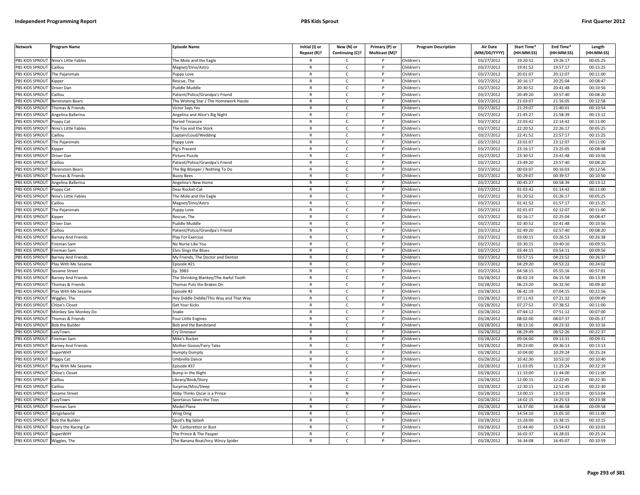| <b>Network</b>               | Program Name                         | <b>Episode Name</b>                     | Initial (I) or<br>Repeat (R)? | New (N) or<br>Continuing (C)? | Primary (P) or<br>Multicast (M)? | <b>Program Description</b> | Air Date<br>(MM/DD/YYYY) | Start Time*<br>(HH:MM:SS) | End Time*<br>(HH:MM:SS) | Length<br>(HH:MM:SS) |
|------------------------------|--------------------------------------|-----------------------------------------|-------------------------------|-------------------------------|----------------------------------|----------------------------|--------------------------|---------------------------|-------------------------|----------------------|
|                              | PBS KIDS SPROUT Nina's Little Fables | The Mole and the Eagle                  | R                             | C                             |                                  | Children's                 | 03/27/2012               | 19:20:52                  | 19:26:17                | 00:05:25             |
| PBS KIDS SPROUT              | Caillou                              | Magnet/Dino/Astro                       | $\mathsf{R}$                  | $\mathsf{C}$                  | P                                | Children's                 | 03/27/2012               | 19:41:52                  | 19:57:17                | 00:15:25             |
| PBS KIDS SPROUT              | The Paianimals                       | uppy Love                               | $\mathsf{R}$                  | $\mathsf{C}$                  | p                                | Children's                 | 03/27/2012               | 20:01:07                  | 20:12:07                | 00:11:00             |
| PBS KIDS SPROUT              | Kipper                               | Rescue, The                             | $\mathsf{R}$                  | $\mathsf{C}$                  | D                                | Children's                 | 03/27/2012               | 20:16:17                  | 20:25:04                | 00:08:47             |
| PBS KIDS SPROUT              | Driver Dan                           | uddle Muddle                            | R                             | $\mathsf{C}$                  |                                  | Children's                 | 03/27/2012               | 20:30:52                  | 20:41:48                | 00:10:56             |
| PBS KIDS SPROUT              | aillou                               | atient/Police/Grandpa's Friend          | $\mathsf{R}$                  | $\mathsf{C}$                  |                                  | Children's                 | 03/27/2012               | 20:49:20                  | 20:57:40                | 00:08:20             |
| <b>BS KIDS SPROUT</b>        | Berenstain Bears                     | he Wishing Star / The Homework Hassle   | R                             | C                             |                                  | Children's                 | 03/27/2012               | 21:03:07                  | 21:16:05                | 00:12:58             |
| PBS KIDS SPROUT              | homas & Friends                      | Victor Says Yes                         | $\mathsf{R}$                  | $\mathsf{C}$                  | Þ                                | Children's                 | 03/27/2012               | 21:29:07                  | 21:40:01                | 00:10:54             |
| PBS KIDS SPROUT              | Angelina Ballerina                   | Angelina and Alice's Big Night          | R                             | $\mathsf{C}$                  | P                                | Children's                 | 03/27/2012               | 21:45:27                  | 21:58:39                | 00:13:12             |
| PBS KIDS SPROUT              | 'oppy Cat                            | <b>Buried Treasure</b>                  | $\mathsf{R}$                  | $\mathsf{C}$                  | P                                | Children's                 | 03/27/2012               | 22:03:42                  | 22:14:42                | 00:11:00             |
| PBS KIDS SPROUT              | Nina's Little Fables                 | The Fox and the Stork                   | $\mathsf{R}$                  | $\mathsf{C}$                  | P                                | Children's                 | 03/27/2012               | 22:20:52                  | 22:26:17                | 00:05:25             |
| PBS KIDS SPROUT              | aillou                               | Captain/Loud/Wedding                    | $\mathsf{R}$                  | $\mathsf{C}$                  | D                                | Children's                 | $\sqrt{03}/27/2012$      | 22:41:52                  | 22:57:17                | 00:15:25             |
| PBS KIDS SPROUT              | The Pajanimals                       | uppy Love                               | $\mathsf{R}$                  | $\mathsf{C}$                  | $\mathsf{P}$                     | Children's                 | 03/27/2012               | 23:01:07                  | 23:12:07                | 00:11:00             |
| PBS KIDS SPROUT              | ippe                                 | ig's Present                            | $\mathsf{R}$                  | C                             |                                  | Children's                 | 03/27/2012               | 23:16:17                  | 23:25:05                | 00:08:48             |
| PBS KIDS SPROUT              | Driver Dan                           | Picture Puzzle                          | $\mathsf{R}$                  | $\mathsf{C}$                  | P                                | Children's                 | 03/27/2012               | 23:30:52                  | 23:41:48                | 00:10:56             |
| PBS KIDS SPROUT              | Caillou                              | Patient/Police/Grandpa's Friend         | R                             | $\mathsf{C}$                  | P                                | Children's                 | 03/27/2012               | 23:49:20                  | 23:57:40                | 00:08:20             |
| PBS KIDS SPROUT              | <b>Berenstain Bears</b>              | The Big Blooper / Nothing To Do         | $\mathsf{R}$                  | $\mathsf{C}$                  | P                                | Children's                 | 03/27/2012               | 00:03:07                  | 00:16:03                | 00:12:56             |
| PBS KIDS SPROUT              | Thomas & Friends                     | <b>Buzzy Bees</b>                       | $\mathsf{R}$                  | $\mathsf{C}$                  | P                                | Children's                 | 03/27/2012               | 00:29:07                  | 00:39:57                | 00:10:50             |
| PBS KIDS SPROUT              | Angelina Ballerina                   | Angelina's New Home                     | $\mathsf{R}$                  | $\mathsf{C}$                  | P                                | Children's                 | 03/27/2012               | 00:45:27                  | 00:58:39                | 00:13:12             |
| PBS KIDS SPROUT              | Poppy Cat                            | Dear Rocket-Cat                         | R                             | C                             | P                                | Children's                 | 03/27/2012               | 01:03:42                  | 01:14:42                | 00:11:00             |
| PBS KIDS SPROUT              | <b>Nina's Little Fables</b>          | The Mole and the Eagle                  | $\mathsf{R}$                  | $\mathsf{C}$                  |                                  | Children's                 | 03/27/2012               | 01:20:52                  | 01:26:17                | 00:05:25             |
| <b>BS KIDS SPROUT</b>        | aillou                               | Magnet/Dino/Astro                       | R                             | $\mathsf{C}$                  |                                  | Children's                 | 03/27/2012               | 01:41:52                  | 01:57:17                | 00:15:25             |
| PBS KIDS SPROUT              | The Pajanimals                       | uppy Love                               | $\mathsf{R}$                  | $\mathsf{C}$                  | Þ                                | Children's                 | 03/27/2012               | 02:01:07                  | 02:12:07                | 00:11:00             |
| PBS KIDS SPROUT              | Kipper                               | Rescue, The                             | $\mathsf{R}$                  | $\mathsf{C}$                  | P                                | Children's                 | 03/27/2012               | 02:16:17                  | 02:25:04                | 00:08:47             |
| PBS KIDS SPROUT              | Driver Dan                           | uddle Muddle                            | $\mathsf{R}$                  | $\mathsf{C}$                  | D                                | Children's                 | 03/27/2012               | 02:30:52                  | 02:41:48                | 00:10:56             |
| PBS KIDS SPROUT              | Caillou                              | Patient/Police/Grandpa's Friend         | $\mathsf{R}$                  | $\mathsf{C}$                  | P                                | Children's                 | 03/27/2012               | 02:49:20                  | 02:57:40                | 00:08:20             |
| PBS KIDS SPROUT              | Barney And Friends                   | Play For Exercise                       | $\mathsf{R}$                  | $\mathsf{C}$                  | P                                | Children's                 | 03/27/2012               | 03:00:15                  | 03:26:53                | 00:26:38             |
| PBS KIDS SPROUT              | ireman Sam                           | No Nurse Like You                       | R                             | $\mathsf{C}$                  | $\mathsf{P}$                     | Children's                 | 03/27/2012               | 03:30:15                  | 03:40:10                | 00:09:55             |
| PBS KIDS SPROUT              | ireman Sam                           | Ivis Sings the Blues                    | $\mathsf{R}$                  | $\mathsf{C}$                  | P                                | Children's                 | 03/27/2012               | 03:44:15                  | 03:54:11                | 00:09:56             |
| PBS KIDS SPROUT              | <b>Barney And Friends</b>            | My Friends, The Doctor and Dentist      | $\mathsf{R}$                  | $\mathsf{C}$                  | P                                | Children's                 | 03/27/2012               | 03:57:15                  | 04:23:52                | 00:26:37             |
| PBS KIDS SPROUT              | Play With Me Sesame                  | pisode #21                              | $\mathsf{R}$                  | $\mathsf{C}$                  | D                                | Children's                 | 03/27/2012               | 04:29:20                  | 04:53:22                | 00:24:02             |
| PBS KIDS SPROUT              | Sesame Street                        | Ep. 3983                                | $\mathsf{R}$                  | $\mathsf{C}$                  | P                                | Children's                 | 03/27/2012               | 04:58:15                  | 05:55:16                | 00:57:01             |
| PBS KIDS SPROUT              | <b>Barney And Friends</b>            | The Shrinking Blankey/The Awful Tooth   | $\mathsf{R}$                  | $\mathsf{C}$                  | P                                | Children's                 | 03/28/2012               | 06:02:19                  | 06:15:58                | 00:13:39             |
| PBS KIDS SPROUT              | Thomas & Friends                     | Thomas Puts the Brakes On               | $\mathsf{R}$                  | $\mathsf{C}$                  | P                                | Children's                 | 03/28/2012               | 06:23:20                  | 06:32:50                | 00:09:30             |
| PBS KIDS SPROUT              | Play With Me Sesame                  | pisode #2                               | R                             | C                             | P                                | Children's                 | 03/28/2012               | 06:41:19                  | 07:04:15                | 00:22:56             |
| PBS KIDS SPROUT              | Niggles, The                         | ley Diddle Diddle/This Way and That Way | $\mathsf{R}$                  | $\mathsf{C}$                  | P                                | Children's                 | 03/28/2012               | 07:11:43                  | 07:21:32                | 00:09:49             |
| <b>BS KIDS SPROUT</b>        | Chloe's Closet                       | Get Your Kicks                          | R                             | $\mathsf{C}$                  |                                  | Children's                 | 03/28/2012               | 07:27:52                  | 07:38:52                | 00:11:00             |
| PBS KIDS SPROUT              | Monkey See Monkey Do                 | Snake                                   | $\mathsf{R}$                  | $\mathsf{C}$                  | Þ                                | Children's                 | 03/28/2012               | 07:44:12                  | 07:51:12                | 00:07:00             |
| PBS KIDS SPROUT              | Thomas & Friends                     | our Little Engines                      | R                             | $\mathsf{C}$                  | P                                | Children's                 | 03/28/2012               | 08:02:00                  | 08:07:37                | 00:05:37             |
| PBS KIDS SPROUT              | Bob the Builder                      | <b>Bob and the Bandstand</b>            | $\mathsf{R}$                  | $\mathsf{C}$                  |                                  | Children's                 | 03/28/2012               | 08:13:16                  | 08:23:32                | 00:10:16             |
| PBS KIDS SPROUT              | .azyTown                             | Cry Dinosaur                            | $\mathsf{R}$                  | $\mathsf{C}$                  | P                                | Children's                 | 03/28/2012               | 08:29:49                  | 08:52:26                | 00:22:37             |
| PBS KIDS SPROUT              | ireman Sam                           | Mike's Rocket                           | $\mathsf{R}$                  | $\mathsf{C}$                  | D                                | Children's                 | 03/28/2012               | 09:04:00                  | 09:13:31                | 00:09:31             |
| PBS KIDS SPROUT              | <b>Barney And Friends</b>            | Mother Goose/Fairy Tales                | R                             | $\mathsf{C}$                  | $\mathsf{P}$                     | Children's                 | 03/28/2012               | 09:23:00                  | 09:36:13                | 00:13:13             |
| PBS KIDS SPROUT              | SuperWHY                             | lumpty Dumpty                           | $\mathsf{R}$                  | $\mathsf{C}$                  | P                                | Children's                 | 03/28/2012               | 10:04:00                  | 10:29:24                | 00:25:24             |
| PBS KIDS SPROUT              | oppy Cat                             | Jmbrella Dance                          | $\mathsf{R}$                  | $\mathsf{C}$                  | P                                | Children's                 | 03/28/2012               | 10:42:30                  | 10:53:10                | 00:10:40             |
| PBS KIDS SPROUT              | lay With Me Sesame                   | pisode #37                              | $\mathsf{R}$                  | $\mathsf{C}$                  |                                  | Children's                 | 03/28/2012               | 11:03:05                  | 11:25:24                | 00:22:19             |
| PBS KIDS SPROUT              | hloe's Closet                        | Bump in the Night                       | $\mathsf{R}$                  | $\mathsf{C}$                  | P                                | Children's                 | 03/28/2012               | 11:33:00                  | 11:44:00                | 00:11:00             |
| PBS KIDS SPROUT              | Caillou                              | ibrary/Book/Story                       | $\mathsf{R}$                  | $\mathsf{C}$                  | P                                | Children's                 | 03/28/2012               | 12:00:15                  | 12:22:45                | 00:22:30             |
| PBS KIDS SPROUT              | Caillou                              | Surprise/Miss/Sleep                     | $\mathsf{R}$                  | $\mathsf{C}$                  | P                                | Children's                 | 03/28/2012               | 12:30:15                  | 12:52:45                | 00:22:30             |
| PBS KIDS SPROUT              | Sesame Street                        | Abby Thinks Oscar is a Prince           |                               | N                             | P                                | Children's                 | 03/28/2012               | 13:00:15                  | 13:53:19                | 00:53:04             |
| PBS KIDS SPROUT              | LazyTown                             | Sportacus Saves the Toys                | $\mathsf{R}$                  | $\mathsf{C}$                  | P                                | Children's                 | 03/28/2012               | 14:02:15                  | 14:25:53                | 00:23:38             |
| <b>BS KIDS SPROUT</b>        | Fireman Sam                          | Model Plane                             | R                             | $\mathsf{C}$                  |                                  | Children's                 | 03/28/2012               | 14:37:00                  | 14:46:58                | 00:09:58             |
| PBS KIDS SPROUT              | lirtgirlworld                        | Wing Ding                               | $\mathsf{R}$                  | $\mathsf{C}$                  | Þ                                | Children's                 | 03/28/2012               | 14:54:10                  | 15:05:10                | 00:11:00             |
| PBS KIDS SPROUT              | <b>Bob the Builder</b>               | Spud's Big Splash                       | R                             | $\mathsf{C}$                  | D                                | Children's                 | 03/28/2012               | 15:28:00                  | 15:38:15                | 00:10:15             |
| PBS KIDS SPROUT              | Roary the Racing Car                 | Mr. Carburettor or Bust                 | $\mathsf{R}$                  | $\mathsf{C}$                  |                                  | Children's                 | 03/28/2012               | 15:44:40                  | 15:54:43                | 00:10:03             |
| PBS KIDS SPROUT              | SuperWHY                             | The Prince & The Pauper                 | $\mathsf{R}$                  | $\mathsf{C}$                  | P                                | Children's                 | 03/28/2012               | 16:02:37                  | 16:28:01                | 00:25:24             |
| PBS KIDS SPROUT Wiggles, The |                                      | The Banana Boat/Incy Wincy Spider       | R                             | Ċ                             | P                                | Children's                 | 03/28/2012               | 16:34:08                  | 16:45:07                | 00:10:59             |
|                              |                                      |                                         |                               |                               |                                  |                            |                          |                           |                         |                      |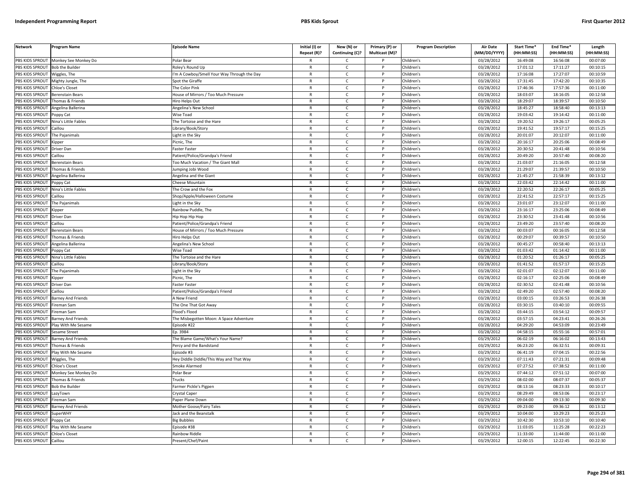| <b>Network</b>         | Program Name              | <b>Episode Name</b>                        | Initial (I) or<br>Repeat (R)? | New (N) or<br>Continuing (C)? | Primary (P) or<br>Multicast (M)? | <b>Program Description</b> | <b>Air Date</b><br>(MM/DD/YYYY) | Start Time*<br>(HH:MM:SS) | End Time <sup>®</sup><br>(HH:MM:SS) | Length<br>(HH:MM:SS) |
|------------------------|---------------------------|--------------------------------------------|-------------------------------|-------------------------------|----------------------------------|----------------------------|---------------------------------|---------------------------|-------------------------------------|----------------------|
| PBS KIDS SPROUT        | Monkey See Monkey Do      | Polar Bear                                 | R                             | C                             |                                  | Children's                 | 03/28/2012                      | 16:49:08                  | 16:56:08                            | 00:07:00             |
| PBS KIDS SPROUT        | <b>Bob the Builder</b>    | Roley's Round Up                           | $\mathsf{R}$                  | $\mathsf{C}$                  | P                                | Children's                 | 03/28/2012                      | 17:01:12                  | 17:11:27                            | 00:10:15             |
| PBS KIDS SPROUT        | Wiggles, The              | 'm A Cowboy/Smell Your Way Through the Day | $\mathsf{R}$                  | $\mathsf{C}$                  | P                                | Children's                 | 03/28/2012                      | 17:16:08                  | 17:27:07                            | 00:10:59             |
| PBS KIDS SPROUT        | Mighty Jungle, The        | Spot the Giraffe                           | $\mathsf{R}$                  | $\mathsf{C}$                  | P                                | Children's                 | 03/28/2012                      | 17:31:45                  | 17:42:20                            | 00:10:35             |
| PBS KIDS SPROUT        | <b>Chloe's Closet</b>     | The Color Pink                             | R                             | $\mathsf{C}$                  | P                                | Children's                 | 03/28/2012                      | 17:46:36                  | 17:57:36                            | 00:11:00             |
| PBS KIDS SPROUT        | <b>Berenstain Bears</b>   | House of Mirrors / Too Much Pressure       | $\mathsf{R}$                  | $\mathsf{C}$                  |                                  | Children's                 | 03/28/2012                      | 18:03:07                  | 18:16:05                            | 00:12:58             |
| PBS KIDS SPROUT        | Thomas & Friends          | Hiro Helps Out                             | $\mathsf{R}$                  | $\mathsf{C}$                  |                                  | Children's                 | 03/28/2012                      | 18:29:07                  | 18:39:57                            | 00:10:50             |
| PBS KIDS SPROUT        | Angelina Ballerina        | Angelina's New School                      | $\mathsf{R}$                  | $\mathsf{C}$                  | P                                | Children's                 | 03/28/2012                      | 18:45:27                  | 18:58:40                            | 00:13:13             |
| PBS KIDS SPROUT        | Poppy Cat                 | Wise Toad                                  | $\mathsf{R}$                  | $\mathsf{C}$                  | P                                | Children's                 | 03/28/2012                      | 19:03:42                  | 19:14:42                            | 00:11:00             |
| PBS KIDS SPROUT        | Nina's Little Fables      | The Tortoise and the Hare                  | $\mathsf{R}$                  | $\mathsf{C}$                  | D                                | Children's                 | 03/28/2012                      | 19:20:52                  | 19:26:17                            | 00:05:25             |
| PBS KIDS SPROUT        | Caillou                   | Library/Book/Story                         | $\mathsf{R}$                  | $\mathsf{C}$                  | P                                | Children's                 | 03/28/2012                      | 19:41:52                  | 19:57:17                            | 00:15:25             |
| PBS KIDS SPROUT        | The Pajanimals            | Light in the Sky                           | $\mathsf{R}$                  | $\mathsf{C}$                  | D                                | Children's                 | 03/28/2012                      | 20:01:07                  | 20:12:07                            | 00:11:00             |
| PBS KIDS SPROUT        | Kipper                    | Picnic, The                                | R                             | $\mathsf{C}$                  | P                                | Children's                 | 03/28/2012                      | 20:16:17                  | 20:25:06                            | 00:08:49             |
| PBS KIDS SPROUT        | Driver Dan                | Faster Faster                              | $\mathsf{R}$                  | $\mathsf{C}$                  | P                                | Children's                 | 03/28/2012                      | 20:30:52                  | 20:41:48                            | 00:10:56             |
| PBS KIDS SPROUT        | Caillou                   | Patient/Police/Grandpa's Friend            | $\mathsf{R}$                  | $\mathsf{C}$                  | P                                | Children's                 | 03/28/2012                      | 20:49:20                  | 20:57:40                            | 00:08:20             |
| PBS KIDS SPROUT        | Berenstain Bears          | Too Much Vacation / The Giant Mall         | $\mathsf{R}$                  | $\mathsf{C}$                  | D                                | Children's                 | 03/28/2012                      | 21:03:07                  | 21:16:05                            | 00:12:58             |
| PBS KIDS SPROUT        | Thomas & Friends          | lumping Jobi Wood                          | $\mathsf{R}$                  | $\mathsf{C}$                  | $\mathsf{P}$                     | Children's                 | 03/28/2012                      | 21:29:07                  | 21:39:57                            | 00:10:50             |
| PBS KIDS SPROUT        | Angelina Ballerina        | Angelina and the Giant                     | $\mathsf{R}$                  | $\mathsf{C}$                  | P                                | Children's                 | 03/28/2012                      | 21:45:27                  | 21:58:39                            | 00:13:12             |
| PBS KIDS SPROUT        | Poppy Cat                 | Cheese Mountain                            | $\mathsf{R}$                  | C                             | P                                | Children's                 | 03/28/2012                      | 22:03:42                  | 22:14:42                            | 00:11:00             |
| PBS KIDS SPROUT        | Nina's Little Fables      | The Crow and the Fox                       | $\mathsf{R}$                  | $\mathsf{C}$                  | P                                | Children's                 | 03/28/2012                      | 22:20:52                  | 22:26:17                            | 00:05:25             |
| PBS KIDS SPROUT        | Caillou                   | Shop/Apple/Halloween Costume               | $\mathsf{R}$                  | $\mathsf{C}$                  | P                                | Children's                 | 03/28/2012                      | 22:41:52                  | 22:57:17                            | 00:15:25             |
| PBS KIDS SPROUT        | The Pajanimals            | Light in the Sky                           | R                             | $\mathsf{C}$                  | p                                | Children's                 | 03/28/2012                      | 23:01:07                  | 23:12:07                            | 00:11:00             |
| PBS KIDS SPROUT        | <b>Kipper</b>             | Rainbow Puddle, The                        | $\mathsf{R}$                  | $\mathsf{C}$                  | p                                | Children's                 | 03/28/2012                      | 23:16:17                  | 23:25:06                            | 00:08:49             |
| PBS KIDS SPROUT        | Driver Dan                | Hip Hop Hip Hop                            | R                             | $\mathsf{C}$                  | P                                | Children's                 | 03/28/2012                      | 23:30:52                  | 23:41:48                            | 00:10:56             |
| PBS KIDS SPROUT        | Caillou                   | Patient/Police/Grandpa's Friend            | $\mathsf{R}$                  | $\mathsf{C}$                  |                                  | Children's                 | 03/28/2012                      | 23:49:20                  | 23:57:40                            | 00:08:20             |
| PBS KIDS SPROUT        | Berenstain Bears          | House of Mirrors / Too Much Pressure       | $\mathsf{R}$                  | $\mathsf{C}$                  | P                                | Children's                 | 03/28/2012                      | 00:03:07                  | 00:16:05                            | 00:12:58             |
| PBS KIDS SPROUT        | Thomas & Friends          | Hiro Helps Out                             | $\mathsf{R}$                  | $\mathsf{C}$                  | P                                | Children's                 | 03/28/2012                      | 00:29:07                  | 00:39:57                            | 00:10:50             |
| PBS KIDS SPROUT        | Angelina Ballerina        | Angelina's New School                      | R                             | $\mathsf{C}$                  | P                                | Children's                 | 03/28/2012                      | 00:45:27                  | 00:58:40                            | 00:13:13             |
| PBS KIDS SPROUT        | oppy Cat                  | Wise Toad                                  | $\mathsf{R}$                  | $\mathsf{C}$                  | P                                | Children's                 | 03/28/2012                      | 01:03:42                  | 01:14:42                            | 00:11:00             |
| PBS KIDS SPROUT        | Nina's Little Fables      | The Tortoise and the Hare                  | $\mathsf{R}$                  | $\mathsf{C}$                  | P                                | Children's                 | 03/28/2012                      | 01:20:52                  | 01:26:17                            | 00:05:25             |
| PBS KIDS SPROUT        | Caillou                   | Library/Book/Story                         | $\mathsf{R}$                  | $\mathsf{C}$                  | P                                | Children's                 | 03/28/2012                      | 01:41:52                  | 01:57:17                            | 00:15:25             |
| PBS KIDS SPROUT        | The Pajanimals            | Light in the Sky                           | R                             | $\mathsf{C}$                  | P                                | Children's                 | 03/28/2012                      | 02:01:07                  | 02:12:07                            | 00:11:00             |
| PBS KIDS SPROUT        | Kipper                    | Picnic, The                                | $\mathsf{R}$                  | $\mathsf{C}$                  | P                                | Children's                 | 03/28/2012                      | 02:16:17                  | 02:25:06                            | 00:08:49             |
| PBS KIDS SPROUT        | Driver Dan                | Faster Faster                              | $\mathsf{R}$                  | $\mathsf{C}$                  | P                                | Children's                 | 03/28/2012                      | 02:30:52                  | 02:41:48                            | 00:10:56             |
| PBS KIDS SPROUT        | Caillou                   | Patient/Police/Grandpa's Friend            | $\mathsf{R}$                  | $\mathsf{C}$                  | P                                | Children's                 | 03/28/2012                      | 02:49:20                  | 02:57:40                            | 00:08:20             |
| <b>PBS KIDS SPROUT</b> | Barney And Friends        | A New Friend                               | $\mathsf{R}$                  | $\mathsf{C}$                  | P                                | Children's                 | 03/28/2012                      | 03:00:15                  | 03:26:53                            | 00:26:38             |
| PBS KIDS SPROUT        | Fireman Sam               | The One That Got Away                      | $\mathsf{R}$                  | C                             | P                                | Children's                 | 03/28/2012                      | 03:30:15                  | 03:40:10                            | 00:09:55             |
| PBS KIDS SPROUT        | Fireman Sam               | Flood's Flood                              | $\mathsf{R}$                  | $\mathsf{C}$                  | P                                | Children's                 | 03/28/2012                      | 03:44:15                  | 03:54:12                            | 00:09:57             |
| PBS KIDS SPROUT        | <b>Barney And Friends</b> | The Misbegotten Moon: A Space Adventure    | R                             | C                             |                                  | Children's                 | 03/28/2012                      | 03:57:15                  | 04:23:41                            | 00:26:26             |
| PBS KIDS SPROUT        | lay With Me Sesame        | Episode #22                                | $\mathsf{R}$                  | $\mathsf{C}$                  | P                                | Children's                 | 03/28/2012                      | 04:29:20                  | 04:53:09                            | 00:23:49             |
| PBS KIDS SPROUT        | Sesame Street             | Ep. 3984                                   | $\mathsf{R}$                  | $\mathsf{C}$                  | p                                | Children's                 | 03/28/2012                      | 04:58:15                  | 05:55:16                            | 00:57:01             |
| PBS KIDS SPROUT        | Barney And Friends        | The Blame Game/What's Your Name?           | $\mathsf{R}$                  | $\mathsf{C}$                  |                                  | Children's                 | 03/29/2012                      | 06:02:19                  | 06:16:02                            | 00:13:43             |
| PBS KIDS SPROUT        | Thomas & Friends          | Percy and the Bandstand                    | R                             | C                             | P                                | Children's                 | 03/29/2012                      | 06:23:20                  | 06:32:51                            | 00:09:31             |
| PBS KIDS SPROUT        | lay With Me Sesame        | Episode #3                                 | $\mathsf{R}$                  | $\mathsf{C}$                  | P                                | Children's                 | 03/29/2012                      | 06:41:19                  | 07:04:15                            | 00:22:56             |
| PBS KIDS SPROUT        | Wiggles, The              | Hey Diddle Diddle/This Way and That Way    | $\mathsf{R}$                  | $\mathsf{C}$                  | P                                | Children's                 | 03/29/2012                      | 07:11:43                  | 07:21:31                            | 00:09:48             |
| PBS KIDS SPROUT        | Chloe's Closet            | Smoke Alarmed                              | R                             | $\mathsf{C}$                  | D                                | Children's                 | 03/29/2012                      | 07:27:52                  | 07:38:52                            | 00:11:00             |
| PBS KIDS SPROUT        | Monkey See Monkey Do      | Polar Bear                                 | R                             | $\mathsf{C}$                  | P                                | Children's                 | 03/29/2012                      | 07:44:12                  | 07:51:12                            | 00:07:00             |
| PBS KIDS SPROUT        | Thomas & Friends          | <b>rucks</b>                               | $\mathsf{R}$                  | $\mathsf{C}$                  | P                                | Children's                 | 03/29/2012                      | 08:02:00                  | 08:07:37                            | 00:05:37             |
| PBS KIDS SPROUT        | <b>Bob the Builder</b>    | Farmer Pickle's Pigpen                     | R                             | $\mathsf{C}$                  | P                                | Children's                 | 03/29/2012                      | 08:13:16                  | 08:23:33                            | 00:10:17             |
| PBS KIDS SPROUT        | LazyTown                  | Crystal Caper                              | $\mathsf{R}$                  | C                             | P                                | Children's                 | 03/29/2012                      | 08:29:49                  | 08:53:06                            | 00:23:17             |
| PBS KIDS SPROUT        | ireman Sam                | Paper Plane Down                           | R                             | $\mathsf{C}$                  | P                                | Children's                 | 03/29/2012                      | 09:04:00                  | 09:13:30                            | 00:09:30             |
| PBS KIDS SPROUT        | <b>Barney And Friends</b> | Mother Goose/Fairy Tales                   | $\mathsf{R}$                  | $\mathsf{C}$                  | P                                | Children's                 | 03/29/2012                      | 09:23:00                  | 09:36:12                            | 00:13:12             |
| PBS KIDS SPROUT        | <b>SuperWHY</b>           | Jack and the Beanstalk                     | $\mathsf{R}$                  | $\mathsf{C}$                  | P                                | Children's                 | 03/29/2012                      | 10:04:00                  | 10:29:23                            | 00:25:23             |
| PBS KIDS SPROUT        | Poppy Cat                 | <b>Big Bubbles</b>                         | R                             | Ċ                             |                                  | Children's                 | 03/29/2012                      | 10:42:30                  | 10:53:10                            | 00:10:40             |
| PBS KIDS SPROUT        | Play With Me Sesame       | Episode #38                                | $\mathsf{R}$                  | $\mathsf{C}$                  | P                                | Children's                 | 03/29/2012                      | 11:03:05                  | 11:25:28                            | 00:22:23             |
| PBS KIDS SPROUT        | <b>Chloe's Closet</b>     | Rainbow Riddle                             | R                             | C                             |                                  | Children's                 | 03/29/2012                      | 11:33:00                  | 11:44:00                            | 00:11:00             |
| <b>PBS KIDS SPROUT</b> | Caillou                   | Present/Chef/Paint                         | R                             | $\mathsf{C}$                  | P                                | Children's                 | $\overline{03/29/2012}$         | 12:00:15                  | 12:22:45                            | 00:22:30             |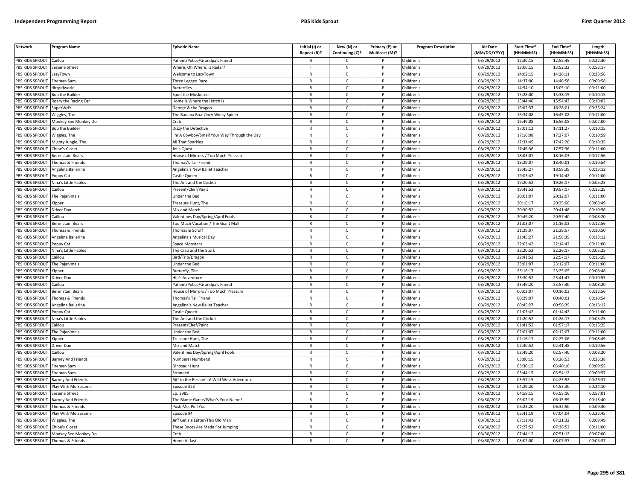| <b>Network</b>                   | <b>Program Name</b>       | <b>Episode Name</b>                        | Initial (I) or | New (N) or      | Primary (P) or | <b>Program Description</b> | <b>Air Date</b>     | Start Time* | End Time*  | Length     |
|----------------------------------|---------------------------|--------------------------------------------|----------------|-----------------|----------------|----------------------------|---------------------|-------------|------------|------------|
|                                  |                           |                                            | Repeat (R)?    | Continuing (C)? | Multicast (M)? |                            | (MM/DD/YYYY)        | (HH:MM:SS)  | (HH:MM:SS) | (HH:MM:SS) |
| PBS KIDS SPROUT                  | Caillou                   | Patient/Police/Grandpa's Friend            | R              | Ċ               |                | Children's                 | 03/29/2012          | 12:30:15    | 12:52:45   | 00:22:30   |
| PBS KIDS SPROUT                  | Sesame Street             | Where, Oh Where, is Radar?                 | $\mathbf{I}$   | N               | P              | Children's                 | 03/29/2012          | 13:00:15    | 13:52:32   | 00:52:17   |
| <b>BS KIDS SPROUT</b>            | azyTown                   | Welcome to LazyTown                        | $\mathsf{R}$   | C               |                | Children's                 | 03/29/2012          | 14:02:15    | 14:26:11   | 00:23:56   |
| PBS KIDS SPROUT                  | ireman Sam                | Three Legged Race                          | $\mathsf{R}$   | $\mathsf{C}$    | Þ              | Children's                 | 03/29/2012          | 14:37:00    | 14:46:58   | 00:09:58   |
| PBS KIDS SPROUT                  | dirtgirlworld             | <b>Butterflies</b>                         | $\mathsf{R}$   | C               |                | Children's                 | 03/29/2012          | 14:54:10    | 15:05:10   | 00:11:00   |
| PBS KIDS SPROUT                  | Bob the Builder           | Spud the Musketeer                         | $\mathsf{R}$   | $\mathsf{C}$    | P              | Children's                 | 03/29/2012          | 15:28:00    | 15:38:15   | 00:10:15   |
| PBS KIDS SPROUT                  | Roary the Racing Car      | lome is Where the Hatch Is                 | R              | $\mathsf{C}$    | P              | Children's                 | 03/29/2012          | 15:44:40    | 15:54:43   | 00:10:03   |
| PBS KIDS SPROUT                  | SuperWHY                  | George & the Dragon                        | $\mathsf{R}$   | $\mathsf{C}$    | P              | Children's                 | 03/29/2012          | 16:02:37    | 16:28:01   | 00:25:24   |
| PBS KIDS SPROUT                  | Wiggles, The              | The Banana Boat/Incy Wincy Spider          | $\mathsf{R}$   | $\mathsf{C}$    | $\mathsf{P}$   | Children's                 | 03/29/2012          | 16:34:08    | 16:45:08   | 00:11:00   |
| PBS KIDS SPROUT                  | Monkey See Monkey Do      | rah                                        | $\mathsf{R}$   | $\mathsf{C}$    |                | Children's                 | 03/29/2012          | 16:49:08    | 16:56:08   | 00:07:00   |
| PBS KIDS SPROUT                  | <b>Bob the Builder</b>    | Dizzy the Detective                        | $\mathsf{R}$   | $\mathsf{C}$    | P              | Children's                 | 03/29/2012          | 17:01:12    | 17:11:27   | 00:10:15   |
| PBS KIDS SPROUT                  | Wiggles, The              | 'm A Cowboy/Smell Your Way Through the Day | $\mathsf{R}$   | $\mathsf{C}$    |                | Children's                 | 03/29/2012          | 17:16:08    | 17:27:07   | 00:10:59   |
| PBS KIDS SPROUT                  | Mighty Jungle, The        | All That Sparkles                          | $\mathsf{R}$   | $\mathsf{C}$    | P              | Children's                 | 03/29/2012          | 17:31:45    | 17:42:20   | 00:10:35   |
| PBS KIDS SPROUT                  | hloe's Closet             | let's Quest                                | R              | $\mathsf{C}$    |                | Children's                 | 03/29/2012          | 17:46:36    | 17:57:36   | 00:11:00   |
| PBS KIDS SPROUT                  | <b>Berenstain Bears</b>   | House of Mirrors / Too Much Pressure       | $\mathsf{R}$   | $\mathsf{C}$    | $\mathsf{P}$   | Children's                 | 03/29/2012          | 18:03:07    | 18:16:03   | 00:12:56   |
| PBS KIDS SPROUT                  | Thomas & Friends          | homas's Tall Friend                        | R              | C               | P              | Children's                 | 03/29/2012          | 18:29:07    | 18:40:01   | 00:10:54   |
| PBS KIDS SPROUT                  | Angelina Ballerina        | Angelina's New Ballet Teacher              | R              | $\mathsf{C}$    | P              | Children's                 | 03/29/2012          | 18:45:27    | 18:58:39   | 00:13:12   |
| PBS KIDS SPROUT                  | Poppy Cat                 | Castle Queen                               | $\mathsf{R}$   | $\mathsf{C}$    | P              | Children's                 | 03/29/2012          | 19:03:42    | 19:14:42   | 00:11:00   |
| PBS KIDS SPROUT                  | Nina's Little Fables      | The Ant and the Cricket                    | $\mathsf{R}$   | $\mathsf{C}$    | P              | Children's                 | $\sqrt{03}/29/2012$ | 19:20:52    | 19:26:17   | 00:05:25   |
| PBS KIDS SPROUT                  | Caillou                   | resent/Chef/Paint                          | R              | C.              |                | Children's                 | 03/29/2012          | 19:41:52    | 19:57:17   | 00:15:25   |
| PBS KIDS SPROUT                  | he Pajanimals             | <b>Jnder the Bed</b>                       | $\mathsf{R}$   | $\mathsf{C}$    | D              | Children's                 | 03/29/2012          | 20:01:07    | 20:12:07   | 00:11:00   |
| <b>BS KIDS SPROUT</b>            | Kipper                    | reasure Hunt, The                          | R              | C               |                | Children's                 | 03/29/2012          | 20:16:17    | 20:25:06   | 00:08:49   |
| PBS KIDS SPROUT                  | Driver Dan                | Mix and Match                              | $\mathsf{R}$   | $\mathsf{C}$    | Þ              | Children's                 | 03/29/2012          | 20:30:52    | 20:41:48   | 00:10:56   |
| PBS KIDS SPROUT                  | Caillou                   | /alentines Day/Spring/April Fools          | R              | $\mathsf{C}$    | P              | Children's                 | 03/29/2012          | 20:49:20    | 20:57:40   | 00:08:20   |
| PBS KIDS SPROUT                  | Berenstain Bears          | 'oo Much Vacation / The Giant Mall         | $\mathsf{R}$   | $\mathsf{C}$    | P              | Children's                 | 03/29/2012          | 21:03:07    | 21:16:03   | 00:12:56   |
| PBS KIDS SPROUT                  | Thomas & Friends          | homas & Scruff                             | $\mathsf{R}$   | $\mathsf{C}$    | P              | Children's                 | 03/29/2012          | 21:29:07    | 21:39:57   | 00:10:50   |
| PBS KIDS SPROUT                  | Angelina Ballerina        | Angelina's Musical Day                     | R              | $\mathsf{C}$    |                | Children's                 | $\sqrt{03}/29/2012$ | 21:45:27    | 21:58:39   | 00:13:12   |
| PBS KIDS SPROUT                  | Poppy Cat                 | Space Monsters                             | $\mathsf{R}$   | $\mathsf{C}$    | P              | Children's                 | 03/29/2012          | 22:03:42    | 22:14:42   | 00:11:00   |
| PBS KIDS SPROUT                  | lina's Little Fables      | he Crab and the Stork                      | $\mathsf{R}$   | $\mathsf{C}$    |                | Children's                 | 03/29/2012          | 22:20:52    | 22:26:17   | 00:05:25   |
| PBS KIDS SPROUT                  | Caillou                   | Bird/Trip/Dragon                           | $\mathsf{R}$   | $\mathsf{C}$    | P              | Children's                 | 03/29/2012          | 22:41:52    | 22:57:17   | 00:15:25   |
| PBS KIDS SPROUT                  | The Pajanimals            | <b>Jnder the Bed</b>                       | R              | $\mathsf{C}$    | P              | Children's                 | 03/29/2012          | 23:01:07    | 23:12:07   | 00:11:00   |
| PBS KIDS SPROUT                  | Kipper                    | Butterfly, The                             | $\mathsf{R}$   | $\mathsf{C}$    | P              | Children's                 | 03/29/2012          | 23:16:17    | 23:25:05   | 00:08:48   |
| PBS KIDS SPROUT                  | Driver Dan                | lip's Adventure                            | $\mathsf{R}$   | $\mathsf{C}$    | P              | Children's                 | 03/29/2012          | 23:30:52    | 23:41:47   | 00:10:55   |
| PBS KIDS SPROUT                  | Caillou                   | Patient/Police/Grandpa's Friend            | R              | $\mathsf{C}$    | P              | Children's                 | 03/29/2012          | 23:49:20    | 23:57:40   | 00:08:20   |
| PBS KIDS SPROUT                  | <b>Berenstain Bears</b>   | House of Mirrors / Too Much Pressure       | R              | $\mathsf{C}$    | P              | Children's                 | 03/29/2012          | 00:03:07    | 00:16:03   | 00:12:56   |
| PBS KIDS SPROUT                  | Thomas & Friends          | homas's Tall Friend                        | $\mathsf{R}$   | $\mathsf{C}$    | P              | Children's                 | 03/29/2012          | 00:29:07    | 00:40:01   | 00:10:54   |
| PBS KIDS SPROUT                  | Angelina Ballerina        | Angelina's New Ballet Teacher              | R              | Ċ               |                | Children's                 | 03/29/2012          | 00:45:27    | 00:58:39   | 00:13:12   |
| PBS KIDS SPROUT                  | oppy Cat                  | Castle Queen                               | $\mathsf{R}$   | $\mathsf{C}$    | D              | Children's                 | 03/29/2012          | 01:03:42    | 01:14:42   | 00:11:00   |
| PBS KIDS SPROUT                  | Nina's Little Fables      | The Ant and the Cricket                    | R              | C               |                | Children's                 | 03/29/2012          | 01:20:52    | 01:26:17   | 00:05:25   |
| PBS KIDS SPROUT                  | aillou                    | resent/Chef/Paint                          | $\mathsf{R}$   | $\mathsf{C}$    |                | Children's                 | 03/29/2012          | 01:41:52    | 01:57:17   | 00:15:25   |
| <b>BS KIDS SPROUT</b>            | The Pajanimals            | <b>Jnder the Bed</b>                       | $\mathsf{R}$   | $\mathsf{C}$    | P              | Children's                 | 03/29/2012          | 02:01:07    | 02:12:07   | 00:11:00   |
| PBS KIDS SPROUT                  | (ipper                    | <b>Treasure Hunt, The</b>                  | $\mathsf{R}$   | $\mathsf{C}$    | Þ              | Children's                 | 03/29/2012          | 02:16:17    | 02:25:06   | 00:08:49   |
| PBS KIDS SPROUT                  | Driver Dan                | Mix and Match                              | $\mathsf{R}$   | $\mathsf{C}$    | P              | Children's                 | 03/29/2012          | 02:30:52    | 02:41:48   | 00:10:56   |
| PBS KIDS SPROUT                  | aillou                    | alentines Day/Spring/April Fools           | $\mathsf{R}$   | $\mathsf{C}$    | P              | Children's                 | 03/29/2012          | 02:49:20    | 02:57:40   | 00:08:20   |
| PBS KIDS SPROUT                  | <b>Barney And Friends</b> | Numbers! Numbers!                          | $\mathsf{R}$   | $\mathsf{C}$    | P              | Children's                 | 03/29/2012          | 03:00:15    | 03:26:53   | 00:26:38   |
| PBS KIDS SPROUT                  | ireman Sam                | Dinosaur Hunt                              | $\mathsf{R}$   | $\mathsf{C}$    | D              | Children's                 | 03/29/2012          | 03:30:15    | 03:40:10   | 00:09:55   |
| PBS KIDS SPROUT                  | ireman Sam                | Stranded                                   | R              | $\mathsf{C}$    | P              | Children's                 | 03/29/2012          | 03:44:15    | 03:54:12   | 00:09:57   |
| PBS KIDS SPROUT                  | Barney And Friends        | Riff to the Rescue!: A Wild West Adventure | $\mathsf{R}$   | $\mathsf{C}$    | P              | Children's                 | 03/29/2012          | 03:57:15    | 04:23:52   | 00:26:37   |
| PBS KIDS SPROUT                  | Play With Me Sesame       | Episode #23                                | $\mathsf{R}$   | $\mathsf{C}$    | $\mathsf{P}$   | Children's                 | 03/29/2012          | 04:29:20    | 04:53:30   | 00:24:10   |
| PBS KIDS SPROUT                  | Sesame Street             | Ep. 3985                                   | $\mathsf{R}$   | C               |                | Children's                 | 03/29/2012          | 04:58:15    | 05:55:16   | 00:57:01   |
| PBS KIDS SPROUT                  | <b>Barney And Friends</b> | The Blame Game/What's Your Name?           | R              | $\mathsf{C}$    | P              | Children's                 | 03/30/2012          | 06:02:19    | 06:15:59   | 00:13:40   |
| PBS KIDS SPROUT                  | Thomas & Friends          | ush Me, Pull You                           | $\mathsf{R}$   | C               | P              | Children's                 | 03/30/2012          | 06:23:20    | 06:32:50   | 00:09:30   |
| PBS KIDS SPROUT                  | Play With Me Sesame       | Episode #4                                 | $\mathsf{R}$   | $\mathsf{C}$    | P              | Children's                 | 03/30/2012          | 06:41:19    | 07:04:04   | 00:22:45   |
| PBS KIDS SPROUT                  | Wiggles, The              | eff Get's a Letter/This Old Man            | R              | Ċ               |                | Children's                 | 03/30/2012          | 07:11:43    | 07:21:32   | 00:09:49   |
| PBS KIDS SPROUT                  | Chloe's Closet            | hese Boots Are Made For Jumping            | $\mathsf{R}$   | $\mathsf{C}$    | P              | Children's                 | 03/30/2012          | 07:27:52    | 07:38:52   | 00:11:00   |
| PBS KIDS SPROUT                  | Monkey See Monkey Do      | ิ′rab                                      | R              | C               |                | Children's                 | 03/30/2012          | 07:44:12    | 07:51:12   | 00:07:00   |
| PBS KIDS SPROUT Thomas & Friends |                           | Home At last                               | R              | $\mathsf{C}$    |                | Children's                 | 03/30/2012          | 08:02:00    | 08:07:37   | 00:05:37   |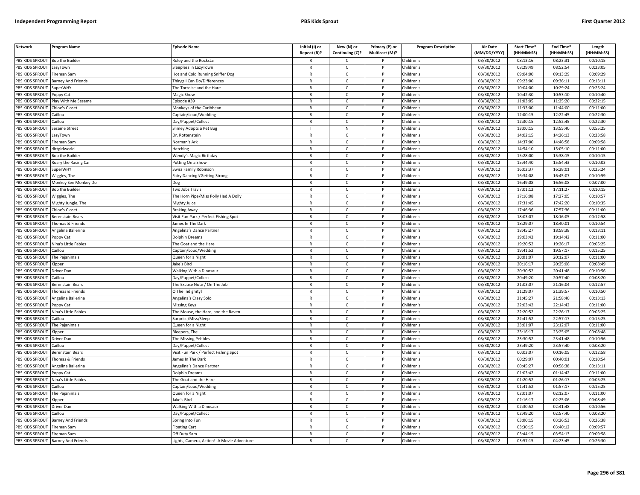| <b>Network</b>  | Program Name              | <b>Episode Name</b>                        | Initial (I) or<br>Repeat (R)? | New (N) or<br>Continuing (C)? | Primary (P) or<br>Multicast (M)? | <b>Program Description</b> | <b>Air Date</b><br>(MM/DD/YYYY) | Start Time*<br>(HH:MM:SS) | End Time <sup>®</sup><br>(HH:MM:SS) | Length<br>(HH:MM:SS) |
|-----------------|---------------------------|--------------------------------------------|-------------------------------|-------------------------------|----------------------------------|----------------------------|---------------------------------|---------------------------|-------------------------------------|----------------------|
| PBS KIDS SPROUT | <b>Bob the Builder</b>    | Roley and the Rockstar                     | R                             | C                             |                                  | Children's                 | 03/30/2012                      | 08:13:16                  | 08:23:31                            | 00:10:15             |
| PBS KIDS SPROUT | LazyTown                  | Sleepless in LazyTown                      | $\mathsf{R}$                  | $\mathsf{C}$                  | P                                | Children's                 | 03/30/2012                      | 08:29:49                  | 08:52:54                            | 00:23:05             |
| PBS KIDS SPROUT | Fireman Sam               | Hot and Cold Running Sniffer Dog           | $\mathsf{R}$                  | $\mathsf{C}$                  | P                                | Children's                 | 03/30/2012                      | 09:04:00                  | 09:13:29                            | 00:09:29             |
| PBS KIDS SPROUT | <b>Barney And Friends</b> | Things I Can Do/Differences                | $\mathsf{R}$                  | $\mathsf{C}$                  | P                                | Children's                 | 03/30/2012                      | 09:23:00                  | 09:36:11                            | 00:13:11             |
| PBS KIDS SPROUT | <b>SuperWHY</b>           | The Tortoise and the Hare                  | R                             | $\mathsf{C}$                  | p                                | Children's                 | 03/30/2012                      | 10:04:00                  | 10:29:24                            | 00:25:24             |
| PBS KIDS SPROUT | oppy Cat                  | Magic Show                                 | $\mathsf{R}$                  | $\mathsf{C}$                  |                                  | Children's                 | 03/30/2012                      | 10:42:30                  | 10:53:10                            | 00:10:40             |
| PBS KIDS SPROUT | Play With Me Sesame       | Episode #39                                | $\mathsf{R}$                  | C                             |                                  | Children's                 | 03/30/2012                      | 11:03:05                  | 11:25:20                            | 00:22:15             |
| PBS KIDS SPROUT | Chloe's Closet            | Monkeys of the Caribbean                   | $\mathsf{R}$                  | $\mathsf{C}$                  | P                                | Children's                 | 03/30/2012                      | 11:33:00                  | 11:44:00                            | 00:11:00             |
| PBS KIDS SPROUT | Caillou                   | Captain/Loud/Wedding                       | R                             | $\mathsf{C}$                  | P                                | Children's                 | 03/30/2012                      | 12:00:15                  | 12:22:45                            | 00:22:30             |
| PBS KIDS SPROUT | Caillou                   | Day/Puppet/Collect                         | $\mathsf{R}$                  | $\mathsf{C}$                  | P                                | Children's                 | 03/30/2012                      | 12:30:15                  | 12:52:45                            | 00:22:30             |
| PBS KIDS SPROUT | Sesame Street             | Slimey Adopts a Pet Bug                    |                               | ${\sf N}$                     | P                                | Children's                 | 03/30/2012                      | 13:00:15                  | 13:55:40                            | 00:55:25             |
| PBS KIDS SPROUT | LazyTown                  | Dr. Rottenstein                            | $\mathsf{R}$                  | $\mathsf{C}$                  | D                                | Children's                 | 03/30/2012                      | 14:02:15                  | 14:26:13                            | 00:23:58             |
| PBS KIDS SPROUT | Fireman Sam               | Norman's Ark                               | $\mathsf{R}$                  | $\mathsf{C}$                  | P                                | Children's                 | 03/30/2012                      | 14:37:00                  | 14:46:58                            | 00:09:58             |
| PBS KIDS SPROUT | dirtgirlworld             | Hatching                                   | $\mathsf{R}$                  | $\mathsf{C}$                  | P                                | Children's                 | 03/30/2012                      | 14:54:10                  | 15:05:10                            | 00:11:00             |
| PBS KIDS SPROUT | <b>Bob the Builde</b>     | Wendy's Magic Birthday                     | $\mathsf{R}$                  | C                             | P                                | Children's                 | 03/30/2012                      | 15:28:00                  | 15:38:15                            | 00:10:15             |
| PBS KIDS SPROUT | Roary the Racing Car      | Putting On a Show                          | $\mathsf{R}$                  | $\mathsf{C}$                  | P                                | Children's                 | 03/30/2012                      | 15:44:40                  | 15:54:43                            | 00:10:03             |
| PBS KIDS SPROUT | SuperWHY                  | Swiss Family Robinson                      | $\mathsf{R}$                  | $\mathsf{C}$                  | P                                | Children's                 | 03/30/2012                      | 16:02:37                  | 16:28:01                            | 00:25:24             |
| PBS KIDS SPROUT | Wiggles, The              | Fairy Dancing!/Getting Strong              | $\mathsf{R}$                  | $\mathsf{C}$                  | P                                | Children's                 | 03/30/2012                      | 16:34:08                  | 16:45:07                            | 00:10:59             |
| PBS KIDS SPROUT | Monkey See Monkey Do      | Dog                                        | $\mathsf{R}$                  | $\mathsf{C}$                  | P                                | Children's                 | 03/30/2012                      | 16:49:08                  | 16:56:08                            | 00:07:00             |
| PBS KIDS SPROUT | <b>Bob the Builder</b>    | Two Jobs Travis                            | R                             | C                             | P                                | Children's                 | 03/30/2012                      | 17:01:12                  | 17:11:27                            | 00:10:15             |
| PBS KIDS SPROUT | Wiggles, The              | The Horn Pipe/Miss Polly Had A Dolly       | $\mathsf{R}$                  | $\mathsf{C}$                  | P                                | Children's                 | 03/30/2012                      | 17:16:08                  | 17:27:05                            | 00:10:57             |
| PBS KIDS SPROUT | Mighty Jungle, The        | Mighty Juice                               | R                             | C                             |                                  | Children's                 | 03/30/2012                      | 17:31:45                  | 17:42:20                            | 00:10:35             |
| PBS KIDS SPROUT | Chloe's Closet            | <b>Braking Away</b>                        | $\mathsf{R}$                  | $\mathsf{C}$                  | Þ                                | Children's                 | 03/30/2012                      | 17:46:36                  | 17:57:36                            | 00:11:00             |
| PBS KIDS SPROUT | Berenstain Bears          | Visit Fun Park / Perfect Fishing Spot      | R                             | $\mathsf{C}$                  | P                                | Children's                 | 03/30/2012                      | 18:03:07                  | 18:16:05                            | 00:12:58             |
| PBS KIDS SPROUT | homas & Friends           | ames In The Dark                           | $\mathsf{R}$                  | $\mathsf{C}$                  |                                  | Children's                 | 03/30/2012                      | 18:29:07                  | 18:40:01                            | 00:10:54             |
| PBS KIDS SPROUT | Angelina Ballerina        | Angelina's Dance Partner                   | $\mathsf{R}$                  | $\mathsf{C}$                  | P                                | Children's                 | 03/30/2012                      | 18:45:27                  | 18:58:38                            | 00:13:11             |
| PBS KIDS SPROUT | Poppy Cat                 | Dolphin Dreams                             | R                             | $\mathsf{C}$                  |                                  | Children's                 | 03/30/2012                      | 19:03:42                  | 19:14:42                            | 00:11:00             |
| PBS KIDS SPROUT | Nina's Little Fables      | The Goat and the Hare                      | $\mathsf{R}$                  | $\mathsf{C}$                  | P                                | Children's                 | 03/30/2012                      | 19:20:52                  | 19:26:17                            | 00:05:25             |
| PBS KIDS SPROUT | Caillou                   | Captain/Loud/Wedding                       | $\mathsf{R}$                  | $\mathsf{C}$                  | P                                | Children's                 | 03/30/2012                      | 19:41:52                  | 19:57:17                            | 00:15:25             |
| PBS KIDS SPROUT | The Pajanimals            | Queen for a Night                          | $\mathsf{R}$                  | C                             | P                                | Children's                 | 03/30/2012                      | 20:01:07                  | 20:12:07                            | 00:11:00             |
| PBS KIDS SPROUT | Kipper                    | Jake's Bird                                | R                             | $\mathsf{C}$                  | P                                | Children's                 | 03/30/2012                      | 20:16:17                  | 20:25:06                            | 00:08:49             |
| PBS KIDS SPROUT | Driver Dan                | <b>Walking With a Dinosaur</b>             | $\mathsf{R}$                  | $\mathsf{C}$                  | P                                | Children's                 | 03/30/2012                      | 20:30:52                  | 20:41:48                            | 00:10:56             |
| PBS KIDS SPROUT | Caillou                   | Day/Puppet/Collect                         | $\mathsf{R}$                  | $\mathsf{C}$                  | P                                | Children's                 | 03/30/2012                      | 20:49:20                  | 20:57:40                            | 00:08:20             |
| PBS KIDS SPROUT | Berenstain Bears          | The Excuse Note / On The Job               | $\mathsf{R}$                  | C                             | P                                | Children's                 | 03/30/2012                      | 21:03:07                  | 21:16:04                            | 00:12:57             |
| PBS KIDS SPROUT | Thomas & Friends          | O The Indignity!                           | R                             | C                             | P                                | Children's                 | 03/30/2012                      | 21:29:07                  | 21:39:57                            | 00:10:50             |
| PBS KIDS SPROUT | Angelina Ballerina        | Angelina's Crazy Solo                      | $\mathsf{R}$                  | $\mathsf{C}$                  | P                                | Children's                 | 03/30/2012                      | 21:45:27                  | 21:58:40                            | 00:13:13             |
| PBS KIDS SPROUT | Poppy Cat                 | <b>Missing Keys</b>                        | R                             | $\mathsf{C}$                  |                                  | Children's                 | 03/30/2012                      | 22:03:42                  | 22:14:42                            | 00:11:00             |
| PBS KIDS SPROUT | Nina's Little Fables      | The Mouse, the Hare, and the Raven         | $\mathsf{R}$                  | $\mathsf{C}$                  | P                                | Children's                 | 03/30/2012                      | 22:20:52                  | 22:26:17                            | 00:05:25             |
| PBS KIDS SPROUT | Caillou                   | Surprise/Miss/Sleep                        | $\mathsf{R}$                  | $\mathsf{C}$                  | P                                | Children's                 | 03/30/2012                      | 22:41:52                  | 22:57:17                            | 00:15:25             |
| PBS KIDS SPROUT | The Pajanimals            | Queen for a Night                          | $\mathsf{R}$                  | $\mathsf{C}$                  | D                                | Children's                 | 03/30/2012                      | 23:01:07                  | 23:12:07                            | 00:11:00             |
| PBS KIDS SPROUT | Kipper                    | Bleepers, The                              | $\mathsf{R}$                  | $\mathsf{C}$                  | P                                | Children's                 | 03/30/2012                      | 23:16:17                  | 23:25:05                            | 00:08:48             |
| PBS KIDS SPROUT | Driver Dan                | The Missing Pebbles                        | $\mathsf{R}$                  | $\mathsf{C}$                  | P                                | Children's                 | 03/30/2012                      | 23:30:52                  | 23:41:48                            | 00:10:56             |
| PBS KIDS SPROUT | Caillou                   | Day/Puppet/Collect                         | $\mathsf{R}$                  | $\mathsf{C}$                  | P                                | Children's                 | 03/30/2012                      | 23:49:20                  | 23:57:40                            | 00:08:20             |
| PBS KIDS SPROUT | Berenstain Bears          | Visit Fun Park / Perfect Fishing Spot      | $\mathsf{R}$                  | $\mathsf{C}$                  | P                                | Children's                 | 03/30/2012                      | 00:03:07                  | 00:16:05                            | 00:12:58             |
| PBS KIDS SPROUT | Thomas & Friends          | James In The Dark                          | $\mathsf{R}$                  | $\mathsf{C}$                  | P                                | Children's                 | 03/30/2012                      | 00:29:07                  | 00:40:01                            | 00:10:54             |
| PBS KIDS SPROUT | Angelina Ballerina        | Angelina's Dance Partner                   | $\mathsf{R}$                  | $\mathsf{C}$                  | D                                | Children's                 | 03/30/2012                      | 00:45:27                  | 00:58:38                            | 00:13:11             |
| PBS KIDS SPROUT | Poppy Cat                 | Dolphin Dreams                             | $\mathsf{R}$                  | $\mathsf{C}$                  | $\mathsf{P}$                     | Children's                 | 03/30/2012                      | 01:03:42                  | 01:14:42                            | 00:11:00             |
| PBS KIDS SPROUT | Nina's Little Fables      | The Goat and the Hare                      | $\mathsf{R}$                  | $\mathsf{C}$                  | P                                | Children's                 | 03/30/2012                      | 01:20:52                  | 01:26:17                            | 00:05:25             |
| PBS KIDS SPROUT | Caillou                   | Captain/Loud/Wedding                       | $\mathsf{R}$                  | $\mathsf{C}$                  | P                                | Children's                 | 03/30/2012                      | 01:41:52                  | 01:57:17                            | 00:15:25             |
| PBS KIDS SPROUT | The Pajanimals            | Queen for a Night                          | R                             | $\mathsf{C}$                  | P                                | Children's                 | 03/30/2012                      | 02:01:07                  | 02:12:07                            | 00:11:00             |
| PBS KIDS SPROUT | <i><b>Sipper</b></i>      | Jake's Bird                                | $\mathsf{R}$                  | $\mathsf{C}$                  | P                                | Children's                 | 03/30/2012                      | 02:16:17                  | 02:25:06                            | 00:08:49             |
| PBS KIDS SPROUT | Driver Dan                | Walking With a Dinosaur                    | $\mathsf{R}$                  | $\mathsf{C}$                  |                                  | Children's                 | 03/30/2012                      | 02:30:52                  | 02:41:48                            | 00:10:56             |
| PBS KIDS SPROUT | Caillou                   | Day/Puppet/Collect                         | $\mathsf{R}$                  | $\mathsf{C}$                  | Þ                                | Children's                 | 03/30/2012                      | 02:49:20                  | 02:57:40                            | 00:08:20             |
| PBS KIDS SPROUT | <b>Barney And Friends</b> | Spring Into Fun                            | R                             | $\mathsf{C}$                  | P                                | Children's                 | 03/30/2012                      | 03:00:15                  | 03:26:53                            | 00:26:38             |
| PBS KIDS SPROUT | ireman Sam                | Floating Cart                              | $\mathsf{R}$                  | $\mathsf{C}$                  |                                  | Children's                 | 03/30/2012                      | 03:30:15                  | 03:40:12                            | 00:09:57             |
| PBS KIDS SPROUT | Fireman Sam               | Off Duty Sam                               | $\mathsf{R}$                  | $\mathsf{C}$                  | P                                | Children's                 | 03/30/2012                      | 03:44:15                  | 03:54:13                            | 00:09:58             |
| PBS KIDS SPROUT | <b>Barney And Friends</b> | Lights, Camera, Action!: A Movie Adventure | R                             | Ċ                             | P                                | Children's                 | 03/30/2012                      | 03:57:15                  | 04:23:45                            | 00:26:30             |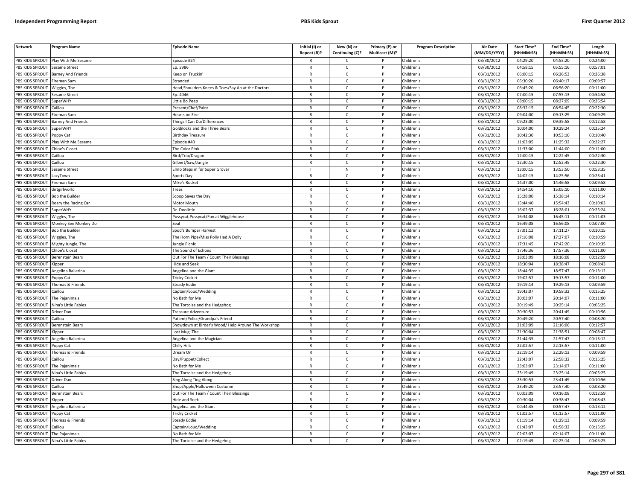| <b>Network</b>         | Program Name              | Episode Name                                        | Initial (I) or | New (N) or      | Primary (P) or | <b>Program Description</b> | <b>Air Date</b><br>(MM/DD/YYYY) | Start Time*<br>(HH:MM:SS) | End Time*<br>(HH:MM:SS) | Length<br>(HH:MM:SS) |
|------------------------|---------------------------|-----------------------------------------------------|----------------|-----------------|----------------|----------------------------|---------------------------------|---------------------------|-------------------------|----------------------|
|                        |                           |                                                     | Repeat (R)?    | Continuing (C)? | Multicast (M)? |                            |                                 |                           |                         |                      |
| PBS KIDS SPROUT        | Play With Me Sesame       | pisode #24                                          |                | C               |                | Children's                 | 03/30/2012                      | 04:29:20                  | 04:53:20                | 00:24:00             |
| PBS KIDS SPROUT        | <b>Sesame Street</b>      | Ep. 3986                                            | R              | C               | P              | Children's                 | 03/30/2012                      | 04:58:15                  | 05:55:16                | 00:57:01             |
| PBS KIDS SPROUT        | <b>Barney And Friends</b> | Keep on Truckin'                                    | R              | $\mathsf{C}$    | P              | Children's                 | 03/31/2012                      | 06:00:15                  | 06:26:53                | 00:26:38             |
| PBS KIDS SPROUT        | Fireman Sam               | Stranded                                            | $\mathsf{R}$   | $\mathsf{C}$    | P              | Children's                 | 03/31/2012                      | 06:30:20                  | 06:40:17                | 00:09:57             |
| PBS KIDS SPROUT        | Wiggles, The              | Head, Shoulders, Knees & Toes/Say Ah at the Doctors | R              | $\mathsf{C}$    | P              | Children's                 | 03/31/2012                      | 06:45:20                  | 06:56:20                | 00:11:00             |
| PBS KIDS SPROUT        | <b>Sesame Street</b>      | Ep. 4046                                            | $\mathsf{R}$   | $\mathsf{C}$    | P              | Children's                 | 03/31/2012                      | 07:00:15                  | 07:55:13                | 00:54:58             |
| PBS KIDS SPROUT        | SuperWHY                  | ittle Bo Peep                                       | $\mathsf{R}$   | $\mathsf{C}$    | P              | Children's                 | 03/31/2012                      | 08:00:15                  | 08:27:09                | 00:26:54             |
| PBS KIDS SPROUT        | Caillou                   | Present/Chef/Paint                                  | $\mathsf{R}$   | $\mathsf{C}$    | P              | Children's                 | 03/31/2012                      | 08:32:15                  | 08:54:45                | 00:22:30             |
| PBS KIDS SPROUT        | Fireman Sam               | Hearts on Fire                                      | R              | C               |                | Children's                 | 03/31/2012                      | 09:04:00                  | 09:13:29                | 00:09:29             |
| PBS KIDS SPROUT        | <b>Barney And Friends</b> | Things I Can Do/Differences                         | R              | $\mathsf{C}$    |                | Children's                 | 03/31/2012                      | 09:23:00                  | 09:35:58                | 00:12:58             |
| PBS KIDS SPROUT        | <b>SuperWHY</b>           | Goldilocks and the Three Bears                      | R              | $\mathsf{C}$    | P              | Children's                 | 03/31/2012                      | 10:04:00                  | 10:29:24                | 00:25:24             |
| PBS KIDS SPROUT        | Poppy Cat                 | <b>Birthday Treasure</b>                            | R              | $\mathcal{C}$   | <b>D</b>       | Children's                 | 03/31/2012                      | 10:42:30                  | 10:53:10                | 00:10:40             |
| PBS KIDS SPROUT        | Play With Me Sesame       | Episode #40                                         | $\mathsf{R}$   | $\mathsf{C}$    | P              | Children's                 | 03/31/2012                      | 11:03:05                  | 11:25:32                | 00:22:27             |
| <b>PBS KIDS SPROUT</b> | Chloe's Closet            | The Color Pink                                      | R              | $\mathsf{C}$    |                | Children's                 | 03/31/2012                      | 11:33:00                  | 11:44:00                | 00:11:00             |
| PBS KIDS SPROUT        | Caillou                   | Bird/Trip/Dragon                                    | $\mathsf{R}$   | $\mathsf{C}$    | P              | Children's                 | 03/31/2012                      | 12:00:15                  | 12:22:45                | 00:22:30             |
| PBS KIDS SPROUT        | Caillou                   | Gilbert/Saw/Jungle                                  | $\mathsf{R}$   | $\mathsf{C}$    |                | Children's                 | 03/31/2012                      | 12:30:15                  | 12:52:45                | 00:22:30             |
| PBS KIDS SPROUT        | Sesame Street             | Elmo Steps in for Super Grover                      | $\mathbf{I}$   | N               | P              | Children's                 | 03/31/2012                      | 13:00:15                  | 13:53:50                | 00:53:35             |
| PBS KIDS SPROUT        | LazyTown                  | Sports Day                                          | $\mathsf{R}$   | $\mathsf{C}$    | P              | Children's                 | 03/31/2012                      | 14:02:15                  | 14:25:56                | 00:23:41             |
| PBS KIDS SPROUT        | ireman Sam                | Mike's Rocket                                       | $\mathsf{R}$   | $\mathsf{C}$    | P              | Children's                 | 03/31/2012                      | 14:37:00                  | 14:46:58                | 00:09:58             |
| PBS KIDS SPROUT        | dirtgirlworld             | <b>Trees</b>                                        | R              | $\mathsf{C}$    | P              | Children's                 | 03/31/2012                      | 14:54:10                  | 15:05:10                | 00:11:00             |
| PBS KIDS SPROUT        | Bob the Builder           | Scoop Saves the Day                                 | $\mathsf{R}$   | $\mathsf{C}$    | P              | Children's                 | 03/31/2012                      | 15:28:00                  | 15:38:14                | 00:10:14             |
| PBS KIDS SPROUT        | Roary the Racing Car      | Motor Mouth                                         | $\mathsf{R}$   | $\mathsf{C}$    | P              | Children's                 | 03/31/2012                      | 15:44:40                  | 15:54:43                | 00:10:03             |
| PBS KIDS SPROUT        | SuperWHY                  | Dr. Doolittle                                       | $\mathsf{R}$   | $\mathsf{C}$    | P              | Children's                 | 03/31/2012                      | 16:02:37                  | 16:28:01                | 00:25:24             |
| PBS KIDS SPROUT        | Wiggles, The              | Pussycat, Pussycat/Fun at Wigglehouse               | R              | C               |                | Children's                 | 03/31/2012                      | 16:34:08                  | 16:45:11                | 00:11:03             |
| PBS KIDS SPROUT        | Monkey See Monkey Do      | Seal                                                | $\mathsf{R}$   | $\mathsf{C}$    |                | Children's                 | 03/31/2012                      | 16:49:08                  | 16:56:08                | 00:07:00             |
| PBS KIDS SPROUT        | <b>Bob the Builder</b>    | Spud's Bumper Harvest                               | $\mathsf{R}$   | $\mathsf{C}$    | P              | Children's                 | 03/31/2012                      | 17:01:12                  | 17:11:27                | 00:10:15             |
| PBS KIDS SPROUT        | Wiggles, The              | The Horn Pipe/Miss Polly Had A Dolly                | R              | $\mathsf{C}$    | P              | Children's                 | 03/31/2012                      | 17:16:08                  | 17:27:07                | 00:10:59             |
| PBS KIDS SPROUT        | Mighty Jungle, The        | Jungle Picnic                                       | $\mathsf{R}$   | $\mathsf{C}$    | P              | Children's                 | 03/31/2012                      | 17:31:45                  | 17:42:20                | 00:10:35             |
| <b>PBS KIDS SPROUT</b> | Chloe's Closet            | The Sound of Echoes                                 | $\mathsf{R}$   | $\mathsf{C}$    | P              | Children's                 | 03/31/2012                      | 17:46:36                  | 17:57:36                | 00:11:00             |
| PBS KIDS SPROUT        | Berenstain Bears          | Out For The Team / Count Their Blessings            | $\mathsf{R}$   | $\mathsf{C}$    | P              | Children's                 | 03/31/2012                      | 18:03:09                  | 18:16:08                | 00:12:59             |
| PBS KIDS SPROUT        | <b>Kipper</b>             | Hide and Seel                                       | $\mathsf{R}$   | c               | P              | Children's                 | 03/31/2012                      | 18:30:04                  | 18:38:47                | 00:08:43             |
| PBS KIDS SPROUT        | Angelina Ballerina        | Angelina and the Giant                              | $\mathsf{R}$   | C               | P              | Children's                 | 03/31/2012                      | 18:44:35                  | 18:57:47                | 00:13:12             |
| PBS KIDS SPROUT        | Poppy Cat                 | <b>Tricky Cricket</b>                               | $\mathsf{R}$   | $\mathsf{C}$    | P              | Children's                 | 03/31/2012                      | 19:02:57                  | 19:13:57                | 00:11:00             |
| PBS KIDS SPROUT        | Thomas & Friends          | Steady Eddie                                        | $\mathsf{R}$   | $\mathsf{C}$    | P              | Children's                 | 03/31/2012                      | 19:19:14                  | 19:29:13                | 00:09:59             |
| PBS KIDS SPROUT        | Caillou                   | Captain/Loud/Wedding                                | R              | $\mathsf{C}$    | P              | Children's                 | 03/31/2012                      | 19:43:07                  | 19:58:32                | 00:15:25             |
| <b>PBS KIDS SPROUT</b> | The Pajanimals            | No Bath for Me                                      | $\mathsf{R}$   | $\mathsf{C}$    | P              | Children's                 | $\sqrt{03}/31/2012$             | 20:03:07                  | 20:14:07                | 00:11:00             |
| PBS KIDS SPROUT        | Nina's Little Fables      | The Tortoise and the Hedgehog                       | R              | $\mathsf{C}$    |                | Children's                 | 03/31/2012                      | 20:19:49                  | 20:25:14                | 00:05:25             |
| PBS KIDS SPROUT        | Driver Dan                | Treasure Adventure                                  | $\mathsf{R}$   | $\mathsf{C}$    | P              | Children's                 | 03/31/2012                      | 20:30:53                  | 20:41:49                | 00:10:56             |
| PBS KIDS SPROUT        | Caillou                   | Patient/Police/Grandpa's Friend                     | R              | C               | P              | Children's                 | 03/31/2012                      | 20:49:20                  | 20:57:40                | 00:08:20             |
| PBS KIDS SPROUT        | Berenstain Bears          | Showdown at Birder's Wood/ Help Around The Workshop | $\mathsf{R}$   | $\mathsf{C}$    | P              | Children's                 | 03/31/2012                      | 21:03:09                  | 21:16:06                | 00:12:57             |
| PBS KIDS SPROUT        | <b>Kipper</b>             | Lost Mug, The                                       | R              | $\mathsf{C}$    | P              | Children's                 | 03/31/2012                      | 21:30:04                  | 21:38:51                | 00:08:47             |
| PBS KIDS SPROUT        | Angelina Ballerina        | Angelina and the Magician                           | $\mathsf{R}$   | $\mathsf{C}$    | P              | Children's                 | 03/31/2012                      | 21:44:35                  | 21:57:47                | 00:13:12             |
| PBS KIDS SPROUT        | Poppy Cat                 | Chilly Hills                                        | $\mathsf{R}$   | $\mathsf{C}$    | P              | Children's                 | 03/31/2012                      | 22:02:57                  | 22:13:57                | 00:11:00             |
| PBS KIDS SPROUT        | Thomas & Friends          | Dream On                                            | $\mathsf{R}$   | $\mathsf{C}$    | P              | Children's                 | 03/31/2012                      | 22:19:14                  | 22:29:13                | 00:09:59             |
| PBS KIDS SPROUT        | Caillou                   | Day/Puppet/Collect                                  | $\mathsf{R}$   | $\mathsf{C}$    | P              | Children's                 | 03/31/2012                      | 22:43:07                  | 22:58:32                | 00:15:25             |
| PBS KIDS SPROUT        | The Pajanimals            | No Bath for Me                                      | $\mathsf{R}$   | C               |                | Children's                 | 03/31/2012                      | 23:03:07                  | 23:14:07                | 00:11:00             |
| PBS KIDS SPROUT        | Nina's Little Fables      | The Tortoise and the Hedgehog                       | R              | C               | P              | Children's                 | 03/31/2012                      | 23:19:49                  | 23:25:14                | 00:05:25             |
| PBS KIDS SPROUT        | Driver Dan                | Sing Along Ting Along                               | $\mathsf{R}$   | $\mathsf{C}$    | P              | Children's                 | 03/31/2012                      | 23:30:53                  | 23:41:49                | 00:10:56             |
| PBS KIDS SPROUT        | Caillou                   | Shop/Apple/Halloween Costume                        | $\mathsf{R}$   | $\mathsf{C}$    | P              | Children's                 | 03/31/2012                      | 23:49:20                  | 23:57:40                | 00:08:20             |
| PBS KIDS SPROUT        | Berenstain Bears          | Out For The Team / Count Their Blessings            | R              | $\mathsf{C}$    | P              | Children's                 | 03/31/2012                      | 00:03:09                  | 00:16:08                | 00:12:59             |
| PBS KIDS SPROUT        | (inner                    | <b>Hide and Seek</b>                                | $\mathsf{R}$   | $\mathsf{C}$    | P              | Children's                 | $\sqrt{03}/31/2012$             | 00:30:04                  | 00:38:47                | 00:08:43             |
| PBS KIDS SPROUT        | Angelina Ballerina        | Angelina and the Giant                              | R              | $\mathsf{C}$    |                | Children's                 | 03/31/2012                      | 00:44:35                  | 00:57:47                | 00:13:12             |
| PBS KIDS SPROUT        | Poppy Cat                 | <b>Tricky Cricket</b>                               | $\mathsf{R}$   | $\mathsf{C}$    | D              | Children's                 | 03/31/2012                      | 01:02:57                  | 01:13:57                | 00:11:00             |
| PBS KIDS SPROUT        | Thomas & Friends          | Steady Eddie                                        | R              | C               | P              | Children's                 | 03/31/2012                      | 01:19:14                  | 01:29:13                | 00:09:59             |
| PBS KIDS SPROUT        | `aillou                   | Captain/Loud/Wedding                                | $\mathsf{R}$   | $\mathsf{C}$    |                | Children's                 | 03/31/2012                      | 01:43:07                  | 01:58:32                | 00:15:25             |
| PBS KIDS SPROUT        | The Pajanimals            | No Bath for Me                                      | R              | $\mathsf{C}$    | P              | Children's                 | 03/31/2012                      | 02:03:07                  | 02:14:07                | 00:11:00             |
| PBS KIDS SPROUT        | Nina's Little Fables      | The Tortoise and the Hedgehog                       |                | $\mathcal{C}$   | <b>D</b>       | Children's                 | 03/31/2012                      | 02:19:49                  | 02:25:14                | 00:05:25             |
|                        |                           |                                                     |                |                 |                |                            |                                 |                           |                         |                      |